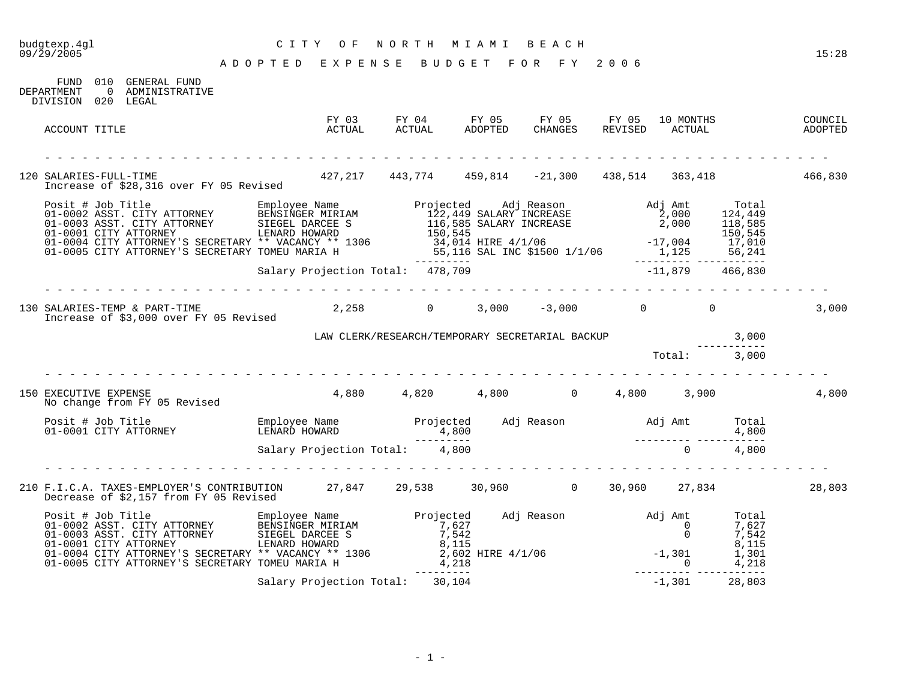## budgtexp.4gl C I T Y O F N O R T H M I A M I B E A C H

| DEPARTMENT<br>DIVISION 020 LEGAL | FUND 010 GENERAL FUND<br>0 ADMINISTRATIVE                                                                                                                                                                                             |                                             |                                                       |  |          |              |        |
|----------------------------------|---------------------------------------------------------------------------------------------------------------------------------------------------------------------------------------------------------------------------------------|---------------------------------------------|-------------------------------------------------------|--|----------|--------------|--------|
| ACCOUNT TITLE                    |                                                                                                                                                                                                                                       |                                             |                                                       |  |          |              |        |
|                                  | 120 SALARIES-FULL-TIME 466,830<br>Increase of \$28,316 over FY 05 Revised 427,217 443,774 459,814 -21,300 438,514 363,418 466,830                                                                                                     |                                             |                                                       |  |          |              |        |
|                                  | Posit # Job Title Employee Name Projected Adj Reason<br>01-0002 ASST. CITY ATTORNEY BENSINGER MIRIAM 122,449 SALARY INCREASE<br>01-0003 ASST. CITY ATTORNEY SIEGEL DARCEE S<br>01-0001 CITY ATTORNEY'S SECRETARY TOMEU MARIA H<br>01- |                                             |                                                       |  |          |              |        |
|                                  |                                                                                                                                                                                                                                       |                                             |                                                       |  |          |              |        |
|                                  | 130 SALARIES-TEMP & PART-TIME<br>5.43.000 OVER FY 05 Revised<br>Increase of \$3,000 over FY 05 Revised                                                                                                                                |                                             | $2,258$ 0 $3,000$ $-3,000$ 0 0                        |  |          |              | 3,000  |
|                                  |                                                                                                                                                                                                                                       |                                             | LAW CLERK/RESEARCH/TEMPORARY SECRETARIAL BACKUP 3,000 |  |          |              |        |
|                                  |                                                                                                                                                                                                                                       |                                             |                                                       |  |          | Total: 3,000 |        |
| 150 EXECUTIVE EXPENSE            | EXECUTIVE EXPENSE<br>No change from FY 05 Revised                                                                                                                                                                                     | $4,880$ $4,820$ $4,800$ $0$ $4,800$ $3,900$ |                                                       |  |          |              | 4,800  |
|                                  | Posit # Job Title Employee Name Projected Adj Reason Adj Amt Total<br>01-0001 CITY ATTORNEY LENARD HOWARD 10001 CITY ATTORNEY 1,800<br>Salary Projection Total: 4,800                                                                 |                                             |                                                       |  |          |              |        |
|                                  |                                                                                                                                                                                                                                       |                                             |                                                       |  |          |              |        |
|                                  |                                                                                                                                                                                                                                       |                                             |                                                       |  |          |              |        |
|                                  | 210 F.I.C.A. TAXES-EMPLOYER'S CONTRIBUTION 27,847 29,538 30,960 0 30,960 27,834<br>Decrease of \$2,157 from FY 05 Revised                                                                                                             |                                             |                                                       |  |          |              | 28,803 |
|                                  | Posit # Job Title Employee Name Projected Adj Reason Adj Amt Total<br>01-0002 ASST. CITY ATTORNEY BENSINGER MIRIAM 7,627 0 7,627<br>01-0003 ASST. CITY ATTORNEY SIEGEL DARCEE S 7,542<br>01-0001 CITY ATTORNEY'S SECRETARY ** VACAN   |                                             |                                                       |  |          |              |        |
|                                  |                                                                                                                                                                                                                                       | Salary Projection Total: 30,104             |                                                       |  | $-1,301$ | 28,803       |        |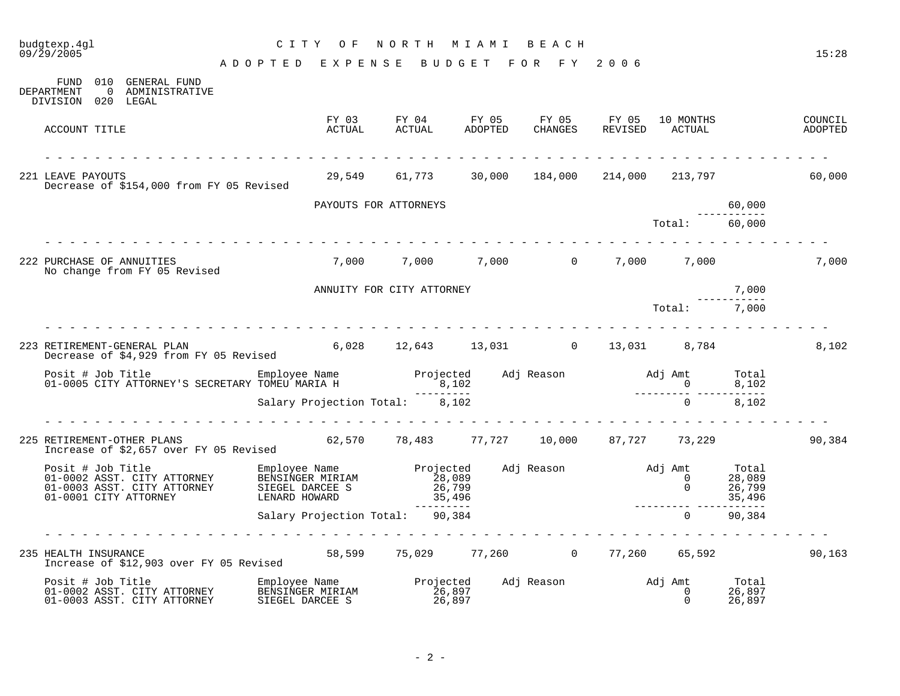| budgtexp.4ql<br>09/29/2005                                                                                                                                                                                                         | NORTH MIAMI BEACH<br>CITY OF       |                                                        |  |                                              |                |                               |                                     |                    |  |
|------------------------------------------------------------------------------------------------------------------------------------------------------------------------------------------------------------------------------------|------------------------------------|--------------------------------------------------------|--|----------------------------------------------|----------------|-------------------------------|-------------------------------------|--------------------|--|
|                                                                                                                                                                                                                                    | ADOPTED EXPENSE BUDGET FOR FY 2006 |                                                        |  |                                              |                |                               |                                     | 15:28              |  |
| FUND 010 GENERAL FUND<br>DEPARTMENT<br>0 ADMINISTRATIVE<br>DIVISION 020 LEGAL                                                                                                                                                      |                                    |                                                        |  |                                              |                |                               |                                     |                    |  |
| ACCOUNT TITLE                                                                                                                                                                                                                      | ACTUAL                             | FY 03 FY 04<br>ACTUAL                                  |  | FY 05 FY 05 FY 05<br>ADOPTED CHANGES REVISED |                | 10 MONTHS<br>ACTUAL<br>ACTUAL |                                     | COUNCIL<br>ADOPTED |  |
| 221 LEAVE PAYOUTS<br>Decrease of \$154,000 from FY 05 Revised                                                                                                                                                                      |                                    | 29,549   61,773   30,000   184,000   214,000   213,797 |  |                                              |                |                               |                                     | 60,000             |  |
|                                                                                                                                                                                                                                    |                                    | PAYOUTS FOR ATTORNEYS                                  |  |                                              |                |                               | 60,000                              |                    |  |
|                                                                                                                                                                                                                                    |                                    |                                                        |  |                                              |                | Total:                        | 60,000                              |                    |  |
| 222 PURCHASE OF ANNUITIES<br>No change from FY 05 Revised                                                                                                                                                                          |                                    | 7,000 7,000 7,000 0 7,000 7,000                        |  |                                              |                |                               |                                     | 7,000              |  |
|                                                                                                                                                                                                                                    |                                    | ANNUITY FOR CITY ATTORNEY                              |  |                                              |                |                               | 7,000                               |                    |  |
|                                                                                                                                                                                                                                    |                                    |                                                        |  |                                              | $Total: 7,000$ |                               |                                     |                    |  |
| 223 RETIREMENT-GENERAL PLAN<br>Decrease of \$4,929 from FY 05 Revised                                                                                                                                                              |                                    | $6,028$ $12,643$ $13,031$ 0 $13,031$ 8,784             |  |                                              |                |                               |                                     | 8,102              |  |
| Posit # Job Title Employee Name Frojected Adj Reason Adj Amt Total<br>01-0005 CITY ATTORNEY'S SECRETARY TOMEU MARIA H<br>201-0005 CITY ATTORNEY'S SECRETARY TOMEU MARIA H<br>201-0005 CITY ATTORNEY'S SECRETARY TOMEU MARIA H      |                                    |                                                        |  |                                              |                |                               |                                     |                    |  |
|                                                                                                                                                                                                                                    |                                    |                                                        |  |                                              |                |                               |                                     |                    |  |
| RETIREMENT-OTHER PLANS<br>Increase of \$2,657 over FY 05 Revised 62,570 18,483 77,727 10,000 87,727 73,229<br>225 RETIREMENT-OTHER PLANS                                                                                           |                                    |                                                        |  |                                              |                |                               |                                     | 90,384             |  |
| Posit # Job Title Marton Employee Name Projected Adj Reason and J Amt Adj Amt 01-0002 ASST. CITY ATTORNEY BENSINGER MIRIAM 28,089 0<br>01-0003 ASST. CITY ATTORNEY SIEGEL DARCEE S 26,799 0<br>01-0001 CITY ATTORNEY LENARD HOWARD |                                    |                                                        |  |                                              |                |                               | Total<br>28,089<br>26,799<br>35,496 |                    |  |
|                                                                                                                                                                                                                                    |                                    |                                                        |  |                                              |                |                               | --------<br>90,384                  |                    |  |
| 235 HEALTH INSURANCE<br>Therease of \$12.903 over FY 05 Revised 58,599 75,029 77,260 0 77,260 65,592<br>Increase of \$12,903 over FY 05 Revised                                                                                    |                                    |                                                        |  |                                              |                |                               |                                     | 90,163             |  |
| Posit # Job Title<br>01-0002 ASST. CITY ATTORNEY<br>01-0000 ASST. CITY ATTORNEY<br>01-0003 ASST. CITY ATTORNEY                                                                                                                     |                                    |                                                        |  |                                              |                |                               |                                     |                    |  |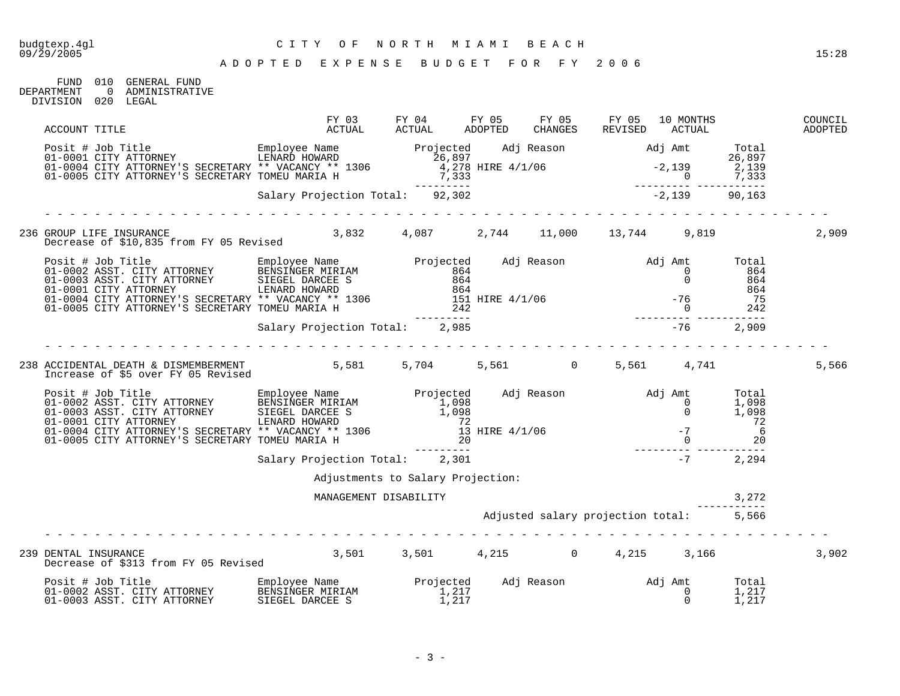FUND 010 GENERAL FUND<br>DEPARTMENT 0 ADMINISTRATIV 0 ADMINISTRATIVE DIVISION 020 LEGAL

| ACCOUNT TITLE                                                                                                                                                                                                                          | FY 03<br>ACTUAL                   |  |  | FY 05 FY 05<br>CHANGES REVISED | 10 MONTHS                               | ACTUAL | COUNCIL<br>ADOPTED |
|----------------------------------------------------------------------------------------------------------------------------------------------------------------------------------------------------------------------------------------|-----------------------------------|--|--|--------------------------------|-----------------------------------------|--------|--------------------|
| Posit # Job Title Employee Name Drojected Adj Reason Adj Amt Total<br>01-0001 CITY ATTORNEY SSECRETARY ** VACANCY ** 1306<br>01-0005 CITY ATTORNEY'S SECRETARY TOMEU MARIA H<br>21-0005 CITY ATTORNEY'S SECRETARY TOMEU MARIA H<br>21- |                                   |  |  |                                |                                         |        |                    |
|                                                                                                                                                                                                                                        |                                   |  |  |                                |                                         |        |                    |
|                                                                                                                                                                                                                                        |                                   |  |  |                                |                                         |        | 2,909              |
| 236 GROUP LIFE INSURANCE 3,832 4,087 2,744 11,000 13,744 9,819<br>Decrease of \$10,835 from FY 05 Revised                                                                                                                              |                                   |  |  |                                |                                         |        |                    |
| Posit # Job Title Employee Name Projected Adj Reason Adj Amt Total C1-0002 ASST. CITY ATTORNEY BENSINGER MIRIAM 864 0 864<br>01-0003 ASST. CITY ATTORNEY SIEGEL DARCEE S 864 0 864<br>01-0001 CITY ATTORNEY'S SECRETARY ** VACANC      |                                   |  |  |                                |                                         |        |                    |
|                                                                                                                                                                                                                                        |                                   |  |  |                                |                                         |        |                    |
|                                                                                                                                                                                                                                        |                                   |  |  |                                |                                         |        |                    |
| 238 ACCIDENTAL DEATH & DISMEMBERMENT 5,581 5,704 5,561 0 5,561 4,741<br>Increase of \$5 over FY 05 Revised                                                                                                                             |                                   |  |  |                                |                                         |        | 5,566              |
| 901 = 1002 ASST. CITY ATTORNEY EMPLOYEE Name Projected Adj Reason Adj Amt Total C1-0002 ASST. CITY ATTORNEY BENSINGER MIRIAM 1,098<br>01-0003 ASST. CITY ATTORNEY SIEGEL DARCEE S<br>01-0001 CITY ATTORNEY'S SECRETARY ** VACANCY      |                                   |  |  |                                |                                         |        |                    |
|                                                                                                                                                                                                                                        |                                   |  |  |                                |                                         |        |                    |
|                                                                                                                                                                                                                                        | Adjustments to Salary Projection: |  |  |                                |                                         |        |                    |
|                                                                                                                                                                                                                                        | MANAGEMENT DISABILITY             |  |  |                                |                                         | 3,272  |                    |
|                                                                                                                                                                                                                                        |                                   |  |  |                                | Adjusted salary projection total: 5,566 |        |                    |
| DENTAL INSURANCE<br>Decrease of \$313 from FY 05 Revised 3,501 3,501 4,215 9 0 4,215 3,166<br>239 DENTAL INSURANCE                                                                                                                     |                                   |  |  |                                |                                         |        | 3,902              |
|                                                                                                                                                                                                                                        |                                   |  |  |                                |                                         |        |                    |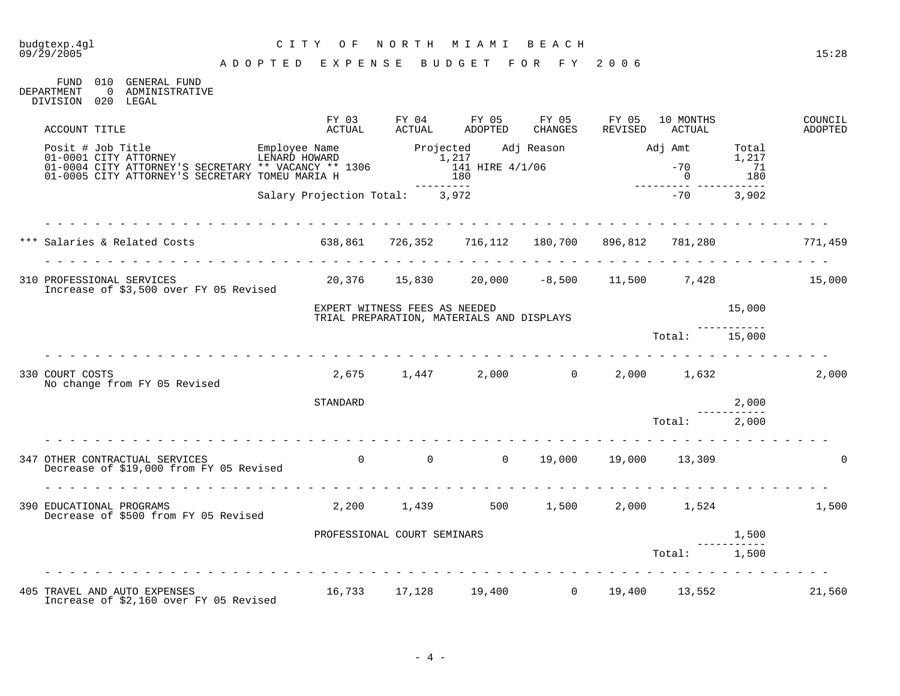## budgtexp.4gl C I T Y O F N O R T H M I A M I B E A C H

A D O P T E D E X P E N S E B U D G E T F O R F Y 2 0 0 6

FUND 010 GENERAL FUND<br>DEPARTMENT 0 ADMINISTRATIV 0 ADMINISTRATIVE DIVISION 020 LEGAL

| ACCOUNT TITLE                                                                                                                                                                                                                   | FY 03<br>ACTUAL                                                       | FY 04<br>ACTUAL               | FY 05<br>ADOPTED                                              | FY 05<br>CHANGES | FY 05<br>REVISED | 10 MONTHS<br>ACTUAL |         | COUNCIL<br>ADOPTED |
|---------------------------------------------------------------------------------------------------------------------------------------------------------------------------------------------------------------------------------|-----------------------------------------------------------------------|-------------------------------|---------------------------------------------------------------|------------------|------------------|---------------------|---------|--------------------|
| Posit # Job Title Employee Name Employee Name Projected Adj Reason and J Amt Total<br>01-0001 CITY ATTORNEY'S SECRETARY ** VACANCY ** 1306 1,217 1,217 1,217<br>01-0005 CITY ATTORNEY'S SECRETARY TOMEU MARIA H 180 180 180 180 |                                                                       | ----------                    |                                                               |                  |                  |                     | ------- |                    |
|                                                                                                                                                                                                                                 | Salary Projection Total: 3,972                                        |                               |                                                               |                  |                  | $-70$ 3,902         |         |                    |
| *** Salaries & Related Costs                                                                                                                                                                                                    |                                                                       |                               |                                                               |                  |                  |                     |         |                    |
|                                                                                                                                                                                                                                 | $638,861$ $726,352$ $716,112$ $180,700$ $896,812$ $781,280$ $771,459$ |                               |                                                               |                  |                  |                     |         |                    |
| 310 PROFESSIONAL SERVICES<br>Increase of \$3,500 over FY 05 Revised                                                                                                                                                             |                                                                       |                               | $20,376$ $15,830$ $20,000$ $-8,500$ $11,500$ $7,428$ $15,000$ |                  |                  |                     |         |                    |
|                                                                                                                                                                                                                                 |                                                                       | EXPERT WITNESS FEES AS NEEDED | TRIAL PREPARATION, MATERIALS AND DISPLAYS                     |                  |                  |                     | 15,000  |                    |
|                                                                                                                                                                                                                                 |                                                                       |                               |                                                               |                  |                  | Total: 15,000       |         |                    |
| 330 COURT COSTS<br>No change from FY 05 Revised                                                                                                                                                                                 |                                                                       |                               | $2,675$ $1,447$ $2,000$ $0$ $2,000$ $1,632$                   |                  |                  |                     |         | 2,000              |
|                                                                                                                                                                                                                                 | STANDARD                                                              |                               |                                                               |                  |                  |                     | 2,000   |                    |
|                                                                                                                                                                                                                                 | <u>a la la la la la la la la la la</u>                                |                               |                                                               |                  |                  | Total: 2,000        |         |                    |
| 347 OTHER CONTRACTUAL SERVICES<br>Decrease of \$19,000 from FY 05 Revised                                                                                                                                                       |                                                                       |                               | 0 0 0 0 19,000 19,000 13,309                                  |                  |                  |                     |         |                    |
| 390 EDUCATIONAL PROGRAMS<br>Decrease of \$500 from FY 05 Revised                                                                                                                                                                |                                                                       |                               | $2,200$ $1,439$ $500$ $1,500$ $2,000$ $1,524$                 |                  |                  |                     |         | 1,500              |
|                                                                                                                                                                                                                                 |                                                                       | PROFESSIONAL COURT SEMINARS   |                                                               |                  |                  |                     | 1,500   |                    |
|                                                                                                                                                                                                                                 |                                                                       |                               |                                                               |                  |                  | Total: 1,500        |         |                    |
| 405 TRAVEL AND AUTO EXPENSES<br>Increase of \$2,160 over FY 05 Revised                                                                                                                                                          | 16,733 17,128 19,400 0 19,400 13,552                                  |                               |                                                               |                  |                  |                     |         | 21,560             |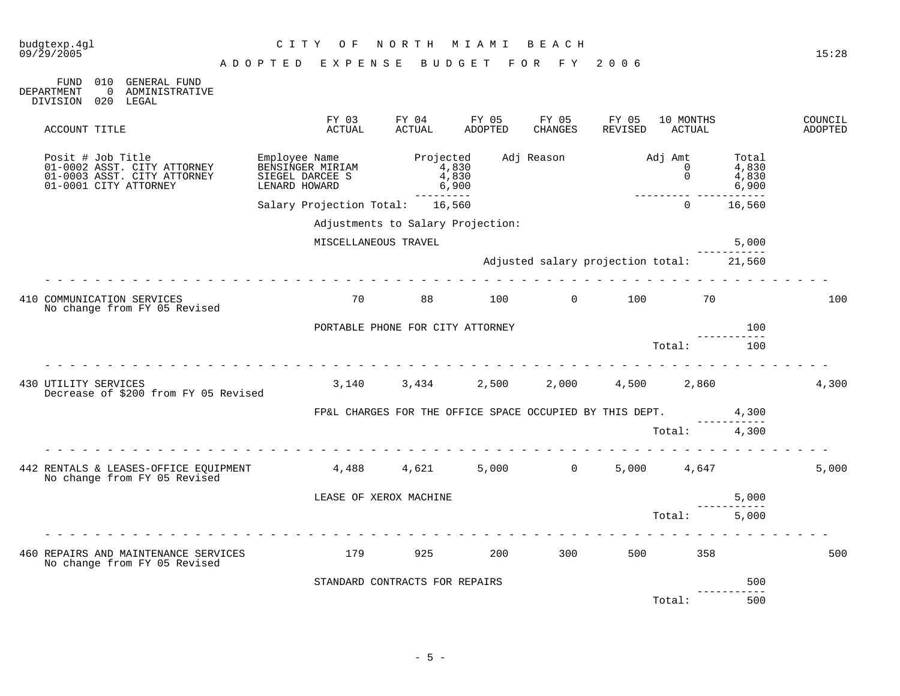| budgtexp.4gl<br>09/29/2005                                                                                        | C I T Y<br>O F<br>ADOPTED<br>EXPENSE                                  | NORTH<br>BUDGET                                                | M I A M I        | BEACH<br>FOR FY 2006                     |                  |                                       |                                             | 15:28              |
|-------------------------------------------------------------------------------------------------------------------|-----------------------------------------------------------------------|----------------------------------------------------------------|------------------|------------------------------------------|------------------|---------------------------------------|---------------------------------------------|--------------------|
| <b>GENERAL FUND</b><br>010<br>FUND<br><b>DEPARTMENT</b><br>ADMINISTRATIVE<br>$\overline{0}$<br>DIVISION 020 LEGAL |                                                                       |                                                                |                  |                                          |                  |                                       |                                             |                    |
| ACCOUNT TITLE                                                                                                     | FY 03<br>ACTUAL                                                       | FY 04<br>ACTUAL                                                | FY 05<br>ADOPTED | FY 05<br>CHANGES                         | FY 05<br>REVISED | 10 MONTHS<br>ACTUAL                   |                                             | COUNCIL<br>ADOPTED |
| Posit # Job Title<br>01-0002 ASST. CITY ATTORNEY<br>01-0003 ASST. CITY ATTORNEY<br>01-0001 CITY ATTORNEY          | Employee Name<br>BENSINGER MIRIAM<br>SIEGEL DARCEE S<br>LENARD HOWARD | Projected<br>4,830<br>4,830<br>6,900<br>----------             |                  | Adj Reason                               |                  | Adj Amt<br>$\Omega$<br>$\overline{0}$ | Total<br>4,830<br>4,830<br>6,900<br>------- |                    |
|                                                                                                                   | Salary Projection Total: 16,560                                       |                                                                |                  |                                          |                  | $\Omega$                              | 16,560                                      |                    |
|                                                                                                                   |                                                                       | Adjustments to Salary Projection:                              |                  |                                          |                  |                                       |                                             |                    |
|                                                                                                                   |                                                                       | MISCELLANEOUS TRAVEL                                           |                  |                                          |                  |                                       | 5,000                                       |                    |
|                                                                                                                   |                                                                       |                                                                |                  | Adjusted salary projection total: 21,560 |                  |                                       |                                             |                    |
| 410 COMMUNICATION SERVICES<br>No change from FY 05 Revised                                                        | 70                                                                    | 88 — 18                                                        |                  | 100 0 100                                |                  | 70                                    |                                             | 100                |
|                                                                                                                   |                                                                       | PORTABLE PHONE FOR CITY ATTORNEY                               |                  |                                          |                  |                                       | 100                                         |                    |
|                                                                                                                   |                                                                       |                                                                |                  |                                          |                  | Total:                                | 100                                         |                    |
| 430 UTILITY SERVICES<br>Decrease of \$200 from FY 05 Revised                                                      |                                                                       | $3,140$ $3,434$ $2,500$ $2,000$ $4,500$ $2,860$                |                  |                                          |                  |                                       |                                             | 4,300              |
|                                                                                                                   |                                                                       | FP&L CHARGES FOR THE OFFICE SPACE OCCUPIED BY THIS DEPT. 4,300 |                  |                                          |                  |                                       | ----------                                  |                    |
|                                                                                                                   |                                                                       |                                                                |                  |                                          |                  | Total: 4,300                          |                                             |                    |
| 442 RENTALS & LEASES-OFFICE EQUIPMENT $4,488$ $4,621$ $5,000$ $0$<br>No change from FY 05 Revised                 |                                                                       |                                                                |                  |                                          |                  | 5,000 4,647                           |                                             | 5,000              |
|                                                                                                                   |                                                                       | LEASE OF XEROX MACHINE                                         |                  |                                          |                  |                                       | 5,000                                       |                    |
|                                                                                                                   |                                                                       |                                                                |                  |                                          |                  | Total: 5,000                          |                                             |                    |
| 460 REPAIRS AND MAINTENANCE SERVICES<br>No change from FY 05 Revised                                              |                                                                       | 179<br>925                                                     | 200              | 300                                      |                  | 500 000<br>358                        |                                             | 500                |
|                                                                                                                   |                                                                       | STANDARD CONTRACTS FOR REPAIRS                                 |                  |                                          |                  |                                       | 500                                         |                    |
|                                                                                                                   |                                                                       |                                                                |                  |                                          |                  | Total:                                | -----------<br>500                          |                    |

 $- 5 -$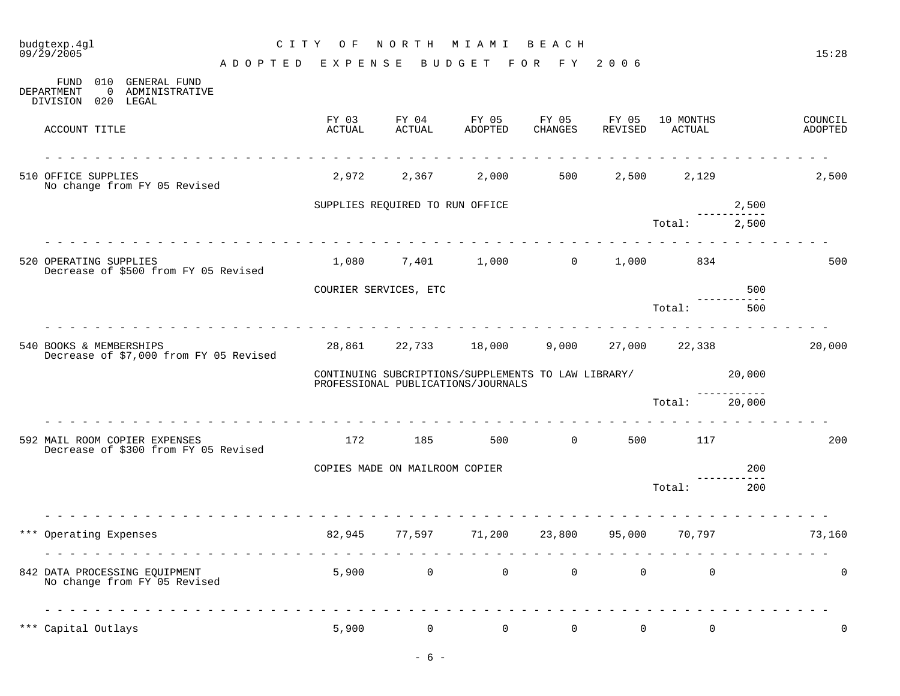# budgtexp.4gl C I T Y O F N O R T H M I A M I B E A C H

| 010<br><b>GENERAL FUND</b><br>FUND<br>DEPARTMENT<br>0 ADMINISTRATIVE<br>DIVISION 020 LEGAL |                 |                                 |                                                                                           |                                              |                  |                      |                                                                                                                                                                                                                                                                                                                                                                                                                                                 |                    |
|--------------------------------------------------------------------------------------------|-----------------|---------------------------------|-------------------------------------------------------------------------------------------|----------------------------------------------|------------------|----------------------|-------------------------------------------------------------------------------------------------------------------------------------------------------------------------------------------------------------------------------------------------------------------------------------------------------------------------------------------------------------------------------------------------------------------------------------------------|--------------------|
| ACCOUNT TITLE                                                                              | FY 03<br>ACTUAL | FY 04<br>ACTUAL                 | FY 05<br>ADOPTED                                                                          | FY 05<br>CHANGES                             | FY 05<br>REVISED | 10 MONTHS<br>ACTUAL  |                                                                                                                                                                                                                                                                                                                                                                                                                                                 | COUNCIL<br>ADOPTED |
| 510 OFFICE SUPPLIES<br>No change from FY 05 Revised                                        |                 | 2,972 2,367                     |                                                                                           | 2,000 500                                    |                  | 2,500 2,129          |                                                                                                                                                                                                                                                                                                                                                                                                                                                 | 2,500              |
|                                                                                            |                 | SUPPLIES REQUIRED TO RUN OFFICE |                                                                                           |                                              |                  |                      | 2,500                                                                                                                                                                                                                                                                                                                                                                                                                                           |                    |
|                                                                                            |                 |                                 |                                                                                           |                                              |                  | Total:               | 2,500                                                                                                                                                                                                                                                                                                                                                                                                                                           |                    |
| 520 OPERATING SUPPLIES<br>Decrease of \$500 from FY 05 Revised                             |                 |                                 | 1,080 7,401 1,000 0                                                                       |                                              |                  | 1,000 834            |                                                                                                                                                                                                                                                                                                                                                                                                                                                 | 500                |
|                                                                                            |                 | COURIER SERVICES, ETC           |                                                                                           |                                              |                  |                      | 500<br>-----------                                                                                                                                                                                                                                                                                                                                                                                                                              |                    |
|                                                                                            |                 |                                 |                                                                                           |                                              |                  | Total:               | 500                                                                                                                                                                                                                                                                                                                                                                                                                                             |                    |
| 540 BOOKS & MEMBERSHIPS<br>Decrease of \$7,000 from FY 05 Revised                          |                 |                                 | 28,861 22,733 18,000 9,000                                                                |                                              |                  | 27,000 22,338        |                                                                                                                                                                                                                                                                                                                                                                                                                                                 | 20,000             |
|                                                                                            |                 |                                 | CONTINUING SUBCRIPTIONS/SUPPLEMENTS TO LAW LIBRARY/<br>PROFESSIONAL PUBLICATIONS/JOURNALS |                                              |                  |                      | 20,000                                                                                                                                                                                                                                                                                                                                                                                                                                          |                    |
|                                                                                            |                 |                                 |                                                                                           |                                              |                  | Total: 20,000        |                                                                                                                                                                                                                                                                                                                                                                                                                                                 |                    |
| 592 MAIL ROOM COPIER EXPENSES<br>Decrease of \$300 from FY 05 Revised                      |                 |                                 | 172 185 500 0                                                                             |                                              |                  | 500 117              |                                                                                                                                                                                                                                                                                                                                                                                                                                                 | 200                |
|                                                                                            |                 | COPIES MADE ON MAILROOM COPIER  |                                                                                           |                                              |                  |                      | 200                                                                                                                                                                                                                                                                                                                                                                                                                                             |                    |
|                                                                                            |                 |                                 |                                                                                           |                                              |                  | Total:               | 200                                                                                                                                                                                                                                                                                                                                                                                                                                             |                    |
| *** Operating Expenses                                                                     |                 |                                 | 82,945 77,597 71,200 23,800 95,000 70,797                                                 |                                              |                  |                      |                                                                                                                                                                                                                                                                                                                                                                                                                                                 | 73,160             |
| 842 DATA PROCESSING EQUIPMENT<br>No change from FY 05 Revised                              |                 | $5,900$ 0                       |                                                                                           | $\begin{matrix} 0 & 0 \\ 0 & 0 \end{matrix}$ |                  | $\Omega$<br>$\Omega$ | $\frac{1}{2} \left( \begin{array}{ccc} 1 & 1 & 1 \\ 1 & 1 & 1 \end{array} \right) = \left( \begin{array}{ccc} 1 & 1 & 1 \\ 1 & 1 & 1 \end{array} \right) = \left( \begin{array}{ccc} 1 & 1 & 1 \\ 1 & 1 & 1 \end{array} \right) = \left( \begin{array}{ccc} 1 & 1 & 1 \\ 1 & 1 & 1 \end{array} \right) = \left( \begin{array}{ccc} 1 & 1 & 1 \\ 1 & 1 & 1 \end{array} \right) = \left( \begin{array}{ccc} 1 & 1 & 1 \\ 1 & 1 & 1 \end{array} \$ | $\Omega$           |
| *** Capital Outlays                                                                        | 5,900           | $\mathbf 0$                     | $\Omega$                                                                                  | $\Omega$                                     | $\Omega$         | $\mathbf 0$          |                                                                                                                                                                                                                                                                                                                                                                                                                                                 | $\mathbf 0$        |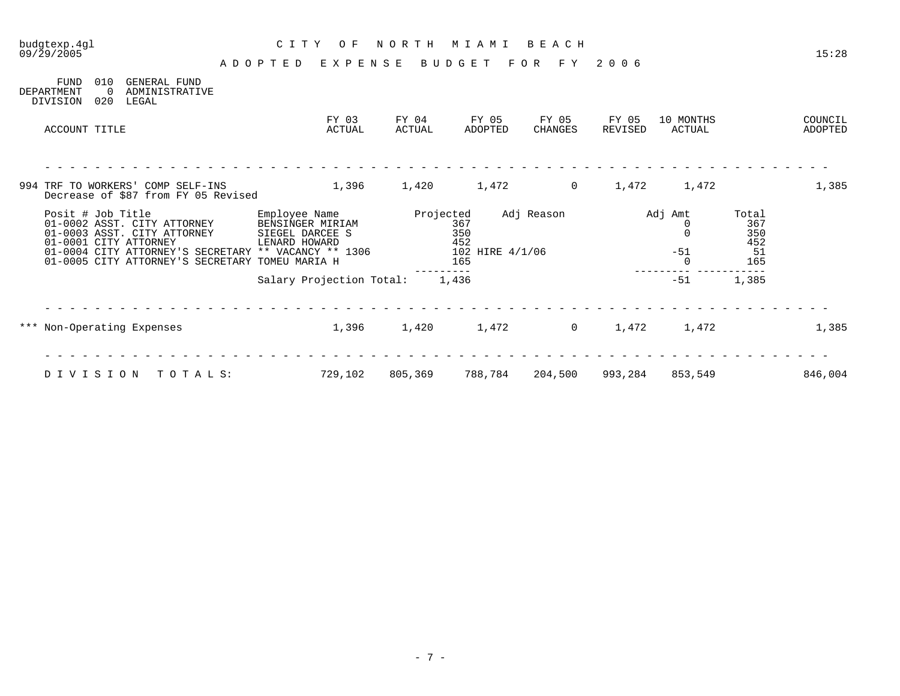| $09/\bar{2}9/2005$                    |                        |                                                                                                                                                                                                                                       | A D O P T E D | EXPENSE                                                               |                 | BUDGET                                                   | F O R<br>F Y     | 2 0 0 6          |                                        |                                         | 15:28              |
|---------------------------------------|------------------------|---------------------------------------------------------------------------------------------------------------------------------------------------------------------------------------------------------------------------------------|---------------|-----------------------------------------------------------------------|-----------------|----------------------------------------------------------|------------------|------------------|----------------------------------------|-----------------------------------------|--------------------|
| <b>FUND</b><br>DEPARTMENT<br>DIVISION | 010<br>$\Omega$<br>020 | <b>GENERAL FUND</b><br>ADMINISTRATIVE<br>LEGAL                                                                                                                                                                                        |               |                                                                       |                 |                                                          |                  |                  |                                        |                                         |                    |
| ACCOUNT TITLE                         |                        |                                                                                                                                                                                                                                       |               | FY 03<br>ACTUAL                                                       | FY 04<br>ACTUAL | FY 05<br>ADOPTED                                         | FY 05<br>CHANGES | FY 05<br>REVISED | 10 MONTHS<br>ACTUAL                    |                                         | COUNCIL<br>ADOPTED |
|                                       |                        | 994 TRF TO WORKERS' COMP SELF-INS                                                                                                                                                                                                     |               | 1,396                                                                 | 1,420           | 1,472                                                    | $\mathbf 0$      | 1,472            | 1,472                                  |                                         | 1,385              |
|                                       | Posit # Job Title      | Decrease of \$87 from FY 05 Revised<br>01-0002 ASST. CITY ATTORNEY<br>01-0003 ASST. CITY ATTORNEY<br>01-0001 CITY ATTORNEY<br>01-0004 CITY ATTORNEY'S SECRETARY ** VACANCY ** 1306<br>01-0005 CITY ATTORNEY'S SECRETARY TOMEU MARIA H |               | Employee Name<br>BENSINGER MIRIAM<br>SIEGEL DARCEE S<br>LENARD HOWARD |                 | Projected<br>367<br>350<br>452<br>102 HIRE 4/1/06<br>165 | Adj Reason       |                  | Adj Amt<br>0<br>$\Omega$<br>$-51$<br>0 | Total<br>367<br>350<br>452<br>51<br>165 |                    |
|                                       |                        |                                                                                                                                                                                                                                       |               | Salary Projection Total:                                              |                 | 1,436                                                    |                  |                  | $-51$                                  | 1,385                                   |                    |
|                                       |                        | *** Non-Operating Expenses                                                                                                                                                                                                            |               | 1,396                                                                 | 1,420           | 1,472                                                    | 0                | 1,472            | 1,472                                  |                                         | 1,385              |
| DIVISION                              |                        | TOTALS:                                                                                                                                                                                                                               |               | 729,102                                                               | 805,369         | 788,784                                                  | 204,500          | 993,284          | 853,549                                |                                         | 846,004            |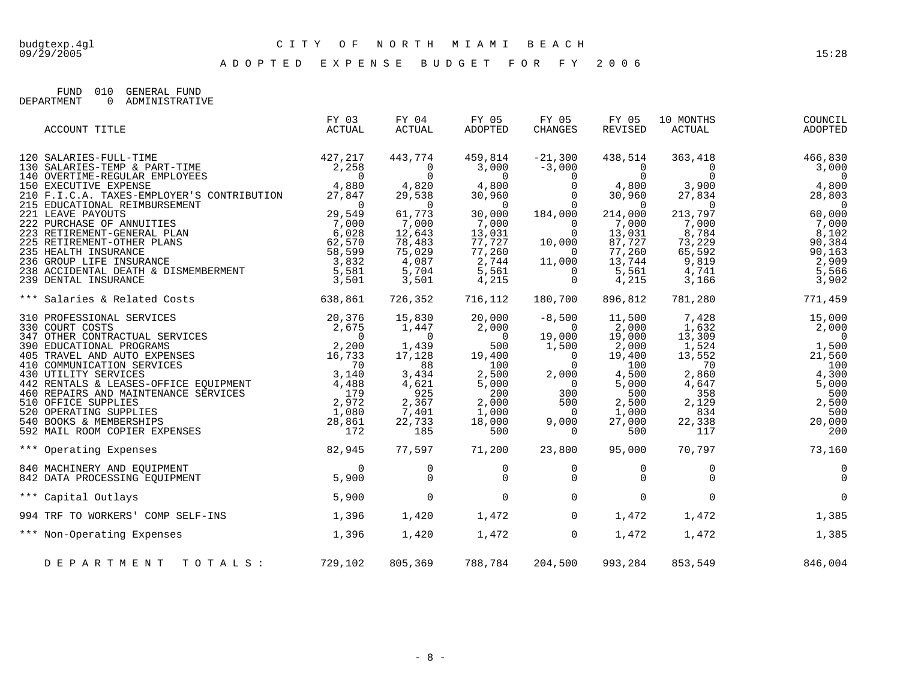A D O P T E D E X P E N S E B U D G E T F O R F Y 2 0 0 6

FUND 010 GENERAL FUND DEPARTMENT 0 ADMINISTRATIVE

| ACCOUNT TITLE                                                                                                                                                                                                                              | FY 03<br>ACTUAL | FY 04<br>ACTUAL                                 | FY 05<br>ADOPTED                   | FY 05<br><b>CHANGES</b>                                | FY 05<br>REVISED                   | 10 MONTHS<br>ACTUAL                             | COUNCIL<br>ADOPTED                 |
|--------------------------------------------------------------------------------------------------------------------------------------------------------------------------------------------------------------------------------------------|-----------------|-------------------------------------------------|------------------------------------|--------------------------------------------------------|------------------------------------|-------------------------------------------------|------------------------------------|
| 120 SALARIES-FULL-TIME 427,217<br>130 SALARIES-TEMP & PART-TIME 427,217<br>140 OVERTIME-REGULAR EMPLOYEES 0<br>150 EXECUTIVE EXPENSE 4,880<br>17 847                                                                                       |                 | 443,774<br>$\begin{matrix} 0 \\ 0 \end{matrix}$ | 459,814<br>3,000<br>$\overline{0}$ | $-21,300$<br>$-3,000$                                  | 438,514<br>$\mathbf 0$<br>$\Omega$ | 363,418<br>$\begin{matrix} 0 \\ 0 \end{matrix}$ | 466,830<br>3,000<br>$\overline{0}$ |
|                                                                                                                                                                                                                                            |                 | 4,820<br>29,538                                 | 4,800<br>30,960                    | $\begin{matrix} 0 \\ 0 \\ 0 \\ 0 \\ 0 \end{matrix}$    | 4,800<br>30,960                    | 3,900<br>27,834                                 | 4,800<br>28,803                    |
|                                                                                                                                                                                                                                            |                 | $\overline{0}$                                  | $\sim$ 0                           |                                                        | $\overline{0}$                     | $\overline{0}$                                  | $\overline{0}$                     |
|                                                                                                                                                                                                                                            |                 | 61,773<br>7,000                                 | 30,000<br>7,000                    | 184,000                                                | 214,000<br>7,000                   | 213,797<br>7,000                                | 60,000<br>7,000                    |
|                                                                                                                                                                                                                                            |                 | 12,643                                          |                                    | $\begin{matrix} 0 \\ 0 \end{matrix}$<br>$\overline{0}$ | 13,031                             | 8,784                                           | 8,102                              |
|                                                                                                                                                                                                                                            |                 | 78,483                                          | 13,031<br>77,727                   | 10,000                                                 | 87,727                             | 73,229                                          | 90,384                             |
|                                                                                                                                                                                                                                            |                 | 75,029                                          | 77,260<br>2,744                    | $\overline{0}$                                         | 77,260                             | 65,592<br>9,819                                 | 90, 163                            |
|                                                                                                                                                                                                                                            |                 | 4,087<br>5,704                                  | 5,561                              | 11,000                                                 | 13,744<br>5,561                    | 4,741                                           | 2,909<br>5,566                     |
| 150 EXECUTIVE EXPENSE<br>210 F.I.C.A. TAXES-EMPLOYER'S CONTRIBUTION 27,847<br>215 EDUCATIONAL REIMBURSEMENT 29,549<br>221 LEAVE PAYOUTS 29,549<br>222 PURCHASE OF ANNUITIES 7,000<br>223 RETIREMENT-GENERAL PLAN 6,028<br>225 RETIREMENT-O |                 | 3,501                                           | 4,215                              | $\begin{matrix} 0 \\ 0 \end{matrix}$                   | 4,215                              | 3,166                                           | 3,902                              |
| 638,861<br>*** Salaries & Related Costs                                                                                                                                                                                                    |                 | 726,352                                         | 716,112                            | 180,700                                                | 896,812                            | 781,280                                         | 771,459                            |
|                                                                                                                                                                                                                                            |                 | 15,830                                          | 20,000                             | $-8,500$                                               | 11,500                             | 7,428                                           | 15,000                             |
|                                                                                                                                                                                                                                            |                 | 1,447<br>$\overline{0}$                         | 2,000<br>$\overline{0}$            | $\overline{0}$<br>19,000                               | 2,000<br>19,000                    | 1,632<br>13,309                                 | 2,000<br>$\overline{0}$            |
|                                                                                                                                                                                                                                            |                 | 1,439                                           | 500                                | 1,500                                                  | 2,000                              | 1,524                                           | 1,500                              |
|                                                                                                                                                                                                                                            |                 | 17,128                                          | 19,400                             | $\overline{0}$                                         | 19,400                             | 13,552                                          | 21,560                             |
|                                                                                                                                                                                                                                            |                 | 88                                              | 100                                | $\overline{0}$                                         | 100                                | 70                                              | 100                                |
|                                                                                                                                                                                                                                            |                 | 3,434                                           | 2,500<br>5,000                     | 2,000                                                  | 4,500<br>5,000                     | 2,860<br>4,647                                  | 4,300                              |
|                                                                                                                                                                                                                                            |                 | $\frac{5}{4}$ , 621<br>925                      | 200                                | $\begin{smallmatrix}0\\7&0\end{smallmatrix}$<br>300    | 500                                | 358                                             | $5,000$<br>$500$                   |
|                                                                                                                                                                                                                                            |                 | 2,367                                           | 2,000                              | 500                                                    | 2,500                              | 2,129                                           | 2,500                              |
|                                                                                                                                                                                                                                            |                 | 7,401                                           | 1,000                              | $\overline{\phantom{0}}$                               | 1,000                              | 834                                             | 500                                |
|                                                                                                                                                                                                                                            |                 | 22,733<br>185                                   | 18,000<br>500                      | 9,000<br>$\overline{0}$                                | 27,000<br>500                      | 22,338<br>117                                   | 20,000<br>200                      |
|                                                                                                                                                                                                                                            |                 |                                                 |                                    |                                                        |                                    |                                                 |                                    |
| 82,945<br>*** Operating Expenses                                                                                                                                                                                                           |                 | 77,597                                          | 71,200                             | 23,800                                                 | 95,000                             | 70,797                                          | 73,160                             |
| 840 MACHINERY AND EQUIPMENT<br>842 DATA PROCESSING EOUIPMENT                                                                                                                                                                               | $\Omega$        | 0                                               | 0                                  | 0                                                      | 0                                  |                                                 | $\mathbf 0$                        |
| 842 DATA PROCESSING EQUIPMENT                                                                                                                                                                                                              | 5,900           | $\Omega$                                        | $\Omega$                           | $\Omega$                                               | $\Omega$                           | $\Omega$                                        | $\Omega$                           |
| *** Capital Outlays                                                                                                                                                                                                                        | 5,900           | $\mathbf 0$                                     | $\Omega$                           | $\Omega$                                               | $\mathbf 0$                        | $\Omega$                                        | $\Omega$                           |
| 994 TRF TO WORKERS' COMP SELF-INS                                                                                                                                                                                                          | 1,396           | 1,420                                           | 1,472                              | $\Omega$                                               | 1,472                              | 1,472                                           | 1,385                              |
| 1,396<br>*** Non-Operating Expenses                                                                                                                                                                                                        |                 | 1,420                                           | 1,472                              | $\overline{0}$                                         | 1,472                              | 1,472                                           | 1,385                              |
| DEPARTMENT TOTALS: 729,102                                                                                                                                                                                                                 |                 | 805,369                                         | 788,784                            | 204,500                                                | 993,284                            | 853,549                                         | 846,004                            |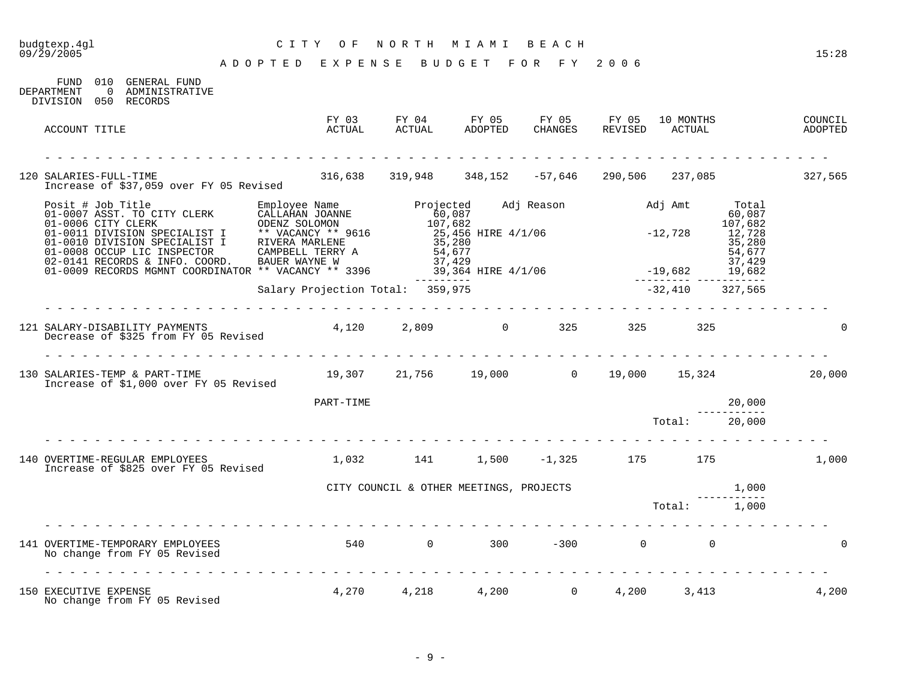#### budgtexp.4gl C I T Y O F N O R T H M I A M I B E A C H budgtexp.4g1 <br>09/29/2005 <br>09/29/2005 <br>2005 - 2012 PARTER PURTUGE PURCER PURCER PURCER PURCER PURCER PURCER PURCER PURCER PURCER PURCER PURCER PURCER

A D O P T E D E X P E N S E B U D G E T F O R F Y 2 0 0 6

FUND 010 GENERAL FUND DEPARTMENT 0 ADMINISTRATIVE DIVISION 050 RECORDS FY 03 FY 04 FY 05 FY 05 FY 05 10 MONTHS COUNCIL ACCOUNT TITLE ACTUAL ACTUAL ADOPTED CHANGES REVISED ACTUAL ADOPTED - - - - - - - - - - - - - - - - - - - - - - - - - - - - - - - - - - - - - - - - - - - - - - - - - - - - - - - - - - - - - - - 120 SALARIES-FULL-TIME 316,638 319,948 348,152 -57,646 290,506 237,085 327,565 Increase of \$37,059 over FY 05 Revised Posit # Job Title Employee Name Projected Adj Reason Adj Amt Total 01-0007 ASST. TO CITY CLERK CALLAHAN JOANNE 60,087 60,087 01-0006 CITY CLERK ODENZ SOLOMON 107,682 107,682 01-0011 DIVISION SPECIALIST I \*\* VACANCY \*\* 9616 25,456 HIRE 4/1/06 - 212,728 12,728 01-0010 DIVISION SPECIALIST I RIVERA MARLENE 35,280 35,280 35,280 01-0008 OCCUP LIC INSPECTOR CAMPBELL TERRY A 54,677 54,677 54,677 02-0141 RECORDS & INFO. COORD. BAUER WAYNE W 37,429 37,429 37,429 01-0009 RECORDS MGMNT COORDINATOR \*\* VACANCY \*\* 3396 39,364 HIRE 4/1/06 -19,682 19,682 --------- --------- ----------- Salary Projection Total: 359,975 - 12.410 -32,410 -327,565 - - - - - - - - - - - - - - - - - - - - - - - - - - - - - - - - - - - - - - - - - - - - - - - - - - - - - - - - - - - - - - - 121 SALARY-DISABILITY PAYMENTS 4,120 2,809 0 325 325 325 0 Decrease of \$325 from FY 05 Revised - - - - - - - - - - - - - - - - - - - - - - - - - - - - - - - - - - - - - - - - - - - - - - - - - - - - - - - - - - - - - - - 130 SALARIES-TEMP & PART-TIME 19,307 21,756 19,000 0 19,000 15,324 20,000 Increase of \$1,000 over FY 05 Revised PART-TIME 20.000 ----------- Total: 20,000 - - - - - - - - - - - - - - - - - - - - - - - - - - - - - - - - - - - - - - - - - - - - - - - - - - - - - - - - - - - - - - - 140 OVERTIME-REGULAR EMPLOYEES 1,032 141 1,500 -1,325 175 175 1,000 Increase of \$825 over FY 05 Revised CITY COUNCIL & OTHER MEETINGS, PROJECTS 1,000 ----------- Total: 1,000 - - - - - - - - - - - - - - - - - - - - - - - - - - - - - - - - - - - - - - - - - - - - - - - - - - - - - - - - - - - - - - - 141 OVERTIME-TEMPORARY EMPLOYEES 540 0 300 -300 0 0 0 No change from FY 05 Revised - - - - - - - - - - - - - - - - - - - - - - - - - - - - - - - - - - - - - - - - - - - - - - - - - - - - - - - - - - - - - - - 150 EXECUTIVE EXPENSE 4,270 4,218 4,200 0 4,200 3,413 4,200 No change from FY 05 Revised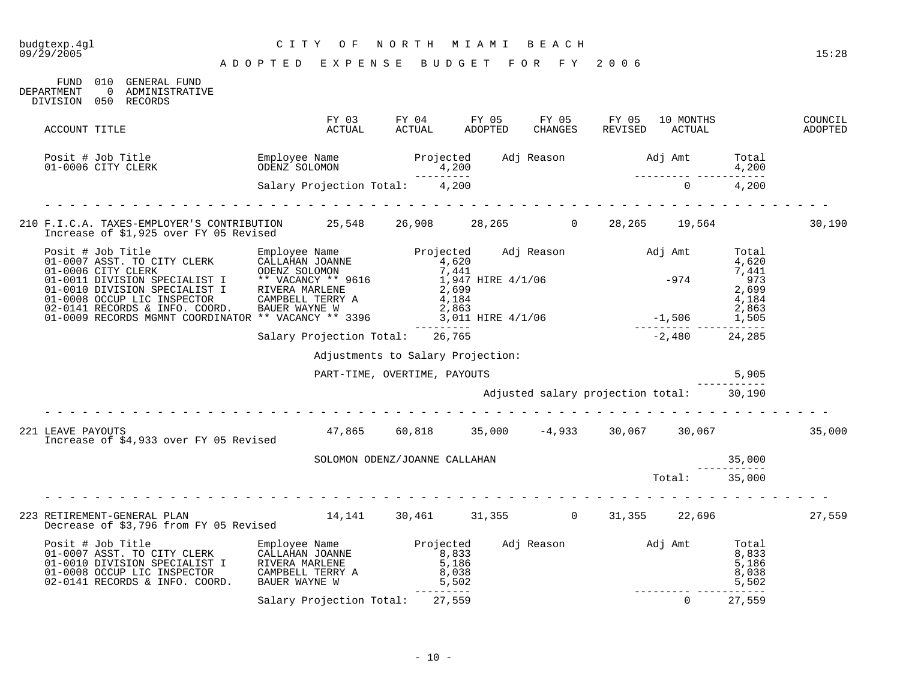| budgtexp.4ql<br>09/29/2005                                                                                                                                                                                                              | CITY OF<br>ADOPTED EXPENSE BUDGET FOR FY 2006 | NORTH MIAMI BEACH                                                                       |                    |                                          |                          |                       | 15:28              |
|-----------------------------------------------------------------------------------------------------------------------------------------------------------------------------------------------------------------------------------------|-----------------------------------------------|-----------------------------------------------------------------------------------------|--------------------|------------------------------------------|--------------------------|-----------------------|--------------------|
| FUND 010 GENERAL FUND<br>0 ADMINISTRATIVE<br>DEPARTMENT<br>DIVISION 050 RECORDS                                                                                                                                                         |                                               |                                                                                         |                    |                                          |                          |                       |                    |
| ACCOUNT TITLE                                                                                                                                                                                                                           |                                               | FY 03 FY 04 FY 05 FY 05 FY 05 10 MONTHS<br>ACTUAL ACTUAL ADOPTED CHANGES REVISED ACTUAL |                    |                                          |                          |                       | COUNCIL<br>ADOPTED |
| Posit # Job Title Change Mame Projected Adj Reason and Jamt Total Changes Changes Changes Changes Changes Chan<br>01-0006 CITY CLERK 6DENZ SOLOMON 1,200<br>Salary Projection Total: 1,200<br>24,200                                    |                                               |                                                                                         |                    |                                          |                          |                       |                    |
|                                                                                                                                                                                                                                         |                                               |                                                                                         |                    |                                          |                          |                       |                    |
| 210 F.I.C.A. TAXES-EMPLOYER'S CONTRIBUTION 25,548 26,908 28,265 0 28,265 19,564<br>Increase of \$1,925 over FY 05 Revised                                                                                                               |                                               |                                                                                         |                    |                                          |                          |                       | 30,190             |
|                                                                                                                                                                                                                                         |                                               |                                                                                         |                    |                                          |                          |                       |                    |
| Posit # Job Title<br>01-0007 ASST. TO CITY CLERK CALLAHAN JOANNE<br>01-0006 CITY CLERK ODENZ SOLOMON 7,441<br>01-0010 DIVISION SPECIALIST I ** VACANCY ** 9616 1,997<br>01-0010 DIVISION SPECIALIST I ** VACANCY ** 9616 1,997<br>01-00 |                                               |                                                                                         |                    |                                          |                          |                       |                    |
|                                                                                                                                                                                                                                         |                                               |                                                                                         |                    |                                          |                          |                       |                    |
|                                                                                                                                                                                                                                         | Salary Projection Total: 26,765               |                                                                                         | --------<br>26,765 |                                          | $-2,480$ 24,285          |                       |                    |
|                                                                                                                                                                                                                                         |                                               | Adjustments to Salary Projection:                                                       |                    |                                          |                          |                       |                    |
|                                                                                                                                                                                                                                         |                                               | PART-TIME, OVERTIME, PAYOUTS                                                            |                    |                                          |                          | 5,905                 |                    |
|                                                                                                                                                                                                                                         |                                               |                                                                                         |                    | Adjusted salary projection total: 30,190 |                          |                       |                    |
| 221 LEAVE PAYOUTS<br>Increase of \$4,933 over FY 05 Revised                                                                                                                                                                             |                                               | $47,865$ 60,818 35,000 -4,933 30,067 30,067 35,000                                      |                    |                                          |                          |                       |                    |
|                                                                                                                                                                                                                                         |                                               | SOLOMON ODENZ/JOANNE CALLAHAN                                                           |                    |                                          |                          | 35,000                |                    |
|                                                                                                                                                                                                                                         |                                               |                                                                                         |                    |                                          | $\mathtt{Total}$ :       | -----------<br>35,000 |                    |
|                                                                                                                                                                                                                                         |                                               |                                                                                         |                    |                                          |                          |                       |                    |
|                                                                                                                                                                                                                                         |                                               |                                                                                         |                    |                                          |                          |                       | 27,559             |
| Posit # Job Title<br>01-0007 ASST. TO CITY CLERK CALLAHAN JOANNE 8,833<br>01-0010 DIVISION SPECIALIST I RIVERA MARLENE 8,833<br>01-0008 OCCUP LIC INSPECTOR CAMPBELL TERRY A 8,038<br>02-0141 RECORDS & INFO. COORD. BAUER WAYNE W 5,5  |                                               | ----------                                                                              |                    |                                          | ________________________ |                       |                    |
|                                                                                                                                                                                                                                         | Salary Projection Total: 27,559               |                                                                                         |                    |                                          | $\Omega$                 | 27,559                |                    |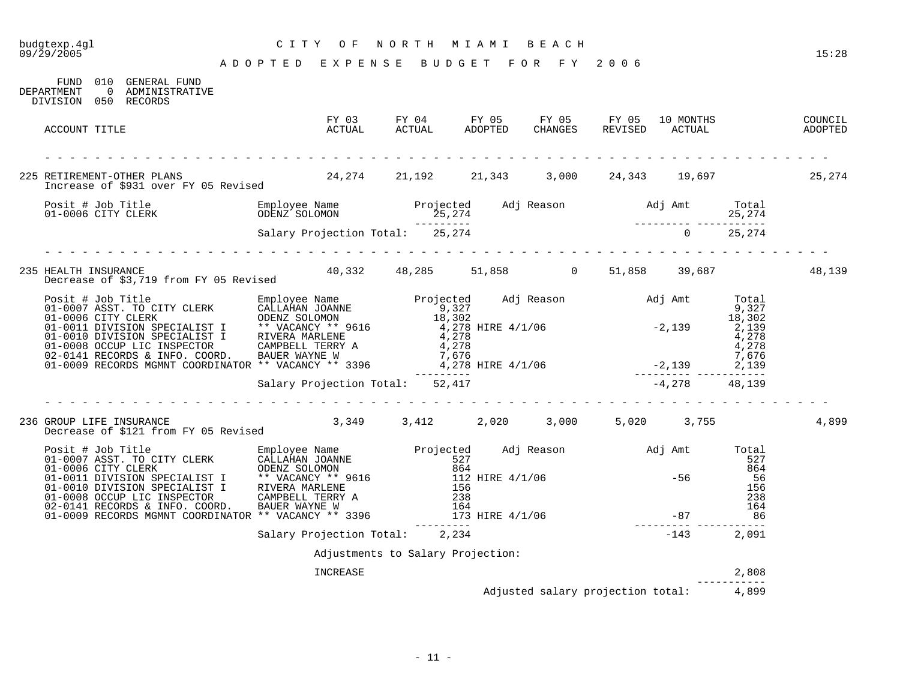# budgtexp.4gl C I T Y O F N O R T H M I A M I B E A C H

| DEPARTMENT<br>DIVISION 050 RECORDS | FUND 010 GENERAL FUND<br>0 ADMINISTRATIVE |                                                                                                                                                                                                                                         |  |                                         |                                                                                                                                                                                                                                                                                                                                                   |                            |        |
|------------------------------------|-------------------------------------------|-----------------------------------------------------------------------------------------------------------------------------------------------------------------------------------------------------------------------------------------|--|-----------------------------------------|---------------------------------------------------------------------------------------------------------------------------------------------------------------------------------------------------------------------------------------------------------------------------------------------------------------------------------------------------|----------------------------|--------|
| ACCOUNT TITLE                      |                                           |                                                                                                                                                                                                                                         |  |                                         |                                                                                                                                                                                                                                                                                                                                                   |                            |        |
|                                    |                                           |                                                                                                                                                                                                                                         |  |                                         |                                                                                                                                                                                                                                                                                                                                                   |                            |        |
|                                    |                                           | 225 RETIREMENT-OTHER PLANS 25,274<br>Increase of \$931 over FY 05 Revised 24,274 21,192 21,343 3,000 24,343 19,697 25,274                                                                                                               |  |                                         |                                                                                                                                                                                                                                                                                                                                                   |                            |        |
|                                    |                                           | Posit # Job Title Computer Sumployee Name Projected Adj Reason adj Amt Total<br>19,274 15,274 15,274 25,274<br>Salary Projection Total: 25,274 25,274 25,274<br>25,274 0 25,274                                                         |  |                                         |                                                                                                                                                                                                                                                                                                                                                   |                            |        |
|                                    |                                           |                                                                                                                                                                                                                                         |  |                                         |                                                                                                                                                                                                                                                                                                                                                   |                            |        |
|                                    |                                           |                                                                                                                                                                                                                                         |  |                                         |                                                                                                                                                                                                                                                                                                                                                   |                            | 48,139 |
|                                    |                                           | Posit # Job Title<br>01-0007 ASST. TO CITY CLERK CALLAHAN JOANNE<br>01-0006 CITY CLERK ODENZ SOLOMON<br>01-0010 DIVISION SPECIALIST I * VACANCY * 9616<br>01-0010 DIVISION SPECIALIST I RIVERA MARLENE<br>01-0010 DIVISION SPECIALIST I |  |                                         |                                                                                                                                                                                                                                                                                                                                                   |                            |        |
|                                    |                                           | Salary Projection Total: 52,417                                                                                                                                                                                                         |  |                                         | $-4,278$ 48,139                                                                                                                                                                                                                                                                                                                                   |                            |        |
|                                    | Decrease of \$121 from FY 05 Revised      | 236 GROUP LIFE INSURANCE 2,349 3,349 3,412 2,020 3,000 5,020 3,755                                                                                                                                                                      |  |                                         |                                                                                                                                                                                                                                                                                                                                                   |                            | 4,899  |
|                                    |                                           | Posit # Job Title<br>01-0007 ASST. TO CITY CLERK CALLAHAN JOANNE<br>01-0006 CITY CLERK CALLAHAN JOANNE<br>01-0010 EIVISION SPECIALIST I ** VACANCY ** 9616<br>01-0011 DIVISION SPECIALIST I ** VACANCY ** 9616<br>01-0010 DIVISION SPEC |  |                                         | $\begin{array}{r} 156 \\ 238 \\ 164 \\ -87 \\ -1000 \\ -1000 \\ -1000 \\ -1000 \\ -1000 \\ -1000 \\ -1000 \\ -1000 \\ -1000 \\ -1000 \\ -1000 \\ -1000 \\ -1000 \\ -1000 \\ -1000 \\ -1000 \\ -1000 \\ -1000 \\ -1000 \\ -1000 \\ -1000 \\ -1000 \\ -1000 \\ -1000 \\ -1000 \\ -1000 \\ -1000 \\ -1000 \\ -1000 \\ -1000 \\ -1000 \\ -1000 \\ -1$ |                            |        |
|                                    |                                           |                                                                                                                                                                                                                                         |  |                                         |                                                                                                                                                                                                                                                                                                                                                   |                            |        |
|                                    |                                           | Salary Projection Total: 2,234                                                                                                                                                                                                          |  |                                         | $-143$ 2,091                                                                                                                                                                                                                                                                                                                                      |                            |        |
|                                    |                                           | Adjustments to Salary Projection:                                                                                                                                                                                                       |  |                                         |                                                                                                                                                                                                                                                                                                                                                   |                            |        |
|                                    |                                           | INCREASE                                                                                                                                                                                                                                |  |                                         |                                                                                                                                                                                                                                                                                                                                                   | 2,808<br>. _ _ _ _ _ _ _ _ |        |
|                                    |                                           |                                                                                                                                                                                                                                         |  | Adjusted salary projection total: 4,899 |                                                                                                                                                                                                                                                                                                                                                   |                            |        |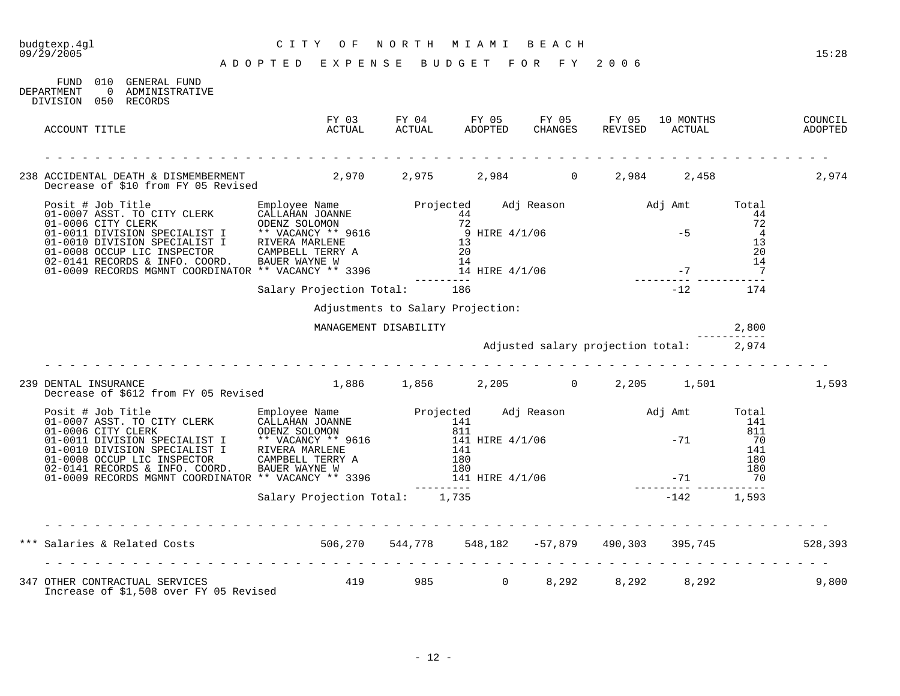| budgtexp.4gl<br>09/29/2005                                                                                                                                                                                                                                               | CITY OF NORTH MIAMI BEACH<br>A D O P T E D E X P E N S E B U D G E T F O R F Y 2006 |                       |                                         |  |  |           |       |       |  |
|--------------------------------------------------------------------------------------------------------------------------------------------------------------------------------------------------------------------------------------------------------------------------|-------------------------------------------------------------------------------------|-----------------------|-----------------------------------------|--|--|-----------|-------|-------|--|
|                                                                                                                                                                                                                                                                          |                                                                                     |                       |                                         |  |  |           |       | 15:28 |  |
| FUND 010 GENERAL FUND<br>DEPARTMENT<br>0 ADMINISTRATIVE<br>DIVISION 050 RECORDS                                                                                                                                                                                          |                                                                                     |                       |                                         |  |  |           |       |       |  |
| ACCOUNT TITLE                                                                                                                                                                                                                                                            |                                                                                     |                       |                                         |  |  |           |       |       |  |
|                                                                                                                                                                                                                                                                          |                                                                                     |                       |                                         |  |  |           |       |       |  |
| 238 ACCIDENTAL DEATH & DISMEMBERMENT 2,970 2,975 2,984 0 2,984 2,458 2,974<br>Decrease of \$10 from FY 05 Revised                                                                                                                                                        |                                                                                     |                       |                                         |  |  |           |       |       |  |
| Posit # Job Title<br>01-0007 ASST. TO CITY CLERK CALLAHAN JOANNE<br>01-0006 CITY CLERK ODENZ SOLOMON<br>01-0010 DIVISION SPECIALIST I * VACANCY ** 9616<br>01-0010 DIVISION SPECIALIST I * VACANCY ** 9616<br>01-0010 DIVISION SPECIALI                                  |                                                                                     |                       |                                         |  |  |           |       |       |  |
|                                                                                                                                                                                                                                                                          | Salary Projection Total: 186                                                        |                       |                                         |  |  | $-12$ 174 |       |       |  |
|                                                                                                                                                                                                                                                                          |                                                                                     |                       | Adjustments to Salary Projection:       |  |  |           |       |       |  |
|                                                                                                                                                                                                                                                                          |                                                                                     | MANAGEMENT DISABILITY |                                         |  |  |           | 2,800 |       |  |
|                                                                                                                                                                                                                                                                          |                                                                                     |                       | Adjusted salary projection total: 2,974 |  |  |           |       |       |  |
| 239 DENTAL INSURANCE<br>Decrease of \$612 from FY 05 Revised 1,886 1,856 2,205 0 2,205 1,501                                                                                                                                                                             |                                                                                     |                       |                                         |  |  |           |       | 1,593 |  |
|                                                                                                                                                                                                                                                                          |                                                                                     |                       |                                         |  |  |           |       |       |  |
|                                                                                                                                                                                                                                                                          |                                                                                     |                       |                                         |  |  |           |       |       |  |
|                                                                                                                                                                                                                                                                          |                                                                                     |                       |                                         |  |  |           |       |       |  |
| *** Salaries & Related Costs 628,393 506,270 544,778 548,182 -57,879 490,303 395,745                                                                                                                                                                                     |                                                                                     |                       |                                         |  |  |           |       |       |  |
| 347 OTHER CONTRACTUAL SERVICES                                   419           985                         8,292         8,292         8,292         8,292           8,292           8,292             8,292                 8<br>Increase of \$1,508 over FY 05 Revised |                                                                                     |                       |                                         |  |  |           |       | 9,800 |  |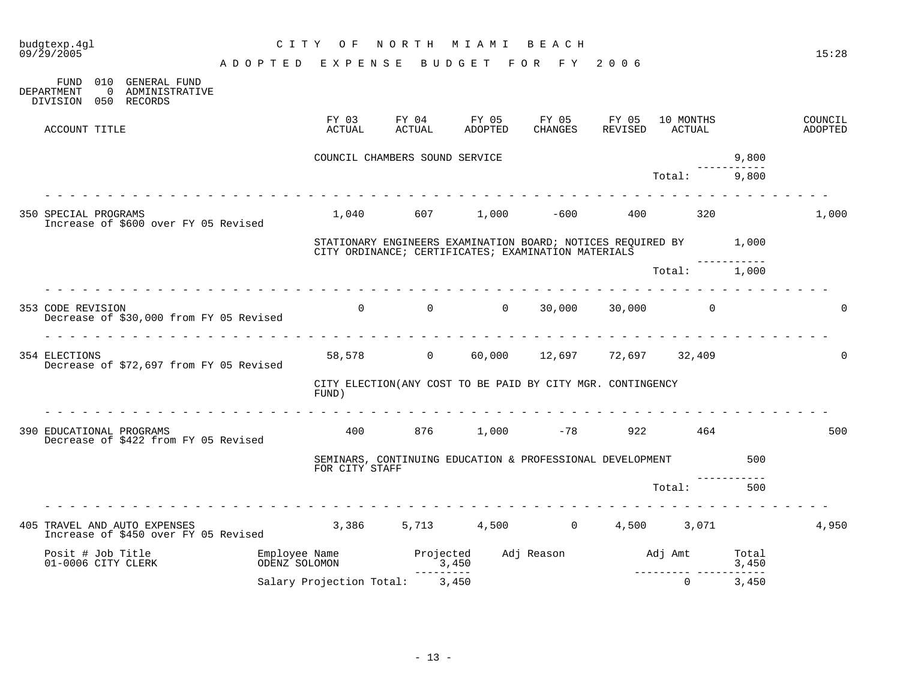| budgtexp.4gl<br>09/29/2005                                                                      | C I T Y<br>ADOPTED EXPENSE BUDGET FOR FY 2006   | NORTH<br>O F                                                                                                             | M I A M I                               | BEACH               |                  |                     |                | 15:28              |
|-------------------------------------------------------------------------------------------------|-------------------------------------------------|--------------------------------------------------------------------------------------------------------------------------|-----------------------------------------|---------------------|------------------|---------------------|----------------|--------------------|
| FUND 010 GENERAL FUND<br>DEPARTMENT<br>$\overline{0}$<br>ADMINISTRATIVE<br>DIVISION 050 RECORDS |                                                 |                                                                                                                          |                                         |                     |                  |                     |                |                    |
| ACCOUNT TITLE                                                                                   | ACTUAL                                          | FY 03                                                                                                                    | ADOPTED                                 | FY 05<br>CHANGES    | FY 05<br>REVISED | 10 MONTHS<br>ACTUAL |                | COUNCIL<br>ADOPTED |
|                                                                                                 |                                                 | COUNCIL CHAMBERS SOUND SERVICE                                                                                           |                                         |                     |                  |                     | 9,800          |                    |
|                                                                                                 |                                                 |                                                                                                                          |                                         |                     |                  | Total:              | 9,800          |                    |
| 350 SPECIAL PROGRAMS<br>Increase of \$600 over FY 05 Revised                                    |                                                 | $1,040$ 607 $1,000$ -600 400 320                                                                                         |                                         |                     |                  |                     |                | 1,000              |
|                                                                                                 |                                                 | STATIONARY ENGINEERS EXAMINATION BOARD; NOTICES REQUIRED BY 1,000<br>CITY ORDINANCE; CERTIFICATES; EXAMINATION MATERIALS |                                         |                     |                  |                     |                |                    |
|                                                                                                 |                                                 |                                                                                                                          |                                         |                     |                  | Total: 1,000        |                |                    |
| 353 CODE REVISION<br>Decrease of \$30,000 from FY 05 Revised                                    |                                                 | $0$ 0 0 30,000 30,000 0                                                                                                  |                                         |                     |                  |                     |                | $\Omega$           |
| 354 ELECTIONS<br>Decrease of \$72,697 from FY 05 Revised                                        |                                                 | 58,578 0 60,000 12,697 72,697 32,409                                                                                     |                                         |                     |                  |                     |                | $\mathbf 0$        |
|                                                                                                 | FUND)                                           | CITY ELECTION(ANY COST TO BE PAID BY CITY MGR. CONTINGENCY                                                               |                                         |                     |                  |                     |                |                    |
| 390 EDUCATIONAL PROGRAMS<br>Decrease of \$422 from FY 05 Revised                                |                                                 | $400$ 876 1,000 -78 922 464                                                                                              |                                         |                     |                  |                     |                | 500                |
|                                                                                                 |                                                 | SEMINARS, CONTINUING EDUCATION & PROFESSIONAL DEVELOPMENT<br>FOR CITY STAFF                                              |                                         |                     |                  |                     | 500            |                    |
|                                                                                                 |                                                 |                                                                                                                          |                                         |                     |                  | Total:              | 500            |                    |
| 405 TRAVEL AND AUTO EXPENSES<br>Increase of \$450 over FY 05 Revised                            |                                                 | $3,386$ $5,713$ $4,500$ 0 $4,500$ $3,071$                                                                                |                                         |                     |                  |                     |                | 4,950              |
| Posit # Job Title<br>01-0006 CITY CLERK                                                         | Employee Name<br>oprnz solomon<br>ODENZ SOLOMON |                                                                                                                          | Projected<br>3,450<br>$- - - - - - - -$ | Adj Reason Madj Amt |                  |                     | Total<br>3,450 |                    |
|                                                                                                 | Salary Projection Total: 3,450                  |                                                                                                                          |                                         |                     |                  | $\Omega$            | 3,450          |                    |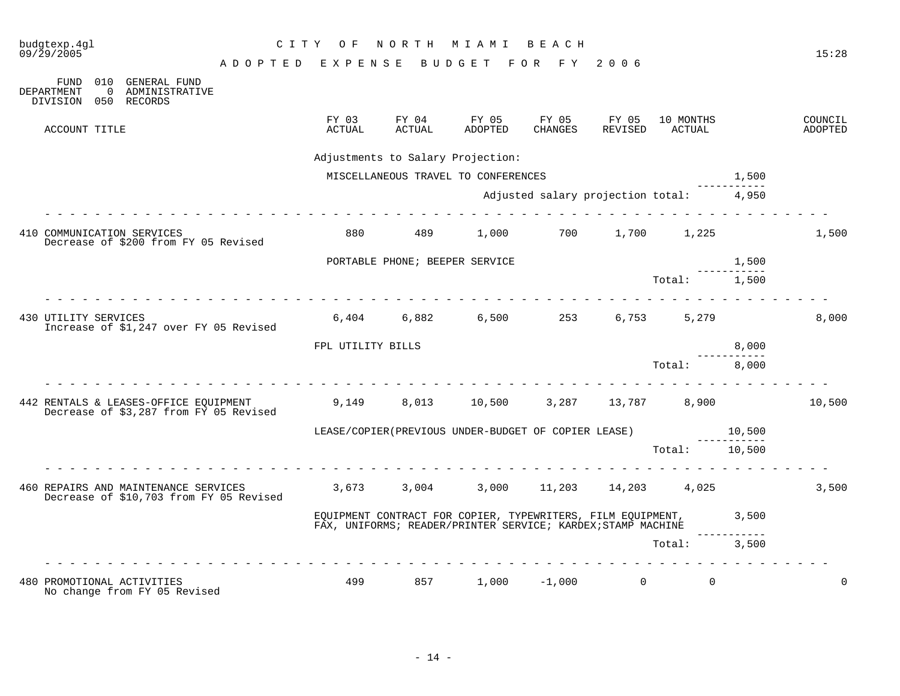| budgtexp.4ql<br>09/29/2005 |                        |                                                                                            | NORTH MIAMI<br>CITY OF<br>BEACH    |                   |                                |                                                                                                                                   |                                         |                  |                      |             | 15:28              |
|----------------------------|------------------------|--------------------------------------------------------------------------------------------|------------------------------------|-------------------|--------------------------------|-----------------------------------------------------------------------------------------------------------------------------------|-----------------------------------------|------------------|----------------------|-------------|--------------------|
|                            |                        |                                                                                            | ADOPTED EXPENSE BUDGET FOR FY 2006 |                   |                                |                                                                                                                                   |                                         |                  |                      |             |                    |
| <b>DEPARTMENT</b>          | FUND<br>$\overline{0}$ | 010 GENERAL FUND<br>ADMINISTRATIVE<br>DIVISION 050 RECORDS                                 |                                    |                   |                                |                                                                                                                                   |                                         |                  |                      |             |                    |
|                            | ACCOUNT TITLE          |                                                                                            |                                    | FY 03<br>ACTUAL   | FY 04<br>ACTUAL                | FY 05<br>ADOPTED                                                                                                                  | FY 05<br>CHANGES                        | FY 05<br>REVISED | 10 MONTHS<br>ACTUAL  |             | COUNCIL<br>ADOPTED |
|                            |                        |                                                                                            |                                    |                   |                                | Adjustments to Salary Projection:                                                                                                 |                                         |                  |                      |             |                    |
|                            |                        |                                                                                            |                                    |                   |                                | MISCELLANEOUS TRAVEL TO CONFERENCES                                                                                               |                                         |                  |                      | 1,500       |                    |
|                            |                        |                                                                                            |                                    |                   |                                |                                                                                                                                   | Adjusted salary projection total: 4,950 |                  |                      |             |                    |
|                            |                        |                                                                                            |                                    |                   |                                |                                                                                                                                   |                                         |                  |                      |             |                    |
|                            |                        | 410 COMMUNICATION SERVICES<br>Decrease of \$200 from FY 05 Revised                         |                                    | 880               | 489                            | 1,000                                                                                                                             | 700                                     |                  | 1,700 1,225          |             | 1,500              |
|                            |                        |                                                                                            |                                    |                   | PORTABLE PHONE; BEEPER SERVICE |                                                                                                                                   |                                         |                  |                      | 1,500       |                    |
|                            |                        |                                                                                            |                                    |                   |                                |                                                                                                                                   |                                         |                  | Total: 1,500         |             |                    |
| 430 UTILITY SERVICES       |                        | Increase of \$1,247 over FY 05 Revised                                                     |                                    |                   |                                | $6,404$ $6,882$ $6,500$ $253$ $6,753$ $5,279$                                                                                     |                                         |                  |                      |             | 8,000              |
|                            |                        |                                                                                            |                                    | FPL UTILITY BILLS |                                |                                                                                                                                   |                                         |                  |                      | 8,000       |                    |
|                            |                        |                                                                                            |                                    |                   |                                |                                                                                                                                   |                                         |                  | Total: 8,000         |             |                    |
|                            |                        | 442 RENTALS & LEASES-OFFICE EQUIPMENT<br>Decrease of $$3,287$ from $F\tilde{Y}$ 05 Revised |                                    |                   |                                | $9,149$ $8,013$ $10,500$ $3,287$ $13,787$ $8,900$                                                                                 |                                         |                  |                      |             | 10,500             |
|                            |                        |                                                                                            |                                    |                   |                                | LEASE/COPIER(PREVIOUS UNDER-BUDGET OF COPIER LEASE)                                                                               |                                         |                  | 10,500               | ----------- |                    |
|                            |                        |                                                                                            |                                    |                   |                                |                                                                                                                                   |                                         |                  | Total: 10,500        |             |                    |
|                            |                        | 460 REPAIRS AND MAINTENANCE SERVICES<br>Decrease of \$10,703 from FY 05 Revised            |                                    | 3,673 3,004       |                                |                                                                                                                                   | 3,000 11,203 14,203                     |                  | 4,025                |             | 3,500              |
|                            |                        |                                                                                            |                                    |                   |                                | EQUIPMENT CONTRACT FOR COPIER, TYPEWRITERS, FILM EQUIPMENT, 3,500<br>FAX, UNIFORMS; READER/PRINTER SERVICE; KARDEX; STAMP MACHINE |                                         |                  |                      |             |                    |
|                            |                        |                                                                                            |                                    |                   |                                |                                                                                                                                   |                                         |                  | Total: 3,500         |             |                    |
|                            |                        | .<br>480 PROMOTIONAL ACTIVITIES<br>No change from FY 05 Revised                            |                                    | 499               |                                | 857 1,000 -1,000                                                                                                                  |                                         |                  | $\Omega$<br>$\Omega$ |             | $\Omega$           |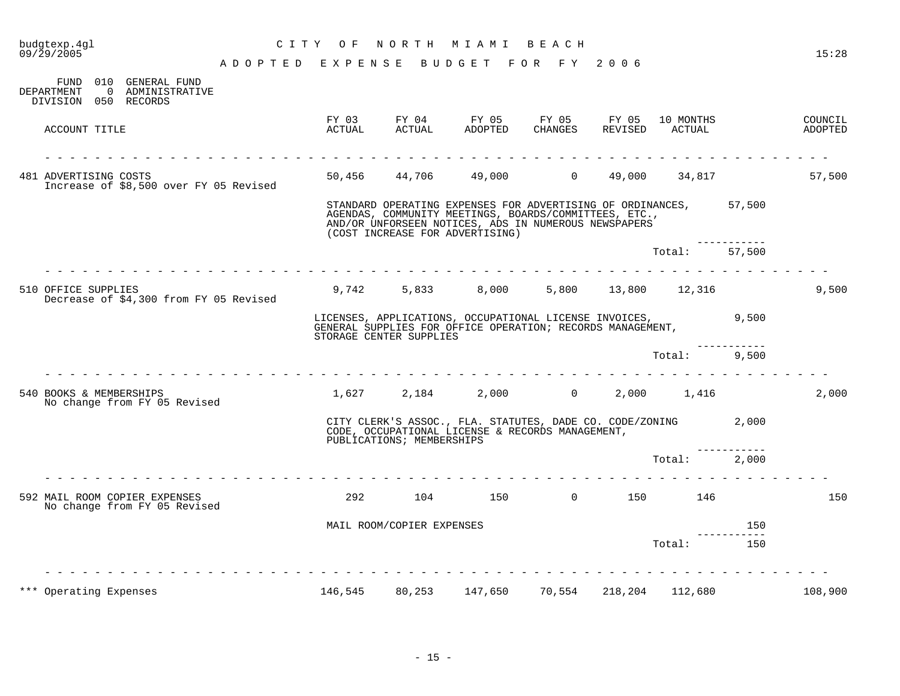|                 |                 |                                 | BEACH                                                                                                                                              |                                             |                                                                                   |                                                                                                                                                                                                                                                                                                                                       | 15:28                                                                                                                                                                                                                                                                   |
|-----------------|-----------------|---------------------------------|----------------------------------------------------------------------------------------------------------------------------------------------------|---------------------------------------------|-----------------------------------------------------------------------------------|---------------------------------------------------------------------------------------------------------------------------------------------------------------------------------------------------------------------------------------------------------------------------------------------------------------------------------------|-------------------------------------------------------------------------------------------------------------------------------------------------------------------------------------------------------------------------------------------------------------------------|
|                 |                 |                                 |                                                                                                                                                    |                                             |                                                                                   |                                                                                                                                                                                                                                                                                                                                       |                                                                                                                                                                                                                                                                         |
|                 |                 |                                 |                                                                                                                                                    |                                             |                                                                                   |                                                                                                                                                                                                                                                                                                                                       |                                                                                                                                                                                                                                                                         |
| FY 03<br>ACTUAL | FY 04<br>ACTUAL |                                 | CHANGES                                                                                                                                            |                                             | ACTUAL                                                                            |                                                                                                                                                                                                                                                                                                                                       | COUNCIL<br>ADOPTED                                                                                                                                                                                                                                                      |
|                 |                 |                                 |                                                                                                                                                    |                                             |                                                                                   |                                                                                                                                                                                                                                                                                                                                       |                                                                                                                                                                                                                                                                         |
|                 |                 |                                 |                                                                                                                                                    |                                             |                                                                                   |                                                                                                                                                                                                                                                                                                                                       | 57,500                                                                                                                                                                                                                                                                  |
|                 |                 |                                 |                                                                                                                                                    |                                             |                                                                                   |                                                                                                                                                                                                                                                                                                                                       |                                                                                                                                                                                                                                                                         |
|                 |                 |                                 |                                                                                                                                                    |                                             |                                                                                   | 57,500                                                                                                                                                                                                                                                                                                                                |                                                                                                                                                                                                                                                                         |
|                 |                 |                                 |                                                                                                                                                    |                                             |                                                                                   |                                                                                                                                                                                                                                                                                                                                       | 9,500                                                                                                                                                                                                                                                                   |
|                 |                 |                                 |                                                                                                                                                    |                                             |                                                                                   |                                                                                                                                                                                                                                                                                                                                       |                                                                                                                                                                                                                                                                         |
|                 |                 |                                 |                                                                                                                                                    |                                             |                                                                                   | 9,500                                                                                                                                                                                                                                                                                                                                 |                                                                                                                                                                                                                                                                         |
|                 |                 |                                 |                                                                                                                                                    |                                             |                                                                                   |                                                                                                                                                                                                                                                                                                                                       | 2,000                                                                                                                                                                                                                                                                   |
|                 |                 |                                 |                                                                                                                                                    |                                             |                                                                                   |                                                                                                                                                                                                                                                                                                                                       |                                                                                                                                                                                                                                                                         |
|                 |                 |                                 |                                                                                                                                                    |                                             |                                                                                   |                                                                                                                                                                                                                                                                                                                                       |                                                                                                                                                                                                                                                                         |
|                 |                 |                                 |                                                                                                                                                    |                                             |                                                                                   |                                                                                                                                                                                                                                                                                                                                       | 150                                                                                                                                                                                                                                                                     |
|                 |                 |                                 |                                                                                                                                                    |                                             |                                                                                   | 150                                                                                                                                                                                                                                                                                                                                   |                                                                                                                                                                                                                                                                         |
|                 |                 |                                 |                                                                                                                                                    |                                             |                                                                                   | 150                                                                                                                                                                                                                                                                                                                                   |                                                                                                                                                                                                                                                                         |
|                 |                 |                                 |                                                                                                                                                    |                                             |                                                                                   |                                                                                                                                                                                                                                                                                                                                       |                                                                                                                                                                                                                                                                         |
|                 | CITY OF<br>.    | NORTH<br>ADOPTED EXPENSE<br>292 | M I A M I<br>50,456 44,706<br>(COST INCREASE FOR ADVERTISING)<br>STORAGE CENTER SUPPLIES<br>PUBLICATIONS; MEMBERSHIPS<br>MAIL ROOM/COPIER EXPENSES | FY 05 FY 05<br>ADOPTED<br>9,742 5,833 8,000 | BUDGET FOR FY 2006<br>REVISED<br>CODE, OCCUPATIONAL LICENSE & RECORDS MANAGEMENT, | FY 05<br>49,000 0 49,000<br>AGENDAS, COMMUNITY MEETINGS, BOARDS/COMMITTEES, ETC.,<br>AND/OR UNFORSEEN NOTICES, ADS IN NUMEROUS NEWSPAPERS<br>Total:<br>in a change and a change<br>LICENSES, APPLICATIONS, OCCUPATIONAL LICENSE INVOICES,<br>GENERAL SUPPLIES FOR OFFICE OPERATION; RECORDS MANAGEMENT,<br>Total:<br>Total:<br>Total: | 10 MONTHS<br>34,817<br>STANDARD OPERATING EXPENSES FOR ADVERTISING OF ORDINANCES, 57,500<br>5,800 13,800 12,316<br>9,500<br>$1,627$ $2,184$ $2,000$ 0 $2,000$ $1,416$<br>CITY CLERK'S ASSOC., FLA. STATUTES, DADE CO. CODE/ZONING 2,000<br>2,000<br>$104$ 150 0 150 146 |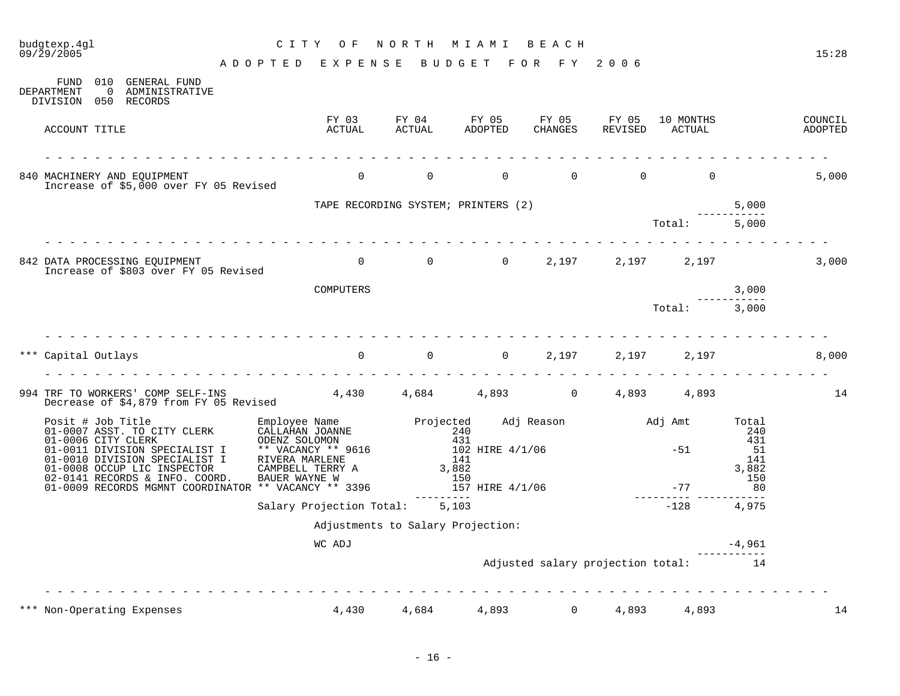# budgtexp.4gl C I T Y O F N O R T H M I A M I B E A C H

| 010<br><b>GENERAL FUND</b><br>FUND<br>DEPARTMENT<br>$\Omega$<br>ADMINISTRATIVE<br>DIVISION 050 RECORDS                                                                                                    |                                                                                                                                                                    |                                     |                                               |                                   |                  |                     |                                                  |                    |
|-----------------------------------------------------------------------------------------------------------------------------------------------------------------------------------------------------------|--------------------------------------------------------------------------------------------------------------------------------------------------------------------|-------------------------------------|-----------------------------------------------|-----------------------------------|------------------|---------------------|--------------------------------------------------|--------------------|
| ACCOUNT TITLE                                                                                                                                                                                             | FY 03<br>ACTUAL                                                                                                                                                    | FY 04<br>ACTUAL                     | FY 05<br>ADOPTED                              | FY 05<br>CHANGES                  | FY 05<br>REVISED | 10 MONTHS<br>ACTUAL |                                                  | COUNCIL<br>ADOPTED |
| 840 MACHINERY AND EOUIPMENT<br>Increase of \$5,000 over FY 05 Revised                                                                                                                                     | $\overline{0}$                                                                                                                                                     | $\mathbf 0$                         | $\Omega$                                      | $\Omega$                          | $\Omega$         | $\Omega$            |                                                  | 5,000              |
|                                                                                                                                                                                                           |                                                                                                                                                                    | TAPE RECORDING SYSTEM; PRINTERS (2) |                                               |                                   |                  |                     | 5,000                                            |                    |
|                                                                                                                                                                                                           |                                                                                                                                                                    |                                     |                                               |                                   |                  | Total:              | 5,000                                            |                    |
| 842 DATA PROCESSING EQUIPMENT<br>Increase of \$803 over FY 05 Revised                                                                                                                                     | $\mathbf{0}$                                                                                                                                                       | 0                                   |                                               | $0 \qquad \qquad$<br>2,197        | 2,197            | 2,197               |                                                  | 3,000              |
|                                                                                                                                                                                                           | COMPUTERS                                                                                                                                                          |                                     |                                               |                                   |                  |                     | 3,000                                            |                    |
|                                                                                                                                                                                                           |                                                                                                                                                                    |                                     |                                               |                                   |                  | Total:              | 3,000                                            |                    |
| *** Capital Outlays<br>994 TRF TO WORKERS' COMP SELF-INS                                                                                                                                                  | 4,430 4,684                                                                                                                                                        | $0 \qquad \qquad 0 \qquad \qquad 0$ |                                               | 2,197<br>4,893 0                  | 2,197<br>4,893   | 2,197<br>4,893      |                                                  | 8,000<br>14        |
| Decrease of \$4,879 from FY 05 Revised                                                                                                                                                                    |                                                                                                                                                                    |                                     |                                               |                                   |                  |                     |                                                  |                    |
| Posit # Job Title<br>01-0007 ASST. TO CITY CLERK<br>01-0006 CITY CLERK<br>01-0011 DIVISION SPECIALIST I<br>01-0010 DIVISION SPECIALIST I<br>01-0008 OCCUP LIC INSPECTOR<br>02-0141 RECORDS & INFO. COORD. | Employee Name <b>Projected</b> Adj Reason Adj Amt<br>CALLAHAN JOANNE<br>ODENZ SOLOMON<br>** VACANCY ** 9616<br>RIVERA MARLENE<br>CAMPBELL TERRY A<br>BAUER WAYNE W | 240                                 | 431<br>102 HIRE 4/1/06<br>141<br>3,882<br>150 |                                   |                  | $-51$               | Total<br>240<br>431<br>51<br>141<br>3,882<br>150 |                    |
| 01-0009 RECORDS MGMNT COORDINATOR ** VACANCY ** 3396                                                                                                                                                      |                                                                                                                                                                    |                                     | 157 HIRE 4/1/06                               |                                   |                  | $-77$               | 80                                               |                    |
|                                                                                                                                                                                                           | Salary Projection Total:                                                                                                                                           |                                     | 5,103                                         |                                   |                  | $-128$              | 4,975                                            |                    |
|                                                                                                                                                                                                           |                                                                                                                                                                    | Adjustments to Salary Projection:   |                                               |                                   |                  |                     |                                                  |                    |
|                                                                                                                                                                                                           | WC ADJ                                                                                                                                                             |                                     |                                               |                                   |                  |                     | $-4,961$                                         |                    |
|                                                                                                                                                                                                           |                                                                                                                                                                    |                                     |                                               | Adjusted salary projection total: |                  |                     | 14                                               |                    |
| *** Non-Operating Expenses                                                                                                                                                                                | 4,430                                                                                                                                                              | 4,684                               | 4,893                                         | $\Omega$                          | 4,893            | 4,893               |                                                  | 14                 |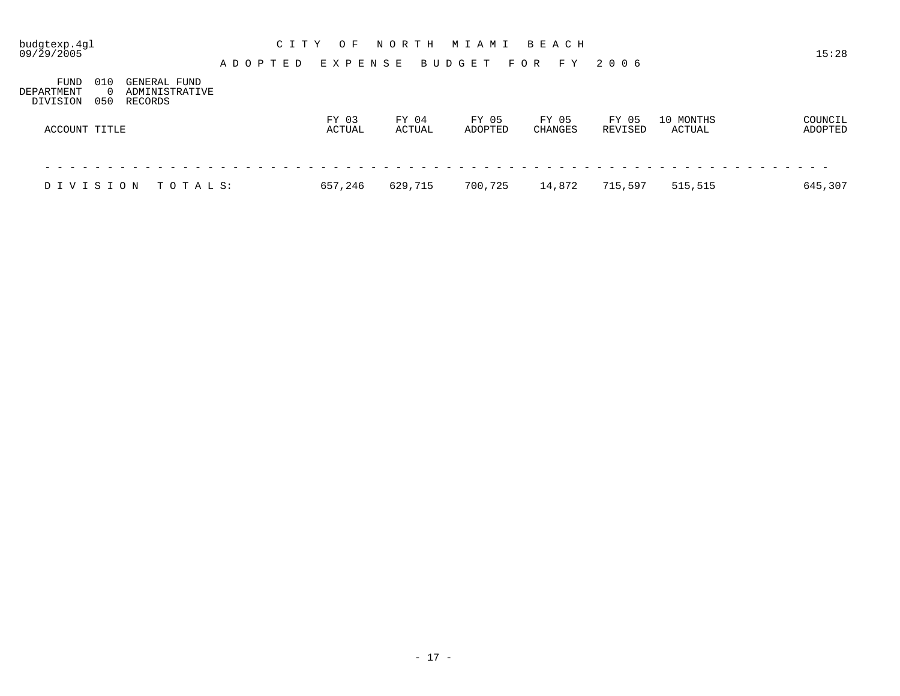| budgtexp.4gl<br>09/29/2005     |                                                                     | A D O P T E D | C I T Y<br>O F<br>EXPENSE | NORTH           | M I A M I<br>BUDGET | B E A C H<br>F O R<br>F Y | 2006             |                     | 15:28              |
|--------------------------------|---------------------------------------------------------------------|---------------|---------------------------|-----------------|---------------------|---------------------------|------------------|---------------------|--------------------|
| FUND<br>DEPARTMENT<br>DIVISION | 010<br>GENERAL FUND<br>ADMINISTRATIVE<br>$\Omega$<br>050<br>RECORDS |               |                           |                 |                     |                           |                  |                     |                    |
| ACCOUNT TITLE                  |                                                                     |               | FY 03<br>ACTUAL           | FY 04<br>ACTUAL | FY 05<br>ADOPTED    | FY 05<br><b>CHANGES</b>   | FY 05<br>REVISED | 10 MONTHS<br>ACTUAL | COUNCIL<br>ADOPTED |
|                                |                                                                     |               |                           |                 |                     |                           |                  |                     |                    |
| DIVISION                       | TOTALS:                                                             |               | 657,246                   | 629,715         | 700,725             | 14,872                    | 715,597          | 515,515             | 645,307            |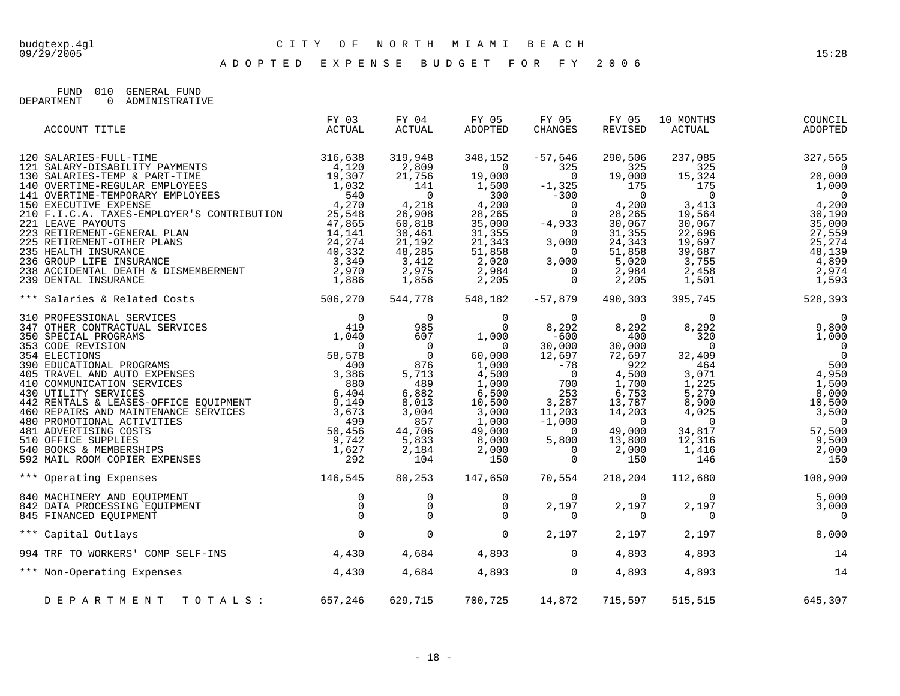A D O P T E D E X P E N S E B U D G E T F O R F Y 2 0 0 6

FUND 010 GENERAL FUND<br>DEPARTMENT 0 ADMINISTRATIV 0 ADMINISTRATIVE

| ACCOUNT TITLE                                                                          | FY 03<br>ACTUAL | FY 04<br>ACTUAL  | FY 05<br>ADOPTED                                                                                                                                                                                                                                                                                              | FY 05<br>CHANGES                          | FY 05<br>REVISED                          | 10 MONTHS<br>ACTUAL                                                               | COUNCIL<br>ADOPTED                                                                                                                                                                                                                                                                                                                |
|----------------------------------------------------------------------------------------|-----------------|------------------|---------------------------------------------------------------------------------------------------------------------------------------------------------------------------------------------------------------------------------------------------------------------------------------------------------------|-------------------------------------------|-------------------------------------------|-----------------------------------------------------------------------------------|-----------------------------------------------------------------------------------------------------------------------------------------------------------------------------------------------------------------------------------------------------------------------------------------------------------------------------------|
|                                                                                        |                 | 319,948<br>2,809 | 348,152<br>$\sim$ 0<br>$\begin{array}{cccc} 2,809 & 0 & 325 & 325 \\ 21,756 & 19,000 & 0 & 19,000 \\ 141 & 1,500 & -1,325 & 175 \\ 0 & 300 & -300 & 0 \\ 2,6,908 & 28,265 & 0 & 28,265 \\ 60,818 & 35,000 & -4,933 & 30,067 \\ 30,461 & 31,355 & 0 & 31,355 \\ 21,192 & 21,343 & 3,000 & 24,343 \\ 48,285 & $ | $-57,646$<br>325                          | 290,506<br>325                            | 237,085<br>325<br>$\frac{0}{19}$ , 413<br>$\frac{1}{2}$ , 755<br>2, 458<br>1, 501 | 327,565<br>$\overline{\phantom{0}}$<br>$\begin{array}{cccc} 325 & 0 & 0 \\ 15,324 & 20,000 \\ 175 & 0 & 1,000 \\ 3,413 & 4,200 \\ 19,564 & 30,190 \\ 30,067 & 35,000 \\ 22,696 & 27,559 \\ 19,697 & 25,274 \\ 39,697 & 48,139 \\ \end{array}$<br>4,899<br>2,974<br>1,593                                                          |
| *** Salaries & Related Costs 506,270                                                   |                 |                  | 544,778 548,182 -57,879                                                                                                                                                                                                                                                                                       |                                           | 490,303                                   | 395,745                                                                           | 528, 393                                                                                                                                                                                                                                                                                                                          |
|                                                                                        |                 |                  |                                                                                                                                                                                                                                                                                                               |                                           |                                           | $\overline{0}$<br>$8, 292$<br>320<br>1,416                                        | $\overline{0}$<br>$\begin{array}{cccc} 0 & 0 & 0 \\ 8,292 & 9,800 \\ 320 & 0 & 1,000 \\ 0 & 464 & 500 \\ 1,225 & 1,500 \\ 8,279 & 8,000 \\ 4,025 & 3,500 \\ \end{array}$<br>$\begin{array}{c} 0 \\ 34,817 \\ 12,316 \\ 1,416 \\ 146 \end{array} \hspace{1.5cm} \begin{array}{c} 0 \\ 57,500 \\ 9,500 \\ 2,000 \\ 150 \end{array}$ |
| 146,545<br>*** Operating Expenses                                                      |                 | 80,253           | 147,650                                                                                                                                                                                                                                                                                                       | 70,554                                    | 218,204                                   |                                                                                   | 112,680 108,900                                                                                                                                                                                                                                                                                                                   |
| 840 MACHINERY AND EQUIPMENT<br>842 DATA PROCESSING EQUIPMENT<br>845 FINANCED EQUIPMENT |                 |                  |                                                                                                                                                                                                                                                                                                               | $\overline{0}$<br>2,197<br>$\overline{0}$ | $\overline{0}$<br>2,197<br>$\overline{0}$ | $\overline{0}$<br>2,197<br>$\mathbf 0$                                            | 5,000<br>3,000<br>$\overline{0}$                                                                                                                                                                                                                                                                                                  |
| *** Capital Outlays                                                                    |                 |                  |                                                                                                                                                                                                                                                                                                               | 2,197                                     | 2,197                                     | 2,197                                                                             | 8,000                                                                                                                                                                                                                                                                                                                             |
| 994 TRF TO WORKERS' COMP SELF-INS 4,430                                                |                 |                  | 4,684 4,893 0                                                                                                                                                                                                                                                                                                 |                                           | 4,893                                     | 4,893                                                                             | 14                                                                                                                                                                                                                                                                                                                                |
| *** Non-Operating Expenses 4,430                                                       |                 | 4,684            |                                                                                                                                                                                                                                                                                                               | $4,893$ 0                                 | 4,893                                     | 4,893                                                                             | 14                                                                                                                                                                                                                                                                                                                                |
| DEPARTMENT TOTALS: 657,246                                                             |                 | 629,715          | 700,725 14,872 715,597                                                                                                                                                                                                                                                                                        |                                           |                                           |                                                                                   | 515,515 645,307                                                                                                                                                                                                                                                                                                                   |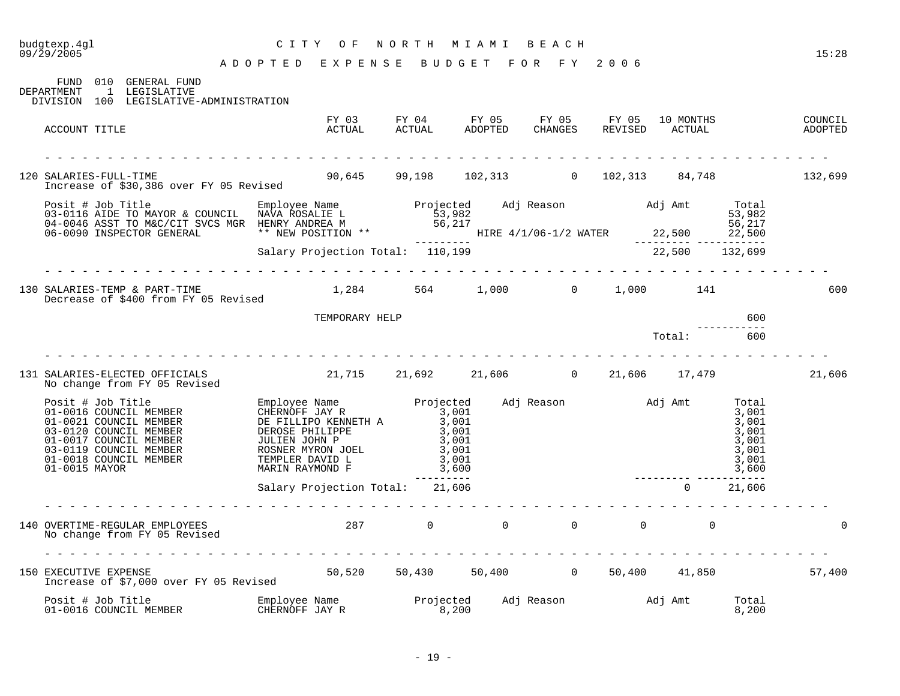# budgtexp.4gl C I T Y O F N O R T H M I A M I B E A C H

| FUND 010 GENERAL FUND<br>1 LEGISLATIVE<br>DEPARTMENT<br>DIVISION 100 LEGISLATIVE-ADMINISTRATION                                                                                                                                      |                                                |                                   |  |                        |                |        |
|--------------------------------------------------------------------------------------------------------------------------------------------------------------------------------------------------------------------------------------|------------------------------------------------|-----------------------------------|--|------------------------|----------------|--------|
| ACCOUNT TITLE                                                                                                                                                                                                                        |                                                |                                   |  |                        |                |        |
| 120 SALARIES-FULL-TIME<br>Increase of \$30,386 over FY 05 Revised                                                                                                                                                                    | 90,645 99,198 102,313 0 102,313 84,748 132,699 |                                   |  |                        |                |        |
| Posit # Job Title Employee Name 03-0116 AIDE TO MAYOR & COUNCIL NAVA ROSALIE L<br>03-0116 AIDE TO MAYOR & COUNCIL NAVA ROSALIE L<br>04-0046 ASST TO M&C/CIT SVCS MGR HENRY ANDREA M 53,982<br>06-0090 INSPECTOR GENERAL ** NEW POSIT |                                                |                                   |  |                        |                |        |
|                                                                                                                                                                                                                                      |                                                |                                   |  |                        |                |        |
| 130 SALARIES-TEMP & PART-TIME<br>Decrease of \$400 from FY 05 Revised                                                                                                                                                                |                                                | $1,284$ 564 $1,000$ 0 $1,000$ 141 |  |                        |                | 600    |
|                                                                                                                                                                                                                                      | TEMPORARY HELP                                 |                                   |  |                        | 600            |        |
|                                                                                                                                                                                                                                      |                                                |                                   |  | Total:                 | 600            |        |
| 131 SALARIES-ELECTED OFFICIALS<br>No change from FY 05 Revised                                                                                                                                                                       | $21,715$ $21,692$ $21,606$ 0 $21,606$ 17,479   |                                   |  |                        |                | 21,606 |
|                                                                                                                                                                                                                                      |                                                |                                   |  |                        |                |        |
|                                                                                                                                                                                                                                      | Salary Projection Total: 21,606                | ----------                        |  | ---------- ----------- | $0 \t 21,606$  |        |
| 140 OVERTIME-REGULAR EMPLOYEES<br>No change from FY 05 Revised                                                                                                                                                                       |                                                | $287$ 0 0 0 0 0 0                 |  |                        |                |        |
| 150 EXECUTIVE EXPENSE<br>Increase of \$7,000 over FY 05 Revised                                                                                                                                                                      | 50,520 50,430 50,400 0 50,400 41,850 57,400    |                                   |  |                        |                |        |
| Posit # Job Title                 Employee Name               Projected     Adj Reason               Adj Amt<br>01-0016 COUNCIL MEMBER               CHERNOFF JAY R                 8,200                                            |                                                |                                   |  |                        | Total<br>8,200 |        |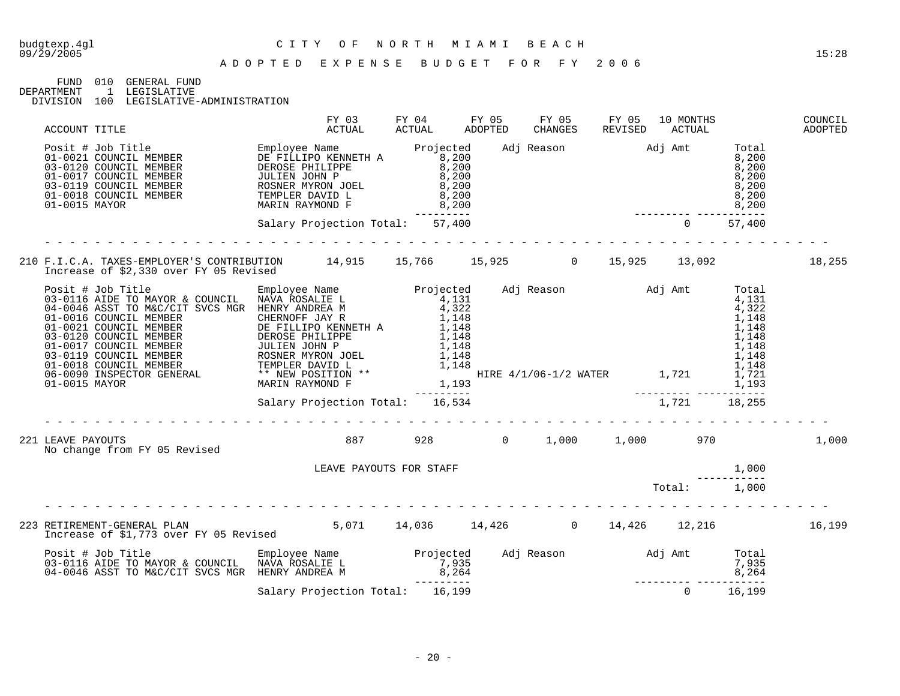09/29/2005 15:28

#### A D O P T E D E X P E N S E B U D G E T F O R F Y 2 0 0 6

FUND 010 GENERAL FUND

DEPARTMENT 1 LEGISLATIVE DIVISION 100 LEGISLATIVE-ADMINISTRATION

| ACCOUNT TITLE     |                                                                                                                                                                                                                                         |  |                                 | FY 04 FY 05 | ADOPTED | FY 05<br>CHANGES | FY 05 | 10 MONTHS<br>REVISED ACTUAL                                                                                                                   |       | COUNCIL<br>ADOPTED |
|-------------------|-----------------------------------------------------------------------------------------------------------------------------------------------------------------------------------------------------------------------------------------|--|---------------------------------|-------------|---------|------------------|-------|-----------------------------------------------------------------------------------------------------------------------------------------------|-------|--------------------|
|                   | Posit # Job Title MEMBER<br>01-0021 COUNCIL MEMBER DE FILLIPO KENNETH A 8,200<br>03-0120 COUNCIL MEMBER DEROSE PHILIPPE 8,200<br>01-0017 COUNCIL MEMBER JULIEN JOHN P 8,200<br>01-0017 COUNCIL MEMBER JULIEN JOHN P 8,200<br>01-0018 CO |  |                                 |             |         |                  |       | $\begin{array}{cccc}\n & 8,200 \\  & 8,200 \\  & 8,200 \\  & 8,200 \\  & 8,200 \\  & 8,200 \\  & 8,200 \\  & 8,200 \\  & 57,400\n\end{array}$ |       |                    |
|                   |                                                                                                                                                                                                                                         |  | Salary Projection Total: 57,400 |             |         |                  |       |                                                                                                                                               |       |                    |
|                   | 210 F.I.C.A. TAXES-EMPLOYER'S CONTRIBUTION 14,915 15,766 15,925 0 15,925 13,092<br>Increase of \$2,330 over FY 05 Revised                                                                                                               |  |                                 |             |         |                  |       |                                                                                                                                               |       | 18,255             |
|                   |                                                                                                                                                                                                                                         |  |                                 |             |         |                  |       |                                                                                                                                               |       |                    |
|                   |                                                                                                                                                                                                                                         |  |                                 |             |         |                  |       |                                                                                                                                               |       |                    |
| 221 LEAVE PAYOUTS | No change from FY 05 Revised                                                                                                                                                                                                            |  | 887 928 0 1,000 1,000 970       |             |         |                  |       |                                                                                                                                               |       | 1,000              |
|                   |                                                                                                                                                                                                                                         |  | LEAVE PAYOUTS FOR STAFF         |             |         |                  |       |                                                                                                                                               | 1,000 |                    |
|                   |                                                                                                                                                                                                                                         |  |                                 |             |         |                  |       |                                                                                                                                               |       |                    |
|                   |                                                                                                                                                                                                                                         |  |                                 |             |         |                  |       |                                                                                                                                               |       |                    |
|                   | Posit # Job Title Employee Name Projected Adj Reason Adj Amt Total<br>1937,935 7,935 7,935 7,935 7,935 7,935 7,935<br>16,264 8,264 8,264 8,264 8,264 8,264 8,264 8,264 8,264 8,264 9,264 9,264 9,264 9,264 9,199 0 16,199 16,199 16     |  |                                 |             |         |                  |       |                                                                                                                                               |       |                    |
|                   |                                                                                                                                                                                                                                         |  |                                 |             |         |                  |       |                                                                                                                                               |       |                    |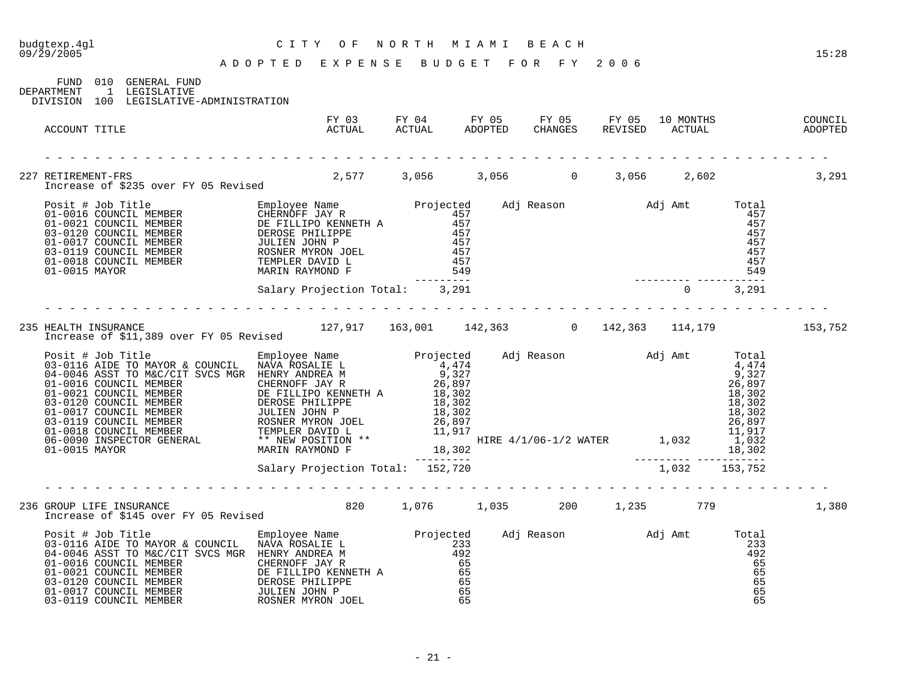| budgtexp.4ql<br>09/29/2005                                                                                                                                                                                                                       | C I T Y<br>O F<br>ADOPTED EXPENSE BUDGET FOR FY 2006 | N O R T H | M I A M I<br>BEACH                                                                     |         |                                                                                                                       | 15:28              |
|--------------------------------------------------------------------------------------------------------------------------------------------------------------------------------------------------------------------------------------------------|------------------------------------------------------|-----------|----------------------------------------------------------------------------------------|---------|-----------------------------------------------------------------------------------------------------------------------|--------------------|
| FUND<br>010 GENERAL FUND<br>1 LEGISLATIVE<br>DEPARTMENT<br>100 LEGISLATIVE-ADMINISTRATION<br>DIVISION                                                                                                                                            |                                                      |           |                                                                                        |         |                                                                                                                       |                    |
| ACCOUNT TITLE                                                                                                                                                                                                                                    | FY 03<br>ACTUAL                                      | ACTUAL    | FY 04 FY 05 FY 05 FY 05<br>ACTUAL ADOPTED CHANGES REVISED<br><b>ADOPTED</b><br>CHANGES | REVISED | 10 MONTHS<br>ACTUAL                                                                                                   | COUNCIL<br>ADOPTED |
|                                                                                                                                                                                                                                                  |                                                      |           |                                                                                        |         |                                                                                                                       |                    |
| 227 RETIREMENT-FRS<br>Increase of \$235 over FY 05 Revised                                                                                                                                                                                       |                                                      |           | $2,577$ $3,056$ $3,056$ 0                                                              | 3,056   | 2,602                                                                                                                 | 3,291              |
| Posit # Job Title<br>01-0016 COUNCIL MEMBER<br>01-0021 COUNCIL MEMBER<br>03-0120 COUNCIL MEMBER<br>03-0120 COUNCIL MEMBER<br>03-0119 COUNCIL MEMBER<br>03-0119 COUNCIL MEMBER<br>03-0119 COUNCIL MEMBER<br>01-0018 COUNCIL MEMBER<br>01-0018 COU |                                                      |           |                                                                                        |         | Adj Reason Madj Amt Total<br>457<br>457<br>457<br>457<br>457<br>457<br>549                                            |                    |
|                                                                                                                                                                                                                                                  | Salary Projection Total: 3,291                       | --------  |                                                                                        |         | ------<br>$\mathbf{0}$<br>3,291                                                                                       |                    |
| HEALTH INSURANCE<br>Increase of \$11,389 over FY 05 Revised<br>235 HEALTH INSURANCE                                                                                                                                                              |                                                      |           | $127,917$ $163,001$ $142,363$ 0 $142,363$ $114,179$                                    |         |                                                                                                                       | 153,752            |
|                                                                                                                                                                                                                                                  |                                                      |           | an an Aonaichte<br>Bailtean                                                            |         | Total<br>4,474<br>9,327<br>26,897<br>18,302<br>18,302<br>18,302<br>26,897<br>11,917<br>1,032<br>18,302<br>___________ |                    |
|                                                                                                                                                                                                                                                  | Salary Projection Total: 152,720                     |           |                                                                                        |         | 1,032<br>153,752                                                                                                      |                    |
| 236 GROUP LIFE INSURANCE                                                                                                                                                                                                                         | 820                                                  | 1,076     | 1,035<br>200                                                                           | 1,235   | 779                                                                                                                   | 1,380              |

|  |  |  | Increase of \$145 over FY 05 Revised |
|--|--|--|--------------------------------------|
|  |  |  |                                      |

| Posit # Job Title                               | Employee Name        | Projected | Adj Reason | Adj Amt | Total |
|-------------------------------------------------|----------------------|-----------|------------|---------|-------|
| 03-0116 AIDE TO MAYOR & COUNCIL                 | NAVA ROSALIE L       | 233       |            |         | 233   |
| 04-0046 ASST TO M&C/CIT SVCS MGR HENRY ANDREA M |                      | 492       |            |         | 492   |
| 01-0016 COUNCIL MEMBER                          | CHERNOFF JAY R       | 65        |            |         | 65    |
| 01-0021 COUNCIL MEMBER                          | DE FILLIPO KENNETH A | 65        |            |         | 65    |
| 03-0120 COUNCIL MEMBER                          | DEROSE PHILIPPE      | 65        |            |         | 65    |
| 01-0017 COUNCIL MEMBER                          | JULIEN JOHN P        | 65        |            |         | 65    |
| 03-0119 COUNCIL MEMBER                          | ROSNER MYRON JOEL    | 65        |            |         | 65    |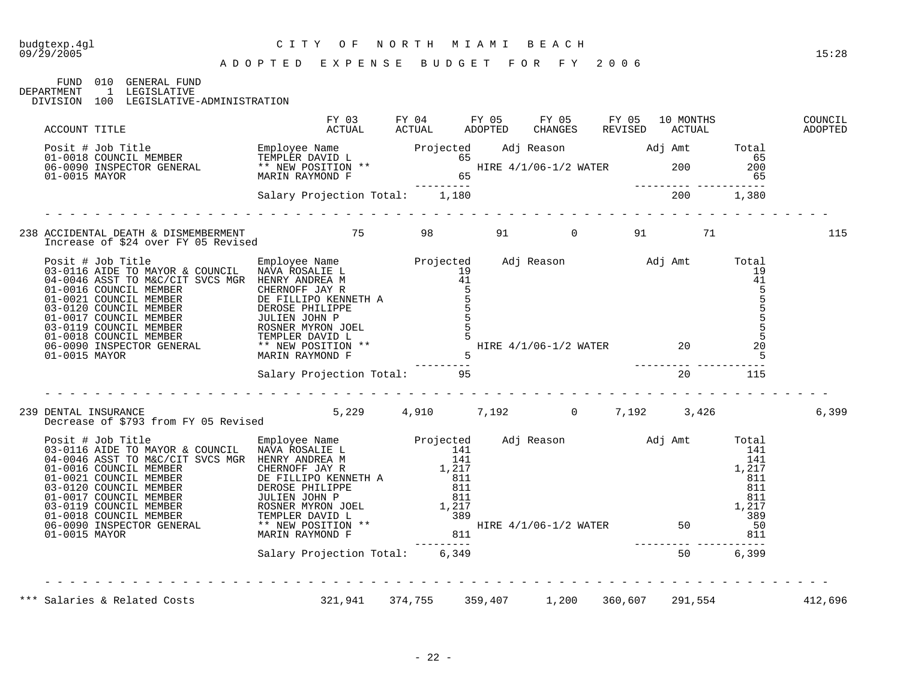#### A D O P T E D E X P E N S E B U D G E T F O R F Y 2 0 0 6

| FUND       | 010 | GENERAL FIJND |
|------------|-----|---------------|
| DEPARTMENT |     | LEGISLATIVE   |

DIVISION 100 LEGISLATIVE-ADMINISTRATION

|                                                                                                                                                                                                                                              |  | FY 03 FY 04 FY 05 FY 05 FY 05 10 MONTHS COUNCIL ACTUAL ACTUAL ADOPTED CHANGES REVISED ACTUAL ADOPTED |          |         |
|----------------------------------------------------------------------------------------------------------------------------------------------------------------------------------------------------------------------------------------------|--|------------------------------------------------------------------------------------------------------|----------|---------|
| ACCOUNT TITLE<br>Posit # Job Title<br>01-0018 COUNCIL MEMBER<br>06-0090 INSPECTOR GENERAL<br>01-0015 MAYOR (ENERAL ** NEW POSITION ** 65<br>01-0015 MAYOR (ENERAL MARIN RAYMOND F 65<br>200 01015 MAYOR Salary Projection Total: 1,180<br>20 |  |                                                                                                      |          |         |
|                                                                                                                                                                                                                                              |  |                                                                                                      | <u>.</u> |         |
| 238 ACCIDENTAL DEATH & DISMEMBERMENT<br>Increase of \$24 over FY 05 Revised 6. The Magnus of the Sea of Australian States of Australian States and Aust                                                                                      |  |                                                                                                      |          | 115     |
|                                                                                                                                                                                                                                              |  |                                                                                                      |          |         |
|                                                                                                                                                                                                                                              |  |                                                                                                      |          |         |
| DENTAL INSURANCE<br>Decrease of \$793 from FY 05 Revised 5,229 4,910 7,192 0 7,192 3,426<br>239 DENTAL INSURANCE                                                                                                                             |  |                                                                                                      |          | 6,399   |
|                                                                                                                                                                                                                                              |  |                                                                                                      |          |         |
|                                                                                                                                                                                                                                              |  |                                                                                                      |          |         |
|                                                                                                                                                                                                                                              |  |                                                                                                      |          |         |
| *** Salaries & Related Costs (321,941 374,755 359,407 1,200 360,607 291,554                                                                                                                                                                  |  |                                                                                                      |          | 412,696 |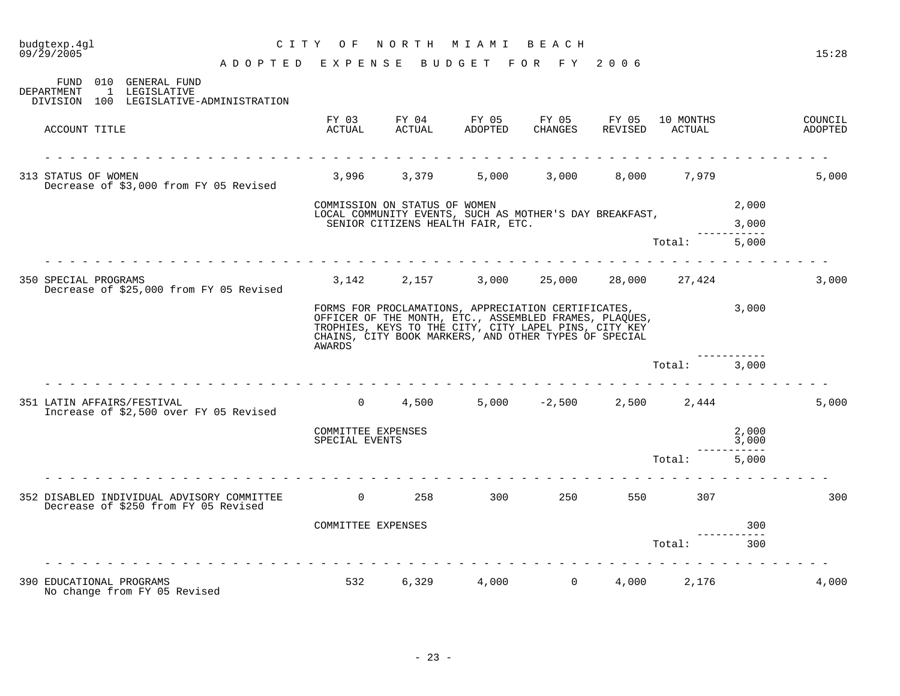| $09/\bar{2}9/2005$<br>ADOPTED EXPENSE                                                              |                                      |                               | B U D G E T                                                                                                                                                                                                                     | FOR FY                    | 2006             |                     |                   | 15:28              |
|----------------------------------------------------------------------------------------------------|--------------------------------------|-------------------------------|---------------------------------------------------------------------------------------------------------------------------------------------------------------------------------------------------------------------------------|---------------------------|------------------|---------------------|-------------------|--------------------|
| 010 GENERAL FUND<br>FUND<br>1 LEGISLATIVE<br>DEPARTMENT<br>DIVISION 100 LEGISLATIVE-ADMINISTRATION |                                      |                               |                                                                                                                                                                                                                                 |                           |                  |                     |                   |                    |
| ACCOUNT TITLE                                                                                      | FY 03<br>ACTUAL                      | ACTUAL                        | FY 04 FY 05<br>ADOPTED                                                                                                                                                                                                          | FY 05<br>CHANGES          | FY 05<br>REVISED | 10 MONTHS<br>ACTUAL |                   | COUNCIL<br>ADOPTED |
| 313 STATUS OF WOMEN<br>Decrease of \$3,000 from FY 05 Revised                                      |                                      | 3,996 3,379                   | 5,000                                                                                                                                                                                                                           |                           |                  | 3,000 8,000 7,979   |                   | 5,000              |
|                                                                                                    |                                      | COMMISSION ON STATUS OF WOMEN | LOCAL COMMUNITY EVENTS, SUCH AS MOTHER'S DAY BREAKFAST,                                                                                                                                                                         |                           |                  |                     | 2,000             |                    |
|                                                                                                    |                                      |                               | SENIOR CITIZENS HEALTH FAIR, ETC.                                                                                                                                                                                               |                           |                  |                     | 3,000             |                    |
|                                                                                                    |                                      |                               |                                                                                                                                                                                                                                 |                           |                  | Total:              | 5,000             |                    |
| 350 SPECIAL PROGRAMS<br>Decrease of \$25,000 from FY 05 Revised                                    | 3,142                                | 2,157                         |                                                                                                                                                                                                                                 | $3,000$ $25,000$ $28,000$ |                  | 27,424              |                   | 3,000              |
|                                                                                                    | AWARDS                               |                               | FORMS FOR PROCLAMATIONS, APPRECIATION CERTIFICATES,<br>OFFICER OF THE MONTH, ETC., ASSEMBLED FRAMES, PLAQUES,<br>TROPHIES, KEYS TO THE CITY, CITY LAPEL PINS, CITY KEY<br>CHAINS, CITY BOOK MARKERS, AND OTHER TYPES OF SPECIAL |                           |                  |                     | 3,000             |                    |
|                                                                                                    |                                      |                               |                                                                                                                                                                                                                                 |                           |                  | Total:              | 3,000             |                    |
| 351 LATIN AFFAIRS/FESTIVAL<br>Increase of \$2,500 over FY 05 Revised                               | $\overline{0}$                       | 4,500                         |                                                                                                                                                                                                                                 | $5,000 -2,500$            |                  | 2,500 2,444         |                   | 5,000              |
|                                                                                                    | COMMITTEE EXPENSES<br>SPECIAL EVENTS |                               |                                                                                                                                                                                                                                 |                           |                  |                     | 2,000<br>3,000    |                    |
|                                                                                                    |                                      |                               |                                                                                                                                                                                                                                 |                           |                  | Total:              | --------<br>5,000 |                    |
| 352 DISABLED INDIVIDUAL ADVISORY COMMITTEE<br>Decrease of \$250 from FY 05 Revised                 | $\overline{0}$                       | 258 —                         | 300                                                                                                                                                                                                                             | 250                       |                  | 550 350<br>307      |                   | 300                |
|                                                                                                    | COMMITTEE EXPENSES                   |                               |                                                                                                                                                                                                                                 |                           |                  |                     | 300<br>$- - -$    |                    |
|                                                                                                    |                                      |                               |                                                                                                                                                                                                                                 |                           |                  | Total:              | 300               |                    |
| 390 EDUCATIONAL PROGRAMS<br>No change from FY 05 Revised                                           | 532                                  | 6,329                         | 4,000                                                                                                                                                                                                                           | $\overline{0}$            | 4,000            | 2,176               |                   | 4,000              |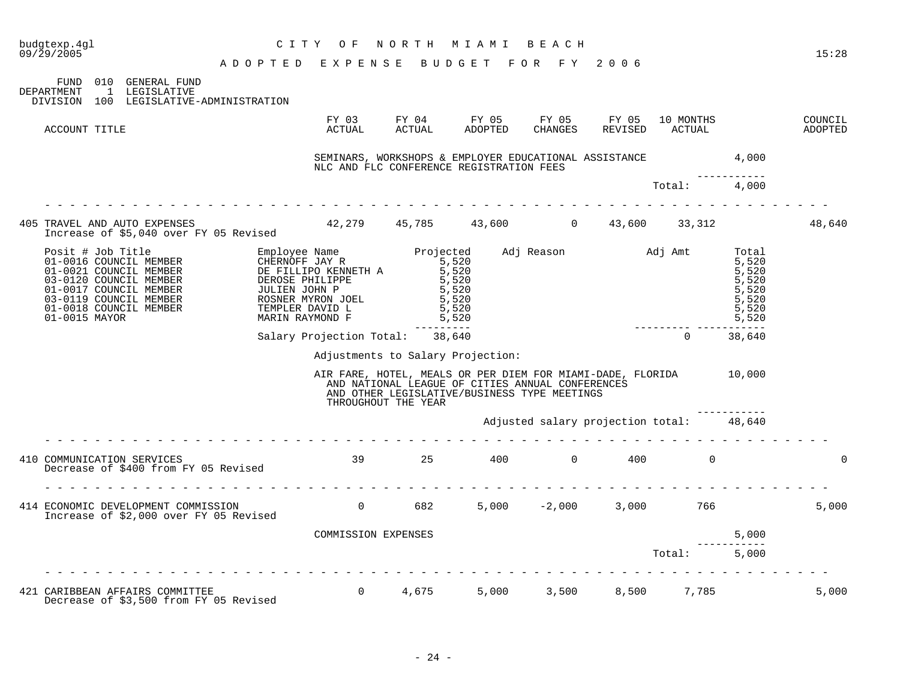| budgtexp.4ql<br>09/29/2005 |                                                                                                                                                                                                                                          | C I T Y<br>ADOPTED EXPENSE BUDGET FOR FY 2006                                                                                                                             | O F                                                                                                     | N O R T H                                                                                                               | M I A M I                        | BEACH                             |     |                                   |                                                                      | 15:28              |
|----------------------------|------------------------------------------------------------------------------------------------------------------------------------------------------------------------------------------------------------------------------------------|---------------------------------------------------------------------------------------------------------------------------------------------------------------------------|---------------------------------------------------------------------------------------------------------|-------------------------------------------------------------------------------------------------------------------------|----------------------------------|-----------------------------------|-----|-----------------------------------|----------------------------------------------------------------------|--------------------|
| <b>DEPARTMENT</b>          | FUND 010 GENERAL FUND<br>1 LEGISLATIVE<br>DIVISION 100 LEGISLATIVE-ADMINISTRATION                                                                                                                                                        |                                                                                                                                                                           |                                                                                                         |                                                                                                                         |                                  |                                   |     |                                   |                                                                      |                    |
|                            | ACCOUNT TITLE                                                                                                                                                                                                                            |                                                                                                                                                                           | ACTUAL                                                                                                  | FY 03 FY 04 FY 05<br>ACTUAL                                                                                             | ADOPTED                          | FY 05<br>CHANGES                  |     | FY 05 10 MONTHS<br>REVISED ACTUAL |                                                                      | COUNCIL<br>ADOPTED |
|                            |                                                                                                                                                                                                                                          |                                                                                                                                                                           | SEMINARS, WORKSHOPS & EMPLOYER EDUCATIONAL ASSISTANCE 4,000<br>NLC AND FLC CONFERENCE REGISTRATION FEES |                                                                                                                         |                                  |                                   |     |                                   |                                                                      |                    |
|                            |                                                                                                                                                                                                                                          |                                                                                                                                                                           |                                                                                                         |                                                                                                                         |                                  |                                   |     | Total:                            | 4,000                                                                |                    |
|                            | 405 TRAVEL AND AUTO EXPENSES 42,279 45,785 43,600 0 43,600 33,312<br>Increase of \$5.040 over FY 05 Revised 42,279 45,785 43,600 0 43,600 33,312                                                                                         |                                                                                                                                                                           |                                                                                                         |                                                                                                                         |                                  |                                   |     |                                   |                                                                      | 48,640             |
|                            | Increase of \$5,040 over FY 05 Revised<br>Posit # Job Title<br>01-0016 COUNCIL MEMBER<br>01-0021 COUNCIL MEMBER<br>03-0120 COUNCIL MEMBER<br>01-0017 COUNCIL MEMBER<br>03-0119 COUNCIL MEMBER<br>01-0018 COUNCIL MEMBER<br>01-0015 MAYOR | Employee Name<br>CHERNOFF JAY R<br>DE FILLIPO KENNETH A<br>DEROSE PHILIPPE<br>JULIEN JOHN P<br>ROSNER MYRON JOEL<br>TEMPLER DAVID L<br>MARIN RAYMOND F<br>MARIN RAYMOND F | Employee Name<br>CHERNOFF JAY R<br>DE FILLIPO KENNETH A 5,520<br>DE FILLIPO KENNETH A 5,520             | $\frac{5}{5}$ , 520                                                                                                     | 5,520<br>5,520<br>5,520<br>5,520 | Adj Reason Madj Amt               |     |                                   | Total<br>5,520<br>5,520<br>5,520<br>5,520<br>5,520<br>5,520<br>5,520 |                    |
|                            |                                                                                                                                                                                                                                          |                                                                                                                                                                           | Salary Projection Total: 38,640                                                                         | ----------                                                                                                              |                                  |                                   |     | $\Omega$                          | 38,640                                                               |                    |
|                            |                                                                                                                                                                                                                                          |                                                                                                                                                                           |                                                                                                         | Adjustments to Salary Projection:                                                                                       |                                  |                                   |     |                                   |                                                                      |                    |
|                            |                                                                                                                                                                                                                                          |                                                                                                                                                                           | AIR FARE, HOTEL, MEALS OR PER DIEM FOR MIAMI-DADE, FLORIDA 10,000                                       | AND NATIONAL LEAGUE OF CITIES ANNUAL CONFERENCES<br>AND OTHER LEGISLATIVE/BUSINESS TYPE MEETINGS<br>THROUGHOUT THE YEAR |                                  |                                   |     |                                   |                                                                      |                    |
|                            |                                                                                                                                                                                                                                          |                                                                                                                                                                           |                                                                                                         |                                                                                                                         |                                  | Adjusted salary projection total: |     |                                   | 48,640                                                               |                    |
|                            | 410 COMMUNICATION SERVICES<br>Decrease of \$400 from FY 05 Revised                                                                                                                                                                       |                                                                                                                                                                           |                                                                                                         | 39 25                                                                                                                   |                                  | 400 0                             | 400 | $\mathbf 0$                       |                                                                      | 0                  |
|                            | 414 ECONOMIC DEVELOPMENT COMMISSION<br>Increase of \$2,000 over FY 05 Revised                                                                                                                                                            |                                                                                                                                                                           |                                                                                                         | 0 682                                                                                                                   |                                  | $5,000$ $-2,000$ $3,000$ $766$    |     |                                   |                                                                      | 5,000              |
|                            |                                                                                                                                                                                                                                          |                                                                                                                                                                           | COMMISSION EXPENSES                                                                                     |                                                                                                                         |                                  |                                   |     |                                   | 5,000                                                                |                    |
|                            |                                                                                                                                                                                                                                          |                                                                                                                                                                           |                                                                                                         |                                                                                                                         |                                  |                                   |     | Total:                            | 5,000                                                                |                    |
|                            |                                                                                                                                                                                                                                          | _ _ _ _ _ _ _ _ _ _ _ _                                                                                                                                                   |                                                                                                         |                                                                                                                         |                                  |                                   |     |                                   |                                                                      |                    |
|                            | 421 CARIBBEAN AFFAIRS COMMITTEE<br>Decrease of \$3,500 from FY 05 Revised                                                                                                                                                                |                                                                                                                                                                           |                                                                                                         | $0 \t 4,675$                                                                                                            | 5,000                            |                                   |     | 3,500 8,500 7,785                 |                                                                      | 5,000              |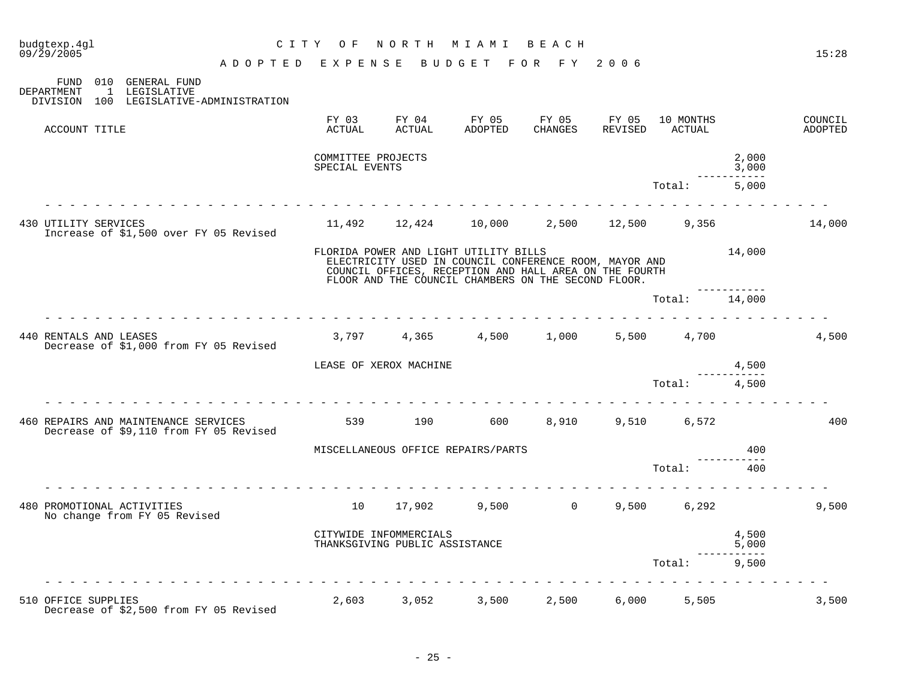| budgtexp.4gl<br>09/29/2005 |                                                                                   | CITY OF                              | NORTH                                                    | M I A M I                                                                                                                                                                                                        | BEACH                  |         |                       |                   | 15:28              |
|----------------------------|-----------------------------------------------------------------------------------|--------------------------------------|----------------------------------------------------------|------------------------------------------------------------------------------------------------------------------------------------------------------------------------------------------------------------------|------------------------|---------|-----------------------|-------------------|--------------------|
|                            | ADOPTED EXPENSE BUDGET FOR FY 2006                                                |                                      |                                                          |                                                                                                                                                                                                                  |                        |         |                       |                   |                    |
| DEPARTMENT                 | FUND 010 GENERAL FUND<br>1 LEGISLATIVE<br>DIVISION 100 LEGISLATIVE-ADMINISTRATION |                                      |                                                          |                                                                                                                                                                                                                  |                        |         |                       |                   |                    |
| ACCOUNT TITLE              |                                                                                   | FY 03<br>ACTUAL                      | FY 04<br>ACTUAL                                          | FY 05<br>ADOPTED                                                                                                                                                                                                 | FY 05 FY 05<br>CHANGES | REVISED | 10 MONTHS<br>ACTUAL   |                   | COUNCIL<br>ADOPTED |
|                            |                                                                                   | COMMITTEE PROJECTS<br>SPECIAL EVENTS |                                                          |                                                                                                                                                                                                                  |                        |         |                       | 2,000<br>3,000    |                    |
|                            |                                                                                   |                                      |                                                          |                                                                                                                                                                                                                  |                        |         | Total:                | 5,000             |                    |
| 430 UTILITY SERVICES       | Increase of \$1,500 over FY 05 Revised                                            |                                      |                                                          | $11,492$ $12,424$ $10,000$ $2,500$ $12,500$ $9,356$                                                                                                                                                              |                        |         |                       |                   | 14,000             |
|                            |                                                                                   |                                      |                                                          | FLORIDA POWER AND LIGHT UTILITY BILLS<br>ELECTRICITY USED IN COUNCIL CONFERENCE ROOM, MAYOR AND<br>COUNCIL OFFICES, RECEPTION AND HALL AREA ON THE FOURTH<br>FLOOR AND THE COUNCIL CHAMBERS ON THE SECOND FLOOR. |                        |         |                       | 14,000            |                    |
|                            |                                                                                   |                                      |                                                          |                                                                                                                                                                                                                  |                        |         | Total: 14,000         |                   |                    |
| 440 RENTALS AND LEASES     | Decrease of \$1,000 from FY 05 Revised                                            |                                      |                                                          | $3,797$ $4,365$ $4,500$ $1,000$                                                                                                                                                                                  |                        |         | 5,500 4,700           |                   | 4,500              |
|                            |                                                                                   | LEASE OF XEROX MACHINE               |                                                          |                                                                                                                                                                                                                  |                        |         |                       | 4,500             |                    |
|                            |                                                                                   |                                      |                                                          |                                                                                                                                                                                                                  |                        |         | Total:                | 4,500             |                    |
|                            | 460 REPAIRS AND MAINTENANCE SERVICES<br>Decrease of \$9,110 from FY 05 Revised    | 539                                  | 190                                                      |                                                                                                                                                                                                                  |                        |         | 600 8,910 9,510 6,572 |                   | 400                |
|                            |                                                                                   |                                      |                                                          | MISCELLANEOUS OFFICE REPAIRS/PARTS                                                                                                                                                                               |                        |         |                       | 400               |                    |
|                            |                                                                                   |                                      |                                                          |                                                                                                                                                                                                                  |                        |         | Total:                | 400               |                    |
| 480 PROMOTIONAL ACTIVITIES | No change from FY 05 Revised                                                      | 10                                   |                                                          | 17,902 9,500 0                                                                                                                                                                                                   |                        |         | 9,500 6,292           |                   | 9,500              |
|                            |                                                                                   |                                      | CITYWIDE INFOMMERCIALS<br>THANKSGIVING PUBLIC ASSISTANCE |                                                                                                                                                                                                                  |                        |         |                       | 4,500<br>5,000    |                    |
|                            |                                                                                   |                                      |                                                          |                                                                                                                                                                                                                  |                        |         | Total:                | --------<br>9,500 |                    |
| 510 OFFICE SUPPLIES        | Decrease of \$2,500 from FY 05 Revised                                            |                                      |                                                          | 2,603 3,052 3,500                                                                                                                                                                                                | 2,500                  |         | 6,000 5,505           |                   | 3,500              |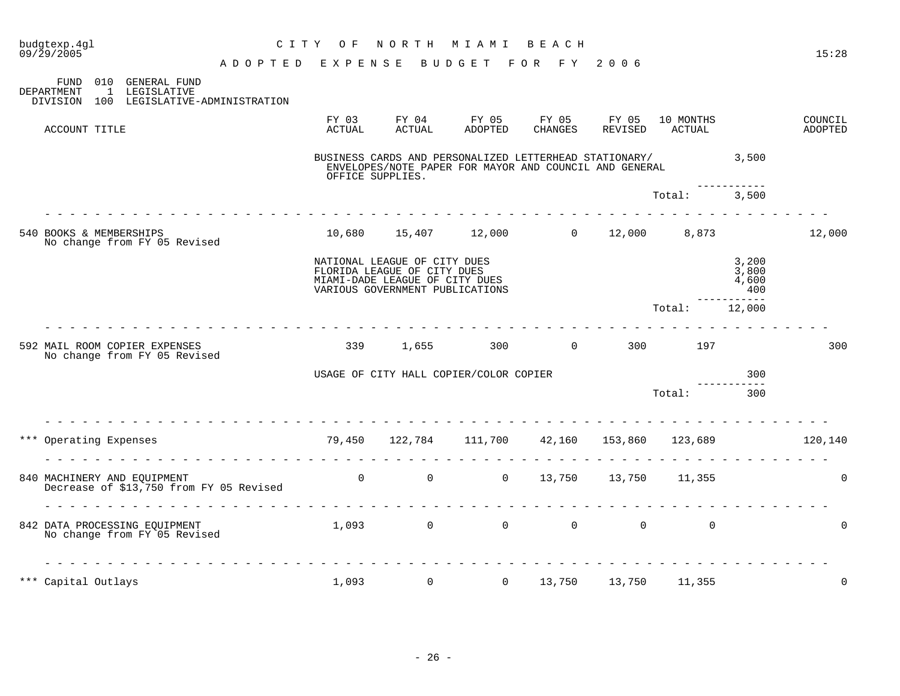| budgtexp.4gl<br>09/29/2005                                                                                         | C I T Y         | O F              | NORTH                                                                                                                            | M I A M I                                                                                                        | BEACH                  |                  |                     |                                | 15:28              |
|--------------------------------------------------------------------------------------------------------------------|-----------------|------------------|----------------------------------------------------------------------------------------------------------------------------------|------------------------------------------------------------------------------------------------------------------|------------------------|------------------|---------------------|--------------------------------|--------------------|
|                                                                                                                    | ADOPTED EXPENSE |                  |                                                                                                                                  | BUDGET                                                                                                           | FOR FY 2006            |                  |                     |                                |                    |
| FUND<br>010 GENERAL FUND<br>DEPARTMENT<br>$\overline{1}$<br>LEGISLATIVE<br>DIVISION 100 LEGISLATIVE-ADMINISTRATION |                 |                  |                                                                                                                                  |                                                                                                                  |                        |                  |                     |                                |                    |
| ACCOUNT TITLE                                                                                                      |                 | FY 03<br>ACTUAL  | FY 04<br>ACTUAL                                                                                                                  | FY 05<br>ADOPTED                                                                                                 | FY 05<br>CHANGES       | FY 05<br>REVISED | 10 MONTHS<br>ACTUAL |                                | COUNCIL<br>ADOPTED |
|                                                                                                                    |                 | OFFICE SUPPLIES. |                                                                                                                                  | BUSINESS CARDS AND PERSONALIZED LETTERHEAD STATIONARY/<br>ENVELOPES/NOTE PAPER FOR MAYOR AND COUNCIL AND GENERAL |                        |                  | 3,500               |                                |                    |
|                                                                                                                    |                 |                  |                                                                                                                                  |                                                                                                                  |                        |                  | Total:              | 3.500                          |                    |
| 540 BOOKS & MEMBERSHIPS<br>No change from FY 05 Revised                                                            |                 |                  |                                                                                                                                  | $10,680$ $15,407$ $12,000$ 0 $12,000$ 8,873                                                                      |                        |                  |                     |                                | 12,000             |
|                                                                                                                    |                 |                  | NATIONAL LEAGUE OF CITY DUES<br>FLORIDA LEAGUE OF CITY DUES<br>MIAMI-DADE LEAGUE OF CITY DUES<br>VARIOUS GOVERNMENT PUBLICATIONS |                                                                                                                  |                        |                  |                     | 3,200<br>3,800<br>4,600<br>400 |                    |
|                                                                                                                    |                 |                  |                                                                                                                                  |                                                                                                                  |                        |                  | Total:              | -----<br>12,000                |                    |
| 592 MAIL ROOM COPIER EXPENSES<br>No change from FY 05 Revised                                                      |                 | 339              | 1,655                                                                                                                            | 300                                                                                                              | $\overline{0}$         | 300              | 197                 |                                | 300                |
|                                                                                                                    |                 |                  |                                                                                                                                  | USAGE OF CITY HALL COPIER/COLOR COPIER                                                                           |                        |                  |                     | 300                            |                    |
|                                                                                                                    |                 |                  |                                                                                                                                  |                                                                                                                  |                        |                  | Total:              | 300                            |                    |
| *** Operating Expenses                                                                                             |                 |                  |                                                                                                                                  | 79,450 122,784 111,700 42,160 153,860 123,689                                                                    |                        |                  |                     |                                | 120,140            |
| 840 MACHINERY AND EQUIPMENT<br>Decrease of \$13,750 from FY 05 Revised                                             |                 |                  | $\overline{0}$                                                                                                                   | $\overline{0}$                                                                                                   | 0 13,750 13,750 11,355 |                  |                     |                                | $\Omega$           |
| 842 DATA PROCESSING EQUIPMENT<br>No change from FY 05 Revised                                                      |                 | 1,093            | $\overline{0}$                                                                                                                   | 0                                                                                                                | $\overline{0}$         | $\overline{0}$   | $\mathbf 0$         |                                | 0                  |
| *** Capital Outlays                                                                                                |                 | 1,093            | $\mathbf 0$                                                                                                                      | $\mathbf 0$                                                                                                      | 13,750                 | 13,750           | 11,355              |                                | $\mathbf 0$        |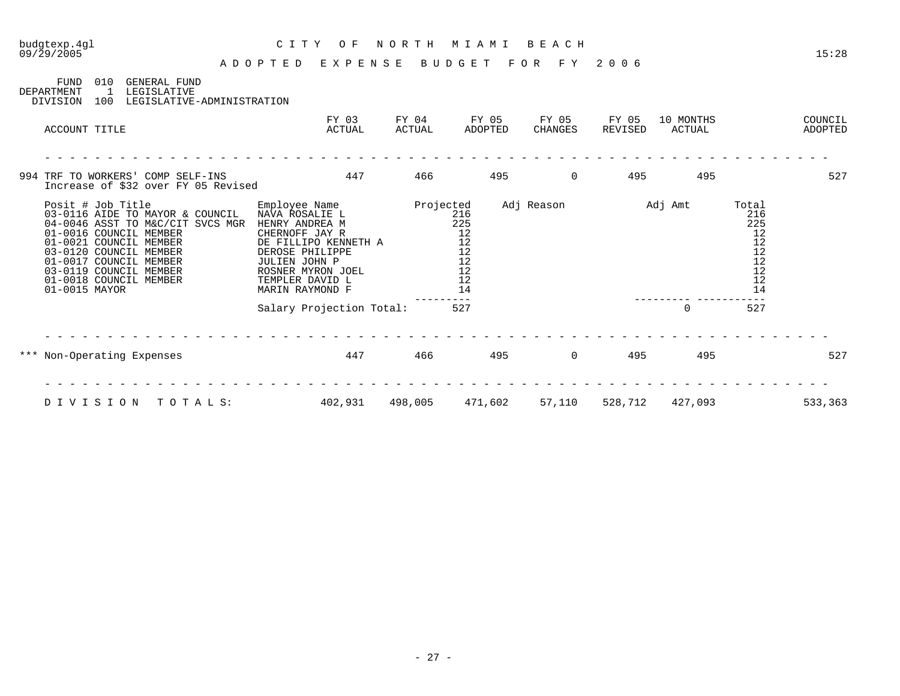| budgtexp.4ql<br>09/29/2005                                                                                                                                                                                                                                            | C I T Y<br>O F<br>ADOPTED<br>EXPENSE                                                                                                                                                       | NORTH           | M I A M I<br>BUDGET                                  | BEACH<br>F O R<br>F Y | 2006             |                     |                                                               | 15:28              |
|-----------------------------------------------------------------------------------------------------------------------------------------------------------------------------------------------------------------------------------------------------------------------|--------------------------------------------------------------------------------------------------------------------------------------------------------------------------------------------|-----------------|------------------------------------------------------|-----------------------|------------------|---------------------|---------------------------------------------------------------|--------------------|
| 010<br><b>GENERAL FUND</b><br>FUND<br>DEPARTMENT<br>$\overline{1}$<br>LEGISLATIVE<br>LEGISLATIVE-ADMINISTRATION<br>DIVISION<br>100                                                                                                                                    |                                                                                                                                                                                            |                 |                                                      |                       |                  |                     |                                                               |                    |
| ACCOUNT TITLE                                                                                                                                                                                                                                                         | FY 03<br>ACTUAL                                                                                                                                                                            | FY 04<br>ACTUAL | FY 05<br>ADOPTED                                     | FY 05<br>CHANGES      | FY 05<br>REVISED | 10 MONTHS<br>ACTUAL |                                                               | COUNCIL<br>ADOPTED |
| 994 TRF TO WORKERS' COMP SELF-INS<br>Increase of \$32 over FY 05 Revised                                                                                                                                                                                              | 447                                                                                                                                                                                        | 466             | 495                                                  | 0                     | 495              | 495                 |                                                               | 527                |
| Posit # Job Title<br>03-0116 AIDE TO MAYOR & COUNCIL<br>04-0046 ASST TO M&C/CIT SVCS MGR<br>01-0016 COUNCIL MEMBER<br>01-0021 COUNCIL MEMBER<br>03-0120 COUNCIL MEMBER<br>01-0017 COUNCIL MEMBER<br>03-0119 COUNCIL MEMBER<br>01-0018 COUNCIL MEMBER<br>01-0015 MAYOR | Employee Name<br>NAVA ROSALIE L<br>HENRY ANDREA M<br>CHERNOFF JAY R<br>DE FILLIPO KENNETH A<br>DEROSE PHILIPPE<br>JULIEN JOHN P<br>ROSNER MYRON JOEL<br>TEMPLER DAVID L<br>MARIN RAYMOND F | Projected       | 216<br>225<br>12<br>12<br>12<br>12<br>12<br>12<br>14 | Adj Reason            |                  | Adj Amt             | Total<br>216<br>225<br>12<br>12<br>12<br>12<br>12<br>12<br>14 |                    |
|                                                                                                                                                                                                                                                                       | Salary Projection Total:                                                                                                                                                                   |                 | 527                                                  |                       |                  | $\Omega$            | 527                                                           |                    |
| *** Non-Operating Expenses                                                                                                                                                                                                                                            | 447                                                                                                                                                                                        | 466             | 495                                                  | $\mathbf 0$           | 495              | 495                 |                                                               | 527                |
| DIVISION<br>TOTALS:                                                                                                                                                                                                                                                   | 402,931                                                                                                                                                                                    | 498,005         | 471,602                                              | 57,110                | 528,712          | 427,093             |                                                               | 533,363            |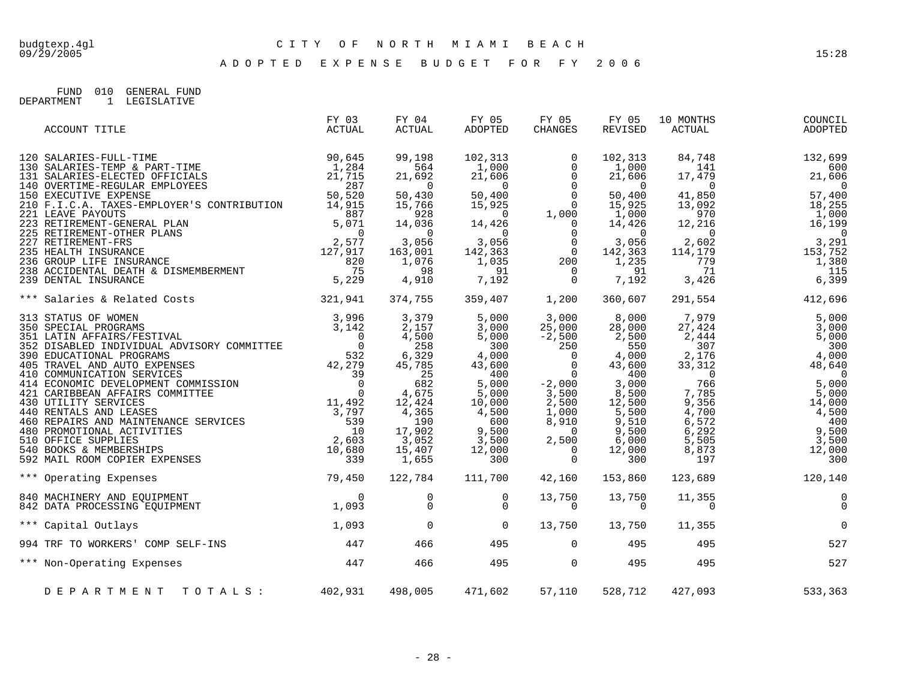A D O P T E D E X P E N S E B U D G E T F O R F Y 2 0 0 6

FUND 010 GENERAL FUND DEPARTMENT 1 LEGISLATIVE

| ACCOUNT TITLE                                                                                                                                                                                                                                                                | FY 03<br>ACTUAL | FY 04<br><b>ACTUAL</b>                                                                                                                                                 | FY 05<br>ADOPTED                                                                                                                                       | FY 05<br><b>CHANGES</b>                                                                                                                                                                  | FY 05<br>REVISED                                                                                                                           | 10 MONTHS<br>ACTUAL                                                                     | COUNCIL<br>ADOPTED                                                 |
|------------------------------------------------------------------------------------------------------------------------------------------------------------------------------------------------------------------------------------------------------------------------------|-----------------|------------------------------------------------------------------------------------------------------------------------------------------------------------------------|--------------------------------------------------------------------------------------------------------------------------------------------------------|------------------------------------------------------------------------------------------------------------------------------------------------------------------------------------------|--------------------------------------------------------------------------------------------------------------------------------------------|-----------------------------------------------------------------------------------------|--------------------------------------------------------------------|
| 120 SALARIES-FULL-TIME<br>130 SALARIES-TEMP & PART-TIME<br>1,284<br>131 SALARIES-ELECTED OFFICIALS<br>140 OVERTIME-REGULAR EMPLOYEES<br>150 EXECUTIVE EXPENSE<br>150 SALE<br>150 EXECUTIVE EXPENSE<br>210 F.I.C.A. TAXES-EMPLOYER'S CONTRIBUTION 14,915<br>221 LEAVE PAYOUTS |                 | 99,198<br>564<br>21,692<br>$\sim$ 0<br>50,430                                                                                                                          | 102,313<br>1,000<br>21,606<br>$\overline{0}$                                                                                                           | $\Omega$<br>$\mathbf 0$<br>$\begin{matrix} 0 \\ 0 \\ 0 \end{matrix}$                                                                                                                     | 102,313<br>1,000<br>21,606<br>$\overline{0}$<br>50,400                                                                                     | 84,748<br>141<br>17,479<br>$\overline{0}$<br>41,850                                     | 132,699<br>600<br>21,606<br>$\overline{0}$<br>57,400               |
|                                                                                                                                                                                                                                                                              |                 | 15,766<br>928<br>14,036<br>$\overline{0}$                                                                                                                              | $\begin{array}{c} 0 \\ 14,426 \end{array}$                                                                                                             |                                                                                                                                                                                          | 15,925<br>1,000<br>14,426<br>$\sim$ 0                                                                                                      |                                                                                         |                                                                    |
| 223 RETIREMENT-GENERAL PLAN<br>225 RETIREMENT-OTHER PLANS<br>227 RETIREMENT-PRS<br>227 RETIREMENT-FRS<br>235 HEALTH INSURANCE<br>236 GROUP LIFE INSURANCE<br>238 ACCIDENTAL DEATH & DISMEMBERMENT<br>239 DENTAL INSURANCE<br>239 DENTAL INSURA                               |                 | 3,056<br>163,001<br>1,076<br>98<br>4,910                                                                                                                               | 3,056<br>7,192                                                                                                                                         | $\begin{array}{cccc} & 0 & 0 & 0 \ 15,925 & 0 & 0 \ 14,426 & 1,000 \ 14,426 & 0 & 0 \ 3,056 & 0 & 0 \ 142,363 & 0 & 0 \ 1,035 & 200 & 91 \ 7 & 10 & 0 & 0 \end{array}$<br>$\overline{a}$ | 3,056<br>142,363<br>1,235<br>91<br>7,192                                                                                                   |                                                                                         |                                                                    |
| *** Salaries & Related Costs 321,941                                                                                                                                                                                                                                         |                 | 374,755                                                                                                                                                                | 359,407                                                                                                                                                | 1,200                                                                                                                                                                                    | 360,607                                                                                                                                    |                                                                                         |                                                                    |
| 313 STATUS & MEMBERSHIPS<br>313 SPECIAL PROGRAMS<br>313 SPECIAL PROGRAMS<br>3142<br>352 DISABLED INDIVIDUAL ADVISORY COMMITTEE<br>32 DISABLED INDIVIDUAL ADVISORY COMMITTEE<br>42, 279<br>405 TRAVEL AND AUTO EXPENSES<br>42, 279<br>410 COMMUNI                             |                 | 3,379<br>2,157<br>4,500<br>258<br>6,329<br>45,785<br>$\begin{array}{r} 25 \\ 682 \end{array}$<br>4,675<br>12,424<br>4,365<br>190<br>17,902<br>3,052<br>15,407<br>1,655 | 5,000<br>3,000<br>5,000<br>300<br>4,000<br>43,600<br>400<br>5,000<br>5,000<br>10,000<br>4,500<br>600<br>9,500<br>$\frac{3}{12}$ , 500<br>12,000<br>300 | 3,000<br>25,000<br>$-2,500$<br>250<br>$\begin{matrix} 0 \\ 0 \end{matrix}$<br>$\overline{0}$<br>$^{-2}$ ,000<br>3,500<br>2,500<br>1,000<br>8,910<br>$\overline{0}$<br>$2,500$ $0$ $0$    | 8,000<br>28,000<br>2,500<br>550<br>4,000<br>43,600<br>400<br>3,000<br>8,500<br>12,500<br>5,500<br>9,510<br>9,500<br>6,000<br>12,000<br>300 | 7,979<br>27,424<br>33,312<br>9,356<br>4,700<br>6,572<br>6, 292<br>5,505<br>8,873<br>197 | 5,000<br>14,000<br>4,500<br>400<br>9,500<br>3,500<br>12,000<br>300 |
| 79,450<br>*** Operating Expenses                                                                                                                                                                                                                                             |                 | 122,784                                                                                                                                                                | 111,700                                                                                                                                                | 42,160                                                                                                                                                                                   | 153,860                                                                                                                                    | 123,689                                                                                 | 120,140                                                            |
| $\begin{array}{c}0\\1,093\end{array}$<br>840 MACHINERY AND EQUIPMENT<br>842 DATA PROCESSING EQUIPMENT                                                                                                                                                                        |                 | $\mathsf{O}$<br>$\Omega$                                                                                                                                               | $\overline{0}$<br>$\Omega$                                                                                                                             | 13,750<br>$\Omega$                                                                                                                                                                       | 13,750<br>$\Omega$                                                                                                                         | 11,355<br>$\Omega$                                                                      | $\overline{0}$<br>$\overline{0}$                                   |
| 1,093<br>*** Capital Outlays                                                                                                                                                                                                                                                 |                 | $\overline{0}$                                                                                                                                                         | $\overline{0}$                                                                                                                                         | 13,750                                                                                                                                                                                   | 13,750                                                                                                                                     | 11,355                                                                                  | $\mathbf 0$                                                        |
| 447<br>994 TRF TO WORKERS' COMP SELF-INS                                                                                                                                                                                                                                     |                 | 466                                                                                                                                                                    | 495                                                                                                                                                    | $\Omega$                                                                                                                                                                                 | 495                                                                                                                                        | 495                                                                                     | 527                                                                |
| *** Non-Operating Expenses                                                                                                                                                                                                                                                   | 447             | 466                                                                                                                                                                    | 495                                                                                                                                                    | $\overline{0}$                                                                                                                                                                           | 495                                                                                                                                        | 495                                                                                     | 527                                                                |
| DEPARTMENT TOTALS: 402,931                                                                                                                                                                                                                                                   |                 | 498,005                                                                                                                                                                | 471,602                                                                                                                                                | 57,110                                                                                                                                                                                   | 528,712                                                                                                                                    | 427,093                                                                                 | 533,363                                                            |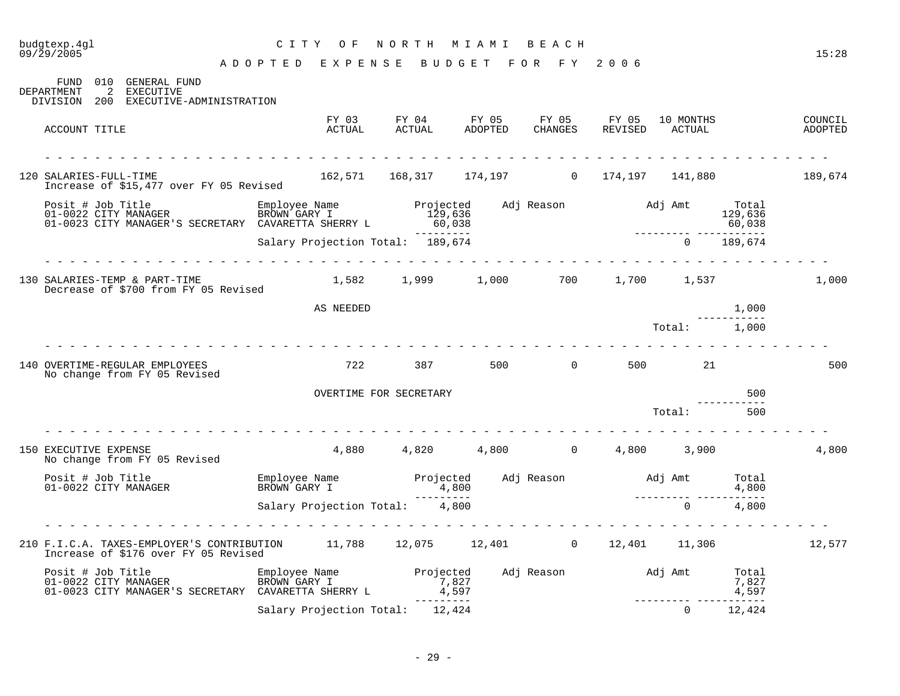### budgtexp.4gl C I T Y O F N O R T H M I A M I B E A C H budgtexp.4g1 <br>09/29/2005 <br>09/29/2005 - APOPTER EXPENSE PURSET EOR EXPORTENCE 15:28

A D O P T E D E X P E N S E B U D G E T F O R F Y 2 0 0 6

FUND 010 GENERAL FUND DEPARTMENT 2 EXECUTIVE DIVISION 200 EXECUTIVE-ADMINISTRATION FY 03 FY 04 FY 05 FY 05 FY 05 10 MONTHS COUNCIL ACCOUNT TITLE ACTUAL ACTUAL ADOPTED CHANGES REVISED ACTUAL ADOPTED - - - - - - - - - - - - - - - - - - - - - - - - - - - - - - - - - - - - - - - - - - - - - - - - - - - - - - - - - - - - - - - 120 SALARIES-FULL-TIME 162,571 168,317 174,197 0 174,197 141,880 189,674 Increase of \$15,477 over FY 05 Revised Posit # Job Title Employee Name Projected Adj Reason Adj Amt Total 01-0022 CITY MANAGER BROWN GARY I 129,636 129,636 01-0023 CITY MANAGER'S SECRETARY CAVARETTA SHERRY L 60,038 60,038 60,038 --------- --------- ----------- Salary Projection Total: 189,674 - - - - - - - - - - - - - - - - - - - - - - - - - - - - - - - - - - - - - - - - - - - - - - - - - - - - - - - - - - - - - - - 130 SALARIES-TEMP & PART-TIME 1,582 1,999 1,000 700 1,700 1,537 1,000 Decrease of \$700 from FY 05 Revised AS NEEDED  $1,000$ ----------- Total: 1,000 - - - - - - - - - - - - - - - - - - - - - - - - - - - - - - - - - - - - - - - - - - - - - - - - - - - - - - - - - - - - - - - 140 OVERTIME-REGULAR EMPLOYEES 722 387 500 0 500 21 500 No change from FY 05 Revised OVERTIME FOR SECRETARY 500 ----------- Total: 500 - - - - - - - - - - - - - - - - - - - - - - - - - - - - - - - - - - - - - - - - - - - - - - - - - - - - - - - - - - - - - - - 150 EXECUTIVE EXPENSE 4,880 4,820 4,800 0 4,800 3,900 4,800 No change from FY 05 Revised Posit # Job Title Employee Name Projected Adj Reason Adj Amt Total Posit # Job Title Employee Name Projected Adj Reason BROWN GARY I 4,800 --------- --------- ----------- Salary Projection Total:  $4,800$  0 4,800 - - - - - - - - - - - - - - - - - - - - - - - - - - - - - - - - - - - - - - - - - - - - - - - - - - - - - - - - - - - - - - - 210 F.I.C.A. TAXES-EMPLOYER'S CONTRIBUTION 11,788 12,075 12,401 0 12,401 11,306 12,577 Increase of \$176 over FY 05 Revised Posit # Job Title Employee Name Projected Adj Reason Adj Amt Total 01-0022 CITY MANAGER BROWN GARY I 7,827 7,827 01-0022 CITY MANAGER BROWN GARY I 27,827<br>1,827 1,827 1,827 4,597 1,023 CITY MANAGER'S SECRETARY CAVARETTA SHERRY L 4,597 --------- --------- ----------- Salary Projection Total: 12.424 0 12.424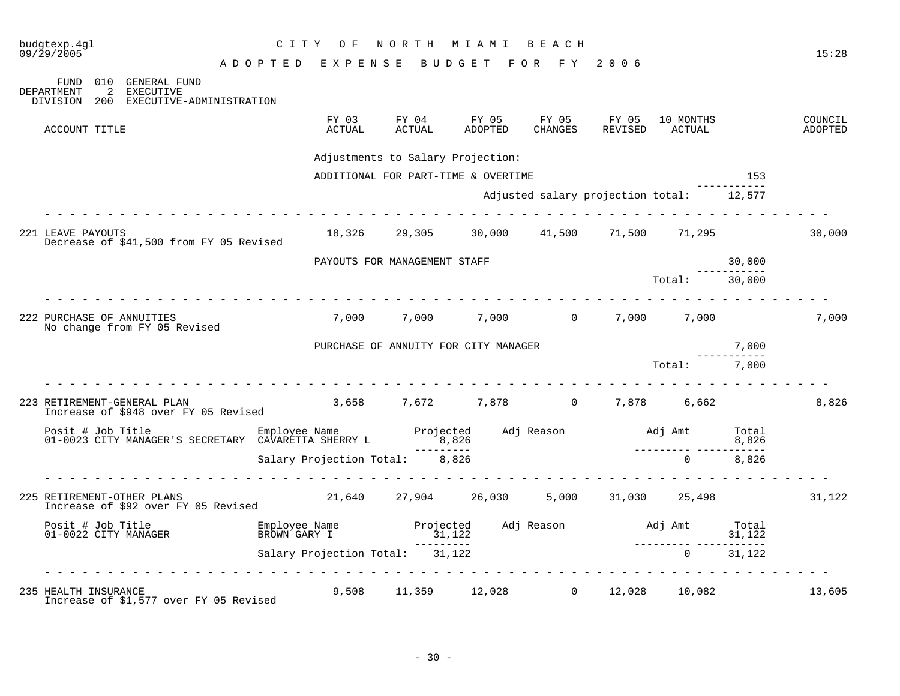| budgtexp.4gl<br>09/29/2005                                                                                                | C I T Y<br>O F<br>ADOPTED EXPENSE BUDGET FOR FY 2006 | NORTH MIAMI                       |                                             | ведсн            |                                          |                                |                | 15:28              |
|---------------------------------------------------------------------------------------------------------------------------|------------------------------------------------------|-----------------------------------|---------------------------------------------|------------------|------------------------------------------|--------------------------------|----------------|--------------------|
| 010<br><b>GENERAL FUND</b><br>FUND<br>DEPARTMENT<br>2<br>EXECUTIVE<br>200<br>EXECUTIVE-ADMINISTRATION<br>DIVISION         |                                                      |                                   |                                             |                  |                                          |                                |                |                    |
| ACCOUNT TITLE                                                                                                             | FY 03<br>ACTUAL                                      | FY 04<br>ACTUAL                   | FY 05<br>ADOPTED                            | FY 05<br>CHANGES | FY 05<br>REVISED ACTUAL                  | 10 MONTHS                      |                | COUNCIL<br>ADOPTED |
|                                                                                                                           |                                                      | Adjustments to Salary Projection: |                                             |                  |                                          |                                |                |                    |
|                                                                                                                           |                                                      |                                   | ADDITIONAL FOR PART-TIME & OVERTIME         |                  |                                          |                                | 153            |                    |
|                                                                                                                           |                                                      |                                   |                                             |                  | Adjusted salary projection total: 12,577 |                                |                |                    |
| 221 LEAVE PAYOUTS<br>Decrease of \$41,500 from FY 05 Revised                                                              |                                                      |                                   | 18,326 29,305 30,000 41,500 71,500 71,295   |                  |                                          |                                |                | 30,000             |
|                                                                                                                           |                                                      | PAYOUTS FOR MANAGEMENT STAFF      |                                             |                  |                                          |                                | 30,000         |                    |
|                                                                                                                           |                                                      |                                   |                                             |                  |                                          | Total: 30,000                  |                |                    |
| 222 PURCHASE OF ANNUITIES<br>No change from FY 05 Revised                                                                 |                                                      |                                   | 7,000 7,000 7,000 0 7,000 7,000 7,000       |                  |                                          |                                |                | 7,000              |
|                                                                                                                           |                                                      |                                   | PURCHASE OF ANNUITY FOR CITY MANAGER        |                  |                                          |                                | 7,000          |                    |
|                                                                                                                           |                                                      |                                   |                                             |                  |                                          | Total: 7,000                   | -----------    |                    |
| 223 RETIREMENT-GENERAL PLAN<br>Increase of \$948 over FY 05 Revised                                                       |                                                      |                                   | $3,658$ $7,672$ $7,878$ $0$ $7,878$ $6,662$ |                  |                                          |                                |                | 8,826              |
| Posit # Job Title Employee Name Projected Adj Reason Adj Amt<br>01-0023 CITY MANAGER'S SECRETARY CAVARETTA SHERRY L 8,826 |                                                      |                                   |                                             |                  |                                          | 8,826<br>--------- ----------- | Total<br>8,826 |                    |
|                                                                                                                           | Salary Projection Total: 8,826                       | ---------                         |                                             |                  |                                          | $\Omega$                       | 8,826          |                    |
|                                                                                                                           |                                                      |                                   |                                             |                  |                                          |                                |                |                    |
| 225 RETIREMENT-OTHER PLANS<br>Increase of \$92 over FY 05 Revised                                                         |                                                      |                                   | 21,640 27,904 26,030                        |                  | 5,000 31,030 25,498                      |                                |                | 31,122             |
| Posit # Job Title<br>01-0022 CITY MANAGER                                                                                 | Employee Name<br>BROWN GARY I                        |                                   |                                             |                  |                                          |                                |                |                    |
|                                                                                                                           | Salary Projection Total: 31,122                      |                                   |                                             |                  |                                          |                                |                |                    |
| .<br>235 HEALTH INSURANCE<br>Increase of \$1,577 over FY 05 Revised                                                       |                                                      |                                   | 9,508 11,359 12,028 0 12,028 10,082         |                  |                                          |                                |                | 13,605             |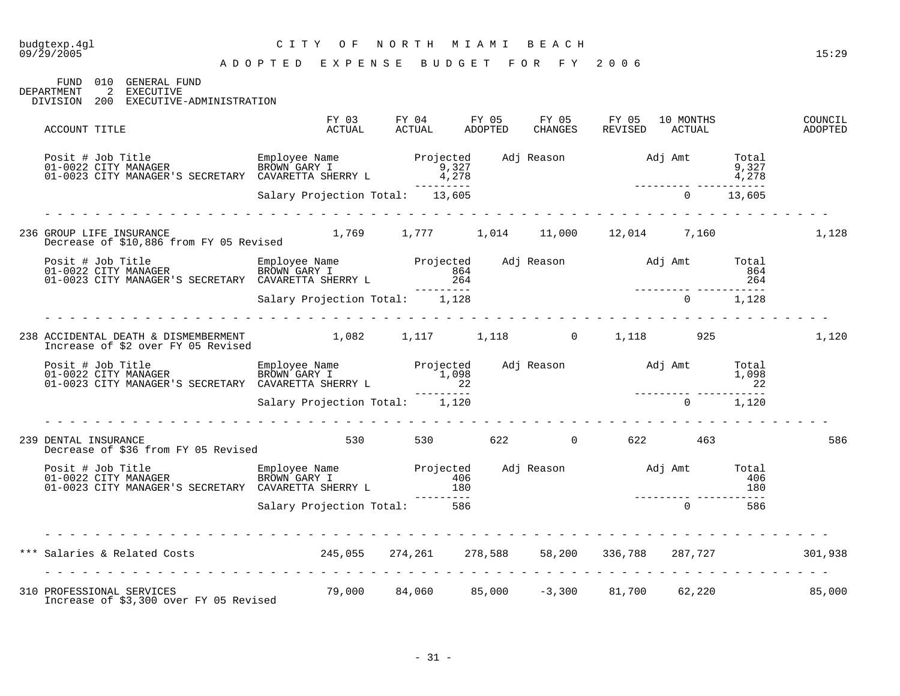| budgtexp.4gl<br>09/29/2005 |                                                                               | CITY OF                                                                                                                                                                                                                                    | NORTH MIAMI BEACH     |  |                        |  | 15:29              |
|----------------------------|-------------------------------------------------------------------------------|--------------------------------------------------------------------------------------------------------------------------------------------------------------------------------------------------------------------------------------------|-----------------------|--|------------------------|--|--------------------|
|                            |                                                                               | A D O P T E D E X P E N S E B U D G E T F O R F Y 2006                                                                                                                                                                                     |                       |  |                        |  |                    |
| DEPARTMENT                 | FUND 010 GENERAL FUND<br>2 EXECUTIVE<br>DIVISION 200 EXECUTIVE-ADMINISTRATION |                                                                                                                                                                                                                                            |                       |  |                        |  |                    |
| ACCOUNT TITLE              |                                                                               |                                                                                                                                                                                                                                            |                       |  |                        |  | COUNCIL<br>ADOPTED |
|                            |                                                                               | Posit # Job Title Employee Name Projected Adj Reason Adj Amt Total<br>101-0022 CITY MANAGER BROWN GARY I 9,327<br>1,278 1-0023 CITY MANAGER'S SECRETARY CAVARETTA SHERRY L 4,278<br>1,278 1,278 1,278 1,278<br>Salary Projection Total: 13 |                       |  |                        |  |                    |
|                            |                                                                               |                                                                                                                                                                                                                                            |                       |  |                        |  |                    |
|                            |                                                                               | 236 GROUP LIFE INSURANCE 1,769 1,777 1,014 11,000 12,014 7,160 1,128                                                                                                                                                                       |                       |  |                        |  |                    |
|                            |                                                                               |                                                                                                                                                                                                                                            |                       |  |                        |  |                    |
|                            |                                                                               |                                                                                                                                                                                                                                            |                       |  |                        |  |                    |
|                            |                                                                               | .<br>238 ACCIDENTAL DEATH & DISMEMBERMENT 1,082 1,117 1,118 0 1,118 925 925 1,120<br>Increase of \$2 over FY 05 Revised 1,082 1,117 1,118 0 1,118                                                                                          |                       |  |                        |  |                    |
|                            |                                                                               | Posit # Job Title Employee Name Projected Adj Reason Adj Amt Total<br>1,098 1,098 1,098 1,098 1,098 1,098 1,098<br>22 21–------ Salary Projection Total: 1,120 1–0023 CITY MANAGER'S SECRETARY CAVARETTA SHERRY L                          |                       |  |                        |  |                    |
|                            |                                                                               |                                                                                                                                                                                                                                            |                       |  |                        |  |                    |
| 239 DENTAL INSURANCE       | DENTAL INSURANCE<br>Decrease of \$36 from FY 05 Revised                       |                                                                                                                                                                                                                                            | 530 530 622 0 622 463 |  |                        |  | 586                |
|                            |                                                                               | Posit # Job Title Employee Name Projected Adj Reason adj Amt Total<br>01-0022 CITY MANAGER BROWN GARY I 180<br>01-0023 CITY MANAGER'S SECRETARY CAVARETTA SHERRY L 180<br>586 586 180 180                                                  |                       |  |                        |  |                    |
|                            |                                                                               |                                                                                                                                                                                                                                            |                       |  |                        |  |                    |
|                            |                                                                               | *** Salaries & Related Costs (301,938 / 245,055 / 274,261 / 278,588 / 58,200 / 336,788 / 287,727 / 301,938                                                                                                                                 |                       |  |                        |  |                    |
| 310 PROFESSIONAL SERVICES  |                                                                               | 79,000                                                                                                                                                                                                                                     | 84,060 85,000         |  | $-3,300$ 81,700 62,220 |  | 85,000             |

Increase of \$3,300 over FY 05 Revised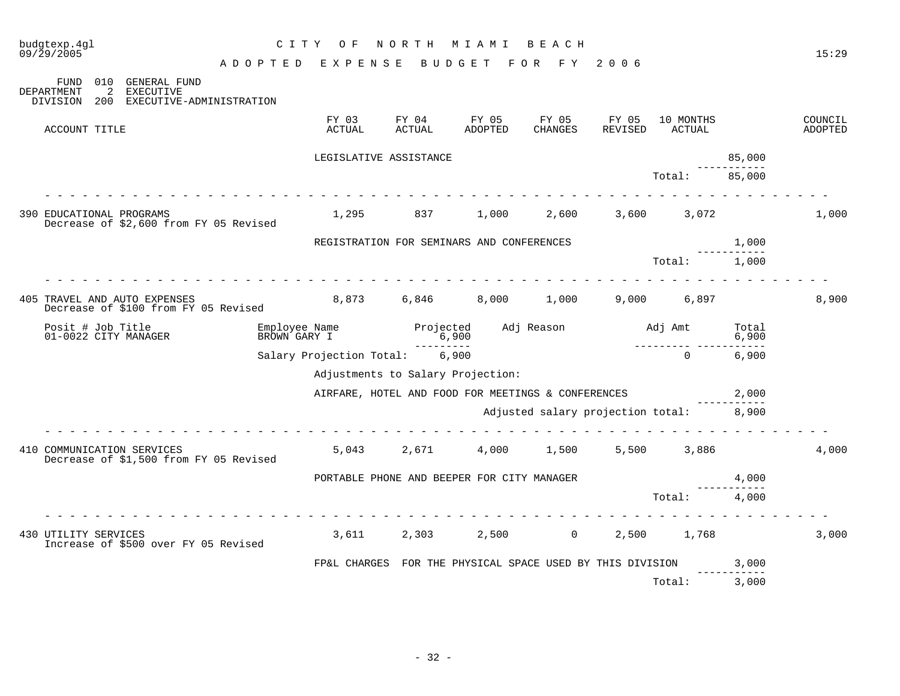| budgtexp.4gl<br>09/29/2005                |                                              | C I T Y<br>O F                | NORTH              | M I A M I                                                 | <b>BEACH</b>                            |                  |                     |                | 15:29              |
|-------------------------------------------|----------------------------------------------|-------------------------------|--------------------|-----------------------------------------------------------|-----------------------------------------|------------------|---------------------|----------------|--------------------|
| FUND                                      | A D O P T E D<br>010 GENERAL FUND            | EXPENSE                       |                    | BUDGET                                                    | F Y<br>F O R                            | 2006             |                     |                |                    |
| <b>DEPARTMENT</b><br>2<br>DIVISION<br>200 | <b>EXECUTIVE</b><br>EXECUTIVE-ADMINISTRATION |                               |                    |                                                           |                                         |                  |                     |                |                    |
| ACCOUNT TITLE                             |                                              | FY 03<br>ACTUAL               | FY 04<br>ACTUAL    | FY 05<br>ADOPTED                                          | FY 05<br>CHANGES                        | FY 05<br>REVISED | 10 MONTHS<br>ACTUAL |                | COUNCIL<br>ADOPTED |
|                                           |                                              | LEGISLATIVE ASSISTANCE        |                    |                                                           |                                         |                  |                     | 85,000         |                    |
|                                           |                                              |                               |                    |                                                           |                                         |                  | Total:              | 85,000         |                    |
| 390 EDUCATIONAL PROGRAMS                  | Decrease of \$2,600 from FY 05 Revised       | 1,295                         | 837                | 1,000                                                     | 2,600                                   | 3,600            | 3,072               |                | 1,000              |
|                                           |                                              |                               |                    | REGISTRATION FOR SEMINARS AND CONFERENCES                 |                                         |                  |                     | 1,000          |                    |
|                                           |                                              |                               |                    |                                                           |                                         |                  | Total:              | 1,000          |                    |
| 405 TRAVEL AND AUTO EXPENSES              | Decrease of \$100 from FY 05 Revised         |                               | 8,873 6,846        | 8,000                                                     | 1,000                                   | 9,000            | 6,897               |                | 8,900              |
| Posit # Job Title<br>01-0022 CITY MANAGER |                                              | Employee Name<br>BROWN GARY I | Projected<br>6,900 |                                                           | Adj Reason                              | Adj Amt          |                     | Total<br>6,900 |                    |
|                                           |                                              | Salary Projection Total:      |                    | 6,900                                                     |                                         |                  | $\Omega$            | 6,900          |                    |
|                                           |                                              |                               |                    | Adjustments to Salary Projection:                         |                                         |                  |                     |                |                    |
|                                           |                                              |                               |                    | AIRFARE, HOTEL AND FOOD FOR MEETINGS & CONFERENCES        |                                         |                  |                     | 2,000          |                    |
|                                           |                                              |                               |                    |                                                           | Adjusted salary projection total: 8,900 |                  |                     |                |                    |
| 410 COMMUNICATION SERVICES                | Decrease of \$1,500 from FY 05 Revised       | 5,043                         | 2,671              | 4,000                                                     | 1,500                                   | 5,500            | 3,886               |                | 4,000              |
|                                           |                                              |                               |                    | PORTABLE PHONE AND BEEPER FOR CITY MANAGER                |                                         |                  |                     | 4,000          |                    |
|                                           |                                              |                               |                    |                                                           |                                         |                  | Total:              | 4,000          |                    |
| 430 UTILITY SERVICES                      | Increase of \$500 over FY 05 Revised         | 3,611                         | 2,303              | 2,500                                                     | $\overline{0}$                          | 2,500            | 1,768               |                | 3,000              |
|                                           |                                              |                               |                    | FP&L CHARGES FOR THE PHYSICAL SPACE USED BY THIS DIVISION |                                         |                  |                     | 3,000          |                    |
|                                           |                                              |                               |                    |                                                           |                                         |                  | Total:              | 3,000          |                    |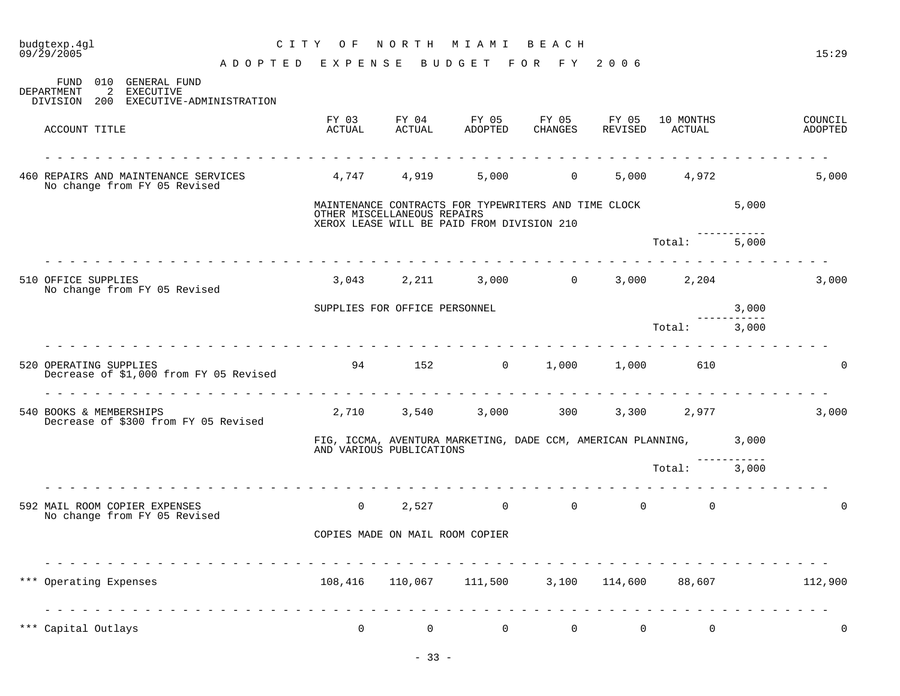| budgtexp.4gl<br>09/29/2005                                                                              | C I T Y<br>O F  | NORTH                           | M I A M I                                                                                          | BEACH          |                                     |                      |       | 15:29              |
|---------------------------------------------------------------------------------------------------------|-----------------|---------------------------------|----------------------------------------------------------------------------------------------------|----------------|-------------------------------------|----------------------|-------|--------------------|
|                                                                                                         | ADOPTED EXPENSE |                                 | BUDGET FOR FY 2006                                                                                 |                |                                     |                      |       |                    |
| 010<br>GENERAL FUND<br>FUND<br>2<br>DEPARTMENT<br>EXECUTIVE<br>DIVISION<br>200 EXECUTIVE-ADMINISTRATION |                 |                                 |                                                                                                    |                |                                     |                      |       |                    |
| ACCOUNT TITLE                                                                                           | FY 03<br>ACTUAL | ACTUAL                          | FY 04 FY 05 FY 05 FY 05<br>ADOPTED                                                                 | CHANGES        | REVISED                             | 10 MONTHS<br>ACTUAL  |       | COUNCIL<br>ADOPTED |
| 460 REPAIRS AND MAINTENANCE SERVICES<br>No change from FY 05 Revised                                    | 4,747 4,919     |                                 | 5,000                                                                                              |                | $0 \qquad \qquad$                   | 5,000 4,972          |       | 5,000              |
|                                                                                                         |                 | OTHER MISCELLANEOUS REPAIRS     | MAINTENANCE CONTRACTS FOR TYPEWRITERS AND TIME CLOCK<br>XEROX LEASE WILL BE PAID FROM DIVISION 210 |                |                                     |                      | 5,000 |                    |
|                                                                                                         |                 |                                 |                                                                                                    |                |                                     | Total:               | 5,000 |                    |
| 510 OFFICE SUPPLIES<br>No change from FY 05 Revised                                                     |                 |                                 | 3,043 2,211 3,000 0                                                                                |                |                                     | 3,000 2,204          |       | 3,000              |
|                                                                                                         |                 | SUPPLIES FOR OFFICE PERSONNEL   |                                                                                                    |                |                                     |                      | 3,000 |                    |
|                                                                                                         |                 |                                 |                                                                                                    |                |                                     | Total:               | 3,000 |                    |
| 520 OPERATING SUPPLIES<br>Decrease of \$1,000 from FY 05 Revised                                        |                 |                                 | 94 152 0                                                                                           | 1,000          |                                     | 1,000 610            |       | 0                  |
| 540 BOOKS & MEMBERSHIPS<br>Decrease of \$300 from FY 05 Revised                                         |                 |                                 | 2,710 3,540 3,000 300                                                                              |                |                                     | 3,300 2,977          |       | 3,000              |
|                                                                                                         |                 | AND VARIOUS PUBLICATIONS        | FIG, ICCMA, AVENTURA MARKETING, DADE CCM, AMERICAN PLANNING, 3,000                                 |                |                                     |                      |       |                    |
|                                                                                                         |                 |                                 |                                                                                                    |                |                                     | Total:               | 3,000 |                    |
| 592 MAIL ROOM COPIER EXPENSES<br>No change from FY 05 Revised                                           | $\overline{0}$  |                                 | $\overline{0}$<br>2,527                                                                            |                | $0 \qquad \qquad$<br>$\overline{0}$ | $\Omega$             |       |                    |
|                                                                                                         |                 | COPIES MADE ON MAIL ROOM COPIER |                                                                                                    |                |                                     |                      |       |                    |
| *** Operating Expenses                                                                                  | 108,416         |                                 | 110,067    111,500                                                                                 |                |                                     | 3,100 114,600 88,607 |       | 112,900            |
| *** Capital Outlays                                                                                     | $\overline{0}$  | $\overline{0}$                  | $\overline{0}$                                                                                     | $\overline{0}$ | 0                                   | 0                    |       | 0                  |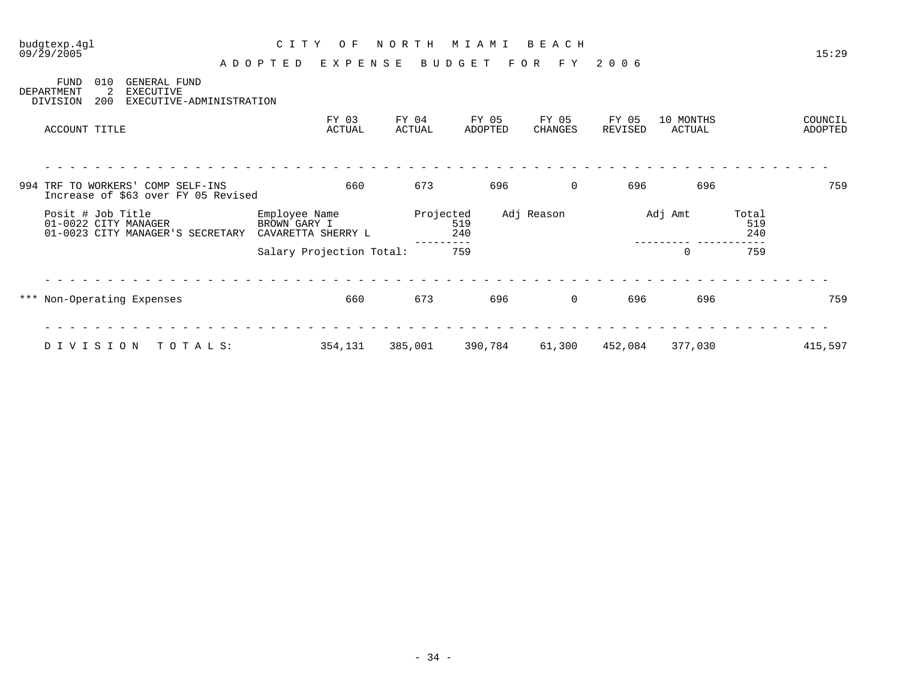| $09/\bar{2}9/2005$                                       |                                                                          | ADOPTED                       | E X P E N S E            |                 | BUDGET           | F O R<br>F Y     | 2006             |                     |                     | 15:29              |
|----------------------------------------------------------|--------------------------------------------------------------------------|-------------------------------|--------------------------|-----------------|------------------|------------------|------------------|---------------------|---------------------|--------------------|
| <b>FUND</b><br>010<br>2<br>DEPARTMENT<br>200<br>DIVISION | GENERAL FUND<br>EXECUTIVE<br>EXECUTIVE-ADMINISTRATION                    |                               |                          |                 |                  |                  |                  |                     |                     |                    |
| ACCOUNT TITLE                                            |                                                                          |                               | FY 03<br>ACTUAL          | FY 04<br>ACTUAL | FY 05<br>ADOPTED | FY 05<br>CHANGES | FY 05<br>REVISED | 10 MONTHS<br>ACTUAL |                     | COUNCIL<br>ADOPTED |
|                                                          |                                                                          |                               |                          |                 |                  |                  |                  |                     |                     |                    |
|                                                          | 994 TRF TO WORKERS' COMP SELF-INS<br>Increase of \$63 over FY 05 Revised |                               | 660                      | 673             | 696              | $\mathbf 0$      | 696              | 696                 |                     | 759                |
| Posit # Job Title<br>01-0022 CITY MANAGER                | 01-0023 CITY MANAGER'S SECRETARY                                         | Employee Name<br>BROWN GARY I | CAVARETTA SHERRY L       | Projected       | 519<br>240       | Adj Reason       |                  | Adj Amt             | Total<br>519<br>240 |                    |
|                                                          |                                                                          |                               | Salary Projection Total: |                 | 759              |                  |                  | $\mathbf 0$         | 759                 |                    |
| *** Non-Operating Expenses                               |                                                                          |                               | 660                      | 673             | 696              | $\mathbf 0$      | 696              | 696                 |                     | 759                |
|                                                          |                                                                          |                               |                          |                 |                  |                  |                  |                     |                     |                    |
| DIVISION                                                 | TOTALS:                                                                  |                               | 354,131                  | 385,001         | 390,784          | 61,300           | 452,084          | 377,030             |                     | 415,597            |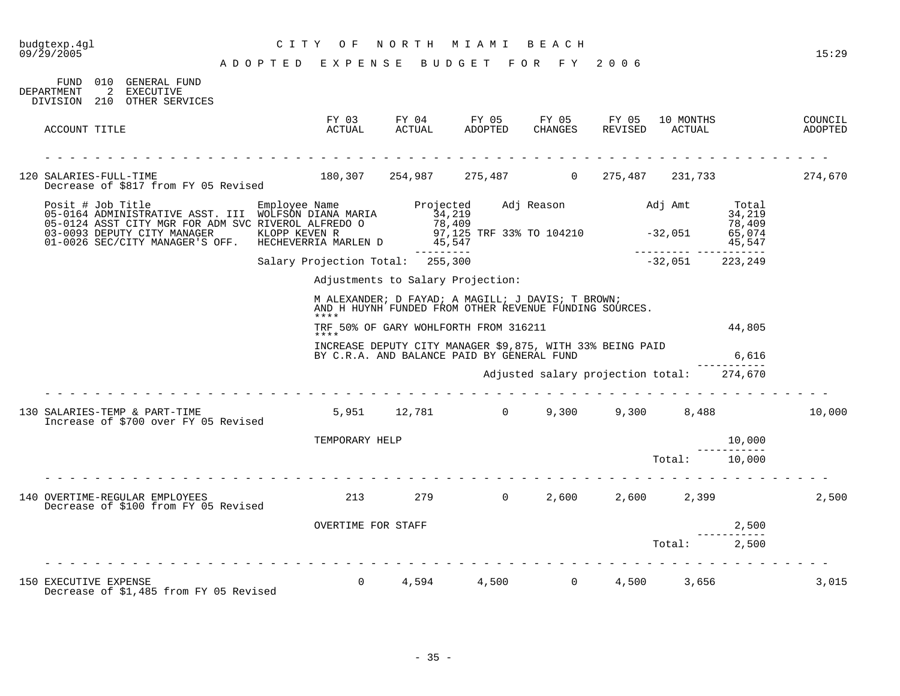## budgtexp.4gl C I T Y O F N O R T H M I A M I B E A C H

| 010<br>FUND<br>GENERAL FUND<br>2<br>DEPARTMENT<br>EXECUTIVE<br>DIVISION 210 OTHER SERVICES                                                                                                         |                                                        |                     |                                                                                                             |                  |                                   |                     |                                               |                    |
|----------------------------------------------------------------------------------------------------------------------------------------------------------------------------------------------------|--------------------------------------------------------|---------------------|-------------------------------------------------------------------------------------------------------------|------------------|-----------------------------------|---------------------|-----------------------------------------------|--------------------|
| ACCOUNT TITLE                                                                                                                                                                                      | FY 03<br>ACTUAL                                        | FY 04<br>ACTUAL     | FY 05<br>ADOPTED                                                                                            | FY 05<br>CHANGES | FY 05<br>REVISED                  | 10 MONTHS<br>ACTUAL |                                               | COUNCIL<br>ADOPTED |
| 120 SALARIES-FULL-TIME<br>Decrease of \$817 from FY 05 Revised                                                                                                                                     | 180,307                                                |                     | 254,987 275,487                                                                                             | $\overline{0}$   | 275,487                           | 231,733             |                                               | 274,670            |
| Posit # Job Title<br>05-0164 ADMINISTRATIVE ASST. III WOLFSON DIANA MARIA<br>05-0124 ASST CITY MGR FOR ADM SVC RIVEROL ALFREDO O<br>03-0093 DEPUTY CITY MANAGER<br>01-0026 SEC/CITY MANAGER'S OFF. | Employee Name<br>KLOPP KEVEN R<br>HECHEVERRIA MARLEN D | Projected<br>34,219 | 78,409<br>97,125 TRF 33% TO 104210 -32,051<br>45,547                                                        |                  | Adj Reason Maj Amt                |                     | Total<br>34,219<br>78,409<br>65,074<br>45,547 |                    |
|                                                                                                                                                                                                    | Salary Projection Total:                               | 255,300             |                                                                                                             |                  |                                   | $-32,051$           | 223,249                                       |                    |
|                                                                                                                                                                                                    |                                                        |                     | Adjustments to Salary Projection:                                                                           |                  |                                   |                     |                                               |                    |
|                                                                                                                                                                                                    | ****                                                   |                     | M ALEXANDER; D FAYAD; A MAGILL; J DAVIS; T BROWN;<br>AND H HUYNH FUNDED FROM OTHER REVENUE FUNDING SOURCES. |                  |                                   |                     |                                               |                    |
|                                                                                                                                                                                                    |                                                        |                     | TRF 50% OF GARY WOHLFORTH FROM 316211                                                                       |                  |                                   |                     | 44,805                                        |                    |
|                                                                                                                                                                                                    | ****                                                   |                     | INCREASE DEPUTY CITY MANAGER \$9,875, WITH 33% BEING PAID<br>BY C.R.A. AND BALANCE PAID BY GENERAL FUND     |                  |                                   |                     | 6,616                                         |                    |
|                                                                                                                                                                                                    |                                                        |                     |                                                                                                             |                  | Adjusted salary projection total: |                     | 274,670                                       |                    |
| 130 SALARIES-TEMP & PART-TIME<br>Increase of \$700 over FY 05 Revised                                                                                                                              |                                                        |                     | 5,951 12,781 0                                                                                              | 9,300            | 9,300                             | 8,488               |                                               | 10,000             |
|                                                                                                                                                                                                    | TEMPORARY HELP                                         |                     |                                                                                                             |                  |                                   |                     | 10,000                                        |                    |
|                                                                                                                                                                                                    |                                                        |                     |                                                                                                             |                  |                                   | Total:              | 10,000                                        |                    |
| 140 OVERTIME-REGULAR EMPLOYEES<br>Decrease of \$100 from FY 05 Revised                                                                                                                             | 213                                                    |                     | 279<br>$\overline{0}$                                                                                       | 2,600            | 2,600                             | 2,399               |                                               | 2,500              |
|                                                                                                                                                                                                    | OVERTIME FOR STAFF                                     |                     |                                                                                                             |                  |                                   |                     | 2,500                                         |                    |
|                                                                                                                                                                                                    |                                                        |                     |                                                                                                             |                  |                                   | Total:              | 2,500                                         |                    |
|                                                                                                                                                                                                    |                                                        |                     |                                                                                                             |                  |                                   |                     |                                               |                    |
| 150 EXECUTIVE EXPENSE<br>Decrease of \$1,485 from FY 05 Revised                                                                                                                                    | $\Omega$                                               | 4,594               | 4,500                                                                                                       | $\overline{0}$   | 4,500                             | 3,656               |                                               | 3,015              |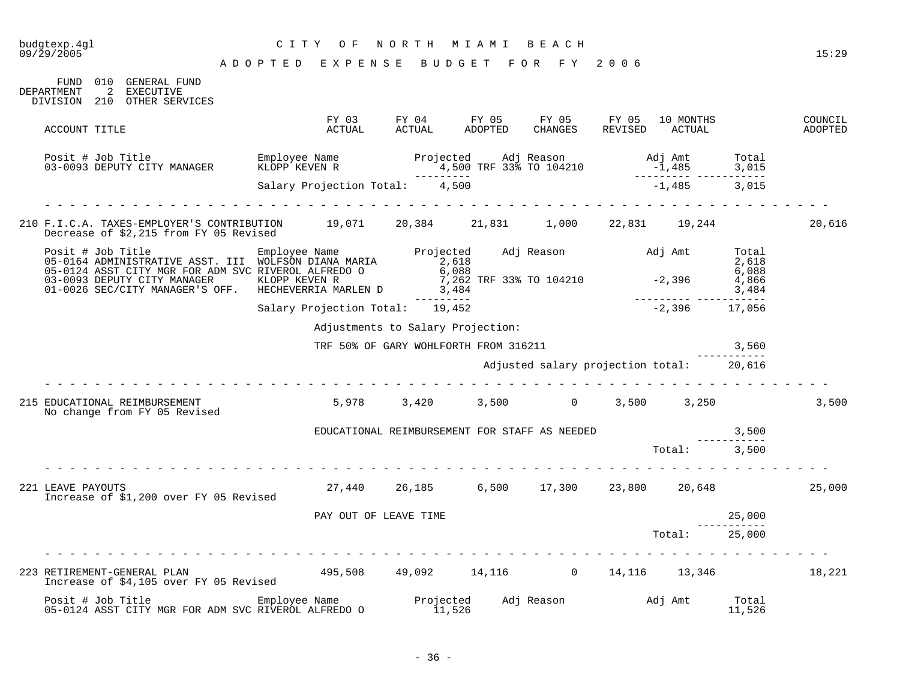| budgtexp.4ql<br>09/29/2005 |                                                                                                                                                                                                                               |  | NORTH<br>C I T Y<br>O F<br>M I A M I<br>BEACH<br>ADOPTED EXPENSE BUDGET FOR FY 2006 |                                                                                                                                                                                                                           |  |  |  |                                                       |        |                    |
|----------------------------|-------------------------------------------------------------------------------------------------------------------------------------------------------------------------------------------------------------------------------|--|-------------------------------------------------------------------------------------|---------------------------------------------------------------------------------------------------------------------------------------------------------------------------------------------------------------------------|--|--|--|-------------------------------------------------------|--------|--------------------|
|                            | 010 GENERAL FUND<br>FUND<br>2 EXECUTIVE<br><b>DEPARTMENT</b><br>DIVISION 210 OTHER SERVICES                                                                                                                                   |  |                                                                                     |                                                                                                                                                                                                                           |  |  |  |                                                       |        |                    |
|                            | ACCOUNT TITLE                                                                                                                                                                                                                 |  |                                                                                     | FY 03 FY 04 FY 05 FY 05 FY 05 10 MONTHS<br>ACTUAL ACTUAL ADOPTED CHANGES REVISED ACTUAL                                                                                                                                   |  |  |  | 10 MONTHS                                             |        | COUNCIL<br>ADOPTED |
|                            |                                                                                                                                                                                                                               |  |                                                                                     |                                                                                                                                                                                                                           |  |  |  | Adj Amt Total<br>-1,485 3,015<br>-------- ----------- |        |                    |
|                            |                                                                                                                                                                                                                               |  |                                                                                     | Salary Projection Total: 4,500                                                                                                                                                                                            |  |  |  | $-1,485$ 3,015                                        |        |                    |
|                            | 210 F.I.C.A. TAXES-EMPLOYER'S CONTRIBUTION 19,071 20,384 21,831 1,000 22,831 19,244<br>Decrease of \$2,215 from FY 05 Revised                                                                                                 |  |                                                                                     |                                                                                                                                                                                                                           |  |  |  |                                                       |        | 20,616             |
|                            | Posit # Job Title Marsh 2,618 Employee Name Projected Adj Reason Adj Amt Total 2,618<br>17.618 05-0164 ADMINISTRATIVE ASST. III WOLFSON DIANA MARIA 2,618<br>17.618 05-0124 ASST CITY MGR FOR ADM SVC RIVEROL ALFREDO 0 6,088 |  |                                                                                     |                                                                                                                                                                                                                           |  |  |  |                                                       |        |                    |
|                            | 03-0093 DEPUTY CITY MANAGER<br>01-0026 SEC/CITY MANAGER'S OFF.                                                                                                                                                                |  |                                                                                     |                                                                                                                                                                                                                           |  |  |  |                                                       |        |                    |
|                            |                                                                                                                                                                                                                               |  |                                                                                     | Salary Projection Total: 19,452                                                                                                                                                                                           |  |  |  | $-2,396$ 17,056                                       |        |                    |
|                            |                                                                                                                                                                                                                               |  |                                                                                     | Adjustments to Salary Projection:                                                                                                                                                                                         |  |  |  |                                                       |        |                    |
|                            | TRF 50% OF GARY WOHLFORTH FROM 316211                                                                                                                                                                                         |  |                                                                                     |                                                                                                                                                                                                                           |  |  |  |                                                       | 3,560  |                    |
|                            | Adjusted salary projection total: 20,616                                                                                                                                                                                      |  |                                                                                     |                                                                                                                                                                                                                           |  |  |  |                                                       |        |                    |
|                            | 215 EDUCATIONAL REIMBURSEMENT<br>No change from FY 05 Revised                                                                                                                                                                 |  |                                                                                     | $5,978$ $3,420$ $3,500$ $0$ $3,500$ $3,250$                                                                                                                                                                               |  |  |  |                                                       |        | 3,500              |
|                            |                                                                                                                                                                                                                               |  |                                                                                     | ${\tt EUCATIONAL}\begin{tabular}{lllllllllllllllllll} \texttt{REIMBURSEMENT} & \texttt{FOR} & \texttt{STAFF} & \texttt{AS} & \texttt{NEEDED} & \texttt{3,500} \\ \texttt{Total:} & & & & & \\ & & & & & \\ \end{tabular}$ |  |  |  |                                                       |        |                    |
|                            |                                                                                                                                                                                                                               |  |                                                                                     |                                                                                                                                                                                                                           |  |  |  |                                                       |        |                    |
|                            | 221 LEAVE PAYOUTS<br>Increase of \$1,200 over FY 05 Revised                                                                                                                                                                   |  |                                                                                     | 27,440  26,185  6,500  17,300  23,800  20,648                                                                                                                                                                             |  |  |  |                                                       |        | 25,000             |
|                            |                                                                                                                                                                                                                               |  | PAY OUT OF LEAVE TIME                                                               |                                                                                                                                                                                                                           |  |  |  |                                                       | 25,000 |                    |
|                            |                                                                                                                                                                                                                               |  |                                                                                     |                                                                                                                                                                                                                           |  |  |  | Total:                                                | 25,000 |                    |
|                            | 223 RETIREMENT-GENERAL PLAN                                                                                                                                                                                                   |  |                                                                                     |                                                                                                                                                                                                                           |  |  |  |                                                       |        |                    |
|                            | Posit # Job Title<br>05-0124 ASST CITY MGR FOR ADM SVC RIVEROL ALFREDO O                                                                                                                                                      |  |                                                                                     |                                                                                                                                                                                                                           |  |  |  |                                                       |        |                    |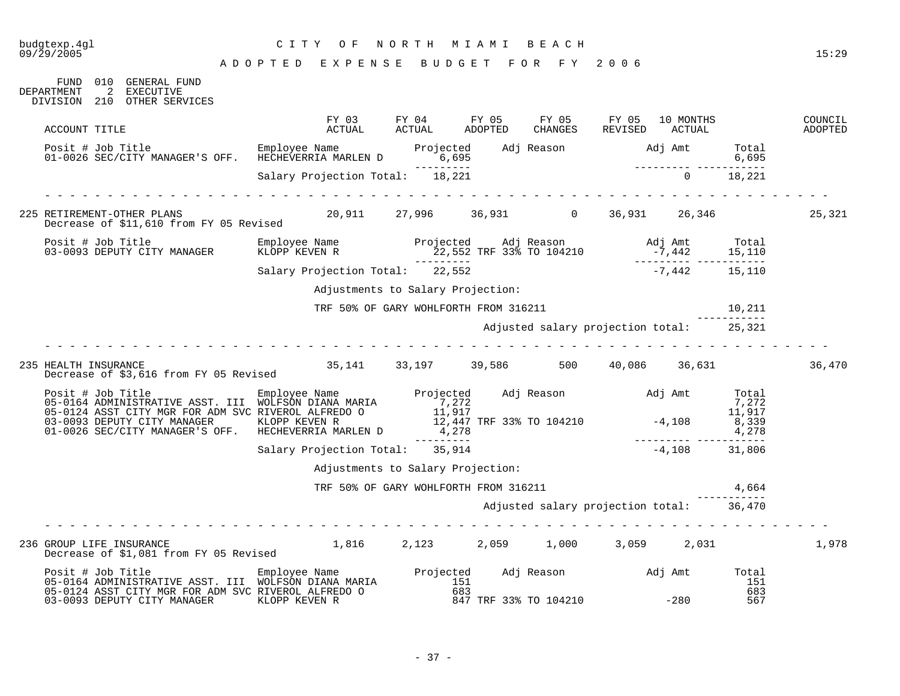## budgtexp.4gl C I T Y O F N O R T H M I A M I B E A C H

| FUND 010 GENERAL FUND<br>2 EXECUTIVE<br>DEPARTMENT<br>DIVISION 210 OTHER SERVICES                                                                                                                                                                                                        |                                        |                                       |                                          |                 |        |        |
|------------------------------------------------------------------------------------------------------------------------------------------------------------------------------------------------------------------------------------------------------------------------------------------|----------------------------------------|---------------------------------------|------------------------------------------|-----------------|--------|--------|
| ACCOUNT TITLE                                                                                                                                                                                                                                                                            |                                        |                                       |                                          |                 |        |        |
| Posit # Job Title Employee Name Projected Adj Reason Adj Amt Total<br>16,695 6,695 01-0026 SEC/CITY MANAGER'S OFF. HECHEVERRIA MARLEN D<br>Posit # Job Title<br>01-0026 SEC/CITY MANAGER'S OFF. HECHEVERRIA MARLEN D 6,695<br>01-0026 SEC/CITY MANAGER'S OFF. HECHEVERRIA MARLEN D 6,695 |                                        |                                       |                                          |                 |        |        |
|                                                                                                                                                                                                                                                                                          |                                        |                                       |                                          | $\overline{0}$  | 18,221 |        |
| 225 RETIREMENT-OTHER PLANS                                                                                                                                                                                                                                                               |                                        |                                       |                                          |                 |        | 25,321 |
| Posit # Job Title<br>03-0093 DEPUTY CITY MANAGER                                                                                                                                                                                                                                         |                                        |                                       |                                          |                 |        |        |
|                                                                                                                                                                                                                                                                                          |                                        |                                       |                                          | $-7,442$ 15,110 |        |        |
|                                                                                                                                                                                                                                                                                          | Adjustments to Salary Projection:      |                                       |                                          |                 |        |        |
|                                                                                                                                                                                                                                                                                          |                                        | TRF 50% OF GARY WOHLFORTH FROM 316211 |                                          |                 | 10,211 |        |
|                                                                                                                                                                                                                                                                                          |                                        |                                       | Adjusted salary projection total: 25,321 |                 |        |        |
| 235 HEALTH INSURANCE<br>Decrease of \$3,616 from FY 05 Revised                                                                                                                                                                                                                           | 35,141 33,197 39,586 500 40,086 36,631 |                                       |                                          |                 |        | 36,470 |
|                                                                                                                                                                                                                                                                                          |                                        |                                       |                                          |                 |        |        |
| 01-0026 SEC/CITY MANAGER'S OFF. HECHEVERRIA MARLEN D                                                                                                                                                                                                                                     |                                        |                                       |                                          |                 |        |        |
|                                                                                                                                                                                                                                                                                          | Salary Projection Total: 35,914        |                                       |                                          |                 |        |        |
|                                                                                                                                                                                                                                                                                          |                                        | Adjustments to Salary Projection:     |                                          |                 |        |        |
|                                                                                                                                                                                                                                                                                          |                                        | TRF 50% OF GARY WOHLFORTH FROM 316211 |                                          |                 | 4,664  |        |
|                                                                                                                                                                                                                                                                                          |                                        |                                       | Adjusted salary projection total: 36,470 |                 |        |        |
|                                                                                                                                                                                                                                                                                          |                                        |                                       |                                          |                 |        |        |
| 236 GROUP LIFE INSURANCE<br>Decrease of \$1 081 from FY 05 Revised 1,816 2,123 2,059 1,000 3,059 2,031                                                                                                                                                                                   |                                        |                                       |                                          |                 |        | 1,978  |
|                                                                                                                                                                                                                                                                                          |                                        |                                       |                                          | $-280$          |        |        |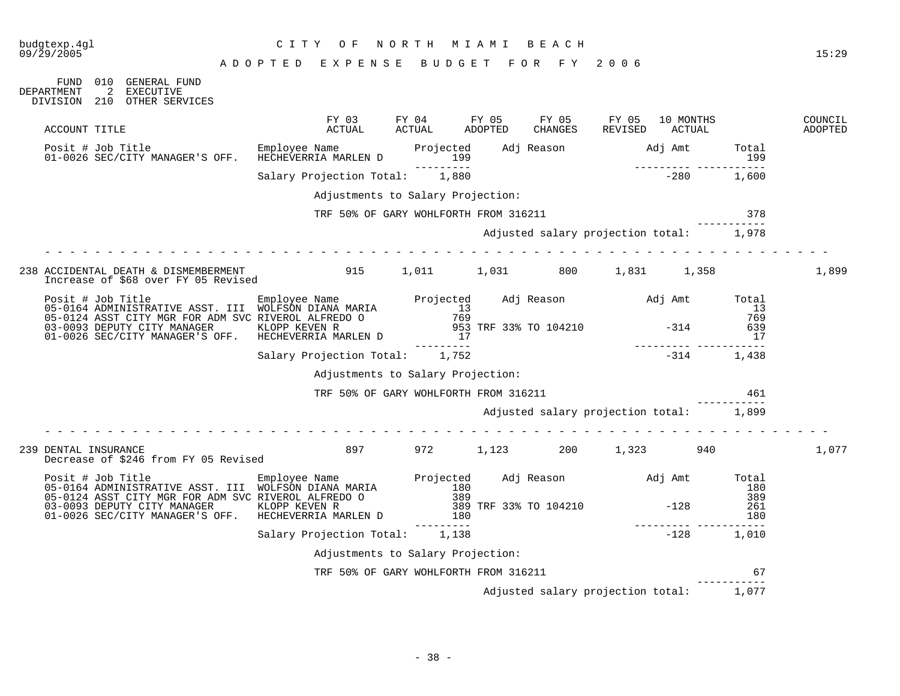## budgtexp.4gl C I T Y O F N O R T H M I A M I B E A C H

A D O P T E D E X P E N S E B U D G E T F O R F Y 2 0 0 6

FUND 010 GENERAL FUND<br>DEPARTMENT 2 EXECUTIVE 2 EXECUTIVE DIVISION 210 OTHER SERVICES

| ACCOUNT TITLE                                                                                                                                                                                                                        | FY 03<br>ACTUAL                       | FY 04<br>ACTUAL   | FY 05<br>ADOPTED | FY 05<br>CHANGES                        | FY 05<br>REVISED | 10 MONTHS<br>ACTUAL           |                     | COUNCIL<br>ADOPTED |
|--------------------------------------------------------------------------------------------------------------------------------------------------------------------------------------------------------------------------------------|---------------------------------------|-------------------|------------------|-----------------------------------------|------------------|-------------------------------|---------------------|--------------------|
| Posit # Job Title Employee Name Projected Adj Reason Adj Amt Total (1998)<br>199 199 199 199 199 199 Projected Adj Reason Adj Amt Total                                                                                              |                                       | ----------        |                  |                                         |                  | 199<br>----------- ---------- |                     |                    |
|                                                                                                                                                                                                                                      | Salary Projection Total: 1,880        |                   |                  |                                         |                  | $-280$                        | 1,600               |                    |
|                                                                                                                                                                                                                                      | Adjustments to Salary Projection:     |                   |                  |                                         |                  |                               |                     |                    |
|                                                                                                                                                                                                                                      | TRF 50% OF GARY WOHLFORTH FROM 316211 |                   |                  |                                         |                  |                               | 378                 |                    |
|                                                                                                                                                                                                                                      |                                       |                   |                  | Adjusted salary projection total: 1,978 |                  |                               |                     |                    |
| 238 ACCIDENTAL DEATH & DISMEMBERMENT<br>Increase of \$68 over FY 05 Revised                                                                                                                                                          | 915                                   |                   |                  | 1,011 1,031 800                         |                  | 1,831 1,358                   |                     | 1,899              |
| Posit # Job Title Employee Name Projected Adj Reason Adj Amt Total<br>05-0164 ADMINISTRATIVE ASST. III WOLFSON DIANA MARIA 13<br>05-0124 ASST CITY MGR FOR ADM SVC RIVEROL ALFREDO 0 769 769<br>03-0093 DEPUTY CITY MANAGER KLOPP KE |                                       |                   |                  |                                         |                  |                               |                     |                    |
|                                                                                                                                                                                                                                      |                                       |                   |                  |                                         |                  |                               |                     |                    |
|                                                                                                                                                                                                                                      | Salary Projection Total: 1,752        |                   |                  |                                         |                  | $-314$                        | 1,438               |                    |
|                                                                                                                                                                                                                                      | Adjustments to Salary Projection:     |                   |                  |                                         |                  |                               |                     |                    |
|                                                                                                                                                                                                                                      | TRF 50% OF GARY WOHLFORTH FROM 316211 |                   |                  |                                         |                  |                               | 461                 |                    |
|                                                                                                                                                                                                                                      |                                       |                   |                  | Adjusted salary projection total: 1,899 |                  |                               |                     |                    |
| 239 DENTAL INSURANCE<br>Decrease of \$246 from FY 05 Revised                                                                                                                                                                         | 897                                   |                   |                  | 972 1,123 200                           |                  | 1,323 940                     |                     | 1,077              |
| Posit # Job Title Employee Name<br>05-0164 ADMINISTRATIVE ASST. III WOLFSON DIANA MARIA 180<br>05-0124 ASST CITY MGR FOR ADM SVC RIVEROL ALFREDO 0 389<br>02.0002 DEDITTY OTTY MANAGER KLOPP KEVEN R 389 TRF 33% TO 104210 -128      |                                       |                   |                  |                                         |                  |                               | Total<br>180<br>389 |                    |
| 01-0026 SEC/CITY MANAGER'S OFF. HECHEVERRIA MARLEN D                                                                                                                                                                                 |                                       | 180<br>---------- |                  |                                         |                  |                               | 261<br>180          |                    |
|                                                                                                                                                                                                                                      | Salary Projection Total: 1,138        |                   |                  |                                         |                  | $-128$                        | 1,010               |                    |
|                                                                                                                                                                                                                                      | Adjustments to Salary Projection:     |                   |                  |                                         |                  |                               |                     |                    |
|                                                                                                                                                                                                                                      | TRF 50% OF GARY WOHLFORTH FROM 316211 |                   |                  |                                         |                  |                               | 67                  |                    |
|                                                                                                                                                                                                                                      |                                       |                   |                  | Adjusted salary projection total:       |                  |                               | 1,077               |                    |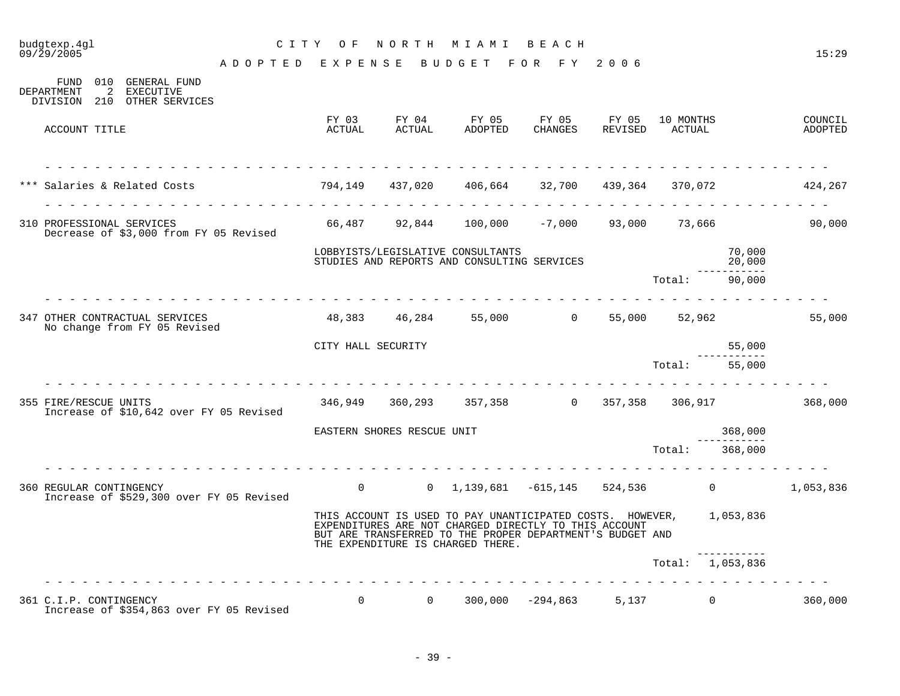| budgtexp.4gl<br>09/29/2005                                                            |                                    | CITY OF                    |                       | NORTH MIAMI BEACH                                                                                                                                                                                                              |             |                                     |                  | 15:29              |
|---------------------------------------------------------------------------------------|------------------------------------|----------------------------|-----------------------|--------------------------------------------------------------------------------------------------------------------------------------------------------------------------------------------------------------------------------|-------------|-------------------------------------|------------------|--------------------|
|                                                                                       | ADOPTED EXPENSE BUDGET FOR FY 2006 |                            |                       |                                                                                                                                                                                                                                |             |                                     |                  |                    |
| FUND 010 GENERAL FUND<br>2 EXECUTIVE<br>DEPARTMENT<br>DIVISION 210 OTHER SERVICES     |                                    |                            |                       |                                                                                                                                                                                                                                |             |                                     |                  |                    |
| ACCOUNT TITLE                                                                         |                                    | ACTUAL                     | FY 03 FY 04<br>ACTUAL | FY 05<br>ADOPTED                                                                                                                                                                                                               | FY 05 FY 05 | 10 MONTHS<br>CHANGES REVISED ACTUAL |                  | COUNCIL<br>ADOPTED |
| *** Salaries & Related Costs (1994,149 437,020 406,664 32,700 439,364 370,072 424,267 |                                    |                            |                       |                                                                                                                                                                                                                                |             |                                     |                  |                    |
| 310 PROFESSIONAL SERVICES<br>Decrease of \$3,000 from FY 05 Revised                   |                                    |                            |                       | 66,487   92,844   100,000   -7,000   93,000   73,666                                                                                                                                                                           |             |                                     |                  | 90,000             |
|                                                                                       |                                    |                            |                       | LOBBYISTS/LEGISLATIVE CONSULTANTS<br>STUDIES AND REPORTS AND CONSULTING SERVICES                                                                                                                                               |             |                                     | 70,000<br>20,000 |                    |
|                                                                                       |                                    |                            |                       |                                                                                                                                                                                                                                |             | Total: 90,000                       |                  |                    |
| 347 OTHER CONTRACTUAL SERVICES<br>No change from FY 05 Revised                        |                                    |                            |                       | $48,383$ $46,284$ $55,000$ 0 $55,000$ 52,962                                                                                                                                                                                   |             |                                     |                  | 55,000             |
|                                                                                       |                                    | CITY HALL SECURITY         |                       |                                                                                                                                                                                                                                |             |                                     | 55,000           |                    |
|                                                                                       |                                    |                            |                       |                                                                                                                                                                                                                                |             | Total:                              | 55,000           |                    |
| 355 FIRE/RESCUE UNITS<br>Increase of \$10,642 over FY 05 Revised                      |                                    |                            |                       | 346,949 360,293 357,358 0 357,358 306,917 368,000                                                                                                                                                                              |             |                                     |                  |                    |
|                                                                                       |                                    | EASTERN SHORES RESCUE UNIT |                       |                                                                                                                                                                                                                                |             |                                     | 368,000          |                    |
|                                                                                       |                                    |                            |                       |                                                                                                                                                                                                                                |             | Total:                              | 368,000          |                    |
| 360 REGULAR CONTINGENCY<br>Increase of \$529,300 over FY 05 Revised                   |                                    |                            |                       | 0 0 1,139,681 -615,145 524,536 0                                                                                                                                                                                               |             |                                     |                  | 1,053,836          |
|                                                                                       |                                    |                            |                       | THIS ACCOUNT IS USED TO PAY UNANTICIPATED COSTS. HOWEVER, 1,053,836<br>EXPENDITURES ARE NOT CHARGED DIRECTLY TO THIS ACCOUNT<br>BUT ARE TRANSFERRED TO THE PROPER DEPARTMENT'S BUDGET AND<br>THE EXPENDITURE IS CHARGED THERE. |             |                                     |                  |                    |
|                                                                                       |                                    |                            |                       |                                                                                                                                                                                                                                |             | Total: 1,053,836                    |                  |                    |
|                                                                                       |                                    |                            |                       |                                                                                                                                                                                                                                |             |                                     |                  |                    |
| 361 C.I.P. CONTINGENCY<br>Increase of \$354,863 over FY 05 Revised                    |                                    |                            |                       | $0$ 0 300,000 -294,863 5,137 0                                                                                                                                                                                                 |             |                                     |                  | 360,000            |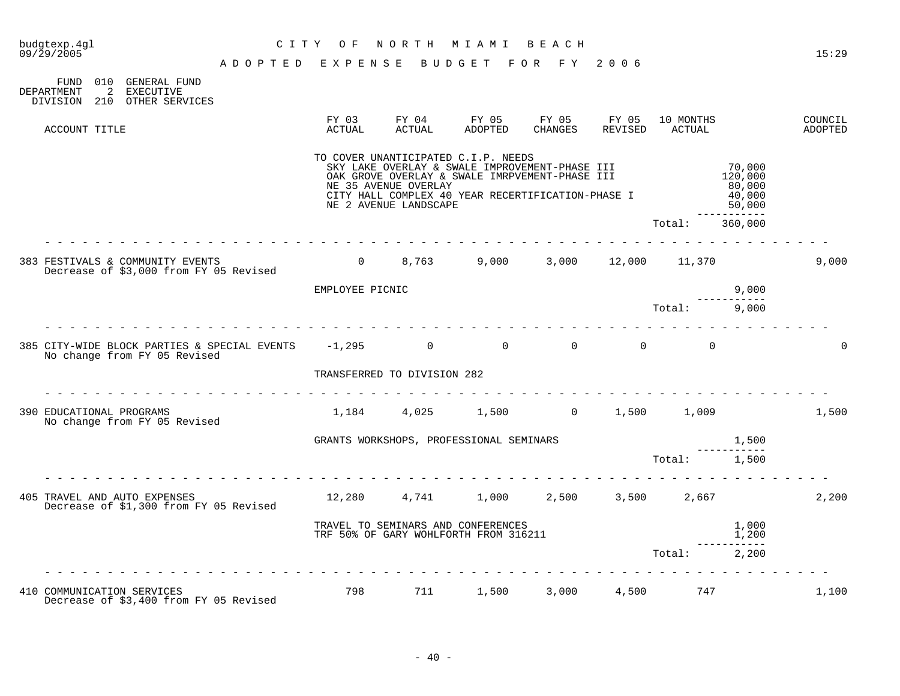| budgtexp.4gl<br>09/29/2005                                                                                 | C I T Y                            | O F             | NORTH                                         | M I A M I                                                                                                                                                                                    | BEACH                 |                  |                     |                                                                | 15:29              |
|------------------------------------------------------------------------------------------------------------|------------------------------------|-----------------|-----------------------------------------------|----------------------------------------------------------------------------------------------------------------------------------------------------------------------------------------------|-----------------------|------------------|---------------------|----------------------------------------------------------------|--------------------|
|                                                                                                            | ADOPTED EXPENSE BUDGET FOR FY 2006 |                 |                                               |                                                                                                                                                                                              |                       |                  |                     |                                                                |                    |
| 010 GENERAL FUND<br>FUND<br>DEPARTMENT<br>$\overline{2}$<br>EXECUTIVE<br>OTHER SERVICES<br>210<br>DIVISION |                                    |                 |                                               |                                                                                                                                                                                              |                       |                  |                     |                                                                |                    |
| ACCOUNT TITLE                                                                                              |                                    | FY 03<br>ACTUAL | FY 04<br>ACTUAL                               | FY 05<br>ADOPTED                                                                                                                                                                             | FY 05<br>CHANGES      | FY 05<br>REVISED | 10 MONTHS<br>ACTUAL |                                                                | COUNCIL<br>ADOPTED |
|                                                                                                            |                                    |                 | NE 35 AVENUE OVERLAY<br>NE 2 AVENUE LANDSCAPE | TO COVER UNANTICIPATED C.I.P. NEEDS<br>SKY LAKE OVERLAY & SWALE IMPROVEMENT-PHASE III<br>OAK GROVE OVERLAY & SWALE IMRPVEMENT-PHASE III<br>CITY HALL COMPLEX 40 YEAR RECERTIFICATION-PHASE I |                       |                  |                     | 70,000<br>120,000<br>80,000<br>40,000<br>50,000<br>----------- |                    |
|                                                                                                            |                                    |                 |                                               |                                                                                                                                                                                              |                       |                  | Total:              | 360,000                                                        |                    |
| 383 FESTIVALS & COMMUNITY EVENTS<br>Decrease of \$3,000 from FY 05 Revised                                 |                                    |                 |                                               | $0$ 8,763 9,000 3,000 12,000 11,370                                                                                                                                                          |                       |                  |                     |                                                                | 9,000              |
|                                                                                                            |                                    | EMPLOYEE PICNIC |                                               |                                                                                                                                                                                              |                       |                  |                     | 9,000                                                          |                    |
|                                                                                                            |                                    |                 |                                               |                                                                                                                                                                                              |                       |                  | Total:              | 9,000                                                          |                    |
| 385 CITY-WIDE BLOCK PARTIES & SPECIAL EVENTS -1,295<br>No change from FY 05 Revised                        |                                    |                 | $\overline{0}$                                |                                                                                                                                                                                              | $\Omega$ and $\Omega$ | $\Omega$         | $\Omega$            |                                                                | 0                  |
|                                                                                                            |                                    |                 | TRANSFERRED TO DIVISION 282                   |                                                                                                                                                                                              |                       |                  |                     |                                                                |                    |
| 390 EDUCATIONAL PROGRAMS<br>No change from FY 05 Revised                                                   |                                    |                 |                                               | $1,184$ $4,025$ $1,500$ $0$ $1,500$ $1,009$                                                                                                                                                  |                       |                  |                     |                                                                | 1,500              |
|                                                                                                            |                                    |                 |                                               | GRANTS WORKSHOPS, PROFESSIONAL SEMINARS                                                                                                                                                      |                       |                  |                     | 1,500                                                          |                    |
|                                                                                                            |                                    |                 |                                               |                                                                                                                                                                                              |                       |                  | Total: 1,500        |                                                                |                    |
| 405 TRAVEL AND AUTO EXPENSES<br>Decrease of \$1,300 from FY 05 Revised                                     |                                    |                 |                                               | 12,280  4,741  1,000                                                                                                                                                                         | 2,500                 |                  | 3,500 2,667         |                                                                | 2,200              |
|                                                                                                            |                                    |                 |                                               | TRAVEL TO SEMINARS AND CONFERENCES<br>TRF 50% OF GARY WOHLFORTH FROM 316211                                                                                                                  |                       |                  |                     | 1,000<br>1,200                                                 |                    |
|                                                                                                            |                                    |                 |                                               |                                                                                                                                                                                              |                       |                  | Total:              | ------------<br>2,200                                          |                    |
|                                                                                                            |                                    |                 |                                               |                                                                                                                                                                                              |                       |                  |                     |                                                                |                    |
| 410 COMMUNICATION SERVICES<br>Decrease of \$3,400 from FY 05 Revised                                       |                                    | 798             |                                               | 711 1,500                                                                                                                                                                                    | 3,000                 |                  | 4,500 747           |                                                                | 1,100              |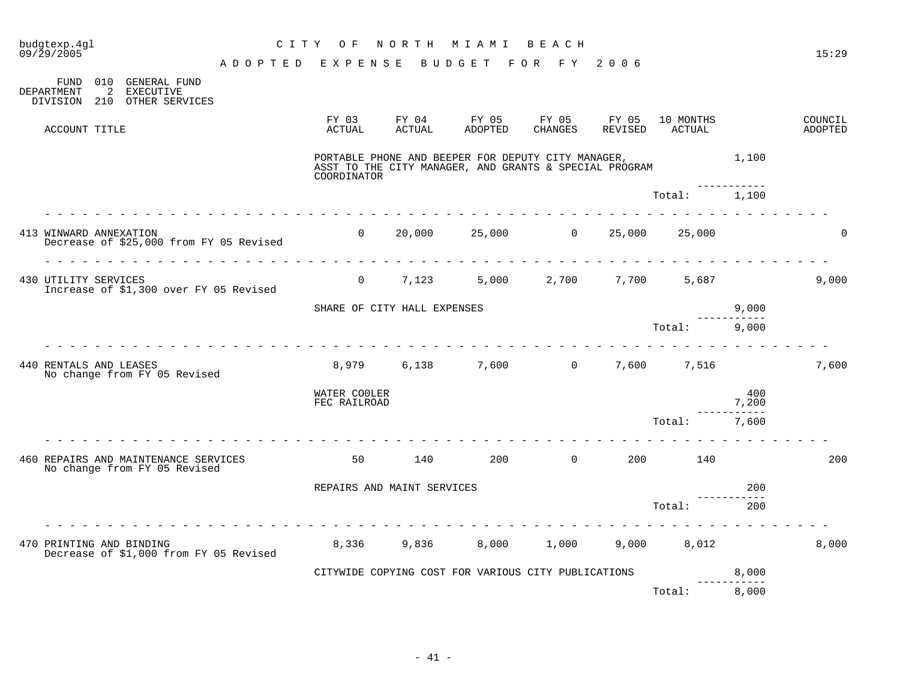| budgtexp.4gl<br>09/29/2005 |                                |                 |                                                                      |         | NORTH<br>C I T Y<br>O F<br>MIAMI<br>BEACH |                        |                                                                                                              |                  |                  |                     |                    | 15:29                     |
|----------------------------|--------------------------------|-----------------|----------------------------------------------------------------------|---------|-------------------------------------------|------------------------|--------------------------------------------------------------------------------------------------------------|------------------|------------------|---------------------|--------------------|---------------------------|
|                            |                                |                 |                                                                      | ADOPTED | EXPENSE                                   |                        | <b>BUDGET</b>                                                                                                | FOR FY           | 2006             |                     |                    |                           |
|                            | FUND<br>DEPARTMENT<br>DIVISION | 010<br>2<br>210 | GENERAL FUND<br><b>EXECUTIVE</b><br>OTHER SERVICES                   |         |                                           |                        |                                                                                                              |                  |                  |                     |                    |                           |
|                            | ACCOUNT TITLE                  |                 |                                                                      |         | FY 03<br>ACTUAL                           | FY 04<br><b>ACTUAL</b> | FY 05<br>ADOPTED                                                                                             | FY 05<br>CHANGES | FY 05<br>REVISED | 10 MONTHS<br>ACTUAL |                    | COUNCIL<br><b>ADOPTED</b> |
|                            |                                |                 |                                                                      |         | COORDINATOR                               |                        | PORTABLE PHONE AND BEEPER FOR DEPUTY CITY MANAGER,<br>ASST TO THE CITY MANAGER, AND GRANTS & SPECIAL PROGRAM |                  |                  |                     | 1,100              |                           |
|                            |                                |                 |                                                                      |         |                                           |                        |                                                                                                              |                  |                  | Total:              | 1,100              |                           |
|                            | 413 WINWARD ANNEXATION         |                 | Decrease of \$25,000 from FY 05 Revised                              |         | $\Omega$                                  | 20,000                 | 25,000                                                                                                       | $\overline{0}$   | 25,000           | 25,000              |                    | $\Omega$                  |
|                            |                                |                 |                                                                      |         |                                           |                        |                                                                                                              |                  |                  |                     |                    |                           |
|                            | 430 UTILITY SERVICES           |                 | Increase of \$1,300 over FY 05 Revised                               |         | $\Omega$                                  | 7,123                  | 5,000                                                                                                        | 2,700            | 7,700            | 5,687               |                    | 9,000                     |
|                            |                                |                 |                                                                      |         | SHARE OF CITY HALL EXPENSES               |                        |                                                                                                              |                  |                  |                     | 9,000              |                           |
|                            |                                |                 |                                                                      |         |                                           |                        |                                                                                                              |                  |                  | Total:              | 9,000              |                           |
|                            | 440 RENTALS AND LEASES         |                 | No change from FY 05 Revised                                         |         | 8,979                                     | 6,138                  | 7,600                                                                                                        | $\overline{0}$   | 7,600            | 7,516               |                    | 7,600                     |
|                            |                                |                 |                                                                      |         | WATER COOLER<br>FEC RAILROAD              |                        |                                                                                                              |                  |                  |                     | 400<br>7,200       |                           |
|                            |                                |                 |                                                                      |         |                                           |                        |                                                                                                              |                  |                  | Total:              | .<br>7,600         |                           |
|                            |                                |                 | 460 REPAIRS AND MAINTENANCE SERVICES<br>No change from FY 05 Revised |         | 50                                        | 140                    | 200                                                                                                          | $\mathbf{0}$     | 200              | 140                 |                    | 200                       |
|                            |                                |                 |                                                                      |         | REPAIRS AND MAINT SERVICES                |                        |                                                                                                              |                  |                  |                     | 200                |                           |
|                            |                                |                 |                                                                      |         |                                           |                        |                                                                                                              |                  |                  | Total:              | 200                |                           |
|                            |                                |                 | 470 PRINTING AND BINDING<br>Decrease of \$1,000 from FY 05 Revised   |         | 8,336                                     | 9,836                  | 8,000                                                                                                        | 1,000            | 9,000            | 8,012               |                    | 8,000                     |
|                            |                                |                 |                                                                      |         |                                           |                        | CITYWIDE COPYING COST FOR VARIOUS CITY PUBLICATIONS                                                          |                  |                  |                     | 8,000<br>--------- |                           |
|                            |                                |                 |                                                                      |         |                                           |                        |                                                                                                              |                  |                  | Total:              | 8,000              |                           |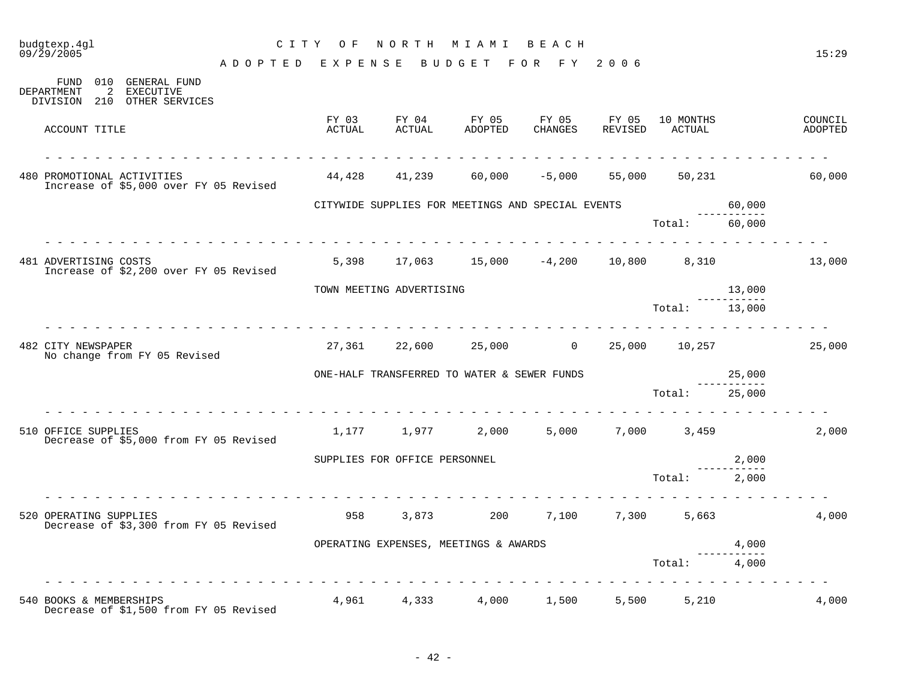| budgtexp.4ql<br>09/29/2005                                                           |                 | CITY OF         |                               | NORTH MIAMI BEACH                                   |                  |                  |                     |                      | 15:29              |
|--------------------------------------------------------------------------------------|-----------------|-----------------|-------------------------------|-----------------------------------------------------|------------------|------------------|---------------------|----------------------|--------------------|
|                                                                                      | ADOPTED EXPENSE |                 |                               | B U D G E T                                         | FOR FY           | 2006             |                     |                      |                    |
| FUND 010 GENERAL FUND<br>DEPARTMENT<br>2<br>EXECUTIVE<br>DIVISION 210 OTHER SERVICES |                 |                 |                               |                                                     |                  |                  |                     |                      |                    |
| ACCOUNT TITLE                                                                        |                 | FY 03<br>ACTUAL | FY 04<br>ACTUAL               | FY 05<br>ADOPTED                                    | FY 05<br>CHANGES | FY 05<br>REVISED | 10 MONTHS<br>ACTUAL |                      | COUNCIL<br>ADOPTED |
| 480 PROMOTIONAL ACTIVITIES<br>Increase of \$5,000 over FY 05 Revised                 |                 | 44,428          | 41,239                        | 60,000                                              | $-5,000$         | 55,000           | 50,231              |                      | 60,000             |
|                                                                                      |                 |                 |                               | CITYWIDE SUPPLIES FOR MEETINGS AND SPECIAL EVENTS   |                  |                  |                     | 60,000               |                    |
|                                                                                      |                 |                 |                               |                                                     |                  |                  | Total:              | 60,000               |                    |
| 481 ADVERTISING COSTS<br>Increase of \$2,200 over FY 05 Revised                      |                 |                 |                               | $5,398$ $17,063$ $15,000$ $-4,200$ $10,800$ $8,310$ |                  |                  |                     |                      | 13,000             |
|                                                                                      |                 |                 | TOWN MEETING ADVERTISING      |                                                     |                  |                  |                     | 13,000               |                    |
|                                                                                      |                 |                 |                               |                                                     |                  |                  | Total: 13,000       | -----------          |                    |
| 482 CITY NEWSPAPER<br>No change from FY 05 Revised                                   |                 |                 |                               | 27,361 22,600 25,000 0                              |                  |                  | 25,000 10,257       |                      | 25,000             |
|                                                                                      |                 |                 |                               | ONE-HALF TRANSFERRED TO WATER & SEWER FUNDS         |                  |                  |                     | 25,000               |                    |
|                                                                                      |                 |                 |                               |                                                     |                  |                  | Total:              | 25,000               |                    |
| 510 OFFICE SUPPLIES<br>Decrease of \$5,000 from FY 05 Revised                        |                 |                 |                               | 1,177 1,977 2,000                                   | 5,000            |                  | 7,000 3,459         |                      | 2,000              |
|                                                                                      |                 |                 | SUPPLIES FOR OFFICE PERSONNEL |                                                     |                  |                  |                     | 2,000<br>___________ |                    |
|                                                                                      |                 |                 |                               |                                                     |                  |                  | Total:              | 2,000                |                    |
| 520 OPERATING SUPPLIES<br>Decrease of \$3,300 from FY 05 Revised                     |                 | 958             |                               | 3,873 200                                           | 7,100            | 7,300            | 5,663               |                      | 4,000              |
|                                                                                      |                 |                 |                               | OPERATING EXPENSES, MEETINGS & AWARDS               |                  |                  |                     | 4,000                |                    |
|                                                                                      |                 |                 |                               |                                                     |                  |                  | Total:              | 4,000                |                    |
| 540 BOOKS & MEMBERSHIPS<br>Decrease of \$1,500 from FY 05 Revised                    |                 |                 | 4,961 4,333                   | 4,000                                               | 1,500            | 5,500            | 5,210               |                      | 4,000              |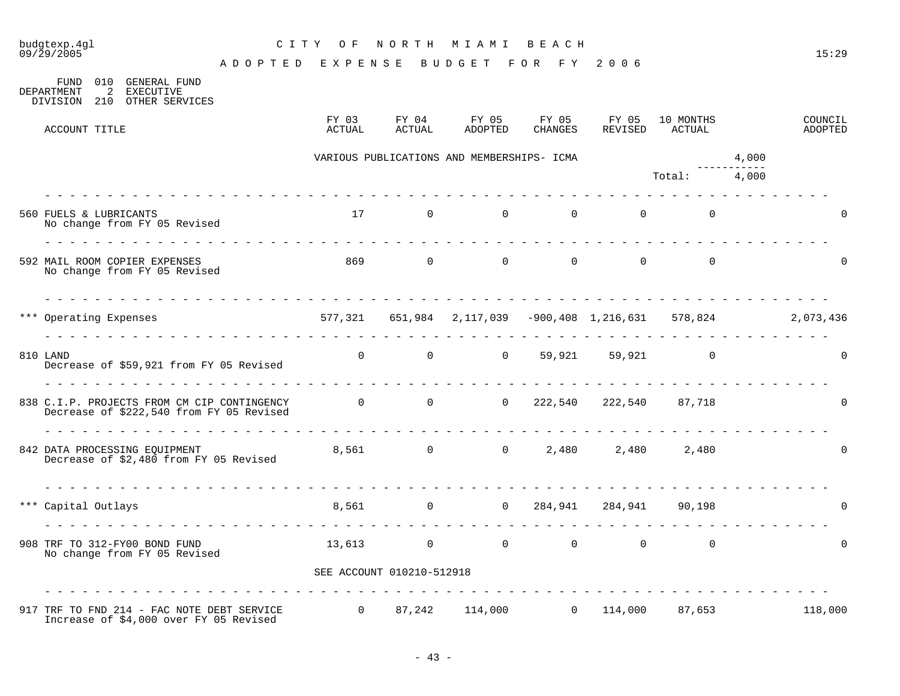| budgtexp.4gl<br>09/29/2005                                                                                                       | CITY OF NORTH MIAMI BEACH                                            |                           |                                                      |          |                                     |                                              |       | 15:29              |
|----------------------------------------------------------------------------------------------------------------------------------|----------------------------------------------------------------------|---------------------------|------------------------------------------------------|----------|-------------------------------------|----------------------------------------------|-------|--------------------|
|                                                                                                                                  | ADOPTED EXPENSE BUDGET FOR FY 2006                                   |                           |                                                      |          |                                     |                                              |       |                    |
| 010 GENERAL FUND<br>FUND<br>DEPARTMENT<br>$\overline{2}$<br>EXECUTIVE<br>DIVISION 210<br>OTHER SERVICES                          |                                                                      |                           |                                                      |          |                                     |                                              |       |                    |
| ACCOUNT TITLE                                                                                                                    | FY 03<br>ACTUAL                                                      | ACTUAL                    | $FY$ 04 $FY$ 05 $FY$ 05 $FY$ 05 10 MONTHS<br>ADOPTED | CHANGES  |                                     | REVISED ACTUAL                               |       | COUNCIL<br>ADOPTED |
|                                                                                                                                  |                                                                      |                           | VARIOUS PUBLICATIONS AND MEMBERSHIPS- ICMA           |          |                                     |                                              | 4,000 |                    |
|                                                                                                                                  |                                                                      |                           |                                                      |          |                                     | Total: 4,000                                 |       |                    |
| 560 FUELS & LUBRICANTS<br>No change from FY 05 Revised                                                                           |                                                                      |                           | $17$ 0 0 0 0                                         |          |                                     | $\begin{matrix} 0 & 0 \\ 0 & 0 \end{matrix}$ |       | $\Omega$           |
| 592 MAIL ROOM COPIER EXPENSES<br>No change from FY 05 Revised                                                                    |                                                                      | 869 0                     |                                                      | $\Omega$ | $\begin{matrix} 0 & 0 \end{matrix}$ | $\Omega$                                     |       |                    |
| *** Operating Expenses                                                                                                           | 577,321  651,984  2,117,039  -900,408  1,216,631  578,824  2,073,436 |                           |                                                      |          |                                     |                                              |       |                    |
| 810 LAND<br>Decrease of \$59,921 from FY 05 Revised                                                                              |                                                                      |                           | 0 0 0 59,921 59,921 0                                |          |                                     |                                              |       | $\Omega$           |
| 838 C.I.P. PROJECTS FROM CM CIP CONTINGENCY<br>Decrease of \$222,540 from FY 05 Revised                                          | 0 0 0 222,540 222,540 87,718                                         |                           |                                                      |          |                                     |                                              |       | $\Omega$           |
| 842 DATA PROCESSING EQUIPMENT<br>Decrease of \$2,480 from FY 05 Revised                                                          |                                                                      |                           | 8,561 0 0 2,480 2,480 2,480                          |          |                                     |                                              |       | 0                  |
| *** Capital Outlays                                                                                                              |                                                                      |                           | 8,561 0 0 284,941 284,941 90,198                     |          |                                     |                                              |       | 0                  |
| 908 TRF TO 312-FY00 BOND FUND<br>No change from FY 05 Revised                                                                    |                                                                      |                           | $13,613$ 0 0 0 0                                     |          |                                     | $\Omega$                                     |       | $\Omega$           |
|                                                                                                                                  |                                                                      | SEE ACCOUNT 010210-512918 |                                                      |          |                                     |                                              |       |                    |
| 917 TRF TO FND 214 - FAC NOTE DEBT SERVICE $0$ 87,242 114,000 0 114,000 87,653 118,000<br>Increase of \$4,000 over FY 05 Revised |                                                                      |                           |                                                      |          |                                     |                                              |       |                    |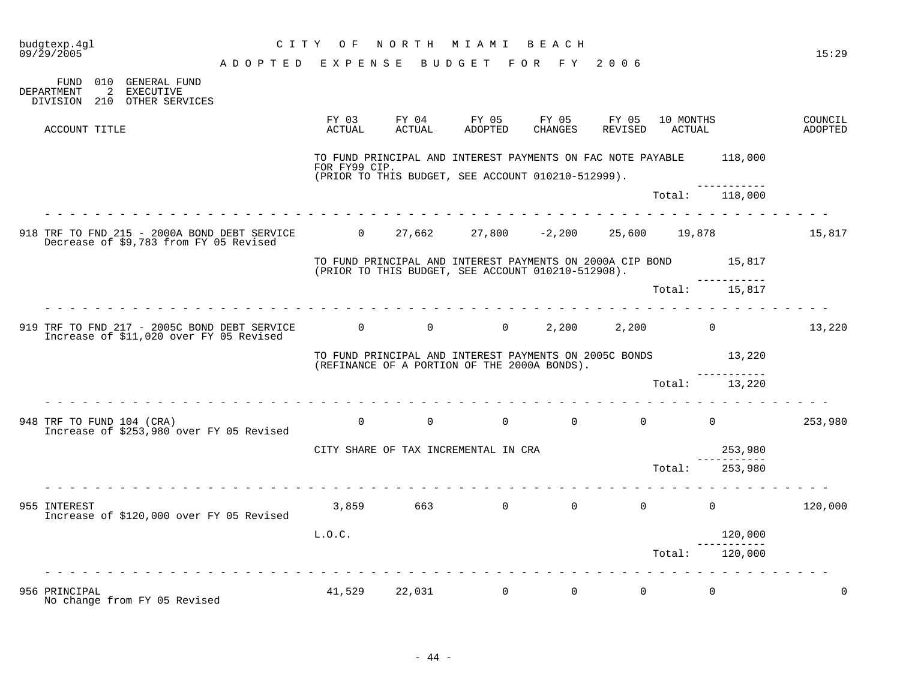| budgtexp.4ql<br>09/29/2005 |                                                                                        | C I T Y                                                                        | O F             | NORTH           | M I A M I                                                                                                                 | BEACH            |                  |                     |                                 | 15:29              |
|----------------------------|----------------------------------------------------------------------------------------|--------------------------------------------------------------------------------|-----------------|-----------------|---------------------------------------------------------------------------------------------------------------------------|------------------|------------------|---------------------|---------------------------------|--------------------|
|                            |                                                                                        | ADOPTED                                                                        | EXPENSE         |                 | BUDGET                                                                                                                    | FOR FY           | 2006             |                     |                                 |                    |
| DEPARTMENT                 | FUND 010 GENERAL FUND<br>2<br>EXECUTIVE<br>DIVISION 210 OTHER SERVICES                 |                                                                                |                 |                 |                                                                                                                           |                  |                  |                     |                                 |                    |
|                            | ACCOUNT TITLE                                                                          |                                                                                | FY 03<br>ACTUAL | FY 04<br>ACTUAL | FY 05<br>ADOPTED                                                                                                          | FY 05<br>CHANGES | FY 05<br>REVISED | 10 MONTHS<br>ACTUAL |                                 | COUNCIL<br>ADOPTED |
|                            |                                                                                        |                                                                                | FOR FY99 CIP.   |                 | TO FUND PRINCIPAL AND INTEREST PAYMENTS ON FAC NOTE PAYABLE 118,000<br>(PRIOR TO THIS BUDGET, SEE ACCOUNT 010210-512999). |                  |                  |                     |                                 |                    |
|                            |                                                                                        |                                                                                |                 |                 |                                                                                                                           |                  |                  | Total:              | -----------<br>118,000          |                    |
|                            | 918 TRF TO FND 215 - 2000A BOND DEBT SERVICE<br>Decrease of \$9,783 from FY 05 Revised |                                                                                |                 |                 | 0 $27,662$ $27,800$ $-2,200$                                                                                              |                  |                  | 25,600 19,878       |                                 | 15,817             |
|                            |                                                                                        |                                                                                |                 |                 | TO FUND PRINCIPAL AND INTEREST PAYMENTS ON 2000A CIP BOND<br>(PRIOR TO THIS BUDGET, SEE ACCOUNT 010210-512908).           |                  |                  |                     | 15,817<br>. _ _ _ _ _ _ _ _ _ _ |                    |
|                            |                                                                                        |                                                                                |                 |                 |                                                                                                                           |                  |                  | Total:              | 15,817                          |                    |
|                            | Increase of \$11,020 over FY 05 Revised                                                | 919 TRF TO FND 217 - 2005C BOND DEBT SERVICE $\qquad \qquad 0 \qquad \qquad 0$ |                 |                 | $\overline{0}$                                                                                                            | 2,200            | 2,200            |                     | $\mathbf 0$                     | 13,220             |
|                            |                                                                                        |                                                                                |                 |                 | TO FUND PRINCIPAL AND INTEREST PAYMENTS ON 2005C BONDS<br>(REFINANCE OF A PORTION OF THE 2000A BONDS).                    |                  |                  |                     | 13,220                          |                    |
|                            |                                                                                        |                                                                                |                 |                 |                                                                                                                           |                  |                  | Total:              | 13,220                          |                    |
|                            | 948 TRF TO FUND 104 (CRA)<br>Increase of \$253,980 over FY 05 Revised                  |                                                                                | $\Omega$        | $\Omega$        | $\Omega$                                                                                                                  | $\Omega$         | $\Omega$         |                     | $\Omega$                        | 253,980            |
|                            |                                                                                        |                                                                                |                 |                 | CITY SHARE OF TAX INCREMENTAL IN CRA                                                                                      |                  |                  |                     | 253,980                         |                    |
|                            |                                                                                        |                                                                                |                 |                 |                                                                                                                           |                  |                  | Total:              | 253,980                         |                    |
| 955 INTEREST               | Increase of \$120,000 over FY 05 Revised                                               |                                                                                | 3,859           | 663             | $\overline{0}$                                                                                                            | $\overline{0}$   | $\overline{0}$   |                     | $\mathbf 0$                     | 120,000            |
|                            |                                                                                        |                                                                                | L.O.C.          |                 |                                                                                                                           |                  |                  |                     | 120,000<br>-----------          |                    |
|                            |                                                                                        |                                                                                |                 |                 |                                                                                                                           |                  |                  | Total:              | 120,000                         |                    |
| 956 PRINCIPAL              | No change from FY 05 Revised                                                           |                                                                                | 41,529          | 22,031          | $\overline{0}$                                                                                                            | $\overline{0}$   | $\Omega$         |                     | $\Omega$                        | $\Omega$           |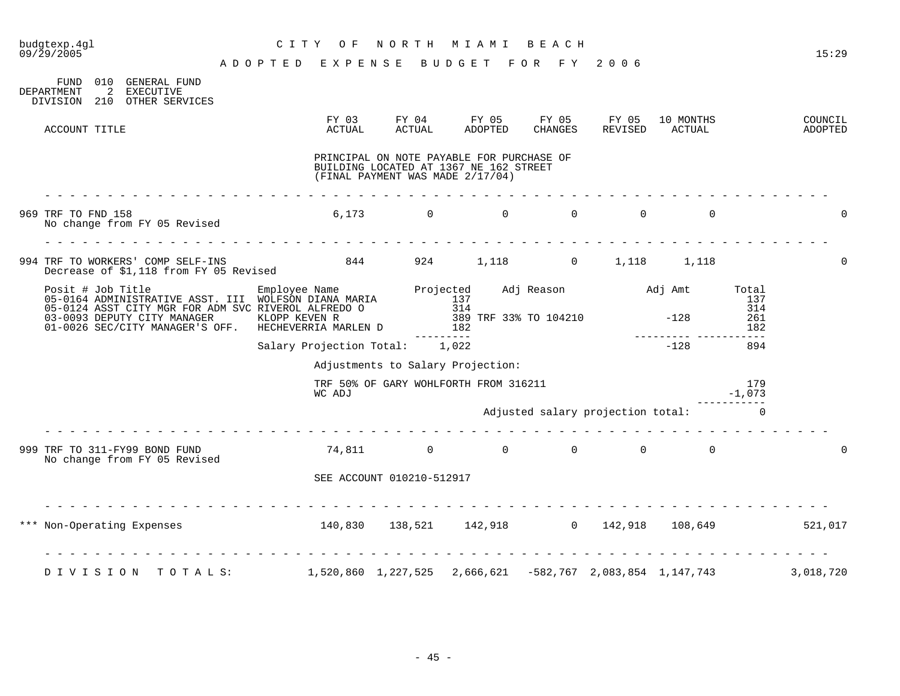| budgtexp.4gl<br>09/29/2005                                                                                                                                                                                                           | C I T Y<br>O F<br>ADOPTED EXPENSE                         |                           | NORTH MIAMI<br>BUDGET FOR FY 2006                                                                                       | BEACH    |          |                                     |                 | 15:29              |
|--------------------------------------------------------------------------------------------------------------------------------------------------------------------------------------------------------------------------------------|-----------------------------------------------------------|---------------------------|-------------------------------------------------------------------------------------------------------------------------|----------|----------|-------------------------------------|-----------------|--------------------|
| FUND<br>010 GENERAL FUND<br>DEPARTMENT<br>2<br>EXECUTIVE<br>DIVISION 210 OTHER SERVICES                                                                                                                                              |                                                           |                           |                                                                                                                         |          |          |                                     |                 |                    |
| ACCOUNT TITLE                                                                                                                                                                                                                        | FY 03<br>ACTUAL                                           | ACTUAL                    | FY 04 FY 05 FY 05 FY 05<br>ADOPTED                                                                                      | CHANGES  | REVISED  | 10 MONTHS<br>ACTUAL                 |                 | COUNCIL<br>ADOPTED |
|                                                                                                                                                                                                                                      |                                                           |                           | PRINCIPAL ON NOTE PAYABLE FOR PURCHASE OF<br>BUILDING LOCATED AT 1367 NE 162 STREET<br>(FINAL PAYMENT WAS MADE 2/17/04) |          |          |                                     |                 |                    |
| 969 TRF TO FND 158<br>No change from FY 05 Revised                                                                                                                                                                                   |                                                           | 6,173                     | $\Omega$<br>$\Omega$                                                                                                    | $\Omega$ | $\Omega$ | $\Omega$                            |                 |                    |
| 994 TRF TO WORKERS' COMP SELF-INS<br>Decrease of \$1,118 from FY 05 Revised                                                                                                                                                          | 844 924 1,118 0 1,118 1,118                               |                           |                                                                                                                         |          |          |                                     |                 | $\Omega$           |
| Posit # Job Title Employee Name Projected Adj Reason and int Total<br>05-0164 ADMINISTRATIVE ASST. III WOLFSON DIANA MARIA 137<br>05-0124 ASST CITY MGR FOR ADM SVC RIVEROL ALFREDO 0 314<br>03-0093 DEPUTY CITY MANAGER KLOPP KEVEN |                                                           |                           |                                                                                                                         |          |          |                                     |                 |                    |
|                                                                                                                                                                                                                                      | Salary Projection Total: 1,022                            |                           | --------                                                                                                                |          |          | <u> 222222222</u> (2)<br>$-128$     | 894             |                    |
|                                                                                                                                                                                                                                      |                                                           |                           | Adjustments to Salary Projection:                                                                                       |          |          |                                     |                 |                    |
|                                                                                                                                                                                                                                      | WC ADJ                                                    |                           | TRF 50% OF GARY WOHLFORTH FROM 316211                                                                                   |          |          |                                     | 179<br>$-1,073$ |                    |
|                                                                                                                                                                                                                                      |                                                           |                           |                                                                                                                         |          |          | Adjusted salary projection total: 0 |                 |                    |
| 999 TRF TO 311-FY99 BOND FUND<br>No change from FY 05 Revised                                                                                                                                                                        |                                                           |                           | 74,811 0 0 0 0 0 0                                                                                                      |          |          |                                     |                 | $\Omega$           |
|                                                                                                                                                                                                                                      |                                                           | SEE ACCOUNT 010210-512917 |                                                                                                                         |          |          |                                     |                 |                    |
| Non-Operating Expenses                                                                                                                                                                                                               | $140,830$ $138,521$ $142,918$ 0 $142,918$ 108,649 521,017 |                           |                                                                                                                         |          |          |                                     |                 |                    |
| DIVISION TOTALS: 1,520,860 1,227,525 2,666,621 -582,767 2,083,854 1,147,743 3,018,720                                                                                                                                                |                                                           |                           |                                                                                                                         |          |          |                                     |                 |                    |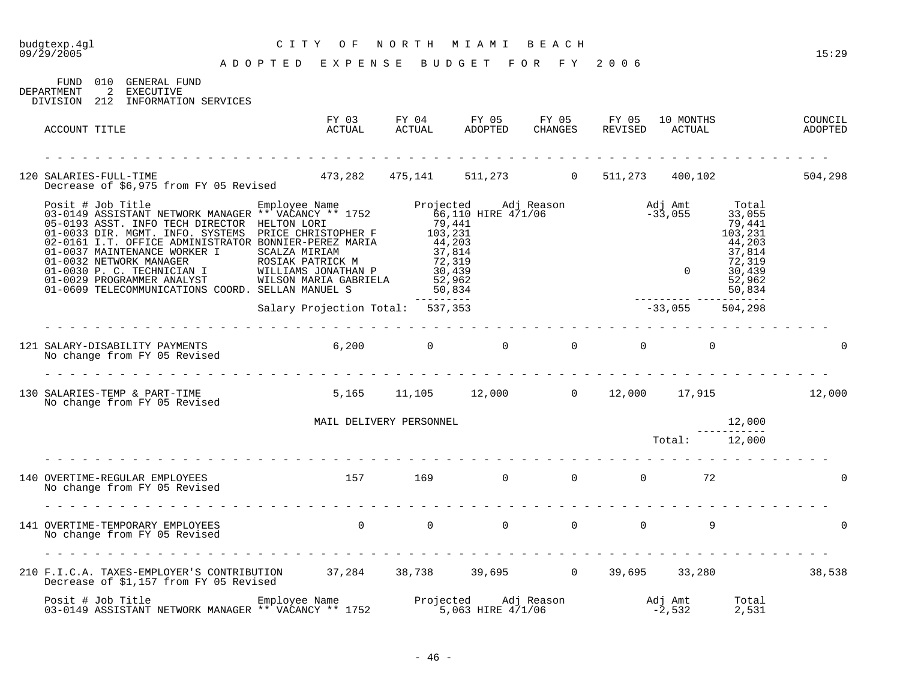|                                                                                                                                                                                                                                   | ADOPTED EXPENSE BUDGET           |            | FOR FY     | 2006    |                                                                                                       |                    |
|-----------------------------------------------------------------------------------------------------------------------------------------------------------------------------------------------------------------------------------|----------------------------------|------------|------------|---------|-------------------------------------------------------------------------------------------------------|--------------------|
| 010 GENERAL FUND<br>FUND<br>2 EXECUTIVE<br>DEPARTMENT<br>DIVISION 212 INFORMATION SERVICES                                                                                                                                        |                                  |            |            |         |                                                                                                       |                    |
| ACCOUNT TITLE                                                                                                                                                                                                                     |                                  |            |            |         |                                                                                                       | COUNCIL<br>ADOPTED |
|                                                                                                                                                                                                                                   |                                  |            |            |         |                                                                                                       |                    |
| SALARIES-FULL-TIME<br>Decrease of \$6,975 from FY 05 Revised 473,282 475,141 511,273 0 511,273 400,102 504,298<br>120 SALARIES-FULL-TIME                                                                                          |                                  |            |            |         |                                                                                                       |                    |
| 9031 (1903) Posit # Job Title Employee Name Projected Adj Reason Adj Amt Total<br>193-0149 ASSISTANT NETWORK MANAGER ** VACANCY ** 1752 66,110 HIRE 4/1/06 -33,055 33,055<br>19901-0033 DIR. MSMT. INFO SYSTEMS PRICE CHRISTOPHER |                                  | ---------- |            |         | $\begin{array}{r}37,814\\72,319\\0\\52,962\\-{\text{\small -}22,962}\\-30,834\\-33,055\\ \end{array}$ |                    |
|                                                                                                                                                                                                                                   | Salary Projection Total: 537,353 |            |            |         |                                                                                                       |                    |
|                                                                                                                                                                                                                                   |                                  |            |            |         |                                                                                                       | $\overline{0}$     |
| 130 SALARIES-TEMP & PART-TIME 12,000 5,165 11,105 12,000 0 12,000 17,915 12,000<br>No change from FY 05 Revised                                                                                                                   |                                  |            |            |         |                                                                                                       |                    |
|                                                                                                                                                                                                                                   | MAIL DELIVERY PERSONNEL          |            |            |         | 12,000                                                                                                |                    |
|                                                                                                                                                                                                                                   |                                  |            |            |         | ------------<br>Total: 12,000                                                                         |                    |
| 140 OVERTIME-REGULAR EMPLOYEES<br>No change from FY 05 Revised                                                                                                                                                                    | $157$ $169$ 0 0 0 72             |            |            |         |                                                                                                       | $\Omega$           |
|                                                                                                                                                                                                                                   |                                  |            |            |         |                                                                                                       | $\Omega$           |
| 210 F.I.C.A. TAXES-EMPLOYER'S CONTRIBUTION 37,284 38,738 39,695 0 39,695 33,280 38,538<br>Decrease of \$1,157 from FY 05 Revised                                                                                                  |                                  |            |            |         |                                                                                                       |                    |
| Posit # Job Title                                                                                                                                                                                                                 | Employee Name                    | Projected  | Adj Reason | Adj Amt |                                                                                                       | Total              |

budgtexp.4gl C I T Y O F N O R T H M I A M I B E A C H

03-0149 ASSISTANT NETWORK MANAGER \*\* VACANCY \*\* 1752 5,063 HIRE 4/1/06 -2,532 2,531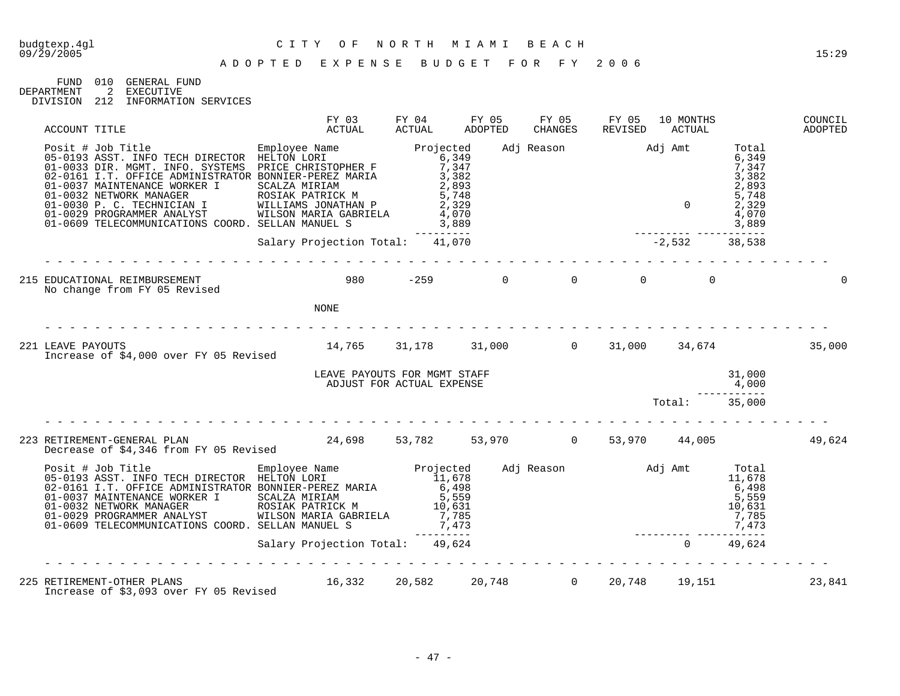FUND 010 GENERAL FUND<br>DEPARTMENT 2 EXECUTIVE 2 EXECUTIVE

DIVISION 212 INFORMATION SERVICES

| ACCOUNT TITLE                                                                                                                                                                                                                                                                                                                                                                                                                            | FY 03<br>ACTUAL                                           | FY 04<br>ACTUAL                                                 | FY 05<br>ADOPTED | FY 05<br><b>CHANGES</b>     | FY 05<br>REVISED    | 10 MONTHS<br>ACTUAL |                                                                               | COUNCIL<br>ADOPTED |
|------------------------------------------------------------------------------------------------------------------------------------------------------------------------------------------------------------------------------------------------------------------------------------------------------------------------------------------------------------------------------------------------------------------------------------------|-----------------------------------------------------------|-----------------------------------------------------------------|------------------|-----------------------------|---------------------|---------------------|-------------------------------------------------------------------------------|--------------------|
| Posit # Job Title<br>05-0193 ASST. INFO TECH DIRECTOR HELTON LORI 6,349<br>01-0033 DIR. MGMT. INFO. SYSTEMS PRICE CHRISTOPHER F 7,347<br>02-0161 I.T. OFFICE ADMINISTRATOR BONNIER-PEREZ MARIA<br>01-0037 MAINTENANCE WORKER I SCALZA MIRIAM<br>01-0032 NETWORK MANAGER ROSIAK PATRICK M<br>01-0030 P. C. TECHNICIAN I WILLIAMS JONATHAN P<br>01-0029 PROGRAMMER ANALYST WILSON MARIA GABRIELA<br>01-0609 TELECOMMUNICATIONS COORD. SELL |                                                           | 3,382<br>2,893<br>5,748<br>2,329<br>4,070<br>3,889<br>--------- |                  | Adj Reason Madj Amt         |                     | $\Omega$            | Total<br>6,349<br>7,347<br>3,382<br>2,893<br>5,748<br>2,329<br>4,070<br>3,889 |                    |
|                                                                                                                                                                                                                                                                                                                                                                                                                                          | Salary Projection Total: 41,070                           |                                                                 |                  |                             | $-2,532$            |                     | 38,538                                                                        |                    |
| 215 EDUCATIONAL REIMBURSEMENT<br>No change from FY 05 Revised                                                                                                                                                                                                                                                                                                                                                                            | $980 -259$                                                |                                                                 |                  | $\overline{0}$              | $0 \qquad \qquad 0$ | $\Omega$            |                                                                               | $\mathbf 0$        |
|                                                                                                                                                                                                                                                                                                                                                                                                                                          | <b>NONE</b><br><u>a a a a a a a a a a a a a a</u>         |                                                                 |                  |                             |                     |                     |                                                                               |                    |
| 221 LEAVE PAYOUTS<br>Increase of \$4,000 over FY 05 Revised                                                                                                                                                                                                                                                                                                                                                                              | 14,765 31,178 31,000 0 31,000 34,674                      |                                                                 |                  |                             |                     |                     |                                                                               | 35,000             |
|                                                                                                                                                                                                                                                                                                                                                                                                                                          | LEAVE PAYOUTS FOR MGMT STAFF<br>ADJUST FOR ACTUAL EXPENSE |                                                                 |                  |                             |                     |                     | 31,000<br>4,000                                                               |                    |
|                                                                                                                                                                                                                                                                                                                                                                                                                                          |                                                           |                                                                 |                  |                             |                     | Total:              | 35,000                                                                        |                    |
| 223 RETIREMENT-GENERAL PLAN<br>Decrease of \$4,346 from FY 05 Revised                                                                                                                                                                                                                                                                                                                                                                    | 24,698 53,782 53,970 0 53,970 44,005                      |                                                                 |                  |                             |                     |                     |                                                                               | 49,624             |
| Posit # Job Title Employee Name Projected<br>05-0193 ASST. INFO TECH DIRECTOR HELTON LORI 11,678<br>02-0161 I.T. OFFICE ADMINISTRATOR BONNIER-PEREZ MARIA<br>01-0037 MAINTENANCE WORKER I SCALZA MIRIAM<br>01-0032 NETWORK MANAGER ROSIAK PATRICK M<br>01-0029 PROGRAMMER ANALYST WILSON MARIA GABRIELA<br>01-0609 TELECOMMUNICATIONS COORD. SELLAN MANUEL S                                                                             |                                                           | 6,498<br>5,559<br>10,631<br>7,785<br>7,473<br>--------          |                  | Adj Reason $\qquad$ Adj Amt |                     |                     | Total<br>11,678<br>6,498<br>5,559<br>10,631<br>7,785<br>7,473                 |                    |
|                                                                                                                                                                                                                                                                                                                                                                                                                                          | Salary Projection Total: 49,624                           |                                                                 |                  |                             |                     |                     | 49,624                                                                        |                    |
| 225 RETIREMENT-OTHER PLANS<br>Increase of \$3,093 over FY 05 Revised                                                                                                                                                                                                                                                                                                                                                                     | 16,332                                                    |                                                                 |                  | 20,582 20,748 0             |                     | 20,748 19,151       |                                                                               | 23,841             |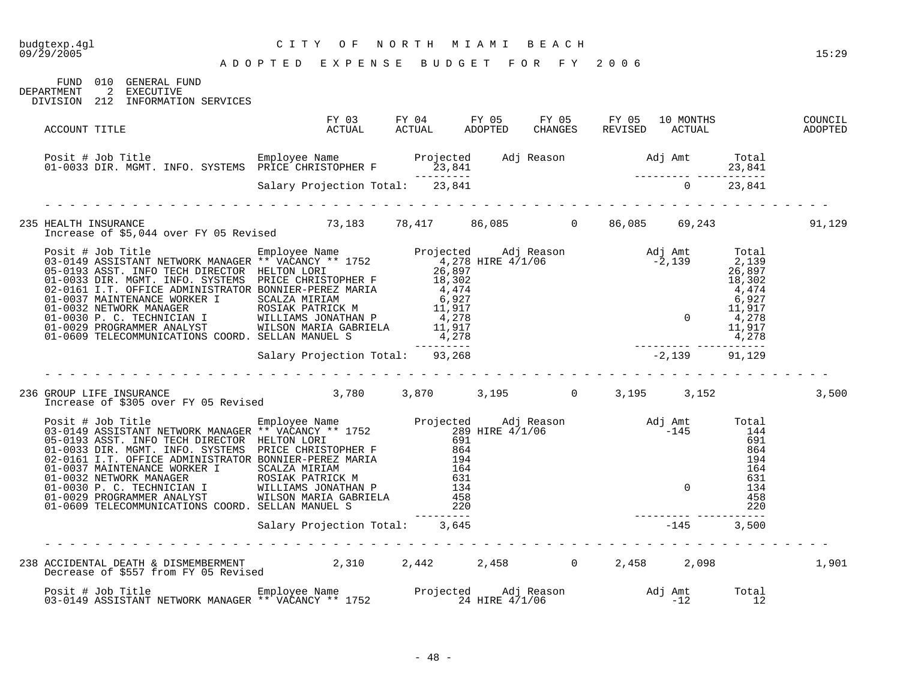| budgtexp.4gl<br>09/29/2005 | CITY OF NORTH MIAMI BEACH<br>ADOPTED EXPENSE BUDGET FOR FY 2006                                                                                                                                                                        |                                |  |  |  | 15:29 |
|----------------------------|----------------------------------------------------------------------------------------------------------------------------------------------------------------------------------------------------------------------------------------|--------------------------------|--|--|--|-------|
|                            | FUND 010 GENERAL FUND<br>DEPARTMENT 2 EXECUTIVE<br>DIVISION 212 INFORMATION SERVICES                                                                                                                                                   |                                |  |  |  |       |
| ACCOUNT TITLE              |                                                                                                                                                                                                                                        |                                |  |  |  |       |
|                            | Posit # Job Title Employee Name Projected Adj Reason Adj Amt Total<br>13,841 13,841 PRICE CHRISTOPHER F 23,841<br>Salary Projection Total: 23,841 23,841 5 Salary Projection Total: 23,841                                             |                                |  |  |  |       |
|                            |                                                                                                                                                                                                                                        |                                |  |  |  |       |
|                            |                                                                                                                                                                                                                                        |                                |  |  |  |       |
|                            | 235 HEALTH INSURANCE<br>1,129 Therease of \$5,044 over FY 05 Revised 73,183 78,417 86,085 0 86,085 69,243                                                                                                                              |                                |  |  |  |       |
|                            | Projected Adj Reason and America Control of the Total Pass (1997)<br>1996–1111 Moreov MANAGER ** VACANCY ** 1752<br>03-0149 ASSISTANT NETWORK MANAGER ** VACANCY ** 1752<br>05-0149 ASSISTANT NETWORK MANAGER FRILTON DORI 26,897<br>0 |                                |  |  |  |       |
|                            |                                                                                                                                                                                                                                        |                                |  |  |  |       |
|                            | 236 GROUP LIFE INSURANCE<br>195 - Increase of \$305 over FY 05 Revised<br>23,780 - 2,870 - 2,195 - 2,195 - 3,152                                                                                                                       |                                |  |  |  | 3,500 |
|                            | 9 Posit # Job Title Employee Name Projected Adj Reason Adj Amt Total<br>03-0149 ASSISTANT NETWORK MANAGER ** VACANCY ** 1752 289 HIRE 4/1/06 -1033 DIR. MGMT. INFO. TEXTENT DEETTON LORI<br>05-0133 DIR. MGMT. INFO. SYSTEMS PRI       |                                |  |  |  |       |
|                            |                                                                                                                                                                                                                                        | Salary Projection Total: 3,645 |  |  |  |       |
|                            | 238 ACCIDENTAL DEATH & DISMEMBERMENT 2,310 2,442 2,458 0 2,458 2,098<br>Decrease of \$557 from FY 05 Revised 2,310 2,442 2,458 0 2,458 2,098                                                                                           |                                |  |  |  | 1,901 |
|                            | Posit # Job Title [12]<br>12 Total Employee Name Projected Adj Reason Mandj Amt Total 12<br>12 12 12                                                                                                                                   |                                |  |  |  |       |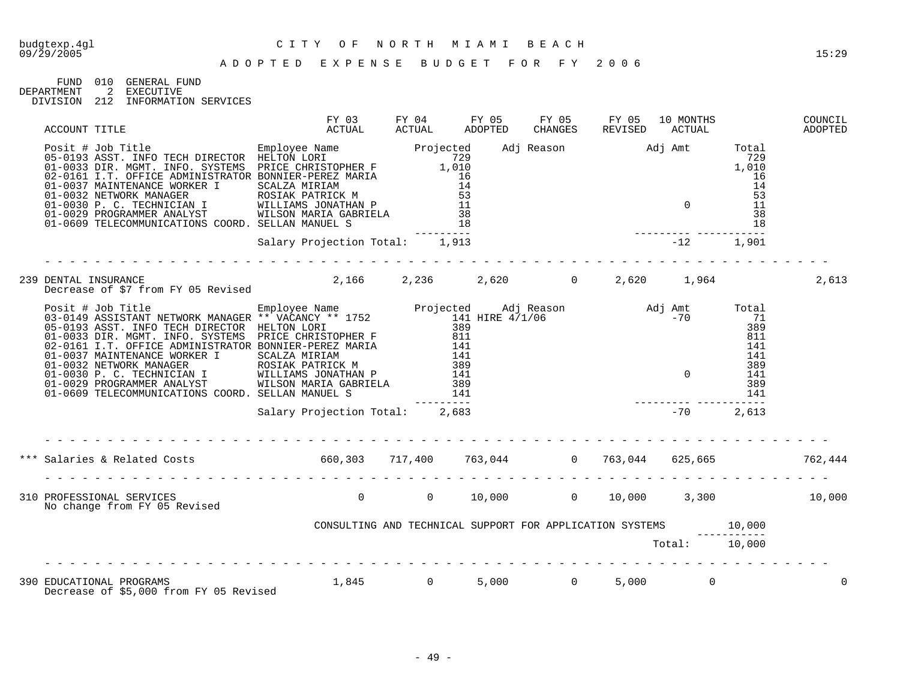FUND 010 GENERAL FUND<br>DEPARTMENT 2 EXECUTIVE 2 EXECUTIVE

- DIVISION 212 INFORMATION SERVICES
- 

| ACCOUNT TITLE                                                                                                      | FY 03<br>ACTUAL                                                       | FY 04<br>ACTUAL | FY 05<br>ADOPTED | <b>CHANGES</b> | FY 05 FY 05 | 10 MONTHS<br>REVISED ACTUAL | COUNCIL<br>ADOPTED |
|--------------------------------------------------------------------------------------------------------------------|-----------------------------------------------------------------------|-----------------|------------------|----------------|-------------|-----------------------------|--------------------|
|                                                                                                                    |                                                                       |                 |                  |                |             |                             |                    |
|                                                                                                                    | Salary Projection Total: 1,913                                        |                 |                  |                |             |                             |                    |
| 239 DENTAL INSURANCE<br>Decrease of \$7 from FY 05 Revised        2,166    2,236     2,620      0   2,620    1,964 |                                                                       |                 |                  |                |             |                             | 2,613              |
|                                                                                                                    |                                                                       |                 |                  |                |             |                             |                    |
|                                                                                                                    | Salary Projection Total: 2,683                                        |                 |                  |                |             |                             |                    |
| *** Salaries & Related Costs 660,303 717,400 763,044 0 763,044 625,665 762,444                                     |                                                                       |                 |                  |                |             |                             |                    |
| 310 PROFESSIONAL SERVICES<br>No change from FY 05 Revised                                                          | $0$ , $0$ , $10,000$ , $0$ , $0.000$ , $0.000$ , $0.3,300$ , $10,000$ |                 |                  |                |             |                             |                    |
|                                                                                                                    | CONSULTING AND TECHNICAL SUPPORT FOR APPLICATION SYSTEMS 10,000       |                 |                  |                |             |                             |                    |
|                                                                                                                    |                                                                       |                 |                  |                |             | Total: 10,000               |                    |
| 390 EDUCATIONAL PROGRAMS $1,845$ 0 5,000 0 0<br>Decrease of \$5,000 from FY 05 Revised                             |                                                                       |                 |                  |                | 5,000       | $\overline{0}$              |                    |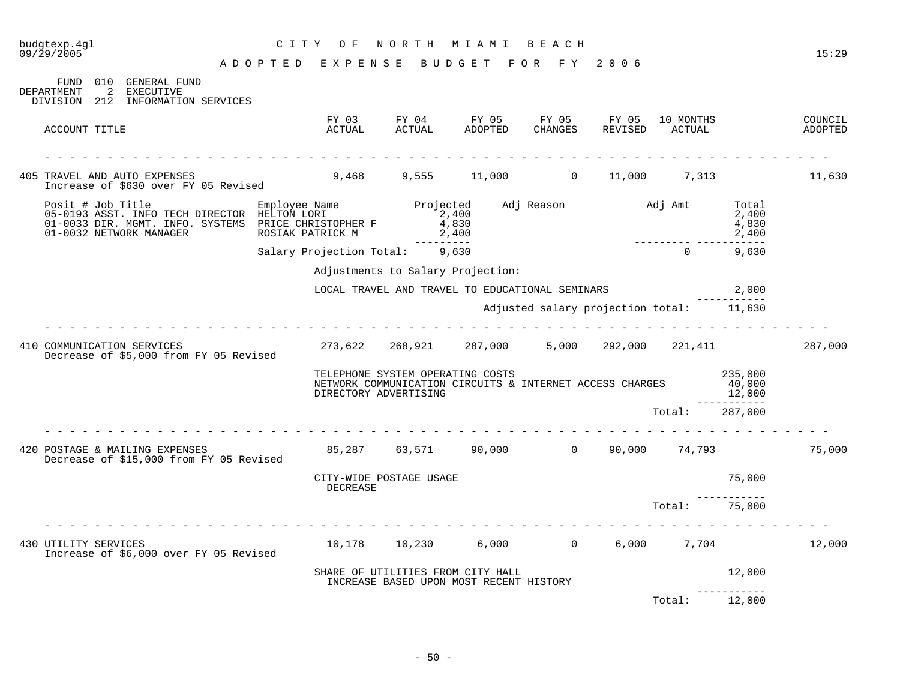| budgtexp.4gl<br>09/29/2005                                                                                                                                         | C I T Y<br>O F                                     | NORTH                                | MIAMI BEACH                                                                                  |                                          |         |                     |                                            | 15:29              |
|--------------------------------------------------------------------------------------------------------------------------------------------------------------------|----------------------------------------------------|--------------------------------------|----------------------------------------------------------------------------------------------|------------------------------------------|---------|---------------------|--------------------------------------------|--------------------|
|                                                                                                                                                                    | ADOPTED EXPENSE BUDGET FOR FY 2006                 |                                      |                                                                                              |                                          |         |                     |                                            |                    |
| FUND 010 GENERAL FUND<br>DEPARTMENT<br>$\overline{2}$<br><b>EXECUTIVE</b><br>DIVISION 212 INFORMATION SERVICES                                                     |                                                    |                                      |                                                                                              |                                          |         |                     |                                            |                    |
| ACCOUNT TITLE                                                                                                                                                      | ACTUAL                                             | <b>ACTUAL</b>                        | FY 03 FY 04 FY 05 FY 05 FY 05<br>ADOPTED                                                     | CHANGES                                  | REVISED | 10 MONTHS<br>ACTUAL |                                            | COUNCIL<br>ADOPTED |
| 405 TRAVEL AND AUTO EXPENSES<br>Increase of \$630 over FY 05 Revised                                                                                               | 9,468                                              |                                      | 9,555 11,000 0 11,000 7,313                                                                  |                                          |         |                     |                                            | 11,630             |
| Posit # Job Title Employee Name<br>05-0193 ASST. INFO TECH DIRECTOR HELTON LORI<br>01-0033 DIR. MGMT. INFO. SYSTEMS PRICE CHRISTOPHER F<br>01-0032 NETWORK MANAGER | ROSIAK PATRICK M                                   | Projected<br>2,400<br>4,830<br>2,400 |                                                                                              | Adj Reason Madj Amt                      |         |                     | Total<br>2,400<br>4,830<br>2,400           |                    |
|                                                                                                                                                                    | Salary Projection Total: 9,630                     | ----------                           |                                                                                              |                                          |         | $\Omega$            | 9,630                                      |                    |
|                                                                                                                                                                    |                                                    |                                      | Adjustments to Salary Projection:                                                            |                                          |         |                     |                                            |                    |
|                                                                                                                                                                    |                                                    |                                      | LOCAL TRAVEL AND TRAVEL TO EDUCATIONAL SEMINARS                                              |                                          |         |                     | 2,000                                      |                    |
|                                                                                                                                                                    |                                                    |                                      |                                                                                              | Adjusted salary projection total: 11,630 |         |                     |                                            |                    |
| .<br>410 COMMUNICATION SERVICES<br>Decrease of \$5,000 from FY 05 Revised                                                                                          | 273,622  268,921  287,000  5,000  292,000  221,411 |                                      |                                                                                              |                                          |         |                     |                                            | 287,000            |
|                                                                                                                                                                    | DIRECTORY ADVERTISING                              |                                      | TELEPHONE SYSTEM OPERATING COSTS<br>NETWORK COMMUNICATION CIRCUITS & INTERNET ACCESS CHARGES |                                          |         |                     | 235,000<br>40,000<br>12,000<br>----------- |                    |
|                                                                                                                                                                    |                                                    |                                      |                                                                                              |                                          |         | Total: 287,000      |                                            |                    |
|                                                                                                                                                                    |                                                    |                                      |                                                                                              |                                          |         |                     |                                            |                    |
| 420 POSTAGE & MAILING EXPENSES 65,287 63,571 90,000 0 90,000 74,793<br>Decrease of \$15,000 from FY 05 Revised                                                     |                                                    |                                      |                                                                                              |                                          |         |                     |                                            | 75,000             |
|                                                                                                                                                                    | CITY-WIDE POSTAGE USAGE<br>DECREASE                |                                      |                                                                                              |                                          |         |                     | 75,000                                     |                    |
|                                                                                                                                                                    |                                                    |                                      |                                                                                              |                                          |         | Total: 75,000       |                                            |                    |
| 430 UTILITY SERVICES<br>Increase of \$6,000 over FY 05 Revised                                                                                                     |                                                    |                                      | $10,178$ $10,230$ $6,000$ $0$ $6,000$ $7,704$                                                |                                          |         |                     |                                            | 12,000             |
|                                                                                                                                                                    |                                                    |                                      | SHARE OF UTILITIES FROM CITY HALL<br>INCREASE BASED UPON MOST RECENT HISTORY                 |                                          |         |                     | 12,000<br>___________                      |                    |
|                                                                                                                                                                    |                                                    |                                      |                                                                                              |                                          |         | Total:              | 12,000                                     |                    |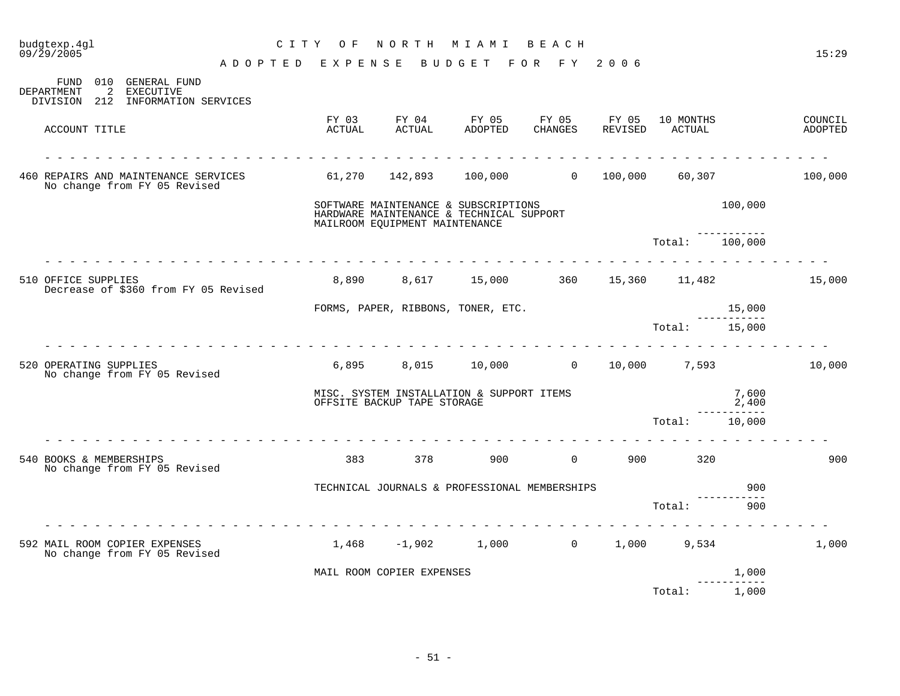| budgtexp.4gl<br>C I T Y<br>09/29/2005                                                                | O F             | NORTH                                                                                                              | M I A M I        | BEACH             |                   |                     |                | 15:29              |
|------------------------------------------------------------------------------------------------------|-----------------|--------------------------------------------------------------------------------------------------------------------|------------------|-------------------|-------------------|---------------------|----------------|--------------------|
| A D O P T E D                                                                                        | EXPENSE         |                                                                                                                    | BUDGET           | FOR FY            | 2006              |                     |                |                    |
| 010 GENERAL FUND<br>FUND<br>DEPARTMENT<br>2<br><b>EXECUTIVE</b><br>DIVISION 212 INFORMATION SERVICES |                 |                                                                                                                    |                  |                   |                   |                     |                |                    |
| ACCOUNT TITLE                                                                                        | FY 03<br>ACTUAL | FY 04<br>ACTUAL                                                                                                    | FY 05<br>ADOPTED | FY 05<br>CHANGES  | FY 05<br>REVISED  | 10 MONTHS<br>ACTUAL |                | COUNCIL<br>ADOPTED |
| 460 REPAIRS AND MAINTENANCE SERVICES<br>No change from FY 05 Revised                                 |                 | 61,270 142,893 100,000                                                                                             |                  | $0 \qquad \qquad$ | 100,000           | 60,307              |                | 100,000            |
|                                                                                                      |                 | SOFTWARE MAINTENANCE & SUBSCRIPTIONS<br>HARDWARE MAINTENANCE & TECHNICAL SUPPORT<br>MAILROOM EQUIPMENT MAINTENANCE |                  |                   |                   |                     | 100,000        |                    |
|                                                                                                      |                 |                                                                                                                    |                  |                   |                   | Total:              | 100,000        |                    |
| 510 OFFICE SUPPLIES<br>Decrease of \$360 from FY 05 Revised                                          | 8,890           | 8,617 15,000                                                                                                       |                  | 360               |                   | 15,360 11,482       |                | 15,000             |
|                                                                                                      |                 | FORMS, PAPER, RIBBONS, TONER, ETC.                                                                                 |                  |                   |                   |                     | 15,000         |                    |
|                                                                                                      |                 |                                                                                                                    |                  |                   |                   | Total:              | 15,000         |                    |
| 520 OPERATING SUPPLIES<br>No change from FY 05 Revised                                               |                 | 6,895 8,015 10,000 0 10,000 7,593                                                                                  |                  |                   |                   |                     |                | 10,000             |
|                                                                                                      |                 | MISC. SYSTEM INSTALLATION & SUPPORT ITEMS<br>OFFSITE BACKUP TAPE STORAGE                                           |                  |                   |                   |                     | 7,600<br>2,400 |                    |
|                                                                                                      |                 |                                                                                                                    |                  |                   |                   | Total:              | 10,000         |                    |
| 540 BOOKS & MEMBERSHIPS<br>No change from FY 05 Revised                                              | 383             | 378                                                                                                                | 900              | $\overline{0}$    | 900               | 320                 |                | 900                |
|                                                                                                      |                 | TECHNICAL JOURNALS & PROFESSIONAL MEMBERSHIPS                                                                      |                  |                   |                   |                     | 900            |                    |
|                                                                                                      |                 |                                                                                                                    |                  |                   |                   | Total:              | 900            |                    |
| 592 MAIL ROOM COPIER EXPENSES<br>No change from FY 05 Revised                                        | 1,468           |                                                                                                                    | $-1,902$ 1,000   |                   | $0 \qquad \qquad$ | 1,000 9,534         |                | 1,000              |
|                                                                                                      |                 | MAIL ROOM COPIER EXPENSES                                                                                          |                  |                   |                   |                     | 1,000          |                    |
|                                                                                                      |                 |                                                                                                                    |                  |                   |                   | Total:              | 1,000          |                    |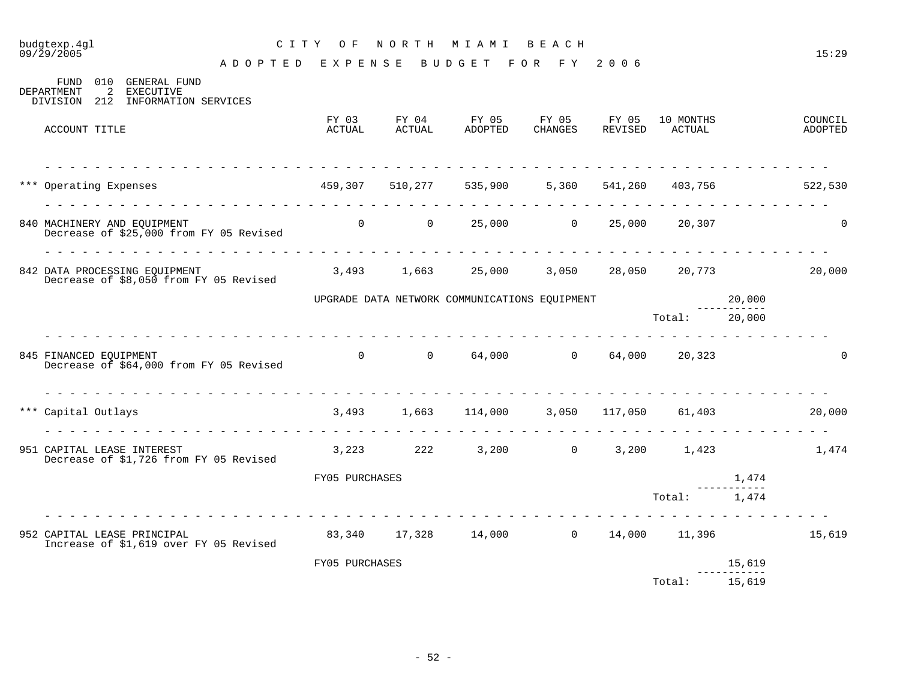#### budgtexp.4gl C I T Y O F N O R T H M I A M I B E A C H

A D O P T E D E X P E N S E B U D G E T F O R F Y 2 0 0 6

| FUND<br><b>GENERAL FUND</b><br>010<br>EXECUTIVE<br><b>DEPARTMENT</b><br>2<br>212<br>INFORMATION SERVICES<br>DIVISION |                 |                     |                                               |                  |                  |                     |                  |                    |
|----------------------------------------------------------------------------------------------------------------------|-----------------|---------------------|-----------------------------------------------|------------------|------------------|---------------------|------------------|--------------------|
| ACCOUNT TITLE                                                                                                        | FY 03<br>ACTUAL | FY 04<br>ACTUAL     | FY 05<br>ADOPTED                              | FY 05<br>CHANGES | FY 05<br>REVISED | 10 MONTHS<br>ACTUAL |                  | COUNCIL<br>ADOPTED |
| *** Operating Expenses                                                                                               | 459,307         |                     | 510,277 535,900                               |                  | 5,360 541,260    | 403,756             |                  | 522,530            |
| 840 MACHINERY AND EOUIPMENT<br>Decrease of \$25,000 from FY 05 Revised                                               | $\overline{0}$  | $\overline{0}$      |                                               | 25,000 0         | 25,000           | 20,307              |                  |                    |
| 842 DATA PROCESSING EOUIPMENT<br>Decrease of \$8,050 from FY 05 Revised                                              |                 |                     | 3,493 1,663 25,000                            | 3,050            | 28,050           |                     | 20,773           | 20,000             |
|                                                                                                                      |                 |                     | UPGRADE DATA NETWORK COMMUNICATIONS EQUIPMENT |                  |                  | Total:              | 20,000<br>20,000 |                    |
|                                                                                                                      |                 |                     |                                               |                  |                  |                     |                  |                    |
| 845 FINANCED EQUIPMENT<br>Decrease of \$64,000 from FY 05 Revised                                                    | $\overline{0}$  | $\overline{0}$      |                                               | 64,000 0         | 64,000           | 20,323              |                  |                    |
|                                                                                                                      |                 |                     |                                               |                  |                  |                     |                  |                    |
| *** Capital Outlays                                                                                                  |                 | 3,493 1,663 114,000 |                                               |                  | 3,050 117,050    | 61,403              |                  | 20,000             |
| 951 CAPITAL LEASE INTEREST<br>Decrease of \$1,726 from FY 05 Revised                                                 | 3,223           | 222                 | 3,200                                         | $\overline{0}$   | 3,200            | 1,423               |                  | 1,474              |

| 951 CAPITAL LEASE INTEREST<br>Decrease of \$1,726 from FY 05 Revised  | 3,223          | 222    | 3,200  | 0 | 3,200  | 1,423  |        | 1,474  |
|-----------------------------------------------------------------------|----------------|--------|--------|---|--------|--------|--------|--------|
|                                                                       | FY05 PURCHASES |        |        |   |        |        | 1,474  |        |
|                                                                       |                |        |        |   |        | Total: | 1,474  |        |
| 952 CAPITAL LEASE PRINCIPAL<br>Increase of \$1,619 over FY 05 Revised | 83,340         | 17,328 | 14,000 | 0 | 14,000 | 11,396 |        | 15,619 |
|                                                                       | FY05 PURCHASES |        |        |   |        |        | 15,619 |        |
|                                                                       |                |        |        |   |        | Total: | 15,619 |        |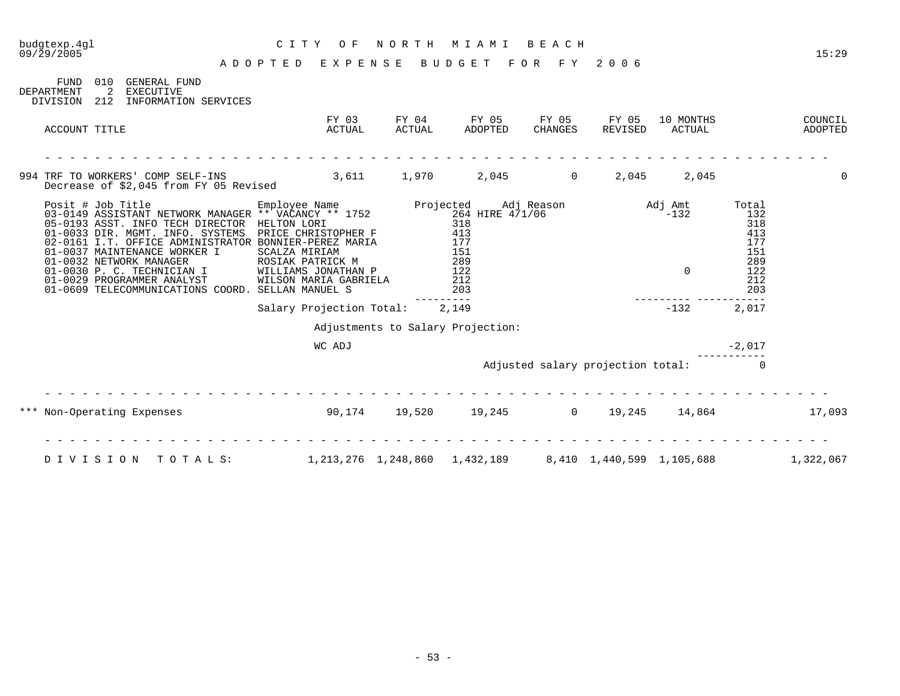| 09/29/2005                            |                                                                                                                                                                                                                                                                                                                                                                                                                                                                | ADOPTED EXPENSE                                     |                 | BUDGET                                                          | FOR FY           | 2006                              |                                  |                                                                      | 15:29              |
|---------------------------------------|----------------------------------------------------------------------------------------------------------------------------------------------------------------------------------------------------------------------------------------------------------------------------------------------------------------------------------------------------------------------------------------------------------------------------------------------------------------|-----------------------------------------------------|-----------------|-----------------------------------------------------------------|------------------|-----------------------------------|----------------------------------|----------------------------------------------------------------------|--------------------|
| FUND<br><b>DEPARTMENT</b><br>DIVISION | 010 GENERAL FUND<br>2 EXECUTIVE<br>212<br>INFORMATION SERVICES                                                                                                                                                                                                                                                                                                                                                                                                 |                                                     |                 |                                                                 |                  |                                   |                                  |                                                                      |                    |
|                                       | ACCOUNT TITLE                                                                                                                                                                                                                                                                                                                                                                                                                                                  | FY 03<br>ACTUAL                                     | FY 04<br>ACTUAL | FY 05<br>ADOPTED                                                | FY 05<br>CHANGES | FY 05<br>REVISED                  | 10 MONTHS<br>ACTUAL              |                                                                      | COUNCIL<br>ADOPTED |
|                                       | 994 TRF TO WORKERS' COMP SELF-INS<br>Decrease of \$2,045 from FY 05 Revised                                                                                                                                                                                                                                                                                                                                                                                    |                                                     | 3,611 1,970     |                                                                 | 2,045            | 2,045<br>$\overline{0}$           | 2,045                            |                                                                      | $\Omega$           |
|                                       | Posit # Job Title<br>03-0149 ASSISTANT NETWORK MANAGER ** VACANCY ** 1752<br>264 HIRE 4/1/06<br>05-0193 ASST. INFO TECH DIRECTOR<br>01-0033 DIR. MGMT. INFO. SYSTEMS<br>02-0161 I.T. OFFICE ADMINISTRATOR BONNIER-PEREZ MARIA<br>01-0037 MAINTENANCE WORKER I<br>01-0037<br>01-0032 NETWORK MANAGER<br>01-0030 P. C. TECHNICIAN I WILLIAMS JONATHAN P<br>01-0029 PROGRAMMER ANALYST WILSON MARIA GABRIELA<br>01-0609 TELECOMMUNICATIONS COORD. SELLAN MANUEL S | HELTON LORI<br>PRICE CHRISTOPHER F<br>SCALZA MIRIAM |                 | 318<br>413<br>177<br>151<br>289<br>$^{202}_{122}$<br>212<br>203 |                  |                                   | Adj Amt<br>$-132$<br>$\mathbf 0$ | Total<br>132<br>318<br>413<br>177<br>151<br>289<br>122<br>212<br>203 |                    |
|                                       |                                                                                                                                                                                                                                                                                                                                                                                                                                                                | Salary Projection Total: 2,149                      |                 |                                                                 |                  |                                   | $-132$                           | 2,017                                                                |                    |
|                                       |                                                                                                                                                                                                                                                                                                                                                                                                                                                                |                                                     |                 | Adjustments to Salary Projection:                               |                  |                                   |                                  |                                                                      |                    |
|                                       |                                                                                                                                                                                                                                                                                                                                                                                                                                                                | WC ADJ                                              |                 |                                                                 |                  |                                   |                                  | $-2,017$                                                             |                    |
|                                       |                                                                                                                                                                                                                                                                                                                                                                                                                                                                |                                                     |                 |                                                                 |                  | Adjusted salary projection total: |                                  | $\Omega$                                                             |                    |
|                                       | *** Non-Operating Expenses                                                                                                                                                                                                                                                                                                                                                                                                                                     | $90,174$ $19,520$ $19,245$ $0$ $19,245$ $14,864$    |                 |                                                                 |                  |                                   |                                  |                                                                      | 17,093             |
|                                       | DIVISION<br>TOTALS:                                                                                                                                                                                                                                                                                                                                                                                                                                            |                                                     |                 | 1, 213, 276 1, 248, 860 1, 432, 189                             |                  | 8,410 1,440,599 1,105,688         |                                  |                                                                      | 1,322,067          |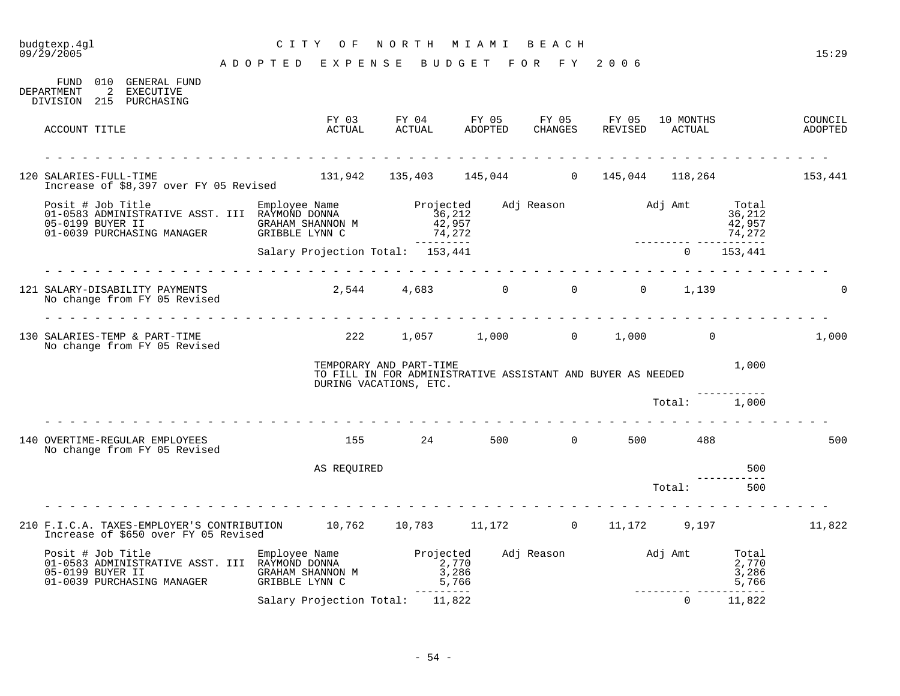# budgtexp.4gl C I T Y O F N O R T H M I A M I B E A C H

| FUND 010<br>GENERAL FUND<br>$\overline{2}$<br>EXECUTIVE<br>DEPARTMENT<br>DIVISION 215 PURCHASING                                                                                 |                                    |                                                                                                                  |                           |          |                          |                                     |                    |
|----------------------------------------------------------------------------------------------------------------------------------------------------------------------------------|------------------------------------|------------------------------------------------------------------------------------------------------------------|---------------------------|----------|--------------------------|-------------------------------------|--------------------|
| ACCOUNT TITLE                                                                                                                                                                    | FY 03<br>ACTUAL                    |                                                                                                                  |                           |          |                          |                                     | COUNCIL<br>ADOPTED |
| 120 SALARIES-FULL-TIME<br>Increase of \$8,397 over FY 05 Revised                                                                                                                 |                                    | $131,942$ $135,403$ $145,044$ 0 $145,044$ $118,264$ 131,942 153,441                                              |                           |          |                          |                                     |                    |
| Posit # Job Title Employee Name<br>01-0583 ADMINISTRATIVE ASST. III RAYMOND DONNA                                                                                                |                                    | Projected Adj Reason     Adj Amt<br>36,212<br>42,957<br>74,272                                                   |                           |          |                          | Total<br>36,212<br>42,957<br>74,272 |                    |
|                                                                                                                                                                                  | Salary Projection Total: 153,441   | ----------                                                                                                       |                           |          | $\Omega$                 | 153,441                             |                    |
| 121 SALARY-DISABILITY PAYMENTS<br>No change from FY 05 Revised                                                                                                                   | rendere de la provincia del        | 2,544 4,683 0 0 0 1,139                                                                                          |                           |          |                          |                                     |                    |
| 130 SALARIES-TEMP & PART-TIME<br>No change from FY 05 Revised                                                                                                                    |                                    | 222 1,057 1,000 0 1,000 0                                                                                        |                           |          |                          |                                     | 1,000              |
|                                                                                                                                                                                  |                                    | TEMPORARY AND PART-TIME<br>TO FILL IN FOR ADMINISTRATIVE ASSISTANT AND BUYER AS NEEDED<br>DURING VACATIONS, ETC. |                           |          |                          | 1,000                               |                    |
|                                                                                                                                                                                  |                                    |                                                                                                                  |                           |          | Total: 1,000             |                                     |                    |
| 140 OVERTIME-REGULAR EMPLOYEES<br>No change from FY 05 Revised                                                                                                                   |                                    | 155 24 500                                                                                                       |                           | $\Omega$ | 500 488                  |                                     | 500                |
|                                                                                                                                                                                  | AS REQUIRED                        |                                                                                                                  |                           |          |                          | 500                                 |                    |
|                                                                                                                                                                                  |                                    |                                                                                                                  |                           |          | Total:                   | 500                                 |                    |
| 210 F.I.C.A. TAXES-EMPLOYER'S CONTRIBUTION 10,762 10,783 11,172 0 11,172 9,197<br>Increase of \$650 over FY 05 Revised                                                           |                                    |                                                                                                                  |                           |          |                          |                                     | 11,822             |
| Posit # Job Title<br>01-0583 ADMINISTRATIVE ASST. III RAYMOND DONNA<br>05.0100 RIVINE TERRIVE ASST. III RAYMOND DONNA<br>2,770<br>05-0199 BUYER II<br>01-0039 PURCHASING MANAGER | GRAHAM SHANNON M<br>GRIBBLE LYNN C | $\begin{array}{r} 2,770 \\ 3,286 \\ 5,766 \end{array}$<br>----------                                             | Adj Reason Madj Amt Total |          | ________________________ | 2,770<br>3,286<br>5,766             |                    |
|                                                                                                                                                                                  | Salary Projection Total:           | 11,822                                                                                                           |                           |          | $\Omega$                 | 11,822                              |                    |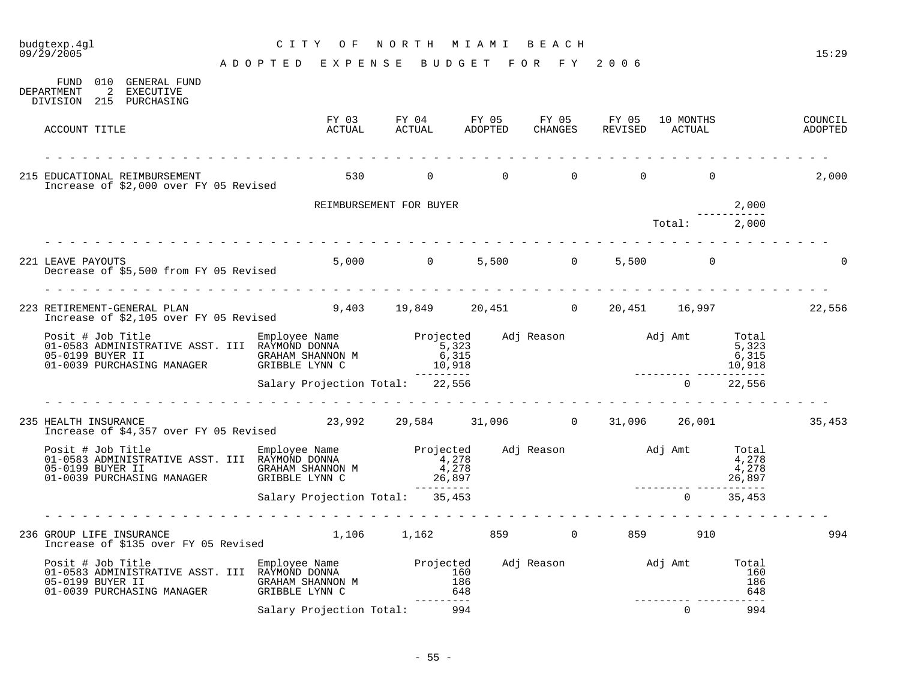## budgtexp.4gl C I T Y O F N O R T H M I A M I B E A C H

| DEPARTMENT    | FUND 010 GENERAL FUND<br>2 EXECUTIVE<br>DIVISION 215 PURCHASING                                                                                                                                                         |                                            |                           |                                                         |                          |  |          |                                    |                                   |                                             |
|---------------|-------------------------------------------------------------------------------------------------------------------------------------------------------------------------------------------------------------------------|--------------------------------------------|---------------------------|---------------------------------------------------------|--------------------------|--|----------|------------------------------------|-----------------------------------|---------------------------------------------|
| ACCOUNT TITLE |                                                                                                                                                                                                                         | FY 03<br>actual                            |                           |                                                         |                          |  |          |                                    |                                   | COUNCIL<br>ADOPTED                          |
|               | 215 EDUCATIONAL REIMBURSEMENT<br>Increase of \$2,000 over FY 05 Revised                                                                                                                                                 |                                            | 530 0 0 0                 |                                                         |                          |  | $\Omega$ | $\Omega$                           |                                   | 2,000                                       |
|               |                                                                                                                                                                                                                         |                                            | REIMBURSEMENT FOR BUYER   |                                                         |                          |  |          |                                    | 2,000                             |                                             |
|               |                                                                                                                                                                                                                         |                                            |                           |                                                         |                          |  |          | Total: 2,000                       |                                   |                                             |
|               |                                                                                                                                                                                                                         |                                            |                           |                                                         |                          |  |          |                                    |                                   |                                             |
|               | 221 LEAVE PAYOUTS<br>Decrease of \$5,500 from FY 05 Revised                                                                                                                                                             |                                            | 5,000 0 5,500 0 5,500 0   |                                                         |                          |  |          |                                    |                                   | $\Omega$                                    |
|               |                                                                                                                                                                                                                         |                                            |                           |                                                         |                          |  |          |                                    |                                   |                                             |
|               | 223 RETIREMENT-GENERAL PLAN<br>Increase of \$2,105 over FY 05 Revised                                                                                                                                                   | 9,403 19,849 20,451 0 20,451 16,997 22,556 |                           |                                                         |                          |  |          |                                    |                                   |                                             |
|               | $\begin{array}{lll} 05-0199 & \text{BUYER} & \text{I I} & \text{GRAHAM SHANNON} & \text{M} & \text{6,315} \\ 01-0039 & \text{PURCHASING} & \text{MANAGER} & \text{GRIBBLE LYNN} & \text{C} & \text{10,918} \end{array}$ |                                            |                           | 5,323<br>6,315                                          | Adj Re<br>$\frac{15}{9}$ |  |          |                                    | Total<br>5,323<br>6,315<br>10,918 |                                             |
|               |                                                                                                                                                                                                                         | Salary Projection Total: 22,556            |                           | ---------                                               |                          |  |          | 0                                  | 22,556                            |                                             |
|               |                                                                                                                                                                                                                         |                                            |                           |                                                         |                          |  |          |                                    |                                   |                                             |
|               | 235 HEALTH INSURANCE<br>Increase of \$4,357 over FY 05 Revised                                                                                                                                                          |                                            |                           |                                                         |                          |  |          |                                    |                                   | 23,992 29,584 31,096 0 31,096 26,001 35,453 |
|               | Posit # Job Title<br>01-0583 Annustrative ASST. III RAYMOND DONNA 1,278<br>4.278 4.278<br>05-0199 BUYER II<br>01-0039 PURCHASING MANAGER GRIBBLE LYNN C                                                                 |                                            |                           | $\begin{array}{c} 4,278 \\ 4,278 \end{array}$<br>26,897 |                          |  |          |                                    | 4,278<br>26,897                   |                                             |
|               |                                                                                                                                                                                                                         | Salary Projection Total: 35,453            |                           |                                                         |                          |  |          | $\Omega$                           | 35,453                            |                                             |
|               |                                                                                                                                                                                                                         |                                            |                           |                                                         |                          |  |          |                                    |                                   |                                             |
|               | 236 GROUP LIFE INSURANCE<br>Increase of \$135 over FY 05 Revised                                                                                                                                                        |                                            | 1,106 1,162 859 0 859 910 |                                                         |                          |  |          |                                    |                                   | 994                                         |
|               | 05-0199 BUYER II<br>01-0039 PURCHASING MANAGER                                                                                                                                                                          | GRAHAM SHANNON M<br>GRIBBLE LYNN C         |                           | 186<br>648                                              |                          |  |          |                                    | 186<br>648                        |                                             |
|               |                                                                                                                                                                                                                         | Salary Projection Total:                   |                           | ---------<br>994                                        |                          |  |          | ---------- -----------<br>$\Omega$ | 994                               |                                             |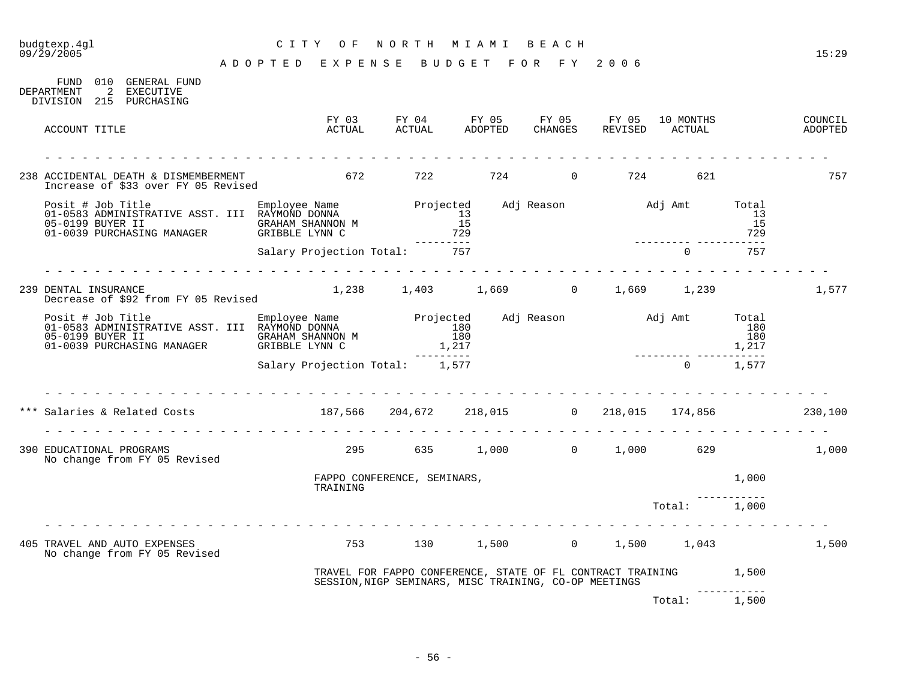# budgtexp.4gl C I T Y O F N O R T H M I A M I B E A C H

| FUND<br>DEPARTMENT   | 010<br>2 | GENERAL FUND<br>EXECUTIVE<br>DIVISION 215 PURCHASING                                                                                                                                                                 |                                           |                 |                                                                                                                           |  |       |  |     |                                           |                    |
|----------------------|----------|----------------------------------------------------------------------------------------------------------------------------------------------------------------------------------------------------------------------|-------------------------------------------|-----------------|---------------------------------------------------------------------------------------------------------------------------|--|-------|--|-----|-------------------------------------------|--------------------|
| ACCOUNT TITLE        |          |                                                                                                                                                                                                                      |                                           | FY 03<br>ACTUAL |                                                                                                                           |  |       |  |     |                                           | COUNCIL<br>ADOPTED |
|                      |          | 238 ACCIDENTAL DEATH & DISMEMBERMENT<br>Increase of \$33 over FY 05 Revised                                                                                                                                          | 672                                       |                 | 722                                                                                                                       |  | 724 0 |  | 724 | 621                                       | 757                |
|                      |          | Posit # Job Title<br>01-0583 ADMINISTRATIVE ASST. III RAYMOND DONNA Projected Adj Reason and Adj Amt Total<br>05-0199 PIVER IT<br>05-0199 BUYER II GRAHAM SHANNON M<br>01-0039 PURCHASING MANAGER GRIBBLE LYNN C 729 |                                           |                 |                                                                                                                           |  |       |  |     | 13<br>15<br>729                           |                    |
|                      |          |                                                                                                                                                                                                                      | Salary Projection Total: 757              |                 |                                                                                                                           |  |       |  |     | $\Omega$<br>757                           |                    |
| 239 DENTAL INSURANCE |          | Decrease of \$92 from FY 05 Revised                                                                                                                                                                                  |                                           |                 |                                                                                                                           |  |       |  |     | $1,238$ $1,403$ $1,669$ 0 $1,669$ $1,239$ | 1,577              |
|                      |          | Posit # Job Title Employee Name Projected Adj Reason and Adj Amt Total Employee Name Projected Adj Reason Adj Amt Total<br>05-0199 BUYER II GRAHAM SHANNON M<br>01-0039 PURCHASING MANAGER GRIBBLE LYNN C 1,217      |                                           |                 | $\begin{array}{c} 180 \\ 180 \end{array}$                                                                                 |  |       |  |     | 180<br>1,217                              |                    |
|                      |          |                                                                                                                                                                                                                      | Salary Projection Total: 1,577            |                 |                                                                                                                           |  |       |  |     | $0 \t 1,577$                              |                    |
|                      |          | Salaries & Related Costs                                                                                                                                                                                             | 187,566 204,672 218,015 0 218,015 174,856 |                 |                                                                                                                           |  |       |  |     |                                           | 230, 100           |
|                      |          | 390 EDUCATIONAL PROGRAMS<br>No change from FY 05 Revised                                                                                                                                                             |                                           |                 | 295 635 1,000 0 1,000 629                                                                                                 |  |       |  |     |                                           | 1,000              |
|                      |          |                                                                                                                                                                                                                      |                                           | TRAINING        | FAPPO CONFERENCE, SEMINARS,                                                                                               |  |       |  |     | 1,000                                     |                    |
|                      |          |                                                                                                                                                                                                                      |                                           |                 |                                                                                                                           |  |       |  |     | Total: 1,000                              |                    |
|                      |          | 405 TRAVEL AND AUTO EXPENSES<br>No change from FY 05 Revised                                                                                                                                                         |                                           |                 |                                                                                                                           |  |       |  |     | 753 130 1,500 0 1,500 1,043 1,500         |                    |
|                      |          |                                                                                                                                                                                                                      |                                           |                 | TRAVEL FOR FAPPO CONFERENCE, STATE OF FL CONTRACT TRAINING 1,500<br>SESSION, NIGP SEMINARS, MISC TRAINING, CO-OP MEETINGS |  |       |  |     |                                           |                    |
|                      |          |                                                                                                                                                                                                                      |                                           |                 |                                                                                                                           |  |       |  |     | Total: 1,500                              |                    |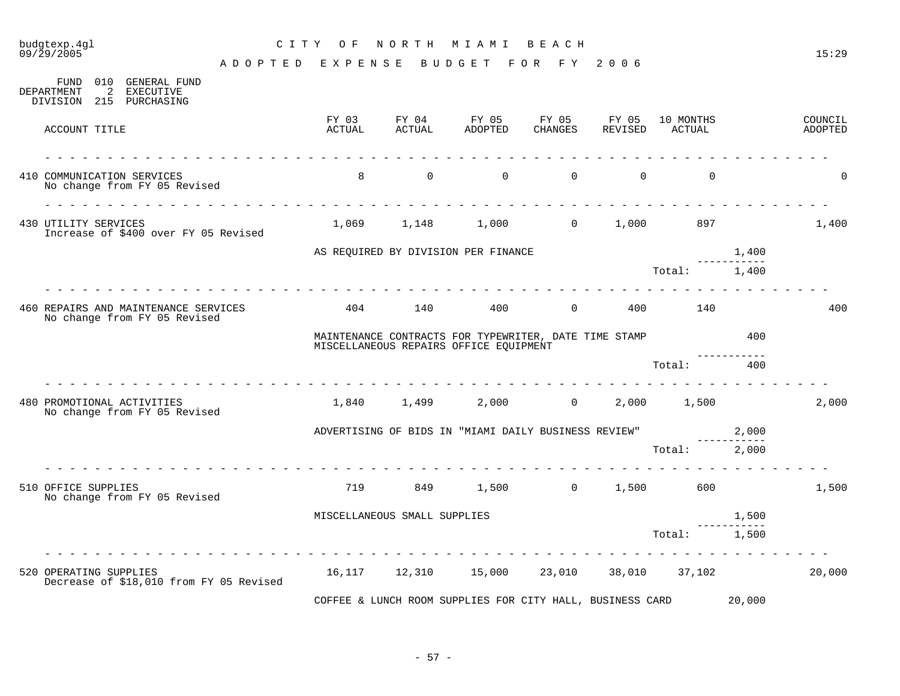## budgtexp.4gl C I T Y O F N O R T H M I A M I B E A C H

| 010<br>GENERAL FUND<br>FUND<br>2<br>DEPARTMENT<br>EXECUTIVE<br>DIVISION 215 PURCHASING                                                                     |                 |                              |                                                                                                 |                       |                  |                     |        |                    |
|------------------------------------------------------------------------------------------------------------------------------------------------------------|-----------------|------------------------------|-------------------------------------------------------------------------------------------------|-----------------------|------------------|---------------------|--------|--------------------|
| ACCOUNT TITLE                                                                                                                                              | FY 03<br>ACTUAL | ACTUAL                       | FY 04 FY 05<br>ADOPTED                                                                          | FY 05<br>CHANGES      | FY 05<br>REVISED | 10 MONTHS<br>ACTUAL |        | COUNCIL<br>ADOPTED |
| 410 COMMUNICATION SERVICES<br>No change from FY 05 Revised                                                                                                 | 8               | $\sim$ 0                     |                                                                                                 | $\Omega$ and $\Omega$ | $\overline{0}$ 0 | $\Omega$            |        | $\mathbf 0$        |
| $\begin{array}{cccccccccccccc} \bot & \bot & \bot & \bot & \bot & \bot & \bot \end{array}$<br>430 UTILITY SERVICES<br>Increase of \$400 over FY 05 Revised |                 |                              | $1,069$ $1,148$ $1,000$ 0 $1,000$ 897                                                           |                       |                  |                     |        | 1,400              |
|                                                                                                                                                            |                 |                              | AS REQUIRED BY DIVISION PER FINANCE                                                             |                       |                  |                     | 1,400  |                    |
|                                                                                                                                                            |                 |                              |                                                                                                 |                       |                  | Total:              | 1,400  |                    |
| 460 REPAIRS AND MAINTENANCE SERVICES<br>No change from FY 05 Revised                                                                                       | 404             | 140                          |                                                                                                 | 400 0 400             |                  | 140                 |        | 400                |
|                                                                                                                                                            |                 |                              | MAINTENANCE CONTRACTS FOR TYPEWRITER, DATE TIME STAMP<br>MISCELLANEOUS REPAIRS OFFICE EQUIPMENT |                       |                  |                     | 400    |                    |
|                                                                                                                                                            |                 |                              |                                                                                                 |                       |                  | Total:              | 400    |                    |
| 480 PROMOTIONAL ACTIVITIES<br>No change from FY 05 Revised                                                                                                 |                 |                              | 1,840 1,499 2,000 0                                                                             |                       |                  | 2,000 1,500         |        | 2,000              |
|                                                                                                                                                            |                 |                              | ADVERTISING OF BIDS IN "MIAMI DAILY BUSINESS REVIEW" 2,000                                      |                       |                  |                     |        |                    |
|                                                                                                                                                            |                 |                              |                                                                                                 |                       |                  | Total: 2,000        |        |                    |
| 510 OFFICE SUPPLIES<br>No change from FY 05 Revised                                                                                                        | 719             |                              | 849 1,500 0 1,500 600                                                                           |                       |                  |                     |        | 1,500              |
|                                                                                                                                                            |                 | MISCELLANEOUS SMALL SUPPLIES |                                                                                                 |                       |                  |                     | 1,500  |                    |
|                                                                                                                                                            |                 |                              |                                                                                                 |                       |                  | Total:              | 1,500  |                    |
| 520 OPERATING SUPPLIES<br>Decrease of \$18,010 from FY 05 Revised                                                                                          |                 |                              | 16,117  12,310  15,000  23,010  38,010  37,102                                                  |                       |                  |                     |        | 20,000             |
|                                                                                                                                                            |                 |                              | COFFEE & LUNCH ROOM SUPPLIES FOR CITY HALL, BUSINESS CARD                                       |                       |                  |                     | 20,000 |                    |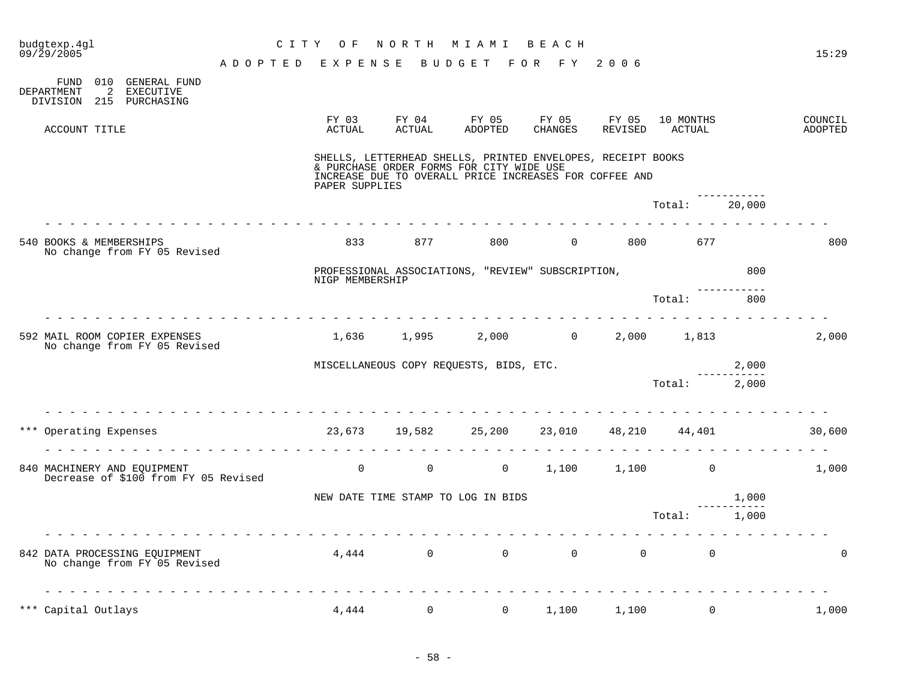| budgtexp.4gl<br>$09/\bar{2}9/2005$                                                         | C I T Y<br>A D O P T E D                                                                                                                                                                                                                                                                                                                                                                                                                        | O F<br>EXPENSE  | NORTH                  | M I A M I<br>BUDGET FOR FY 2006                                                                                                                                   | BEACH            |                  |                      |                      | 15:29              |
|--------------------------------------------------------------------------------------------|-------------------------------------------------------------------------------------------------------------------------------------------------------------------------------------------------------------------------------------------------------------------------------------------------------------------------------------------------------------------------------------------------------------------------------------------------|-----------------|------------------------|-------------------------------------------------------------------------------------------------------------------------------------------------------------------|------------------|------------------|----------------------|----------------------|--------------------|
| 010 GENERAL FUND<br>FUND<br>DEPARTMENT<br>2<br><b>EXECUTIVE</b><br>DIVISION 215 PURCHASING |                                                                                                                                                                                                                                                                                                                                                                                                                                                 |                 |                        |                                                                                                                                                                   |                  |                  |                      |                      |                    |
| ACCOUNT TITLE                                                                              |                                                                                                                                                                                                                                                                                                                                                                                                                                                 | FY 03<br>ACTUAL | FY 04<br><b>ACTUAL</b> | FY 05<br>ADOPTED                                                                                                                                                  | FY 05<br>CHANGES | FY 05<br>REVISED | 10 MONTHS<br>ACTUAL  |                      | COUNCIL<br>ADOPTED |
|                                                                                            |                                                                                                                                                                                                                                                                                                                                                                                                                                                 | PAPER SUPPLIES  |                        | SHELLS, LETTERHEAD SHELLS, PRINTED ENVELOPES, RECEIPT BOOKS<br>& PURCHASE ORDER FORMS FOR CITY WIDE USE<br>INCREASE DUE TO OVERALL PRICE INCREASES FOR COFFEE AND |                  |                  |                      |                      |                    |
|                                                                                            | $\frac{1}{2} \left( \begin{array}{ccc} 1 & 1 & 1 \\ 1 & 1 & 1 \end{array} \right) = \left( \begin{array}{ccc} 1 & 1 & 1 \\ 1 & 1 & 1 \end{array} \right) = \left( \begin{array}{ccc} 1 & 1 & 1 \\ 1 & 1 & 1 \end{array} \right) = \left( \begin{array}{ccc} 1 & 1 & 1 \\ 1 & 1 & 1 \end{array} \right) = \left( \begin{array}{ccc} 1 & 1 & 1 \\ 1 & 1 & 1 \end{array} \right) = \left( \begin{array}{ccc} 1 & 1 & 1 \\ 1 & 1 & 1 \end{array} \$ |                 |                        |                                                                                                                                                                   |                  |                  | Total: 20,000        |                      |                    |
| 540 BOOKS & MEMBERSHIPS<br>No change from FY 05 Revised                                    |                                                                                                                                                                                                                                                                                                                                                                                                                                                 | 833             | 877                    | 800                                                                                                                                                               | $\overline{0}$   | 800 000          | 677                  |                      | 800                |
|                                                                                            |                                                                                                                                                                                                                                                                                                                                                                                                                                                 | NIGP MEMBERSHIP |                        | PROFESSIONAL ASSOCIATIONS, "REVIEW" SUBSCRIPTION,                                                                                                                 |                  |                  |                      | 800                  |                    |
| <u> La La La La La La La La La La La La</u>                                                |                                                                                                                                                                                                                                                                                                                                                                                                                                                 |                 |                        |                                                                                                                                                                   |                  |                  | Total:               | 800                  |                    |
| 592 MAIL ROOM COPIER EXPENSES<br>No change from FY 05 Revised                              |                                                                                                                                                                                                                                                                                                                                                                                                                                                 |                 |                        | $1,636$ $1,995$ $2,000$ $0$ $2,000$ $1,813$                                                                                                                       |                  |                  |                      |                      | 2,000              |
|                                                                                            |                                                                                                                                                                                                                                                                                                                                                                                                                                                 |                 |                        | MISCELLANEOUS COPY REQUESTS, BIDS, ETC.                                                                                                                           |                  |                  |                      | 2,000                |                    |
|                                                                                            |                                                                                                                                                                                                                                                                                                                                                                                                                                                 |                 |                        |                                                                                                                                                                   |                  |                  | Total: 2,000         |                      |                    |
| <u>.</u><br>*** Operating Expenses                                                         | dia dia dia dia dia dia dia dia                                                                                                                                                                                                                                                                                                                                                                                                                 |                 |                        | 23,673 19,582 25,200 23,010 48,210 44,401                                                                                                                         |                  |                  |                      |                      | 30,600             |
| 840 MACHINERY AND EOUIPMENT<br>Decrease of \$100 from FY 05 Revised                        |                                                                                                                                                                                                                                                                                                                                                                                                                                                 | $\overline{0}$  | $\overline{0}$         |                                                                                                                                                                   | $0 \t 1, 100$    |                  | $1,100$ 0            |                      | 1,000              |
|                                                                                            |                                                                                                                                                                                                                                                                                                                                                                                                                                                 |                 |                        | NEW DATE TIME STAMP TO LOG IN BIDS                                                                                                                                |                  |                  |                      | 1,000                |                    |
|                                                                                            |                                                                                                                                                                                                                                                                                                                                                                                                                                                 |                 |                        |                                                                                                                                                                   |                  |                  | Total:               | -----------<br>1,000 |                    |
| 842 DATA PROCESSING EQUIPMENT<br>No change from FY 05 Revised                              |                                                                                                                                                                                                                                                                                                                                                                                                                                                 |                 |                        | $4,444$ 0 0 0 0                                                                                                                                                   |                  |                  | $\Omega$<br>$\Omega$ |                      | $\Omega$           |
| *** Capital Outlays                                                                        |                                                                                                                                                                                                                                                                                                                                                                                                                                                 | 4,444           | $\mathsf{O}$           | $\overline{0}$                                                                                                                                                    | 1,100            | 1,100            | $\mathsf{O}$         |                      | 1,000              |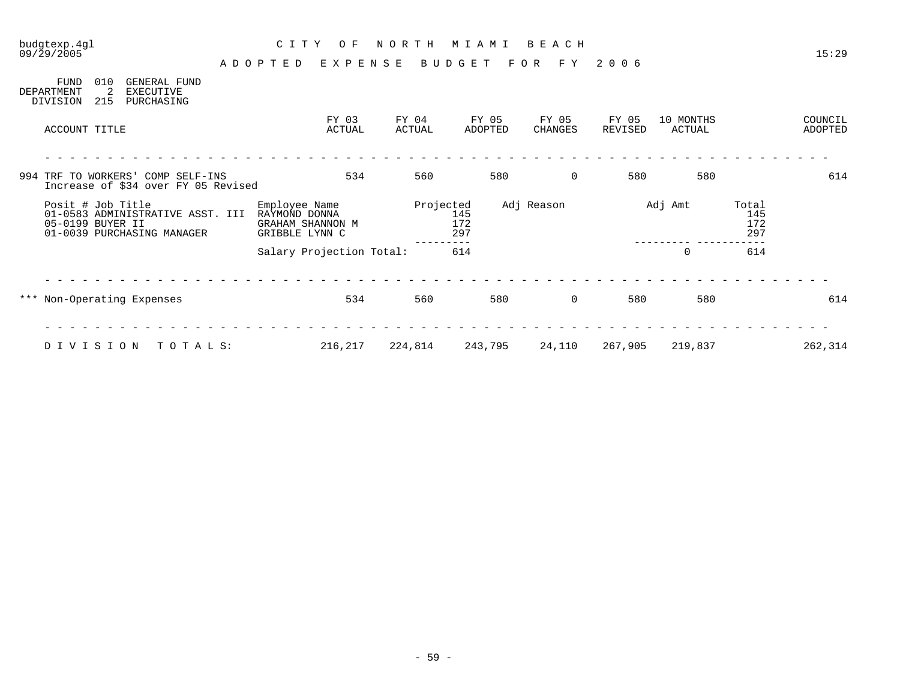09/29/2005 15:29 A D O P T E D E X P E N S E B U D G E T F O R F Y 2 0 0 6

| FUND<br>DEPARTMENT<br>DIVISION        | 010<br>2<br>215 | GENERAL FUND<br>EXECUTIVE<br>PURCHASING                                  |         |                                                  |                          |                 |                   |                  |                         |                  |     |                     |     |                            |                    |
|---------------------------------------|-----------------|--------------------------------------------------------------------------|---------|--------------------------------------------------|--------------------------|-----------------|-------------------|------------------|-------------------------|------------------|-----|---------------------|-----|----------------------------|--------------------|
| ACCOUNT TITLE                         |                 |                                                                          |         |                                                  | FY 03<br>ACTUAL          | FY 04<br>ACTUAL |                   | FY 05<br>ADOPTED | FY 05<br><b>CHANGES</b> | FY 05<br>REVISED |     | 10 MONTHS<br>ACTUAL |     |                            | COUNCIL<br>ADOPTED |
|                                       |                 | 994 TRF TO WORKERS' COMP SELF-INS<br>Increase of \$34 over FY 05 Revised |         |                                                  | 534                      | 560             |                   | 580              |                         | $\mathbf 0$      | 580 |                     | 580 |                            | 614                |
| Posit # Job Title<br>05-0199 BUYER II |                 | 01-0583 ADMINISTRATIVE ASST. III<br>01-0039 PURCHASING MANAGER           |         | Employee Name<br>RAYMOND DONNA<br>GRIBBLE LYNN C | GRAHAM SHANNON M         | Projected       | 145<br>172<br>297 |                  | Adj Reason              |                  |     | Adj Amt             |     | Total<br>145<br>172<br>297 |                    |
|                                       |                 |                                                                          |         |                                                  | Salary Projection Total: |                 | 614               |                  |                         |                  |     | 0                   |     | 614                        |                    |
|                                       |                 | *** Non-Operating Expenses                                               |         |                                                  | 534                      | 560             |                   | 580              |                         | $\mathbf 0$      | 580 |                     | 580 |                            | 614                |
| DIVISION                              |                 |                                                                          | TOTALS: |                                                  | 216,217                  | 224,814         |                   | 243,795          | 24,110                  | 267,905          |     | 219,837             |     |                            | 262,314            |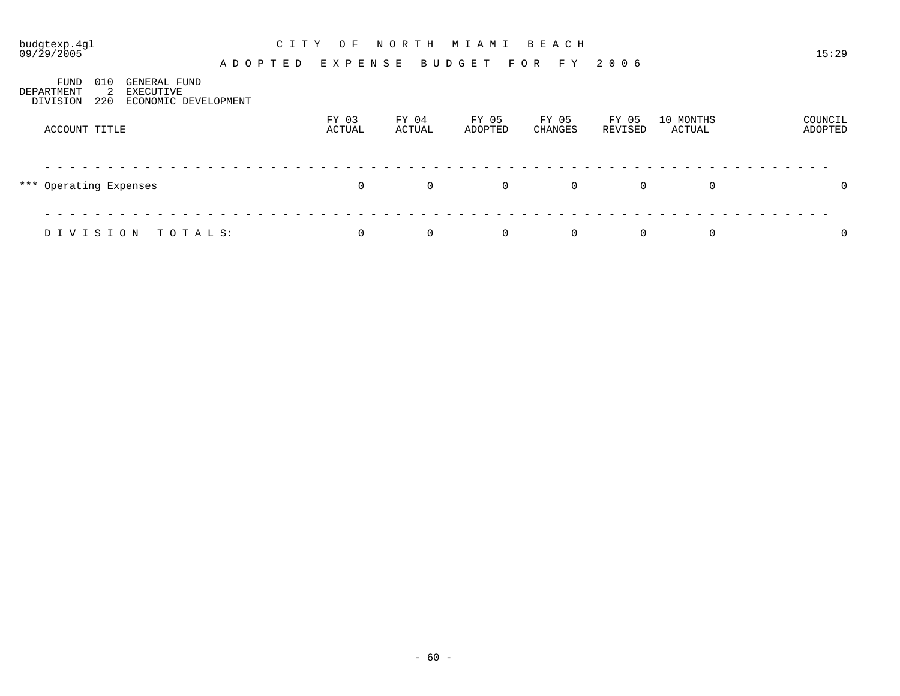#### budgtexp.4gl C I T Y O F N O R T H M I A M I B E A C H

A D O P T E D E X P E N S E B U D G E T F O R F Y 2 0 0 6

FUND 010 GENERAL FUND<br>DEPARTMENT 2 EXECUTIVE DEPARTMENT 2 EXECUTIVE DIVISION 220 ECONOMIC DEVELOPMENT FY 03 FY 04 FY 05 FY 05 FY 05 10 MONTHS COUNCIL

| ACCOUNT TITLE          | ACTUAL         | ACTUAL         | ADOPTED        | CHANGES        | REVISED        | ACTUAL | ADOPTED        |
|------------------------|----------------|----------------|----------------|----------------|----------------|--------|----------------|
|                        |                |                |                |                |                |        |                |
| *** Operating Expenses | $\overline{0}$ | $\overline{0}$ | $\overline{0}$ | $\overline{0}$ | $\mathbf{0}$   | 0      | $\overline{0}$ |
|                        |                |                |                |                |                |        |                |
| DIVISION TOTALS:       | $\Omega$       | $\overline{0}$ | $\overline{0}$ | $\overline{0}$ | $\overline{0}$ | 0      | $\overline{0}$ |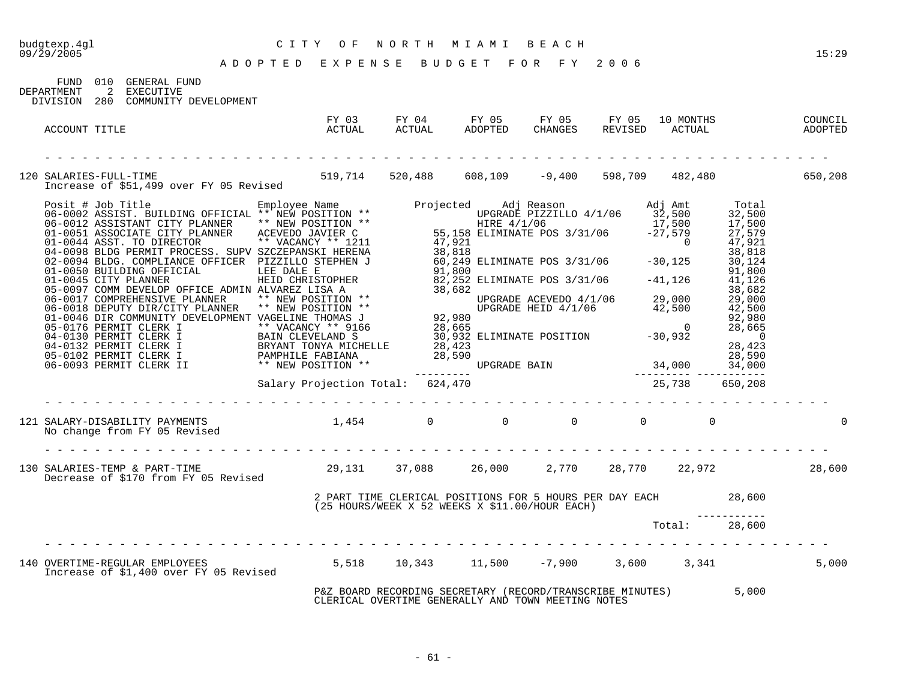# budgtexp.4gl C I T Y O F N O R T H M I A M I B E A C H

|            |     | FUND 010 GENERAL FUND |
|------------|-----|-----------------------|
| DEPARTMENT |     | 2 EXECUTIVE           |
| DIVISION   | 280 | COMMINITY DEVELOPMENT |

| ACCOUNT TITLE                                                                                                                                                                                                                       | FY 03<br>FIUS<br>ACTUAL                                                                                          | ACTUAL                                                                                                                | FY 04 FY 05 FY 05<br>ADOPTED CHANGES |               | FY 05 10 MONTHS | COUNCIL<br>REVISED ACTUAL ADOPTED |
|-------------------------------------------------------------------------------------------------------------------------------------------------------------------------------------------------------------------------------------|------------------------------------------------------------------------------------------------------------------|-----------------------------------------------------------------------------------------------------------------------|--------------------------------------|---------------|-----------------|-----------------------------------|
|                                                                                                                                                                                                                                     |                                                                                                                  |                                                                                                                       |                                      |               |                 |                                   |
| SALARIES-FULL-TIME<br>Increase of \$51,499 over FY 05 Revised 519,714 520,488 608,109 -9,400 598,709 482,480 650,208<br>120 SALARIES-FULL-TIME                                                                                      |                                                                                                                  |                                                                                                                       |                                      |               |                 |                                   |
| From Section (1918) of the MINE of the MINE of the MINE (1921) ASSES (1918) 2013<br>06-0012 ASSISTENT CITILD FIRE ** NEW POSITION **<br>06-0012 ASSISTENT CITY PLANNER ** NEW POSITION **<br>01-0044 ASST. TO DIRECTOR (** NEW POSI |                                                                                                                  |                                                                                                                       |                                      |               |                 |                                   |
|                                                                                                                                                                                                                                     |                                                                                                                  |                                                                                                                       |                                      |               |                 | $\Omega$                          |
|                                                                                                                                                                                                                                     |                                                                                                                  |                                                                                                                       |                                      |               |                 |                                   |
| 130 SALARIES-TEMP & PART-TIME (199,131 37,088 26,000 2,770 28,770 22,972 28,600<br>Decrease of \$170 from FY 05 Revised                                                                                                             |                                                                                                                  |                                                                                                                       |                                      |               |                 |                                   |
|                                                                                                                                                                                                                                     | 2 PART TIME CLERICAL POSITIONS FOR 5 HOURS PER DAY EACH 28,600<br>(25 HOURS/WEEK X 52 WEEKS X \$11.00/HOUR EACH) |                                                                                                                       |                                      |               |                 |                                   |
|                                                                                                                                                                                                                                     |                                                                                                                  |                                                                                                                       |                                      | Total: 28,600 |                 |                                   |
| 140 OVERTIME-REGULAR EMPLOYEES 6.18 5,518 10,343 11,500 -7,900 3,600 3,341<br>Increase of \$1,400 over FY 05 Revised                                                                                                                |                                                                                                                  |                                                                                                                       |                                      |               |                 | 5,000                             |
|                                                                                                                                                                                                                                     |                                                                                                                  | P&Z BOARD RECORDING SECRETARY (RECORD/TRANSCRIBE MINUTES) 5,000<br>CLERICAL OVERTIME GENERALLY AND TOWN MEETING NOTES |                                      |               |                 |                                   |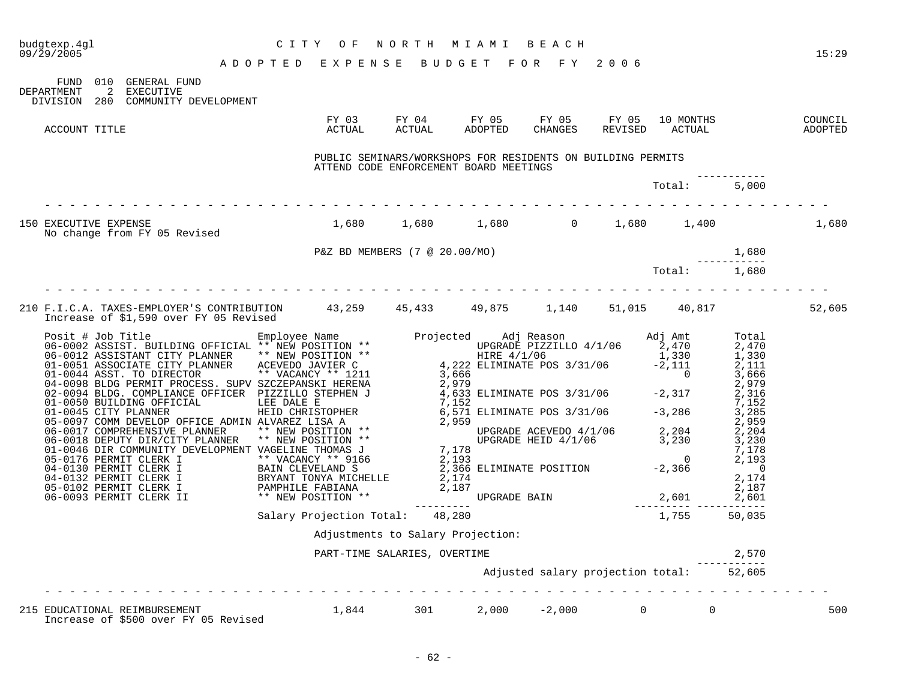|                                                                                                                               |                                                                                                       |                                          |  |              |                   | 15:29  |
|-------------------------------------------------------------------------------------------------------------------------------|-------------------------------------------------------------------------------------------------------|------------------------------------------|--|--------------|-------------------|--------|
| FUND 010 GENERAL FUND<br>DEPARTMENT 2 EXECUTIVE<br>DIVISION 280 COMMUNITY DEVELOPMENT                                         |                                                                                                       |                                          |  |              |                   |        |
| ACCOUNT TITLE                                                                                                                 |                                                                                                       |                                          |  |              |                   |        |
|                                                                                                                               | PUBLIC SEMINARS/WORKSHOPS FOR RESIDENTS ON BUILDING PERMITS<br>ATTEND CODE ENFORCEMENT BOARD MEETINGS |                                          |  |              |                   |        |
|                                                                                                                               |                                                                                                       |                                          |  | Total: 5,000 |                   |        |
| 150 EXECUTIVE EXPENSE<br>No change from FY 05 Revised                                                                         | $1,680$ $1,680$ $1,680$ $0$ $1,680$ $1,400$                                                           |                                          |  |              |                   | 1,680  |
|                                                                                                                               |                                                                                                       |                                          |  |              |                   |        |
|                                                                                                                               | P&Z BD MEMBERS (7 @ 20.00/MO) $---1,680$<br>Total: $---1,680$                                         |                                          |  |              |                   |        |
| 210 F.I.C.A. TAXES-EMPLOYER'S CONTRIBUTION 43,259 45,433 49,875 1,140 51,015 40,817<br>Increase of \$1,590 over FY 05 Revised |                                                                                                       |                                          |  |              |                   | 52,605 |
|                                                                                                                               |                                                                                                       |                                          |  |              |                   |        |
|                                                                                                                               |                                                                                                       |                                          |  |              |                   |        |
|                                                                                                                               |                                                                                                       |                                          |  |              |                   |        |
|                                                                                                                               |                                                                                                       |                                          |  |              |                   |        |
|                                                                                                                               |                                                                                                       |                                          |  |              |                   |        |
|                                                                                                                               |                                                                                                       |                                          |  |              |                   |        |
|                                                                                                                               | Salary Projection Total: 48,280                                                                       |                                          |  | 1,755        | 50,035            |        |
|                                                                                                                               | Adjustments to Salary Projection:                                                                     |                                          |  |              |                   |        |
|                                                                                                                               | PART-TIME SALARIES, OVERTIME                                                                          |                                          |  |              | 2,570<br>-------- |        |
|                                                                                                                               |                                                                                                       | Adjusted salary projection total: 52,605 |  |              |                   |        |
| 215 EDUCATIONAL REIMBURSEMENT $1,844$ 301 $2,000$ $-2,000$ 0 0 0<br>Increase of \$500 over FY 05 Revised                      |                                                                                                       |                                          |  |              |                   | 500    |

 $- 62 -$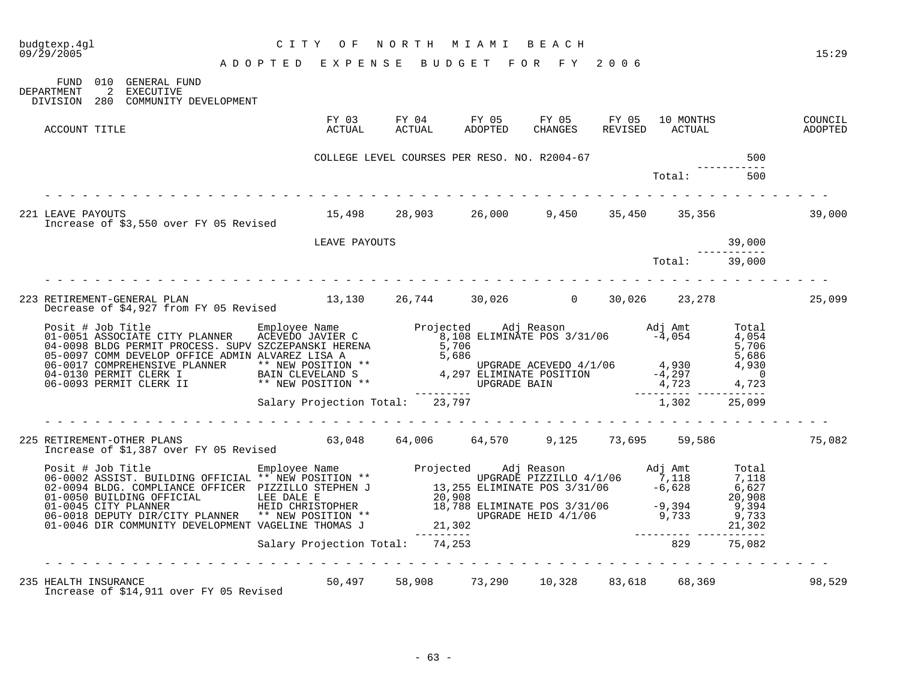| budgtexp.4gl<br>09/29/2005                                                                                                                                                                                                        | C I T Y<br>O F<br>ADOPTED EXPENSE BUDGET FOR FY 2006 | NORTH MIAMI BEACH                         |  |                             |        | 15:29              |
|-----------------------------------------------------------------------------------------------------------------------------------------------------------------------------------------------------------------------------------|------------------------------------------------------|-------------------------------------------|--|-----------------------------|--------|--------------------|
| FUND 010 GENERAL FUND<br>DEPARTMENT<br>2 EXECUTIVE<br>DIVISION 280 COMMUNITY DEVELOPMENT                                                                                                                                          |                                                      |                                           |  |                             |        |                    |
| ACCOUNT TITLE                                                                                                                                                                                                                     | FY 03<br>ACTUAL                                      |                                           |  | 10 MONTHS<br>REVISED ACTUAL |        | COUNCIL<br>ADOPTED |
|                                                                                                                                                                                                                                   | COLLEGE LEVEL COURSES PER RESO. NO. R2004-67         |                                           |  |                             | 500    |                    |
|                                                                                                                                                                                                                                   |                                                      |                                           |  | Total:                      | 500    |                    |
| 221 LEAVE PAYOUTS<br>Increase of \$3,550 over FY 05 Revised                                                                                                                                                                       | 15,498  28,903  26,000  9,450  35,450  35,356        |                                           |  |                             |        | 39,000             |
|                                                                                                                                                                                                                                   | LEAVE PAYOUTS                                        |                                           |  |                             | 39,000 |                    |
|                                                                                                                                                                                                                                   |                                                      |                                           |  | Total: 39,000               |        |                    |
|                                                                                                                                                                                                                                   |                                                      |                                           |  |                             |        | 25,099             |
| Posit # Job Title Employee Name Projected Adj Reason Adj Amt Total 01-0051 ASSOCIATE CITY PLANNER ACEVEDO JAVIER C<br>04-0098 BLDG PERMIT PROCESS. SUPV SZCZEPANSKI HERENA 5,706<br>05-0097 COMM DEVELO DYFICE ADMIN ALVAREZ LISA |                                                      |                                           |  |                             |        |                    |
|                                                                                                                                                                                                                                   | Salary Projection Total: 23,797                      |                                           |  | 1,302 25,099                |        |                    |
|                                                                                                                                                                                                                                   | . <u>.</u> .                                         |                                           |  |                             |        | 75,082             |
|                                                                                                                                                                                                                                   |                                                      |                                           |  |                             |        |                    |
|                                                                                                                                                                                                                                   |                                                      |                                           |  |                             |        |                    |
| 235 HEALTH INSURANCE<br>Increase of \$14,911 over FY 05 Revised                                                                                                                                                                   |                                                      | 50,497 58,908 73,290 10,328 83,618 68,369 |  |                             |        | 98,529             |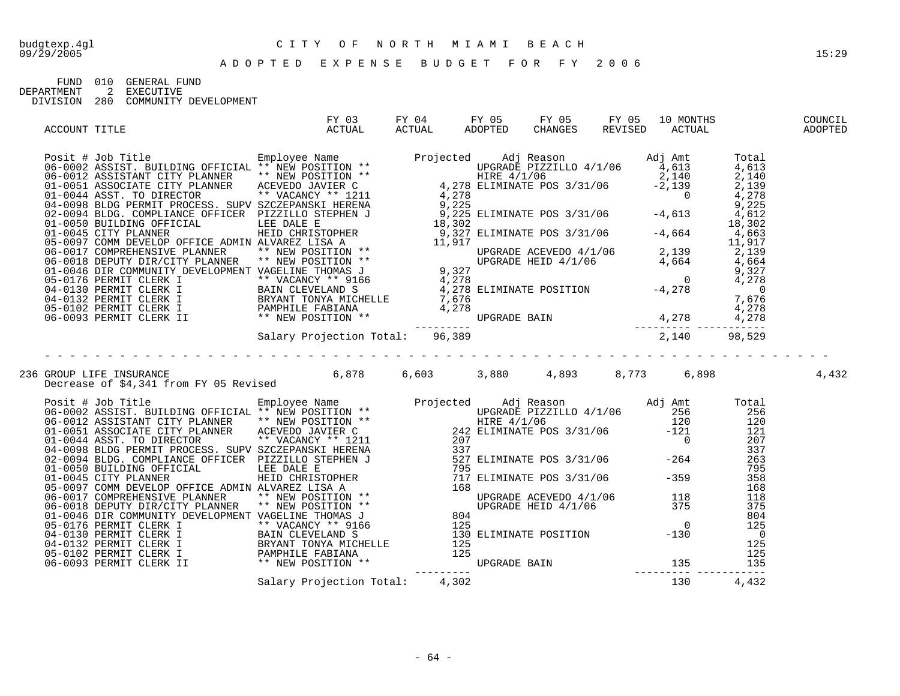FUND 010 GENERAL FUND<br>DEPARTMENT 2 EXECUTIVE

DEPARTMENT 2 EXECUTIVE DIVISION 280 COMMUNITY DEVELOPMENT

| ACCOUNT TITLE |                                                                                                                                                                                                                                                                                                                                                           |  |  |       |
|---------------|-----------------------------------------------------------------------------------------------------------------------------------------------------------------------------------------------------------------------------------------------------------------------------------------------------------------------------------------------------------|--|--|-------|
|               | Posit # Job Title Total SSEET, BUT CINEME ** NEW POSITION **<br>06-0002 ASSIST, BUTLENG OFFICIAL ** NEW POSITION **<br>01-0004 ASSCETMATE CITY PLANNER ** NEW POSITION **<br>01-0004 ASSCETMATE CITY PLANNER ** NEW POSITION **<br>01                                                                                                                     |  |  |       |
|               |                                                                                                                                                                                                                                                                                                                                                           |  |  |       |
|               |                                                                                                                                                                                                                                                                                                                                                           |  |  |       |
|               |                                                                                                                                                                                                                                                                                                                                                           |  |  |       |
|               |                                                                                                                                                                                                                                                                                                                                                           |  |  |       |
|               |                                                                                                                                                                                                                                                                                                                                                           |  |  |       |
|               | 236 GROUP LIFE INSURANCE<br>Decrease of \$4,341 from FY 05 Revised       6,878    6,603     3,880    4,893    8,773    6,898                                                                                                                                                                                                                              |  |  | 4,432 |
|               | $\begin{tabular}{ l c c c c c} \textbf{Decrease of $4,341 from FY 05 Revised}\\ \hline \textbf{0.44 150 n111e} & \textbf{0.45 255} & \textbf{0.47 150} & \textbf{0.48 15} & \textbf{0.49 15} & \textbf{0.49 15} & \textbf{0.40 15} & \textbf{0.40 15} & \textbf{0.41 15} & \textbf{0.42 15} & \textbf{0.43 15} & \textbf{0.44 15} & \textbf{0.45 15} & \$ |  |  |       |
|               |                                                                                                                                                                                                                                                                                                                                                           |  |  |       |
|               |                                                                                                                                                                                                                                                                                                                                                           |  |  |       |
|               |                                                                                                                                                                                                                                                                                                                                                           |  |  |       |
|               |                                                                                                                                                                                                                                                                                                                                                           |  |  |       |
|               |                                                                                                                                                                                                                                                                                                                                                           |  |  |       |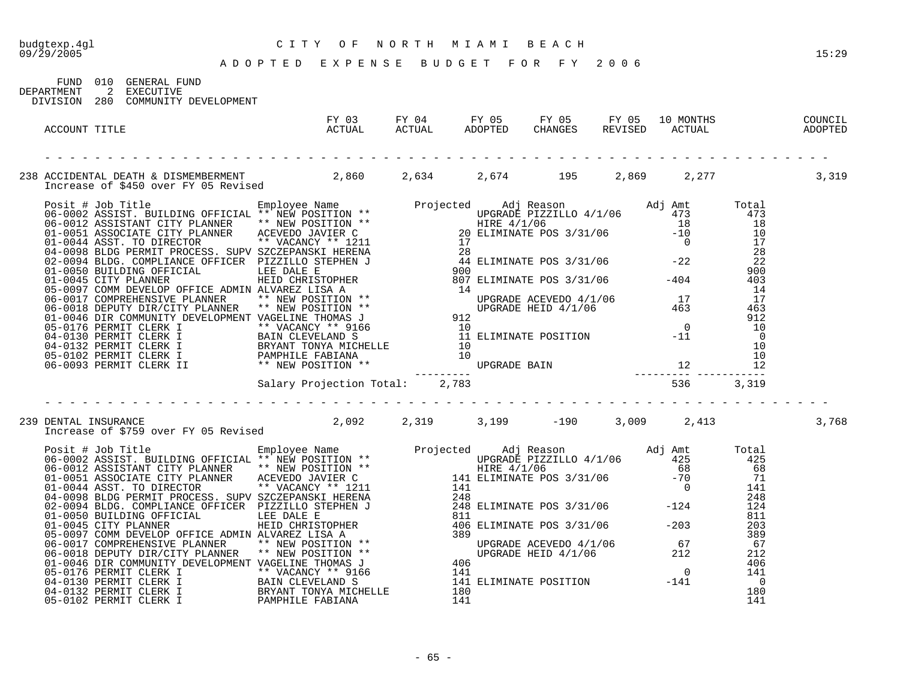A D O P T E D E X P E N S E B U D G E T F O R F Y 2 0 0 6

09/29/2005 15:29

| FIJND.                 | 010 GENERAL FUND                   |
|------------------------|------------------------------------|
| DEPARTMENT 2 EXECUTIVE |                                    |
|                        | DIVISION 280 COMMUNITY DEVELOPMENT |
|                        |                                    |
|                        |                                    |

| ACCOUNT TITLE        | ACTUAL                                                                                                                                                                                                                                                                                                                                                                                                                                                                         |  |  | FY 03 FY 04 FY 05 FY 05 FY 05 10 MONTHS<br>ACTUAL ACTUAL ADOPTED CHANGES REVISED ACTUAL | COUNCIL<br><b>ADOPTED</b> |
|----------------------|--------------------------------------------------------------------------------------------------------------------------------------------------------------------------------------------------------------------------------------------------------------------------------------------------------------------------------------------------------------------------------------------------------------------------------------------------------------------------------|--|--|-----------------------------------------------------------------------------------------|---------------------------|
|                      |                                                                                                                                                                                                                                                                                                                                                                                                                                                                                |  |  |                                                                                         |                           |
|                      | 238 ACCIDENTAL DEATH & DISMEMBERMENT<br>Increase of \$450 over FY 05 Revised       2,860    2,634     2,674     195    2,869    2,277          3,319                                                                                                                                                                                                                                                                                                                           |  |  |                                                                                         |                           |
|                      |                                                                                                                                                                                                                                                                                                                                                                                                                                                                                |  |  |                                                                                         |                           |
|                      |                                                                                                                                                                                                                                                                                                                                                                                                                                                                                |  |  |                                                                                         |                           |
| 239 DENTAL INSURANCE | DENTAL INSURANCE<br>Increase of \$759 over FY 05 Revised 2,092 2,319 3,199 -190 3,009 2,413                                                                                                                                                                                                                                                                                                                                                                                    |  |  |                                                                                         | 3,768                     |
|                      | $\begin{tabular}{ l c c c c} \hline \texttt{Increase of $759 over FT 05 Revised} & \texttt{Exp}_{100} & \texttt{Map} & \texttt{Projected} & \texttt{Adj} Reason & \texttt{Adj} Amt & \texttt{Total} \\ \hline \texttt{06-0002} & \texttt{ASISTANT CITIN ING} & \texttt{DEFICIAL} & \texttt{** NEN POSTION} & \texttt{**} & \texttt{Drojected} & \texttt{M31} & \texttt{Reason} & \texttt{Adj} & \texttt{Ant} & \texttt{Total} \\ \hline \texttt{06-0002} & \texttt{ASISTANT C$ |  |  |                                                                                         |                           |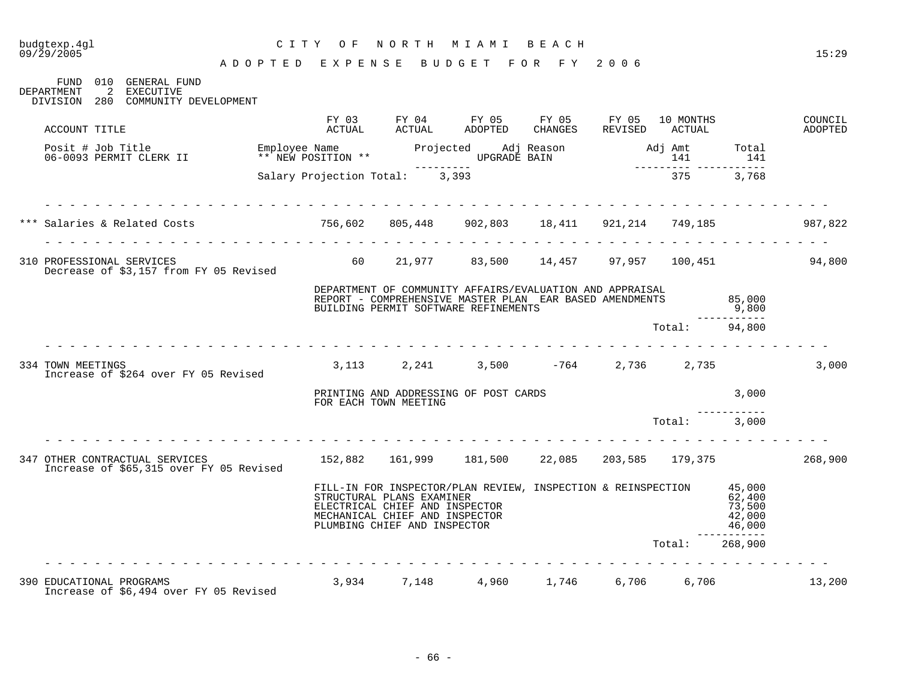#### budgtexp.4gl C I T Y O F N O R T H M I A M I B E A C H

| FUND 010 GENERAL FUND<br>2 EXECUTIVE<br>DEPARTMENT<br>DIVISION 280 COMMUNITY DEVELOPMENT                                           |                                    |                                |                                                                                                                                                                                               |  |                |                                                               |                    |
|------------------------------------------------------------------------------------------------------------------------------------|------------------------------------|--------------------------------|-----------------------------------------------------------------------------------------------------------------------------------------------------------------------------------------------|--|----------------|---------------------------------------------------------------|--------------------|
| ACCOUNT TITLE                                                                                                                      |                                    |                                |                                                                                                                                                                                               |  |                |                                                               | COUNCIL<br>ADOPTED |
| Posit # Job Title<br>COOP COOMTT CLERK II                                                                                          |                                    |                                |                                                                                                                                                                                               |  |                |                                                               |                    |
|                                                                                                                                    |                                    | Salary Projection Total: 3,393 |                                                                                                                                                                                               |  | 375            | 3,768                                                         |                    |
| *** Salaries & Related Costs                                  756,602     805,448       902,803     18,411     921,214     749,185 | .<br>rendere de la provincia de la |                                |                                                                                                                                                                                               |  |                |                                                               | 987,822            |
| 310 PROFESSIONAL SERVICES<br>Decrease of \$3,157 from FY 05 Revised                                                                |                                    |                                | 60 21,977 83,500 14,457 97,957 100,451                                                                                                                                                        |  |                |                                                               | 94,800             |
|                                                                                                                                    |                                    |                                | DEPARTMENT OF COMMUNITY AFFAIRS/EVALUATION AND APPRAISAL<br>REPORT - COMPREHENSIVE MASTER PLAN EAR BASED AMENDMENTS<br>BUILDING PERMIT SOFTWARE REFINEMENTS                                   |  |                | 85,000<br>9,800                                               |                    |
|                                                                                                                                    |                                    |                                |                                                                                                                                                                                               |  | Total: 94,800  | -----------                                                   |                    |
| 334 TOWN MEETINGS<br>Increase of \$264 over FY 05 Revised                                                                          |                                    |                                | $3,113$ $2,241$ $3,500$ $-764$ $2,736$ $2,735$                                                                                                                                                |  |                |                                                               | 3,000              |
|                                                                                                                                    |                                    |                                | PRINTING AND ADDRESSING OF POST CARDS<br>FOR EACH TOWN MEETING                                                                                                                                |  |                | 3,000                                                         |                    |
|                                                                                                                                    | .                                  |                                |                                                                                                                                                                                               |  | Total: 3,000   |                                                               |                    |
| 347 OTHER CONTRACTUAL SERVICES<br>Increase of \$65,315 over FY 05 Revised                                                          |                                    |                                | 152,882  161,999  181,500  22,085  203,585  179,375                                                                                                                                           |  |                |                                                               | 268,900            |
|                                                                                                                                    |                                    |                                | FILL-IN FOR INSPECTOR/PLAN REVIEW, INSPECTION & REINSPECTION<br>STRUCTURAL PLANS EXAMINER<br>ELECTRICAL CHIEF AND INSPECTOR<br>MECHANICAL CHIEF AND INSPECTOR<br>PLUMBING CHIEF AND INSPECTOR |  |                | 45,000<br>62,400<br>73,500<br>42,000<br>46,000<br>----------- |                    |
|                                                                                                                                    |                                    |                                |                                                                                                                                                                                               |  | Total: 268,900 |                                                               |                    |
| 390 EDUCATIONAL PROGRAMS (3,934 7,148 4,960 1,746 6,706 6,706<br>Increase of \$6,494 over FY 05 Revised                            |                                    |                                |                                                                                                                                                                                               |  |                |                                                               | 13,200             |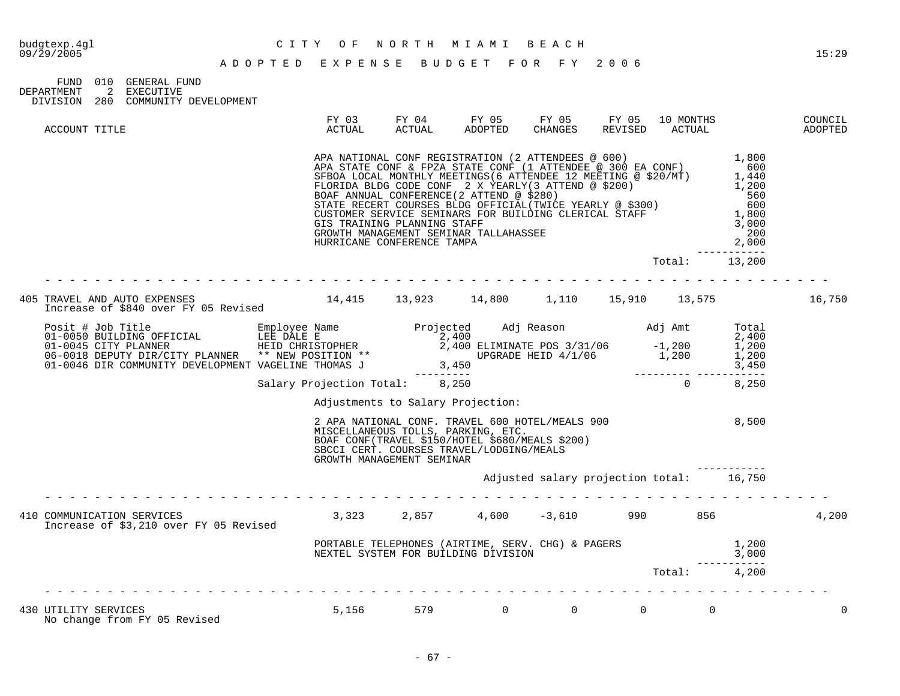| FIND 010   |     | GENERAL FUND          |
|------------|-----|-----------------------|
| DEPARTMENT |     | EXECUTIVE             |
| DIVISION   | 280 | COMMUNITY DEVELOPMENT |

| ACCOUNT TITLE                                                                                                                                                                                                                          | FY 03<br>ACTUAL                                                                                                                                                                                                                                                                                                                            | <b>ACTUAL</b> | ADOPTED | FY 04 FY 05 FY 05 FY 05 10 MONTHS<br>CHANGES | REVISED        | ACTUAL            |                                          | COUNCIL<br>ADOPTED |
|----------------------------------------------------------------------------------------------------------------------------------------------------------------------------------------------------------------------------------------|--------------------------------------------------------------------------------------------------------------------------------------------------------------------------------------------------------------------------------------------------------------------------------------------------------------------------------------------|---------------|---------|----------------------------------------------|----------------|-------------------|------------------------------------------|--------------------|
|                                                                                                                                                                                                                                        | APA NATIONAL CONF REGISTRATION (2 ATTENDEES @ 600)<br>APA STATE CONF & FPZA STATE CONF (1 ATTENDEE @ 300 EA CONF) 600<br>SFBOA LOCAL MONTHLY MEETINGS (6 ATTENDEE 12 MEETING @ \$20/MT) 1,440<br>FLORIDA BLDG CODE CONF 2 X YEARLY (<br>GIS TRAINING PLANNING STAFF<br>GROWTH MANAGEMENT SEMINAR TALLAHASSEE<br>HURRICANE CONFERENCE TAMPA |               |         |                                              |                |                   | 200<br>2,000<br>------------             |                    |
|                                                                                                                                                                                                                                        |                                                                                                                                                                                                                                                                                                                                            |               |         |                                              |                |                   | Total: 13,200                            |                    |
| 405 TRAVEL AND AUTO EXPENSES<br>Increase of \$840 over FY 05 Revised 14,415 13,923 14,800 1,110 15,910 13,575                                                                                                                          |                                                                                                                                                                                                                                                                                                                                            |               |         |                                              |                |                   |                                          | 16,750             |
| Posit # Job Title<br>01-0050 BUILDING OFFICIAL LEE DALE E<br>01-0045 CITY PLANNER HEID CHRISTOPHER<br>06-0018 DEPUTY DIR/CITY PLANNER ** NEW POSITION **<br>01-0046 DIR COMMUNITY DEVELOPMENT VAGELINE THOMAS J<br>2,400 ELIMINATE POS |                                                                                                                                                                                                                                                                                                                                            |               |         |                                              |                |                   |                                          |                    |
|                                                                                                                                                                                                                                        |                                                                                                                                                                                                                                                                                                                                            |               |         |                                              |                |                   |                                          |                    |
|                                                                                                                                                                                                                                        | Adjustments to Salary Projection:<br>2 APA NATIONAL CONF. TRAVEL 600 HOTEL/MEALS 900<br>MISCELLANEOUS TOLLS, PARKING, ETC.<br>BOAF CONF (TRAVEL \$150/HOTEL \$680/MEALS \$200)<br>SBCCI CERT. COURSES TRAVEL/LODGING/MEALS<br>GROWTH MANAGEMENT SEMINAR                                                                                    |               |         |                                              |                |                   | 8,500                                    |                    |
|                                                                                                                                                                                                                                        |                                                                                                                                                                                                                                                                                                                                            |               |         |                                              |                |                   | Adjusted salary projection total: 16,750 |                    |
| 410 COMMUNICATION SERVICES<br>Increase of \$3,210 over FY 05 Revised                                                                                                                                                                   | $3,323$ $2,857$ $4,600$ $-3,610$ 990 856                                                                                                                                                                                                                                                                                                   |               |         |                                              |                |                   |                                          | 4,200              |
|                                                                                                                                                                                                                                        | PORTABLE TELEPHONES (AIRTIME, SERV. CHG) & PAGERS [1,200]<br>NEXTEL SYSTEM FOR BUILDING DIVISION [200] NEXTEL SYSTEM FOR BUILDING DIVISION                                                                                                                                                                                                 |               |         |                                              |                |                   |                                          |                    |
|                                                                                                                                                                                                                                        |                                                                                                                                                                                                                                                                                                                                            |               |         |                                              |                |                   | Total: 4,200                             |                    |
| 430 UTILITY SERVICES<br>No change from FY 05 Revised                                                                                                                                                                                   | 5,156 579 0                                                                                                                                                                                                                                                                                                                                |               |         |                                              | $\overline{0}$ | $0 \qquad \qquad$ | $\Omega$                                 |                    |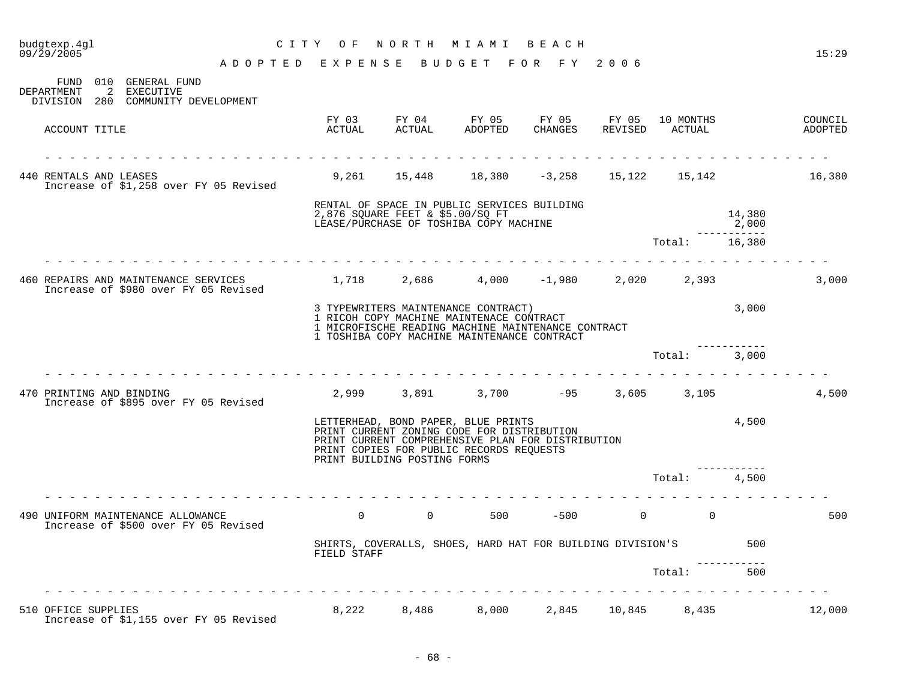| 09/29/2005                                                                               | ADOPTED EXPENSE BUDGET FOR FY 2006 |                                                                                                                   |                                                                                                                           |  |               |                 | 15:29              |
|------------------------------------------------------------------------------------------|------------------------------------|-------------------------------------------------------------------------------------------------------------------|---------------------------------------------------------------------------------------------------------------------------|--|---------------|-----------------|--------------------|
| FUND 010 GENERAL FUND<br>2 EXECUTIVE<br>DEPARTMENT<br>DIVISION 280 COMMUNITY DEVELOPMENT |                                    |                                                                                                                   |                                                                                                                           |  |               |                 |                    |
| ACCOUNT TITLE                                                                            |                                    |                                                                                                                   | FY 03 FY 04 FY 05 FY 05 FY 05 10 MONTHS<br>ACTUAL ACTUAL ADOPTED CHANGES REVISED ACTUAL                                   |  |               |                 | COUNCIL<br>ADOPTED |
| 440 RENTALS AND LEASES<br>Increase of \$1,258 over FY 05 Revised                         |                                    |                                                                                                                   | 9,261 15,448 18,380 -3,258 15,122 15,142 16,380                                                                           |  |               |                 |                    |
|                                                                                          |                                    |                                                                                                                   | RENTAL OF SPACE IN PUBLIC SERVICES BUILDING<br>2,876 SQUARE FEET & \$5.00/SQ FT<br>LEASE/PURCHASE OF TOSHIBA COPY MACHINE |  |               | 14,380<br>2,000 |                    |
|                                                                                          |                                    |                                                                                                                   |                                                                                                                           |  | Total: 16,380 | ___________     |                    |
| 460 REPAIRS AND MAINTENANCE SERVICES<br>Increase of \$980 over FY 05 Revised             |                                    | $1,718$ $2,686$ $4,000$ $-1,980$ $2,020$ $2,393$                                                                  |                                                                                                                           |  |               |                 | 3,000              |
|                                                                                          |                                    | 3 TYPEWRITERS MAINTENANCE CONTRACT)<br>1 RICOH COPY MACHINE MAINTENACE CONTRACT                                   | 1 MICROFISCHE READING MACHINE MAINTENANCE CONTRACT<br>1 TOSHIBA COPY MACHINE MAINTENANCE CONTRACT                         |  |               | 3,000           |                    |
|                                                                                          |                                    |                                                                                                                   |                                                                                                                           |  | Total: 3,000  |                 |                    |
| 470 PRINTING AND BINDING<br>Increase of \$895 over FY 05 Revised                         | .                                  |                                                                                                                   | $2,999$ $3,891$ $3,700$ $-95$ $3,605$ $3,105$                                                                             |  |               |                 | 4,500              |
|                                                                                          |                                    | LETTERHEAD, BOND PAPER, BLUE PRINTS<br>PRINT CURRENT ZONING CODE FOR DISTRIBUTION<br>PRINT BUILDING POSTING FORMS | PRINT CURRENT COMPREHENSIVE PLAN FOR DISTRIBUTION<br>PRINT COPIES FOR PUBLIC RECORDS REQUESTS                             |  | 4,500         |                 |                    |
|                                                                                          | .                                  |                                                                                                                   |                                                                                                                           |  | Total: 4,500  |                 |                    |
| 490 UNIFORM MAINTENANCE ALLOWANCE<br>Increase of \$500 over FY 05 Revised                |                                    |                                                                                                                   | $0$ 0 500 – 500 0 0                                                                                                       |  |               |                 | 500                |
|                                                                                          |                                    | FIELD STAFF                                                                                                       | SHIRTS, COVERALLS, SHOES, HARD HAT FOR BUILDING DIVISION'S                                                                |  |               | 500             |                    |
|                                                                                          |                                    |                                                                                                                   |                                                                                                                           |  | Total:        | 500             |                    |
| 510 OFFICE SUPPLIES<br>Increase of \$1,155 over FY 05 Revised                            |                                    |                                                                                                                   | 8,222 8,486 8,000 2,845 10,845 8,435                                                                                      |  |               |                 | 12,000             |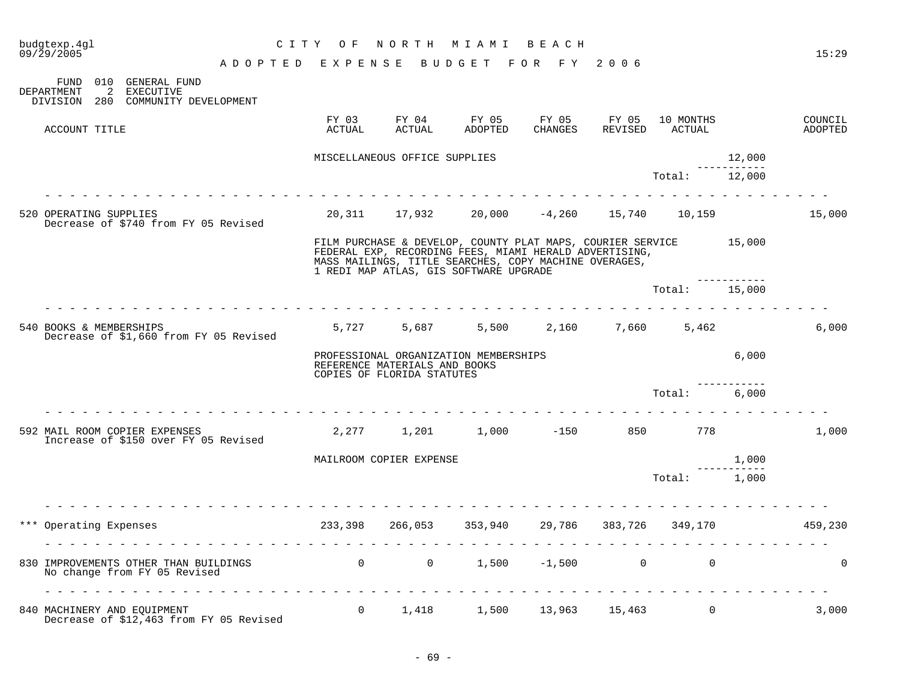| budgtexp.4gl<br>09/29/2005                                                                                     | CITY OF                                                              |                                                             | NORTH MIAMI BEACH                                                                                                                                                                                                              |                              |                             |        | 15:29              |
|----------------------------------------------------------------------------------------------------------------|----------------------------------------------------------------------|-------------------------------------------------------------|--------------------------------------------------------------------------------------------------------------------------------------------------------------------------------------------------------------------------------|------------------------------|-----------------------------|--------|--------------------|
|                                                                                                                | ADOPTED EXPENSE BUDGET FOR FY 2006                                   |                                                             |                                                                                                                                                                                                                                |                              |                             |        |                    |
| FUND 010 GENERAL FUND<br>2 EXECUTIVE<br>DEPARTMENT<br>DIVISION 280 COMMUNITY DEVELOPMENT                       |                                                                      |                                                             |                                                                                                                                                                                                                                |                              |                             |        |                    |
| ACCOUNT TITLE                                                                                                  | ACTUAL                                                               | FY 03 FY 04<br>ACTUAL                                       | ADOPTED                                                                                                                                                                                                                        | FY 05 FY 05 FY 05<br>CHANGES | 10 MONTHS<br>REVISED ACTUAL |        | COUNCIL<br>ADOPTED |
|                                                                                                                |                                                                      | MISCELLANEOUS OFFICE SUPPLIES                               |                                                                                                                                                                                                                                |                              |                             | 12,000 |                    |
|                                                                                                                |                                                                      |                                                             |                                                                                                                                                                                                                                |                              | Total: 12,000               |        |                    |
| .<br>520 OPERATING SUPPLIES<br>Decrease of \$740 from FY 05 Revised                                            |                                                                      |                                                             | $20,311$ 17,932 20,000 -4,260 15,740 10,159 15,000                                                                                                                                                                             |                              |                             |        |                    |
|                                                                                                                |                                                                      |                                                             | FILM PURCHASE & DEVELOP, COUNTY PLAT MAPS, COURIER SERVICE 15,000<br>FEDERAL EXP, RECORDING FEES, MIAMI HERALD ADVERTISING,<br>MASS MAILINGS, TITLE SEARCHES, COPY MACHINE OVERAGES,<br>1 REDI MAP ATLAS, GIS SOFTWARE UPGRADE |                              |                             |        |                    |
|                                                                                                                |                                                                      |                                                             |                                                                                                                                                                                                                                |                              | Total:                      | 15,000 |                    |
| <u>a la la la la la la la la la la la</u><br>540 BOOKS & MEMBERSHIPS<br>Decrease of \$1,660 from FY 05 Revised |                                                                      |                                                             | $5,727$ $5,687$ $5,500$ $2,160$ $7,660$ $5,462$                                                                                                                                                                                |                              |                             |        | 6,000              |
|                                                                                                                |                                                                      | REFERENCE MATERIALS AND BOOKS<br>COPIES OF FLORIDA STATUTES | PROFESSIONAL ORGANIZATION MEMBERSHIPS                                                                                                                                                                                          |                              |                             | 6,000  |                    |
|                                                                                                                |                                                                      |                                                             |                                                                                                                                                                                                                                |                              | Total: 6,000                |        |                    |
| 592 MAIL ROOM COPIER EXPENSES<br>Increase of \$150 over FY 05 Revised                                          |                                                                      |                                                             | $2,277$ $1,201$ $1,000$ $-150$ $850$ $778$                                                                                                                                                                                     |                              |                             |        | 1,000              |
|                                                                                                                |                                                                      | MAILROOM COPIER EXPENSE                                     |                                                                                                                                                                                                                                |                              |                             | 1,000  |                    |
|                                                                                                                |                                                                      |                                                             |                                                                                                                                                                                                                                |                              | Total: 1,000                |        |                    |
| Operating Expenses                                                                                             | $233,398$ $266,053$ $353,940$ $29,786$ $383,726$ $349,170$ $459,230$ |                                                             |                                                                                                                                                                                                                                |                              |                             |        |                    |
| 830 IMPROVEMENTS OTHER THAN BUILDINGS 0 0 0 1,500 -1,500 0 0 0<br>No change from FY 05 Revised                 |                                                                      |                                                             |                                                                                                                                                                                                                                |                              |                             |        | $\mathbf{0}$       |
| 840 MACHINERY AND EQUIPMENT<br>Decrease of \$12,463 from FY 05 Revised                                         |                                                                      |                                                             | 0 1,418 1,500 13,963 15,463 0                                                                                                                                                                                                  |                              |                             |        | 3,000              |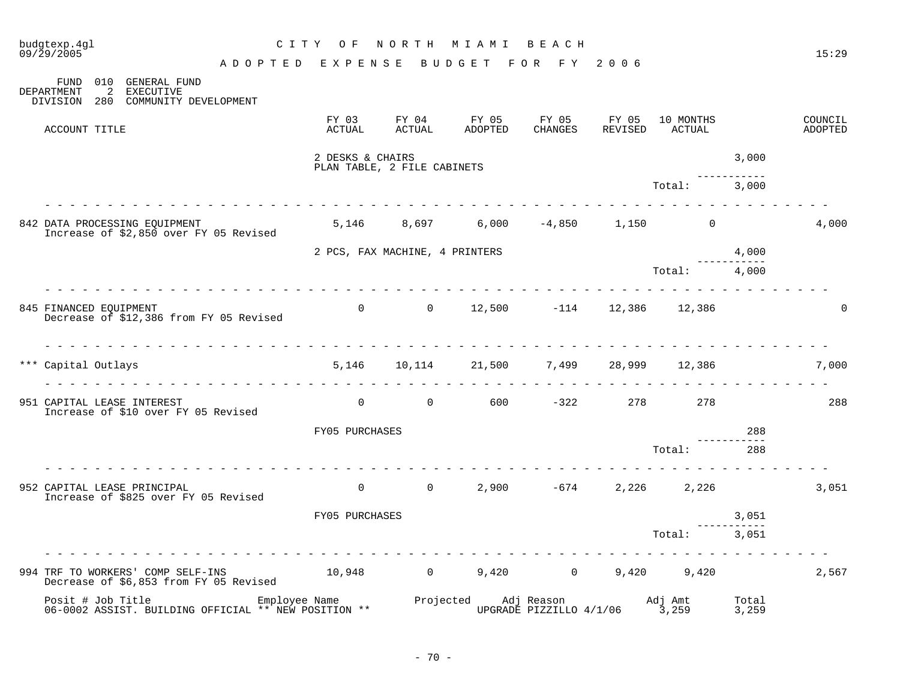|  | budgtexp.4ql<br>09/29/2005      |                                                                             | CITY OF                                         |                                 | NORTH MIAMI BEACH               |                            |                  |                     |                     | 15:29              |
|--|---------------------------------|-----------------------------------------------------------------------------|-------------------------------------------------|---------------------------------|---------------------------------|----------------------------|------------------|---------------------|---------------------|--------------------|
|  |                                 |                                                                             | ADOPTED EXPENSE                                 |                                 | BUDGET FOR FY 2006              |                            |                  |                     |                     |                    |
|  | 2<br>DEPARTMENT<br>DIVISION 280 | FUND 010 GENERAL FUND<br><b>EXECUTIVE</b><br>COMMUNITY DEVELOPMENT          |                                                 |                                 |                                 |                            |                  |                     |                     |                    |
|  | ACCOUNT TITLE                   |                                                                             | FY 03<br>ACTUAL                                 | FY 04<br>ACTUAL                 | FY 05<br>ADOPTED                | FY 05<br>CHANGES           | FY 05<br>REVISED | 10 MONTHS<br>ACTUAL |                     | COUNCIL<br>ADOPTED |
|  |                                 |                                                                             | 2 DESKS & CHAIRS<br>PLAN TABLE, 2 FILE CABINETS |                                 |                                 |                            |                  |                     | 3,000               |                    |
|  |                                 |                                                                             |                                                 |                                 |                                 |                            |                  | Total:              | 3,000               |                    |
|  |                                 | 842 DATA PROCESSING EQUIPMENT<br>Increase of \$2,850 over FY 05 Revised     |                                                 | 5,146 8,697                     |                                 | $6,000$ $-4,850$ $1,150$ 0 |                  |                     |                     | 4,000              |
|  |                                 |                                                                             | 2 PCS, FAX MACHINE, 4 PRINTERS                  |                                 |                                 |                            |                  |                     | 4,000               |                    |
|  |                                 |                                                                             |                                                 |                                 |                                 |                            |                  | Total: 4,000        |                     |                    |
|  | 845 FINANCED EQUIPMENT          | Decrease of \$12,386 from FY 05 Revised                                     |                                                 |                                 | 0 0 12,500 $-114$ 12,386 12,386 |                            |                  |                     |                     | $\Omega$           |
|  | *** Capital Outlays             | .                                                                           | 5,146                                           |                                 | 10,114 21,500                   | 7,499                      | 28,999           | 12,386              |                     | 7,000              |
|  | 951 CAPITAL LEASE INTEREST      | Increase of \$10 over FY 05 Revised                                         |                                                 |                                 | 0 0 0 600 $-322$ 278 278        |                            |                  |                     |                     | 288                |
|  |                                 |                                                                             | FY05 PURCHASES                                  |                                 |                                 |                            |                  |                     | 288<br>------------ |                    |
|  |                                 |                                                                             |                                                 |                                 |                                 |                            |                  | Total:              | 288                 |                    |
|  | 952 CAPITAL LEASE PRINCIPAL     | Increase of \$825 over FY 05 Revised                                        |                                                 | $\begin{matrix}0&0\end{matrix}$ |                                 | $2,900 -674$               |                  | 2,226 2,226         |                     | 3,051              |
|  |                                 |                                                                             | FY05 PURCHASES                                  |                                 |                                 |                            |                  |                     | 3,051               |                    |
|  |                                 |                                                                             |                                                 |                                 |                                 |                            |                  | Total:              | 3,051               |                    |
|  |                                 | 994 TRF TO WORKERS' COMP SELF-INS<br>Decrease of \$6,853 from FY 05 Revised | $10,948$ 0 9,420 0 9,420 9,420 9,420            |                                 |                                 |                            |                  |                     |                     | 2,567              |
|  |                                 | Posit # Job Title<br>06-0002 ASSIST. BUILDING OFFICIAL ** NEW POSITION **   |                                                 |                                 |                                 |                            |                  |                     |                     |                    |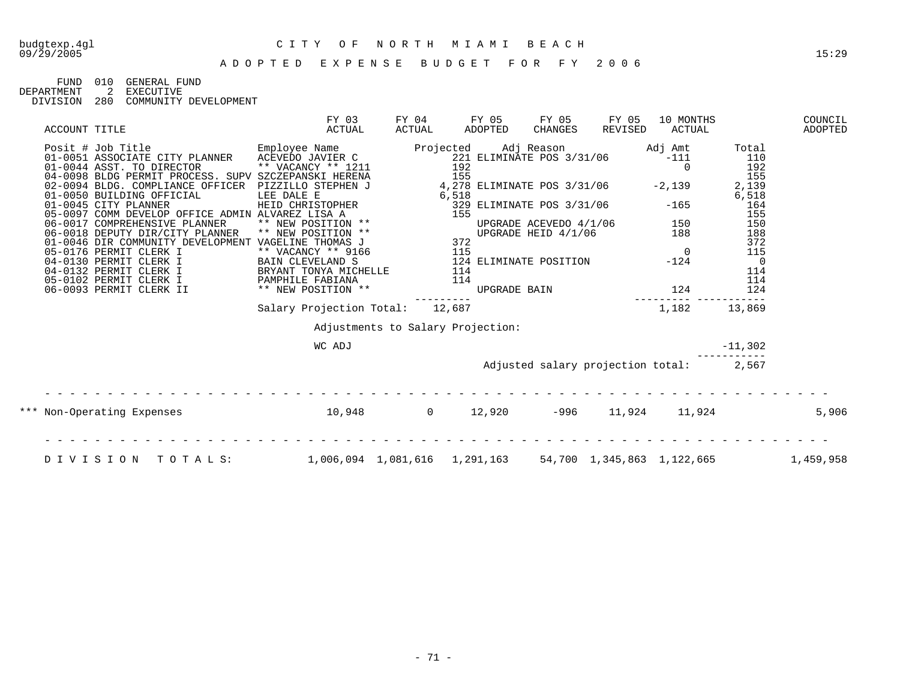FUND 010 GENERAL FUND<br>DEPARTMENT 2 EXECUTIVE

DEPARTMENT 2 EXECUTIVE

DIVISION 280 COMMUNITY DEVELOPMENT

| ACCOUNT TITLE                                                                                                                                                                                                                        | FY 03<br>ACTUAL                                                                     | FY 04<br>ACTUAL | FY 05<br>ADOPTED                                  | FY 05<br>CHANGES | FY 05<br>REVISED                                      | 10 MONTHS<br>ACTUAL                     |                     | COUNCIL<br>ADOPTED |
|--------------------------------------------------------------------------------------------------------------------------------------------------------------------------------------------------------------------------------------|-------------------------------------------------------------------------------------|-----------------|---------------------------------------------------|------------------|-------------------------------------------------------|-----------------------------------------|---------------------|--------------------|
| Posit # Job Title<br>01-0051 ASSOCIATE CITY PLANNER<br>01-0044 ASST. TO DIRECTOR<br>01-0044 ASST. TO DIRECTOR<br>221 ELIMINATE POS 3/31/06<br>01-0044 ASST. TO DIRECTOR<br>221 ELIMINATE POS 3/31/06                                 |                                                                                     |                 |                                                   |                  |                                                       | Adj Amt<br>$-111$<br>$\overline{0}$     | Total<br>110<br>192 |                    |
| 04-0098 BLDG PERMIT PROCESS. SUPV SZCZEPANSKI HERENA                                                                                                                                                                                 |                                                                                     |                 | 155                                               |                  |                                                       |                                         | 155                 |                    |
| 02-0094 BLDG. COMPLIANCE OFFICER PIZZILLO STEPHEN J                                                                                                                                                                                  |                                                                                     |                 | $4,278$ ELIMINATE POS $3/31/06$ -2,139            |                  |                                                       |                                         | 2,139               |                    |
| 01-0050 BUILDING OFFICIAL<br>01-0045 CITY PLANNER                                                                                                                                                                                    | LEE DALE E<br>HEID CHRISTOPHER                                                      |                 | 6,518<br>,318<br>329 ELIMINATE POS 3/31/06<br>155 |                  |                                                       | $-165$                                  | 6,518<br>164        |                    |
|                                                                                                                                                                                                                                      |                                                                                     |                 |                                                   |                  |                                                       |                                         | 155                 |                    |
| 05-0097 COMM DEVELOP OFFICE ADMIN ALVAREZ LISA A<br>06-0017 COMPREHENSIVE PLANNER ** NEW POSITION **<br>06-0018 DEPUTY DIR/CITY PLANNER ** NEW POSITION **<br>01-0046 DIR COMMUNITY DEVELOPMENT VAGELINE THOMAS J<br>05-0146 DEPMITY |                                                                                     |                 |                                                   |                  | UPGRADE ACEVEDO 4/1/06 150<br>UPGRADE HEID 4/1/06 188 |                                         | 150                 |                    |
|                                                                                                                                                                                                                                      |                                                                                     |                 |                                                   |                  |                                                       |                                         | 188                 |                    |
| 05-0176 PERMIT CLERK I                                                                                                                                                                                                               | ** VACANCY ** 9166 115                                                              |                 |                                                   |                  |                                                       | $\overline{0}$                          | 372<br>115          |                    |
| 04-0130 PERMIT CLERK I                                                                                                                                                                                                               |                                                                                     |                 |                                                   |                  |                                                       |                                         | $\overline{0}$      |                    |
| 04-0132 PERMIT CLERK I                                                                                                                                                                                                               | ** VACANCY ** 9166<br>BAIN CLEVELAND S<br>BRYANT TONYA MICHELLE<br>PAMPHILE FABIANA |                 |                                                   |                  |                                                       |                                         | 114                 |                    |
| 05-0102 PERMIT CLERK I                                                                                                                                                                                                               |                                                                                     |                 |                                                   |                  |                                                       |                                         | 114                 |                    |
| 06-0093 PERMIT CLERK II                                                                                                                                                                                                              | ** NEW POSITION **                                                                  |                 |                                                   |                  |                                                       |                                         | 124                 |                    |
|                                                                                                                                                                                                                                      | Salary Projection Total:                                                            |                 | 12,687                                            |                  |                                                       | 1,182                                   | ------<br>13,869    |                    |
|                                                                                                                                                                                                                                      |                                                                                     |                 | Adjustments to Salary Projection:                 |                  |                                                       |                                         |                     |                    |
|                                                                                                                                                                                                                                      | WC ADJ                                                                              |                 |                                                   |                  |                                                       |                                         | $-11,302$           |                    |
|                                                                                                                                                                                                                                      |                                                                                     |                 |                                                   |                  |                                                       | Adjusted salary projection total: 2,567 |                     |                    |
|                                                                                                                                                                                                                                      |                                                                                     |                 |                                                   |                  |                                                       |                                         |                     |                    |
| *** Non-Operating Expenses                                                                                                                                                                                                           | $10,948$ 0 $12,920$                                                                 |                 |                                                   |                  |                                                       | $-996$ 11,924 11,924                    |                     | 5,906              |
|                                                                                                                                                                                                                                      |                                                                                     |                 |                                                   |                  |                                                       |                                         |                     |                    |
| DIVISION<br>TOTALS:                                                                                                                                                                                                                  |                                                                                     |                 | 1,006,094    1,081,616    1,291,163               |                  |                                                       | 54,700 1,345,863 1,122,665              |                     | 1,459,958          |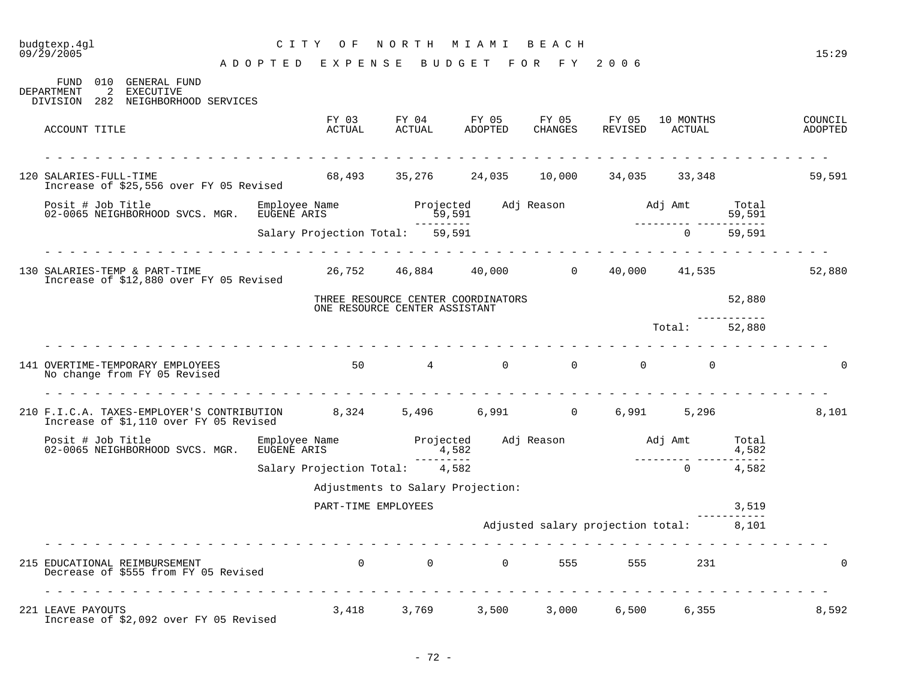## budgtexp.4gl C I T Y O F N O R T H M I A M I B E A C H

| 010<br>GENERAL FUND<br>FUND<br>2 EXECUTIVE<br><b>DEPARTMENT</b><br>DIVISION 282 NEIGHBORHOOD SERVICES                |                                                          |           |                                                       |                                         |                |        |                    |
|----------------------------------------------------------------------------------------------------------------------|----------------------------------------------------------|-----------|-------------------------------------------------------|-----------------------------------------|----------------|--------|--------------------|
| ACCOUNT TITLE                                                                                                        | ACTUAL                                                   | ACTUAL    | FY 03 FY 04 FY 05 FY 05 FY 05 10 MONTHS<br>ADOPTED    | CHANGES                                 | REVISED ACTUAL |        | COUNCIL<br>ADOPTED |
| 120 SALARIES-FULL-TIME                                                                                               |                                                          |           | $68,493$ $35,276$ $24,035$ $10,000$ $34,035$ $33,348$ |                                         |                |        | 59,591             |
| Increase of \$25,556 over FY 05 Revised                                                                              |                                                          |           |                                                       |                                         |                |        |                    |
| Posit # Job Title Bmployee Name<br>02-0065 NEIGHBORHOOD SVCS. MGR. EUGENE ARIS                                       | Employee Name Manuel Projected Adj Reason Madj Amt Total | 59,591    |                                                       |                                         |                | 59,591 |                    |
|                                                                                                                      | Salary Projection Total: 59,591                          |           |                                                       |                                         | $\Omega$       | 59,591 |                    |
| 130 SALARIES-TEMP & PART-TIME<br>Increase of \$12,880 over FY 05 Revised                                             | $26,752$ $46,884$ $40,000$ 00 $40,000$ $41,535$          |           |                                                       |                                         |                |        | 52,880             |
|                                                                                                                      | ONE RESOURCE CENTER ASSISTANT                            |           | THREE RESOURCE CENTER COORDINATORS                    |                                         |                | 52,880 |                    |
|                                                                                                                      |                                                          |           |                                                       |                                         | Total: 52,880  |        |                    |
| 141 OVERTIME-TEMPORARY EMPLOYEES<br>No change from FY 05 Revised                                                     | $50 \qquad 4 \qquad 0 \qquad 0 \qquad 0 \qquad 0$        |           |                                                       |                                         |                |        |                    |
| 210 F.I.C.A. TAXES-EMPLOYER'S CONTRIBUTION 8,324 5,496 6,991 0 6,991 5,296<br>Increase of \$1,110 over FY 05 Revised |                                                          |           |                                                       |                                         |                |        | 8,101              |
| Posit # Job Title<br>02-0065 NEIGHBORHOOD SVCS. MGR.                                                                 | Employee Name<br>EUGENE ARIS                             | 4,582     | Projected Adj Reason Madj Amt Total                   |                                         |                | 4,582  |                    |
|                                                                                                                      | Salary Projection Total: 4,582                           | --------- |                                                       |                                         | $\overline{0}$ | 4,582  |                    |
|                                                                                                                      |                                                          |           | Adjustments to Salary Projection:                     |                                         |                |        |                    |
|                                                                                                                      | PART-TIME EMPLOYEES                                      |           |                                                       |                                         |                | 3,519  |                    |
|                                                                                                                      |                                                          |           |                                                       | Adjusted salary projection total: 8,101 |                |        |                    |
| 215 EDUCATIONAL REIMBURSEMENT<br>Decrease of \$555 from FY 05 Revised                                                |                                                          |           | 0 0 0 555 555                                         |                                         | 231            |        | 0                  |
| 221 LEAVE PAYOUTS<br>Increase of \$2,092 over FY 05 Revised                                                          |                                                          |           | 3,418 3,769 3,500 3,000 6,500 6,355                   |                                         |                |        | 8,592              |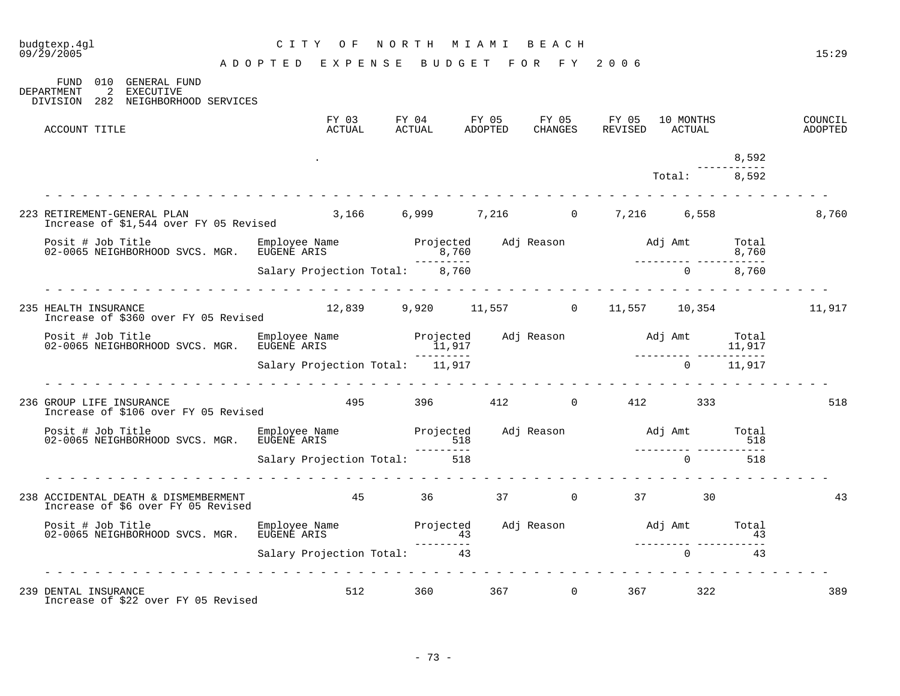| 09/29/2005 |                                                                                                                                                                                                       | ADOPTED EXPENSE BUDGET FOR FY 2006           |  |  |                                                                                         |              |             | 15:29              |
|------------|-------------------------------------------------------------------------------------------------------------------------------------------------------------------------------------------------------|----------------------------------------------|--|--|-----------------------------------------------------------------------------------------|--------------|-------------|--------------------|
| DEPARTMENT | FUND 010 GENERAL FUND<br>2 EXECUTIVE<br>DIVISION 282 NEIGHBORHOOD SERVICES                                                                                                                            |                                              |  |  |                                                                                         |              |             |                    |
|            | ACCOUNT TITLE                                                                                                                                                                                         |                                              |  |  | FY 03 FY 04 FY 05 FY 05 FY 05 10 MONTHS<br>ACTUAL ACTUAL ADOPTED CHANGES REVISED ACTUAL |              |             | COUNCIL<br>ADOPTED |
|            |                                                                                                                                                                                                       |                                              |  |  |                                                                                         |              | 8,592       |                    |
|            |                                                                                                                                                                                                       |                                              |  |  |                                                                                         | Total: 8,592 | ----------- |                    |
|            |                                                                                                                                                                                                       |                                              |  |  |                                                                                         |              |             | 8,760              |
|            | Projected Adj Reason Maj Amt Total Employee Name Projected Adj Reason Adj Amt Total 8,760<br>18,760 12-0065 NEIGHBORHOOD SVCS. MGR. EUGENE ARIS<br>19,760 12-0065 NEIGHBORHOOD SVCS. MGR. EUGENE ARIS |                                              |  |  |                                                                                         |              |             |                    |
|            |                                                                                                                                                                                                       |                                              |  |  |                                                                                         |              |             |                    |
|            | 235 HEALTH INSURANCE<br>Increase of \$360 over FY 05 Revised                                                                                                                                          | $12,839$ 9,920 11,557 0 11,557 10,354 11,917 |  |  |                                                                                         |              |             |                    |
|            | Posit # Job Title Employee Name Projected Adj Reason Adj Amt Total<br>11,917 11,917 11,917<br>Salary Projection Total: 11,917 11,917 11,917                                                           |                                              |  |  |                                                                                         |              |             |                    |
|            |                                                                                                                                                                                                       |                                              |  |  |                                                                                         |              |             |                    |
|            | 236 GROUP LIFE INSURANCE<br>Increase of \$106 over FY 05 Revised                                                                                                                                      |                                              |  |  | 495 396 412 0 412 333                                                                   |              |             | 518                |
|            | Posit # Job Title<br>02-0065 NEIGHBORHOOD SVCS. MGR. EUGENE ARIS                                                                                                                                      |                                              |  |  |                                                                                         |              |             |                    |
|            |                                                                                                                                                                                                       |                                              |  |  |                                                                                         |              |             |                    |
|            | 238 ACCIDENTAL DEATH & DISMEMBERMENT<br>Increase of S6 over FY 05 Revised<br>19 Therease of S6 over FY 05 Revised<br>Increase of \$6 over FY 05 Revised                                               |                                              |  |  |                                                                                         | 30           |             | 43                 |
|            | Posit # Job Title Employee Name Projected Adj Reason Adj Amt Total<br>13 43<br>Salary Projection Total: Total: 13 13<br>3 43 --------- Salary Projection Total: 13                                    |                                              |  |  |                                                                                         |              |             |                    |
|            |                                                                                                                                                                                                       |                                              |  |  |                                                                                         |              |             |                    |
|            | 239 DENTAL INSURANCE<br>Increase of \$22 over FY 05 Revised                                                                                                                                           |                                              |  |  | 512 360 367 0 367 322                                                                   |              |             | 389                |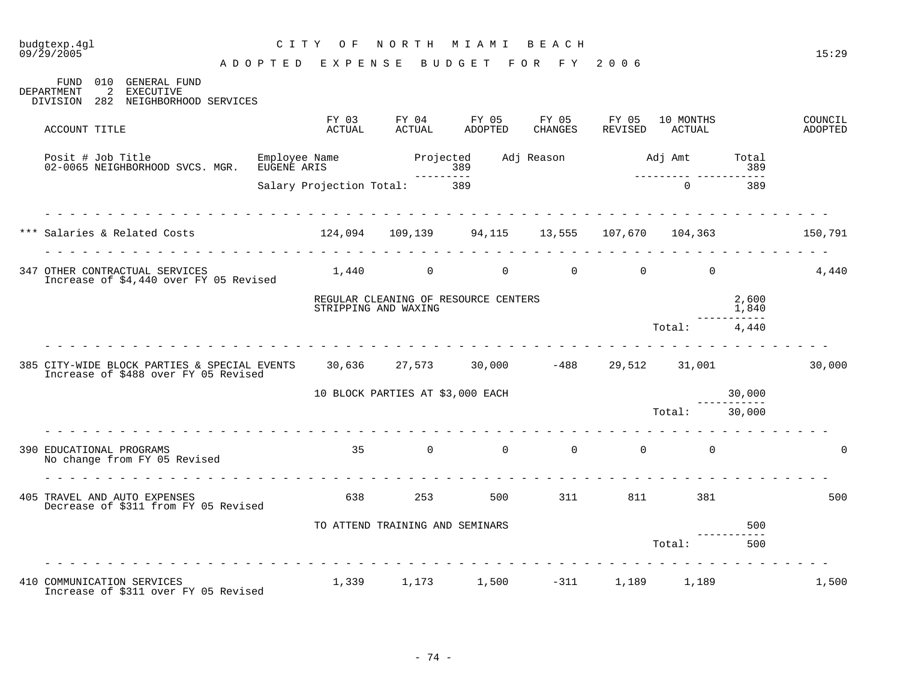| budgtexp.4gl<br>09/29/2005                                                                                                   | CITY OF<br>ADOPTED EXPENSE BUDGET FOR FY 2006 | NORTH                | M I A M I                                                               | BEACH |                 |                          |                       | 15:29              |
|------------------------------------------------------------------------------------------------------------------------------|-----------------------------------------------|----------------------|-------------------------------------------------------------------------|-------|-----------------|--------------------------|-----------------------|--------------------|
| FUND 010 GENERAL FUND<br>2 EXECUTIVE<br>DEPARTMENT<br>DIVISION 282 NEIGHBORHOOD SERVICES                                     |                                               |                      |                                                                         |       |                 |                          |                       |                    |
| ACCOUNT TITLE                                                                                                                | FY 03<br>ACTUAL                               | ACTUAL               | FY 04 FY 05 FY 05 FY 05<br>ADOPTED                                      |       | CHANGES REVISED | 10 MONTHS<br>ACTUAL      |                       | COUNCIL<br>ADOPTED |
| Posit # Job Title<br>02-0065 NEIGHBORHOOD SVCS. MGR. EUGENE ARIS                                                             | Employee Name                                 |                      |                                                                         |       |                 | ________________________ |                       |                    |
|                                                                                                                              | Salary Projection Total: 389                  |                      |                                                                         |       |                 | $\Omega$                 | 389                   |                    |
|                                                                                                                              |                                               |                      |                                                                         |       |                 |                          |                       |                    |
| Salaries & Related Costs 150,791 124,094 109,139 94,115 13,555 107,670 104,363 150,791                                       |                                               |                      |                                                                         |       |                 |                          |                       |                    |
| 347 OTHER CONTRACTUAL SERVICES<br>Increase of \$4,440 over FY 05 Revised                                                     |                                               |                      | $1,440 \qquad \qquad 0 \qquad \qquad 0 \qquad \qquad 0 \qquad \qquad 0$ |       |                 |                          |                       | 4,440              |
|                                                                                                                              |                                               | STRIPPING AND WAXING | REGULAR CLEANING OF RESOURCE CENTERS                                    |       |                 |                          | 2,600<br>1,840        |                    |
|                                                                                                                              |                                               |                      |                                                                         |       |                 | Total: 4.440             |                       |                    |
| 385 CITY-WIDE BLOCK PARTIES & SPECIAL EVENTS 30,636 27,573 30,000 -488 29,512 31,001<br>Increase of \$488 over FY 05 Revised |                                               |                      |                                                                         |       |                 |                          |                       | 30,000             |
|                                                                                                                              | 10 BLOCK PARTIES AT \$3,000 EACH              |                      |                                                                         |       |                 |                          | 30,000<br>----------- |                    |
|                                                                                                                              |                                               |                      |                                                                         |       |                 | Total: 30,000            |                       |                    |
| 390 EDUCATIONAL PROGRAMS<br>No change from FY 05 Revised                                                                     |                                               |                      | $35$ 0 0 0 0 0 0                                                        |       |                 |                          |                       | $\Omega$           |
| 405 TRAVEL AND AUTO EXPENSES<br>Decrease of \$311 from FY 05 Revised                                                         |                                               | 638 — 100            | 253 500 311 811 381                                                     |       |                 |                          |                       | 500                |
|                                                                                                                              |                                               |                      | TO ATTEND TRAINING AND SEMINARS                                         |       |                 |                          | 500                   |                    |
|                                                                                                                              |                                               |                      |                                                                         |       |                 | Total:                   | 500                   |                    |
| 410 COMMUNICATION SERVICES<br>Increase of \$311 over FY 05 Revised                                                           | 1,339                                         |                      | 1,173 1,500 -311                                                        |       |                 | 1,189 1,189              |                       | 1,500              |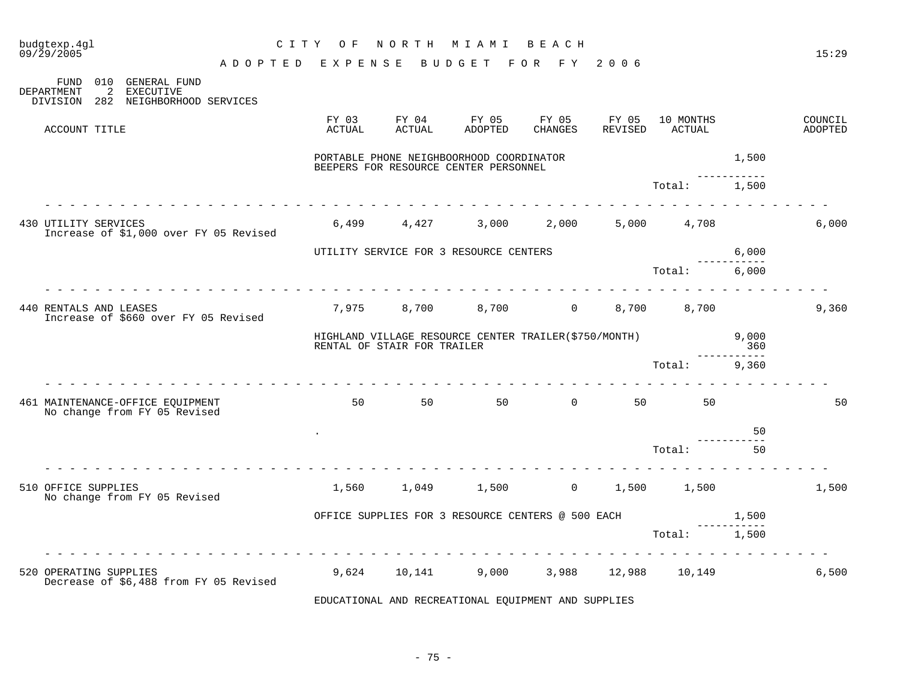| budgtexp.4gl<br>$09/\bar{2}9/2005$                                                                          | C I T Y<br>ADOPTED EXPENSE | O F             | NORTH                       | M I A M I<br>BUDGET                                                               | BEACH<br>FOR FY  | 2006             |                     |                               | 15:29              |
|-------------------------------------------------------------------------------------------------------------|----------------------------|-----------------|-----------------------------|-----------------------------------------------------------------------------------|------------------|------------------|---------------------|-------------------------------|--------------------|
| 010<br>GENERAL FUND<br>FUND<br><b>DEPARTMENT</b><br>2<br>EXECUTIVE<br>282 NEIGHBORHOOD SERVICES<br>DIVISION |                            |                 |                             |                                                                                   |                  |                  |                     |                               |                    |
| ACCOUNT TITLE                                                                                               |                            | FY 03<br>ACTUAL | FY 04<br>ACTUAL             | FY 05<br>ADOPTED                                                                  | FY 05<br>CHANGES | FY 05<br>REVISED | 10 MONTHS<br>ACTUAL |                               | COUNCIL<br>ADOPTED |
|                                                                                                             |                            |                 |                             | PORTABLE PHONE NEIGHBOORHOOD COORDINATOR<br>BEEPERS FOR RESOURCE CENTER PERSONNEL |                  |                  |                     | 1,500                         |                    |
|                                                                                                             |                            |                 |                             |                                                                                   |                  |                  | Total:              | 1,500                         |                    |
| 430 UTILITY SERVICES<br>Increase of \$1,000 over FY 05 Revised                                              |                            |                 |                             | 6,499 4,427 3,000                                                                 | 2,000            |                  | 5,000 4,708         |                               | 6,000              |
|                                                                                                             |                            |                 |                             | UTILITY SERVICE FOR 3 RESOURCE CENTERS                                            |                  |                  |                     | 6,000                         |                    |
|                                                                                                             |                            |                 |                             |                                                                                   |                  |                  | Total:              | 6,000                         |                    |
| 440 RENTALS AND LEASES<br>Increase of \$660 over FY 05 Revised                                              |                            | 7,975           | 8,700                       | 8,700                                                                             | $\overline{0}$   | 8,700            | 8,700               |                               | 9,360              |
|                                                                                                             |                            |                 | RENTAL OF STAIR FOR TRAILER | HIGHLAND VILLAGE RESOURCE CENTER TRAILER(\$750/MONTH)                             |                  |                  |                     | 9,000<br>360<br>$- - - - - -$ |                    |
|                                                                                                             |                            |                 |                             |                                                                                   |                  |                  | Total:              | 9,360                         |                    |
| 461 MAINTENANCE-OFFICE EQUIPMENT<br>No change from FY 05 Revised                                            |                            | 50              |                             | 50 50                                                                             | $\overline{0}$   | 50               | 50                  |                               | 50                 |
|                                                                                                             |                            |                 |                             |                                                                                   |                  |                  |                     | 50                            |                    |
|                                                                                                             |                            |                 |                             |                                                                                   |                  |                  | Total:              | 50                            |                    |
| 510 OFFICE SUPPLIES<br>No change from FY 05 Revised                                                         |                            | 1,560           | 1,049                       |                                                                                   | $1,500$ 0        | 1,500            | 1,500               |                               | 1,500              |
|                                                                                                             |                            |                 |                             | OFFICE SUPPLIES FOR 3 RESOURCE CENTERS @ 500 EACH                                 |                  |                  |                     | 1,500                         |                    |
|                                                                                                             |                            |                 |                             |                                                                                   |                  |                  | Total:              | 1,500                         |                    |
| 520 OPERATING SUPPLIES<br>Decrease of \$6,488 from FY 05 Revised                                            |                            | 9,624           | 10,141                      | 9,000                                                                             |                  |                  | 3,988 12,988 10,149 |                               | 6,500              |

EDUCATIONAL AND RECREATIONAL EQUIPMENT AND SUPPLIES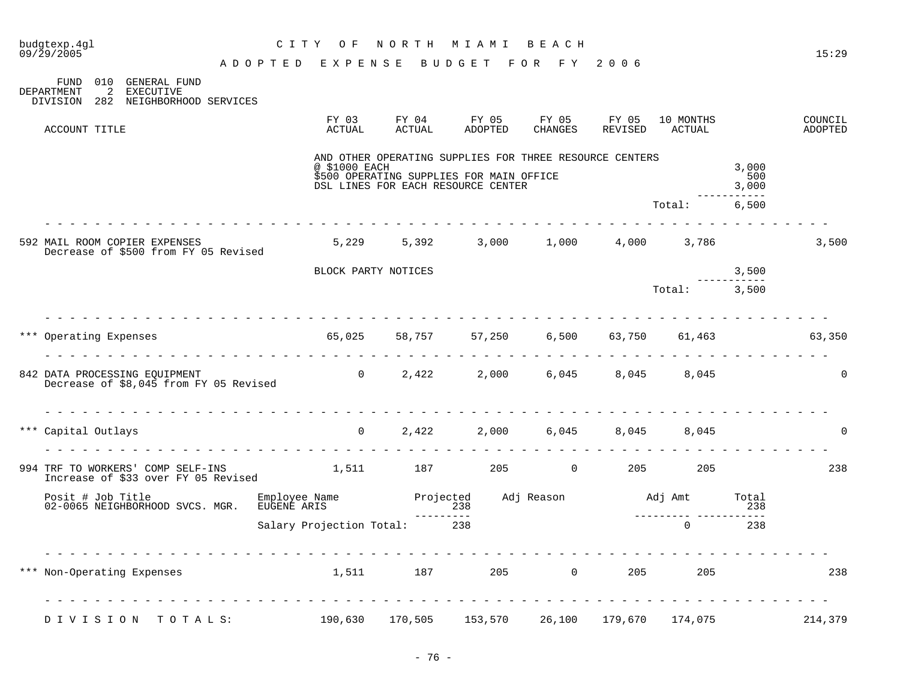| budgtexp.4gl<br>09/29/2005                                                                      | C I T Y<br>O F                     | NORTH MIAMI     |                                                                                                                                           | BEACH            |                  |                     |                       | 15:29              |
|-------------------------------------------------------------------------------------------------|------------------------------------|-----------------|-------------------------------------------------------------------------------------------------------------------------------------------|------------------|------------------|---------------------|-----------------------|--------------------|
|                                                                                                 | ADOPTED EXPENSE BUDGET FOR FY 2006 |                 |                                                                                                                                           |                  |                  |                     |                       |                    |
| 010 GENERAL FUND<br>FUND<br>2<br>EXECUTIVE<br>DEPARTMENT<br>DIVISION 282 NEIGHBORHOOD SERVICES  |                                    |                 |                                                                                                                                           |                  |                  |                     |                       |                    |
| ACCOUNT TITLE                                                                                   | FY 03<br>ACTUAL                    | FY 04<br>ACTUAL | FY 05<br>ADOPTED                                                                                                                          | FY 05<br>CHANGES | FY 05<br>REVISED | 10 MONTHS<br>ACTUAL |                       | COUNCIL<br>ADOPTED |
|                                                                                                 | @ \$1000 EACH                      |                 | AND OTHER OPERATING SUPPLIES FOR THREE RESOURCE CENTERS<br>\$500 OPERATING SUPPLIES FOR MAIN OFFICE<br>DSL LINES FOR EACH RESOURCE CENTER |                  |                  |                     | 3,000<br>500<br>3,000 |                    |
|                                                                                                 |                                    |                 |                                                                                                                                           |                  |                  | Total:              | 6,500                 |                    |
| 592 MAIL ROOM COPIER EXPENSES<br>Decrease of \$500 from FY 05 Revised                           | 5,229                              | 5,392           | 3,000                                                                                                                                     | 1,000            |                  | 4,000 3,786         |                       | 3,500              |
|                                                                                                 | BLOCK PARTY NOTICES                |                 |                                                                                                                                           |                  |                  |                     | 3,500                 |                    |
|                                                                                                 |                                    |                 |                                                                                                                                           |                  |                  | Total: 3,500        |                       |                    |
| *** Operating Expenses 65,025 58,757 57,250 6,500                                               |                                    |                 |                                                                                                                                           |                  |                  | 63,750 61,463       |                       | 63,350             |
|                                                                                                 |                                    |                 |                                                                                                                                           |                  |                  |                     |                       |                    |
| 842 DATA PROCESSING EQUIPMENT 6,045 6,045 8,045 8,045<br>Decrease of \$8,045 from FY 05 Revised |                                    |                 |                                                                                                                                           |                  |                  |                     |                       | $\Omega$           |
| *** Capital Outlays                                                                             | $\overline{0}$                     | 2,422           |                                                                                                                                           | 2,000 6,045      | 8,045<br>.       | 8,045               |                       | $\Omega$           |
| 994 TRF TO WORKERS' COMP SELF-INS<br>Increase of \$33 over FY 05 Revised                        | 1,511 187 205 0 205 205            |                 |                                                                                                                                           |                  |                  |                     |                       | 238                |
| Posit # Job Title Employee Name<br>02-0065 NEIGHBORHOOD SVCS. MGR. EUGENE ARIS                  |                                    | ----------      | Projected Adj Reason Madj Amt                                                                                                             |                  |                  |                     | Total<br>238          |                    |
|                                                                                                 | Salary Projection Total: 238       |                 | $\frac{238}{238}$                                                                                                                         |                  |                  | $\Omega$            | 238                   |                    |
| rendere de la rendere di<br>Non-Operating Expenses 1,511 187 205 0                              |                                    |                 |                                                                                                                                           |                  |                  | 205                 | 205                   | 238                |
|                                                                                                 |                                    |                 |                                                                                                                                           |                  |                  |                     |                       |                    |
| DIVISION TOTALS:                                                                                | 190,630                            | 170,505         | 153,570                                                                                                                                   | 26,100           | 179,670          | 174,075             |                       | 214,379            |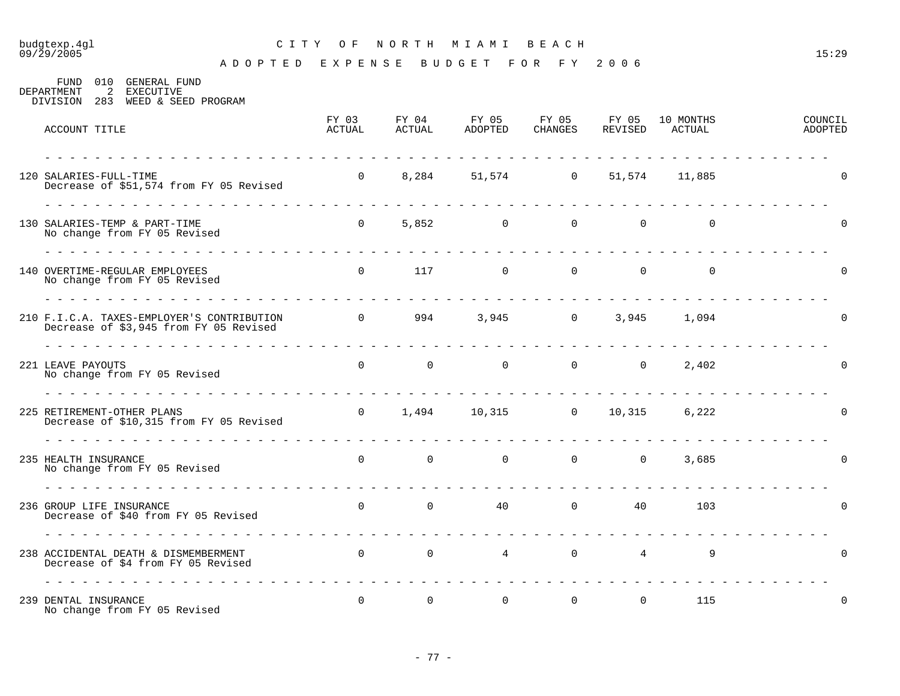#### budgtexp.4gl C I T Y O F N O R T H M I A M I B E A C H 09/29/2005 15:29

A D O P T E D E X P E N S E B U D G E T F O R F Y 2 0 0 6

FUND 010 GENERAL FUND DEPARTMENT 2 EXECUTIVE DIVISION 283 WEED & SEED PROGRAM FY 03 FY 04 FY 05 FY 05 FY 05 10 MONTHS COUNCIL ACCOUNT TITLE ACTUAL ACTUAL ADOPTED CHANGES REVISED ACTUAL ADOPTED - - - - - - - - - - - - - - - - - - - - - - - - - - - - - - - - - - - - - - - - - - - - - - - - - - - - - - - - - - - - - - - 120 SALARIES-FULL-TIME 0 8,284 51,574 0 51,574 11,885 0 Decrease of \$51,574 from FY 05 Revised - - - - - - - - - - - - - - - - - - - - - - - - - - - - - - - - - - - - - - - - - - - - - - - - - - - - - - - - - - - - - - - 130 SALARIES-TEMP & PART-TIME 0 5,852 0 0 0 0 0 No change from FY 05 Revised - - - - - - - - - - - - - - - - - - - - - - - - - - - - - - - - - - - - - - - - - - - - - - - - - - - - - - - - - - - - - - -  $\begin{matrix} 140\text{ OVERTIME-REGULAR EMPLOYEES} \end{matrix} \qquad \qquad \begin{matrix} 0 & 117 & 0 & 0 & 0 & 0 \\ 0 & 0 & 0 & 0 & 0 & 0 \\ 0 & 0 & 0 & 0 & 0 & 0 \\ 0 & 0 & 0 & 0 & 0 & 0 \\ 0 & 0 & 0 & 0 & 0 & 0 \\ 0 & 0 & 0 & 0 & 0 & 0 \\ 0 & 0 & 0 & 0 & 0 & 0 \\ 0 & 0 & 0 & 0 & 0 & 0 \\ 0 & 0 & 0 & 0 & 0 & 0 \\ 0 & 0 & 0 & 0 & 0 & 0 \\$ No change from FY 05 Revised - - - - - - - - - - - - - - - - - - - - - - - - - - - - - - - - - - - - - - - - - - - - - - - - - - - - - - - - - - - - - - - 210 F.I.C.A. TAXES-EMPLOYER'S CONTRIBUTION 0 994 3,945 0 3,945 1,094 0 Decrease of \$3,945 from FY 05 Revised - - - - - - - - - - - - - - - - - - - - - - - - - - - - - - - - - - - - - - - - - - - - - - - - - - - - - - - - - - - - - - -  $221$  LEAVE PAYOUTS  $0$  0 0 0 0 0 2.402 0 0 0 0 0  $2.402$ No change from FY 05 Revised

| $100$ chair-je $200$ in $22$ versions                                      |                                         |                |                |                |                |                |       |          |  |
|----------------------------------------------------------------------------|-----------------------------------------|----------------|----------------|----------------|----------------|----------------|-------|----------|--|
| 225 RETIREMENT-OTHER PLANS                                                 | Decrease of \$10,315 from FY 05 Revised | $\overline{0}$ | 1,494          | 10,315         | $0 \t 10,315$  |                | 6,222 |          |  |
| 235 HEALTH INSURANCE<br>No change from FY 05 Revised                       |                                         | $\mathbf 0$    | $\overline{0}$ | $\overline{0}$ | $\overline{0}$ | $\overline{0}$ | 3,685 | $\Omega$ |  |
| 236 GROUP LIFE INSURANCE<br>Decrease of \$40 from FY 05 Revised            |                                         | $\mathbf 0$    | $\overline{0}$ | 40             | $\overline{0}$ | 40             | 103   |          |  |
| 238 ACCIDENTAL DEATH & DISMEMBERMENT<br>Decrease of \$4 from FY 05 Revised |                                         | $\mathbf 0$    | $\overline{0}$ | $\overline{4}$ | $\overline{0}$ | $\overline{4}$ | 9     | $\Omega$ |  |
| 239 DENTAL INSURANCE<br>No change from FY 05 Revised                       |                                         | 0              | $\overline{0}$ | $\overline{0}$ | $\overline{0}$ | $\mathbf 0$    | 115   | $\Omega$ |  |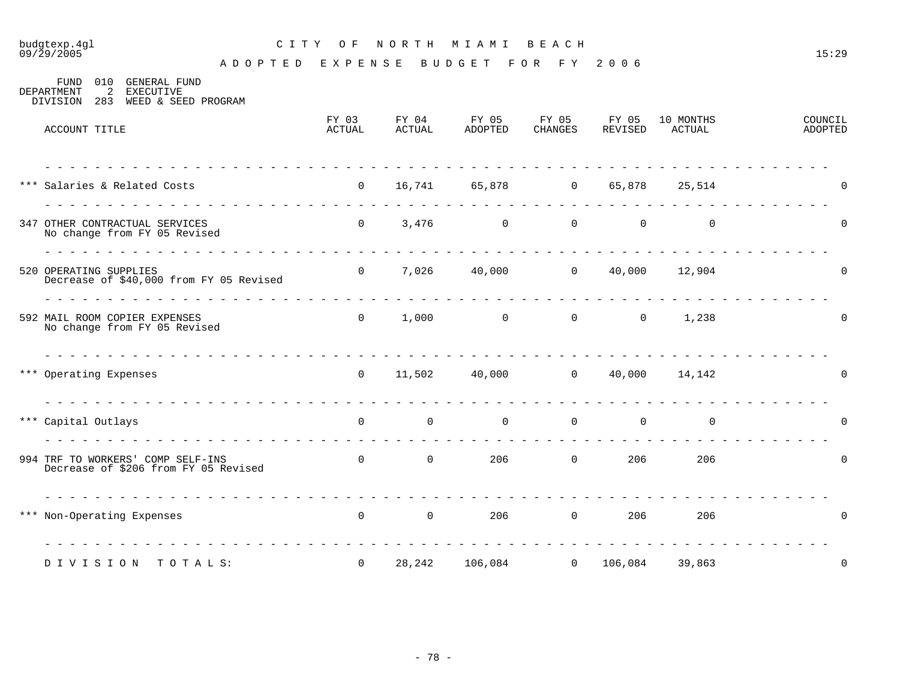### budgtexp.4gl C I T Y O F N O R T H M I A M I B E A C H

A D O P T E D E X P E N S E B U D G E T F O R F Y 2 0 0 6

FUND 010 GENERAL FUND<br>DEPARTMENT 2 EXECUTIVE 2 EXECUTIVE DIVISION 283 WEED & SEED PROGRAM

| ACCOUNT TITLE                                                             | FY 03<br>ACTUAL   | FY 04<br>ACTUAL                   | FY 05<br>ADOPTED                                         | FY 05<br>CHANGES | FY 05<br>REVISED | 10 MONTHS<br>ACTUAL     | COUNCIL<br>ADOPTED |
|---------------------------------------------------------------------------|-------------------|-----------------------------------|----------------------------------------------------------|------------------|------------------|-------------------------|--------------------|
| *** Salaries & Related Costs                                              |                   |                                   | 0 16,741 65,878 0 65,878 25,514                          |                  |                  |                         | 0                  |
| 347 OTHER CONTRACTUAL SERVICES<br>No change from FY 05 Revised            |                   |                                   | $0 \t 3,476 \t 0 \t 0 \t 0$                              |                  |                  | $\Omega$                | $\Omega$           |
| 520 OPERATING SUPPLIES<br>Decrease of \$40,000 from FY 05 Revised         |                   |                                   | $0$ 7,026 40,000 0 40,000 12,904                         |                  |                  |                         | $\Omega$           |
| 592 MAIL ROOM COPIER EXPENSES<br>No change from FY 05 Revised             |                   |                                   | $0 \qquad 1,000 \qquad \qquad 0 \qquad \qquad 0$         |                  |                  | $\overline{0}$<br>1,238 | 0                  |
| *** Operating Expenses                                                    |                   |                                   | $0 \t 11,502 \t 40,000 \t 0 \t 40,000 \t 14,142$         |                  |                  |                         | 0                  |
| *** Capital Outlays                                                       | $\overline{0}$    | $\overline{0}$                    | $\begin{array}{ccccccc}\n0 & & & 0 & & & 0\n\end{array}$ |                  |                  | $\overline{0}$          | 0                  |
| 994 TRF TO WORKERS' COMP SELF-INS<br>Decrease of \$206 from FY 05 Revised |                   | $\begin{matrix}0&0\end{matrix}$   |                                                          | $206$ 0          | 206              | 206                     | $\mathbf 0$        |
| *** Non-Operating Expenses                                                |                   | $0 \qquad \qquad 0 \qquad \qquad$ |                                                          | $206$ 0          | 206              | 206                     | 0                  |
| DIVISION TOTALS:                                                          | $0 \qquad \qquad$ |                                   | 28,242 106,084 0 106,084 39,863                          |                  |                  |                         | 0                  |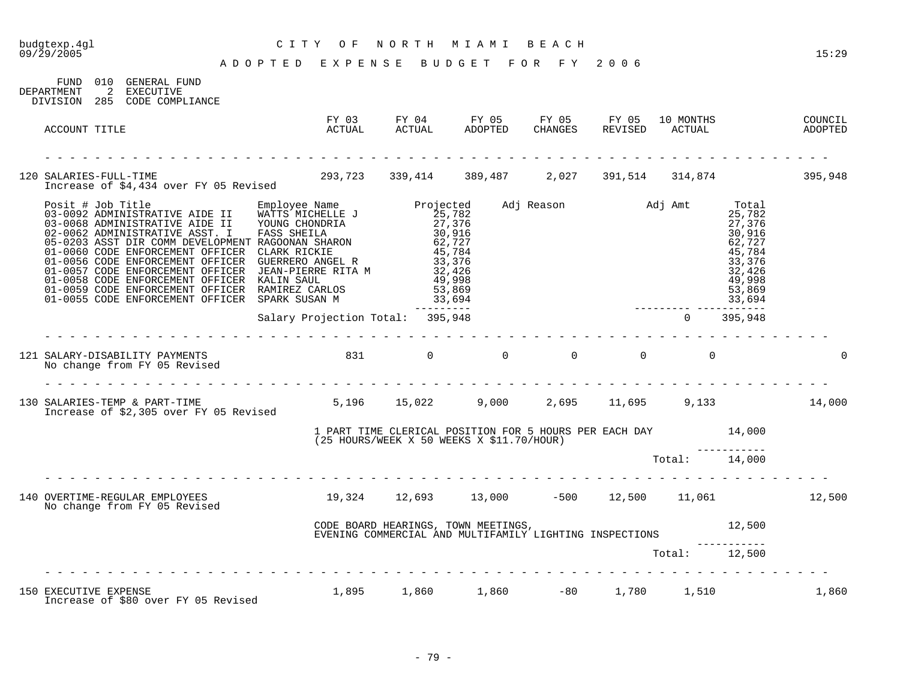# budgtexp.4gl C I T Y O F N O R T H M I A M I B E A C H

| 010 GENERAL FUND<br>FUND<br>2<br>DEPARTMENT<br>EXECUTIVE<br>DIVISION 285 CODE COMPLIANCE                                                                                                                                                                                                 |                                                              |                                     |                                                                                                       |               |                                                                                                                           |       |
|------------------------------------------------------------------------------------------------------------------------------------------------------------------------------------------------------------------------------------------------------------------------------------------|--------------------------------------------------------------|-------------------------------------|-------------------------------------------------------------------------------------------------------|---------------|---------------------------------------------------------------------------------------------------------------------------|-------|
| ACCOUNT TITLE                                                                                                                                                                                                                                                                            |                                                              |                                     |                                                                                                       |               |                                                                                                                           |       |
| 120 SALARIES-FULL-TIME<br>Increase of \$4,434 over FY 05 Revised                                                                                                                                                                                                                         |                                                              |                                     | 293,723 339,414 389,487 2,027 391,514 314,874 395,948                                                 |               |                                                                                                                           |       |
| Posit # Job Title<br>03-0092 ADMINISTRATIVE AIDE II WATTS MICHELLE J<br>03-0068 ADMINISTRATIVE AIDE II YOUNG CHONDRIA 27,376<br>02-0062 ADMINISTRATIVE ASST. I FASS SHEILA 30,916<br>05-0203 ASST DIR COMM DEVELOPMENT RAGOONAN SHARON<br>01-0055 CODE ENFORCEMENT OFFICER SPARK SUSAN M |                                                              | 33,694<br>---------                 | Adj Reason Madj Amt                                                                                   |               | Total<br>25,782<br>27,376<br>30,916<br>62,727<br>45,784<br>33,376<br>32,426<br>49,998<br>53,869<br>33,694<br>------------ |       |
|                                                                                                                                                                                                                                                                                          | Salary Projection Total: 395,948                             |                                     |                                                                                                       | $\Omega$      | 395,948                                                                                                                   |       |
|                                                                                                                                                                                                                                                                                          |                                                              |                                     |                                                                                                       |               |                                                                                                                           |       |
| 130 SALARIES-TEMP & PART-TIME (19.000 5,196 15,022 9,000 2,695 11,695 9,133 14,000<br>Increase of \$2,305 over FY 05 Revised                                                                                                                                                             |                                                              |                                     |                                                                                                       |               |                                                                                                                           |       |
|                                                                                                                                                                                                                                                                                          |                                                              |                                     | 14,000 14,000 TERRICAL POSITION FOR 5 HOURS PER EACH DAY<br>(25 HOURS/WEEK X 50 WEEKS X \$11.70/HOUR) |               |                                                                                                                           |       |
|                                                                                                                                                                                                                                                                                          |                                                              |                                     |                                                                                                       | Total: 14,000 |                                                                                                                           |       |
| 140 OVERTIME-REGULAR EMPLOYEES<br>No change from FY 05 Revised                                                                                                                                                                                                                           | $19,324$ $12,693$ $13,000$ $-500$ $12,500$ $11,061$ $12,500$ |                                     |                                                                                                       |               |                                                                                                                           |       |
|                                                                                                                                                                                                                                                                                          |                                                              | CODE BOARD HEARINGS, TOWN MEETINGS, | EVENING COMMERCIAL AND MULTIFAMILY LIGHTING INSPECTIONS                                               |               | 12,500                                                                                                                    |       |
|                                                                                                                                                                                                                                                                                          |                                                              |                                     |                                                                                                       | Total: 12,500 |                                                                                                                           |       |
| 150 EXECUTIVE EXPENSE<br>Increase of \$80 over FY 05 Revised                                                                                                                                                                                                                             |                                                              |                                     | $1,895$ $1,860$ $1,860$ $-80$ $1,780$ $1,510$                                                         |               |                                                                                                                           | 1,860 |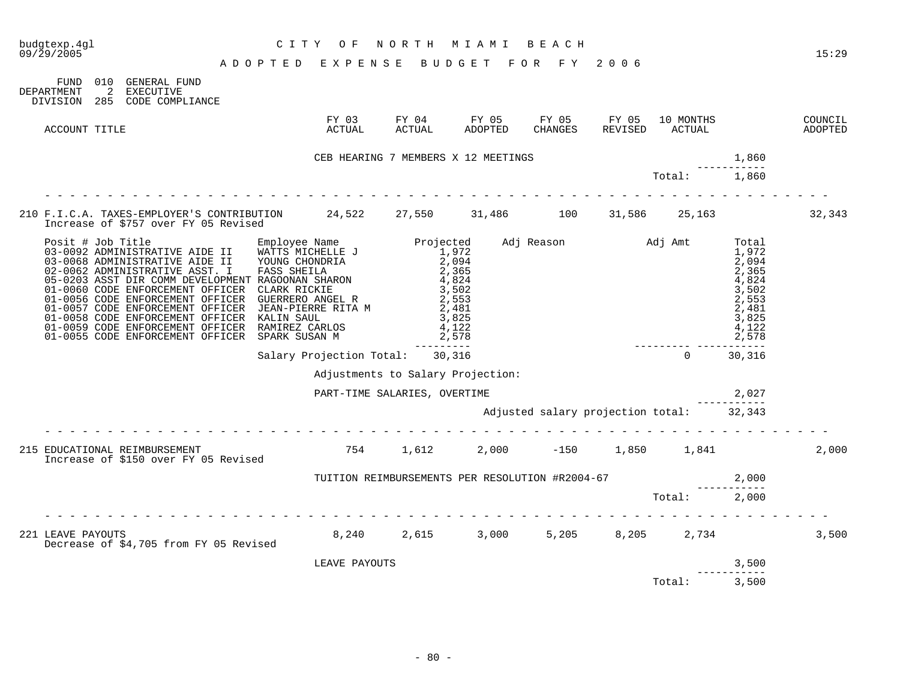| budgtexp.4gl<br>09/29/2005 |               | CITY OF NORTH MIAMI BEACH<br>ADOPTED EXPENSE BUDGET FOR FY 2006                                                  | CITY OF                                                                     | NORTH MIAMI BEACH                               |                         |                                          |                           |                         | 15:29              |
|----------------------------|---------------|------------------------------------------------------------------------------------------------------------------|-----------------------------------------------------------------------------|-------------------------------------------------|-------------------------|------------------------------------------|---------------------------|-------------------------|--------------------|
| DEPARTMENT                 | FUND          | 010 GENERAL FUND<br>2 EXECUTIVE<br>DIVISION 285 CODE COMPLIANCE                                                  |                                                                             |                                                 |                         |                                          |                           |                         |                    |
|                            | ACCOUNT TITLE |                                                                                                                  |                                                                             |                                                 |                         |                                          | 10 MONTHS                 |                         | COUNCIL<br>ADOPTED |
|                            |               |                                                                                                                  |                                                                             | CEB HEARING 7 MEMBERS X 12 MEETINGS             |                         |                                          |                           | 1,860                   |                    |
|                            |               |                                                                                                                  |                                                                             |                                                 |                         |                                          | Total:                    | 1,860                   |                    |
|                            |               | 210 F.I.C.A. TAXES-EMPLOYER'S CONTRIBUTION 24,522 27,550 31,486 100<br>Increase of \$757 over FY 05 Revised      |                                                                             |                                                 |                         |                                          | 31,586 25,163             |                         | 32,343             |
|                            |               | 01-0058 CODE ENFORCEMENT OFFICER<br>01-0059 CODE ENFORCEMENT OFFICER<br>01-0055 CODE ENFORCEMENT OFFICER         | KALIN SAUL <sup>1</sup><br>RAMIREZ CARLOS<br>RAMIRES SIRES<br>SPARK SUSAN M | ----------                                      | 3,825<br>4,122<br>2,578 |                                          | _________________________ | 3,825<br>4,122<br>2,578 |                    |
|                            |               |                                                                                                                  |                                                                             | Salary Projection Total: 30,316                 |                         |                                          | $\Omega$                  | 30,316                  |                    |
|                            |               |                                                                                                                  |                                                                             | Adjustments to Salary Projection:               |                         |                                          |                           |                         |                    |
|                            |               |                                                                                                                  |                                                                             | PART-TIME SALARIES, OVERTIME                    |                         |                                          |                           | 2,027                   |                    |
|                            |               |                                                                                                                  |                                                                             |                                                 |                         | Adjusted salary projection total: 32,343 |                           |                         |                    |
|                            |               | 215 EDUCATIONAL REIMBURSEMENT<br>Thorease of \$150 over EY 05 Revised 6. (1991) 1,612 (2,000 -150 (1,850 (1,841) |                                                                             |                                                 |                         |                                          |                           |                         | 2,000              |
|                            |               |                                                                                                                  |                                                                             | TUITION REIMBURSEMENTS PER RESOLUTION #R2004-67 |                         |                                          |                           | 2,000                   |                    |
|                            |               |                                                                                                                  |                                                                             |                                                 |                         |                                          | Total:                    | 2,000                   |                    |
|                            |               | 221 LEAVE PAYOUTS<br>Decrease of \$4,705 from FY 05 Revised                                                      |                                                                             | 8,240 2,615 3,000 5,205 8,205 2,734             |                         |                                          |                           |                         | 3,500              |
|                            |               |                                                                                                                  | LEAVE PAYOUTS                                                               |                                                 |                         |                                          |                           | 3,500                   |                    |
|                            |               |                                                                                                                  |                                                                             |                                                 |                         |                                          | Total:                    | 3,500                   |                    |

- 80 -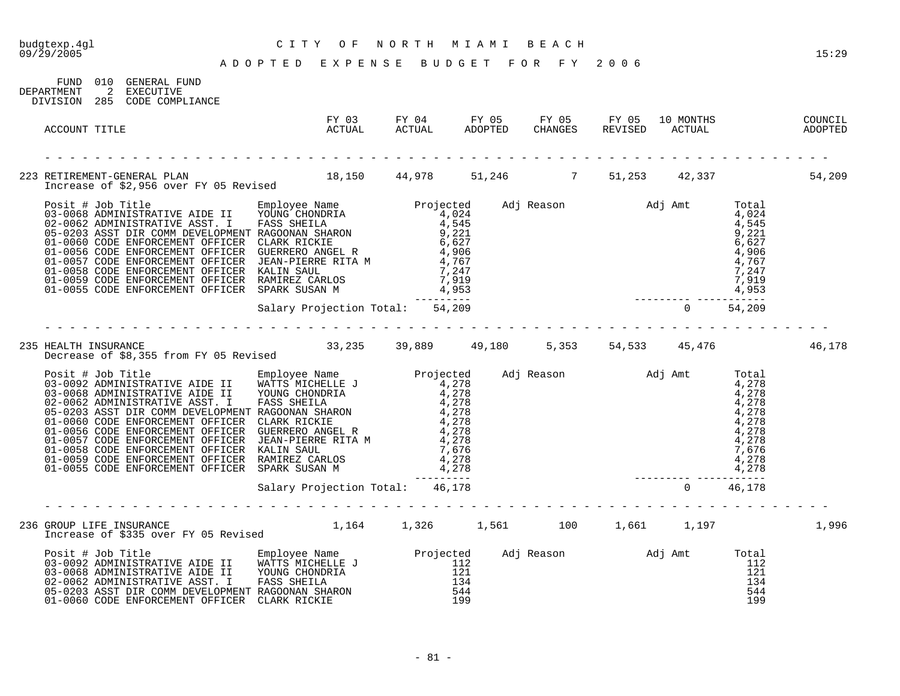09/29/2005 15:29 A D O P T E D E X P E N S E B U D G E T F O R F Y 2 0 0 6

| DEPARTMENT | FUND 010 GENERAL FUND<br>2 EXECUTIVE<br>DIVISION 285 CODE COMPLIANCE                                                                                                                                                                    |  |  |  |        |
|------------|-----------------------------------------------------------------------------------------------------------------------------------------------------------------------------------------------------------------------------------------|--|--|--|--------|
|            | ACCOUNT TITLE                                                                                                                                                                                                                           |  |  |  |        |
|            |                                                                                                                                                                                                                                         |  |  |  |        |
|            | 2013 1 H Job Title The Name Projected Md Reason Md Amt Total<br>03-0068 ADMINISTRATIVE AIDE II FORS SHEILA 4,024<br>05-0062 ADMINISTRATIVE AIDE II FASS SHEILA 4,024<br>05-0203 ASST DIR COM DEVELOPMENT RAGOONAR SHARON 9,221<br>01-0  |  |  |  |        |
|            |                                                                                                                                                                                                                                         |  |  |  |        |
|            |                                                                                                                                                                                                                                         |  |  |  |        |
|            |                                                                                                                                                                                                                                         |  |  |  | 46,178 |
|            | Decrease of \$6,355 from F1 to Revised<br>03-0092 ADMINISTRATIVE AIDE II Employee Name<br>03-0092 ADMINISTRATIVE AIDE II WONTS MICHELLE J<br>02-0062 ADMINISTRATIVE AIDE II YOUNG CHONDRITA<br>02-0062 ADMINISTRATIVE AIST . FASS SHEIL |  |  |  |        |
|            |                                                                                                                                                                                                                                         |  |  |  |        |
|            |                                                                                                                                                                                                                                         |  |  |  |        |
|            | 236 GROUP LIFE INSURANCE 1,164 1,326 1,561 100 1,661 1,197<br>Increase of \$335 over FY 05 Revised 1,164 1,326 1,561 100 1,661 1,197                                                                                                    |  |  |  | 1,996  |
|            | Posit # Job Title Employee Name Projected Adj Reason Adj Amt Total<br>03-0092 ADMINISTRATIVE AIDE II WATTS MICHELLE J 112<br>03-0068 ADMINISTRATIVE AIDE II YOUNG CHONDRIA 121<br>02-0062 ADMINISTRATIVE ASST. I FASS SHEILA 134<br>05  |  |  |  |        |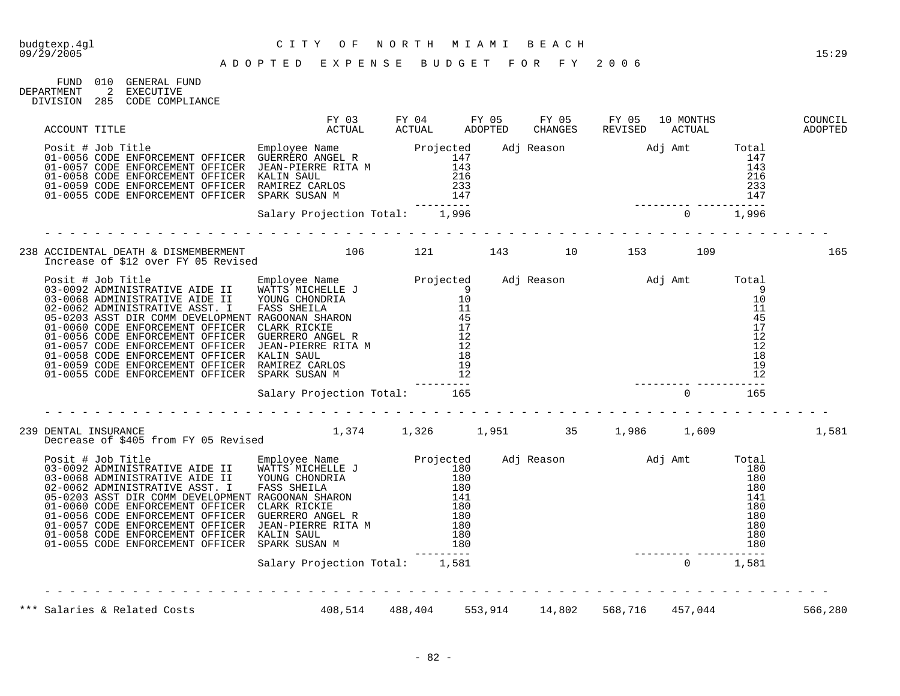| FIJND.     | 01 O           | GENERAL FUND    |
|------------|----------------|-----------------|
| DEPARTMENT | $\overline{2}$ | EXECUTIVE       |
| DIVISION   | 285            | CODE COMPLIANCE |

| ACCOUNT TITLE                                                                                                                                                                                                                                                                                                                                                                                                                                                                     |                                                |  |  |  |         |
|-----------------------------------------------------------------------------------------------------------------------------------------------------------------------------------------------------------------------------------------------------------------------------------------------------------------------------------------------------------------------------------------------------------------------------------------------------------------------------------|------------------------------------------------|--|--|--|---------|
| Posit # Job Title<br>01-0056 CODE ENFORCEMENT OFFICER JEAN-PIERRE RITA M<br>01-0056 CODE ENFORCEMENT OFFICER JEAN-PIERRE RITA M<br>01-0059 CODE ENFORCEMENT OFFICER KALIN SAUL<br>01-0059 CODE ENFORCEMENT OFFICER RAMIREZ CARLOS<br>01-<br>-0056 CODE ENFORCEMENT OFFICER GUERRERO ANGEL R<br>-0057 CODE ENFORCEMENT OFFICER JEAN-PIERRE RITA M<br>-0058 CODE ENFORCEMENT OFFICER KALIN SAULT 216<br>-0058 CODE ENFORCEMENT OFFICER KALIN SAULT CONSIDERED AND 216<br>-0055 CODE |                                                |  |  |  |         |
|                                                                                                                                                                                                                                                                                                                                                                                                                                                                                   |                                                |  |  |  |         |
|                                                                                                                                                                                                                                                                                                                                                                                                                                                                                   |                                                |  |  |  | 165     |
|                                                                                                                                                                                                                                                                                                                                                                                                                                                                                   |                                                |  |  |  |         |
|                                                                                                                                                                                                                                                                                                                                                                                                                                                                                   |                                                |  |  |  |         |
| DENTAL INSURANCE<br>Decrease of \$405 from FY 05 Revised 1,374 1,326 1,951 35 1,986 1,609<br>239 DENTAL INSURANCE                                                                                                                                                                                                                                                                                                                                                                 |                                                |  |  |  | 1,581   |
|                                                                                                                                                                                                                                                                                                                                                                                                                                                                                   |                                                |  |  |  |         |
|                                                                                                                                                                                                                                                                                                                                                                                                                                                                                   | Salary Projection Total: 1,581                 |  |  |  |         |
| *** Salaries & Related Costs                                                                                                                                                                                                                                                                                                                                                                                                                                                      | 408,514 488,404 553,914 14,802 568,716 457,044 |  |  |  | 566,280 |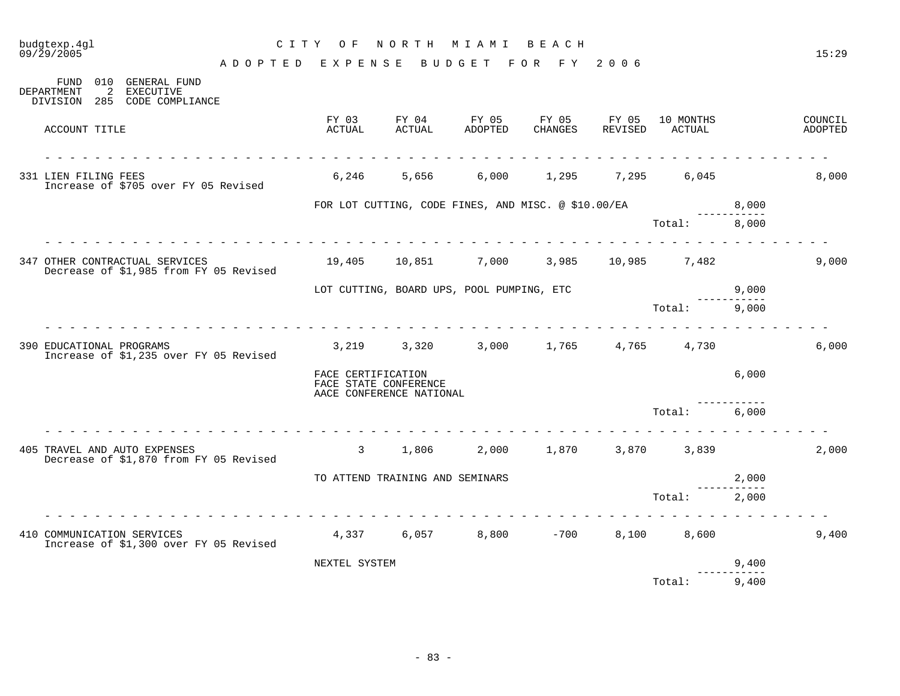# budgtexp.4gl C I T Y O F N O R T H M I A M I B E A C H

| 010<br>FUND<br>2<br>DEPARTMENT<br>DIVISION<br>285 | GENERAL FUND<br><b>EXECUTIVE</b><br>CODE COMPLIANCE                      |                                                                         |                                 |                                                     |                  |                  |                     |       |                    |
|---------------------------------------------------|--------------------------------------------------------------------------|-------------------------------------------------------------------------|---------------------------------|-----------------------------------------------------|------------------|------------------|---------------------|-------|--------------------|
| ACCOUNT TITLE                                     |                                                                          | FY 03<br>ACTUAL                                                         | FY 04<br>ACTUAL                 | FY 05<br>ADOPTED                                    | FY 05<br>CHANGES | FY 05<br>REVISED | 10 MONTHS<br>ACTUAL |       | COUNCIL<br>ADOPTED |
| 331 LIEN FILING FEES                              | Increase of \$705 over FY 05 Revised                                     | 6,246                                                                   | 5,656                           | 6,000                                               | 1,295            | 7,295            | 6,045               |       | 8,000              |
|                                                   |                                                                          |                                                                         |                                 | FOR LOT CUTTING, CODE FINES, AND MISC. @ \$10.00/EA |                  |                  |                     | 8,000 |                    |
|                                                   |                                                                          |                                                                         |                                 |                                                     |                  |                  | Total:              | 8,000 |                    |
|                                                   | 347 OTHER CONTRACTUAL SERVICES<br>Decrease of \$1,985 from FY 05 Revised |                                                                         |                                 |                                                     |                  |                  | 3,985 10,985 7,482  |       | 9,000              |
|                                                   |                                                                          |                                                                         |                                 | LOT CUTTING, BOARD UPS, POOL PUMPING, ETC           |                  |                  |                     | 9,000 |                    |
|                                                   |                                                                          |                                                                         |                                 |                                                     |                  |                  | Total:              | 9,000 |                    |
| 390 EDUCATIONAL PROGRAMS                          | Increase of \$1,235 over FY 05 Revised                                   |                                                                         |                                 | 3,219 3,320 3,000 1,765                             |                  | 4,765            | 4,730               |       | 6,000              |
|                                                   |                                                                          | FACE CERTIFICATION<br>FACE STATE CONFERENCE<br>AACE CONFERENCE NATIONAL |                                 |                                                     |                  |                  |                     | 6,000 |                    |
|                                                   |                                                                          |                                                                         |                                 |                                                     |                  |                  | Total:              | 6,000 |                    |
|                                                   | 405 TRAVEL AND AUTO EXPENSES<br>Decrease of \$1,870 from FY 05 Revised   | $\mathbf{3}$                                                            | 1,806                           |                                                     | 2,000 1,870      |                  | 3,870 3,839         |       | 2,000              |
|                                                   |                                                                          |                                                                         | TO ATTEND TRAINING AND SEMINARS |                                                     |                  |                  |                     | 2,000 |                    |
|                                                   |                                                                          |                                                                         |                                 |                                                     |                  |                  | Total:              | 2,000 |                    |
|                                                   | 410 COMMUNICATION SERVICES<br>Increase of \$1,300 over FY 05 Revised     |                                                                         |                                 | $4,337$ 6,057 8,800 -700                            |                  | 8,100            | 8,600               |       | 9,400              |
|                                                   |                                                                          | NEXTEL SYSTEM                                                           |                                 |                                                     |                  |                  |                     | 9,400 |                    |
|                                                   |                                                                          |                                                                         |                                 |                                                     |                  |                  | Total:              | 9,400 |                    |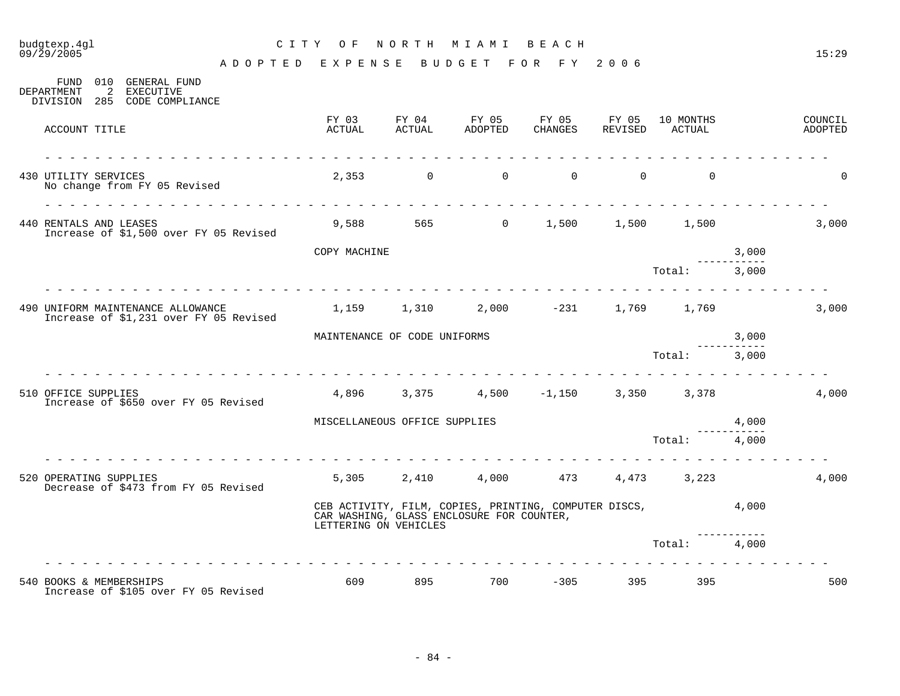# budgtexp.4gl C I T Y O F N O R T H M I A M I B E A C H

| 010 GENERAL FUND<br>FUND<br>2<br>DEPARTMENT<br>EXECUTIVE<br>DIVISION 285 CODE COMPLIANCE |                 |                               |                                                                                                            |          |             |                             |       |                    |
|------------------------------------------------------------------------------------------|-----------------|-------------------------------|------------------------------------------------------------------------------------------------------------|----------|-------------|-----------------------------|-------|--------------------|
| ACCOUNT TITLE                                                                            | FY 03<br>ACTUAL | FY 04<br>ACTUAL               | FY 05<br>ADOPTED                                                                                           | CHANGES  | FY 05 FY 05 | 10 MONTHS<br>REVISED ACTUAL |       | COUNCIL<br>ADOPTED |
| 430 UTILITY SERVICES<br>No change from FY 05 Revised                                     |                 | $2,353$ 0                     | $\Omega$                                                                                                   | $\Omega$ | $\Omega$    | $\Omega$                    |       | 0                  |
| 440 RENTALS AND LEASES<br>Increase of \$1,500 over FY 05 Revised                         |                 |                               | 9,588 565 0                                                                                                | 1,500    |             | 1,500 1,500                 |       | 3,000              |
|                                                                                          | COPY MACHINE    |                               |                                                                                                            |          |             |                             | 3,000 |                    |
|                                                                                          |                 |                               |                                                                                                            |          |             | Total: 3,000                |       |                    |
| 490 UNIFORM MAINTENANCE ALLOWANCE<br>Increase of \$1,231 over FY 05 Revised              |                 |                               | $1,159$ $1,310$ $2,000$ $-231$ $1,769$ $1,769$                                                             |          |             |                             |       | 3,000              |
|                                                                                          |                 | MAINTENANCE OF CODE UNIFORMS  |                                                                                                            |          |             |                             | 3,000 |                    |
|                                                                                          |                 |                               |                                                                                                            |          |             | Total:                      | 3,000 |                    |
| 510 OFFICE SUPPLIES<br>Increase of \$650 over FY 05 Revised                              |                 |                               | $4,896$ $3,375$ $4,500$ $-1,150$                                                                           |          |             | 3,350 3,378                 |       | 4,000              |
|                                                                                          |                 | MISCELLANEOUS OFFICE SUPPLIES |                                                                                                            |          |             |                             | 4,000 |                    |
|                                                                                          |                 |                               |                                                                                                            |          |             | Total:                      | 4,000 |                    |
| 520 OPERATING SUPPLIES<br>Decrease of \$473 from FY 05 Revised                           |                 |                               | 5,305 2,410 4,000 473                                                                                      |          |             | 4,473 3,223                 |       | 4,000              |
|                                                                                          |                 | LETTERING ON VEHICLES         | CEB ACTIVITY, FILM, COPIES, PRINTING, COMPUTER DISCS, $4,000$<br>CAR WASHING, GLASS ENCLOSURE FOR COUNTER, |          |             |                             |       |                    |
|                                                                                          |                 |                               |                                                                                                            |          |             | Total:                      | 4,000 |                    |
|                                                                                          |                 |                               |                                                                                                            |          |             |                             |       |                    |
| 540 BOOKS & MEMBERSHIPS<br>Increase of \$105 over FY 05 Revised                          | 609             | 895                           | 700                                                                                                        | $-305$   | 395         | 395                         |       | 500                |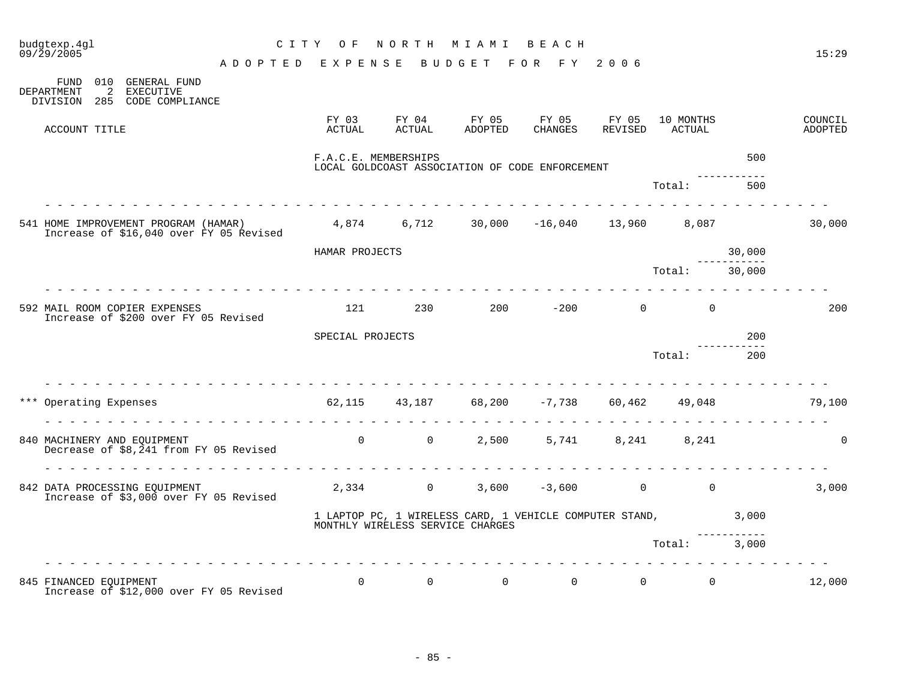| budgtexp.4gl<br>09/29/2005                                                                                              | C I T Y                                                | O F                  | NORTH                            | M I A M I                                       | BEACH            |                                                         |                     |                       | 15:29              |
|-------------------------------------------------------------------------------------------------------------------------|--------------------------------------------------------|----------------------|----------------------------------|-------------------------------------------------|------------------|---------------------------------------------------------|---------------------|-----------------------|--------------------|
| 010 GENERAL FUND<br>FUND                                                                                                | A D O P T E D E X P E N S E B U D G E T F O R F Y 2006 |                      |                                  |                                                 |                  |                                                         |                     |                       |                    |
| DEPARTMENT<br>2<br>EXECUTIVE<br>DIVISION 285 CODE COMPLIANCE                                                            |                                                        |                      |                                  |                                                 |                  |                                                         |                     |                       |                    |
| ACCOUNT TITLE                                                                                                           |                                                        | FY 03<br>ACTUAL      | FY 04<br>ACTUAL                  | FY 05<br>ADOPTED                                | FY 05<br>CHANGES | FY 05<br>REVISED                                        | 10 MONTHS<br>ACTUAL |                       | COUNCIL<br>ADOPTED |
|                                                                                                                         |                                                        | F.A.C.E. MEMBERSHIPS |                                  | LOCAL GOLDCOAST ASSOCIATION OF CODE ENFORCEMENT |                  |                                                         |                     | 500                   |                    |
|                                                                                                                         | rendere de la parte de la                              |                      |                                  |                                                 |                  |                                                         | Total:              | 500                   |                    |
| 541 HOME IMPROVEMENT PROGRAM (HAMAR) 4,874 6,712 30,000 -16,040 13,960 8,087<br>Increase of \$16,040 over FY 05 Revised |                                                        |                      |                                  |                                                 |                  |                                                         |                     |                       | 30,000             |
|                                                                                                                         |                                                        | HAMAR PROJECTS       |                                  |                                                 |                  |                                                         |                     | 30,000                |                    |
|                                                                                                                         |                                                        |                      |                                  |                                                 |                  |                                                         | Total: 30,000       |                       |                    |
| 592 MAIL ROOM COPIER EXPENSES<br>Increase of \$200 over FY 05 Revised                                                   |                                                        | 121                  | 230                              | 200                                             | $-200$           | $\overline{0}$                                          | $\mathbf 0$         |                       | 200                |
|                                                                                                                         |                                                        | SPECIAL PROJECTS     |                                  |                                                 |                  |                                                         |                     | 200                   |                    |
|                                                                                                                         |                                                        |                      |                                  |                                                 |                  |                                                         | Total:              | 200                   |                    |
| *** Operating Expenses                                                                                                  |                                                        |                      |                                  |                                                 |                  | $62,115$ $43,187$ $68,200$ $-7,738$ $60,462$ $49,048$   |                     |                       | 79,100             |
| 840 MACHINERY AND EQUIPMENT<br>Decrease of \$8,241 from FY 05 Revised                                                   |                                                        | $\Omega$             | $\overline{0}$                   | 2,500                                           |                  | 5,741 8,241                                             | 8,241               |                       | $\mathbf 0$        |
| 842 DATA PROCESSING EQUIPMENT<br>Increase of \$3,000 over FY 05 Revised                                                 |                                                        |                      | 2,334 0                          | 3,600                                           | $-3,600$         | $0 \qquad \qquad$                                       | $\mathbf 0$         |                       | 3,000              |
|                                                                                                                         |                                                        |                      | MONTHLY WIRELESS SERVICE CHARGES |                                                 |                  | 1 LAPTOP PC, 1 WIRELESS CARD, 1 VEHICLE COMPUTER STAND, |                     | 3,000<br>------------ |                    |
|                                                                                                                         |                                                        |                      |                                  |                                                 |                  |                                                         | Total:              | 3,000                 |                    |
|                                                                                                                         |                                                        |                      |                                  |                                                 |                  |                                                         |                     |                       |                    |
| 845 FINANCED EQUIPMENT<br>Increase of \$12,000 over FY 05 Revised                                                       |                                                        | $\Omega$             | $\Omega$                         | $\Omega$                                        | $\overline{0}$   | $0 \qquad \qquad$                                       | $\Omega$            |                       | 12,000             |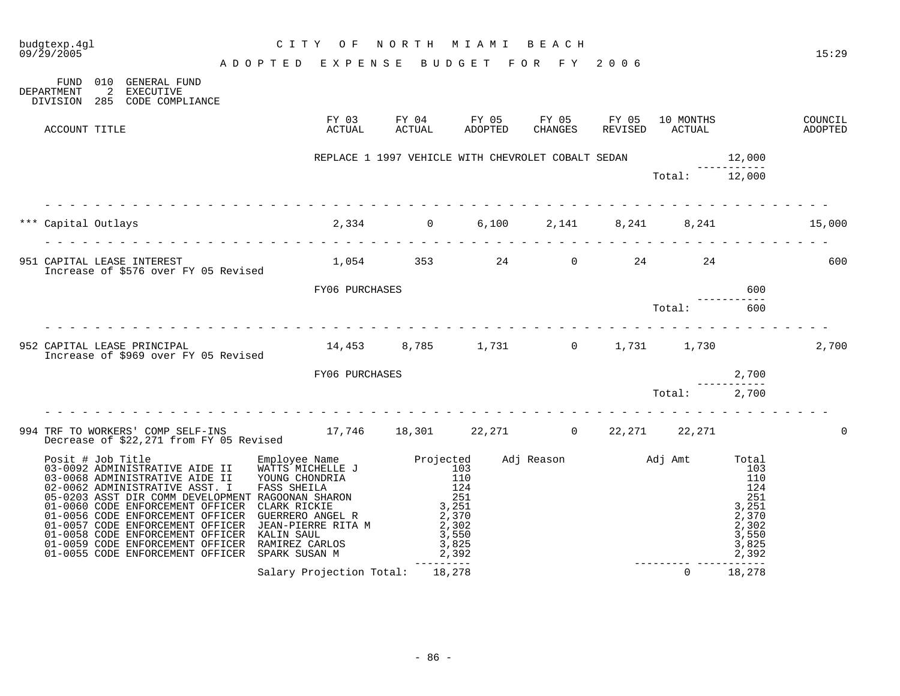| budgtexp.4ql<br>CITY OF NORTH MIAMI BEACH<br>ADOPTED EXPENSE BUDGET FOR FY 2006<br>09/29/2005                                    | CITY OF NORTH MIAMI BEACH                |                                                                         |  |                                                                     |        | 15:29              |
|----------------------------------------------------------------------------------------------------------------------------------|------------------------------------------|-------------------------------------------------------------------------|--|---------------------------------------------------------------------|--------|--------------------|
| FUND 010 GENERAL FUND<br>2 EXECUTIVE<br><b>DEPARTMENT</b><br>DIVISION 285 CODE COMPLIANCE                                        |                                          |                                                                         |  |                                                                     |        |                    |
| ACCOUNT TITLE                                                                                                                    |                                          |                                                                         |  |                                                                     |        | COUNCIL<br>ADOPTED |
|                                                                                                                                  |                                          | REPLACE 1 1997 VEHICLE WITH CHEVROLET COBALT SEDAN 12,000<br>---------- |  |                                                                     |        |                    |
|                                                                                                                                  |                                          |                                                                         |  | Total: 12,000                                                       |        |                    |
| *** Capital Outlays                                                                                                              | $2,334$ 0 6,100 2,141 8,241 8,241 15,000 |                                                                         |  |                                                                     |        |                    |
| 951 CAPITAL LEASE INTEREST 1,054 353 24 0 24 24 24 24 24 25 2600<br>Increase of \$576 over FY 05 Revised 1,054 353 24 0 24 24    |                                          |                                                                         |  |                                                                     |        |                    |
|                                                                                                                                  | FY06 PURCHASES                           |                                                                         |  |                                                                     | 600    |                    |
|                                                                                                                                  | .                                        |                                                                         |  | $\begin{minipage}{.4\linewidth} \n\texttt{Total:} \n\end{minipage}$ | 600    |                    |
| 952 CAPITAL LEASE PRINCIPAL<br>Increase of \$969 over FY 05 Revised                                                              |                                          | 14,453 8,785 1,731 0 1,731 1,730                                        |  |                                                                     |        | 2,700              |
|                                                                                                                                  | FY06 PURCHASES                           |                                                                         |  |                                                                     | 2,700  |                    |
|                                                                                                                                  |                                          |                                                                         |  |                                                                     |        |                    |
| 994 TRF TO WORKERS' COMP SELF-INS $17,746$ 18,301 $22,271$ 0 $22,271$ 22,271 $22,271$<br>Decrease of \$22,271 from FY 05 Revised |                                          |                                                                         |  |                                                                     |        |                    |
|                                                                                                                                  |                                          |                                                                         |  |                                                                     |        |                    |
|                                                                                                                                  | Salary Projection Total: 18,278          |                                                                         |  | $\Omega$                                                            | 18,278 |                    |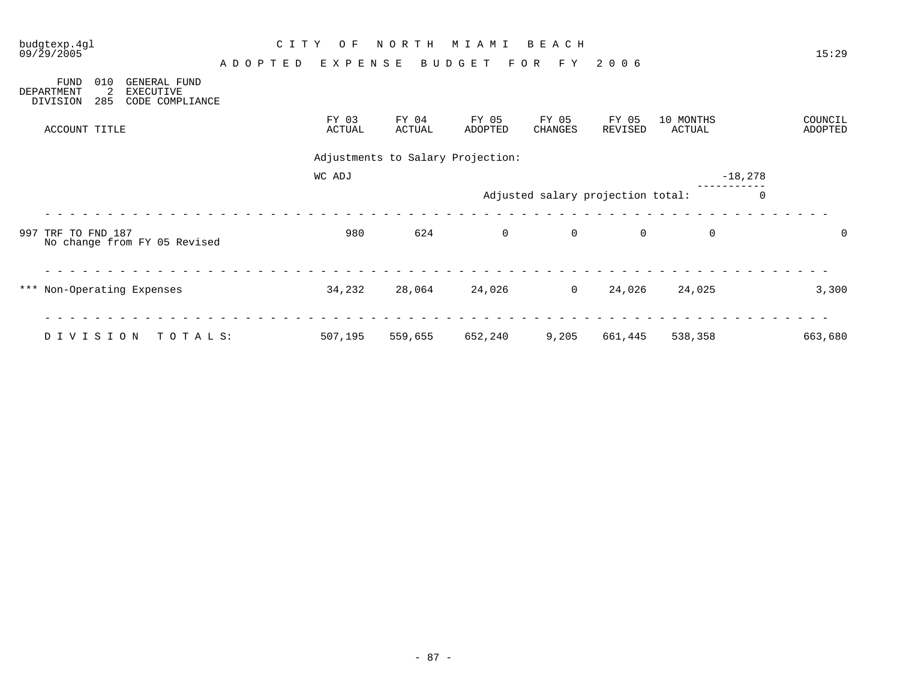| budgtexp.4gl<br>09/29/2005                                                                                      |               | C I T Y<br>O F  | NORTH           | M I A M I                         | BEACH                             |                  |                            | 15:29              |
|-----------------------------------------------------------------------------------------------------------------|---------------|-----------------|-----------------|-----------------------------------|-----------------------------------|------------------|----------------------------|--------------------|
| 010<br><b>FUND</b><br><b>GENERAL FUND</b><br>2<br>DEPARTMENT<br>EXECUTIVE<br>285<br>CODE COMPLIANCE<br>DIVISION | A D O P T E D | EXPENSE         |                 | BUDGET                            | F O R<br>F Y                      | 2006             |                            |                    |
| ACCOUNT TITLE                                                                                                   |               | FY 03<br>ACTUAL | FY 04<br>ACTUAL | FY 05<br>ADOPTED                  | FY 05<br><b>CHANGES</b>           | FY 05<br>REVISED | 10 MONTHS<br><b>ACTUAL</b> | COUNCIL<br>ADOPTED |
|                                                                                                                 |               |                 |                 | Adjustments to Salary Projection: |                                   |                  |                            |                    |
|                                                                                                                 |               | WC ADJ          |                 |                                   |                                   |                  |                            | $-18,278$          |
|                                                                                                                 |               |                 |                 |                                   | Adjusted salary projection total: |                  |                            | 0                  |
| 997 TRF TO FND 187<br>No change from FY 05 Revised                                                              |               | 980             | 624             | $\overline{0}$                    | $\mathsf{O}$                      | $\mathbf 0$      | $\mathsf{O}$               | 0                  |
| *** Non-Operating Expenses                                                                                      |               | 34,232          | 28,064          | 24,026                            | $\overline{0}$                    | 24,026           | 24,025                     | 3,300              |
| DIVISION<br>TOTALS:                                                                                             |               | 507,195         | 559,655         | 652,240                           | 9,205                             | 661,445          | 538,358                    | 663,680            |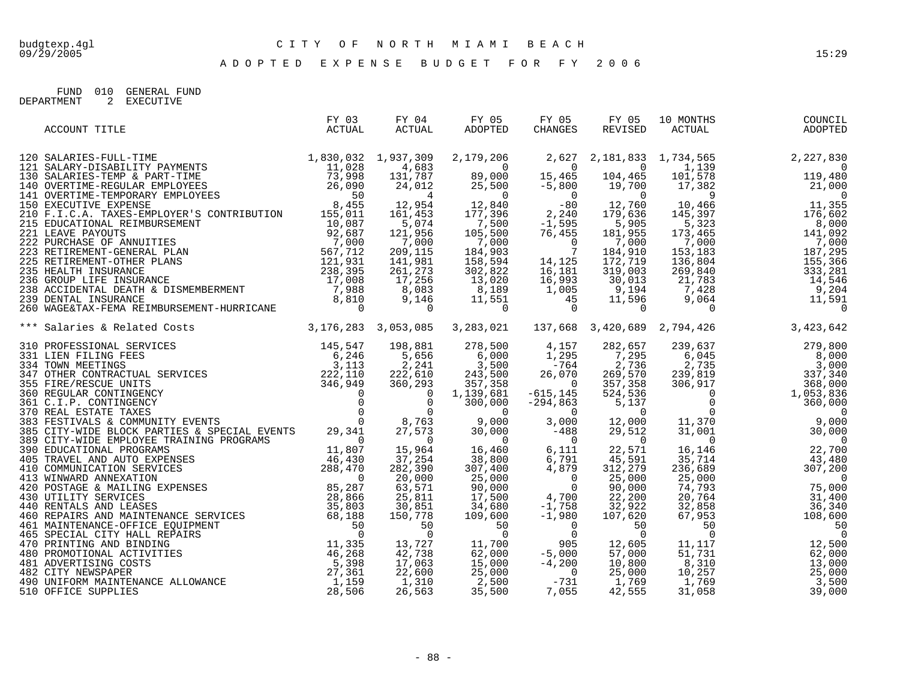FUND 010 GENERAL FUND DEPARTMENT 2 EXECUTIVE

| ACCOUNT TITLE                                                                                                                                                                                                                      | FY 03<br>ACTUAL | FY 04<br>ACTUAL | FY 05<br>ADOPTED | FY 05<br>CHANGES | FY 05<br>REVISED | 10 MONTHS<br>0 MONTHS<br>ACTUAL | COUNCIL<br>ADOPTED |
|------------------------------------------------------------------------------------------------------------------------------------------------------------------------------------------------------------------------------------|-----------------|-----------------|------------------|------------------|------------------|---------------------------------|--------------------|
|                                                                                                                                                                                                                                    |                 |                 |                  |                  |                  |                                 |                    |
|                                                                                                                                                                                                                                    |                 |                 |                  |                  |                  |                                 |                    |
|                                                                                                                                                                                                                                    |                 |                 |                  |                  |                  |                                 |                    |
|                                                                                                                                                                                                                                    |                 |                 |                  |                  |                  |                                 |                    |
|                                                                                                                                                                                                                                    |                 |                 |                  |                  |                  |                                 |                    |
|                                                                                                                                                                                                                                    |                 |                 |                  |                  |                  |                                 |                    |
|                                                                                                                                                                                                                                    |                 |                 |                  |                  |                  |                                 |                    |
|                                                                                                                                                                                                                                    |                 |                 |                  |                  |                  |                                 |                    |
|                                                                                                                                                                                                                                    |                 |                 |                  |                  |                  |                                 |                    |
|                                                                                                                                                                                                                                    |                 |                 |                  |                  |                  |                                 |                    |
|                                                                                                                                                                                                                                    |                 |                 |                  |                  |                  |                                 |                    |
|                                                                                                                                                                                                                                    |                 |                 |                  |                  |                  |                                 |                    |
|                                                                                                                                                                                                                                    |                 |                 |                  |                  |                  |                                 |                    |
|                                                                                                                                                                                                                                    |                 |                 |                  |                  |                  |                                 |                    |
|                                                                                                                                                                                                                                    |                 |                 |                  |                  |                  |                                 |                    |
|                                                                                                                                                                                                                                    |                 |                 |                  |                  |                  |                                 |                    |
|                                                                                                                                                                                                                                    |                 |                 |                  |                  |                  |                                 |                    |
| ** Salaries & Related Costs<br>** Salaries & Related Costs<br>** Salaries & Related Costs<br>** Salaries & Alaxies & Alaxies & Alaxies & Alaxies & Alaxies & Alaxies & Alaxies & Alaxies & Alaxies & Alaxies & Alaxies & Alaxies & |                 |                 |                  |                  |                  |                                 |                    |
|                                                                                                                                                                                                                                    |                 |                 |                  |                  |                  |                                 |                    |
|                                                                                                                                                                                                                                    |                 |                 |                  |                  |                  |                                 |                    |
|                                                                                                                                                                                                                                    |                 |                 |                  |                  |                  |                                 |                    |
|                                                                                                                                                                                                                                    |                 |                 |                  |                  |                  |                                 |                    |
|                                                                                                                                                                                                                                    |                 |                 |                  |                  |                  |                                 |                    |
|                                                                                                                                                                                                                                    |                 |                 |                  |                  |                  |                                 |                    |
|                                                                                                                                                                                                                                    |                 |                 |                  |                  |                  |                                 |                    |
|                                                                                                                                                                                                                                    |                 |                 |                  |                  |                  |                                 |                    |
|                                                                                                                                                                                                                                    |                 |                 |                  |                  |                  |                                 |                    |
|                                                                                                                                                                                                                                    |                 |                 |                  |                  |                  |                                 |                    |
|                                                                                                                                                                                                                                    |                 |                 |                  |                  |                  |                                 |                    |
|                                                                                                                                                                                                                                    |                 |                 |                  |                  |                  |                                 |                    |
|                                                                                                                                                                                                                                    |                 |                 |                  |                  |                  |                                 |                    |
|                                                                                                                                                                                                                                    |                 |                 |                  |                  |                  |                                 |                    |
|                                                                                                                                                                                                                                    |                 |                 |                  |                  |                  |                                 |                    |
|                                                                                                                                                                                                                                    |                 |                 |                  |                  |                  |                                 |                    |
|                                                                                                                                                                                                                                    |                 |                 |                  |                  |                  |                                 |                    |
|                                                                                                                                                                                                                                    |                 |                 |                  |                  |                  |                                 |                    |
|                                                                                                                                                                                                                                    |                 |                 |                  |                  |                  |                                 |                    |
|                                                                                                                                                                                                                                    |                 |                 |                  |                  |                  |                                 |                    |
|                                                                                                                                                                                                                                    |                 |                 |                  |                  |                  |                                 |                    |
|                                                                                                                                                                                                                                    |                 |                 |                  |                  |                  |                                 |                    |
|                                                                                                                                                                                                                                    |                 |                 |                  |                  |                  |                                 |                    |
|                                                                                                                                                                                                                                    |                 |                 |                  |                  |                  |                                 |                    |
|                                                                                                                                                                                                                                    |                 |                 |                  |                  |                  |                                 |                    |
|                                                                                                                                                                                                                                    |                 |                 |                  |                  |                  |                                 |                    |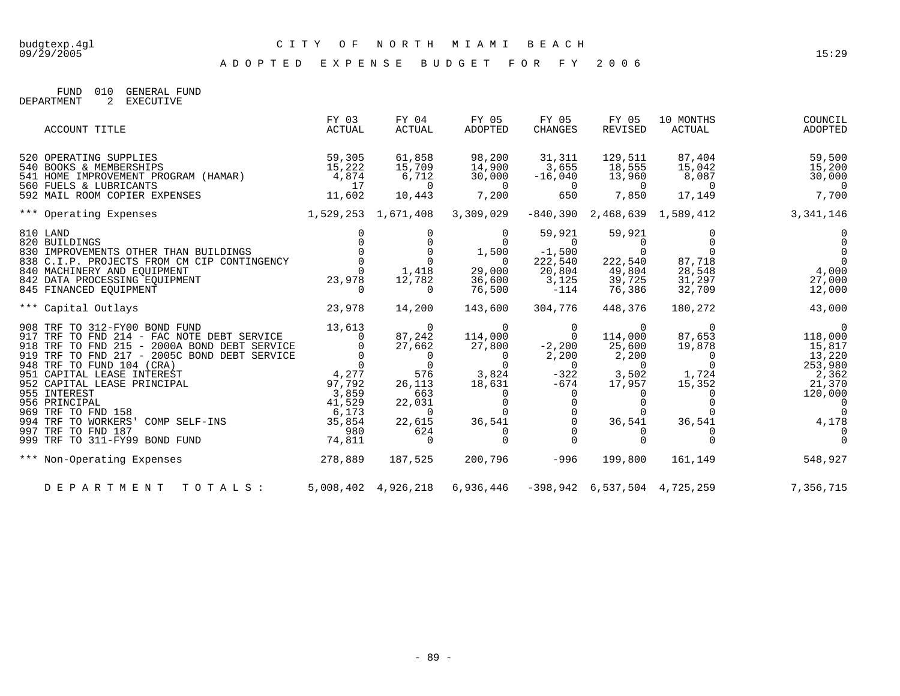A D O P T E D E X P E N S E B U D G E T F O R F Y 2 0 0 6

FUND 010 GENERAL FUND DEPARTMENT 2 EXECUTIVE

|                                                                           | ACCOUNT TITLE                                                                                                                                                                                                                                                                                                                                               | FY 03<br>ACTUAL                                                                              | FY 04<br>ACTUAL                                                                                                                                         | FY 05<br>ADOPTED                                                                                           | FY 05<br><b>CHANGES</b>                                                                       | FY 05<br>REVISED                                                                            | 10 MONTHS<br>ACTUAL                                                                                 | COUNCIL<br>ADOPTED                                                                                                                  |
|---------------------------------------------------------------------------|-------------------------------------------------------------------------------------------------------------------------------------------------------------------------------------------------------------------------------------------------------------------------------------------------------------------------------------------------------------|----------------------------------------------------------------------------------------------|---------------------------------------------------------------------------------------------------------------------------------------------------------|------------------------------------------------------------------------------------------------------------|-----------------------------------------------------------------------------------------------|---------------------------------------------------------------------------------------------|-----------------------------------------------------------------------------------------------------|-------------------------------------------------------------------------------------------------------------------------------------|
|                                                                           | 520 OPERATING SUPPLIES<br>540 BOOKS & MEMBERSHIPS<br>540 BOOKS & MEMBERSHIPS<br>541 HOME IMPROVEMENT PROGRAM (HAMAR)<br>560 FUELS & LUBRICANTS                                                                                                                                                                                                              | 59,305<br>15,222<br>4,874<br>17                                                              | 61,858<br>15,709<br>6,712<br>$\overline{0}$                                                                                                             | 98,200<br>14,900<br>30,000<br>$\overline{\phantom{0}}$                                                     | 31,311<br>3,655<br>$-16,040$<br>$\overline{0}$                                                | 129,511<br>18,555<br>13,960<br>$\overline{0}$                                               | 87,404<br>15,042<br>8,087<br>$\overline{0}$                                                         | 59,500<br>15,200<br>30,000<br>$\overline{0}$                                                                                        |
|                                                                           | 592 MAIL ROOM COPIER EXPENSES                                                                                                                                                                                                                                                                                                                               | 11,602                                                                                       | 10,443                                                                                                                                                  | 7,200                                                                                                      | 650                                                                                           | 7,850                                                                                       | 17,149                                                                                              | 7,700                                                                                                                               |
|                                                                           | 1,529,253 1,671,408 3,309,029<br>*** Operating Expenses                                                                                                                                                                                                                                                                                                     |                                                                                              |                                                                                                                                                         |                                                                                                            |                                                                                               | $-840,390$ 2,468,639 1,589,412                                                              |                                                                                                     | 3, 341, 146                                                                                                                         |
| 810 LAND<br>820 BUILDINGS                                                 | 830 IMPROVEMENTS OTHER THAN BUILDINGS<br>838 C.I.P. PROJECTS FROM CM CIP CONTINGENCY<br>840 MACHINERY AND EQUIPMENT<br>842 DATA PROCESSING EQUIPMENT<br>845 FINANCED EQUIPMENT                                                                                                                                                                              | 23,978                                                                                       | $\begin{array}{ccc} 0 & 0 \\ 0 & 0 \\ 0 & 1.418 \end{array}$<br>1,418<br>12,782<br>$\Omega$                                                             | $\Omega$<br>$\overline{0}$<br>29,000<br>36,600<br>76,500                                                   | 59,921<br>$\overline{0}$<br>$1,500 -1,500$<br>222,540<br>20,804<br>3,125<br>$-114$            | 59,921<br>$\overline{0}$<br>222,540<br>49,804<br>39,725<br>76,386                           | 87,718<br>28,548<br>31,297<br>32,709                                                                | 0<br>$\overline{0}$<br>$\overline{0}$<br>$\overline{0}$<br>4,000<br>27,000<br>12,000                                                |
|                                                                           | *** Capital Outlays                                                                                                                                                                                                                                                                                                                                         | 23,978                                                                                       | 14,200                                                                                                                                                  | 143,600                                                                                                    | 304,776                                                                                       | 448,376                                                                                     | 180,272                                                                                             | 43,000                                                                                                                              |
| 955 INTEREST<br>956 PRINCIPAL<br>969 TRF TO FND 158<br>997 TRF TO FND 187 | 908 TRF TO 312-FY00 BOND FUND<br>917 TRF TO FND 214 - FAC NOTE DEBT SERVICE<br>918 TRF TO FND 215 - 2000A BOND DEBT SERVICE<br>919 TRF TO FND 217 - 2005C BOND DEBT SERVICE<br>948 TRF TO FUND 104 (CRA)<br>951 CAPITAL LEASE INTEREST<br>952 CAPITAL LEASE PRINCIPAL<br>055 INTERECT<br>994 TRF TO WORKERS' COMP SELF-INS<br>999 TRF TO 311-FY99 BOND FUND | 13,613<br>$\Omega$<br>4,277<br>97,792<br>3,859<br>41,529<br>6,173<br>35,854<br>980<br>74,811 | $\overline{0}$<br>87,242<br>27,662<br>$\overline{0}$<br>$\sim$ 0<br>576<br>26,113<br>663<br>22,031<br>$\overline{0}$<br>22,615<br>624<br>$\overline{0}$ | $\overline{0}$<br>114,000<br>27,800<br>$\overline{0}$<br>$\sim$ 0<br>3,824<br>18,631<br>$\Omega$<br>36,541 | $\mathbf 0$<br>$\overline{0}$<br>$-2,200$<br>2,200<br>$\overline{0}$<br>$-322$<br>$-674$<br>0 | $\overline{0}$<br>114,000<br>25,600<br>2,200<br>$\overline{0}$<br>3,502<br>17,957<br>36,541 | $\overline{0}$<br>87,653<br>19,878<br>$\begin{matrix}0\\0\end{matrix}$<br>1,724<br>15,352<br>36,541 | $\overline{0}$<br>118,000<br>15,817<br>13,220<br>253,980<br>2,362<br>21,370<br>120,000<br>$\overline{0}$<br>$\overline{0}$<br>4,178 |
|                                                                           | 278,889<br>*** Non-Operating Expenses                                                                                                                                                                                                                                                                                                                       |                                                                                              | 187,525                                                                                                                                                 | 200,796                                                                                                    | $-996$                                                                                        | 199,800                                                                                     | 161,149                                                                                             | 548,927                                                                                                                             |
|                                                                           | DEPARTMENT TOTALS:                                                                                                                                                                                                                                                                                                                                          |                                                                                              |                                                                                                                                                         | 5,008,402 4,926,218 6,936,446                                                                              |                                                                                               |                                                                                             | $-398,942 \quad 6,537,504 \quad 4,725,259$                                                          | 7,356,715                                                                                                                           |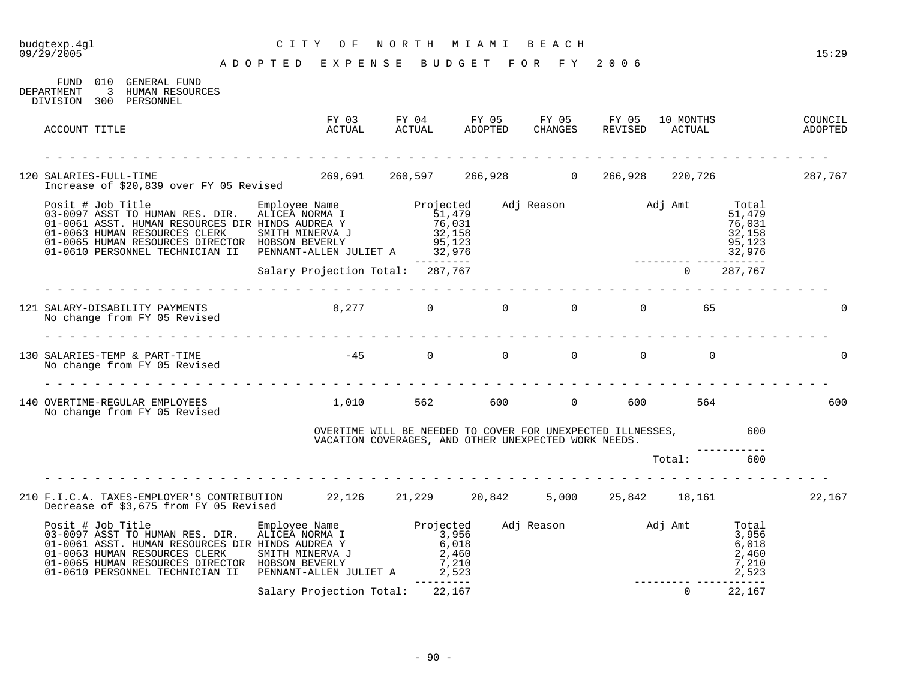# budgtexp.4gl C I T Y O F N O R T H M I A M I B E A C H

| 010 GENERAL FUND<br>FUND<br>$\overline{\phantom{a}}$ 3<br>DEPARTMENT<br>HUMAN RESOURCES<br>DIVISION 300 PERSONNEL                                                                                                                                                                                      |                                  |                                                                                                                    |  |                           |                                    |                                               |                               |
|--------------------------------------------------------------------------------------------------------------------------------------------------------------------------------------------------------------------------------------------------------------------------------------------------------|----------------------------------|--------------------------------------------------------------------------------------------------------------------|--|---------------------------|------------------------------------|-----------------------------------------------|-------------------------------|
| ACCOUNT TITLE                                                                                                                                                                                                                                                                                          | FY 03<br>ACTUAL                  | FY 04 FY 05 FY 05 FY 05 10 MONTHS<br>ACTUAL ADOPTED CHANGES REVISED ACTUAL                                         |  |                           |                                    |                                               | COUNCIL<br>COUNCIL<br>ADOPTED |
| 120 SALARIES-FULL-TIME                                                                                                                                                                                                                                                                                 |                                  |                                                                                                                    |  |                           |                                    |                                               |                               |
| Posit # Job Title Employee Name Projected<br>03-0097 ASST TO HUMAN RES. DIR. ALICEA NORMA I 51,479<br>01-0061 ASST. HUMAN RESOURCES DIR HINDS AUDREA Y 76,031<br>01-0065 HUMAN RESOURCES CLERK SMITH MINERVA J 32,158<br>01-065 HUMAN<br>01-0610 PERSONNEL TECHNICIAN II PENNANT-ALLEN JULIET A 32,976 |                                  |                                                                                                                    |  | Adj Reason Madj Amt       | 32,976                             | Total<br>51,479<br>76,031<br>32,158<br>95,123 |                               |
|                                                                                                                                                                                                                                                                                                        | Salary Projection Total: 287,767 | ----------                                                                                                         |  |                           | $0$ 287,767                        | ----------                                    |                               |
|                                                                                                                                                                                                                                                                                                        |                                  |                                                                                                                    |  |                           |                                    |                                               |                               |
| 130 SALARIES-TEMP & PART-TIME<br>No change from FY 05 Revised                                                                                                                                                                                                                                          | $-45$ 0 0 0 0 0 0 0              |                                                                                                                    |  |                           |                                    |                                               |                               |
| 140 OVERTIME-REGULAR EMPLOYEES 1,010 562 600 0 600 564<br>No change from FY 05 Revised                                                                                                                                                                                                                 |                                  |                                                                                                                    |  |                           |                                    |                                               | 600                           |
|                                                                                                                                                                                                                                                                                                        |                                  | OVERTIME WILL BE NEEDED TO COVER FOR UNEXPECTED ILLNESSES,<br>VACATION COVERAGES, AND OTHER UNEXPECTED WORK NEEDS. |  |                           |                                    | 600                                           |                               |
|                                                                                                                                                                                                                                                                                                        |                                  |                                                                                                                    |  |                           | Total:                             | 600                                           |                               |
| 210 F.I.C.A. TAXES-EMPLOYER'S CONTRIBUTION 22,126 21,229 20,842 5,000 25,842 18,161<br>Decrease of \$3,675 from FY 05 Revised                                                                                                                                                                          |                                  |                                                                                                                    |  |                           |                                    |                                               | 22,167                        |
| Posit # Job Title<br>03-0097 ASST TO HUMAN RES. DIR. ALICEA NORMA I 3,956<br>01-0061 ASST. HUMAN RESOURCES DIR HINDS AUDREA Y 6,018<br>01-0063 HUMAN RESOURCES CLERK SMITH MINERVA J 2,460<br>01-0065 HUMAN RESOURCES DIRECTOR HOBSON<br>01-0610 PERSONNEL TECHNICIAN II                               | PENNANT-ALLEN JULIET A 2,523     |                                                                                                                    |  | Adj Reason Madj Amt Total |                                    | 3,956<br>6,018<br>2,460<br>7,210<br>2,523     |                               |
|                                                                                                                                                                                                                                                                                                        | Salary Projection Total: 22,167  | --------                                                                                                           |  |                           | ---------- -----------<br>$\Omega$ | 22,167                                        |                               |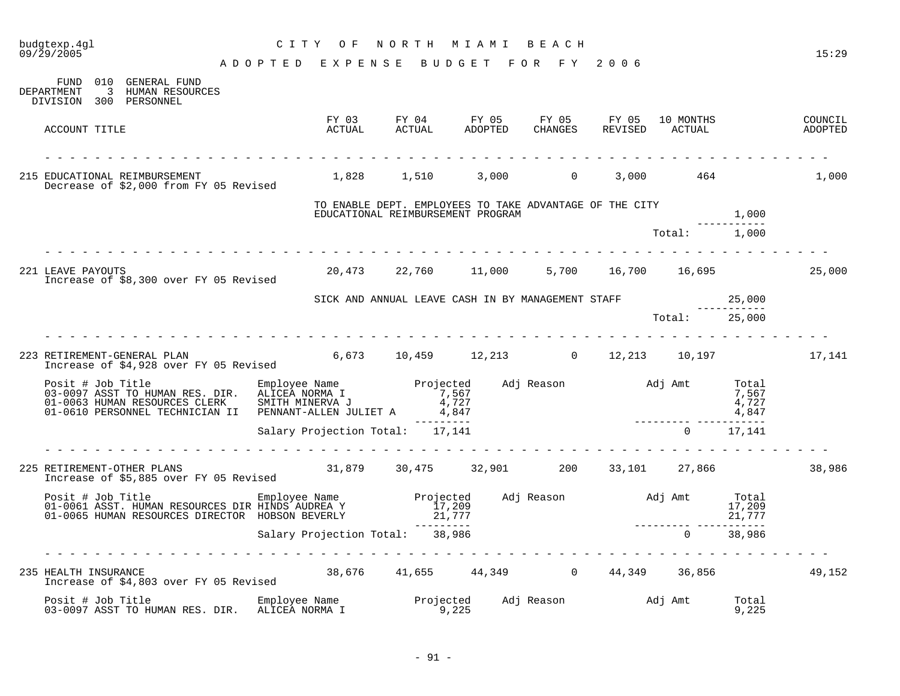| budgtexp.4gl<br>09/29/2005                                                                                                                                                                                                                                                                                                                                      | C I T Y<br>O F                  | NORTH                                                                                        | M I A M I            | BEACH                  |                  |                     |                                | 15:29              |
|-----------------------------------------------------------------------------------------------------------------------------------------------------------------------------------------------------------------------------------------------------------------------------------------------------------------------------------------------------------------|---------------------------------|----------------------------------------------------------------------------------------------|----------------------|------------------------|------------------|---------------------|--------------------------------|--------------------|
|                                                                                                                                                                                                                                                                                                                                                                 | ADOPTED EXPENSE                 |                                                                                              | BUDGET FOR FY 2006   |                        |                  |                     |                                |                    |
| FUND 010 GENERAL FUND<br>DEPARTMENT<br>3 HUMAN RESOURCES<br>DIVISION 300 PERSONNEL                                                                                                                                                                                                                                                                              |                                 |                                                                                              |                      |                        |                  |                     |                                |                    |
| ACCOUNT TITLE                                                                                                                                                                                                                                                                                                                                                   | ACTUAL                          | FY 04<br>FY 03<br>ACTUAL                                                                     | ADOPTED              | FY 05 FY 05<br>CHANGES | FY 05<br>REVISED | 10 MONTHS<br>ACTUAL |                                | COUNCIL<br>ADOPTED |
| 215 EDUCATIONAL REIMBURSEMENT<br>Decrease of \$2,000 from FY 05 Revised                                                                                                                                                                                                                                                                                         |                                 | 1,828 1,510                                                                                  |                      | $3,000$ 0              |                  | 3,000 464           |                                | 1,000              |
|                                                                                                                                                                                                                                                                                                                                                                 |                                 | TO ENABLE DEPT. EMPLOYEES TO TAKE ADVANTAGE OF THE CITY<br>EDUCATIONAL REIMBURSEMENT PROGRAM |                      |                        |                  |                     | 1,000                          |                    |
|                                                                                                                                                                                                                                                                                                                                                                 |                                 |                                                                                              |                      |                        |                  | Total:              | . _ _ _ _ _ _ _ _ _ _<br>1,000 |                    |
| 221 LEAVE PAYOUTS<br>Increase of \$8,300 over FY 05 Revised                                                                                                                                                                                                                                                                                                     |                                 | 20,473 22,760 11,000                                                                         |                      |                        |                  | 5,700 16,700 16,695 |                                | 25,000             |
|                                                                                                                                                                                                                                                                                                                                                                 |                                 | SICK AND ANNUAL LEAVE CASH IN BY MANAGEMENT STAFF                                            |                      |                        |                  |                     | 25,000                         |                    |
|                                                                                                                                                                                                                                                                                                                                                                 |                                 |                                                                                              |                      |                        |                  | Total:              | -----------<br>25,000          |                    |
|                                                                                                                                                                                                                                                                                                                                                                 |                                 |                                                                                              |                      |                        |                  |                     |                                |                    |
| 223 RETIREMENT-GENERAL PLAN                                                                                                                                                                                                                                                                                                                                     |                                 |                                                                                              |                      |                        |                  |                     |                                | 17,141             |
| Posit # Job Title Employee Name Projected Adj Reason and J Amt Total 33-0097 ASST TO HUMAN RES. DIR. ALICEA NORMA I<br>03-0097 ASST TO HUMAN RES. DIR. ALICEA NORMA I 7,567<br>01-0638 HUMAN RESOURCES CLERK SMITH MINERVA J 4,727 4<br>01-0063 HUMAN RESOURCES CLERK SMITH MINERVA J $4,727$<br>01-0610 PERSONNEL TECHNICIAN II PENNANT-ALLEN JULIET A $4,847$ |                                 |                                                                                              |                      |                        |                  |                     | 4,847                          |                    |
|                                                                                                                                                                                                                                                                                                                                                                 | Salary Projection Total: 17,141 |                                                                                              | ----------           |                        |                  | $\overline{0}$      | -------<br>17,141              |                    |
| 225 RETIREMENT-OTHER PLANS<br>Increase of \$5,885 over FY 05 Revised                                                                                                                                                                                                                                                                                            | dia dia dia dia dia d           | $31,879$ $30,475$ $32,901$ $200$ $33,101$ $27,866$                                           |                      |                        |                  |                     |                                | 38,986             |
| Posit # Job Title Employee Name Projected Adj Reason and Adj Amt 01-0061 ASST. HUMAN RESOURCES DIR HINDS AUDREA Y<br>01-0061 ASST. HUMAN RESOURCES DIR HINDS AUDREA Y 17,209<br>01-0065 HUMAN RESOURCES DIRECTOR HOBSON BEVERLY                                                                                                                                 |                                 | $\frac{17}{209}$ , $\frac{209}{21}$ , $\frac{777}{209}$                                      |                      |                        |                  |                     | Total<br>17,209<br>21,777      |                    |
|                                                                                                                                                                                                                                                                                                                                                                 | Salary Projection Total:        |                                                                                              | ----------<br>38,986 |                        |                  | $\Omega$            | .<br>38,986                    |                    |
| HEALTH INSURANCE<br>Increase of \$4,803 over FY 05 Revised 38,676 41,655 44,349 0 44,349 36,856<br>235 HEALTH INSURANCE                                                                                                                                                                                                                                         |                                 |                                                                                              |                      |                        |                  |                     |                                | 49,152             |
|                                                                                                                                                                                                                                                                                                                                                                 |                                 |                                                                                              |                      |                        |                  |                     | Total<br>9,225                 |                    |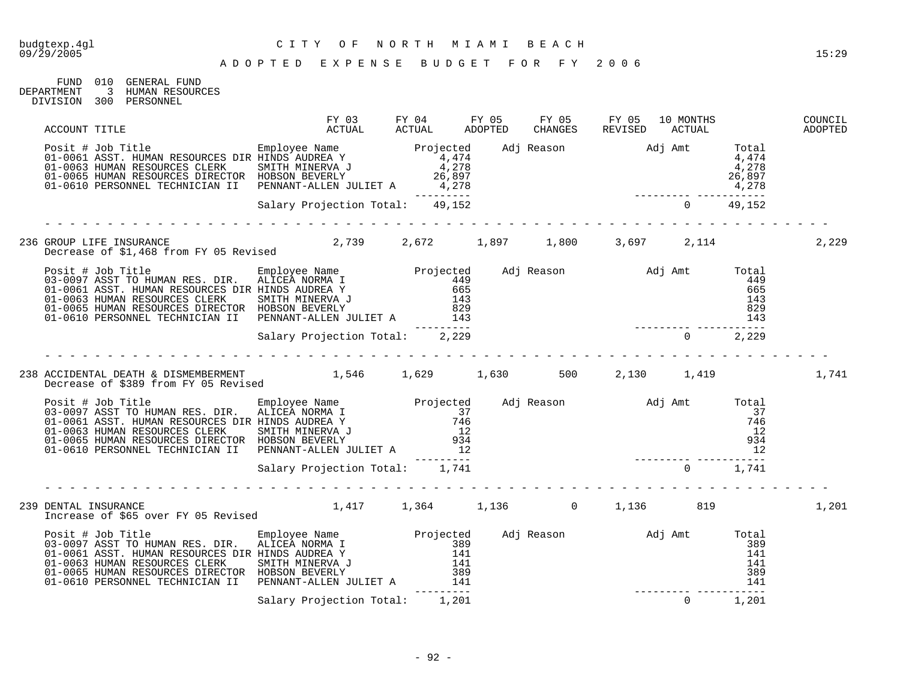| GENERAL FUND    | 01 O | FIJND.       |
|-----------------|------|--------------|
| HUMAN RESOURCES |      |              |
| PERSONNEL       |      | DIVISION 300 |
|                 |      | DEPARTMENT   |

| ACCOUNT TITLE                                                                                                                                                                                                                                                                                                                                                                                                                                         | FY 03 FY 04 FY 05 FY 05 FY 05 10 MONTHS<br>ACTUAL ACTUAL ADOPTED CHANGES REVISED ACTUAL ADOPTED                                                       |            |  |                |       | COUNCIL |
|-------------------------------------------------------------------------------------------------------------------------------------------------------------------------------------------------------------------------------------------------------------------------------------------------------------------------------------------------------------------------------------------------------------------------------------------------------|-------------------------------------------------------------------------------------------------------------------------------------------------------|------------|--|----------------|-------|---------|
| Posit # Job Title<br>01-0061 ASST. HUMAN RESOURCES DIR HINDS AUDREA Y<br>01-0065 HUMAN RESOURCES CLERK SMITH MINERVA J<br>01-0065 HUMAN RESOURCES CLERK SMITH MINERVA J<br>01-0065 HUMAN RESOURCES DIRECTOR HOBSON BEVERLY 4,278<br>01-0                                                                                                                                                                                                              |                                                                                                                                                       |            |  |                |       |         |
|                                                                                                                                                                                                                                                                                                                                                                                                                                                       |                                                                                                                                                       |            |  |                |       |         |
| 236 GROUP LIFE INSURANCE 2,739 2,672 1,897 1,800 3,697 2,114<br>Decrease of \$1,468 from FY 05 Revised 2,739 2,672 1,897 1,800 3,697 2,114                                                                                                                                                                                                                                                                                                            |                                                                                                                                                       |            |  |                |       | 2,229   |
| $\begin{tabular}{lllllllllllllllllll} \hline \texttt{Positive} & \texttt{Employee Name} & \texttt{Projected} & \texttt{Adj Reason} & \texttt{Adj Amt} & \texttt{Total} \\ 03-0097 ASST TO HUMAN RES. DIR. & \texttt{ALICEA NORMAL} & \texttt{449} & \texttt{449} & \texttt{449} & \texttt{449} & \texttt{449} & \texttt{449} & \texttt{449} & \texttt{449} & \texttt{449} & \texttt{449} & \texttt{449} & \texttt{449} & \texttt{449} & \texttt{449}$ |                                                                                                                                                       |            |  |                |       |         |
|                                                                                                                                                                                                                                                                                                                                                                                                                                                       |                                                                                                                                                       |            |  |                |       |         |
|                                                                                                                                                                                                                                                                                                                                                                                                                                                       |                                                                                                                                                       |            |  |                |       |         |
| 238 ACCIDENTAL DEATH & DISMEMBERMENT        1,546    1,629     1,630     500    2,130    1,419<br>Decrease of \$389 from FY 05 Revised        1,546    1,629     1,630     500    2,130    1,419                                                                                                                                                                                                                                                      |                                                                                                                                                       |            |  |                |       | 1,741   |
| Posit # Job Title Employee Name Projected Adj Reason Adj Amt Total 03-0097 ASST TO HUMAN RES. DIR. ALICEA NORMA I<br>01-0061 ASST. HUMAN RESOURCES DIR HINDS AUDREA Y 746<br>01-0063 HUMAN RESOURCES CLERK SMITH MINERVA J 12<br>01-                                                                                                                                                                                                                  |                                                                                                                                                       |            |  |                |       |         |
|                                                                                                                                                                                                                                                                                                                                                                                                                                                       | and the contract of the contract of the contract of the contract of the contract of the contract of the contract of<br>Salary Projection Total: 1,741 |            |  |                |       |         |
|                                                                                                                                                                                                                                                                                                                                                                                                                                                       |                                                                                                                                                       |            |  |                |       |         |
| 239 DENTAL INSURANCE<br>Increase of \$65 over FY 05 Revised                                                                                                                                                                                                                                                                                                                                                                                           | $1,417$ $1,364$ $1,136$ $1,136$ $1,136$ $819$                                                                                                         |            |  |                |       | 1,201   |
| Posit # Job Title Employee Name Projected Adj Reason and Adj Amt Total 201-0097 ASST TO HUMAN RES. DIR. ALICEA NORMA I 389<br>01-0061 ASST. HUMAN RESOURCES DIR HINDS AUDREA Y 141<br>01-0063 HUMAN RESOURCES CLERK SMITH MINERVA<br>01-0610 PERSONNEL TECHNICIAN II PENNANT-ALLEN JULIET A 141                                                                                                                                                       |                                                                                                                                                       | __________ |  |                | 141   |         |
|                                                                                                                                                                                                                                                                                                                                                                                                                                                       | Salary Projection Total: 1,201                                                                                                                        |            |  | $\overline{0}$ | 1,201 |         |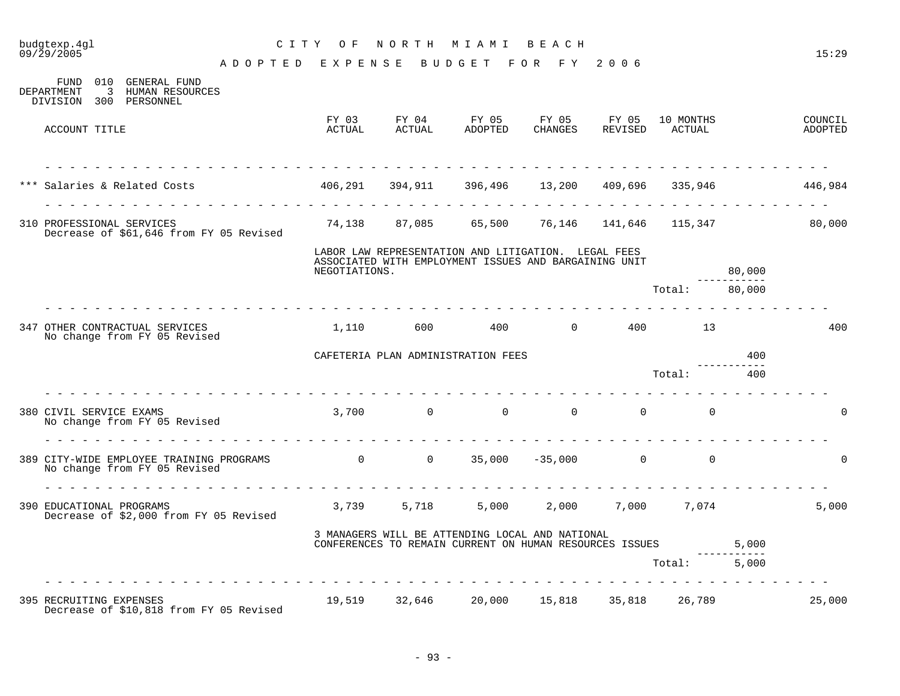| budgtexp.4gl<br>09/29/2005                                                                                                              | CITY OF NORTH MIAMI BEACH                                            |          |                                                                                                              |              |                        |        | 15:29              |
|-----------------------------------------------------------------------------------------------------------------------------------------|----------------------------------------------------------------------|----------|--------------------------------------------------------------------------------------------------------------|--------------|------------------------|--------|--------------------|
|                                                                                                                                         | ADOPTED EXPENSE BUDGET FOR FY 2006                                   |          |                                                                                                              |              |                        |        |                    |
| FUND 010 GENERAL FUND<br>DEPARTMENT<br>3 HUMAN RESOURCES<br>DIVISION 300 PERSONNEL                                                      |                                                                      |          |                                                                                                              |              |                        |        |                    |
| ACCOUNT TITLE                                                                                                                           | ACTUAL                                                               |          | FY 03 FY 04 FY 05 FY 05 FY 05 10 MONTHS<br>ACTUAL ADOPTED                                                    |              | CHANGES REVISED ACTUAL |        | COUNCIL<br>ADOPTED |
|                                                                                                                                         |                                                                      |          |                                                                                                              |              |                        |        |                    |
| Salaries & Related Costs                                                                                                                | $406,291$ $394,911$ $396,496$ $13,200$ $409,696$ $335,946$ $446,984$ |          |                                                                                                              |              |                        |        |                    |
| 310 PROFESSIONAL SERVICES<br>Decrease of \$61,646 from FY 05 Revised                                                                    |                                                                      |          | $74,138$ 87,085 65,500 76,146 141,646 115,347 80,000                                                         |              |                        |        |                    |
|                                                                                                                                         | NEGOTIATIONS.                                                        |          | LABOR LAW REPRESENTATION AND LITIGATION. LEGAL FEES<br>ASSOCIATED WITH EMPLOYMENT ISSUES AND BARGAINING UNIT |              |                        | 80,000 |                    |
|                                                                                                                                         |                                                                      |          |                                                                                                              |              | Total: 80,000          |        |                    |
| 347 OTHER CONTRACTUAL SERVICES<br>No change from FY 05 Revised                                                                          | 1,110                                                                | 600 - 10 |                                                                                                              | 400 0 400 13 |                        |        | 400                |
|                                                                                                                                         |                                                                      |          | CAFETERIA PLAN ADMINISTRATION FEES                                                                           |              |                        | 400    |                    |
|                                                                                                                                         |                                                                      |          |                                                                                                              |              | Total:                 | 400    |                    |
| 380 CIVIL SERVICE EXAMS<br>No change from FY 05 Revised                                                                                 |                                                                      |          | $3,700$ 0 0 0 0 0 0                                                                                          |              |                        |        | $\Omega$           |
| 389 CITY-WIDE EMPLOYEE TRAINING PROGRAMS $\begin{array}{cccc} 0 & 0 & 35,000 & -35,000 & 0 \end{array}$<br>No change from FY 05 Revised |                                                                      |          |                                                                                                              |              |                        |        | $\Omega$           |
| 390 EDUCATIONAL PROGRAMS<br>Decrease of \$2,000 from FY 05 Revised                                                                      |                                                                      |          | 3,739   5,718    5,000   2,000   7,000   7,074                                                               |              |                        |        | 5,000              |
|                                                                                                                                         |                                                                      |          | 3 MANAGERS WILL BE ATTENDING LOCAL AND NATIONAL<br>CONFERENCES TO REMAIN CURRENT ON HUMAN RESOURCES ISSUES   |              |                        | 5,000  |                    |
|                                                                                                                                         |                                                                      |          |                                                                                                              |              | Total: 5,000           |        |                    |
| 395 RECRUITING EXPENSES<br>Decrease of \$10,818 from FY 05 Revised                                                                      | 19,519 32,646 20,000 15,818 35,818 26,789                            |          |                                                                                                              |              |                        |        | 25,000             |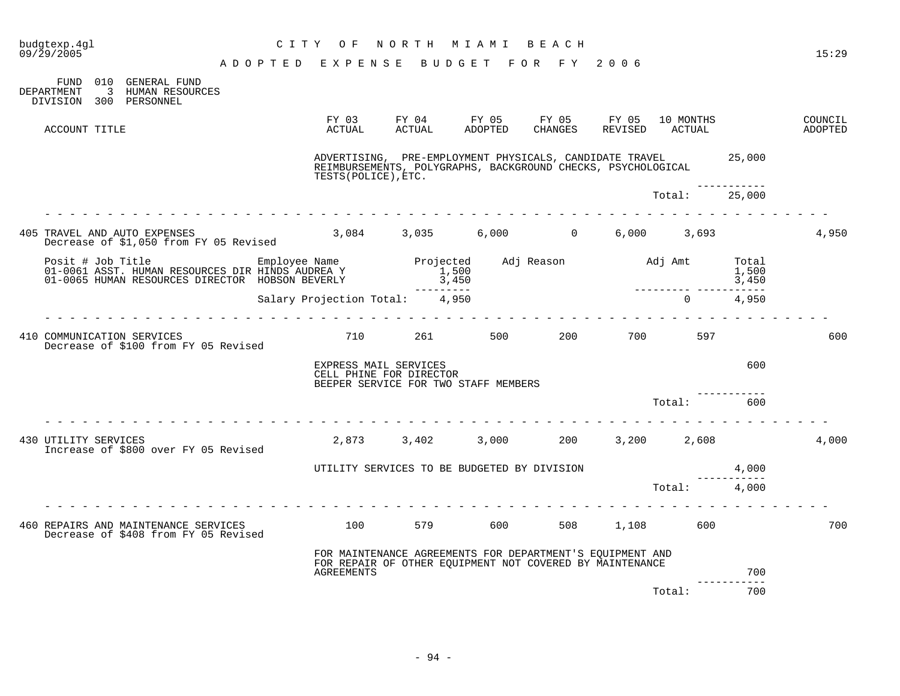| budgtexp.4gl<br>$09/\bar{2}9/2005$ |                                                                                                     | C I T Y<br>O F                                                                                                        | NORTH                                                        | M I A M I                   | BEACH            |                  |                     |                         | 15:29              |
|------------------------------------|-----------------------------------------------------------------------------------------------------|-----------------------------------------------------------------------------------------------------------------------|--------------------------------------------------------------|-----------------------------|------------------|------------------|---------------------|-------------------------|--------------------|
|                                    |                                                                                                     | A D O P T E D E X P E N S E B U D G E T F O R F Y 2006                                                                |                                                              |                             |                  |                  |                     |                         |                    |
| FUND<br><b>DEPARTMENT</b>          | 010 GENERAL FUND<br>3 HUMAN RESOURCES<br>DIVISION 300 PERSONNEL                                     |                                                                                                                       |                                                              |                             |                  |                  |                     |                         |                    |
| ACCOUNT TITLE                      |                                                                                                     | FY 03<br>ACTUAL                                                                                                       | FY 04<br>ACTUAL                                              | FY 05<br>ADOPTED            | FY 05<br>CHANGES | FY 05<br>REVISED | 10 MONTHS<br>ACTUAL |                         | COUNCIL<br>ADOPTED |
|                                    |                                                                                                     | ADVERTISING, PRE-EMPLOYMENT PHYSICALS, CANDIDATE TRAVEL<br>TESTS (POLICE), ETC.                                       | REIMBURSEMENTS, POLYGRAPHS, BACKGROUND CHECKS, PSYCHOLOGICAL |                             |                  |                  |                     | 25,000                  |                    |
|                                    |                                                                                                     |                                                                                                                       |                                                              |                             |                  |                  | Total:              | 25,000                  |                    |
|                                    | 405 TRAVEL AND AUTO EXPENSES                                                                        |                                                                                                                       | 3,084 3,035                                                  | 6,000                       | $\overline{0}$   | 6,000            | 3,693               |                         | 4,950              |
|                                    | Decrease of \$1,050 from FY 05 Revised                                                              |                                                                                                                       |                                                              |                             |                  |                  |                     |                         |                    |
| Posit # Job Title                  | 01-0061 ASST. HUMAN RESOURCES DIR HINDS AUDREA Y<br>01-0065 HUMAN RESOURCES DIRECTOR HOBSON BEVERLY | Employee Name                                                                                                         |                                                              | Projected<br>1,500<br>3,450 | Adj Reason       |                  | Adj Amt             | Total<br>1,500<br>3,450 |                    |
|                                    |                                                                                                     | Salary Projection Total:                                                                                              |                                                              | -------<br>4,950            |                  |                  | $\overline{0}$      | 4,950                   |                    |
|                                    |                                                                                                     |                                                                                                                       |                                                              |                             |                  |                  |                     |                         |                    |
|                                    | 410 COMMUNICATION SERVICES<br>Decrease of \$100 from FY 05 Revised                                  | 710                                                                                                                   | 261 20                                                       | 500                         | 200              | 700              | 597                 |                         | 600                |
|                                    |                                                                                                     | EXPRESS MAIL SERVICES<br>CELL PHINE FOR DIRECTOR                                                                      | BEEPER SERVICE FOR TWO STAFF MEMBERS                         |                             |                  |                  |                     | 600                     |                    |
|                                    |                                                                                                     |                                                                                                                       |                                                              |                             |                  |                  | Total:              | 600                     |                    |
|                                    |                                                                                                     |                                                                                                                       |                                                              |                             |                  |                  |                     |                         |                    |
| 430 UTILITY SERVICES               | Increase of \$800 over FY 05 Revised                                                                | 2,873                                                                                                                 | 3,402                                                        | 3,000                       | 200              | 3,200            | 2,608               |                         | 4,000              |
|                                    |                                                                                                     | UTILITY SERVICES TO BE BUDGETED BY DIVISION                                                                           |                                                              |                             |                  |                  |                     | 4,000                   |                    |
|                                    |                                                                                                     |                                                                                                                       |                                                              |                             |                  |                  | Total:              | 4,000                   |                    |
|                                    |                                                                                                     |                                                                                                                       |                                                              |                             |                  |                  |                     |                         |                    |
|                                    | 460 REPAIRS AND MAINTENANCE SERVICES<br>Decrease of \$408 from FY 05 Revised                        | 100                                                                                                                   | 579                                                          | 600                         | 508              | 1,108            | 600                 |                         | 700                |
|                                    |                                                                                                     | FOR MAINTENANCE AGREEMENTS FOR DEPARTMENT'S EQUIPMENT AND<br>FOR REPAIR OF OTHER EQUIPMENT NOT COVERED BY MAINTENANCE |                                                              |                             |                  |                  |                     |                         |                    |
|                                    |                                                                                                     | <b>AGREEMENTS</b>                                                                                                     |                                                              |                             |                  |                  |                     | 700<br>---------        |                    |
|                                    |                                                                                                     |                                                                                                                       |                                                              |                             |                  |                  | Total:              | 700                     |                    |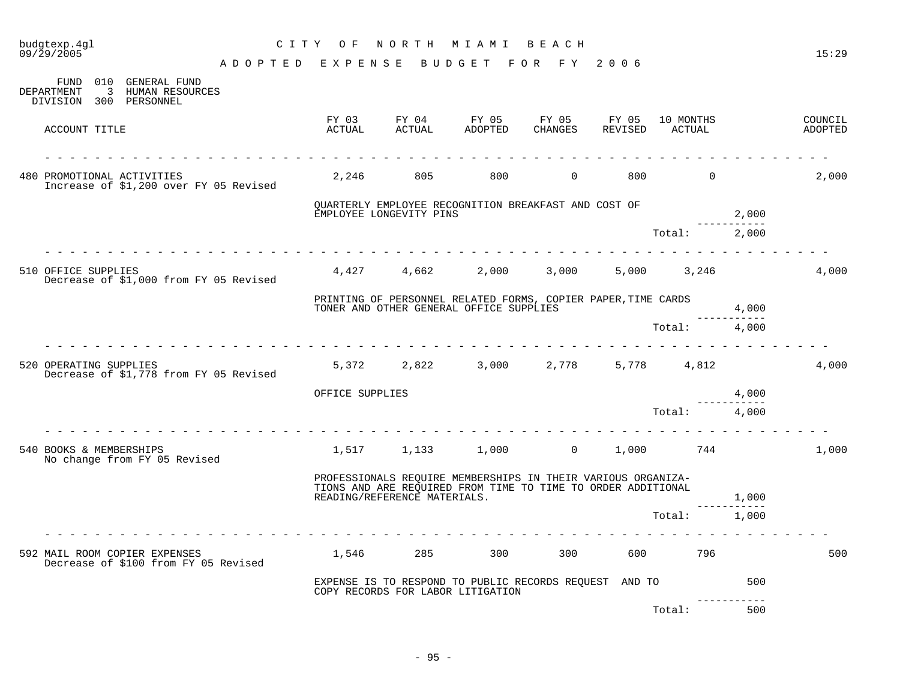| budgtexp.4gl<br>09/29/2005                             |                                                                       | C I T Y<br>O F               |                 | NORTH MIAMI BEACH                                                                                                            |                   |                  |                     |                 | 15:29              |
|--------------------------------------------------------|-----------------------------------------------------------------------|------------------------------|-----------------|------------------------------------------------------------------------------------------------------------------------------|-------------------|------------------|---------------------|-----------------|--------------------|
|                                                        |                                                                       | ADOPTED EXPENSE              |                 | BUDGET FOR FY                                                                                                                |                   | 2006             |                     |                 |                    |
| $\overline{3}$<br>DEPARTMENT<br>DIVISION 300 PERSONNEL | FUND 010 GENERAL FUND<br>HUMAN RESOURCES                              |                              |                 |                                                                                                                              |                   |                  |                     |                 |                    |
| ACCOUNT TITLE                                          |                                                                       | FY 03<br>ACTUAL              | FY 04<br>ACTUAL | FY 05<br>ADOPTED                                                                                                             | FY 05<br>CHANGES  | FY 05<br>REVISED | 10 MONTHS<br>ACTUAL |                 | COUNCIL<br>ADOPTED |
|                                                        |                                                                       |                              |                 |                                                                                                                              |                   |                  |                     |                 |                    |
| 480 PROMOTIONAL ACTIVITIES                             | Increase of \$1,200 over FY 05 Revised                                | 2,246                        | 805             | 800                                                                                                                          | $\overline{0}$    | 800              | $\Omega$            |                 | 2,000              |
|                                                        |                                                                       | EMPLOYEE LONGEVITY PINS      |                 | QUARTERLY EMPLOYEE RECOGNITION BREAKFAST AND COST OF                                                                         |                   |                  |                     | 2,000           |                    |
|                                                        |                                                                       |                              |                 |                                                                                                                              |                   |                  | Total:              | 2,000           |                    |
| 510 OFFICE SUPPLIES                                    |                                                                       | 4,427                        | 4,662           | 2,000                                                                                                                        | 3,000             | 5,000            | 3,246               |                 | 4,000              |
|                                                        | Decrease of \$1,000 from FY 05 Revised                                |                              |                 |                                                                                                                              |                   |                  |                     |                 |                    |
|                                                        |                                                                       |                              |                 | PRINTING OF PERSONNEL RELATED FORMS, COPIER PAPER, TIME CARDS<br>TONER AND OTHER GENERAL OFFICE SUPPLIES                     |                   |                  |                     | 4,000           |                    |
|                                                        |                                                                       |                              |                 |                                                                                                                              |                   |                  | Total:              | 4,000           |                    |
|                                                        |                                                                       |                              |                 |                                                                                                                              |                   |                  |                     |                 |                    |
| 520 OPERATING SUPPLIES                                 | Decrease of \$1,778 from FY 05 Revised                                |                              | 5,372 2,822     | 3,000                                                                                                                        | 2,778             |                  | 5,778 4,812         |                 | 4,000              |
|                                                        |                                                                       | OFFICE SUPPLIES              |                 |                                                                                                                              |                   |                  |                     | 4,000           |                    |
|                                                        |                                                                       |                              |                 |                                                                                                                              |                   |                  | Total:              | 4,000           |                    |
| 540 BOOKS & MEMBERSHIPS                                | No change from FY 05 Revised                                          |                              | 1,517 1,133     | 1,000                                                                                                                        | $0 \qquad \qquad$ |                  | 1,000 744           |                 | 1,000              |
|                                                        |                                                                       | READING/REFERENCE MATERIALS. |                 | PROFESSIONALS REQUIRE MEMBERSHIPS IN THEIR VARIOUS ORGANIZA-<br>TIONS AND ARE REQUIRED FROM TIME TO TIME TO ORDER ADDITIONAL |                   |                  |                     | 1,000           |                    |
|                                                        |                                                                       |                              |                 |                                                                                                                              |                   |                  | Total:              | ------<br>1,000 |                    |
|                                                        | 592 MAIL ROOM COPIER EXPENSES<br>Decrease of \$100 from FY 05 Revised | 1,546                        | 285             | 300                                                                                                                          | 300               | 600 00           | 796                 |                 | 500                |
|                                                        |                                                                       |                              |                 | EXPENSE IS TO RESPOND TO PUBLIC RECORDS REQUEST AND TO<br>COPY RECORDS FOR LABOR LITIGATION                                  |                   |                  |                     | 500             |                    |
|                                                        |                                                                       |                              |                 |                                                                                                                              |                   |                  | Total:              | 500             |                    |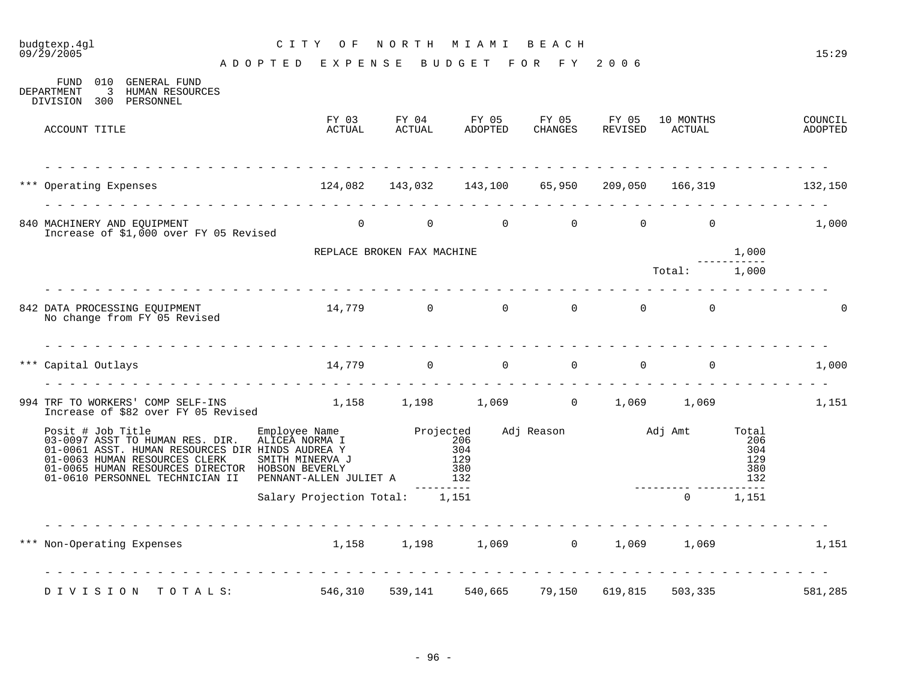#### budgtexp.4g1 <br>
09/29/2005 <br>
09/29/2005 - PHPP PHPP PHPP PHPP PHP PHP PHP POP PHP POP PHP 0.000 A D O P T E D E X P E N S E B U D G E T F O R F Y 2 0 0 6 FUND 010 GENERAL FUND<br>DEPARTMENT 3 HUMAN RESOURC 3 HUMAN RESOURCES DIVISION 300 PERSONNEL FY 03 FY 04 FY 05 FY 05 FY 05 10 MONTHS COUNCIL ACCOUNT TITLE ACTUAL ACTUAL ADOPTED CHANGES REVISED ACTUAL ADOPTED - - - - - - - - - - - - - - - - - - - - - - - - - - - - - - - - - - - - - - - - - - - - - - - - - - - - - - - - - - - - - - - \*\*\* Operating Expenses 124,082 143,032 143,100 65,950 209,050 166,319 132,150 - - - - - - - - - - - - - - - - - - - - - - - - - - - - - - - - - - - - - - - - - - - - - - - - - - - - - - - - - - - - - - - 840 MACHINERY AND EOUIPMENT 
and the control of the control of the control of the control of the control of the control of the control of the control of the control of the control of the control of the control of the contr Increase of \$1,000 over FY 05 Revised REPLACE BROKEN FAX MACHINE 1,000 ----------- Total: 1,000 - - - - - - - - - - - - - - - - - - - - - - - - - - - - - - - - - - - - - - - - - - - - - - - - - - - - - - - - - - - - - - - 842 DATA PROCESSING EQUIPMENT 14,779 0 0 0 0 0 0 No change from FY 05 Revised - - - - - - - - - - - - - - - - - - - - - - - - - - - - - - - - - - - - - - - - - - - - - - - - - - - - - - - - - - - - - - - \*\*\* Capital Outlays 14,779 0 0 0 0 0 1,000 - - - - - - - - - - - - - - - - - - - - - - - - - - - - - - - - - - - - - - - - - - - - - - - - - - - - - - - - - - - - - - - 994 TRF TO WORKERS' COMP SELF-INS  $1,158$   $1,198$   $1,069$  0  $1,069$   $1,069$  1,069 1,151 Increase of \$82 over FY 05 Revised Posit # Job Title Employee Name Projected Adj Reason Adj Amt Total 03-0097 ASST TO HUMAN RES. DIR. ALICEA NORMA I 206 206 01-0061 ASST. HUMAN RESOURCES DIR HINDS AUDREA Y 304 304 01-0063 HUMAN RESOURCES CLERK SMITH MINERVA J 129 129 01-0065 HUMAN RESOURCES DIRECTOR HOBSON BEVERLY 380 380 01-0610 PERSONNEL TECHNICIAN II PENNANT-ALLEN JULIET A --------- --------- ----------- Salary Projection Total: 1,151 0 1,151 - - - - - - - - - - - - - - - -\*\*\* Non-Operating Expenses 1,158 1,198 1,069 0 1,069 1,069 1,151 - - - - - - - - - - - - - - - - - - - - - - - - - - - - - - - - - - - - - - - - - - - - - - - - - - - - - - - - - - - - - - - D I V I S I O N T O T A L S: 546,310 539,141 540,665 79,150 619,815 503,335 581,285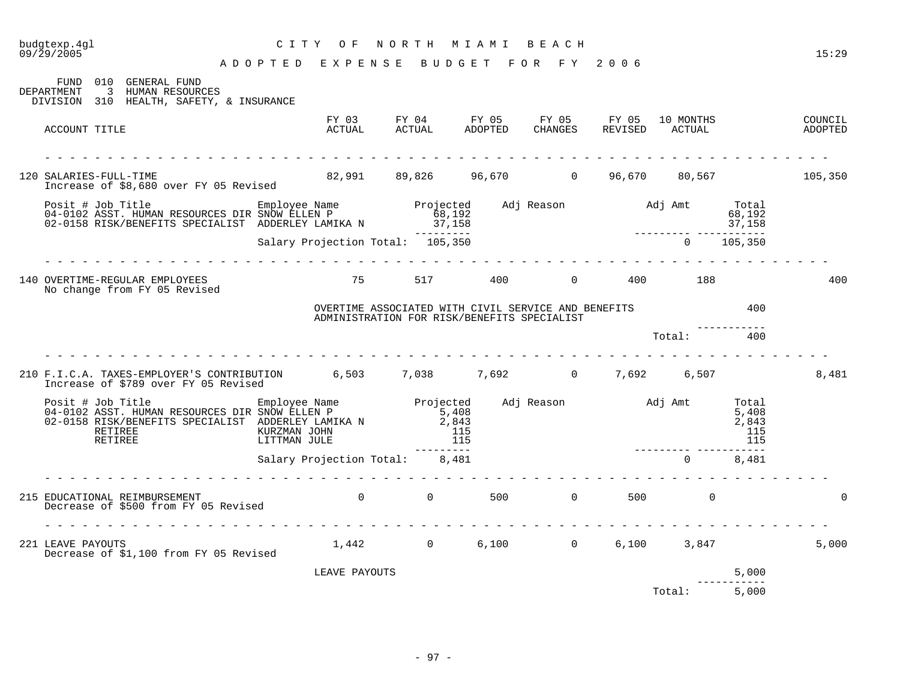| 09/29/2005                                                                                                                                                                                                                             | ADOPTED EXPENSE BUDGET FOR FY 2006                                     |                                                                                                       |  |              |              | 15:29 |
|----------------------------------------------------------------------------------------------------------------------------------------------------------------------------------------------------------------------------------------|------------------------------------------------------------------------|-------------------------------------------------------------------------------------------------------|--|--------------|--------------|-------|
| FUND 010 GENERAL FUND<br>DEPARTMENT 3 HUMAN RESOURCES<br>DIVISION 310 HEALTH, SAFETY, & INSURANCE                                                                                                                                      |                                                                        |                                                                                                       |  |              |              |       |
| ACCOUNT TITLE                                                                                                                                                                                                                          |                                                                        | FY 03 FY 04 FY 05 FY 05 FY 05 10 MONTHS COUNCIL COUNCIL ACTUAL ADOPTED CHANGES REVISED ACTUAL ADOPTED |  |              |              |       |
|                                                                                                                                                                                                                                        |                                                                        |                                                                                                       |  |              |              |       |
| 120 SALARIES-FULL-TIME<br>Increase of \$8,680 over FY 05 Revised                                                                                                                                                                       |                                                                        | 82,991 89,826 96,670 0 96,670 80,567 105,350                                                          |  |              |              |       |
| Posit # Job Title Employee Name Projected Adj Reason Adj Amt Total<br>192 ASST. HUMAN RESOURCES DIR SNOW ELLEN P 68,192<br>192 68,192 68,192 68,192 68,192 17,158<br>17,158 --------- Salary Projection Total: 105,350                 |                                                                        |                                                                                                       |  |              |              |       |
|                                                                                                                                                                                                                                        | <u>a a a a a a a a a a a</u>                                           |                                                                                                       |  |              |              |       |
| 140 OVERTIME-REGULAR EMPLOYEES<br>No change from FY 05 Revised                                                                                                                                                                         |                                                                        | 75 517 400 0 400 188                                                                                  |  |              |              | 400   |
|                                                                                                                                                                                                                                        |                                                                        | OVERTIME ASSOCIATED WITH CIVIL SERVICE AND BENEFITS<br>ADMINISTRATION FOR RISK/BENEFITS SPECIALIST    |  | 400          |              |       |
|                                                                                                                                                                                                                                        |                                                                        |                                                                                                       |  |              |              |       |
| 210 F.I.C.A. TAXES-EMPLOYER'S CONTRIBUTION 6,503 7,038 7,692 0 7,692 6,507<br>Increase of \$789 over FY 05 Revised                                                                                                                     |                                                                        |                                                                                                       |  |              |              | 8,481 |
| Posit # Job Title Employee Name Projected Adj Reason Adj Amt Total COMENT MAN RESOURCES DIR SNOW ELLEN P 5,408<br>02-0158 RISK/BENEFITS SPECIALIST ADDERLEY LAMIKA N 2,843<br>RETIREE KURZMAN JOHN 115<br>RETIREE LITTMAN JULE 115<br> | KURZMAN JOHN 115<br>LITTMAN JULE 115<br>Salary Projection Total: 8,481 |                                                                                                       |  |              |              |       |
|                                                                                                                                                                                                                                        |                                                                        |                                                                                                       |  | $0 \t 8,481$ |              |       |
| 215 EDUCATIONAL REIMBURSEMENT<br>Decrease of \$500 from FY 05 Revised                                                                                                                                                                  |                                                                        | 0 0 500 0 500 0                                                                                       |  |              |              |       |
| 221 LEAVE PAYOUTS<br>Decrease of \$1,100 from FY 05 Revised                                                                                                                                                                            |                                                                        | $1,442$ 0 6,100 0 6,100 3,847                                                                         |  |              |              | 5,000 |
|                                                                                                                                                                                                                                        | LEAVE PAYOUTS                                                          |                                                                                                       |  |              | 5,000        |       |
|                                                                                                                                                                                                                                        |                                                                        |                                                                                                       |  | Total: 5,000 | ------------ |       |

- 97 -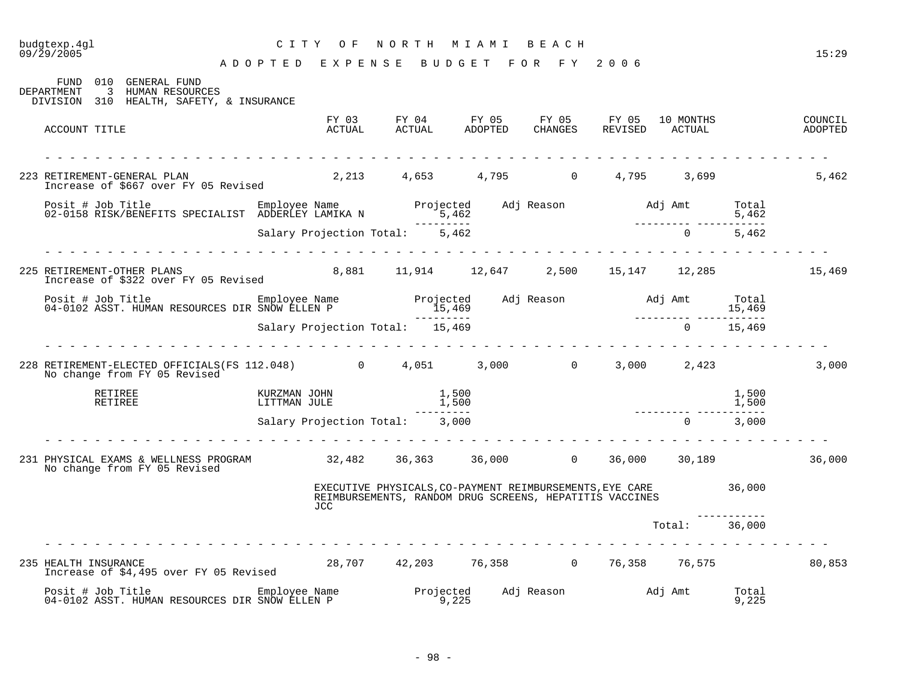### budgtexp.4gl C I T Y O F N O R T H M I A M I B E A C H

| 010<br>GENERAL FUND<br>FUND<br>3 HUMAN RESOURCES<br>DEPARTMENT<br>DIVISION 310 HEALTH, SAFETY, & INSURANCE                                                                                     |                              |                                 |                |                                                                                                                             |  |               |                |                    |
|------------------------------------------------------------------------------------------------------------------------------------------------------------------------------------------------|------------------------------|---------------------------------|----------------|-----------------------------------------------------------------------------------------------------------------------------|--|---------------|----------------|--------------------|
| ACCOUNT TITLE                                                                                                                                                                                  |                              | <b>ACTUAL</b>                   |                | FY 03 FY 04 FY 05 FY 05 FY 05 10 MONTHS<br>ACTUAL ACTUAL ADOPTED CHANGES REVISED ACTUAL                                     |  |               |                | COUNCIL<br>ADOPTED |
| 223 RETIREMENT-GENERAL PLAN<br>Increase of \$667 over FY 05 Revised                                                                                                                            |                              |                                 |                | 2, 213 4, 653 4, 795 0 4, 795 3, 699                                                                                        |  |               |                | 5,462              |
| Posit # Job Title<br>02-0158 RISK/BENEFITS SPECIALIST ADDERLEY LAMIKA N                                                                                                                        |                              |                                 |                |                                                                                                                             |  |               |                |                    |
|                                                                                                                                                                                                |                              | Salary Projection Total: 5,462  | ----------     |                                                                                                                             |  |               |                |                    |
| 225 RETIREMENT-OTHER PLANS<br>Increase of \$322 over FY 05 Revised                                                                                                                             |                              |                                 |                | 8,881 11,914 12,647 2,500 15,147 12,285 15,469                                                                              |  |               |                |                    |
|                                                                                                                                                                                                |                              |                                 | ----------     |                                                                                                                             |  |               |                |                    |
|                                                                                                                                                                                                |                              | Salary Projection Total: 15,469 |                |                                                                                                                             |  |               | $0 \t 15,469$  |                    |
| 228 RETIREMENT-ELECTED OFFICIALS(FS 112.048) $\qquad \qquad 0 \qquad \qquad 4,051 \qquad \qquad 3,000 \qquad \qquad 0 \qquad \qquad 3,000 \qquad \qquad 2,423$<br>No change from FY 05 Revised |                              |                                 |                |                                                                                                                             |  |               |                | 3,000              |
| RETIREE<br>RETIREE                                                                                                                                                                             | KURZMAN JOHN<br>LITTMAN JULE |                                 | 1,500<br>1,500 |                                                                                                                             |  |               | 1,500<br>1,500 |                    |
|                                                                                                                                                                                                |                              | Salary Projection Total: 3,000  |                |                                                                                                                             |  | $0 \t 3,000$  |                |                    |
| 231 PHYSICAL EXAMS & WELLNESS PROGRAM 32,482 36,363 36,000 0 36,000 30,189<br>No change from FY 05 Revised                                                                                     |                              |                                 |                |                                                                                                                             |  |               |                | 36,000             |
|                                                                                                                                                                                                |                              | JCC.                            |                | EXECUTIVE PHYSICALS, CO-PAYMENT REIMBURSEMENTS, EYE CARE 36, 000<br>REIMBURSEMENTS, RANDOM DRUG SCREENS, HEPATITIS VACCINES |  |               |                |                    |
|                                                                                                                                                                                                |                              |                                 |                |                                                                                                                             |  | Total: 36,000 |                |                    |
| 235 HEALTH INSURANCE<br>Increase of \$4,495 over FY 05 Revised                                                                                                                                 |                              |                                 |                | 28,707 42,203 76,358 0 76,358 76,575                                                                                        |  |               |                | 80,853             |
| Posit # Job Title Employee Name<br>04-0102 ASST. HUMAN RESOURCES DIR SNOW ELLEN P                                                                                                              |                              |                                 | 9,225          | Projected Adj Reason Maj Amt                                                                                                |  |               | Total<br>9,225 |                    |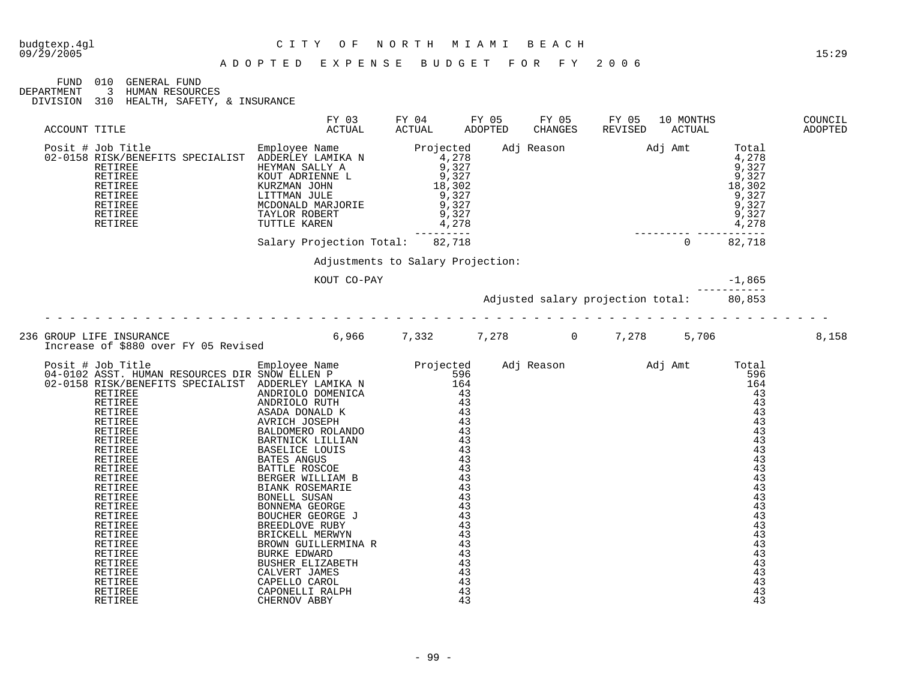|            | FUND 010 GENERAL FUND                    |  |
|------------|------------------------------------------|--|
| DEPARTMENT | 3 HUMAN RESOURCES                        |  |
|            | DIVISION 310 HEALTH, SAFETY, & INSURANCE |  |

FY 03 FY 04 FY 05 FY 05 FY 05 10 MONTHS COUNCIL ACCOUNT TITLE ACTUAL ACTUAL ADOPTED CHANGES REVISED ACTUAL ADOPTED Posit # Job Title Employee Name Projected Adj Reason Adj Amt Total 02-0158 RISK/BENEFITS SPECIALIST ADDERLEY LAMIKA N 4,278 4,278 RETIREE HEYMAN SALLY A 9,327 9,327 RETIREE KOUT ADRIENNE L 9,327 9,327 RETIREE KURZMAN JOHN 18,302 18,302 RETIREE LITTMAN JULE 9,327 9,327 RETIREE MCDONALD MARJORIE 9,327 9,327 RETIREE TAYLOR ROBERT 9,327 9,327 RETIREE TUTTLE KAREN 4,278 4,278 --------- --------- ----------- Salary Projection Total: 82,718 0 82,718 Adjustments to Salary Projection: KOUT CO-PAY  $-1,865$ ----------- Adjusted salary projection total: 80,853 - - - - - - - - - - - - - - - - - - - - - - - - - - - - - - - - - - - - - - - - - - - - - - - - - - - - - - - - - - - - - - - 236 GROUP LIFE INSURANCE 6,966 7,332 7,278 0 7,278 5,706 8,158 Increase of \$880 over FY 05 Revised Posit # Job Title Employee Name Projected Adj Reason Adj Amt Total 04-0102 ASST. HUMAN RESOURCES DIR SNOW ELLEN P 596 596 02-0158 RISK/BENEFITS SPECIALIST ADDERLEY LAMIKA N 164 164 RETIREE ANDRIOLO DOMENICA 43 43 RETIREE ANDRIOLO RUTH 43 43 RETIREE ASADA DONALD K 43 43 RETIREE AVRICH JOSEPH 43 43 RETIREE BALDOMERO ROLANDO 43 43

| RETIREE        | BARTNICK LILLIAN        | 43 | 43 |
|----------------|-------------------------|----|----|
| <b>RETIREE</b> | <b>BASELICE LOUIS</b>   | 43 | 43 |
| <b>RETIREE</b> | <b>BATES ANGUS</b>      | 43 | 43 |
| <b>RETIREE</b> | BATTLE ROSCOE           | 43 | 43 |
| <b>RETIREE</b> | BERGER WILLIAM B        | 43 | 43 |
| RETIREE        | BIANK ROSEMARIE         | 43 | 43 |
| <b>RETIREE</b> | BONELL SUSAN            | 43 | 43 |
| RETIREE        | BONNEMA GEORGE          | 43 | 43 |
| RETIREE        | BOUCHER GEORGE J        | 43 | 43 |
| RETIREE        | BREEDLOVE RUBY          | 43 | 43 |
| <b>RETIREE</b> | BRICKELL MERWYN         | 43 | 43 |
| RETIREE        | BROWN GUILLERMINA R     | 43 | 43 |
| <b>RETIREE</b> | BURKE EDWARD            | 43 | 43 |
| <b>RETIREE</b> | <b>BUSHER ELIZABETH</b> | 43 | 43 |
| RETIREE        | CALVERT JAMES           | 43 | 43 |
| RETIREE        | CAPELLO CAROL           | 43 | 43 |
| RETIREE        | CAPONELLI RALPH         | 43 | 43 |
| <b>RETIREE</b> | CHERNOV ABBY            | 43 | 43 |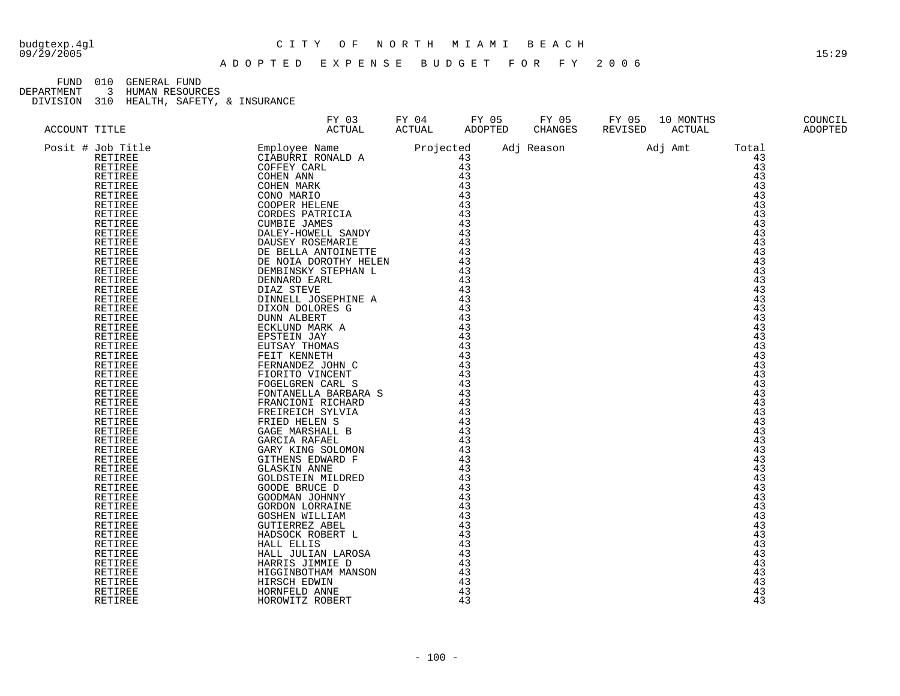#### budgtexp.4gl C I T Y O F N O R T H M I A M I B E A C H

FUND 010 GENERAL FUND<br>DEPARTMENT 3 HUMAN RESOURO

DEPARTMENT 3 HUMAN RESOURCES

| ACCOUNT TITLE                                                                              | FY 03<br>ACTUAL                                                                                                                                                                                                                                                                                                                                                                                                                                       | FY 04<br>ACTUAL | FY 05<br>ADOPTED | FY 05<br>CHANGES | FY 05<br>REVISED | 10 MONTHS<br>ACTUAL |                                                     | COUNCIL<br>ADOPTED |
|--------------------------------------------------------------------------------------------|-------------------------------------------------------------------------------------------------------------------------------------------------------------------------------------------------------------------------------------------------------------------------------------------------------------------------------------------------------------------------------------------------------------------------------------------------------|-----------------|------------------|------------------|------------------|---------------------|-----------------------------------------------------|--------------------|
| Posit # Job Title<br>RETIREE<br><b>RETIREE</b><br>RETIREE<br>RETIREE<br>RETIREE<br>RETIREE | $\begin{tabular}{l c c c} \multicolumn{1}{c}{\textbf{FY U3}} & \multicolumn{1}{c}{\textbf{R1}} & \multicolumn{1}{c}{\textbf{R1}} & \multicolumn{1}{c}{\textbf{R2}} & \multicolumn{1}{c}{\textbf{R2}} & \multicolumn{1}{c}{\textbf{R3}} & \multicolumn{1}{c}{\textbf{R4}} & \multicolumn{1}{c}{\textbf{R2}} & \multicolumn{1}{c}{\textbf{R3}} & \multicolumn{1}{c}{\textbf{R4}} & \multicolumn{1}{c}{\textbf{R3}} & \multicolumn{1}{c}{\textbf{R4}} &$ |                 |                  | Adj Reason       |                  | Adj Amt             | Total<br>43<br>43<br>43<br>43<br>43<br>43           |                    |
| RETIREE<br>RETIREE<br>RETIREE<br>RETIREE<br>RETIREE<br>RETIREE<br>RETIREE                  |                                                                                                                                                                                                                                                                                                                                                                                                                                                       |                 |                  |                  |                  |                     | 43<br>43<br>$\overline{43}$<br>43<br>43<br>43<br>43 |                    |
| RETIREE<br>RETIREE<br>RETIREE<br>RETIREE<br>RETIREE<br>RETIREE                             |                                                                                                                                                                                                                                                                                                                                                                                                                                                       |                 |                  |                  |                  |                     | 43<br>43<br>43<br>43<br>43<br>43                    |                    |
| RETIREE<br>RETIREE<br>RETIREE<br>RETIREE<br>RETIREE<br>RETIREE<br>RETIREE                  |                                                                                                                                                                                                                                                                                                                                                                                                                                                       |                 |                  |                  |                  |                     | 43<br>43<br>43<br>43<br>43<br>43<br>43              |                    |
| RETIREE<br>RETIREE<br>RETIREE<br>RETIREE<br>RETIREE<br>RETIREE                             |                                                                                                                                                                                                                                                                                                                                                                                                                                                       |                 |                  |                  |                  |                     | 43<br>43<br>43<br>43<br>43<br>43                    |                    |
| RETIREE<br>RETIREE<br>RETIREE<br>RETIREE<br>RETIREE<br>RETIREE<br>RETIREE                  |                                                                                                                                                                                                                                                                                                                                                                                                                                                       |                 |                  |                  |                  |                     | 43<br>43<br>43<br>43<br>43<br>43<br>43              |                    |
| RETIREE<br>RETIREE<br>RETIREE<br>RETIREE<br>RETIREE<br>RETIREE                             |                                                                                                                                                                                                                                                                                                                                                                                                                                                       |                 |                  |                  |                  |                     | 43<br>43<br>43<br>43<br>43<br>43                    |                    |
| RETIREE<br>RETIREE<br>RETIREE                                                              |                                                                                                                                                                                                                                                                                                                                                                                                                                                       |                 |                  |                  |                  |                     | 43<br>43<br>43                                      |                    |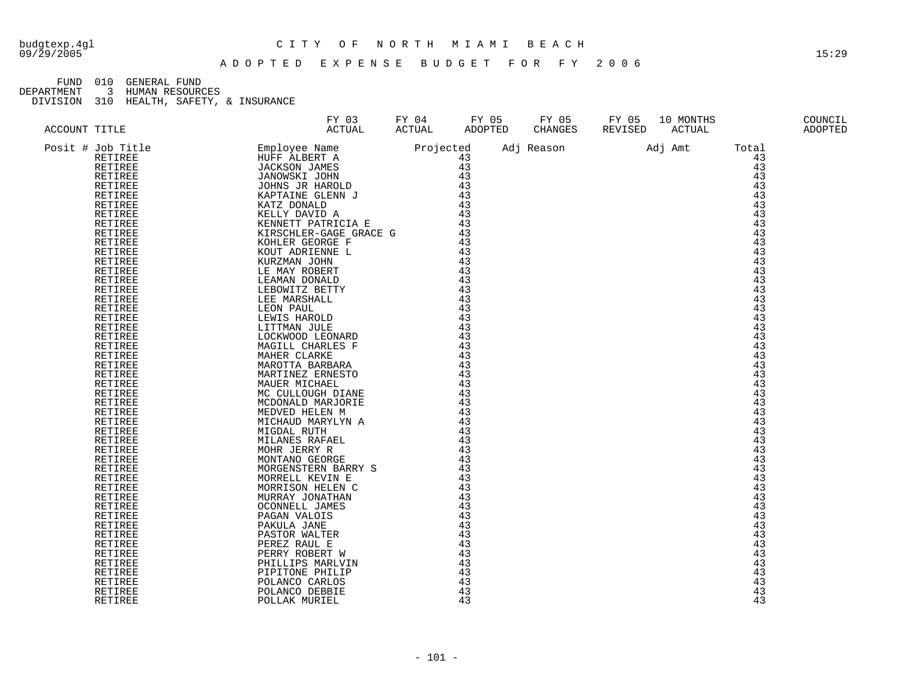#### budgtexp.4gl C I T Y O F N O R T H M I A M I B E A C H

FUND 010 GENERAL FUND<br>DEPARTMENT 3 HUMAN RESOURO

DEPARTMENT 3 HUMAN RESOURCES

| ACCOUNT TITLE      | FY 03<br>ACTUAL                             | FY 04<br>ACTUAL                                                                                                                                                                                                                                                                                                                                                                                                                                        | FY 05<br>ADOPTED | FY 05<br>CHANGES | FY 05<br>REVISED | 10 MONTHS<br>ACTUAL |          | COUNCIL<br>ADOPTED |
|--------------------|---------------------------------------------|--------------------------------------------------------------------------------------------------------------------------------------------------------------------------------------------------------------------------------------------------------------------------------------------------------------------------------------------------------------------------------------------------------------------------------------------------------|------------------|------------------|------------------|---------------------|----------|--------------------|
| Posit # Job Title  | Employee Name                               |                                                                                                                                                                                                                                                                                                                                                                                                                                                        |                  | Adj Reason       |                  | Adj Amt             | Total    |                    |
| RETIREE            | HUFF ALBERT A                               | Projected<br>43<br>43                                                                                                                                                                                                                                                                                                                                                                                                                                  |                  |                  |                  |                     | 43       |                    |
| <b>RETIREE</b>     | JACKSON JAMES                               |                                                                                                                                                                                                                                                                                                                                                                                                                                                        | 43               |                  |                  |                     | 43       |                    |
| RETIREE            |                                             |                                                                                                                                                                                                                                                                                                                                                                                                                                                        | 43               |                  |                  |                     | 43       |                    |
| RETIREE            | JANOWSKI JOHN<br>JOHNS JR HAROLD<br>WARTITI |                                                                                                                                                                                                                                                                                                                                                                                                                                                        |                  |                  |                  |                     | 43       |                    |
| RETIREE            | KAPTAINE GLENN J                            |                                                                                                                                                                                                                                                                                                                                                                                                                                                        |                  |                  |                  |                     | 43       |                    |
| RETIREE            | KATZ DONALD                                 |                                                                                                                                                                                                                                                                                                                                                                                                                                                        |                  |                  |                  |                     | 43       |                    |
| RETIREE            | KELLY DAVID A                               |                                                                                                                                                                                                                                                                                                                                                                                                                                                        |                  |                  |                  |                     | 43       |                    |
| RETIREE            | KENNETT PATRICIA E                          | $\begin{array}{ccccc} & & & & & 43\ 0 & & & & & 43\ 1A & E & & & & 43\ 1B & & & & 43\ 1C & & & & & 43\ 1D & & & & & 43\ 1D & & & & & 43\ 1D & & & & & 43\ 1D & & & & & 43\ 1D & & & & & 43\ 1D & & & & & 43\ 1D & & & & & 43\ 1D & & & & & 43\ 1D & & & & & 43\ 1D & & & & & 43\ 1D & & & & & 43\ \end{array}$                                                                                                                                         |                  |                  |                  |                     | 43       |                    |
| RETIREE            | KIRSCHLER-GAGE GRACE G                      |                                                                                                                                                                                                                                                                                                                                                                                                                                                        |                  |                  |                  |                     | 43       |                    |
| RETIREE            | KOHLER GEORGE F                             |                                                                                                                                                                                                                                                                                                                                                                                                                                                        |                  |                  |                  |                     | 43       |                    |
| RETIREE            | KOUT ADRIENNE L                             |                                                                                                                                                                                                                                                                                                                                                                                                                                                        |                  |                  |                  |                     | 43       |                    |
| RETIREE            | KURZMAN JOHN                                |                                                                                                                                                                                                                                                                                                                                                                                                                                                        |                  |                  |                  |                     | 43       |                    |
| RETIREE            | LE MAY ROBERT                               |                                                                                                                                                                                                                                                                                                                                                                                                                                                        |                  |                  |                  |                     | 43       |                    |
| RETIREE            | LEAMAN DONALD                               |                                                                                                                                                                                                                                                                                                                                                                                                                                                        |                  |                  |                  |                     | 43       |                    |
| RETIREE            | LEBOWITZ BETTY                              |                                                                                                                                                                                                                                                                                                                                                                                                                                                        |                  |                  |                  |                     | 43       |                    |
| RETIREE            | LEE MARSHALL                                |                                                                                                                                                                                                                                                                                                                                                                                                                                                        | $\frac{43}{43}$  |                  |                  |                     | 43       |                    |
| RETIREE            | LEON PAUL                                   |                                                                                                                                                                                                                                                                                                                                                                                                                                                        |                  |                  |                  |                     | 43       |                    |
| RETIREE            | LEWIS HAROLD                                |                                                                                                                                                                                                                                                                                                                                                                                                                                                        |                  |                  |                  |                     | 43       |                    |
| RETIREE            | LITTMAN JULE                                |                                                                                                                                                                                                                                                                                                                                                                                                                                                        |                  |                  |                  |                     | 43       |                    |
| RETIREE            | LOCKWOOD LEONARD                            |                                                                                                                                                                                                                                                                                                                                                                                                                                                        |                  |                  |                  |                     | 43       |                    |
| RETIREE            | MAGILL CHARLES F                            | $\frac{43}{43}$<br>$\frac{43}{43}$                                                                                                                                                                                                                                                                                                                                                                                                                     |                  |                  |                  |                     | 43       |                    |
| RETIREE            | MAHER CLARKE                                |                                                                                                                                                                                                                                                                                                                                                                                                                                                        | 43               |                  |                  |                     | 43       |                    |
| RETIREE            | MAROTTA BARBARA                             |                                                                                                                                                                                                                                                                                                                                                                                                                                                        |                  |                  |                  |                     | 43       |                    |
| RETIREE            | MARTINEZ ERNESTO                            |                                                                                                                                                                                                                                                                                                                                                                                                                                                        |                  |                  |                  |                     | 43       |                    |
| RETIREE            | MAUER MICHAEL                               | $\frac{4}{43}$<br>43<br>43<br>$\begin{array}{cccc} \tt NE & & & & & 43 \\ \tt NL & & & & 43 \\ \tt A & & & & 43 \\ \tt A & & & 43 \\ \tt A & & & 43 \\ \tt A & & & 43 \\ \tt A & & & 43 \\ \tt A & & & 43 \\ \tt A & & & 43 \\ \tt C & & & & 43 \\ \tt C & & & & 43 \\ \tt C & & & & 43 \\ \tt C & & & & 43 \\ \tt C & & & & 43 \\ \tt C & & & & 43 \\ \tt C & & & & 43 \\ \tt C & & & & 43 \\ \tt C & & & & 43 \\ \tt C & & & & 43 \\ \tt C & & & & $ |                  |                  |                  |                     | 43       |                    |
| RETIREE            | MC CULLOUGH DIANE                           |                                                                                                                                                                                                                                                                                                                                                                                                                                                        |                  |                  |                  |                     | 43       |                    |
| RETIREE            | MCDONALD MARJORIE                           |                                                                                                                                                                                                                                                                                                                                                                                                                                                        |                  |                  |                  |                     | 43       |                    |
| RETIREE            | MEDVED HELEN M                              |                                                                                                                                                                                                                                                                                                                                                                                                                                                        |                  |                  |                  |                     | 43       |                    |
| RETIREE            | MICHAUD MARYLYN A                           |                                                                                                                                                                                                                                                                                                                                                                                                                                                        |                  |                  |                  |                     | 43       |                    |
| RETIREE            | MIGDAL RUTH                                 |                                                                                                                                                                                                                                                                                                                                                                                                                                                        |                  |                  |                  |                     | 43       |                    |
| RETIREE            | MILANES RAFAEL                              |                                                                                                                                                                                                                                                                                                                                                                                                                                                        |                  |                  |                  |                     | 43       |                    |
| RETIREE            | MOHR JERRY R                                |                                                                                                                                                                                                                                                                                                                                                                                                                                                        |                  |                  |                  |                     | 43       |                    |
| RETIREE<br>RETIREE | MONTANO GEORGE<br>MORGENSTERN BARRY S       |                                                                                                                                                                                                                                                                                                                                                                                                                                                        |                  |                  |                  |                     | 43<br>43 |                    |
| RETIREE            | MORRELL KEVIN E                             |                                                                                                                                                                                                                                                                                                                                                                                                                                                        |                  |                  |                  |                     | 43       |                    |
| RETIREE            | MORRISON HELEN C                            |                                                                                                                                                                                                                                                                                                                                                                                                                                                        |                  |                  |                  |                     | 43       |                    |
| RETIREE            | MURRAY JONATHAN                             |                                                                                                                                                                                                                                                                                                                                                                                                                                                        |                  |                  |                  |                     | 43       |                    |
| RETIREE            | OCONNELL JAMES                              |                                                                                                                                                                                                                                                                                                                                                                                                                                                        |                  |                  |                  |                     | 43       |                    |
| RETIREE            | PAGAN VALOIS                                |                                                                                                                                                                                                                                                                                                                                                                                                                                                        |                  |                  |                  |                     | 43       |                    |
| RETIREE            | PAKULA JANE                                 |                                                                                                                                                                                                                                                                                                                                                                                                                                                        |                  |                  |                  |                     | 43       |                    |
| RETIREE            | PASTOR WALTER                               |                                                                                                                                                                                                                                                                                                                                                                                                                                                        |                  |                  |                  |                     | 43       |                    |
| RETIREE            | PEREZ RAUL E                                | $\begin{array}{c}43 \\ 43 \\ 43 \\ 43 \\ 43 \\ 43 \\ 43 \\ \end{array}$                                                                                                                                                                                                                                                                                                                                                                                |                  |                  |                  |                     | 43       |                    |
| RETIREE            | PERRY ROBERT W                              |                                                                                                                                                                                                                                                                                                                                                                                                                                                        |                  |                  |                  |                     | 43       |                    |
| RETIREE            | PHILLIPS MARLVIN                            |                                                                                                                                                                                                                                                                                                                                                                                                                                                        | 43               |                  |                  |                     | 43       |                    |
| RETIREE            | PIPITONE PHILIP                             |                                                                                                                                                                                                                                                                                                                                                                                                                                                        | 43               |                  |                  |                     | 43       |                    |
| RETIREE            | POLANCO CARLOS                              |                                                                                                                                                                                                                                                                                                                                                                                                                                                        | 43               |                  |                  |                     | 43       |                    |
| RETIREE            | POLANCO DEBBIE                              |                                                                                                                                                                                                                                                                                                                                                                                                                                                        | 43               |                  |                  |                     | 43       |                    |
| RETIREE            | POLLAK MURIEL                               |                                                                                                                                                                                                                                                                                                                                                                                                                                                        | 43               |                  |                  |                     | 43       |                    |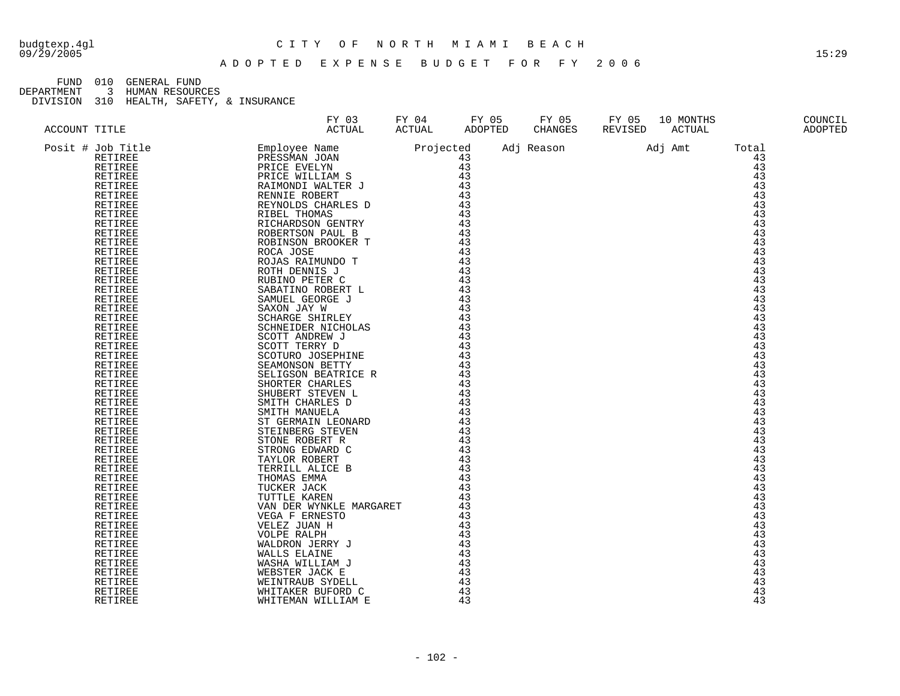#### budgtexp.4gl C I T Y O F N O R T H M I A M I B E A C H

A D O P T E D E X P E N S E B U D G E T F O R F Y 2 0 0 6

FUND 010 GENERAL FUND<br>DEPARTMENT 3 HUMAN RESOURO

DEPARTMENT 3 HUMAN RESOURCES

| ACCOUNT TITLE<br>$\begin{tabular}{l c c c c} \multicolumn{2}{c}{ACCOORTT TITLS} & $X^T(0)1$ & $X^T(0)1$ & $X^T(0)1$ & $X^T(0)1$ & $X^T(0)1$ & $X^T(0)1$ & $X^T(0)1$ & $X^T(0)1$ & $X^T(0)1$ & $X^T(0)1$ & $X^T(0)1$ & $X^T(0)1$ & $X^T(0)1$ & $X^T(0)1$ & $X^T(0)1$ & $X^T(0)1$ & $X^T(0)1$ & $X^T(0)1$ & $X^T($ | FY 03<br>ACTUAL | FY 04<br>ACTUAL | FY 05<br>ADOPTED | FY 05<br>CHANGES | FY 05<br>REVISED | 10 MONTHS<br>ACTUAL |                 | COUNCIL<br><b>ADOPTED</b> |
|------------------------------------------------------------------------------------------------------------------------------------------------------------------------------------------------------------------------------------------------------------------------------------------------------------------|-----------------|-----------------|------------------|------------------|------------------|---------------------|-----------------|---------------------------|
|                                                                                                                                                                                                                                                                                                                  |                 |                 |                  | Adj Reason       |                  | Adj Amt             | Total           |                           |
|                                                                                                                                                                                                                                                                                                                  |                 |                 |                  |                  |                  |                     | 43              |                           |
|                                                                                                                                                                                                                                                                                                                  |                 |                 |                  |                  |                  |                     | $\overline{43}$ |                           |
|                                                                                                                                                                                                                                                                                                                  |                 |                 |                  |                  |                  |                     | 43              |                           |
|                                                                                                                                                                                                                                                                                                                  |                 |                 |                  |                  |                  |                     | 43              |                           |
|                                                                                                                                                                                                                                                                                                                  |                 |                 |                  |                  |                  |                     | 43              |                           |
|                                                                                                                                                                                                                                                                                                                  |                 |                 |                  |                  |                  |                     | 43              |                           |
|                                                                                                                                                                                                                                                                                                                  |                 |                 |                  |                  |                  |                     | 43              |                           |
|                                                                                                                                                                                                                                                                                                                  |                 |                 |                  |                  |                  |                     | 43              |                           |
|                                                                                                                                                                                                                                                                                                                  |                 |                 |                  |                  |                  |                     | 43              |                           |
|                                                                                                                                                                                                                                                                                                                  |                 |                 |                  |                  |                  |                     | 43              |                           |
|                                                                                                                                                                                                                                                                                                                  |                 |                 |                  |                  |                  |                     | 43              |                           |
|                                                                                                                                                                                                                                                                                                                  |                 |                 |                  |                  |                  |                     | 43              |                           |
|                                                                                                                                                                                                                                                                                                                  |                 |                 |                  |                  |                  |                     | 43              |                           |
|                                                                                                                                                                                                                                                                                                                  |                 |                 |                  |                  |                  |                     | 43              |                           |
|                                                                                                                                                                                                                                                                                                                  |                 |                 |                  |                  |                  |                     | 43              |                           |
|                                                                                                                                                                                                                                                                                                                  |                 |                 |                  |                  |                  |                     | 43              |                           |
|                                                                                                                                                                                                                                                                                                                  |                 |                 |                  |                  |                  |                     | 43              |                           |
|                                                                                                                                                                                                                                                                                                                  |                 |                 |                  |                  |                  |                     | 43              |                           |
|                                                                                                                                                                                                                                                                                                                  |                 |                 |                  |                  |                  |                     | 43              |                           |
|                                                                                                                                                                                                                                                                                                                  |                 |                 |                  |                  |                  |                     | 43              |                           |
|                                                                                                                                                                                                                                                                                                                  |                 |                 |                  |                  |                  |                     | 43              |                           |
|                                                                                                                                                                                                                                                                                                                  |                 |                 |                  |                  |                  |                     | 43              |                           |
|                                                                                                                                                                                                                                                                                                                  |                 |                 |                  |                  |                  |                     | 43              |                           |
|                                                                                                                                                                                                                                                                                                                  |                 |                 |                  |                  |                  |                     | 43              |                           |
|                                                                                                                                                                                                                                                                                                                  |                 |                 |                  |                  |                  |                     | 43              |                           |
|                                                                                                                                                                                                                                                                                                                  |                 |                 |                  |                  |                  |                     | 43              |                           |
|                                                                                                                                                                                                                                                                                                                  |                 |                 |                  |                  |                  |                     | 43              |                           |
|                                                                                                                                                                                                                                                                                                                  |                 |                 |                  |                  |                  |                     | 43              |                           |
|                                                                                                                                                                                                                                                                                                                  |                 |                 |                  |                  |                  |                     | 43              |                           |
|                                                                                                                                                                                                                                                                                                                  |                 |                 |                  |                  |                  |                     | 43              |                           |
|                                                                                                                                                                                                                                                                                                                  |                 |                 |                  |                  |                  |                     | 43              |                           |
|                                                                                                                                                                                                                                                                                                                  |                 |                 |                  |                  |                  |                     | 43              |                           |
|                                                                                                                                                                                                                                                                                                                  |                 |                 |                  |                  |                  |                     | 43              |                           |
|                                                                                                                                                                                                                                                                                                                  |                 |                 |                  |                  |                  |                     | 43              |                           |
|                                                                                                                                                                                                                                                                                                                  |                 |                 |                  |                  |                  |                     | 43              |                           |
|                                                                                                                                                                                                                                                                                                                  |                 |                 |                  |                  |                  |                     | 43              |                           |
|                                                                                                                                                                                                                                                                                                                  |                 |                 |                  |                  |                  |                     | 43              |                           |
|                                                                                                                                                                                                                                                                                                                  |                 |                 |                  |                  |                  |                     | 43              |                           |
|                                                                                                                                                                                                                                                                                                                  |                 |                 |                  |                  |                  |                     | 43              |                           |
|                                                                                                                                                                                                                                                                                                                  |                 |                 |                  |                  |                  |                     | 43              |                           |
|                                                                                                                                                                                                                                                                                                                  |                 |                 |                  |                  |                  |                     | 43              |                           |
|                                                                                                                                                                                                                                                                                                                  |                 |                 |                  |                  |                  |                     | 43              |                           |
|                                                                                                                                                                                                                                                                                                                  |                 |                 |                  |                  |                  |                     | 43              |                           |
|                                                                                                                                                                                                                                                                                                                  |                 |                 |                  |                  |                  |                     | 43              |                           |
|                                                                                                                                                                                                                                                                                                                  |                 |                 |                  |                  |                  |                     | 43              |                           |
|                                                                                                                                                                                                                                                                                                                  |                 |                 |                  |                  |                  |                     | 43              |                           |
|                                                                                                                                                                                                                                                                                                                  |                 |                 |                  |                  |                  |                     | 43              |                           |
|                                                                                                                                                                                                                                                                                                                  |                 |                 |                  |                  |                  |                     | 43              |                           |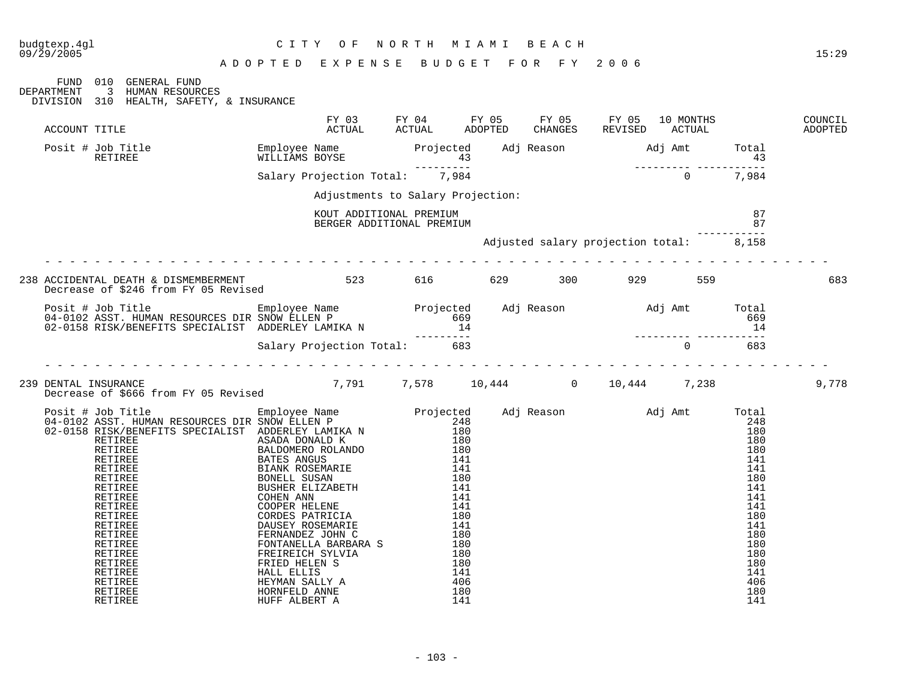#### A D O P T E D E X P E N S E B U D G E T F O R F Y 2 0 0 6

09/29/2005 15:29

|                                                                                                                                                                                                                                        | E Y L F M P F |                                                      | אטת בתטעם |                                                                                                      |          |       |
|----------------------------------------------------------------------------------------------------------------------------------------------------------------------------------------------------------------------------------------|---------------|------------------------------------------------------|-----------|------------------------------------------------------------------------------------------------------|----------|-------|
| FUND 010 GENERAL FUND<br><b>DEPARTMENT</b><br>3 HUMAN RESOURCES<br>DIVISION 310 HEALTH, SAFETY, & INSURANCE                                                                                                                            |               |                                                      |           |                                                                                                      |          |       |
| ACCOUNT TITLE                                                                                                                                                                                                                          |               |                                                      |           | FY 03 FY 04 FY 05 FY 05 FY 05 10 MONTHS COUNCIL ACTUAL ACTUAL ADOPTED CHANGES REVISED ACTUAL ADOPTED |          |       |
| Posit # Job Title 6 Employee Name Projected Adj Reason Adj Amt Total<br>RETIREE RETIRE WILLIAMS BOYSE 43<br>Salary Projection Total: 7,984 7,984 0 7,984                                                                               |               |                                                      |           |                                                                                                      |          |       |
|                                                                                                                                                                                                                                        |               |                                                      |           |                                                                                                      |          |       |
|                                                                                                                                                                                                                                        |               | Adjustments to Salary Projection:                    |           |                                                                                                      |          |       |
|                                                                                                                                                                                                                                        |               | KOUT ADDITIONAL PREMIUM<br>BERGER ADDITIONAL PREMIUM |           |                                                                                                      | 87<br>87 |       |
|                                                                                                                                                                                                                                        |               |                                                      |           | Adjusted salary projection total: 8,158                                                              |          |       |
|                                                                                                                                                                                                                                        |               |                                                      |           |                                                                                                      |          | 683   |
| Posit # Job Title Employee Name Projected Adj Reason Adj Amt Total<br>04-0102 ASST.HUMAN RESOURCES DIR SNOW ELLEN P 669<br>02-0158 RISK/BENEFITS SPECIALIST ADDERLEY LAMIKA N 14<br>Salary Projection Total: 683<br>683                |               |                                                      |           |                                                                                                      |          |       |
|                                                                                                                                                                                                                                        |               |                                                      |           |                                                                                                      |          |       |
| 239 DENTAL INSURANCE 10.42 UNITAL EXERCISE 239 DENTAL INSURANCE 239 DENTAL INSURANCE 239 DENTAL 11 238                                                                                                                                 |               |                                                      |           |                                                                                                      |          | 9,778 |
| Decrease of S666 from FY 05 Revised Bupployee Name<br>Projected Adj Reason and Total Total (140)<br>02-0150 RETIRER ENGELS IN AN RESOURCES DIR ADDERLEY LAMIKA N<br>02-0150 RETIRER BREEN ASAD DRAID (180)<br>RETIRER BALDONERO ROLAND |               |                                                      |           |                                                                                                      |          |       |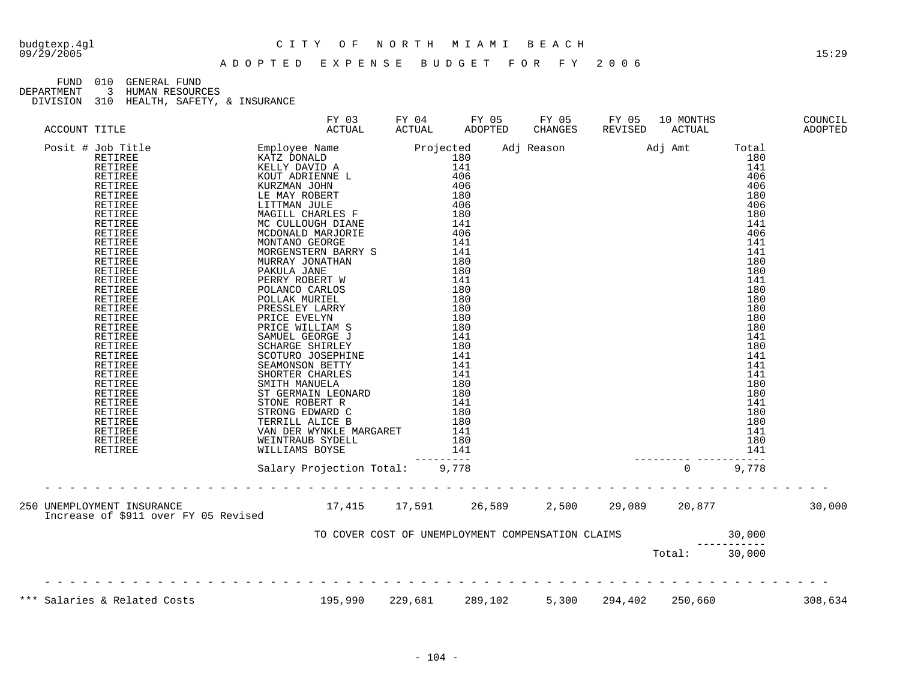#### budgtexp.4gl C I T Y O F N O R T H M I A M I B E A C H

FUND 010 GENERAL FUND<br>DEPARTMENT 3 HUMAN RESOURO

DEPARTMENT 3 HUMAN RESOURCES

|  |                                      |                                                          | FY 03 FY 04 FY 05 FY 05 FY 05 10 MONTHS COUNCIL ACTUAL ACTUAL ADOPTED CHANGES REVISED ACTUAL ADOPTED |  |               |         |
|--|--------------------------------------|----------------------------------------------------------|------------------------------------------------------------------------------------------------------|--|---------------|---------|
|  |                                      |                                                          |                                                                                                      |  |               |         |
|  | Increase of \$911 over FY 05 Revised |                                                          |                                                                                                      |  |               | 30,000  |
|  |                                      | TO COVER COST OF UNEMPLOYMENT COMPENSATION CLAIMS 30,000 |                                                                                                      |  | Total: 30,000 |         |
|  | *** Salaries & Related Costs         | 195,990  229,681  289,102  5,300  294,402  250,660       |                                                                                                      |  |               | 308,634 |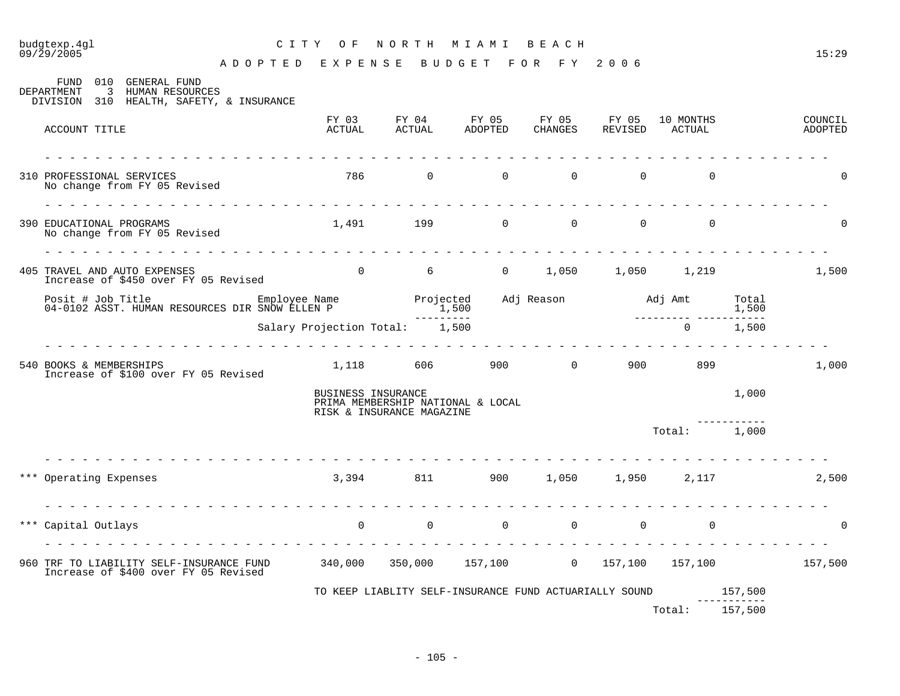# budgtexp.4gl C I T Y O F N O R T H M I A M I B E A C H

|       | 010<br>GENERAL FUND<br>FUND<br>3<br>HUMAN RESOURCES<br>DEPARTMENT<br>DIVISION 310 HEALTH, SAFETY, & INSURANCE |                                                                         |                           |                                                        |                |                        |                     |                        |                    |
|-------|---------------------------------------------------------------------------------------------------------------|-------------------------------------------------------------------------|---------------------------|--------------------------------------------------------|----------------|------------------------|---------------------|------------------------|--------------------|
|       | ACCOUNT TITLE                                                                                                 | FY 03<br>ACTUAL                                                         | ACTUAL                    | FY 04 FY 05<br>ADOPTED                                 | CHANGES        | FY 05 FY 05<br>REVISED | 10 MONTHS<br>ACTUAL |                        | COUNCIL<br>ADOPTED |
|       | 310 PROFESSIONAL SERVICES<br>No change from FY 05 Revised                                                     | 786                                                                     | $\overline{0}$            | $0 \qquad \qquad$                                      | $\Omega$       | $\overline{0}$         | $\Omega$            |                        | ∩                  |
|       | 390 EDUCATIONAL PROGRAMS<br>No change from FY 05 Revised                                                      | 1,491                                                                   | 199                       | $\overline{0}$                                         | $\mathbf{0}$   | $\overline{0}$         | $\mathbf 0$         |                        | $\Omega$           |
|       | 405 TRAVEL AND AUTO EXPENSES<br>Increase of \$450 over FY 05 Revised                                          |                                                                         |                           | 0 $6$ 0 $1,050$ $1,050$ $1,219$                        |                |                        |                     |                        | 1,500              |
|       | Posit # Job Title<br>04-0102 ASST. HUMAN RESOURCES DIR SNOW ELLEN P                                           | Employee Name<br>אימוא SNOW ELLEN P                                     | Projected                 | 1,500                                                  |                |                        |                     | Total<br>1,500         |                    |
|       |                                                                                                               | Salary Projection Total: 1,500                                          | ----------                |                                                        |                |                        | $\mathbf 0$         | ---------<br>1,500     |                    |
|       | 540 BOOKS & MEMBERSHIPS<br>Increase of \$100 over FY 05 Revised                                               | 1,118                                                                   | 606 100                   | 900                                                    | $\overline{0}$ | 900                    | 899                 |                        | 1,000              |
|       |                                                                                                               | BUSINESS INSURANCE                                                      | RISK & INSURANCE MAGAZINE | PRIMA MEMBERSHIP NATIONAL & LOCAL                      |                |                        |                     | 1,000                  |                    |
|       |                                                                                                               |                                                                         |                           |                                                        |                |                        | Total: 1,000        |                        |                    |
|       | *** Operating Expenses                                                                                        |                                                                         |                           | $3,394$ $811$ $900$ $1,050$ $1,950$ $2,117$            |                |                        |                     |                        | 2,500              |
| * * * | Capital Outlays                                                                                               | $\mathbf 0$                                                             | $\mathbf 0$               | $\overline{0}$                                         | $\mathbf 0$    | $\mathbf 0$            | $\Omega$            |                        | $\Omega$           |
|       | 960 TRF TO LIABILITY SELF-INSURANCE FUND<br>Increase of \$400 over FY 05 Revised                              | $340,000$ $350,000$ $157,100$ 0 $157,100$ $157,100$ $157,100$ $157,500$ |                           |                                                        |                |                        |                     |                        |                    |
|       |                                                                                                               |                                                                         |                           | TO KEEP LIABLITY SELF-INSURANCE FUND ACTUARIALLY SOUND |                |                        |                     | 157,500<br>----------- |                    |
|       |                                                                                                               |                                                                         |                           |                                                        |                |                        | Total:              | 157,500                |                    |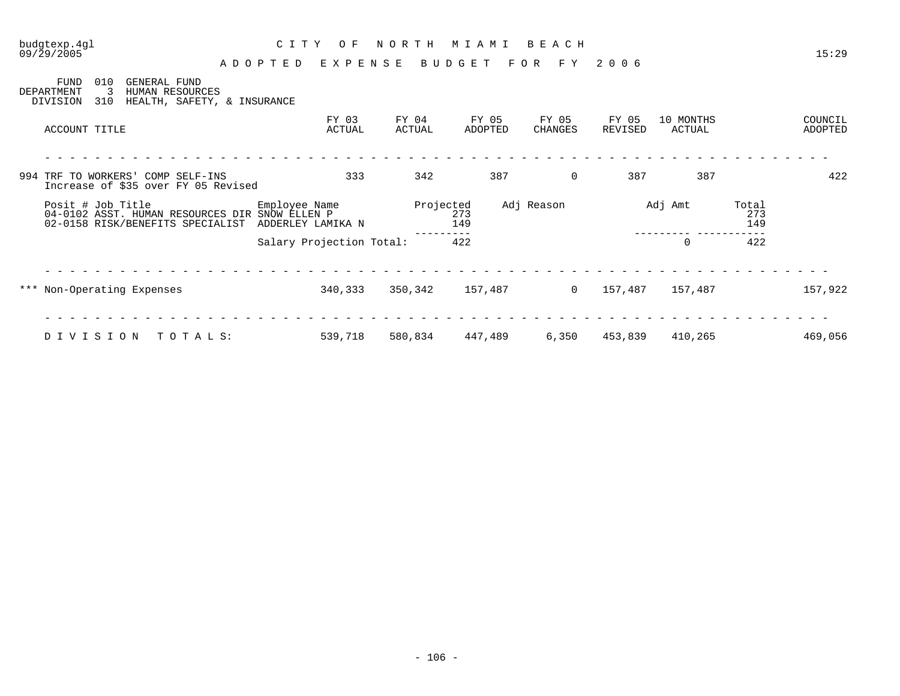09/29/2005 15:29 A D O P T E D E X P E N S E B U D G E T F O R F Y 2 0 0 6

| <b>FUND</b><br>DEPARTMENT<br>DIVISION | 010<br>3<br>310 | GENERAL FUND<br>HUMAN RESOURCES   | HEALTH, SAFETY, & INSURANCE                                                        |               |                          |                 |                  |     |                  |                |                  |                     |         |                     |                    |
|---------------------------------------|-----------------|-----------------------------------|------------------------------------------------------------------------------------|---------------|--------------------------|-----------------|------------------|-----|------------------|----------------|------------------|---------------------|---------|---------------------|--------------------|
| ACCOUNT TITLE                         |                 |                                   |                                                                                    |               | FY 03<br>ACTUAL          | FY 04<br>ACTUAL | FY 05<br>ADOPTED |     | FY 05<br>CHANGES |                | FY 05<br>REVISED | 10 MONTHS<br>ACTUAL |         |                     | COUNCIL<br>ADOPTED |
|                                       |                 | 994 TRF TO WORKERS' COMP SELF-INS | Increase of \$35 over FY 05 Revised                                                |               | 333                      | 342             |                  | 387 |                  | $\mathbf 0$    | 387              |                     | 387     |                     | 422                |
| Posit # Job Title                     |                 |                                   | 04-0102 ASST. HUMAN RESOURCES DIR SNOW ELLEN P<br>02-0158 RISK/BENEFITS SPECIALIST | Employee Name | ADDERLEY LAMIKA N        | Projected       | 273<br>149       |     | Adj Reason       |                |                  | Adj Amt             |         | Total<br>273<br>149 |                    |
|                                       |                 |                                   |                                                                                    |               | Salary Projection Total: |                 | 422              |     |                  |                |                  | $\mathbf 0$         |         | 422                 |                    |
|                                       |                 | *** Non-Operating Expenses        |                                                                                    |               | 340,333                  | 350,342         | 157,487          |     |                  | $\overline{0}$ | 157,487          |                     | 157,487 |                     | 157,922            |
| DIVISION                              |                 |                                   | TOTALS:                                                                            |               | 539,718                  | 580,834         | 447,489          |     | 6,350            |                | 453,839          |                     | 410,265 |                     | 469,056            |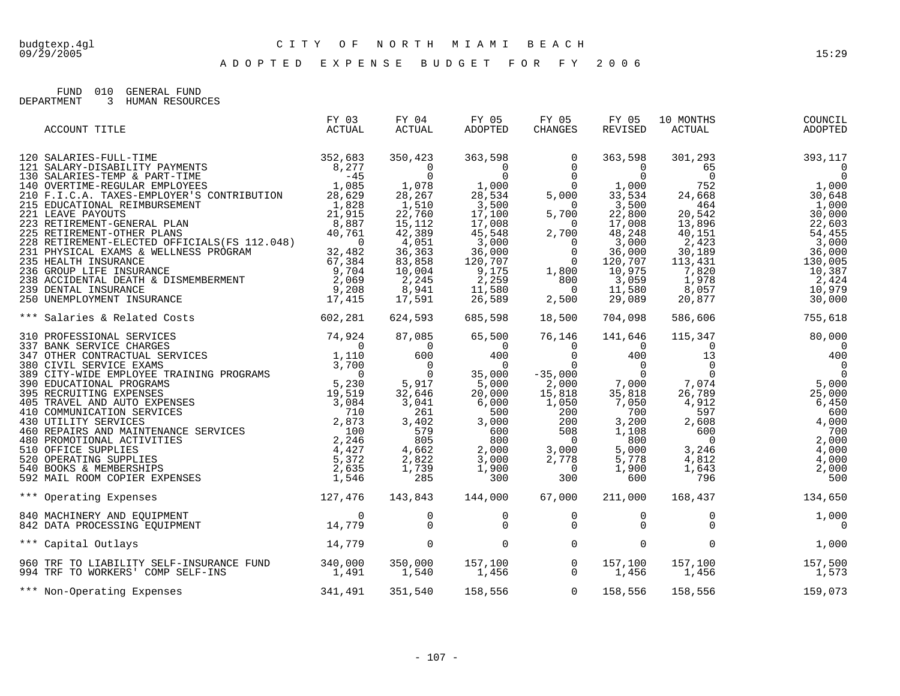A D O P T E D E X P E N S E B U D G E T F O R F Y 2 0 0 6

FUND 010 GENERAL FUND

DEPARTMENT 3 HUMAN RESOURCES

| ACCOUNT TITLE                                                                                                                                                                                                                                                                                                                                                                                                   | FY 03<br>ACTUAL | FY 04<br>ACTUAL                  | FY 05<br>ADOPTED                                                                                                                                                                                                                                                                                     | FY 05<br>CHANGES                 | FY 05<br>REVISED           | 10 MONTHS<br>ACTUAL | COUNCIL<br>ADOPTED                                                                                                                                                                                                                                                                             |
|-----------------------------------------------------------------------------------------------------------------------------------------------------------------------------------------------------------------------------------------------------------------------------------------------------------------------------------------------------------------------------------------------------------------|-----------------|----------------------------------|------------------------------------------------------------------------------------------------------------------------------------------------------------------------------------------------------------------------------------------------------------------------------------------------------|----------------------------------|----------------------------|---------------------|------------------------------------------------------------------------------------------------------------------------------------------------------------------------------------------------------------------------------------------------------------------------------------------------|
|                                                                                                                                                                                                                                                                                                                                                                                                                 |                 |                                  | $\begin{array}{cccc} 350\,,423 & 363\,,598 & 0 & 363\,,598 \\ 0 & 0 & 0 & 0 & 0 \\ 0 & 0 & 0 & 1\,,000 \\ 28\,,267 & 28\,,534 & 5\,,000 & 33\,,534 \\ 1\,,510 & 3\,,500 & 0 & 3\,,500 \\ 22\,,760 & 17\,,100 & 5\,,700 & 22\,,800 \\ 15\,,112 & 17\,,008 & 0 & 17\,,008 \\ 42\,,389 & 45\,,548 & 2\$ |                                  |                            | 301,293             | 393,117<br>$\begin{array}{cccc} 301, 293 & 393, 117 \\ 65 & 0 \\ 0 & 752 & 1,000 \\ 24, 668 & 464 & 1,000 \\ 20, 542 & 30,000 \\ 13, 896 & 22,603 \\ 40, 151 & 54, 455 \\ 2, 423 & 3,000 \\ 13, 431 & 130,005 \\ 7, 820 & 10, 387 \\ 1, 978 & 2, 424 \\ 1, 978 & 2, 424 \\ 9, 677 & 10,900 \\$ |
| *** Salaries & Related Costs 602,281                                                                                                                                                                                                                                                                                                                                                                            |                 | 624,593                          |                                                                                                                                                                                                                                                                                                      | 685,598 18,500                   | 704,098                    | 586,606             | 755,618                                                                                                                                                                                                                                                                                        |
| $\begin{tabular}{cccccccc} \textbf{51} & \textbf{53} & \textbf{54} & \textbf{55} & \textbf{55} & \textbf{56} & \textbf{57} & \textbf{58} & \textbf{59} & \textbf{59} & \textbf{59} & \textbf{59} & \textbf{59} & \textbf{59} & \textbf{59} & \textbf{59} & \textbf{59} & \textbf{59} & \textbf{59} & \textbf{59} & \textbf{59} & \textbf{59} & \textbf{59} & \textbf{59} & \textbf{59} & \textbf{59} & \textbf$ |                 |                                  |                                                                                                                                                                                                                                                                                                      |                                  |                            |                     | $\overline{0}$                                                                                                                                                                                                                                                                                 |
| 127,476  143,843  144,000  67,000<br>*** Operating Expenses                                                                                                                                                                                                                                                                                                                                                     |                 |                                  |                                                                                                                                                                                                                                                                                                      |                                  | 211,000                    |                     | 168,437 134,650                                                                                                                                                                                                                                                                                |
| 840 MACHINERY AND EQUIPMENT<br>842 DATA PROCESSING EQUIPMENT 14,779                                                                                                                                                                                                                                                                                                                                             |                 | $\begin{matrix}0\\0\end{matrix}$ | $\overline{0}$<br>$\Omega$                                                                                                                                                                                                                                                                           | $\overline{0}$<br>$\Omega$       | $\overline{0}$<br>$\Omega$ |                     | $\begin{matrix}0\\0\end{matrix}$<br>1,000<br>0                                                                                                                                                                                                                                                 |
| 14,779<br>*** Capital Outlays                                                                                                                                                                                                                                                                                                                                                                                   |                 | $\overline{0}$                   |                                                                                                                                                                                                                                                                                                      | $\overline{0}$<br>$\overline{0}$ | $\mathbf 0$                | $\overline{0}$      | 1,000                                                                                                                                                                                                                                                                                          |
| 960 TRF TO LIABILITY SELF-INSURANCE FUND 340,000 350,000 157,100 0<br>994 TRF TO WORKERS' COMP SELF-INS 1,491 1,540 1,456 0                                                                                                                                                                                                                                                                                     |                 |                                  |                                                                                                                                                                                                                                                                                                      |                                  |                            |                     | 157,100 157,100 157,500<br>1,456 1,456 1,573                                                                                                                                                                                                                                                   |
| 341,491<br>*** Non-Operating Expenses                                                                                                                                                                                                                                                                                                                                                                           |                 | 351,540                          | 158,556 0 158,556                                                                                                                                                                                                                                                                                    |                                  |                            |                     | 158,556 159,073                                                                                                                                                                                                                                                                                |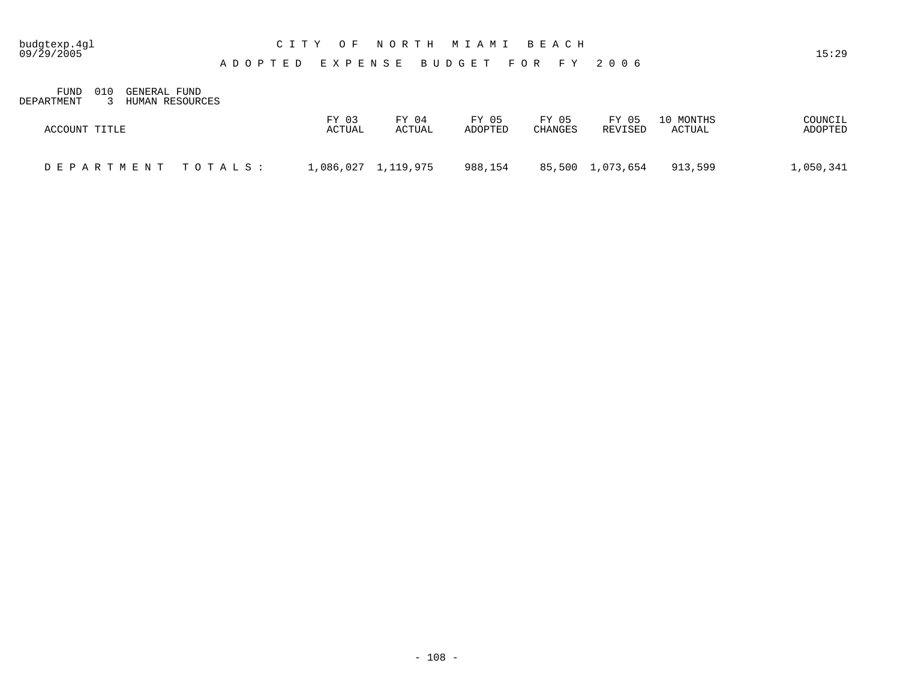### budgtexp.4gl C I T Y O F N O R T H M I A M I B E A C H

A D O P T E D E X P E N S E B U D G E T F O R F Y 2 0 0 6

FUND 010 GENERAL FUND DEPARTMENT 3 HUMAN RESOURCES

| ACCOUNT TITLE      | FY 03<br>FY 04<br>ACTUAL<br>ACTUAL | FY 05<br>FY 05<br>ADOPTED<br><b>CHANGES</b> | FY 05<br>10 MONTHS<br>ACTUAL<br>REVISED | COUNCIL<br>ADOPTED |
|--------------------|------------------------------------|---------------------------------------------|-----------------------------------------|--------------------|
| DEPARTMENT TOTALS: | 1,086,027    1,119,975             | 988,154                                     | 85,500 1,073,654<br>913,599             | 1,050,341          |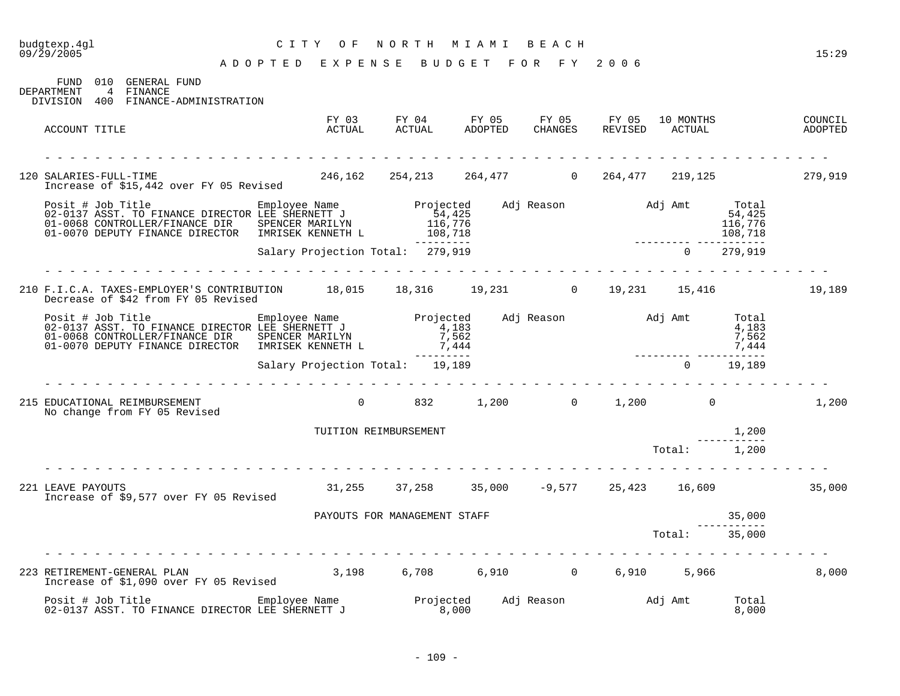# budgtexp.4gl C I T Y O F N O R T H M I A M I B E A C H

| 010 GENERAL FUND<br>FIJND.                                              |  |
|-------------------------------------------------------------------------|--|
| FINANCE<br>DEPARTMENT<br>4<br>400<br>DIVISION<br>FINANCE-ADMINISTRATION |  |

| ACCOUNT TITLE                                                                                                                                                                                                                        | FY 03<br>ACTUAL                  |                | FY 04<br>ACTUAL              | FY 05<br>ADOPTED | FY 05<br>CHANGES | FY 05<br>REVISED                                            | 10 MONTHS<br>ACTUAL |                | COUNCIL<br>ADOPTED |
|--------------------------------------------------------------------------------------------------------------------------------------------------------------------------------------------------------------------------------------|----------------------------------|----------------|------------------------------|------------------|------------------|-------------------------------------------------------------|---------------------|----------------|--------------------|
| 120 SALARIES-FULL-TIME<br>Increase of \$15,442 over FY 05 Revised                                                                                                                                                                    |                                  |                |                              |                  |                  | $246,162$ $254,213$ $264,477$ 0 $264,477$ $219,125$ 279,919 |                     |                |                    |
| Posit # Job Title Employee Name Projected Adj Reason Adj Amt Total 2-0137 ASST. TO FINANCE DIRECTOR LEE SHERNETT J<br>01-0068 CONTROLLER/FINANCE DIR SPENCER MARILYN 116,776 116,776 116,776 116,776<br>01-0070 DEPUTY FINANCE DIREC |                                  |                | __________                   |                  |                  |                                                             |                     |                |                    |
|                                                                                                                                                                                                                                      | Salary Projection Total: 279,919 |                |                              |                  |                  |                                                             | $\overline{0}$      | 279,919        |                    |
| 210 F.I.C.A. TAXES-EMPLOYER'S CONTRIBUTION 18,015 18,316 19,231 0 19,231 15,416<br>Decrease of \$42 from FY 05 Revised                                                                                                               |                                  |                |                              |                  |                  |                                                             |                     |                | 19,189             |
| Posit # Job Title Employee Name Projected<br>02-0137 ASST. TO FINANCE DIRECTOR LEE SHERNETT J 4,183<br>01-0068 CONTROLLER/FINANCE DIR SPENCER MARILYN 7,562<br>01-0070 DEPUTY FINANCE DIRECTOR IMRISEK KENNETH L 7,444               |                                  |                |                              |                  |                  | Adj Reason Madj Amt Total                                   | 7,444<br>7,444      | 4,183<br>7,562 |                    |
|                                                                                                                                                                                                                                      | Salary Projection Total: 19,189  |                | ----------                   |                  |                  |                                                             | $\overline{0}$      | 19,189         |                    |
| 215 EDUCATIONAL REIMBURSEMENT<br>No change from FY 05 Revised                                                                                                                                                                        |                                  | $\overline{0}$ |                              |                  |                  | 832 1,200 0 1,200 0                                         |                     |                | 1,200              |
|                                                                                                                                                                                                                                      | TUITION REIMBURSEMENT            |                |                              |                  |                  |                                                             |                     | 1,200          |                    |
|                                                                                                                                                                                                                                      |                                  |                |                              |                  |                  |                                                             | Total: 1,200        |                |                    |
| 221 LEAVE PAYOUTS<br>Increase of \$9,577 over FY 05 Revised                                                                                                                                                                          |                                  |                |                              |                  |                  | $31,255$ $37,258$ $35,000$ $-9,577$ $25,423$ $16,609$       |                     |                | 35,000             |
|                                                                                                                                                                                                                                      |                                  |                | PAYOUTS FOR MANAGEMENT STAFF |                  |                  |                                                             |                     | 35,000         |                    |
|                                                                                                                                                                                                                                      |                                  |                |                              |                  |                  |                                                             | Total: 35,000       |                |                    |
| 223 RETIREMENT-GENERAL PLAN<br>Increase of \$1,090 over FY 05 Revised                                                                                                                                                                | 3,198 6,708 6,910 0 6,910 5,966  |                |                              |                  |                  |                                                             |                     |                | 8,000              |
| Posit # Job Title                                                                                                                                                                                                                    |                                  |                |                              |                  |                  |                                                             |                     | Total<br>8,000 |                    |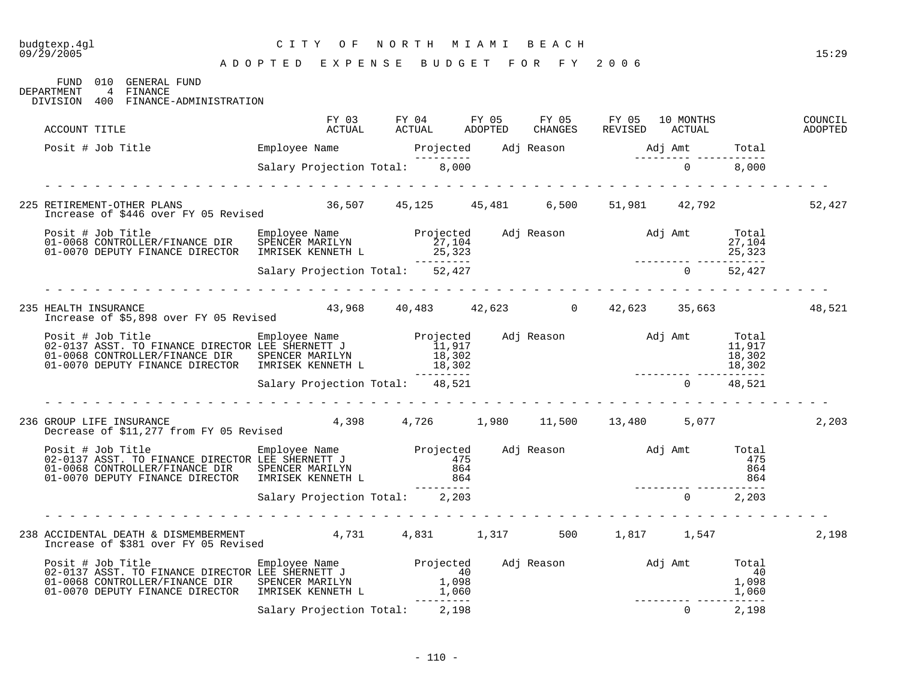## budgtexp.4gl C I T Y O F N O R T H M I A M I B E A C H

FUND 010 GENERAL FUND DEPARTMENT 4 FINANCE

DIVISION 400 FINANCE-ADMINISTRATION

| ACCOUNT TITLE                                                                                                                                                                                                                       | FY 03<br>ACTUAL                             | FY 04 FY 05<br>ACTUAL ADOPTED | FY 05<br>CHANGES                                  | FY 05 10 MONTHS<br>REVISED ACTUAL |                      | COUNCIL<br>ADOPTED |
|-------------------------------------------------------------------------------------------------------------------------------------------------------------------------------------------------------------------------------------|---------------------------------------------|-------------------------------|---------------------------------------------------|-----------------------------------|----------------------|--------------------|
| Posit # Job Title <b>Employee Name</b> Projected Adj Reason and J Amt Total                                                                                                                                                         |                                             |                               |                                                   |                                   |                      |                    |
|                                                                                                                                                                                                                                     | ---------<br>Salary Projection Total: 8,000 |                               |                                                   | $0 \t 8,000$                      |                      |                    |
|                                                                                                                                                                                                                                     |                                             |                               |                                                   |                                   |                      |                    |
| 225 RETIREMENT-OTHER PLANS<br>Increase of \$446 over FY 05 Revised                                                                                                                                                                  | 36,507 45,125 45,481 6,500 51,981 42,792    |                               |                                                   |                                   |                      | 52,427             |
|                                                                                                                                                                                                                                     |                                             | ----------                    |                                                   |                                   |                      |                    |
|                                                                                                                                                                                                                                     | Salary Projection Total: 52,427             |                               |                                                   | $0$ 52,427                        |                      |                    |
| 235 HEALTH INSURANCE<br>Increase of \$5,898 over FY 05 Revised                                                                                                                                                                      |                                             |                               | $43,968$ $40,483$ $42,623$ 0 $42,623$ 35,663      |                                   |                      | 48,521             |
| Posit # Job Title Employee Name Projected Adj Reason and Jamt Total<br>02-0137 ASST. TO FINANCE DIRECTOR LEE SHERNETT J<br>01-0068 CONTROLLER/FINANCE DIR SPENCER MARILYN 18,302<br>01-0070 DEPUTY FINANCE DIRECTOR IMRISEK KENNETH |                                             | ----------                    |                                                   | 18,302                            | $\frac{1}{18}$ , 302 |                    |
|                                                                                                                                                                                                                                     | Salary Projection Total: 48,521             |                               |                                                   | $0 \t 48,521$                     |                      |                    |
| 236 GROUP LIFE INSURANCE<br>Decrease of \$11,277 from FY 05 Revised                                                                                                                                                                 |                                             |                               | $4,398$ $4,726$ $1,980$ $11,500$ $13,480$ $5,077$ |                                   |                      | 2,203              |
| 01-0070 DEPUTY FINANCE DIRECTOR IMRISEK KENNETH L 864                                                                                                                                                                               |                                             | $- - - - -$                   |                                                   |                                   | 864                  |                    |
|                                                                                                                                                                                                                                     | Salary Projection Total: 2,203              |                               |                                                   | $0 \t 2, 203$                     |                      |                    |
|                                                                                                                                                                                                                                     |                                             |                               |                                                   |                                   |                      |                    |
| 238 ACCIDENTAL DEATH & DISMEMBERMENT 4,731 4,831 1,317 500 1,817 1,547<br>Increase of \$381 over FY 05 Revised                                                                                                                      |                                             |                               |                                                   |                                   |                      | 2,198              |
| 01-0070 DEPUTY FINANCE DIRECTOR IMRISEK KENNETH L                                                                                                                                                                                   |                                             | 1,060                         |                                                   |                                   | 1,060                |                    |
|                                                                                                                                                                                                                                     | Salary Projection Total: 2,198              | ----------                    |                                                   | $\overline{0}$                    | 2,198                |                    |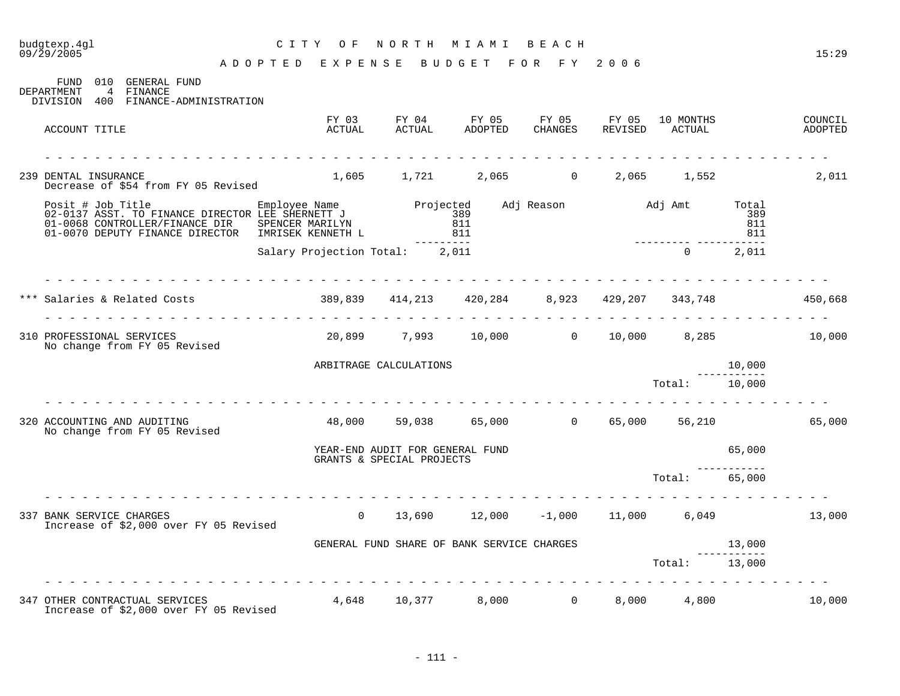#### budgtexp.4gl C I T Y O F N O R T H M I A M I B E A C H

A D O P T E D E X P E N S E B U D G E T F O R F Y 2 0 0 6

FUND 010 GENERAL FUND DEPARTMENT 4 FINANCE 4 FINANCE DIVISION 400 FINANCE-ADMINISTRATION FY 03 FY 04 FY 05 FY 05 FY 05 10 MONTHS COUNCIL

| ACCOUNT TITLE                                                                                                                                            | ACTUAL                                                    | ACTUAL                                                       | ADOPTED                                    | <b>CHANGES</b> | REVISED            | ACTUAL             |                            | ADOPTED |
|----------------------------------------------------------------------------------------------------------------------------------------------------------|-----------------------------------------------------------|--------------------------------------------------------------|--------------------------------------------|----------------|--------------------|--------------------|----------------------------|---------|
| 239 DENTAL INSURANCE<br>Decrease of \$54 from FY 05 Revised                                                                                              |                                                           |                                                              | 1,605 1,721 2,065                          | $\Omega$       | 2,065              | 1,552              |                            | 2,011   |
| Posit # Job Title Employee Name<br>02-0137 ASST. TO FINANCE DIRECTOR LEE SHERNETT J<br>01-0068 CONTROLLER/FINANCE DIR<br>01-0070 DEPUTY FINANCE DIRECTOR | SPENCER MARILYN<br>IMRISEK KENNETH L                      | Projected                                                    | 389<br>811<br>811                          |                | Adj Reason Maj Amt |                    | Total<br>389<br>811<br>811 |         |
|                                                                                                                                                          | Salary Projection Total: 2,011                            |                                                              |                                            |                |                    | $\overline{0}$     | 2,011                      |         |
| *** Salaries & Related Costs                                                                                                                             | $389,839$ $414,213$ $420,284$ $8,923$ $429,207$ $343,748$ |                                                              |                                            |                |                    |                    |                            | 450,668 |
| 310 PROFESSIONAL SERVICES<br>No change from FY 05 Revised                                                                                                |                                                           |                                                              | 20,899 7,993 10,000 0 10,000               |                |                    | 8,285              |                            | 10,000  |
|                                                                                                                                                          |                                                           | ARBITRAGE CALCULATIONS                                       |                                            |                |                    |                    | 10,000                     |         |
| ing the state of the state of the                                                                                                                        |                                                           |                                                              |                                            |                |                    | Total:             | 10,000                     |         |
| 320 ACCOUNTING AND AUDITING<br>No change from FY 05 Revised                                                                                              |                                                           |                                                              | 48,000 59,038 65,000 0 65,000              |                |                    |                    | 56,210                     | 65,000  |
|                                                                                                                                                          |                                                           | YEAR-END AUDIT FOR GENERAL FUND<br>GRANTS & SPECIAL PROJECTS |                                            |                |                    |                    | 65,000                     |         |
|                                                                                                                                                          |                                                           |                                                              |                                            |                |                    | $\mathtt{Total}$ : | 65,000                     |         |
| 337 BANK SERVICE CHARGES<br>Increase of \$2,000 over FY 05 Revised                                                                                       | $\Omega$                                                  |                                                              | $13,690$ $12,000$ $-1,000$ $11,000$        |                |                    |                    | 6,049                      | 13,000  |
|                                                                                                                                                          |                                                           |                                                              | GENERAL FUND SHARE OF BANK SERVICE CHARGES |                |                    |                    | 13,000                     |         |
|                                                                                                                                                          |                                                           |                                                              |                                            |                |                    | Total:             | 13,000                     |         |
| 347 OTHER CONTRACTUAL SERVICES<br>Increase of \$2,000 over FY 05 Revised                                                                                 | 4,648                                                     | 10,377                                                       |                                            | 0<br>8,000     | 8,000              | 4,800              |                            | 10,000  |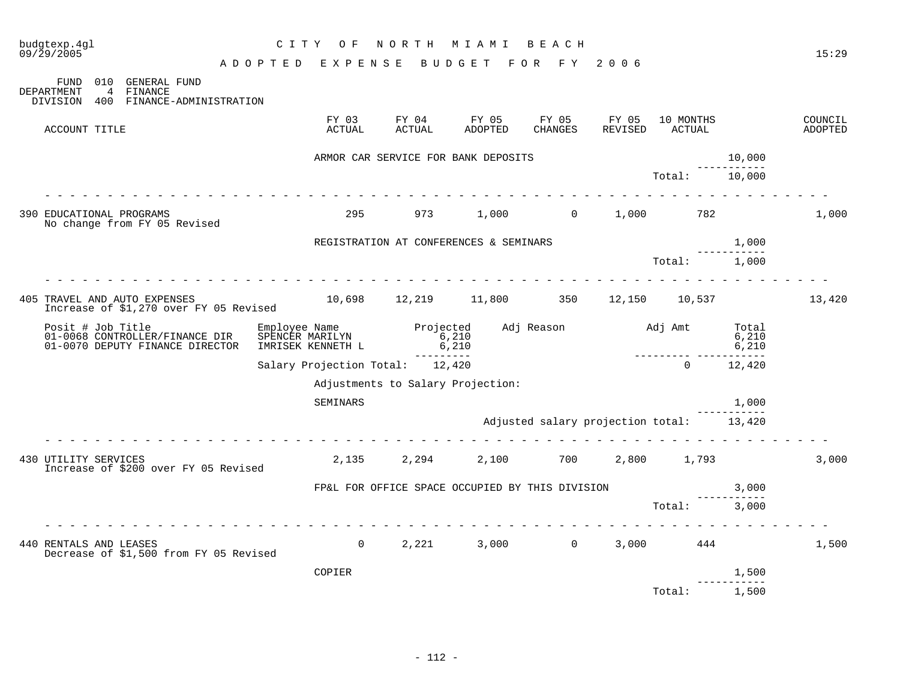| budgtexp.4gl<br>09/29/2005   |                                                                   | CITY OF                                     |                 | NORTH MIAMI BEACH                               |                                     |                                          |                                |                     | 15:29              |
|------------------------------|-------------------------------------------------------------------|---------------------------------------------|-----------------|-------------------------------------------------|-------------------------------------|------------------------------------------|--------------------------------|---------------------|--------------------|
|                              |                                                                   | ADOPTED EXPENSE BUDGET FOR FY 2006          |                 |                                                 |                                     |                                          |                                |                     |                    |
| DEPARTMENT<br>DIVISION       | FUND 010 GENERAL FUND<br>4 FINANCE<br>400 FINANCE-ADMINISTRATION  |                                             |                 |                                                 |                                     |                                          |                                |                     |                    |
| ACCOUNT TITLE                |                                                                   | FY 03<br>ACTUAL                             | FY 04<br>ACTUAL | <b>ADOPTED</b>                                  | FY 05 FY 05 FY 05<br><b>CHANGES</b> | REVISED                                  | 10 MONTHS<br>ACTUAL            |                     | COUNCIL<br>ADOPTED |
|                              |                                                                   |                                             |                 | ARMOR CAR SERVICE FOR BANK DEPOSITS             |                                     |                                          |                                | 10,000              |                    |
|                              |                                                                   |                                             |                 |                                                 |                                     |                                          | Total:                         | 10,000              |                    |
| 390 EDUCATIONAL PROGRAMS     | No change from FY 05 Revised                                      | 295                                         |                 | 973 1,000 0 1,000 782                           |                                     |                                          |                                |                     | 1,000              |
|                              |                                                                   |                                             |                 | REGISTRATION AT CONFERENCES & SEMINARS          |                                     |                                          |                                | 1,000               |                    |
|                              |                                                                   |                                             |                 |                                                 |                                     |                                          | Total:                         | 1,000               |                    |
|                              |                                                                   |                                             |                 |                                                 |                                     |                                          |                                |                     |                    |
| 405 TRAVEL AND AUTO EXPENSES | Increase of \$1,270 over FY 05 Revised                            | 10,698  12,219  11,800  350  12,150  10,537 |                 |                                                 |                                     |                                          |                                |                     | 13,420             |
| Posit # Job Title            | 01-0068 CONTROLLER/FINANCE DIR<br>01-0070 DEPUTY FINANCE DIRECTOR | IMRISEK KENNETH L                           | 6,210           |                                                 |                                     |                                          | 0,210<br>---------- ---------- | 6,210               |                    |
|                              |                                                                   | Salary Projection Total: 12,420             | ----------      |                                                 |                                     |                                          | $\cap$                         | 12,420              |                    |
|                              |                                                                   |                                             |                 | Adjustments to Salary Projection:               |                                     |                                          |                                |                     |                    |
|                              |                                                                   | SEMINARS                                    |                 |                                                 |                                     |                                          |                                | 1,000               |                    |
|                              |                                                                   |                                             |                 |                                                 |                                     | Adjusted salary projection total: 13,420 |                                |                     |                    |
| 430 UTILITY SERVICES         | Increase of \$200 over FY 05 Revised                              |                                             |                 | 2,135 2,294 2,100 700 2,800 1,793               |                                     |                                          |                                |                     | 3,000              |
|                              |                                                                   |                                             |                 | FP&L FOR OFFICE SPACE OCCUPIED BY THIS DIVISION |                                     |                                          | 3,000                          |                     |                    |
|                              |                                                                   |                                             |                 |                                                 |                                     |                                          | Total: 3,000                   |                     |                    |
| 440 RENTALS AND LEASES       | Decrease of \$1,500 from FY 05 Revised                            | $\Omega$                                    |                 | 2, 221 3, 000 0 3, 000 444                      |                                     |                                          |                                |                     | 1,500              |
|                              |                                                                   | COPIER                                      |                 |                                                 |                                     |                                          |                                | 1,500<br>---------- |                    |
|                              |                                                                   |                                             |                 |                                                 |                                     |                                          | Total:                         | 1,500               |                    |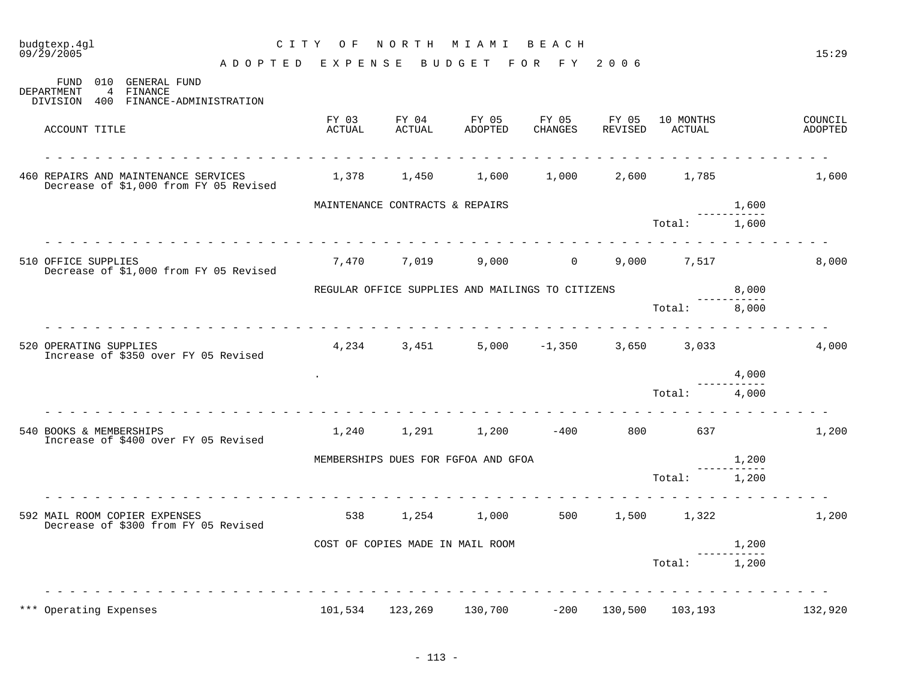| budgtexp.4gl<br>$09/\bar{2}9/2005$ |                                                                                           | CITY OF                            | NORTH                            | M I A M I                                        | BEACH            |                  |                     |                             | 15:29              |
|------------------------------------|-------------------------------------------------------------------------------------------|------------------------------------|----------------------------------|--------------------------------------------------|------------------|------------------|---------------------|-----------------------------|--------------------|
|                                    |                                                                                           | ADOPTED EXPENSE BUDGET FOR FY 2006 |                                  |                                                  |                  |                  |                     |                             |                    |
| DEPARTMENT                         | FUND 010 GENERAL FUND<br>$\overline{4}$<br>FINANCE<br>DIVISION 400 FINANCE-ADMINISTRATION |                                    |                                  |                                                  |                  |                  |                     |                             |                    |
| ACCOUNT TITLE                      |                                                                                           | FY 03<br>ACTUAL                    | FY 04<br>ACTUAL                  | FY 05<br>ADOPTED                                 | FY 05<br>CHANGES | FY 05<br>REVISED | 10 MONTHS<br>ACTUAL |                             | COUNCIL<br>ADOPTED |
|                                    | 460 REPAIRS AND MAINTENANCE SERVICES<br>Decrease of \$1,000 from FY 05 Revised            |                                    | 1,378 1,450                      | 1,600                                            | 1,000            | 2,600            | 1,785               |                             | 1,600              |
|                                    |                                                                                           |                                    | MAINTENANCE CONTRACTS & REPAIRS  |                                                  |                  |                  |                     | 1,600                       |                    |
|                                    |                                                                                           |                                    |                                  |                                                  |                  |                  | Total:              | $- - - - - -$<br>1,600      |                    |
| 510 OFFICE SUPPLIES                | Decrease of \$1,000 from FY 05 Revised                                                    |                                    | 7,470 7,019                      |                                                  | $9,000$ 0        |                  | 9,000 7,517         |                             | 8,000              |
|                                    |                                                                                           |                                    |                                  | REGULAR OFFICE SUPPLIES AND MAILINGS TO CITIZENS |                  |                  |                     | 8,000<br>-----------        |                    |
|                                    |                                                                                           |                                    |                                  |                                                  |                  |                  | Total:              | 8,000                       |                    |
| 520 OPERATING SUPPLIES             | Increase of \$350 over FY 05 Revised                                                      |                                    | 4,234 3,451                      |                                                  | $5,000 -1,350$   |                  | 3,650 3,033         |                             | 4,000              |
|                                    |                                                                                           |                                    |                                  |                                                  |                  |                  |                     | 4,000                       |                    |
|                                    |                                                                                           |                                    |                                  |                                                  |                  |                  | Total:              | $\frac{1}{2}$<br>4,000      |                    |
| 540 BOOKS & MEMBERSHIPS            | Increase of \$400 over FY 05 Revised                                                      |                                    |                                  | 1,240 1,291 1,200 -400                           |                  |                  | 800 637             |                             | 1,200              |
|                                    |                                                                                           |                                    |                                  | MEMBERSHIPS DUES FOR FGFOA AND GFOA              |                  |                  |                     | 1,200<br>-----------        |                    |
|                                    |                                                                                           |                                    |                                  |                                                  |                  |                  | Total:              | 1,200                       |                    |
|                                    | 592 MAIL ROOM COPIER EXPENSES<br>Decrease of \$300 from FY 05 Revised                     | 538                                | 1,254                            | 1,000                                            | 500              | 1,500            | 1,322               |                             | 1,200              |
|                                    |                                                                                           |                                    | COST OF COPIES MADE IN MAIL ROOM |                                                  |                  |                  |                     | 1,200<br>كالمالي كالمساكسات |                    |
|                                    |                                                                                           |                                    |                                  |                                                  |                  |                  | Total:              | 1,200                       |                    |
|                                    |                                                                                           |                                    |                                  |                                                  |                  |                  |                     |                             |                    |
| *** Operating Expenses             |                                                                                           | 101,534                            | 123,269                          | 130,700                                          | $-200$           | 130,500          | 103,193             |                             | 132,920            |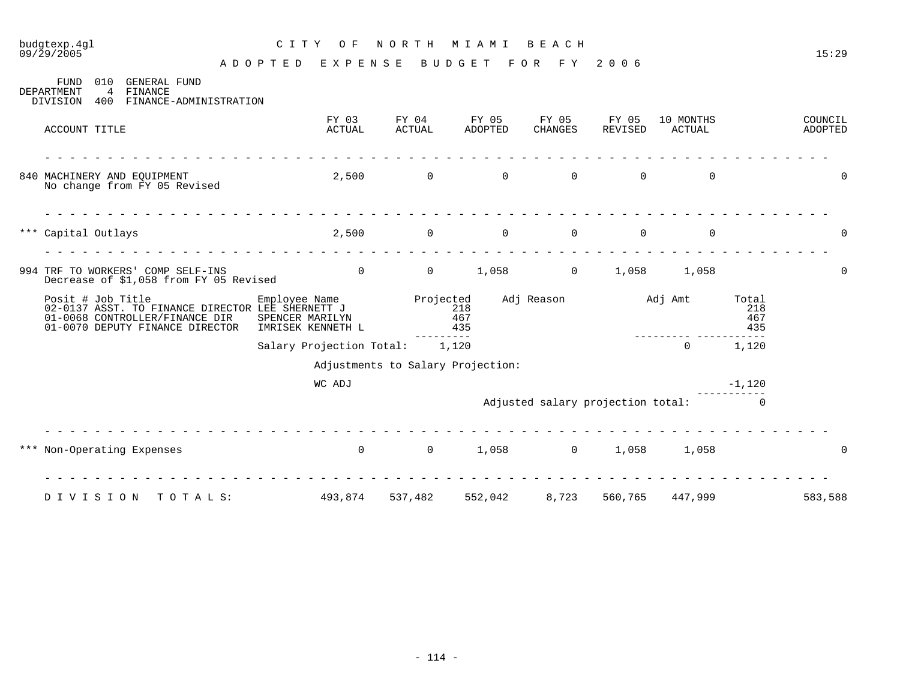#### budgtexp.4gl C I T Y O F N O R T H M I A M I B E A C H 09/29/2005 15:29

A D O P T E D E X P E N S E B U D G E T F O R F Y 2 0 0 6

FUND 010 GENERAL FUND<br>DEPARTMENT 4 FINANCE 4 FINANCE DIVISION 400 FINANCE-ADMINISTRATION FY 03 FY 04 FY 05 FY 05 FY 05 10 MONTHS COUNCIL ACCOUNT TITLE ACTUAL ACTUAL ADOPTED CHANGES REVISED ACTUAL ADOPTED - - - - - - - - - - - - - - - - - - - - - - - - - - - - - - - - - - - - - - - - - - - - - - - - - - - - - - - - - - - - - - - 840 MACHINERY AND EQUIPMENT 2,500 0 0 0 0 0 0 No change from FY 05 Revised - - - - - - - - - - - - - - - - - - - - - - - - - - - - - - - - - - - - - - - - - - - - - - - - - - - - - - - - - - - - - - - \*\*\* Capital Outlays 2,500 0 0 0 0 0 0 - - - - - - - - - - - - - - - - - - - - - - - - - - - - - - - - - - - - - - - - - - - - - - - - - - - - - - - - - - - - - - - 994 TRF TO WORKERS' COMP SELF-INS  $\begin{array}{cccc} 0 & 0 & 1,058 & 0 \\ 0 & 0 & 1,058 & 0 \end{array}$ Decrease of \$1,058 from FY 05 Revised Posit # Job Title Employee Name Projected Adj Reason Adj Amt Total 02-0137 ASST. TO FINANCE DIRECTOR LEE SHERNETT J 218 218 01-0068 CONTROLLER/FINANCE DIR SPENCER MARILYN 467 467 01-0070 DEPUTY FINANCE DIRECTOR IMRISEK KENNETH L<br>----------------- --------- ----------- Salary Projection Total: 1,120 0 1,120 Adjustments to Salary Projection: WC ADJ  $-1,120$ ----------- Adjusted salary projection total: 0 - - - - - - - - - - - - - - - - - - - - - - - - - - - - - - - - - - - - - - - - - - - - - - - - - - - - - - - - - - - - - - - \*\*\* Non-Operating Expenses  $\begin{array}{cccccccc} 0 & 0 & 1,058 & 0 & 1,058 & 1,058 \end{array}$ - - - - - - - - - - - - - - - - - - - - - - - - - - - - - - - - - - - - - - - - - - - - - - - - - - - - - - - - - - - - - - - D I V I S I O N T O T A L S: 493,874 537,482 552,042 8,723 560,765 447,999 583,588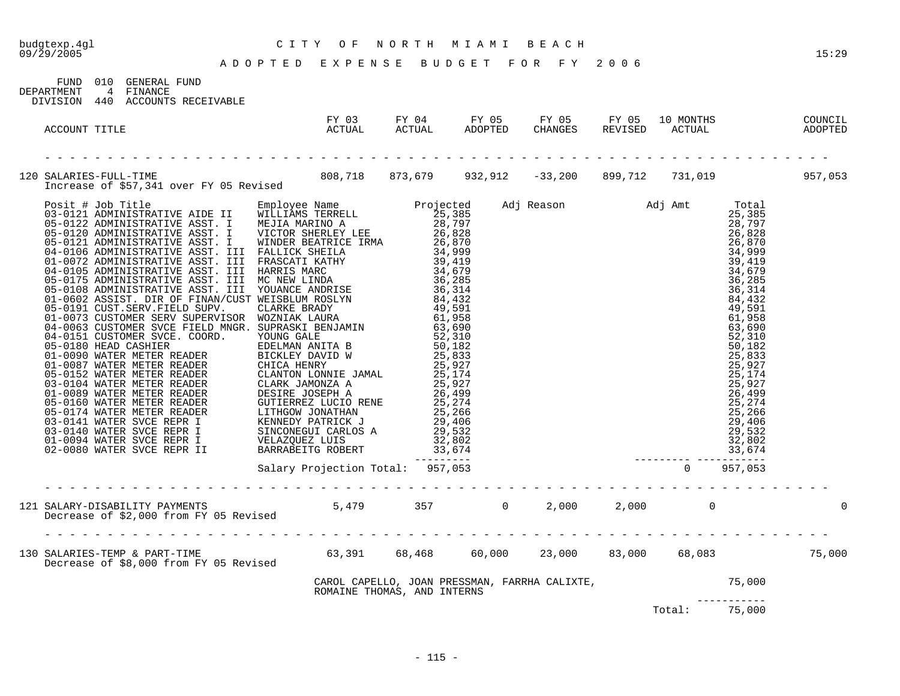| FIND 010   |     | GENERAL FUND        |
|------------|-----|---------------------|
| DEPARTMENT | 4   | FINANCE             |
| DIVISION   | 440 | ACCOUNTS RECEIVABLE |

| ACCOUNT TITLE                                                                                                             | ACTUAL                                                                                                        |  |  |               |              |  |
|---------------------------------------------------------------------------------------------------------------------------|---------------------------------------------------------------------------------------------------------------|--|--|---------------|--------------|--|
| 120 SALARIES-FULL-TIME<br>Increase of \$57,341 over FY 05 Revised 808,718 873,679 932,912 -33,200 899,712 731,019 957,053 |                                                                                                               |  |  |               |              |  |
|                                                                                                                           |                                                                                                               |  |  |               |              |  |
|                                                                                                                           |                                                                                                               |  |  |               |              |  |
|                                                                                                                           |                                                                                                               |  |  |               |              |  |
|                                                                                                                           | CAROL CAPELLO, JOAN PRESSMAN, FARRHA CALIXTE, THE SAN MAINE THOMAS AND INTERNS<br>ROMAINE THOMAS, AND INTERNS |  |  |               | ____________ |  |
|                                                                                                                           |                                                                                                               |  |  | Total: 75,000 |              |  |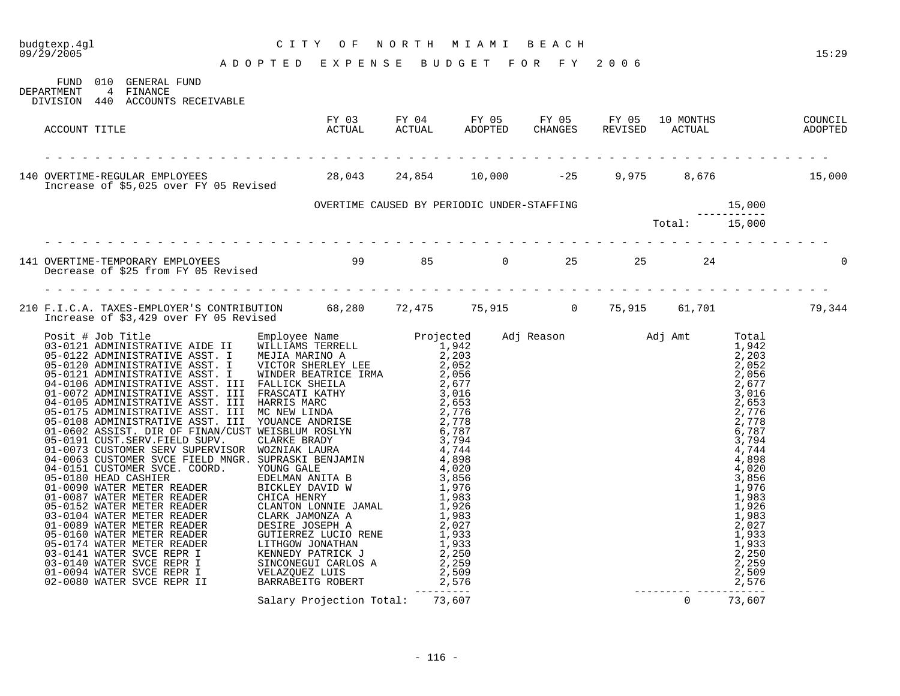# budgtexp.4gl C I T Y O F N O R T H M I A M I B E A C H

A D O P T E D E X P E N S E B U D G E T F O R F Y 2 0 0 6

| DEPARTMENT    | FUND 010 GENERAL FUND<br>4 FINANCE<br>DIVISION 440 ACCOUNTS RECEIVABLE                                                           |                                 |  |  |  |  |
|---------------|----------------------------------------------------------------------------------------------------------------------------------|---------------------------------|--|--|--|--|
| ACCOUNT TITLE | FY 03 FY 04 FY 05 FY 05 FY 05 10 MONTHS COUNCIL<br>ACTUAL ACTUAL ADOPTED CHANGES REVISED ACTUAL ADOPTED                          |                                 |  |  |  |  |
|               |                                                                                                                                  |                                 |  |  |  |  |
|               |                                                                                                                                  |                                 |  |  |  |  |
|               |                                                                                                                                  |                                 |  |  |  |  |
|               | 141 OVERTIME-TEMPORARY EMPLOYEES<br>Decrease of \$25 from FY 05 Revised<br>Decrease of \$25 from FY 05 Revised                   |                                 |  |  |  |  |
|               | 210 F.I.C.A. TAXES-EMPLOYER'S CONTRIBUTION 68,280 72,475 75,915 0 75,915 61,701 79,344<br>Increase of \$3,429 over FY 05 Revised |                                 |  |  |  |  |
|               |                                                                                                                                  |                                 |  |  |  |  |
|               |                                                                                                                                  | Salary Projection Total: 73,607 |  |  |  |  |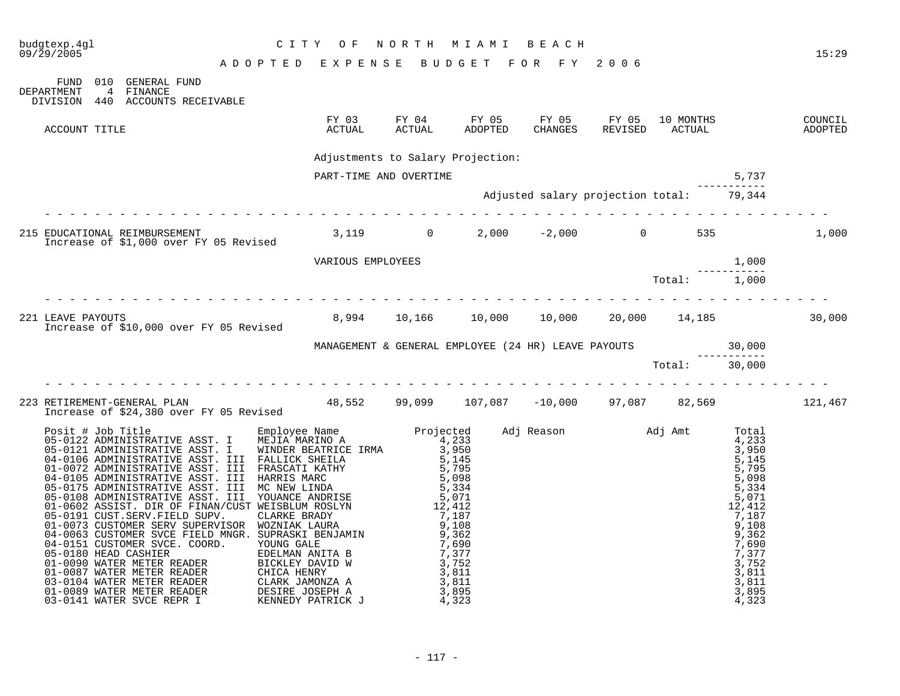|                                                                                      |                                         |                                                                                                                                  |                                                   |                                                                       |              | 15:29 |
|--------------------------------------------------------------------------------------|-----------------------------------------|----------------------------------------------------------------------------------------------------------------------------------|---------------------------------------------------|-----------------------------------------------------------------------|--------------|-------|
| FUND 010 GENERAL FUND<br>4 FINANCE<br>DEPARTMENT<br>DIVISION 440 ACCOUNTS RECEIVABLE |                                         |                                                                                                                                  |                                                   |                                                                       |              |       |
| ACCOUNT TITLE                                                                        |                                         | FY 03 FY 04 FY 05 FY 05 FY 05 10 MONTHS COUNCIL COUNCIL ACTUAL ADOPTED CHANGES REVISED ACTUAL ADOPTED                            |                                                   |                                                                       |              |       |
|                                                                                      |                                         | Adjustments to Salary Projection:                                                                                                |                                                   |                                                                       |              |       |
|                                                                                      |                                         | PART-TIME AND OVERTIME                                                                                                           |                                                   |                                                                       | 5,737        |       |
|                                                                                      |                                         |                                                                                                                                  | Adjusted salary projection total: 79,344          |                                                                       |              |       |
| 215 EDUCATIONAL REIMBURSEMENT<br>Increase of \$1,000 over FY 05 Revised              |                                         |                                                                                                                                  | $3,119$ 0 2,000 -2,000 0 535                      |                                                                       |              | 1,000 |
|                                                                                      |                                         | VARIOUS EMPLOYEES                                                                                                                |                                                   |                                                                       | 1,000        |       |
|                                                                                      |                                         |                                                                                                                                  |                                                   | $\begin{array}{c} - \text{---} \\ \text{Total:} \\ 1,000 \end{array}$ |              |       |
| 221 LEAVE PAYOUTS                                                                    | Increase of \$10,000 over FY 05 Revised |                                                                                                                                  | $8,994$ 10,166 10,000 10,000 20,000 14,185 30,000 |                                                                       |              |       |
|                                                                                      |                                         | MANAGEMENT & GENERAL EMPLOYEE (24 HR) LEAVE PAYOUTS $\begin{array}{ccc} & 30,000 \\ - & - & - & - - - - \\ & 30,000 \end{array}$ |                                                   |                                                                       | ------------ |       |
|                                                                                      |                                         |                                                                                                                                  |                                                   |                                                                       |              |       |
|                                                                                      | Increase of \$24,380 over FY 05 Revised | 223 RETIREMENT-GENERAL PLAN --- -- - - - - 48,552 99,099 107,087 -10,000 97,087 82,569 121,467                                   |                                                   |                                                                       |              |       |
|                                                                                      |                                         |                                                                                                                                  |                                                   |                                                                       |              |       |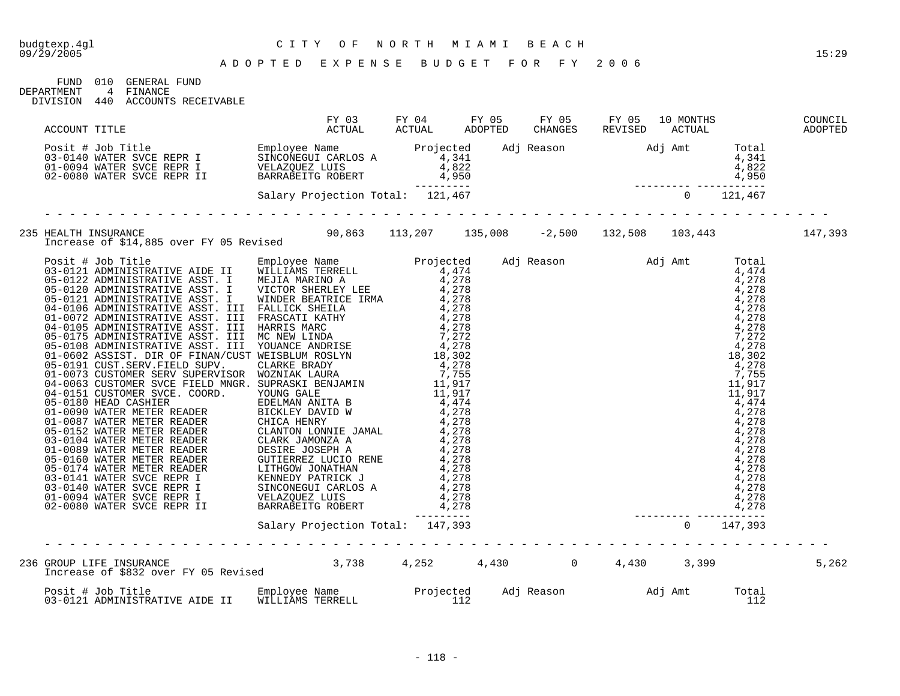#### A D O P T E D E X P E N S E B U D G E T F O R F Y 2 0 0 6

FUND 010 GENERAL FUND DEPARTMENT 4 FINANCE

DIVISION 440 ACCOUNTS RECEIVABLE

|  |                                                                                                                                                                                                                                                   |  |  |  |              | COUNCIL<br>ADOPTED |
|--|---------------------------------------------------------------------------------------------------------------------------------------------------------------------------------------------------------------------------------------------------|--|--|--|--------------|--------------------|
|  | ACCOUNT TITLE<br>Posit # Job Title<br>Posit # Job Title<br>Posit # Job Title<br>Posit # Job Title<br>Posit # Job Title<br>Employee Name Projection Total<br>Projection Total<br>Projection Total<br>Salary Projection Total: 121,467<br>--------- |  |  |  |              |                    |
|  |                                                                                                                                                                                                                                                   |  |  |  |              |                    |
|  | 235 HEALTH INSURANCE<br>147,393 Increase of \$14,885 over FY 05 Revised 90,863 113,207 135,008 -2,500 132,508 103,443                                                                                                                             |  |  |  |              |                    |
|  |                                                                                                                                                                                                                                                   |  |  |  |              |                    |
|  |                                                                                                                                                                                                                                                   |  |  |  |              |                    |
|  |                                                                                                                                                                                                                                                   |  |  |  |              | 5,262              |
|  |                                                                                                                                                                                                                                                   |  |  |  | Total<br>112 |                    |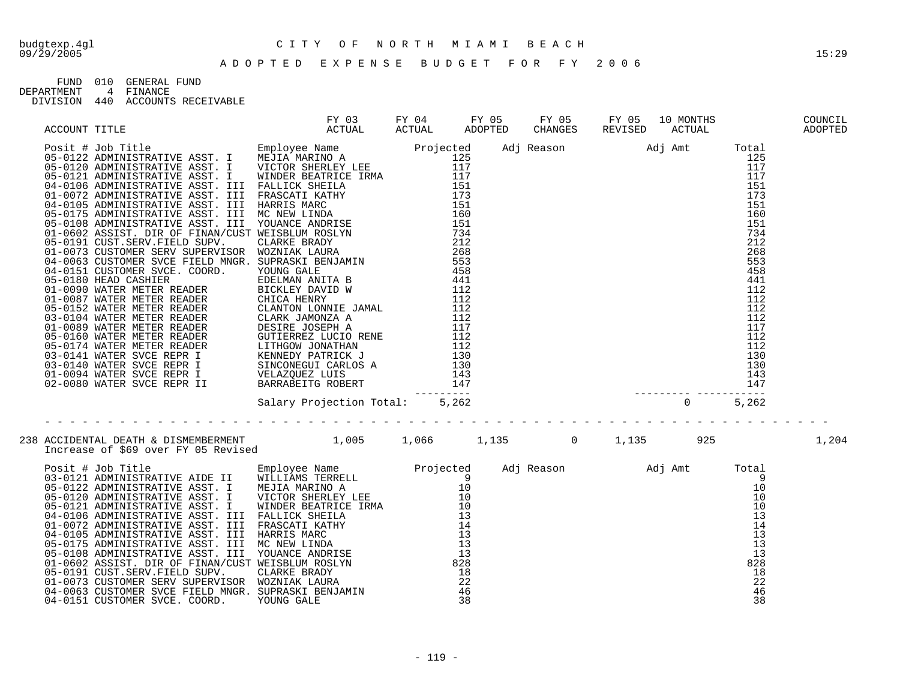#### A D O P T E D E X P E N S E B U D G E T F O R F Y 2 0 0 6

FUND 010 GENERAL FUND<br>DEPARTMENT 4 FINANCE<br>DIVISION 440 ACCOUNTS RECT DEPARTMENT 4 FINANCE

| 440<br>DIVISION | ACCOUNTS RECEIVABLE |
|-----------------|---------------------|
|-----------------|---------------------|

|  |                                                                                                                                                                                                                                |  |  |  | 1,204 |
|--|--------------------------------------------------------------------------------------------------------------------------------------------------------------------------------------------------------------------------------|--|--|--|-------|
|  |                                                                                                                                                                                                                                |  |  |  |       |
|  | 1005 1 # Job Title The Million of the Million of the Million of the Million of the Million of the Million of the Million of the Million of the Million of the Million of the Million of the Million of the Million of the Mill |  |  |  |       |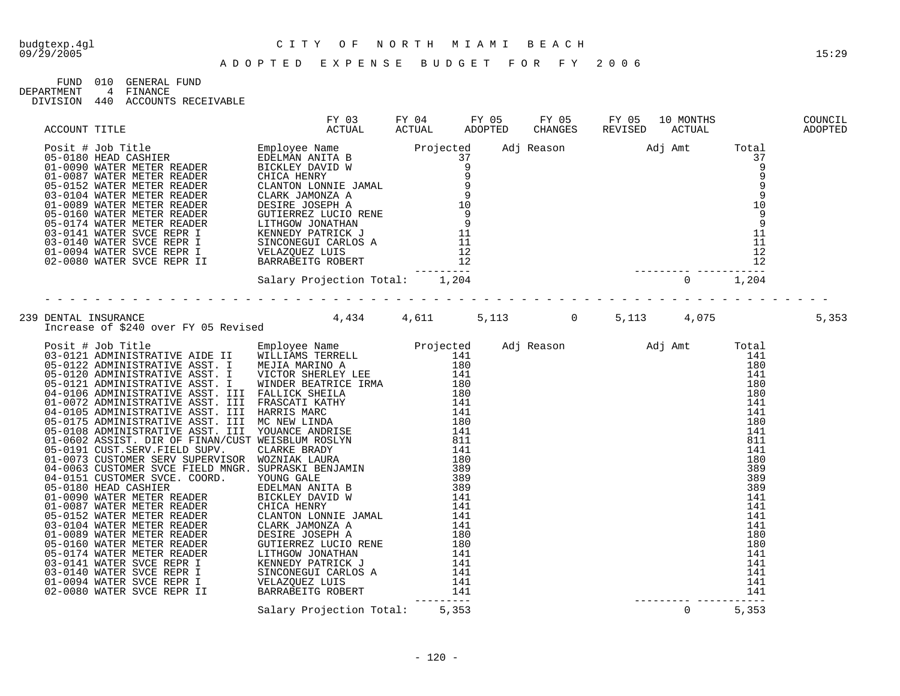FUND 010 GENERAL FUND DEPARTMENT 4 FINANCE

DIVISION 440 ACCOUNTS RECEIVABLE

|  | ACCOUNT TITLE FY 03 FORDER WATER HEADER FOR THE SEPTING ACTUAL AND THE CHANGES REVISED ACTUAL CONDUCTING AND CHANGES REVISED ACTUAL CONDUCTED<br>1990 - 1040 MATER METRICA ENDER BEADER INCLUSION AND THE SEPTING AND CHANGES R |  |  |  |  |
|--|---------------------------------------------------------------------------------------------------------------------------------------------------------------------------------------------------------------------------------|--|--|--|--|
|  |                                                                                                                                                                                                                                 |  |  |  |  |
|  |                                                                                                                                                                                                                                 |  |  |  |  |
|  |                                                                                                                                                                                                                                 |  |  |  |  |
|  |                                                                                                                                                                                                                                 |  |  |  |  |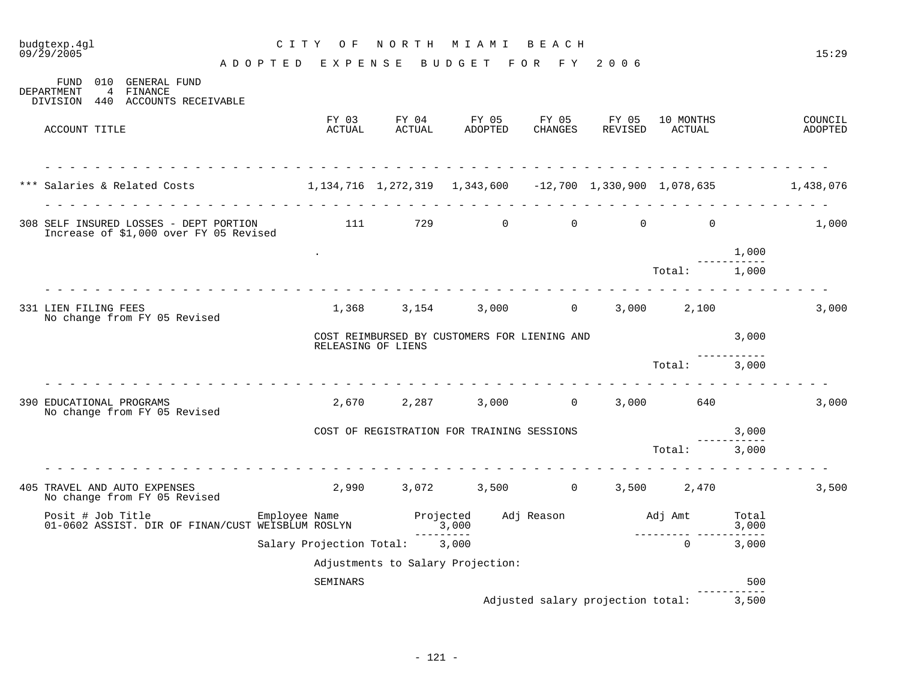| budgtexp.4ql<br>09/29/2005                                                                                      | CITY OF         |                 | NORTH MIAMI                                                        |                    | B E A C H                                                                                             |                  |                                                  |                     | 15:29              |
|-----------------------------------------------------------------------------------------------------------------|-----------------|-----------------|--------------------------------------------------------------------|--------------------|-------------------------------------------------------------------------------------------------------|------------------|--------------------------------------------------|---------------------|--------------------|
| FUND 010 GENERAL FUND<br><b>DEPARTMENT</b><br>4 FINANCE                                                         | ADOPTED EXPENSE |                 |                                                                    | BUDGET FOR FY 2006 |                                                                                                       |                  |                                                  |                     |                    |
| DIVISION 440 ACCOUNTS RECEIVABLE                                                                                |                 |                 |                                                                    |                    |                                                                                                       |                  |                                                  |                     |                    |
| ACCOUNT TITLE                                                                                                   |                 | FY 03<br>ACTUAL | FY 04<br>ACTUAL                                                    | FY 05<br>ADOPTED   | FY 05<br>CHANGES                                                                                      | FY 05<br>REVISED | 10 MONTHS<br>ACTUAL                              |                     | COUNCIL<br>ADOPTED |
| *** Salaries & Related Costs (1,134,716 1,272,319 1,343,600 -12,700 1,330,900 1,078,635 1,438,076               | .               |                 |                                                                    |                    | $\begin{array}{cccccccccccccccccc} \bot & \bot & \bot & \bot & \bot & \bot & \bot & \bot \end{array}$ |                  |                                                  |                     |                    |
|                                                                                                                 |                 |                 |                                                                    |                    |                                                                                                       |                  |                                                  |                     | .                  |
| 308 SELF INSURED LOSSES - DEPT PORTION 111 729 0 0 0 0 0 0<br>Increase of \$1,000 over FY 05 Revised            |                 |                 |                                                                    |                    |                                                                                                       |                  |                                                  |                     | 1,000              |
|                                                                                                                 |                 |                 |                                                                    |                    |                                                                                                       |                  |                                                  | 1,000               |                    |
|                                                                                                                 |                 |                 |                                                                    |                    |                                                                                                       |                  | Total: 1,000                                     |                     |                    |
| 331 LIEN FILING FEES<br>No change from FY 05 Revised                                                            |                 |                 | $1,368$ $3,154$ $3,000$ 0 $3,000$ 2,100                            |                    |                                                                                                       |                  |                                                  |                     | 3,000              |
|                                                                                                                 |                 |                 | COST REIMBURSED BY CUSTOMERS FOR LIENING AND<br>RELEASING OF LIENS |                    |                                                                                                       |                  | 3.000                                            |                     |                    |
|                                                                                                                 |                 |                 |                                                                    |                    |                                                                                                       |                  | Total: 3,000                                     | __________          |                    |
| 390 EDUCATIONAL PROGRAMS<br>No change from FY 05 Revised                                                        |                 |                 | $2,670$ $2,287$ $3,000$ 0 $3,000$ 640                              |                    |                                                                                                       |                  |                                                  |                     | 3,000              |
|                                                                                                                 |                 |                 | COST OF REGISTRATION FOR TRAINING SESSIONS                         |                    |                                                                                                       |                  |                                                  | 3,000               |                    |
|                                                                                                                 |                 |                 |                                                                    |                    |                                                                                                       |                  | Total:                                           | 3,000               |                    |
| 405 TRAVEL AND AUTO EXPENSES<br>No change from FY 05 Revised                                                    |                 |                 | $2,990$ $3,072$ $3,500$ $0$ $3,500$ $2,470$                        |                    |                                                                                                       |                  |                                                  |                     | 3,500              |
| Posit # Job Title Employee Name Projected Adj Reason<br>01-0602 ASSIST. DIR OF FINAN/CUST WEISBLUM ROSLYN 3,000 |                 |                 |                                                                    |                    |                                                                                                       |                  | Adj Amt Total<br>3,000<br>__________ ___________ | 3,000               |                    |
|                                                                                                                 |                 |                 | ----------<br>Salary Projection Total: 3,000                       |                    |                                                                                                       |                  | $\cap$                                           | 3,000               |                    |
|                                                                                                                 |                 |                 | Adjustments to Salary Projection:                                  |                    |                                                                                                       |                  |                                                  |                     |                    |
|                                                                                                                 |                 | SEMINARS        |                                                                    |                    |                                                                                                       |                  |                                                  | 500<br>------------ |                    |
|                                                                                                                 |                 |                 |                                                                    |                    |                                                                                                       |                  | Adjusted salary projection total: 3,500          |                     |                    |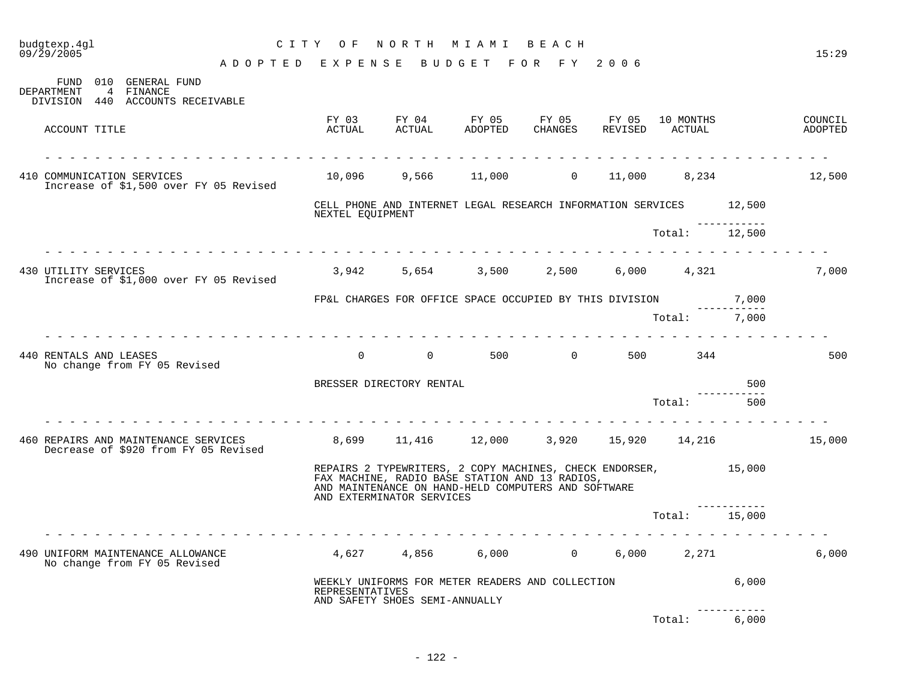| budgtexp.4gl<br>09/29/2005                                                           | CITY OF                  |                                | NORTH MIAMI                                                                                                                                                             | B E A C H           |     |                             |                        | 15:29              |
|--------------------------------------------------------------------------------------|--------------------------|--------------------------------|-------------------------------------------------------------------------------------------------------------------------------------------------------------------------|---------------------|-----|-----------------------------|------------------------|--------------------|
|                                                                                      | ADOPTED EXPENSE          | B U D G E T                    |                                                                                                                                                                         | FOR FY 2006         |     |                             |                        |                    |
| FUND 010 GENERAL FUND<br>4 FINANCE<br>DEPARTMENT<br>DIVISION 440 ACCOUNTS RECEIVABLE |                          |                                |                                                                                                                                                                         |                     |     |                             |                        |                    |
| ACCOUNT TITLE                                                                        | FY 03<br>ACTUAL          | ACTUAL                         | FY 04 FY 05 FY 05 FY 05<br>ADOPTED                                                                                                                                      | CHANGES             |     | 10 MONTHS<br>REVISED ACTUAL |                        | COUNCIL<br>ADOPTED |
| 410 COMMUNICATION SERVICES<br>Increase of \$1,500 over FY 05 Revised                 |                          |                                | 10,096 9,566 11,000                                                                                                                                                     |                     |     | $0 \t 11,000 \t 8,234$      |                        | 12,500             |
|                                                                                      | NEXTEL EOUIPMENT         |                                | CELL PHONE AND INTERNET LEGAL RESEARCH INFORMATION SERVICES 12,500                                                                                                      |                     |     |                             |                        |                    |
| <u>a la la la la la la la la la la la la</u>                                         |                          |                                |                                                                                                                                                                         |                     |     | Total:                      | ------------<br>12,500 |                    |
| 430 UTILITY SERVICES<br>Increase of \$1,000 over FY 05 Revised                       |                          |                                | 3,942 5,654 3,500 2,500                                                                                                                                                 |                     |     | 6,000 4,321                 |                        | 7,000              |
|                                                                                      |                          |                                | FP&L CHARGES FOR OFFICE SPACE OCCUPIED BY THIS DIVISION                                                                                                                 |                     |     |                             | 7,000                  |                    |
|                                                                                      |                          |                                |                                                                                                                                                                         |                     |     | Total: 7,000                |                        |                    |
| 440 RENTALS AND LEASES<br>No change from FY 05 Revised                               | $\Omega$                 | $\Omega$                       |                                                                                                                                                                         | 500 000<br>$\Omega$ | 500 | 344                         |                        | 500                |
|                                                                                      | BRESSER DIRECTORY RENTAL |                                |                                                                                                                                                                         |                     |     |                             | 500                    |                    |
|                                                                                      |                          |                                |                                                                                                                                                                         |                     |     | Total:                      | 500                    |                    |
| 460 REPAIRS AND MAINTENANCE SERVICES<br>Decrease of \$920 from FY 05 Revised         |                          |                                | 8,699 11,416 12,000 3,920 15,920 14,216                                                                                                                                 |                     |     |                             |                        | 15,000             |
|                                                                                      |                          | AND EXTERMINATOR SERVICES      | REPAIRS 2 TYPEWRITERS, 2 COPY MACHINES, CHECK ENDORSER, 15,000<br>FAX MACHINE, RADIO BASE STATION AND 13 RADIOS,<br>AND MAINTENANCE ON HAND-HELD COMPUTERS AND SOFTWARE |                     |     |                             |                        |                    |
|                                                                                      |                          |                                |                                                                                                                                                                         |                     |     | Total:                      | 15,000                 |                    |
| 490 UNIFORM MAINTENANCE ALLOWANCE<br>No change from FY 05 Revised                    |                          | 4,627 4,856                    | 6,000                                                                                                                                                                   | $0 \qquad \qquad$   |     | 6,000 2,271                 |                        | 6,000              |
|                                                                                      | <b>REPRESENTATIVES</b>   | AND SAFETY SHOES SEMI-ANNUALLY | WEEKLY UNIFORMS FOR METER READERS AND COLLECTION                                                                                                                        |                     |     |                             | 6,000                  |                    |
|                                                                                      |                          |                                |                                                                                                                                                                         |                     |     | Total:                      | 6,000                  |                    |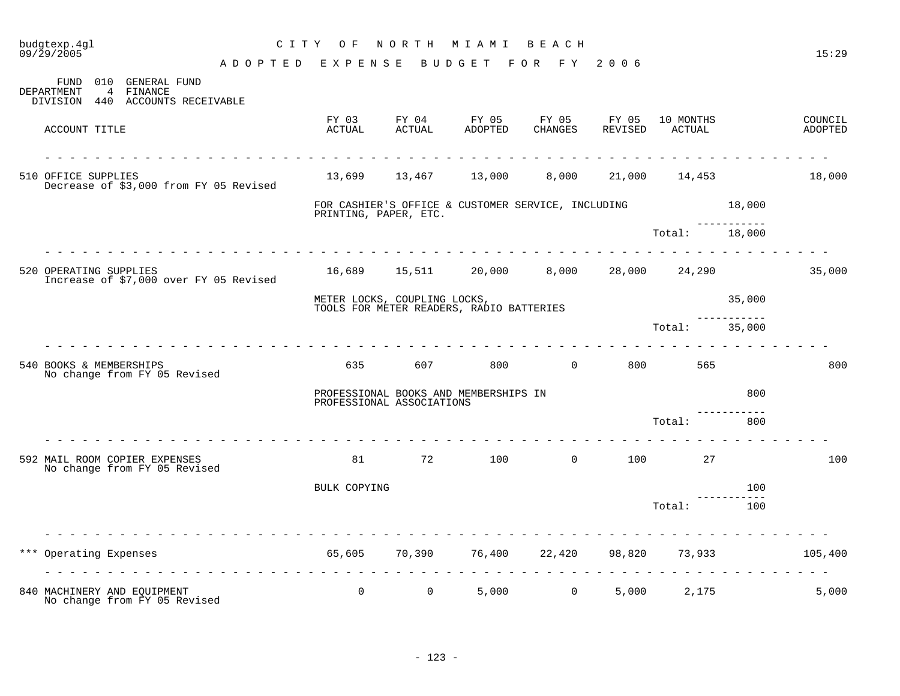| budgtexp.4gl<br>09/29/2005 |                                                                           |                                                        | CITY OF                      |                 | NORTH MIAMI                                          | BEACH       |                |                     |                       | 15:29              |
|----------------------------|---------------------------------------------------------------------------|--------------------------------------------------------|------------------------------|-----------------|------------------------------------------------------|-------------|----------------|---------------------|-----------------------|--------------------|
|                            |                                                                           | A D O P T E D E X P E N S E B U D G E T F O R F Y 2006 |                              |                 |                                                      |             |                |                     |                       |                    |
| DEPARTMENT                 | FUND 010 GENERAL FUND<br>4<br>FINANCE<br>DIVISION 440 ACCOUNTS RECEIVABLE |                                                        |                              |                 |                                                      |             |                |                     |                       |                    |
| ACCOUNT TITLE              |                                                                           |                                                        | FY 03<br>ACTUAL              | FY 04<br>ACTUAL | FY 05<br>ADOPTED CHANGES                             | FY 05 FY 05 | REVISED        | 10 MONTHS<br>ACTUAL |                       | COUNCIL<br>ADOPTED |
| 510 OFFICE SUPPLIES        | Decrease of \$3,000 from FY 05 Revised                                    |                                                        |                              |                 | 13,699 13,467 13,000                                 | 8,000       |                | 21,000 14,453       |                       | 18,000             |
|                            |                                                                           |                                                        | PRINTING, PAPER, ETC.        |                 | FOR CASHIER'S OFFICE & CUSTOMER SERVICE, INCLUDING   |             |                |                     | 18,000                |                    |
|                            |                                                                           | .                                                      |                              |                 |                                                      |             |                | Total: 18,000       |                       |                    |
| 520 OPERATING SUPPLIES     | Increase of \$7,000 over FY 05 Revised                                    |                                                        |                              |                 | $16,689$ $15,511$ $20,000$ $8,000$ $28,000$ $24,290$ |             |                |                     |                       | 35,000             |
|                            |                                                                           |                                                        | METER LOCKS, COUPLING LOCKS, |                 |                                                      |             |                |                     | 35,000                |                    |
|                            |                                                                           |                                                        |                              |                 | TOOLS FOR METER READERS, RADIO BATTERIES             |             |                | Total:              | -----------<br>35,000 |                    |
| 540 BOOKS & MEMBERSHIPS    | No change from FY 05 Revised                                              |                                                        | 635                          |                 | 607 800 0                                            |             |                | 800 565             |                       | 800                |
|                            |                                                                           |                                                        | PROFESSIONAL ASSOCIATIONS    |                 | PROFESSIONAL BOOKS AND MEMBERSHIPS IN                |             |                |                     | 800                   |                    |
|                            |                                                                           |                                                        |                              |                 |                                                      |             |                | Total:              | 800                   |                    |
|                            | 592 MAIL ROOM COPIER EXPENSES<br>No change from FY 05 Revised             |                                                        | 81                           |                 | 72 100                                               |             | $\overline{0}$ | 100 100<br>27       |                       | 100                |
|                            |                                                                           |                                                        | BULK COPYING                 |                 |                                                      |             |                |                     | 100                   |                    |
|                            |                                                                           |                                                        |                              |                 |                                                      |             |                | Total:              | 100                   |                    |
| Operating Expenses<br>***  |                                                                           |                                                        |                              |                 | 65,605 70,390 76,400 22,420                          |             |                | 98,820 73,933       |                       | 105,400            |
|                            | 840 MACHINERY AND EQUIPMENT<br>No change from FY 05 Revised               |                                                        | $\overline{0}$               | $\overline{0}$  | .                                                    | 5,000 0     |                | .<br>5,000 2,175    |                       | 5,000              |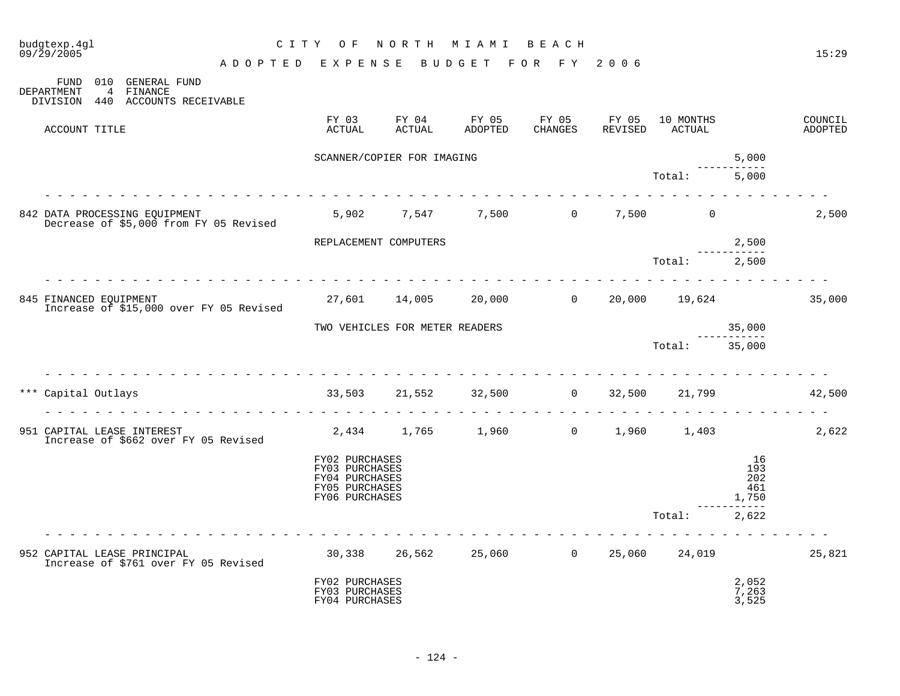| budgtexp.4gl<br>09/29/2005  |                  |                |         |                                             |                                         | C I T Y | O F                                                                                    | NORTH                      | M I A M I                      | BEACH                             |                  |                     |                                  | 15:29              |
|-----------------------------|------------------|----------------|---------|---------------------------------------------|-----------------------------------------|---------|----------------------------------------------------------------------------------------|----------------------------|--------------------------------|-----------------------------------|------------------|---------------------|----------------------------------|--------------------|
|                             |                  |                |         |                                             | ADOPTED EXPENSE                         |         |                                                                                        |                            | BUDGET                         | FOR FY                            | 2006             |                     |                                  |                    |
| DEPARTMENT                  | FUND<br>DIVISION | $\overline{4}$ | FINANCE | 010 GENERAL FUND<br>440 ACCOUNTS RECEIVABLE |                                         |         |                                                                                        |                            |                                |                                   |                  |                     |                                  |                    |
|                             | ACCOUNT TITLE    |                |         |                                             |                                         |         | FY 03<br>ACTUAL                                                                        | FY 04<br><b>ACTUAL</b>     | FY 05<br>ADOPTED               | FY 05<br>CHANGES                  | FY 05<br>REVISED | 10 MONTHS<br>ACTUAL |                                  | COUNCIL<br>ADOPTED |
|                             |                  |                |         |                                             |                                         |         |                                                                                        | SCANNER/COPIER FOR IMAGING |                                |                                   |                  |                     | 5,000                            |                    |
|                             |                  |                |         |                                             |                                         |         |                                                                                        |                            |                                |                                   |                  | Total:              | 5,000                            |                    |
|                             |                  |                |         | 842 DATA PROCESSING EQUIPMENT               | Decrease of \$5,000 from FY 05 Revised  |         |                                                                                        |                            |                                | 5,902 7,547 7,500 0 7,500         |                  | $\overline{0}$      |                                  | 2,500              |
|                             |                  |                |         |                                             |                                         |         |                                                                                        | REPLACEMENT COMPUTERS      |                                |                                   |                  |                     | 2,500                            |                    |
|                             |                  |                |         |                                             |                                         |         |                                                                                        |                            |                                |                                   |                  | Total:              | 2,500                            |                    |
| 845 FINANCED EQUIPMENT      |                  |                |         |                                             | Increase of \$15,000 over FY 05 Revised |         | 27,601                                                                                 | 14,005                     | 20,000                         | $\overline{0}$                    | 20,000           | 19,624              |                                  | 35,000             |
|                             |                  |                |         |                                             |                                         |         |                                                                                        |                            | TWO VEHICLES FOR METER READERS |                                   |                  |                     | 35,000                           |                    |
|                             |                  |                |         |                                             |                                         |         |                                                                                        |                            |                                |                                   |                  | Total:              | 35,000                           |                    |
| *** Capital Outlays         |                  |                |         |                                             |                                         |         | 33,503                                                                                 |                            | 21,552 32,500                  | $\overline{0}$                    | 32,500           | 21,799              |                                  | 42,500             |
| 951 CAPITAL LEASE INTEREST  |                  |                |         | Increase of \$662 over FY 05 Revised        |                                         |         |                                                                                        |                            | 2,434 1,765 1,960              | $\overline{0}$                    | 1,960            | 1,403               |                                  | 2,622              |
|                             |                  |                |         |                                             |                                         |         | FY02 PURCHASES<br>FY03 PURCHASES<br>FY04 PURCHASES<br>FY05 PURCHASES<br>FY06 PURCHASES |                            |                                |                                   |                  |                     | 16<br>193<br>202<br>461<br>1,750 |                    |
|                             |                  |                |         |                                             |                                         |         |                                                                                        |                            |                                |                                   |                  | Total:              | 2,622                            |                    |
| 952 CAPITAL LEASE PRINCIPAL |                  |                |         | Increase of \$761 over FY 05 Revised        |                                         |         |                                                                                        |                            |                                | 30,338  26,562  25,060  0  25,060 |                  | 24,019              |                                  | 25,821             |
|                             |                  |                |         |                                             |                                         |         | FY02 PURCHASES<br>FY03 PURCHASES<br>FY04 PURCHASES                                     |                            |                                |                                   |                  |                     | 2,052<br>7,263<br>3,525          |                    |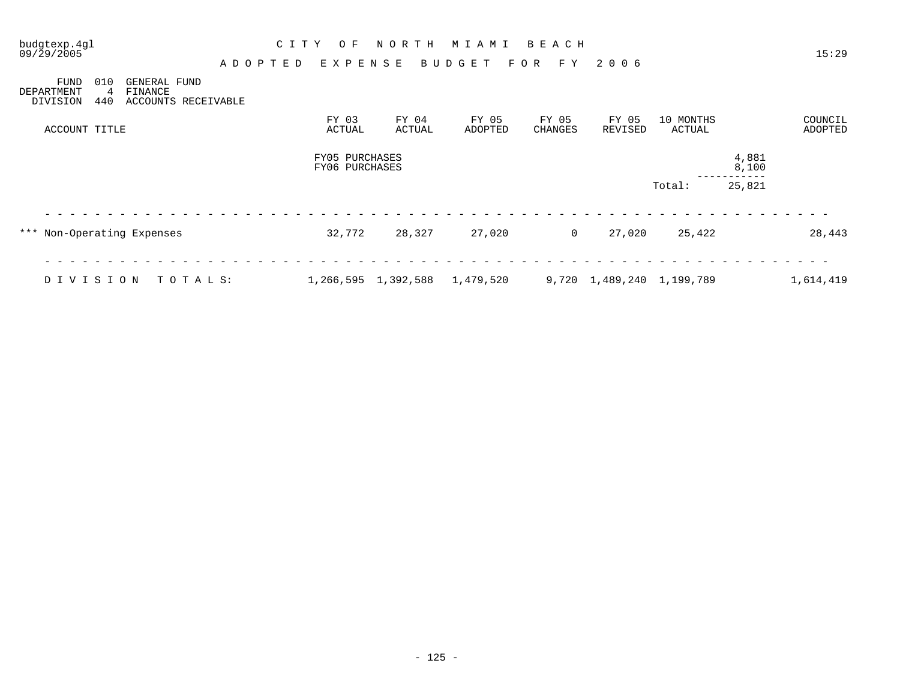| budgtexp.4gl<br>09/29/2005            |                 |                                                | A D O P T E D | C I T Y |                                  | O F<br>EXPENSE | NORTH               | M I A M I<br>BUDGET |                  | BEACH<br>F Y<br>F O R   | 2006             |                            |                | 15:29              |
|---------------------------------------|-----------------|------------------------------------------------|---------------|---------|----------------------------------|----------------|---------------------|---------------------|------------------|-------------------------|------------------|----------------------------|----------------|--------------------|
| <b>FUND</b><br>DEPARTMENT<br>DIVISION | 010<br>4<br>440 | GENERAL FUND<br>FINANCE<br>ACCOUNTS RECEIVABLE |               |         |                                  |                |                     |                     |                  |                         |                  |                            |                |                    |
| ACCOUNT TITLE                         |                 |                                                |               |         | FY 03<br>ACTUAL                  |                | FY 04<br>ACTUAL     |                     | FY 05<br>ADOPTED | FY 05<br><b>CHANGES</b> | FY 05<br>REVISED | 10 MONTHS<br><b>ACTUAL</b> |                | COUNCIL<br>ADOPTED |
|                                       |                 |                                                |               |         | FY05 PURCHASES<br>FY06 PURCHASES |                |                     |                     |                  |                         |                  |                            | 4,881<br>8,100 |                    |
|                                       |                 |                                                |               |         |                                  |                |                     |                     |                  |                         |                  | Total:                     | 25,821         |                    |
| *** Non-Operating Expenses            |                 |                                                |               |         | 32,772                           |                | 28,327              |                     | 27,020           | $\overline{0}$          | 27,020           | 25,422                     |                | 28,443             |
| DIVISION                              |                 | TOTALS:                                        |               |         |                                  |                | 1,266,595 1,392,588 | 1,479,520           |                  |                         |                  | 9,720 1,489,240 1,199,789  |                | 1,614,419          |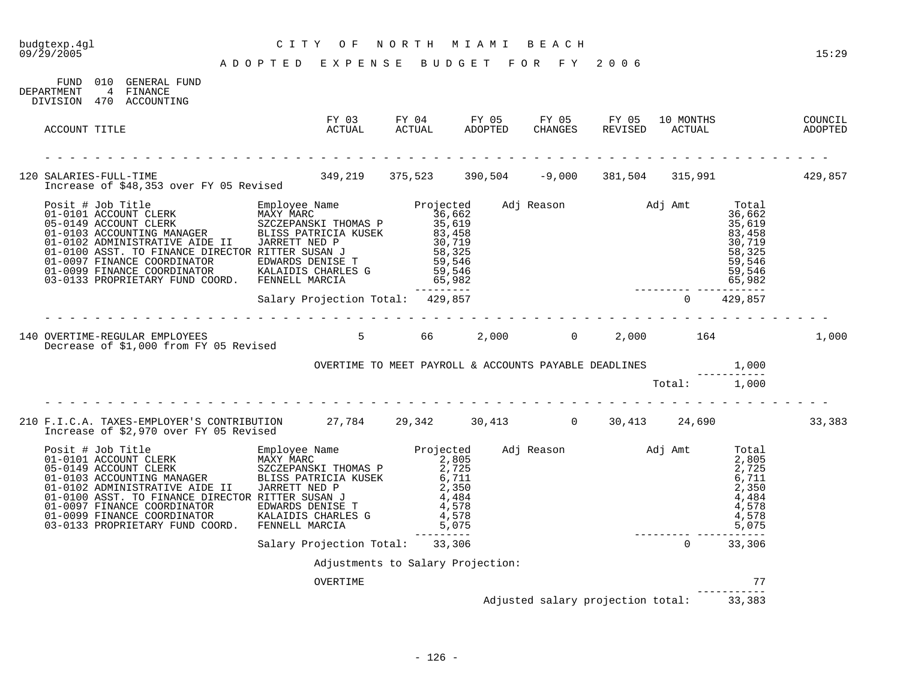# budgtexp.4gl C I T Y O F N O R T H M I A M I B E A C H

A D O P T E D E X P E N S E B U D G E T F O R F Y 2 0 0 6

| DEPARTMENT    | FUND 010 GENERAL FUND<br>4 FINANCE<br>DIVISION 470 ACCOUNTING                                                             |                                   |  |  |  |                                          |        |
|---------------|---------------------------------------------------------------------------------------------------------------------------|-----------------------------------|--|--|--|------------------------------------------|--------|
| ACCOUNT TITLE |                                                                                                                           |                                   |  |  |  |                                          |        |
|               | 120 SALARIES-FULL-TIME 105 Revised 349,219 375,523 390,504 -9,000 381,504 315,991 15 429,857                              |                                   |  |  |  |                                          |        |
|               |                                                                                                                           |                                   |  |  |  |                                          |        |
|               |                                                                                                                           |                                   |  |  |  |                                          |        |
|               | 140 OVERTIME-REGULAR EMPLOYEES<br>Decrease of \$1,000 from FY 05 Revised 5 5 66 2,000 66 2,000 164 164 1,000              |                                   |  |  |  |                                          |        |
|               |                                                                                                                           |                                   |  |  |  |                                          |        |
|               |                                                                                                                           |                                   |  |  |  |                                          |        |
|               | 210 F.I.C.A. TAXES-EMPLOYER'S CONTRIBUTION 27,784 29,342 30,413 0 30,413 24,690<br>Increase of \$2,970 over FY 05 Revised |                                   |  |  |  |                                          | 33,383 |
|               |                                                                                                                           |                                   |  |  |  |                                          |        |
|               |                                                                                                                           |                                   |  |  |  |                                          |        |
|               |                                                                                                                           | Adjustments to Salary Projection: |  |  |  |                                          |        |
|               |                                                                                                                           | OVERTIME                          |  |  |  | 77                                       |        |
|               |                                                                                                                           |                                   |  |  |  | Adjusted salary projection total: 33,383 |        |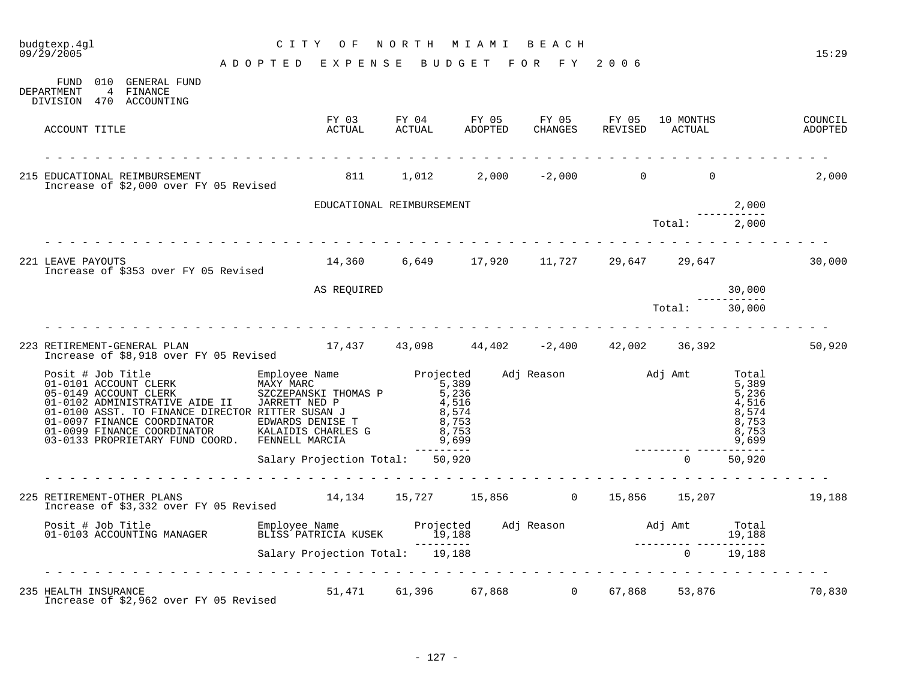| budgtexp.4gl<br>09/29/2005                                                                                                                                                                                                                                                                                                                                                                                                                  | CITY OF NORTH MIAMI BEACH                              |                                                                                                      |  |                                  |        | 15:29  |
|---------------------------------------------------------------------------------------------------------------------------------------------------------------------------------------------------------------------------------------------------------------------------------------------------------------------------------------------------------------------------------------------------------------------------------------------|--------------------------------------------------------|------------------------------------------------------------------------------------------------------|--|----------------------------------|--------|--------|
|                                                                                                                                                                                                                                                                                                                                                                                                                                             | A D O P T E D E X P E N S E B U D G E T F O R F Y 2006 |                                                                                                      |  |                                  |        |        |
| FUND 010 GENERAL FUND<br>DEPARTMENT<br>4 FINANCE<br>DIVISION 470 ACCOUNTING                                                                                                                                                                                                                                                                                                                                                                 |                                                        |                                                                                                      |  |                                  |        |        |
| ACCOUNT TITLE                                                                                                                                                                                                                                                                                                                                                                                                                               |                                                        | FY 03 FY 04 FY 05 FY 05 FY 05 10 MONTHS COUNCIL ACTUAL ACTUAL ADOPTED CHANGES REVISED ACTUAL ADOPTED |  |                                  |        |        |
| 215 EDUCATIONAL REIMBURSEMENT<br>Increase of \$2,000 over FY 05 Revised                                                                                                                                                                                                                                                                                                                                                                     | $811 \t 1,012 \t 2,000 \t -2,000 \t 0 \t 0 \t 2,000$   |                                                                                                      |  |                                  |        |        |
|                                                                                                                                                                                                                                                                                                                                                                                                                                             | EDUCATIONAL REIMBURSEMENT                              |                                                                                                      |  |                                  | 2,000  |        |
|                                                                                                                                                                                                                                                                                                                                                                                                                                             |                                                        |                                                                                                      |  | 2,000<br>------------<br>2,000 2 |        |        |
| 221 LEAVE PAYOUTS<br>Increase of \$353 over FY 05 Revised                                                                                                                                                                                                                                                                                                                                                                                   | $14,360$ 6,649 17,920 11,727 29,647 29,647             |                                                                                                      |  |                                  |        | 30,000 |
|                                                                                                                                                                                                                                                                                                                                                                                                                                             | AS REQUIRED                                            |                                                                                                      |  |                                  | 30,000 |        |
|                                                                                                                                                                                                                                                                                                                                                                                                                                             |                                                        |                                                                                                      |  | $Total:$ 30,000                  |        |        |
| 223 RETIREMENT-GENERAL PLAN 17,437 43,098 44,402 −2,400 42,002 36,392<br>Increase of \$8,918 over FY 05 Revised                                                                                                                                                                                                                                                                                                                             | .                                                      |                                                                                                      |  |                                  |        | 50,920 |
| $\begin{tabular}{lllllllllllllllllllll} \hline\texttt{Positive} & \texttt{Empolve Name} & \texttt{Propolve Name} & \texttt{Projected} & \texttt{Adj} Reason & \texttt{Adj Amt} & \texttt{Total} \\ 01-0101 ACCOUNT CLERK & \texttt{MAXY MARC} & 5,389 & \texttt{S2CEPANSKT} & 5,389 & \texttt{S39} & \texttt{S39} \\ 05-0149 ACCOUNT CLERK & \texttt{MAXY MARC} & \texttt{JEXRET THOMAS P} & 5,236 & \texttt{S4,516} & \texttt{S5,236} & \$ |                                                        |                                                                                                      |  |                                  |        |        |
|                                                                                                                                                                                                                                                                                                                                                                                                                                             | Salary Projection Total: 50,920                        |                                                                                                      |  | $\overline{0}$                   | 50,920 |        |
| 225 RETIREMENT-OTHER PLANS<br>Increase of \$3,332 over FY 05 Revised                                                                                                                                                                                                                                                                                                                                                                        | $14,134$ $15,727$ $15,856$ 0 $15,856$ $15,207$ 19,188  |                                                                                                      |  |                                  |        |        |
| Posit # Job Title Employee Name Projected Adj Reason Adj Amt Total<br>19,188 19,188 19,188 19,188 19,188 19,188 19,188 19,188 19,188 19,188 19,188 19,188 2000 19,188 201-0103                                                                                                                                                                                                                                                              |                                                        |                                                                                                      |  |                                  |        |        |
|                                                                                                                                                                                                                                                                                                                                                                                                                                             |                                                        |                                                                                                      |  |                                  |        |        |
| 235 HEALTH INSURANCE<br>Increase of \$2,962 over FY 05 Revised                                                                                                                                                                                                                                                                                                                                                                              |                                                        | 51,471 61,396 67,868 0 67,868 53,876                                                                 |  |                                  |        | 70,830 |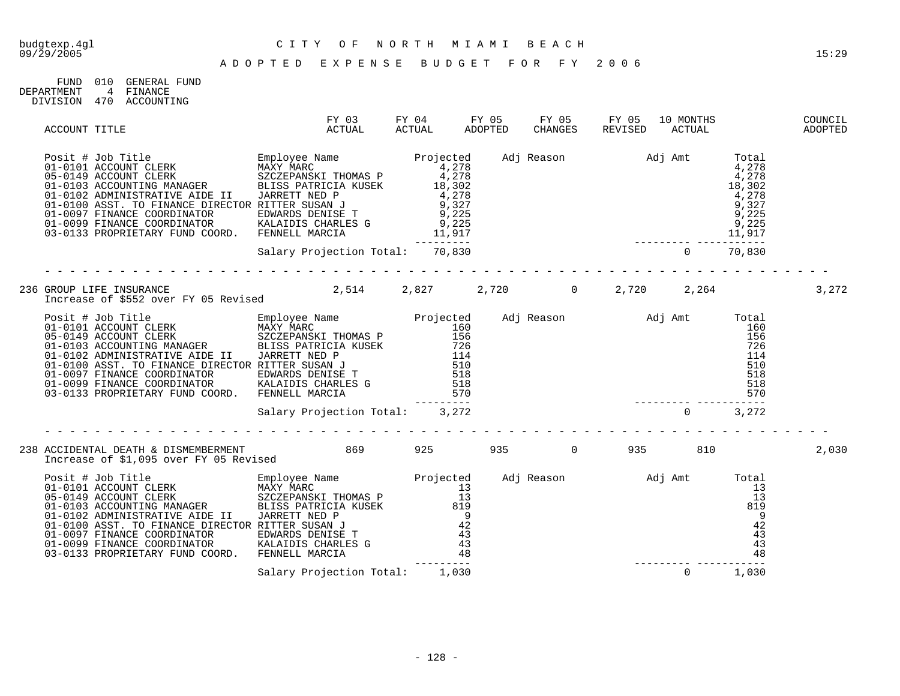| FIND.      | 01 Q | GENERAL FIJND |
|------------|------|---------------|
| DEPARTMENT |      | FINANCE       |
| DIVISION   | 470  | ACCOUNTING    |

| ACCOUNT TITLE |                                                                                                                                                                                                                                   | FY 03<br>ACTUAL                           | FY 04<br>ACTUAL | FY 05<br>ADOPTED | FY 05<br>CHANGES | FY 05<br>REVISED | 10 MONTHS<br>ACTUAL |       | COUNCIL<br>ADOPTED |
|---------------|-----------------------------------------------------------------------------------------------------------------------------------------------------------------------------------------------------------------------------------|-------------------------------------------|-----------------|------------------|------------------|------------------|---------------------|-------|--------------------|
|               |                                                                                                                                                                                                                                   |                                           |                 |                  |                  |                  |                     |       |                    |
|               |                                                                                                                                                                                                                                   | Salary Projection Total: 70,830           |                 |                  |                  |                  |                     |       |                    |
|               | 236 GROUP LIFE INSURANCE<br>Increase of \$552 over FY 05 Revised                                                                                                                                                                  | $2,514$ $2,827$ $2,720$ 0 $2,720$ $2,264$ |                 |                  |                  |                  |                     |       | 3,272              |
|               | Posit # Job Title Employee Name Projected Adj Reason Adj Amt Total<br>01-0101 ACCOUNT CLERK MAXY MARC IT DO THE SCIZER-NATY MAXY MARC 160<br>01-0103 ACCOUNT CLERK BIDE IT JORES PATRICIA KUSEK 126 126 126 126 126 126 126 126 1 |                                           |                 |                  |                  |                  |                     |       |                    |
|               |                                                                                                                                                                                                                                   |                                           |                 |                  |                  |                  |                     |       |                    |
|               | Increase of \$1,095 over FY 05 Revised                                                                                                                                                                                            |                                           |                 | 935              | $\overline{0}$   | 935              | 810                 |       | 2,030              |
|               |                                                                                                                                                                                                                                   |                                           |                 |                  |                  |                  |                     |       |                    |
|               |                                                                                                                                                                                                                                   | Salary Projection Total: 1,030            |                 |                  |                  |                  | $\Omega$            | 1,030 |                    |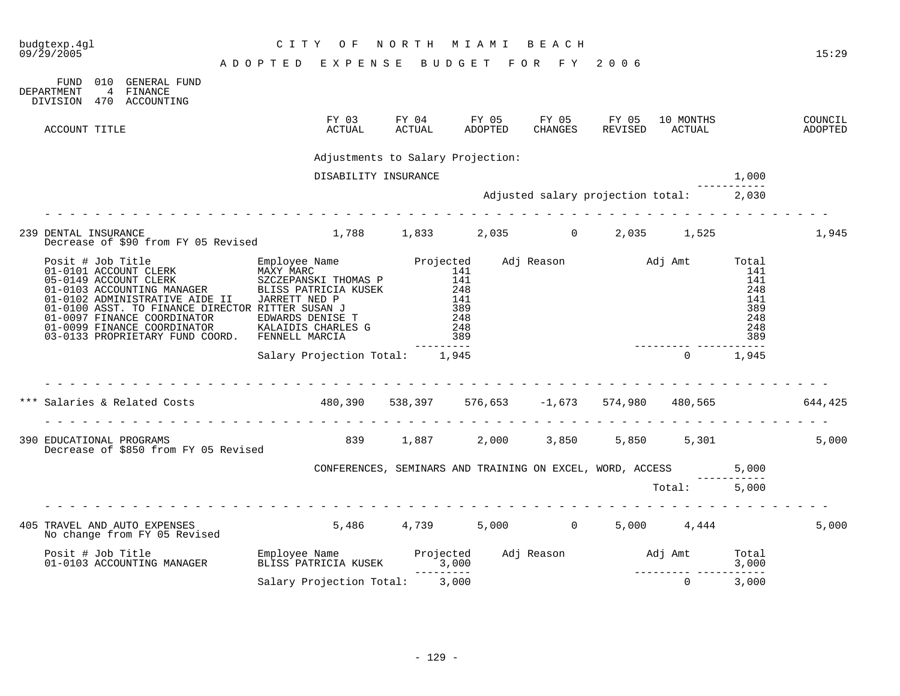| budgtexp.4ql<br>09/29/2005 |                                                                  |  | CITY OF                            | NORTH MIAMI |           |         | BEACH          |                                                                                                                                                                                                                                                                                                                                                                                                                                                                                                                                               |              | 15:29              |
|----------------------------|------------------------------------------------------------------|--|------------------------------------|-------------|-----------|---------|----------------|-----------------------------------------------------------------------------------------------------------------------------------------------------------------------------------------------------------------------------------------------------------------------------------------------------------------------------------------------------------------------------------------------------------------------------------------------------------------------------------------------------------------------------------------------|--------------|--------------------|
|                            |                                                                  |  | ADOPTED EXPENSE BUDGET FOR FY 2006 |             |           |         |                |                                                                                                                                                                                                                                                                                                                                                                                                                                                                                                                                               |              |                    |
| DEPARTMENT                 | FUND 010 GENERAL FUND<br>4 FINANCE<br>DIVISION 470 ACCOUNTING    |  |                                    |             |           |         |                |                                                                                                                                                                                                                                                                                                                                                                                                                                                                                                                                               |              |                    |
| ACCOUNT TITLE              |                                                                  |  | FY 03<br>ACTUAL                    |             |           | ADOPTED | <b>CHANGES</b> | 10 MONTHS<br>REVISED ACTUAL                                                                                                                                                                                                                                                                                                                                                                                                                                                                                                                   |              | COUNCIL<br>ADOPTED |
|                            |                                                                  |  | Adjustments to Salary Projection:  |             |           |         |                |                                                                                                                                                                                                                                                                                                                                                                                                                                                                                                                                               |              |                    |
|                            |                                                                  |  | DISABILITY INSURANCE               |             |           |         |                |                                                                                                                                                                                                                                                                                                                                                                                                                                                                                                                                               | 1,000        |                    |
|                            |                                                                  |  |                                    |             |           |         |                | Adjusted salary projection total: 2,030                                                                                                                                                                                                                                                                                                                                                                                                                                                                                                       |              |                    |
|                            |                                                                  |  |                                    |             |           |         |                |                                                                                                                                                                                                                                                                                                                                                                                                                                                                                                                                               |              |                    |
| 239 DENTAL INSURANCE       | Decrease of \$90 from FY 05 Revised                              |  |                                    |             |           |         |                | $1,788$ $1,833$ $2,035$ 0 $2,035$ $1,525$                                                                                                                                                                                                                                                                                                                                                                                                                                                                                                     |              | 1,945              |
|                            |                                                                  |  |                                    |             | --------- |         |                | $\begin{tabular}{lllllllllllllllllllllllll} \textsc{Positive} & \textsc{Top} & \textsc{String} & \textsc{Employee Name} & \textsc{Projected} & \textsc{Adj} \textsc{Reason} & \textsc{Adj} \textsc{Ann} & \textsc{Total} & \textsc{Total} & \textsc{Total} & \textsc{Total} & \textsc{Total} & \textsc{Total} & \textsc{Total} & \textsc{Total} & \textsc{Total} & \textsc{Total} & \textsc{Total} & \textsc{Total} & \textsc{Total} & \textsc{Data} & \textsc{Data} & \textsc{Data} & \textsc{Data} & \textsc{Data} & \textsc{Data} & \text$ |              |                    |
|                            |                                                                  |  | Salary Projection Total: 1,945     |             |           |         |                |                                                                                                                                                                                                                                                                                                                                                                                                                                                                                                                                               | $0 \t 1,945$ |                    |
|                            |                                                                  |  |                                    |             |           |         |                | Salaries & Related Costs (644,425) (644,425) (653,397 (653) (673,653 (673) (684,425) (684,425                                                                                                                                                                                                                                                                                                                                                                                                                                                 |              |                    |
|                            | 390 EDUCATIONAL PROGRAMS<br>Decrease of \$850 from FY 05 Revised |  |                                    |             |           |         |                | 839 1,887 2,000 3,850 5,850 5,301                                                                                                                                                                                                                                                                                                                                                                                                                                                                                                             |              | 5,000              |
|                            |                                                                  |  |                                    |             |           |         |                | CONFERENCES, SEMINARS AND TRAINING ON EXCEL, WORD, ACCESS 5,000                                                                                                                                                                                                                                                                                                                                                                                                                                                                               |              |                    |
|                            |                                                                  |  |                                    |             |           |         |                | Total: 5,000                                                                                                                                                                                                                                                                                                                                                                                                                                                                                                                                  |              |                    |
|                            |                                                                  |  |                                    |             |           |         |                |                                                                                                                                                                                                                                                                                                                                                                                                                                                                                                                                               |              | 5,000              |
|                            |                                                                  |  |                                    |             |           |         |                |                                                                                                                                                                                                                                                                                                                                                                                                                                                                                                                                               |              |                    |
|                            |                                                                  |  | Salary Projection Total: 3,000     |             |           |         |                | $\Omega$                                                                                                                                                                                                                                                                                                                                                                                                                                                                                                                                      | 3,000        |                    |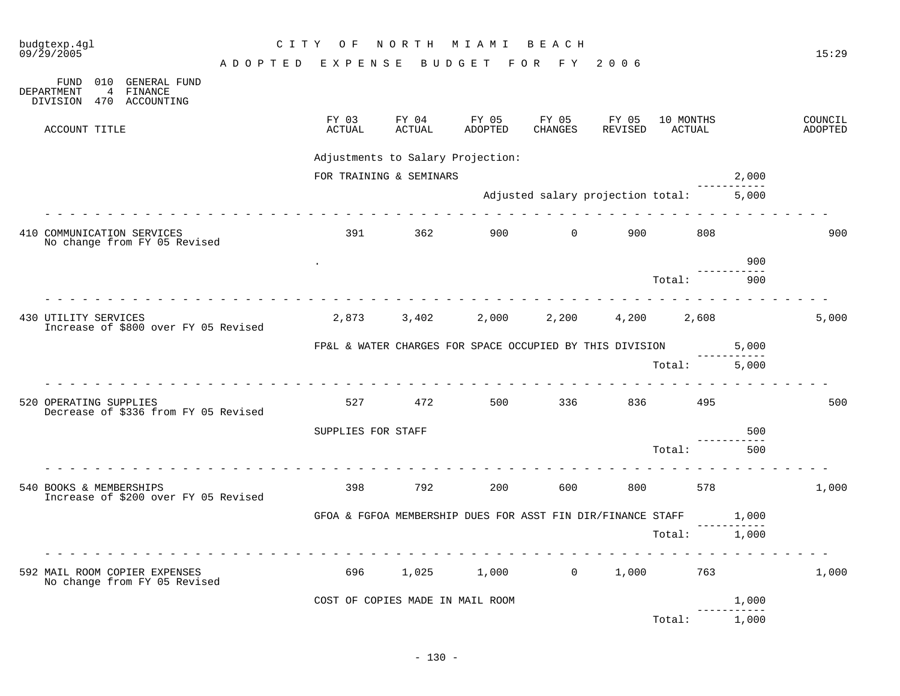| budgtexp.4gl<br>09/29/2005                                                                 | C I T Y | O F                | NORTH                            | M I A M I                                                   | BEACH                             |                  |                     |       | 15:29              |
|--------------------------------------------------------------------------------------------|---------|--------------------|----------------------------------|-------------------------------------------------------------|-----------------------------------|------------------|---------------------|-------|--------------------|
|                                                                                            | ADOPTED | EXPENSE            |                                  | F O R<br><b>BUDGET</b>                                      | F Y                               | 2006             |                     |       |                    |
| 010<br>GENERAL FUND<br>FUND<br>DEPARTMENT<br>FINANCE<br>4<br>DIVISION<br>ACCOUNTING<br>470 |         |                    |                                  |                                                             |                                   |                  |                     |       |                    |
| ACCOUNT TITLE                                                                              |         | FY 03<br>ACTUAL    | FY 04<br>ACTUAL                  | FY 05<br>ADOPTED                                            | FY 05<br>CHANGES                  | FY 05<br>REVISED | 10 MONTHS<br>ACTUAL |       | COUNCIL<br>ADOPTED |
|                                                                                            |         |                    |                                  | Adjustments to Salary Projection:                           |                                   |                  |                     |       |                    |
|                                                                                            |         |                    | FOR TRAINING & SEMINARS          |                                                             |                                   |                  |                     | 2,000 |                    |
|                                                                                            |         |                    |                                  |                                                             | Adjusted salary projection total: |                  |                     | 5,000 |                    |
| 410 COMMUNICATION SERVICES<br>No change from FY 05 Revised                                 |         | 391                | 362                              | 900 —                                                       | $\overline{0}$                    | 900              | 808                 |       | 900                |
|                                                                                            |         |                    |                                  |                                                             |                                   |                  |                     | 900   |                    |
|                                                                                            |         |                    |                                  |                                                             |                                   |                  | Total:              | 900   |                    |
| 430 UTILITY SERVICES<br>Increase of \$800 over FY 05 Revised                               |         | 2,873              | 3,402                            | 2,000                                                       | 2,200                             | 4,200            | 2,608               |       | 5,000              |
|                                                                                            |         |                    |                                  |                                                             |                                   |                  |                     |       |                    |
|                                                                                            |         |                    |                                  | FP&L & WATER CHARGES FOR SPACE OCCUPIED BY THIS DIVISION    |                                   |                  |                     | 5,000 |                    |
|                                                                                            |         |                    |                                  |                                                             |                                   |                  | Total:              | 5,000 |                    |
| 520 OPERATING SUPPLIES<br>Decrease of \$336 from FY 05 Revised                             |         | 527                | 472                              | 500                                                         | 336                               | 836              | 495                 |       | 500                |
|                                                                                            |         | SUPPLIES FOR STAFF |                                  |                                                             |                                   |                  |                     | 500   |                    |
|                                                                                            |         |                    |                                  |                                                             |                                   |                  | Total:              | 500   |                    |
| 540 BOOKS & MEMBERSHIPS<br>Increase of \$200 over FY 05 Revised                            |         | 398                | 792                              | 200                                                         | 600                               | 800              | 578                 |       | 1,000              |
|                                                                                            |         |                    |                                  | GFOA & FGFOA MEMBERSHIP DUES FOR ASST FIN DIR/FINANCE STAFF |                                   |                  |                     | 1,000 |                    |
|                                                                                            |         |                    |                                  |                                                             |                                   |                  | Total:              | 1,000 |                    |
| 592 MAIL ROOM COPIER EXPENSES<br>No change from FY 05 Revised                              |         | 696                | 1,025                            | 1,000                                                       | $0 \qquad \qquad$                 |                  | 1,000 763           |       | 1,000              |
|                                                                                            |         |                    | COST OF COPIES MADE IN MAIL ROOM |                                                             |                                   |                  |                     | 1,000 |                    |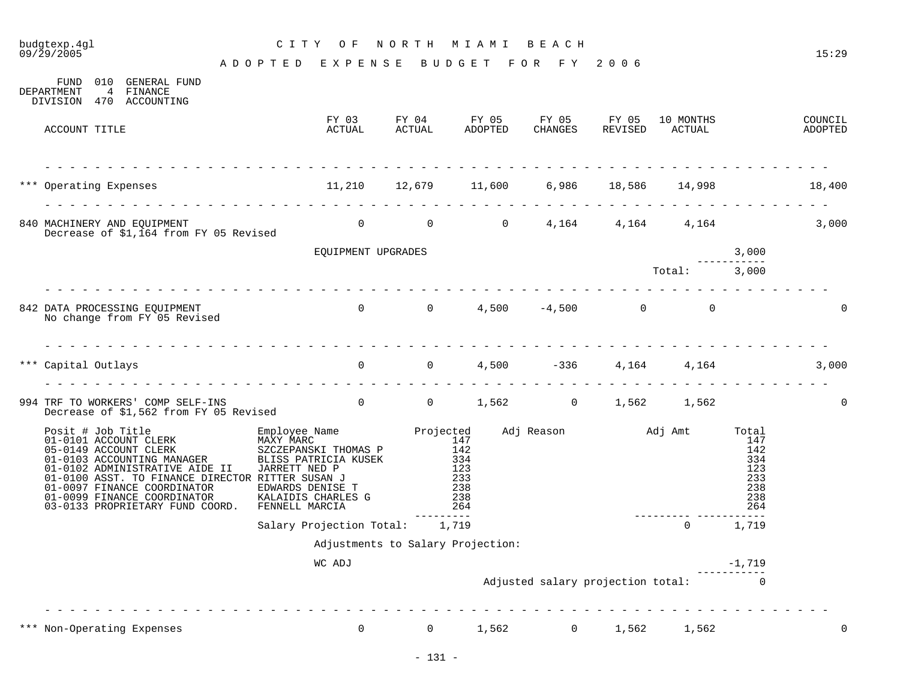# budgtexp.4gl C I T Y O F N O R T H M I A M I B E A C H

A D O P T E D E X P E N S E B U D G E T F O R F Y 2 0 0 6

| 010<br>GENERAL FUND<br>FUND<br>4 FINANCE<br>DEPARTMENT<br>DIVISION 470 ACCOUNTING                                                                                                                                                                                                                         |                                                                                                   |                                                                      |         |                |         |                                     |                                        |                    |
|-----------------------------------------------------------------------------------------------------------------------------------------------------------------------------------------------------------------------------------------------------------------------------------------------------------|---------------------------------------------------------------------------------------------------|----------------------------------------------------------------------|---------|----------------|---------|-------------------------------------|----------------------------------------|--------------------|
| ACCOUNT TITLE                                                                                                                                                                                                                                                                                             | FY 03 FY 04 FY 05 FY 05 FY 05 10 MONTHS<br>ACTUAL                                                 | ACTUAL                                                               | ADOPTED | CHANGES        | REVISED | ACTUAL                              |                                        | COUNCIL<br>ADOPTED |
|                                                                                                                                                                                                                                                                                                           |                                                                                                   |                                                                      |         |                |         |                                     |                                        |                    |
| *** Operating Expenses 11,210 12,679 11,600                                                                                                                                                                                                                                                               |                                                                                                   |                                                                      |         |                |         | 6,986 18,586 14,998                 |                                        | 18,400             |
| 840 MACHINERY AND EQUIPMENT<br>Decrease of \$1,164 from FY 05 Revised                                                                                                                                                                                                                                     |                                                                                                   | $\begin{matrix} 0 & 0 & 0 \end{matrix}$                              |         |                |         | 4, 164 4, 164 4, 164 3, 000         |                                        |                    |
|                                                                                                                                                                                                                                                                                                           | EQUIPMENT UPGRADES                                                                                |                                                                      |         |                |         |                                     | 3,000                                  |                    |
|                                                                                                                                                                                                                                                                                                           |                                                                                                   |                                                                      |         |                |         | Total: 3,000                        |                                        |                    |
| 842 DATA PROCESSING EQUIPMENT<br>No change from FY 05 Revised                                                                                                                                                                                                                                             | $0 \qquad 0 \qquad 4,500 \qquad -4,500 \qquad 0 \qquad 0$                                         |                                                                      |         |                |         |                                     |                                        | $\Omega$           |
| *** Capital Outlays                                                                                                                                                                                                                                                                                       |                                                                                                   | 0 0 4,500                                                            |         | $-336$         |         | 4,164 4,164                         |                                        | 3,000              |
| 994 TRF TO WORKERS' COMP SELF-INS<br>Decrease of \$1,562 from FY 05 Revised                                                                                                                                                                                                                               | 0 0 1,562 0 1,562 1,562                                                                           |                                                                      |         |                |         |                                     |                                        | $\Omega$           |
| Posit # Job Title<br>01-0101 ACCOUNT CLERK<br>05-0149 ACCOUNT CLERK<br>01-0103 ACCOUNTING MANAGER<br>01-0102 ADMINISTRATIVE AIDE II<br>01-0100 ASST. TO FINANCE DIRECTOR RITTER SUSAN J<br>01-0097 FINANCE COORDINATOR EDWARDS DENISE T<br>01-0099 FINANCE COORDINATOR<br>03-0133 PROPRIETARY FUND COORD. | BLISS PATRICIA KUSEK<br>JARRETT NED P<br>EDWARDS DENISE T<br>KALAIDIS CHARLES G<br>FENNELL MARCIA | $\frac{1}{3}$ 3 3 4<br>123<br>$\frac{123}{233}$<br>238<br>238<br>264 |         |                |         |                                     | 334<br>123<br>233<br>238<br>238<br>264 |                    |
|                                                                                                                                                                                                                                                                                                           | Salary Projection Total: 1,719                                                                    | ---------                                                            |         |                |         | $\Omega$                            | 1,719                                  |                    |
|                                                                                                                                                                                                                                                                                                           | Adjustments to Salary Projection:                                                                 |                                                                      |         |                |         |                                     |                                        |                    |
|                                                                                                                                                                                                                                                                                                           | WC ADJ                                                                                            |                                                                      |         |                |         |                                     | $-1,719$                               |                    |
|                                                                                                                                                                                                                                                                                                           |                                                                                                   |                                                                      |         |                |         | Adjusted salary projection total: 0 |                                        |                    |
| *** Non-Operating Expenses                                                                                                                                                                                                                                                                                | $\overline{0}$                                                                                    | $\mathbf{0}$                                                         | 1,562   | $\overline{0}$ | 1,562   | 1,562                               |                                        | $\overline{0}$     |
|                                                                                                                                                                                                                                                                                                           |                                                                                                   |                                                                      |         |                |         |                                     |                                        |                    |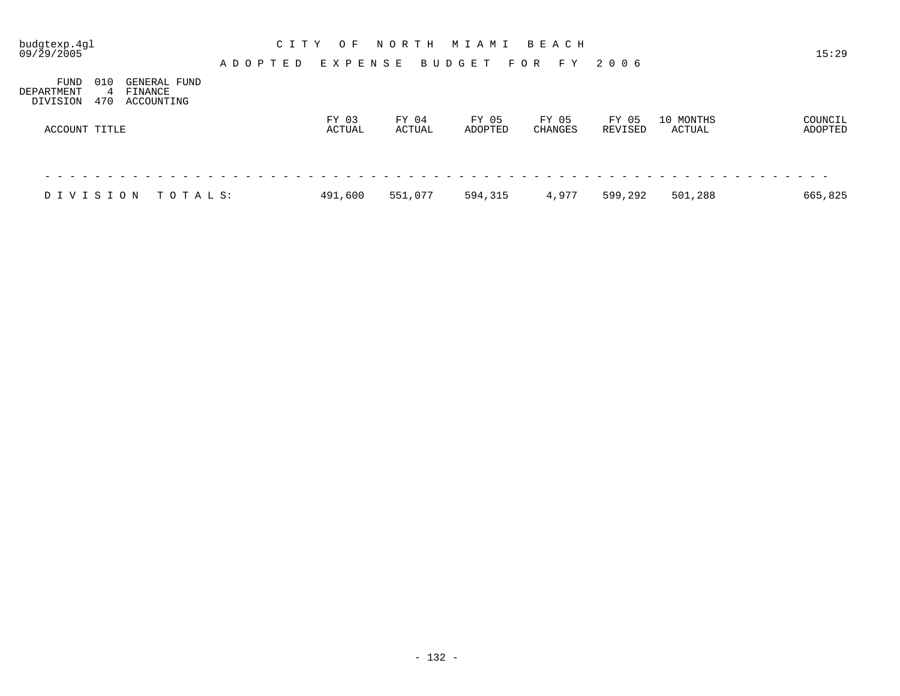| budgtexp.4gl<br>09/29/2005     |                 |                                       |               | C I T Y | O F             |         | NORTH   |                 |  | M I A M I |       |       |         |       | B E A C H |         |       |                     |         |  | 15:29              |  |
|--------------------------------|-----------------|---------------------------------------|---------------|---------|-----------------|---------|---------|-----------------|--|-----------|-------|-------|---------|-------|-----------|---------|-------|---------------------|---------|--|--------------------|--|
|                                |                 |                                       | A D O P T E D |         |                 | EXPENSE |         |                 |  | BUDGET    |       | F O R |         |       | F Y       | 2006    |       |                     |         |  |                    |  |
| FUND<br>DEPARTMENT<br>DIVISION | 010<br>4<br>470 | GENERAL FUND<br>FINANCE<br>ACCOUNTING |               |         |                 |         |         |                 |  |           |       |       |         |       |           |         |       |                     |         |  |                    |  |
| ACCOUNT TITLE                  |                 |                                       |               |         | FY 03<br>ACTUAL |         |         | FY 04<br>ACTUAL |  | ADOPTED   | FY 05 |       | CHANGES | FY 05 |           | REVISED | FY 05 | 10 MONTHS<br>ACTUAL |         |  | COUNCIL<br>ADOPTED |  |
|                                |                 |                                       |               |         |                 |         |         |                 |  |           |       |       |         |       |           |         |       |                     |         |  |                    |  |
| DIVISION                       |                 | TOTALS:                               |               |         | 491,600         |         | 551,077 |                 |  | 594,315   |       |       |         | 4,977 |           | 599,292 |       |                     | 501,288 |  | 665,825            |  |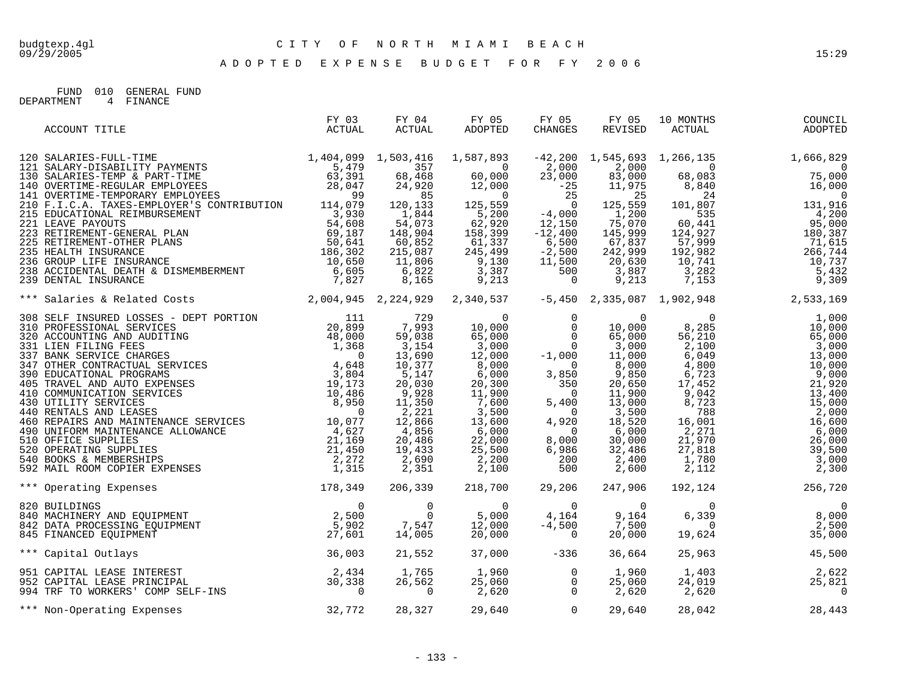A D O P T E D E X P E N S E B U D G E T F O R F Y 2 0 0 6

FUND 010 GENERAL FUND DEPARTMENT 4 FINANCE

| ACCOUNT TITLE                                                                                                                                                                                     | FY 03<br>ACTUAL | FY 04<br>ACTUAL | FY 05<br>ADOPTED                                                                                                                                                                                                                                                                      | FY 05<br>CHANGES | FY 05<br>REVISED | 10 MONTHS<br>ACTUAL                                                                                                                                                                                                                  | COUNCIL<br>ADOPTED                                                                                                                                                                                                                                                |
|---------------------------------------------------------------------------------------------------------------------------------------------------------------------------------------------------|-----------------|-----------------|---------------------------------------------------------------------------------------------------------------------------------------------------------------------------------------------------------------------------------------------------------------------------------------|------------------|------------------|--------------------------------------------------------------------------------------------------------------------------------------------------------------------------------------------------------------------------------------|-------------------------------------------------------------------------------------------------------------------------------------------------------------------------------------------------------------------------------------------------------------------|
|                                                                                                                                                                                                   |                 |                 |                                                                                                                                                                                                                                                                                       |                  |                  |                                                                                                                                                                                                                                      | $-42,200$ 1,545,693 1,266,135 1,666,829                                                                                                                                                                                                                           |
|                                                                                                                                                                                                   |                 |                 |                                                                                                                                                                                                                                                                                       |                  |                  |                                                                                                                                                                                                                                      | $\begin{array}{cccc} 2,000 & -7 & -7 & -6 \\ 83,000 & 68,083 & 75,000 \\ 11,975 & 8,840 & 16,000 \end{array}$                                                                                                                                                     |
|                                                                                                                                                                                                   |                 |                 |                                                                                                                                                                                                                                                                                       |                  |                  |                                                                                                                                                                                                                                      |                                                                                                                                                                                                                                                                   |
|                                                                                                                                                                                                   |                 |                 |                                                                                                                                                                                                                                                                                       |                  |                  |                                                                                                                                                                                                                                      |                                                                                                                                                                                                                                                                   |
|                                                                                                                                                                                                   |                 |                 |                                                                                                                                                                                                                                                                                       |                  |                  |                                                                                                                                                                                                                                      |                                                                                                                                                                                                                                                                   |
|                                                                                                                                                                                                   |                 |                 |                                                                                                                                                                                                                                                                                       |                  |                  |                                                                                                                                                                                                                                      |                                                                                                                                                                                                                                                                   |
|                                                                                                                                                                                                   |                 |                 |                                                                                                                                                                                                                                                                                       |                  |                  |                                                                                                                                                                                                                                      |                                                                                                                                                                                                                                                                   |
|                                                                                                                                                                                                   |                 |                 |                                                                                                                                                                                                                                                                                       |                  |                  |                                                                                                                                                                                                                                      |                                                                                                                                                                                                                                                                   |
|                                                                                                                                                                                                   |                 |                 |                                                                                                                                                                                                                                                                                       |                  |                  |                                                                                                                                                                                                                                      |                                                                                                                                                                                                                                                                   |
|                                                                                                                                                                                                   |                 |                 |                                                                                                                                                                                                                                                                                       |                  |                  |                                                                                                                                                                                                                                      |                                                                                                                                                                                                                                                                   |
|                                                                                                                                                                                                   |                 |                 |                                                                                                                                                                                                                                                                                       |                  |                  |                                                                                                                                                                                                                                      |                                                                                                                                                                                                                                                                   |
|                                                                                                                                                                                                   |                 |                 |                                                                                                                                                                                                                                                                                       |                  |                  |                                                                                                                                                                                                                                      | $\begin{array}{c cccc} 8,840 & & 16,000 \\ 24 & & & 10,000 \\ 101,807 & & 131,916 \\ 535 & & 4,200 \\ 60,441 & & 95,000 \\ 124,927 & & 180,387 \\ 57,999 & & 71,615 \\ 192,982 & & 266,744 \\ 10,741 & & 3,282 \\ 3,282 & & 5,432 \\ 7,153 & & 9,309 \end{array}$ |
| *** Salaries & Related Costs (2,004,945 2,224,929 2,340,537 -5,450 2,335,087 1,902,948 2,533,169                                                                                                  |                 |                 |                                                                                                                                                                                                                                                                                       |                  |                  |                                                                                                                                                                                                                                      |                                                                                                                                                                                                                                                                   |
|                                                                                                                                                                                                   |                 |                 | $\begin{array}{cccc} 729 & 0 & 0 & 0 & 0 \\ 7,993 & 10,000 & 0 & 10,000 \\ 59,038 & 65,000 & 0 & 65,000 \\ 3,154 & 3,000 & 0 & 3,000 \\ 13,690 & 12,000 & -1,000 & 11,000 \\ 10,377 & 8,000 & 3 & 0 & 8,000 \\ 5,147 & 6,000 & 3,850 & 9,850 \\ 20,030 & 20,300 & 350 & 20,650 \\ 9,$ |                  |                  |                                                                                                                                                                                                                                      |                                                                                                                                                                                                                                                                   |
|                                                                                                                                                                                                   |                 |                 |                                                                                                                                                                                                                                                                                       |                  |                  |                                                                                                                                                                                                                                      | 1,000<br>10,000                                                                                                                                                                                                                                                   |
|                                                                                                                                                                                                   |                 |                 |                                                                                                                                                                                                                                                                                       |                  |                  |                                                                                                                                                                                                                                      | 65,000                                                                                                                                                                                                                                                            |
|                                                                                                                                                                                                   |                 |                 |                                                                                                                                                                                                                                                                                       |                  |                  |                                                                                                                                                                                                                                      | 3,000                                                                                                                                                                                                                                                             |
|                                                                                                                                                                                                   |                 |                 |                                                                                                                                                                                                                                                                                       |                  |                  |                                                                                                                                                                                                                                      | 13,000                                                                                                                                                                                                                                                            |
|                                                                                                                                                                                                   |                 |                 |                                                                                                                                                                                                                                                                                       |                  |                  |                                                                                                                                                                                                                                      | 10,000                                                                                                                                                                                                                                                            |
|                                                                                                                                                                                                   |                 |                 |                                                                                                                                                                                                                                                                                       |                  |                  |                                                                                                                                                                                                                                      | 9,000                                                                                                                                                                                                                                                             |
|                                                                                                                                                                                                   |                 |                 |                                                                                                                                                                                                                                                                                       |                  |                  |                                                                                                                                                                                                                                      | 21,920                                                                                                                                                                                                                                                            |
|                                                                                                                                                                                                   |                 |                 |                                                                                                                                                                                                                                                                                       |                  |                  |                                                                                                                                                                                                                                      | 13,400                                                                                                                                                                                                                                                            |
|                                                                                                                                                                                                   |                 |                 | $\frac{3}{13}, \frac{60}{600}$<br>6,000<br>22,000<br>5                                                                                                                                                                                                                                |                  |                  |                                                                                                                                                                                                                                      | 15,000                                                                                                                                                                                                                                                            |
|                                                                                                                                                                                                   |                 |                 |                                                                                                                                                                                                                                                                                       |                  |                  |                                                                                                                                                                                                                                      | 2,000                                                                                                                                                                                                                                                             |
|                                                                                                                                                                                                   |                 |                 |                                                                                                                                                                                                                                                                                       |                  |                  |                                                                                                                                                                                                                                      | 16,600<br>6,000                                                                                                                                                                                                                                                   |
|                                                                                                                                                                                                   |                 | 20,486          |                                                                                                                                                                                                                                                                                       |                  | 30,000           |                                                                                                                                                                                                                                      | 26,000                                                                                                                                                                                                                                                            |
|                                                                                                                                                                                                   |                 | 19,433          |                                                                                                                                                                                                                                                                                       |                  | 32,486           |                                                                                                                                                                                                                                      | 39,500                                                                                                                                                                                                                                                            |
|                                                                                                                                                                                                   |                 | 2,690           |                                                                                                                                                                                                                                                                                       |                  | 2,400            |                                                                                                                                                                                                                                      | 3,000                                                                                                                                                                                                                                                             |
|                                                                                                                                                                                                   |                 | 2,351           | $\begin{array}{ccc} 22,000 & 8\,,000\ 25\,,000 & 6\,,986\ 2\,,200 & 200\ 2\,,100 & 500\ \end{array}$                                                                                                                                                                                  |                  | 2,600            | $\begin{array}{r} 0 \\ 8\, , 285 \\ 56\, , 210 \\ 2\, , 100 \\ 6\, , 049 \\ 4\, , 800 \\ 6\, , 723 \\ 17\, , 452 \\ 9\, , 042 \\ 8\, , 723 \\ 788 \\ 16\, , 001 \\ 2\, , 271 \\ 21\, , 818 \\ 1\, , 780 \\ 2\, , 112 \\ \end{array}$ | 2,300                                                                                                                                                                                                                                                             |
| 178, 349<br>*** Operating Expenses                                                                                                                                                                |                 | 206,339         | 218,700                                                                                                                                                                                                                                                                               | 29,206           | 247,906          | 192,124                                                                                                                                                                                                                              | 256,720                                                                                                                                                                                                                                                           |
|                                                                                                                                                                                                   |                 |                 |                                                                                                                                                                                                                                                                                       |                  | $\overline{0}$   | $\Omega$                                                                                                                                                                                                                             | $\begin{array}{c}0\\8,000\\250\\0\end{array}$                                                                                                                                                                                                                     |
|                                                                                                                                                                                                   |                 |                 |                                                                                                                                                                                                                                                                                       |                  | 9,164            | 6,339                                                                                                                                                                                                                                |                                                                                                                                                                                                                                                                   |
|                                                                                                                                                                                                   |                 |                 |                                                                                                                                                                                                                                                                                       |                  | 7,500            | $\overline{0}$                                                                                                                                                                                                                       |                                                                                                                                                                                                                                                                   |
| 920 BUILDINGS<br>940 MACHINERY AND EQUIPMENT<br>942 DATA PROCESSING EQUIPMENT<br>945 FINANCED EQUIPMENT<br>945 FINANCED EQUIPMENT<br>945 PERANCED EQUIPMENT<br>927,601 14,005 20,000 -4,500<br>92 |                 |                 |                                                                                                                                                                                                                                                                                       |                  | 20,000           |                                                                                                                                                                                                                                      | 19,624<br>35,000                                                                                                                                                                                                                                                  |
| *** Capital Outlays                                                                                                                                                                               | 36,003          | 21,552          |                                                                                                                                                                                                                                                                                       | $37,000$ $-336$  | 36,664           |                                                                                                                                                                                                                                      | 25,963<br>45,500                                                                                                                                                                                                                                                  |
|                                                                                                                                                                                                   |                 | 1,765           |                                                                                                                                                                                                                                                                                       |                  | 1,960            |                                                                                                                                                                                                                                      | 2,622                                                                                                                                                                                                                                                             |
|                                                                                                                                                                                                   |                 |                 |                                                                                                                                                                                                                                                                                       |                  | 25,060           |                                                                                                                                                                                                                                      | 25,821                                                                                                                                                                                                                                                            |
| 951 CAPITAL LEASE INTEREST (2,434)<br>952 CAPITAL LEASE PRINCIPAL (30,338)<br>994 TRF TO WORKERS' COMP SELF-INS (2000)                                                                            |                 | 26,562          | $\begin{array}{cccc} 1\, , 765 & \qquad & 1\, , 960 & \qquad & 0 \\ 26\, , 562 & \qquad & 25\, , 060 & \qquad & 0 \\ & \qquad & 0 & \qquad & 2\, , 620 & \qquad & 0 \end{array}$                                                                                                      |                  | 2,620            | 2,620                                                                                                                                                                                                                                | $\frac{1}{24}$ , 019<br>24, 019<br>2, 620<br>$\overline{0}$                                                                                                                                                                                                       |
| *** Non-Operating Expenses                                                                                                                                                                        | 32,772          | 28,327          |                                                                                                                                                                                                                                                                                       | 29,640 0         | 29,640           | 28,042                                                                                                                                                                                                                               | 28,443                                                                                                                                                                                                                                                            |
|                                                                                                                                                                                                   |                 |                 |                                                                                                                                                                                                                                                                                       |                  |                  |                                                                                                                                                                                                                                      |                                                                                                                                                                                                                                                                   |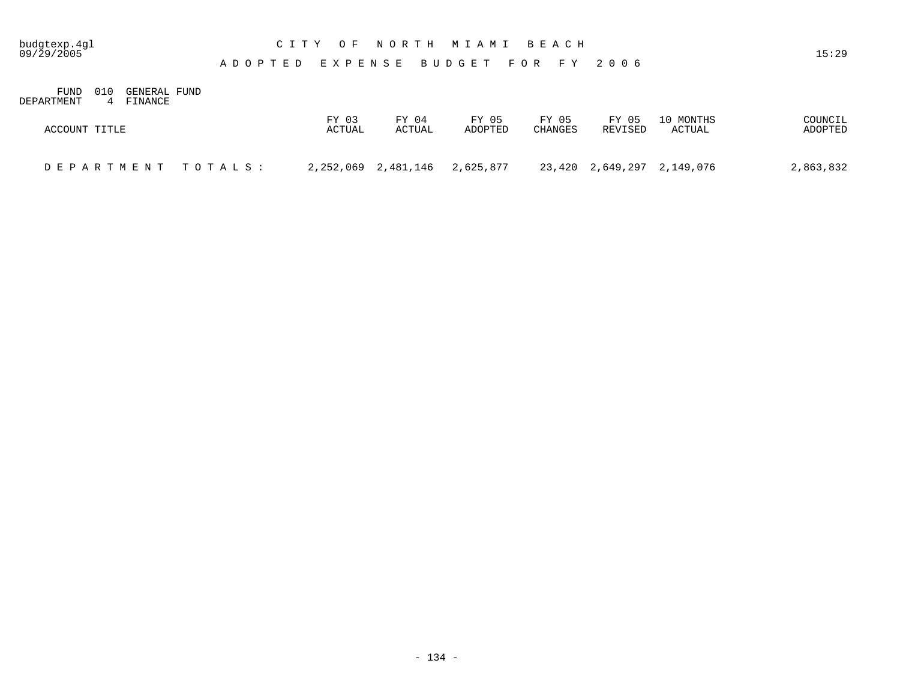## budgtexp.4gl C I T Y O F N O R T H M I A M I B E A C H

A D O P T E D E X P E N S E B U D G E T F O R F Y 2 0 0 6

FUND 010 GENERAL FUND DEPARTMENT 4 FINANCE

| ACCOUNT TITLE      | FY 03  | FY 04               | FY 05     | FY 05   | FY 05   | 10 MONTHS                  | COUNCIL   |
|--------------------|--------|---------------------|-----------|---------|---------|----------------------------|-----------|
|                    | ACTUAL | ACTUAL              | ADOPTED   | CHANGES | REVISED | ACTUAL                     | ADOPTED   |
| DEPARTMENT TOTALS: |        | 2,252,069 2,481,146 | 2,625,877 |         |         | 23,420 2,649,297 2,149,076 | 2,863,832 |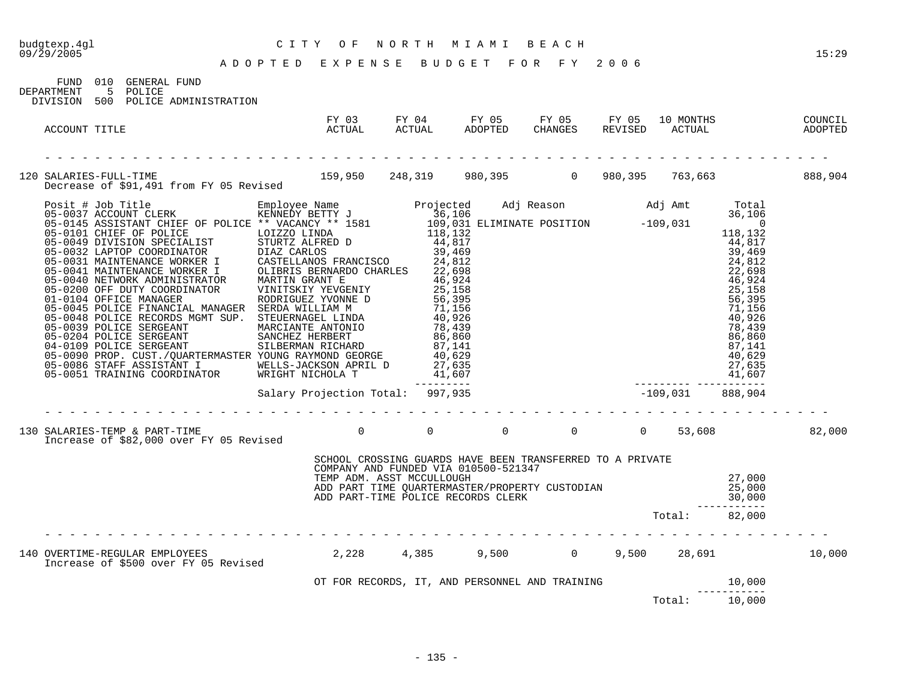FUND 010 GENERAL FUND DEPARTMENT 5 POLICE DIVISION 500 POLICE ADMINISTRATION

| ACCOUNT TITLE                                                                                                                | FY 03<br>ACTUAL                                                                                                                |  | FY 05 | FY 05 | 10 MONTHS<br>REVISED ACTUAL | COUNCIL<br>ADOPTED |
|------------------------------------------------------------------------------------------------------------------------------|--------------------------------------------------------------------------------------------------------------------------------|--|-------|-------|-----------------------------|--------------------|
| 120 SALARIES-FULL-TIME 159,950 248,319 980,395 0 980,395 763,663 688,904<br>Decrease of \$91,491 from FY 05 Revised          |                                                                                                                                |  |       |       |                             |                    |
|                                                                                                                              |                                                                                                                                |  |       |       |                             |                    |
|                                                                                                                              |                                                                                                                                |  |       |       |                             |                    |
| 130 SALARIES-TEMP & PART-TIME __ _ _ _ _ _ 0 0 0 0 0 0 0 0 53,608 0 53,608 82,000<br>Increase of \$82,000 over FY 05 Revised |                                                                                                                                |  |       |       |                             |                    |
|                                                                                                                              | SCHOOL CROSSING GUARDS HAVE BEEN TRANSFERRED TO A PRIVATE<br>COMPANY AND FUNDED VIA 010500-521347<br>TEMP ADM. ASST MCCULLOUGH |  |       |       |                             |                    |
|                                                                                                                              |                                                                                                                                |  |       |       |                             |                    |
|                                                                                                                              |                                                                                                                                |  |       |       |                             |                    |
|                                                                                                                              |                                                                                                                                |  |       |       | Total: 10,000               |                    |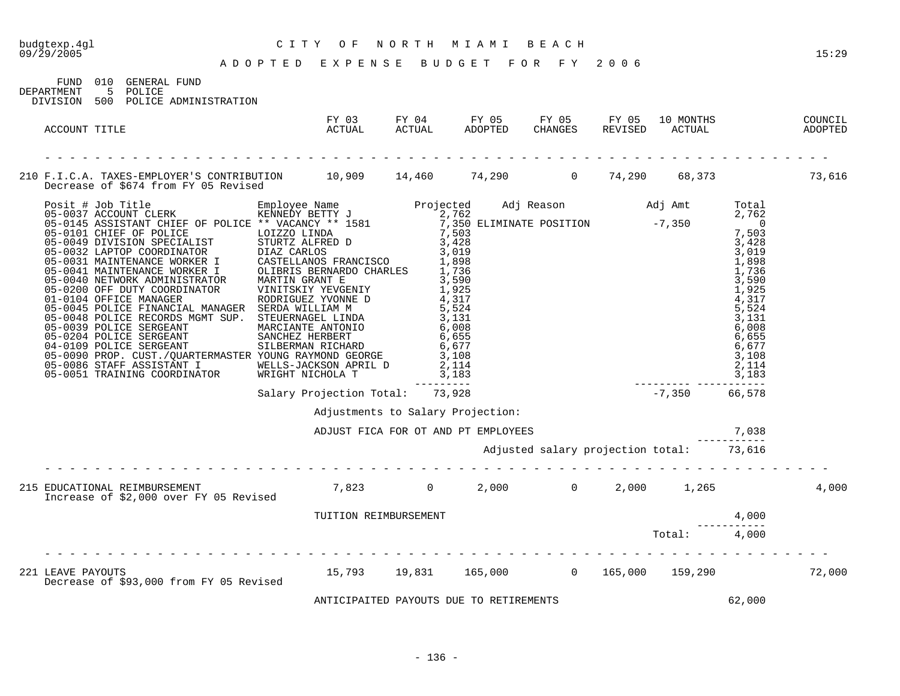| CITY OF NORTH MIAMI BEACH<br>ADOPTED EXPENSE BUDGET FOR FY 2006<br>budgtexp.4gl<br>09/29/2005                                  |                       |                                         |                                          |  |        | 15:29  |
|--------------------------------------------------------------------------------------------------------------------------------|-----------------------|-----------------------------------------|------------------------------------------|--|--------|--------|
| FUND 010 GENERAL FUND<br>5 POLICE<br>DEPARTMENT<br>DIVISION 500 POLICE ADMINISTRATION                                          |                       |                                         |                                          |  |        |        |
| ACCOUNT TITLE                                                                                                                  |                       |                                         |                                          |  |        |        |
| 210 F.I.C.A. TAXES-EMPLOYER'S CONTRIBUTION 10,909 14,460 74,290 0 74,290 68,373 73,616<br>Decrease of \$674 from FY 05 Revised |                       |                                         |                                          |  |        |        |
|                                                                                                                                |                       |                                         |                                          |  |        |        |
|                                                                                                                                |                       | Adjustments to Salary Projection:       |                                          |  |        |        |
|                                                                                                                                |                       |                                         | ADJUST FICA FOR OT AND PT EMPLOYEES      |  | 7,038  |        |
|                                                                                                                                |                       |                                         | Adjusted salary projection total: 73,616 |  |        |        |
| 215 EDUCATIONAL REIMBURSEMENT 7,823 0 2,000 0 2,000 1,265<br>Increase of \$2,000 over FY 05 Revised 7,823 0 2,000 0 2,000      |                       |                                         |                                          |  |        | 4,000  |
|                                                                                                                                | TUITION REIMBURSEMENT |                                         |                                          |  | 4,000  |        |
|                                                                                                                                |                       |                                         |                                          |  |        |        |
| 221 LEAVE PAYOUTS $15,793$ $19,831$ $165,000$ 0 $165,000$ 165,000 159,290<br>Decrease of \$93,000 from FY 05 Revised           |                       |                                         |                                          |  |        | 72,000 |
|                                                                                                                                |                       | ANTICIPAITED PAYOUTS DUE TO RETIREMENTS |                                          |  | 62,000 |        |

- 136 -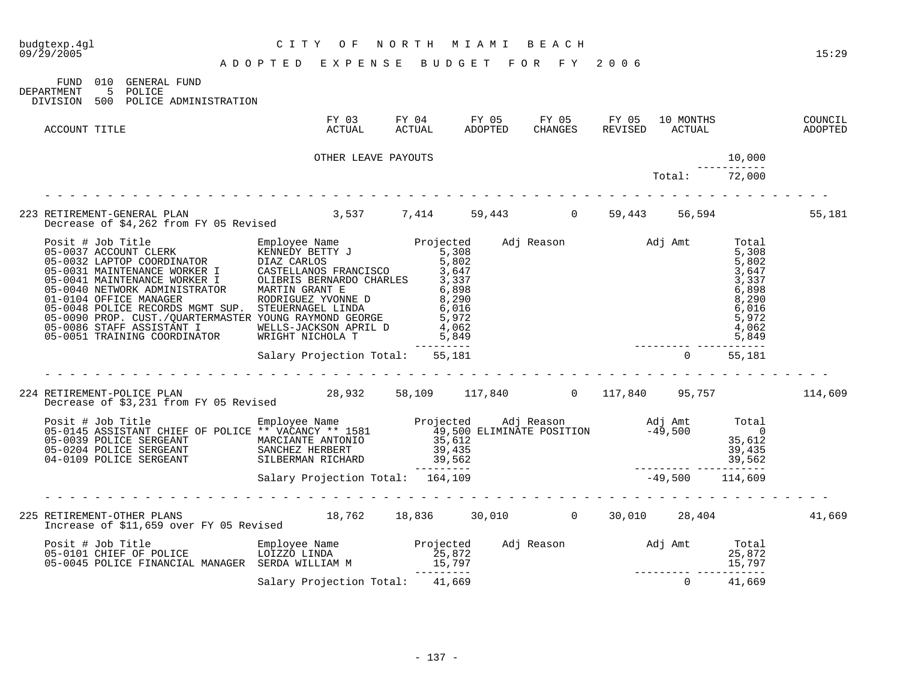| budgtexp.4gl<br>09/29/2005                                                                                                                                                                                                                        | CITY OF NORTH MIAMI BEACH       |  |                                                                                                        |          | 15:29              |
|---------------------------------------------------------------------------------------------------------------------------------------------------------------------------------------------------------------------------------------------------|---------------------------------|--|--------------------------------------------------------------------------------------------------------|----------|--------------------|
|                                                                                                                                                                                                                                                   |                                 |  |                                                                                                        |          |                    |
| FUND 010 GENERAL FUND<br>5 POLICE<br>DEPARTMENT<br>DIVISION 500 POLICE ADMINISTRATION                                                                                                                                                             |                                 |  |                                                                                                        |          |                    |
| ACCOUNT TITLE                                                                                                                                                                                                                                     |                                 |  |                                                                                                        |          | COUNCIL<br>ADOPTED |
|                                                                                                                                                                                                                                                   | OTHER LEAVE PAYOUTS             |  |                                                                                                        | 10,000   |                    |
|                                                                                                                                                                                                                                                   |                                 |  | $\begin{array}{c} 10,000 \\ \text{Total:} \end{array}$ $\begin{array}{c} 10,000 \\ 72,000 \end{array}$ |          |                    |
|                                                                                                                                                                                                                                                   |                                 |  |                                                                                                        |          | 55,181             |
|                                                                                                                                                                                                                                                   |                                 |  |                                                                                                        |          |                    |
|                                                                                                                                                                                                                                                   | Salary Projection Total: 55,181 |  |                                                                                                        | 0 55,181 |                    |
| 224 RETIREMENT-POLICE PLAN 114,609<br>Decrease of \$3,231 from FY 05 Revised                                                                                                                                                                      |                                 |  |                                                                                                        |          |                    |
| Posit # Job Title<br>05-0145 ASSISTANT CHIEF OF POLICE ** VACANCY ** 1581<br>05-0204 POLICE SERGEANT<br>05-0204 POLICE SERGEANT<br>25,612<br>05-0204 POLICE SERGEANT<br>29,435<br>04-0109 POLICE SERGEANT<br>29,435<br>29,435<br>29,435<br>29,435 |                                 |  |                                                                                                        |          |                    |
|                                                                                                                                                                                                                                                   |                                 |  |                                                                                                        |          |                    |
| RETIREMENT-OTHER PLANS 18,762 18,836 30,010 0 30,010 28,404 1,669<br>Increase of \$11,659 over FY 05 Revised<br>225 RETIREMENT-OTHER PLANS                                                                                                        |                                 |  |                                                                                                        |          |                    |
| Posit # Job Title Employee Name Projected Adj Reason Adj Amt Total<br>1999 1997 15,872 15,872 15,797<br>15,797 15,797 15,797 15,797 15,797 15,797<br>15,797 15,797 15,797 15,797 15,797 15,797 15,797 15,797                                      |                                 |  |                                                                                                        |          |                    |
|                                                                                                                                                                                                                                                   |                                 |  |                                                                                                        |          |                    |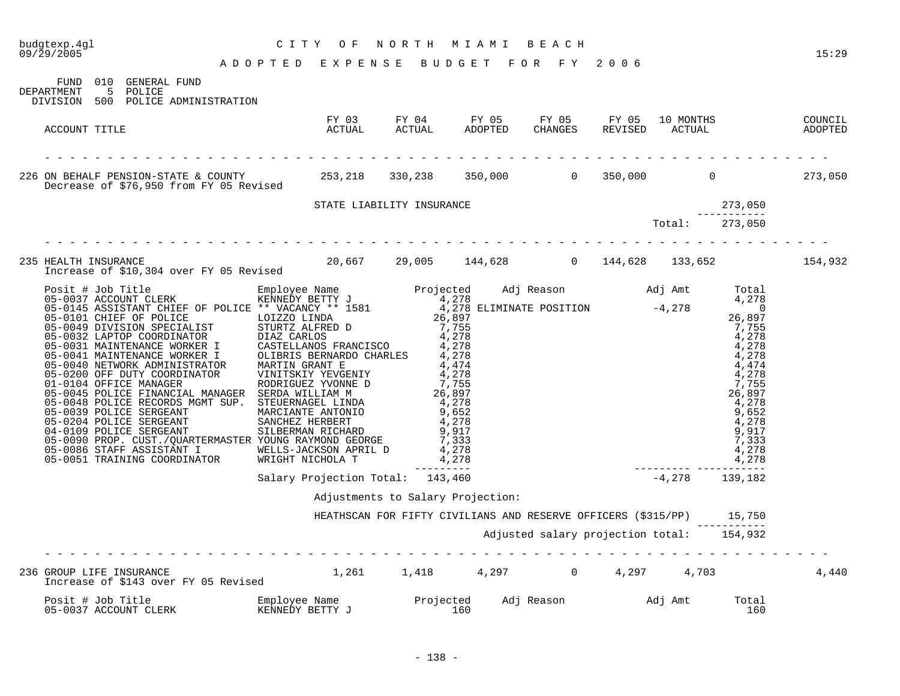| budgtexp.4gl<br>09/29/2005                                                                                                      |                                    | CITY OF                           |  | NORTH MIAMI BEACH                                                                                                 |                                           |                        |              | 15:29   |
|---------------------------------------------------------------------------------------------------------------------------------|------------------------------------|-----------------------------------|--|-------------------------------------------------------------------------------------------------------------------|-------------------------------------------|------------------------|--------------|---------|
| FUND 010 GENERAL FUND<br>5 POLICE<br>DEPARTMENT<br>DIVISION 500 POLICE ADMINISTRATION                                           | ADOPTED EXPENSE BUDGET FOR FY 2006 |                                   |  |                                                                                                                   |                                           |                        |              |         |
| ACCOUNT TITLE                                                                                                                   |                                    |                                   |  |                                                                                                                   |                                           |                        |              |         |
| 226 ON BEHALF PENSION-STATE & COUNTY 253,218 330,238 350,000 0 350,000 0 0 0 273,050<br>Decrease of \$76,950 from FY 05 Revised |                                    |                                   |  |                                                                                                                   |                                           |                        |              |         |
|                                                                                                                                 |                                    | STATE LIABILITY INSURANCE         |  |                                                                                                                   |                                           |                        | 273,050      |         |
|                                                                                                                                 |                                    |                                   |  |                                                                                                                   | سوں, دیے<br>-----------<br>273,050 Total: |                        |              |         |
| 235 HEALTH INSURANCE 20,667 29,005 144,628 0 144,628 133,652<br>Increase of \$10,304 over FY 05 Revised                         |                                    |                                   |  |                                                                                                                   |                                           |                        |              | 154,932 |
|                                                                                                                                 |                                    |                                   |  |                                                                                                                   |                                           | ---------------------- |              |         |
|                                                                                                                                 | Salary Projection Total: 143,460   |                                   |  |                                                                                                                   |                                           | $-4,278$ 139,182       |              |         |
|                                                                                                                                 |                                    | Adjustments to Salary Projection: |  |                                                                                                                   |                                           |                        |              |         |
|                                                                                                                                 |                                    |                                   |  | HEATHSCAN FOR FIFTY CIVILIANS AND RESERVE OFFICERS (\$315/PP) 15,750<br>Adjusted salary projection total: 154,932 |                                           |                        |              |         |
| 236 GROUP LIFE INSURANCE<br>GROUP LIFE INSURANCE<br>Increase of \$143 over FY 05 Revised                                        |                                    |                                   |  | $1,261$ $1,418$ $4,297$ 0 $4,297$ $4,703$                                                                         |                                           |                        |              | 4,440   |
| Posit # Job Title<br>05-0037 ACCOUNT CLERK                                                                                      |                                    |                                   |  |                                                                                                                   |                                           |                        | Total<br>160 |         |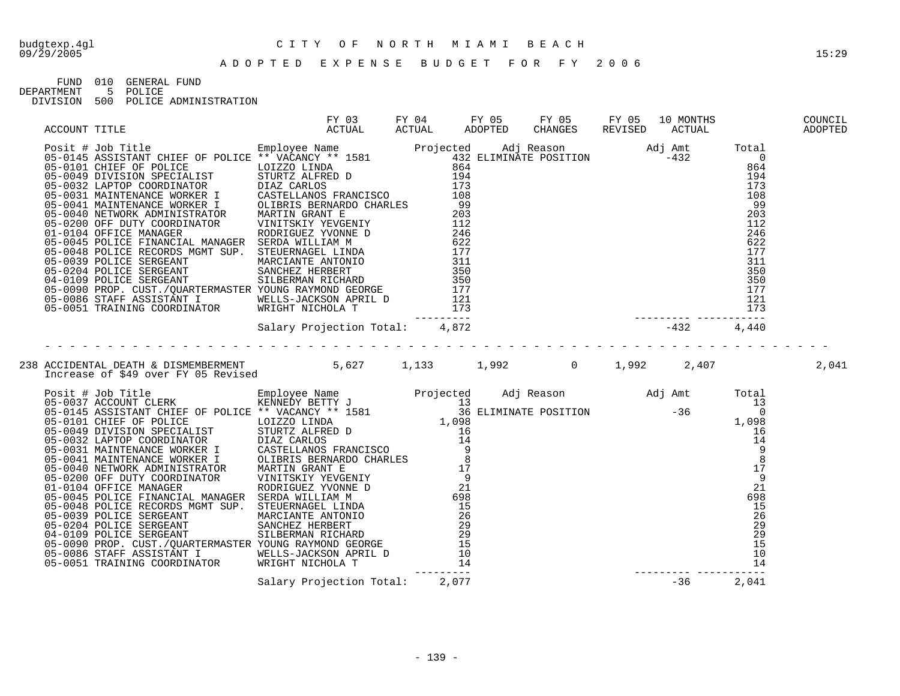FUND 010 GENERAL FUND

DEPARTMENT 5 POLICE

|  |  | DIVISION 500 POLICE ADMINISTRATION |
|--|--|------------------------------------|
|  |  |                                    |

| ACCOUNT TITLE |                                                                                                           | FY 03 FY 04 FY 05 FY 05 FY 05 10 MONTHS COUNCIL<br>ACTUAL ACTUAL ADOPTED CHANGES REVISED ACTUAL ADOPTED |  |  |  |
|---------------|-----------------------------------------------------------------------------------------------------------|---------------------------------------------------------------------------------------------------------|--|--|--|
|               |                                                                                                           |                                                                                                         |  |  |  |
|               |                                                                                                           |                                                                                                         |  |  |  |
|               | 238 ACCIDENTAL DEATH & DISMEMBERMENT<br>1,133 1,992 1,992 2,407 2,041 2,041 1,133 1,992 1,992 2,407 2,041 |                                                                                                         |  |  |  |
|               |                                                                                                           |                                                                                                         |  |  |  |
|               |                                                                                                           |                                                                                                         |  |  |  |
|               |                                                                                                           |                                                                                                         |  |  |  |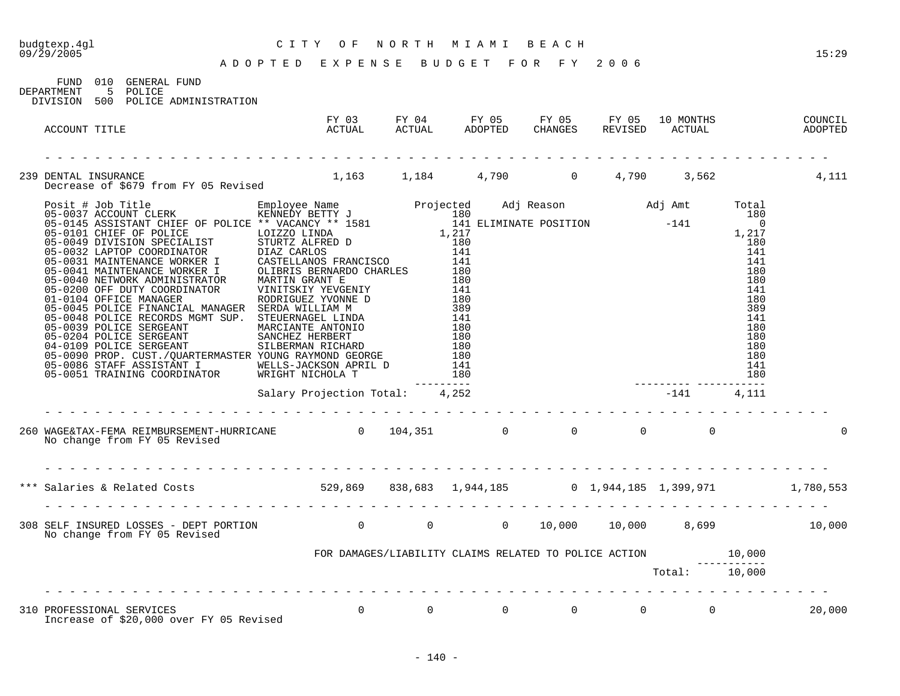## budgtexp.4gl C I T Y O F N O R T H M I A M I B E A C H

A D O P T E D E X P E N S E B U D G E T F O R F Y 2 0 0 6

FUND 010 GENERAL FUND DEPARTMENT 5 POLICE

DIVISION 500 POLICE ADMINISTRATION

| FY 03<br>ACTUAL<br>ACCOUNT TITLE                                                                                  | FY 03                                                        |  |  |                                                          |          |        |
|-------------------------------------------------------------------------------------------------------------------|--------------------------------------------------------------|--|--|----------------------------------------------------------|----------|--------|
|                                                                                                                   |                                                              |  |  |                                                          |          |        |
| 239 DENTAL INSURANCE 1,163 1,184 4,790 0 4,790 3,562 4,111 Decrease of \$679 from FY 05 Revised 1,163 1,184 4,790 |                                                              |  |  |                                                          |          |        |
|                                                                                                                   |                                                              |  |  | $\begin{array}{c} 180 \\ 141 \\ 180 \\ -141 \end{array}$ |          |        |
|                                                                                                                   | Salary Projection Total: 4,252                               |  |  |                                                          |          |        |
| 260 MAGE&TAX-FEMA REIMBURSEMENT-HURRICANE 0 104,351 0 0 0 0 0 0 0<br>No change from FY 05 Revised                 |                                                              |  |  |                                                          |          |        |
|                                                                                                                   |                                                              |  |  |                                                          |          |        |
| *** Salaries & Related Costs 6.780,553 529,869 638,683 1,944,185 6 1,944,185 1,399,971 1,780,553                  |                                                              |  |  |                                                          |          |        |
| 308 SELF INSURED LOSSES - DEPT PORTION 0<br>No change from EV 05 Boutled A<br>No change from FY 05 Revised        |                                                              |  |  |                                                          |          |        |
|                                                                                                                   | FOR DAMAGES/LIABILITY CLAIMS RELATED TO POLICE ACTION 10,000 |  |  |                                                          |          |        |
|                                                                                                                   |                                                              |  |  | Total: 10,000                                            |          |        |
|                                                                                                                   |                                                              |  |  |                                                          | $\Omega$ | 20,000 |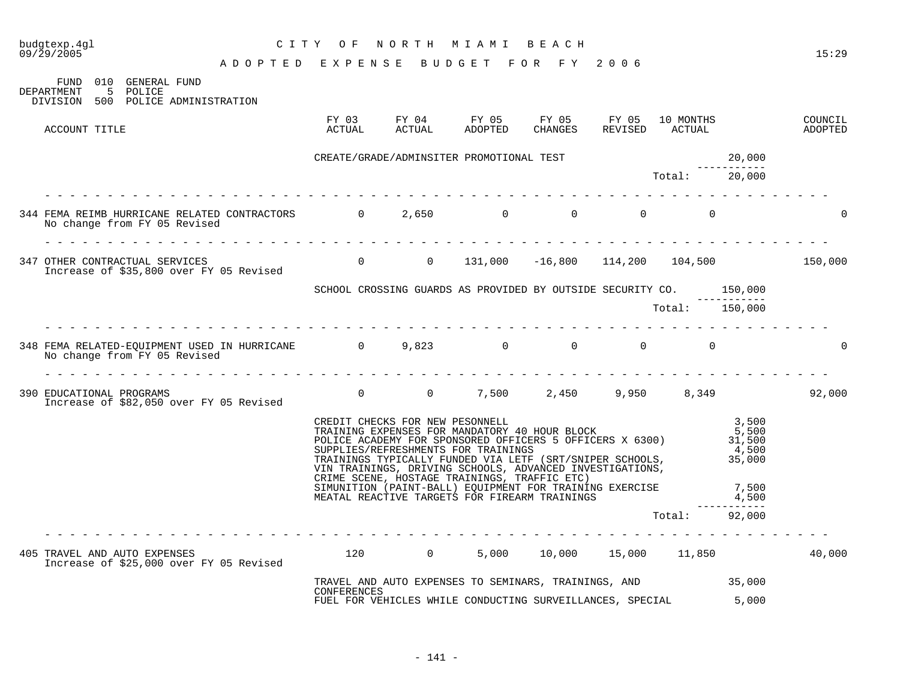| 09/29/2005 | budgtexp.4gl  | A D O P T ED E X P E N S A B U D G E T F O R F Y 2006                                                                                                                                                                                                                                                                                                                                                                         | CITY OF                                                            |                                                                 | NORTH MIAMI BEACH                                           |  |                        |               |                                   | 15:29    |
|------------|---------------|-------------------------------------------------------------------------------------------------------------------------------------------------------------------------------------------------------------------------------------------------------------------------------------------------------------------------------------------------------------------------------------------------------------------------------|--------------------------------------------------------------------|-----------------------------------------------------------------|-------------------------------------------------------------|--|------------------------|---------------|-----------------------------------|----------|
| DEPARTMENT |               | FUND 010 GENERAL FUND<br>5 POLICE                                                                                                                                                                                                                                                                                                                                                                                             |                                                                    |                                                                 |                                                             |  |                        |               |                                   |          |
|            |               | DIVISION 500 POLICE ADMINISTRATION                                                                                                                                                                                                                                                                                                                                                                                            |                                                                    |                                                                 |                                                             |  |                        |               |                                   |          |
|            | ACCOUNT TITLE |                                                                                                                                                                                                                                                                                                                                                                                                                               |                                                                    |                                                                 |                                                             |  |                        |               |                                   |          |
|            |               |                                                                                                                                                                                                                                                                                                                                                                                                                               | CREATE/GRADE/ADMINSITER PROMOTIONAL TEST                           |                                                                 |                                                             |  |                        | Total:        | 20,000                            |          |
|            |               |                                                                                                                                                                                                                                                                                                                                                                                                                               |                                                                    |                                                                 |                                                             |  |                        |               | 20,000                            |          |
|            |               | 344 FEMA REIMB HURRICANE RELATED CONTRACTORS $\begin{array}{cccc} 0 & 2,650 & 0 & 0 \end{array}$<br>No change from FY 05 Revised                                                                                                                                                                                                                                                                                              |                                                                    |                                                                 |                                                             |  |                        |               |                                   |          |
|            |               |                                                                                                                                                                                                                                                                                                                                                                                                                               |                                                                    |                                                                 |                                                             |  |                        |               |                                   |          |
|            |               | 347 OTHER CONTRACTUAL SERVICES<br>Increase of \$35,800 over FY 05 Revised        0     0   131,000  -16,800  114,200  104,500        150,000                                                                                                                                                                                                                                                                                  |                                                                    |                                                                 |                                                             |  |                        |               |                                   |          |
|            |               |                                                                                                                                                                                                                                                                                                                                                                                                                               | SCHOOL CROSSING GUARDS AS PROVIDED BY OUTSIDE SECURITY CO. 150,000 |                                                                 |                                                             |  |                        |               |                                   |          |
|            |               |                                                                                                                                                                                                                                                                                                                                                                                                                               |                                                                    |                                                                 |                                                             |  | $Total:$ $--- 150,000$ |               | ------------                      |          |
|            |               |                                                                                                                                                                                                                                                                                                                                                                                                                               |                                                                    |                                                                 |                                                             |  |                        |               |                                   |          |
|            |               | 348 FEMA RELATED-EQUIPMENT USED IN HURRICANE $0$ 9,823 0 0 0 0 0 0<br>No change from FY 05 Revised<br><u>.</u>                                                                                                                                                                                                                                                                                                                |                                                                    |                                                                 |                                                             |  |                        |               |                                   | $\Omega$ |
|            |               | 390 EDUCATIONAL PROGRAMS 6 (1992,000)<br>Increase of \$82,050 over FY 05 Revised                                                                                                                                                                                                                                                                                                                                              |                                                                    |                                                                 |                                                             |  |                        |               |                                   |          |
|            |               | CREDIT CHECKS FOR NEW PESONNELL<br>TRAINING EXPENSES FOR MANDATORY 40 HOUR BLOCK<br>POLICE ACADEMY FOR SPONSORED OFFICERS 5 OFFICERS X 6300) 31,500<br>SUPPLIES/REFRESHMENTS FOR TRAININGS<br>TRAININGS TYPICALLY FUNDED VIA LETF (SRT/SNIPER SCHOOLS,<br>VIN TRAININGS, DRIVING SCHOOLS, ADVANCED INVESTIGATIONS,<br>CRIME SCENE, HOSTAGE TRAININGS, TRAFFIC ETC)<br>SIMUNITION (PAINT-BALL) EQUIPMENT FOR TRAINING EXERCISE |                                                                    |                                                                 |                                                             |  |                        |               | 3,500<br>5,500<br>4,500<br>35,000 |          |
|            |               |                                                                                                                                                                                                                                                                                                                                                                                                                               |                                                                    |                                                                 | MEATAL REACTIVE TARGETS FOR FIREARM TRAININGS               |  |                        |               | 7,500<br>4,500                    |          |
|            |               |                                                                                                                                                                                                                                                                                                                                                                                                                               |                                                                    |                                                                 |                                                             |  |                        | Total: 92,000 | ----------                        |          |
|            |               | 405 TRAVEL AND AUTO EXPENSES (120 120 0 5,000 10,000 15,000 11,850<br>Increase of \$25,000 over FY 05 Revised                                                                                                                                                                                                                                                                                                                 |                                                                    |                                                                 |                                                             |  |                        |               |                                   | 40,000   |
|            |               |                                                                                                                                                                                                                                                                                                                                                                                                                               | <b>CONFERENCES</b>                                                 |                                                                 | TRAVEL AND AUTO EXPENSES TO SEMINARS, TRAININGS, AND 35,000 |  |                        |               |                                   |          |
|            |               |                                                                                                                                                                                                                                                                                                                                                                                                                               |                                                                    | FUEL FOR VEHICLES WHILE CONDUCTING SURVEILLANCES, SPECIAL 5,000 |                                                             |  |                        |               |                                   |          |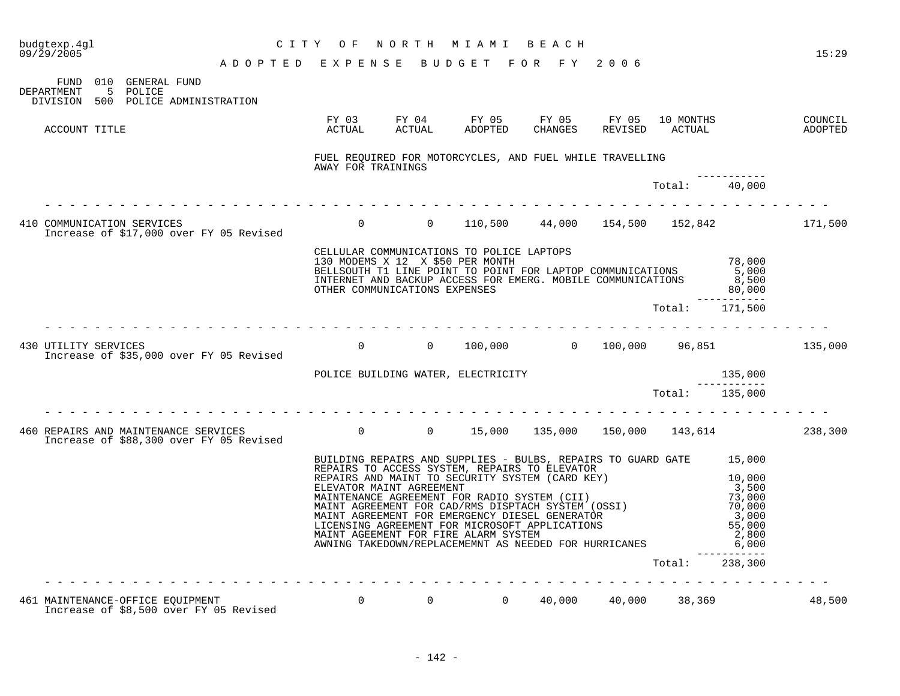| budgtexp.4ql<br>09/29/2005 |                                                                                                                                                                                                                                                                                                                                                                                                                                         |                                                                                                                                                              | CITY OF                                                                                                                                                                                                                                                                                                                  |  | NORTH MIAMI                                                                                          | B E A C H |  |                                                             |              | 15:29  |
|----------------------------|-----------------------------------------------------------------------------------------------------------------------------------------------------------------------------------------------------------------------------------------------------------------------------------------------------------------------------------------------------------------------------------------------------------------------------------------|--------------------------------------------------------------------------------------------------------------------------------------------------------------|--------------------------------------------------------------------------------------------------------------------------------------------------------------------------------------------------------------------------------------------------------------------------------------------------------------------------|--|------------------------------------------------------------------------------------------------------|-----------|--|-------------------------------------------------------------|--------------|--------|
|                            |                                                                                                                                                                                                                                                                                                                                                                                                                                         | ADOPTED EXPENSE BUDGET FOR FY 2006                                                                                                                           |                                                                                                                                                                                                                                                                                                                          |  |                                                                                                      |           |  |                                                             |              |        |
| DEPARTMENT                 | FUND 010 GENERAL FUND<br>5 POLICE                                                                                                                                                                                                                                                                                                                                                                                                       |                                                                                                                                                              |                                                                                                                                                                                                                                                                                                                          |  |                                                                                                      |           |  |                                                             |              |        |
| DIVISION                   | 500 POLICE ADMINISTRATION                                                                                                                                                                                                                                                                                                                                                                                                               |                                                                                                                                                              |                                                                                                                                                                                                                                                                                                                          |  |                                                                                                      |           |  |                                                             |              |        |
| ACCOUNT TITLE              |                                                                                                                                                                                                                                                                                                                                                                                                                                         |                                                                                                                                                              | ACTUAL                                                                                                                                                                                                                                                                                                                   |  | FY 03 FY 04 FY 05 FY 05 FY 05 10 MONTHS COUNCIL ACTUAL ACTUAL ADOPTED CHANGES REVISED ACTUAL ADOPTED |           |  |                                                             |              |        |
|                            |                                                                                                                                                                                                                                                                                                                                                                                                                                         |                                                                                                                                                              | AWAY FOR TRAININGS                                                                                                                                                                                                                                                                                                       |  | FUEL REQUIRED FOR MOTORCYCLES, AND FUEL WHILE TRAVELLING                                             |           |  |                                                             |              |        |
|                            |                                                                                                                                                                                                                                                                                                                                                                                                                                         |                                                                                                                                                              |                                                                                                                                                                                                                                                                                                                          |  |                                                                                                      |           |  | Total: 40,000                                               |              |        |
|                            |                                                                                                                                                                                                                                                                                                                                                                                                                                         | 410 COMMUNICATION SERVICES<br>Increase of \$17,000 over FY 05 Revised                                                                                        |                                                                                                                                                                                                                                                                                                                          |  | 0 0 110,500 44,000 154,500 152,842 171,500                                                           |           |  |                                                             |              |        |
|                            |                                                                                                                                                                                                                                                                                                                                                                                                                                         |                                                                                                                                                              | CELLULAR COMMUNICATIONS TO POLICE LAPTOPS<br>130 MODEMS X 12 X \$50 PER MONTH<br>EBILISOUTH T1 LINE POINT TO POINT FOR LAPTOP COMMUNICATIONS 65,000<br>BELLSOUTH T1 LINE POINT TO POINT FOR LAPTOP COMMUNICATIONS 6,000<br>INTERNET AND BACKUP ACCESS FOR EMERG. MOBILE COMMUNICATIONS 8,500<br>INTERNET AND BACKUP ACCE |  |                                                                                                      |           |  |                                                             |              |        |
|                            |                                                                                                                                                                                                                                                                                                                                                                                                                                         |                                                                                                                                                              |                                                                                                                                                                                                                                                                                                                          |  |                                                                                                      |           |  | Total: 171,500                                              | ------------ |        |
|                            |                                                                                                                                                                                                                                                                                                                                                                                                                                         |                                                                                                                                                              |                                                                                                                                                                                                                                                                                                                          |  |                                                                                                      |           |  |                                                             |              |        |
|                            |                                                                                                                                                                                                                                                                                                                                                                                                                                         | 430 UTILITY SERVICES<br>Increase of \$35,000 over FY 05 Revised                                                                                              |                                                                                                                                                                                                                                                                                                                          |  | $0$ 0 100,000 0 100,000 96,851 135,000                                                               |           |  |                                                             |              |        |
|                            |                                                                                                                                                                                                                                                                                                                                                                                                                                         |                                                                                                                                                              | POLICE BUILDING WATER, ELECTRICITY                                                                                                                                                                                                                                                                                       |  |                                                                                                      |           |  |                                                             | 135,000      |        |
|                            |                                                                                                                                                                                                                                                                                                                                                                                                                                         |                                                                                                                                                              |                                                                                                                                                                                                                                                                                                                          |  |                                                                                                      |           |  | Total: 135,000                                              |              |        |
|                            |                                                                                                                                                                                                                                                                                                                                                                                                                                         |                                                                                                                                                              |                                                                                                                                                                                                                                                                                                                          |  |                                                                                                      |           |  |                                                             |              |        |
|                            |                                                                                                                                                                                                                                                                                                                                                                                                                                         | 460 REPAIRS AND MAINTENANCE SERVICES 60 15,000 135,000 135,000 150,000 143,614 238,300<br>Increase of \$88,300 over FY 05 Revised                            |                                                                                                                                                                                                                                                                                                                          |  |                                                                                                      |           |  |                                                             |              |        |
|                            |                                                                                                                                                                                                                                                                                                                                                                                                                                         |                                                                                                                                                              |                                                                                                                                                                                                                                                                                                                          |  | BUILDING REPAIRS AND SUPPLIES - BULBS, REPAIRS TO GUARD GATE 15,000                                  |           |  |                                                             |              |        |
|                            | REPAIRS TO ACCESS SYSTEM, REPAIRS TO ELEVATOR<br>REPAIRS AND MAINT TO SECURITY SYSTEM (CARD KEY)<br>ELEVATOR MAINT AGREEMENT<br>MAINTENANCE AGREEMENT FOR RADIO SYSTEM (CII)<br>MAINT AGREEMENT FOR CAD/RMS DISPTACH SYSTEM (OSSI)<br>MAINT AGREEMENT FOR EMERGENCY DIESEL GENERATOR<br>LICENSING AGREEMENT FOR MICROSOFT APPLICATIONS<br>MA<br>3,50C<br>73,000<br>70,000<br>3<br>ANNING TAKEDOWN/REPLACEMEMNT AS NEEDED FOR HURRICANES |                                                                                                                                                              |                                                                                                                                                                                                                                                                                                                          |  |                                                                                                      |           |  | 10,000<br>3,000<br>55,000<br>2,800<br>6,000<br>------------ |              |        |
|                            |                                                                                                                                                                                                                                                                                                                                                                                                                                         |                                                                                                                                                              |                                                                                                                                                                                                                                                                                                                          |  |                                                                                                      |           |  | Total: 238,300                                              |              |        |
|                            |                                                                                                                                                                                                                                                                                                                                                                                                                                         |                                                                                                                                                              |                                                                                                                                                                                                                                                                                                                          |  |                                                                                                      |           |  |                                                             |              |        |
|                            |                                                                                                                                                                                                                                                                                                                                                                                                                                         | MAINTENANCE-OFFICE EQUIPMENT<br>Increase of \$8,500 over FY 05 Revised        0      0      0   40,000   40,000   38,369<br>461 MAINTENANCE-OFFICE EQUIPMENT |                                                                                                                                                                                                                                                                                                                          |  |                                                                                                      |           |  |                                                             |              | 48,500 |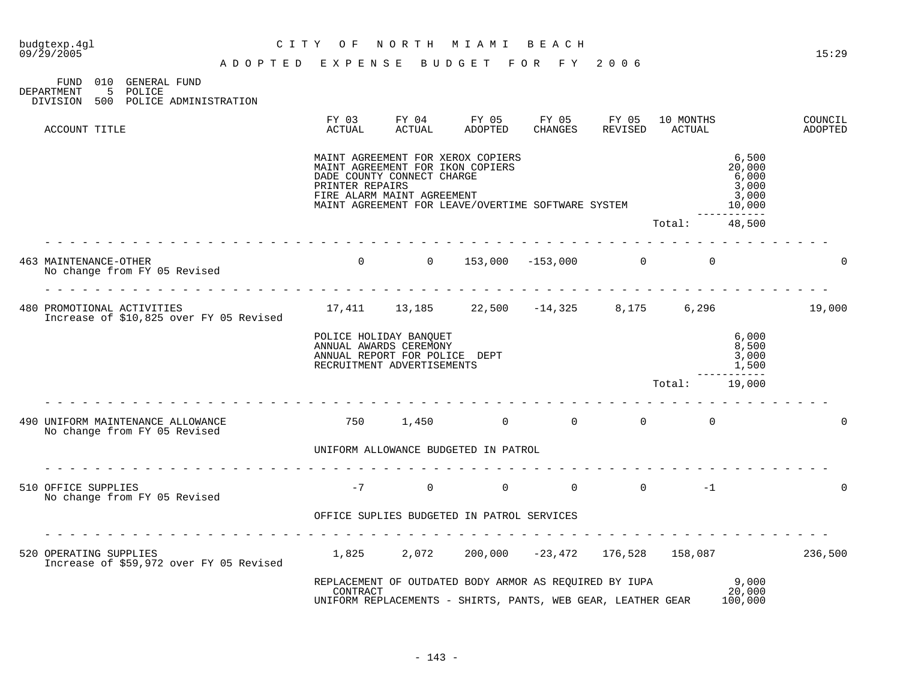FUND 010 GENERAL FUND DEPARTMENT 5 POLICE DIVISION 500 POLICE ADMINISTRATION

|  | ACCOUNT TITLE                                                         | FY 03<br><b>ACTUAL</b>                                                                                          | FY 04<br><b>ACTUAL</b>                                                                       | FY 05<br><b>ADOPTED</b>                                                                                                | FY 05<br><b>CHANGES</b> | FY 05<br>REVISED | 10 MONTHS<br>ACTUAL |                                                                       | COUNCIL<br>ADOPTED |
|--|-----------------------------------------------------------------------|-----------------------------------------------------------------------------------------------------------------|----------------------------------------------------------------------------------------------|------------------------------------------------------------------------------------------------------------------------|-------------------------|------------------|---------------------|-----------------------------------------------------------------------|--------------------|
|  |                                                                       | PRINTER REPAIRS                                                                                                 | MAINT AGREEMENT FOR IKON COPIERS<br>DADE COUNTY CONNECT CHARGE<br>FIRE ALARM MAINT AGREEMENT | MAINT AGREEMENT FOR XEROX COPIERS<br>MAINT AGREEMENT FOR LEAVE/OVERTIME SOFTWARE SYSTEM                                |                         |                  |                     | 6,500<br>20,000<br>6,000<br>3,000<br>3,000<br>10,000<br>- - - - - - - |                    |
|  |                                                                       |                                                                                                                 |                                                                                              |                                                                                                                        |                         |                  | Total:              | 48,500                                                                |                    |
|  | 463 MAINTENANCE-OTHER<br>No change from FY 05 Revised                 | $\mathbf 0$                                                                                                     | $\overline{0}$                                                                               | 153,000                                                                                                                | $-153,000$              | $\overline{0}$   | $\mathbf 0$         |                                                                       | $\Omega$           |
|  | 480 PROMOTIONAL ACTIVITIES<br>Increase of \$10,825 over FY 05 Revised | 17,411                                                                                                          |                                                                                              | $13, 185$ $22, 500$ $-14, 325$                                                                                         |                         | 8,175            | 6,296               |                                                                       | 19,000             |
|  |                                                                       | POLICE HOLIDAY BANQUET<br>ANNUAL AWARDS CEREMONY<br>ANNUAL REPORT FOR POLICE DEPT<br>RECRUITMENT ADVERTISEMENTS |                                                                                              | 6,000<br>8,500<br>3,000<br>1,500                                                                                       |                         |                  |                     |                                                                       |                    |
|  |                                                                       |                                                                                                                 |                                                                                              |                                                                                                                        |                         |                  | Total:              | 19,000                                                                |                    |
|  | 490 UNIFORM MAINTENANCE ALLOWANCE<br>No change from FY 05 Revised     | 750                                                                                                             | 1,450                                                                                        | $\overline{0}$                                                                                                         | $\mathbf 0$             | $\overline{0}$   | $\Omega$            |                                                                       | $\Omega$           |
|  |                                                                       |                                                                                                                 |                                                                                              | UNIFORM ALLOWANCE BUDGETED IN PATROL                                                                                   |                         |                  |                     |                                                                       |                    |
|  | 510 OFFICE SUPPLIES<br>No change from FY 05 Revised                   | $-7$                                                                                                            | $\Omega$                                                                                     | $\Omega$                                                                                                               | $\Omega$                | $\Omega$         | $-1$                |                                                                       | 0                  |
|  |                                                                       |                                                                                                                 |                                                                                              | OFFICE SUPLIES BUDGETED IN PATROL SERVICES                                                                             |                         |                  |                     |                                                                       |                    |
|  | 520 OPERATING SUPPLIES<br>Increase of \$59,972 over FY 05 Revised     | 1,825                                                                                                           | 2,072                                                                                        | 200,000                                                                                                                | $-23,472$               | 176,528          | 158,087             |                                                                       | 236,500            |
|  |                                                                       | CONTRACT                                                                                                        |                                                                                              | REPLACEMENT OF OUTDATED BODY ARMOR AS REOUIRED BY IUPA<br>UNIFORM REPLACEMENTS - SHIRTS, PANTS, WEB GEAR, LEATHER GEAR |                         |                  |                     | 9,000<br>20,000<br>100,000                                            |                    |
|  |                                                                       |                                                                                                                 |                                                                                              |                                                                                                                        |                         |                  |                     |                                                                       |                    |

09/29/2005 15:29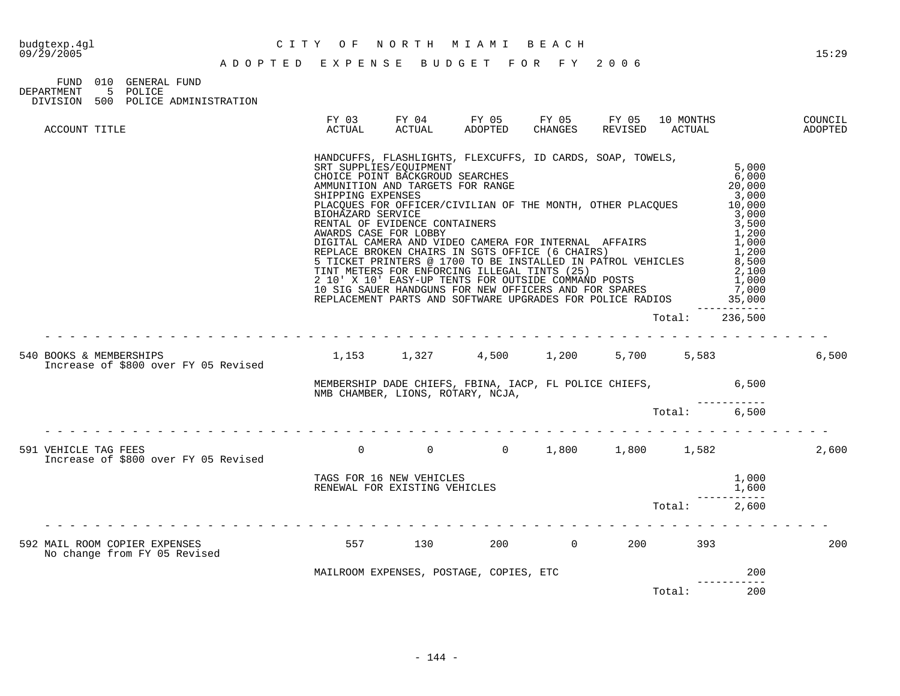FUND 010 GENERAL FUND DEPARTMENT 5 POLICE DIVISION 500 POLICE ADMINISTRATION

| ACCOUNT TITLE                                                   | FY 03<br>ACTUAL                        | FY 04<br>ACTUAL                                                                                                                                         | FY 05<br>ADOPTED                                                                                                                                                                                                                                                                                                                                                                                                                                                                                                                                                                                                                        | FY 05<br>CHANGES | FY 05<br>REVISED | 10 MONTHS<br>ACTUAL |                                                                                                                                                   | COUNCIL<br>ADOPTED |
|-----------------------------------------------------------------|----------------------------------------|---------------------------------------------------------------------------------------------------------------------------------------------------------|-----------------------------------------------------------------------------------------------------------------------------------------------------------------------------------------------------------------------------------------------------------------------------------------------------------------------------------------------------------------------------------------------------------------------------------------------------------------------------------------------------------------------------------------------------------------------------------------------------------------------------------------|------------------|------------------|---------------------|---------------------------------------------------------------------------------------------------------------------------------------------------|--------------------|
|                                                                 | SHIPPING EXPENSES<br>BIOHAZARD SERVICE | SRT SUPPLIES/EOUIPMENT<br>CHOICE POINT BACKGROUD SEARCHES<br>AMMUNITION AND TARGETS FOR RANGE<br>RENTAL OF EVIDENCE CONTAINERS<br>AWARDS CASE FOR LOBBY | HANDCUFFS, FLASHLIGHTS, FLEXCUFFS, ID CARDS, SOAP, TOWELS,<br>PLACQUES FOR OFFICER/CIVILIAN OF THE MONTH, OTHER PLACQUES<br>DIGITAL CAMERA AND VIDEO CAMERA FOR INTERNAL AFFAIRS<br>ANNITAN CAMARA AND VIDEO CAMERA FOR INTERNAL AFFAIRS<br>REPLACE BROKEN CHAIRS IN SGTS OFFICE (6 CHAIRS)<br>E TICKET DRINERG 2 JEAN SGLOEPICE (6 CHAIRS)<br>5 TICKET PRINTERS @ 1700 TO BE INSTALLED IN PATROL VEHICLES<br>TINT METERS FOR ENFORCING ILLEGAL TINTS (25)<br>2 10' X 10' EASY-UP TENTS FOR OUTSIDE COMMAND POSTS<br>10 SIG SAUER HANDGUNS FOR NEW OFFICERS AND FOR SPARES<br>REPLACEMENT PARTS AND SOFTWARE UPGRADES FOR POLICE RADIOS |                  |                  |                     | 5,000<br>6,000<br>20,000<br>3,000<br>10,000<br>3,000<br>3,500<br>1,200<br>1,000<br>1,200<br>8,500<br>2,100<br>1,000<br>7,000<br>35,000<br>------- |                    |
|                                                                 |                                        |                                                                                                                                                         |                                                                                                                                                                                                                                                                                                                                                                                                                                                                                                                                                                                                                                         |                  |                  | Total:              | 236,500                                                                                                                                           |                    |
| 540 BOOKS & MEMBERSHIPS<br>Increase of \$800 over FY 05 Revised |                                        |                                                                                                                                                         | $1,153$ $1,327$ $4,500$ $1,200$                                                                                                                                                                                                                                                                                                                                                                                                                                                                                                                                                                                                         |                  | 5,700            | 5,583               |                                                                                                                                                   | 6,500              |
|                                                                 |                                        |                                                                                                                                                         | MEMBERSHIP DADE CHIEFS, FBINA, IACP, FL POLICE CHIEFS, 6,500<br>NMB CHAMBER, LIONS, ROTARY, NCJA,                                                                                                                                                                                                                                                                                                                                                                                                                                                                                                                                       |                  |                  |                     |                                                                                                                                                   |                    |
|                                                                 |                                        |                                                                                                                                                         |                                                                                                                                                                                                                                                                                                                                                                                                                                                                                                                                                                                                                                         |                  |                  | Total:              | 6.500                                                                                                                                             |                    |
| 591 VEHICLE TAG FEES<br>Increase of \$800 over FY 05 Revised    | $0 \qquad \qquad$                      | $\overline{0}$                                                                                                                                          | $0 \qquad \qquad$                                                                                                                                                                                                                                                                                                                                                                                                                                                                                                                                                                                                                       | 1,800            |                  | 1,800 1,582         |                                                                                                                                                   | 2,600              |
|                                                                 |                                        | RENEWAL FOR EXISTING VEHICLES                                                                                                                           | TAGS FOR 16 NEW VEHICLES                                                                                                                                                                                                                                                                                                                                                                                                                                                                                                                                                                                                                |                  |                  |                     | 1,000<br>1,600                                                                                                                                    |                    |
|                                                                 |                                        |                                                                                                                                                         |                                                                                                                                                                                                                                                                                                                                                                                                                                                                                                                                                                                                                                         |                  |                  | Total:              | 2,600                                                                                                                                             |                    |
| 592 MAIL ROOM COPIER EXPENSES<br>No change from FY 05 Revised   | 557                                    | 130                                                                                                                                                     | 200                                                                                                                                                                                                                                                                                                                                                                                                                                                                                                                                                                                                                                     |                  | $\overline{0}$   | 200 393             |                                                                                                                                                   | 200                |
|                                                                 |                                        |                                                                                                                                                         | MAILROOM EXPENSES, POSTAGE, COPIES, ETC                                                                                                                                                                                                                                                                                                                                                                                                                                                                                                                                                                                                 |                  |                  |                     | 200                                                                                                                                               |                    |
|                                                                 |                                        |                                                                                                                                                         |                                                                                                                                                                                                                                                                                                                                                                                                                                                                                                                                                                                                                                         |                  |                  | Total:              | 200                                                                                                                                               |                    |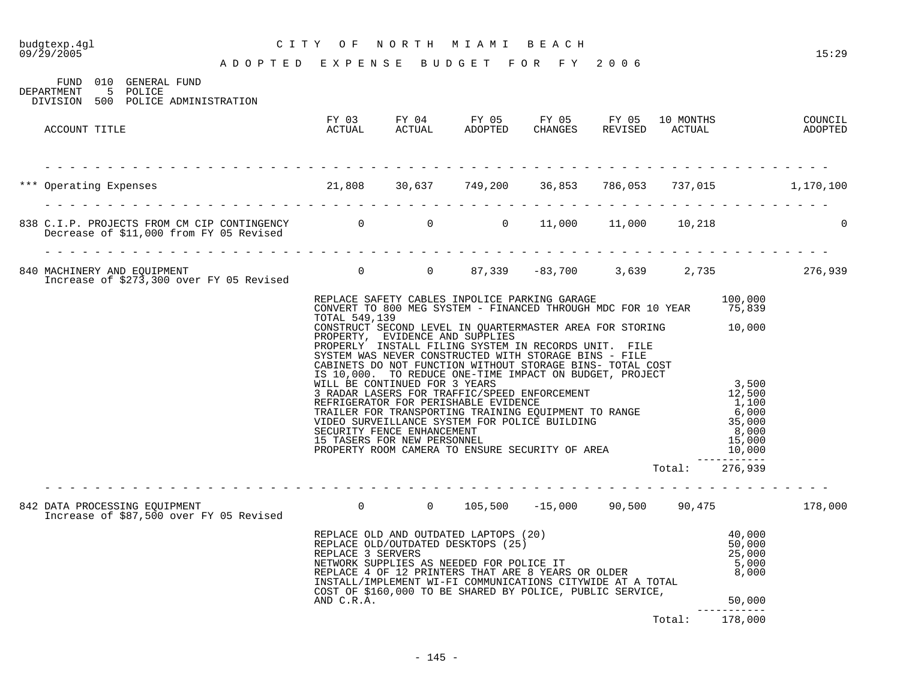# budgtexp.4gl C I T Y O F N O R T H M I A M I B E A C H

| FIJND               | 010 GENERAL FUND                   |  |
|---------------------|------------------------------------|--|
| DEPARTMENT 5 POLICE |                                    |  |
|                     | DIVISION 500 POLICE ADMINISTRATION |  |
|                     |                                    |  |

| ACCOUNT TITLE                                                                                                                           | ACTUAL        | FY 03 FY 04 FY 05 FY 05 FY 05 10 MONTHS<br>ACTUAL ADOPTED                                                                                                                                                                                                                                                                                                                                                                                                                                                                                                                          | CHANGES REVISED ACTUAL |        |         | COUNCIL<br>ADOPTED |
|-----------------------------------------------------------------------------------------------------------------------------------------|---------------|------------------------------------------------------------------------------------------------------------------------------------------------------------------------------------------------------------------------------------------------------------------------------------------------------------------------------------------------------------------------------------------------------------------------------------------------------------------------------------------------------------------------------------------------------------------------------------|------------------------|--------|---------|--------------------|
| *** Operating Expenses 1,170,100<br>21,808 30,637 749,200 36,853 786,053 737,015 1,170,100                                              |               |                                                                                                                                                                                                                                                                                                                                                                                                                                                                                                                                                                                    |                        |        |         |                    |
| 838 C.I.P. PROJECTS FROM CM CIP CONTINGENCY        0       0    11,000  11,000   10,218<br>Decrease of \$11,000 from FY 05 Revised      |               |                                                                                                                                                                                                                                                                                                                                                                                                                                                                                                                                                                                    |                        |        |         | $\mathbf{0}$       |
| 840 MACHINERY AND EQUIPMENT<br>Increase of \$273,300 over FY 05 Revised        0     0   87,339  -83,700   3,639   2,735        276,939 |               |                                                                                                                                                                                                                                                                                                                                                                                                                                                                                                                                                                                    |                        |        |         |                    |
|                                                                                                                                         |               | REPLACE SAFETY CABLES INPOLICE PARKING GARAGE 100,000<br>CONVERT TO 800 MEG SYSTEM - FINANCED THROUGH MDC FOR 10 YEAR 75,839                                                                                                                                                                                                                                                                                                                                                                                                                                                       |                        |        |         |                    |
|                                                                                                                                         | TOTAL 549,139 | CONSTRUCT SECOND LEVEL IN QUARTERMASTER AREA FOR STORING 10,000<br>PROPERTY, EVIDENCE AND SUPPLIES<br>PROPERLY INSTALL FILING SYSTEM IN RECORDS UNIT. FILE<br>SYSTEM WAS NEVER CONSTRUCTED WITH STORAGE BINS - FILE<br>CABINETS DO NOT FUNCTION WITHOUT STORAGE BINS- TOTAL COST<br>IS 10,000. TO REDUCE ONE-TIME IMPACT ON BUDGET, PROJECT<br>IS 10,000. TO REDUCE ONE-TIME IMPACT ON BUDGET, PROJECT<br>WILL BE CONTINUED FOR 3 YEARS FOR TRAFFIC/SPEED ENFORCEMENT 12,500<br>REFRIGERATOR FOR PERISHABLE EVIDENCE 1,100<br>TRAILER FOR TRANSPORTING TRAINING EQUIPMENT TO RANGE |                        |        |         |                    |
|                                                                                                                                         |               |                                                                                                                                                                                                                                                                                                                                                                                                                                                                                                                                                                                    |                        |        |         |                    |
| 842 DATA PROCESSING EQUIPMENT<br>Increase of \$87,500 over FY 05 Revised 60 0 0 0 105,500 -15,000 90,500 90,475 178,000                 |               |                                                                                                                                                                                                                                                                                                                                                                                                                                                                                                                                                                                    |                        |        |         |                    |
|                                                                                                                                         |               | REPLACE OLD AND OUTDATED LAPTOPS (20)<br>REPLACE OLD/OUTDATED DESKTOPS (25) 50,000<br>REPLACE 3 SERVERS 50,000<br>NETWORK SUPPLIES AS NEEDED FOR POLICE IT 5,000<br>REPLACE 4 OF 12 PRINTERS THAT ARE 8 YEARS OR OLDER 5,000<br>INSTALL/<br>COST OF \$160,000 TO BE SHARED BY POLICE, PUBLIC SERVICE,                                                                                                                                                                                                                                                                              |                        |        |         |                    |
|                                                                                                                                         | AND C.R.A.    |                                                                                                                                                                                                                                                                                                                                                                                                                                                                                                                                                                                    |                        |        | 50,000  |                    |
|                                                                                                                                         |               |                                                                                                                                                                                                                                                                                                                                                                                                                                                                                                                                                                                    |                        | Total: | 178,000 |                    |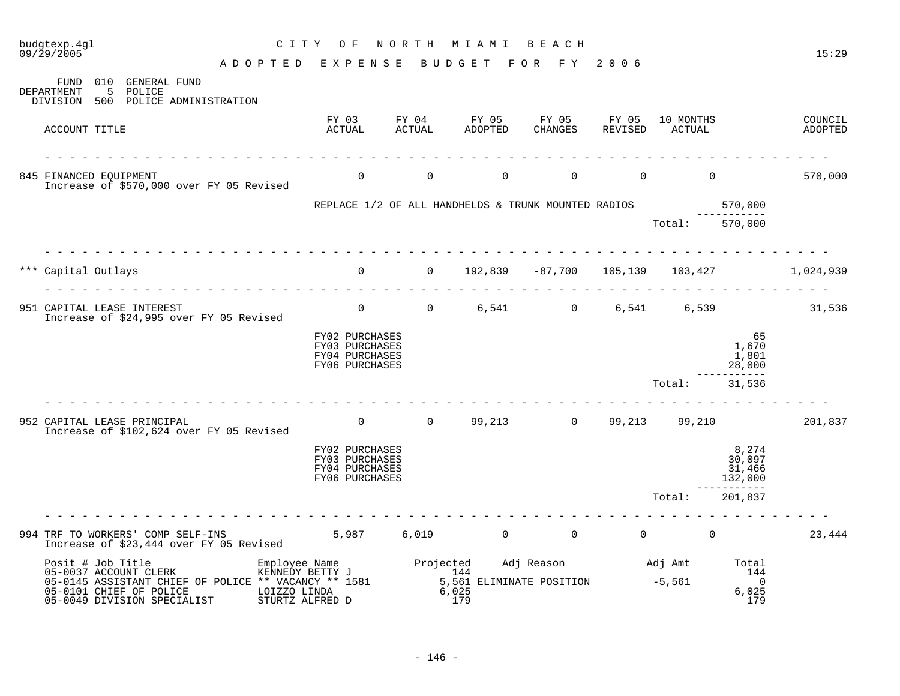| 09/29/2005<br>A D O P T E D E X P E N S E B U D G E T                                                                                                                                                                                    |                                                                                                                                      |          |                | FOR FY                    | 2006     |                                 |                                      | 15:29                                         |
|------------------------------------------------------------------------------------------------------------------------------------------------------------------------------------------------------------------------------------------|--------------------------------------------------------------------------------------------------------------------------------------|----------|----------------|---------------------------|----------|---------------------------------|--------------------------------------|-----------------------------------------------|
| 010 GENERAL FUND<br>FUND<br>5 POLICE<br>DEPARTMENT<br>500 POLICE ADMINISTRATION<br>DIVISION                                                                                                                                              |                                                                                                                                      |          |                |                           |          |                                 |                                      |                                               |
| ACCOUNT TITLE                                                                                                                                                                                                                            | FY 03 FY 04 FY 05 FY 05 FY 05 10 MONTHS<br>ACTUAL                                                                                    | ACTUAL   | ADOPTED        | CHANGES                   | REVISED  | ACTUAL                          |                                      | COUNCIL<br>ADOPTED                            |
| 845 FINANCED EQUIPMENT<br>Increase of \$570,000 over FY 05 Revised                                                                                                                                                                       | $\overline{0}$                                                                                                                       | $\Omega$ | $\Omega$       | $\Omega$                  | $\Omega$ | $\Omega$                        |                                      | 570,000                                       |
|                                                                                                                                                                                                                                          | REPLACE $1/2$ OF ALL HANDHELDS & TRUNK MOUNTED RADIOS 570,000                                                                        |          |                |                           |          |                                 |                                      |                                               |
|                                                                                                                                                                                                                                          |                                                                                                                                      |          |                |                           |          | Total: 570,000                  |                                      |                                               |
| *** Capital Outlays<br>.                                                                                                                                                                                                                 |                                                                                                                                      |          |                |                           |          |                                 |                                      | 0 0 192,839 -87,700 105,139 103,427 1,024,939 |
| 951 CAPITAL LEASE INTEREST<br>Increase of \$24,995 over FY 05 Revised                                                                                                                                                                    | 0 0 6,541 0 6,541 6,539 31,536                                                                                                       |          |                |                           |          |                                 |                                      |                                               |
|                                                                                                                                                                                                                                          | FY02 PURCHASES<br>FY03 PURCHASES<br>FY04 PURCHASES<br>FY06 PURCHASES                                                                 |          |                |                           |          |                                 | 65<br>1,670<br>1,801<br>28,000       |                                               |
|                                                                                                                                                                                                                                          |                                                                                                                                      |          |                |                           |          | Total:                          | 31,536                               |                                               |
| 952 CAPITAL LEASE PRINCIPAL<br>Increase of \$102,624 over FY 05 Revised                                                                                                                                                                  |                                                                                                                                      |          |                |                           |          |                                 |                                      | 0 0 99,213 0 99,213 99,210 201,837            |
|                                                                                                                                                                                                                                          | FY02 PURCHASES<br><b>FY03 PURCHASES</b><br>FY04 PURCHASES<br>FY06 PURCHASES                                                          |          |                |                           |          |                                 | 8,274<br>30,097<br>31,466<br>132,000 |                                               |
|                                                                                                                                                                                                                                          |                                                                                                                                      |          |                |                           |          | Total:                          | 201,837                              |                                               |
| 994 TRF TO WORKERS' COMP SELF-INS<br>Increase of \$23,444 over FY 05 Revised                                                                                                                                                             | $5,987$ 6,019                                                                                                                        |          | $\overline{0}$ | $\overline{0}$            |          | $\begin{matrix}0&0\end{matrix}$ |                                      | 23,444                                        |
| Posit # Job Title<br>FOSIL # JOD TITLE<br>05-0037 ACCOUNT CLERK<br>05-0145 ACCIOTIT<br>05-0145 ASSISTANT CHIEF OF POLICE ** VACANCY ** 1581<br>05-0101 CHIEF OF POLICE<br>LOIZZO LINDA<br>05-0049 DIVISION SPECIALIST<br>STURTZ ALFRED D | Employee Name<br>KENNEDY BETTY J<br>: ** VACANCY ** 1581 5,561 ELIMINATE POSITION -5,561<br>T.OTZZO LINDA 6,025<br>for the set of 25 |          | 179            | Adj Reason Madj Amt Total |          |                                 | 144<br>$\bigcap$<br>6,025<br>179     |                                               |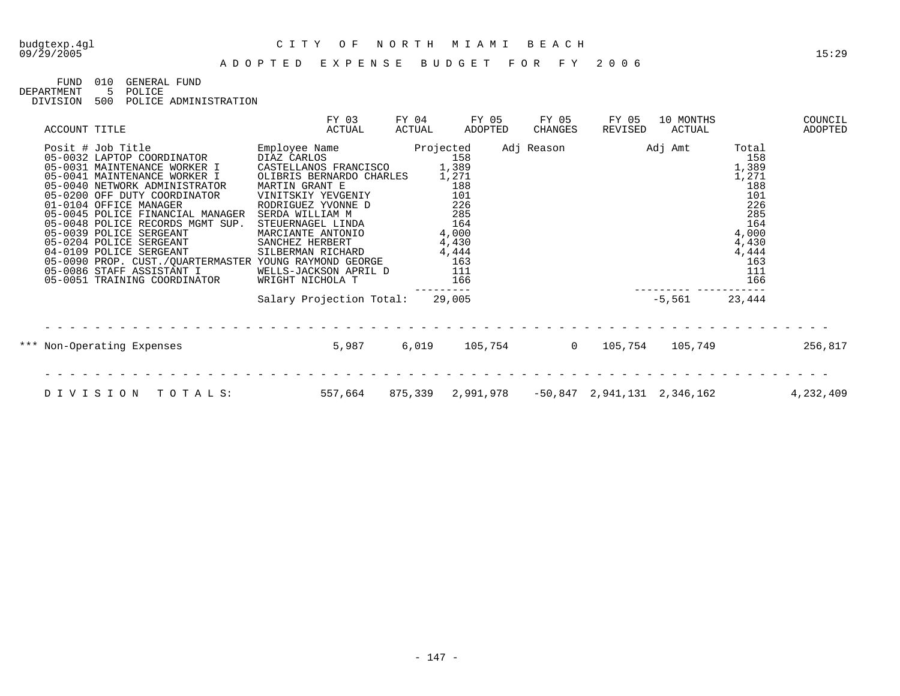FUND 010 GENERAL FUND<br>DEPARTMENT 5 POLICE

5 POLICE DIVISION 500 POLICE ADMINISTRATION

| ACCOUNT TITLE                                                                                                                                                                                                                                                                                                                                                                                                                                                                              |                                                                                                                                          | FY 03<br>ACTUAL                                                                                                                                       | FY 04<br>ACTUAL | FY 05<br>ADOPTED                                                                                         | FY 05<br>CHANGES | FY 05<br>REVISED            | 10 MONTHS<br>ACTUAL |                                                                                                                   | COUNCIL<br>ADOPTED |
|--------------------------------------------------------------------------------------------------------------------------------------------------------------------------------------------------------------------------------------------------------------------------------------------------------------------------------------------------------------------------------------------------------------------------------------------------------------------------------------------|------------------------------------------------------------------------------------------------------------------------------------------|-------------------------------------------------------------------------------------------------------------------------------------------------------|-----------------|----------------------------------------------------------------------------------------------------------|------------------|-----------------------------|---------------------|-------------------------------------------------------------------------------------------------------------------|--------------------|
| Posit # Job Title<br>05-0032 LAPTOP COORDINATOR<br>05-0031 MAINTENANCE WORKER I<br>05-0041 MAINTENANCE WORKER I<br>05-0040 NETWORK ADMINISTRATOR<br>05-0200 OFF DUTY COORDINATOR<br>01-0104 OFFICE MANAGER<br>05-0045 POLICE FINANCIAL MANAGER<br>05-0048 POLICE RECORDS MGMT SUP.<br>05-0039 POLICE SERGEANT<br>05-0204 POLICE SERGEANT<br>04-0109 POLICE SERGEANT<br>05-0090 PROP. CUST./QUARTERMASTER YOUNG RAYMOND GEORGE<br>05-0086 STAFF ASSISTANT I<br>05-0051 TRAINING COORDINATOR | Employee Name<br>MARTIN GRANT E<br>VINITSKIY YEVGENIY<br>SERDA WILLIAM M<br>SANCHEZ HERBERT<br>WELLS-JACKSON APRIL D<br>WRIGHT NICHOLA T | DIAZ CARLOS<br>CASTELLANOS FRANCISCO<br>OLIBRIS BERNARDO CHARLES<br>RODRIGUEZ YVONNE D<br>STEUERNAGEL LINDA<br>MARCIANTE ANTONIO<br>SILBERMAN RICHARD | Projected       | 158<br>1,389<br>1,271<br>188<br>101<br>226<br>285<br>164<br>4,000<br>4,430<br>4,444<br>163<br>111<br>166 | Adj Reason       |                             | Adj Amt             | Total<br>158<br>1,389<br>1,271<br>188<br>101<br>226<br>285<br>164<br>4,000<br>4,430<br>4,444<br>163<br>111<br>166 |                    |
|                                                                                                                                                                                                                                                                                                                                                                                                                                                                                            |                                                                                                                                          | Salary Projection Total:                                                                                                                              |                 | 29,005                                                                                                   |                  |                             | $-5,561$            | 23,444                                                                                                            |                    |
| *** Non-Operating Expenses                                                                                                                                                                                                                                                                                                                                                                                                                                                                 |                                                                                                                                          | 5,987                                                                                                                                                 | 6,019           | 105,754                                                                                                  | $\Omega$         | 105,754                     | 105,749             |                                                                                                                   | 256,817            |
| DIVISION<br>TOTALS:                                                                                                                                                                                                                                                                                                                                                                                                                                                                        |                                                                                                                                          | 557,664                                                                                                                                               |                 | 875,339 2,991,978                                                                                        |                  | -50,847 2,941,131 2,346,162 |                     |                                                                                                                   | 4,232,409          |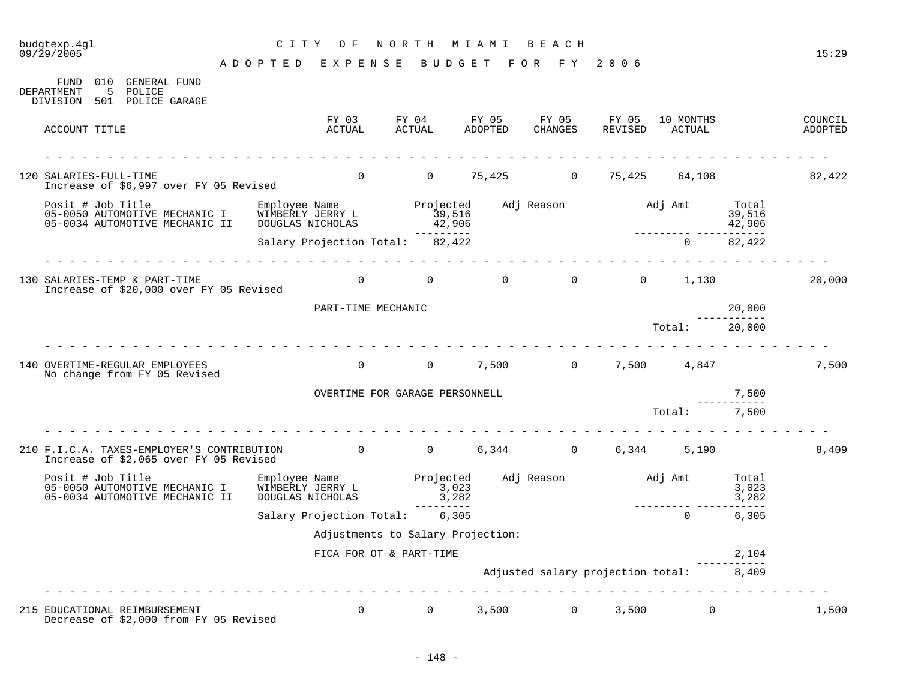#### 09/29/2005 15:29 A D O P T E D E X P E N S E B U D G E T F O R F Y 2 0 0 6 FUND 010 GENERAL FUND DEPARTMENT 5 POLICE DIVISION 501 POLICE GARAGE FY 03 FY 04 FY 05 FY 05 FY 05 10 MONTHS COUNCIL ACCOUNT TITLE ACTUAL ACTUAL ADOPTED CHANGES REVISED ACTUAL ADOPTED - - - - - - - - - - - - - - - - - - - - - - - - - - - - - - - - - - - - - - - - - - - - - - - - - - - - - - - - - - - - - - - 120 SALARIES-FULL-TIME 0 0 75,425 0 75,425 64,108 82,422 Increase of \$6,997 over FY 05 Revised Posit # Job Title Employee Name Projected Adj Reason Adj Amt Total 05-0050 AUTOMOTIVE MECHANIC I WIMBERLY JERRY L 39,516 39,516 39,516 39,516 39,516 05-0034 AUTOMOTIVE MECHANIC II DOUGLAS NICHOLAS 42,906 42,906 --------- --------- ----------- Salary Projection Total: 82,422 0 82,422 - - - - - - - - - - - - - - - - - - - - - - - - - - - - - - - - - - - - - - - - - - - - - - - - - - - - - - - - - - - - - - - 130 SALARIES-TEMP & PART-TIME 0 0 0 0 0 1,130 20,000 Increase of \$20,000 over FY 05 Revised PART-TIME MECHANIC 20,000 ----------- Total: 20,000 - - - - - - - - - - - - - - - - - - - - - - - - - - - - - - - - - - - - - - - - - - - - - - - - - - - - - - - - - - - - - - - 140 OVERTIME-REGULAR EMPLOYEES 0 0 7,500 0 7,500 4,847 7,500 No change from FY 05 Revised OVERTIME FOR GARAGE PERSONNELL **7,500** ----------- Total: 7,500 - - - - - - - - - - - - - - - - - - - - - - - - - - - - - - - - - - - - - - - - - - - - - - - - - - - - - - - - - - - - - - - 210 F.I.C.A. TAXES-EMPLOYER'S CONTRIBUTION 0 0 6,344 0 6,344 5,190 8,409 Increase of \$2,065 over FY 05 Revised Posit # Job Title Employee Name Projected Adj Reason Adj Amt Total 05-0050 AUTOMOTIVE MECHANIC I WIMBERLY JERRY L<br>05-0050 AUTOMOTIVE MECHANIC II DOUGLAS NICHOLAS 3,282 3,282 3,282 3,282 05-0034 AUTOMOTIVE MECHANIC II DOUGLAS NICHOLAS 3,282 --------- -----------<br>6.305 Salary Projection Total: 6,305 Adjustments to Salary Projection: FICA FOR OT & PART-TIME 2, 2004 ----------- Adjusted salary projection total: 8,409 - - - - - - - - - - - - - - - - - - - - - - - - - - - - - - - - - - - - - - - - - - - - - - - - - - - - - - - - - - - - - - - 215 EDUCATIONAL REIMBURSEMENT 0 0 3,500 0 3,500 0 1,500 Decrease of \$2,000 from FY 05 Revised

budgtexp.4gl C I T Y O F N O R T H M I A M I B E A C H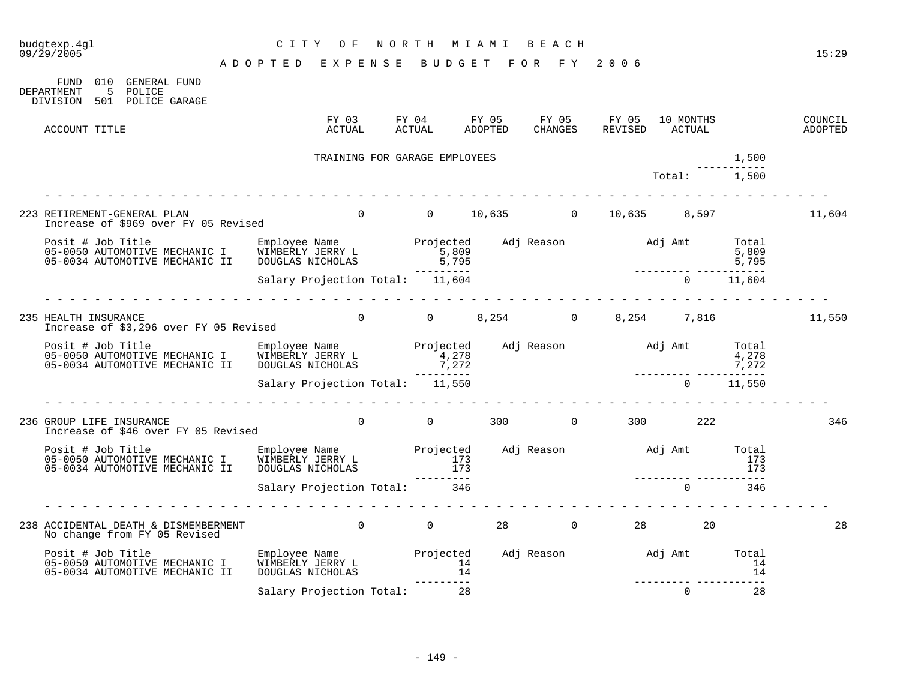| budgtexp.4gl<br>09/29/2005                                                                                                                        | CITY OF                            |                               | NORTH MIAMI BEACH |                                                                            | 15:29                            |
|---------------------------------------------------------------------------------------------------------------------------------------------------|------------------------------------|-------------------------------|-------------------|----------------------------------------------------------------------------|----------------------------------|
|                                                                                                                                                   | ADOPTED EXPENSE BUDGET FOR FY 2006 |                               |                   |                                                                            |                                  |
| FUND 010 GENERAL FUND<br>5 POLICE<br>DEPARTMENT<br>DIVISION 501 POLICE GARAGE                                                                     |                                    |                               |                   |                                                                            |                                  |
| ACCOUNT TITLE                                                                                                                                     | FY 03<br>ACTUAL                    |                               |                   | FY 04 FY 05 FY 05 FY 05 10 MONTHS<br>ACTUAL ADOPTED CHANGES REVISED ACTUAL | COUNCIL<br>ADOPTED               |
|                                                                                                                                                   |                                    | TRAINING FOR GARAGE EMPLOYEES |                   |                                                                            | 1,500                            |
|                                                                                                                                                   |                                    |                               |                   | Total: 1,500                                                               |                                  |
| 223 RETIREMENT-GENERAL PLAN<br>Increase of \$969 over FY 05 Revised                                                                               |                                    |                               |                   |                                                                            | 0 0 10,635 0 10,635 8,597 11,604 |
|                                                                                                                                                   |                                    |                               |                   |                                                                            |                                  |
|                                                                                                                                                   |                                    |                               |                   |                                                                            |                                  |
| 235 HEALTH INSURANCE<br>Increase of \$3,296 over FY 05 Revised                                                                                    |                                    |                               |                   |                                                                            | 0 0 0 8,254 0 8,254 7,816 11,550 |
| Posit # Job Title Employee Name Projected Adj Reason and Jamt Total<br>1,278 1,278 1,278 1,278 1,278 1,278 1,278<br>1,272 7,272 7,272 7,272 7,272 |                                    |                               |                   |                                                                            |                                  |
|                                                                                                                                                   | Salary Projection Total: 11,550    |                               |                   | $0 \t 11,550$                                                              |                                  |
| 236 GROUP LIFE INSURANCE<br>Increase of \$46 over FY 05 Revised                                                                                   | rendere de la provincia de la      |                               |                   | $0$ 0 300 0 300 222                                                        | 346                              |
|                                                                                                                                                   |                                    |                               |                   |                                                                            |                                  |
|                                                                                                                                                   | Salary Projection Total: 346       |                               |                   | $\Omega$                                                                   | 346                              |
| 238 ACCIDENTAL DEATH & DISMEMBERMENT<br>No change from FY 05 Revised                                                                              |                                    |                               |                   |                                                                            | 28                               |
| Posit # Job Title<br>05-0050 AUTOMOTIVE MECHANIC I<br>05-0034 AUTOMOTIVE MECHANIC II                                                              | DOUGLAS NICHOLAS                   |                               |                   |                                                                            |                                  |
|                                                                                                                                                   | Salary Projection Total:           | 28                            |                   | $\Omega$                                                                   | $\sim$ 28                        |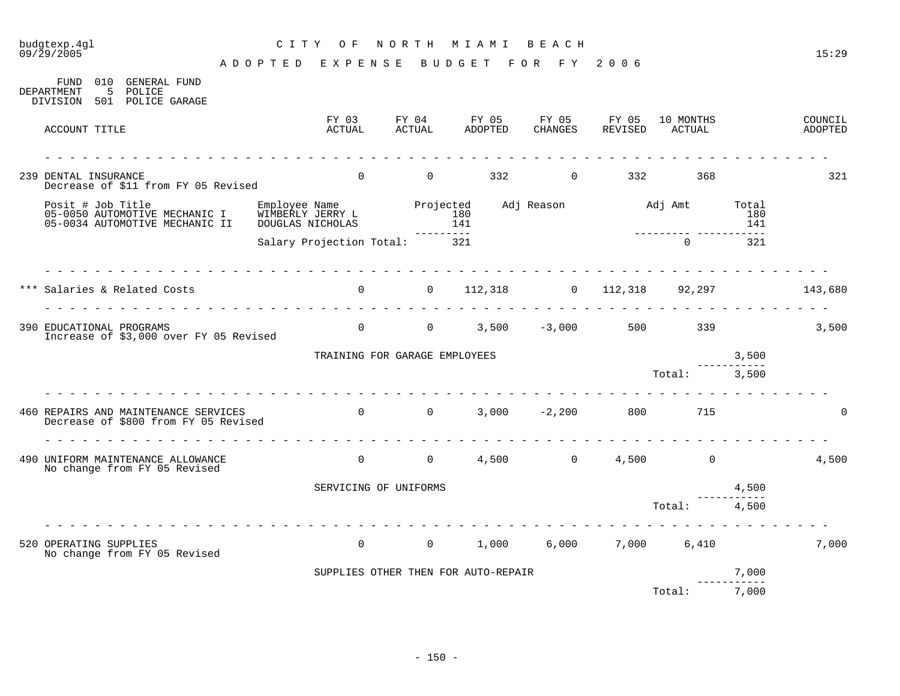## budgtexp.4gl C I T Y O F N O R T H M I A M I B E A C H

A D O P T E D E X P E N S E B U D G E T F O R F Y 2 0 0 6

FUND 010 GENERAL FUND DEPARTMENT 5 POLICE DIVISION 501 POLICE GARAGE

| ACCOUNT TITLE                                                                        | FY 03<br>ACTUAL                                                     | FY 04<br>ACTUAL                     |                  | FY 05<br>ADOPTED | FY 05<br>CHANGES    | FY 05<br>REVISED      | 10 MONTHS<br>ACTUAL          |                     | COUNCIL<br>ADOPTED |
|--------------------------------------------------------------------------------------|---------------------------------------------------------------------|-------------------------------------|------------------|------------------|---------------------|-----------------------|------------------------------|---------------------|--------------------|
| 239 DENTAL INSURANCE<br>Decrease of \$11 from FY 05 Revised                          | $\Omega$                                                            | $\overline{0}$                      |                  |                  | 332 and $\sim$      | $\overline{0}$<br>332 | 368                          |                     | 321                |
| Posit # Job Title<br>05-0050 AUTOMOTIVE MECHANIC I<br>05-0034 AUTOMOTIVE MECHANIC II | Employee Name Projected<br>WIMBERLY JERRY L 180<br>DOUGLAS NICHOLAS |                                     | 141<br>--------- |                  | Adj Reason Madj Amt |                       |                              | Total<br>180<br>141 |                    |
|                                                                                      | Salary Projection Total: 321                                        |                                     |                  |                  |                     |                       | $\Omega$                     | 321                 |                    |
| *** Salaries & Related Costs                                                         |                                                                     |                                     |                  |                  |                     |                       | 0 0 112,318 0 112,318 92,297 |                     | 143,680            |
| 390 EDUCATIONAL PROGRAMS<br>Increase of \$3,000 over FY 05 Revised                   |                                                                     |                                     |                  |                  |                     |                       | 0 0 3,500 -3,000 500 339     |                     | 3,500              |
|                                                                                      |                                                                     | TRAINING FOR GARAGE EMPLOYEES       |                  |                  |                     |                       |                              | 3,500               |                    |
|                                                                                      |                                                                     |                                     |                  |                  |                     |                       | Total:                       | 3,500               |                    |
| 460 REPAIRS AND MAINTENANCE SERVICES<br>Decrease of \$800 from FY 05 Revised         | $0$ 0 0 3,000 -2,200 800 715                                        |                                     |                  |                  |                     |                       |                              |                     | $\Omega$           |
| 490 UNIFORM MAINTENANCE ALLOWANCE<br>No change from FY 05 Revised                    | $\overline{0}$                                                      |                                     |                  |                  | $0 \t 4,500 \t 0$   |                       | $4,500$ 0                    |                     | 4,500              |
|                                                                                      |                                                                     | SERVICING OF UNIFORMS               |                  |                  |                     |                       |                              | 4,500               |                    |
|                                                                                      |                                                                     |                                     |                  |                  |                     |                       | Total:                       | 4,500               |                    |
| 520 OPERATING SUPPLIES<br>No change from FY 05 Revised                               |                                                                     | $\overline{0}$                      | $\overline{0}$   | 1,000            | 6,000               | 7,000                 | 6,410                        |                     | 7,000              |
|                                                                                      |                                                                     | SUPPLIES OTHER THEN FOR AUTO-REPAIR |                  |                  |                     |                       |                              | 7,000               |                    |
|                                                                                      |                                                                     |                                     |                  |                  |                     |                       | Total:                       | 7,000               |                    |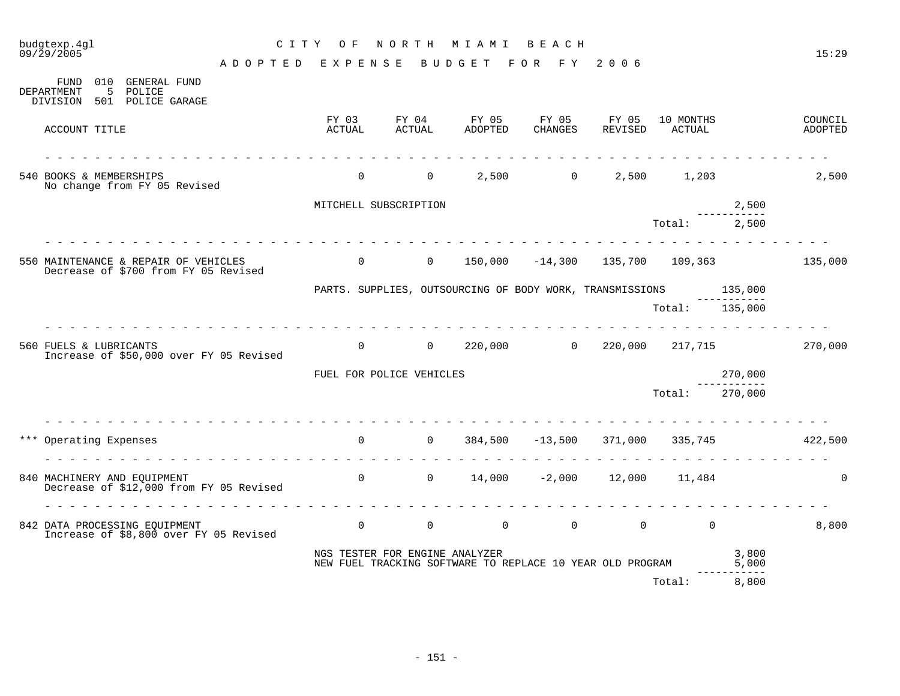| budgtexp.4gl<br>09/29/2005                                                             | C I T Y                       | O F                            | NORTH                    | M I A M I                                                 | BEACH                   |                   |                     |                      | 15:29              |
|----------------------------------------------------------------------------------------|-------------------------------|--------------------------------|--------------------------|-----------------------------------------------------------|-------------------------|-------------------|---------------------|----------------------|--------------------|
|                                                                                        | ADOPTED                       | EXPENSE                        |                          | BUDGET                                                    | FOR FY                  | 2 0 0 6           |                     |                      |                    |
| 010 GENERAL FUND<br>FUND<br>DEPARTMENT<br>5<br>POLICE<br>501 POLICE GARAGE<br>DIVISION |                               |                                |                          |                                                           |                         |                   |                     |                      |                    |
| ACCOUNT TITLE                                                                          |                               | FY 03<br>ACTUAL                | FY 04<br>ACTUAL          | FY 05<br>ADOPTED                                          | FY 05<br>CHANGES        | FY 05<br>REVISED  | 10 MONTHS<br>ACTUAL |                      | COUNCIL<br>ADOPTED |
| 540 BOOKS & MEMBERSHIPS<br>No change from FY 05 Revised                                | rendere die die die die die d | $\Omega$                       |                          | $\overline{0}$                                            | $2,500$ 0               |                   | 2,500 1,203         |                      | 2,500              |
|                                                                                        |                               | MITCHELL SUBSCRIPTION          |                          |                                                           |                         |                   |                     | 2,500                |                    |
|                                                                                        |                               |                                |                          |                                                           |                         |                   | Total:              | __________.<br>2,500 |                    |
| 550 MAINTENANCE & REPAIR OF VEHICLES<br>Decrease of \$700 from FY 05 Revised           |                               | $\overline{0}$                 | $\overline{0}$           | 150,000                                                   |                         | $-14,300$ 135,700 | 109,363             |                      | 135,000            |
|                                                                                        |                               |                                |                          | PARTS. SUPPLIES, OUTSOURCING OF BODY WORK, TRANSMISSIONS  |                         |                   |                     | 135,000              |                    |
|                                                                                        |                               |                                |                          |                                                           |                         |                   | Total: 135,000      |                      |                    |
| 560 FUELS & LUBRICANTS<br>Increase of \$50,000 over FY 05 Revised                      |                               | $\mathbf 0$                    | $\overline{0}$           |                                                           | 220,000 0               |                   | 220,000 217,715     |                      | 270,000            |
|                                                                                        |                               |                                | FUEL FOR POLICE VEHICLES |                                                           |                         |                   |                     | 270,000              |                    |
|                                                                                        |                               |                                |                          |                                                           |                         |                   | Total:              | 270,000              |                    |
| .<br>*** Operating Expenses<br>.                                                       |                               | $\Omega$                       | $\overline{0}$           |                                                           | 384,500 -13,500 371,000 |                   | 335,745             |                      | 422,500            |
| 840 MACHINERY AND EQUIPMENT<br>Decrease of \$12,000 from FY 05 Revised                 |                               | $\overline{0}$                 |                          | $0 \t 14,000 \t -2,000 \t 12,000 \t 11,484$               |                         |                   |                     |                      | $\mathbf 0$        |
| 842 DATA PROCESSING EQUIPMENT<br>Increase of \$8,800 over FY 05 Revised                |                               | $\overline{0}$                 | $0 \qquad \qquad$        | $\overline{0}$                                            | $\overline{0}$          | $\overline{0}$    | $\Omega$            |                      | 8,800              |
|                                                                                        |                               | NGS TESTER FOR ENGINE ANALYZER |                          | NEW FUEL TRACKING SOFTWARE TO REPLACE 10 YEAR OLD PROGRAM |                         |                   |                     | 3,800<br>5,000       |                    |
|                                                                                        |                               |                                |                          |                                                           |                         |                   | Total:              | 8,800                |                    |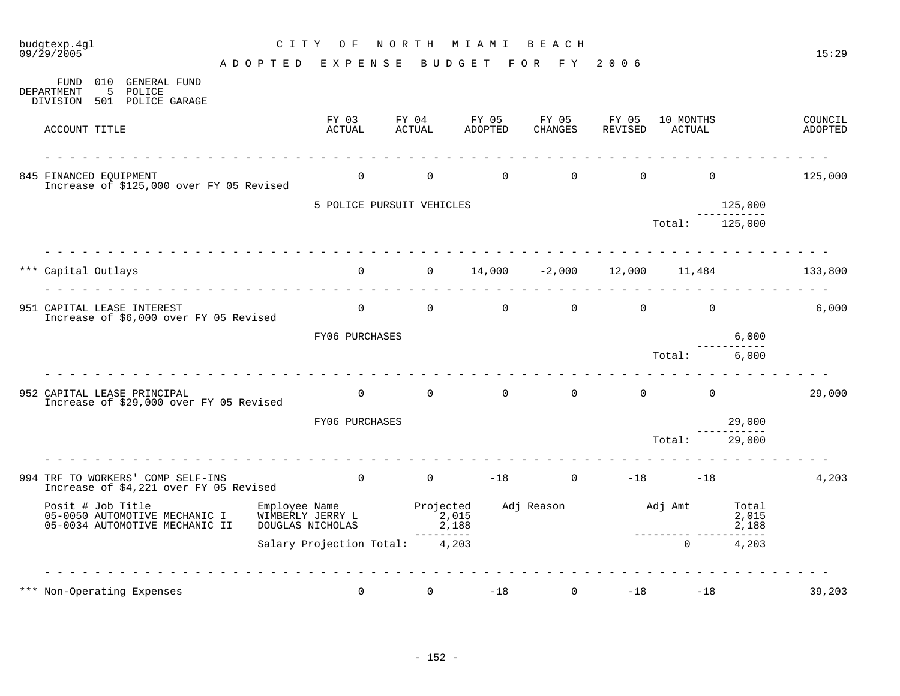|     | budgtexp.4gl<br>09/29/2005                                                                                          | C I T Y<br>O F                                                                                                                                                                                                                                                                                                                                                                                                                                                             | NORTH                     | M I A M I                                 | BEACH               |                                  |                                              |                         | 15:29              |
|-----|---------------------------------------------------------------------------------------------------------------------|----------------------------------------------------------------------------------------------------------------------------------------------------------------------------------------------------------------------------------------------------------------------------------------------------------------------------------------------------------------------------------------------------------------------------------------------------------------------------|---------------------------|-------------------------------------------|---------------------|----------------------------------|----------------------------------------------|-------------------------|--------------------|
|     |                                                                                                                     | ADOPTED EXPENSE                                                                                                                                                                                                                                                                                                                                                                                                                                                            |                           | BUDGET                                    | FOR FY              | 2006                             |                                              |                         |                    |
|     | 010 GENERAL FUND<br>FUND<br>5<br>POLICE<br>DEPARTMENT<br>501 POLICE GARAGE<br>DIVISION                              |                                                                                                                                                                                                                                                                                                                                                                                                                                                                            |                           |                                           |                     |                                  |                                              |                         |                    |
|     | ACCOUNT TITLE                                                                                                       | FY 03<br>ACTUAL                                                                                                                                                                                                                                                                                                                                                                                                                                                            | FY 04<br>ACTUAL           | FY 05<br>ADOPTED                          | FY 05<br>CHANGES    | FY 05<br>REVISED                 | 10 MONTHS<br>ACTUAL                          |                         | COUNCIL<br>ADOPTED |
|     | <u> 1969 - 1969 - 1969 - 1969 - 1969 - 19</u><br>845 FINANCED EOUIPMENT<br>Increase of \$125,000 over FY 05 Revised | $\Omega$                                                                                                                                                                                                                                                                                                                                                                                                                                                                   | $\overline{0}$            | $\Omega$                                  |                     | $\Omega$                         | $\Omega$<br>$\Omega$                         |                         | 125,000            |
|     |                                                                                                                     |                                                                                                                                                                                                                                                                                                                                                                                                                                                                            | 5 POLICE PURSUIT VEHICLES |                                           |                     |                                  |                                              | 125,000                 |                    |
|     |                                                                                                                     |                                                                                                                                                                                                                                                                                                                                                                                                                                                                            |                           |                                           |                     |                                  | Total:                                       | 125,000                 |                    |
|     | *** Capital Outlays                                                                                                 |                                                                                                                                                                                                                                                                                                                                                                                                                                                                            |                           | 0 $0$ 14,000 -2,000 12,000 11,484 133,800 |                     |                                  |                                              |                         |                    |
|     | 951 CAPITAL LEASE INTEREST<br>Increase of \$6,000 over FY 05 Revised                                                | $\overline{0}$                                                                                                                                                                                                                                                                                                                                                                                                                                                             | $\overline{0}$            | $\overline{0}$                            |                     | $\overline{0}$<br>$\overline{0}$ | $\overline{0}$                               |                         | 6,000              |
|     |                                                                                                                     | FY06 PURCHASES                                                                                                                                                                                                                                                                                                                                                                                                                                                             |                           |                                           |                     |                                  |                                              | 6,000                   |                    |
|     |                                                                                                                     | .                                                                                                                                                                                                                                                                                                                                                                                                                                                                          |                           |                                           |                     |                                  | Total:                                       | 6,000                   |                    |
|     | 952 CAPITAL LEASE PRINCIPAL<br>Increase of \$29,000 over FY 05 Revised                                              | $\Omega$                                                                                                                                                                                                                                                                                                                                                                                                                                                                   | $0 \qquad \qquad$         | $\overline{0}$                            |                     | $\overline{0}$                   | $\begin{matrix} 0 & 0 \\ 0 & 0 \end{matrix}$ |                         | 29,000             |
|     |                                                                                                                     | FY06 PURCHASES                                                                                                                                                                                                                                                                                                                                                                                                                                                             |                           |                                           |                     |                                  |                                              | 29,000                  |                    |
|     |                                                                                                                     |                                                                                                                                                                                                                                                                                                                                                                                                                                                                            |                           |                                           |                     |                                  | Total:                                       | 29,000                  |                    |
|     | 994 TRF TO WORKERS' COMP SELF-INS<br>Increase of \$4,221 over FY 05 Revised                                         | $\frac{1}{2} \left( \frac{1}{2} \right) \left( \frac{1}{2} \right) \left( \frac{1}{2} \right) \left( \frac{1}{2} \right) \left( \frac{1}{2} \right) \left( \frac{1}{2} \right) \left( \frac{1}{2} \right) \left( \frac{1}{2} \right) \left( \frac{1}{2} \right) \left( \frac{1}{2} \right) \left( \frac{1}{2} \right) \left( \frac{1}{2} \right) \left( \frac{1}{2} \right) \left( \frac{1}{2} \right) \left( \frac{1}{2} \right) \left( \frac{1}{2} \right) \left( \frac$ |                           | 0 0 $-18$ 0 $-18$ $-18$ $-18$             |                     |                                  |                                              |                         | 4,203              |
|     | Posit # Job Title<br>05-0050 AUTOMOTIVE MECHANIC I<br>05-0034 AUTOMOTIVE MECHANIC II                                | Employee Name<br>WIMBERLY JERRY L<br>DOUGLAS NICHOLAS                                                                                                                                                                                                                                                                                                                                                                                                                      |                           | Projected<br>2,015<br>2,188               | Adj Reason Madj Amt |                                  |                                              | Total<br>2,015<br>2,188 |                    |
|     |                                                                                                                     | Salary Projection Total: 4,203                                                                                                                                                                                                                                                                                                                                                                                                                                             |                           | ---------                                 |                     |                                  | $\overline{0}$                               | $\frac{1}{2}$<br>4,203  |                    |
|     |                                                                                                                     |                                                                                                                                                                                                                                                                                                                                                                                                                                                                            |                           |                                           |                     |                                  |                                              |                         |                    |
| *** | Non-Operating Expenses                                                                                              | $\Omega$                                                                                                                                                                                                                                                                                                                                                                                                                                                                   | $\Omega$                  | $-18$                                     | $\Omega$            | $-18$                            | $-18$                                        |                         | 39,203             |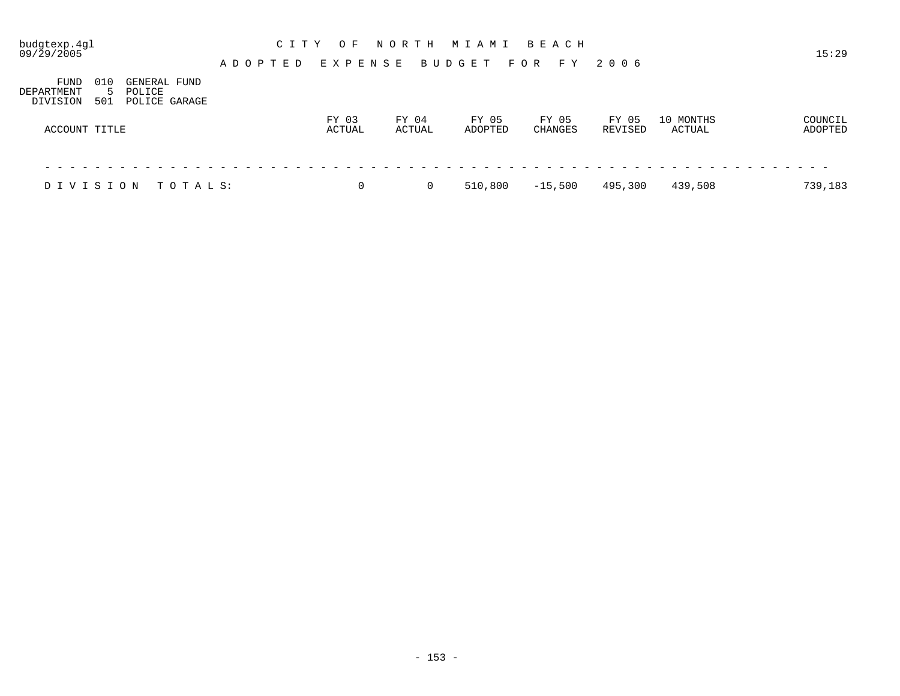| budgtexp.4gl<br>09/29/2005     |                             |                                         | NORTH<br>C I T Y<br>MIAMI<br>B E A C H<br>O F<br>15:29<br>EXPENSE<br>BUDGET<br>F O R<br>2006<br>A D O P T E D<br>F Y |  |  |  |  |                 |   |  |                 |   |  |                  |  |                         |  |         |       |                     |                    |
|--------------------------------|-----------------------------|-----------------------------------------|----------------------------------------------------------------------------------------------------------------------|--|--|--|--|-----------------|---|--|-----------------|---|--|------------------|--|-------------------------|--|---------|-------|---------------------|--------------------|
|                                |                             |                                         |                                                                                                                      |  |  |  |  |                 |   |  |                 |   |  |                  |  |                         |  |         |       |                     |                    |
| FUND<br>DEPARTMENT<br>DIVISION | 010<br>$\mathcal{D}$<br>501 | GENERAL FUND<br>POLICE<br>POLICE GARAGE |                                                                                                                      |  |  |  |  |                 |   |  |                 |   |  |                  |  |                         |  |         |       |                     |                    |
| ACCOUNT TITLE                  |                             |                                         |                                                                                                                      |  |  |  |  | FY 03<br>ACTUAL |   |  | FY 04<br>ACTUAL |   |  | FY 05<br>ADOPTED |  | FY 05<br><b>CHANGES</b> |  | REVISED | FY 05 | 10 MONTHS<br>ACTUAL | COUNCIL<br>ADOPTED |
|                                |                             |                                         |                                                                                                                      |  |  |  |  |                 |   |  |                 |   |  |                  |  |                         |  |         |       |                     |                    |
| DIVISION                       |                             |                                         | TOTALS:                                                                                                              |  |  |  |  |                 | 0 |  |                 | 0 |  | 510,800          |  | $-15,500$               |  | 495,300 |       | 439,508             | 739,183            |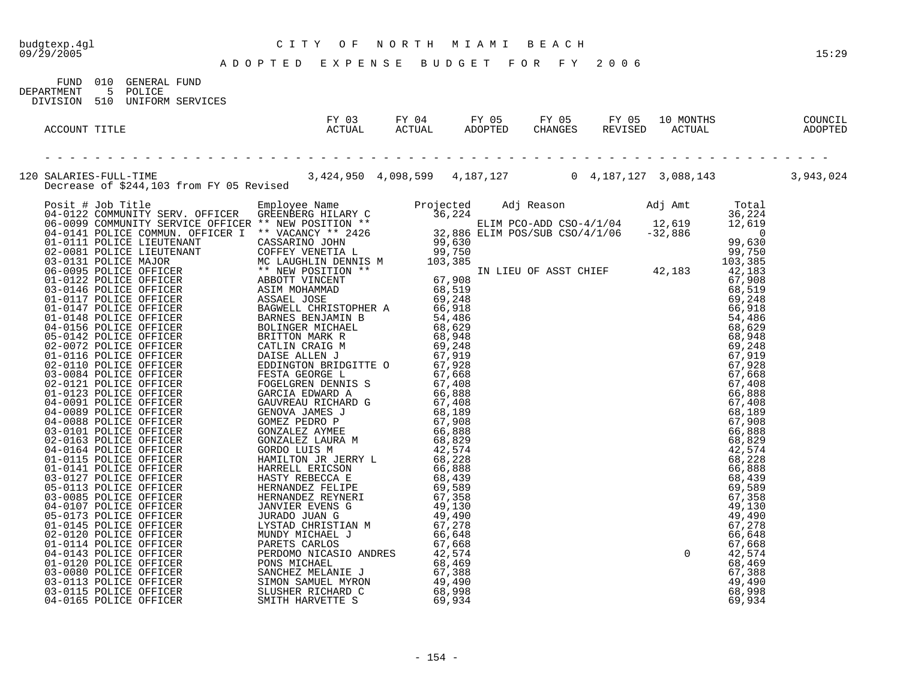|                                                                                                                                                                                 |  | 15:29 |
|---------------------------------------------------------------------------------------------------------------------------------------------------------------------------------|--|-------|
|                                                                                                                                                                                 |  |       |
| FUND 010 GENERAL FUND<br>5 POLICE<br>DEPARTMENT                                                                                                                                 |  |       |
| DIVISION 510 UNIFORM SERVICES                                                                                                                                                   |  |       |
| RESPONDENT TITLE ACTUAL ACTUAL ANDERED CHANGES REVISED ACTUAL ADOPTED<br>ACCOUNT TITLE ACTUAL ACTUAL ACTUAL ADOPTED CHANGES REVISED ACTUAL ADOPTED                              |  |       |
|                                                                                                                                                                                 |  |       |
| 120 SALARIES-FULL-TIME<br>Decrease of \$244,103 from FY 05 Revised<br>Decrease of \$244,103 from FY 05 Revised<br>3,424,950 4,098,599 4,187,127 0 4,187,127 3,088,143 3,943,024 |  |       |
|                                                                                                                                                                                 |  |       |
|                                                                                                                                                                                 |  |       |
|                                                                                                                                                                                 |  |       |
|                                                                                                                                                                                 |  |       |
|                                                                                                                                                                                 |  |       |
|                                                                                                                                                                                 |  |       |
|                                                                                                                                                                                 |  |       |
|                                                                                                                                                                                 |  |       |
|                                                                                                                                                                                 |  |       |
|                                                                                                                                                                                 |  |       |
|                                                                                                                                                                                 |  |       |
|                                                                                                                                                                                 |  |       |
|                                                                                                                                                                                 |  |       |
|                                                                                                                                                                                 |  |       |
|                                                                                                                                                                                 |  |       |
|                                                                                                                                                                                 |  |       |
|                                                                                                                                                                                 |  |       |
|                                                                                                                                                                                 |  |       |
|                                                                                                                                                                                 |  |       |
|                                                                                                                                                                                 |  |       |
|                                                                                                                                                                                 |  |       |
|                                                                                                                                                                                 |  |       |
|                                                                                                                                                                                 |  |       |
|                                                                                                                                                                                 |  |       |
|                                                                                                                                                                                 |  |       |
|                                                                                                                                                                                 |  |       |
|                                                                                                                                                                                 |  |       |
|                                                                                                                                                                                 |  |       |
|                                                                                                                                                                                 |  |       |
|                                                                                                                                                                                 |  |       |
|                                                                                                                                                                                 |  |       |
|                                                                                                                                                                                 |  |       |
|                                                                                                                                                                                 |  |       |
|                                                                                                                                                                                 |  |       |
|                                                                                                                                                                                 |  |       |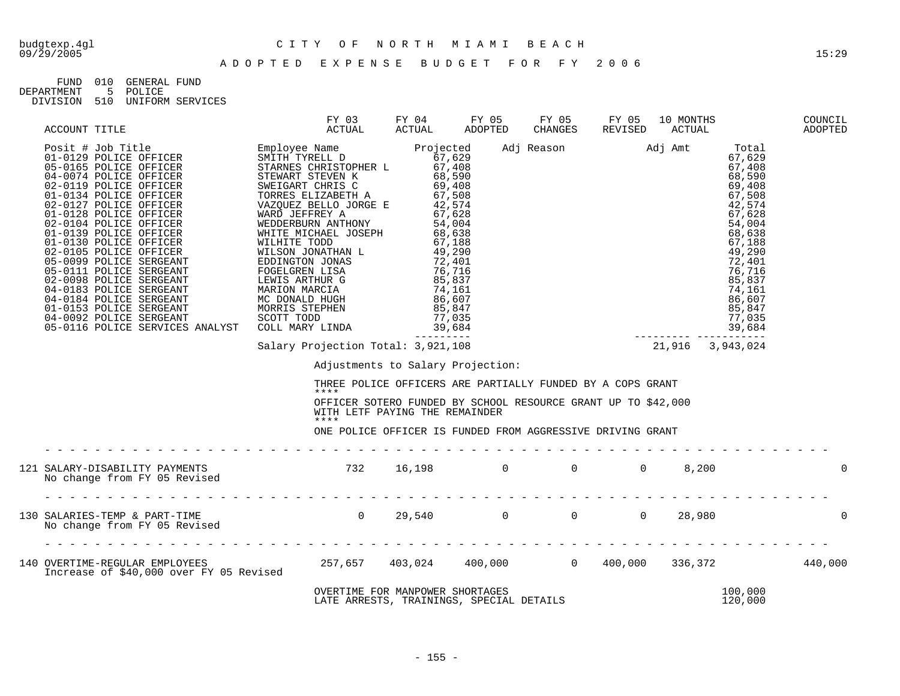| FIJND.     | 01 Q | GENERAL FUND |                  |
|------------|------|--------------|------------------|
| DEPARTMENT |      | 5 POLICE     |                  |
| DIVISION   | 510  |              | UNIFORM SERVICES |

| ACCOUNT TITLE                                                                                                                                                                                                                                                                                                                                                                                                                                                            | FY 03 FY 04 FY 05 FY 05 FY 05 10 MONTHS<br>ACTUAL ACTUAL ADOPTED CHANGES REVISED ACTUAL |                                |                                   |                                                                             |  |                    | COUNCIL<br>ADOPTED |
|--------------------------------------------------------------------------------------------------------------------------------------------------------------------------------------------------------------------------------------------------------------------------------------------------------------------------------------------------------------------------------------------------------------------------------------------------------------------------|-----------------------------------------------------------------------------------------|--------------------------------|-----------------------------------|-----------------------------------------------------------------------------|--|--------------------|--------------------|
| $\begin{tabular}{l c c c c} \multicolumn{1}{c}{\textbf{ACCOUNT}} & \multicolumn{1}{c}{\textbf{ACTUAL}} & \multicolumn{1}{c}{\textbf{ACTUAL}} & \multicolumn{1}{c}{\textbf{ACTUAL}} & \multicolumn{1}{c}{\textbf{ACTUAL}} & \multicolumn{1}{c}{\textbf{ADPTED}} & \multicolumn{1}{c}{\textbf{CHINRED}} & \multicolumn{1}{c}{\textbf{ACTUAL}} & \multicolumn{1}{c}{\textbf{ADPTED}} & \multicolumn{1}{c}{\textbf{CHINRED}} & \multicolumn{1}{c}{\textbf{ADTAL}} & \multic$ |                                                                                         |                                |                                   |                                                                             |  |                    |                    |
|                                                                                                                                                                                                                                                                                                                                                                                                                                                                          |                                                                                         |                                |                                   |                                                                             |  |                    |                    |
|                                                                                                                                                                                                                                                                                                                                                                                                                                                                          |                                                                                         |                                | Adjustments to Salary Projection: | THREE POLICE OFFICERS ARE PARTIALLY FUNDED BY A COPS GRANT                  |  |                    |                    |
|                                                                                                                                                                                                                                                                                                                                                                                                                                                                          | ****<br>****                                                                            | WITH LETF PAYING THE REMAINDER |                                   | OFFICER SOTERO FUNDED BY SCHOOL RESOURCE GRANT UP TO \$42,000               |  |                    |                    |
|                                                                                                                                                                                                                                                                                                                                                                                                                                                                          |                                                                                         |                                |                                   | ONE POLICE OFFICER IS FUNDED FROM AGGRESSIVE DRIVING GRANT                  |  |                    |                    |
|                                                                                                                                                                                                                                                                                                                                                                                                                                                                          |                                                                                         |                                |                                   |                                                                             |  |                    | $\Omega$           |
|                                                                                                                                                                                                                                                                                                                                                                                                                                                                          |                                                                                         |                                |                                   |                                                                             |  |                    | $\overline{0}$     |
|                                                                                                                                                                                                                                                                                                                                                                                                                                                                          |                                                                                         |                                |                                   |                                                                             |  |                    |                    |
|                                                                                                                                                                                                                                                                                                                                                                                                                                                                          |                                                                                         |                                |                                   | OVERTIME FOR MANPOWER SHORTAGES<br>LATE ARRESTS, TRAININGS, SPECIAL DETAILS |  | 100,000<br>120,000 |                    |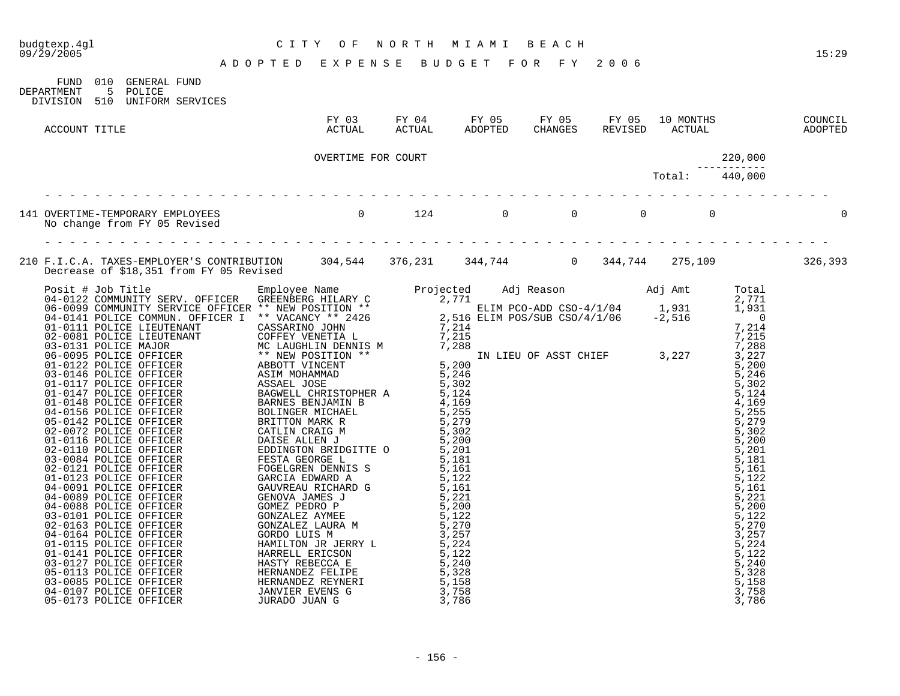## budgtexp.4gl C I T Y O F N O R T H M I A M I B E A C H

| DEPARTMENT    | 5 POLICE | FUND 010 GENERAL FUND<br>DIVISION 510 UNIFORM SERVICES |                                                                                                         |  |  |  |  |
|---------------|----------|--------------------------------------------------------|---------------------------------------------------------------------------------------------------------|--|--|--|--|
| ACCOUNT TITLE |          |                                                        | FY 03 FY 04 FY 05 FY 05 FY 05 10 MONTHS COUNCIL<br>ACTUAL ACTUAL ADOPTED CHANGES REVISED ACTUAL ADOPTED |  |  |  |  |
|               |          |                                                        | OVERTIME FOR COURT                                                                                      |  |  |  |  |
|               |          |                                                        |                                                                                                         |  |  |  |  |
|               |          |                                                        |                                                                                                         |  |  |  |  |
|               |          |                                                        |                                                                                                         |  |  |  |  |
|               |          |                                                        |                                                                                                         |  |  |  |  |

04-0107 POLICE OFFICER JANVIER EVENS G 3,758 3,758 05-0173 POLICE OFFICER JURADO JUAN G 3,786 3,786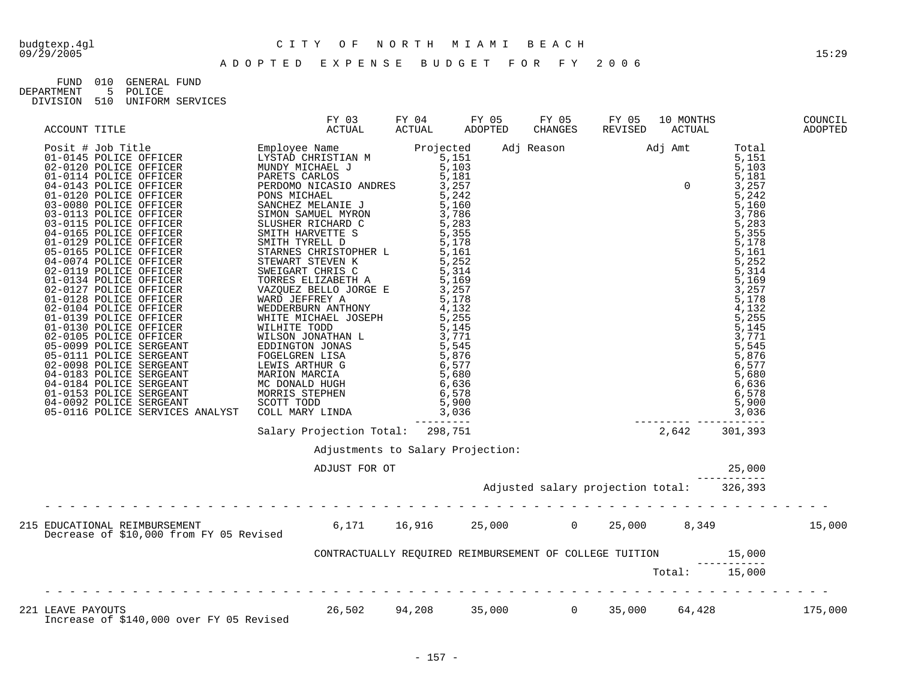# budgtexp.4gl C I T Y O F N O R T H M I A M I B E A C H

| FIJND.     | 01 Q | GENERAL FUND |                  |
|------------|------|--------------|------------------|
| DEPARTMENT |      | 5 POLICE     |                  |
| DIVISION   | 510  |              | UNIFORM SERVICES |

|                                                                                                                                                                                                                                                                       |               |                                   |  |  | COUNCIL<br>ADOPTED |
|-----------------------------------------------------------------------------------------------------------------------------------------------------------------------------------------------------------------------------------------------------------------------|---------------|-----------------------------------|--|--|--------------------|
| ACCOUNT TITLE FROM HERIDAM MATUAL FROM AND THE SECOND CERAMONS REVISED AND MOTHER (1) $\frac{1}{2}$ and $\frac{1}{2}$ and $\frac{1}{2}$ and $\frac{1}{2}$ and $\frac{1}{2}$ and $\frac{1}{2}$ and $\frac{1}{2}$ and $\frac{1}{2}$ and $\frac{1}{2}$ and $\frac{1}{2}$ |               |                                   |  |  |                    |
|                                                                                                                                                                                                                                                                       |               |                                   |  |  |                    |
|                                                                                                                                                                                                                                                                       |               | Adjustments to Salary Projection: |  |  |                    |
|                                                                                                                                                                                                                                                                       | ADJUST FOR OT |                                   |  |  |                    |
|                                                                                                                                                                                                                                                                       |               |                                   |  |  |                    |
| 215 EDUCATIONAL REIMBURSEMENT<br>Decrease of \$10,000 from FY 05 Revised      6,171   16,916    25,000      0   25,000    8,349         15,000                                                                                                                        |               |                                   |  |  |                    |
|                                                                                                                                                                                                                                                                       |               |                                   |  |  |                    |
|                                                                                                                                                                                                                                                                       |               |                                   |  |  |                    |
| 221 LEAVE PAYOUTS<br>175,000 175,000 26,502 94,208 35,000 0 35,000 64,428 175,000                                                                                                                                                                                     |               |                                   |  |  |                    |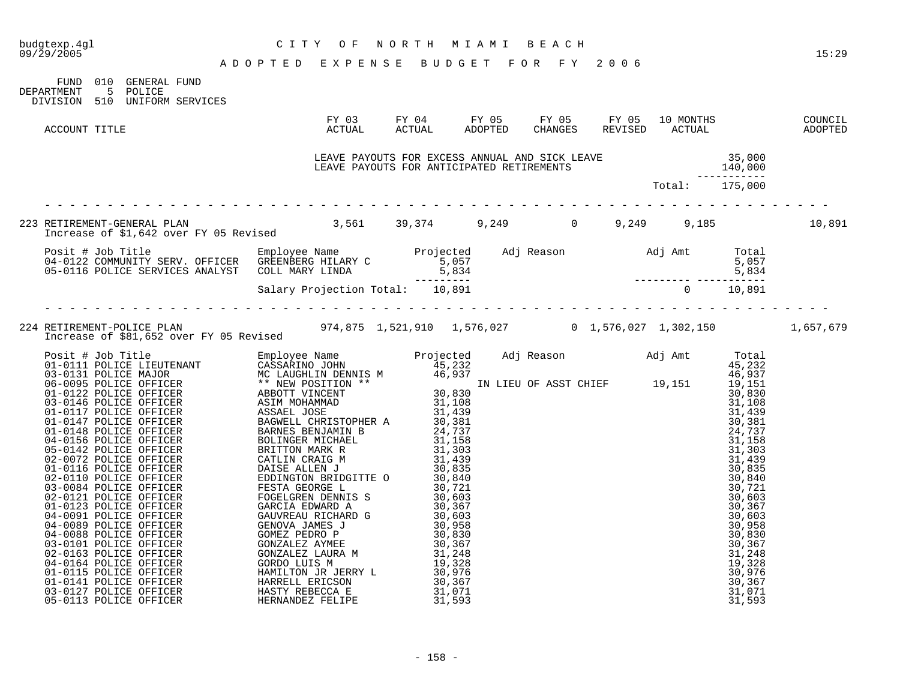| budgtexp.4gl<br>09/29/2005                                                                                                  | CITY OF NORTH MIAMI BEACH<br>ADOPTED EXPENSE BUDGET FOR FY 2006                                                                                                                                                                      |  | 15:29 |
|-----------------------------------------------------------------------------------------------------------------------------|--------------------------------------------------------------------------------------------------------------------------------------------------------------------------------------------------------------------------------------|--|-------|
| FUND 010 GENERAL FUND<br>DEPARTMENT 5 POLICE<br>DIVISION 510 UNIFORM SERVICES                                               |                                                                                                                                                                                                                                      |  |       |
| ACCOUNT TITLE                                                                                                               |                                                                                                                                                                                                                                      |  |       |
|                                                                                                                             | LEAVE PAYOUTS FOR EXCESS ANNUAL AND SICK LEAVE (15,000 140,000<br>LEAVE PAYOUTS FOR ANTICIPATED RETIREMENTS (140,000 140,000 15,000 15,000 15)                                                                                       |  |       |
|                                                                                                                             |                                                                                                                                                                                                                                      |  |       |
| 223 RETIREMENT-GENERAL PLAN 10,891<br>Increase of \$1,642 over FY 05 Revised 39,561 39,374 9,249 0 9,249 9,249 9,185 10,891 |                                                                                                                                                                                                                                      |  |       |
|                                                                                                                             | Posit # Job Title Employee Name Projected Adj Reason Adj Amt Total<br>04-0122 COMMUNITY SERV. OFFICER GREENBERG HILARY C 5,057 5,057 5,057<br>05-0116 POLICE SERVICES ANALYST COLL MARY LINDA 5,834 5,834 5,834<br>Salary Projection |  |       |
|                                                                                                                             |                                                                                                                                                                                                                                      |  |       |
| 974,875 1,521,910 1,576,027 0 1,576,027 1,302,150 1,657,679 Increase of \$81,652 over FY 05 Revised                         |                                                                                                                                                                                                                                      |  |       |
|                                                                                                                             |                                                                                                                                                                                                                                      |  |       |
|                                                                                                                             |                                                                                                                                                                                                                                      |  |       |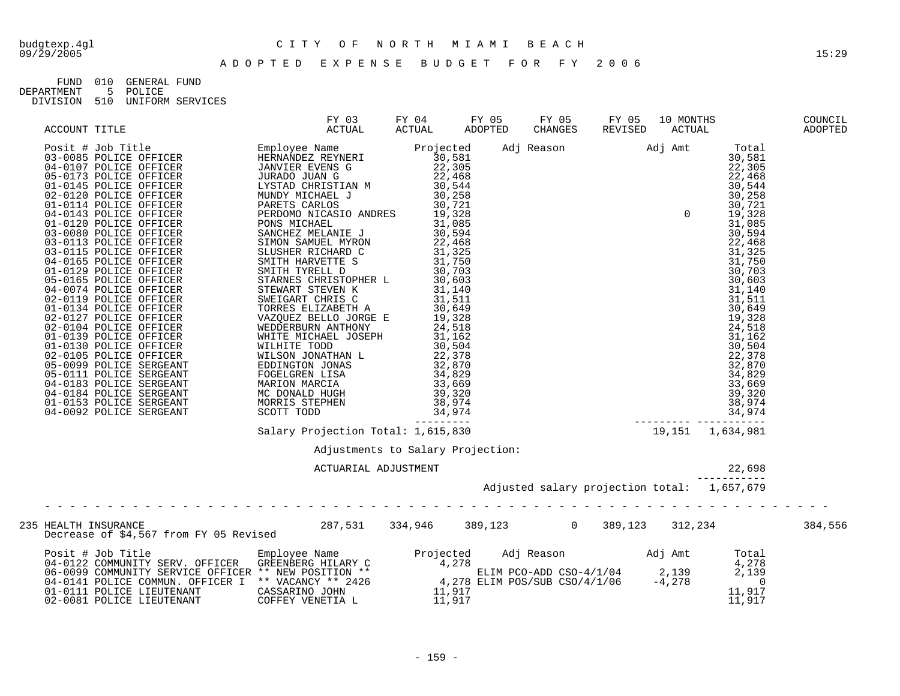| FIJND.     | 010 | GENERAL FIJND |                      |
|------------|-----|---------------|----------------------|
| DEPARTMENT |     | 5 POLICE      |                      |
| DIVISION   |     |               | 510 UNIFORM SERVICES |

|                                                                                                                                                                                                                                        |  |                                                   |        | COUNCIL<br>ADOPTED |
|----------------------------------------------------------------------------------------------------------------------------------------------------------------------------------------------------------------------------------------|--|---------------------------------------------------|--------|--------------------|
|                                                                                                                                                                                                                                        |  |                                                   |        |                    |
|                                                                                                                                                                                                                                        |  |                                                   |        |                    |
|                                                                                                                                                                                                                                        |  |                                                   |        |                    |
|                                                                                                                                                                                                                                        |  | Adjustments to Salary Projection:<br>$\mathbf{r}$ |        |                    |
|                                                                                                                                                                                                                                        |  |                                                   | 22,698 |                    |
| HEALTH INSURANCE<br>Decrease of \$4,567 from FY 05 Revised 287,531 334,946 389,123 0 389,123 312,234 312,234 384,556<br>235 HEALTH INSURANCE                                                                                           |  |                                                   |        |                    |
| Posit # Job Title<br>04-0122 COMMUNITY SERV. OFFICER GREENBERG HILARY C<br>06-0099 COMMUNITY SERVICE OFFICER ** NEW POSITION **<br>06-0199 COMMUNITY SERVICE OFFICER ** NEW POSITION **<br>04-0111 POLICE COMMUN. OFFICER I ** VACANCY |  |                                                   |        |                    |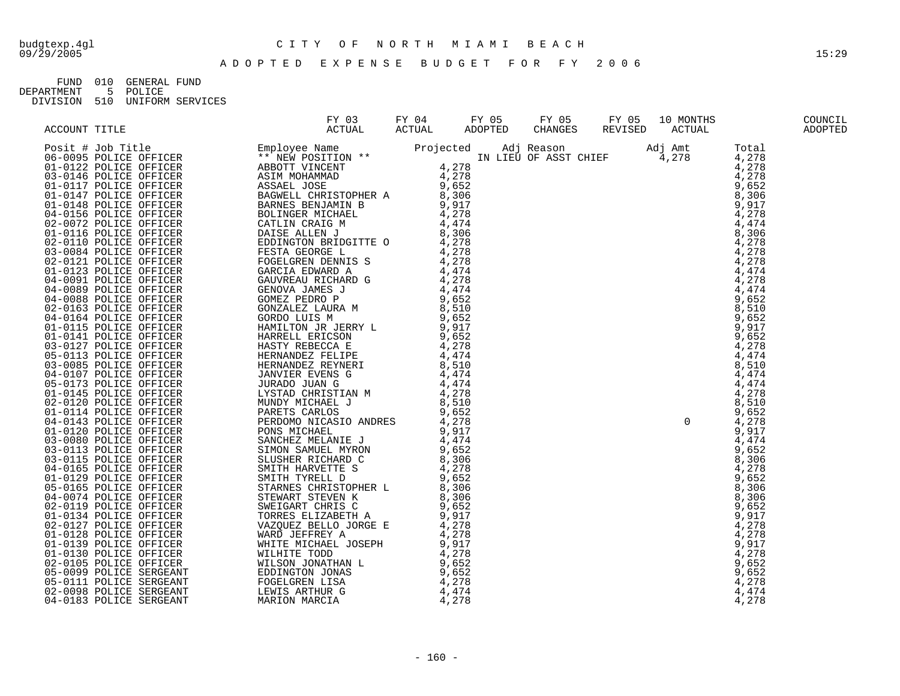## budgtexp.4gl C I T Y O F N O R T H M I A M I B E A C H

FUND 010 GENERAL FUND<br>DEPARTMENT 5 POLICE 5 POLICE

DIVISION 510 UNIFORM SERVICES

| Account risk (1970)<br>$\frac{1}{2}$ and $\frac{1}{2}$ and $\frac{1}{2}$ and $\frac{1}{2}$ and $\frac{1}{2}$ and $\frac{1}{2}$ and $\frac{1}{2}$ and $\frac{1}{2}$ and $\frac{1}{2}$ and $\frac{1}{2}$ and $\frac{1}{2}$ and $\frac{1}{2}$ and $\frac{1}{2}$ and $\frac{1}{2}$ and $\frac{$ |  |  |  |
|---------------------------------------------------------------------------------------------------------------------------------------------------------------------------------------------------------------------------------------------------------------------------------------------|--|--|--|
|                                                                                                                                                                                                                                                                                             |  |  |  |
|                                                                                                                                                                                                                                                                                             |  |  |  |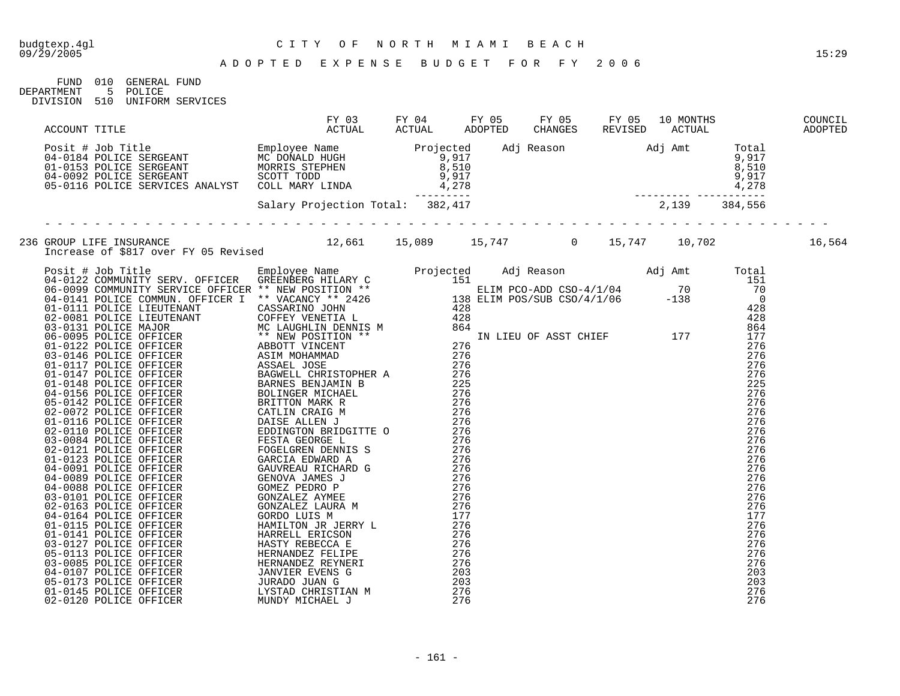FUND 010 GENERAL FUND<br>DEPARTMENT 5 POLICE 5 POLICE DIVISION 510 UNIFORM SERVICES

| $\begin{smallmatrix} 1.0111 & 1.141 & 1.141 & 1.141 & 1.141 & 1.141 & 1.141 & 1.141 & 1.141 & 1.141 & 1.141 & 1.141 & 1.141 & 1.141 & 1.141 & 1.141 & 1.141 & 1.141 & 1.141 & 1.141 & 1.141 & 1.141 & 1.141 & 1.141 & 1.141 & 1.141 & 1.141 & 1.141 & 1.141 & 1.141 & 1.$ |  |  |  |  |  |  |
|---------------------------------------------------------------------------------------------------------------------------------------------------------------------------------------------------------------------------------------------------------------------------|--|--|--|--|--|--|
|                                                                                                                                                                                                                                                                           |  |  |  |  |  |  |
|                                                                                                                                                                                                                                                                           |  |  |  |  |  |  |
|                                                                                                                                                                                                                                                                           |  |  |  |  |  |  |
|                                                                                                                                                                                                                                                                           |  |  |  |  |  |  |
|                                                                                                                                                                                                                                                                           |  |  |  |  |  |  |
|                                                                                                                                                                                                                                                                           |  |  |  |  |  |  |
|                                                                                                                                                                                                                                                                           |  |  |  |  |  |  |
|                                                                                                                                                                                                                                                                           |  |  |  |  |  |  |
|                                                                                                                                                                                                                                                                           |  |  |  |  |  |  |
|                                                                                                                                                                                                                                                                           |  |  |  |  |  |  |
|                                                                                                                                                                                                                                                                           |  |  |  |  |  |  |
|                                                                                                                                                                                                                                                                           |  |  |  |  |  |  |
|                                                                                                                                                                                                                                                                           |  |  |  |  |  |  |
|                                                                                                                                                                                                                                                                           |  |  |  |  |  |  |
|                                                                                                                                                                                                                                                                           |  |  |  |  |  |  |
|                                                                                                                                                                                                                                                                           |  |  |  |  |  |  |
|                                                                                                                                                                                                                                                                           |  |  |  |  |  |  |
|                                                                                                                                                                                                                                                                           |  |  |  |  |  |  |
|                                                                                                                                                                                                                                                                           |  |  |  |  |  |  |
|                                                                                                                                                                                                                                                                           |  |  |  |  |  |  |
|                                                                                                                                                                                                                                                                           |  |  |  |  |  |  |
|                                                                                                                                                                                                                                                                           |  |  |  |  |  |  |
|                                                                                                                                                                                                                                                                           |  |  |  |  |  |  |
|                                                                                                                                                                                                                                                                           |  |  |  |  |  |  |
|                                                                                                                                                                                                                                                                           |  |  |  |  |  |  |
|                                                                                                                                                                                                                                                                           |  |  |  |  |  |  |
|                                                                                                                                                                                                                                                                           |  |  |  |  |  |  |
|                                                                                                                                                                                                                                                                           |  |  |  |  |  |  |
|                                                                                                                                                                                                                                                                           |  |  |  |  |  |  |
|                                                                                                                                                                                                                                                                           |  |  |  |  |  |  |
|                                                                                                                                                                                                                                                                           |  |  |  |  |  |  |
|                                                                                                                                                                                                                                                                           |  |  |  |  |  |  |
|                                                                                                                                                                                                                                                                           |  |  |  |  |  |  |
|                                                                                                                                                                                                                                                                           |  |  |  |  |  |  |
|                                                                                                                                                                                                                                                                           |  |  |  |  |  |  |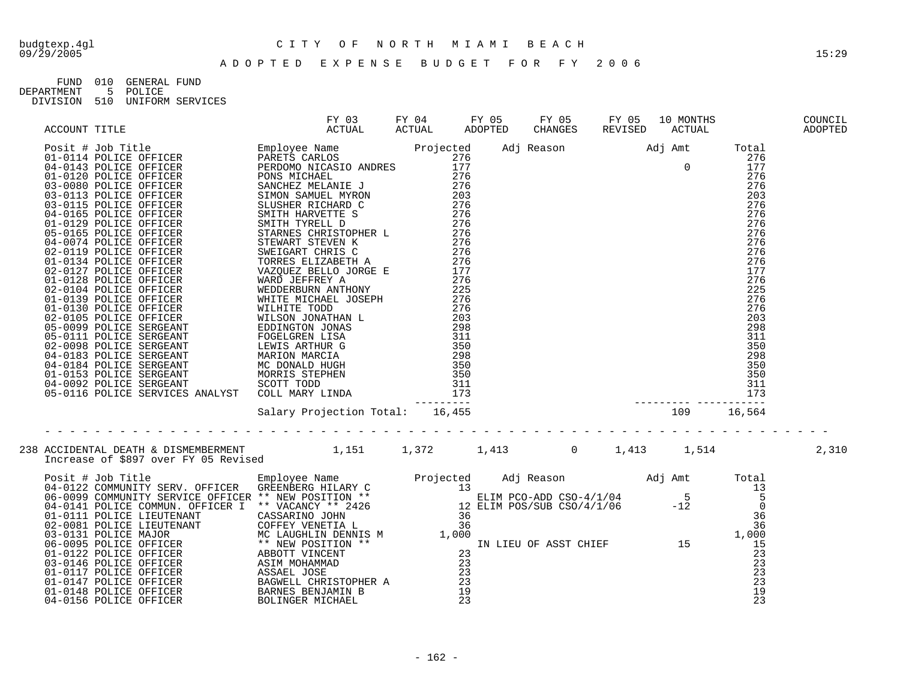| FIJND      | 01 Q | GENERAL FIJND |                  |
|------------|------|---------------|------------------|
| DEPARTMENT |      | 5 POLICE      |                  |
| DIVISION   | 510  |               | UNIFORM SERVICES |

|  | 238 ACCIDENTAL DEATH & DISMEMBERMENT 1,151 1,372 1,413 0 1,413 1,514 2,310<br>Increase of \$897 over FY 05 Revised 1,151 1,372 1,413 0 1,413 1,514                                                                                 |  |  |  |  |
|--|------------------------------------------------------------------------------------------------------------------------------------------------------------------------------------------------------------------------------------|--|--|--|--|
|  | 11Criesse OL 3097 OVER FRI US REVISER (PD) COMMUNITY SERV. OFFICER (REENBERG HILARY C and the SELIM PCO-ADD CSO-4/1/04 5 5<br>04-0123 COMMUNITY SERV. OFFICER (REENBERG HILARY C 13<br>04-0141 POLICE COMMUNITY SERVICE OFFICER ** |  |  |  |  |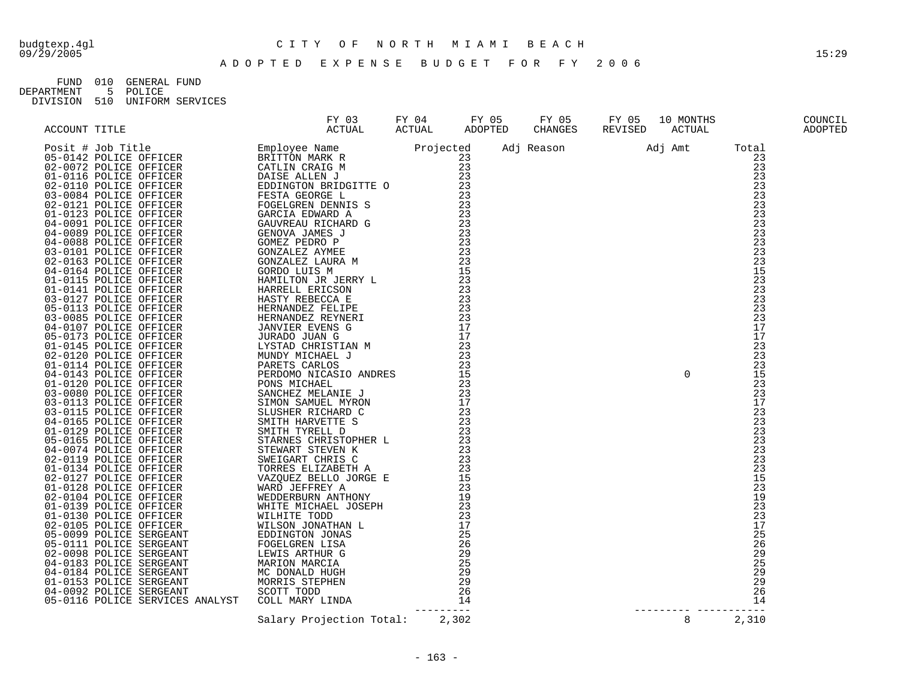## budgtexp.4gl C I T Y O F N O R T H M I A M I B E A C H

A D O P T E D E X P E N S E B U D G E T F O R F Y 2 0 0 6

FUND 010 GENERAL FUND<br>DEPARTMENT 5 POLICE 5 POLICE DIVISION 510 UNIFORM SERVICES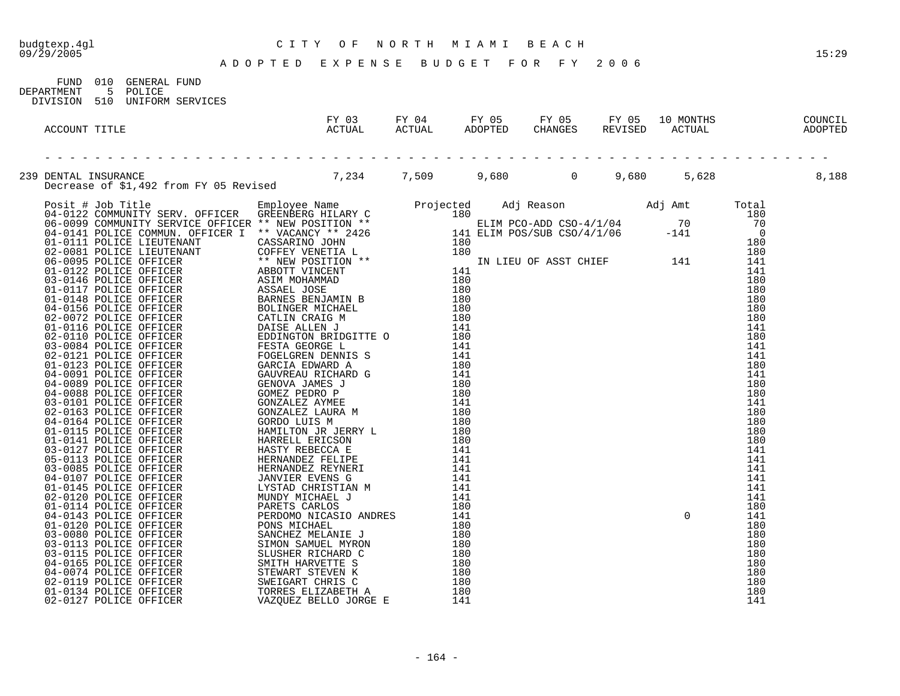#### budgtexp.4gl C I T Y O F N O R T H M I A M I B E A C H

A D O P T E D E X P E N S E B U D G E T F O R F Y 2 0 0 6

FUND 010 GENERAL FUND DEPARTMENT 5 POLICE DIVISION 510 UNIFORM SERVICES FY 03 FY 04 FY 05 FY 05 FY 05 10 MONTHS COUNCIL ACCOUNT TITLE ACTUAL ACTUAL ADOPTED CHANGES REVISED ACTUAL ADOPTED - - - - - - - - - - - - - - - - - - - - - - - - - - - - - - - - - - - - - - - - - - - - - - - - - - - - - - - - - - - - - - - 239 DENTAL INSURANCE<br>Decrease of \$1,492 from FY 05 Revised 7,234 7,509 9,680 0 9,680 5,628 5,628 8,188 Decrease of \$1,492 from FY 05 Revised Posit # Job Title Employee Name Projected Adj Reason Adj Amt Total 04-0122 COMMUNITY SERV. OFFICER GREENBERG HILARY C 180 180 180 180 180 06-0099 COMMUNITY SERVICE OFFICER \*\* NEW POSITION \*\* THE RELIM PCO-ADD CSO-4/1/04 70 70 70 04-0141 POLICE COMMUN. OFFICER I \*\* VACANCY \*\* 2426 141 ELIM POS/SUB CSO/4/1/06 -141 0 01-0111 POLICE LIEUTENANT CASSARINO JOHN 180 180 02-0081 POLICE LIEUTENANT COFFEY VENETIA L 180 180 06-0095 POLICE OFFICER \*\* NEW POSITION \*\* IN LIEU OF ASST CHIEF 141 141 01-0122 POLICE OFFICER ABBOTT VINCENT 141 141 03-0146 POLICE OFFICER ASIM MOHAMMAD 180 180 01-0117 POLICE OFFICER ASSAEL JOSE 180 180 01-0148 POLICE OFFICER BARNES BENJAMIN B 180 180 04-0156 POLICE OFFICER BOLINGER MICHAEL 180 180 02-0072 POLICE OFFICER CATLIN CRAIG M 180 180 180 180 01-0116 POLICE OFFICER DAISE ALLEN J 141 141 02-0110 POLICE OFFICER THE EDDINGTON BRIDGITTE O 180 180 180 180 03-0084 POLICE OFFICER FESTA GEORGE L 141 141 2000 141 141 02-0121 POLICE OFFICER FOGELGREN DENNIS S 141 141 01-0123 POLICE OFFICER GARCIA EDWARD A 180 180 04-0091 POLICE OFFICER GAUVREAU RICHARD G 141 141 04-0089 POLICE OFFICER GENOVA JAMES J 180 180 04-0088 POLICE OFFICER GOMEZ PEDRO P 180 180 03-0101 POLICE OFFICER GONZALEZ AYMEE 141 141 02-0163 POLICE OFFICER GONZALEZ LAURA M 180 180 04-0164 POLICE OFFICER GORDO LUIS M 180 180 01-0115 POLICE OFFICER HAMILTON JR JERRY L 180 180 01-0141 POLICE OFFICER HARRELL ERICSON 180 180 03-0127 POLICE OFFICER HASTY REBECCA E 141 141 05-0113 POLICE OFFICER HERNANDEZ FELIPE 141 141 03-0085 POLICE OFFICER HERNANDEZ REYNERI 141 141 04-0107 POLICE OFFICER JANVIER EVENS G 141 141 01-0145 POLICE OFFICER LYSTAD CHRISTIAN M 141 141 02-0120 POLICE OFFICER MUNDY MICHAEL J 141 141 2001 141 01-0114 POLICE OFFICER PARETS CARLOS 180 180 04-0143 POLICE OFFICER PERDOMO NICASIO ANDRES 141 0 141 01-0120 POLICE OFFICER PONS MICHAEL 180 180 03-0080 POLICE OFFICER SANCHEZ MELANIE J 180 180 03-0113 POLICE OFFICER SIMON SAMUEL MYRON 180 180 180 180 180 03-0115 POLICE OFFICER SLUSHER RICHARD C 180 180 04-0165 POLICE OFFICER SMITH HARVETTE S 180 180 180 04-0074 POLICE OFFICER STEWART STEVEN K 180 180 02-0119 POLICE OFFICER SWEIGART CHRIS C 180 180 180 180 01-0134 POLICE OFFICER TORRES ELIZABETH A 180 180 02-0127 POLICE OFFICER VAZQUEZ BELLO JORGE E 141 141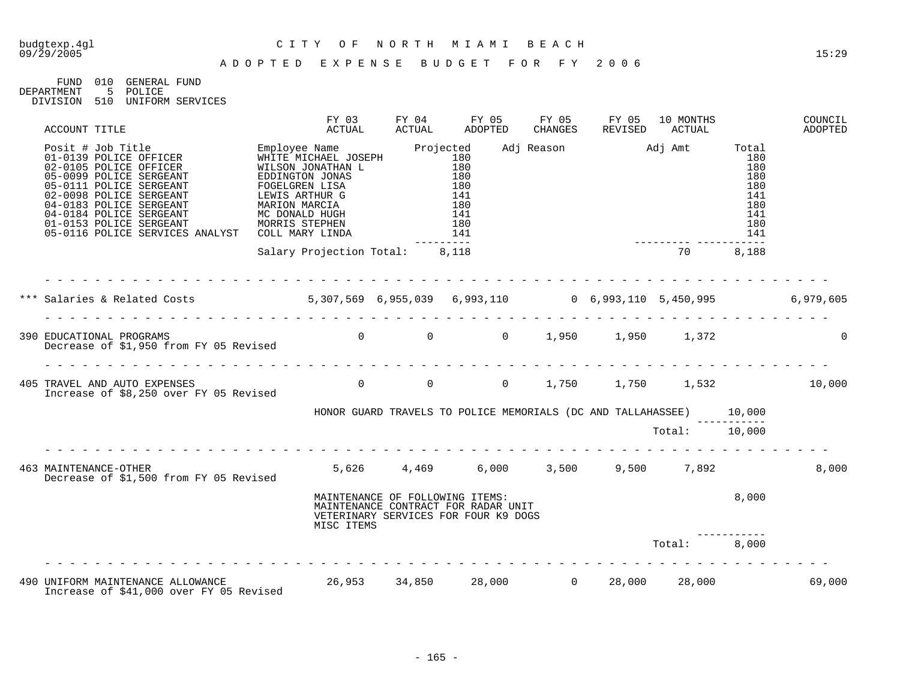FUND 010 GENERAL FUND<br>DEPARTMENT 5 POLICE 5 POLICE DIVISION 510 UNIFORM SERVICES

| ACCOUNT TITLE                                                                                                                                                                                                                                                                                                                                                                                         | FY 03<br>ACTUAL                                                                                                              | FY 04<br>ACTUAL | FY 05<br>ADOPTED                                                                                     | FY 05<br>CHANGES | FY 05<br>REVISED                                                            | 10 MONTHS<br>ACTUAL |                                                                                       | COUNCIL<br>ADOPTED |
|-------------------------------------------------------------------------------------------------------------------------------------------------------------------------------------------------------------------------------------------------------------------------------------------------------------------------------------------------------------------------------------------------------|------------------------------------------------------------------------------------------------------------------------------|-----------------|------------------------------------------------------------------------------------------------------|------------------|-----------------------------------------------------------------------------|---------------------|---------------------------------------------------------------------------------------|--------------------|
| Posit # Job Title Employee Name Projected<br>01-0139 POLICE OFFICER WHITE MICHAEL JOSEPH 180<br>02-0105 POLICE OFFICER WILSON JONATHAN L 180<br>05-0099 POLICE SERGEANT EDDINGTON JONAS 180<br>05-0111 POLICE SERGEANT FORELOGELY PROT<br>02-0098 POLICE SERGEANT<br>04-0183 POLICE SERGEANT<br>04-0184 POLICE SERGEANT<br>01-0153 POLICE SERGEANT<br>05-0116 POLICE SERVICES ANALYST COLL MARY LINDA | <b>LEWIS ARTHUR G<br/>MARION MARCIA<br/>MC DONALD HUGH<br/>MORRIS STEPHEN<br/>COLL MARV JIVELE</b>                           |                 | $\begin{array}{c} 180 \\ 141 \end{array}$<br>$\begin{array}{c} 180 \\ 141 \end{array}$<br>180<br>141 |                  | Adj Reason Madj Amt                                                         |                     | Total<br>180<br>180<br>180<br>180<br>141<br>180<br>141<br>180<br>141<br>$\frac{1}{2}$ |                    |
|                                                                                                                                                                                                                                                                                                                                                                                                       | Salary Projection Total: 8,118                                                                                               |                 |                                                                                                      |                  |                                                                             | 70                  | 8,188                                                                                 |                    |
| *** Salaries & Related Costs 6, 307, 569 6, 955, 039 6, 993, 110 6, 993, 110 5, 450, 995 6, 979, 605                                                                                                                                                                                                                                                                                                  |                                                                                                                              |                 |                                                                                                      |                  |                                                                             |                     |                                                                                       |                    |
| 390 EDUCATIONAL PROGRAMS<br>Decrease of \$1,950 from FY 05 Revised                                                                                                                                                                                                                                                                                                                                    |                                                                                                                              |                 |                                                                                                      |                  | $0 \qquad \qquad 0 \qquad \qquad 0 \qquad \qquad 1,950 \qquad \qquad 1,950$ | 1,372               |                                                                                       | $\Omega$           |
| 405 TRAVEL AND AUTO EXPENSES<br>Increase of \$8,250 over FY 05 Revised                                                                                                                                                                                                                                                                                                                                |                                                                                                                              |                 |                                                                                                      |                  | 0 0 0 1,750 1,750 1,532 10,000                                              |                     |                                                                                       |                    |
|                                                                                                                                                                                                                                                                                                                                                                                                       | HONOR GUARD TRAVELS TO POLICE MEMORIALS (DC AND TALLAHASSEE) 10,000                                                          |                 |                                                                                                      |                  |                                                                             |                     |                                                                                       |                    |
|                                                                                                                                                                                                                                                                                                                                                                                                       |                                                                                                                              |                 |                                                                                                      |                  |                                                                             | Total: 10,000       |                                                                                       |                    |
| 463 MAINTENANCE-OTHER<br>Decrease of \$1,500 from FY 05 Revised                                                                                                                                                                                                                                                                                                                                       |                                                                                                                              |                 |                                                                                                      |                  | 5,626   4,469   6,000   3,500   9,500   7,892                               |                     |                                                                                       | 8,000              |
|                                                                                                                                                                                                                                                                                                                                                                                                       | MAINTENANCE OF FOLLOWING ITEMS:<br>MAINTENANCE CONTRACT FOR RADAR UNIT<br>VETERINARY SERVICES FOR FOUR K9 DOGS<br>MISC ITEMS |                 |                                                                                                      |                  |                                                                             |                     | 8,000                                                                                 |                    |
|                                                                                                                                                                                                                                                                                                                                                                                                       |                                                                                                                              |                 |                                                                                                      |                  |                                                                             | Total:              | 8,000                                                                                 |                    |
| 490 UNIFORM MAINTENANCE ALLOWANCE $26,953$ $34,850$ $28,000$ 00 $28,000$<br>Increase of \$41,000 over FY 05 Revised                                                                                                                                                                                                                                                                                   |                                                                                                                              |                 |                                                                                                      |                  |                                                                             | 28,000              |                                                                                       | 69,000             |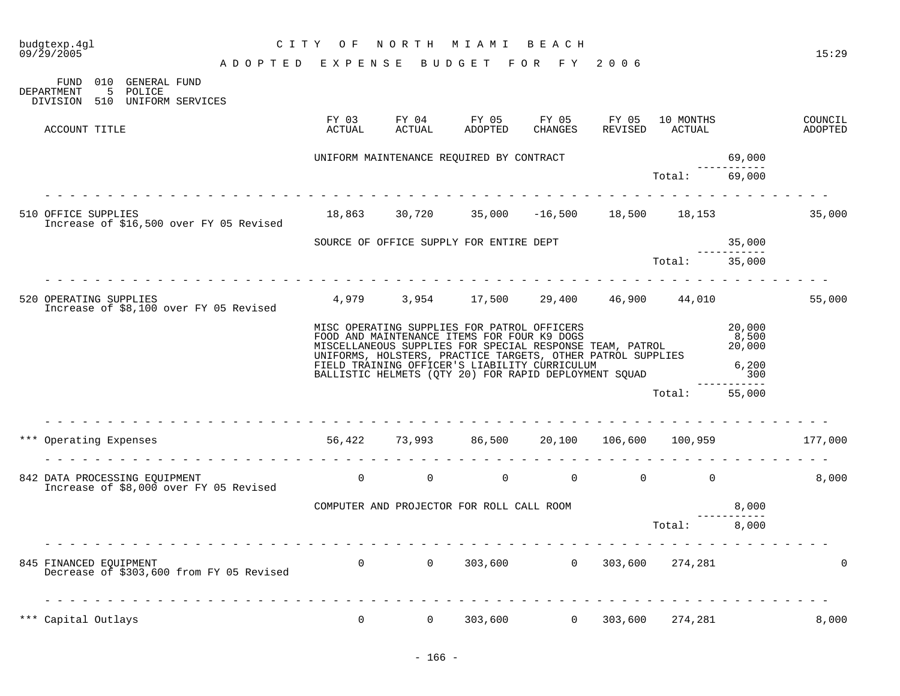| budgtexp.4gl<br>09/29/2005                                                                    | C I T Y<br>O F  | NORTH           | M I A M I                                                                                                                                                                                                                                                                       | BEACH            |                  |                     |                                    | 15:29              |
|-----------------------------------------------------------------------------------------------|-----------------|-----------------|---------------------------------------------------------------------------------------------------------------------------------------------------------------------------------------------------------------------------------------------------------------------------------|------------------|------------------|---------------------|------------------------------------|--------------------|
| ADOPTED EXPENSE BUDGET FOR FY 2006                                                            |                 |                 |                                                                                                                                                                                                                                                                                 |                  |                  |                     |                                    |                    |
| FUND 010 GENERAL FUND<br>DEPARTMENT<br>$5^{\circ}$<br>POLICE<br>DIVISION 510 UNIFORM SERVICES |                 |                 |                                                                                                                                                                                                                                                                                 |                  |                  |                     |                                    |                    |
| ACCOUNT TITLE                                                                                 | FY 03<br>ACTUAL | FY 04<br>ACTUAL | FY 05<br>ADOPTED                                                                                                                                                                                                                                                                | FY 05<br>CHANGES | FY 05<br>REVISED | 10 MONTHS<br>ACTUAL |                                    | COUNCIL<br>ADOPTED |
|                                                                                               |                 |                 | UNIFORM MAINTENANCE REQUIRED BY CONTRACT                                                                                                                                                                                                                                        |                  |                  |                     | 69,000                             |                    |
|                                                                                               |                 |                 |                                                                                                                                                                                                                                                                                 |                  |                  | Total:              | . <u>.</u><br>69,000               |                    |
| 510 OFFICE SUPPLIES<br>Increase of \$16,500 over FY 05 Revised                                |                 |                 | $18,863$ $30,720$ $35,000$ $-16,500$ $18,500$ $18,153$                                                                                                                                                                                                                          |                  |                  |                     |                                    | 35,000             |
|                                                                                               |                 |                 | SOURCE OF OFFICE SUPPLY FOR ENTIRE DEPT                                                                                                                                                                                                                                         |                  |                  |                     | 35,000                             |                    |
|                                                                                               |                 |                 |                                                                                                                                                                                                                                                                                 |                  |                  | Total:              | 35,000                             |                    |
| 520 OPERATING SUPPLIES<br>Increase of \$8,100 over FY 05 Revised                              |                 |                 | $4,979$ $3,954$ $17,500$ $29,400$ $46,900$ $44,010$                                                                                                                                                                                                                             |                  |                  |                     |                                    | 55,000             |
|                                                                                               |                 |                 | MISC OPERATING SUPPLIES FOR PATROL OFFICERS<br>- --- --- ----------------- ------- FOR FOUR K9 DOGS<br>MISCELLANEOUS SUPPLIES FOR SPECIAL RESPONSE TEAM, PATROL<br>UNIFORMS, HOLSTERS, PRACTICE TARGETS, OTHER PATROL SUPPLIES<br>FIELD TRAINING OFFICER'S LIABILITY CURRICULUM |                  |                  |                     | 20,000<br>8,500<br>20,000<br>6,200 |                    |
|                                                                                               |                 |                 | BALLISTIC HELMETS (QTY 20) FOR RAPID DEPLOYMENT SQUAD                                                                                                                                                                                                                           |                  |                  |                     | 300<br>$   -$                      |                    |
|                                                                                               |                 |                 |                                                                                                                                                                                                                                                                                 |                  |                  | Total:              | 55,000                             |                    |
| in die die die die die die<br>*** Operating Expenses                                          |                 |                 | 56,422 73,993 86,500 20,100 106,600 100,959                                                                                                                                                                                                                                     |                  |                  |                     |                                    | 177,000            |
| 842 DATA PROCESSING EQUIPMENT<br>Increase of \$8,000 over FY 05 Revised                       | $\overline{0}$  | $\overline{0}$  | $\overline{0}$                                                                                                                                                                                                                                                                  | $\Omega$         | $\overline{0}$   | $\overline{0}$      |                                    | 8.000              |
|                                                                                               |                 |                 | COMPUTER AND PROJECTOR FOR ROLL CALL ROOM                                                                                                                                                                                                                                       |                  |                  |                     | 8,000                              |                    |
|                                                                                               |                 |                 |                                                                                                                                                                                                                                                                                 |                  |                  | Total:              | 8,000                              |                    |
| 845 FINANCED EQUIPMENT<br>Decrease of \$303,600 from FY 05 Revised                            |                 |                 | $0$ 0 303,600 0 303,600 274,281                                                                                                                                                                                                                                                 |                  |                  |                     |                                    | $\Omega$           |
| *** Capital Outlays                                                                           | $\Omega$        | $\Omega$        | 303,600                                                                                                                                                                                                                                                                         | $\Omega$         | 303,600          | 274,281             |                                    | 8,000              |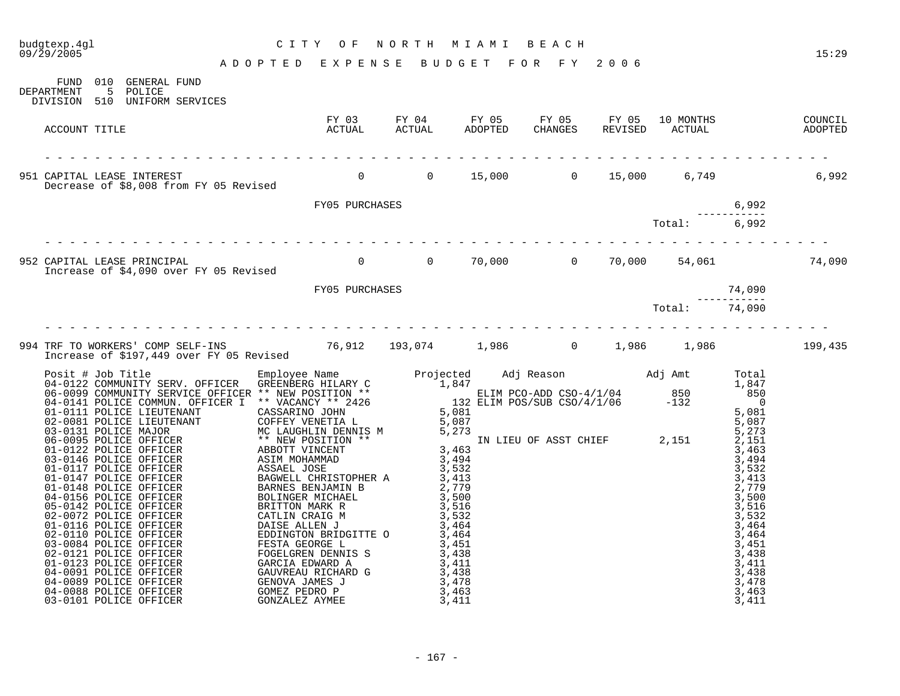| budgtexp.4gl<br>09/29/2005                                                                                                                     | CITY OF NORTH MIAMI BEACH<br>ADOPTED EXPENSE BUDGET FOR FY 2006                                         |  |  |  |  |                                                                              |  |  |  |
|------------------------------------------------------------------------------------------------------------------------------------------------|---------------------------------------------------------------------------------------------------------|--|--|--|--|------------------------------------------------------------------------------|--|--|--|
| FUND 010 GENERAL FUND<br>DEPARTMENT 5 POLICE                                                                                                   |                                                                                                         |  |  |  |  |                                                                              |  |  |  |
| DIVISION 510 UNIFORM SERVICES<br>ACCOUNT TITLE                                                                                                 | FY 03 FY 04 FY 05 FY 05 FY 05 10 MONTHS COUNCIL<br>ACTUAL ACTUAL ADOPTED CHANGES REVISED ACTUAL ADOPTED |  |  |  |  |                                                                              |  |  |  |
|                                                                                                                                                |                                                                                                         |  |  |  |  |                                                                              |  |  |  |
| 951 CAPITAL LEASE INTEREST 6,992<br>Decrease of \$8,008 from FY 05 Revised 60 0 0 0 15,000 0 15,000 6,749 6,992                                |                                                                                                         |  |  |  |  |                                                                              |  |  |  |
|                                                                                                                                                | FY05 PURCHASES                                                                                          |  |  |  |  |                                                                              |  |  |  |
|                                                                                                                                                |                                                                                                         |  |  |  |  |                                                                              |  |  |  |
| 952 CAPITAL LEASE PRINCIPAL (1990)<br>Increase of \$4,090 over FY 05 Revised (1990) 10 (1990) 10,000 (1990) 10,000 (1990) 54,061 (1990) 74,090 |                                                                                                         |  |  |  |  |                                                                              |  |  |  |
|                                                                                                                                                | FY05 PURCHASES                                                                                          |  |  |  |  |                                                                              |  |  |  |
|                                                                                                                                                |                                                                                                         |  |  |  |  | $T_{\text{total}}:$ $\begin{array}{r} 74,090 \\ -2.251 & 74,090 \end{array}$ |  |  |  |
| 994 TRF TO WORKERS' COMP SELF-INS 76,912 193,074 1,986 0 1,986 1,986 1,986 1,986 199,435                                                       |                                                                                                         |  |  |  |  |                                                                              |  |  |  |
|                                                                                                                                                |                                                                                                         |  |  |  |  |                                                                              |  |  |  |
|                                                                                                                                                |                                                                                                         |  |  |  |  |                                                                              |  |  |  |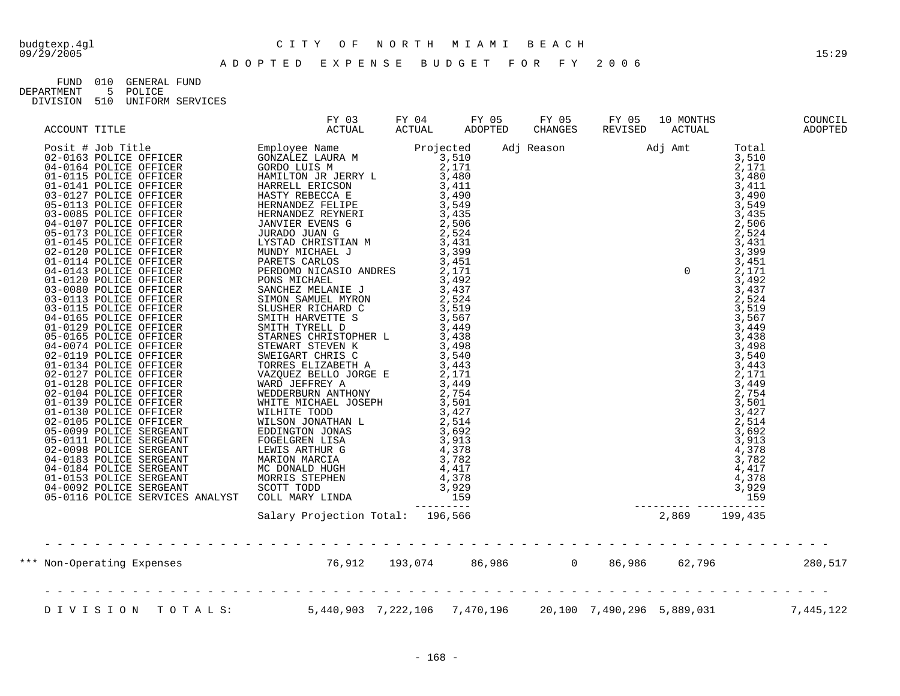# budgtexp.4gl C I T Y O F N O R T H M I A M I B E A C H

| FIJND.     | 010 | GENERAL FIJND |                      |
|------------|-----|---------------|----------------------|
| DEPARTMENT |     | 5 POLICE      |                      |
| DIVISION   |     |               | 510 UNIFORM SERVICES |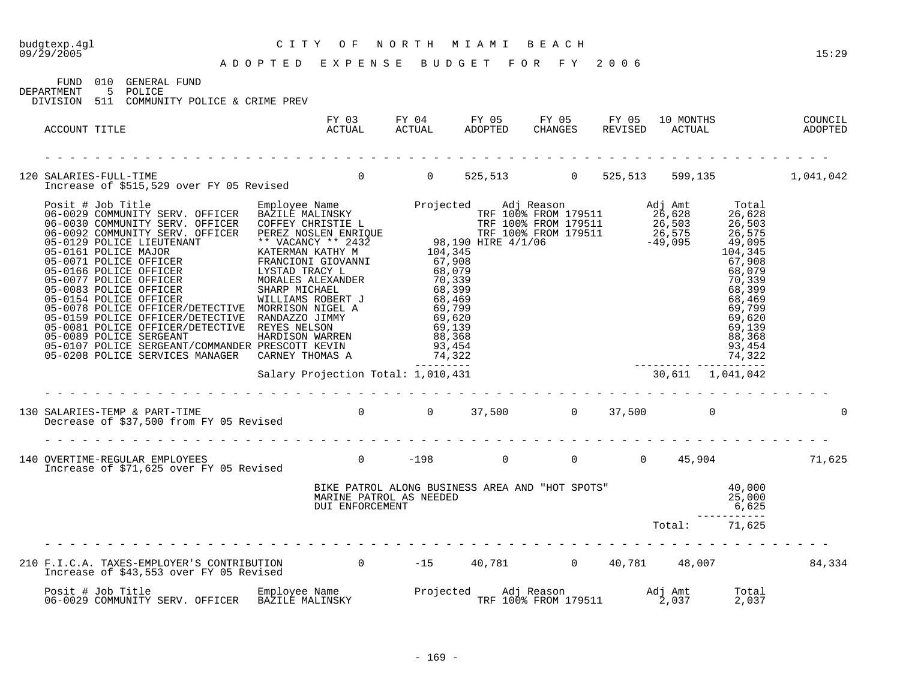| 09/29/2005                                                                                                                                                                                                                                                                                                                                                                            |                                            |  | ADOPTED EXPENSE BUDGET FOR FY 2006                                                                                                 |  | 15:29 |
|---------------------------------------------------------------------------------------------------------------------------------------------------------------------------------------------------------------------------------------------------------------------------------------------------------------------------------------------------------------------------------------|--------------------------------------------|--|------------------------------------------------------------------------------------------------------------------------------------|--|-------|
| FUND 010 GENERAL FUND<br>DEPARTMENT 5 POLICE<br>DIVISION 511 COMMUNITY POLICE & CRIME PREV                                                                                                                                                                                                                                                                                            |                                            |  |                                                                                                                                    |  |       |
| ACCOUNT TITLE                                                                                                                                                                                                                                                                                                                                                                         |                                            |  |                                                                                                                                    |  |       |
| 120 SALARIES-FULL-TIME<br>Increase of \$515,529 over FY 05 Revised        0    525,513      0  525,513   599,135       1,041,042                                                                                                                                                                                                                                                      |                                            |  |                                                                                                                                    |  |       |
| $\begin{tabular}{l c c c c} \hline \textbf{R} & \textbf{0.5} & \textbf{0.6} & \textbf{0.7} & \textbf{0.8} & \textbf{0.9} & \textbf{0.9} & \textbf{0.9} & \textbf{0.9} & \textbf{0.9} & \textbf{0.9} & \textbf{0.9} & \textbf{0.9} & \textbf{0.9} & \textbf{0.9} & \textbf{0.9} & \textbf{0.9} & \textbf{0.9} & \textbf{0.9} & \textbf{0.9} & \textbf{0.9} & \textbf{0.9} & \textbf{0$ |                                            |  |                                                                                                                                    |  |       |
|                                                                                                                                                                                                                                                                                                                                                                                       |                                            |  |                                                                                                                                    |  |       |
| 130 SALARIES-TEMP & PART-TIME<br>Decrease of \$37,500 from FY 05 Revised        0     0   37,500      0   37,500       0                                                                                                                                                                                                                                                              |                                            |  |                                                                                                                                    |  |       |
|                                                                                                                                                                                                                                                                                                                                                                                       |                                            |  |                                                                                                                                    |  |       |
|                                                                                                                                                                                                                                                                                                                                                                                       | MARINE PATROL AS NEEDED<br>DUI ENFORCEMENT |  | BIKE PATROL ALONG BUSINESS AREA AND "HOT SPOTS" 40,000<br>MARINE PATROL AS NEEDED 25,000<br>DUI ENFORCEMENT 6,625<br>Total: 71,625 |  |       |
|                                                                                                                                                                                                                                                                                                                                                                                       |                                            |  |                                                                                                                                    |  |       |
| 210 F.I.C.A. TAXES-EMPLOYER'S CONTRIBUTION 0 -15 40,781 0 40,781 48,007 34,334                                                                                                                                                                                                                                                                                                        |                                            |  |                                                                                                                                    |  |       |
|                                                                                                                                                                                                                                                                                                                                                                                       |                                            |  |                                                                                                                                    |  |       |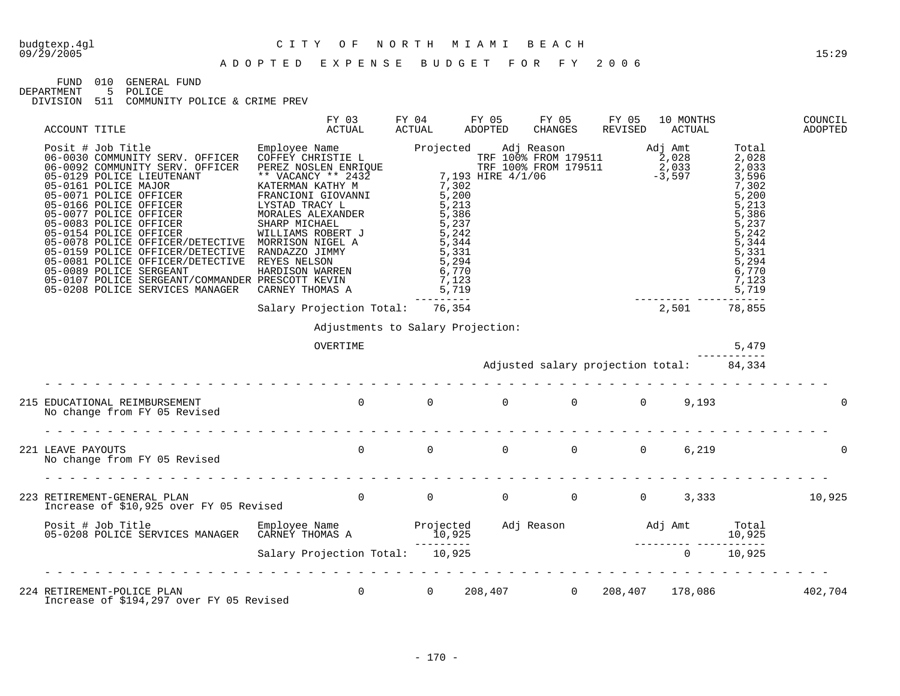FUND 010 GENERAL FUND<br>DEPARTMENT 5 POLICE

DEPARTMENT 5 POLICE

| ACCOUNT TITLE                                                                                                                                                                                                                                                                                                                                                                                                                                                    | FY 03<br>ACTUAL                                                                                                                                                                                                                                                                                                                                                                                                                                                                                  | FY 04<br>ACTUAL                             | FY 05<br>ADOPTED | FY 05<br>CHANGES                         | FY 05<br>REVISED | 10 MONTHS<br>ACTUAL |       | COUNCIL<br>ADOPTED |
|------------------------------------------------------------------------------------------------------------------------------------------------------------------------------------------------------------------------------------------------------------------------------------------------------------------------------------------------------------------------------------------------------------------------------------------------------------------|--------------------------------------------------------------------------------------------------------------------------------------------------------------------------------------------------------------------------------------------------------------------------------------------------------------------------------------------------------------------------------------------------------------------------------------------------------------------------------------------------|---------------------------------------------|------------------|------------------------------------------|------------------|---------------------|-------|--------------------|
| $\begin{tabular}{l c c c c}{{\bf ACCOUT TITLE}&{\bf ACTUAL}&{\bf ACTUAL}&{\bf ACTUAL}&{\bf ACTUAL}&{\bf ACTUAL}&{\bf ACTUAL}&{\bf ACTUAL}&{\bf ACTUAL}&{\bf CCTAL}&{\bf CCTAL}&{\bf CCTAL}&{\bf CCTAL}&{\bf CCTAL}&{\bf CCTAL}&{\bf CCTAL}&{\bf CCTAL}&{\bf CCTAL}&{\bf CCTAL}&{\bf CCTAL}&{\bf CCTAL}&{\bf CCTAL}&{\bf CCTAL}&{\bf CCTAL}&{\bf CCTAL}&{\bf CCTAL}&{\bf CCTAL}&{\bf CCTAL}&{\bf CCTAL}&{\bf CCTAL}&{\bf CCTAL}&{\bf CCTAL}&{\bf CCTAL}&{\bf CCT$ |                                                                                                                                                                                                                                                                                                                                                                                                                                                                                                  |                                             |                  |                                          |                  |                     |       |                    |
|                                                                                                                                                                                                                                                                                                                                                                                                                                                                  |                                                                                                                                                                                                                                                                                                                                                                                                                                                                                                  |                                             |                  |                                          |                  |                     |       |                    |
|                                                                                                                                                                                                                                                                                                                                                                                                                                                                  | Adjustments to Salary Projection:                                                                                                                                                                                                                                                                                                                                                                                                                                                                |                                             |                  |                                          |                  |                     |       |                    |
|                                                                                                                                                                                                                                                                                                                                                                                                                                                                  | OVERTIME                                                                                                                                                                                                                                                                                                                                                                                                                                                                                         |                                             |                  |                                          |                  |                     | 5,479 |                    |
|                                                                                                                                                                                                                                                                                                                                                                                                                                                                  |                                                                                                                                                                                                                                                                                                                                                                                                                                                                                                  |                                             |                  | Adjusted salary projection total: 84,334 |                  |                     |       |                    |
| 215 EDUCATIONAL REIMBURSEMENT<br>No change from FY 05 Revised                                                                                                                                                                                                                                                                                                                                                                                                    | $0\qquad \qquad 0\qquad \qquad 0\qquad \qquad 0\qquad \qquad 0\qquad \qquad 9\, ,193$                                                                                                                                                                                                                                                                                                                                                                                                            |                                             |                  |                                          |                  |                     |       | 0                  |
|                                                                                                                                                                                                                                                                                                                                                                                                                                                                  |                                                                                                                                                                                                                                                                                                                                                                                                                                                                                                  |                                             |                  |                                          |                  |                     |       |                    |
| 221 LEAVE PAYOUTS<br>No change from FY 05 Revised                                                                                                                                                                                                                                                                                                                                                                                                                | $\begin{matrix} 0 & 0 & 0 & 0 & 0 \end{matrix}$                                                                                                                                                                                                                                                                                                                                                                                                                                                  |                                             |                  |                                          |                  | 6,219               |       |                    |
| . L'égale de la cardina de la cardina de la cardina de la cardina de la cardina de la cardina.                                                                                                                                                                                                                                                                                                                                                                   |                                                                                                                                                                                                                                                                                                                                                                                                                                                                                                  |                                             |                  |                                          |                  |                     |       |                    |
| 223 RETIREMENT-GENERAL PLAN<br>Increase of \$10,925 over FY 05 Revised                                                                                                                                                                                                                                                                                                                                                                                           |                                                                                                                                                                                                                                                                                                                                                                                                                                                                                                  |                                             |                  |                                          |                  |                     |       |                    |
|                                                                                                                                                                                                                                                                                                                                                                                                                                                                  |                                                                                                                                                                                                                                                                                                                                                                                                                                                                                                  |                                             |                  |                                          |                  |                     |       |                    |
|                                                                                                                                                                                                                                                                                                                                                                                                                                                                  |                                                                                                                                                                                                                                                                                                                                                                                                                                                                                                  |                                             |                  |                                          |                  |                     |       |                    |
| 224 RETIREMENT-POLICE PLAN<br>Increase of \$194,297 over FY 05 Revised                                                                                                                                                                                                                                                                                                                                                                                           | $\label{eq:2.1} \begin{aligned} \mathcal{L}_{\text{max}}(\mathbf{r}) & = \mathcal{L}_{\text{max}}(\mathbf{r}) \mathcal{L}_{\text{max}}(\mathbf{r}) \mathcal{L}_{\text{max}}(\mathbf{r}) \mathcal{L}_{\text{max}}(\mathbf{r}) \mathcal{L}_{\text{max}}(\mathbf{r}) \mathcal{L}_{\text{max}}(\mathbf{r}) \mathcal{L}_{\text{max}}(\mathbf{r}) \mathcal{L}_{\text{max}}(\mathbf{r}) \mathcal{L}_{\text{max}}(\mathbf{r}) \mathcal{L}_{\text{max}}(\mathbf{r}) \mathcal{L}_{\text{max}}(\mathbf{r})$ | 0  0  208,407  0  208,407  178,086  402,704 |                  |                                          |                  |                     |       |                    |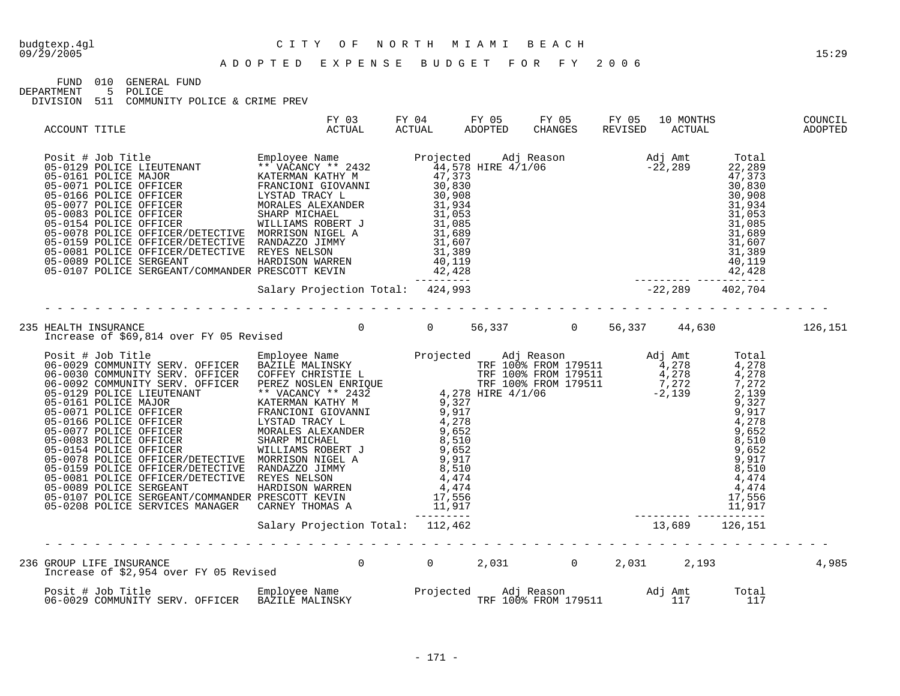## budgtexp.4gl C I T Y O F N O R T H M I A M I B E A C H

FUND 010 GENERAL FUND<br>DEPARTMENT 5 POLICE

DEPARTMENT 5 POLICE

| ACCOUNT TITLE                                                                                                                                                                                                                                                                                                                                                                      | FY 03<br>ACTUAL | FY 04<br>ACTUAL | FY 05<br>ADOPTED | FY 05<br>CHANGES | FY 05<br>REVISED | 10 MONTHS<br>ACTUAL | COUNCIL<br>ADOPTED |
|------------------------------------------------------------------------------------------------------------------------------------------------------------------------------------------------------------------------------------------------------------------------------------------------------------------------------------------------------------------------------------|-----------------|-----------------|------------------|------------------|------------------|---------------------|--------------------|
| Posit # Job Title<br>05-0160 POLICE MENOTE ENTREMANT ENTREMANT ATTEVANT A432<br>05-0161 POLICE MENOTER FRAMEWORT MATERIAL INCREASE INTERNATIONAL AND ATTEVANT A44,5373<br>05-0166 POLICE OFFICER FRAMEWORT CHOMAINE AND 20,2008<br>05                                                                                                                                              |                 |                 |                  |                  |                  |                     |                    |
|                                                                                                                                                                                                                                                                                                                                                                                    |                 |                 |                  |                  |                  |                     |                    |
| 235 HEALTH INSURANCE                                                                                                                                                                                                                                                                                                                                                               |                 |                 |                  |                  |                  |                     |                    |
| $\begin{tabular}{l cccc} \hline \texttt{I.1} & 44, 630 & 90, 347 & 44, 630 \\ \hline \texttt{Pos11} & 4700 \texttt{T} & \texttt{E01} & \texttt{E01} & \texttt{E01} & \texttt{E01} & \texttt{S1} & 44, 630 \\ \hline \texttt{Pos21} & 4700 \texttt{N} & \texttt{D01} & \texttt{D01} & \texttt{D1} & \texttt{A1} & \texttt{A2} & \texttt{A3} \\ \hline \texttt{Ne-01} & 400 \texttt$ |                 |                 |                  |                  |                  |                     |                    |
|                                                                                                                                                                                                                                                                                                                                                                                    |                 |                 |                  |                  |                  |                     |                    |
|                                                                                                                                                                                                                                                                                                                                                                                    |                 |                 |                  |                  |                  |                     | 4,985              |
|                                                                                                                                                                                                                                                                                                                                                                                    |                 |                 |                  |                  |                  |                     |                    |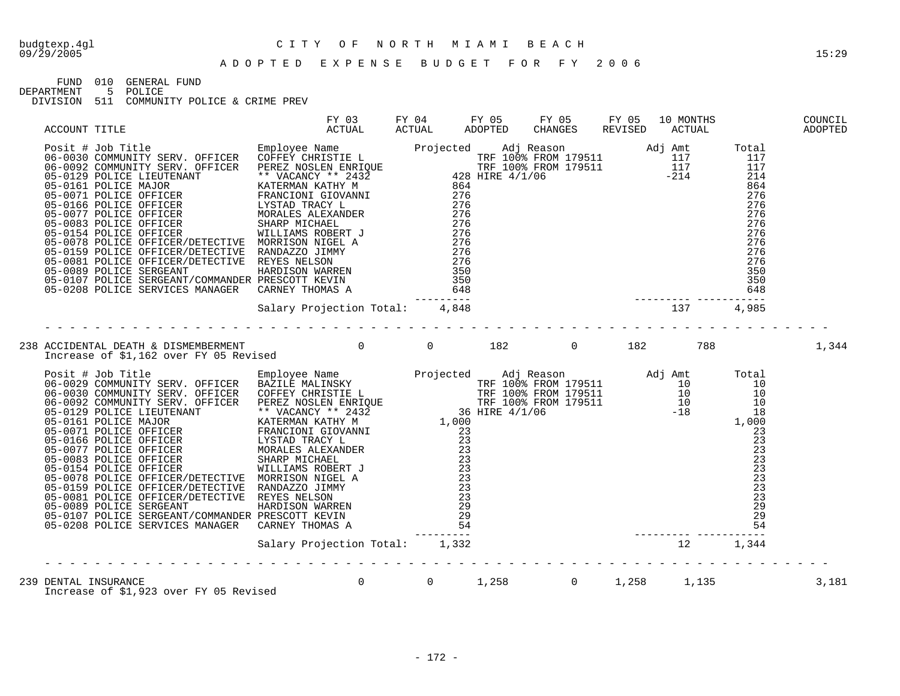## budgtexp.4gl C I T Y O F N O R T H M I A M I B E A C H

FUND 010 GENERAL FUND

DEPARTMENT 5 POLICE

|                                                                                                                                                                                                                                                                                                                                                                                                                                                                |  |  |  | COUNCIL<br>ADOPTED |
|----------------------------------------------------------------------------------------------------------------------------------------------------------------------------------------------------------------------------------------------------------------------------------------------------------------------------------------------------------------------------------------------------------------------------------------------------------------|--|--|--|--------------------|
| $\begin{tabular}{l c c c c c} \multicolumn{1}{c}{\textbf{ACCONT}} & \multicolumn{1}{c}{\textbf{ACCONT}} & \multicolumn{1}{c}{\textbf{ACCONT}} & \multicolumn{1}{c}{\textbf{ACCONT}} & \multicolumn{1}{c}{\textbf{ACCONT}} & \multicolumn{1}{c}{\textbf{ACCONT}} & \multicolumn{1}{c}{\textbf{ACCUMN}} & \multicolumn{1}{c}{\textbf{ACCUMN}} & \multicolumn{1}{c}{\textbf{ACCUMN}} & \multicolumn{1}{c}{\textbf{ACCUMN}} & \multicolumn{1}{c}{\textbf{ACCUMN}}$ |  |  |  |                    |
|                                                                                                                                                                                                                                                                                                                                                                                                                                                                |  |  |  |                    |
| 238 ACCIDENTAL DEATH & DISMEMBERMENT<br>182 DICrease of \$1,162 over FY 05 Revised<br>182 DICrease of \$1,162 over FY 05 Revised                                                                                                                                                                                                                                                                                                                               |  |  |  | 1,344              |
| $\begin{tabular}{ l c c c c c} \hline \texttt{Increase of 31,162 over FY 05 Revised} & \texttt{Reuplope Name} & \texttt{Projected} & \texttt{Adj Reason176511} & \texttt{Adj} & \texttt{Rate} & \texttt{Total} \\ \hline \texttt{06=0020 COMWOMHT} & \texttt{SERV. OFFICER} & \texttt{ERR-OLIC} & \texttt{RRTL} & \texttt{MALINSKT} & \texttt{TF I 008 FRON 179511} & \texttt{10} & \texttt{10} & \texttt{10} \\ \hline \texttt{06=0020$                       |  |  |  |                    |
|                                                                                                                                                                                                                                                                                                                                                                                                                                                                |  |  |  |                    |
| DENTAL INSURANCE<br>Increase of \$1,923 over FY 05 Revised         0     0    1,258      0   1,258    1,135<br>239 DENTAL INSURANCE                                                                                                                                                                                                                                                                                                                            |  |  |  | 3,181              |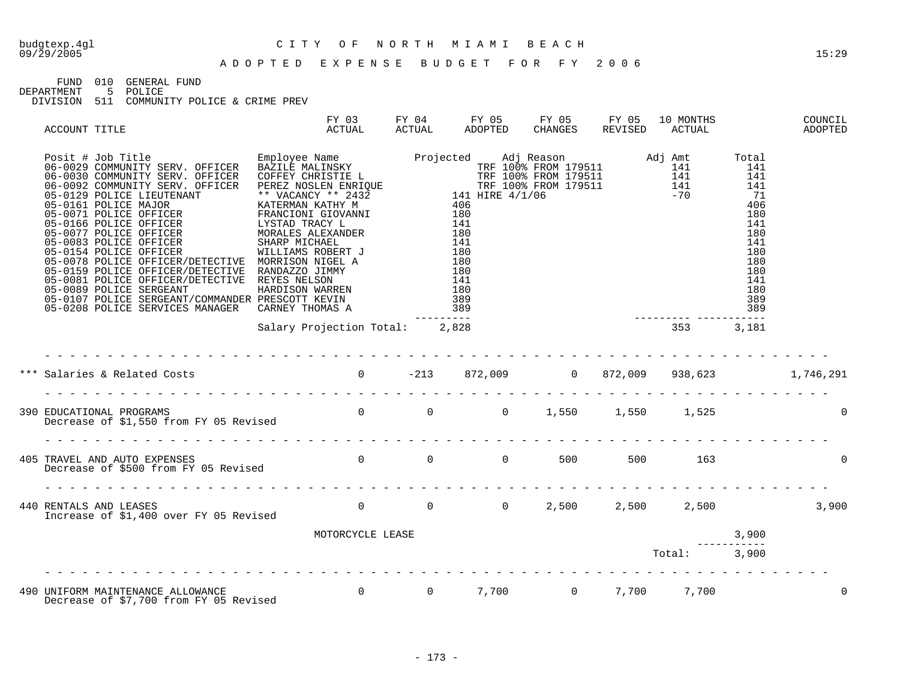# budgtexp.4gl C I T Y O F N O R T H M I A M I B E A C H

FUND 010 GENERAL FUND

DEPARTMENT 5 POLICE

| ACCOUNT TITLE |                                                                                                                                | FY 03<br>ACTUAL                | ACTUAL | ADOPTED CHANGES REVISED |  | FY 04 FY 05 FY 05 FY 05 10 MONTHS<br>ACTUAL | COUNCIL<br><b>ADOPTED</b> |
|---------------|--------------------------------------------------------------------------------------------------------------------------------|--------------------------------|--------|-------------------------|--|---------------------------------------------|---------------------------|
|               |                                                                                                                                |                                |        |                         |  |                                             |                           |
|               |                                                                                                                                | Salary Projection Total: 2,828 |        |                         |  | $353$ $3,181$                               |                           |
|               |                                                                                                                                |                                |        |                         |  |                                             |                           |
|               |                                                                                                                                |                                |        |                         |  |                                             |                           |
|               |                                                                                                                                |                                |        |                         |  |                                             | $\Omega$                  |
|               | 405 TRAVEL AND AUTO EXPENSES<br>Decrease of \$500 from FY 05 Revised         0      0      0    500     500     163            |                                |        |                         |  |                                             | $\Omega$                  |
|               |                                                                                                                                |                                |        |                         |  |                                             |                           |
|               |                                                                                                                                | MOTORCYCLE LEASE               |        |                         |  | 3,900                                       |                           |
|               |                                                                                                                                |                                |        |                         |  | Total: 3,900                                |                           |
|               | 490 UNIFORM MAINTENANCE ALLOWANCE<br>Decrease of \$7,700 from FY 05 Revised         0      0    7,700      0   7,700     7,700 |                                |        |                         |  |                                             | 0                         |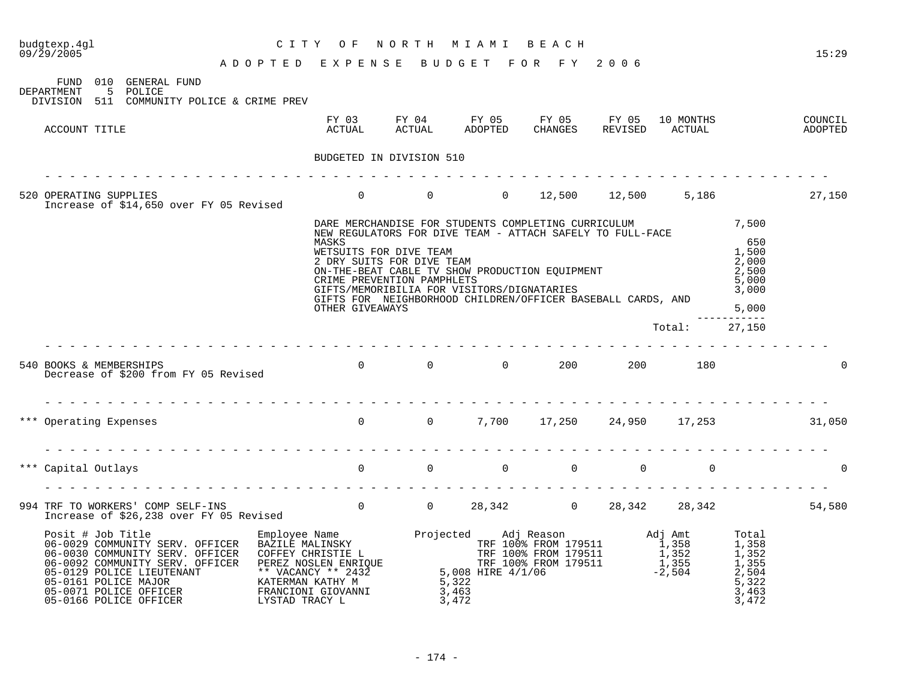| budgtexp.4gl<br>09/29/2005                                                                                                                                                                                               |                                    | CITY OF                                                                                                                                                                                                                                                                                                                                                                                                | NORTH MIAMI | B E A C H                                                                               |                                  |                                                                         | 15:29              |
|--------------------------------------------------------------------------------------------------------------------------------------------------------------------------------------------------------------------------|------------------------------------|--------------------------------------------------------------------------------------------------------------------------------------------------------------------------------------------------------------------------------------------------------------------------------------------------------------------------------------------------------------------------------------------------------|-------------|-----------------------------------------------------------------------------------------|----------------------------------|-------------------------------------------------------------------------|--------------------|
|                                                                                                                                                                                                                          | ADOPTED EXPENSE BUDGET FOR FY 2006 |                                                                                                                                                                                                                                                                                                                                                                                                        |             |                                                                                         |                                  |                                                                         |                    |
| FUND 010 GENERAL FUND<br>5 POLICE<br>DEPARTMENT<br>DIVISION 511 COMMUNITY POLICE & CRIME PREV                                                                                                                            |                                    |                                                                                                                                                                                                                                                                                                                                                                                                        |             |                                                                                         |                                  |                                                                         |                    |
| ACCOUNT TITLE                                                                                                                                                                                                            |                                    |                                                                                                                                                                                                                                                                                                                                                                                                        |             | FY 03 FY 04 FY 05 FY 05 FY 05 10 MONTHS<br>ACTUAL ACTUAL ADOPTED CHANGES REVISED ACTUAL |                                  |                                                                         | COUNCIL<br>ADOPTED |
|                                                                                                                                                                                                                          |                                    | BUDGETED IN DIVISION 510                                                                                                                                                                                                                                                                                                                                                                               |             |                                                                                         |                                  |                                                                         |                    |
|                                                                                                                                                                                                                          |                                    |                                                                                                                                                                                                                                                                                                                                                                                                        |             |                                                                                         |                                  |                                                                         |                    |
| 520 OPERATING SUPPLIES<br>Increase of \$14,650 over FY 05 Revised                                                                                                                                                        |                                    |                                                                                                                                                                                                                                                                                                                                                                                                        |             | 0 0 0 12,500 12,500 5,186 27,150                                                        |                                  |                                                                         |                    |
|                                                                                                                                                                                                                          |                                    | DARE MERCHANDISE FOR STUDENTS COMPLETING CURRICULUM 7,500<br>NEW REGULATORS FOR DIVE TEAM - ATTACH SAFELY TO FULL-FACE<br>MASKS<br>WETSUITS FOR DIVE TEAM<br>2 DRY SUITS FOR DIVE TEAM<br>ON-THE-BEAT CABLE TV SHOW PRODUCTION EQUIPMENT<br>CRIME PREVENTION PAMPHLETS<br>GIFTS/MEMORIBILIA FOR VISITORS/DIGNATARIES<br>GIFTS FOR NEIGHBORHOOD CHILDREN/OFFICER BASEBALL CARDS, AND<br>OTHER GIVEAWAYS |             |                                                                                         |                                  | 650<br>1,500<br>2,000<br>2,500<br>5,000<br>3,000<br>5,000<br>---------- |                    |
|                                                                                                                                                                                                                          |                                    |                                                                                                                                                                                                                                                                                                                                                                                                        |             |                                                                                         | Total: 27,150                    |                                                                         |                    |
| 540 BOOKS & MEMBERSHIPS<br>Decrease of \$200 from FY 05 Revised                                                                                                                                                          |                                    |                                                                                                                                                                                                                                                                                                                                                                                                        |             | 0 0 0 200 200 180                                                                       |                                  |                                                                         | $\Omega$           |
|                                                                                                                                                                                                                          |                                    |                                                                                                                                                                                                                                                                                                                                                                                                        |             |                                                                                         |                                  |                                                                         |                    |
| *** Operating Expenses                                                                                                                                                                                                   |                                    | 0 0 7,700 17,250 24,950 17,253 31,050                                                                                                                                                                                                                                                                                                                                                                  |             |                                                                                         |                                  |                                                                         |                    |
|                                                                                                                                                                                                                          |                                    |                                                                                                                                                                                                                                                                                                                                                                                                        |             |                                                                                         |                                  |                                                                         |                    |
| *** Capital Outlays                                                                                                                                                                                                      |                                    | $\begin{array}{ccccccc} 0 & & & 0 & & & 0 & & 0 \end{array}$                                                                                                                                                                                                                                                                                                                                           |             |                                                                                         | $\overline{0}$<br>$\overline{0}$ |                                                                         | $\Omega$           |
|                                                                                                                                                                                                                          |                                    |                                                                                                                                                                                                                                                                                                                                                                                                        |             |                                                                                         |                                  |                                                                         |                    |
| 994 TRF TO WORKERS' COMP SELF-INS<br>54,580                                                                                                                                                                              |                                    |                                                                                                                                                                                                                                                                                                                                                                                                        |             |                                                                                         |                                  |                                                                         |                    |
| 9<br>2003 (MMUNITY SERV. OFFICER BAZILE MALINSKY (2007) (2008) (2009) (2009) (2009) (2009) (2009) (2009) (2009) (2009) (2009) (2009) (2009) (2009) (2009) (2009) (2009) (2009) (2009) (2009) (2009) (2009) (2009) (2009) |                                    |                                                                                                                                                                                                                                                                                                                                                                                                        |             |                                                                                         |                                  |                                                                         |                    |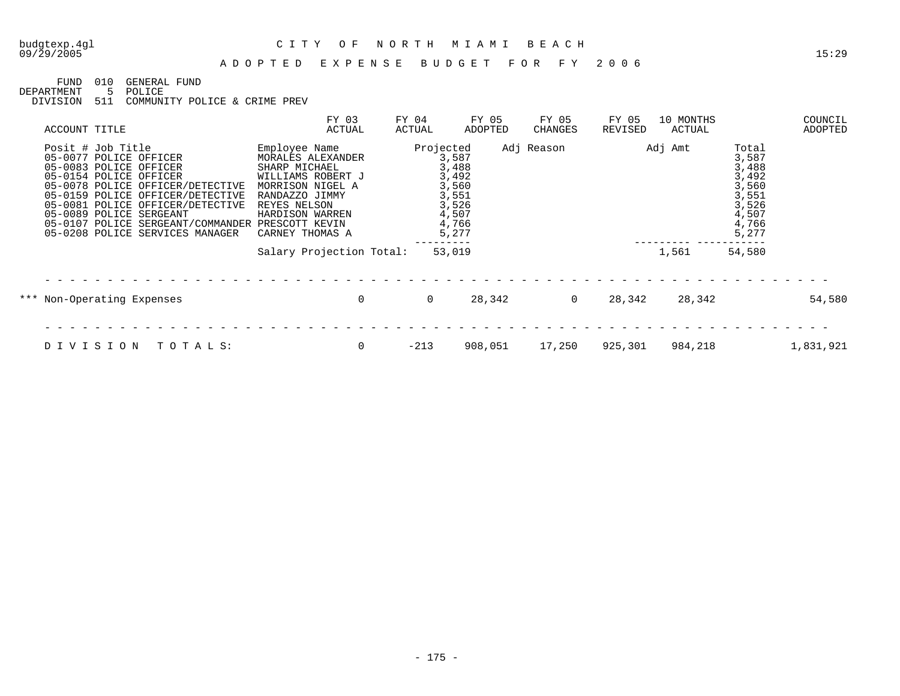## budgtexp.4gl C I T Y O F N O R T H M I A M I B E A C H

#### A D O P T E D E X P E N S E B U D G E T F O R F Y 2 0 0 6

FUND 010 GENERAL FUND

DEPARTMENT 5 POLICE

| ACCOUNT TITLE |                                                                                                                                                                                                                                                                                                                               | FY 03<br>ACTUAL                                                                                                                                                      | FY 04<br>ACTUAL | FY 05<br>ADOPTED                                                              | FY 05<br>CHANGES | FY 05<br>REVISED | 10 MONTHS<br>ACTUAL |                                                                                        | COUNCIL<br>ADOPTED |
|---------------|-------------------------------------------------------------------------------------------------------------------------------------------------------------------------------------------------------------------------------------------------------------------------------------------------------------------------------|----------------------------------------------------------------------------------------------------------------------------------------------------------------------|-----------------|-------------------------------------------------------------------------------|------------------|------------------|---------------------|----------------------------------------------------------------------------------------|--------------------|
|               | Posit # Job Title<br>05-0077 POLICE OFFICER<br>05-0083 POLICE OFFICER<br>05-0154 POLICE OFFICER<br>05-0078 POLICE OFFICER/DETECTIVE<br>05-0159 POLICE OFFICER/DETECTIVE<br>05-0081 POLICE OFFICER/DETECTIVE<br>05-0089 POLICE SERGEANT<br>05-0107 POLICE SERGEANT/COMMANDER PRESCOTT KEVIN<br>05-0208 POLICE SERVICES MANAGER | Employee Name<br>MORALES ALEXANDER<br>SHARP MICHAEL<br>WILLIAMS ROBERT J<br>MORRISON NIGEL A<br>RANDAZZO JIMMY<br>REYES NELSON<br>HARDISON WARREN<br>CARNEY THOMAS A | Projected       | 3,587<br>3,488<br>3,492<br>3,560<br>3,551<br>3,526<br>4,507<br>4,766<br>5,277 | Adj Reason       |                  | Adj Amt             | Total<br>3,587<br>3,488<br>3,492<br>3,560<br>3,551<br>3,526<br>4,507<br>4,766<br>5,277 |                    |
|               |                                                                                                                                                                                                                                                                                                                               | Salary Projection Total:                                                                                                                                             |                 | 53,019                                                                        |                  |                  | 1,561               | 54,580                                                                                 |                    |
|               | *** Non-Operating Expenses                                                                                                                                                                                                                                                                                                    | $\mathbf 0$                                                                                                                                                          | $\Omega$        | 28,342                                                                        | $\Omega$         | 28,342           | 28,342              |                                                                                        | 54,580             |
|               | DIVISION<br>TOTALS:                                                                                                                                                                                                                                                                                                           | 0                                                                                                                                                                    | $-213$          | 908,051                                                                       | 17,250           | 925,301          | 984,218             |                                                                                        | 1,831,921          |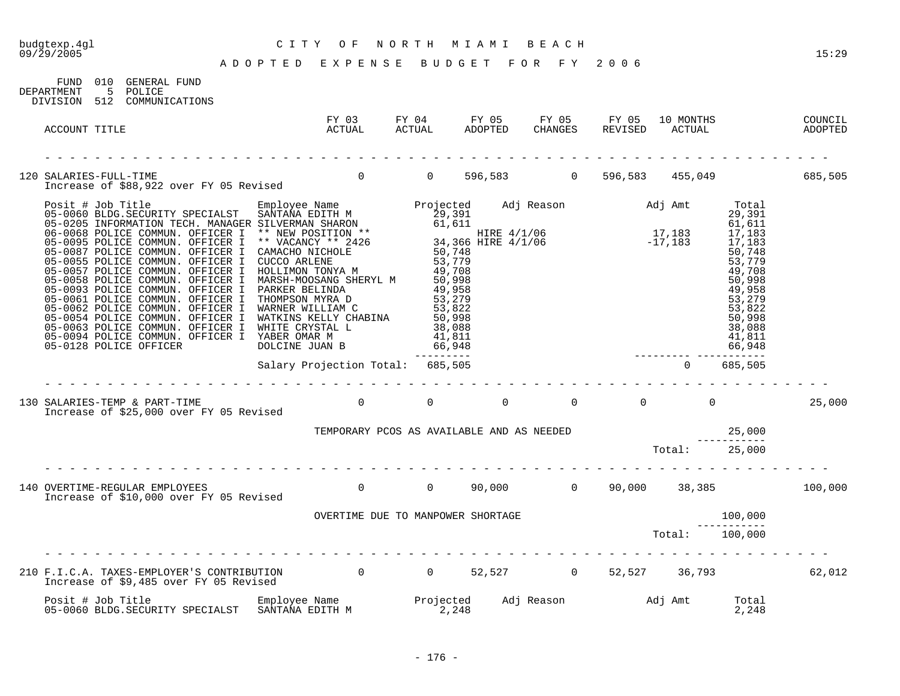FUND 010 GENERAL FUND

# budgtexp.4gl C I T Y O F N O R T H M I A M I B E A C H

| DEPARTMENT    | 5 POLICE<br>DIVISION 512 COMMUNICATIONS                                                                                                                                 |                                                                           |  |  |  |        |
|---------------|-------------------------------------------------------------------------------------------------------------------------------------------------------------------------|---------------------------------------------------------------------------|--|--|--|--------|
| ACCOUNT TITLE |                                                                                                                                                                         | FY 03<br>ACTUAL                                                           |  |  |  |        |
|               |                                                                                                                                                                         |                                                                           |  |  |  |        |
|               | 120 SALARIES-FULL-TIME<br>Increase of \$88,922 over FY 05 Revised        0     0  596,583      0  596,583   455,049         685,505                                     |                                                                           |  |  |  |        |
|               |                                                                                                                                                                         |                                                                           |  |  |  |        |
|               | .<br>Increase of \$25,000 over FY 05 Revised                                                                                                                            |                                                                           |  |  |  | 25,000 |
|               |                                                                                                                                                                         | TEMPORARY PCOS AS AVAILABLE AND AS NEEDED<br>-----------<br>Total: 25,000 |  |  |  |        |
|               |                                                                                                                                                                         |                                                                           |  |  |  |        |
|               | 140 OVERTIME-REGULAR EMPLOYEES 6 0 0 0 0 90,000 0 90,000 0 90,000 38,385 100,000<br>Increase of \$10,000 over FY 05 Revised                                             |                                                                           |  |  |  |        |
|               |                                                                                                                                                                         |                                                                           |  |  |  |        |
|               |                                                                                                                                                                         |                                                                           |  |  |  |        |
|               | 210 F.I.C.A. TAXES-EMPLOYER'S CONTRIBUTION 0 0 0 52,527 0 52,527 36,793 62,012<br>Increase of \$9,485 over FY 05 Revised                                                |                                                                           |  |  |  |        |
|               | Posit # Job Title Employee Name Projected Adj Reason and Adj Amt Total Control of Adj Amt Total Control of the<br>1,248 05-0060 BLDG.SECURITY SPECIALST SANTANA EDITH M |                                                                           |  |  |  |        |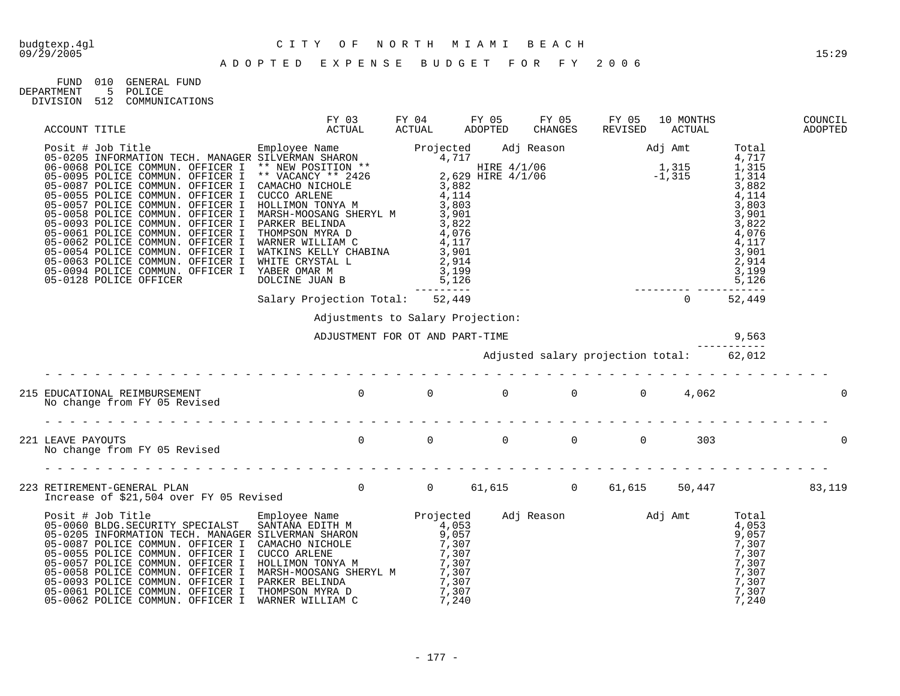| FIMD       | 01 Q | GENERAL FUND   |
|------------|------|----------------|
| DEPARTMENT | 5    | POLICE         |
| DIVISION   | 512  | COMMUNICATIONS |

| ACCOUNT TITLE                                                                                                                                                                                                                                                                                                                                                                | <b>ACTUAL</b>                         |                                          | CHANGES REVISED | 10 MONTHS<br>ACTUAL | COUNCIL<br>ADOPTED |
|------------------------------------------------------------------------------------------------------------------------------------------------------------------------------------------------------------------------------------------------------------------------------------------------------------------------------------------------------------------------------|---------------------------------------|------------------------------------------|-----------------|---------------------|--------------------|
| $\begin{tabular}{l c c c c c} \multicolumn{1}{c}{ACCOUTT TITLE} & $\mathsf{ACTUAL}$ & $\mathsf{ACTUAL}$ & $ACTUAL$ & $AOTUAL$ & $AOUTAL$ & $AOUTAL$ & $AOUTAL$ & $AOUTAL$ & $AOUTAL$ & $AUSTL0$ & $RMS-1$ & $RMS-1$ & $RMS-1$ & $RMS-1$ & $RMS-1$ & $RMS-1$ & $RMS-1$ & $RMS-1$ & $RMS-1$ & $RMS-1$ & $RMS-1$ & $RMS-1$ & $RMS-1$ & $RMS-1$ & $RMS-1$ & $RMS-1$ & $RMS-1$ &$ |                                       |                                          |                 |                     |                    |
|                                                                                                                                                                                                                                                                                                                                                                              |                                       |                                          |                 |                     |                    |
|                                                                                                                                                                                                                                                                                                                                                                              | Adjustments to Salary Projection:     |                                          |                 |                     |                    |
|                                                                                                                                                                                                                                                                                                                                                                              | 9,563 ADJUSTMENT FOR OT AND PART-TIME |                                          |                 |                     |                    |
|                                                                                                                                                                                                                                                                                                                                                                              |                                       | Adjusted salary projection total: 62,012 |                 |                     |                    |
|                                                                                                                                                                                                                                                                                                                                                                              |                                       |                                          |                 |                     | 0                  |
|                                                                                                                                                                                                                                                                                                                                                                              |                                       |                                          |                 |                     | $\Omega$           |
| 223 RETIREMENT-GENERAL PLAN<br>1ncrease of \$21,504 over FY 05 Revised        0     0   61,615      0   61,615   50,447         83,119                                                                                                                                                                                                                                       |                                       |                                          |                 |                     |                    |
|                                                                                                                                                                                                                                                                                                                                                                              |                                       |                                          |                 |                     |                    |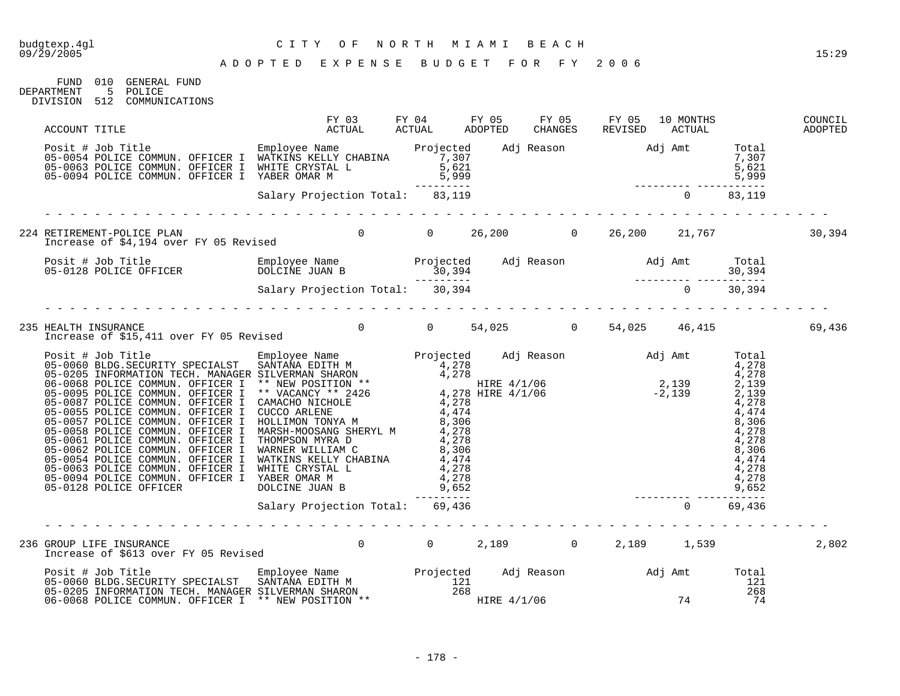#### A D O P T E D E X P E N S E B U D G E T F O R F Y 2 0 0 6

FUND 010 GENERAL FUND<br>DEPARTMENT 5 POLICE 5 POLICE DIVISION 512 COMMUNICATIONS

| ACCOUNT TITLE                                                                                                                                                                                                                              | FY 03<br>ACTUAL ACTUAL ADOPTED | FY 04 FY 05 | FY 05 FY 05<br>CHANGES REVISED | 10 MONTHS<br>ACTUAL | COUNCIL<br>ADOPTED |
|--------------------------------------------------------------------------------------------------------------------------------------------------------------------------------------------------------------------------------------------|--------------------------------|-------------|--------------------------------|---------------------|--------------------|
| Posit # Job Title<br>Projected Adj Reason Adj Amt Total<br>05-0064 POLICE COMMUN. OFFICER I WHITE CRYSTAL L<br>05-0094 POLICE COMMUN. OFFICER I YABER OMAR M<br>05-0094 POLICE COMMUN. OFFICER I YABER OMAR M<br>21.19<br>22.2.2.2.2.2.2.2 |                                |             |                                |                     |                    |
|                                                                                                                                                                                                                                            |                                |             |                                |                     |                    |
| 224 RETIREMENT-POLICE PLAN 6.394<br>Increase of \$4,194 over FY 05 Revised 10 10 10 26,200 10 26,200 21,767 10 20,394                                                                                                                      |                                |             |                                |                     |                    |
|                                                                                                                                                                                                                                            |                                |             |                                |                     |                    |
|                                                                                                                                                                                                                                            |                                |             |                                |                     |                    |
| 235 HEALTH INSURANCE<br>Increase of \$15,411 over FY 05 Revised        0     0   54,025      0   54,025    46,415         69,436                                                                                                           |                                |             |                                |                     |                    |
|                                                                                                                                                                                                                                            |                                |             |                                |                     |                    |
|                                                                                                                                                                                                                                            |                                |             |                                |                     |                    |
| GROUP LIFE INSURANCE<br>Increase of \$613 over FY 05 Revised          0     0    2,189     0   2,189    1,539<br>236 GROUP LIFE INSURANCE                                                                                                  |                                |             |                                |                     | 2,802              |
| Posit # Job Title Employee Name Projected Adj Reason Adj Amt Total Companies Controller Employee Name Projected Adj Reason Adj Amt Total Companies of the SANTANA EDITH M<br>121 121 125-0205 INFORMATION TECH. MANAGER SILVERMAN          |                                |             |                                |                     |                    |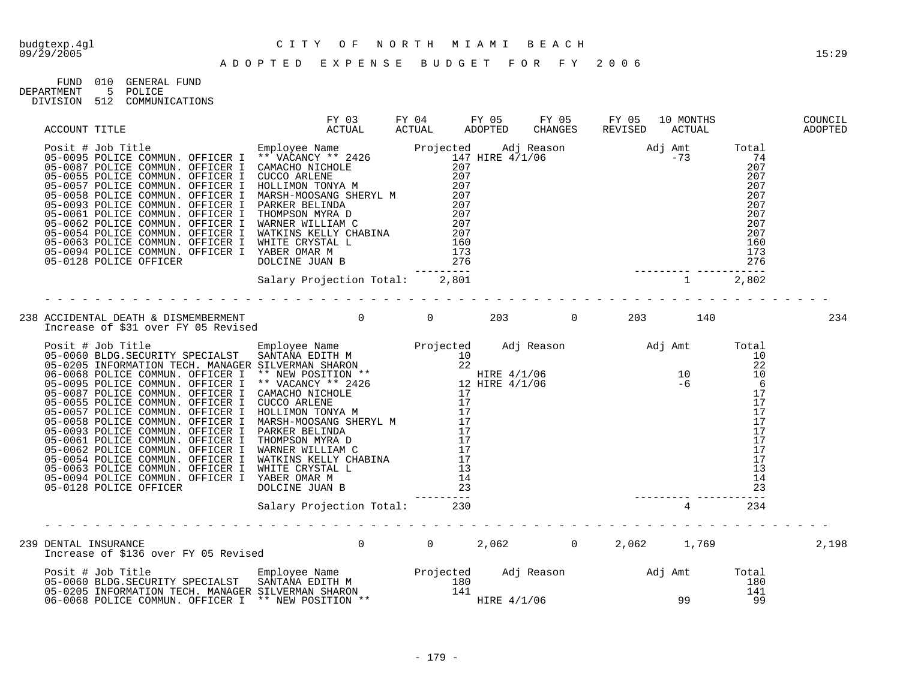| FIJND.     | 010 | GENERAL FUND       |
|------------|-----|--------------------|
| DEPARTMENT |     | POLICE             |
| DIVISION   |     | 512 COMMUNICATIONS |

| ACCOUNT TITLE |                                                                                                                                                                                                                                        |                                |  |                                                                                                                                                                                                                                                                                                                                                                          |  |  |       |
|---------------|----------------------------------------------------------------------------------------------------------------------------------------------------------------------------------------------------------------------------------------|--------------------------------|--|--------------------------------------------------------------------------------------------------------------------------------------------------------------------------------------------------------------------------------------------------------------------------------------------------------------------------------------------------------------------------|--|--|-------|
|               | ACTORINATION (ACTOR COMMUN). OFFICER I WARNER MILLIAM (ACTOR)<br>1951 + Job Tollic COMMUN). OFFICER I ** VACANCY ** 2426<br>05-0085 POLICE COMMUN). OFFICER I COMMONICALENE<br>05-0085 POLICE COMMUN). OFFICER I CUCCO ARLENE<br>05-00 |                                |  | $\begin{array}{cccccc} 147 & \text{HIRE} & 4/1/06 & & & & & & & & 74 \\ 207 & & & & & & & & & 207 \\ 207 & & & & & & & & 207 \\ 207 & & & & & & & & 207 \\ 207 & & & & & & & & 207 \\ 207 & & & & & & & & 207 \\ 207 & & & & & & & & 207 \\ 207 & & & & & & & & 207 \\ 207 & & & & & & & & 207 \\ 207 & & & & & & & & 207 \\ 207 & & & & & & & & 207 \\ 207 & & & & & &$ |  |  |       |
|               |                                                                                                                                                                                                                                        | Salary Projection Total: 2,801 |  |                                                                                                                                                                                                                                                                                                                                                                          |  |  |       |
|               | 238 ACCIDENTAL DEATH & DISMEMBERMENT<br>140 Increase of \$31 over FY 05 Revised<br>203 December 203 December 203 December 203 December 203 December 203 December 203 December 204 December 203 De                                      |                                |  |                                                                                                                                                                                                                                                                                                                                                                          |  |  | 234   |
|               |                                                                                                                                                                                                                                        |                                |  |                                                                                                                                                                                                                                                                                                                                                                          |  |  |       |
|               |                                                                                                                                                                                                                                        | Salary Projection Total: 230   |  |                                                                                                                                                                                                                                                                                                                                                                          |  |  |       |
|               | DENTAL INSURANCE<br>Increase of \$136 over FY 05 Revised          0     0    2,062      0    2,062    1,769<br>239 DENTAL INSURANCE                                                                                                    |                                |  |                                                                                                                                                                                                                                                                                                                                                                          |  |  | 2,198 |
|               |                                                                                                                                                                                                                                        |                                |  |                                                                                                                                                                                                                                                                                                                                                                          |  |  |       |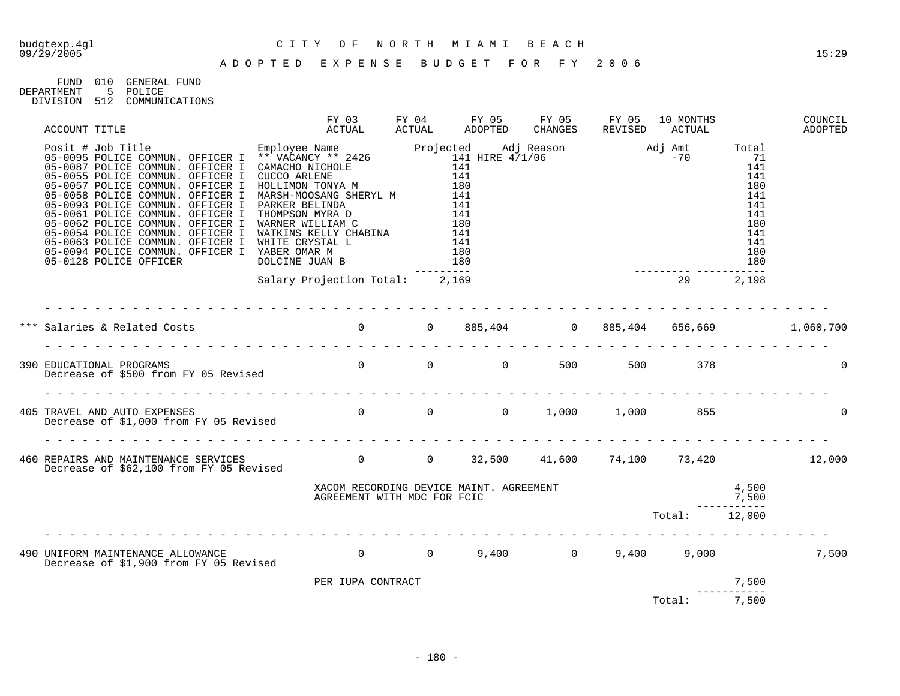FUND 010 GENERAL FUND<br>DEPARTMENT 5 POLICE DEPARTMENT 5 POLICE DIVISION 512 COMMUNICATIONS

| ACCOUNT TITLE                                                                                                                                                                                                                               | FY 03<br>ACTUAL                                                        | ACTUAL | FY 04 FY 05 FY 05 FY 05<br>ADOPTED |  | 10 MONTHS<br>CHANGES REVISED ACTUAL |                      | COUNCIL<br>ADOPTED |
|---------------------------------------------------------------------------------------------------------------------------------------------------------------------------------------------------------------------------------------------|------------------------------------------------------------------------|--------|------------------------------------|--|-------------------------------------|----------------------|--------------------|
| ACCOUNT TITLE<br>Posit # Job Toilet COMMUN. OFFICER I ** VACANCY ** 2426<br>05-0095 POLICE COMMUN. OFFICER I ** VACANCY ** 2426<br>05-0095 POLICE COMMUN. OFFICER I CMOCO ARLENE<br>141<br>05-0057 POLICE COMMUN. OFFICER I MORENT 1000<br> |                                                                        |        |                                    |  |                                     |                      |                    |
|                                                                                                                                                                                                                                             | Salary Projection Total: 2,169                                         |        |                                    |  |                                     |                      |                    |
|                                                                                                                                                                                                                                             |                                                                        |        |                                    |  |                                     |                      |                    |
| 390 EDUCATIONAL PROGRAMS<br>Decrease of \$500 from FY 05 Revised         0      0      0    500     500      378                                                                                                                            |                                                                        |        |                                    |  |                                     |                      | $\Omega$           |
| 405 TRAVEL AND AUTO EXPENSES<br>Decrease of \$1,000 from FY 05 Revised        0      0     0   1,000    1,000     855                                                                                                                       |                                                                        |        |                                    |  |                                     |                      | $\Omega$           |
| 460 REPAIRS AND MAINTENANCE SERVICES (1, 1, 2, 2, 500 (2, 500 (41,600 (2, 100 (2, 420 (12,000)<br>Decrease of \$62,100 from FY 05 Revised                                                                                                   |                                                                        |        |                                    |  |                                     |                      |                    |
|                                                                                                                                                                                                                                             | XACOM RECORDING DEVICE MAINT. AGREEMENT<br>AGREEMENT WITH MDC FOR FCIC |        |                                    |  |                                     | 4,500<br>7,500       |                    |
|                                                                                                                                                                                                                                             |                                                                        |        |                                    |  | Total: 12,000                       |                      |                    |
| $\begin{array}{cccccccccccccc} 490&\text{UNIFORM MAINTENANCE} &\text{ALLOWANCE} & & & & & 0 & & 0 & & 9\text{,}400 & & & 0 & & 9\text{,}400 & & & 9\text{,}000\end{array}$<br>Decrease of \$1,900 from FY 05 Revised                        |                                                                        |        |                                    |  |                                     |                      | 7,500              |
|                                                                                                                                                                                                                                             | PER IUPA CONTRACT                                                      |        |                                    |  |                                     | 7,500<br>----------- |                    |
|                                                                                                                                                                                                                                             |                                                                        |        |                                    |  | Total: 7,500                        |                      |                    |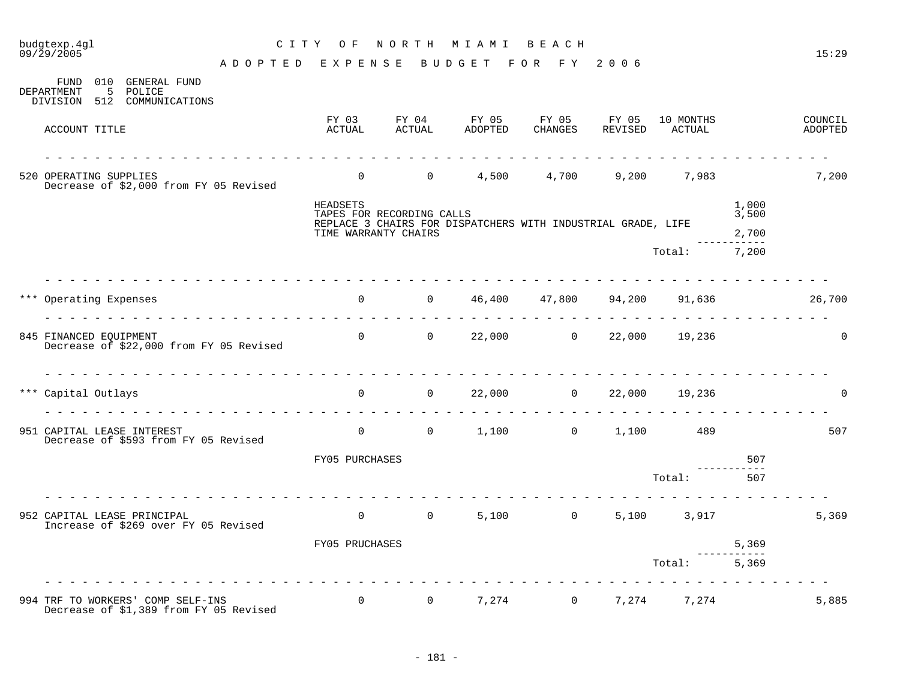| budgtexp.4gl<br>$09/\bar{2}9/2005$                                          |                                    | CITY OF NORTH MIAMI BEACH             |                                              |                  |                                                              |                          |                                       |                | 15:29              |
|-----------------------------------------------------------------------------|------------------------------------|---------------------------------------|----------------------------------------------|------------------|--------------------------------------------------------------|--------------------------|---------------------------------------|----------------|--------------------|
| FUND 010 GENERAL FUND                                                       | ADOPTED EXPENSE BUDGET FOR FY 2006 |                                       |                                              |                  |                                                              |                          |                                       |                |                    |
| 5<br>DEPARTMENT<br>POLICE<br>DIVISION 512 COMMUNICATIONS                    |                                    |                                       |                                              |                  |                                                              |                          |                                       |                |                    |
| ACCOUNT TITLE                                                               |                                    | FY 03<br>ACTUAL                       | FY 04<br>ACTUAL                              | FY 05<br>ADOPTED | FY 05                                                        | FY 05<br>CHANGES REVISED | 10 MONTHS<br>ACTUAL                   |                | COUNCIL<br>ADOPTED |
| 520 OPERATING SUPPLIES<br>Decrease of \$2,000 from FY 05 Revised            |                                    |                                       | $\begin{matrix}0&0\end{matrix}$              |                  |                                                              |                          | 4,500 4,700 9,200 7,983               |                | 7,200              |
|                                                                             |                                    | HEADSETS<br>TAPES FOR RECORDING CALLS |                                              |                  |                                                              |                          |                                       | 1,000<br>3,500 |                    |
|                                                                             |                                    | TIME WARRANTY CHAIRS                  |                                              |                  | REPLACE 3 CHAIRS FOR DISPATCHERS WITH INDUSTRIAL GRADE, LIFE |                          |                                       | 2,700          |                    |
|                                                                             |                                    |                                       |                                              |                  |                                                              |                          | Total: 7,200                          |                |                    |
| *** Operating Expenses                                                      |                                    |                                       |                                              |                  |                                                              |                          | 0 $46,400$ $47,800$ $94,200$ $91,636$ |                | 26,700             |
| 845 FINANCED EQUIPMENT<br>Decrease of \$22,000 from FY 05 Revised           |                                    |                                       |                                              |                  | 0 0 22,000 0 22,000 19,236                                   |                          |                                       |                | $\Omega$           |
| *** Capital Outlays                                                         |                                    |                                       | $\begin{matrix} 0 & 0 \end{matrix}$          |                  | 22,000 0 22,000 19,236                                       |                          |                                       |                | $\Omega$           |
| 951 CAPITAL LEASE INTEREST<br>Decrease of \$593 from FY 05 Revised          |                                    |                                       |                                              |                  |                                                              |                          |                                       |                | 507                |
|                                                                             |                                    | FY05 PURCHASES                        |                                              |                  |                                                              |                          |                                       | 507            |                    |
|                                                                             |                                    |                                       |                                              |                  |                                                              |                          | Total:                                | 507            |                    |
| 952 CAPITAL LEASE PRINCIPAL<br>Increase of \$269 over FY 05 Revised         |                                    |                                       | $\begin{matrix} 0 & 0 \\ 0 & 0 \end{matrix}$ |                  | $5,100$ 0                                                    |                          | 5,100 3,917                           |                | 5,369              |
|                                                                             |                                    | FY05 PRUCHASES                        |                                              |                  |                                                              |                          |                                       | 5,369          |                    |
|                                                                             |                                    |                                       |                                              |                  |                                                              |                          | Total:                                | 5,369          |                    |
| 994 TRF TO WORKERS' COMP SELF-INS<br>Decrease of \$1,389 from FY 05 Revised |                                    |                                       |                                              |                  |                                                              |                          | 0 0 $7,274$ 0 $7,274$ 7,274 $7,274$   |                | 5,885              |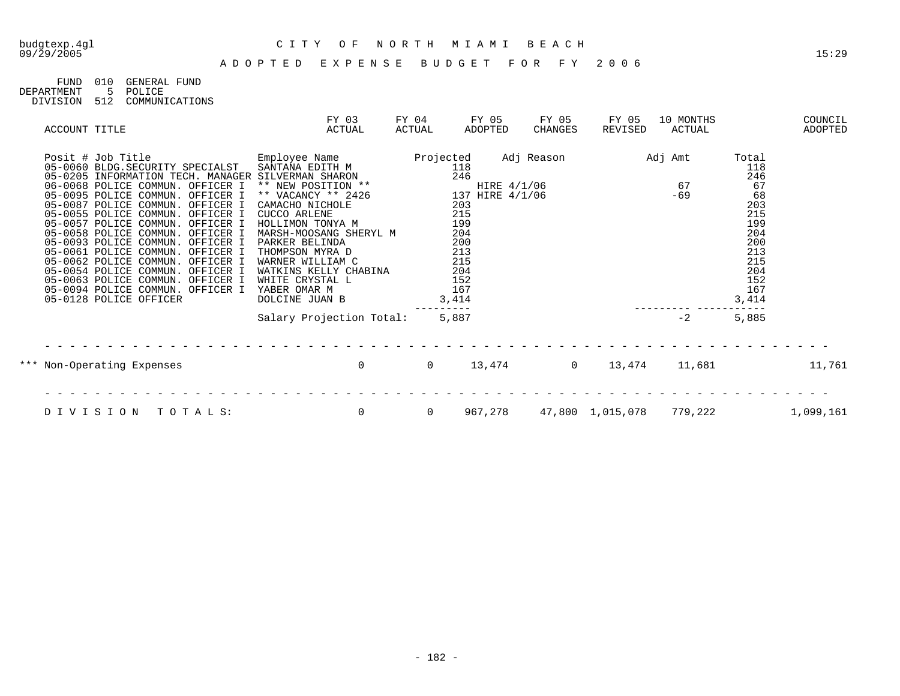# budgtexp.4gl C I T Y O F N O R T H M I A M I B E A C H

| FIMD       | 01 Q | GENERAL FUND   |
|------------|------|----------------|
| DEPARTMENT | 5    | POLICE         |
| DIVISION   | 512  | COMMUNICATIONS |

| ACCOUNT TITLE |                                                                                                                                                                                                                                                                                                                                                                                                                                                                                                                                                                                | FY 03<br>ACTUAL                                                                                                                                                                                                                                                                                   | FY 04<br>ACTUAL | FY 05<br>ADOPTED                                                                                                            | FY 05<br>CHANGES | FY 05<br>REVISED                   | 10 MONTHS<br>ACTUAL |                                                                                                                | COUNCIL<br>ADOPTED |
|---------------|--------------------------------------------------------------------------------------------------------------------------------------------------------------------------------------------------------------------------------------------------------------------------------------------------------------------------------------------------------------------------------------------------------------------------------------------------------------------------------------------------------------------------------------------------------------------------------|---------------------------------------------------------------------------------------------------------------------------------------------------------------------------------------------------------------------------------------------------------------------------------------------------|-----------------|-----------------------------------------------------------------------------------------------------------------------------|------------------|------------------------------------|---------------------|----------------------------------------------------------------------------------------------------------------|--------------------|
|               | Posit # Job Title<br>05-0060 BLDG.SECURITY SPECIALST<br>05-0205 INFORMATION TECH. MANAGER SILVERMAN SHARON<br>06-0068 POLICE COMMUN. OFFICER I<br>05-0095 POLICE COMMUN. OFFICER I<br>05-0087 POLICE COMMUN. OFFICER I<br>05-0055 POLICE COMMUN. OFFICER I<br>05-0057 POLICE COMMUN. OFFICER I HOLLIMON TONYA M<br>05-0093 POLICE COMMUN. OFFICER I<br>05-0061 POLICE COMMUN. OFFICER I<br>05-0062 POLICE COMMUN. OFFICER I<br>05-0054 POLICE COMMUN. OFFICER I<br>05-0063 POLICE COMMUN. OFFICER I<br>05-0094 POLICE COMMUN. OFFICER I YABER OMAR M<br>05-0128 POLICE OFFICER | Employee Name<br>SANTANA EDITH M<br>** NEW POSITION **<br>** VACANCY ** 2426<br>CAMACHO NICHOLE<br>CUCCO ARLENE<br>05-0058 POLICE COMMUN. OFFICER I MARSH-MOOSANG SHERYL M<br>PARKER BELINDA<br>THOMPSON MYRA D<br>WARNER WILLIAM C<br>WATKINS KELLY CHABINA<br>WHITE CRYSTAL L<br>DOLCINE JUAN B | Projected       | 118<br>246<br>HIRE 4/1/06<br>137 HIRE 4/1/06<br>203<br>215<br>199<br>204<br>200<br>213<br>215<br>204<br>152<br>167<br>3,414 | Adj Reason       | HIRE 4/1/06 67<br>HIRE 4/1/06 - 69 | Adj Amt             | Total<br>118<br>246<br>67<br>68<br>203<br>215<br>199<br>204<br>200<br>213<br>215<br>204<br>152<br>167<br>3,414 |                    |
|               |                                                                                                                                                                                                                                                                                                                                                                                                                                                                                                                                                                                | Salary Projection Total:                                                                                                                                                                                                                                                                          |                 | 5,887                                                                                                                       |                  |                                    | $-2$                | 5,885                                                                                                          |                    |
|               | *** Non-Operating Expenses                                                                                                                                                                                                                                                                                                                                                                                                                                                                                                                                                     | $\mathbf 0$                                                                                                                                                                                                                                                                                       | $\overline{0}$  | 13,474                                                                                                                      |                  | $\overline{0}$<br>13,474           | 11,681              |                                                                                                                | 11,761             |
|               | DIVISION<br>TOTALS:                                                                                                                                                                                                                                                                                                                                                                                                                                                                                                                                                            | 0                                                                                                                                                                                                                                                                                                 | $\overline{0}$  | 967,278                                                                                                                     |                  | 47,800 1,015,078                   | 779,222             |                                                                                                                | 1,099,161          |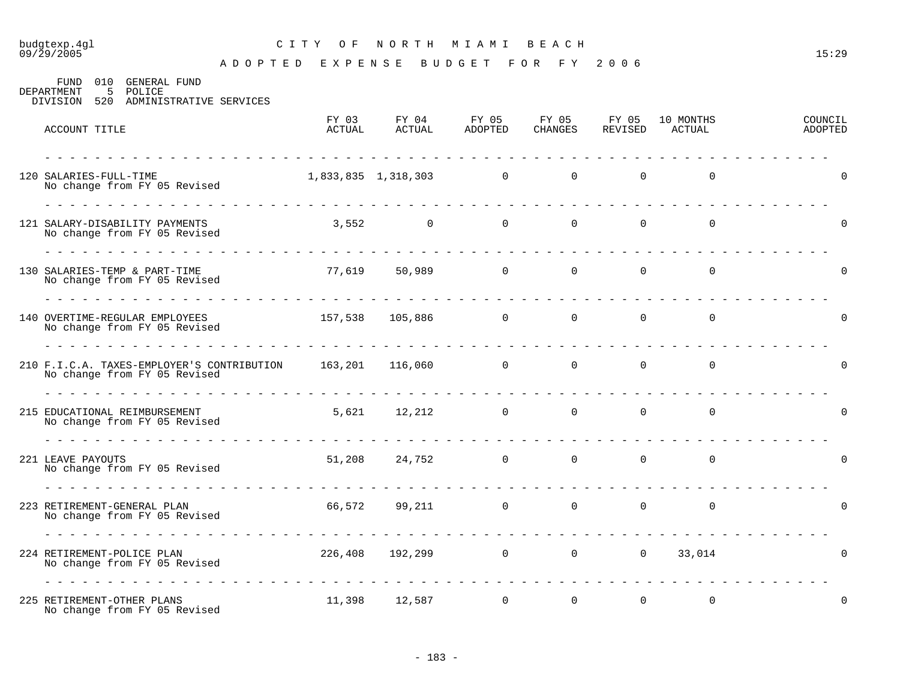### budgtexp.4gl C I T Y O F N O R T H M I A M I B E A C H

A D O P T E D E X P E N S E B U D G E T F O R F Y 2 0 0 6

FUND 010 GENERAL FUND<br>DEPARTMENT 5 POLICE 5 POLICE DIVISION 520 ADMINISTRATIVE SERVICES

| ACCOUNT TITLE                                                                                    | FY 03<br>ACTUAL | FY 04<br>ACTUAL         | FY 05<br>ADOPTED                                                                                                                                                                                                                     | FY 05<br><b>CHANGES</b> | FY 05<br>REVISED                 | 10 MONTHS<br>ACTUAL | COUNCIL<br>ADOPTED |
|--------------------------------------------------------------------------------------------------|-----------------|-------------------------|--------------------------------------------------------------------------------------------------------------------------------------------------------------------------------------------------------------------------------------|-------------------------|----------------------------------|---------------------|--------------------|
| 120 SALARIES-FULL-TIME<br>No change from FY 05 Revised                                           |                 | 1,833,835 1,318,303 0 0 | <u>in die staans die staans die staan van die staan van die staan van die staan van die staan van die staan van die staan van die staan van die staan van die staan van die staan van die staan van die staan van die staan van </u> |                         | $\Omega$                         | $\Omega$            |                    |
| 121 SALARY-DISABILITY PAYMENTS<br>No change from FY 05 Revised                                   |                 | $3,552$ 0 0 0 0         |                                                                                                                                                                                                                                      |                         |                                  | $\overline{0}$      |                    |
| 130 SALARIES-TEMP & PART-TIME<br>No change from FY 05 Revised                                    |                 | 77,619 50,989 0 0 0     |                                                                                                                                                                                                                                      |                         |                                  | $\overline{0}$      |                    |
| 140 OVERTIME-REGULAR EMPLOYEES<br>No change from FY 05 Revised                                   |                 | 157,538 105,886 0       |                                                                                                                                                                                                                                      | $\overline{0}$          | $\overline{0}$                   | $\overline{0}$      |                    |
| 210 F.I.C.A. TAXES-EMPLOYER'S CONTRIBUTION 163,201 116,060 0 0 0<br>No change from FY 05 Revised |                 |                         |                                                                                                                                                                                                                                      |                         | $\Omega$                         | $\overline{0}$      |                    |
| 215 EDUCATIONAL REIMBURSEMENT<br>No change from FY 05 Revised                                    |                 | 5,621 12,212 0          |                                                                                                                                                                                                                                      | $\overline{0}$          | $\overline{0}$                   | $\overline{0}$      |                    |
| 221 LEAVE PAYOUTS<br>No change from FY 05 Revised                                                |                 | 51,208 24,752 0         |                                                                                                                                                                                                                                      |                         | $\overline{0}$<br>$\overline{0}$ | $\overline{0}$      |                    |
| 223 RETIREMENT-GENERAL PLAN<br>No change from FY 05 Revised                                      |                 | 66,572 99,211 0         |                                                                                                                                                                                                                                      | $\overline{0}$          | $\mathbf 0$                      | $\mathbf 0$         | O                  |
| 224 RETIREMENT-POLICE PLAN<br>No change from FY 05 Revised                                       |                 | 226,408 192,299 0       |                                                                                                                                                                                                                                      |                         |                                  | 0 0 33,014          | $\Omega$           |
| 225 RETIREMENT-OTHER PLANS<br>No change from FY 05 Revised                                       |                 | 11,398 12,587           | $\overline{0}$                                                                                                                                                                                                                       | $\Omega$                | $\Omega$                         | $\mathbf 0$         | $\Omega$           |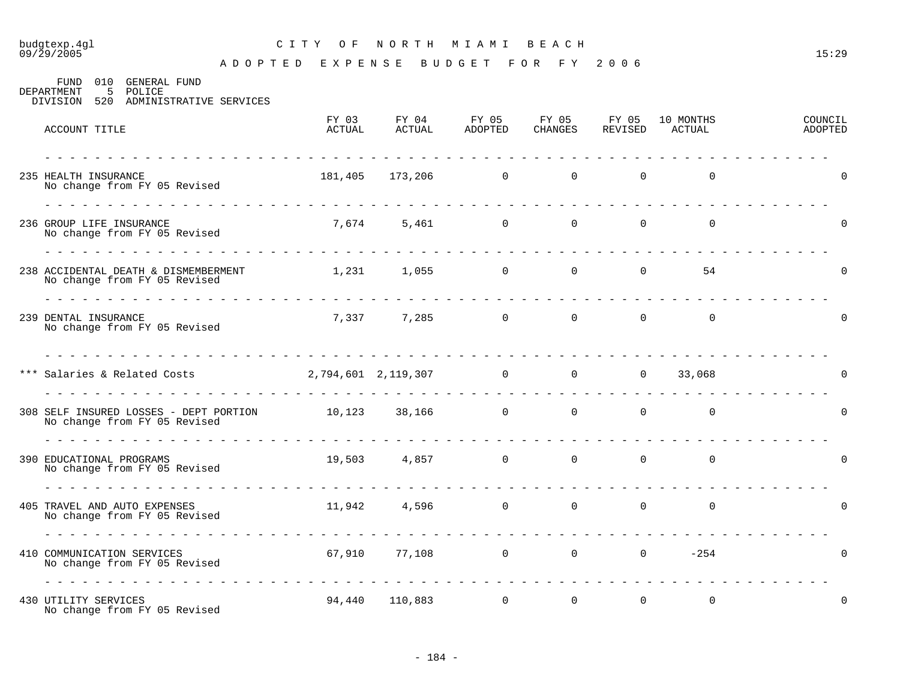### budgtexp.4gl C I T Y O F N O R T H M I A M I B E A C H

| FUND<br>010<br>GENERAL FUND<br>5 POLICE<br>DEPARTMENT<br>520 ADMINISTRATIVE SERVICES<br>DIVISION |                 |                 |                  |                  |                  |                     |                    |
|--------------------------------------------------------------------------------------------------|-----------------|-----------------|------------------|------------------|------------------|---------------------|--------------------|
| ACCOUNT TITLE                                                                                    | FY 03<br>ACTUAL | FY 04<br>ACTUAL | FY 05<br>ADOPTED | FY 05<br>CHANGES | FY 05<br>REVISED | 10 MONTHS<br>ACTUAL | COUNCIL<br>ADOPTED |
| 235 HEALTH INSURANCE<br>No change from FY 05 Revised                                             | 181,405         | 173,206         | $\overline{0}$   | $\overline{0}$   | $\overline{0}$   | $\overline{0}$      | $\mathbf 0$        |
| 236 GROUP LIFE INSURANCE<br>No change from FY 05 Revised                                         | 7,674           | 5,461           | $\overline{0}$   | $\overline{0}$   | $\overline{0}$   | $\overline{0}$      | $\Omega$           |
| 238 ACCIDENTAL DEATH & DISMEMBERMENT<br>No change from FY 05 Revised                             | 1,231           | 1,055           | $\mathbf 0$      | $\overline{0}$   | $\Omega$         | 54                  |                    |
| 239 DENTAL INSURANCE<br>No change from FY 05 Revised                                             | 7,337           | 7,285           | $\mathbf 0$      | $\overline{0}$   | $\mathbf 0$      | $\Omega$            |                    |

| 239 DENTAL INSURANCE<br>No change from FY 05 Revised                   | 7,337  | 7,285               | $\Omega$       | $\Omega$       | $\Omega$       | 0            | $\Omega$       |  |
|------------------------------------------------------------------------|--------|---------------------|----------------|----------------|----------------|--------------|----------------|--|
| *** Salaries & Related Costs                                           |        | 2,794,601 2,119,307 | $\overline{0}$ | $\overline{0}$ | $\overline{0}$ | 33,068       | $\Omega$       |  |
| 308 SELF INSURED LOSSES - DEPT PORTION<br>No change from FY 05 Revised | 10,123 | 38,166              | $\mathbf 0$    | $\overline{0}$ | $\Omega$       | $\mathbf 0$  | $\overline{0}$ |  |
| 390 EDUCATIONAL PROGRAMS<br>No change from FY 05 Revised               | 19,503 | 4,857               | $\overline{0}$ | $\overline{0}$ | $\overline{0}$ | $\mathbf 0$  | $\overline{0}$ |  |
| 405 TRAVEL AND AUTO EXPENSES<br>No change from FY 05 Revised           | 11,942 | 4,596               | $\overline{0}$ | $\overline{0}$ | $\overline{0}$ | $\mathsf{O}$ | $\overline{0}$ |  |
| 410 COMMUNICATION SERVICES<br>No change from FY 05 Revised             | 67,910 | 77,108              | $\mathbf 0$    | $\overline{0}$ | $\overline{0}$ | $-254$       | $\overline{0}$ |  |
| 430 UTILITY SERVICES<br>No change from FY 05 Revised                   | 94,440 | 110,883             | $\mathbf 0$    | $\mathbf 0$    | $\overline{0}$ | $\mathbf 0$  | $\overline{0}$ |  |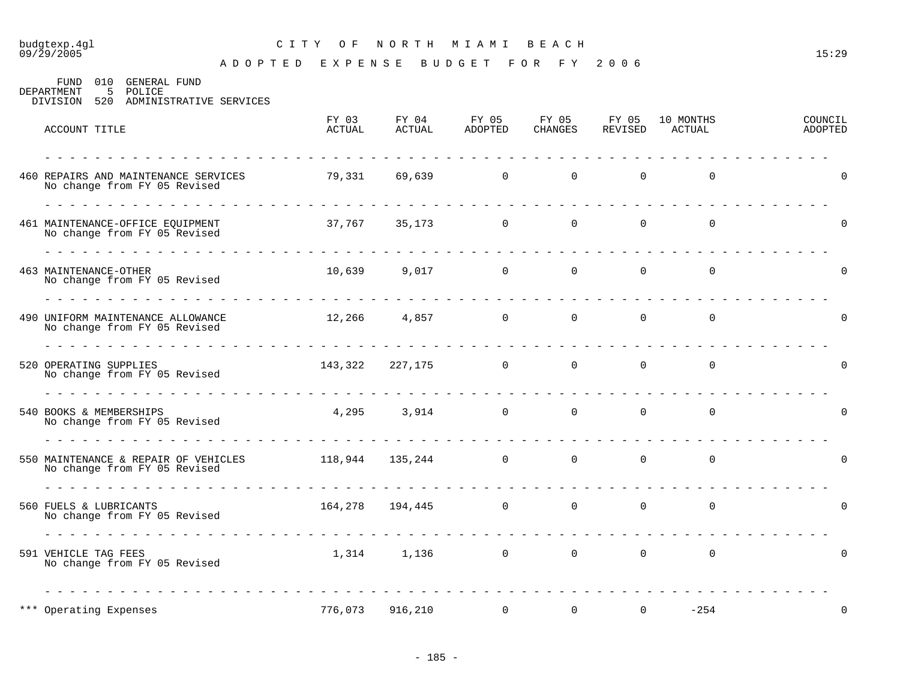### budgtexp.4gl C I T Y O F N O R T H M I A M I B E A C H

A D O P T E D E X P E N S E B U D G E T F O R F Y 2 0 0 6

FUND 010 GENERAL FUND<br>DEPARTMENT 5 POLICE 5 POLICE DIVISION 520 ADMINISTRATIVE SERVICES

| ACCOUNT TITLE                                                        | FY 03<br>ACTUAL         | FY 04<br>ACTUAL     | FY 05<br>ADOPTED      | FY 05<br>CHANGES | FY 05<br>REVISED | 10 MONTHS<br>ACTUAL | COUNCIL<br>ADOPTED |
|----------------------------------------------------------------------|-------------------------|---------------------|-----------------------|------------------|------------------|---------------------|--------------------|
| 460 REPAIRS AND MAINTENANCE SERVICES<br>No change from FY 05 Revised | 79,331                  |                     | 69,639 0              | $\overline{0}$   | $\overline{0}$   | $\overline{0}$      | 0                  |
| 461 MAINTENANCE-OFFICE EQUIPMENT<br>No change from FY 05 Revised     |                         |                     | $37,767$ $35,173$ 0 0 |                  | $\overline{0}$   | $\mathsf{O}$        | O                  |
| <b>463 MAINTENANCE-OTHER</b><br>No change from FY 05 Revised         |                         |                     | 10,639 9,017 0 0      |                  | $\overline{0}$   | $\overline{0}$      | $\Omega$           |
| 490 UNIFORM MAINTENANCE ALLOWANCE<br>No change from FY 05 Revised    |                         |                     | $12,266$ 4,857 0      | $\overline{0}$   | $\mathsf{O}$     | $\mathsf{O}$        | O                  |
| 520 OPERATING SUPPLIES<br>No change from FY 05 Revised               |                         |                     | 143,322 227,175 0 0   |                  | $\overline{0}$   | $\overline{0}$      | $\Omega$           |
| 540 BOOKS & MEMBERSHIPS<br>No change from FY 05 Revised              |                         |                     | 4,295 3,914 0         | $\overline{0}$   | $\mathbf{0}$     | $\mathbf 0$         | 0                  |
| 550 MAINTENANCE & REPAIR OF VEHICLES<br>No change from FY 05 Revised | $118,944$ $135,244$ 0 0 |                     |                       |                  | $\mathbf 0$      | 0                   | $\Omega$           |
| 560 FUELS & LUBRICANTS<br>No change from FY 05 Revised               |                         | 164,278  194,445  0 |                       | $\mathbf 0$      | $\mathbf 0$      | $\mathbf 0$         | $\Omega$           |
| 591 VEHICLE TAG FEES<br>No change from FY 05 Revised                 |                         | 1,314 1,136         | $\overline{0}$        | $\mathbf 0$      | $\mathbf 0$      | $\mathbf 0$         | O                  |
| *** Operating Expenses                                               | 776,073                 | 916,210             | 0                     | $\overline{0}$   | $\mathbf 0$      | $-254$              | 0                  |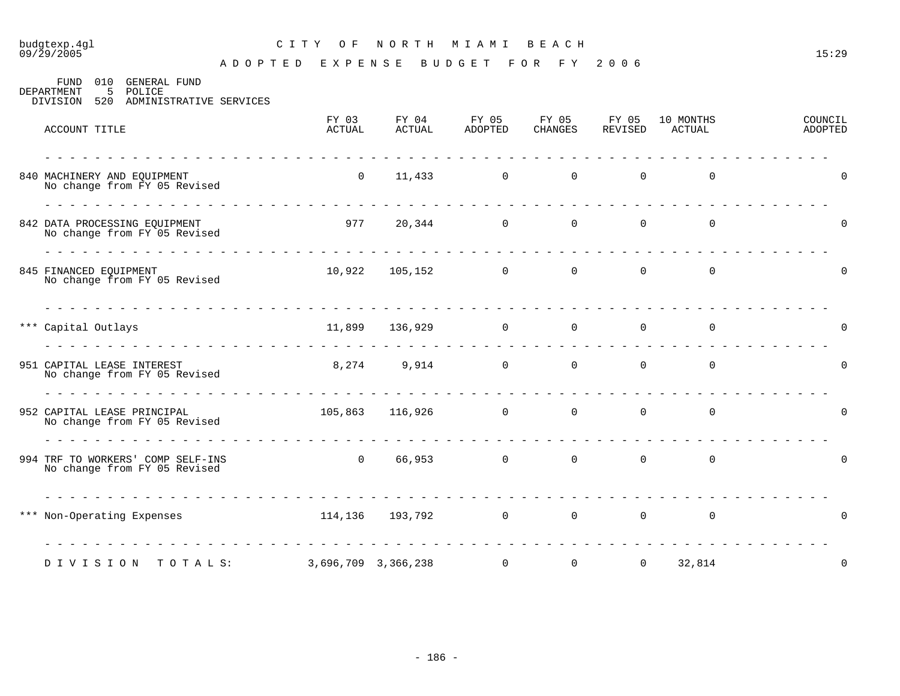### budgtexp.4gl C I T Y O F N O R T H M I A M I B E A C H

A D O P T E D E X P E N S E B U D G E T F O R F Y 2 0 0 6

FUND 010 GENERAL FUND DEPARTMENT 5 POLICE DIVISION 520 ADMINISTRATIVE SERVICES

| ACCOUNT TITLE                                                                  | FY 03<br>ACTUAL | FY 04<br><b>ACTUAL</b>                               | FY 05<br>ADOPTED         | FY 05<br>CHANGES | FY 05<br>REVISED | 10 MONTHS<br>ACTUAL | COUNCIL<br>ADOPTED |
|--------------------------------------------------------------------------------|-----------------|------------------------------------------------------|--------------------------|------------------|------------------|---------------------|--------------------|
| 840 MACHINERY AND EQUIPMENT<br>No change from FY 05 Revised<br>ana ana ana ana | $\overline{0}$  |                                                      | $\overline{0}$<br>11,433 | $\overline{0}$   | $\overline{0}$   | 0                   | $\mathbf 0$        |
| 842 DATA PROCESSING EQUIPMENT<br>No change from FY 05 Revised<br>.             | 977             | <u> 1969 - 1969 - 1969 - 1969 - 1969 - 1969 - 19</u> | 20,344<br>$\overline{0}$ | $\overline{0}$   | 0                | 0                   | $\Omega$           |
| 845 FINANCED EQUIPMENT<br>No change from FY 05 Revised                         |                 | 10,922 105,152                                       | $\overline{0}$           | $\Omega$         | $\Omega$         | $\mathbf 0$         | $\Omega$           |
| <u> Lieu Lieu Lieu Lieu Lieu Lieu Lie</u><br>*** Capital Outlays               |                 | 11,899 136,929 0                                     |                          | $\overline{0}$   | $\mathbf 0$      | 0                   | $\Omega$           |
| 951 CAPITAL LEASE INTEREST<br>No change from FY 05 Revised                     |                 | 8,274 9,914 0                                        |                          | $\overline{0}$   | $\overline{0}$   | $\mathbf 0$         | $\Omega$           |
| 952 CAPITAL LEASE PRINCIPAL<br>No change from FY 05 Revised                    |                 | 105,863 116,926 0                                    |                          | $\overline{0}$   | 0                | 0                   | $\Omega$           |
| 994 TRF TO WORKERS' COMP SELF-INS<br>No change from FY 05 Revised              | $\overline{0}$  |                                                      | 66,953 0                 | $\overline{0}$   | $\mathsf{O}$     | $\mathbf 0$         | $\Omega$           |
| *** Non-Operating Expenses                                                     |                 | 114,136 193,792                                      | $\overline{0}$           | $\overline{0}$   | 0                | 0                   | $\Omega$           |
| DIVISION TOTALS:                                                               |                 | 3,696,709 3,366,238                                  | $\overline{0}$           | $\overline{0}$   | $\overline{0}$   | .<br>32,814         | $\Omega$           |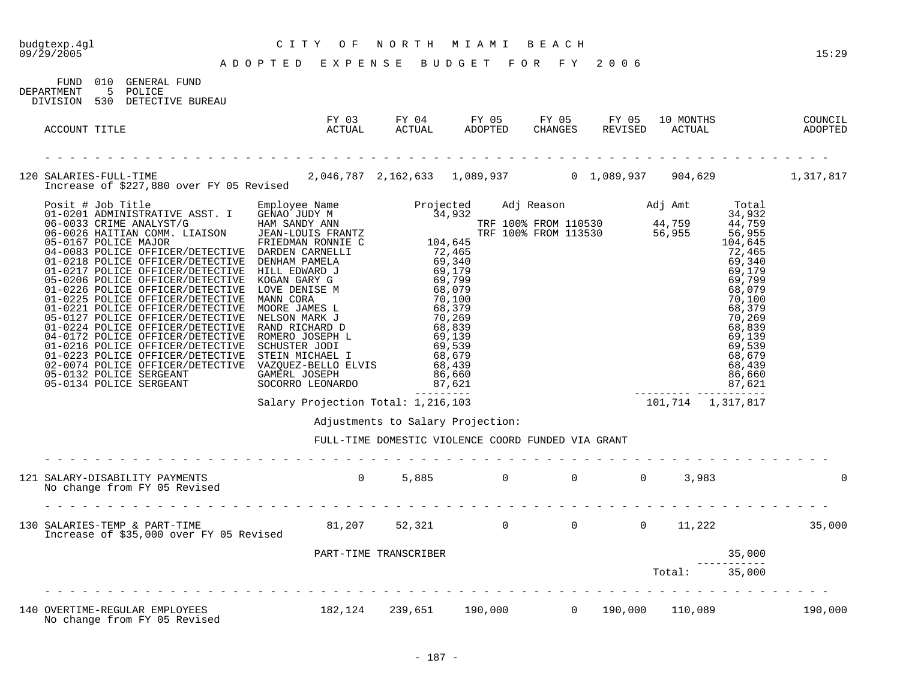FUND 010 GENERAL FUND

#### budgtexp.4gl C I T Y O F N O R T H M I A M I B E A C H

A D O P T E D E X P E N S E B U D G E T F O R F Y 2 0 0 6

DEPARTMENT 5 POLICE DIVISION 530 DETECTIVE BUREAU FY 03 FY 04 FY 05 FY 05 FY 05 10 MONTHS COUNCIL ACCOUNT TITLE ACTUAL ACTUAL ADOPTED CHANGES REVISED ACTUAL ADOPTED - - - - - - - - - - - - - - - - - - - - - - - - - - - - - - - - - - - - - - - - - - - - - - - - - - - - - - - - - - - - - - - 120 SALARIES-FULL-TIME 2,046,787 2,162,633 1,089,937 0 1,089,937 904,629 1,317,817 Increase of \$227,880 over FY 05 Revised Posit # Job Title Employee Name Projected Adj Reason Adj Amt Total 01-0201 ADMINISTRATIVE ASST. I GENAO JUDY M 34,932 34,932 34,932 06-0033 CRIME ANALYST/G HAM SANDY ANN TRF 100% FROM 110530 44,759 44,759 06-0026 HAITIAN COMM. LIAISON JEAN-LOUIS FRANTZ TRF 100% FROM 113530 56,955 56,955 05-0167 POLICE MAJOR FRIEDMAN RONNIE C 104,645 104,645 04-0083 POLICE OFFICER/DETECTIVE DARDEN CARNELLI 72,465 73,465 01-0218 POLICE OFFICER/DETECTIVE DENHAM PAMELA 69,340 69,340 01-0217 POLICE OFFICER/DETECTIVE HILL EDWARD J 69,179 69,179 69,179 05-0206 POLICE OFFICER/DETECTIVE KOGAN GARY G 69,799 69,799 01-0226 POLICE OFFICER/DETECTIVE LOVE DENISE M 68,079 68,079 68,079 68,079 01-0225 POLICE OFFICER/DETECTIVE MANN CORA 70,100 70,100 01-0221 POLICE OFFICER/DETECTIVE MOORE JAMES L 68,379 68,379 68,379 05-0127 POLICE OFFICER/DETECTIVE NELSON MARK J 70,269 70,269 01-0224 POLICE OFFICER/DETECTIVE RAND RICHARD D 68,839 68,839 68,839 04-0172 POLICE OFFICER/DETECTIVE ROMERO JOSEPH L 69,139 69,139 69,139 01-0216 POLICE OFFICER/DETECTIVE SCHUSTER JODI 69,539 69,539 01-0223 POLICE OFFICER/DETECTIVE STEIN MICHAEL I 68,679 68,679 68,679 68,679 02-0074 POLICE OFFICER/DETECTIVE VAZQUEZ-BELLO ELVIS 68,439 68,439 68,439 68,439 05-0132 POLICE SERGEANT GAMERL JOSEPH 86,660 86,660 05-0134 POLICE SERGEANT SOCORRO LEONARDO 87,621 87,621 --------- --------- ----------- Salary Projection Total: 1,216,103 101,714 1,317,817 Adjustments to Salary Projection: FULL-TIME DOMESTIC VIOLENCE COORD FUNDED VIA GRANT - - - - - - - - - - - - - - - - - - - - - - - - - - - - - - - - - - - - - - - - - - - - - - - - - - - - - - - - - - - - - - - 121 SALARY-DISABILITY PAYMENTS 0 5,885 0 0 0 3,983 0 No change from FY 05 Revised - - - - - - - - - - - - - - - - - - - - - - - - - - - - - - - - - - - - - - - - - - - - - - - - - - - - - - - - - - - - - - - 130 SALARIES-TEMP & PART-TIME 6 (1990) 81,207 52,321 0 0 0 0 0 11,222 35,000 Increase of \$35,000 over FY 05 Revised PART-TIME TRANSCRIBER 35,000 ----------- Total: 35,000 - - - - - - - - - - - - - - - - - - - - - - - - - - - - - - - - - - - - - - - - - - - - - - - - - - - - - - - - - - - - - - - 140 OVERTIME-REGULAR EMPLOYEES 182,124 239,651 190,000 0 190,000 110,089 190,000

No change from FY 05 Revised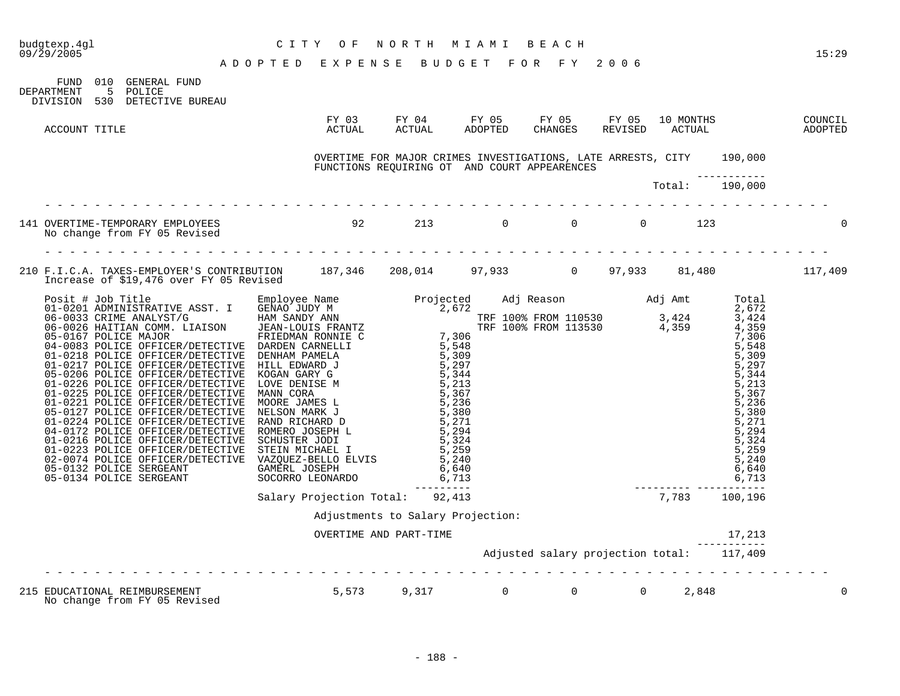| CITY OF NORTH MIAMI BEACH<br>ADOPTED EXPENSE BUDGET FOR FY 2006<br>budgtexp.4gl<br>09/29/2005                                        |                                                                                                                                        |                                   |  |                                           | 15:29 |
|--------------------------------------------------------------------------------------------------------------------------------------|----------------------------------------------------------------------------------------------------------------------------------------|-----------------------------------|--|-------------------------------------------|-------|
| FUND 010 GENERAL FUND<br>DEPARTMENT<br>5 POLICE<br>DIVISION 530 DETECTIVE BUREAU                                                     |                                                                                                                                        |                                   |  |                                           |       |
| ACCOUNT TITLE                                                                                                                        |                                                                                                                                        |                                   |  |                                           |       |
|                                                                                                                                      | OVERTIME FOR MAJOR CRIMES INVESTIGATIONS, LATE ARRESTS, CITY 190,000<br>FUNCTIONS REQUIRING OT AND COURT APPEARENCES<br>Total: 190,000 |                                   |  |                                           |       |
|                                                                                                                                      |                                                                                                                                        |                                   |  |                                           |       |
| 141 OVERTIME-TEMPORARY EMPLOYEES 6 123 213 0 0 0 0 123                                                                               |                                                                                                                                        |                                   |  |                                           |       |
| 210 F.I.C.A. TAXES-EMPLOYER'S CONTRIBUTION 187,346 208,014 97,933 0 97,933 81,480 117,409<br>Increase of \$19,476 over FY 05 Revised |                                                                                                                                        |                                   |  |                                           |       |
|                                                                                                                                      |                                                                                                                                        |                                   |  |                                           |       |
|                                                                                                                                      |                                                                                                                                        |                                   |  |                                           |       |
|                                                                                                                                      |                                                                                                                                        | Adjustments to Salary Projection: |  |                                           |       |
|                                                                                                                                      | OVERTIME AND PART-TIME                                                                                                                 |                                   |  | 17,213                                    |       |
|                                                                                                                                      |                                                                                                                                        |                                   |  | Adjusted salary projection total: 117,409 |       |
| 215 EDUCATIONAL REIMBURSEMENT<br>No change from FY 05 Revised<br>No change from FY 05 Revised<br>No change from FY 05 Revised        |                                                                                                                                        |                                   |  |                                           | 0     |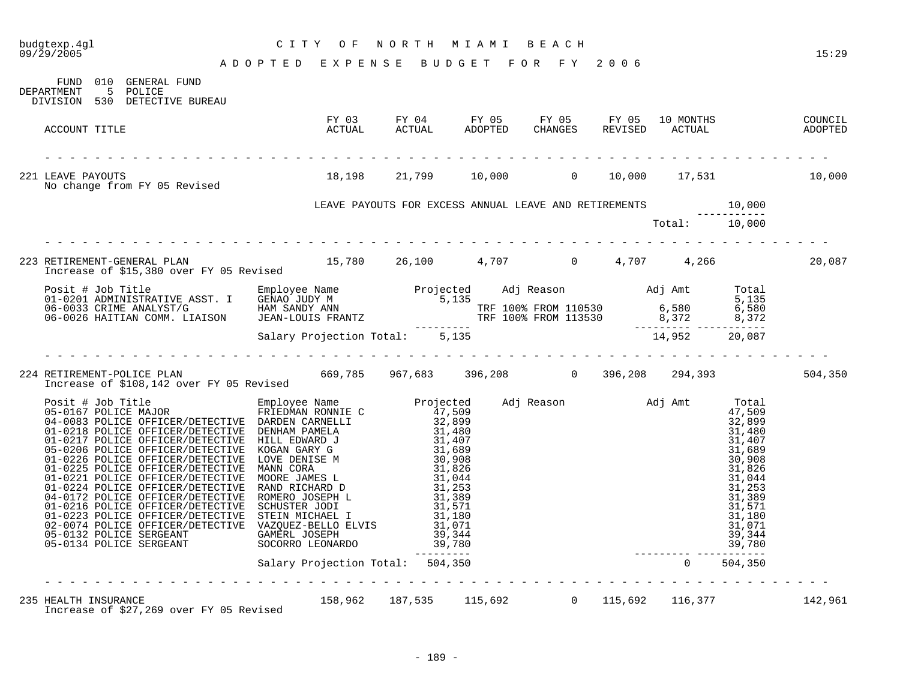# budgtexp.4gl C I T Y O F N O R T H M I A M I B E A C H

| DEPARTMENT |               | FUND 010 GENERAL FUND<br>5 POLICE<br>DIVISION 530 DETECTIVE BUREAU                                                                                                                                                                   |                                                              |  |  |               |  |
|------------|---------------|--------------------------------------------------------------------------------------------------------------------------------------------------------------------------------------------------------------------------------------|--------------------------------------------------------------|--|--|---------------|--|
|            | ACCOUNT TITLE |                                                                                                                                                                                                                                      |                                                              |  |  |               |  |
|            |               | 221 LEAVE PAYOUTS<br>No change from FY 05 Revised                                                                                                                                                                                    | $18,198$ 21,799 10,000 0 10,000 17,531 10,000                |  |  |               |  |
|            |               |                                                                                                                                                                                                                                      | LEAVE PAYOUTS FOR EXCESS ANNUAL LEAVE AND RETIREMENTS 10,000 |  |  |               |  |
|            |               |                                                                                                                                                                                                                                      |                                                              |  |  | Total: 10,000 |  |
|            |               |                                                                                                                                                                                                                                      |                                                              |  |  |               |  |
|            |               | 223 RETIREMENT-GENERAL PLAN 15,780 26,100 4,707 0 4,707 4,266 20,087 10 120,087                                                                                                                                                      |                                                              |  |  |               |  |
|            |               | Posit # Job Title Employee Name Projected Adj Reason Adj Amt Total<br>01-0201 ADMINISTRATIVE ASST. I GENAO JUDY M 5,135<br>06-0033 CRIME ANALYST/G HAM SANDY ANN TRE 100% FROM 110530 6,580 6,580<br>06-0026 HAITIAN COMM. LIAISON J |                                                              |  |  |               |  |
|            |               |                                                                                                                                                                                                                                      |                                                              |  |  |               |  |
|            |               |                                                                                                                                                                                                                                      |                                                              |  |  |               |  |
|            |               |                                                                                                                                                                                                                                      |                                                              |  |  |               |  |
|            |               |                                                                                                                                                                                                                                      |                                                              |  |  |               |  |
|            |               |                                                                                                                                                                                                                                      |                                                              |  |  |               |  |
|            |               |                                                                                                                                                                                                                                      |                                                              |  |  |               |  |
|            |               | 235 HEALTH INSURANCE<br>Increase of \$27,269 over FY 05 Revised 158,962 187,535 115,692 0 115,692 116,377 16,377 142,961                                                                                                             |                                                              |  |  |               |  |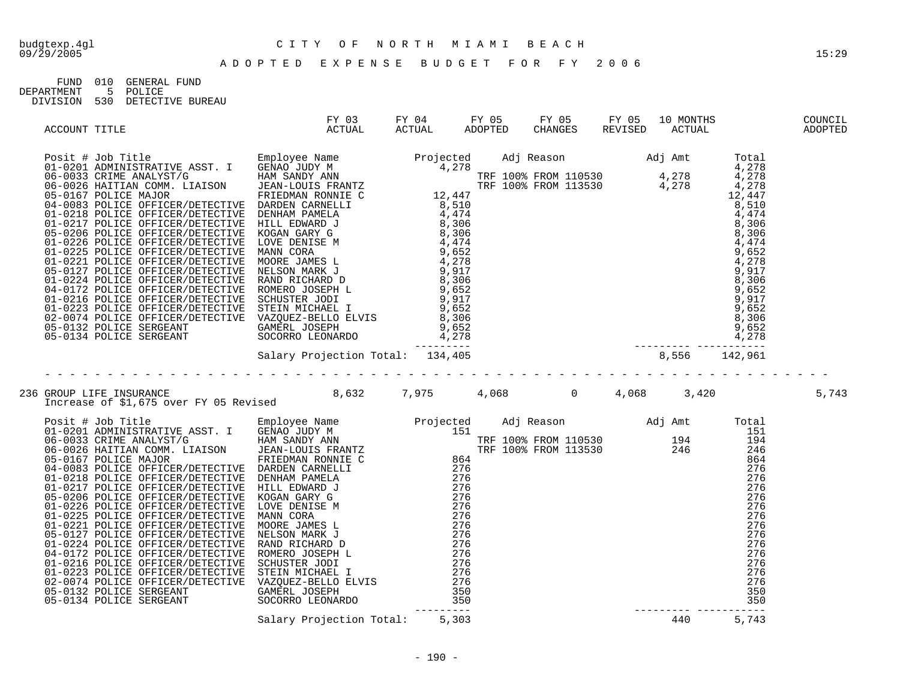| FIJND.     | 010 | GENERAL FIJND    |
|------------|-----|------------------|
| DEPARTMENT |     | 5 POLICE         |
| DIVISION   | 530 | DETECTIVE BUREAU |

| ACCOUNT TITLE | <b>ACTUAL</b> |  |  |  |  |
|---------------|---------------|--|--|--|--|
|               |               |  |  |  |  |
|               |               |  |  |  |  |
|               |               |  |  |  |  |
|               |               |  |  |  |  |
|               |               |  |  |  |  |
|               |               |  |  |  |  |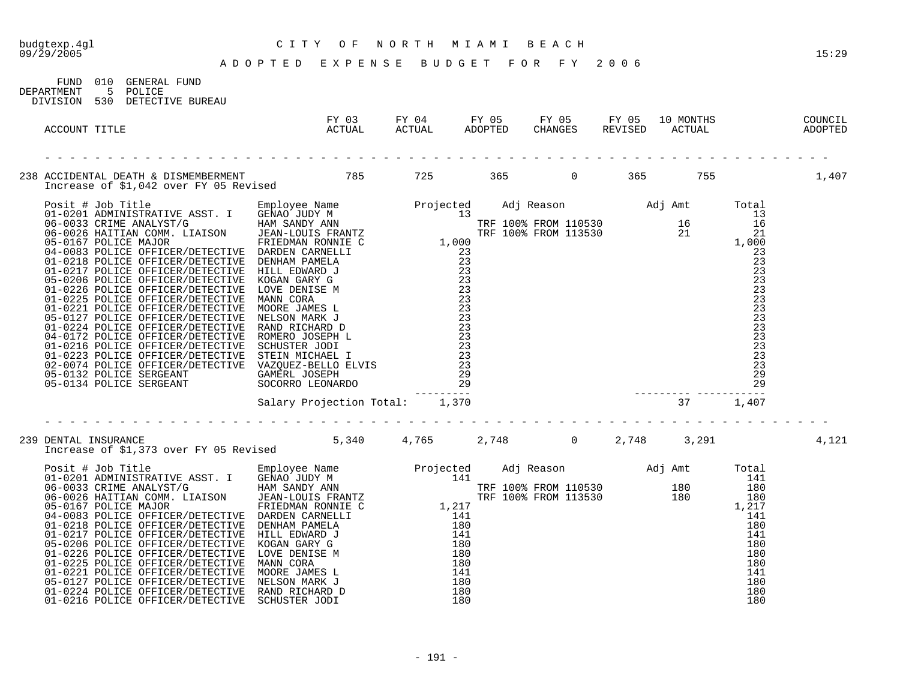|                                                                                                                                                                                                                                       |  |  |  | 15:29 |
|---------------------------------------------------------------------------------------------------------------------------------------------------------------------------------------------------------------------------------------|--|--|--|-------|
| FUND 010 GENERAL FUND<br>5 POLICE<br>DEPARTMENT<br>DIVISION 530 DETECTIVE BUREAU                                                                                                                                                      |  |  |  |       |
| ACCOUNT TITLE                                                                                                                                                                                                                         |  |  |  |       |
| 238 ACCIDENTAL DEATH & DISMEMBERMENT<br>Increase of \$1,042 over FY 05 Revised 1985 1995 1997 100 365 1995 1,407                                                                                                                      |  |  |  |       |
| Freemage of \$1,042 over FY 05 Revised<br>06-0033 CRIMESTANTIVE ASST. I GENNOVER NAME Projected Adj Reason Adj Amt Total<br>06-0033 CRIME ANALYST/G GENNOVER INTO HAND AND ANNOUNCE THE TION FROM 110530 16 13<br>06-0033 CRIME ANALY |  |  |  |       |
| 239 DENTAL INSURANCE<br>11 Increase of \$1,373 over FY 05 Revised 5,340 4,765 2,748 0 2,748 3,291                                                                                                                                     |  |  |  | 4,121 |
|                                                                                                                                                                                                                                       |  |  |  |       |

01-0224 POLICE OFFICER/DETECTIVE RAND RICHARD D 180 180 01-0216 POLICE OFFICER/DETECTIVE SCHUSTER JODI 180 180 180 180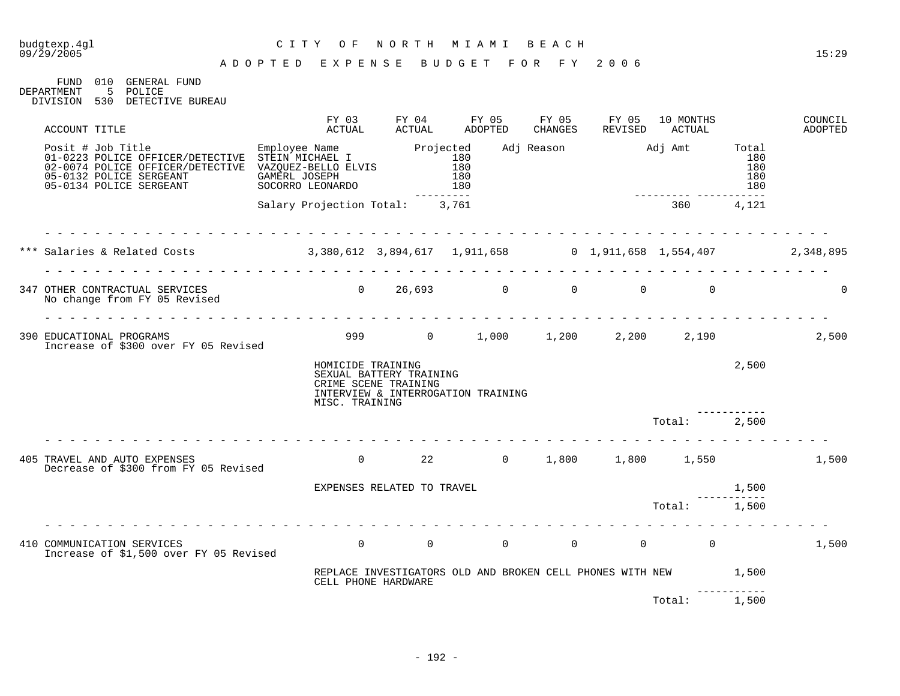### budgtexp.4gl C I T Y O F N O R T H M I A M I B E A C H

FUND 010 GENERAL FUND DEPARTMENT 5 POLICE DIVISION 530 DETECTIVE BUREAU

| ACCOUNT TITLE                                                                                                                                                                                                       | FY 03<br>ACTUAL                                | FY 04<br>ACTUAL                                 | FY 05<br><b>ADOPTED</b>                                   | FY 05<br>CHANGES | FY 05<br>REVISED                              | 10 MONTHS<br>ACTUAL      |                                       | COUNCIL<br>ADOPTED |
|---------------------------------------------------------------------------------------------------------------------------------------------------------------------------------------------------------------------|------------------------------------------------|-------------------------------------------------|-----------------------------------------------------------|------------------|-----------------------------------------------|--------------------------|---------------------------------------|--------------------|
| Posit # Job Title Employee Name Projected<br>01-0223 POLICE OFFICER/DETECTIVE STEIN MICHAEL I 180<br>02-0074 POLICE OFFICER/DETECTIVE VAZQUEZ-BELLO ELVIS 180<br>05-0132 POLICE SERGEANT<br>05-0134 POLICE SERGEANT | GAMERL JOSEPH<br>SOCORRO LEONARDO              |                                                 | 180<br>180                                                |                  |                                               | Adj Reason Maj Amt Total | 180<br>180<br>180<br>180<br>$- - - -$ |                    |
|                                                                                                                                                                                                                     | Salary Projection Total: 3,761                 |                                                 |                                                           |                  |                                               | 360                      | 4,121                                 |                    |
| *** Salaries & Related Costs (2,348,895) 3,380,612 3,894,617 1,911,658 (2,911,658 1,554,407 2,348,895                                                                                                               | .                                              |                                                 |                                                           |                  |                                               |                          |                                       |                    |
| 347 OTHER CONTRACTUAL SERVICES<br>No change from FY 05 Revised                                                                                                                                                      | $\Omega$<br><u>a a a a a a a a a a a a a a</u> |                                                 | 26,693 0                                                  |                  | $\overline{0}$ and $\overline{0}$<br>$\Omega$ | $\Omega$                 |                                       | $\Omega$           |
| 390 EDUCATIONAL PROGRAMS<br>Increase of \$300 over FY 05 Revised                                                                                                                                                    |                                                |                                                 | 999 0 1,000 1,200                                         |                  | 2,200                                         | 2,190                    |                                       | 2,500              |
|                                                                                                                                                                                                                     | HOMICIDE TRAINING<br>MISC. TRAINING            | SEXUAL BATTERY TRAINING<br>CRIME SCENE TRAINING | INTERVIEW & INTERROGATION TRAINING                        |                  |                                               |                          | 2,500                                 |                    |
|                                                                                                                                                                                                                     |                                                |                                                 |                                                           |                  |                                               | Total:                   | 2,500                                 |                    |
| 405 TRAVEL AND AUTO EXPENSES<br>Decrease of \$300 from FY 05 Revised                                                                                                                                                |                                                | $\Omega$                                        | 22 0 1,800 1,800 1,550                                    |                  |                                               |                          |                                       | 1,500              |
|                                                                                                                                                                                                                     |                                                | EXPENSES RELATED TO TRAVEL                      |                                                           |                  |                                               |                          | 1,500                                 |                    |
|                                                                                                                                                                                                                     | _ _ _ _ _ _ _ _ _ _ _ _ _ _                    |                                                 |                                                           |                  |                                               | Total: 1,500             |                                       |                    |
| 410 COMMUNICATION SERVICES<br>Increase of \$1,500 over FY 05 Revised                                                                                                                                                | $\Omega$                                       | $\overline{0}$                                  | $\Omega$                                                  | $\overline{0}$   | $\overline{0}$                                | $\overline{0}$           |                                       | 1,500              |
|                                                                                                                                                                                                                     |                                                | CELL PHONE HARDWARE                             | REPLACE INVESTIGATORS OLD AND BROKEN CELL PHONES WITH NEW |                  |                                               |                          | 1,500                                 |                    |
|                                                                                                                                                                                                                     |                                                |                                                 |                                                           |                  |                                               | Total:                   | 1,500                                 |                    |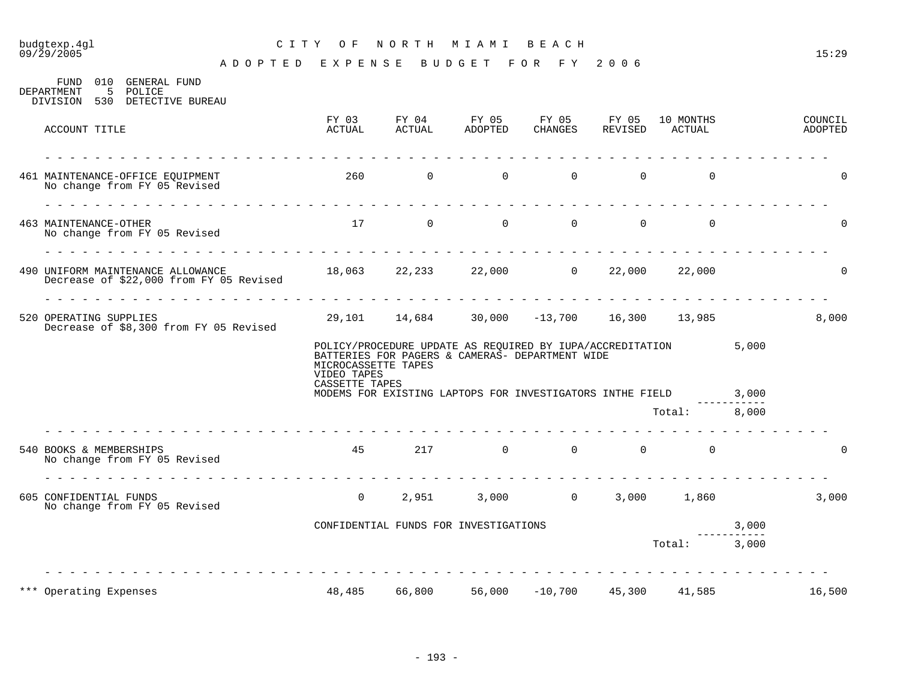# budgtexp.4gl C I T Y O F N O R T H M I A M I B E A C H

| 010<br>GENERAL FUND<br>FUND<br>.5<br>DEPARTMENT<br>POLICE<br>DIVISION 530 DETECTIVE BUREAU                                                                 |                                                      |                                       |          |                                                                                                                    |          |                |       |                    |
|------------------------------------------------------------------------------------------------------------------------------------------------------------|------------------------------------------------------|---------------------------------------|----------|--------------------------------------------------------------------------------------------------------------------|----------|----------------|-------|--------------------|
| ACCOUNT TITLE                                                                                                                                              | FY 03<br>ACTUAL                                      | ACTUAL                                | ADOPTED  | FY 04 FY 05 FY 05 FY 05 10 MONTHS<br>CHANGES                                                                       |          | REVISED ACTUAL |       | COUNCIL<br>ADOPTED |
| 461 MAINTENANCE-OFFICE EQUIPMENT<br>No change from FY 05 Revised                                                                                           | 260                                                  | $\mathsf{O}$                          | $\Omega$ | $\Omega$                                                                                                           | $\Omega$ | $\mathbf 0$    |       | $\Omega$           |
| $\begin{array}{cccccccccccccc} \Box & \Box & \Box & \Box & \Box & \Box & \Box & \Box \end{array}$<br>463 MAINTENANCE-OTHER<br>No change from FY 05 Revised |                                                      | 17 0                                  |          | $\Omega$<br>$\Omega$                                                                                               | $\Omega$ | $\Omega$       |       | $\Omega$           |
| 490 UNIFORM MAINTENANCE ALLOWANCE<br>Decrease of \$22,000 from FY 05 Revised                                                                               | $18,063$ $22,233$ $22,000$ 0 $22,000$ 22,000         |                                       |          |                                                                                                                    |          |                |       | 0                  |
| 520 OPERATING SUPPLIES<br>Decrease of \$8,300 from FY 05 Revised                                                                                           |                                                      |                                       |          | 29,101 14,684 30,000 -13,700 16,300 13,985                                                                         |          |                |       | 8,000              |
|                                                                                                                                                            | MICROCASSETTE TAPES<br>VIDEO TAPES<br>CASSETTE TAPES |                                       |          | POLICY/PROCEDURE UPDATE AS REQUIRED BY IUPA/ACCREDITATION 5,000<br>BATTERIES FOR PAGERS & CAMERAS- DEPARTMENT WIDE |          |                |       |                    |
|                                                                                                                                                            |                                                      |                                       |          | MODEMS FOR EXISTING LAPTOPS FOR INVESTIGATORS INTHE FIELD                                                          |          |                | 3,000 |                    |
|                                                                                                                                                            |                                                      |                                       |          |                                                                                                                    |          | Total: 8,000   |       |                    |
| 540 BOOKS & MEMBERSHIPS<br>No change from FY 05 Revised                                                                                                    |                                                      | 45 — 10                               |          | $217 \qquad \qquad 0 \qquad \qquad 0 \qquad \qquad 0$                                                              |          | $\Omega$       |       | $\Omega$           |
| 605 CONFIDENTIAL FUNDS<br>No change from FY 05 Revised                                                                                                     | $\overline{0}$                                       |                                       |          | 2,951 3,000 0                                                                                                      | 3,000    | 1,860          |       | 3,000              |
|                                                                                                                                                            |                                                      | CONFIDENTIAL FUNDS FOR INVESTIGATIONS |          |                                                                                                                    |          |                | 3,000 |                    |
|                                                                                                                                                            |                                                      |                                       |          |                                                                                                                    |          | Total: 3,000   |       |                    |
| *** Operating Expenses                                                                                                                                     | 48,485                                               | 66,800                                | 56,000   | $-10,700$                                                                                                          | 45,300   | 41,585         |       | 16,500             |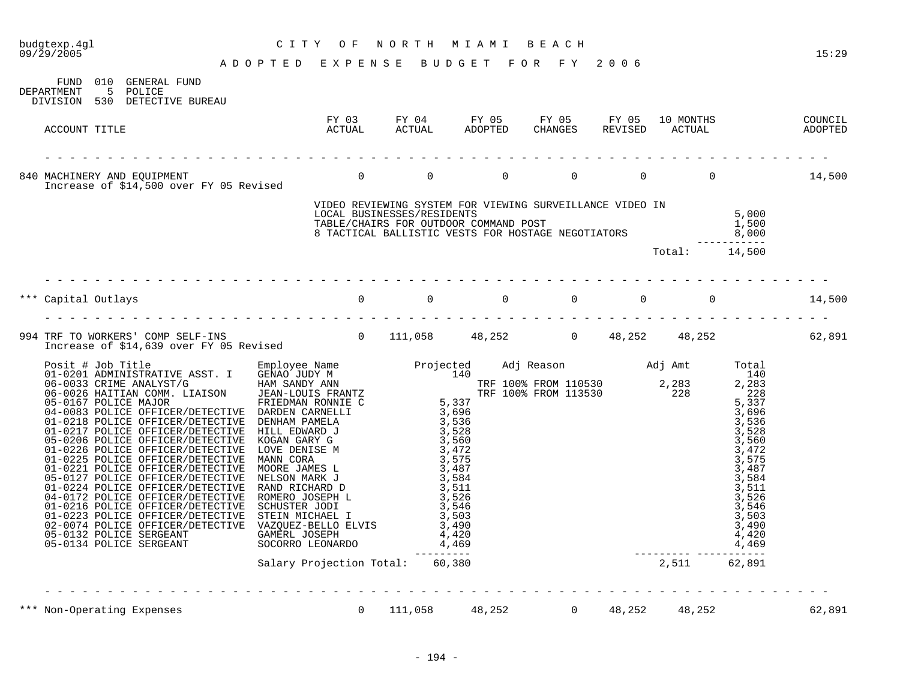|                                                                                                                                                                                                                                                                                                                                                                          |                                                                                        |                                                                                                                                                                                                                    |                |                |        |                                                                                                                                                                       | 15:29  |
|--------------------------------------------------------------------------------------------------------------------------------------------------------------------------------------------------------------------------------------------------------------------------------------------------------------------------------------------------------------------------|----------------------------------------------------------------------------------------|--------------------------------------------------------------------------------------------------------------------------------------------------------------------------------------------------------------------|----------------|----------------|--------|-----------------------------------------------------------------------------------------------------------------------------------------------------------------------|--------|
| FUND 010 GENERAL FUND<br>DEPARTMENT<br>5 POLICE<br>DIVISION 530 DETECTIVE BUREAU                                                                                                                                                                                                                                                                                         |                                                                                        |                                                                                                                                                                                                                    |                |                |        |                                                                                                                                                                       |        |
| ACCOUNT TITLE                                                                                                                                                                                                                                                                                                                                                            |                                                                                        |                                                                                                                                                                                                                    |                |                |        | FY 03 FY 04 FY 05 FY 05 FY 05 10 MONTHS COUNCIL<br>ACTUAL ACTUAL ADOPTED CHANGES REVISED ACTUAL ADOPTED                                                               |        |
| 840 MACHINERY AND EQUIPMENT 0<br>Increase of \$14,500 over FY 05 Revised 0                                                                                                                                                                                                                                                                                               |                                                                                        |                                                                                                                                                                                                                    | $\overline{0}$ |                |        | $0 \t 0 \t 14,500$                                                                                                                                                    |        |
|                                                                                                                                                                                                                                                                                                                                                                          | VIDEO REVIEWING SYSTEM FOR VIEWING SURVEILLANCE VIDEO IN<br>LOCAL BUSINESSES/RESIDENTS | VIDEO REVIEWING SYSTEM FOR VIEWING SURVEILLANCE VIERO IN THE S,000<br>LOCAL BUSINESSES/RESIDENTS 5,000<br>TABLE/CHAIRS FOR OUTDOOR COMMAND POST 1,500<br>8 TACTICAL BALLISTIC VESTS FOR HOSTAGE NEGOTIATORS 3 1000 |                |                |        | $\frac{5}{2}$ , 000                                                                                                                                                   |        |
|                                                                                                                                                                                                                                                                                                                                                                          |                                                                                        |                                                                                                                                                                                                                    |                |                |        | Total: 14,500                                                                                                                                                         |        |
|                                                                                                                                                                                                                                                                                                                                                                          |                                                                                        |                                                                                                                                                                                                                    |                |                |        |                                                                                                                                                                       | 14,500 |
| 994 TRF TO WORKERS' COMP SELF-INS<br>111,058 48,252 0 48,252 48,252 48,252 62,891<br>111,058 48,252 0 48,252 48,252 52,891                                                                                                                                                                                                                                               |                                                                                        |                                                                                                                                                                                                                    |                |                |        |                                                                                                                                                                       |        |
| $\begin{tabular}{ l c c c c} \hline \textbf{D} \textbf{case of 514, 69} & \textbf{Froject of 514, 69} & \textbf{Froject of 514, 60} & \textbf{Froject of 514, 60} & \textbf{Froject of 514, 60} & \textbf{Froject of 514, 60} & \textbf{Froject of 514, 60} & \textbf{Froject of 514, 60} & \textbf{Froject of 514, 60} \\ \hline 016-0033 \text{ CRMR} \text{ BAMATYS}$ |                                                                                        | ----------                                                                                                                                                                                                         |                |                |        | $\begin{array}{r} \text{3, 511} \\ \text{3, 526} \\ \text{3, 546} \\ \text{3, 503} \\ \text{3, 490} \\ \text{4, 420} \\ \text{-2, 511} \\ \text{62, 891} \end{array}$ |        |
|                                                                                                                                                                                                                                                                                                                                                                          | Salary Projection Total: 60,380                                                        |                                                                                                                                                                                                                    |                |                |        |                                                                                                                                                                       |        |
| Non-Operating Expenses                                                                                                                                                                                                                                                                                                                                                   | $\Omega$                                                                               | 111,058                                                                                                                                                                                                            | 48,252         | $\overline{0}$ | 48,252 | 48,252                                                                                                                                                                | 62,891 |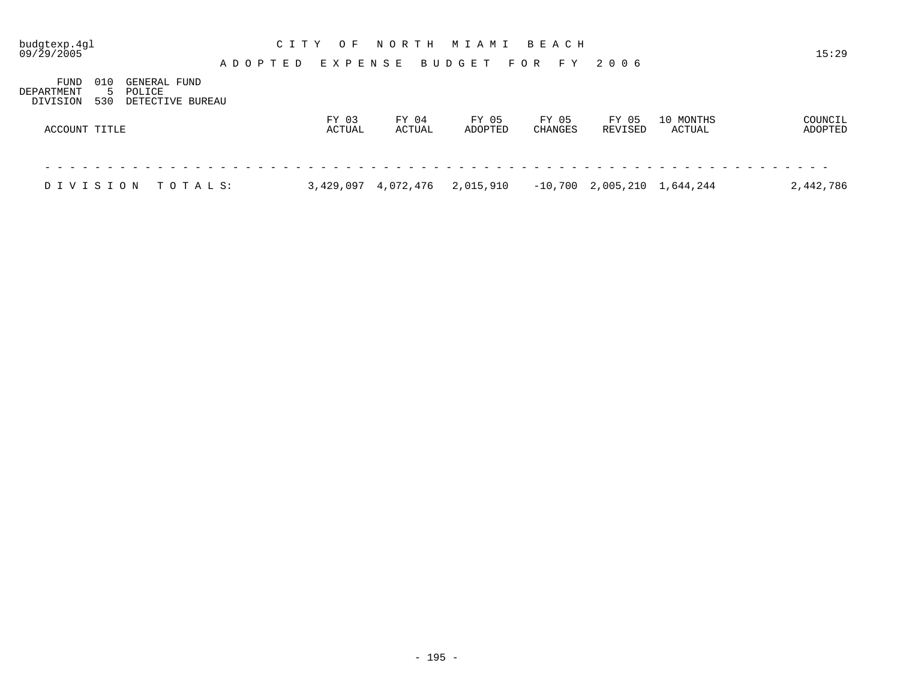| budgtexp.4gl<br>09/29/2005     |            |                                            |          |  | ADOPTED | C I T Y | E X P E N S E | O F             |  |       | NORTH     | MIAMI<br>BUDGET |                  | F O R | BEACH   | F Y   | 2006 |                  |                               | 15:29              |  |
|--------------------------------|------------|--------------------------------------------|----------|--|---------|---------|---------------|-----------------|--|-------|-----------|-----------------|------------------|-------|---------|-------|------|------------------|-------------------------------|--------------------|--|
| FUND<br>DEPARTMENT<br>DIVISION | 010<br>530 | GENERAL FUND<br>POLICE<br>DETECTIVE BUREAU |          |  |         |         |               |                 |  |       |           |                 |                  |       |         |       |      |                  |                               |                    |  |
| ACCOUNT TITLE                  |            |                                            |          |  |         |         |               | FY 03<br>ACTUAL |  | FY 04 | ACTUAL    |                 | FY 05<br>ADOPTED |       | CHANGES | FY 05 |      | FY 05<br>REVISED | 10 MONTHS<br>ACTUAL           | COUNCIL<br>ADOPTED |  |
|                                |            |                                            |          |  |         |         |               |                 |  |       |           |                 |                  |       |         |       |      |                  |                               |                    |  |
| DIVISION                       |            |                                            | TOTAL S: |  |         |         | 3,429,097     |                 |  |       | 4,072,476 | 2,015,910       |                  |       |         |       |      |                  | $-10,700$ 2,005,210 1,644,244 | 2,442,786          |  |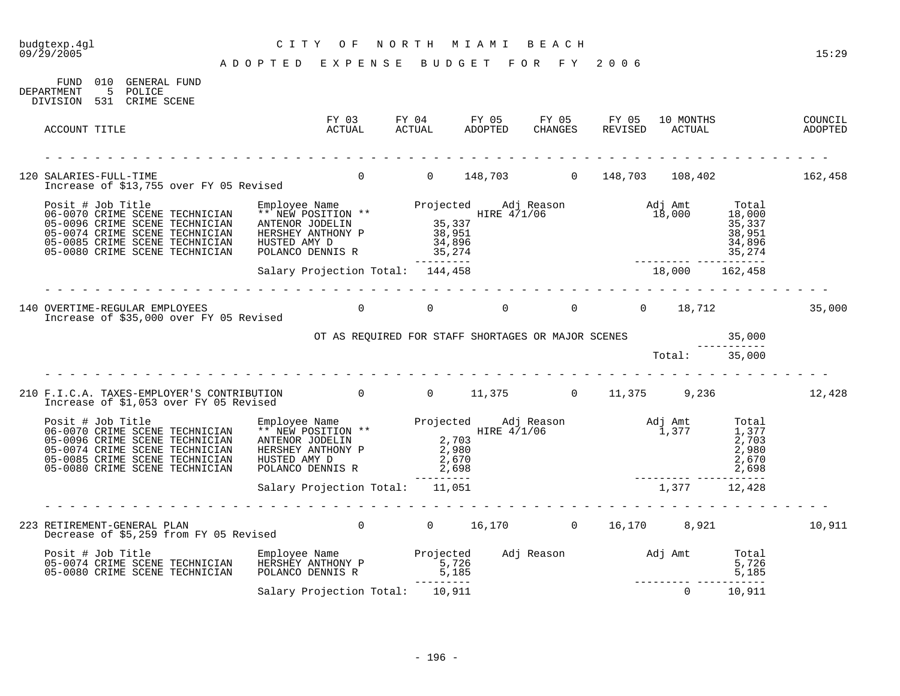FUND 010 GENERAL FUND

### budgtexp.4gl C I T Y O F N O R T H M I A M I B E A C H budgtexp.4g1 <br>09/29/2005 <br>09/29/2005 <br>09/29/2005 <br>2022 <br>2022 <br>2023 <br>2022 <br>2023 <br>2023 <br>2023 <br>2023 <br>2023 <br>2023 <br>2023 <br>2023 <br>2023 <br>2023 <br>2023 <br>2023 <br>2023 <br>2023 <br>2023 <br>2023 <br>2023 <br>2023 <br>2023 <br>2023 <br>2023 <br>2023 <br>2023 <br>2023 <br>2023

A D O P T E D E X P E N S E B U D G E T F O R F Y 2 0 0 6

DEPARTMENT 5 POLICE DIVISION 531 CRIME SCENE FY 03 FY 04 FY 05 FY 05 FY 05 10 MONTHS COUNCIL ACCOUNT TITLE ACTUAL ACTUAL ADOPTED CHANGES REVISED ACTUAL ADOPTED - - - - - - - - - - - - - - - - - - - - - - - - - - - - - - - - - - - - - - - - - - - - - - - - - - - - - - - - - - - - - - - 120 SALARIES-FULL-TIME 0 0 148,703 0 148,703 108,402 162,458 Increase of \$13,755 over FY 05 Revised Posit # Job Title Employee Name Projected Adj Reason Adj Amt Total 06-0070 CRIME SCENE TECHNICIAN \*\* NEW POSITION \*\* THE RE 471/06 18,000 18,000 18,000 05-0096 CRIME SCENE TECHNICIAN ANTENOR JODELIN 35,337 35,337 35,337 05-0074 CRIME SCENE TECHNICIAN HERSHEY ANTHONY P 38,951 38,951 38,951 38,951 05-0085 CRIME SCENE TECHNICIAN HUSTED AMY D 34,896 34,896 34,896 05-0080 CRIME SCENE TECHNICIAN POLANCO DENNIS R 35,274 35,274 35,274 --------- --------- ----------- Salary Projection Total: 144,458 18,000 162,458 - - - - - - - - - - - - - - - - - - - - - - - - - - - - - - - - - - - - - - - - - - - - - - - - - - - - - - - - - - - - - - - 140 OVERTIME-REGULAR EMPLOYEES 0 0 0 0 0 18,712 35,000 Increase of \$35,000 over FY 05 Revised OT AS REQUIRED FOR STAFF SHORTAGES OR MAJOR SCENES 35,000 ----------- Total: 35,000 - - - - - - - - - - - - - - - - - - - - - - - - - - - - - - - - - - - - - - - - - - - - - - - - - - - - - - - - - - - - - - - 210 F.I.C.A. TAXES-EMPLOYER'S CONTRIBUTION 0 0 11,375 0 11,375 9,236 12,428 Increase of \$1,053 over FY 05 Revised Posit # Job Title Employee Name Projected Adj Reason Adj Amt Total 06-0070 CRIME SCENE TECHNICIAN \*\* NEW POSITION \*\* THE HOST HIRE 4/1/06 1,377 1,377 1,377 05-0096 CRIME SCENE TECHNICIAN ANTENOR JODELIN 2,703 2,703 05-0074 CRIME SCENE TECHNICIAN HERSHEY ANTHONY P 2,980 2,980 2,980 05-0085 CRIME SCENE TECHNICIAN HUSTED AMY D 2,670 2,670 2,670 05-0080 CRIME SCENE TECHNICIAN POLANCO DENNIS R  $\qquad \qquad$  2,698  $\qquad \qquad$  2,098 --------- --------- ----------- Salary Projection Total: 11,051 1,377 12,428 - - - - - - - - - - - - - - - - - - - - - - - - - - - - - - - - - - - - - - - - - - - - - - - - - - - - - - - - - - - - - - - 223 RETIREMENT-GENERAL PLAN 10.911 Decrease of \$5,259 from FY 05 Revised Posit # Job Title Employee Name Projected Adj Reason Adj Amt Total 05-0074 CRIME SCENE TECHNICIAN HERSHEY ANTHONY P 5,726 5,726 5,726 5,726 05-0080 CRIME SCENE TECHNICIAN POLANCO DENNIS R 5,185 5,185 5,185 --------- --------- ----------- Salary Projection Total: 10,911 0 10,911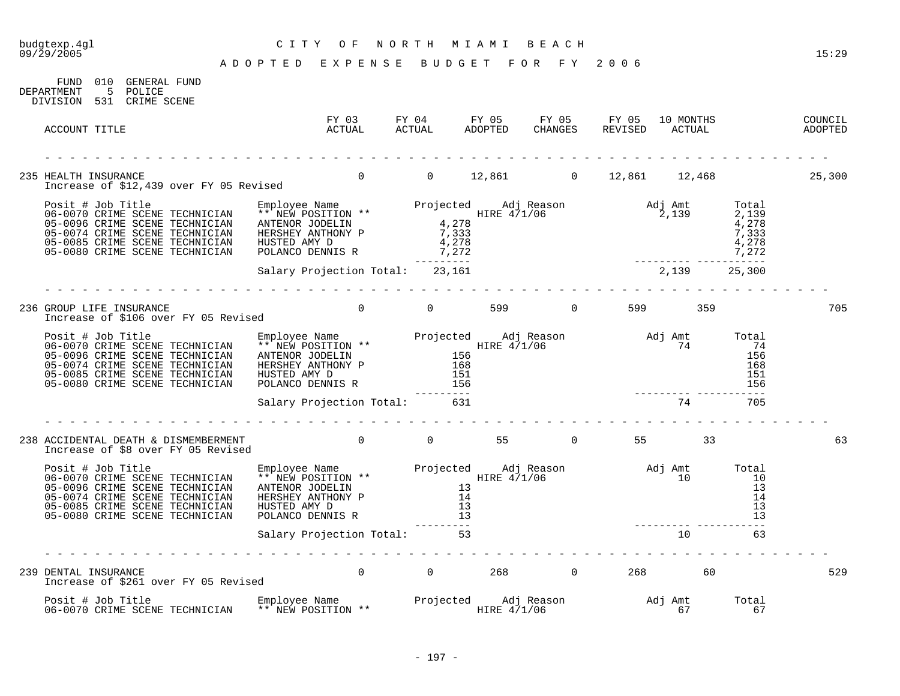### budgtexp.4gl C I T Y O F N O R T H M I A M I B E A C H 09/29/2005 15:29

A D O P T E D E X P E N S E B U D G E T F O R F Y 2006

FUND 010 GENERAL FUND DEPARTMENT 5 POLICE DIVISION 531 CRIME SCENE FY 03 FY 04 FY 05 FY 05 FY 05 10 MONTHS COUNCIL ACCOUNT TITLE ACTUAL ACTUAL ADOPTED CHANGES REVISED ACTUAL ADOPTED - - - - - - - - - - - - - - - - - - - - - - - - - - - - - - - - - - - - - - - - - - - - - - - - - - - - - - - - - - - - - - - 235 HEALTH INSURANCE 0 0 12,861 0 12,861 12,468 25,300 Increase of \$12,439 over FY 05 Revised Posit # Job Title Employee Name Projected Adj Reason Adj Amt Total 06-0070 CRIME SCENE TECHNICIAN \*\* NEW POSITION \*\* HIRE 471/06 HIRE 471/06 2,139 2,139 05-0096 CRIME SCENE TECHNICIAN ANTENOR JODELIN  $4,278$ 05-0074 CRIME SCENE TECHNICIAN HERSHEY ANTHONY P 7,333 7,333 05-0085 CRIME SCENE TECHNICIAN HUSTED AMY D  $4,278$ 05-0080 CRIME SCENE TECHNICIAN POLANCO DENNIS R  $\qquad \qquad$  7,272 7,272 7,272 --------- --------- ----------- Salary Projection Total: 23,161 2,139 25,300 - - - - - - - - - - - - - - - - - - - - - - - - - - - - - - - - - - - - - - - - - - - - - - - - - - - - - - - - - - - - - - - 236 GROUP LIFE INSURANCE 0 0 599 0 599 359 705 Increase of \$106 over FY 05 Revised Posit # Job Title Employee Name Projected Adj Reason Adj Amt Total 06-0070 CRIME SCENE TECHNICIAN \*\* NEW POSITION \*\* THE REVIOUS HIRE 471/06 THE REVIOUS CRIME SCENE TH 05-0096 CRIME SCENE TECHNICIAN ANTENOR JODELIN 156 156 05-0074 CRIME SCENE TECHNICIAN HERSHEY ANTHONY P 168 168 05-0085 CRIME SCENE TECHNICIAN HUSTED AMY D 151 151 05-0080 CRIME SCENE TECHNICIAN POLANCO DENNIS R 156 156 --------- --------- ----------- Salary Projection Total: 631 - - - - - - - - - - - - - - - - - - - - - - - - - - - - - - - - - - - - - - - - - - - - - - - - - - - - - - - - - - - - - - - 238 ACCIDENTAL DEATH & DISMEMBERMENT  $\begin{matrix} 0 & 0 & 55 & 0 & 55 \end{matrix}$  55 33 63 Increase of \$8 over FY 05 Revised Posit # Job Title Employee Name Projected Adj Reason Adj Amt Total 06-0070 CRIME SCENE TECHNICIAN \*\* NEW POSITION \*\* THE HOST HIRE 471/06 THE HOST RESOLUTION 10 05-0096 CRIME SCENE TECHNICIAN ANTENOR JODELIN 13 13 05-0074 CRIME SCENE TECHNICIAN HERSHEY ANTHONY P 14 14 14 16 16 17 17 18 19 19 19 19 19 19 19 19 19 1 05-0085 CRIME SCENE TECHNICIAN HUSTED AMY D 13 13 05-0074 CRIME SCENE TECHNICIAN HERSHEY ANTHONY P<br>05-0074 CRIME SCENE TECHNICIAN HUSTED AMY D 14<br>05-0080 CRIME SCENE TECHNICIAN HUSTED AMY D 13<br>05-0080 CRIME SCENE TECHNICIAN POLANCO DENNIS R 13 13 --------- --------- ----------- Salary Projection Total: 53 10 53 10 63 - - - - - - - - - - - - - - - - - - - - - - - - - - - - - - - - - - - - - - - - - - - - - - - - - - - - - - - - - - - - - - - 239 DENTAL INSURANCE 0 0 268 0 268 60 529 Increase of \$261 over FY 05 Revised Posit # Job Title Employee Name Projected Adj Reason Adj Amt Total 06-0070 CRIME SCENE TECHNICIAN \*\* NEW POSITION \*\* FILE 171/06 FILE 471/06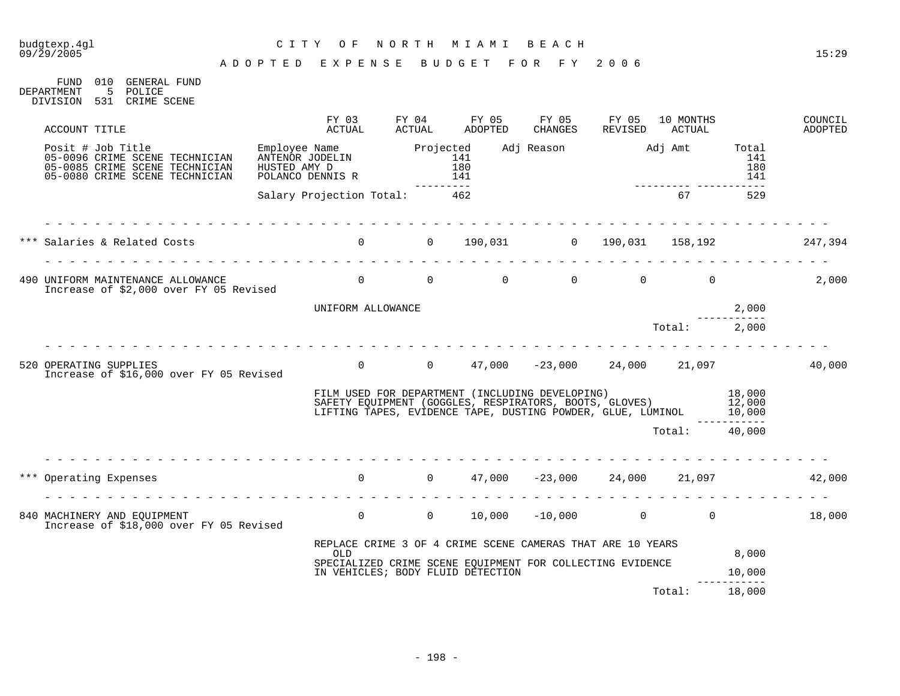### budgtexp.4gl C I T Y O F N O R T H M I A M I B E A C H

#### A D O P T E D E X P E N S E B U D G E T F O R F Y 2 0 0 6

FUND 010 GENERAL FUND DEPARTMENT 5 POLICE DIVISION 531 CRIME SCENE

| ACCOUNT TITLE                                                                                                           | FY 03<br>ACTUAL                                                     | FY 04<br>ACTUAL  | FY 05<br>ADOPTED                                                                                                                                                                              | FY 05<br>CHANGES   | FY 05<br>REVISED | 10 MONTHS<br>ACTUAL |                            | COUNCIL<br>ADOPTED |
|-------------------------------------------------------------------------------------------------------------------------|---------------------------------------------------------------------|------------------|-----------------------------------------------------------------------------------------------------------------------------------------------------------------------------------------------|--------------------|------------------|---------------------|----------------------------|--------------------|
| Posit # Job Title<br>05-0096 CRIME SCENE TECHNICIAN<br>05-0085 CRIME SCENE TECHNICIAN<br>05-0080 CRIME SCENE TECHNICIAN | Employee Name<br>Emison JOBELIN<br>HUSTED AMY D<br>POLANCO DENNIS R | Projected<br>141 | 180<br>141<br>---------                                                                                                                                                                       |                    |                  |                     | Total<br>141<br>180<br>141 |                    |
|                                                                                                                         | Salary Projection Total: 462                                        |                  |                                                                                                                                                                                               |                    |                  | 67                  | 529                        |                    |
| *** Salaries & Related Costs                                                                                            | $\overline{0}$                                                      |                  | 0 190,031 0 190,031 158,192 247,394                                                                                                                                                           |                    |                  |                     |                            |                    |
| 490 UNIFORM MAINTENANCE ALLOWANCE<br>Increase of \$2,000 over FY 05 Revised                                             |                                                                     |                  | $\Omega$                                                                                                                                                                                      | $\Omega$           | $\overline{0}$   | $\Omega$            |                            | 2,000              |
|                                                                                                                         | UNIFORM ALLOWANCE                                                   |                  |                                                                                                                                                                                               |                    |                  |                     | 2,000                      |                    |
|                                                                                                                         |                                                                     |                  |                                                                                                                                                                                               |                    |                  | Total: 2,000        |                            |                    |
| 520 OPERATING SUPPLIES<br>Increase of \$16,000 over FY 05 Revised                                                       |                                                                     |                  | 0 $0$ $47,000$ $-23,000$ $24,000$ $21,097$                                                                                                                                                    |                    |                  |                     |                            | 40,000             |
|                                                                                                                         |                                                                     |                  | FILM USED FOR DEPARTMENT (INCLUDING DEVELOPING) 18,000<br>SAFETY EQUIPMENT (GOGGLES, RESPIRATORS, BOOTS, GLOVES) 12,000<br>LIFTING TAPES, EVIDENCE TAPE, DUSTING POWDER, GLUE, LUMINOL 10,000 |                    |                  |                     |                            |                    |
|                                                                                                                         |                                                                     |                  |                                                                                                                                                                                               |                    |                  | Total: 40,000       |                            |                    |
| *** Operating Expenses                                                                                                  |                                                                     |                  | $0$ 0 47,000 -23,000 24,000 21,097                                                                                                                                                            |                    |                  |                     |                            | 42,000             |
| 840 MACHINERY AND EQUIPMENT<br>Increase of \$18,000 over FY 05 Revised                                                  | $\overline{0}$                                                      | $\overline{0}$   |                                                                                                                                                                                               | $10,000 -10,000$ 0 |                  | $\overline{0}$      |                            | 18,000             |
|                                                                                                                         | <b>OLD</b>                                                          |                  | REPLACE CRIME 3 OF 4 CRIME SCENE CAMERAS THAT ARE 10 YEARS                                                                                                                                    |                    |                  |                     | 8,000                      |                    |
|                                                                                                                         |                                                                     |                  | SPECIALIZED CRIME SCENE EQUIPMENT FOR COLLECTING EVIDENCE                                                                                                                                     |                    |                  |                     |                            |                    |
|                                                                                                                         |                                                                     |                  | IN VEHICLES; BODY FLUID DETECTION                                                                                                                                                             |                    |                  |                     | 10,000<br>-------          |                    |
|                                                                                                                         |                                                                     |                  |                                                                                                                                                                                               |                    |                  | Total:              | 18,000                     |                    |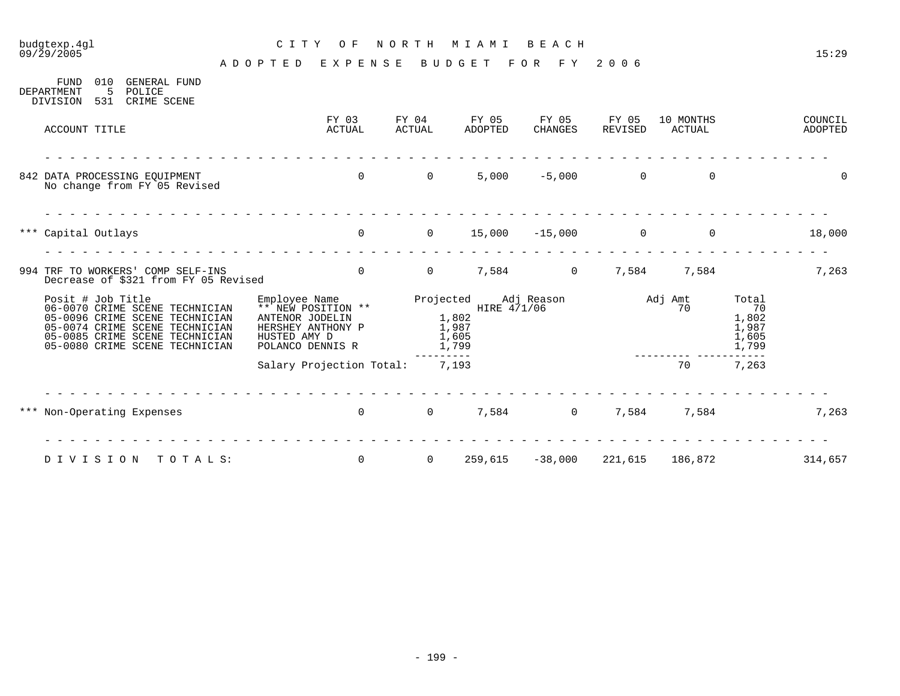### budgtexp.4gl C I T Y O F N O R T H M I A M I B E A C H

| 010<br><b>FUND</b><br><b>GENERAL FUND</b><br>5<br>POLICE<br>DEPARTMENT<br>531<br>CRIME SCENE<br>DIVISION                                                                                    |                                                                                                                 |                                               |                  |                         |                  |                     |                                                 |                    |
|---------------------------------------------------------------------------------------------------------------------------------------------------------------------------------------------|-----------------------------------------------------------------------------------------------------------------|-----------------------------------------------|------------------|-------------------------|------------------|---------------------|-------------------------------------------------|--------------------|
| ACCOUNT TITLE                                                                                                                                                                               | FY 03<br>ACTUAL                                                                                                 | FY 04<br><b>ACTUAL</b>                        | FY 05<br>ADOPTED | FY 05<br><b>CHANGES</b> | FY 05<br>REVISED | 10 MONTHS<br>ACTUAL |                                                 | COUNCIL<br>ADOPTED |
| 842 DATA PROCESSING EQUIPMENT<br>No change from FY 05 Revised                                                                                                                               | $\Omega$                                                                                                        | $\Omega$                                      | 5,000            | $-5,000$                | $\overline{0}$   | $\mathbf 0$         |                                                 | 0                  |
| *** Capital Outlays                                                                                                                                                                         | $\overline{0}$                                                                                                  | $\overline{0}$                                | 15,000           | $-15,000$               | $\mathbf 0$      | $\overline{0}$      |                                                 | 18,000             |
| 994 TRF TO WORKERS' COMP SELF-INS<br>Decrease of \$321 from FY 05 Revised                                                                                                                   | $\mathbf 0$                                                                                                     | $\overline{0}$                                | 7,584            | $\overline{0}$          | 7,584            | 7,584               |                                                 | 7,263              |
| Posit # Job Title<br>06-0070 CRIME SCENE TECHNICIAN<br>05-0096 CRIME SCENE TECHNICIAN<br>05-0074 CRIME SCENE TECHNICIAN<br>05-0085 CRIME SCENE TECHNICIAN<br>05-0080 CRIME SCENE TECHNICIAN | Employee Name<br>** NEW POSITION **<br>ANTENOR JODELIN<br>HERSHEY ANTHONY P<br>HUSTED AMY D<br>POLANCO DENNIS R | Projected<br>1,802<br>1,987<br>1,605<br>1,799 | HIRE $4/1/06$    | Adj Reason              |                  | Adj Amt<br>70       | Total<br>70<br>1,802<br>1,987<br>1,605<br>1,799 |                    |
|                                                                                                                                                                                             | Salary Projection Total:                                                                                        | $- - - - - - -$<br>7,193                      |                  |                         |                  | 70                  | $\frac{1}{2}$<br>7,263                          |                    |
| *** Non-Operating Expenses                                                                                                                                                                  | $\overline{0}$                                                                                                  | $\overline{0}$                                | 7,584            | 0                       | 7,584            | 7,584               |                                                 | 7,263              |
| DIVISION<br>TOTALS:                                                                                                                                                                         | $\overline{0}$                                                                                                  | $\mathbf{0}$                                  | 259,615          | $-38,000$               | 221,615          | 186,872             |                                                 | 314,657            |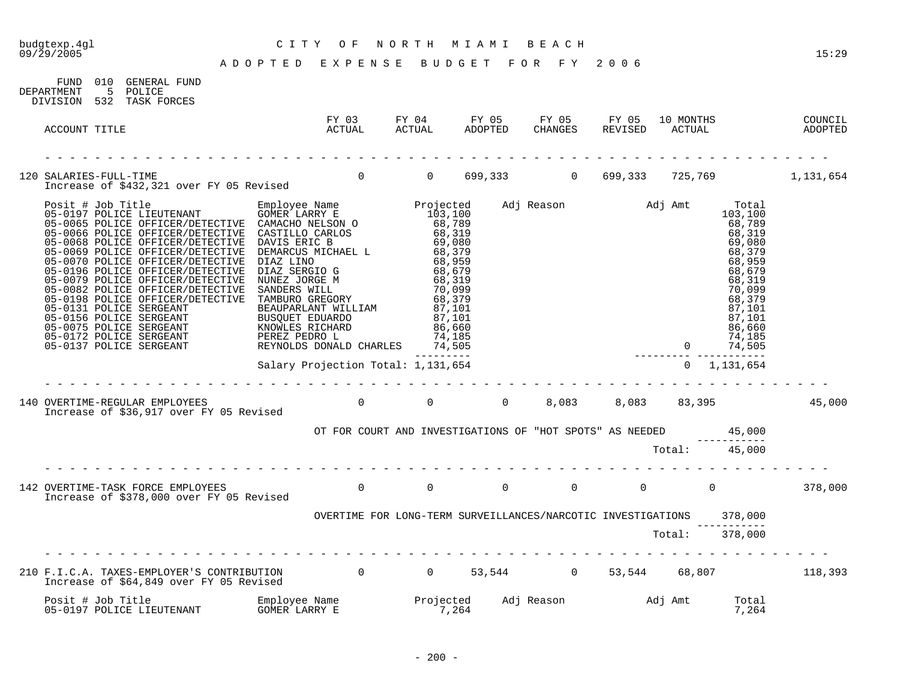FUND 010 GENERAL FUND

### budgtexp.4gl C I T Y O F N O R T H M I A M I B E A C H

09/29/2005 15:29 A D O P T E D E X P E N S E B U D G E T F O R F Y 2 0 0 6

| DEPARTMENT    | 5 POLICE<br>DIVISION 532 TASK FORCES                                                                                                                                                                                                                                                                                                                                                       |  |  |                                                                      |  |                                              |        |
|---------------|--------------------------------------------------------------------------------------------------------------------------------------------------------------------------------------------------------------------------------------------------------------------------------------------------------------------------------------------------------------------------------------------|--|--|----------------------------------------------------------------------|--|----------------------------------------------|--------|
| ACCOUNT TITLE |                                                                                                                                                                                                                                                                                                                                                                                            |  |  |                                                                      |  |                                              |        |
|               |                                                                                                                                                                                                                                                                                                                                                                                            |  |  |                                                                      |  |                                              |        |
|               |                                                                                                                                                                                                                                                                                                                                                                                            |  |  |                                                                      |  |                                              |        |
|               | $\begin{tabular}{l c c c c} \hline \textbf{R} & \textbf{0.5} & \textbf{0.6} & \textbf{0.7} & \textbf{0.8} & \textbf{0.9} & \textbf{0.9} & \textbf{0.9} & \textbf{0.9} & \textbf{0.9} & \textbf{0.9} & \textbf{0.9} & \textbf{0.9} & \textbf{0.9} & \textbf{0.9} & \textbf{0.9} & \textbf{0.9} & \textbf{0.9} & \textbf{0.9} & \textbf{0.9} & \textbf{0.9} & \textbf{0.9} & \textbf{0$<br>. |  |  |                                                                      |  |                                              |        |
|               | Increase of \$36,917 over FY 05 Revised                                                                                                                                                                                                                                                                                                                                                    |  |  |                                                                      |  |                                              | 45,000 |
|               |                                                                                                                                                                                                                                                                                                                                                                                            |  |  | OT FOR COURT AND INVESTIGATIONS OF "HOT SPOTS" AS NEEDED 45,000      |  |                                              |        |
|               |                                                                                                                                                                                                                                                                                                                                                                                            |  |  |                                                                      |  | Total: 45,000                                |        |
|               | 142 OVERTIME-TASK FORCE EMPLOYEES<br>The transition of 1279 000 store by 05 patriced and the U of the U of the U of the U of the C of the C of the O                                                                                                                                                                                                                                       |  |  |                                                                      |  |                                              |        |
|               |                                                                                                                                                                                                                                                                                                                                                                                            |  |  | OVERTIME FOR LONG-TERM SURVEILLANCES/NARCOTIC INVESTIGATIONS 378,000 |  | <u> 1980 - Jan Storman Barbara, martin a</u> |        |
|               |                                                                                                                                                                                                                                                                                                                                                                                            |  |  |                                                                      |  | Total: 378,000                               |        |
|               | 210 F.I.C.A. TAXES-EMPLOYER'S CONTRIBUTION 0 0 53,544 0 53,544 68,807 118,393<br>Increase of \$64,849 over FY 05 Revised                                                                                                                                                                                                                                                                   |  |  |                                                                      |  |                                              |        |
|               |                                                                                                                                                                                                                                                                                                                                                                                            |  |  |                                                                      |  | Total<br>7,264                               |        |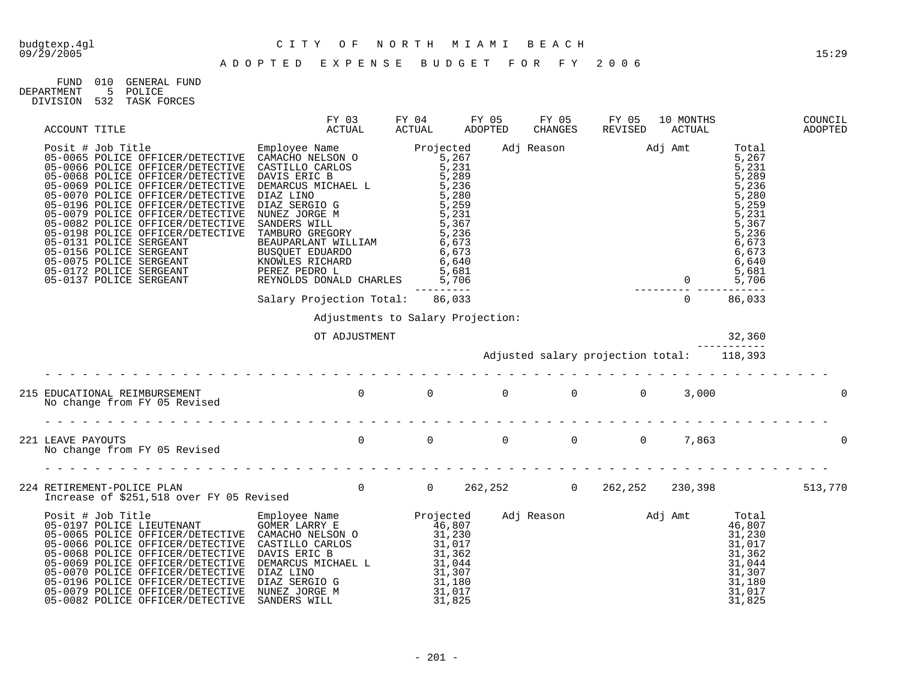| FIND.      | 010 | GENERAL FIIND   |
|------------|-----|-----------------|
| DEPARTMENT |     | 5 POLICE        |
| DIVISION   |     | 532 TASK FORCES |

| ACCOUNT TITLE                                                                                                                                                                                                                       | FY 03<br>ACTUAL                                    | FY 04<br>ACTUAL | FY 05<br>ADOPTED | FY 05 | FY 05<br>CHANGES REVISED                                                                                                                                                                                                                                                              | 10 MONTHS<br>ACTUAL |        | COUNCIL<br>ADOPTED |
|-------------------------------------------------------------------------------------------------------------------------------------------------------------------------------------------------------------------------------------|----------------------------------------------------|-----------------|------------------|-------|---------------------------------------------------------------------------------------------------------------------------------------------------------------------------------------------------------------------------------------------------------------------------------------|---------------------|--------|--------------------|
| ACTUAL ACTUAL ACTUAL ADCORDING THE MONOROTOR CHARGES<br>05-0066 POLICE OFFICER/DETECTIVE CANCHO NELSON 0 5-0066 POLICE OFFICER/DETECTIVE CASTILLO CARLOS 5,231<br>05-0066 POLICE OFFICER/DETECTIVE CASTILLO CARLOS 5,231<br>05-0069 |                                                    | ----------      |                  |       | Adj Reason<br>Adj Amt<br>5,281<br>5,289<br>5,289<br>5,289<br>5,289<br>5,289<br>5,289<br>5,289<br>5,289<br>5,289<br>5,289<br>5,289<br>5,289<br>5,289<br>5,289<br>5,289<br>5,287<br>6,673<br>6,673<br>6,673<br>6,673<br>6,673<br>6,681<br>7,881<br>86,681<br>86,681<br>86,681<br>86,033 |                     |        |                    |
|                                                                                                                                                                                                                                     | Salary Projection Total: 86,033                    |                 |                  |       |                                                                                                                                                                                                                                                                                       |                     |        |                    |
|                                                                                                                                                                                                                                     | Adjustments to Salary Projection:<br>OT ADJUSTMENT |                 |                  |       |                                                                                                                                                                                                                                                                                       |                     | 32,360 |                    |
|                                                                                                                                                                                                                                     |                                                    |                 |                  |       |                                                                                                                                                                                                                                                                                       |                     |        |                    |
|                                                                                                                                                                                                                                     |                                                    |                 |                  |       |                                                                                                                                                                                                                                                                                       |                     |        |                    |
|                                                                                                                                                                                                                                     |                                                    |                 |                  |       |                                                                                                                                                                                                                                                                                       |                     |        | $\mathbf 0$        |
| 224 RETIREMENT-POLICE PLAN<br>10 262,252 230,398 513,770 10 262,252 1230,398 513,770                                                                                                                                                |                                                    |                 |                  |       |                                                                                                                                                                                                                                                                                       |                     |        |                    |
|                                                                                                                                                                                                                                     |                                                    |                 |                  |       |                                                                                                                                                                                                                                                                                       |                     |        |                    |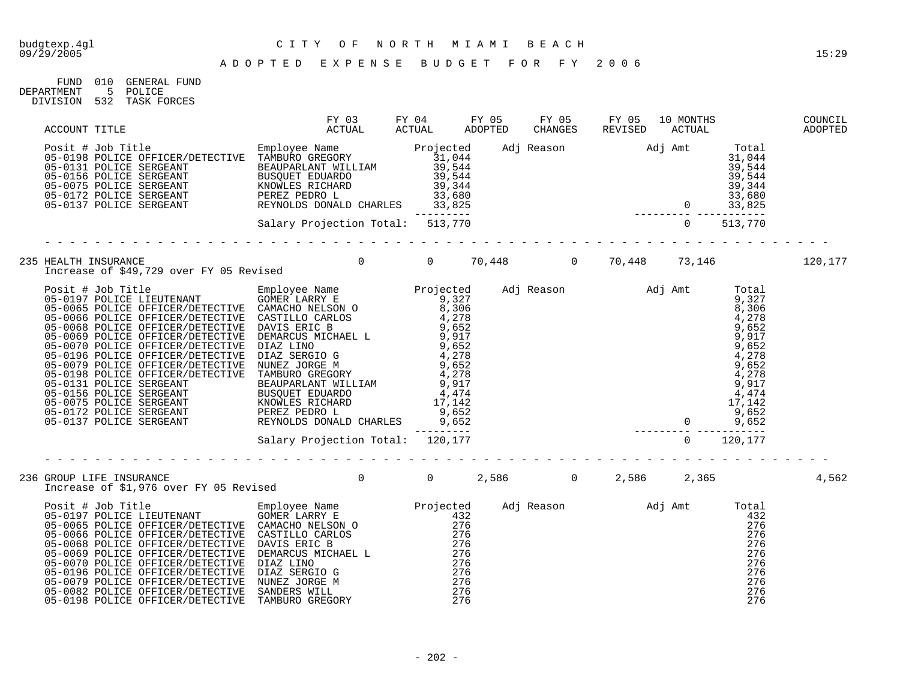| FIND.      | 010 | GENERAL FUND |
|------------|-----|--------------|
| DEPARTMENT |     | POLICE       |
| DIVISION   | 532 | TASK FORCES  |

|  |                                                                                                                                            |  |  |  | 10 MONTHS COUNCIL<br>ACTUAL ADOPTED |       |
|--|--------------------------------------------------------------------------------------------------------------------------------------------|--|--|--|-------------------------------------|-------|
|  |                                                                                                                                            |  |  |  |                                     |       |
|  |                                                                                                                                            |  |  |  |                                     |       |
|  | 235 HEALTH INSURANCE<br>Increase of \$49,729 over FY 05 Revised         0    70,448      0   70,448    73,146         120,177              |  |  |  |                                     |       |
|  |                                                                                                                                            |  |  |  |                                     |       |
|  |                                                                                                                                            |  |  |  |                                     |       |
|  | --------------<br>GROUP LIFE INSURANCE<br>Increase of \$1,976 over FY 05 Revised 6.0 1 0 2,586 1 0 2,586 2,365<br>236 GROUP LIFE INSURANCE |  |  |  |                                     | 4,562 |
|  |                                                                                                                                            |  |  |  |                                     |       |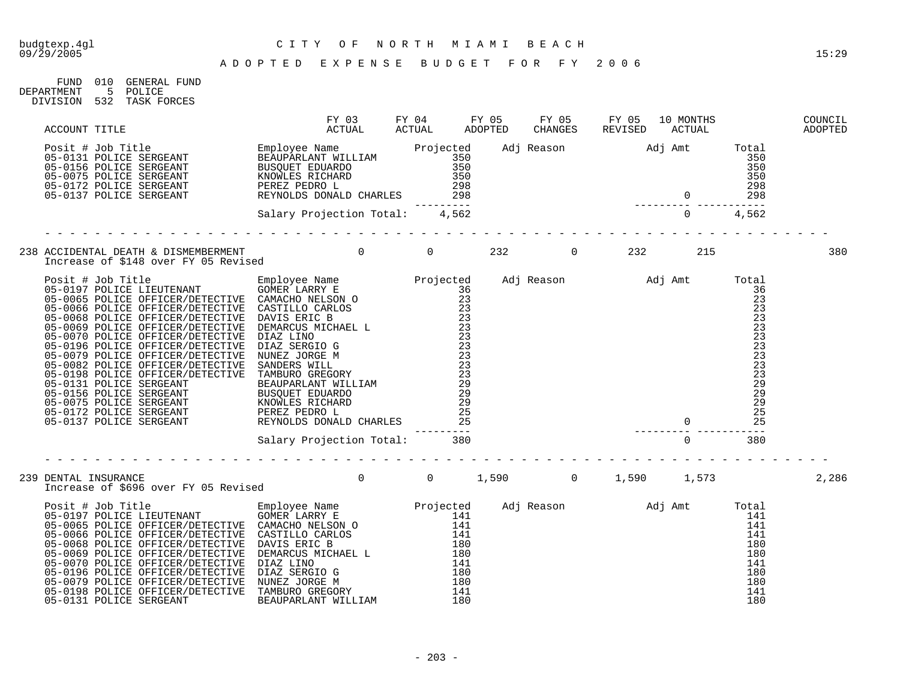### budgtexp.4gl C I T Y O F N O R T H M I A M I B E A C H

| FIJND      | 010 | GENERAL FUND |
|------------|-----|--------------|
| DEPARTMENT | -5. | POLICE       |
| DIVISION   | 532 | TASK FORCES  |
|            |     |              |

|  | ACCOUNT TITLE FY 03 FY 04 FY 05 FY 05 FY 05 10 MONTHS COUNCIL<br>Posit # Job Title SERGEANT BEAUPARLAMY WILLIAM Projected Adj Reason Adj Amt Total<br>05-0131 POLICE SERGEANT BUSQUET ENGARD 350 350<br>05-0175 POLICE SERGEANT BUSQ     | Employee Name Projected Auj Reason<br>BEAUPARLET NULLIAM 350<br>BUSQUET EDUARDO 350<br>RUSQUET EDUARDO 350<br>REYNOLES RICHARD 298 298<br>PEREZ PEDRO L 298 298<br>REYNOLDS DONALD CHARLES 28 298 298<br>Salary Projection Total: 4,562<br>--- |  |  |  |       |
|--|------------------------------------------------------------------------------------------------------------------------------------------------------------------------------------------------------------------------------------------|------------------------------------------------------------------------------------------------------------------------------------------------------------------------------------------------------------------------------------------------|--|--|--|-------|
|  |                                                                                                                                                                                                                                          |                                                                                                                                                                                                                                                |  |  |  |       |
|  |                                                                                                                                                                                                                                          |                                                                                                                                                                                                                                                |  |  |  | 380   |
|  | And The United States of the Employee Name<br>Projected Adj Reason Adj Amt Total<br>05-0197 POLICE LIEUTENANT<br>05-0197 POLICE OPFICER/DETRICTIVE CARELO NELSON O<br>06-0066 POLICE OPFICER/DETRICTIVE CARELO NELSON 23<br>05-0066 POLI |                                                                                                                                                                                                                                                |  |  |  |       |
|  |                                                                                                                                                                                                                                          |                                                                                                                                                                                                                                                |  |  |  |       |
|  | 239 DENTAL INSURANCE                                                                                                                                                                                                                     |                                                                                                                                                                                                                                                |  |  |  | 2,286 |
|  |                                                                                                                                                                                                                                          |                                                                                                                                                                                                                                                |  |  |  |       |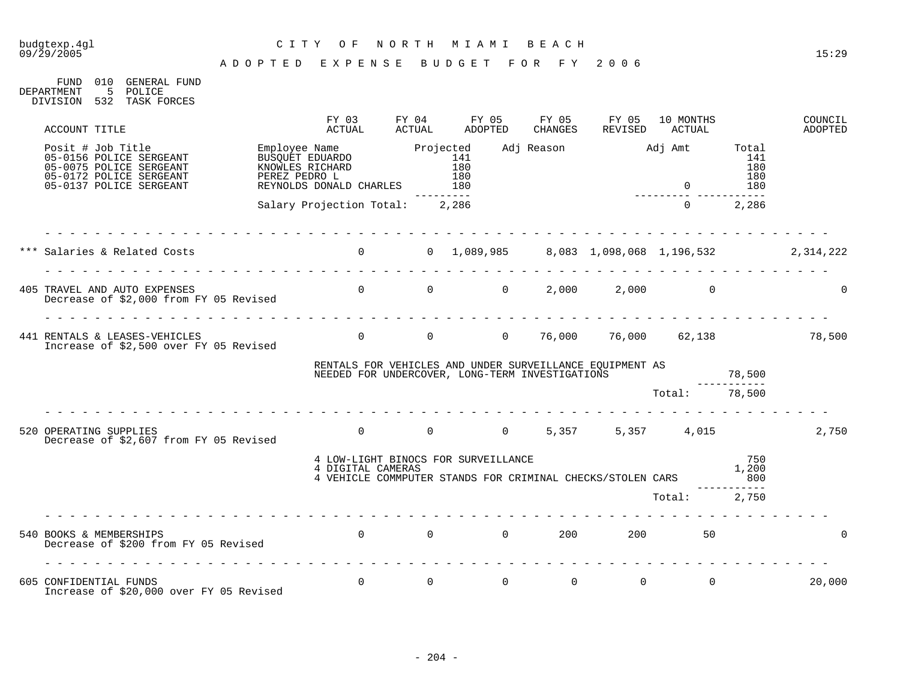# budgtexp.4gl C I T Y O F N O R T H M I A M I B E A C H

| FIJND      | 010 | GENERAL FIJND   |
|------------|-----|-----------------|
| DEPARTMENT | -5  | POLICE          |
| DIVISION   |     | 532 TASK FORCES |

| ACCOUNT TITLE                                                                                                                 | FY 03<br>ACTUAL                                          | FY 04<br>ACTUAL                         |              | FY 05<br>ADOPTED | FY 05<br>CHANGES     | FY 05<br>REVISED                                                                                            | 10 MONTHS<br>ACTUAL     |                          | COUNCIL<br>ADOPTED                        |
|-------------------------------------------------------------------------------------------------------------------------------|----------------------------------------------------------|-----------------------------------------|--------------|------------------|----------------------|-------------------------------------------------------------------------------------------------------------|-------------------------|--------------------------|-------------------------------------------|
| Posit # Job Title<br>05-0156 POLICE SERGEANT<br>05-0075 POLICE SERGEANT<br>05-0172 POLICE SERGEANT<br>05-0137 POLICE SERGEANT | REYNOLDS DONALD CHARLES 180                              |                                         | . <i>.</i> . |                  |                      |                                                                                                             | $\overline{0}$          | 141<br>180<br>180<br>180 |                                           |
|                                                                                                                               | Salary Projection Total: 2,286                           |                                         |              |                  |                      |                                                                                                             | $\overline{0}$          | 2,286                    |                                           |
| *** Salaries & Related Costs                                                                                                  | $0$ 0 1,089,985 8,083 1,098,068 1,196,532 2,314,222      |                                         |              |                  |                      |                                                                                                             |                         |                          |                                           |
| Decrease of \$2,000 from FY 05 Revised                                                                                        |                                                          |                                         |              |                  |                      |                                                                                                             | 2,000<br>$\overline{0}$ |                          |                                           |
| 441 RENTALS & LEASES-VEHICLES<br>Increase of \$2,500 over FY 05 Revised                                                       |                                                          |                                         |              |                  |                      |                                                                                                             |                         |                          | 0 $0$ 0 $76,000$ $76,000$ $62,138$ 78,500 |
|                                                                                                                               |                                                          |                                         |              |                  |                      | RENTALS FOR VEHICLES AND UNDER SURVEILLANCE EQUIPMENT AS<br>NEEDED FOR UNDERCOVER, LONG-TERM INVESTIGATIONS |                         | 78,500                   |                                           |
|                                                                                                                               |                                                          |                                         |              |                  |                      |                                                                                                             | Total: 78,500           |                          |                                           |
| 520 OPERATING SUPPLIES<br>Decrease of \$2,607 from FY 05 Revised                                                              |                                                          |                                         |              |                  |                      |                                                                                                             | 0 0 0 5,357 5,357 4,015 |                          | 2,750                                     |
|                                                                                                                               | 4 LOW-LIGHT BINOCS FOR SURVEILLANCE<br>4 DIGITAL CAMERAS |                                         |              |                  |                      | 4 VEHICLE COMMPUTER STANDS FOR CRIMINAL CHECKS/STOLEN CARS                                                  |                         | 750<br>1,200<br>800      |                                           |
|                                                                                                                               |                                                          |                                         |              |                  |                      |                                                                                                             | Total: 2,750            |                          |                                           |
| 540 BOOKS & MEMBERSHIPS<br>Decrease of \$200 from FY 05 Revised                                                               |                                                          | $\begin{matrix} 0 & 0 & 0 \end{matrix}$ |              |                  | $0\qquad \qquad 200$ | 200                                                                                                         | 50                      |                          |                                           |
| 605 CONFIDENTIAL FUNDS<br>Increase of \$20,000 over FY 05 Revised                                                             |                                                          | $\Omega$                                | $\Omega$     | $\Omega$         | $\overline{0}$       | $\overline{0}$                                                                                              | $\Omega$                |                          | 20,000                                    |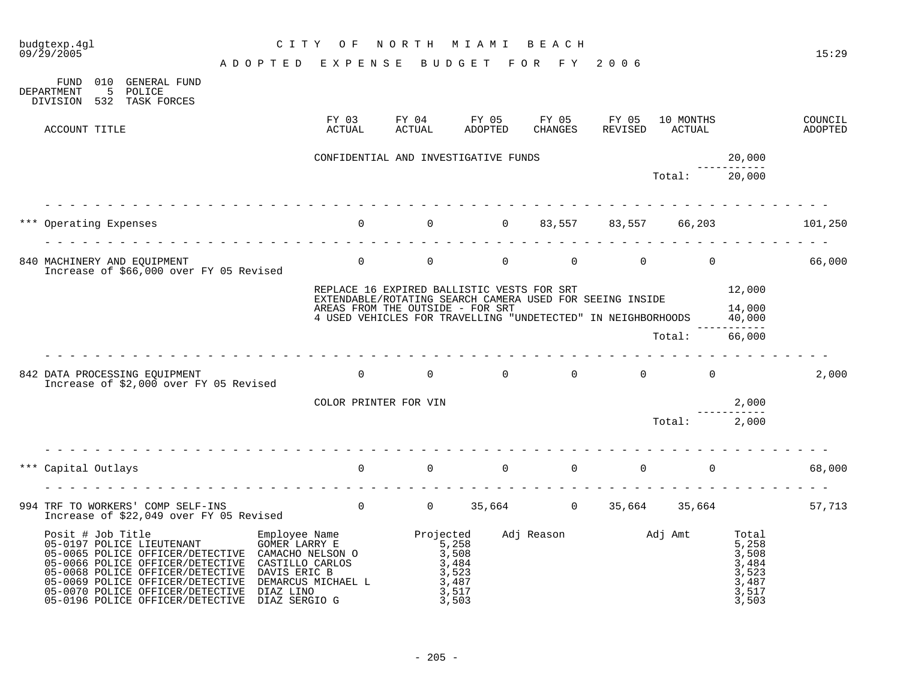| budgtexp.4gl<br>$09/\bar{2}9/2005$                                                                                                                                                                                                                                     | C I T Y                    | O F                                                                                                               | NORTH                                                  | M I A M I                                                                                                                | BEACH            |                                        |                     |                                                                                      | 15:29              |
|------------------------------------------------------------------------------------------------------------------------------------------------------------------------------------------------------------------------------------------------------------------------|----------------------------|-------------------------------------------------------------------------------------------------------------------|--------------------------------------------------------|--------------------------------------------------------------------------------------------------------------------------|------------------|----------------------------------------|---------------------|--------------------------------------------------------------------------------------|--------------------|
|                                                                                                                                                                                                                                                                        | ADOPTED EXPENSE            |                                                                                                                   |                                                        | BUDGET FOR FY 2006                                                                                                       |                  |                                        |                     |                                                                                      |                    |
| 010 GENERAL FUND<br>FUND<br>DEPARTMENT<br>5 POLICE<br>532 TASK FORCES<br>DIVISION                                                                                                                                                                                      |                            |                                                                                                                   |                                                        |                                                                                                                          |                  |                                        |                     |                                                                                      |                    |
| ACCOUNT TITLE                                                                                                                                                                                                                                                          |                            | FY 03<br>ACTUAL                                                                                                   | FY 04<br>ACTUAL                                        | FY 05<br>ADOPTED                                                                                                         | FY 05<br>CHANGES | FY 05<br>REVISED                       | 10 MONTHS<br>ACTUAL |                                                                                      | COUNCIL<br>ADOPTED |
|                                                                                                                                                                                                                                                                        |                            |                                                                                                                   |                                                        | CONFIDENTIAL AND INVESTIGATIVE FUNDS                                                                                     |                  |                                        |                     | 20,000                                                                               |                    |
|                                                                                                                                                                                                                                                                        |                            |                                                                                                                   |                                                        |                                                                                                                          |                  |                                        | Total:              | --------<br>20,000                                                                   |                    |
| Operating Expenses                                                                                                                                                                                                                                                     |                            | $\overline{0}$                                                                                                    | $\overline{0}$                                         | $\overline{0}$                                                                                                           | 83,557           | 83,557                                 | 66,203              |                                                                                      | 101,250            |
|                                                                                                                                                                                                                                                                        |                            |                                                                                                                   |                                                        |                                                                                                                          |                  |                                        |                     |                                                                                      |                    |
| 840 MACHINERY AND EOUIPMENT<br>Increase of \$66,000 over FY 05 Revised                                                                                                                                                                                                 |                            | $\overline{0}$                                                                                                    | $\Omega$                                               | $\Omega$                                                                                                                 | $\Omega$         | $\Omega$                               | $\overline{0}$      |                                                                                      | 66,000             |
|                                                                                                                                                                                                                                                                        |                            |                                                                                                                   |                                                        | REPLACE 16 EXPIRED BALLISTIC VESTS FOR SRT                                                                               |                  |                                        |                     | 12,000                                                                               |                    |
|                                                                                                                                                                                                                                                                        |                            | AREAS FROM THE OUTSIDE - FOR SRT                                                                                  |                                                        | EXTENDABLE/ROTATING SEARCH CAMERA USED FOR SEEING INSIDE<br>4 USED VEHICLES FOR TRAVELLING "UNDETECTED" IN NEIGHBORHOODS |                  |                                        |                     | 14,000<br>40,000<br>------------                                                     |                    |
|                                                                                                                                                                                                                                                                        |                            |                                                                                                                   |                                                        |                                                                                                                          |                  |                                        | Total:              | 66,000                                                                               |                    |
| 842 DATA PROCESSING EQUIPMENT<br>Increase of \$2,000 over FY 05 Revised                                                                                                                                                                                                |                            | $\overline{0}$                                                                                                    | $\overline{0}$                                         | $\overline{0}$                                                                                                           | $\overline{0}$   | $0 \qquad \qquad$                      | $\overline{0}$      |                                                                                      | 2,000              |
|                                                                                                                                                                                                                                                                        |                            | COLOR PRINTER FOR VIN                                                                                             |                                                        |                                                                                                                          |                  |                                        |                     | 2,000                                                                                |                    |
|                                                                                                                                                                                                                                                                        |                            |                                                                                                                   |                                                        |                                                                                                                          |                  |                                        | Total:              | 2,000                                                                                |                    |
| *** Capital Outlays                                                                                                                                                                                                                                                    | .                          |                                                                                                                   |                                                        | $\begin{matrix} 0 & 0 & 0 \end{matrix}$                                                                                  |                  | $0 \qquad \qquad$<br>$0 \qquad \qquad$ | $\Omega$            |                                                                                      | 68,000             |
|                                                                                                                                                                                                                                                                        |                            |                                                                                                                   |                                                        |                                                                                                                          |                  |                                        |                     |                                                                                      |                    |
| 994 TRF TO WORKERS' COMP SELF-INS<br>Increase of \$22,049 over FY 05 Revised                                                                                                                                                                                           |                            |                                                                                                                   |                                                        | 0 0 35,664 0 35,664 35,664                                                                                               |                  |                                        |                     |                                                                                      | 57,713             |
| Posit # Job Title<br>05-0197 POLICE LIEUTENANT<br>05-0065 POLICE OFFICER/DETECTIVE<br>05-0066 POLICE OFFICER/DETECTIVE<br>05-0068 POLICE OFFICER/DETECTIVE<br>05-0069 POLICE OFFICER/DETECTIVE<br>05-0070 POLICE OFFICER/DETECTIVE<br>05-0196 POLICE OFFICER/DETECTIVE | DIAZ LINO<br>DIAZ SERGIO G | Employee Name<br>GOMER LARRY E 5 258<br>CAMACHO NELSON O<br>CASTILLO CARLOS<br>DAVIS ERIC B<br>DEMARCUS MICHAEL L | $\begin{array}{r} 5,258 \\ 3,508 \\ 3,484 \end{array}$ | 3,523<br>3,487<br>3,517<br>3,503                                                                                         |                  | Adj Reason Madj Amt                    |                     | Total<br>$\frac{5,258}{3,508}$<br>3,508<br>3,484<br>3,523<br>3,487<br>3,517<br>3,503 |                    |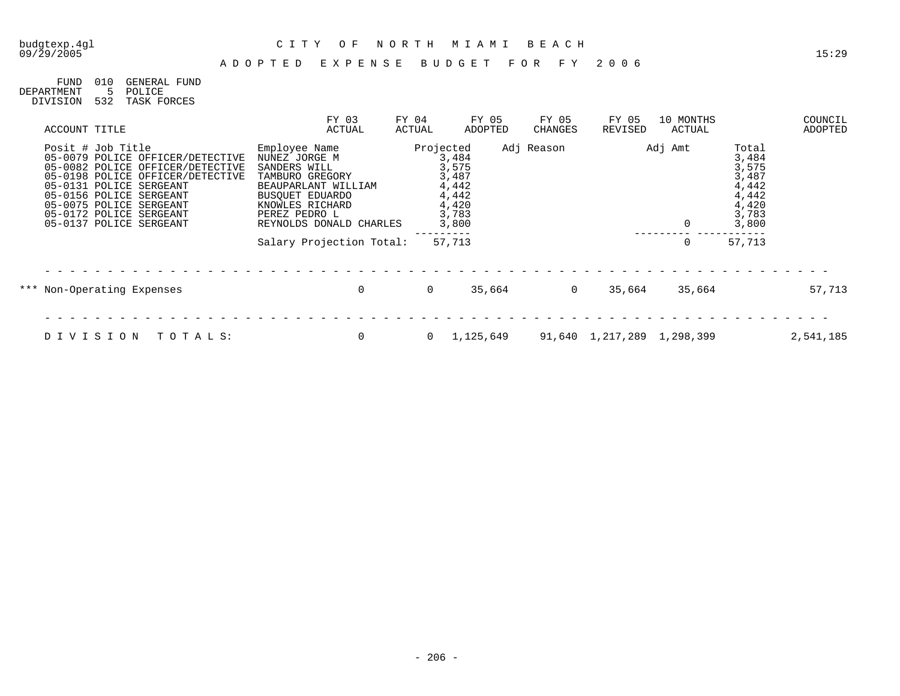# budgtexp.4gl C I T Y O F N O R T H M I A M I B E A C H

| FIND       | 010 | GENERAL FIIND   |
|------------|-----|-----------------|
| DEPARTMENT | 5.  | POLICE          |
| DIVISION   |     | 532 TASK FORCES |

| ACCOUNT TITLE                                                                                                                                                                                                                                                        | FY 03<br>ACTUAL                                                                                                                                                            | FY 04<br>ACTUAL | FY 05<br>ADOPTED                                                                  | FY 05<br>CHANGES | FY 05<br>REVISED           | 10 MONTHS<br>ACTUAL |                                                                               | COUNCIL<br>ADOPTED |
|----------------------------------------------------------------------------------------------------------------------------------------------------------------------------------------------------------------------------------------------------------------------|----------------------------------------------------------------------------------------------------------------------------------------------------------------------------|-----------------|-----------------------------------------------------------------------------------|------------------|----------------------------|---------------------|-------------------------------------------------------------------------------|--------------------|
| Posit # Job Title<br>05-0079 POLICE OFFICER/DETECTIVE<br>05-0082 POLICE OFFICER/DETECTIVE<br>05-0198 POLICE OFFICER/DETECTIVE<br>05-0131 POLICE SERGEANT<br>05-0156 POLICE SERGEANT<br>05-0075 POLICE SERGEANT<br>05-0172 POLICE SERGEANT<br>05-0137 POLICE SERGEANT | Employee Name<br>NUNEZ JORGE M<br>SANDERS WILL<br>TAMBURO GREGORY<br>BEAUPARLANT WILLIAM<br>BUSOUET EDUARDO<br>KNOWLES RICHARD<br>PEREZ PEDRO L<br>REYNOLDS DONALD CHARLES |                 | Projected<br>3,484<br>3,575<br>3,487<br>4,442<br>4,442<br>4,420<br>3,783<br>3,800 | Adj Reason       |                            | Adj Amt<br>0        | Total<br>3,484<br>3,575<br>3,487<br>4,442<br>4,442<br>4,420<br>3,783<br>3,800 |                    |
|                                                                                                                                                                                                                                                                      | Salary Projection Total:                                                                                                                                                   |                 | 57,713                                                                            |                  |                            | 0                   | 57,713                                                                        |                    |
| *** Non-Operating Expenses                                                                                                                                                                                                                                           | $\mathbf 0$                                                                                                                                                                | $\Omega$        | 35,664                                                                            | $\Omega$         | 35,664                     | 35,664              |                                                                               | 57,713             |
|                                                                                                                                                                                                                                                                      |                                                                                                                                                                            |                 |                                                                                   |                  |                            |                     |                                                                               |                    |
| DIVISION<br>TOTALS:                                                                                                                                                                                                                                                  | $\mathbf 0$                                                                                                                                                                |                 | 1,125,649                                                                         |                  | 91,640 1,217,289 1,298,399 |                     |                                                                               | 2,541,185          |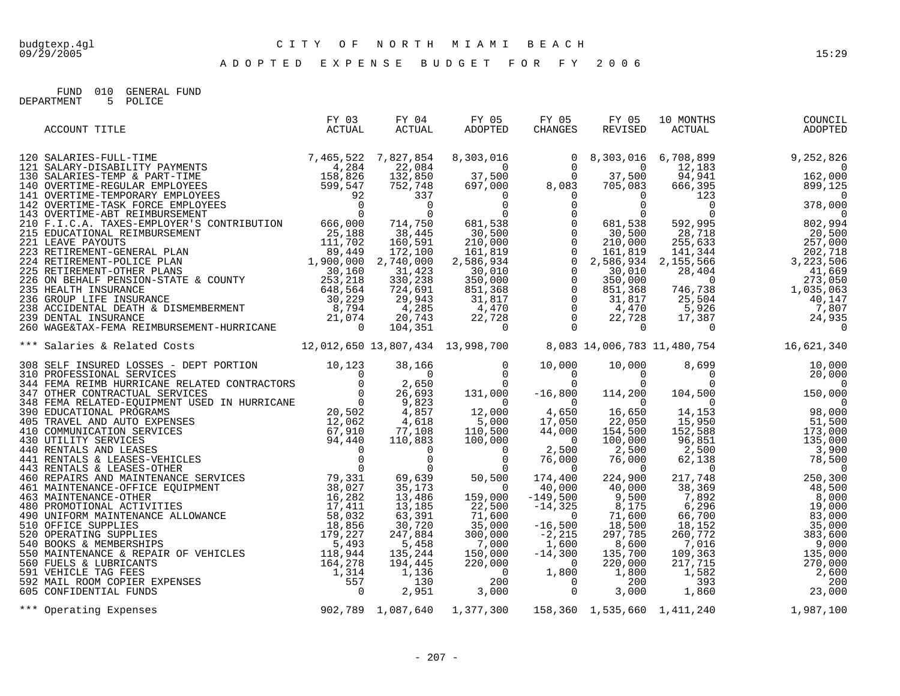A D O P T E D E X P E N S E B U D G E T F O R F Y 2 0 0 6

FUND 010 GENERAL FUND DEPARTMENT 5 POLICE

| ACCOUNT TITLE                                                                                                                                                                                                                 | FY 03<br>ACTUAL | ACTUAL | FY 05<br>CHANGES |  |  |
|-------------------------------------------------------------------------------------------------------------------------------------------------------------------------------------------------------------------------------|-----------------|--------|------------------|--|--|
|                                                                                                                                                                                                                               |                 |        |                  |  |  |
|                                                                                                                                                                                                                               |                 |        |                  |  |  |
|                                                                                                                                                                                                                               |                 |        |                  |  |  |
|                                                                                                                                                                                                                               |                 |        |                  |  |  |
|                                                                                                                                                                                                                               |                 |        |                  |  |  |
|                                                                                                                                                                                                                               |                 |        |                  |  |  |
|                                                                                                                                                                                                                               |                 |        |                  |  |  |
| 308 SEUP INSTRUME & Related CONTRACTORS 11,000 10,000 10,000 10,000 10,000 10,000 10,000 10,000 10,000 10,000 10,000 10,000 10,000 10,000 10,000 10,000 10,000 10,000 10,000 10,000 10,000 10,000 10,000 10,000 10,000 10,000 |                 |        |                  |  |  |
|                                                                                                                                                                                                                               |                 |        |                  |  |  |
|                                                                                                                                                                                                                               |                 |        |                  |  |  |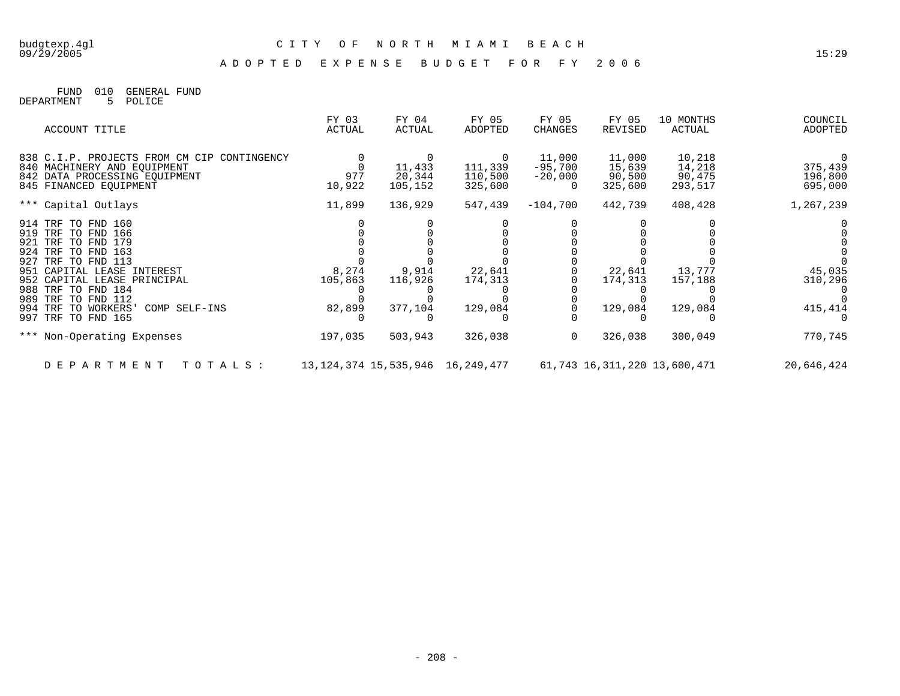### budgtexp.4gl C I T Y O F N O R T H M I A M I B E A C H

A D O P T E D E X P E N S E B U D G E T F O R F Y 2 0 0 6

FUND 010 GENERAL FUND DEPARTMENT 5 POLICE

| ACCOUNT TITLE                                                              | FY 03<br>ACTUAL | FY 04<br>ACTUAL   | FY 05<br>ADOPTED                       | FY 05<br>CHANGES      | FY 05<br>REVISED  | 10 MONTHS<br>ACTUAL          | COUNCIL<br>ADOPTED |
|----------------------------------------------------------------------------|-----------------|-------------------|----------------------------------------|-----------------------|-------------------|------------------------------|--------------------|
| 838 C.I.P. PROJECTS FROM CM CIP CONTINGENCY<br>840 MACHINERY AND EQUIPMENT |                 | 11,433            | 111,339                                | 11,000<br>$-95,700$   | 11,000<br>15,639  | 10,218<br>14,218             | 375,439            |
| 842 DATA PROCESSING EOUIPMENT<br>845 FINANCED EQUIPMENT                    | 977<br>10,922   | 20,344<br>105,152 | 110,500<br>325,600                     | $-20,000$<br>$\Omega$ | 90,500<br>325,600 | 90,475<br>293,517            | 196,800<br>695,000 |
| *** Capital Outlays                                                        | 11,899          | 136,929           | 547,439                                | $-104,700$            | 442,739           | 408,428                      | 1,267,239          |
| 914 TRF TO FND 160                                                         |                 |                   |                                        |                       |                   |                              |                    |
| 919 TRF TO FND 166<br>921 TRF TO FND 179                                   |                 |                   |                                        |                       |                   |                              |                    |
| 924 TRF TO FND 163                                                         |                 |                   |                                        |                       |                   |                              |                    |
| 927 TRF TO FND 113                                                         |                 |                   |                                        |                       |                   |                              |                    |
| 951 CAPITAL LEASE INTEREST                                                 | 8,274           | 9,914             | 22,641                                 |                       | 22,641            | 13,777                       | 45,035             |
| 952 CAPITAL LEASE PRINCIPAL<br>988 TRF TO FND 184                          | 105,863         | 116,926           | 174,313                                |                       | 174,313           | 157,188                      | 310,296            |
| 989 TRF TO FND 112<br>994 TRF TO WORKERS'                                  |                 |                   |                                        |                       |                   |                              |                    |
| COMP SELF-INS<br>997 TRF TO FND 165                                        | 82,899          | 377,104           | 129,084                                |                       | 129,084           | 129,084                      | 415,414            |
| *** Non-Operating Expenses                                                 | 197,035         | 503,943           | 326,038                                | $\Omega$              | 326,038           | 300,049                      | 770,745            |
| D E P A R T M E N T<br>TOTALS :                                            |                 |                   | 13, 124, 374 15, 535, 946 16, 249, 477 |                       |                   | 61,743 16,311,220 13,600,471 | 20,646,424         |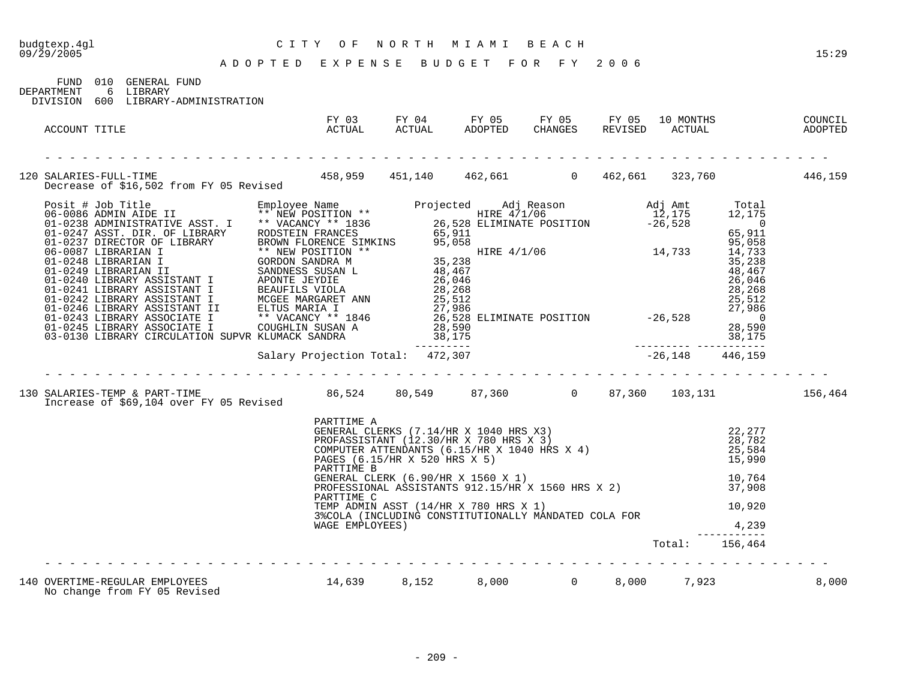### budgtexp.4gl C I T Y O F N O R T H M I A M I B E A C H

A D O P T E D E X P E N S E B U D G E T F O R F Y 2 0 0 6

FUND 010 GENERAL FUND<br>DEPARTMENT 6 LIBRARY 6 LIBRARY

DIVISION 600 LIBRARY-ADMINISTRATION

| ACCOUNT TITLE                                                                                                            | FI US<br>ACTUAL                             | FY 03 FY 04 FY 05 FY 05 FY 05 10 MONTHS<br>ACTUAL ACTUAL ADOPTED CHANGES REVISED ACTUAL                                                                                                                                                                                                                                                        |  | 10 MONTHS      |                 | COUNCIL<br>COUNCIL |
|--------------------------------------------------------------------------------------------------------------------------|---------------------------------------------|------------------------------------------------------------------------------------------------------------------------------------------------------------------------------------------------------------------------------------------------------------------------------------------------------------------------------------------------|--|----------------|-----------------|--------------------|
| 120 SALARIES-FULL-TIME 159 458,959 451,140 462,661 0 462,661 323,760 446,159 120 Decrease of \$16,502 from FY 05 Revised |                                             |                                                                                                                                                                                                                                                                                                                                                |  |                |                 |                    |
|                                                                                                                          |                                             |                                                                                                                                                                                                                                                                                                                                                |  |                |                 |                    |
| Increase of \$69,104 over FY 05 Revised                                                                                  |                                             |                                                                                                                                                                                                                                                                                                                                                |  |                |                 |                    |
|                                                                                                                          | PARTTIME A<br>PARTTIME C<br>WAGE EMPLOYEES) | PARTTIME A<br>GENERAL CLERKS (7.14/HR X 1040 HRS X3)<br>PROFASSISTANT (12.30/HR X 780 HRS X 3)<br>COMPUTER ATTENDANTS (6.15/HR X 1040 HRS X 4)<br>PAGES (6.15/HR X 520 HRS X 5)<br>PARTTIME B<br>GENERAL CLERK (6.90/HR X 1560 X 1)<br>ROFES<br>TEMP ADMIN ASST (14/HR X 780 HRS X 1)<br>3% COLA (INCLUDING CONSTITUTIONALLY MANDATED COLA FOR |  |                | 10,920<br>4,239 |                    |
|                                                                                                                          |                                             |                                                                                                                                                                                                                                                                                                                                                |  | Total: 156,464 |                 |                    |
| 140 OVERTIME-REGULAR EMPLOYEES 14,639 8,152 8,000 0 8,000 7,923<br>No change from FY 05 Revised                          |                                             |                                                                                                                                                                                                                                                                                                                                                |  |                |                 | 8,000              |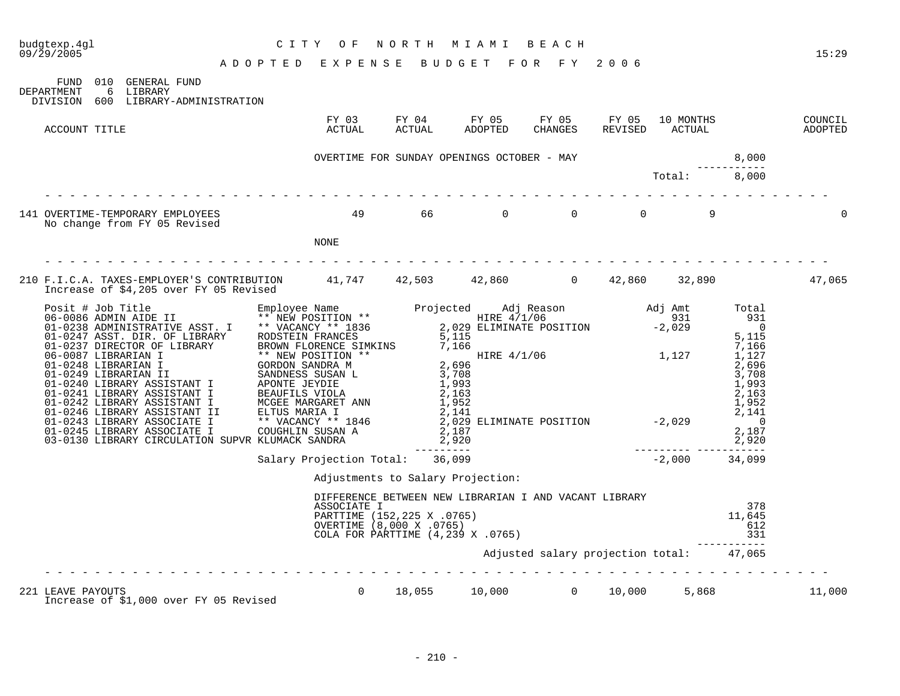|                                                                                                                                         |                                                                                                                                                      |                                                       |                                          |  |                             | 15:29  |
|-----------------------------------------------------------------------------------------------------------------------------------------|------------------------------------------------------------------------------------------------------------------------------------------------------|-------------------------------------------------------|------------------------------------------|--|-----------------------------|--------|
| FUND 010 GENERAL FUND                                                                                                                   |                                                                                                                                                      |                                                       |                                          |  |                             |        |
| DEPARTMENT<br>6 LIBRARY<br>DIVISION 600 LIBRARY-ADMINISTRATION                                                                          |                                                                                                                                                      |                                                       |                                          |  |                             |        |
| ACCOUNT TITLE                                                                                                                           |                                                                                                                                                      |                                                       |                                          |  |                             |        |
|                                                                                                                                         |                                                                                                                                                      |                                                       |                                          |  |                             |        |
|                                                                                                                                         |                                                                                                                                                      |                                                       |                                          |  |                             |        |
| 141 OVERTIME-TEMPORARY EMPLOYEES<br>No change from FY 05 Revised                                                                        | 49 66 0 0 0 9                                                                                                                                        |                                                       |                                          |  |                             |        |
|                                                                                                                                         | NONE                                                                                                                                                 |                                                       |                                          |  |                             |        |
|                                                                                                                                         |                                                                                                                                                      |                                                       |                                          |  |                             |        |
| 210 F.I.C.A. TAXES-EMPLOYER'S CONTRIBUTION 41,747 42,503 42,860 0 42,860 32,890 32,890 47,065<br>Increase of \$4,205 over FY 05 Revised |                                                                                                                                                      |                                                       |                                          |  |                             |        |
|                                                                                                                                         |                                                                                                                                                      |                                                       |                                          |  |                             |        |
|                                                                                                                                         |                                                                                                                                                      |                                                       |                                          |  |                             |        |
|                                                                                                                                         |                                                                                                                                                      |                                                       |                                          |  |                             |        |
|                                                                                                                                         |                                                                                                                                                      |                                                       |                                          |  |                             |        |
|                                                                                                                                         |                                                                                                                                                      | Adjustments to Salary Projection:                     |                                          |  |                             |        |
|                                                                                                                                         | DIFFERENCE BEIWEEN NEW BIDROIN: - ----<br>ASSOCIATE I<br>PARTTIME (152,225 X .0765)<br>OVERTIME (8,000 X .0765)<br>COLA FOR PARTTIME (4,239 X .0765) | DIFFERENCE BETWEEN NEW LIBRARIAN I AND VACANT LIBRARY |                                          |  | 378<br>11,645<br>612<br>331 |        |
|                                                                                                                                         |                                                                                                                                                      |                                                       | Adjusted salary projection total: 47,065 |  |                             |        |
| 221 LEAVE PAYOUTS<br>Increase of \$1,000 over FY 05 Revised                                                                             | $10.000$ aver FY 05 Revised $0$ 18,055 $10,000$ 0 $10,000$ 5,868                                                                                     |                                                       |                                          |  |                             | 11,000 |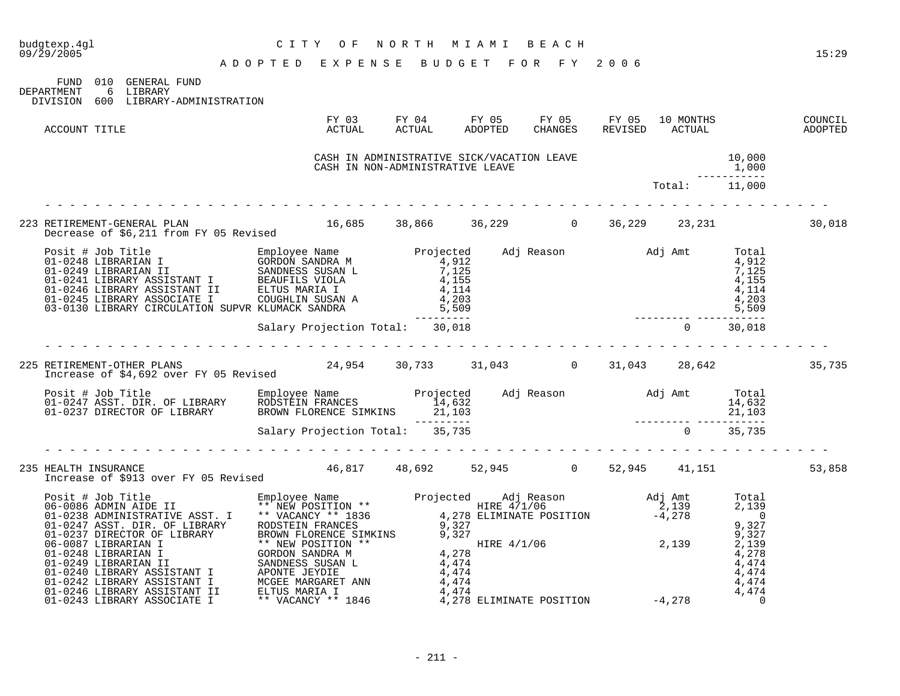| 09/29/2005                                                                                                                                                                                                                                 | ADOPTED EXPENSE BUDGET FOR FY 2006                                                                                                                          |  |  |                                    | 15:29  |
|--------------------------------------------------------------------------------------------------------------------------------------------------------------------------------------------------------------------------------------------|-------------------------------------------------------------------------------------------------------------------------------------------------------------|--|--|------------------------------------|--------|
| FUND 010 GENERAL FUND<br>DEPARTMENT 6 LIBRARY<br>DIVISION 600 LIBRARY-ADMINISTRATION                                                                                                                                                       |                                                                                                                                                             |  |  |                                    |        |
| ACCOUNT TITLE                                                                                                                                                                                                                              |                                                                                                                                                             |  |  |                                    |        |
|                                                                                                                                                                                                                                            | CASH IN ADMINISTRATIVE SICK/VACATION LEAVE<br>CASH IN ADMINISTRATIVE SICK/VACAIION DEAVE (1,000<br>CASH IN NON-ADMINISTRATIVE LEAVE (1,000<br>Total: 11,000 |  |  | $10,000$<br>$1,000$<br>----------- |        |
|                                                                                                                                                                                                                                            |                                                                                                                                                             |  |  |                                    |        |
| 223 RETIREMENT-GENERAL PLAN                                                                                                                                                                                                                |                                                                                                                                                             |  |  |                                    | 30,018 |
|                                                                                                                                                                                                                                            |                                                                                                                                                             |  |  |                                    |        |
|                                                                                                                                                                                                                                            |                                                                                                                                                             |  |  |                                    |        |
| 225 RETIREMENT-OTHER PLANS 24,954 30,733 31,043 0 31,043 28,642 35,735 31,043 28,642                                                                                                                                                       |                                                                                                                                                             |  |  |                                    |        |
| Posit # Job Title Employee Name Projected Adj Reason Maj Amt Total<br>14,632 14,632 14,632 14,632 14,632 14,632<br>11,103 21,103 PRECTOR OF LIBRARY BROWN FLORENCE SIMKINS 21,103<br>21,103 21,103 21,103<br>Salary Projection Total: 35,7 |                                                                                                                                                             |  |  |                                    |        |
|                                                                                                                                                                                                                                            |                                                                                                                                                             |  |  |                                    |        |
| 235 HEALTH INSURANCE<br>11,151 Increase of \$913 over FY 05 Revised 46,817 48,692 52,945 0 52,945 41,151                                                                                                                                   |                                                                                                                                                             |  |  |                                    | 53,858 |
| 11 CHERARY ASSISTANT I MCGEE MARGARET ANN 4,474<br>01-0249 LIBRARY ASSISTANT I ELITY STRAIN AND ACTES AND A SURVEY AND MALINEARY AND SALE OF A SAME CONSIDERATIVE ASST. IT AND SALE OF A SAME CONSIDERATY AND CONSIDER A SAME CO           |                                                                                                                                                             |  |  |                                    |        |

budgtexp.4gl C I T Y O F N O R T H M I A M I B E A C H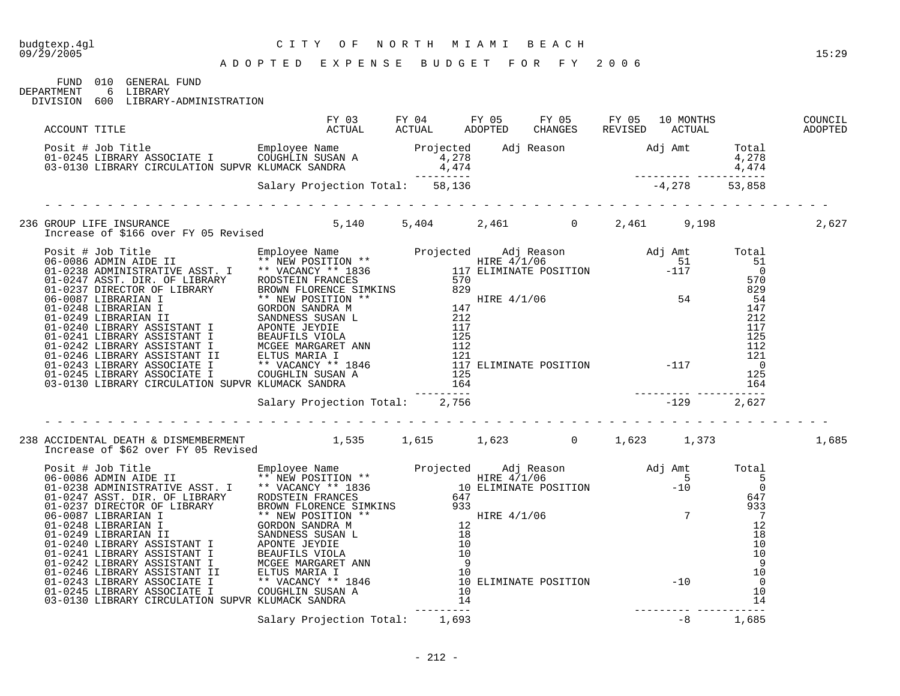FUND 010 GENERAL FUND

DEPARTMENT 6 LIBRARY DIVISION 600 LIBRARY-ADMINISTRATION

|  | 236 GROUP LIFE INSURANCE                                     5,140         5,404         2,461           0       2,461         9,198<br>Increase of \$166 over FY 05 Revised                                 5,140               2                                                                                                                                                                                                                                   |  |  |  | 2,627 |
|--|----------------------------------------------------------------------------------------------------------------------------------------------------------------------------------------------------------------------------------------------------------------------------------------------------------------------------------------------------------------------------------------------------------------------------------------------------------------------|--|--|--|-------|
|  |                                                                                                                                                                                                                                                                                                                                                                                                                                                                      |  |  |  |       |
|  |                                                                                                                                                                                                                                                                                                                                                                                                                                                                      |  |  |  |       |
|  |                                                                                                                                                                                                                                                                                                                                                                                                                                                                      |  |  |  |       |
|  |                                                                                                                                                                                                                                                                                                                                                                                                                                                                      |  |  |  |       |
|  | 238 ACCIDENTAL DEATH & DISMEMBERMENT        1,535   1,615    1,623     0    1,623    1,373<br>Increase of \$62 over FY 05 Revised                                                                                                                                                                                                                                                                                                                                    |  |  |  | 1,685 |
|  | $\begin{tabular}{ l c c c c c} \hline \texttt{Increase of $862 over $Y$ 05 kev145} & \texttt{Employee Name} & \texttt{Employee Name} & \texttt{Projected} & \texttt{Adj Reason} & \texttt{Adj Amt} & \texttt{Total} & \texttt{Total} \\ \hline \texttt{06-0086 AMIN AIDE II} & \texttt{Simployee Name} & \texttt{Rimployee Name} & \texttt{Projected} & \texttt{HER 4/1/06} & \texttt{Adj Amt} & \texttt{Total} \\ \hline \texttt{06-0086 AMIN AIDE II} & \texttt{X$ |  |  |  |       |
|  |                                                                                                                                                                                                                                                                                                                                                                                                                                                                      |  |  |  |       |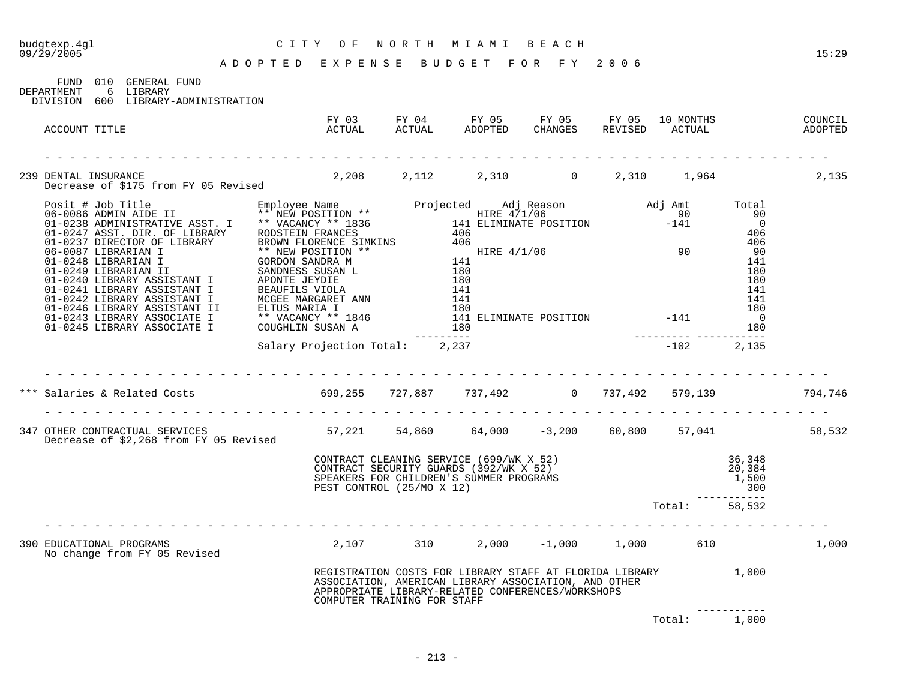| 09/29/2005                                                                                                                       | A D O P T E D E X P E N S E B U D G E T F O R F Y 2006                                                                                                                                                              |                                                   |  |              | 15:29 |
|----------------------------------------------------------------------------------------------------------------------------------|---------------------------------------------------------------------------------------------------------------------------------------------------------------------------------------------------------------------|---------------------------------------------------|--|--------------|-------|
| FUND 010 GENERAL FUND<br>DEPARTMENT 6 LIBRARY<br>DIVISION 600 LIBRARY-ADMINISTRATION                                             |                                                                                                                                                                                                                     |                                                   |  |              |       |
| FY 03 FY 04 FY 05 FY 05 FY 05 FY 05 OUNCIL ACCOUNT TITLE COUNCIL ACTUAL ACTUAL ACTUAL ADOPTED CHANGES REVISED ACTUAL ADOPTED     |                                                                                                                                                                                                                     |                                                   |  |              |       |
|                                                                                                                                  |                                                                                                                                                                                                                     |                                                   |  |              |       |
| 239 DENTAL INSURANCE<br>Decrease of \$175 from FY 05 Revised 2,208 2,112 2,310 0 2,310 1,964 2,135                               |                                                                                                                                                                                                                     |                                                   |  |              |       |
|                                                                                                                                  |                                                                                                                                                                                                                     |                                                   |  |              |       |
|                                                                                                                                  |                                                                                                                                                                                                                     |                                                   |  |              |       |
|                                                                                                                                  |                                                                                                                                                                                                                     |                                                   |  |              |       |
| *** Salaries & Related Costs 699,255 727,887 737,492 0 737,492 579,139 794,746                                                   |                                                                                                                                                                                                                     |                                                   |  |              |       |
| 347 OTHER CONTRACTUAL SERVICES 58,532<br>Decrease of \$2,268 from FY 05 Revised 57,221 54,860 64,000 -3,200 60,800 57,041 58,532 |                                                                                                                                                                                                                     |                                                   |  |              |       |
|                                                                                                                                  | CONTRACT CLEANING SERVICE (699/WK X 52) 36,348<br>CONTRACT SECURITY GUARDS (392/WK X 52) 20,384<br>SPEAKERS FOR CHILDREN'S SUMMER PROGRAMS 1,500<br>PEST CONTROL (25/MO X 12) 300<br>Total: 58,532<br>Total: 58,532 |                                                   |  |              |       |
|                                                                                                                                  |                                                                                                                                                                                                                     |                                                   |  |              |       |
| 390 EDUCATIONAL PROGRAMS<br>No change from FY 05 Revised                                                                         | $2,107$ 310 $2,000$ $-1,000$ $1,000$ 610 $1,000$                                                                                                                                                                    |                                                   |  |              |       |
|                                                                                                                                  | REGISTRATION COSTS FOR LIBRARY STAFF AT FLORIDA LIBRARY (2000)<br>ASSOCIATION, AMERICAN LIBRARY ASSOCIATION, AND OTHER<br>ADDRODRIATE LIBRARY-REL CONFERENCES/WORKSHODS<br>COMPUTER TRAINING FOR STAFF              | APPROPRIATE LIBRARY-RELATED CONFERENCES/WORKSHOPS |  |              |       |
|                                                                                                                                  |                                                                                                                                                                                                                     |                                                   |  | Total: 1,000 |       |

budgtexp.4gl C I T Y O F N O R T H M I A M I B E A C H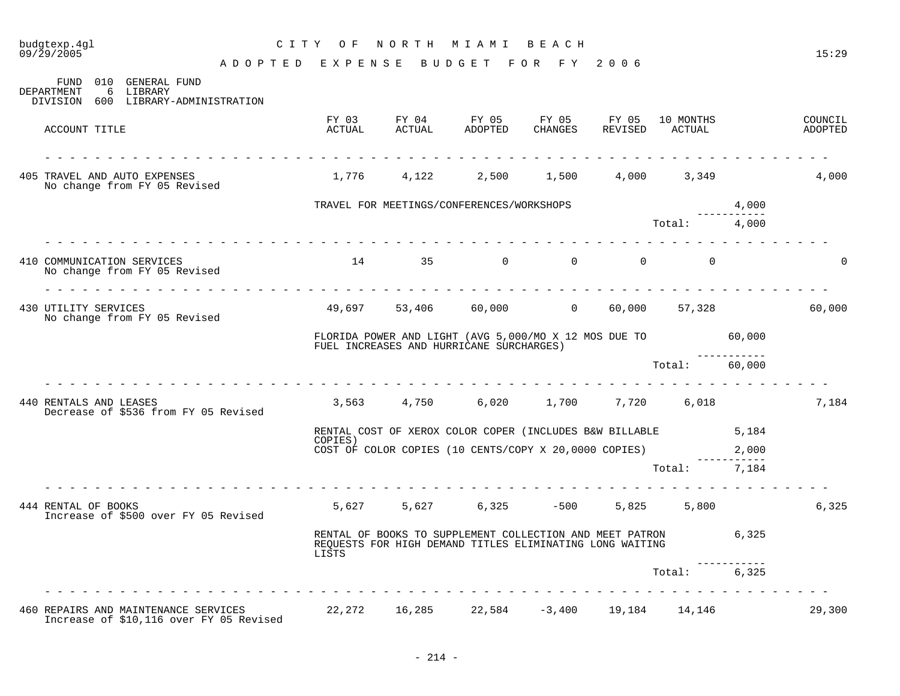| budgtexp.4ql<br>09/29/2005                                                                 | CITY OF                            |        | NORTH MIAMI BEACH                                                                                                    |          |          |                             |                      | 15:29              |
|--------------------------------------------------------------------------------------------|------------------------------------|--------|----------------------------------------------------------------------------------------------------------------------|----------|----------|-----------------------------|----------------------|--------------------|
|                                                                                            | ADOPTED EXPENSE BUDGET FOR FY 2006 |        |                                                                                                                      |          |          |                             |                      |                    |
| FUND 010 GENERAL FUND<br>DEPARTMENT<br>6<br>LIBRARY<br>DIVISION 600 LIBRARY-ADMINISTRATION |                                    |        |                                                                                                                      |          |          |                             |                      |                    |
| ACCOUNT TITLE                                                                              | ACTUAL                             | ACTUAL | FY 03 FY 04 FY 05 FY 05 FY 05<br>ADOPTED                                                                             | CHANGES  |          | 10 MONTHS<br>REVISED ACTUAL |                      | COUNCIL<br>ADOPTED |
| 405 TRAVEL AND AUTO EXPENSES<br>No change from FY 05 Revised                               |                                    |        | $1,776$ $4,122$ $2,500$ $1,500$ $4,000$ $3,349$                                                                      |          |          |                             |                      | 4,000              |
|                                                                                            |                                    |        | TRAVEL FOR MEETINGS/CONFERENCES/WORKSHOPS                                                                            |          |          |                             | 4,000                |                    |
|                                                                                            |                                    |        |                                                                                                                      |          |          | Total: 4,000                | ---------            |                    |
| 410 COMMUNICATION SERVICES<br>No change from FY 05 Revised                                 | 14                                 | 35     | $\overline{0}$                                                                                                       | $\Omega$ | $\Omega$ | $\overline{0}$              |                      | $\Omega$           |
| 430 UTILITY SERVICES<br>No change from FY 05 Revised                                       |                                    |        | 49,697 53,406 60,000 0 60,000 57,328                                                                                 |          |          |                             |                      | 60,000             |
|                                                                                            |                                    |        | FLORIDA POWER AND LIGHT (AVG 5,000/MO X 12 MOS DUE TO 60,000<br>FUEL INCREASES AND HURRICANE SURCHARGES)             |          |          |                             |                      |                    |
|                                                                                            |                                    |        |                                                                                                                      |          |          | Total: 60,000               |                      |                    |
| 440 RENTALS AND LEASES<br>Decrease of \$536 from FY 05 Revised                             |                                    |        | 3,563 4,750 6,020 1,700 7,720 6,018                                                                                  |          |          |                             |                      | 7,184              |
|                                                                                            | COPIES)                            |        | RENTAL COST OF XEROX COLOR COPER (INCLUDES B&W BILLABLE 5,184                                                        |          |          |                             |                      |                    |
|                                                                                            |                                    |        | COST OF COLOR COPIES (10 CENTS/COPY X 20,0000 COPIES)                                                                |          |          |                             | 2,000<br>----------- |                    |
|                                                                                            |                                    |        |                                                                                                                      |          |          | Total: 7,184                |                      |                    |
| 444 RENTAL OF BOOKS<br>Increase of \$500 over FY 05 Revised                                |                                    |        | 5,627 5,627 6,325 -500 5,825 5,800                                                                                   |          |          |                             |                      | 6,325              |
|                                                                                            | LISTS                              |        | RENTAL OF BOOKS TO SUPPLEMENT COLLECTION AND MEET PATRON<br>REQUESTS FOR HIGH DEMAND TITLES ELIMINATING LONG WAITING |          |          | 6,325                       |                      |                    |
|                                                                                            |                                    |        |                                                                                                                      |          |          | Total:                      | 6,325                |                    |
| 460 REPAIRS AND MAINTENANCE SERVICES 22,272 16,285 22,584 -3,400 19,184 14,146             |                                    |        |                                                                                                                      |          |          |                             |                      | 29,300             |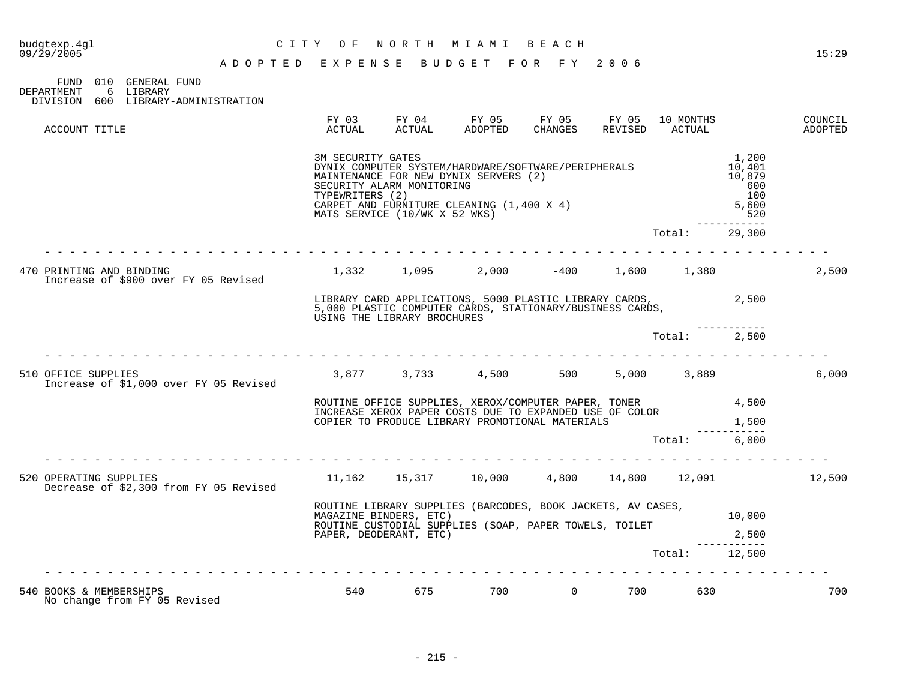# budgtexp.4gl C I T Y O F N O R T H M I A M I B E A C H

09/29/2005 15:29

| FIND         | 010 GENERAL FUND       |  |
|--------------|------------------------|--|
| DEPARTMENT   | 6 TJERARY              |  |
| DIVISION 600 | LIBRARY-ADMINISTRATION |  |

| ACCOUNT TITLE                                                    | FY 03<br>ACTUAL                                                                                                                                                           | FY 04<br>ACTUAL                                            | FY 05<br>ADOPTED                                                                                                                                                   | FY 05<br>CHANGES | FY 05<br>REVISED | 10 MONTHS<br>ACTUAL |                                                              | COUNCIL<br>ADOPTED |
|------------------------------------------------------------------|---------------------------------------------------------------------------------------------------------------------------------------------------------------------------|------------------------------------------------------------|--------------------------------------------------------------------------------------------------------------------------------------------------------------------|------------------|------------------|---------------------|--------------------------------------------------------------|--------------------|
|                                                                  | 3M SECURITY GATES<br>TYPEWRITERS (2)                                                                                                                                      | SECURITY ALARM MONITORING<br>MATS SERVICE (10/WK X 52 WKS) | DYNIX COMPUTER SYSTEM/HARDWARE/SOFTWARE/PERIPHERALS<br>MAINTENANCE FOR NEW DYNIX SERVERS (2)<br>CARPET AND FURNITURE CLEANING (1,400 X 4)                          |                  |                  |                     | 1,200<br>10,401<br>10,879<br>600<br>100<br>5,600<br>520<br>. |                    |
|                                                                  |                                                                                                                                                                           |                                                            |                                                                                                                                                                    |                  |                  | Total:              | 29,300                                                       |                    |
| 470 PRINTING AND BINDING<br>Increase of \$900 over FY 05 Revised |                                                                                                                                                                           |                                                            | $1,332$ $1,095$ $2,000$ $-400$ $1,600$ $1,380$                                                                                                                     |                  |                  |                     |                                                              | 2,500              |
|                                                                  | 2,500<br>LIBRARY CARD APPLICATIONS, 5000 PLASTIC LIBRARY CARDS,<br>5,000 PLASTIC COMPUTER CARDS, STATIONARY/BUSINESS CARDS,<br>USING THE LIBRARY BROCHURES                |                                                            |                                                                                                                                                                    |                  |                  |                     |                                                              |                    |
|                                                                  |                                                                                                                                                                           |                                                            |                                                                                                                                                                    |                  |                  | Total: 2,500        |                                                              |                    |
| 510 OFFICE SUPPLIES<br>Increase of \$1,000 over FY 05 Revised    |                                                                                                                                                                           |                                                            | 3,877 3,733 4,500 500                                                                                                                                              |                  |                  | 5,000 3,889         |                                                              | 6,000              |
|                                                                  |                                                                                                                                                                           |                                                            | ROUTINE OFFICE SUPPLIES, XEROX/COMPUTER PAPER, TONER<br>INCREASE XEROX PAPER COSTS DUE TO EXPANDED USE OF COLOR<br>COPIER TO PRODUCE LIBRARY PROMOTIONAL MATERIALS |                  |                  |                     | 4,500<br>1,500                                               |                    |
|                                                                  |                                                                                                                                                                           |                                                            |                                                                                                                                                                    |                  |                  | Total:              | 6,000                                                        |                    |
| 520 OPERATING SUPPLIES<br>Decrease of \$2,300 from FY 05 Revised |                                                                                                                                                                           |                                                            | $11,162$ $15,317$ $10,000$ $4,800$ $14,800$ $12,091$                                                                                                               |                  |                  |                     |                                                              | 12,500             |
|                                                                  | ROUTINE LIBRARY SUPPLIES (BARCODES, BOOK JACKETS, AV CASES,<br>MAGAZINE BINDERS, ETC)<br>ROUTINE CUSTODIAL SUPPLIES (SOAP, PAPER TOWELS, TOILET<br>PAPER, DEODERANT, ETC) |                                                            |                                                                                                                                                                    |                  |                  |                     |                                                              |                    |
|                                                                  |                                                                                                                                                                           |                                                            |                                                                                                                                                                    |                  |                  | Total: 12,500       | 2,500                                                        |                    |
| 540 BOOKS & MEMBERSHIPS<br>No change from FY 05 Revised          | 540                                                                                                                                                                       | 675                                                        | 700                                                                                                                                                                | $\overline{0}$   | 700              | 630                 |                                                              | 700                |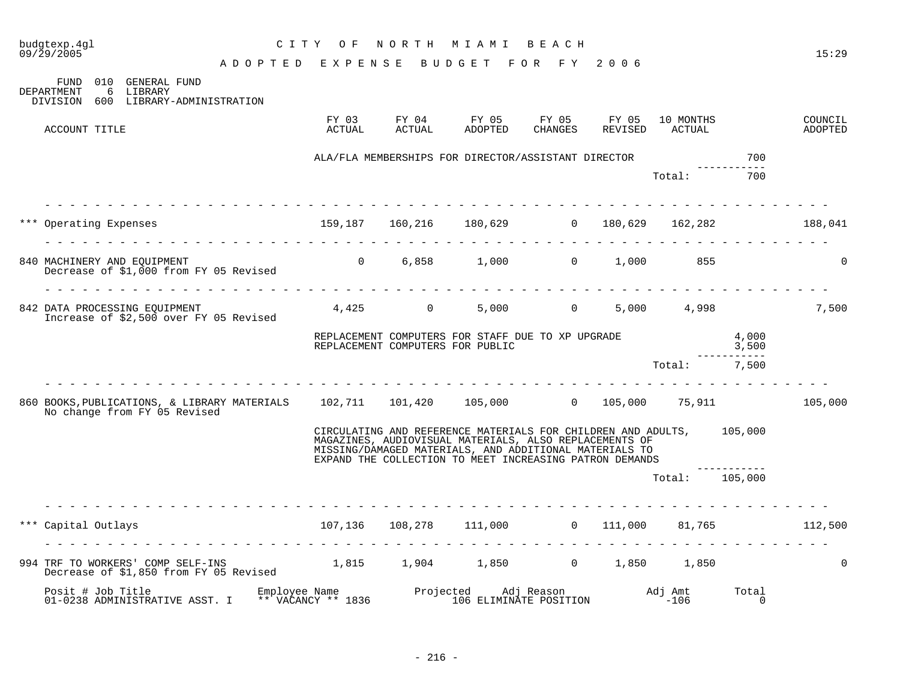| budgtexp.4gl<br>09/29/2005                                                                                                    | C I T Y                               | O F             |                                  | NORTH MIAMI BEACH |                                                                                                                                                                                                                                                     |                  |                     |                               | 15:29              |
|-------------------------------------------------------------------------------------------------------------------------------|---------------------------------------|-----------------|----------------------------------|-------------------|-----------------------------------------------------------------------------------------------------------------------------------------------------------------------------------------------------------------------------------------------------|------------------|---------------------|-------------------------------|--------------------|
|                                                                                                                               | ADOPTED EXPENSE                       |                 |                                  |                   | BUDGET FOR FY 2006                                                                                                                                                                                                                                  |                  |                     |                               |                    |
| FUND 010 GENERAL FUND<br>DEPARTMENT<br>6 LIBRARY<br>DIVISION<br>600 LIBRARY-ADMINISTRATION                                    |                                       |                 |                                  |                   |                                                                                                                                                                                                                                                     |                  |                     |                               |                    |
| ACCOUNT TITLE                                                                                                                 |                                       | FY 03<br>ACTUAL | FY 04<br>ACTUAL                  | FY 05<br>ADOPTED  | FY 05<br>CHANGES                                                                                                                                                                                                                                    | FY 05<br>REVISED | 10 MONTHS<br>ACTUAL |                               | COUNCIL<br>ADOPTED |
|                                                                                                                               |                                       |                 |                                  |                   | ALA/FLA MEMBERSHIPS FOR DIRECTOR/ASSISTANT DIRECTOR                                                                                                                                                                                                 |                  |                     | 700                           |                    |
|                                                                                                                               |                                       |                 |                                  |                   |                                                                                                                                                                                                                                                     |                  | Total:              | ---------<br>700              |                    |
| *** Operating Expenses 6 159,187 160,216 180,629 0 180,629 162,282 188,041                                                    |                                       |                 |                                  |                   |                                                                                                                                                                                                                                                     |                  |                     |                               |                    |
| 840 MACHINERY AND EQUIPMENT<br>Decrease of \$1,000 from FY 05 Revised                                                         |                                       |                 |                                  |                   | $0 \t 6,858 \t 1,000 \t 0 \t 1,000$                                                                                                                                                                                                                 |                  | 855                 |                               | $\mathbf{0}$       |
| 842 DATA PROCESSING EOUIPMENT<br>Increase of \$2,500 over FY 05 Revised                                                       |                                       |                 | $4,425$ 0                        |                   | 5,000 0 5,000 4,998                                                                                                                                                                                                                                 |                  |                     |                               | 7,500              |
|                                                                                                                               |                                       |                 | REPLACEMENT COMPUTERS FOR PUBLIC |                   | REPLACEMENT COMPUTERS FOR STAFF DUE TO XP UPGRADE                                                                                                                                                                                                   |                  |                     | 4,000<br>3,500<br>----------- |                    |
|                                                                                                                               |                                       |                 |                                  |                   |                                                                                                                                                                                                                                                     |                  | Total: 7,500        |                               |                    |
| 860 BOOKS, PUBLICATIONS, & LIBRARY MATERIALS 102,711 101,420 105,000 0 105,000 75,911 105,000<br>No change from FY 05 Revised |                                       |                 |                                  |                   |                                                                                                                                                                                                                                                     |                  |                     |                               |                    |
|                                                                                                                               |                                       |                 |                                  |                   | CIRCULATING AND REFERENCE MATERIALS FOR CHILDREN AND ADULTS, 105,000<br>MAGAZINES, AUDIOVISUAL MATERIALS, ALSO REPLACEMENTS OF<br>MISSING/DAMAGED MATERIALS, AND ADDITIONAL MATERIALS TO<br>EXPAND THE COLLECTION TO MEET INCREASING PATRON DEMANDS |                  |                     |                               |                    |
|                                                                                                                               |                                       |                 |                                  |                   |                                                                                                                                                                                                                                                     |                  | Total: 105,000      |                               |                    |
| Capital Outlays                                                                                                               | 107,136  108,278  111,000  0  111,000 |                 |                                  |                   |                                                                                                                                                                                                                                                     |                  |                     |                               | 81,765 112,500     |
| TRF TO WORKERS' COMP SELF-INS         1,815    1,904     1,850       0    1,850    1,850<br>994 TRF TO WORKERS' COMP SELF-INS |                                       |                 |                                  |                   |                                                                                                                                                                                                                                                     |                  |                     |                               | $\mathbf{0}$       |
|                                                                                                                               |                                       |                 |                                  |                   |                                                                                                                                                                                                                                                     |                  |                     | Total<br>$\Omega$             |                    |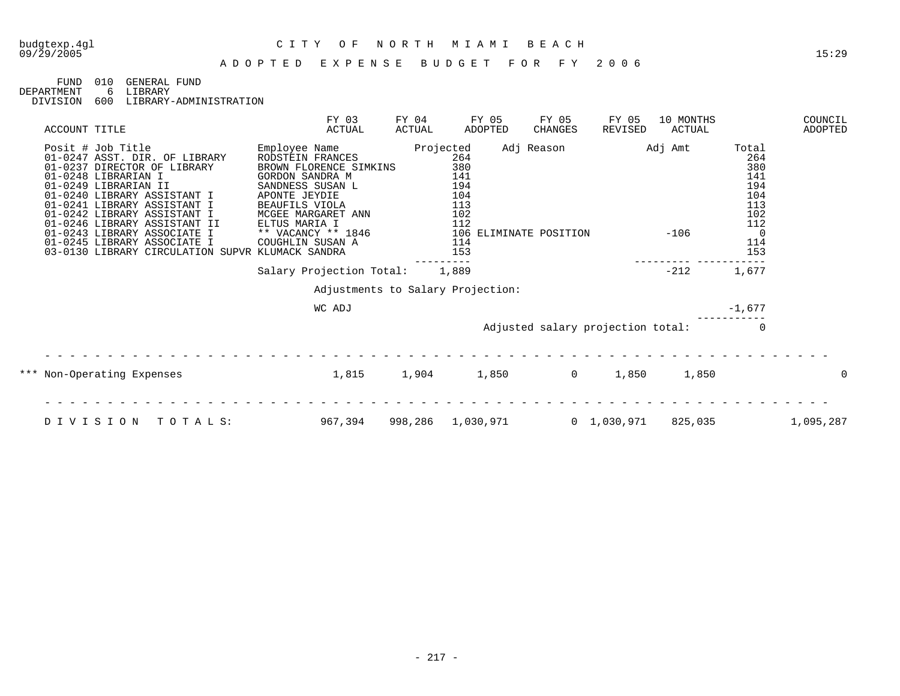#### A D O P T E D E X P E N S E B U D G E T F O R F Y 2 0 0 6

FUND 010 GENERAL FUND<br>DEPARTMENT 6 LIBRARY

6 LIBRARY DIVISION 600 LIBRARY-ADMINISTRATION

| ACCOUNT TITLE                                                                                                                                                                                                                                                                                                                                                                   | FY 03<br>ACTUAL                                                                                                                                                                                                        | FY 04<br>ACTUAL                                            | FY 05<br>ADOPTED | FY 05<br>CHANGES                            | FY 05<br>REVISED  | 10 MONTHS<br>ACTUAL |                                                                                                         | COUNCIL<br>ADOPTED |
|---------------------------------------------------------------------------------------------------------------------------------------------------------------------------------------------------------------------------------------------------------------------------------------------------------------------------------------------------------------------------------|------------------------------------------------------------------------------------------------------------------------------------------------------------------------------------------------------------------------|------------------------------------------------------------|------------------|---------------------------------------------|-------------------|---------------------|---------------------------------------------------------------------------------------------------------|--------------------|
| Posit # Job Title<br>01-0247 ASST. DIR. OF LIBRARY<br>01-0237 DIRECTOR OF LIBRARY<br>01-0248 LIBRARIAN I<br>01-0249 LIBRARIAN II<br>01-0240 LIBRARY ASSISTANT I<br>01-0241 LIBRARY ASSISTANT I<br>01-0242 LIBRARY ASSISTANT I<br>01-0246 LIBRARY ASSISTANT II<br>01-0243 LIBRARY ASSOCIATE I<br>01-0245 LIBRARY ASSOCIATE I<br>03-0130 LIBRARY CIRCULATION SUPVR KLUMACK SANDRA | Employee Name<br>RODSTEIN FRANCES<br>BROWN FLORENCE SIMKINS<br>GORDON SANDRA M<br>SANDNESS SUSAN L<br>APONTE JEYDIE<br>BEAUFILS VIOLA<br>MCGEE MARGARET ANN<br>ELTUS MARIA I<br>** VACANCY ** 1846<br>COUGHLIN SUSAN A | Projected<br>141<br>194<br>104<br>113<br>102<br>112<br>153 | 264<br>380       | Adj Reason<br>106 ELIMINATE POSITION<br>114 | Adj Amt<br>$-106$ |                     | Total<br>264<br>380<br>141<br>194<br>104<br>113<br>102<br>112<br>$\overline{\phantom{0}}$<br>114<br>153 |                    |
|                                                                                                                                                                                                                                                                                                                                                                                 | Salary Projection Total:                                                                                                                                                                                               | 1,889                                                      |                  |                                             |                   | $-212$              | 1,677                                                                                                   |                    |
|                                                                                                                                                                                                                                                                                                                                                                                 | Adjustments to Salary Projection:                                                                                                                                                                                      |                                                            |                  |                                             |                   |                     |                                                                                                         |                    |
|                                                                                                                                                                                                                                                                                                                                                                                 | WC ADJ                                                                                                                                                                                                                 |                                                            |                  |                                             |                   |                     | $-1,677$                                                                                                |                    |
|                                                                                                                                                                                                                                                                                                                                                                                 |                                                                                                                                                                                                                        |                                                            |                  | Adjusted salary projection total:           |                   |                     |                                                                                                         |                    |
| *** Non-Operating Expenses                                                                                                                                                                                                                                                                                                                                                      | 1,815                                                                                                                                                                                                                  | 1,904 1,850 0                                              |                  |                                             | 1,850             | 1,850               |                                                                                                         |                    |
| DIVISION<br>TOTALS:                                                                                                                                                                                                                                                                                                                                                             | 967,394                                                                                                                                                                                                                | 998,286 1,030,971                                          |                  |                                             | 0 1,030,971       | 825,035             |                                                                                                         | 1,095,287          |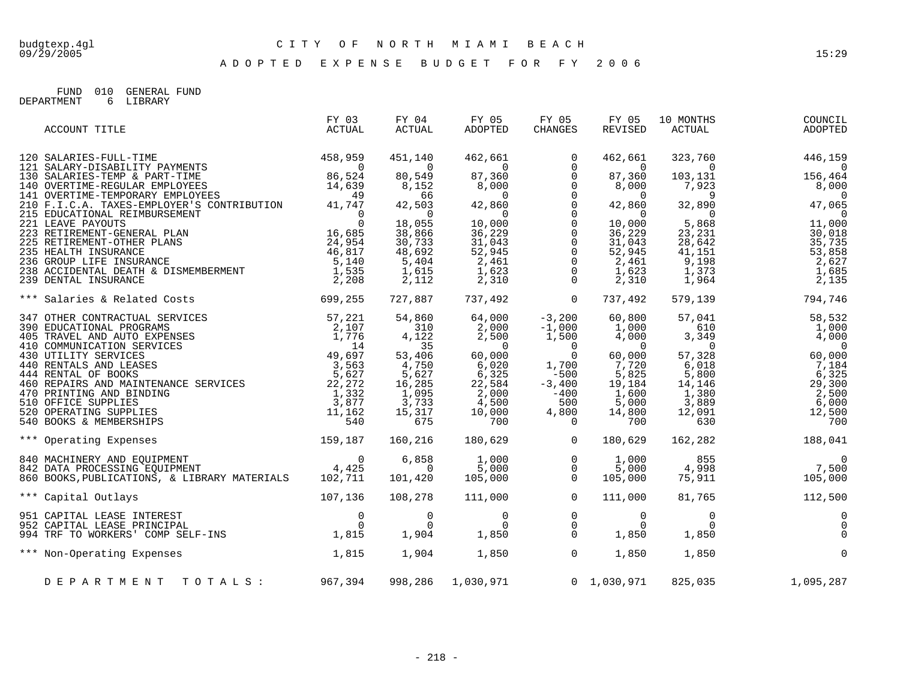A D O P T E D E X P E N S E B U D G E T F O R F Y 2 0 0 6

FUND 010 GENERAL FUND DEPARTMENT 6 LIBRARY

| FY 03<br>ACTUAL | FY 04<br>ACTUAL                                                                      | FY 05<br>ADOPTED                      | FY 05<br>CHANGES                                                                                                                                       | FY 05<br>REVISED             | 10 MONTHS<br>ACTUAL                                                                                                                                                                                                                                    | COUNCIL<br>ADOPTED                                                                                                                                                                                                                                                                                                                                                                                                                                                                                                                                                                                                                                                                                                                                                                                                      |
|-----------------|--------------------------------------------------------------------------------------|---------------------------------------|--------------------------------------------------------------------------------------------------------------------------------------------------------|------------------------------|--------------------------------------------------------------------------------------------------------------------------------------------------------------------------------------------------------------------------------------------------------|-------------------------------------------------------------------------------------------------------------------------------------------------------------------------------------------------------------------------------------------------------------------------------------------------------------------------------------------------------------------------------------------------------------------------------------------------------------------------------------------------------------------------------------------------------------------------------------------------------------------------------------------------------------------------------------------------------------------------------------------------------------------------------------------------------------------------|
|                 |                                                                                      |                                       |                                                                                                                                                        |                              |                                                                                                                                                                                                                                                        | 323,760 446,159                                                                                                                                                                                                                                                                                                                                                                                                                                                                                                                                                                                                                                                                                                                                                                                                         |
|                 |                                                                                      |                                       |                                                                                                                                                        |                              |                                                                                                                                                                                                                                                        |                                                                                                                                                                                                                                                                                                                                                                                                                                                                                                                                                                                                                                                                                                                                                                                                                         |
|                 |                                                                                      |                                       |                                                                                                                                                        |                              |                                                                                                                                                                                                                                                        |                                                                                                                                                                                                                                                                                                                                                                                                                                                                                                                                                                                                                                                                                                                                                                                                                         |
|                 |                                                                                      |                                       |                                                                                                                                                        |                              |                                                                                                                                                                                                                                                        |                                                                                                                                                                                                                                                                                                                                                                                                                                                                                                                                                                                                                                                                                                                                                                                                                         |
|                 |                                                                                      |                                       |                                                                                                                                                        |                              |                                                                                                                                                                                                                                                        |                                                                                                                                                                                                                                                                                                                                                                                                                                                                                                                                                                                                                                                                                                                                                                                                                         |
|                 |                                                                                      |                                       |                                                                                                                                                        |                              |                                                                                                                                                                                                                                                        |                                                                                                                                                                                                                                                                                                                                                                                                                                                                                                                                                                                                                                                                                                                                                                                                                         |
|                 |                                                                                      |                                       |                                                                                                                                                        |                              |                                                                                                                                                                                                                                                        |                                                                                                                                                                                                                                                                                                                                                                                                                                                                                                                                                                                                                                                                                                                                                                                                                         |
|                 |                                                                                      |                                       |                                                                                                                                                        |                              |                                                                                                                                                                                                                                                        |                                                                                                                                                                                                                                                                                                                                                                                                                                                                                                                                                                                                                                                                                                                                                                                                                         |
|                 |                                                                                      |                                       |                                                                                                                                                        |                              |                                                                                                                                                                                                                                                        |                                                                                                                                                                                                                                                                                                                                                                                                                                                                                                                                                                                                                                                                                                                                                                                                                         |
|                 |                                                                                      |                                       |                                                                                                                                                        |                              |                                                                                                                                                                                                                                                        |                                                                                                                                                                                                                                                                                                                                                                                                                                                                                                                                                                                                                                                                                                                                                                                                                         |
|                 |                                                                                      |                                       |                                                                                                                                                        |                              |                                                                                                                                                                                                                                                        |                                                                                                                                                                                                                                                                                                                                                                                                                                                                                                                                                                                                                                                                                                                                                                                                                         |
|                 |                                                                                      |                                       |                                                                                                                                                        |                              |                                                                                                                                                                                                                                                        |                                                                                                                                                                                                                                                                                                                                                                                                                                                                                                                                                                                                                                                                                                                                                                                                                         |
|                 |                                                                                      |                                       |                                                                                                                                                        | 737,492                      |                                                                                                                                                                                                                                                        | 579,139 794,746                                                                                                                                                                                                                                                                                                                                                                                                                                                                                                                                                                                                                                                                                                                                                                                                         |
|                 |                                                                                      |                                       |                                                                                                                                                        |                              |                                                                                                                                                                                                                                                        |                                                                                                                                                                                                                                                                                                                                                                                                                                                                                                                                                                                                                                                                                                                                                                                                                         |
|                 |                                                                                      |                                       |                                                                                                                                                        |                              |                                                                                                                                                                                                                                                        |                                                                                                                                                                                                                                                                                                                                                                                                                                                                                                                                                                                                                                                                                                                                                                                                                         |
|                 |                                                                                      |                                       |                                                                                                                                                        |                              |                                                                                                                                                                                                                                                        |                                                                                                                                                                                                                                                                                                                                                                                                                                                                                                                                                                                                                                                                                                                                                                                                                         |
|                 |                                                                                      |                                       |                                                                                                                                                        |                              |                                                                                                                                                                                                                                                        |                                                                                                                                                                                                                                                                                                                                                                                                                                                                                                                                                                                                                                                                                                                                                                                                                         |
|                 |                                                                                      |                                       |                                                                                                                                                        |                              |                                                                                                                                                                                                                                                        | 60,000                                                                                                                                                                                                                                                                                                                                                                                                                                                                                                                                                                                                                                                                                                                                                                                                                  |
|                 |                                                                                      |                                       |                                                                                                                                                        |                              |                                                                                                                                                                                                                                                        |                                                                                                                                                                                                                                                                                                                                                                                                                                                                                                                                                                                                                                                                                                                                                                                                                         |
|                 |                                                                                      |                                       |                                                                                                                                                        |                              |                                                                                                                                                                                                                                                        |                                                                                                                                                                                                                                                                                                                                                                                                                                                                                                                                                                                                                                                                                                                                                                                                                         |
|                 |                                                                                      |                                       |                                                                                                                                                        |                              |                                                                                                                                                                                                                                                        |                                                                                                                                                                                                                                                                                                                                                                                                                                                                                                                                                                                                                                                                                                                                                                                                                         |
|                 |                                                                                      |                                       |                                                                                                                                                        |                              |                                                                                                                                                                                                                                                        |                                                                                                                                                                                                                                                                                                                                                                                                                                                                                                                                                                                                                                                                                                                                                                                                                         |
|                 |                                                                                      |                                       |                                                                                                                                                        |                              |                                                                                                                                                                                                                                                        |                                                                                                                                                                                                                                                                                                                                                                                                                                                                                                                                                                                                                                                                                                                                                                                                                         |
|                 |                                                                                      |                                       |                                                                                                                                                        |                              |                                                                                                                                                                                                                                                        |                                                                                                                                                                                                                                                                                                                                                                                                                                                                                                                                                                                                                                                                                                                                                                                                                         |
|                 |                                                                                      |                                       |                                                                                                                                                        |                              |                                                                                                                                                                                                                                                        |                                                                                                                                                                                                                                                                                                                                                                                                                                                                                                                                                                                                                                                                                                                                                                                                                         |
|                 |                                                                                      |                                       |                                                                                                                                                        | 180,629                      |                                                                                                                                                                                                                                                        | 162, 282 188, 041                                                                                                                                                                                                                                                                                                                                                                                                                                                                                                                                                                                                                                                                                                                                                                                                       |
|                 |                                                                                      |                                       |                                                                                                                                                        |                              |                                                                                                                                                                                                                                                        | $\overline{0}$                                                                                                                                                                                                                                                                                                                                                                                                                                                                                                                                                                                                                                                                                                                                                                                                          |
|                 |                                                                                      |                                       |                                                                                                                                                        |                              |                                                                                                                                                                                                                                                        |                                                                                                                                                                                                                                                                                                                                                                                                                                                                                                                                                                                                                                                                                                                                                                                                                         |
|                 |                                                                                      |                                       |                                                                                                                                                        |                              |                                                                                                                                                                                                                                                        |                                                                                                                                                                                                                                                                                                                                                                                                                                                                                                                                                                                                                                                                                                                                                                                                                         |
|                 |                                                                                      |                                       | $\overline{0}$                                                                                                                                         | 111,000                      | 81,765                                                                                                                                                                                                                                                 | 112,500                                                                                                                                                                                                                                                                                                                                                                                                                                                                                                                                                                                                                                                                                                                                                                                                                 |
|                 |                                                                                      |                                       |                                                                                                                                                        |                              |                                                                                                                                                                                                                                                        | $\overline{0}$                                                                                                                                                                                                                                                                                                                                                                                                                                                                                                                                                                                                                                                                                                                                                                                                          |
|                 |                                                                                      |                                       |                                                                                                                                                        |                              |                                                                                                                                                                                                                                                        | $\overline{0}$                                                                                                                                                                                                                                                                                                                                                                                                                                                                                                                                                                                                                                                                                                                                                                                                          |
|                 |                                                                                      |                                       |                                                                                                                                                        |                              | 1,850                                                                                                                                                                                                                                                  | $\Omega$                                                                                                                                                                                                                                                                                                                                                                                                                                                                                                                                                                                                                                                                                                                                                                                                                |
|                 |                                                                                      |                                       |                                                                                                                                                        | 1,850                        | 1,850                                                                                                                                                                                                                                                  | $\overline{0}$                                                                                                                                                                                                                                                                                                                                                                                                                                                                                                                                                                                                                                                                                                                                                                                                          |
|                 |                                                                                      |                                       |                                                                                                                                                        |                              |                                                                                                                                                                                                                                                        |                                                                                                                                                                                                                                                                                                                                                                                                                                                                                                                                                                                                                                                                                                                                                                                                                         |
|                 |                                                                                      |                                       |                                                                                                                                                        |                              | 825,035                                                                                                                                                                                                                                                | 1,095,287                                                                                                                                                                                                                                                                                                                                                                                                                                                                                                                                                                                                                                                                                                                                                                                                               |
|                 | *** Salaries & Related Costs 699,255<br>107, 136<br>*** Non-Operating Expenses 1,815 | 159,187<br>DEPARTMENT TOTALS: 967,394 | 840 MACHINERY AND EQUIPMENT 0 6,858<br>842 DATA PROCESSING EQUIPMENT 4,425 0<br>860 BOOKS,PUBLICATIONS, & LIBRARY MATERIALS 102,711 101,420<br>108,278 | 111,000<br>998,286 1,030,971 | 727,887 737,492 0<br>160,216 180,629 0<br>$\begin{array}{cccc} 6\,,\,858 & \qquad & 1\,,\,000 & \qquad & 0 \\ \, & 0 & \qquad & 5\,,\,000 & \qquad & 0 \\ 101\,,\,420 & \qquad & 105\,,\,000 & \qquad & 0 \end{array}$<br>105,000<br>$1,904$ $1,850$ 0 | $\begin{tabular}{l c c c c c} \multicolumn{4}{c}{\textbf{ACCOUNT T}111b} & \multicolumn{4}{c}{\textbf{458,959}} & \multicolumn{4}{c}{\textbf{451,140}} & \multicolumn{4}{c}{\textbf{462,661}} & \multicolumn{4}{c}{\textbf{0}} & \multicolumn{4}{c}{\textbf{462,601}} \\ \multicolumn{4}{c}{\textbf{130 SALARTES-TULL-TIME}} & \multicolumn{4}{c}{\textbf{86,524}} & \multicolumn{4}{c}{\textbf{80,549}} & \multicolumn{$<br>$\begin{array}{cccc} 462,661 & 323,760 & 446,159 \\ 0 & 0 & 0 & 0 \\ 87,360 & 103,131 & 156,464 \\ 8,000 & 7,923 & 8,000 \\ 0 & 9 & 0 \\ 10,000 & 5,868 & 11,000 \\ 36,229 & 23,231 & 30,018 \\ 31,043 & 28,642 & 35,735 \\ 2,461 & 9,198 & 2,627 \\ 1,623 & 1,373 & 1,685 \\ 2,31$<br>$855$ 0<br>$4,998$ 7,500<br>75,911 105,000<br>$1,000$<br>5,000<br>$\mathbf 0$<br>$0\quad 1,030,971$ |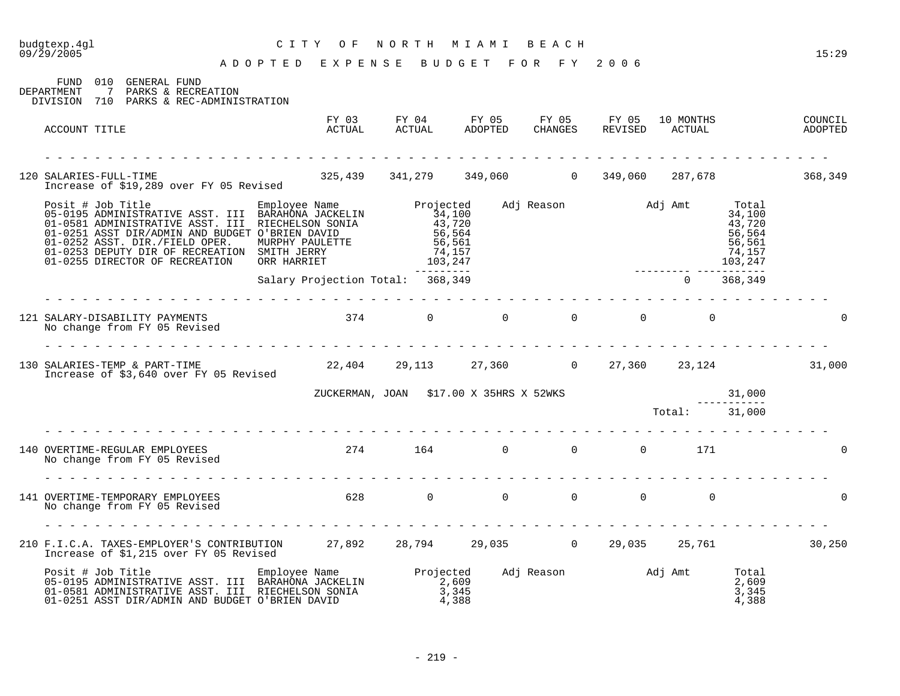| budgtexp.4gl<br>09/29/2005                                                                                                                               | СІТҮ<br>O F<br>A D O P T E D E X P E N S E B U D G E T F O R F Y 2006 | NORTH MIAMI BEACH                                                                    |  |                           |                         | 15:29  |
|----------------------------------------------------------------------------------------------------------------------------------------------------------|-----------------------------------------------------------------------|--------------------------------------------------------------------------------------|--|---------------------------|-------------------------|--------|
| FUND 010 GENERAL FUND<br>7 PARKS & RECREATION<br>DEPARTMENT<br>DIVISION 710 PARKS & REC-ADMINISTRATION                                                   |                                                                       |                                                                                      |  |                           |                         |        |
| ACCOUNT TITLE                                                                                                                                            |                                                                       |                                                                                      |  |                           |                         |        |
| 120 SALARIES-FULL-TIME 105 Revised 325,439 341,279 349,060 0 349,060 287,678 10 368,349                                                                  |                                                                       |                                                                                      |  |                           |                         |        |
|                                                                                                                                                          |                                                                       |                                                                                      |  |                           |                         |        |
|                                                                                                                                                          | Salary Projection Total: 368,349                                      |                                                                                      |  |                           | $0$ 368,349             |        |
| 121 SALARY-DISABILITY PAYMENTS<br>No change from FY 05 Revised                                                                                           | $374$ 0 0 0 0 0 0                                                     |                                                                                      |  |                           |                         |        |
| 130 SALARIES-TEMP & PART-TIME 22,404 29,113 27,360 0 27,360 23,124 31,000<br>Increase of \$3,640 over FY 05 Revised 22,404 29,113 27,360 0 27,360 23,124 |                                                                       |                                                                                      |  |                           |                         |        |
|                                                                                                                                                          |                                                                       |                                                                                      |  |                           |                         |        |
|                                                                                                                                                          |                                                                       | ZUCKERMAN, JOAN \$17.00 X 35HRS X 52WKS 70tal: 31,000<br>Total: 31,000 70tal: 31,000 |  |                           |                         |        |
| 140 OVERTIME-REGULAR EMPLOYEES<br>No change from FY 05 Revised<br>No change from FY 05 Revised                                                           | 274 164 0 0 0 171                                                     |                                                                                      |  |                           |                         |        |
| No change from FY 05 Revised                                                                                                                             |                                                                       |                                                                                      |  |                           |                         | $\cap$ |
|                                                                                                                                                          |                                                                       |                                                                                      |  |                           |                         |        |
| 210 F.I.C.A. TAXES-EMPLOYER'S CONTRIBUTION 27,892 28,794 29,035 0 29,035 25,761 30,250<br>Increase of \$1,215 over FY 05 Revised                         |                                                                       |                                                                                      |  |                           |                         |        |
|                                                                                                                                                          |                                                                       |                                                                                      |  | Adj Reason Madj Amt Total | 2,609<br>3,345<br>4,388 |        |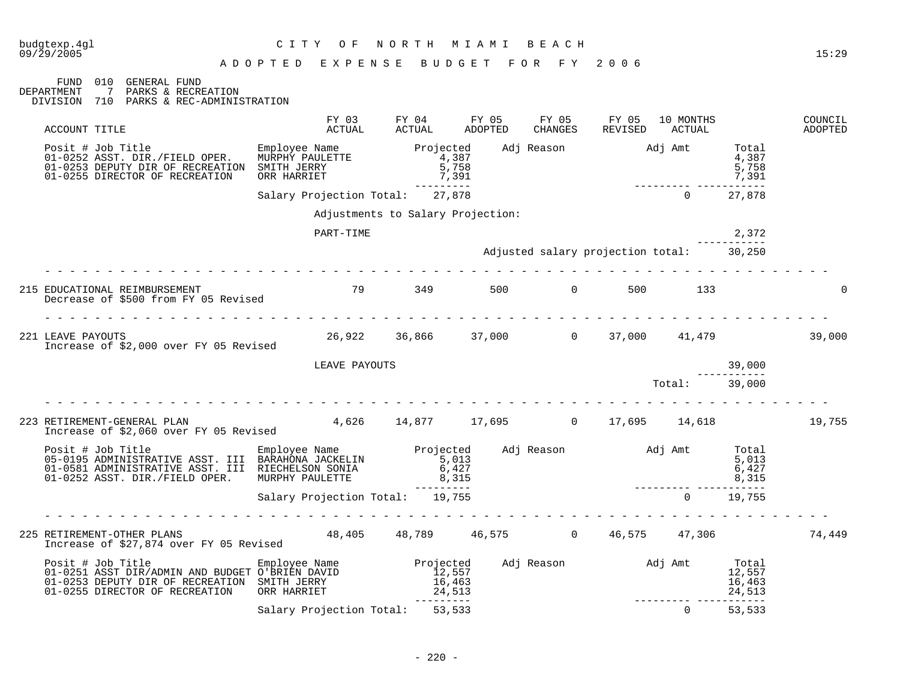|                                                                                                                                                                                                                                          | ADOPTED EXPENSE BUDGET FOR FY 2006 |                                   |                                |  |                                                                                         |                            |                    |
|------------------------------------------------------------------------------------------------------------------------------------------------------------------------------------------------------------------------------------------|------------------------------------|-----------------------------------|--------------------------------|--|-----------------------------------------------------------------------------------------|----------------------------|--------------------|
| FUND 010 GENERAL FUND<br>DEPARTMENT<br>7 PARKS & RECREATION<br>DIVISION 710 PARKS & REC-ADMINISTRATION                                                                                                                                   |                                    |                                   |                                |  |                                                                                         |                            |                    |
| ACCOUNT TITLE                                                                                                                                                                                                                            |                                    |                                   |                                |  | FY 03 FY 04 FY 05 FY 05 FY 05 10 MONTHS<br>ACTUAL ACTUAL ADOPTED CHANGES REVISED ACTUAL |                            | COUNCIL<br>ADOPTED |
| Posit # Job Title<br>Posit # Job Title Employee Name<br>01-0252 ASST. DIR./FIELD OPER. MURPHY PAULETTE<br>01-0253 DEPUTY DIR OF RECREATION SMITH JERRY<br>01-0255 DIRECTOR OF RECREATION                                                 | ORR HARRIET                        |                                   | $\frac{4}{5}$ , 387<br>7,391   |  | 7,391<br>--------- -----------                                                          | 5,758<br>7,391             |                    |
|                                                                                                                                                                                                                                          | Salary Projection Total: 27,878    |                                   | ----------                     |  | $\Omega$                                                                                | 27,878                     |                    |
|                                                                                                                                                                                                                                          |                                    | Adjustments to Salary Projection: |                                |  |                                                                                         |                            |                    |
|                                                                                                                                                                                                                                          | PART-TIME                          |                                   |                                |  |                                                                                         | 2,372                      |                    |
|                                                                                                                                                                                                                                          |                                    |                                   |                                |  | Adjusted salary projection total: 30,250                                                |                            |                    |
| 215 EDUCATIONAL REIMBURSEMENT<br>Decrease of \$500 from FY 05 Revised                                                                                                                                                                    | .<br>79 349 500 0 500 133          |                                   |                                |  |                                                                                         |                            |                    |
| 221 LEAVE PAYOUTS<br>Increase of \$2,000 over FY 05 Revised                                                                                                                                                                              |                                    |                                   |                                |  | 26,922 36,866 37,000 0 37,000 41,479                                                    |                            | 39,000             |
|                                                                                                                                                                                                                                          |                                    | LEAVE PAYOUTS                     |                                |  |                                                                                         | 39,000                     |                    |
|                                                                                                                                                                                                                                          |                                    |                                   |                                |  | $Total:$ 39,000                                                                         |                            |                    |
| 223 RETIREMENT-GENERAL PLAN<br>Increase of \$2,060 over FY 05 Revised                                                                                                                                                                    |                                    |                                   |                                |  | $4,626$ $14,877$ $17,695$ 0 $17,695$ $14,618$                                           |                            | 19,755             |
| Posit # Job Title Employee Name Projected Adj Reason Adj Amt Total<br>05-0195 ADMINISTRATIVE ASST. III RIECHELSON SONIA 6,427<br>01-0252 ASST. DIR./FIELD OPER. MURPHY PAULETTE 8,315<br>31ary Projection Total: 19,755<br>2,315<br>2,31 |                                    |                                   |                                |  |                                                                                         |                            |                    |
|                                                                                                                                                                                                                                          |                                    |                                   |                                |  |                                                                                         |                            |                    |
|                                                                                                                                                                                                                                          |                                    |                                   |                                |  |                                                                                         |                            |                    |
| 225 RETIREMENT-OTHER PLANS<br>Therease of \$27.874 over FY 05 Revised 48,405 48,789 46,575 0 46,575 47,306                                                                                                                               |                                    |                                   |                                |  |                                                                                         |                            | 74,449             |
| Increase of \$41,013 USA -<br>Posit # Job Title Bmployee Name<br>01-0251 ASST DIR/ADMIN AND BUDGET O'BRIEN DAVID<br>01-0253 DEPUTY DIR OF RECREATION SMITH JERRY<br>23 ACEE DIRECTOR OF RECREATION ORR HARRIET                           |                                    |                                   | $12,557$<br>$16,463$<br>24,513 |  | Projected Adj Reason Madj Amt Total                                                     | 12,557<br>16,463<br>24,513 |                    |
|                                                                                                                                                                                                                                          | Salary Projection Total: 53,533    |                                   |                                |  | ---------- -----------<br>$\overline{0}$                                                | 53,533                     |                    |

budgtexp.4gl C I T Y O F N O R T H M I A M I B E A C H

- 220 -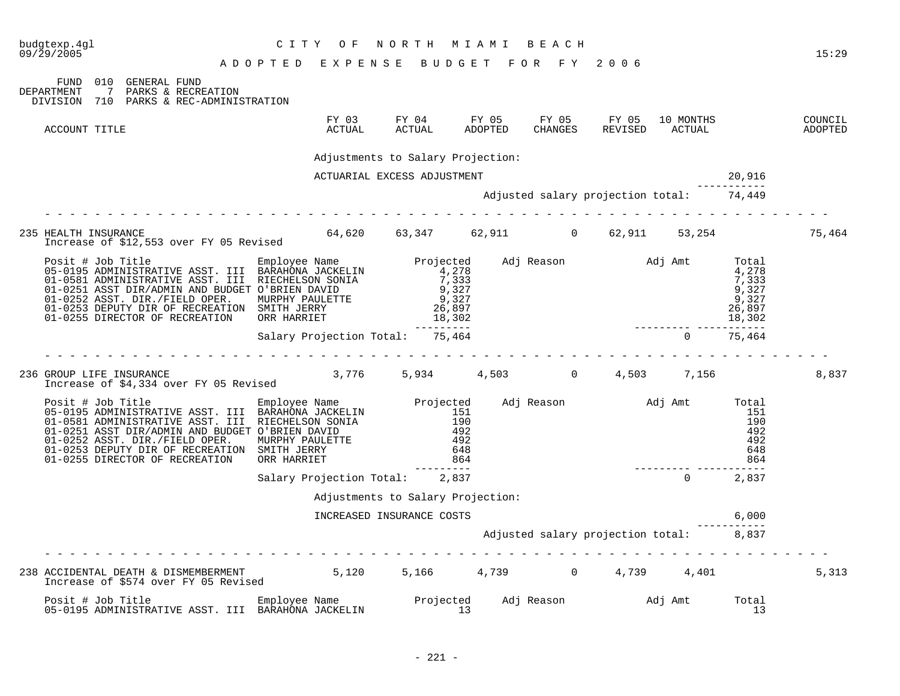| budgtexp.4gl<br>09/29/2005                                                                                                                                                                                                                                                                                          | C I T Y<br>O F<br>ADOPTED EXPENSE BUDGET FOR FY 2006 | NORTH MIAMI                                                                 | ведсн                                    |                                   |                     |                                                               | 15:29              |
|---------------------------------------------------------------------------------------------------------------------------------------------------------------------------------------------------------------------------------------------------------------------------------------------------------------------|------------------------------------------------------|-----------------------------------------------------------------------------|------------------------------------------|-----------------------------------|---------------------|---------------------------------------------------------------|--------------------|
| 010 GENERAL FUND<br>FUND<br>$7\phantom{0}$<br>PARKS & RECREATION<br>DEPARTMENT<br>DIVISION 710 PARKS & REC-ADMINISTRATION                                                                                                                                                                                           |                                                      |                                                                             |                                          |                                   |                     |                                                               |                    |
| ACCOUNT TITLE                                                                                                                                                                                                                                                                                                       | ACTUAL                                               | FY 03 FY 04<br>ACTUAL                                                       | FY 05<br>FY 05<br>ADOPTED<br>CHANGES     | FY 05<br>REVISED                  | 10 MONTHS<br>ACTUAL |                                                               | COUNCIL<br>ADOPTED |
|                                                                                                                                                                                                                                                                                                                     |                                                      | Adjustments to Salary Projection:                                           |                                          |                                   |                     |                                                               |                    |
|                                                                                                                                                                                                                                                                                                                     |                                                      | ACTUARIAL EXCESS ADJUSTMENT                                                 |                                          |                                   |                     | 20,916                                                        |                    |
|                                                                                                                                                                                                                                                                                                                     |                                                      |                                                                             | Adjusted salary projection total: 74,449 |                                   |                     |                                                               |                    |
|                                                                                                                                                                                                                                                                                                                     |                                                      |                                                                             |                                          |                                   |                     |                                                               |                    |
| 235 HEALTH INSURANCE<br>Increase of \$12,553 over FY 05 Revised                                                                                                                                                                                                                                                     |                                                      | $64,620$ $63,347$ $62,911$ 0 $62,911$ 53,254                                |                                          |                                   |                     |                                                               | 75,464             |
| Posit # Job Title<br>05-0195 ADMINISTRATIVE ASST. III BARAHONA JACKELIN<br>01-0581 ADMINISTRATIVE ASST. III RIECHELSON SONIA<br>01-0251 ASST DIR/ADMIN AND BUDGET O'BRIEN DAVID<br>01-0252 ASST. DIR./FIELD OPER. MURPHY PAULETTE<br>01-0253 DEPUTY DIR OF RECREATION SMITH JERRY<br>01-0255 DIRECTOR OF RECREATION | ORR HARRIET                                          | $\frac{4}{7}$ , 278<br>7,333<br>7,333<br>9,327<br>9,327<br>26,897<br>18,302 |                                          |                                   |                     | Total<br>4,278<br>7,333<br>9,327<br>9,327<br>26,897<br>18,302 |                    |
|                                                                                                                                                                                                                                                                                                                     | Salary Projection Total: 75,464                      | ---------                                                                   |                                          |                                   | $\Omega$            | ------------<br>75,464                                        |                    |
| 236 GROUP LIFE INSURANCE<br>Increase of \$4,334 over FY 05 Revised                                                                                                                                                                                                                                                  |                                                      | $3,776$ $5,934$ $4,503$ $0$ $4,503$ $7,156$                                 |                                          |                                   |                     |                                                               | 8,837              |
| 01-0581 ADMINISTRATIVE ASST. III RIECHELSON SONIA<br>01-0251 ASST DIR/ADMIN AND BUDGET O'BRIEN DAVID<br>01-0252 ASST. DIR./FIELD OPER.<br>01-0253 DEPUTY DIR OF RECREATION SMITH JERRY<br>01-0255 DIRECTOR OF RECREATION                                                                                            | MURPHY PAULETTE<br>ORR HARRIET                       | 492<br>492<br>648<br>864<br>. _ _ _ _ _ _ _                                 |                                          |                                   |                     | 492<br>492<br>648<br>864<br>$- - - - - -$                     |                    |
|                                                                                                                                                                                                                                                                                                                     | Salary Projection Total: 2,837                       |                                                                             |                                          |                                   | $\Omega$            | 2,837                                                         |                    |
|                                                                                                                                                                                                                                                                                                                     |                                                      | Adjustments to Salary Projection:                                           |                                          |                                   |                     |                                                               |                    |
|                                                                                                                                                                                                                                                                                                                     |                                                      | INCREASED INSURANCE COSTS                                                   |                                          |                                   |                     | 6,000                                                         |                    |
|                                                                                                                                                                                                                                                                                                                     |                                                      |                                                                             |                                          | Adjusted salary projection total: |                     | 8,837                                                         |                    |
| 238 ACCIDENTAL DEATH & DISMEMBERMENT $5,120$ $5,166$ $4,739$ $0$ $4,739$ $4,401$                                                                                                                                                                                                                                    |                                                      |                                                                             |                                          |                                   |                     |                                                               | 5,313              |
| Posit # Job Title<br>05-0195 ADMINISTRATIVE ASST. III BARAHONA JACKELIN                                                                                                                                                                                                                                             |                                                      |                                                                             |                                          |                                   |                     | Total<br>13                                                   |                    |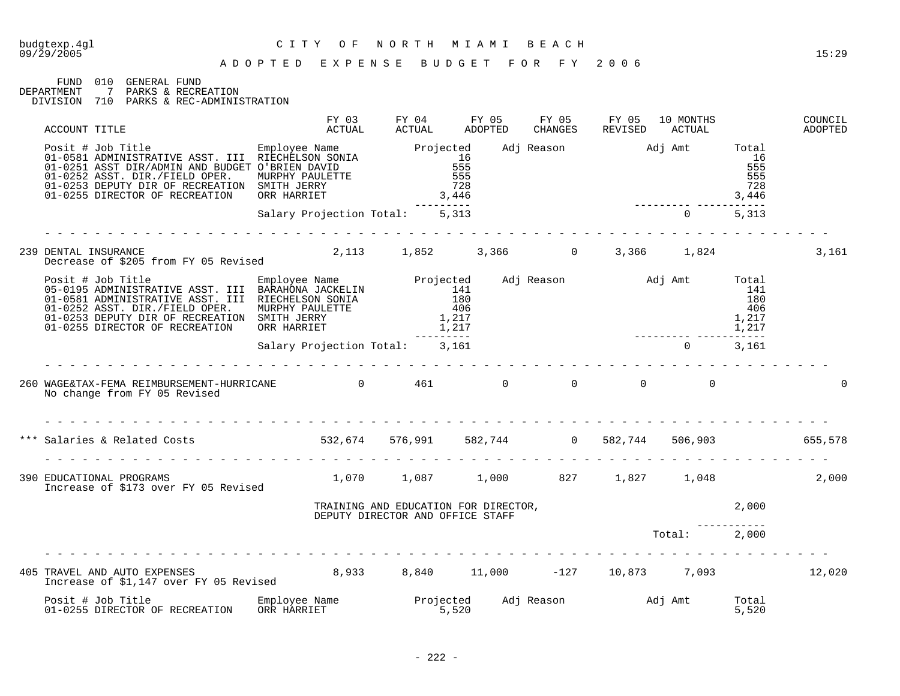### budgtexp.4gl C I T Y O F N O R T H M I A M I B E A C H

FUND 010 GENERAL FUND DEPARTMENT 7 PARKS & RECREATION DIVISION 710 PARKS & REC-ADMINISTRATION

| ACCOUNT TITLE                                                                                                                                                                                                                                                                          | FY 03<br>ACTUAL                | FY 04<br>ACTUAL                                                          | FY 05<br>ADOPTED | FY 05<br>CHANGES | FY 05<br>REVISED          | 10 MONTHS<br>ACTUAL |                                     | COUNCIL<br>ADOPTED |
|----------------------------------------------------------------------------------------------------------------------------------------------------------------------------------------------------------------------------------------------------------------------------------------|--------------------------------|--------------------------------------------------------------------------|------------------|------------------|---------------------------|---------------------|-------------------------------------|--------------------|
| Posit # Job Title<br>01-0581 ADMINISTRATIVE ASST. III RIECHELSON SONIA<br>01-0251 ASST DIR/ADMIN AND BUDGET O'BRIEN DAVID<br>01-0252 ASST. DIR./FIELD OPER. MURPHY PAULETTE<br>01-0253 DEPUTY DIR OF RECREATION SMITH JERRY<br>01-0253 D<br>01-0255 DIRECTOR OF RECREATION ORR HARRIET |                                | 3,446                                                                    |                  |                  | Adj Reason Madj Amt Total | 3,446               | 16<br>555<br>555<br>728             |                    |
|                                                                                                                                                                                                                                                                                        | Salary Projection Total: 5,313 |                                                                          |                  |                  |                           | $0 \t 5,313$        |                                     |                    |
| 239 DENTAL INSURANCE<br>Decrease of \$205 from FY 05 Revised                                                                                                                                                                                                                           |                                | 2,113 1,852 3,366 0                                                      |                  |                  |                           | 3,366 1,824         |                                     | 3,161              |
| Posit # Job Title<br>05-0195 ADMINISTRATIVE ASST. III BARAHONA JACKELIN<br>01-0581 ADMINISTRATIVE ASST. III RIECHELSON SONIA<br>01-0252 ADST. DIR./FIELD OPER. MURPHY PAULETTE<br>01-0252 ADST. DIR./FIELD OPER. MURPHY PAULETTE<br>01-0                                               |                                |                                                                          |                  |                  | Adj Reason Madj Amt Total |                     | 141<br>180<br>406<br>1,217<br>1,217 |                    |
|                                                                                                                                                                                                                                                                                        | Salary Projection Total: 3,161 |                                                                          |                  |                  |                           | $\Omega$            | 3,161                               |                    |
| 260 WAGE&TAX-FEMA REIMBURSEMENT-HURRICANE $0$ 461 0 0<br>No change from FY 05 Revised                                                                                                                                                                                                  |                                |                                                                          |                  | $\overline{0}$   | $\overline{0}$            | $\overline{0}$      |                                     |                    |
| *** Salaries & Related Costs 655,578 532,674 576,991 582,744 0 582,744 506,903 655,578                                                                                                                                                                                                 |                                |                                                                          |                  |                  |                           |                     |                                     |                    |
| 390 EDUCATIONAL PROGRAMS<br>Increase of \$173 over FY 05 Revised                                                                                                                                                                                                                       |                                | $1,070$ $1,087$ $1,000$ $827$ $1,827$ $1,048$                            |                  |                  |                           |                     |                                     | 2,000              |
|                                                                                                                                                                                                                                                                                        |                                | TRAINING AND EDUCATION FOR DIRECTOR,<br>DEPUTY DIRECTOR AND OFFICE STAFF |                  |                  |                           | 2.000               |                                     |                    |
|                                                                                                                                                                                                                                                                                        |                                |                                                                          |                  |                  |                           | Total: 2,000        |                                     |                    |
| 405 TRAVEL AND AUTO EXPENSES 6.933 8,933 8,840 11,000 -127 10,873 7,093 12,020<br>Increase of \$1,147 over FY 05 Revised                                                                                                                                                               |                                |                                                                          |                  |                  |                           |                     |                                     |                    |
|                                                                                                                                                                                                                                                                                        |                                |                                                                          |                  |                  |                           |                     | Total<br>5,520                      |                    |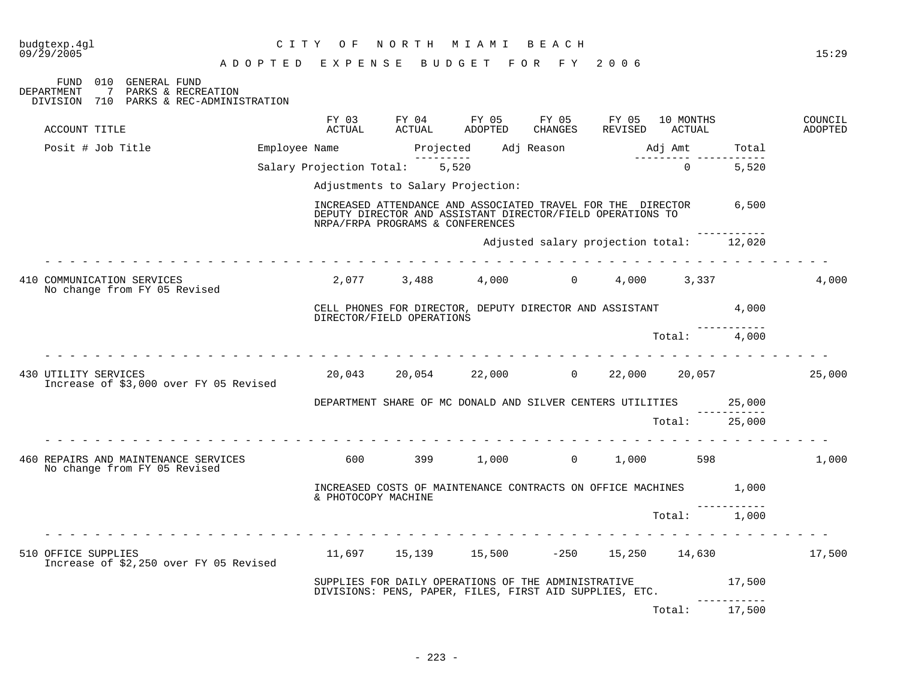| budgtexp.4ql<br>09/29/2005                                                                                             |                           | CITY OF NORTH MIAMI BEACH         |                                                                                                                                 |                           |         | 15:29              |
|------------------------------------------------------------------------------------------------------------------------|---------------------------|-----------------------------------|---------------------------------------------------------------------------------------------------------------------------------|---------------------------|---------|--------------------|
| FUND 010 GENERAL FUND<br>DEPARTMENT<br>$\overline{7}$<br>PARKS & RECREATION<br>DIVISION 710 PARKS & REC-ADMINISTRATION |                           |                                   | ADOPTED EXPENSE BUDGET FOR FY 2006                                                                                              |                           |         |                    |
| ACCOUNT TITLE                                                                                                          |                           |                                   | FY 03 FY 04 FY 05 FY 05 FY 05 10 MONTHS<br>ACTUAL ACTUAL ADOPTED CHANGES REVISED ACTUAL                                         |                           |         | COUNCIL<br>ADOPTED |
| Posit # Job Title                                                                                                      |                           | ----------                        |                                                                                                                                 | _________________________ | Total   |                    |
|                                                                                                                        |                           | Salary Projection Total: 5,520    |                                                                                                                                 | $0 \t 5,520$              |         |                    |
|                                                                                                                        |                           | Adjustments to Salary Projection: |                                                                                                                                 |                           |         |                    |
|                                                                                                                        |                           | NRPA/FRPA PROGRAMS & CONFERENCES  | INCREASED ATTENDANCE AND ASSOCIATED TRAVEL FOR THE DIRECTOR 6,500<br>DEPUTY DIRECTOR AND ASSISTANT DIRECTOR/FIELD OPERATIONS TO |                           |         |                    |
|                                                                                                                        |                           |                                   | Adjusted salary projection total: 12,020                                                                                        |                           |         |                    |
| 410 COMMUNICATION SERVICES<br>No change from FY 05 Revised                                                             |                           |                                   | $2,077$ $3,488$ $4,000$ $0$ $4,000$ $3,337$                                                                                     |                           |         | 4,000              |
|                                                                                                                        | DIRECTOR/FIELD OPERATIONS |                                   | CELL PHONES FOR DIRECTOR, DEPUTY DIRECTOR AND ASSISTANT 4,000                                                                   |                           |         |                    |
| .                                                                                                                      |                           |                                   |                                                                                                                                 | Total: 4,000              |         |                    |
| 430 UTILITY SERVICES<br>Increase of \$3,000 over FY 05 Revised                                                         |                           |                                   | $20,043$ $20,054$ $22,000$ $0$ $22,000$ $20,057$                                                                                |                           |         | 25,000             |
|                                                                                                                        |                           |                                   | DEPARTMENT SHARE OF MC DONALD AND SILVER CENTERS UTILITIES 25,000                                                               |                           | ------- |                    |
|                                                                                                                        |                           |                                   |                                                                                                                                 | Total: 25,000             |         |                    |
| 460 REPAIRS AND MAINTENANCE SERVICES<br>No change from FY 05 Revised                                                   | 600 00                    |                                   | 399 1,000 0 1,000 598                                                                                                           |                           |         | 1,000              |
|                                                                                                                        | & PHOTOCOPY MACHINE       |                                   | INCREASED COSTS OF MAINTENANCE CONTRACTS ON OFFICE MACHINES 1,000                                                               |                           |         |                    |
|                                                                                                                        |                           |                                   |                                                                                                                                 | Total: 1,000              |         |                    |
| 510 OFFICE SUPPLIES<br>Increase of \$2,250 over FY 05 Revised                                                          |                           |                                   | $11,697$ $15,139$ $15,500$ $-250$ $15,250$ $14,630$                                                                             |                           |         | 17,500             |
|                                                                                                                        |                           |                                   | SUPPLIES FOR DAILY OPERATIONS OF THE ADMINISTRATIVE<br>DIVISIONS: PENS, PAPER, FILES, FIRST AID SUPPLIES, ETC.                  |                           | 17,500  |                    |
|                                                                                                                        |                           |                                   |                                                                                                                                 | Total:                    | 17,500  |                    |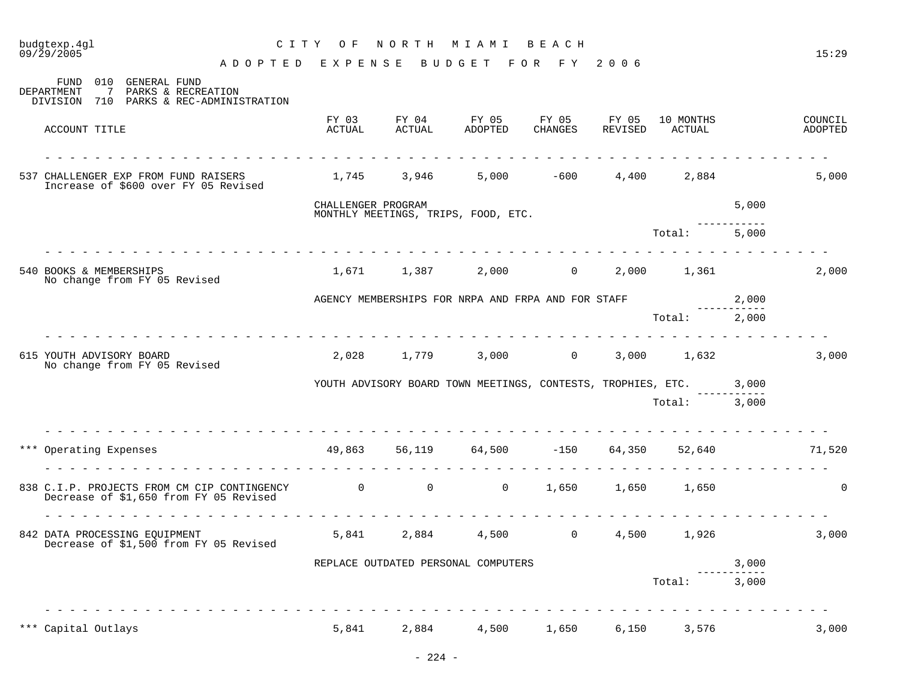| budgtexp.4gl<br>09/29/2005                               | C I T Y                                                                                       | O F                | NORTH MIAMI     |                                                                    | BEACH             |                  |                     |        | 15:29              |
|----------------------------------------------------------|-----------------------------------------------------------------------------------------------|--------------------|-----------------|--------------------------------------------------------------------|-------------------|------------------|---------------------|--------|--------------------|
| 010<br>FUND                                              | ADOPTED EXPENSE<br><b>GENERAL FUND</b>                                                        |                    |                 | BUDGET FOR FY 2006                                                 |                   |                  |                     |        |                    |
| DEPARTMENT<br>7<br>DIVISION 710                          | PARKS & RECREATION<br>PARKS & REC-ADMINISTRATION                                              |                    |                 |                                                                    |                   |                  |                     |        |                    |
| ACCOUNT TITLE                                            |                                                                                               | FY 03<br>ACTUAL    | FY 04<br>ACTUAL | FY 05<br>ADOPTED                                                   | FY 05<br>CHANGES  | FY 05<br>REVISED | 10 MONTHS<br>ACTUAL |        | COUNCIL<br>ADOPTED |
| 537 CHALLENGER EXP FROM FUND RAISERS                     | Increase of \$600 over FY 05 Revised                                                          | 1,745 3,946        |                 | 5,000                                                              | $-600$            | 4,400            | 2,884               |        | 5,000              |
|                                                          |                                                                                               | CHALLENGER PROGRAM |                 |                                                                    |                   |                  |                     | 5,000  |                    |
|                                                          |                                                                                               |                    |                 | MONTHLY MEETINGS, TRIPS, FOOD, ETC.                                |                   |                  | Total:              | 5,000  |                    |
|                                                          |                                                                                               |                    |                 |                                                                    |                   |                  |                     |        |                    |
| 540 BOOKS & MEMBERSHIPS<br>No change from FY 05 Revised  |                                                                                               |                    |                 | 1,671 1,387 2,000                                                  | $0 \qquad \qquad$ |                  | 2,000 1,361         |        | 2,000              |
|                                                          |                                                                                               |                    |                 | AGENCY MEMBERSHIPS FOR NRPA AND FRPA AND FOR STAFF                 |                   |                  |                     | 2,000  |                    |
|                                                          |                                                                                               |                    |                 |                                                                    |                   |                  | Total: 2,000        |        |                    |
| 615 YOUTH ADVISORY BOARD<br>No change from FY 05 Revised |                                                                                               | 2,028              | 1,779           |                                                                    | $3,000$ 0         |                  | 3,000 1,632         |        | 3,000              |
|                                                          |                                                                                               |                    |                 | YOUTH ADVISORY BOARD TOWN MEETINGS, CONTESTS, TROPHIES, ETC. 3,000 |                   |                  |                     |        |                    |
|                                                          |                                                                                               |                    |                 |                                                                    |                   |                  | Total: 3,000        |        |                    |
| *** Operating Expenses                                   |                                                                                               |                    |                 | 49,863 56,119 64,500                                               | $-150$            | 64,350           |                     | 52,640 | 71,520             |
|                                                          | 838 C.I.P. PROJECTS FROM CM CIP CONTINGENCY 0 0 0 0<br>Decrease of \$1,650 from FY 05 Revised |                    |                 | $\overline{0}$                                                     | 1,650             | 1,650            | 1,650               |        | $\mathbf 0$        |
|                                                          |                                                                                               |                    |                 |                                                                    |                   |                  |                     |        |                    |
| 842 DATA PROCESSING EQUIPMENT                            | Decrease of \$1,500 from FY 05 Revised                                                        |                    | 5,841 2,884     | 4,500                                                              | $\overline{0}$    | 4,500            | 1,926               |        | 3,000              |
|                                                          |                                                                                               |                    |                 | REPLACE OUTDATED PERSONAL COMPUTERS                                |                   |                  |                     | 3,000  |                    |
|                                                          |                                                                                               |                    |                 |                                                                    |                   |                  | Total:              | 3,000  |                    |
| *** Capital Outlays                                      |                                                                                               | 5,841              | 2,884           | 4,500                                                              | 1,650             | 6,150            | 3,576               |        | 3,000              |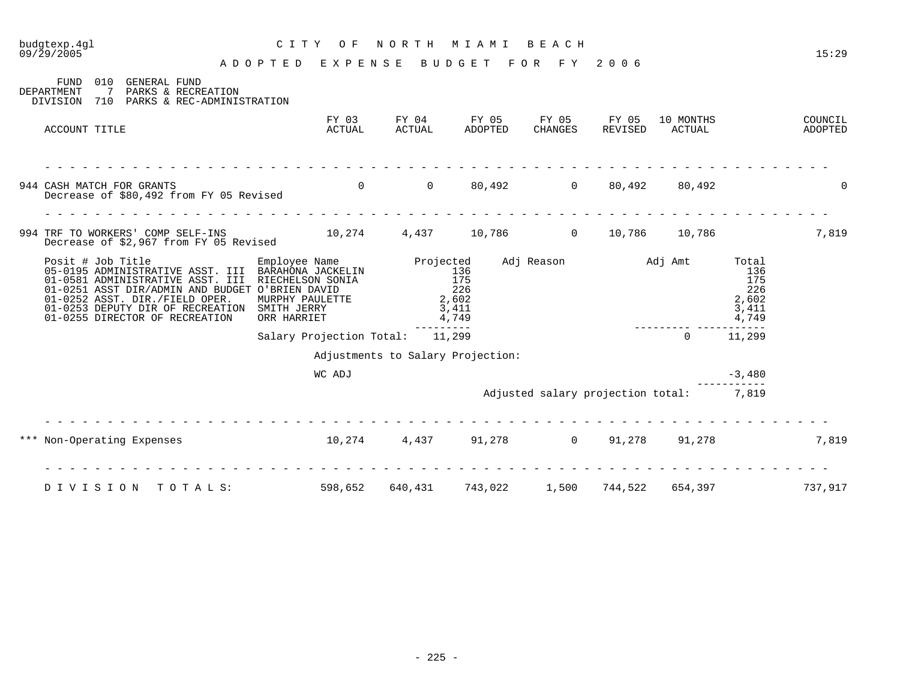| budgtexp.4gl<br>09/29/2005                                                                                                                                                                                                                                                         | C I T Y<br>O F<br>ADOPTED<br>EXPENSE                                | NORTH           | M I A M I<br>BUDGET                          | B E A C H<br>FOR<br>F Y           | 2006             |                     |                                                       | 15:29              |
|------------------------------------------------------------------------------------------------------------------------------------------------------------------------------------------------------------------------------------------------------------------------------------|---------------------------------------------------------------------|-----------------|----------------------------------------------|-----------------------------------|------------------|---------------------|-------------------------------------------------------|--------------------|
| 010<br>GENERAL FUND<br>FUND<br>7<br>PARKS & RECREATION<br>DEPARTMENT<br>PARKS & REC-ADMINISTRATION<br>DIVISION<br>710                                                                                                                                                              |                                                                     |                 |                                              |                                   |                  |                     |                                                       |                    |
| ACCOUNT TITLE                                                                                                                                                                                                                                                                      | FY 03<br>ACTUAL                                                     | FY 04<br>ACTUAL | FY 05<br>ADOPTED                             | FY 05<br>CHANGES                  | FY 05<br>REVISED | 10 MONTHS<br>ACTUAL |                                                       | COUNCIL<br>ADOPTED |
| 944 CASH MATCH FOR GRANTS<br>Decrease of \$80,492 from FY 05 Revised                                                                                                                                                                                                               | $\Omega$                                                            | $\overline{0}$  | 80,492                                       | $\overline{0}$                    | 80,492           | 80,492              |                                                       | $\Omega$           |
|                                                                                                                                                                                                                                                                                    |                                                                     |                 |                                              |                                   |                  |                     |                                                       |                    |
| 994 TRF TO WORKERS' COMP SELF-INS<br>Decrease of \$2,967 from FY 05 Revised                                                                                                                                                                                                        |                                                                     |                 | 10,274 4,437 10,786                          | $\overline{0}$                    | 10,786           | 10,786              |                                                       | 7,819              |
| Posit # Job Title<br>05-0195 ADMINISTRATIVE ASST. III BARAHONA JACKELIN<br>01-0581 ADMINISTRATIVE ASST. III<br>01-0251 ASST DIR/ADMIN AND BUDGET O'BRIEN DAVID<br>01-0252 ASST. DIR./FIELD OPER.<br>01-0253 DEPUTY DIR OF RECREATION SMITH JERRY<br>01-0255 DIRECTOR OF RECREATION | Employee Name<br>RIECHELSON SONIA<br>MURPHY PAULETTE<br>ORR HARRIET | Projected       | 136<br>175<br>226<br>2,602<br>3,411<br>4,749 | Adj Reason                        | Adj Amt          |                     | Total<br>136<br>175<br>226<br>2,602<br>3,411<br>4,749 |                    |
|                                                                                                                                                                                                                                                                                    | Salary Projection Total:                                            |                 | 11,299                                       |                                   |                  | $\Omega$            | 11,299                                                |                    |
|                                                                                                                                                                                                                                                                                    |                                                                     |                 | Adjustments to Salary Projection:            |                                   |                  |                     |                                                       |                    |
|                                                                                                                                                                                                                                                                                    | WC ADJ                                                              |                 |                                              |                                   |                  |                     | $-3,480$                                              |                    |
|                                                                                                                                                                                                                                                                                    |                                                                     |                 |                                              | Adjusted salary projection total: |                  |                     | 7,819                                                 |                    |
| Non-Operating Expenses<br>***                                                                                                                                                                                                                                                      | 10,274                                                              | 4,437           | 91,278                                       | $\overline{0}$                    | 91,278           | 91,278              |                                                       | 7,819              |
| TOTALS:<br>DIVISION                                                                                                                                                                                                                                                                | 598,652                                                             | 640,431         | 743,022                                      | 1,500                             | 744,522          | 654,397             |                                                       | 737,917            |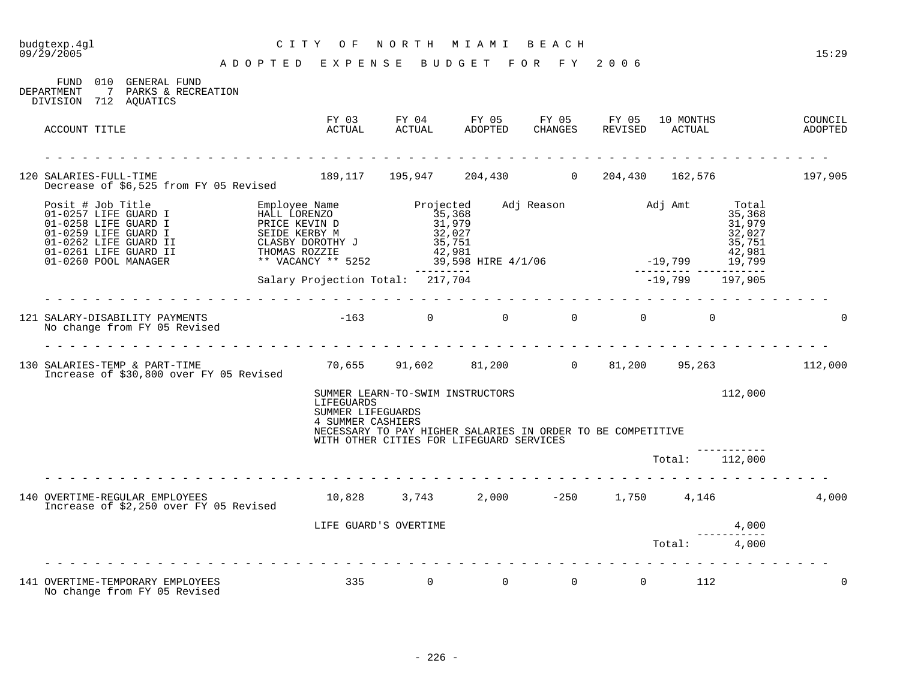#### budgtexp.4gl C I T Y O F N O R T H M I A M I B E A C H

A D O P T E D E X P E N S E B U D G E T F O R F Y 2 0 0 6

FUND 010 GENERAL FUND DEPARTMENT 7 PARKS & RECREATION DIVISION 712 AQUATICS FY 03 FY 04 FY 05 FY 05 FY 05 10 MONTHS COUNCIL ACCOUNT TITLE ACTUAL ACTUAL ADOPTED CHANGES REVISED ACTUAL ADOPTED - - - - - - - - - - - - - - - - - - - - - - - - - - - - - - - - - - - - - - - - - - - - - - - - - - - - - - - - - - - - - - - 120 SALARIES-FULL-TIME 189,117 195,947 204,430 0 204,430 162,576 197,905 Decrease of \$6,525 from FY 05 Revised Posit # Job Title Employee Name Projected Adj Reason Adj Amt Total 01-0257 LIFE GUARD I HALL LORENZO 35,368 35,368 01-0258 LIFE GUARD I PRICE KEVIN D 31,979 31,979 01-0259 LIFE GUARD I SEIDE KERBY M 32,027 32,027 01-0262 LIFE GUARD II CLASBY DOROTHY J 35,751 35,751 01-0261 LIFE GUARD II THOMAS ROZZIE 42,981 42,981 01-0260 POOL MANAGER \*\* VACANCY \*\* 5252 39,598 HIRE 4/1/06 -19,799 19,799 --------- --------- ----------- Salary Projection Total: 217,704 -19,799 197,905 - - - - - - - - - - - - - - - - - - - - - - - - - - - - - - - - - - - - - - - - - - - - - - - - - - - - - - - - - - - - - - - 121 SALARY-DISABILITY PAYMENTS -163 0 0 0 0 0 0 No change from FY 05 Revised - - - - - - - - - - - - - - - - - - - - - - - - - - - - - - - - - - - - - - - - - - - - - - - - - - - - - - - - - - - - - - - 130 SALARIES-TEMP & PART-TIME 70,655 91,602 81,200 0 81,200 95,263 112,000 Increase of \$30,800 over FY 05 Revised SUMMER LEARN-TO-SWIM INSTRUCTORS 112,000 LIFEGUARDS SUMMER LIFEGUARDS 4 SUMMER CASHIERS NECESSARY TO PAY HIGHER SALARIES IN ORDER TO BE COMPETITIVE WITH OTHER CITIES FOR LIFEGUARD SERVICES ----------- Total: 112,000 - - - - - - - - - - - - - - - - - - - - - - - - - - - - - - - - - - - - - - - - - - - - - - - - - - - - - - - - - - - - - - - 140 OVERTIME-REGULAR EMPLOYEES 10,828 3,743 2,000 -250 1,750 4,146 4,000 Increase of \$2,250 over FY 05 Revised LIFE GUARD'S OVERTIME 4.000 ----------- Total: 4,000 - - - - - - - - - - - - - - - - - - - - - - - - - - - - - - - - - - - - - - - - - - - - - - - - - - - - - - - - - - - - - - - 141 OVERTIME-TEMPORARY EMPLOYEES 6 335 0 0 0 0 0 112 0 No change from FY 05 Revised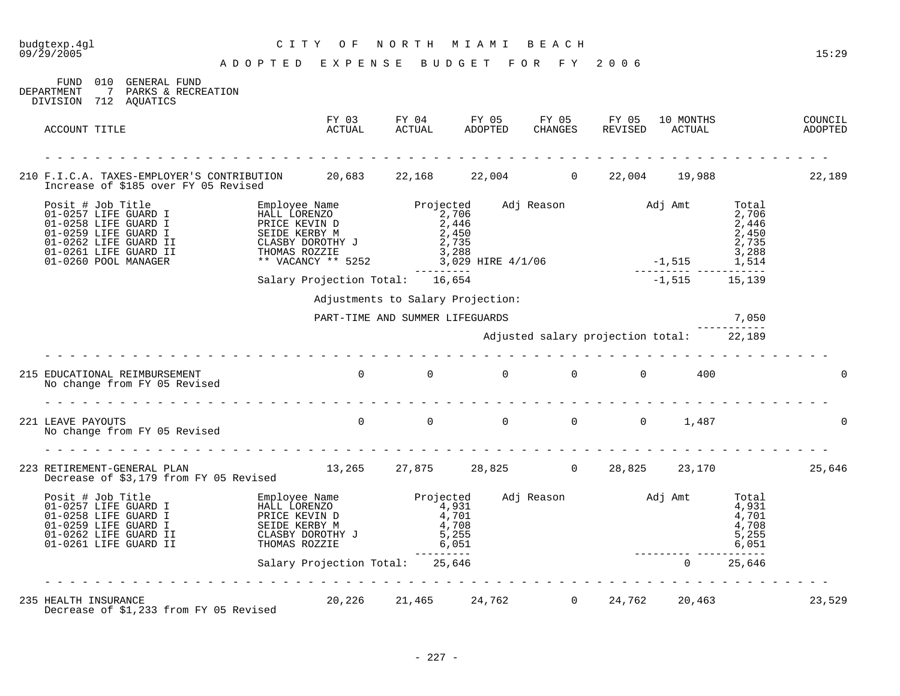| budgtexp.4ql<br>09/29/2005                                                                                                                                                                                                                  | CITY OF                                                | NORTH MIAMI BEACH                                                                                                                                                                                                                                                                       |                                          |  |                 |       | 15:29              |
|---------------------------------------------------------------------------------------------------------------------------------------------------------------------------------------------------------------------------------------------|--------------------------------------------------------|-----------------------------------------------------------------------------------------------------------------------------------------------------------------------------------------------------------------------------------------------------------------------------------------|------------------------------------------|--|-----------------|-------|--------------------|
|                                                                                                                                                                                                                                             | A D O P T E D E X P E N S E B U D G E T F O R F Y 2006 |                                                                                                                                                                                                                                                                                         |                                          |  |                 |       |                    |
| FUND 010 GENERAL FUND<br>DEPARTMENT<br>7 PARKS & RECREATION<br>DIVISION 712 AQUATICS                                                                                                                                                        |                                                        |                                                                                                                                                                                                                                                                                         |                                          |  |                 |       |                    |
| ACCOUNT TITLE                                                                                                                                                                                                                               |                                                        | FY 03 FY 04 FY 05 FY 05 FY 05 10 MONTHS<br>ACTUAL ACTUAL ADOPTED CHANGES REVISED ACTUAL                                                                                                                                                                                                 |                                          |  |                 |       | COUNCIL<br>ADOPTED |
| 210 F.I.C.A. TAXES-EMPLOYER'S CONTRIBUTION 20,683 22,168 22,004 0 22,004 19,988<br>Increase of \$185 over FY 05 Revised                                                                                                                     |                                                        |                                                                                                                                                                                                                                                                                         |                                          |  |                 |       | 22,189             |
| Posit # Job Title<br>Posit # Job Title<br>01-0258 LIFE GUARD I BRICE KEVIN D<br>01-0259 LIFE GUARD I BRICE KEVIN D<br>01-0259 LIFE GUARD I SEIDE KERBY M<br>01-0262 LIFE GUARD II CLASBY DOROTHY J<br>2,446<br>01-0261 LIFE GUARD II CLASBY |                                                        |                                                                                                                                                                                                                                                                                         |                                          |  |                 |       |                    |
|                                                                                                                                                                                                                                             | Salary Projection Total: 16,654                        |                                                                                                                                                                                                                                                                                         |                                          |  | $-1,515$ 15,139 |       |                    |
|                                                                                                                                                                                                                                             |                                                        | Adjustments to Salary Projection:                                                                                                                                                                                                                                                       |                                          |  |                 |       |                    |
|                                                                                                                                                                                                                                             |                                                        | PART-TIME AND SUMMER LIFEGUARDS                                                                                                                                                                                                                                                         |                                          |  |                 | 7,050 |                    |
|                                                                                                                                                                                                                                             |                                                        |                                                                                                                                                                                                                                                                                         | Adjusted salary projection total: 22,189 |  |                 |       |                    |
|                                                                                                                                                                                                                                             |                                                        |                                                                                                                                                                                                                                                                                         |                                          |  |                 |       |                    |
| 215 EDUCATIONAL REIMBURSEMENT<br>No change from FY 05 Revised                                                                                                                                                                               |                                                        | $\begin{array}{ccccccccccccccccc} 0 & & & 0 & & & 0 & & & 0 & & & 0 \end{array}$                                                                                                                                                                                                        |                                          |  | 400             |       |                    |
|                                                                                                                                                                                                                                             |                                                        |                                                                                                                                                                                                                                                                                         |                                          |  |                 |       |                    |
| 221 LEAVE PAYOUTS<br>No change from FY 05 Revised                                                                                                                                                                                           |                                                        | $\begin{matrix}0\end{matrix}\qquad \qquad \begin{matrix}0\end{matrix}\qquad \qquad \begin{matrix}0\end{matrix}\qquad \qquad \begin{matrix}0\end{matrix}\qquad \qquad \begin{matrix}0\end{matrix}\qquad \qquad \begin{matrix}0\end{matrix}\qquad \qquad \begin{matrix}1\end{matrix},487$ |                                          |  |                 |       |                    |
|                                                                                                                                                                                                                                             |                                                        |                                                                                                                                                                                                                                                                                         |                                          |  |                 |       |                    |
| 223 RETIREMENT-GENERAL PLAN (25,646)<br>Decrease of \$3,179 from FY 05 Revised                                                                                                                                                              |                                                        |                                                                                                                                                                                                                                                                                         |                                          |  |                 |       |                    |
| Posit # Job Trail Posit (1.257 LIFE GUARD I ENDINGERY MANU LORENZO 01-0258 LIFE GUARD I SEIDE KERBY M<br>01-0259 LIFE GUARD I SEIDE KERBY M 4,701<br>01-0262 LIFE GUARD II SEIDE KERBY M 4,700<br>01-0262 LIFE GUARD II CLASBY DOROT        |                                                        |                                                                                                                                                                                                                                                                                         |                                          |  |                 |       |                    |
|                                                                                                                                                                                                                                             | Salary Projection Total: 25,646                        |                                                                                                                                                                                                                                                                                         |                                          |  |                 |       |                    |
|                                                                                                                                                                                                                                             |                                                        |                                                                                                                                                                                                                                                                                         |                                          |  |                 |       |                    |
| 235 HEALTH INSURANCE<br>$\frac{1}{2}$ and $\frac{1}{2}$ are $\frac{1}{2}$ and $\frac{1}{2}$ are $\frac{1}{2}$ are $\frac{1}{2}$ and $\frac{1}{2}$                                                                                           |                                                        | 20,226 21,465 24,762 0 24,762 20,463                                                                                                                                                                                                                                                    |                                          |  |                 |       | 23,529             |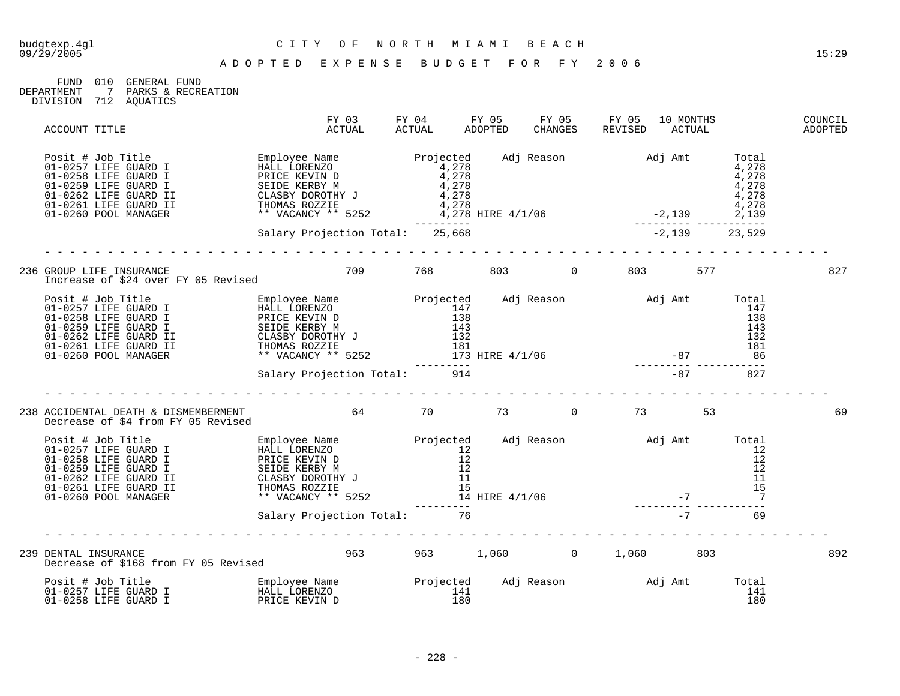| FIJND                 | 01 O | GENERAL FUND |                    |
|-----------------------|------|--------------|--------------------|
| DEPARTMENT            |      |              | PARKS & RECREATION |
| DIVISION 712 AQUATICS |      |              |                    |

| ACCOUNT TITLE                                                                                                                                                                                                                              | FY 03<br>ACTUAL           | ACTUAL | FY 04 FY 05 FY 05 FY 05<br>ADOPTED CHANGES REVISED ACTUAL |  | 10 MONTHS | COUNCIL<br>ADOPTED |
|--------------------------------------------------------------------------------------------------------------------------------------------------------------------------------------------------------------------------------------------|---------------------------|--------|-----------------------------------------------------------|--|-----------|--------------------|
| 901-0257 LIFE GUARD I Employee Name<br>01-0257 LIFE GUARD I HALL LORENZO<br>01-0258 LIFE GUARD I PRICE KERBY M<br>01-0268 LIFE GUARD I CLASBY DOROTHY J<br>01-0262 LIFE GUARD II CLASBY DOROTHY J<br>01-0260 POOL MANAGER<br>278<br>01-026 |                           |        |                                                           |  |           |                    |
|                                                                                                                                                                                                                                            |                           |        |                                                           |  |           |                    |
| 236 GROUP LIFE INSURANCE<br>Increase of \$24 over FY 05 Revised<br>2008 - 2019 - 2019 - 2019 - 2019 - 2019 - 2019 - 2019 - 2019 - 2019 - 2019 - 2019 - 2019 - 2019 - 2019 - 2019                                                           |                           |        |                                                           |  |           | 827                |
| Posit # Job Title Total on-0257 LIFE GUARD I HALL LORENZO<br>01-0257 LIFE GUARD I HALL LORENZO 147 147<br>01-0258 LIFE GUARD I SEIDE KERBY M 138 132 132<br>01-0262 LIFE GUARD II CLASBY DOROTHY J 132 132<br>01-0261 LIFE GUARD II T      |                           |        |                                                           |  |           |                    |
|                                                                                                                                                                                                                                            |                           |        |                                                           |  |           |                    |
| 238 ACCIDENTAL DEATH & DISMEMBERMENT 64 (1999) 73 (1999) 73 (1999) 73 (1999) 93 (1999) 93 (1999) 93 (1999) 94<br>Decrease of \$4 from FY 05 Revised                                                                                        |                           |        |                                                           |  |           | 69                 |
| Posit # Job Title Total<br>01-0257 LIFE GUARD I HALL LORENZO 12<br>01-0258 LIFE GUARD I PRICE KERBY N 12<br>01-0262 LIFE GUARD I SEIDE KERBY N 12<br>01-0262 LIFE GUARD II CLASBY DOROTHY J 11<br>01-0260 POOL MANAGER ** VACANCY ** 52    |                           |        |                                                           |  |           |                    |
| <u> dia ana ana ana ana ana ana ana ana an</u>                                                                                                                                                                                             |                           |        |                                                           |  |           |                    |
| 239 DENTAL INSURANCE<br>Decrease of \$168 from FY 05 Revised                                                                                                                                                                               | 963 963 1,060 0 1,060 803 |        |                                                           |  |           | 892                |
|                                                                                                                                                                                                                                            |                           |        |                                                           |  |           |                    |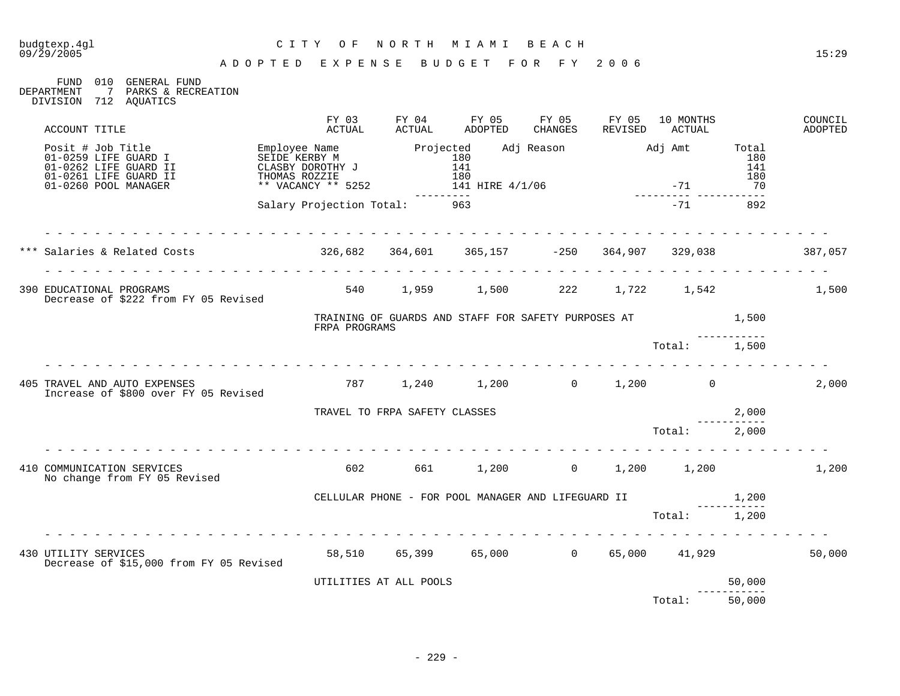# budgtexp.4gl C I T Y O F N O R T H M I A M I B E A C H

FUND 010 GENERAL FUND DEPARTMENT 7 PARKS & RECREATION DIVISION 712 AQUATICS

| ACCOUNT TITLE                                                                                                       | FY 03<br>ACTUAL                     | FY 04<br>ACTUAL               | FY 05<br>ADOPTED                                            | FY 05<br>CHANGES | FY 05<br>REVISED | 10 MONTHS<br>ACTUAL |                                  | COUNCIL<br>ADOPTED |
|---------------------------------------------------------------------------------------------------------------------|-------------------------------------|-------------------------------|-------------------------------------------------------------|------------------|------------------|---------------------|----------------------------------|--------------------|
| Posit # Job Title<br>01-0259 LIFE GUARD I<br>01-0262 LIFE GUARD II<br>01-0261 LIFE GUARD II<br>01-0260 POOL MANAGER | THOMAS ROZZIE<br>** VACANCY ** 5252 |                               | 141 HIRE 4/1/06                                             |                  | $-71$            |                     | Total<br>180<br>141<br>180<br>70 |                    |
|                                                                                                                     | Salary Projection Total:            |                               | 963                                                         |                  |                  | $-71$               | 892                              |                    |
|                                                                                                                     | .                                   |                               |                                                             |                  |                  |                     |                                  |                    |
| 390 EDUCATIONAL PROGRAMS<br>Decrease of \$222 from FY 05 Revised                                                    |                                     |                               | 540 1,959 1,500 222 1,722 1,542 1,500                       |                  |                  |                     |                                  |                    |
|                                                                                                                     | FRPA PROGRAMS                       |                               | TRAINING OF GUARDS AND STAFF FOR SAFETY PURPOSES AT $1,500$ |                  |                  |                     |                                  |                    |
|                                                                                                                     |                                     |                               |                                                             |                  |                  | Total:<br><u>.</u>  | 1,500                            |                    |
| 405 TRAVEL AND AUTO EXPENSES<br>Increase of \$800 over FY 05 Revised                                                |                                     |                               | $787$ 1, 240 1, 200 0 1, 200 0                              |                  |                  |                     |                                  | 2,000              |
|                                                                                                                     |                                     | TRAVEL TO FRPA SAFETY CLASSES |                                                             |                  |                  |                     | 2,000                            |                    |
|                                                                                                                     |                                     |                               |                                                             |                  |                  | Total:              | 2,000                            |                    |
| 410 COMMUNICATION SERVICES<br>No change from FY 05 Revised                                                          | 602                                 |                               | 661 1,200 0 1,200 1,200                                     |                  |                  |                     |                                  | 1,200              |
|                                                                                                                     |                                     |                               |                                                             |                  |                  |                     |                                  |                    |
|                                                                                                                     |                                     |                               |                                                             |                  |                  | Total:              | 1,200                            |                    |
| 430 UTILITY SERVICES<br>Decrease of \$15,000 from FY 05 Revised                                                     |                                     |                               | 58,510 65,399 65,000 0 65,000 41,929                        |                  |                  |                     |                                  | 50,000             |
|                                                                                                                     |                                     | UTILITIES AT ALL POOLS        |                                                             |                  |                  |                     | 50,000                           |                    |
|                                                                                                                     |                                     |                               |                                                             |                  |                  | Total:              | 50,000                           |                    |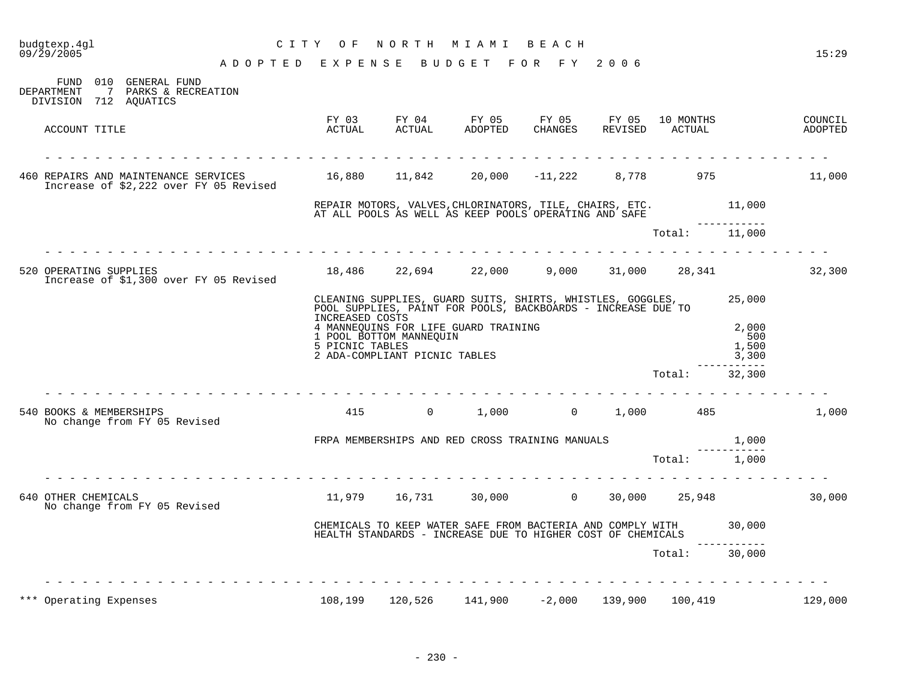| budgtexp.4gl<br>09/29/2005                                                                            | C I T Y<br>O F                                    | NORTH                                                    | M I A M I                                                                                                                  | BEACH            |                  |                     |                                | 15:29              |
|-------------------------------------------------------------------------------------------------------|---------------------------------------------------|----------------------------------------------------------|----------------------------------------------------------------------------------------------------------------------------|------------------|------------------|---------------------|--------------------------------|--------------------|
|                                                                                                       | A D O P T E D E X P E N S E B U D G E T F O R F Y |                                                          |                                                                                                                            |                  | 2006             |                     |                                |                    |
| FUND 010 GENERAL FUND<br>DEPARTMENT<br>$7\overline{ }$<br>PARKS & RECREATION<br>DIVISION 712 AQUATICS |                                                   |                                                          |                                                                                                                            |                  |                  |                     |                                |                    |
| ACCOUNT TITLE                                                                                         | FY 03<br>ACTUAL                                   | FY 04<br>ACTUAL                                          | FY 05<br>ADOPTED                                                                                                           | FY 05<br>CHANGES | FY 05<br>REVISED | 10 MONTHS<br>ACTUAL |                                | COUNCIL<br>ADOPTED |
|                                                                                                       |                                                   |                                                          |                                                                                                                            |                  |                  |                     |                                |                    |
| 460 REPAIRS AND MAINTENANCE SERVICES<br>Increase of \$2,222 over FY 05 Revised                        |                                                   | 16,880    11,842                                         |                                                                                                                            | 20,000 -11,222   | 8,778            | 975                 |                                | 11,000             |
|                                                                                                       |                                                   |                                                          | REPAIR MOTORS, VALVES, CHLORINATORS, TILE, CHAIRS, ETC.<br>AT ALL POOLS AS WELL AS KEEP POOLS OPERATING AND SAFE           |                  |                  |                     | 11,000<br>--------             |                    |
|                                                                                                       |                                                   |                                                          |                                                                                                                            |                  |                  | Total: 11,000       |                                |                    |
| in a dia a dia a dia a dia<br>520 OPERATING SUPPLIES<br>Increase of \$1,300 over FY 05 Revised        |                                                   |                                                          | $18,486$ $22,694$ $22,000$ $9,000$ $31,000$ $28,341$                                                                       |                  |                  |                     |                                | 32,300             |
|                                                                                                       |                                                   |                                                          | CLEANING SUPPLIES, GUARD SUITS, SHIRTS, WHISTLES, GOGGLES,<br>POOL SUPPLIES, PAINT FOR POOLS, BACKBOARDS - INCREASE DUE TO |                  |                  |                     | 25,000                         |                    |
|                                                                                                       | INCREASED COSTS<br>5 PICNIC TABLES                | 1 POOL BOTTOM MANNEQUIN<br>2 ADA-COMPLIANT PICNIC TABLES | 4 MANNEQUINS FOR LIFE GUARD TRAINING                                                                                       |                  |                  |                     | 2,000<br>500<br>1,500<br>3,300 |                    |
|                                                                                                       |                                                   |                                                          |                                                                                                                            |                  |                  | Total:              | - - - - - -<br>32,300          |                    |
| 540 BOOKS & MEMBERSHIPS<br>No change from FY 05 Revised                                               | 415                                               | $\overline{0}$                                           | 1,000                                                                                                                      |                  |                  | $0 \t 1,000 \t 485$ |                                | 1,000              |
|                                                                                                       |                                                   |                                                          | FRPA MEMBERSHIPS AND RED CROSS TRAINING MANUALS                                                                            |                  |                  |                     | 1,000                          |                    |
|                                                                                                       |                                                   |                                                          |                                                                                                                            |                  |                  | Total: 1,000        |                                |                    |
| 640 OTHER CHEMICALS<br>No change from FY 05 Revised                                                   |                                                   |                                                          | 11,979 16,731 30,000 0                                                                                                     |                  | 30,000           |                     | 25,948                         | 30,000             |
|                                                                                                       |                                                   |                                                          | CHEMICALS TO KEEP WATER SAFE FROM BACTERIA AND COMPLY WITH<br>HEALTH STANDARDS - INCREASE DUE TO HIGHER COST OF CHEMICALS  |                  |                  |                     | 30,000                         |                    |
|                                                                                                       |                                                   |                                                          |                                                                                                                            |                  |                  | Total: 30,000       | -----------                    |                    |
|                                                                                                       |                                                   |                                                          |                                                                                                                            |                  |                  |                     |                                |                    |
| Operating Expenses                                                                                    | 108,199                                           | 120,526                                                  | 141,900                                                                                                                    | $-2,000$         | 139,900          | 100,419             |                                | 129,000            |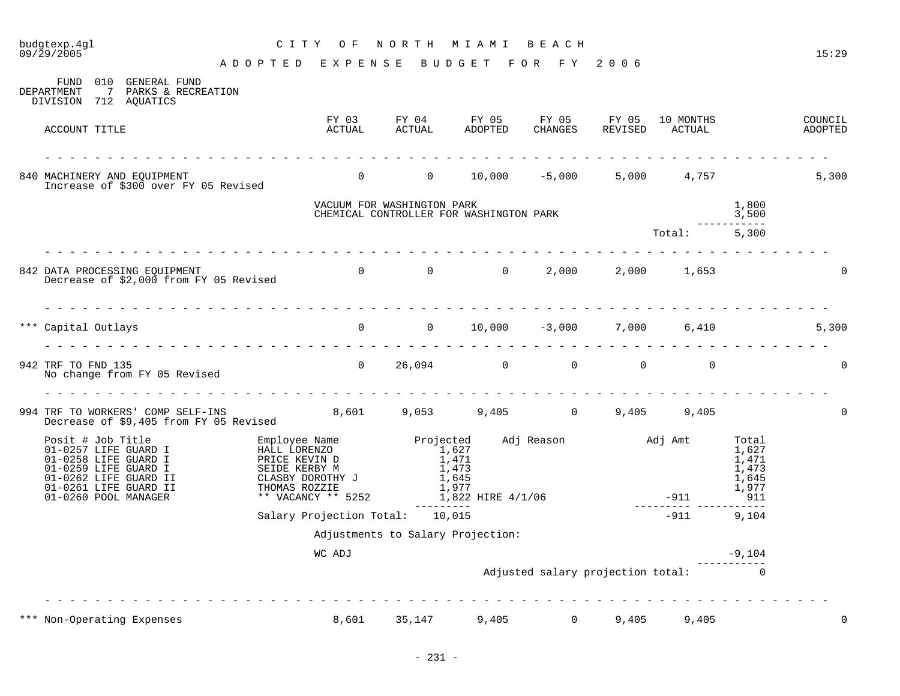| budgtexp.4gl<br>09/29/2005                                                                                                                                                                                                                                           | C I T Y         | O F                                                     | NORTH                      | M I A M I                                                                     | BEACH             |         |                                     |                                                           | 15:29              |
|----------------------------------------------------------------------------------------------------------------------------------------------------------------------------------------------------------------------------------------------------------------------|-----------------|---------------------------------------------------------|----------------------------|-------------------------------------------------------------------------------|-------------------|---------|-------------------------------------|-----------------------------------------------------------|--------------------|
|                                                                                                                                                                                                                                                                      | ADOPTED EXPENSE |                                                         |                            | BUDGET FOR FY 2006                                                            |                   |         |                                     |                                                           |                    |
| FUND 010 GENERAL FUND<br>DEPARTMENT<br>7 PARKS & RECREATION<br>DIVISION 712 AQUATICS                                                                                                                                                                                 |                 |                                                         |                            |                                                                               |                   |         |                                     |                                                           |                    |
| ACCOUNT TITLE                                                                                                                                                                                                                                                        |                 | ACTUAL                                                  | ACTUAL                     | FY 03 FY 04 FY 05 FY 05 FY 05<br>ADOPTED                                      | CHANGES           | REVISED | 10 MONTHS<br>ACTUAL                 |                                                           | COUNCIL<br>ADOPTED |
| 840 MACHINERY AND EQUIPMENT<br>Increase of \$300 over FY 05 Revised                                                                                                                                                                                                  |                 |                                                         |                            | 0 0 10,000 -5,000 5,000 4,757                                                 |                   |         |                                     |                                                           | 5,300              |
|                                                                                                                                                                                                                                                                      |                 |                                                         | VACUUM FOR WASHINGTON PARK |                                                                               |                   |         |                                     | 1,800                                                     |                    |
|                                                                                                                                                                                                                                                                      |                 |                                                         |                            | CHEMICAL CONTROLLER FOR WASHINGTON PARK                                       |                   |         |                                     | 3,500                                                     |                    |
|                                                                                                                                                                                                                                                                      |                 |                                                         |                            |                                                                               |                   |         | $\mathtt{Total}$ :                  | 5,300                                                     |                    |
| 842 DATA PROCESSING EQUIPMENT<br>Decrease of \$2,000 from FY 05 Revised                                                                                                                                                                                              |                 |                                                         |                            | 0 0 0 2,000 2,000 1,653                                                       |                   |         |                                     |                                                           | $\mathbf 0$        |
| *** Capital Outlays                                                                                                                                                                                                                                                  |                 |                                                         |                            | $0$ 0 10,000 -3,000 7,000 6,410                                               |                   |         |                                     |                                                           | 5,300              |
|                                                                                                                                                                                                                                                                      |                 |                                                         |                            |                                                                               |                   |         |                                     |                                                           |                    |
| 942 TRF TO FND 135<br>No change from FY 05 Revised                                                                                                                                                                                                                   |                 |                                                         |                            | $0 \t 26,094 \t 0$                                                            | $\overline{0}$    |         | $0 \qquad \qquad$<br>$\overline{0}$ |                                                           | $\overline{0}$     |
| 994 TRF TO WORKERS' COMP SELF-INS 8,601 9,053 9,405 0 9,405 9,405 9,405<br>Decrease of \$9,405 from FY 05 Revised                                                                                                                                                    |                 |                                                         |                            |                                                                               |                   |         |                                     |                                                           | $\mathbf 0$        |
| Posit # Job Title Employee Name<br>01-0257 LIFE GUARD I HALL LORENZO<br>01-0258 LIFE GUARD I PRICE KEVIN D<br>01-0259 LIFE GUARD I<br>01-0262 LIFE GUARD II CLASBY DOROTHY J<br>01-0261 LIFE GUARD II THOMAS ROZZIE<br>01-0261 LIFE GUARD II<br>01-0260 POOL MANAGER |                 | CLASBY DOROTHY J<br>THOMAS ROZZIE<br>** VACANCY ** 5252 | $\frac{1,627}{1,471}$      | Projected Adj Reason Madj Amt<br>1,473<br>1,645<br>1,977<br>1,822 HIRE 4/1/06 |                   |         | $-911$                              | Total<br>1,627<br>1,471<br>1,473<br>1,645<br>1,977<br>911 |                    |
|                                                                                                                                                                                                                                                                      |                 | Salary Projection Total: 10,015                         |                            |                                                                               |                   |         | $-911$                              | 9,104                                                     |                    |
|                                                                                                                                                                                                                                                                      |                 |                                                         |                            | Adjustments to Salary Projection:                                             |                   |         |                                     |                                                           |                    |
|                                                                                                                                                                                                                                                                      |                 | WC ADJ                                                  |                            |                                                                               |                   |         |                                     | $-9,104$                                                  |                    |
|                                                                                                                                                                                                                                                                      |                 |                                                         |                            |                                                                               |                   |         | Adjusted salary projection total: 0 |                                                           |                    |
|                                                                                                                                                                                                                                                                      |                 |                                                         |                            |                                                                               |                   |         |                                     |                                                           |                    |
| *** Non-Operating Expenses                                                                                                                                                                                                                                           |                 | 8,601                                                   | 35,147                     | 9,405                                                                         | $0 \qquad \qquad$ | 9,405   | 9,405                               |                                                           | 0                  |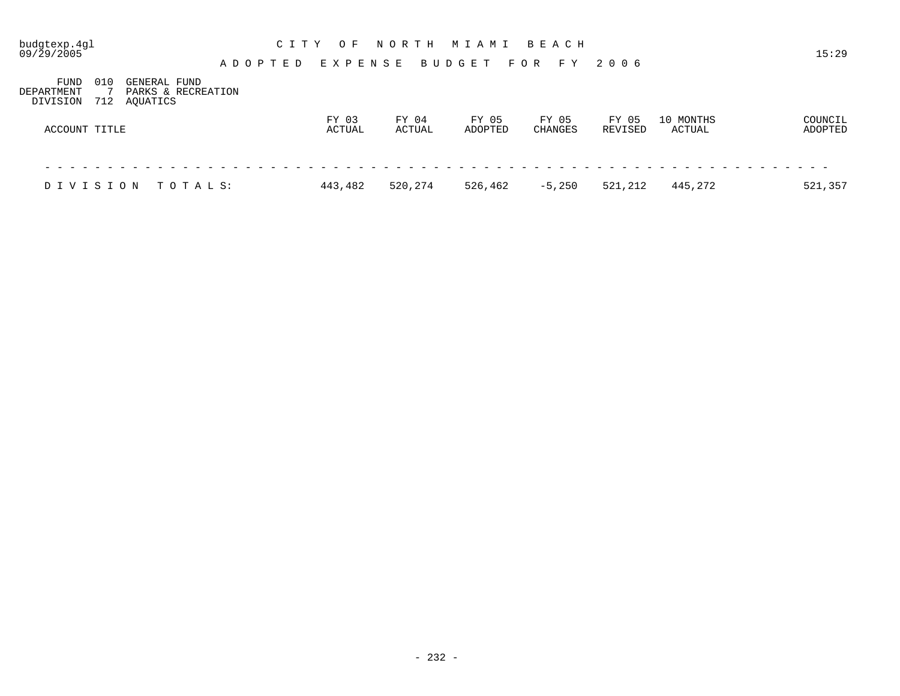| budgtexp.4gl<br>09/29/2005 |     |                                |          |         |  | C I T Y | O F             |         | NORTH   |       |               |  | MIAMI            |       |                         | B E A C H |         |       |                     | 15:29              |
|----------------------------|-----|--------------------------------|----------|---------|--|---------|-----------------|---------|---------|-------|---------------|--|------------------|-------|-------------------------|-----------|---------|-------|---------------------|--------------------|
| FUND                       | 010 | GENERAL FUND                   |          | ADOPTED |  |         |                 | EXPENSE |         |       | <b>BUDGET</b> |  |                  | F O R |                         | F Y       | 2006    |       |                     |                    |
| DEPARTMENT<br>DIVISION     | 712 | PARKS & RECREATION<br>AQUATICS |          |         |  |         |                 |         |         |       |               |  |                  |       |                         |           |         |       |                     |                    |
| ACCOUNT TITLE              |     |                                |          |         |  |         | FY 03<br>ACTUAL |         | ACTUAL  | FY 04 |               |  | FY 05<br>ADOPTED |       | FY 05<br><b>CHANGES</b> |           | REVISED | FY 05 | 10 MONTHS<br>ACTUAL | COUNCIL<br>ADOPTED |
|                            |     |                                |          |         |  |         |                 |         |         |       |               |  |                  |       |                         |           |         |       |                     |                    |
| DIVISION                   |     |                                | TOTAL S: |         |  |         | 443,482         |         | 520,274 |       |               |  | 526,462          |       |                         | $-5,250$  | 521,212 |       | 445,272             | 521,357            |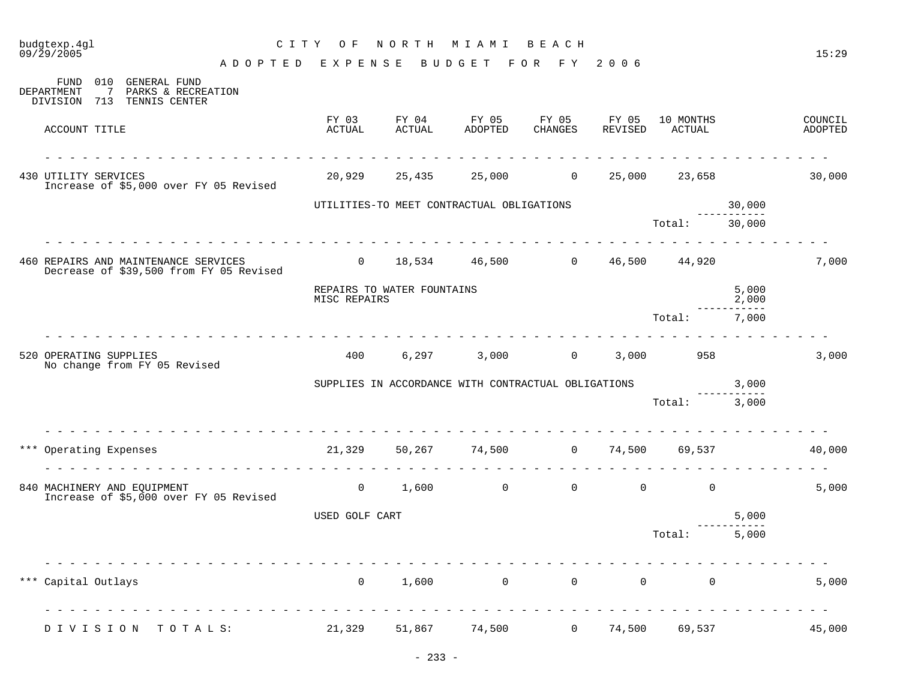|     | budgtexp.4gl<br>C I T Y<br>09/29/2005                                                                                                                                                                                                                                                                                                                                                                                                                                      | O F             | NORTH                      | M I A M I                                                            | BEACH            |                  |                     |                | 15:29              |
|-----|----------------------------------------------------------------------------------------------------------------------------------------------------------------------------------------------------------------------------------------------------------------------------------------------------------------------------------------------------------------------------------------------------------------------------------------------------------------------------|-----------------|----------------------------|----------------------------------------------------------------------|------------------|------------------|---------------------|----------------|--------------------|
|     | ADOPTED EXPENSE                                                                                                                                                                                                                                                                                                                                                                                                                                                            |                 |                            | BUDGET FOR FY                                                        |                  | 2006             |                     |                |                    |
|     | 010<br>GENERAL FUND<br>FUND<br>DEPARTMENT<br>$7^{\circ}$<br>PARKS & RECREATION<br>DIVISION 713 TENNIS CENTER                                                                                                                                                                                                                                                                                                                                                               |                 |                            |                                                                      |                  |                  |                     |                |                    |
|     | ACCOUNT TITLE                                                                                                                                                                                                                                                                                                                                                                                                                                                              | FY 03<br>ACTUAL | FY 04<br>^^tiial           | FY 05<br>ADOPTED                                                     | FY 05<br>CHANGES | FY 05<br>REVISED | 10 MONTHS<br>ACTUAL |                | COUNCIL<br>ADOPTED |
|     | 430 UTILITY SERVICES<br>Increase of \$5,000 over FY 05 Revised                                                                                                                                                                                                                                                                                                                                                                                                             |                 |                            | 20,929 25,435 25,000 0                                               |                  | 25,000           |                     | 23,658         | 30,000             |
|     |                                                                                                                                                                                                                                                                                                                                                                                                                                                                            |                 |                            | UTILITIES-TO MEET CONTRACTUAL OBLIGATIONS                            |                  |                  |                     | 30,000         |                    |
|     | $\frac{1}{2} \left( \frac{1}{2} \right) \left( \frac{1}{2} \right) \left( \frac{1}{2} \right) \left( \frac{1}{2} \right) \left( \frac{1}{2} \right) \left( \frac{1}{2} \right) \left( \frac{1}{2} \right) \left( \frac{1}{2} \right) \left( \frac{1}{2} \right) \left( \frac{1}{2} \right) \left( \frac{1}{2} \right) \left( \frac{1}{2} \right) \left( \frac{1}{2} \right) \left( \frac{1}{2} \right) \left( \frac{1}{2} \right) \left( \frac{1}{2} \right) \left( \frac$ |                 |                            | <u>.</u>                                                             |                  |                  | Total:              | 30,000         |                    |
|     | 460 REPAIRS AND MAINTENANCE SERVICES<br>Decrease of \$39,500 from FY 05 Revised                                                                                                                                                                                                                                                                                                                                                                                            |                 |                            | $0 \qquad 18,534 \qquad 46,500 \qquad 0 \qquad 46,500 \qquad 44,920$ |                  |                  |                     |                | 7,000              |
|     |                                                                                                                                                                                                                                                                                                                                                                                                                                                                            | MISC REPAIRS    | REPAIRS TO WATER FOUNTAINS |                                                                      |                  |                  |                     | 5,000<br>2,000 |                    |
|     |                                                                                                                                                                                                                                                                                                                                                                                                                                                                            |                 |                            |                                                                      |                  |                  | Total:              | 7,000          |                    |
|     | 520 OPERATING SUPPLIES<br>No change from FY 05 Revised                                                                                                                                                                                                                                                                                                                                                                                                                     | 400             | 6,297                      |                                                                      | $3,000$ 0        |                  | 3,000<br>958        |                | 3,000              |
|     |                                                                                                                                                                                                                                                                                                                                                                                                                                                                            |                 |                            | SUPPLIES IN ACCORDANCE WITH CONTRACTUAL OBLIGATIONS                  |                  |                  |                     | 3,000          |                    |
|     |                                                                                                                                                                                                                                                                                                                                                                                                                                                                            |                 |                            |                                                                      |                  |                  | Total: 3,000        |                |                    |
|     | *** Operating Expenses<br><u>.</u>                                                                                                                                                                                                                                                                                                                                                                                                                                         | 21,329          |                            | 50,267 74,500                                                        |                  | $0 \t 74,500$    |                     | 69,537         | 40,000             |
|     | 840 MACHINERY AND EQUIPMENT<br>Increase of \$5,000 over FY 05 Revised                                                                                                                                                                                                                                                                                                                                                                                                      | $\overline{0}$  |                            | $1,600$ 0 0 0 0                                                      |                  |                  | $\Omega$            |                | 5,000              |
|     |                                                                                                                                                                                                                                                                                                                                                                                                                                                                            | USED GOLF CART  |                            |                                                                      |                  |                  |                     | 5,000          |                    |
|     |                                                                                                                                                                                                                                                                                                                                                                                                                                                                            |                 |                            |                                                                      |                  |                  | Total:              | 5,000          |                    |
| *** | Capital Outlays                                                                                                                                                                                                                                                                                                                                                                                                                                                            | $\mathsf{O}$    | 1,600                      | $\overline{0}$                                                       | $\overline{0}$   | $\mathbf 0$      | 0                   |                | 5,000              |
|     | DIVISION TOTALS:                                                                                                                                                                                                                                                                                                                                                                                                                                                           | 21,329          | 51,867                     | 74,500                                                               | $\overline{0}$   | 74,500           | 69,537              |                | 45,000             |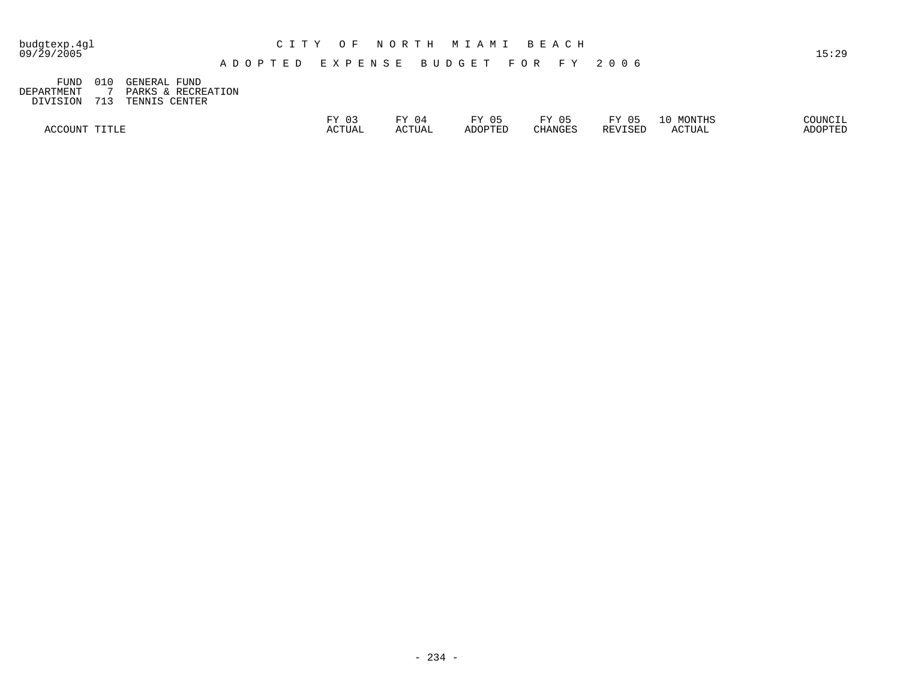| budgtexp.4gl<br>09/29/2005 | СІТҮ                                         | O F                                                           | NORTH MIAMI     |                 | ведсн            |                         |                  | 15:29               |                    |
|----------------------------|----------------------------------------------|---------------------------------------------------------------|-----------------|-----------------|------------------|-------------------------|------------------|---------------------|--------------------|
|                            |                                              | A D O P T E D    E X P E N S E    B U D G E T    F O R    F Y |                 |                 |                  |                         | 2006             |                     |                    |
|                            | 010<br>FUND<br>DEPARTMENT<br>713<br>DIVISION | GENERAL FUND<br>PARKS & RECREATION<br>TENNIS CENTER           |                 |                 |                  |                         |                  |                     |                    |
|                            | ACCOUNT TITLE                                |                                                               | FY 03<br>ACTUAL | FY 04<br>ACTUAL | FY 05<br>ADOPTED | FY 05<br><b>CHANGES</b> | FY 05<br>REVISED | 10 MONTHS<br>ACTUAL | COUNCIL<br>ADOPTED |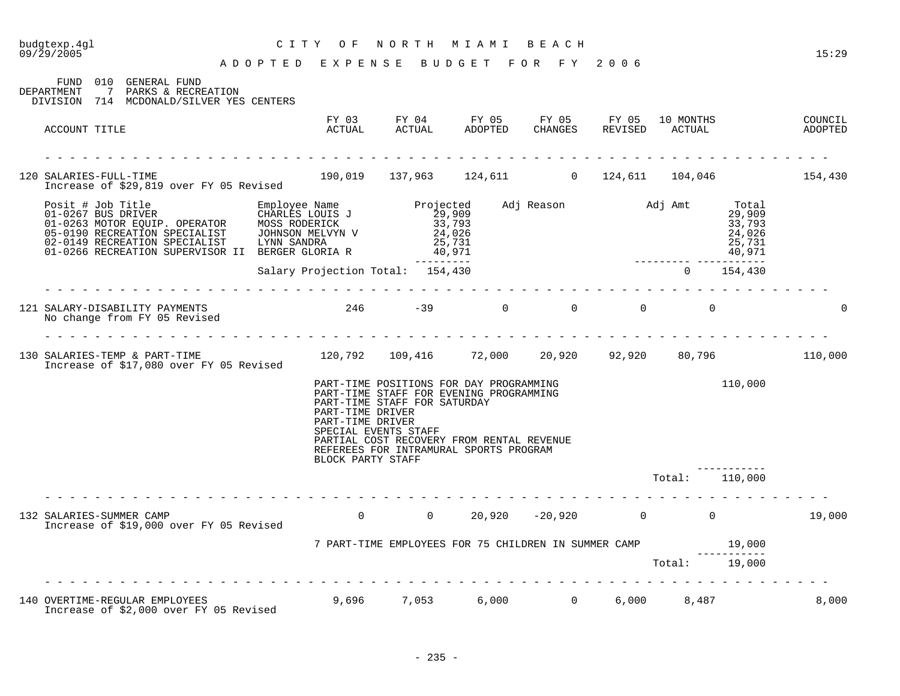| 09/29/2005                                                                                                                  | ADOPTED EXPENSE BUDGET FOR FY 2006                          |                                                                                                                                                                                                                                   |  |                          | 15:29  |
|-----------------------------------------------------------------------------------------------------------------------------|-------------------------------------------------------------|-----------------------------------------------------------------------------------------------------------------------------------------------------------------------------------------------------------------------------------|--|--------------------------|--------|
| FUND 010 GENERAL FUND<br>7 PARKS & RECREATION<br>DEPARTMENT<br>DIVISION 714 MCDONALD/SILVER YES CENTERS                     |                                                             |                                                                                                                                                                                                                                   |  |                          |        |
| ACCOUNT TITLE                                                                                                               |                                                             |                                                                                                                                                                                                                                   |  |                          |        |
|                                                                                                                             |                                                             |                                                                                                                                                                                                                                   |  |                          |        |
| 120 SALARIES-FULL-TIME 154,430<br>Increase of \$29,819 over FY 05 Revised 190,019 137,963 124,611 0 124,611 104,046 154,430 |                                                             |                                                                                                                                                                                                                                   |  |                          |        |
| 9<br>267 BUS DRIVER CHARLES LOUIS J<br>29,909 MOTOR EQUIP. OPERATOR MOSS RODERICK 29,909<br>29,909 33,793 24,026<br>        |                                                             |                                                                                                                                                                                                                                   |  |                          |        |
|                                                                                                                             |                                                             |                                                                                                                                                                                                                                   |  |                          |        |
| No change from FY 05 Revised                                                                                                |                                                             |                                                                                                                                                                                                                                   |  |                          |        |
| Increase of \$17,080 over FY 05 Revised                                                                                     |                                                             |                                                                                                                                                                                                                                   |  |                          |        |
|                                                                                                                             | PART-TIME DRIVER<br>PART-TIME DRIVER<br>BLOCK PARTY STAFF   | PART-TIME POSITIONS FOR DAY PROGRAMMING<br>PART-TIME STAFF FOR EVENING PROGRAMMING<br>PART-TIME STAFF FOR SATURDAY<br>SPECIAL EVENTS STAFF<br>PARTIAL COST RECOVERY FROM RENTAL REVENUE<br>REFEREES FOR INTRAMURAL SPORTS PROGRAM |  | 110,000                  |        |
|                                                                                                                             |                                                             |                                                                                                                                                                                                                                   |  | Total: 110,000           |        |
| SALARIES-SUMMER CAMP<br>Increase of \$19,000 over FY 05 Revised<br>132 SALARIES-SUMMER CAMP                                 |                                                             |                                                                                                                                                                                                                                   |  | $0$ 0 20,920 -20,920 0 0 | 19,000 |
|                                                                                                                             | 7 PART-TIME EMPLOYEES FOR 75 CHILDREN IN SUMMER CAMP 19,000 |                                                                                                                                                                                                                                   |  |                          |        |
|                                                                                                                             |                                                             |                                                                                                                                                                                                                                   |  | Total: 19,000            |        |
| 140 OVERTIME-REGULAR EMPLOYEES<br>Increase of \$2,000 over FY 05 Revised                                                    |                                                             | 9,696 7,053 6,000 0                                                                                                                                                                                                               |  | 6,000 8,487              | 8,000  |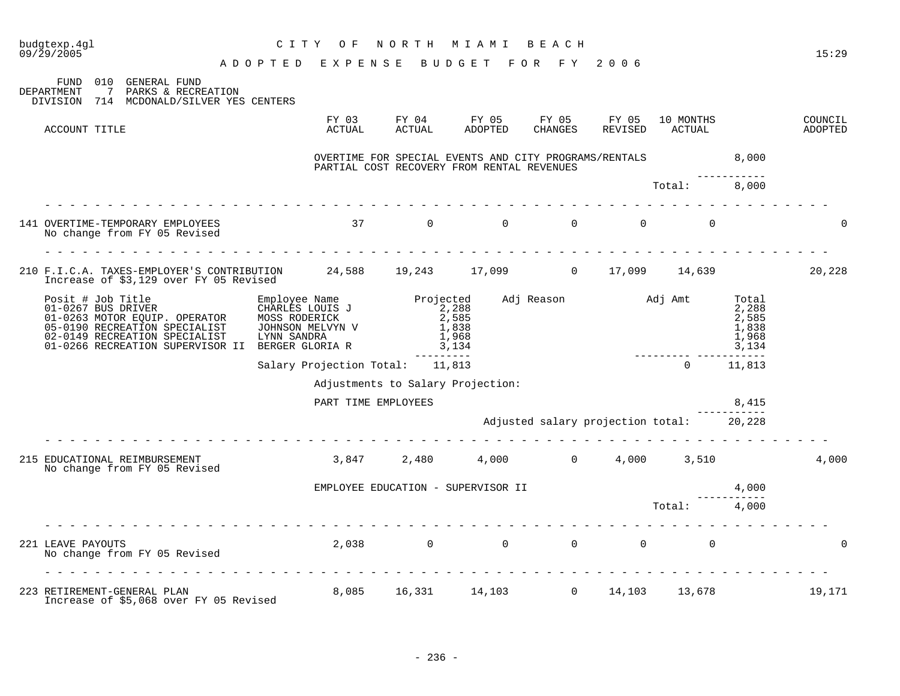| budqtexp.4ql<br>09/29/2005                                                                                                                                                                                                                                  | C I T Y<br>O F<br>ADOPTED EXPENSE BUDGET FOR FY 2006         | NORTH               | MIAMI                                                                                                                                                                                                                                                                                                                                                                                                                                                                                                                                                                      | BEACH            |                  |                      |                                                    | 15:29              |
|-------------------------------------------------------------------------------------------------------------------------------------------------------------------------------------------------------------------------------------------------------------|--------------------------------------------------------------|---------------------|----------------------------------------------------------------------------------------------------------------------------------------------------------------------------------------------------------------------------------------------------------------------------------------------------------------------------------------------------------------------------------------------------------------------------------------------------------------------------------------------------------------------------------------------------------------------------|------------------|------------------|----------------------|----------------------------------------------------|--------------------|
| FUND 010 GENERAL FUND<br>$\overline{7}$<br>PARKS & RECREATION<br>DEPARTMENT<br>DIVISION 714 MCDONALD/SILVER YES CENTERS                                                                                                                                     |                                                              |                     |                                                                                                                                                                                                                                                                                                                                                                                                                                                                                                                                                                            |                  |                  |                      |                                                    |                    |
| ACCOUNT TITLE                                                                                                                                                                                                                                               | FY 03<br>ACTUAL                                              | FY 04<br>ACTUAL     | FY 05<br>ADOPTED                                                                                                                                                                                                                                                                                                                                                                                                                                                                                                                                                           | FY 05<br>CHANGES | FY 05<br>REVISED | 10 MONTHS<br>ACTUAL  |                                                    | COUNCIL<br>ADOPTED |
|                                                                                                                                                                                                                                                             |                                                              |                     | OVERTIME FOR SPECIAL EVENTS AND CITY PROGRAMS/RENTALS 8,000<br>PARTIAL COST RECOVERY FROM RENTAL REVENUES                                                                                                                                                                                                                                                                                                                                                                                                                                                                  |                  |                  |                      |                                                    |                    |
|                                                                                                                                                                                                                                                             |                                                              |                     |                                                                                                                                                                                                                                                                                                                                                                                                                                                                                                                                                                            |                  |                  | Total:               | 8,000                                              |                    |
| 141 OVERTIME-TEMPORARY EMPLOYEES<br>No change from FY 05 Revised                                                                                                                                                                                            | $37$ 0 0                                                     |                     |                                                                                                                                                                                                                                                                                                                                                                                                                                                                                                                                                                            |                  | $\Omega$         | $\Omega$<br>$\Omega$ |                                                    | $\Omega$           |
| 210 F.I.C.A. TAXES-EMPLOYER'S CONTRIBUTION 24,588 19,243 17,099 0 17,099 14,639 20,228<br>Increase of \$3,129 over FY 05 Revised                                                                                                                            |                                                              |                     |                                                                                                                                                                                                                                                                                                                                                                                                                                                                                                                                                                            |                  |                  |                      |                                                    |                    |
| Posit # Job Title Employee Name<br>01-0267 BUS DRIVER CHARLES LOUIS J<br>01-0263 MOTOR EQUIP. OPERATOR MOSS RODERICK<br>05-0190 RECREATION SPECIALIST JOHNSON MELVYN V<br>02-0149 RECREATION SPECIALIST<br>01-0266 RECREATION SUPERVISOR II BERGER GLORIA R | Employee Name Reserved Adj Reason and Adj Amt<br>LYNN SANDRA | 2,288               | 2,585<br>1,838<br>1,968<br>3,134                                                                                                                                                                                                                                                                                                                                                                                                                                                                                                                                           |                  |                  |                      | Total<br>2,288<br>2,585<br>1,838<br>1,968<br>3,134 |                    |
|                                                                                                                                                                                                                                                             | Salary Projection Total: 11,813                              |                     | ----------                                                                                                                                                                                                                                                                                                                                                                                                                                                                                                                                                                 |                  |                  | $\overline{0}$       | 11,813                                             |                    |
|                                                                                                                                                                                                                                                             |                                                              |                     | Adjustments to Salary Projection:                                                                                                                                                                                                                                                                                                                                                                                                                                                                                                                                          |                  |                  |                      |                                                    |                    |
|                                                                                                                                                                                                                                                             |                                                              | PART TIME EMPLOYEES |                                                                                                                                                                                                                                                                                                                                                                                                                                                                                                                                                                            |                  |                  |                      | 8,415                                              |                    |
|                                                                                                                                                                                                                                                             | .                                                            |                     | Adjusted salary projection total: 20,228                                                                                                                                                                                                                                                                                                                                                                                                                                                                                                                                   |                  |                  |                      |                                                    |                    |
| 215 EDUCATIONAL REIMBURSEMENT<br>No change from FY 05 Revised                                                                                                                                                                                               |                                                              |                     | $3,847$ $2,480$ $4,000$ $0$ $4,000$ $3,510$                                                                                                                                                                                                                                                                                                                                                                                                                                                                                                                                |                  |                  |                      |                                                    | 4,000              |
|                                                                                                                                                                                                                                                             |                                                              |                     | EMPLOYEE EDUCATION - SUPERVISOR II                                                                                                                                                                                                                                                                                                                                                                                                                                                                                                                                         |                  |                  |                      | 4,000                                              |                    |
|                                                                                                                                                                                                                                                             |                                                              |                     |                                                                                                                                                                                                                                                                                                                                                                                                                                                                                                                                                                            |                  |                  | Total: 4,000         |                                                    |                    |
| 221 LEAVE PAYOUTS<br>No change from FY 05 Revised                                                                                                                                                                                                           |                                                              |                     | $\begin{matrix} 2 \end{matrix} \begin{matrix} 0 \end{matrix} \begin{matrix} 0 \end{matrix} \end{matrix} \begin{matrix} 0 \end{matrix} \begin{matrix} 0 \end{matrix} \begin{matrix} 0 \end{matrix} \end{matrix} \begin{matrix} 0 \end{matrix} \begin{matrix} 0 \end{matrix} \begin{matrix} 0 \end{matrix} \end{matrix} \begin{matrix} 0 \end{matrix} \begin{matrix} 0 \end{matrix} \begin{matrix} 0 \end{matrix} \end{matrix} \begin{matrix} 0 \end{matrix} \begin{matrix} 0 \end{matrix} \begin{matrix} 0 \end{matrix} \begin{matrix} 0 \end{matrix} \end{matrix} \begin{$ |                  |                  |                      |                                                    | $\Omega$           |
| 223 RETIREMENT-GENERAL PLAN<br>Increase of \$5,068 over FY 05 Revised                                                                                                                                                                                       |                                                              |                     | 8,085 16,331 14,103 0 14,103 13,678                                                                                                                                                                                                                                                                                                                                                                                                                                                                                                                                        |                  |                  |                      |                                                    | 19,171             |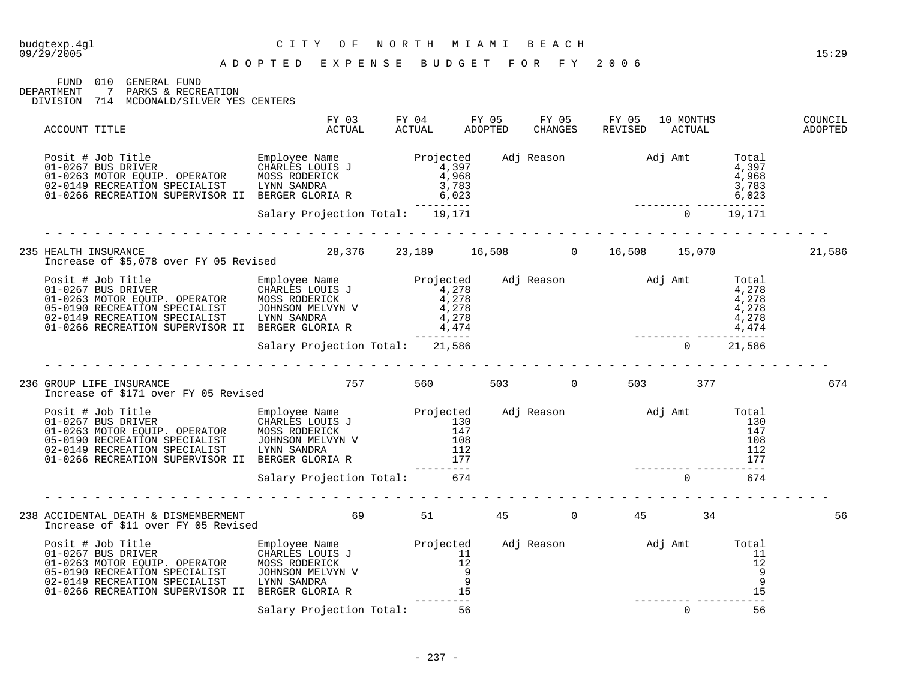### budgtexp.4gl C I T Y O F N O R T H M I A M I B E A C H

FUND 010 GENERAL FUND DEPARTMENT 7 PARKS & RECREATION

DIVISION 714 MCDONALD/SILVER YES CENTERS

| ACCOUNT TITLE                                                                                                                                                                                                                                                                                                                                                                                                                                                                                                         | FY 03<br>ACTUAL                 | FY 04<br>ACTUAL                      | FY 05<br>ADOPTED | FY 05<br>CHANGES | FY 05<br>REVISED          | 10 MONTHS<br>ACTUAL |     |                                                | COUNCIL<br>ADOPTED |
|-----------------------------------------------------------------------------------------------------------------------------------------------------------------------------------------------------------------------------------------------------------------------------------------------------------------------------------------------------------------------------------------------------------------------------------------------------------------------------------------------------------------------|---------------------------------|--------------------------------------|------------------|------------------|---------------------------|---------------------|-----|------------------------------------------------|--------------------|
| Posit # Job Title<br>01-0267 BUS DRIVER<br>01-0263 MOTOR EQUIP. OPERATOR MOSS RODERICK<br>02-0149 RECREATION SPECIALIST LYNN SANDRA<br>02-0149 RECREATION SUPERVISOR II BERGER GLORIA R<br>01-0266 RECREATION SUPERVISOR II BERGER GLORI                                                                                                                                                                                                                                                                              |                                 | --------                             |                  |                  | Adj Reason Madj Amt Total |                     |     | 4,397                                          |                    |
|                                                                                                                                                                                                                                                                                                                                                                                                                                                                                                                       | Salary Projection Total: 19,171 |                                      |                  |                  |                           |                     |     |                                                |                    |
| 235 HEALTH INSURANCE<br>Increase of \$5,078 over FY 05 Revised                                                                                                                                                                                                                                                                                                                                                                                                                                                        |                                 | 28,376 23,189 16,508 0 16,508 15,070 |                  |                  |                           |                     |     |                                                | 21,586             |
| Posit # Job Title Employee Name Projected Adj Reason Adj Amt Total<br>01-0267 BUS DRIVER CHARLES LOUIS J<br>01-0263 MOTOR EQUIP. OPERATOR MOSS RODERICK 4,278<br>05-0190 RECREATION SPECIALIST JOHNSON MELVYN V 4,278<br>02-0149 RECRE                                                                                                                                                                                                                                                                                |                                 | ----------                           |                  |                  |                           |                     |     | --------                                       |                    |
|                                                                                                                                                                                                                                                                                                                                                                                                                                                                                                                       | Salary Projection Total: 21,586 |                                      |                  |                  |                           | $\Omega$            |     | 21,586                                         |                    |
| 236 GROUP LIFE INSURANCE<br>Increase of \$171 over FY 05 Revised                                                                                                                                                                                                                                                                                                                                                                                                                                                      | 757                             | 560 300                              |                  | 503 0            |                           | 503                 | 377 |                                                | 674                |
| $\begin{tabular}{lllllllllllllllllll} \multicolumn{3}{l}{{\small \begin{tabular}{l}p{0.1.026751}}\hline & $\color{red}$Dosit le & $\color{red}$~\color{blue}$~\color{blue}$~\color{blue}$~\color{blue}$~\color{blue}$~\color{blue}$~\color{blue}$~\color{blue}$~\color{blue}$~\color{blue}$~\color{blue}$~\color{blue}$~\color{blue}$~\color{blue}$~\color{blue}$~\color{blue}$~\color{blue}$~\color{blue}$~\color{blue}$~\color{blue}$~\color{blue}$~\color{blue}$~\color{blue}$~\color{blue}$~\color{blue}$~\color$ |                                 |                                      |                  |                  | Adj Reason Madj Amt Total |                     |     | 130                                            |                    |
|                                                                                                                                                                                                                                                                                                                                                                                                                                                                                                                       | Salary Projection Total: 674    |                                      |                  |                  |                           |                     |     |                                                |                    |
| 238 ACCIDENTAL DEATH & DISMEMBERMENT 69 51 51<br>Increase of \$11 over FY 05 Revised                                                                                                                                                                                                                                                                                                                                                                                                                                  |                                 |                                      | 45               | $\sim$ 0         |                           | 45                  | 34  |                                                | 56                 |
| Posit # Job Title<br>01-0267 BUS DRIVER<br>01-0263 MOTOR EQUIP. OPERATOR MOSS RODERICK 12<br>05-0190 RECREATION SPECIALIST JOHNSON MELVYN V 9<br>02-0149 RECREATION SPECIALIST LYNN SANDRA<br>01-0266 RECREATION SUPERVISOR II BERGER GL                                                                                                                                                                                                                                                                              |                                 |                                      |                  |                  | Adj Reason Madj Amt       |                     |     | Total<br>11<br>12<br>9<br>$\overline{9}$<br>15 |                    |
|                                                                                                                                                                                                                                                                                                                                                                                                                                                                                                                       | Salary Projection Total:        | 56                                   |                  |                  |                           | $\mathbf 0$         |     | 56                                             |                    |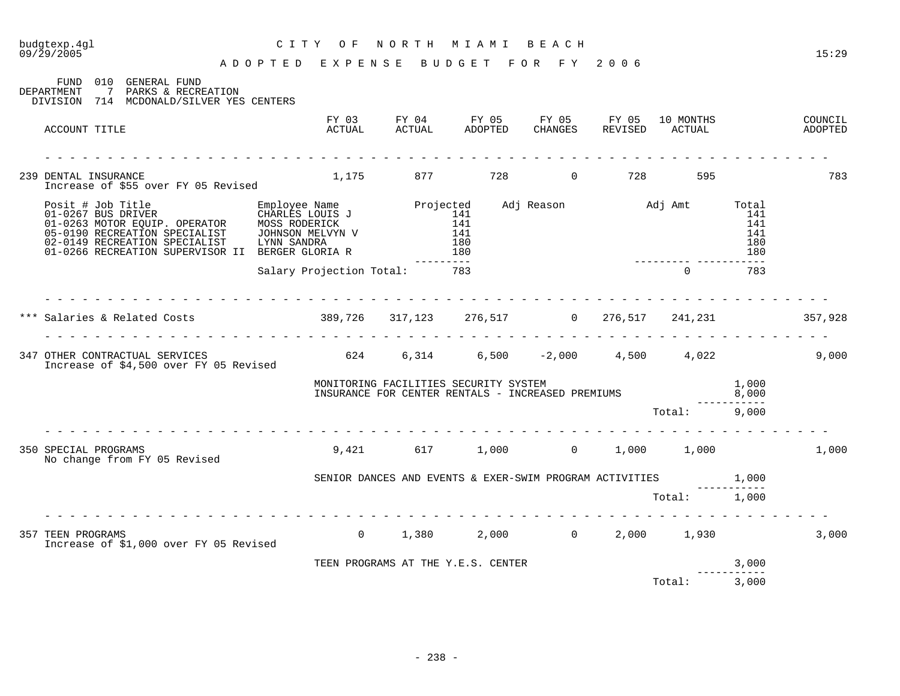| budgtexp.4gl<br>09/29/2005<br>A D O P T E D E X P E N S E B U D G E T F O R F Y 2006                                                                                                                                                                                                         | CITY OF                      |                                    |                 | NORTH MIAMI BEACH                                                                       |              |                      | 15:29              |
|----------------------------------------------------------------------------------------------------------------------------------------------------------------------------------------------------------------------------------------------------------------------------------------------|------------------------------|------------------------------------|-----------------|-----------------------------------------------------------------------------------------|--------------|----------------------|--------------------|
| FUND 010 GENERAL FUND<br>DEPARTMENT<br>7 PARKS & RECREATION<br>DIVISION 714 MCDONALD/SILVER YES CENTERS                                                                                                                                                                                      |                              |                                    |                 |                                                                                         |              |                      |                    |
| ACCOUNT TITLE                                                                                                                                                                                                                                                                                |                              |                                    |                 | FY 03 FY 04 FY 05 FY 05 FY 05 10 MONTHS<br>ACTUAL ACTUAL ADOPTED CHANGES REVISED ACTUAL |              |                      | COUNCIL<br>ADOPTED |
| <u>a dia ana ana ana ana ana ana ana ana</u><br>239 DENTAL INSURANCE<br>Increase of \$55 over FY 05 Revised                                                                                                                                                                                  |                              |                                    |                 | 1,175 877 728 0 728 595                                                                 |              |                      | 783                |
| Posit # Job Title Employee Name Projected Adj Reason Adj Amt Total<br>01-0267 BUS DRIVER CHARLES LOUIS J<br>01-0263 MOTOR EQUIP. OPERATOR MOSS RODERICK 141 141<br>05-0190 RECREATION SPECIALIST JOHNSON MELVYN V 141 141 141 141 14<br>01-0266 RECREATION SUPERVISOR II BERGER GLORIA R 180 |                              |                                    | . _ _ _ _ _ _ _ |                                                                                         |              | 180                  |                    |
|                                                                                                                                                                                                                                                                                              | Salary Projection Total: 783 |                                    |                 |                                                                                         | $\cap$       | 783                  |                    |
|                                                                                                                                                                                                                                                                                              |                              |                                    |                 |                                                                                         |              |                      |                    |
|                                                                                                                                                                                                                                                                                              |                              |                                    |                 |                                                                                         |              |                      |                    |
| 347 OTHER CONTRACTUAL SERVICES<br>Increase of \$4,500 over FY 05 Revised                                                                                                                                                                                                                     |                              |                                    |                 | $624$ $6,314$ $6,500$ $-2,000$ $4,500$ $4,022$ $9,000$                                  |              |                      |                    |
|                                                                                                                                                                                                                                                                                              |                              |                                    |                 | INSURANCE FOR CENTER RENTALS - INCREASED PREMIUMS 8,000                                 |              |                      |                    |
|                                                                                                                                                                                                                                                                                              |                              |                                    |                 |                                                                                         | Total: 9,000 |                      |                    |
| 350 SPECIAL PROGRAMS<br>No change from FY 05 Revised                                                                                                                                                                                                                                         |                              |                                    |                 | $9,421$ 617 1,000 0 1,000 1,000                                                         |              |                      | 1,000              |
|                                                                                                                                                                                                                                                                                              |                              |                                    |                 | SENIOR DANCES AND EVENTS & EXER-SWIM PROGRAM ACTIVITIES 1,000                           |              |                      |                    |
|                                                                                                                                                                                                                                                                                              |                              |                                    |                 |                                                                                         | Total: 1,000 |                      |                    |
| 357 TEEN PROGRAMS<br>Increase of \$1,000 over FY 05 Revised                                                                                                                                                                                                                                  |                              |                                    |                 | $0$ 1,380 2,000 0 2,000 1,930                                                           |              |                      | 3,000              |
|                                                                                                                                                                                                                                                                                              |                              | TEEN PROGRAMS AT THE Y.E.S. CENTER |                 |                                                                                         |              | 3,000<br>----------- |                    |
|                                                                                                                                                                                                                                                                                              |                              |                                    |                 |                                                                                         | Total:       | 3,000                |                    |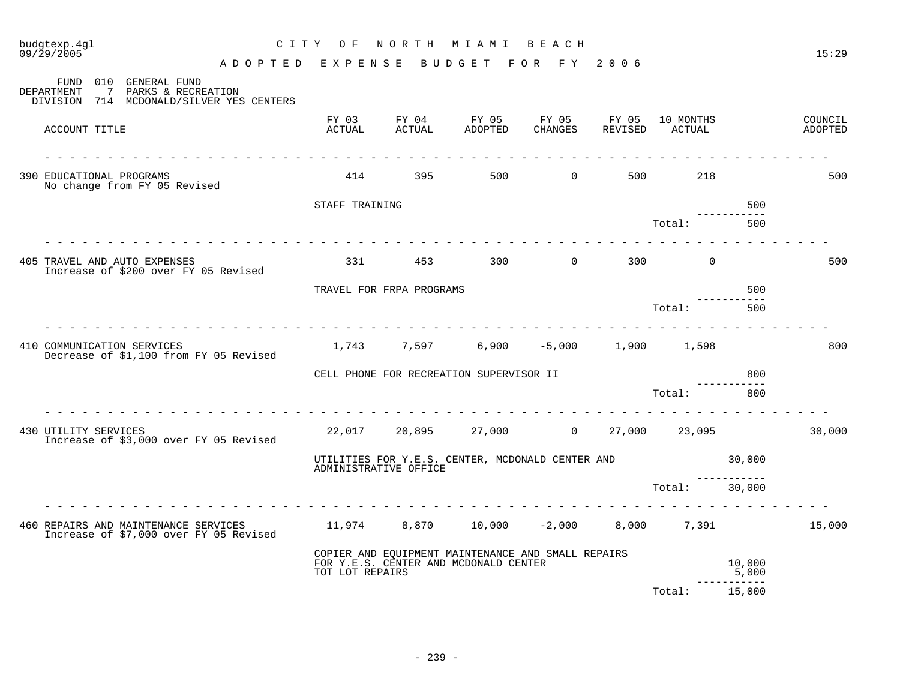#### 09/29/2005 15:29 A D O P T E D E X P E N S E B U D G E T F O R F Y 2 0 0 6 FUND 010 GENERAL FUND<br>DEPARTMENT 7 PARKS & RECRE 7 PARKS & RECREATION DIVISION 714 MCDONALD/SILVER YES CENTERS FY 03 FY 04 FY 05 FY 05 FY 05 10 MONTHS COUNCIL<br>ACTUAL ACTUAL ADOPTED CHANGES REVISED ACTUAL AND ADOPTED ACCOUNT TITLE ACTUAL ACTUAL ADOPTED CHANGES REVISED ACTUAL ADOPTED - - - - - - - - - - - - - - - - - - - - - - - - - - - - - - - - - - - - - - - - - - - - - - - - - - - - - - - - - - - - - - - 390 EDUCATIONAL PROGRAMS 414 395 500 0 500 218 500 No change from FY 05 Revised STAFF TRAINING 500 ----------- Total: 500 - - - - - - - - - - - - - - - - - - - - - - - - - - - - - - - - - - - - - - - - - - - - - - - - - - - - - - - - - - - - - - - 405 TRAVEL AND AUTO EXPENSES 331 453 300 0 300 0 500 Increase of \$200 over FY 05 Revised TRAVEL FOR FRPA PROGRAMS **FOR SEXUAL SEXUAL SEXUAL SEXUAL SOUTHERN** SOUTHERN TRAVEL FOR THE SOUTHERN STATES OF SOUTHERN STATES AND TRAVEL STATES OF SOUTHERN STATES AND THE STATES OF STATES AND THE STATES OF STATES AND THE ----------- Total: 500 - - - - - - - - - - - - - - - - - - - - - - - - - - - - - - - - - - - - - - - - - - - - - - - - - - - - - - - - - - - - - - - 410 COMMUNICATION SERVICES 1,743 7,597 6,900 -5,000 1,900 1,598 800 Decrease of \$1,100 from FY 05 Revised CELL PHONE FOR RECREATION SUPERVISOR II 800 ----------- Total: 800 - - - - - - - - - - - - - - - - - - - - - - - - - - - - - - - - - - - - - - - - - - - - - - - - - - - - - - - - - - - - - - - 430 UTILITY SERVICES 22,017 20,895 27,000 0 27,000 23,095 30,000 Increase of \$3,000 over FY 05 Revised UTILITIES FOR Y.E.S. CENTER, MCDONALD CENTER AND 30,000 ADMINISTRATIVE OFFICE ----------- Total: 30,000 - - - - - - - - - - - - - - - - - - - - - - - - - - - - - - - - - - - - - - - - - - - - - - - - - - - - - - - - - - - - - - - 460 REPAIRS AND MAINTENANCE SERVICES 11,974 8,870 10,000 -2,000 8,000 7,391 15,000 Increase of \$7,000 over FY 05 Revised COPIER AND EQUIPMENT MAINTENANCE AND SMALL REPAIRS FOR Y.E.S. CENTER AND MCDONALD CENTER 10,000 TOT LOT REPAIRS ----------- Total: 15,000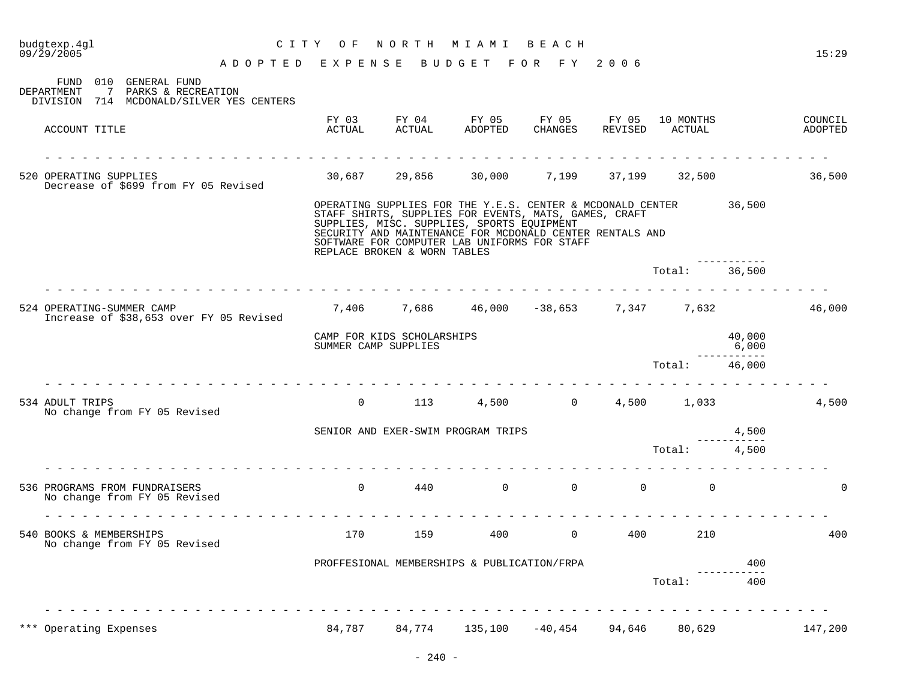| budgtexp.4gl<br>09/29/2005                                                                                              | C I T Y<br>O F                                     | NORTH MIAMI                  |                                                                                            | BEACH                                                                                                                                                                           |                   |                             |                                | 15:29              |
|-------------------------------------------------------------------------------------------------------------------------|----------------------------------------------------|------------------------------|--------------------------------------------------------------------------------------------|---------------------------------------------------------------------------------------------------------------------------------------------------------------------------------|-------------------|-----------------------------|--------------------------------|--------------------|
| ADOPTED EXPENSE BUDGET FOR FY 2006<br>010<br>GENERAL FUND<br>FUND<br>DEPARTMENT<br>$\overline{7}$<br>PARKS & RECREATION |                                                    |                              |                                                                                            |                                                                                                                                                                                 |                   |                             |                                |                    |
| DIVISION 714 MCDONALD/SILVER YES CENTERS                                                                                |                                                    |                              |                                                                                            |                                                                                                                                                                                 |                   |                             |                                |                    |
| ACCOUNT TITLE                                                                                                           | FY 03<br>ACTUAL                                    | FY 04<br>ACTUAL              | FY 05<br>ADOPTED                                                                           | FY 05<br>CHANGES                                                                                                                                                                | FY 05             | 10 MONTHS<br>REVISED ACTUAL |                                | COUNCIL<br>ADOPTED |
| 520 OPERATING SUPPLIES<br>Decrease of \$699 from FY 05 Revised                                                          |                                                    |                              |                                                                                            | $30,687$ $29,856$ $30,000$ $7,199$ $37,199$ $32,500$                                                                                                                            |                   |                             |                                | 36,500             |
|                                                                                                                         |                                                    | REPLACE BROKEN & WORN TABLES | SUPPLIES, MISC. SUPPLIES, SPORTS EQUIPMENT<br>SOFTWARE FOR COMPUTER LAB UNIFORMS FOR STAFF | OPERATING SUPPLIES FOR THE Y.E.S. CENTER & MCDONALD CENTER<br>STAFF SHIRTS, SUPPLIES FOR EVENTS, MATS, GAMES, CRAFT<br>SECURITY AND MAINTENANCE FOR MCDONALD CENTER RENTALS AND |                   |                             | 36,500                         |                    |
|                                                                                                                         |                                                    |                              |                                                                                            |                                                                                                                                                                                 |                   | Total:                      | 36,500                         |                    |
| 524 OPERATING-SUMMER CAMP<br>Increase of \$38,653 over FY 05 Revised                                                    |                                                    |                              |                                                                                            | <u>.</u><br>7,406 7,686 46,000 -38,653 7,347 7,632                                                                                                                              |                   |                             |                                | 46,000             |
|                                                                                                                         | CAMP FOR KIDS SCHOLARSHIPS<br>SUMMER CAMP SUPPLIES |                              |                                                                                            |                                                                                                                                                                                 |                   |                             | 40,000<br>6,000<br>----------- |                    |
| rendere de la provincia de la                                                                                           |                                                    |                              |                                                                                            |                                                                                                                                                                                 |                   | Total:                      | 46,000                         |                    |
| 534 ADULT TRIPS<br>No change from FY 05 Revised                                                                         | $\overline{0}$                                     | 113                          |                                                                                            | 4,500 0 4,500 1,033                                                                                                                                                             |                   |                             |                                | 4,500              |
|                                                                                                                         |                                                    |                              | SENIOR AND EXER-SWIM PROGRAM TRIPS                                                         |                                                                                                                                                                                 |                   |                             | 4,500                          |                    |
|                                                                                                                         |                                                    |                              |                                                                                            |                                                                                                                                                                                 |                   | Total:                      | 4,500                          |                    |
| 536 PROGRAMS FROM FUNDRAISERS<br>No change from FY 05 Revised                                                           | $\overline{0}$                                     | 440                          | $\overline{0}$                                                                             | $\overline{0}$                                                                                                                                                                  | $0 \qquad \qquad$ | $\mathbf 0$                 |                                | $\Omega$           |
| 540 BOOKS & MEMBERSHIPS<br>No change from FY 05 Revised                                                                 | 170                                                | 159                          | 400                                                                                        | $\overline{0}$                                                                                                                                                                  | 400               | 210                         |                                | 400                |
|                                                                                                                         |                                                    |                              | PROFFESIONAL MEMBERSHIPS & PUBLICATION/FRPA                                                |                                                                                                                                                                                 |                   |                             | 400                            |                    |
|                                                                                                                         |                                                    |                              |                                                                                            |                                                                                                                                                                                 |                   | Total:                      | 400                            |                    |
| *** Operating Expenses                                                                                                  | 84,787                                             | 84,774                       | 135,100                                                                                    | $-40$ , $454$                                                                                                                                                                   | 94,646            | 80,629                      |                                | 147,200            |
|                                                                                                                         |                                                    |                              |                                                                                            |                                                                                                                                                                                 |                   |                             |                                |                    |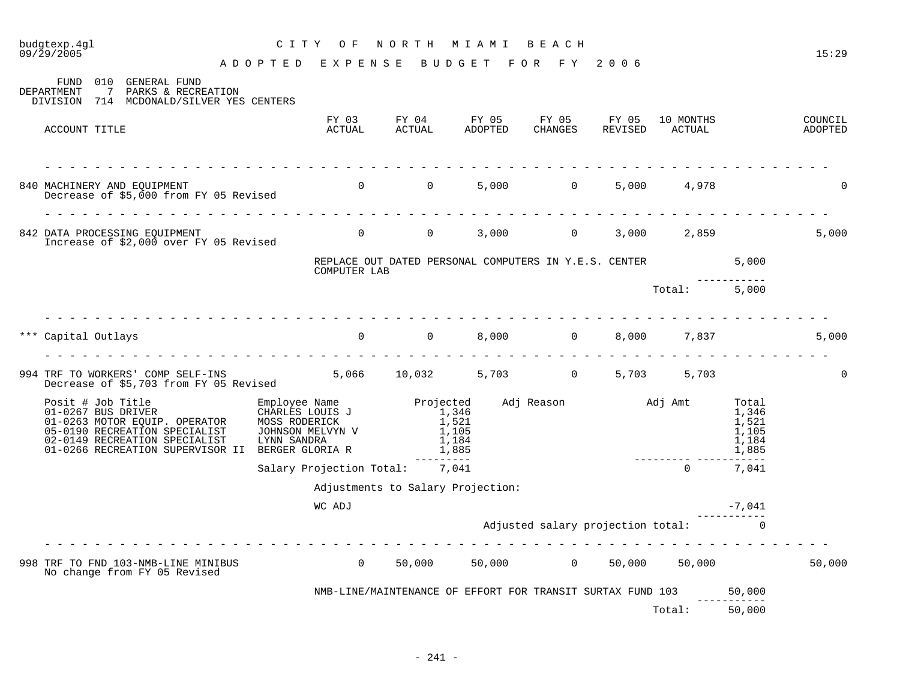| 09/29/2005                                                                                                                      | ADOPTED EXPENSE BUDGET FOR FY 2006 |                                                                            |                                     |                     |                                                    | 15:29              |
|---------------------------------------------------------------------------------------------------------------------------------|------------------------------------|----------------------------------------------------------------------------|-------------------------------------|---------------------|----------------------------------------------------|--------------------|
| FUND 010 GENERAL FUND<br>7 PARKS & RECREATION<br><b>DEPARTMENT</b><br>DIVISION 714 MCDONALD/SILVER YES CENTERS                  |                                    |                                                                            |                                     |                     |                                                    |                    |
| ACCOUNT TITLE                                                                                                                   |                                    | FY 03 FY 04 FY 05 FY 05 FY 05<br>ACTUAL ACTUAL ADOPTED CHANGES REVISED     |                                     | 10 MONTHS<br>ACTUAL |                                                    | COUNCIL<br>ADOPTED |
| 840 MACHINERY AND EQUIPMENT<br>Decrease of \$5,000 from FY 05 Revised                                                           |                                    |                                                                            | 5,000 0                             | 5,000 4,978         |                                                    |                    |
| 842 DATA PROCESSING EQUIPMENT<br>Increase of \$2,000 over FY 05 Revised<br>Increase of \$2,000 over FY 05 Revised               |                                    | $\overline{0}$                                                             | 3,000 0 3,000 2,859                 |                     |                                                    | 5,000              |
|                                                                                                                                 | COMPUTER LAB                       | REPLACE OUT DATED PERSONAL COMPUTERS IN Y.E.S. CENTER 5,000                |                                     |                     |                                                    |                    |
|                                                                                                                                 |                                    |                                                                            |                                     | Total: 5,000        |                                                    |                    |
| die die die die die die die die d<br>*** Capital Outlays                                                                        |                                    | $\overline{0}$ 0                                                           | 8,000 0 8,000 7,837                 |                     |                                                    | 5,000              |
| 994 TRF TO WORKERS' COMP SELF-INS 5,066 10,032 5,703 0 5,703 5,703<br>Decrease of \$5,703 from FY 05 Revised 5,066 10,032 5,703 |                                    |                                                                            |                                     |                     |                                                    | $\Omega$           |
| 05-0190 RECREATION SPECIALIST<br>02-0149 RECREATION SPECIALIST<br>01-0266 RECREATION SUPERVISOR II BERGER GLORIA R              | JOHNSON MELVYN V<br>LYNN SANDRA    | Projected Adj Reason Madj Amt<br>1,346<br>1,521<br>1,105<br>1,184<br>1,885 |                                     |                     | Total<br>1,346<br>1,521<br>1,105<br>1,184<br>1,885 |                    |
|                                                                                                                                 | Salary Projection Total: 7,041     | ---------                                                                  |                                     | $\Omega$            | $\frac{1}{2}$<br>7,041                             |                    |
|                                                                                                                                 |                                    | Adjustments to Salary Projection:                                          |                                     |                     |                                                    |                    |
|                                                                                                                                 | WC ADJ                             |                                                                            |                                     |                     | $-7,041$                                           |                    |
|                                                                                                                                 |                                    |                                                                            | Adjusted salary projection total: 0 |                     |                                                    |                    |
| 998 TRF TO FND 103-NMB-LINE MINIBUS<br>No change from FY 05 Revised                                                             |                                    | 50,000 50,000 0 50,000 50,000                                              |                                     |                     |                                                    | 50,000             |
|                                                                                                                                 |                                    | NMB-LINE/MAINTENANCE OF EFFORT FOR TRANSIT SURTAX FUND 103                 |                                     |                     | 50,000                                             |                    |
|                                                                                                                                 |                                    |                                                                            |                                     | Total:              | -----------<br>50,000                              |                    |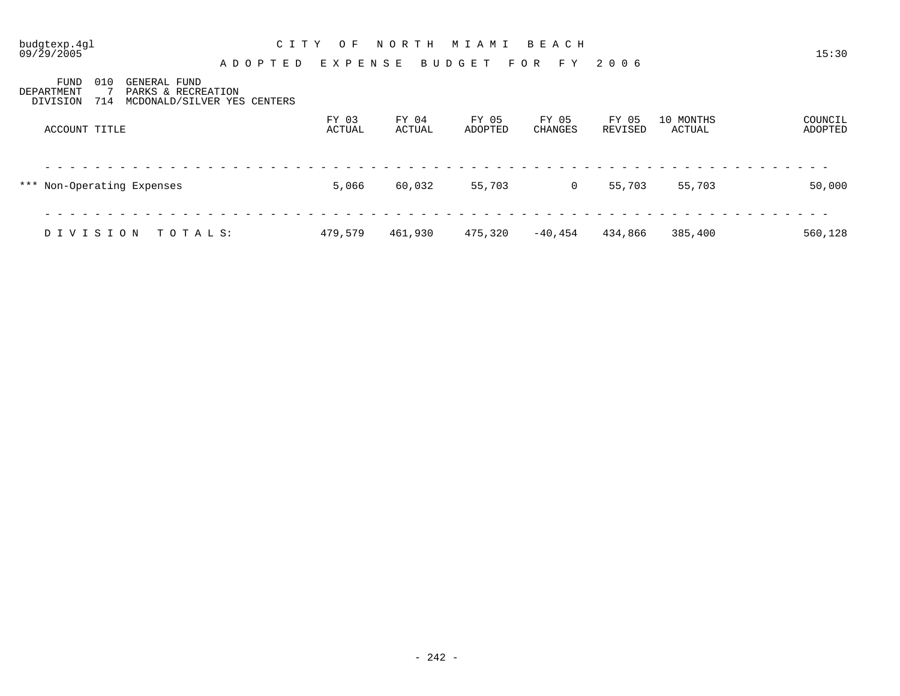09/29/2005 15:30 A D O P T E D E X P E N S E B U D G E T F O R F Y 2 0 0 6

| FUND<br>010<br>GENERAL FUND<br>PARKS & RECREATION<br>DEPARTMENT<br>MCDONALD/SILVER YES CENTERS<br>714<br>DIVISION |                 |                 |                  |                  |                  |                     |                    |
|-------------------------------------------------------------------------------------------------------------------|-----------------|-----------------|------------------|------------------|------------------|---------------------|--------------------|
| ACCOUNT TITLE                                                                                                     | FY 03<br>ACTUAL | FY 04<br>ACTUAL | FY 05<br>ADOPTED | FY 05<br>CHANGES | FY 05<br>REVISED | 10 MONTHS<br>ACTUAL | COUNCIL<br>ADOPTED |
| *** Non-Operating Expenses                                                                                        | 5,066           | 60,032          | 55,703           | 0                | 55,703           | 55,703              | 50,000             |
| DIVISION<br>TOTALS:                                                                                               | 479.579         | 461,930         | 475,320          | -40,454          | 434,866          | 385,400             | 560,128            |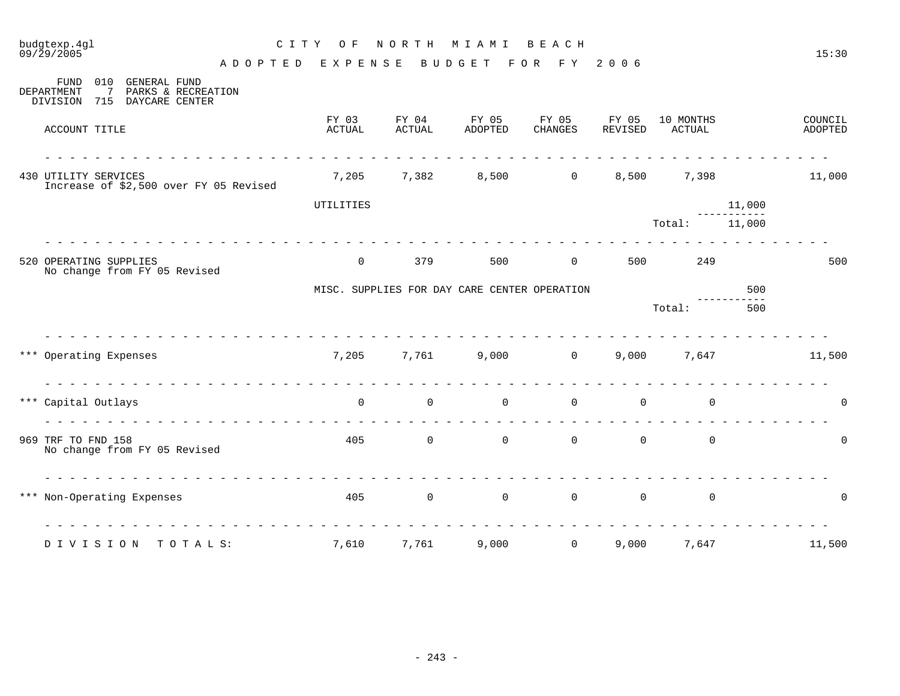| budgtexp.4gl<br>09/29/2005                                                                                           | C I T Y<br>O F                                     | NORTH           | M I A M I                                    | BEACH                            |                  |                     |        | 15:30              |
|----------------------------------------------------------------------------------------------------------------------|----------------------------------------------------|-----------------|----------------------------------------------|----------------------------------|------------------|---------------------|--------|--------------------|
| <b>FUND</b><br>010<br><b>GENERAL FUND</b><br>DEPARTMENT<br>7<br>PARKS & RECREATION<br>DIVISION 715<br>DAYCARE CENTER | A D O P T E D<br>EXPENSE                           |                 | BUDGET                                       | FOR FY 2006                      |                  |                     |        |                    |
| ACCOUNT TITLE                                                                                                        | FY 03<br>ACTUAL                                    | FY 04<br>ACTUAL | FY 05<br>ADOPTED                             | FY 05<br>CHANGES                 | FY 05<br>REVISED | 10 MONTHS<br>ACTUAL |        | COUNCIL<br>ADOPTED |
| 430 UTILITY SERVICES<br>Increase of \$2,500 over FY 05 Revised                                                       |                                                    | 7,205 7,382     |                                              | 8,500 0                          | 8,500            | 7,398               |        | 11,000             |
|                                                                                                                      | UTILITIES                                          |                 |                                              |                                  |                  |                     | 11,000 |                    |
|                                                                                                                      |                                                    |                 |                                              |                                  |                  | Total:              | 11,000 |                    |
| 520 OPERATING SUPPLIES<br>No change from FY 05 Revised                                                               | $\overline{0}$                                     | 379             | 500                                          | $\overline{0}$                   | 500              | 249                 |        | 500                |
|                                                                                                                      |                                                    |                 | MISC. SUPPLIES FOR DAY CARE CENTER OPERATION |                                  |                  |                     | 500    |                    |
|                                                                                                                      |                                                    |                 |                                              |                                  |                  | Total:              | 500    |                    |
| *** Operating Expenses                                                                                               |                                                    | 7,205 7,761     |                                              | $9,000$ 0                        | 9,000            | 7,647               |        | 11,500             |
| *** Capital Outlays                                                                                                  | $\overline{0}$                                     | $\mathsf{O}$    | $\mathbf 0$                                  | $\mathbf 0$                      | $\mathsf{O}$     | $\mathbf 0$         |        | $\mathbf 0$        |
| 969 TRF TO FND 158<br>No change from FY 05 Revised                                                                   | 405                                                |                 | $\overline{0}$                               | $\overline{0}$<br>$\overline{0}$ | $\overline{0}$   | $\Omega$            |        | $\mathbf 0$        |
| *** Non-Operating Expenses                                                                                           | <u> 2 2 2 2 2 2 2 2 2 2 2 2 2 2 2 2 2 2</u><br>405 | $\overline{0}$  | $\overline{0}$                               | $\overline{0}$                   | $\overline{0}$   | $\mathbf 0$         |        | $\Omega$           |
| DIVISION<br>TOTALS:                                                                                                  | 7,610                                              | 7,761           | 9,000                                        | $\Omega$                         | 9,000            | 7,647               |        | 11,500             |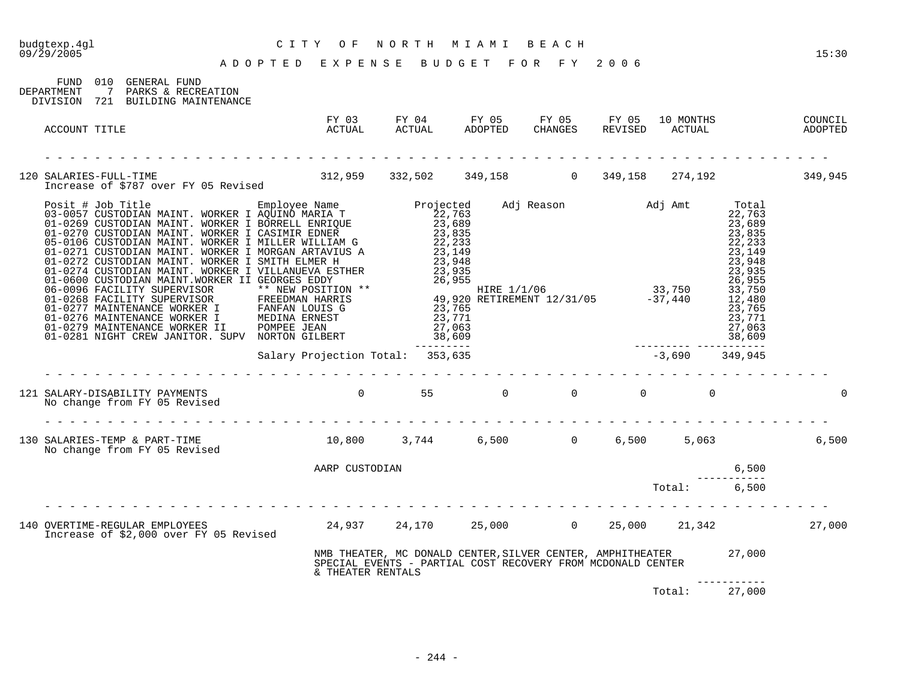| budgtexp.4gl<br>09/29/2005 | CITY OF NORTH MIAMI BEACH<br>ADOPTED EXPENSE BUDGET FOR FY 2006                                                                                                  |                                                                                                                    |  |  |                  |        | 15:30    |
|----------------------------|------------------------------------------------------------------------------------------------------------------------------------------------------------------|--------------------------------------------------------------------------------------------------------------------|--|--|------------------|--------|----------|
|                            | FUND 010 GENERAL FUND<br>DEPARTMENT 7 PARKS & RECREATION<br>DIVISION 721 BUILDING MAINTENANCE                                                                    |                                                                                                                    |  |  |                  |        |          |
|                            | ACCOUNT TITLE                                                                                                                                                    |                                                                                                                    |  |  |                  |        |          |
|                            | 120 SALARIES-FULL-TIME<br>Increase of \$787 over FY 05 Revised 312,959 332,502 349,158 0 349,158 274,192 349,945                                                 |                                                                                                                    |  |  |                  |        |          |
|                            |                                                                                                                                                                  |                                                                                                                    |  |  |                  |        |          |
|                            |                                                                                                                                                                  | FANFAN LOUIS G<br>MEDINA ERNEST<br>POMPEE JEAN 27,063<br>NORTON GILBERT 38,609<br>Salary Projection Total: 353,635 |  |  |                  |        |          |
|                            |                                                                                                                                                                  | .                                                                                                                  |  |  | $-3,690$ 349,945 |        |          |
|                            | 121 SALARY-DISABILITY PAYMENTS<br>No change from FY 05 Revised                                                                                                   |                                                                                                                    |  |  |                  |        | $\Omega$ |
|                            |                                                                                                                                                                  |                                                                                                                    |  |  |                  |        | 6,500    |
|                            |                                                                                                                                                                  | AARP CUSTODIAN                                                                                                     |  |  |                  | 6,500  |          |
|                            |                                                                                                                                                                  |                                                                                                                    |  |  | Total:           | 6,500  |          |
|                            | 140 OVERTIME-REGULAR EMPLOYEES 24,937 24,170 25,000 0 25,000 25,000 21,342 27,000<br>Increase of \$2,000 over FY 05 Revised 24,937 24,170 25,000 0 25,000 25,000 |                                                                                                                    |  |  |                  |        |          |
|                            |                                                                                                                                                                  | & THEATER RENTALS                                                                                                  |  |  |                  |        |          |
|                            |                                                                                                                                                                  |                                                                                                                    |  |  | Total:           | 27,000 |          |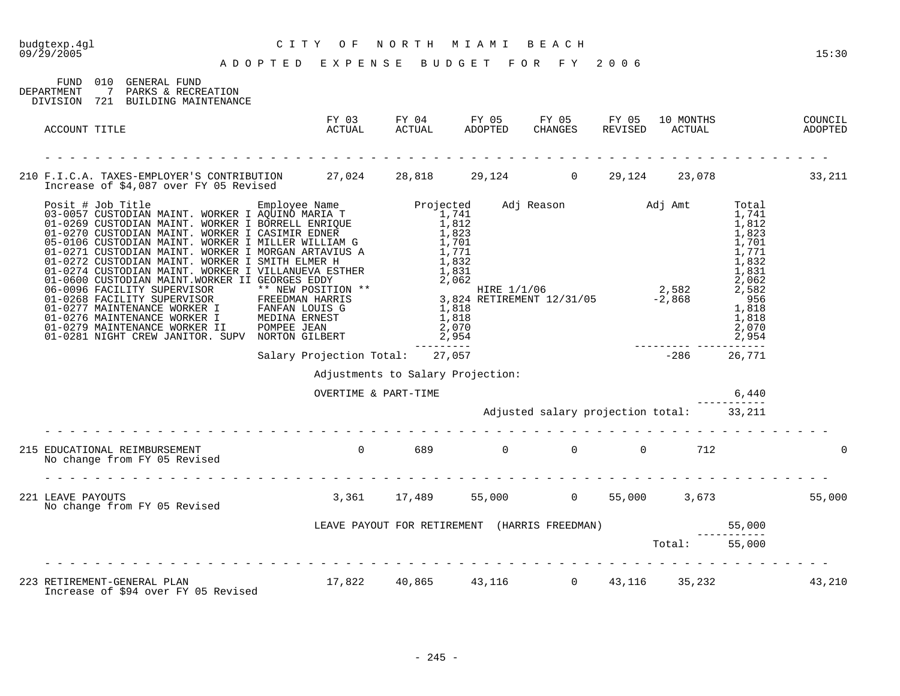| CITY OF NORTH MIAMI BEACH<br>ADOPTED EXPENSE BUDGET FOR FY 2006<br>budgtexp.4ql<br>09/29/2005                                    |                                                                                     |                                   |                                                                                                      |  |       | 15:30    |
|----------------------------------------------------------------------------------------------------------------------------------|-------------------------------------------------------------------------------------|-----------------------------------|------------------------------------------------------------------------------------------------------|--|-------|----------|
| FUND 010 GENERAL FUND<br>DEPARTMENT 7 PARKS & RECREATION<br>DIVISION 721 BUILDING MAINTENANCE                                    |                                                                                     |                                   |                                                                                                      |  |       |          |
| ACCOUNT TITLE                                                                                                                    |                                                                                     |                                   | FY 03 FY 04 FY 05 FY 05 FY 05 10 MONTHS COUNCIL ACTUAL ACTUAL ADOPTED CHANGES REVISED ACTUAL ADOPTED |  |       |          |
|                                                                                                                                  |                                                                                     |                                   |                                                                                                      |  |       |          |
| 210 F.I.C.A. TAXES-EMPLOYER'S CONTRIBUTION 27,024 28,818 29,124 0 29,124 23,078 33,211<br>Increase of \$4,087 over FY 05 Revised |                                                                                     |                                   |                                                                                                      |  |       |          |
|                                                                                                                                  |                                                                                     |                                   |                                                                                                      |  |       |          |
|                                                                                                                                  |                                                                                     |                                   |                                                                                                      |  |       |          |
|                                                                                                                                  |                                                                                     |                                   |                                                                                                      |  |       |          |
|                                                                                                                                  |                                                                                     | Adjustments to Salary Projection: |                                                                                                      |  |       |          |
|                                                                                                                                  |                                                                                     | OVERTIME & PART-TIME              |                                                                                                      |  | 6,440 |          |
|                                                                                                                                  |                                                                                     |                                   | Adjusted salary projection total: 33,211                                                             |  |       |          |
| 215 EDUCATIONAL REIMBURSEMENT<br>No change from FY 05 Revised                                                                    | $0$ 689 0 0 0 112                                                                   |                                   |                                                                                                      |  |       | $\Omega$ |
| 221 LEAVE PAYOUTS<br>No change from FY 05 Revised                                                                                |                                                                                     |                                   | 3,361 17,489 55,000 0 55,000 3,673 55,000                                                            |  |       |          |
|                                                                                                                                  | LEAVE PAYOUT FOR RETIREMENT (HARRIS FREEDMAN) 55,000<br>----------<br>Total: 55,000 |                                   |                                                                                                      |  |       |          |
|                                                                                                                                  |                                                                                     |                                   |                                                                                                      |  |       |          |
| 223 RETIREMENT-GENERAL PLAN<br>Increase of \$94 over FY 05 Revised                                                               |                                                                                     |                                   | 17,822 40,865 43,116 0 43,116 35,232 43,210                                                          |  |       |          |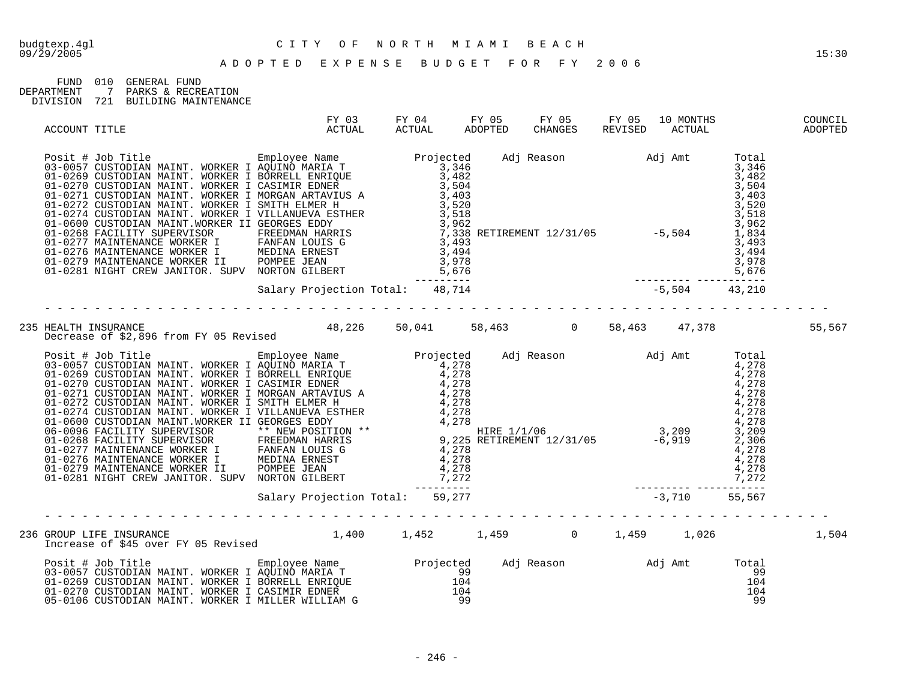FUND 010 GENERAL FUND DEPARTMENT 7 PARKS & RECREATION DIVISION 721 BUILDING MAINTENANCE

| ACCOUNT TITLE | FY 03<br>ACTUAL                                                                                                                                                                                                                      |  |  |  | 10 MONTHS<br>ACTUAL | COUNCIL<br>ADOPTED |
|---------------|--------------------------------------------------------------------------------------------------------------------------------------------------------------------------------------------------------------------------------------|--|--|--|---------------------|--------------------|
|               | Posit # Job Title MAINT, WORKER I ENGLAND MAIN To the Season and Adj Reason and Adj Amt Total 01-0267 CUSTODIAN MAINT, NORKER I BORRELL ENRIQUE 3,482<br>01-0269 CUSTODIAN MAINT, NORKER I GASIMAL EDNEY 3,482<br>01-0270 CUSTODIA   |  |  |  |                     |                    |
|               |                                                                                                                                                                                                                                      |  |  |  |                     |                    |
|               |                                                                                                                                                                                                                                      |  |  |  |                     | 55,567             |
|               | Pecules of 52,899 From PY 05 Revised<br>Footi 4 Job Title (Fig. 100) The Theory of Same Projected Adj Reason<br>03–0057 CUSTODIAN MAINT, MORKER I AQUINO PARTIA T<br>01–0259 CUSTODIAN MAINT, MORKER I MORKER INICION<br>01–0271 CUS |  |  |  |                     |                    |
|               |                                                                                                                                                                                                                                      |  |  |  |                     |                    |
|               |                                                                                                                                                                                                                                      |  |  |  |                     |                    |
|               | Posit # Job Title [105] Employee Name [107] Projected Adj Reason [107] Adj Amt Total [107] Projected Adj Reason<br>103-0057 CUSTODIAN MAINT. WORKER I BORRELL ENRIQUE [104 [104 [104 ]<br>104 [104 ] 104 [108] OJ-0270 CUSTODIAN MAI |  |  |  |                     |                    |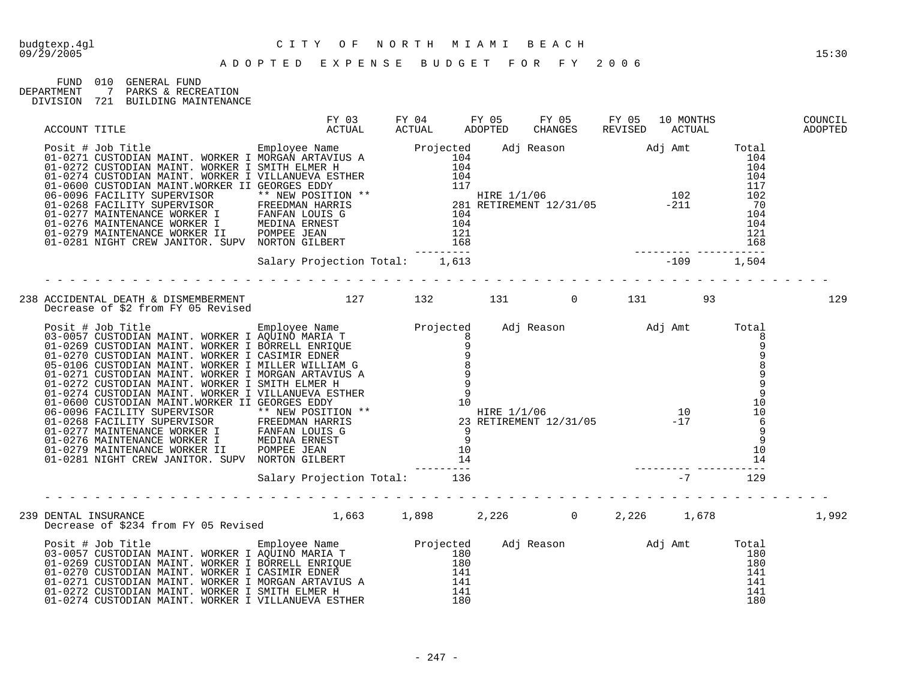FUND 010 GENERAL FUND DEPARTMENT 7 PARKS & RECREATION DIVISION 721 BUILDING MAINTENANCE

| ACCOUNT TITLE        |                                                                                                                                                                                                                                                                                                                                                                                                                                                                            | FY 03 FY 04 FY 05 FY 05 FY 05 10 MONTHS<br>ACTUAL ACTUAL ADOPTED CHANGES REVISED ACTUAL |  |  |                   | COUNCIL<br>ADOPTED |
|----------------------|----------------------------------------------------------------------------------------------------------------------------------------------------------------------------------------------------------------------------------------------------------------------------------------------------------------------------------------------------------------------------------------------------------------------------------------------------------------------------|-----------------------------------------------------------------------------------------|--|--|-------------------|--------------------|
|                      | ACCOUNT TILE POST HERE I MORE THE MATHEM AND THE MATHEM MATHEM AND TOTAL CONTROLL OF CONTROLL OF THE MATHEM AND THE SALE OF THE MATHEM AND THE SALE OF THE MATHEM AND THE SALE OF THE MATHEM AND THE SALE OF THE MATHEM AND TH<br>01-0277 MAINTENANCE WORKER I FANFAN LOUIS G<br>01-0277 MAINTENANCE WORKER I MEDINA ERNEST<br>01-0279 MAINTENANCE WORKER II POMPEE JEAN<br>01-0281 NIGHT CREW JANITOR. SUPV NORTON GILBERT<br>2104<br>01-0279 MAINTENANCE WORKER II POMPE |                                                                                         |  |  |                   |                    |
|                      |                                                                                                                                                                                                                                                                                                                                                                                                                                                                            |                                                                                         |  |  |                   |                    |
|                      | 238 ACCIDENTAL DEATH & DISMEMBERMENT<br>Decrease of \$2 from FY 05 Revised         127     132     131     0     131     93                                                                                                                                                                                                                                                                                                                                                |                                                                                         |  |  |                   | 129                |
|                      | Decrease of 52 from FY 05 KeVised<br>201-0269 CUSTODIAN MAINT. WORKER I AQUINO MARIA T<br>01-0269 CUSTODIAN MAINT. WORKER I AQUINO MARIA T<br>01-0270 CUSTODIAN MAINT. WORKER I CASIMIR EDNE<br>01-0270 CUSTODIAN MAINT. WORKER I CAS                                                                                                                                                                                                                                      |                                                                                         |  |  |                   |                    |
|                      |                                                                                                                                                                                                                                                                                                                                                                                                                                                                            |                                                                                         |  |  |                   |                    |
| 239 DENTAL INSURANCE | DENTAL INSURANCE<br>Decrease of \$234 from FY 05 Revised 1,663 1,898 2,226 1,226 1,226 1,678                                                                                                                                                                                                                                                                                                                                                                               |                                                                                         |  |  |                   | 1,992              |
|                      |                                                                                                                                                                                                                                                                                                                                                                                                                                                                            |                                                                                         |  |  | $\frac{180}{180}$ |                    |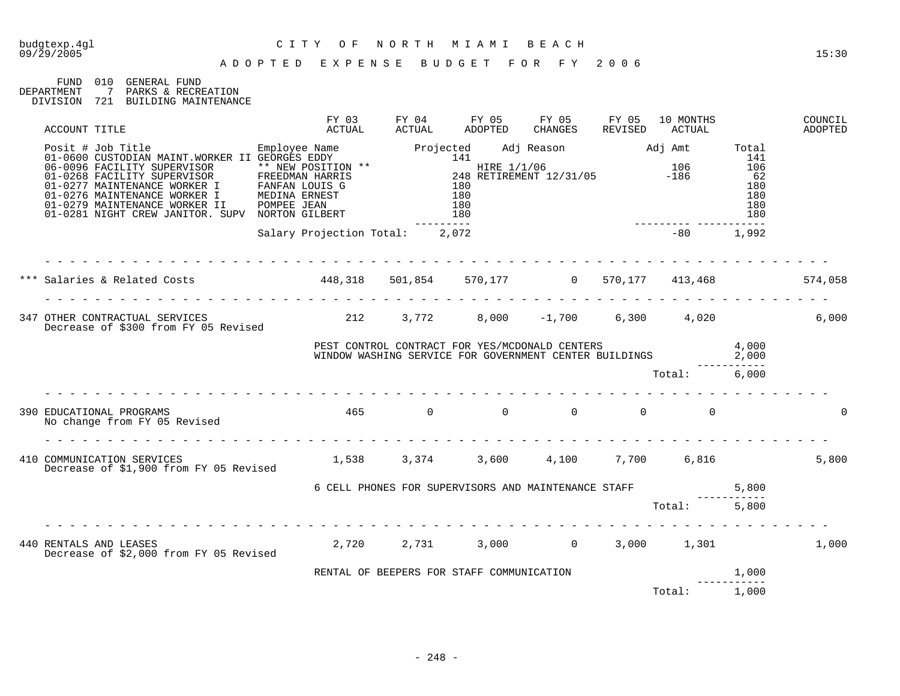### budgtexp.4gl C I T Y O F N O R T H M I A M I B E A C H

FUND 010 GENERAL FUND<br>DEPARTMENT 7 PARKS & RECRI DEPARTMENT 7 PARKS & RECREATION DIVISION 721 BUILDING MAINTENANCE

| ACCOUNT TITLE                                                                                                                                                                                                                         | FY 03<br>ACTUAL                                 | ACTUAL | FY 04 FY 05 FY 05 FY 05<br>ADOPTED                                                                                   | CHANGES REVISED | 10 MONTHS<br>ACTUAL | COUNCIL<br>ADOPTED |
|---------------------------------------------------------------------------------------------------------------------------------------------------------------------------------------------------------------------------------------|-------------------------------------------------|--------|----------------------------------------------------------------------------------------------------------------------|-----------------|---------------------|--------------------|
| Note: + 1-ob Title<br>01-0600 CUSTODIAN MAINT.WORKER II GEORGES EDDY<br>06-0096 FACILITY SUPERVISOR ** NEW POSITION ** 141<br>01-0268 FACILITY SUPERVISOR ** NEW POSITION ** 141<br>01-0277 MAINTENANCE WORKER I FANFAN LOUIS G 248 R |                                                 |        |                                                                                                                      |                 |                     |                    |
|                                                                                                                                                                                                                                       | Salary Projection Total: 2,072                  |        |                                                                                                                      |                 | $-80$ 1,992         |                    |
| *** Salaries & Related Costs           448,318   501,854   570,177      0  570,177   413,468        574,058                                                                                                                           |                                                 |        |                                                                                                                      |                 |                     |                    |
| 347 OTHER CONTRACTUAL SERVICES (212 3,772 8,000 -1,700 6,300 4,020<br>Decrease of \$300 from FY 05 Revised                                                                                                                            |                                                 |        |                                                                                                                      |                 |                     | 6,000              |
|                                                                                                                                                                                                                                       |                                                 |        | PEST CONTROL CONTRACT FOR YES/MCDONALD CENTERS 4,000<br>WINDOW WASHING SERVICE FOR GOVERNMENT CENTER BUILDINGS 2,000 |                 |                     |                    |
|                                                                                                                                                                                                                                       |                                                 |        |                                                                                                                      |                 | Total: 6,000        |                    |
| 390 EDUCATIONAL PROGRAMS<br>No change from FY 05 Revised                                                                                                                                                                              |                                                 |        | $465$ 0 0 0 0 0 0                                                                                                    |                 |                     |                    |
| 410 COMMUNICATION SERVICES<br>Decrease of \$1,900 from FY 05 Revised                                                                                                                                                                  | $1,538$ $3,374$ $3,600$ $4,100$ $7,700$ $6,816$ |        |                                                                                                                      |                 |                     | 5,800              |
|                                                                                                                                                                                                                                       |                                                 |        | 6 CELL PHONES FOR SUPERVISORS AND MAINTENANCE STAFF 5,800                                                            |                 |                     |                    |
|                                                                                                                                                                                                                                       |                                                 |        |                                                                                                                      |                 | Total: 5,800        |                    |
| 440 RENTALS AND LEASES<br>Decrease of \$2,000 from FY 05 Revised                                                                                                                                                                      | $2,720$ $2,731$ $3,000$ $0$ $3,000$ $1,301$     |        |                                                                                                                      |                 |                     | 1,000              |
|                                                                                                                                                                                                                                       |                                                 |        |                                                                                                                      |                 |                     |                    |
|                                                                                                                                                                                                                                       |                                                 |        |                                                                                                                      |                 | Total: 1,000        |                    |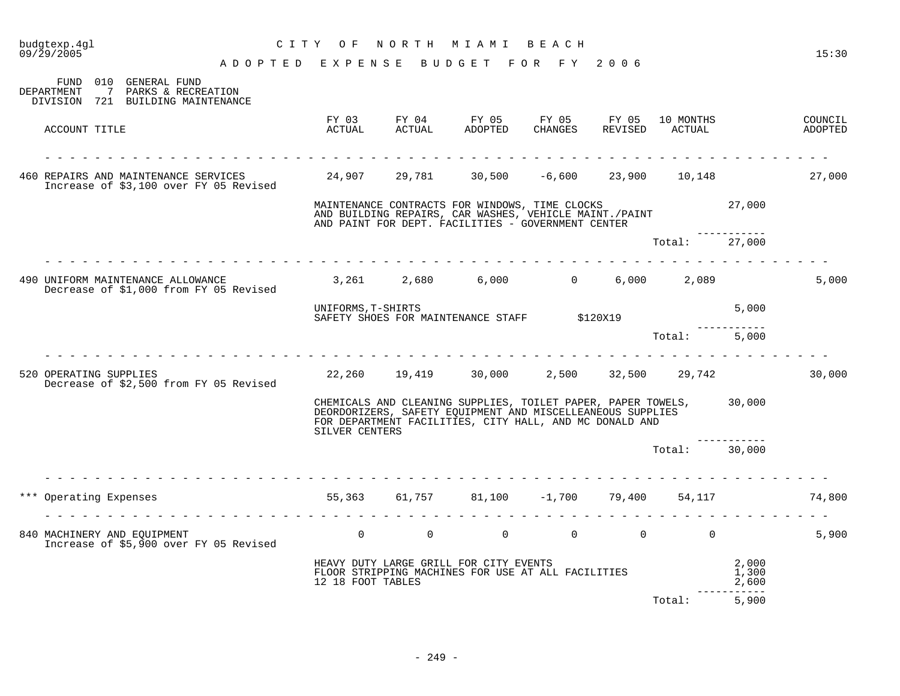| budgtexp.4gl<br>09/29/2005 |                                                                                                    | CITY OF                            |                | NORTH MIAMI BEACH                                                                                                                                                                            |                        |                |                                              |                         | 15:30              |
|----------------------------|----------------------------------------------------------------------------------------------------|------------------------------------|----------------|----------------------------------------------------------------------------------------------------------------------------------------------------------------------------------------------|------------------------|----------------|----------------------------------------------|-------------------------|--------------------|
|                            |                                                                                                    | ADOPTED EXPENSE BUDGET FOR FY 2006 |                |                                                                                                                                                                                              |                        |                |                                              |                         |                    |
| DEPARTMENT                 | FUND 010 GENERAL FUND<br>PARKS & RECREATION<br>$\overline{7}$<br>DIVISION 721 BUILDING MAINTENANCE |                                    |                |                                                                                                                                                                                              |                        |                |                                              |                         |                    |
|                            | ACCOUNT TITLE                                                                                      | FY 03<br>ACTUAL                    | ACTUAL         | FY 04 FY 05<br>ADOPTED                                                                                                                                                                       | FY 05 FY 05<br>CHANGES | REVISED        | 10 MONTHS<br>ACTUAL                          |                         | COUNCIL<br>ADOPTED |
|                            |                                                                                                    |                                    |                |                                                                                                                                                                                              |                        |                |                                              |                         |                    |
|                            | 460 REPAIRS AND MAINTENANCE SERVICES 24,907 29,781<br>Increase of \$3,100 over FY 05 Revised       |                                    |                |                                                                                                                                                                                              | $30,500 -6,600$        | 23,900         |                                              | 10,148                  | 27,000             |
|                            |                                                                                                    |                                    |                | MAINTENANCE CONTRACTS FOR WINDOWS, TIME CLOCKS<br>AND BUILDING REPAIRS, CAR WASHES, VEHICLE MAINT./PAINT<br>AND PAINT FOR DEPT. FACILITIES - GOVERNMENT CENTER                               |                        |                |                                              | 27,000                  |                    |
|                            |                                                                                                    |                                    |                |                                                                                                                                                                                              |                        |                | Total: 27,000                                |                         |                    |
|                            | 490 UNIFORM MAINTENANCE ALLOWANCE<br>Decrease of \$1,000 from FY 05 Revised                        |                                    |                | $3,261$ $2,680$ $6,000$ $0$ $6,000$ $2,089$                                                                                                                                                  |                        |                |                                              |                         | 5,000              |
|                            |                                                                                                    | UNIFORMS, T-SHIRTS                 |                | SAFETY SHOES FOR MAINTENANCE STAFF \$120X19                                                                                                                                                  |                        |                |                                              | 5,000                   |                    |
|                            |                                                                                                    |                                    |                |                                                                                                                                                                                              |                        |                | Total:                                       | 5,000                   |                    |
|                            | 520 OPERATING SUPPLIES<br>Decrease of \$2,500 from FY 05 Revised                                   |                                    | 22,260 19,419  | 30,000                                                                                                                                                                                       |                        |                | 2,500 32,500 29,742                          |                         | 30,000             |
|                            |                                                                                                    | SILVER CENTERS                     |                | CHEMICALS AND CLEANING SUPPLIES, TOILET PAPER, PAPER TOWELS, 30,000<br>DEORDORIZERS, SAFETY EQUIPMENT AND MISCELLEANEOUS SUPPLIES<br>FOR DEPARTMENT FACILITIES, CITY HALL, AND MC DONALD AND |                        |                |                                              |                         |                    |
|                            |                                                                                                    |                                    |                |                                                                                                                                                                                              |                        |                | Total: 30,000                                |                         |                    |
|                            | *** Operating Expenses                                                                             | 55,363<br>.                        | 61,757         |                                                                                                                                                                                              | $81,100 -1,700$        | 79,400         | 54,117                                       |                         | 74,800             |
|                            | 840 MACHINERY AND EQUIPMENT<br>Increase of \$5,900 over FY 05 Revised                              | $\Omega$                           | $\overline{0}$ | $\Omega$                                                                                                                                                                                     |                        | $\overline{0}$ | $\begin{matrix} 0 & 0 \\ 0 & 0 \end{matrix}$ |                         | 5,900              |
|                            |                                                                                                    | 12 18 FOOT TABLES                  |                | HEAVY DUTY LARGE GRILL FOR CITY EVENTS<br>FLOOR STRIPPING MACHINES FOR USE AT ALL FACILITIES                                                                                                 |                        |                |                                              | 2,000<br>1,300<br>2,600 |                    |
|                            |                                                                                                    |                                    |                |                                                                                                                                                                                              |                        |                | Total:                                       | --------<br>5,900       |                    |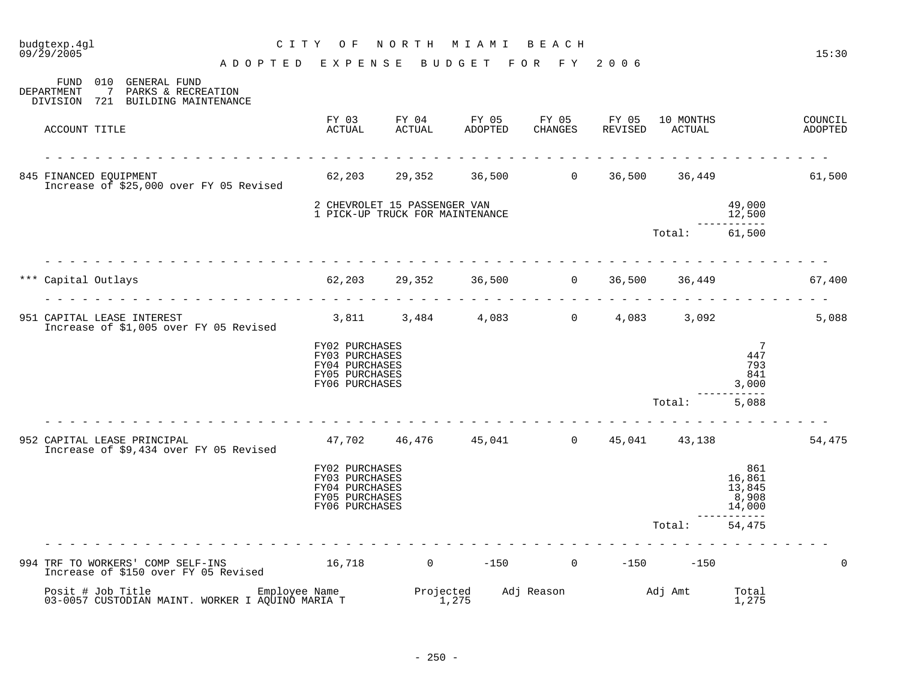| budgtexp.4gl<br>09/29/2005   |                                                                                                                                                                                                                       | C I T Y<br>O F                                                                         | NORTH MIAMI                  |                                                | BEACH               |                  |                     |                                              | 15:30              |
|------------------------------|-----------------------------------------------------------------------------------------------------------------------------------------------------------------------------------------------------------------------|----------------------------------------------------------------------------------------|------------------------------|------------------------------------------------|---------------------|------------------|---------------------|----------------------------------------------|--------------------|
|                              |                                                                                                                                                                                                                       | ADOPTED EXPENSE                                                                        |                              | BUDGET FOR FY 2006                             |                     |                  |                     |                                              |                    |
| DEPARTMENT<br>$7\phantom{0}$ | FUND 010 GENERAL FUND<br>PARKS & RECREATION<br>DIVISION 721 BUILDING MAINTENANCE                                                                                                                                      |                                                                                        |                              |                                                |                     |                  |                     |                                              |                    |
| ACCOUNT TITLE                |                                                                                                                                                                                                                       | FY 03<br>ACTUAL                                                                        | FY 04<br>ACTUAL              | FY 05<br>ADOPTED CHANGES                       | FY 05               | FY 05<br>REVISED | 10 MONTHS<br>ACTUAL |                                              | COUNCIL<br>ADOPTED |
| 845 FINANCED EQUIPMENT       | Increase of \$25,000 over FY 05 Revised                                                                                                                                                                               |                                                                                        |                              | $62,203$ $29,352$ $36,500$ 0                   |                     | 36,500           |                     |                                              | 36,449 61,500      |
|                              |                                                                                                                                                                                                                       | 1 PICK-UP TRUCK FOR MAINTENANCE                                                        | 2 CHEVROLET 15 PASSENGER VAN |                                                |                     |                  |                     | 49,000<br>12,500                             |                    |
|                              |                                                                                                                                                                                                                       |                                                                                        |                              |                                                |                     |                  | Total:              | ---------<br>61,500                          |                    |
| Capital Outlays              |                                                                                                                                                                                                                       | 62,203 29,352 36,500 0                                                                 |                              |                                                |                     |                  | 36,500 36,449       |                                              | 67,400             |
| 951 CAPITAL LEASE INTEREST   | Increase of \$1,005 over FY 05 Revised                                                                                                                                                                                | $3,811$ $3,484$ $4,083$ 0 $4,083$ $3,092$                                              |                              |                                                |                     |                  |                     |                                              | 5,088              |
|                              |                                                                                                                                                                                                                       | FY02 PURCHASES<br>FY03 PURCHASES<br>FY04 PURCHASES<br>FY05 PURCHASES<br>FY06 PURCHASES |                              |                                                |                     |                  |                     | $\overline{7}$<br>447<br>793<br>841<br>3,000 |                    |
|                              |                                                                                                                                                                                                                       |                                                                                        |                              |                                                |                     |                  | Total:              | 5,088                                        |                    |
| 952 CAPITAL LEASE PRINCIPAL  | Increase of \$9,434 over FY 05 Revised                                                                                                                                                                                |                                                                                        |                              | $47,702$ $46,476$ $45,041$ 0 $45,041$ $43,138$ |                     |                  |                     |                                              | 54,475             |
|                              |                                                                                                                                                                                                                       | FY02 PURCHASES<br>FY03 PURCHASES<br>FY04 PURCHASES<br>FY05 PURCHASES<br>FY06 PURCHASES |                              |                                                |                     |                  |                     | 861<br>16,861<br>13,845<br>8,908<br>14,000   |                    |
|                              |                                                                                                                                                                                                                       |                                                                                        |                              |                                                |                     |                  | Total:              | -------<br>54,475                            |                    |
|                              | TRF TO WORKERS' COMP SELF-INS         16,718       0    -150      0    -150     -150<br>Increase of \$150 over FY 05 Revised       16,718       0    -150      0   -150     -150<br>994 TRF TO WORKERS' COMP SELF-INS |                                                                                        |                              |                                                |                     |                  |                     |                                              | $\Omega$           |
|                              | Posit # Job Title Employee Name Projected<br>03-0057 CUSTODIAN MAINT. WORKER I AQUINO MARIA T 1,275                                                                                                                   |                                                                                        |                              |                                                | Adj Reason Madj Amt |                  |                     | Total<br>1,275                               |                    |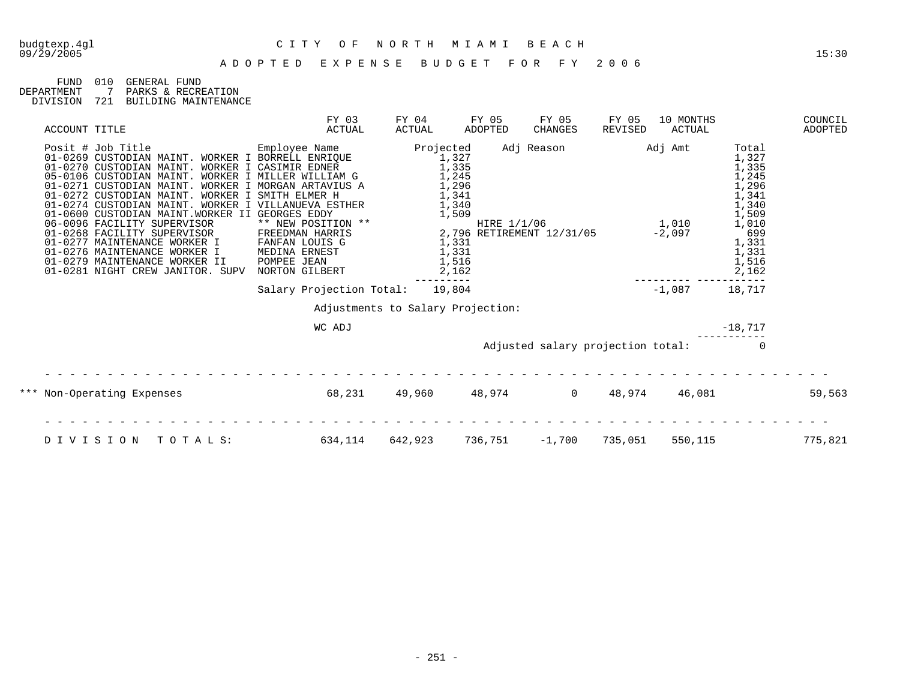| FIJND.     | 01 O | GENERAL FIIND        |
|------------|------|----------------------|
| DEPARTMENT |      | 7 PARKS & RECREATION |
| DIVISION   | 721  | BUILDING MAINTENANCE |

| ACCOUNT TITLE                                                                                                                                                                                                                                                                                                                                                                                                                                                                                                                                                                                                                                                                      | FY 03<br>ACTUAL                   | FY 04<br>ACTUAL                                                                                              | FY 05<br>ADOPTED | FY 05<br><b>CHANGES</b>                                                 | FY 05<br>REVISED | 10 MONTHS<br>ACTUAL |                                                                                                                                 | COUNCIL<br>ADOPTED |
|------------------------------------------------------------------------------------------------------------------------------------------------------------------------------------------------------------------------------------------------------------------------------------------------------------------------------------------------------------------------------------------------------------------------------------------------------------------------------------------------------------------------------------------------------------------------------------------------------------------------------------------------------------------------------------|-----------------------------------|--------------------------------------------------------------------------------------------------------------|------------------|-------------------------------------------------------------------------|------------------|---------------------|---------------------------------------------------------------------------------------------------------------------------------|--------------------|
| Posit # Job Title<br>Employee Name<br>01-0269 CUSTODIAN MAINT. WORKER I BORRELL ENRIOUE<br>01-0270 CUSTODIAN MAINT. WORKER I CASIMIR EDNER<br>05-0106 CUSTODIAN MAINT. WORKER I MILLER WILLIAM G<br>01-0271 CUSTODIAN MAINT. WORKER I MORGAN ARTAVIUS A<br>01-0272 CUSTODIAN MAINT. WORKER I SMITH ELMER H<br>01-0274 CUSTODIAN MAINT. WORKER I VILLANUEVA ESTHER<br>01-0600 CUSTODIAN MAINT.WORKER II GEORGES EDDY<br>06-0096 FACILITY SUPERVISOR<br>01-0268 FACILITY SUPERVISOR FREEDMAN HARRIS<br>01-0277 MAINTENANCE WORKER I FANFAN LOUIS G<br>01-0276 MAINTENANCE WORKER I MEDINA ERNEST<br>01-0279 MAINTENANCE WORKER II<br>01-0281 NIGHT CREW JANITOR. SUPV NORTON GILBERT | ** NEW POSITION **<br>POMPEE JEAN | Projected<br>1,327<br>1,335<br>1,245<br>1,296<br>1,341<br>1,340<br>1,509<br>1,331<br>1,331<br>1,516<br>2,162 |                  | Adj Reason<br>HIRE $1/1/06$ $1,010$<br>2,796 RETIREMENT 12/31/05 -2,097 |                  | Adj Amt             | Total<br>1,327<br>1,335<br>1,245<br>1,296<br>1,341<br>1,340<br>1,509<br>$\frac{1,010}{699}$<br>1,331<br>1,331<br>1,516<br>2,162 |                    |
|                                                                                                                                                                                                                                                                                                                                                                                                                                                                                                                                                                                                                                                                                    | Salary Projection Total:          | 19,804                                                                                                       |                  |                                                                         |                  | $-1.087$            | 18,717                                                                                                                          |                    |
|                                                                                                                                                                                                                                                                                                                                                                                                                                                                                                                                                                                                                                                                                    |                                   | Adjustments to Salary Projection:                                                                            |                  |                                                                         |                  |                     |                                                                                                                                 |                    |
|                                                                                                                                                                                                                                                                                                                                                                                                                                                                                                                                                                                                                                                                                    | WC ADJ                            |                                                                                                              |                  |                                                                         |                  |                     | $-18,717$                                                                                                                       |                    |
|                                                                                                                                                                                                                                                                                                                                                                                                                                                                                                                                                                                                                                                                                    |                                   |                                                                                                              |                  | Adjusted salary projection total:                                       |                  |                     |                                                                                                                                 |                    |
| *** Non-Operating Expenses                                                                                                                                                                                                                                                                                                                                                                                                                                                                                                                                                                                                                                                         | 68,231                            | 49,960                                                                                                       |                  | 48,974 0                                                                | 48,974           | 46,081              |                                                                                                                                 | 59,563             |
| DIVISION<br>TOTALS:                                                                                                                                                                                                                                                                                                                                                                                                                                                                                                                                                                                                                                                                | 634,114                           | 642,923                                                                                                      | 736,751          | $-1,700$                                                                | 735,051          | 550,115             |                                                                                                                                 | 775,821            |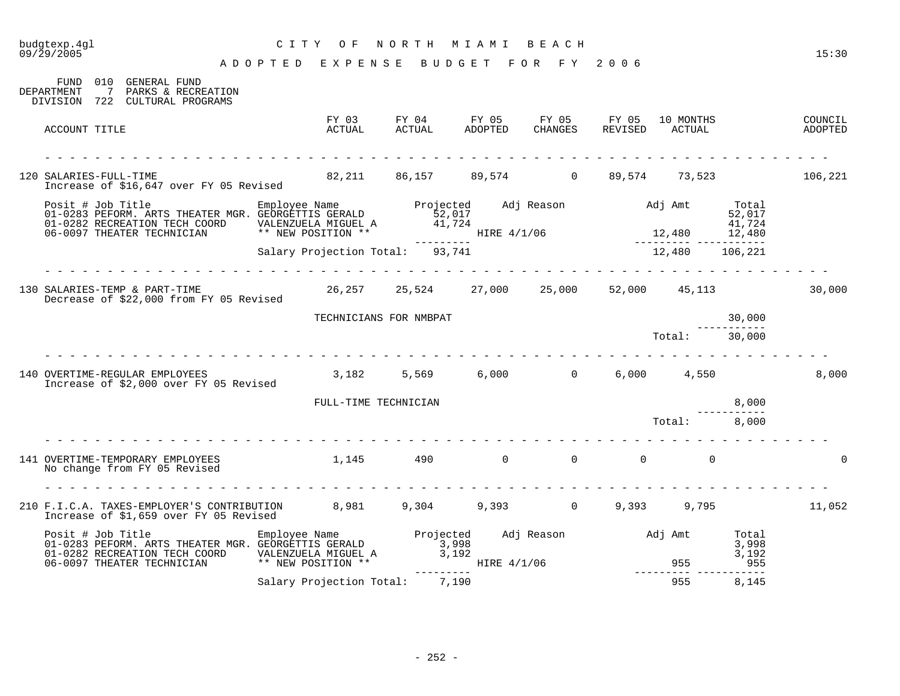| budgtexp.4gl<br>09/29/2005                                                                                                                                                                                                            | CITY OF                                      | NORTH                                                 | M I A M I | BEACH          |                                         |               |        | 15:30              |
|---------------------------------------------------------------------------------------------------------------------------------------------------------------------------------------------------------------------------------------|----------------------------------------------|-------------------------------------------------------|-----------|----------------|-----------------------------------------|---------------|--------|--------------------|
|                                                                                                                                                                                                                                       | ADOPTED EXPENSE BUDGET FOR FY 2006           |                                                       |           |                |                                         |               |        |                    |
| FUND 010 GENERAL FUND<br>7 PARKS & RECREATION<br><b>DEPARTMENT</b><br>DIVISION 722 CULTURAL PROGRAMS                                                                                                                                  |                                              |                                                       |           |                |                                         |               |        |                    |
| ACCOUNT TITLE                                                                                                                                                                                                                         |                                              |                                                       |           |                |                                         |               |        | COUNCIL<br>ADOPTED |
| .<br>120 SALARIES-FULL-TIME<br>Increase of \$16,647 over FY 05 Revised                                                                                                                                                                | 82,211 86,157 89,574 0 89,574 73,523 106,221 |                                                       |           |                |                                         |               |        |                    |
| Posit # Job Title Employee Name Projected Adj Reason Adj Amt Total<br>01-0283 PEFORM. ARTS THEATER MGR. GEORGETTIS GERALD 52,017<br>01-0282 RECREATION TECH COORD VALENZUELA MIGUEL A 41,724<br>06-0097 THEATER TECHNICIAN ** NEW PO  |                                              |                                                       |           |                |                                         |               |        |                    |
|                                                                                                                                                                                                                                       |                                              |                                                       |           |                |                                         |               |        |                    |
| 130 SALARIES-TEMP & PART-TIME<br>Decrease of \$22,000 from FY 05 Revised                                                                                                                                                              |                                              | $26,257$ $25,524$ $27,000$ $25,000$ $52,000$ $45,113$ |           |                |                                         |               |        | 30,000             |
|                                                                                                                                                                                                                                       |                                              | TECHNICIANS FOR NMBPAT                                |           |                |                                         |               | 30,000 |                    |
|                                                                                                                                                                                                                                       |                                              |                                                       |           |                |                                         | Total: 30,000 |        |                    |
| 140 OVERTIME-REGULAR EMPLOYEES<br>Increase of \$2,000 over FY 05 Revised                                                                                                                                                              |                                              | $3,182$ $5,569$ $6,000$ 0 $6,000$ $4,550$             |           |                |                                         |               |        | 8,000              |
|                                                                                                                                                                                                                                       | FULL-TIME TECHNICIAN                         |                                                       |           |                |                                         |               | 8,000  |                    |
|                                                                                                                                                                                                                                       |                                              |                                                       |           |                |                                         | Total:        | 8,000  |                    |
| 141 OVERTIME-TEMPORARY EMPLOYEES<br>No change from FY 05 Revised                                                                                                                                                                      | 1,145 490                                    |                                                       |           | $\overline{0}$ | $\begin{matrix} 0 & 0 & 0 \end{matrix}$ |               |        | $\Omega$           |
| 210 F.I.C.A. TAXES-EMPLOYER'S CONTRIBUTION 8,981 9,304 9,393 0 9,393 9,795 11,052<br>Increase of \$1,659 over FY 05 Revised                                                                                                           |                                              |                                                       |           |                |                                         |               |        |                    |
| Posit # Job Title [105] Employee Name [105] Projected Adj Reason [107] Adj Amt [107] Posit # Job Title [107] Employee Name [107] Projected Adj Reason [107] Adj Amt [107] $\frac{3}{998}$<br>1998 [107] Projected Adj Reason [107] Ad |                                              |                                                       |           |                |                                         |               |        |                    |
|                                                                                                                                                                                                                                       | Salary Projection Total: 7,190               |                                                       |           |                |                                         | 955           | 8,145  |                    |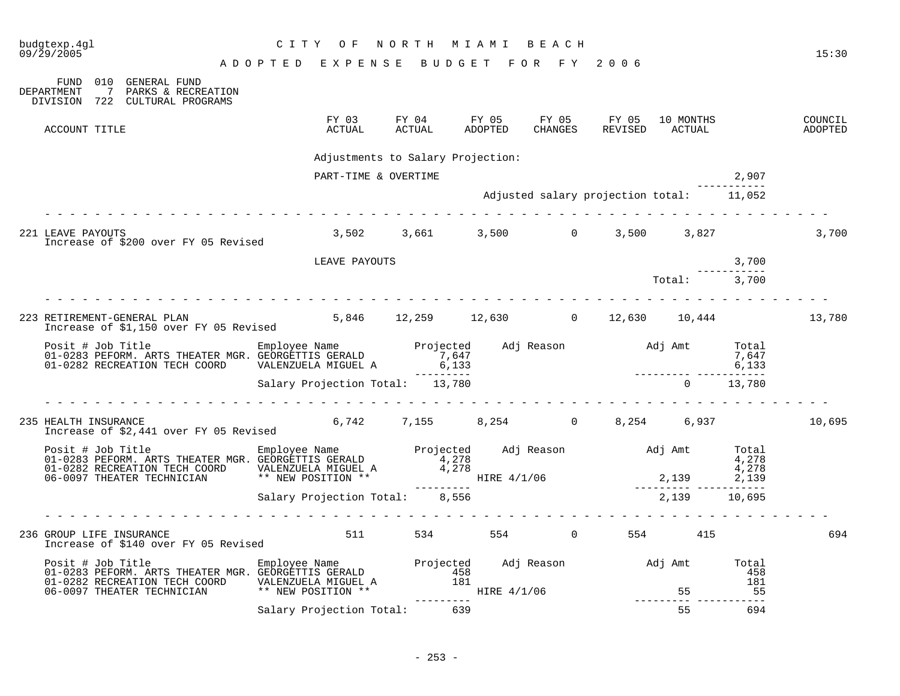| budgtexp.4gl<br>09/29/2005                                                                                                                                                                                                           | CITY OF                            | N O R T H | MIAMI BEACH                                                                                                                                   |         |                                                      |                |                      | 15:30              |
|--------------------------------------------------------------------------------------------------------------------------------------------------------------------------------------------------------------------------------------|------------------------------------|-----------|-----------------------------------------------------------------------------------------------------------------------------------------------|---------|------------------------------------------------------|----------------|----------------------|--------------------|
|                                                                                                                                                                                                                                      | ADOPTED EXPENSE BUDGET FOR FY 2006 |           |                                                                                                                                               |         |                                                      |                |                      |                    |
| 010 GENERAL FUND<br>FUND<br>DEPARTMENT<br>7 PARKS & RECREATION<br>DIVISION 722 CULTURAL PROGRAMS                                                                                                                                     |                                    |           |                                                                                                                                               |         |                                                      |                |                      |                    |
| ACCOUNT TITLE                                                                                                                                                                                                                        | ACTUAL                             | ACTUAL    | ADOPTED                                                                                                                                       | CHANGES | FY 03 FY 04 FY 05 FY 05 FY 05 10 MONTHS              | REVISED ACTUAL |                      | COUNCIL<br>ADOPTED |
|                                                                                                                                                                                                                                      | Adjustments to Salary Projection:  |           |                                                                                                                                               |         |                                                      |                |                      |                    |
|                                                                                                                                                                                                                                      | PART-TIME & OVERTIME               |           |                                                                                                                                               |         |                                                      |                | 2,907                |                    |
|                                                                                                                                                                                                                                      |                                    |           |                                                                                                                                               |         | Adjusted salary projection total: 11,052             |                |                      |                    |
| 221 LEAVE PAYOUTS<br>Increase of \$200 over FY 05 Revised                                                                                                                                                                            |                                    |           |                                                                                                                                               |         | 3,502 3,661 3,500 0 3,500 3,827                      |                |                      | 3,700              |
|                                                                                                                                                                                                                                      | LEAVE PAYOUTS                      |           |                                                                                                                                               |         |                                                      |                | 3,700<br>----------- |                    |
|                                                                                                                                                                                                                                      |                                    |           |                                                                                                                                               |         |                                                      | Total: 3,700   |                      |                    |
|                                                                                                                                                                                                                                      |                                    |           |                                                                                                                                               |         |                                                      |                |                      |                    |
| 223 RETIREMENT-GENERAL PLAN<br>Increase of \$1,150 over FY 05 Revised                                                                                                                                                                |                                    |           |                                                                                                                                               |         | 5,846 12,259 12,630 0 12,630 10,444 13,780           |                |                      |                    |
|                                                                                                                                                                                                                                      |                                    |           |                                                                                                                                               |         |                                                      |                |                      |                    |
|                                                                                                                                                                                                                                      | Salary Projection Total: 13,780    |           |                                                                                                                                               |         |                                                      | $\Omega$       | 13,780               |                    |
|                                                                                                                                                                                                                                      |                                    |           |                                                                                                                                               |         |                                                      |                |                      |                    |
| 235 HEALTH INSURANCE<br>Increase of \$2,441 over FY 05 Revised                                                                                                                                                                       |                                    |           |                                                                                                                                               |         | $6,742$ $7,155$ $8,254$ $0$ $8,254$ $6,937$ $10,695$ |                |                      |                    |
| Posit # Job Title Employee Name Projected Adj Reason Adj Amt Total و Employee Name Projected Adj Reason Adj Amt<br>1,278 01-0283 PEFORM. ARTS THEATER MGR. GEORGETTIS GERALD 4,278<br>1,278 1,278 1,278 1,278 1,278 1,278 1,278 1,27 |                                    |           |                                                                                                                                               |         |                                                      |                |                      |                    |
|                                                                                                                                                                                                                                      |                                    |           | $\frac{1}{2}$ , $\frac{1}{2}$ , $\frac{1}{2}$ , $\frac{1}{2}$ , $\frac{1}{2}$ , $\frac{1}{2}$ , $\frac{1}{2}$ , $\frac{1}{2}$ , $\frac{1}{2}$ |         |                                                      |                |                      |                    |
|                                                                                                                                                                                                                                      | Salary Projection Total: 8,556     |           |                                                                                                                                               |         |                                                      | 2,139          | 10,695               |                    |
|                                                                                                                                                                                                                                      |                                    |           |                                                                                                                                               |         |                                                      |                |                      |                    |
| 236 GROUP LIFE INSURANCE<br>Increase of \$140 over FY 05 Revised                                                                                                                                                                     | 511 7                              |           |                                                                                                                                               |         | 534 554 0 554 415                                    |                |                      | 694                |
| Posit # Job Title Employee Name Projected Adj Reason Adj Amt Total<br>158 01-0283 PEFORM. ARTS THEATER MGR. GEORGETTIS GERALD 458<br>181 01-0282 RECREATION TECH COORD VALENZUELA MIGUEL A 181<br>181 181 181 181 181 181 181 185    |                                    |           |                                                                                                                                               |         |                                                      |                |                      |                    |
|                                                                                                                                                                                                                                      | ** NEW POSITION **                 |           |                                                                                                                                               |         |                                                      |                |                      |                    |
|                                                                                                                                                                                                                                      | Salary Projection Total: 639       |           |                                                                                                                                               |         |                                                      | 55             | 694                  |                    |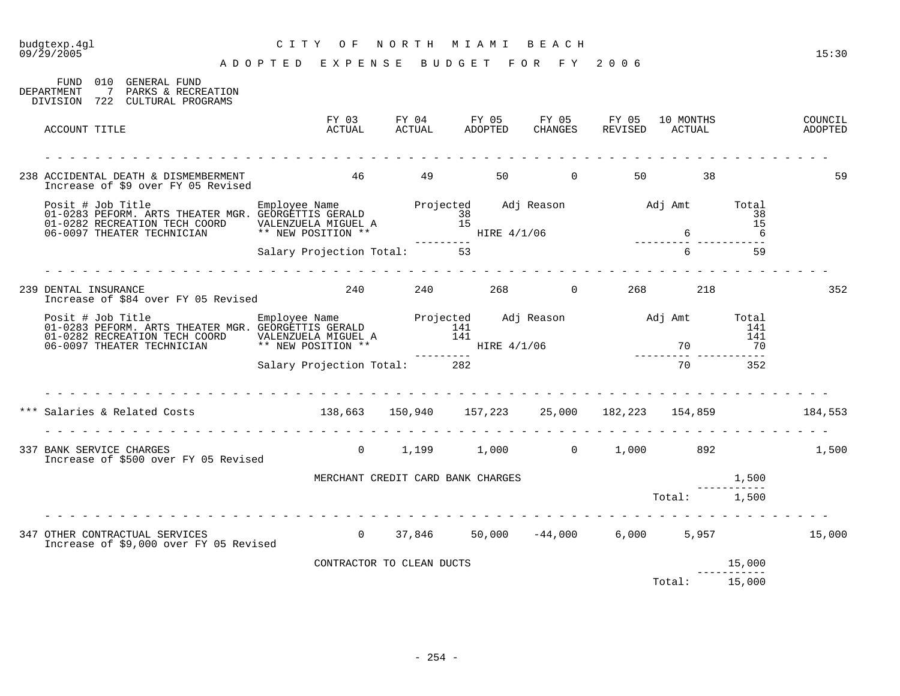### budgtexp.4gl C I T Y O F N O R T H M I A M I B E A C H 09/29/2005 15:30 A D O P T E D E X P E N S E B U D G E T F O R F Y 2 0 0 6 FUND 010 GENERAL FUND DEPARTMENT 7 PARKS & RECREATION DIVISION 722 CULTURAL PROGRAMS FY 03 FY 04 FY 05 FY 05 FY 05 10 MONTHS COUNCIL ACCOUNT TITLE ACTUAL ACTUAL ADOPTED CHANGES REVISED ACTUAL ADOPTED - - - - - - - - - - - - - - - - - - - - - - - - - - - - - - - - - - - - - - - - - - - - - - - - - - - - - - - - - - - - - - - 238 ACCIDENTAL DEATH & DISMEMBERMENT 46 49 50 0 50 38 59 59 Increase of \$9 over FY 05 Revised Posit # Job Title Employee Name Projected Adj Reason Adj Amt Total 01-0283 PEFORM. ARTS THEATER MGR. GEORGETTIS GERALD 38 38 01-0282 RECREATION TECH COORD VALENZUELA MIGUEL A 15 15 06-0097 THEATER TECHNICIAN \*\* NEW POSITION \*\* HIRE 4/1/06 6 6 --------- --------- ----------- Salary Projection Total: 53 6 59 - - - - - - - - - - - - - - - - - - - - - - - - - - - - - - - - - - - - - - - - - - - - - - - - - - - - - - - - - - - - - - - 239 DENTAL INSURANCE 240 240 268 0 268 218 352 Increase of \$84 over FY 05 Revised Posit # Job Title Employee Name Projected Adj Reason Adj Amt Total 01-0283 PEFORM. ARTS THEATER MGR. GEORGETTIS GERALD 141 141 01-0282 RECREATION TECH COORD VALENZUELA MIGUEL A 141 141 06-0097 THEATER TECHNICIAN \*\* NEW POSITION \*\* HIRE 4/1/06 70 70 70 70 --------- --------- ----------- Salary Projection Total: 282 - - - - - - - - - - - - - - - - - - - - - - - - - - - - - - - - - - - - - - - - - - - - - - - - - - - - - - - - - - - - - - - \*\*\* Salaries & Related Costs 138,663 150,940 157,223 25,000 182,223 154,859 184,553 - - - - - - - - - - - - - - - - - - - - - - - - - - - - - - - - - - - - - - - - - - - - - - - - - - - - - - - - - - - - - - - 337 BANK SERVICE CHARGES 6 1,199 1,000 1,000 1,000 892 1,500 Increase of \$500 over FY 05 Revised MERCHANT CREDIT CARD BANK CHARGES 1,500 ----------- Total: 1,500 - - - - - - - - - - - - - - - - - - - - - - - - - - - - - - - - - - - - - - - - - - - - - - - - - - - - - - - - - - - - - - - 347 OTHER CONTRACTUAL SERVICES 0 37,846 50,000 -44,000 6,000 5,957 15,000 Increase of \$9,000 over FY 05 Revised CONTRACTOR TO CLEAN DUCTS 15,000 ----------- Total: 15,000

 $-254 -$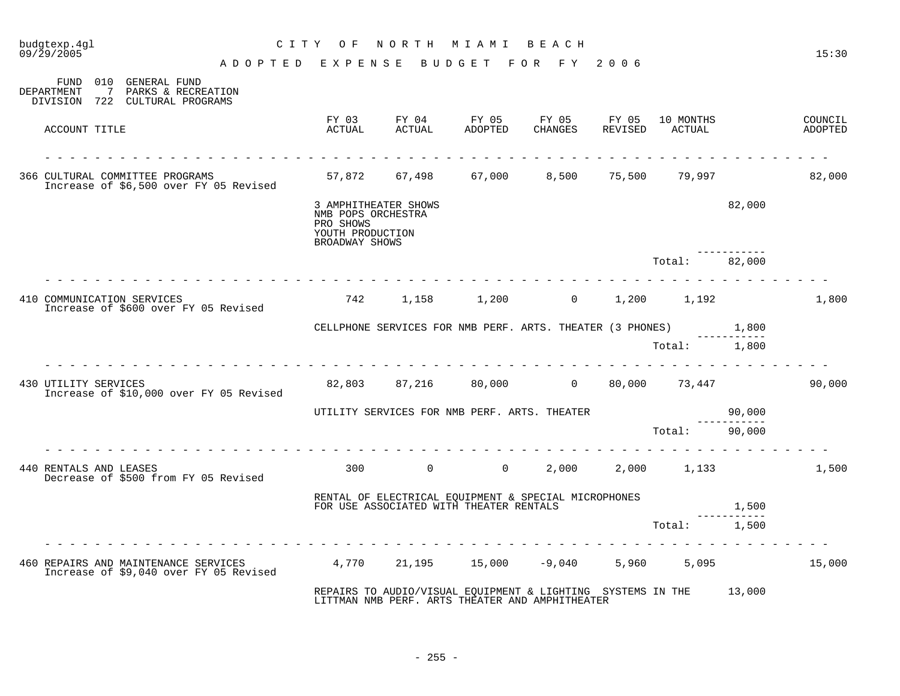| budgtexp.4gl<br>09/29/2005 |                                                                                                 | CITY OF                                                                                       | NORTH MIAMI BEACH |             |                                                                                                                       |                            |        | 15:30              |
|----------------------------|-------------------------------------------------------------------------------------------------|-----------------------------------------------------------------------------------------------|-------------------|-------------|-----------------------------------------------------------------------------------------------------------------------|----------------------------|--------|--------------------|
|                            | ADOPTED EXPENSE BUDGET FOR FY 2006                                                              |                                                                                               |                   |             |                                                                                                                       |                            |        |                    |
| DEPARTMENT                 | FUND 010 GENERAL FUND<br>$7\phantom{0}$<br>PARKS & RECREATION<br>DIVISION 722 CULTURAL PROGRAMS |                                                                                               |                   |             |                                                                                                                       |                            |        |                    |
| ACCOUNT TITLE              |                                                                                                 | FY 03<br>ACTUAL                                                                               |                   | FY 04 FY 05 | FY 05 FY 05<br>ACTUAL ADOPTED CHANGES REVISED                                                                         | 10 MONTHS<br>ACTUAL        |        | COUNCIL<br>ADOPTED |
|                            | 366 CULTURAL COMMITTEE PROGRAMS<br>Increase of \$6,500 over FY 05 Revised                       |                                                                                               | 57,872 67,498     | 67,000      |                                                                                                                       | 8,500 75,500 79,997 82,000 |        |                    |
|                            |                                                                                                 | 3 AMPHITHEATER SHOWS<br>NMB POPS ORCHESTRA<br>PRO SHOWS<br>YOUTH PRODUCTION<br>BROADWAY SHOWS |                   |             |                                                                                                                       |                            | 82,000 |                    |
|                            |                                                                                                 |                                                                                               |                   |             |                                                                                                                       | Total: 82,000              |        |                    |
|                            | 410 COMMUNICATION SERVICES<br>Increase of \$600 over FY 05 Revised                              |                                                                                               |                   |             | 742 1,158 1,200 0 1,200 1,192                                                                                         |                            |        | 1,800              |
|                            |                                                                                                 |                                                                                               |                   |             | CELLPHONE SERVICES FOR NMB PERF. ARTS. THEATER (3 PHONES) 1,800                                                       |                            |        |                    |
|                            |                                                                                                 |                                                                                               |                   |             |                                                                                                                       | Total: 1,800               |        |                    |
| 430 UTILITY SERVICES       | Increase of \$10,000 over FY 05 Revised                                                         |                                                                                               |                   |             | 82,803 87,216 80,000 0 80,000 73,447                                                                                  |                            |        | 90,000             |
|                            |                                                                                                 |                                                                                               |                   |             | UTILITY SERVICES FOR NMB PERF. ARTS. THEATER                                                                          |                            | 90,000 |                    |
|                            |                                                                                                 |                                                                                               |                   |             |                                                                                                                       | Total: 90,000              |        |                    |
| 440 RENTALS AND LEASES     | Decrease of \$500 from FY 05 Revised                                                            |                                                                                               | $300$ 0 0         |             |                                                                                                                       | 2,000 2,000 1,133          |        | 1,500              |
|                            |                                                                                                 |                                                                                               |                   |             | RENTAL OF ELECTRICAL EQUIPMENT & SPECIAL MICROPHONES<br>FOR USE ASSOCIATED WITH THEATER RENTALS                       |                            | 1,500  |                    |
|                            |                                                                                                 |                                                                                               |                   |             |                                                                                                                       | Total:                     | 1,500  |                    |
|                            | 460 REPAIRS AND MAINTENANCE SERVICES<br>Increase of \$9,040 over FY 05 Revised                  |                                                                                               |                   |             | $4,770$ $21,195$ $15,000$ $-9,040$ $5,960$ $5,095$                                                                    |                            |        | 15,000             |
|                            |                                                                                                 |                                                                                               |                   |             | REPAIRS TO AUDIO/VISUAL EQUIPMENT & LIGHTING SYSTEMS IN THE 13,000<br>LITTMAN NMB PERF. ARTS THEATER AND AMPHITHEATER |                            |        |                    |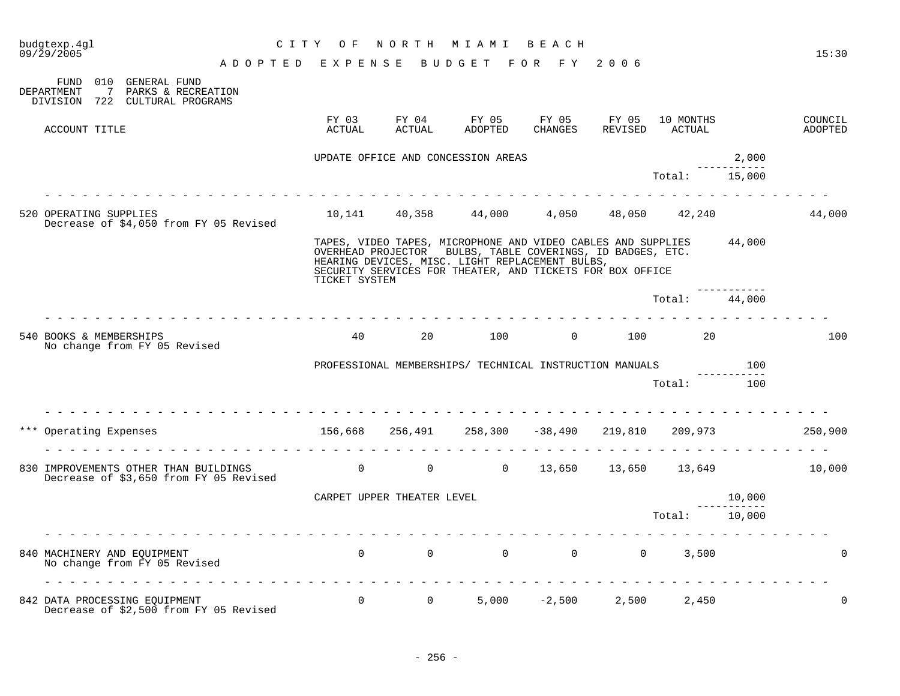| budgtexp.4gl<br>09/29/2005                                                      |                                                                       | CITY OF         |                            | NORTH MIAMI BEACH                                                                                                                                                                                                                                 |         |                             |                        | 15:30              |
|---------------------------------------------------------------------------------|-----------------------------------------------------------------------|-----------------|----------------------------|---------------------------------------------------------------------------------------------------------------------------------------------------------------------------------------------------------------------------------------------------|---------|-----------------------------|------------------------|--------------------|
| FUND 010 GENERAL FUND                                                           | ADOPTED EXPENSE BUDGET FOR FY 2006                                    |                 |                            |                                                                                                                                                                                                                                                   |         |                             |                        |                    |
| DEPARTMENT<br>7 PARKS & RECREATION<br>DIVISION 722 CULTURAL PROGRAMS            |                                                                       |                 |                            |                                                                                                                                                                                                                                                   |         |                             |                        |                    |
| ACCOUNT TITLE                                                                   |                                                                       | FY 03<br>ACTUAL | ACTUAL                     | FY 04 FY 05 FY 05 FY 05<br>ADOPTED                                                                                                                                                                                                                | CHANGES | 10 MONTHS<br>REVISED ACTUAL |                        | COUNCIL<br>ADOPTED |
|                                                                                 |                                                                       |                 |                            | UPDATE OFFICE AND CONCESSION AREAS                                                                                                                                                                                                                |         |                             | 2,000                  |                    |
|                                                                                 |                                                                       |                 |                            |                                                                                                                                                                                                                                                   |         | Total: 15,000               |                        |                    |
|                                                                                 |                                                                       |                 |                            |                                                                                                                                                                                                                                                   |         |                             |                        |                    |
| 520 OPERATING SUPPLIES<br>Decrease of \$4,050 from FY 05 Revised                |                                                                       |                 |                            | $10,141$ $40,358$ $44,000$ $4,050$ $48,050$ $42,240$                                                                                                                                                                                              |         |                             |                        | 44,000             |
|                                                                                 |                                                                       | TICKET SYSTEM   |                            | TAPES, VIDEO TAPES, MICROPHONE AND VIDEO CABLES AND SUPPLIES 44,000<br>OVERHEAD PROJECTOR BULBS, TABLE COVERINGS, ID BADGES, ETC.<br>HEARING DEVICES, MISC. LIGHT REPLACEMENT BULBS,<br>SECURITY SERVICES FOR THEATER, AND TICKETS FOR BOX OFFICE |         |                             |                        |                    |
|                                                                                 |                                                                       |                 |                            |                                                                                                                                                                                                                                                   |         | Total: 44,000               |                        |                    |
|                                                                                 |                                                                       |                 |                            |                                                                                                                                                                                                                                                   |         |                             |                        |                    |
| 540 BOOKS & MEMBERSHIPS<br>No change from FY 05 Revised                         |                                                                       | 40              | 20                         | 100                                                                                                                                                                                                                                               |         | $0 \t 100 \t 20$            |                        | 100                |
|                                                                                 |                                                                       |                 |                            | PROFESSIONAL MEMBERSHIPS/ TECHNICAL INSTRUCTION MANUALS                                                                                                                                                                                           |         |                             | 100<br>---------       |                    |
|                                                                                 |                                                                       |                 |                            |                                                                                                                                                                                                                                                   |         | Total: 100                  |                        |                    |
|                                                                                 |                                                                       |                 |                            |                                                                                                                                                                                                                                                   |         |                             |                        |                    |
| *** Operating Expenses                                                          | $156,668$ $256,491$ $258,300$ $-38,490$ $219,810$ $209,973$ $250,900$ |                 |                            |                                                                                                                                                                                                                                                   |         |                             |                        |                    |
| 830 IMPROVEMENTS OTHER THAN BUILDINGS<br>Decrease of \$3,650 from FY 05 Revised |                                                                       | $\overline{0}$  |                            | 0 0 13,650 13,650 13,649 10,000                                                                                                                                                                                                                   |         |                             |                        |                    |
|                                                                                 |                                                                       |                 | CARPET UPPER THEATER LEVEL |                                                                                                                                                                                                                                                   |         |                             | 10,000                 |                    |
|                                                                                 |                                                                       |                 |                            |                                                                                                                                                                                                                                                   |         | Total:                      | ------------<br>10,000 |                    |
|                                                                                 |                                                                       |                 |                            |                                                                                                                                                                                                                                                   |         |                             |                        |                    |
|                                                                                 |                                                                       |                 |                            |                                                                                                                                                                                                                                                   |         |                             |                        |                    |
| 840 MACHINERY AND EQUIPMENT<br>No change from FY 05 Revised                     |                                                                       |                 |                            | $\begin{matrix} 0 & 0 & 0 & 0 & 0 & 0 & 3,500 \end{matrix}$                                                                                                                                                                                       |         |                             |                        | $\Omega$           |
|                                                                                 |                                                                       |                 |                            |                                                                                                                                                                                                                                                   |         |                             |                        |                    |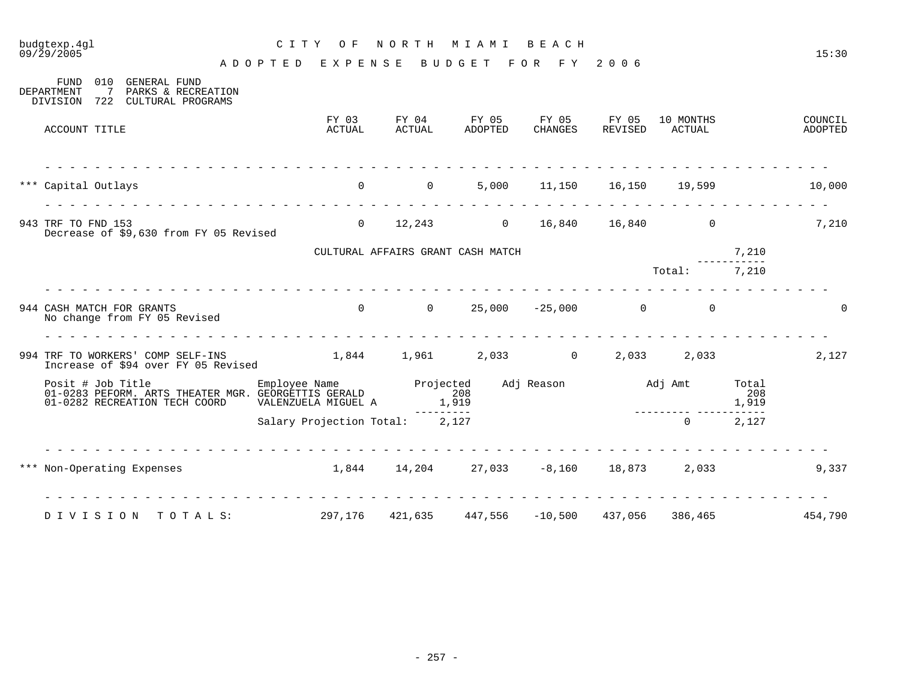| budgtexp.4ql                                                                                                                          | C I T Y<br>O F                                      | NORTH MIAMI |                                           | BEACH            |                  |                           |              | 15:30              |
|---------------------------------------------------------------------------------------------------------------------------------------|-----------------------------------------------------|-------------|-------------------------------------------|------------------|------------------|---------------------------|--------------|--------------------|
| 09/29/2005                                                                                                                            | ADOPTED EXPENSE                                     |             | BUDGET FOR FY 2006                        |                  |                  |                           |              |                    |
| GENERAL FUND<br>FUND<br>010<br><b>DEPARTMENT</b><br>7<br>PARKS & RECREATION<br>722 CULTURAL PROGRAMS<br>DIVISION                      |                                                     |             |                                           |                  |                  |                           |              |                    |
| ACCOUNT TITLE                                                                                                                         | FY 03<br>ACTUAL                                     | ACTUAL      | FY 04 FY 05<br>ADOPTED                    | FY 05<br>CHANGES | FY 05<br>REVISED | 10 MONTHS<br>ACTUAL       |              | COUNCIL<br>ADOPTED |
| *** Capital Outlays                                                                                                                   | $0$ $0$ $5,000$ $11,150$ $16,150$ $19,599$ $10,000$ |             |                                           |                  |                  |                           |              |                    |
| 943 TRF TO FND 153<br>Decrease of \$9,630 from FY 05 Revised                                                                          |                                                     |             | 0 12,243 0 16,840 16,840 0                |                  |                  |                           |              | 7,210              |
|                                                                                                                                       |                                                     |             | CULTURAL AFFAIRS GRANT CASH MATCH         |                  |                  |                           | 7,210        |                    |
|                                                                                                                                       |                                                     |             |                                           |                  |                  | Total: 7,210              |              |                    |
| 944 CASH MATCH FOR GRANTS<br>No change from FY 05 Revised                                                                             |                                                     |             | $0$ 0 25,000 -25,000 0 0                  |                  |                  |                           |              | $\mathbf 0$        |
| 994 TRF TO WORKERS' COMP SELF-INS<br>Increase of \$94 over FY 05 Revised                                                              |                                                     |             | $1,844$ $1,961$ $2,033$ 0 $2,033$ $2,033$ |                  |                  |                           |              | 2,127              |
| Posit # Job Title Employee Name Projected<br>01-0283 PEFORM. ARTS THEATER MGR. GEORGETTIS GERALD 208<br>01-0282 RECREATION TECH COORD | VALENZUELA MIGUEL A                                 | 1,919       |                                           |                  |                  | Adj Reason Madj Amt Total | 208<br>1,919 |                    |
|                                                                                                                                       | Salary Projection Total: 2,127                      |             |                                           |                  |                  | $\Omega$                  | 2,127        |                    |
| *** Non-Operating Expenses 1,844 14,204 27,033 -8,160 18,873 2,033                                                                    |                                                     |             |                                           |                  |                  |                           |              | 9,337              |
| DIVISION TOTALS: 297,176 421,635 447,556 -10,500 437,056 386,465                                                                      |                                                     |             |                                           |                  |                  |                           |              | 454,790            |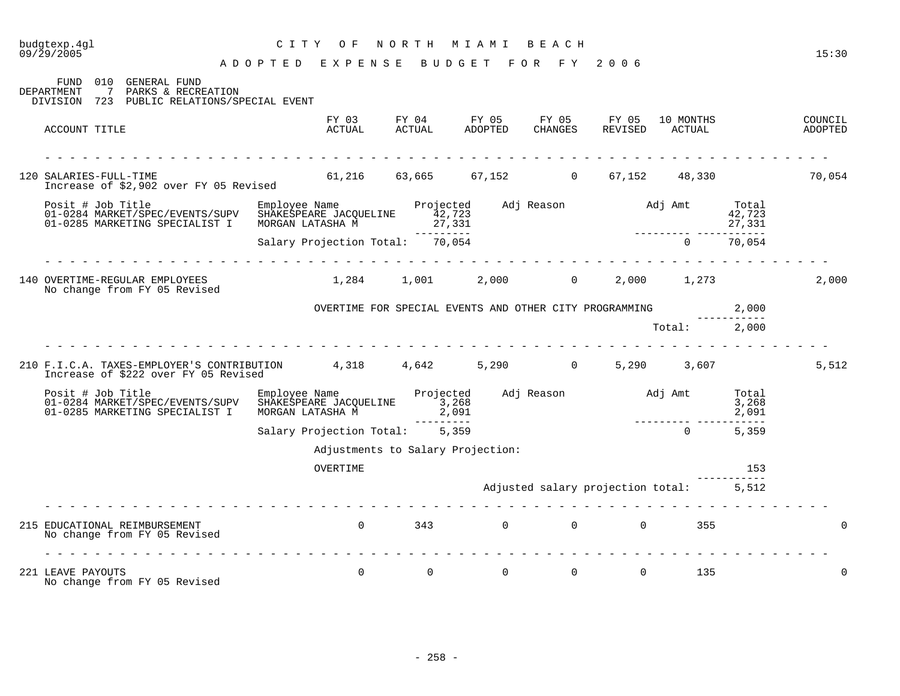## budgtexp.4gl C I T Y O F N O R T H M I A M I B E A C H

A D O P T E D E X P E N S E B U D G E T F O R F Y 2 0 0 6

FUND 010 GENERAL FUND<br>DEPARTMENT 7 PARKS & RECRE 7 PARKS & RECREATION DIVISION 723 PUBLIC RELATIONS/SPECIAL EVENT FY 03 FY 04 FY 05 FY 05 FY 05 10 MONTHS COUNCIL COUNCIL COUNCIL COUNCIL FY 05 FY 05 10 MONTHS COUNCIL ACCOUNT TITLE ACTUAL ACTUAL ADOPTED CHANGES REVISED ACTUAL ADOPTED - - - - - - - - - - - - - - - - - - - - - - - - - - - - - - - - - - - - - - - - - - - - - - - - - - - - - - - - - - - - - - - 120 SALARIES-FULL-TIME 61,216 63,665 67,152 0 67,152 48,330 70,054 Increase of \$2,902 over FY 05 Revised Posit # Job Title Employee Name Projected Adj Reason Adj Amt Total 01-0284 MARKET/SPEC/EVENTS/SUPV SHAKESPEARE JACQUELINE 42,723 42,723 01-0285 MARKETING SPECIALIST I MORGAN LATASHA M --------- --------- ----------- Salary Projection Total: 70,054 0 70,054 - - - - - - - - - - - - - - - - - - - - - - - - - - - - - - - - - - - - - - - - - - - - - - - - - - - - - - - - - - - - - - - 140 OVERTIME-REGULAR EMPLOYEES 1,284 1,001 2,000 0 2,000 1,273 2,000 No change from FY 05 Revised OVERTIME FOR SPECIAL EVENTS AND OTHER CITY PROGRAMMING 2,000 ----------- Total: 2,000 - - - - - - - - - - - - - - - - - - - - - - - - - - - - - - - - - - - - - - - - - - - - - - - - - - - - - - - - - - - - - - - 210 F.I.C.A. TAXES-EMPLOYER'S CONTRIBUTION 4,318 4,642 5,290 0 5,290 3,607 5,512 Increase of \$222 over FY 05 Revised Posit # Job Title Employee Name Projected Adj Reason Adj Amt Total<br>01-0284 MARKET/SPEC/EVENTS/SUPV SHAKESPEARE JACQUELINE 3,268 01-0284 MARKET/SPEC/EVENTS/SUPV SHAKESPEARE JACQUELINE 3,268 AND RESERVE THE SUPPORT OF SHAKESPEARE JACQUELINE<br>01-0285 MARKETING SPECIALIST I MORGAN LATASHA M 2,091 2,091 2,091 2,091 01-0285 MARKETING SPECIALIST I MORGAN LATASHA M 2,091 --------- --------- ----------- Salary Projection Total: 5,359 0 5,359 Adjustments to Salary Projection: OVERTIME 253 ----------- Adjusted salary projection total: 5,512 - - - - - - - - - - - - - - - - - - - - - - - - - - - - - - - - - - - - - - - - - - - - - - - - - - - - - - - - - - - - - - - 215 EDUCATIONAL REIMBURSEMENT 0 343 0 0 0 355 0 No change from FY 05 Revised - - - - - - - - - - - - - - - - - - - - - - - - - - - - - - - - - - - - - - - - - - - - - - - - - - - - - - - - - - - - - - - 221 LEAVE PAYOUTS 0 0 0 0 0 0 135 0 0 No change from FY 05 Revised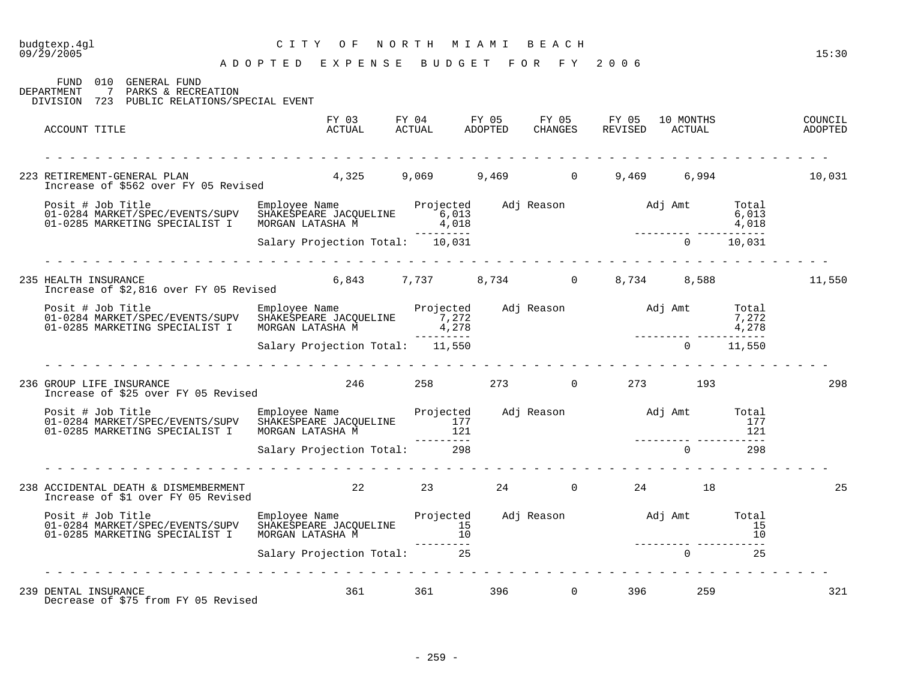### budgtexp.4gl C I T Y O F N O R T H M I A M I B E A C H 09/29/2005 15:30

A D O P T E D E X P E N S E B U D G E T F O R F Y 2 0 0 6

FUND 010 GENERAL FUND DEPARTMENT 7 PARKS & RECREATION DIVISION 723 PUBLIC RELATIONS/SPECIAL EVENT FY 03 FY 04 FY 05 FY 05 FY 05 10 MONTHS COUNCIL ACCOUNT TITLE ACTUAL ACTUAL ADOPTED CHANGES REVISED ACTUAL ADOPTED - - - - - - - - - - - - - - - - - - - - - - - - - - - - - - - - - - - - - - - - - - - - - - - - - - - - - - - - - - - - - - - 223 RETIREMENT-GENERAL PLAN 4,325 9,069 9,469 0 9,469 6,994 10,031 Increase of \$562 over FY 05 Revised Posit # Job Title Employee Name Projected Adj Reason Adj Amt Total 01-0284 MARKET/SPEC/EVENTS/SUPV SHAKESPEARE JACQUELINE 6,013 6,013 01-0285 MARKETING SPECIALIST I MORGAN LATASHA M<sup>22</sup> (018 4,018 4,018 4,018 4,018 4,018 4,018 4,018 4,018 4,018 4,018 **4,018** --------- --------- ----------- Salary Projection Total: 10,031 - - - - - - - - - - - - - - - - - - - - - - - - - - - - - - - - - - - - - - - - - - - - - - - - - - - - - - - - - - - - - - - 235 HEALTH INSURANCE 6,843 7,737 8,734 0 8,734 8,588 11,550 Increase of \$2,816 over FY 05 Revised Posit # Job Title Employee Name Projected Adj Reason Adj Amt Total 01-0284 MARKET/SPEC/EVENTS/SUPV SHAKESPEARE JACQUELINE 7,272 7,272 7,272 7,272 01-0285 MARKETING SPECIALIST I MORGAN LATASHA  $\tilde{M}$  4,278 4,278 4,278 --------- --------- ----------- Salary Projection Total: 11,550 0 11,550 - - - - - - - - - - - - - - - - - - - - - - - - - - - - - - - - - - - - - - - - - - - - - - - - - - - - - - - - - - - - - - - 236 GROUP LIFE INSURANCE 246 258 273 0 273 193 298 Increase of \$25 over FY 05 Revised Posit # Job Title Employee Name Projected Adj Reason Adj Amt Total 01-0284 MARKET/SPEC/EVENTS/SUPV SHAKESPEARE JACQUELINE 177 177 01-0285 MARKETING SPECIALIST I MORGAN LATASHA M 121 121 --------- --------- ----------- Salary Projection Total: 298 0 298 - - - - - - - - - - - - - - - - - - - - - - - - - - - - - - - - - - - - - - - - - - - - - - - - - - - - - - - - - - - - - - - 238 ACCIDENTAL DEATH & DISMEMBERMENT 22 23 24 0 24 18 25 Increase of \$1 over FY 05 Revised Posit # Job Title Employee Name Projected Adj Reason Adj Amt Total 01-0284 MARKET/SPEC/EVENTS/SUPV SHAKESPEARE JACQUELINE 15 15 01-0285 MARKETING SPECIALIST I MORGAN LATASHA M 10 --------- --------- ----------- Salary Projection Total: 25 0 25 - - - - - - - - - - - - - - - - - - - - - - - - - - - - - - - - - - - - - - - - - - - - - - - - - - - - - - - - - - - - - - - 239 DENTAL INSURANCE 2008 2010 2010 361 361 396 396 396 321 321 Decrease of \$75 from FY 05 Revised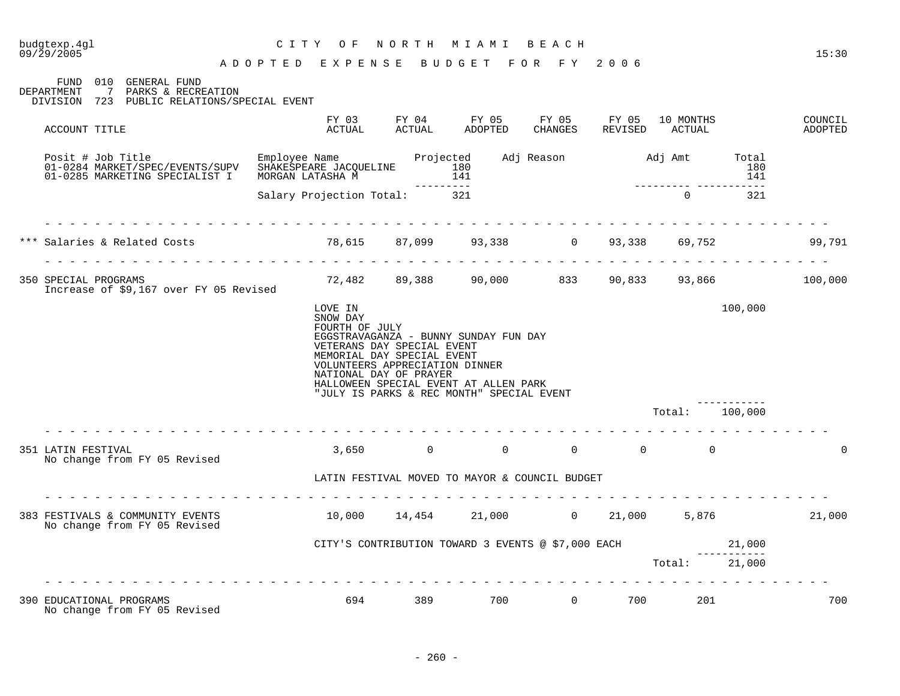| budgtexp.4ql<br>$09/\bar{2}9/2005$                                                                                | C I T Y<br>O F<br>ADOPTED EXPENSE BUDGET FOR FY 2006                  | NORTH                                                                              | M I A M I                                                                                                                                                     | BEACH                     |                                         |                  |                                 | 15:30              |
|-------------------------------------------------------------------------------------------------------------------|-----------------------------------------------------------------------|------------------------------------------------------------------------------------|---------------------------------------------------------------------------------------------------------------------------------------------------------------|---------------------------|-----------------------------------------|------------------|---------------------------------|--------------------|
| FUND 010 GENERAL FUND<br>DEPARTMENT<br>7 PARKS & RECREATION<br>DIVISION 723 PUBLIC RELATIONS/SPECIAL EVENT        |                                                                       |                                                                                    |                                                                                                                                                               |                           |                                         |                  |                                 |                    |
| ACCOUNT TITLE                                                                                                     | ACTUAL                                                                | <b>ACTUAL</b>                                                                      | FY 03 FY 04 FY 05 FY 05 FY 05 10 MONTHS<br>ADOPTED                                                                                                            | CHANGES                   |                                         | REVISED ACTUAL   |                                 | COUNCIL<br>ADOPTED |
| Posit # Job Title<br>01-0284 MARKET/SPEC/EVENTS/SUPV SHAKESPEARE JACQUELINE 180<br>01-0285 MARKETING SPECIALIST I | Employee Name <b>Brojected</b> Adj Reason Adj Amt<br>MORGAN LATASHA M |                                                                                    | 141<br>---------                                                                                                                                              |                           |                                         | ---------- ----- | Total<br>180<br>141             |                    |
|                                                                                                                   | Salary Projection Total: 321                                          |                                                                                    |                                                                                                                                                               |                           |                                         | $\Omega$         | 321                             |                    |
|                                                                                                                   |                                                                       |                                                                                    |                                                                                                                                                               |                           |                                         | 69,752           |                                 | 99,791             |
| 350 SPECIAL PROGRAMS<br>Increase of \$9,167 over FY 05 Revised                                                    |                                                                       |                                                                                    | 72,482 89,388 90,000 833 90,833 93,866 100,000                                                                                                                |                           |                                         |                  |                                 |                    |
|                                                                                                                   | LOVE IN<br>SNOW DAY<br>FOURTH OF JULY                                 | VETERANS DAY SPECIAL EVENT<br>MEMORIAL DAY SPECIAL EVENT<br>NATIONAL DAY OF PRAYER | EGGSTRAVAGANZA - BUNNY SUNDAY FUN DAY<br>VOLUNTEERS APPRECIATION DINNER<br>HALLOWEEN SPECIAL EVENT AT ALLEN PARK<br>"JULY IS PARKS & REC MONTH" SPECIAL EVENT |                           |                                         |                  | 100,000                         |                    |
| .                                                                                                                 |                                                                       |                                                                                    |                                                                                                                                                               |                           |                                         | Total:           | 100,000                         |                    |
| 351 LATIN FESTIVAL<br>No change from FY 05 Revised                                                                | 3,650                                                                 |                                                                                    | $\Omega$<br>$\overline{0}$                                                                                                                                    |                           | $\begin{matrix} 0 & 0 & 0 \end{matrix}$ |                  |                                 | $\Omega$           |
|                                                                                                                   |                                                                       |                                                                                    | LATIN FESTIVAL MOVED TO MAYOR & COUNCIL BUDGET                                                                                                                |                           |                                         |                  |                                 |                    |
| 383 FESTIVALS & COMMUNITY EVENTS<br>No change from FY 05 Revised                                                  | $10,000$ $14,454$ $21,000$ $0$ $21,000$ $5,876$ $21,000$              |                                                                                    |                                                                                                                                                               |                           |                                         |                  |                                 |                    |
|                                                                                                                   |                                                                       |                                                                                    | CITY'S CONTRIBUTION TOWARD 3 EVENTS @ \$7,000 EACH                                                                                                            |                           |                                         | Total:           | 21,000<br>-----------<br>21,000 |                    |
| 390 EDUCATIONAL PROGRAMS<br>No change from FY 05 Revised                                                          |                                                                       | 694 — 100                                                                          | 389                                                                                                                                                           | 700 700<br>$\overline{0}$ | 700 700                                 | 201              |                                 | 700                |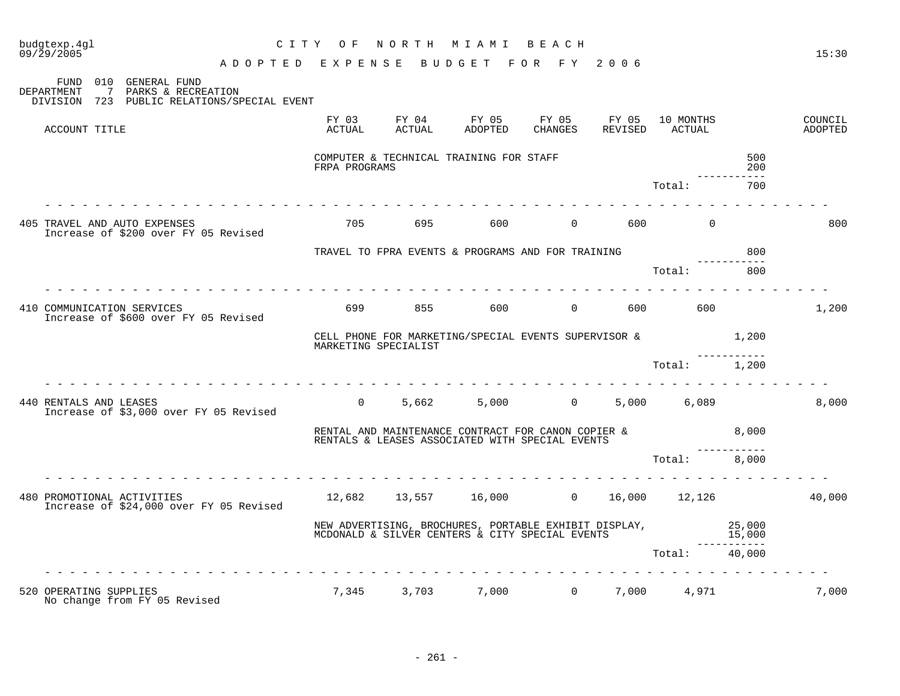| budgtexp.4gl<br>09/29/2005 |                |                                                                       |   |                 |                      | CITY OF NORTH MIAMI BEACH                                                                                |                                |          |                     |                                   | 15:30              |
|----------------------------|----------------|-----------------------------------------------------------------------|---|-----------------|----------------------|----------------------------------------------------------------------------------------------------------|--------------------------------|----------|---------------------|-----------------------------------|--------------------|
|                            |                | FUND 010 GENERAL FUND                                                 |   |                 |                      | ADOPTED EXPENSE BUDGET FOR FY 2006                                                                       |                                |          |                     |                                   |                    |
| DEPARTMENT                 | $\overline{7}$ | PARKS & RECREATION<br>DIVISION 723 PUBLIC RELATIONS/SPECIAL EVENT     |   |                 |                      |                                                                                                          |                                |          |                     |                                   |                    |
|                            | ACCOUNT TITLE  |                                                                       |   | FY 03<br>ACTUAL | ACTUAL               | FY 04 FY 05<br>ADOPTED                                                                                   | FY 05 FY 05<br>CHANGES REVISED |          | 10 MONTHS<br>ACTUAL |                                   | COUNCIL<br>ADOPTED |
|                            |                |                                                                       |   | FRPA PROGRAMS   |                      | COMPUTER & TECHNICAL TRAINING FOR STAFF                                                                  |                                |          |                     | 500<br>200                        |                    |
|                            |                |                                                                       | . |                 |                      |                                                                                                          |                                |          | Total:              | 700                               |                    |
|                            |                | 405 TRAVEL AND AUTO EXPENSES<br>Increase of \$200 over FY 05 Revised  |   | 705             | 695 —                | 600                                                                                                      | $\Omega$                       | 600 - 10 | $\overline{0}$      |                                   | 800                |
|                            |                |                                                                       |   |                 |                      | TRAVEL TO FPRA EVENTS & PROGRAMS AND FOR TRAINING                                                        |                                |          |                     | 800                               |                    |
|                            |                |                                                                       |   |                 |                      |                                                                                                          |                                |          | Total:              | 800                               |                    |
|                            |                | 410 COMMUNICATION SERVICES<br>Increase of \$600 over FY 05 Revised    |   | 699             | 855 700              | 600                                                                                                      |                                |          | 0 600 600           |                                   | 1,200              |
|                            |                |                                                                       |   |                 | MARKETING SPECIALIST | CELL PHONE FOR MARKETING/SPECIAL EVENTS SUPERVISOR & 1,200                                               |                                |          |                     |                                   |                    |
|                            |                |                                                                       |   |                 |                      |                                                                                                          |                                |          | Total: 1,200        | ------------                      |                    |
| 440 RENTALS AND LEASES     |                | Increase of \$3,000 over FY 05 Revised                                |   |                 |                      | 0 $5,662$ $5,000$ 0                                                                                      |                                |          | 5,000 6,089         |                                   | 8,000              |
|                            |                |                                                                       |   |                 |                      | RENTAL AND MAINTENANCE CONTRACT FOR CANON COPIER &<br>RENTALS & LEASES ASSOCIATED WITH SPECIAL EVENTS    |                                |          |                     | 8,000                             |                    |
|                            |                |                                                                       |   |                 |                      |                                                                                                          |                                |          | Total: 8,000        |                                   |                    |
|                            |                | 480 PROMOTIONAL ACTIVITIES<br>Increase of \$24,000 over FY 05 Revised |   |                 |                      | $12,682$ $13,557$ $16,000$ 0 $16,000$ $12,126$                                                           |                                |          |                     |                                   | 40,000             |
|                            |                |                                                                       |   |                 |                      | NEW ADVERTISING, BROCHURES, PORTABLE EXHIBIT DISPLAY,<br>MCDONALD & SILVER CENTERS & CITY SPECIAL EVENTS |                                |          |                     | $25,000$<br>15,000<br>----------- |                    |
|                            |                |                                                                       |   |                 |                      |                                                                                                          |                                |          | Total: 40,000       |                                   |                    |
| 520 OPERATING SUPPLIES     |                |                                                                       |   |                 | 7,345 3,703          |                                                                                                          |                                |          | 7,000 0 7,000 4,971 |                                   | 7,000              |
|                            |                | No change from FY 05 Revised                                          |   |                 |                      |                                                                                                          |                                |          |                     |                                   |                    |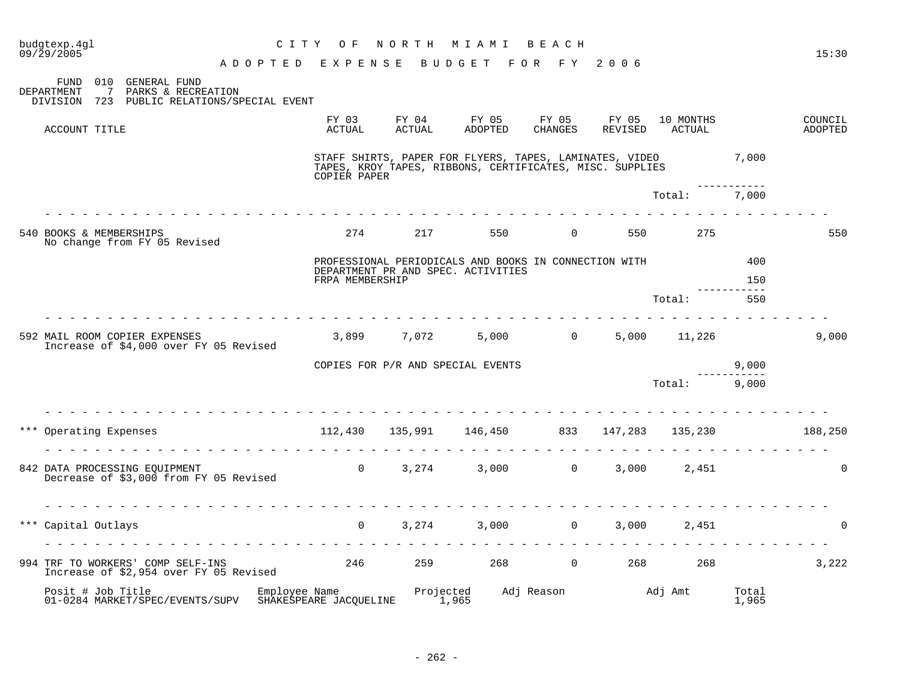| budgtexp.4gl<br>09/29/2005                                                                                          | C I T Y<br>O F                                      | NORTH MIAMI     |                                                                                                                     | BEACH             |                  |                     |                | 15:30              |
|---------------------------------------------------------------------------------------------------------------------|-----------------------------------------------------|-----------------|---------------------------------------------------------------------------------------------------------------------|-------------------|------------------|---------------------|----------------|--------------------|
| GENERAL FUND<br>010<br>FUND<br>DEPARTMENT<br>PARKS & RECREATION<br>7<br>DIVISION 723 PUBLIC RELATIONS/SPECIAL EVENT | A D O P T E D E X P E N S E                         |                 | BUDGET FOR FY 2006                                                                                                  |                   |                  |                     |                |                    |
| ACCOUNT TITLE                                                                                                       | FY 03<br>ACTUAL                                     | FY 04<br>ACTUAL | FY 05<br>ADOPTED                                                                                                    | FY 05<br>CHANGES  | FY 05<br>REVISED | 10 MONTHS<br>ACTUAL |                | COUNCIL<br>ADOPTED |
|                                                                                                                     | COPIER PAPER                                        |                 | STAFF SHIRTS, PAPER FOR FLYERS, TAPES, LAMINATES, VIDEO<br>TAPES, KROY TAPES, RIBBONS, CERTIFICATES, MISC. SUPPLIES |                   |                  |                     | 7,000          |                    |
|                                                                                                                     |                                                     |                 |                                                                                                                     |                   |                  | Total:              | 7,000          |                    |
| 540 BOOKS & MEMBERSHIPS<br>No change from FY 05 Revised                                                             | 274                                                 | 217             | 550                                                                                                                 | $\Omega$          | 550              | 275                 |                | 550                |
|                                                                                                                     | FRPA MEMBERSHIP                                     |                 | PROFESSIONAL PERIODICALS AND BOOKS IN CONNECTION WITH<br>DEPARTMENT PR AND SPEC. ACTIVITIES                         |                   |                  |                     | 400<br>150     |                    |
|                                                                                                                     |                                                     |                 |                                                                                                                     |                   |                  | Total:              | 550            |                    |
| 592 MAIL ROOM COPIER EXPENSES<br>Increase of \$4,000 over FY 05 Revised                                             |                                                     | 3,899 7,072     |                                                                                                                     | $5,000$ 0         | .                | 5,000 11,226        |                | 9,000              |
|                                                                                                                     |                                                     |                 | COPIES FOR P/R AND SPECIAL EVENTS                                                                                   |                   |                  |                     | 9,000          |                    |
|                                                                                                                     |                                                     |                 |                                                                                                                     |                   |                  | Total: 9,000        |                |                    |
| <u>.</u><br>*** Operating Expenses                                                                                  | 112,430 135,991 146,450 833 147,283 135,230 188,250 |                 | <u>a la la la la la la la la la la la l</u> a                                                                       |                   |                  | .                   |                |                    |
| 842 DATA PROCESSING EQUIPMENT<br>Decrease of \$3,000 from FY 05 Revised                                             |                                                     |                 | 0 $3,274$ $3,000$ 0 $3,000$ 2,451                                                                                   |                   |                  |                     |                | $\Omega$           |
| Capital Outlays                                                                                                     | $\Omega$                                            | 3,274           | 3,000                                                                                                               | $0 \qquad \qquad$ | 3,000            | 2,451               |                | $\Omega$           |
| 994 TRF TO WORKERS' COMP SELF-INS<br>Increase of \$2,954 over FY 05 Revised                                         |                                                     |                 | 246 259 268 0 268 268                                                                                               |                   |                  |                     |                | 3,222              |
| Posit # Job Title<br>01-0284 MARKET/SPEC/EVENTS/SUPV                                                                | Employee Name<br>SHAKESPEARE JACQUELINE             | 1,965           | Projected Adj Reason Madj Amt<br>1.965                                                                              |                   |                  |                     | Total<br>1,965 |                    |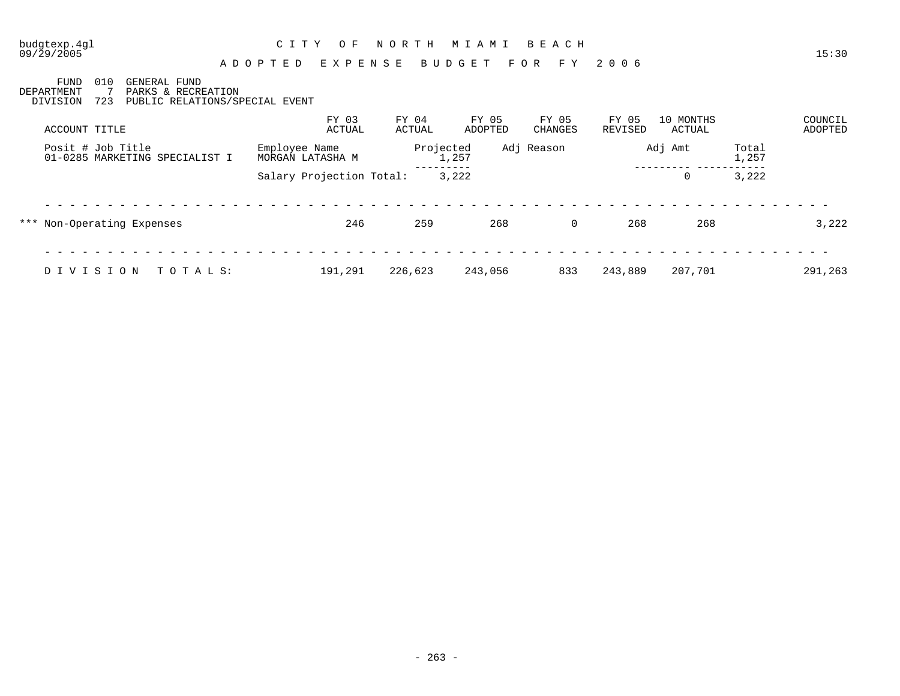### budgtexp.4gl C I T Y O F N O R T H M I A M I B E A C H budgtexp.4g1 CITY OF NORTH MIAMI BEACH 15:30

### A D O P T E D E X P E N S E B U D G E T F O R F Y 2 0 0 6

FUND 010 GENERAL FUND DEPARTMENT 7 PARKS & RECREATION DIVISION 723 PUBLIC RELATIONS/SPECIAL EVENT FY 03 FY 04 FY 05 FY 05 FY 05 10 MONTHS COUNCIL ACCOUNT TITLE ACTUAL ACTUAL ADOPTED CHANGES REVISED ACTUAL ADOPTED Posit # Job Title Employee Name Projected Adj Reason Adj Amt Total 01-0285 MARKETING SPECIALIST I MORGAN LATASHA M 1,257 1,257 1,257 1,257 1,257 1,257 --------- --------- ----------- Salary Projection Total: 3,222 0 3,222 - - - - - - - - - - - - - - - - - - - - - - - - - - - - - - - - - - - - - - - - - - - - - - - - - - - - - - - - - - - - - - - \*\*\* Non-Operating Expenses 246 259 268 0 268 268 3,222 - - - - - - - - - - - - - - - - - - - - - - - - - - - - - - - - - - - - - - - - - - - - - - - - - - - - - - - - - - - - - - -

D I V I S I O N T O T A L S: 191,291 226,623 243,056 833 243,889 207,701 291,263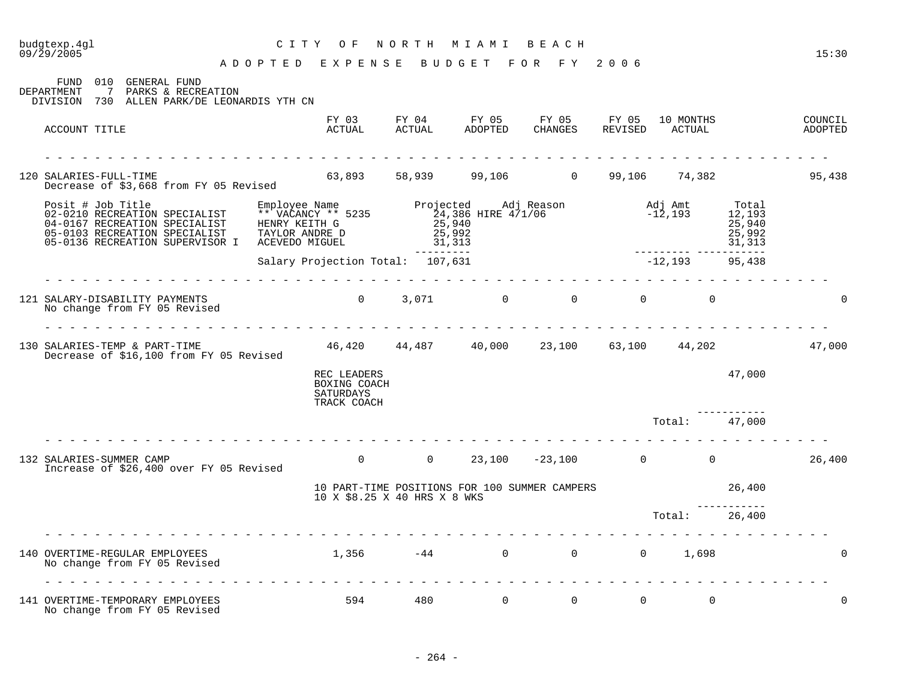### A D O P T E D E X P E N S E B U D G E T F O R F Y 2 0 0 6 FUND 010 GENERAL FUND DEPARTMENT 7 PARKS & RECREATION DIVISION 730 ALLEN PARK/DE LEONARDIS YTH CN FY 03 FY 04 FY 05 FY 05 FY 05 10 MONTHS COUNCIL ACCOUNT TITLE ACTUAL ACTUAL ADOPTED CHANGES REVISED ACTUAL ADOPTED - - - - - - - - - - - - - - - - - - - - - - - - - - - - - - - - - - - - - - - - - - - - - - - - - - - - - - - - - - - - - - - 120 SALARIES-FULL-TIME 63,893 58,939 99,106 0 99,106 74,382 95,438 Decrease of \$3,668 from FY 05 Revised Posit # Job Title Employee Name Projected Adj Reason Adj Amt Total 02-0210 RECREATION SPECIALIST \*\* VACANCY \*\* 5235 24,386 HIRE 471/06 - 212,193 12,193 04-0167 RECREATION SPECIALIST HENRY KEITH G  $25,940$  25,940 25,940 05-0103 RECREATION SPECIALIST TAYLOR ANDRE D 25,992 25,992 25,992 05-0136 RECREATION SUPERVISOR I ACEVEDO MIGUEL 31,313 31,313 --------- -----------<br>12,193 95,438 Salary Projection Total: 107,631 - - - - - - - - - - - - - - - - - - - - - - - - - - - - - - - - - - - - - - - - - - - - - - - - - - - - - - - - - - - - - - - 121 SALARY-DISABILITY PAYMENTS 0 3,071 0 0 0 0 0 No change from FY 05 Revised - - - - - - - - - - - - - - - - - - - - - - - - - - - - - - - - - - - - - - - - - - - - - - - - - - - - - - - - - - - - - - - 130 SALARIES-TEMP & PART-TIME 46,420 44,487 40,000 23,100 63,100 44,202 47,000 Decrease of \$16,100 from FY 05 Revised REC LEADERS 47,000 BOXING COACH SATURDAYS TRACK COACH ----------- Total: 47,000 - - - - - - - - - - - - - - - - - - - - - - - - - - - - - - - - - - - - - - - - - - - - - - - - - - - - - - - - - - - - - - - 132 SALARIES-SUMMER CAMP 0 0 23,100 -23,100 0 0 26,400 Increase of \$26,400 over FY 05 Revised 10 PART-TIME POSITIONS FOR 100 SUMMER CAMPERS 26,400 10 X \$8.25 X 40 HRS X 8 WKS ----------- Total: 26,400 - - - - - - - - - - - - - - - - - - - - - - - - - - - - - - - - - - - - - - - - - - - - - - - - - - - - - - - - - - - - - - - 140 OVERTIME-REGULAR EMPLOYEES 1,356 -44 0 0 0 1,698 0 No change from FY 05 Revised - - - - - - - - - - - - - - - - - - - - - - - - - - - - - - - - - - - - - - - - - - - - - - - - - - - - - - - - - - - - - - - 141 OVERTIME-TEMPORARY EMPLOYEES 594 480 0 0 0 0 0

budgtexp.4gl C I T Y O F N O R T H M I A M I B E A C H budgtexp.4gl CITY OF NORTH MIAMI BEACH CITY OF NORTH MIAMI BEACH 15:30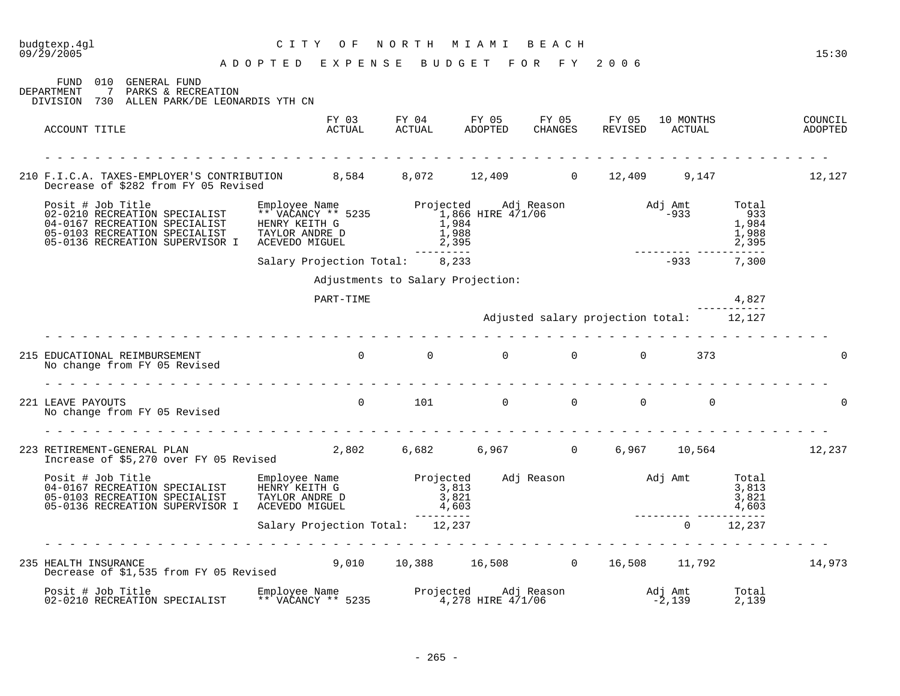| budgtexp.4gl<br>09/29/2005                                                                                                                                                                                                                                                                                                                                                                                                               | C I T Y<br>O F                                                                                                                                                                                                                                                                                                                                                                                                                                                                              |                                                           | NORTH MIAMI BEACH                                                      |                                          |                     |                | 15:30              |
|------------------------------------------------------------------------------------------------------------------------------------------------------------------------------------------------------------------------------------------------------------------------------------------------------------------------------------------------------------------------------------------------------------------------------------------|---------------------------------------------------------------------------------------------------------------------------------------------------------------------------------------------------------------------------------------------------------------------------------------------------------------------------------------------------------------------------------------------------------------------------------------------------------------------------------------------|-----------------------------------------------------------|------------------------------------------------------------------------|------------------------------------------|---------------------|----------------|--------------------|
|                                                                                                                                                                                                                                                                                                                                                                                                                                          | A D O P T E D E X P E N S E B U D G E T F O R F Y 2006                                                                                                                                                                                                                                                                                                                                                                                                                                      |                                                           |                                                                        |                                          |                     |                |                    |
| 010 GENERAL FUND<br>FUND<br>DEPARTMENT<br>$7\phantom{0}$<br>PARKS & RECREATION<br>DIVISION 730 ALLEN PARK/DE LEONARDIS YTH CN                                                                                                                                                                                                                                                                                                            |                                                                                                                                                                                                                                                                                                                                                                                                                                                                                             |                                                           |                                                                        |                                          |                     |                |                    |
| ACCOUNT TITLE                                                                                                                                                                                                                                                                                                                                                                                                                            |                                                                                                                                                                                                                                                                                                                                                                                                                                                                                             |                                                           | FY 03 FY 04 FY 05 FY 05 FY 05<br>ACTUAL ACTUAL ADOPTED CHANGES REVISED |                                          | 10 MONTHS<br>ACTUAL |                | COUNCIL<br>ADOPTED |
| 210 F.I.C.A. TAXES-EMPLOYER'S CONTRIBUTION 8,584 8,072 12,409 0 12,409 9,147<br>Decrease of \$282 from FY 05 Revised                                                                                                                                                                                                                                                                                                                     |                                                                                                                                                                                                                                                                                                                                                                                                                                                                                             |                                                           |                                                                        |                                          |                     |                | 12,127             |
| $\begin{tabular}{lllllllllllllllllll} \multicolumn{4}{c}{\textbf{Posit}}&\textbf{Job Title}&\textbf{Enployee Name}&\textbf{Enployee Name}&\textbf{Projected}&\textbf{Adj Reason}&\textbf{Adj Amt}&\textbf{Total}\\ 02-0210\text{ RECREATION SPECRALIST}&\textbf{** VACANCY} &\textbf{**} &\textbf{1,866 HIRE 4/1/06}&\textbf{933}&\textbf{933}&\textbf{1,988}&\textbf{1,988}&\textbf{1,988}&\textbf{1,988}&\textbf{1,988}&\textbf{1,988$ |                                                                                                                                                                                                                                                                                                                                                                                                                                                                                             |                                                           |                                                                        |                                          |                     |                |                    |
|                                                                                                                                                                                                                                                                                                                                                                                                                                          | Salary Projection Total: 8,233                                                                                                                                                                                                                                                                                                                                                                                                                                                              |                                                           |                                                                        |                                          | $-933$ 7,300        |                |                    |
|                                                                                                                                                                                                                                                                                                                                                                                                                                          |                                                                                                                                                                                                                                                                                                                                                                                                                                                                                             |                                                           | Adjustments to Salary Projection:                                      |                                          |                     |                |                    |
|                                                                                                                                                                                                                                                                                                                                                                                                                                          | PART-TIME                                                                                                                                                                                                                                                                                                                                                                                                                                                                                   |                                                           |                                                                        |                                          |                     | 4,827          |                    |
|                                                                                                                                                                                                                                                                                                                                                                                                                                          |                                                                                                                                                                                                                                                                                                                                                                                                                                                                                             |                                                           |                                                                        | Adjusted salary projection total: 12,127 |                     |                |                    |
|                                                                                                                                                                                                                                                                                                                                                                                                                                          |                                                                                                                                                                                                                                                                                                                                                                                                                                                                                             |                                                           |                                                                        |                                          |                     |                |                    |
| 215 EDUCATIONAL REIMBURSEMENT<br>No change from FY 05 Revised                                                                                                                                                                                                                                                                                                                                                                            |                                                                                                                                                                                                                                                                                                                                                                                                                                                                                             |                                                           |                                                                        |                                          |                     |                |                    |
|                                                                                                                                                                                                                                                                                                                                                                                                                                          |                                                                                                                                                                                                                                                                                                                                                                                                                                                                                             |                                                           |                                                                        |                                          |                     |                |                    |
| 221 LEAVE PAYOUTS<br>No change from FY 05 Revised                                                                                                                                                                                                                                                                                                                                                                                        | $\begin{matrix} 0 & 1 & 1 & 1 \end{matrix} \qquad \qquad \begin{matrix} 0 & 0 & 0 \end{matrix} \qquad \qquad \begin{matrix} 0 & 0 & 0 \end{matrix} \qquad \qquad \begin{matrix} 0 & 0 & 0 \end{matrix} \qquad \qquad \begin{matrix} 0 & 0 & 0 \end{matrix} \qquad \qquad \begin{matrix} 0 & 0 & 0 \end{matrix} \qquad \qquad \begin{matrix} 0 & 0 & 0 \end{matrix} \qquad \qquad \begin{matrix} 0 & 0 & 0 \end{matrix} \qquad \qquad \begin{matrix} 0 & 0 & 0 \end{matrix} \qquad \qquad \$ |                                                           |                                                                        |                                          |                     |                |                    |
|                                                                                                                                                                                                                                                                                                                                                                                                                                          |                                                                                                                                                                                                                                                                                                                                                                                                                                                                                             |                                                           |                                                                        |                                          |                     |                |                    |
| 223 RETIREMENT-GENERAL PLAN 2,802 6,682 6,967 0 6,967 10,564 12,237                                                                                                                                                                                                                                                                                                                                                                      |                                                                                                                                                                                                                                                                                                                                                                                                                                                                                             |                                                           |                                                                        |                                          |                     |                |                    |
| Posit # Job Title Employee Name Projected Adj Reason and J Amt Total 3,813<br>04-0167 RECREATION SPECIALIST HENRY KEITH G 3,813<br>05-0103 RECREATION SPECIALIST TAYLOR ANDRE D 3,821<br>05-0126 RECREATION SUPERVISOR TRIVING VIGHT<br>05-0136 RECREATION SUPERVISOR I ACEVEDO MIGUEL                                                                                                                                                   |                                                                                                                                                                                                                                                                                                                                                                                                                                                                                             | $\begin{array}{c} 2.813 \\ 3,821 \\ 4,603 \\ \end{array}$ |                                                                        |                                          |                     | 4,603          |                    |
|                                                                                                                                                                                                                                                                                                                                                                                                                                          | Salary Projection Total: 12,237                                                                                                                                                                                                                                                                                                                                                                                                                                                             |                                                           |                                                                        |                                          | $\sim$ 0            | 12,237         |                    |
|                                                                                                                                                                                                                                                                                                                                                                                                                                          |                                                                                                                                                                                                                                                                                                                                                                                                                                                                                             |                                                           |                                                                        |                                          |                     |                |                    |
| 235 HEALTH INSURANCE<br>Decrease of \$1,535 from FY 05 Revised                                                                                                                                                                                                                                                                                                                                                                           | 9,010 10,388 16,508 0 16,508 11,792                                                                                                                                                                                                                                                                                                                                                                                                                                                         |                                                           |                                                                        |                                          |                     |                | 14,973             |
|                                                                                                                                                                                                                                                                                                                                                                                                                                          |                                                                                                                                                                                                                                                                                                                                                                                                                                                                                             |                                                           |                                                                        |                                          |                     | Total<br>2,139 |                    |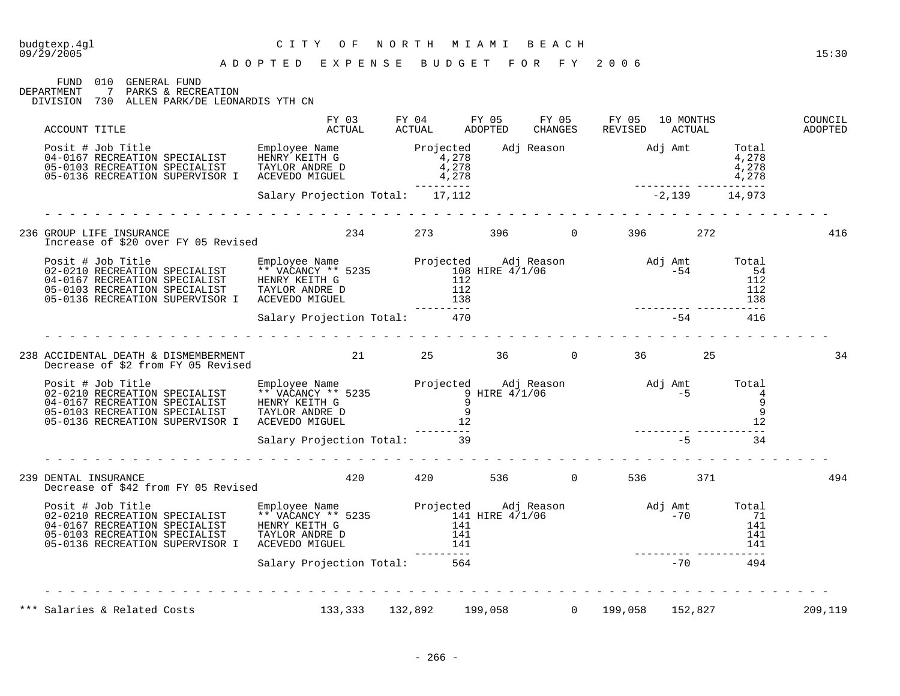# budgtexp.4gl C I T Y O F N O R T H M I A M I B E A C H

FUND 010 GENERAL FUND<br>DEPARTMENT 7 PARKS & RECRI 7 PARKS & RECREATION DIVISION 730 ALLEN PARK/DE LEONARDIS YTH CN FY 03 FY 04 FY 05 FY 05 FY 05 10 MONTHS COUNCIL

| ACCOUNT TITLE                                                                                                                                                                                                                        | ر س س<br>ACTUAL                 | エエ いエ<br>FI UT THE PROPERTY |                                                                                               | 1. T O O | CHANGES REVISED ACTUAL | REVISED ACTUAL |                                                  | COONCIN<br>ADOPTED |
|--------------------------------------------------------------------------------------------------------------------------------------------------------------------------------------------------------------------------------------|---------------------------------|-----------------------------|-----------------------------------------------------------------------------------------------|----------|------------------------|----------------|--------------------------------------------------|--------------------|
| Posit # Job Title Employee Name Projected Adj Reason Adj Amt Total<br>04-0167 RECREATION SPECIALIST HENRY KEITH G 4,278<br>05-0103 RECREATION SPECIALIST TAYLOR ANDRE D 4,278<br>05-0136 RECREATION SUPERVISOR I ACEVEDO MIGUEL 4,27 |                                 |                             | $\begin{array}{cccc}\n & 4,278 \\  & 4,278 \\  & 4,278 \\  & 4,278 \\  & -2,139\n\end{array}$ |          |                        |                |                                                  |                    |
|                                                                                                                                                                                                                                      | Salary Projection Total: 17,112 |                             |                                                                                               |          |                        |                |                                                  |                    |
|                                                                                                                                                                                                                                      |                                 |                             |                                                                                               |          |                        |                |                                                  | 416                |
|                                                                                                                                                                                                                                      |                                 |                             |                                                                                               |          |                        |                |                                                  |                    |
|                                                                                                                                                                                                                                      |                                 |                             |                                                                                               |          |                        |                |                                                  |                    |
|                                                                                                                                                                                                                                      |                                 |                             |                                                                                               |          |                        |                |                                                  |                    |
| 238 ACCIDENTAL DEATH & DISMEMBERMENT 21 25 36 0 36 36 25<br>Decrease of \$2 from FY 05 Revised                                                                                                                                       |                                 |                             |                                                                                               |          |                        |                |                                                  | 34                 |
| Posit # Job Title Employee Name Manuscript of Adj Reason and Adj Amt Total 19-010 RECREATION SPECIALIST ** VACANCY ** 5235<br>04-0167 RECREATION SPECIALIST TRIVIOR ANDRE D<br>05-0103 RECREATION SUPERVISOR I ACEVEDO MIGUEL 9<br>0 |                                 |                             |                                                                                               |          |                        |                |                                                  |                    |
|                                                                                                                                                                                                                                      |                                 |                             |                                                                                               |          |                        |                |                                                  |                    |
| DENTAL INSURANCE<br>Decrease of \$42 from FY 05 Revised         420      536      0     536      371<br>239 DENTAL INSURANCE                                                                                                         |                                 |                             |                                                                                               |          |                        |                |                                                  | 494                |
|                                                                                                                                                                                                                                      |                                 |                             |                                                                                               |          |                        |                | $\begin{array}{c} 141 \\ 141 \\ 141 \end{array}$ |                    |
|                                                                                                                                                                                                                                      |                                 |                             |                                                                                               |          |                        |                |                                                  |                    |
| *** Salaries & Related Costs (133,333 132,892 199,058 0 199,058 152,827                                                                                                                                                              |                                 |                             |                                                                                               |          |                        |                |                                                  | 209,119            |
|                                                                                                                                                                                                                                      |                                 |                             |                                                                                               |          |                        |                |                                                  |                    |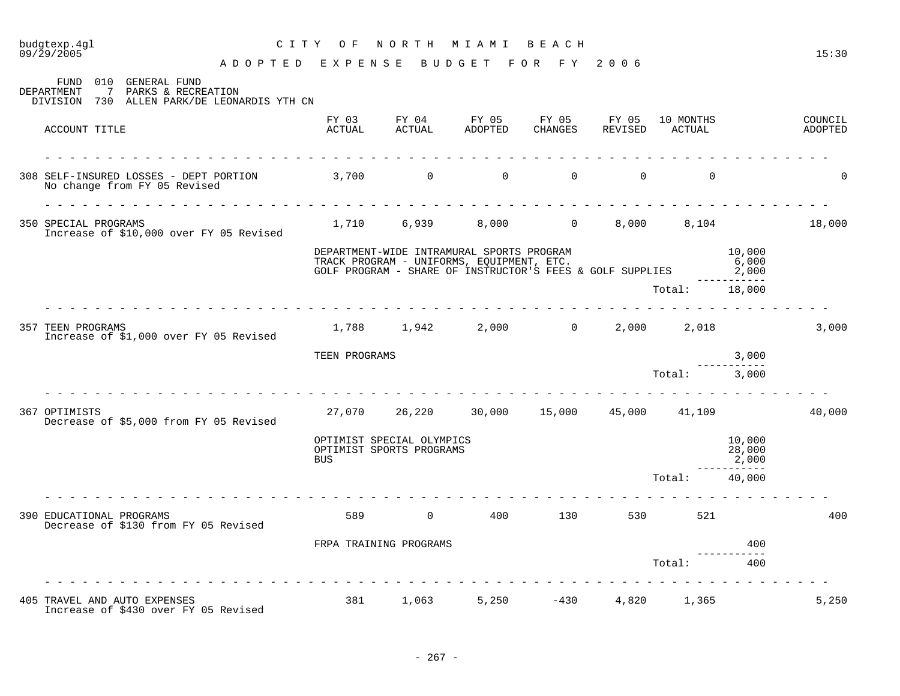# budgtexp.4gl C I T Y O F N O R T H M I A M I B E A C H

A D O P T E D E X P E N S E B U D G E T F O R F Y 2 0 0 6

| <b>DEPARTMENT</b> | 010<br><b>GENERAL FUND</b><br>FUND<br>$7\phantom{0}$<br>PARKS & RECREATION<br>DIVISION 730 ALLEN PARK/DE LEONARDIS YTH CN |                        |                                                       |                                                                                                                                                           |                |                |                             |                                       |                    |
|-------------------|---------------------------------------------------------------------------------------------------------------------------|------------------------|-------------------------------------------------------|-----------------------------------------------------------------------------------------------------------------------------------------------------------|----------------|----------------|-----------------------------|---------------------------------------|--------------------|
|                   | ACCOUNT TITLE                                                                                                             | FY 03<br>ACTUAL        | ACTUAL                                                | FY 04 FY 05 FY 05 FY 05<br>ADOPTED                                                                                                                        | CHANGES        |                | 10 MONTHS<br>REVISED ACTUAL |                                       | COUNCIL<br>ADOPTED |
|                   | 308 SELF-INSURED LOSSES - DEPT PORTION 3,700 0<br>No change from FY 05 Revised                                            |                        |                                                       | $\overline{0}$                                                                                                                                            | $\overline{0}$ | $\overline{0}$ | $\mathbf 0$                 |                                       | <sup>0</sup>       |
|                   | 350 SPECIAL PROGRAMS<br>Increase of \$10,000 over FY 05 Revised                                                           |                        |                                                       | 1,710 6,939 8,000 0                                                                                                                                       |                | 8,000          | 8,104                       |                                       | 18,000             |
|                   |                                                                                                                           |                        |                                                       | DEPARTMENT-WIDE INTRAMURAL SPORTS PROGRAM<br>TRACK PROGRAM - UNIFORMS, EQUIPMENT, ETC.<br>GOLF PROGRAM - SHARE OF INSTRUCTOR'S FEES & GOLF SUPPLIES 2,000 |                |                |                             | 10,000<br>6,000                       |                    |
|                   |                                                                                                                           |                        |                                                       |                                                                                                                                                           |                |                | Total: 18,000               | . <u>.</u> .                          |                    |
|                   | 357 TEEN PROGRAMS<br>Increase of \$1,000 over FY 05 Revised                                                               |                        |                                                       | 1,788 1,942 2,000 0                                                                                                                                       |                |                | 2,000 2,018                 |                                       | 3,000              |
|                   |                                                                                                                           | TEEN PROGRAMS          |                                                       |                                                                                                                                                           |                |                |                             | 3,000                                 |                    |
|                   |                                                                                                                           |                        |                                                       |                                                                                                                                                           |                |                | Total: 3,000                |                                       |                    |
| 367 OPTIMISTS     | Decrease of \$5,000 from FY 05 Revised                                                                                    |                        |                                                       | 27,070  26,220  30,000  15,000  45,000  41,109                                                                                                            |                |                |                             |                                       | 40,000             |
|                   |                                                                                                                           | <b>BUS</b>             | OPTIMIST SPECIAL OLYMPICS<br>OPTIMIST SPORTS PROGRAMS |                                                                                                                                                           |                |                |                             | 10,000<br>28,000<br>2,000<br>-------- |                    |
|                   |                                                                                                                           |                        |                                                       |                                                                                                                                                           |                |                | Total:                      | 40,000                                |                    |
|                   | 390 EDUCATIONAL PROGRAMS<br>Decrease of \$130 from FY 05 Revised                                                          |                        |                                                       | 589 0 400 130 530 521                                                                                                                                     |                |                |                             |                                       | 400                |
|                   |                                                                                                                           | FRPA TRAINING PROGRAMS |                                                       |                                                                                                                                                           |                |                |                             | 400                                   |                    |
|                   |                                                                                                                           |                        |                                                       |                                                                                                                                                           |                |                | Total:                      | 400                                   |                    |
|                   | 405 TRAVEL AND AUTO EXPENSES                                                                                              | 381                    | 1,063                                                 |                                                                                                                                                           | $5,250$ $-430$ |                | 4,820 1,365                 |                                       | 5,250              |
|                   | Increase of \$430 over FY 05 Revised                                                                                      |                        |                                                       |                                                                                                                                                           |                |                |                             |                                       |                    |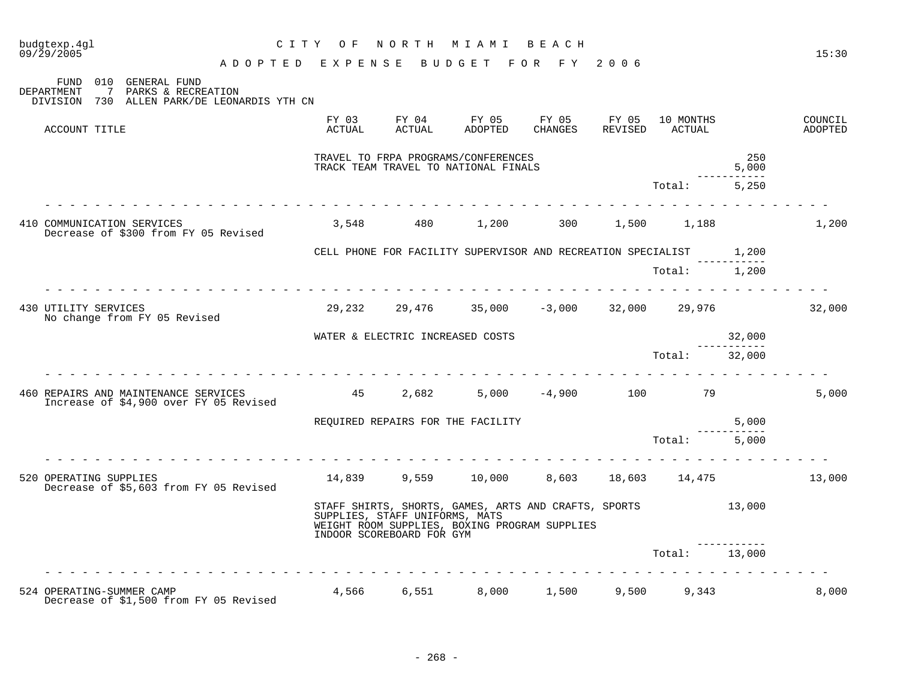| budgtexp.4gl<br>09/29/2005 |                                                                                                              | CITY OF NORTH MIAMI BEACH<br>ADOPTED EXPENSE BUDGET FOR FY 2006 |                                                             |                                                                                                              |         |                            |                       | 15:30              |
|----------------------------|--------------------------------------------------------------------------------------------------------------|-----------------------------------------------------------------|-------------------------------------------------------------|--------------------------------------------------------------------------------------------------------------|---------|----------------------------|-----------------------|--------------------|
| DEPARTMENT                 | FUND 010 GENERAL FUND<br>$7\phantom{0}$<br>PARKS & RECREATION<br>DIVISION 730 ALLEN PARK/DE LEONARDIS YTH CN |                                                                 |                                                             |                                                                                                              |         |                            |                       |                    |
| ACCOUNT TITLE              |                                                                                                              | FY 03<br>ACTUAL                                                 |                                                             | FY 04 FY 05 FY 05 FY 05<br>ACTUAL ADOPTED CHANGES                                                            | REVISED | 10 MONTHS<br><b>ACTUAL</b> |                       | COUNCIL<br>ADOPTED |
|                            |                                                                                                              |                                                                 |                                                             | TRAVEL TO FRPA PROGRAMS/CONFERENCES<br>TRACK TEAM TRAVEL TO NATIONAL FINALS                                  |         |                            | 250<br>5,000          |                    |
|                            |                                                                                                              |                                                                 |                                                             |                                                                                                              |         | Total: 5,250               |                       |                    |
|                            | 410 COMMUNICATION SERVICES<br>Decrease of \$300 from FY 05 Revised                                           |                                                                 |                                                             | $3,548$ $480$ $1,200$ $300$ $1,500$ $1,188$                                                                  |         |                            |                       | 1,200              |
|                            |                                                                                                              |                                                                 |                                                             | CELL PHONE FOR FACILITY SUPERVISOR AND RECREATION SPECIALIST 1,200                                           |         |                            |                       |                    |
|                            |                                                                                                              |                                                                 |                                                             |                                                                                                              |         | Total: 1,200               |                       |                    |
| 430 UTILITY SERVICES       | No change from FY 05 Revised                                                                                 |                                                                 |                                                             | $29,232$ $29,476$ $35,000$ $-3,000$ $32,000$ $29,976$ $32,000$                                               |         |                            |                       |                    |
|                            |                                                                                                              |                                                                 |                                                             | WATER & ELECTRIC INCREASED COSTS                                                                             |         |                            | 32,000<br>----------- |                    |
|                            |                                                                                                              |                                                                 |                                                             |                                                                                                              |         | Total: 32,000              |                       |                    |
|                            | 460 REPAIRS AND MAINTENANCE SERVICES<br>Increase of \$4,900 over FY 05 Revised                               | $45$ $2,682$ $5,000$ $-4,900$ $100$ $79$                        |                                                             |                                                                                                              |         |                            |                       | 5,000              |
|                            |                                                                                                              |                                                                 |                                                             | REQUIRED REPAIRS FOR THE FACILITY                                                                            |         |                            | 5,000<br>-----------  |                    |
|                            |                                                                                                              |                                                                 |                                                             |                                                                                                              |         | Total: 5,000               |                       |                    |
|                            | 520 OPERATING SUPPLIES<br>Decrease of \$5,603 from FY 05 Revised                                             |                                                                 |                                                             | $14,839$ $9,559$ $10,000$ $8,603$ $18,603$ $14,475$ $13,000$                                                 |         |                            |                       |                    |
|                            |                                                                                                              |                                                                 | SUPPLIES, STAFF UNIFORMS, MATS<br>INDOOR SCOREBOARD FOR GYM | STAFF SHIRTS, SHORTS, GAMES, ARTS AND CRAFTS, SPORTS 13,000<br>WEIGHT ROOM SUPPLIES, BOXING PROGRAM SUPPLIES |         |                            |                       |                    |
|                            |                                                                                                              |                                                                 |                                                             |                                                                                                              |         | Total: 13,000              |                       |                    |
|                            |                                                                                                              |                                                                 |                                                             |                                                                                                              |         |                            |                       |                    |
| 524 OPERATING-SUMMER CAMP  | Decrease of \$1,500 from FY 05 Revised                                                                       |                                                                 |                                                             | 4,566   6,551    8,000   1,500   9,500   9,343                                                               |         |                            |                       | 8,000              |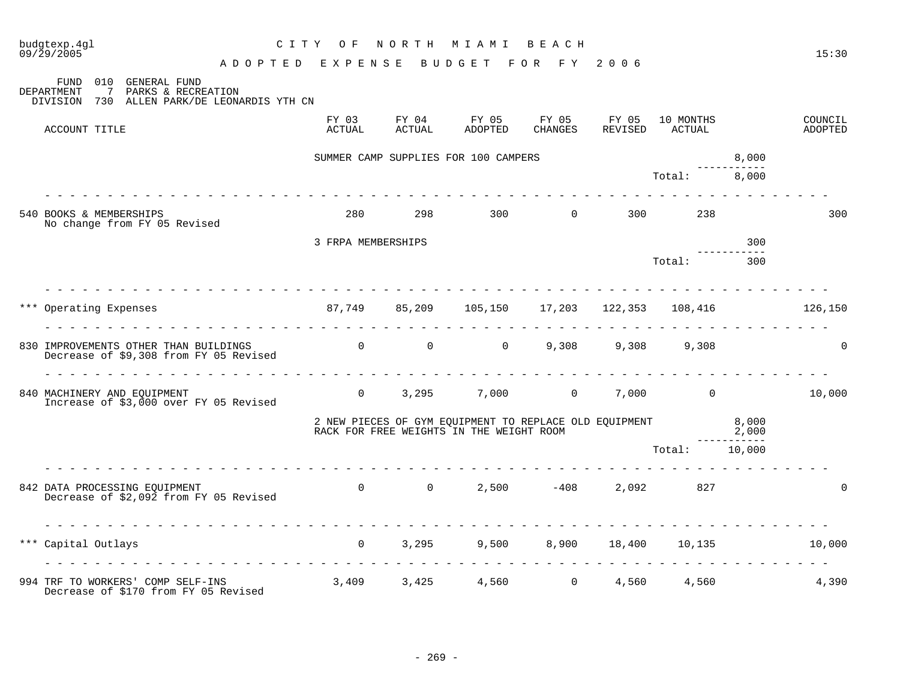| budgtexp.4gl<br>$09/\bar{2}9/2005$                                                                                                                 |                            | C I T Y<br>O F                      | NORTH           | M I A M I                                | BEACH                                                  |                  |                     |                | 15:30              |
|----------------------------------------------------------------------------------------------------------------------------------------------------|----------------------------|-------------------------------------|-----------------|------------------------------------------|--------------------------------------------------------|------------------|---------------------|----------------|--------------------|
|                                                                                                                                                    |                            | ADOPTED EXPENSE                     |                 | BUDGET                                   | FOR FY                                                 | 2006             |                     |                |                    |
| <b>GENERAL FUND</b><br><b>FUND</b><br>010<br>$7\overline{ }$<br>PARKS & RECREATION<br>DEPARTMENT<br>DIVISION 730<br>ALLEN PARK/DE LEONARDIS YTH CN |                            |                                     |                 |                                          |                                                        |                  |                     |                |                    |
| ACCOUNT TITLE                                                                                                                                      |                            | FY 03<br>ACTUAL                     | FY 04<br>ACTUAL | FY 05<br>ADOPTED                         | FY 05<br>CHANGES                                       | FY 05<br>REVISED | 10 MONTHS<br>ACTUAL |                | COUNCIL<br>ADOPTED |
|                                                                                                                                                    |                            |                                     |                 | SUMMER CAMP SUPPLIES FOR 100 CAMPERS     |                                                        |                  |                     | 8,000          |                    |
|                                                                                                                                                    | ren en en en en en en en e |                                     |                 |                                          |                                                        |                  | Total:              | 8,000          |                    |
| 540 BOOKS & MEMBERSHIPS<br>No change from FY 05 Revised                                                                                            |                            | 280                                 | 298             |                                          | $300$ 0                                                |                  | 300 000<br>238      |                | 300                |
|                                                                                                                                                    |                            | 3 FRPA MEMBERSHIPS                  |                 |                                          |                                                        |                  |                     | 300            |                    |
|                                                                                                                                                    |                            |                                     |                 |                                          |                                                        |                  | Total:              | 300            |                    |
|                                                                                                                                                    |                            |                                     |                 |                                          |                                                        |                  |                     |                |                    |
| *** Operating Expenses                                                                                                                             |                            | 87,749<br>di di di di di di di di d | 85,209          |                                          | 105,150 17,203 122,353                                 |                  | 108,416             |                | 126,150            |
| 830 IMPROVEMENTS OTHER THAN BUILDINGS<br>Decrease of \$9,308 from FY 05 Revised                                                                    |                            | $\begin{matrix}0&0\end{matrix}$     |                 |                                          | $0 \qquad \qquad$                                      | 9,308 9,308      | 9,308               |                | $\mathbf 0$        |
| 840 MACHINERY AND EQUIPMENT<br>Increase of \$3,000 over FY 05 Revised                                                                              |                            |                                     | $\Omega$        |                                          | $3,295$ $7,000$ 0 $7,000$ 0                            |                  |                     |                | 10,000             |
|                                                                                                                                                    |                            |                                     |                 | RACK FOR FREE WEIGHTS IN THE WEIGHT ROOM | 2 NEW PIECES OF GYM EQUIPMENT TO REPLACE OLD EQUIPMENT |                  |                     | 8,000<br>2,000 |                    |
|                                                                                                                                                    |                            |                                     |                 |                                          |                                                        |                  | Total: 10,000       |                |                    |
| 842 DATA PROCESSING EQUIPMENT<br>Decrease of \$2,092 from FY 05 Revised                                                                            |                            | $\overline{0}$                      | $\overline{0}$  |                                          | $2,500 -408$                                           |                  | 2,092<br>827        |                | $\Omega$           |
| *** Capital Outlays                                                                                                                                |                            | $\Omega$                            | 3,295           | 9,500                                    |                                                        |                  | 8,900 18,400 10,135 |                | 10,000             |
|                                                                                                                                                    |                            |                                     |                 |                                          |                                                        |                  |                     |                |                    |
| 994 TRF TO WORKERS' COMP SELF-INS<br>Decrease of \$170 from FY 05 Revised                                                                          |                            | 3,409 3,425 4,560 0 4,560           |                 |                                          |                                                        |                  | 4,560               |                | 4,390              |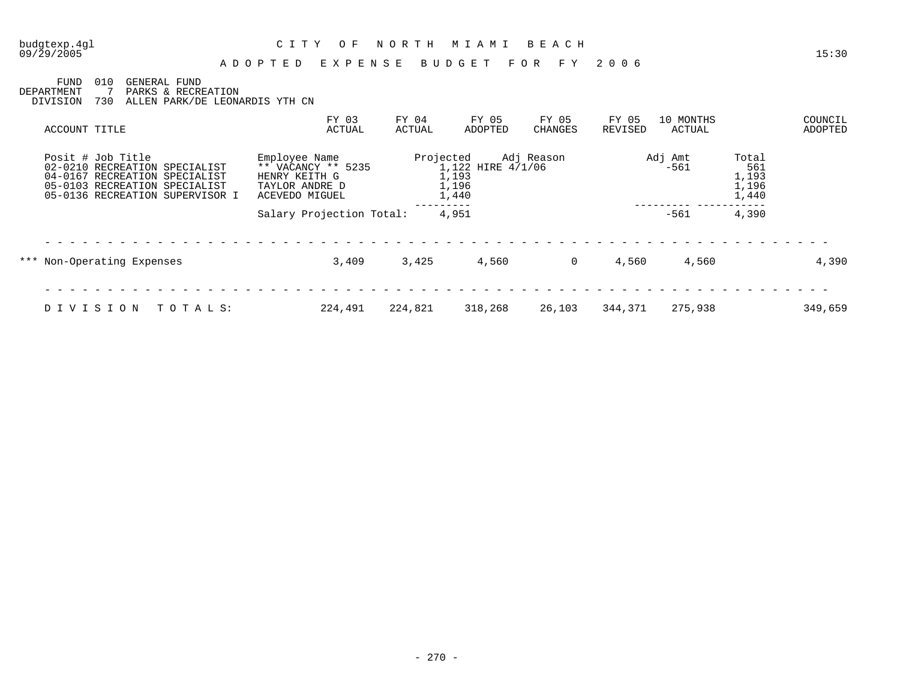#### 09/29/2005 15:30 A D O P T E D E X P E N S E B U D G E T F O R F Y 2 0 0 6

FUND 010 GENERAL FUND DEPARTMENT 7 PARKS & RECREATION DIVISION 730 ALLEN PARK/DE LEONARDIS YTH CN

| ACCOUNT TITLE                                                                                                                                           | FY 03<br>ACTUAL                                                                          | FY 04<br>ACTUAL | FY 05<br>ADOPTED                             | FY 05<br>CHANGES | FY 05<br>REVISED | 10 MONTHS<br>ACTUAL |                                         | COUNCIL<br>ADOPTED |
|---------------------------------------------------------------------------------------------------------------------------------------------------------|------------------------------------------------------------------------------------------|-----------------|----------------------------------------------|------------------|------------------|---------------------|-----------------------------------------|--------------------|
| Posit # Job Title<br>02-0210 RECREATION SPECIALIST<br>04-0167 RECREATION SPECIALIST<br>05-0103 RECREATION SPECIALIST<br>05-0136 RECREATION SUPERVISOR I | Employee Name<br>** VACANCY ** 5235<br>HENRY KEITH G<br>TAYLOR ANDRE D<br>ACEVEDO MIGUEL | Projected       | 1,122 HIRE 4/1/06<br>1,193<br>1,196<br>1,440 | Adj Reason       |                  | Adj Amt<br>$-561$   | Total<br>561<br>1,193<br>1,196<br>1,440 |                    |
|                                                                                                                                                         | Salary Projection Total:                                                                 |                 | 4,951                                        |                  |                  | $-561$              | 4,390                                   |                    |
| *** Non-Operating Expenses                                                                                                                              | 3,409                                                                                    | 3,425           | 4,560                                        | $\Omega$         | 4,560            | 4,560               |                                         | 4,390              |
| DIVISION<br>TOTALS:                                                                                                                                     | 224,491                                                                                  | 224,821         | 318,268                                      | 26,103           | 344,371          | 275,938             |                                         | 349,659            |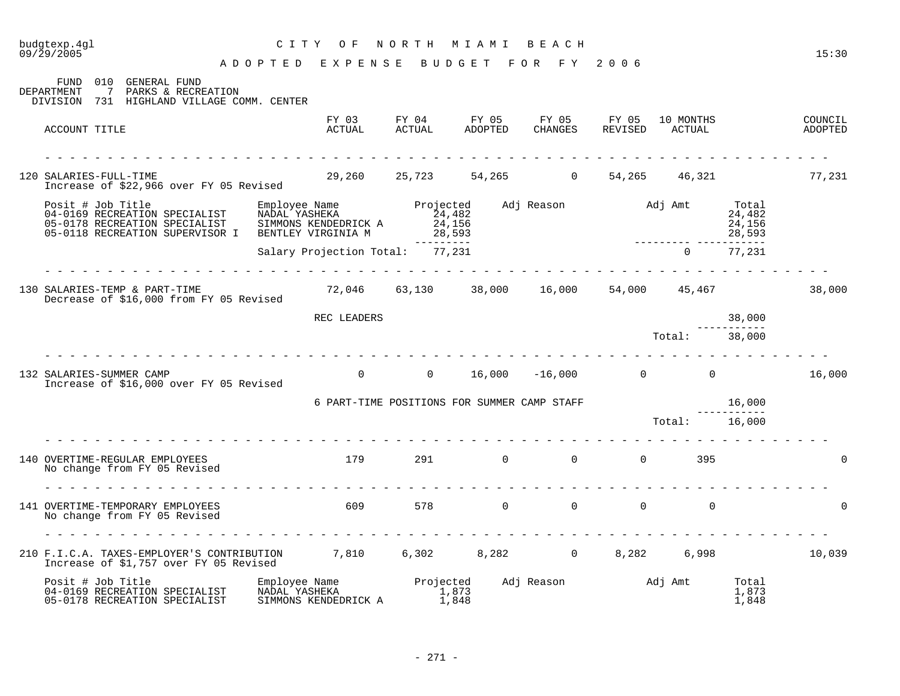|                                                                                                                                           | E X P E N S E<br>ADOPTED                                                      |                     | BUDGET                                   | FOR FY              | 2006           |                             |                         |                    |
|-------------------------------------------------------------------------------------------------------------------------------------------|-------------------------------------------------------------------------------|---------------------|------------------------------------------|---------------------|----------------|-----------------------------|-------------------------|--------------------|
| 010 GENERAL FUND<br>FUND<br>7 PARKS & RECREATION<br>DEPARTMENT<br>DIVISION 731 HIGHLAND VILLAGE COMM. CENTER                              |                                                                               |                     |                                          |                     |                |                             |                         |                    |
| ACCOUNT TITLE                                                                                                                             | ACTUAL                                                                        | ACTUAL              | FY 03 FY 04 FY 05 FY 05 FY 05<br>ADOPTED | CHANGES             |                | 10 MONTHS<br>REVISED ACTUAL |                         | COUNCIL<br>ADOPTED |
|                                                                                                                                           |                                                                               |                     |                                          |                     |                |                             |                         |                    |
| 120 SALARIES-FULL-TIME<br>Increase of \$22,966 over FY 05 Revised                                                                         | 29,260 25,723 54,265 0                                                        |                     |                                          |                     |                | 54, 265 46, 321             |                         | 77,231             |
| Posit # Job Title<br>04-0169 RECREATION SPECIALIST<br>05-0178 RECREATION SPECIALIST<br>05-0118 RECREATION SUPERVISOR I                    |                                                                               |                     | 28,593                                   |                     |                |                             | 28,593                  |                    |
|                                                                                                                                           | Salary Projection Total: 77,231                                               |                     |                                          |                     |                | $\Omega$                    | ------------<br>77,231  |                    |
| 130 SALARIES-TEMP & PART-TIME<br>Decrease of \$16,000 from FY 05 Revised                                                                  | $72,046$ $63,130$ $38,000$ $16,000$ $54,000$ $45,467$                         |                     |                                          |                     |                |                             |                         | 38,000             |
|                                                                                                                                           | REC LEADERS                                                                   |                     |                                          |                     |                |                             | 38,000                  |                    |
|                                                                                                                                           |                                                                               |                     |                                          |                     |                | Total: 38,000               |                         |                    |
| 132 SALARIES-SUMMER CAMP<br>Increase of \$16,000 over FY 05 Revised                                                                       | <u>a la la la la la la la la la la la</u>                                     |                     | $0$ 0 $16,000$ $-16,000$ 0 $0$ $16,000$  |                     |                |                             |                         |                    |
|                                                                                                                                           | 6 PART-TIME POSITIONS FOR SUMMER CAMP STAFF                                   |                     |                                          |                     |                |                             | 16,000                  |                    |
|                                                                                                                                           |                                                                               |                     |                                          |                     |                |                             |                         |                    |
| 140 OVERTIME-REGULAR EMPLOYEES<br>No change from FY 05 Revised                                                                            | 179                                                                           |                     | 291 0                                    |                     | $\Omega$       | $\Omega$<br>395             |                         |                    |
|                                                                                                                                           |                                                                               |                     |                                          |                     |                |                             |                         |                    |
| 141 OVERTIME-TEMPORARY EMPLOYEES<br>No change from FY 05 Revised                                                                          | 609 60                                                                        |                     | 578 0                                    |                     | $\overline{0}$ | $\Omega$<br>$\Omega$        |                         |                    |
|                                                                                                                                           |                                                                               |                     |                                          |                     |                |                             |                         |                    |
| 210 F.I.C.A. TAXES-EMPLOYER'S CONTRIBUTION 7,810 6,302 8,282 0 8,282 6,998<br>Increase of \$1,757 over FY 05 Revised                      |                                                                               |                     |                                          |                     |                |                             |                         | 10,039             |
| Posit # Job Title<br>1031c # 005 TILLE<br>04-0169 RECREATION SPECIALIST<br>05-0178 RECREATION SPECIALIST<br>05-0178 RECREATION SPECIALIST | Employee Name<br>NADAL YASHEKA 1.873<br>NADAL YASHEKA<br>SIMMONS KENDEDRICK A | $\frac{1}{1}$ , 873 | 1,848                                    | Adj Reason Madj Amt |                |                             | Total<br>1,873<br>1,848 |                    |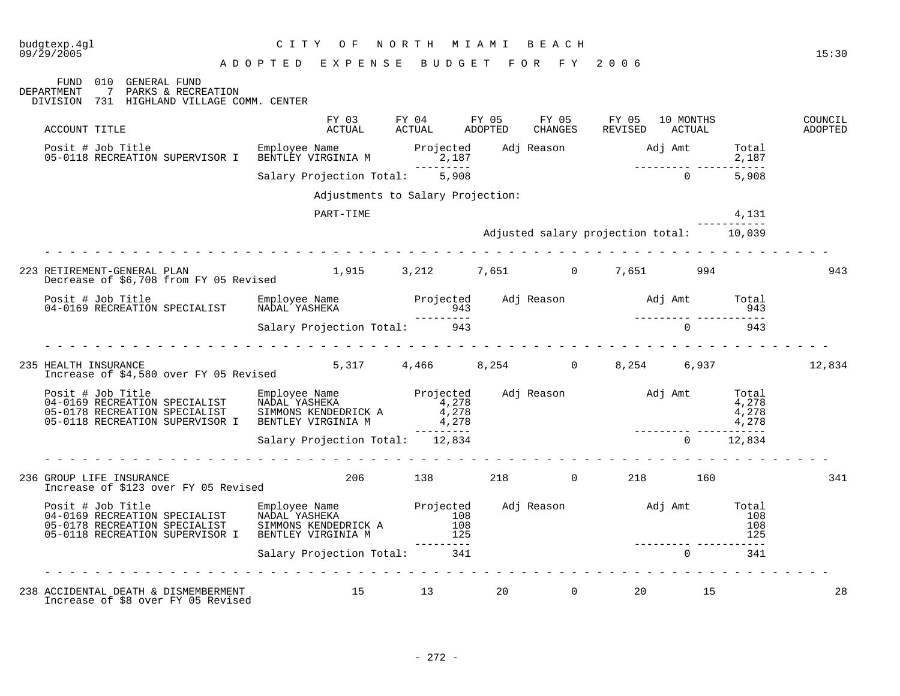| budgtexp.4gl<br>09/29/2005                                                                                                                                                                                                                                             | C I T Y<br>O F<br>ADOPTED EXPENSE BUDGET FOR FY 2006 |         | NORTH MIAMI BEACH                                                                       |                |       | 15:30              |
|------------------------------------------------------------------------------------------------------------------------------------------------------------------------------------------------------------------------------------------------------------------------|------------------------------------------------------|---------|-----------------------------------------------------------------------------------------|----------------|-------|--------------------|
| FUND 010 GENERAL FUND<br>DEPARTMENT<br>7 PARKS & RECREATION<br>DIVISION 731 HIGHLAND VILLAGE COMM. CENTER                                                                                                                                                              |                                                      |         |                                                                                         |                |       |                    |
| ACCOUNT TITLE                                                                                                                                                                                                                                                          |                                                      |         | FY 03 FY 04 FY 05 FY 05 FY 05 10 MONTHS<br>ACTUAL ACTUAL ADOPTED CHANGES REVISED ACTUAL |                |       | COUNCIL<br>ADOPTED |
|                                                                                                                                                                                                                                                                        |                                                      |         | $2,187$<br>---------<br>5,908                                                           |                |       |                    |
|                                                                                                                                                                                                                                                                        | Salary Projection Total: 5,908                       |         |                                                                                         | $\overline{0}$ | 5,908 |                    |
|                                                                                                                                                                                                                                                                        | Adjustments to Salary Projection:                    |         |                                                                                         |                |       |                    |
|                                                                                                                                                                                                                                                                        | PART-TIME                                            |         |                                                                                         |                | 4,131 |                    |
|                                                                                                                                                                                                                                                                        |                                                      |         | Adjusted salary projection total: 10,039                                                |                |       |                    |
| 223 RETIREMENT-GENERAL PLAN<br>Decrease of \$6,708 from FY 05 Revised                                                                                                                                                                                                  |                                                      |         | 1,915 3,212 7,651 0 7,651 994                                                           |                |       | 943                |
|                                                                                                                                                                                                                                                                        |                                                      |         |                                                                                         |                |       |                    |
|                                                                                                                                                                                                                                                                        |                                                      |         |                                                                                         |                |       |                    |
| 235 HEALTH INSURANCE<br>Increase of \$4,580 over FY 05 Revised                                                                                                                                                                                                         |                                                      |         | $5,317$ $4,466$ $8,254$ $0$ $8,254$ $6,937$                                             |                |       | 12,834             |
| Posit # Job Title Employee Name Projected Adj Reason Adj Amt Total<br>04-0169 RECREATION SPECIALIST NADAL YASHEKA 4,278<br>05-0178 RECREATION SPECIALIST SIMMONS KENDEDRICK A 4,278<br>05-0118 RECREATION SUPERVISOR I BENTLEY VIRGI                                   |                                                      |         |                                                                                         |                |       |                    |
|                                                                                                                                                                                                                                                                        |                                                      |         |                                                                                         |                |       |                    |
|                                                                                                                                                                                                                                                                        |                                                      |         |                                                                                         |                |       |                    |
| 236 GROUP LIFE INSURANCE<br>Increase of \$123 over FY 05 Revised                                                                                                                                                                                                       |                                                      | 206 138 | 218 0 218 160                                                                           |                |       | 341                |
| Posit # Job Title Employee Name Projected Adj Reason and Jamt Total<br>04-0169 RECREATION SPECIALIST NADAL YASHEKA 108 108 108 108 108<br>05-0178 RECREATION SPECIALIST SIMMONS KENDEDRICK A 108 108 108 108 108<br>05-0118 RECREATION SUPERVISOR I BENTLEY VIRGINIA M |                                                      | 125     |                                                                                         |                | 125   |                    |
|                                                                                                                                                                                                                                                                        | Salary Projection Total: 341                         |         |                                                                                         | $\cap$         | 341   |                    |
|                                                                                                                                                                                                                                                                        |                                                      |         |                                                                                         |                |       |                    |

238 ACCIDENTAL DEATH & DISMEMBERMENT 15 13 20 0 20 15 28 Increase of \$8 over FY 05 Revised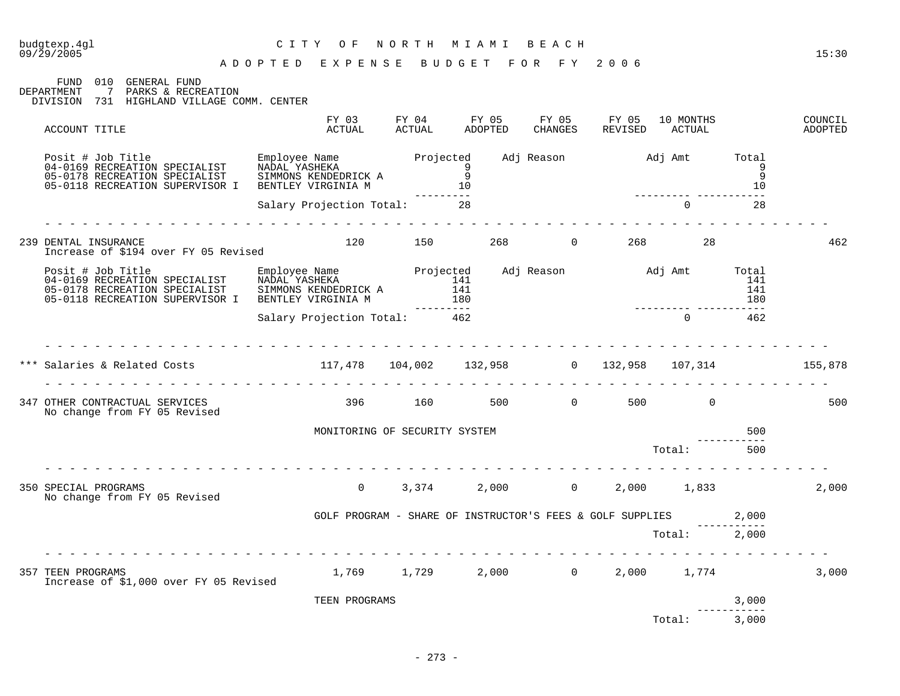| budgtexp.4gl<br>09/29/2005                                                                                                                                                                                                                     | C I T Y<br>O F                                              | N O R T H | M I A M I                                                       | BEACH          |                       |                     |            | 15:30              |
|------------------------------------------------------------------------------------------------------------------------------------------------------------------------------------------------------------------------------------------------|-------------------------------------------------------------|-----------|-----------------------------------------------------------------|----------------|-----------------------|---------------------|------------|--------------------|
| FUND 010 GENERAL FUND<br>7 PARKS & RECREATION<br><b>DEPARTMENT</b><br>DIVISION 731 HIGHLAND VILLAGE COMM. CENTER                                                                                                                               | ADOPTED EXPENSE                                             |           | BUDGET FOR FY 2006                                              |                |                       |                     |            |                    |
| ACCOUNT TITLE                                                                                                                                                                                                                                  | FY 03<br>¤Ctual                                             |           | FY 04 FY 05 FY 05 FY 05<br>ACTUAL ADOPTED CHANGES REVISED       |                | REVISED               | 10 MONTHS<br>ACTUAL |            | COUNCIL<br>ADOPTED |
| Posit # Job Title Employee Name Projected Adj Reason and Adj Amt Total Money Control of the Employee Name Projected Adj Reason and Adj Amt Total 9<br>19 05-0178 RECREATION SPECIALIST SIMMONS KENDEDRICK A<br>05-0118 RECREATION SUPERVISOR I | NADAL YASHEKA<br>SIMMONS KENDEDRICK A<br>BENTLEY VIRGINIA M |           |                                                                 |                |                       |                     | 10         |                    |
|                                                                                                                                                                                                                                                | Salary Projection Total: 28                                 |           | $\frac{10}{28}$                                                 |                |                       | $\Omega$            | 28         |                    |
| 239 DENTAL INSURANCE<br>Increase of \$194 over FY 05 Revised                                                                                                                                                                                   | 120                                                         | 150 31    |                                                                 | 268 and $\sim$ | $0 \qquad \qquad 268$ | 28                  |            | 462                |
| Posit # Job Title Employee Name Projected Adj Reason Adj Amt Total<br>04-0169 RECREATION SPECIALIST NADAL YASHEKA 141 141<br>05-0118 RECREATION SUPERVISOR I BENTLEY VIRGINIA M 180<br>31 141 141<br>05-0118 RECREATION SUPERVISOR I B         |                                                             |           |                                                                 |                |                       |                     |            |                    |
|                                                                                                                                                                                                                                                | Salary Projection Total: 462                                |           |                                                                 |                |                       |                     |            |                    |
| *** Salaries & Related Costs (155,878 104,002 132,958 0 132,958 107,314 155,878                                                                                                                                                                |                                                             |           |                                                                 |                |                       |                     |            |                    |
| 347 OTHER CONTRACTUAL SERVICES<br>No change from FY 05 Revised                                                                                                                                                                                 |                                                             |           | 396 160 500 0 500 0                                             |                |                       |                     |            | 500                |
|                                                                                                                                                                                                                                                | MONITORING OF SECURITY SYSTEM                               |           |                                                                 |                |                       | Total:              | 500<br>500 |                    |
|                                                                                                                                                                                                                                                |                                                             |           |                                                                 |                |                       |                     |            |                    |
| 350 SPECIAL PROGRAMS<br>No change from FY 05 Revised                                                                                                                                                                                           | $\Omega$                                                    | 3,374     |                                                                 |                | 2,000 0 2,000 1,833   |                     |            | 2,000              |
|                                                                                                                                                                                                                                                |                                                             |           | GOLF PROGRAM - SHARE OF INSTRUCTOR'S FEES & GOLF SUPPLIES 2,000 |                |                       | Total: 2,000        |            |                    |
| 357 TEEN PROGRAMS<br>Increase of \$1,000 over FY 05 Revised                                                                                                                                                                                    |                                                             |           | 1,769 1,729 2,000 0                                             |                |                       | 2,000 1,774         |            | 3,000              |

TEEN PROGRAMS 3,000 -------------<br>3,000 Total: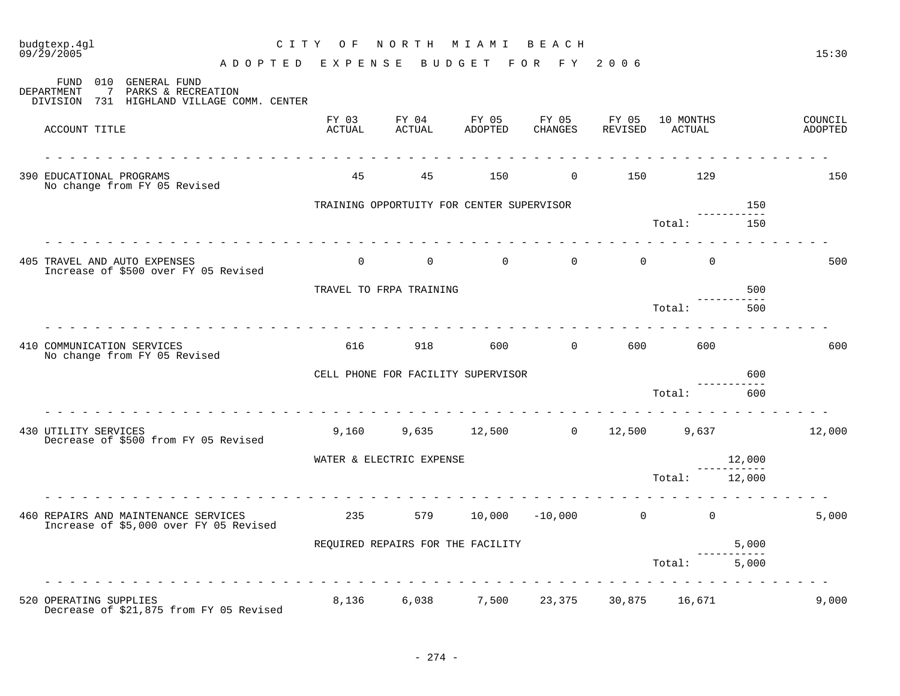| 09/29/2005<br>A D O P T E D E X P E N S E B U D G E T                                                                        |                 |                                           |                                     | FOR FY                 | 2006                       |                     |                  | 15:30              |
|------------------------------------------------------------------------------------------------------------------------------|-----------------|-------------------------------------------|-------------------------------------|------------------------|----------------------------|---------------------|------------------|--------------------|
| 010 GENERAL FUND<br>FUND<br>$\overline{7}$<br>PARKS & RECREATION<br>DEPARTMENT<br>DIVISION 731 HIGHLAND VILLAGE COMM. CENTER |                 |                                           |                                     |                        |                            |                     |                  |                    |
| ACCOUNT TITLE                                                                                                                | FY 03<br>ACTUAL | FY 04<br>ACTUAL                           | FY 05<br>ADOPTED                    | FY 05 FY 05<br>CHANGES | REVISED                    | 10 MONTHS<br>ACTUAL |                  | COUNCIL<br>ADOPTED |
| .                                                                                                                            |                 |                                           |                                     |                        |                            |                     |                  |                    |
| 390 EDUCATIONAL PROGRAMS<br>No change from FY 05 Revised                                                                     | 45              | 45                                        | 150                                 | $\overline{0}$         | 150                        | 129                 |                  | 150                |
|                                                                                                                              |                 | TRAINING OPPORTUITY FOR CENTER SUPERVISOR |                                     |                        |                            |                     | 150<br>--------- |                    |
|                                                                                                                              |                 |                                           |                                     |                        |                            | Total:              | 150              |                    |
| 405 TRAVEL AND AUTO EXPENSES<br>Increase of \$500 over FY 05 Revised                                                         | $\Omega$        | $\overline{0}$                            | $\Omega$                            | $\Omega$               | $\overline{0}$             | $\Omega$            |                  | 500                |
|                                                                                                                              |                 | TRAVEL TO FRPA TRAINING                   |                                     |                        |                            |                     | 500              |                    |
|                                                                                                                              |                 |                                           |                                     |                        |                            | Total:              | 500              |                    |
| 410 COMMUNICATION SERVICES<br>No change from FY 05 Revised                                                                   | 616             | 918                                       | 600 -                               | $\Omega$               | 600                        | 600                 |                  | 600                |
|                                                                                                                              |                 | CELL PHONE FOR FACILITY SUPERVISOR        |                                     |                        |                            |                     | 600              |                    |
| <u>.</u>                                                                                                                     |                 |                                           |                                     |                        |                            | Total:              | 600              |                    |
| 430 UTILITY SERVICES<br>Decrease of \$500 from FY 05 Revised                                                                 | 9,160           |                                           | $9,635$ $12,500$ 0 $12,500$ $9,637$ |                        |                            |                     |                  | 12,000             |
|                                                                                                                              |                 | WATER & ELECTRIC EXPENSE                  |                                     |                        |                            |                     | 12,000           |                    |
|                                                                                                                              |                 |                                           |                                     |                        |                            | Total:              | 12,000           |                    |
| 460 REPAIRS AND MAINTENANCE SERVICES<br>Increase of \$5,000 over FY 05 Revised                                               | 235             |                                           | $579$ 10,000 -10,000 0 0            |                        |                            |                     |                  | 5,000              |
|                                                                                                                              |                 | REQUIRED REPAIRS FOR THE FACILITY         |                                     |                        |                            |                     | 5,000            |                    |
|                                                                                                                              |                 |                                           |                                     |                        |                            | Total:              | 5,000            |                    |
| 520 OPERATING SUPPLIES<br>Decrease of \$21,875 from FY 05 Revised                                                            |                 | 8,136 6,038                               |                                     |                        | 7,500 23,375 30,875 16,671 |                     |                  | 9,000              |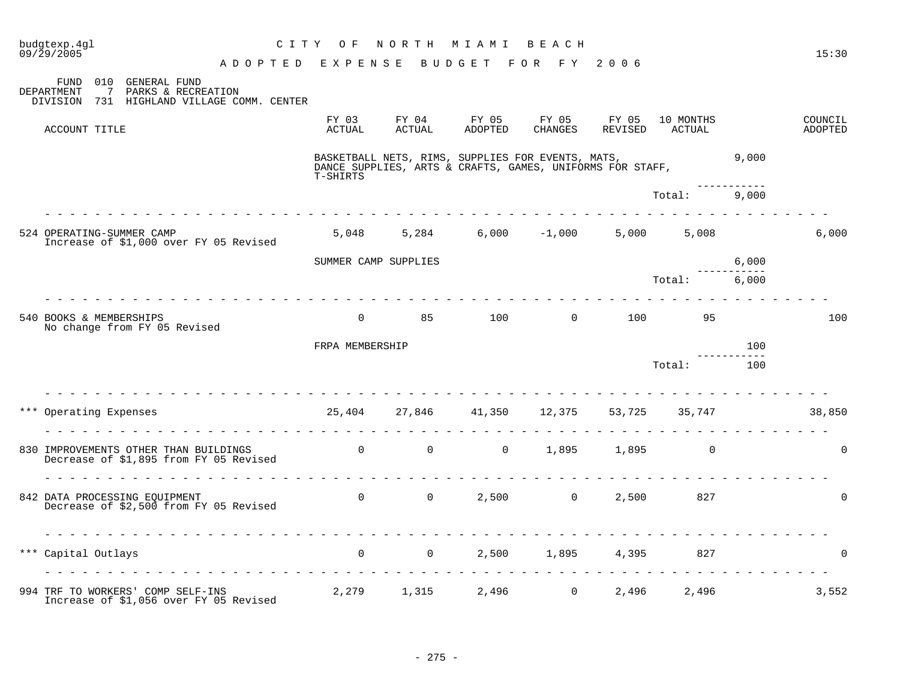| budgtexp.4gl<br>$09/\bar{2}9/2005$                                                          | CITY OF                                   | NORTH MIAMI     |                                                                                                                | ведсн             |                          |                     |                      | 15:30              |
|---------------------------------------------------------------------------------------------|-------------------------------------------|-----------------|----------------------------------------------------------------------------------------------------------------|-------------------|--------------------------|---------------------|----------------------|--------------------|
| ADOPTED EXPENSE<br>FUND 010 GENERAL FUND<br>DEPARTMENT<br>PARKS & RECREATION<br>7           |                                           |                 | BUDGET FOR FY 2006                                                                                             |                   |                          |                     |                      |                    |
| DIVISION 731 HIGHLAND VILLAGE COMM. CENTER                                                  |                                           |                 |                                                                                                                |                   |                          |                     |                      |                    |
| ACCOUNT TITLE                                                                               | FY 03<br>ACTUAL                           | FY 04<br>ACTUAL | FY 05<br>ADOPTED                                                                                               | FY 05             | FY 05<br>CHANGES REVISED | 10 MONTHS<br>ACTUAL |                      | COUNCIL<br>ADOPTED |
|                                                                                             | T-SHIRTS                                  |                 | BASKETBALL NETS, RIMS, SUPPLIES FOR EVENTS, MATS,<br>DANCE SUPPLIES, ARTS & CRAFTS, GAMES, UNIFORMS FOR STAFF, |                   |                          |                     | 9,000                |                    |
|                                                                                             |                                           |                 |                                                                                                                |                   |                          | Total: 9,000        |                      |                    |
| 524 OPERATING-SUMMER CAMP<br>Increase of \$1,000 over FY 05 Revised                         |                                           |                 | $5,048$ $5,284$ $6,000$ $-1,000$ $5,000$ $5,008$                                                               |                   |                          |                     |                      | 6,000              |
|                                                                                             | SUMMER CAMP SUPPLIES                      |                 |                                                                                                                |                   |                          |                     | 6,000                |                    |
|                                                                                             |                                           |                 |                                                                                                                |                   |                          | Total:              | -----------<br>6,000 |                    |
| 540 BOOKS & MEMBERSHIPS<br>No change from FY 05 Revised                                     |                                           |                 | 0 85 100 0 100 95                                                                                              |                   |                          |                     |                      | 100                |
|                                                                                             | FRPA MEMBERSHIP                           |                 |                                                                                                                |                   |                          |                     | 100                  |                    |
|                                                                                             |                                           |                 |                                                                                                                |                   |                          | Total:              | -----------<br>100   |                    |
|                                                                                             |                                           |                 |                                                                                                                |                   |                          |                     |                      |                    |
| *** Operating Expenses                                                                      | 25,404 27,846 41,350 12,375 53,725 35,747 |                 |                                                                                                                |                   |                          |                     |                      | 38,850             |
| 830 IMPROVEMENTS OTHER THAN BUILDINGS 0 0 0 0 0 0<br>Decrease of \$1,895 from FY 05 Revised |                                           |                 |                                                                                                                |                   | 1,895 1,895 0            |                     |                      | $\Omega$           |
| 842 DATA PROCESSING EQUIPMENT<br>Decrease of \$2,500 from FY 05 Revised                     |                                           |                 | 0 0 2,500 0 2,500                                                                                              |                   |                          | 827                 |                      | $\Omega$           |
| *** Capital Outlays                                                                         | $\overline{0}$ 0                          |                 |                                                                                                                | 2,500 1,895 4,395 |                          | 827                 |                      | $\Omega$           |
| 994 TRF TO WORKERS' COMP SELF-INS<br>Increase of \$1,056 over FY 05 Revised                 | $2,279$ 1,315 2,496 0 2,496 2,496         |                 |                                                                                                                |                   |                          |                     |                      | 3,552              |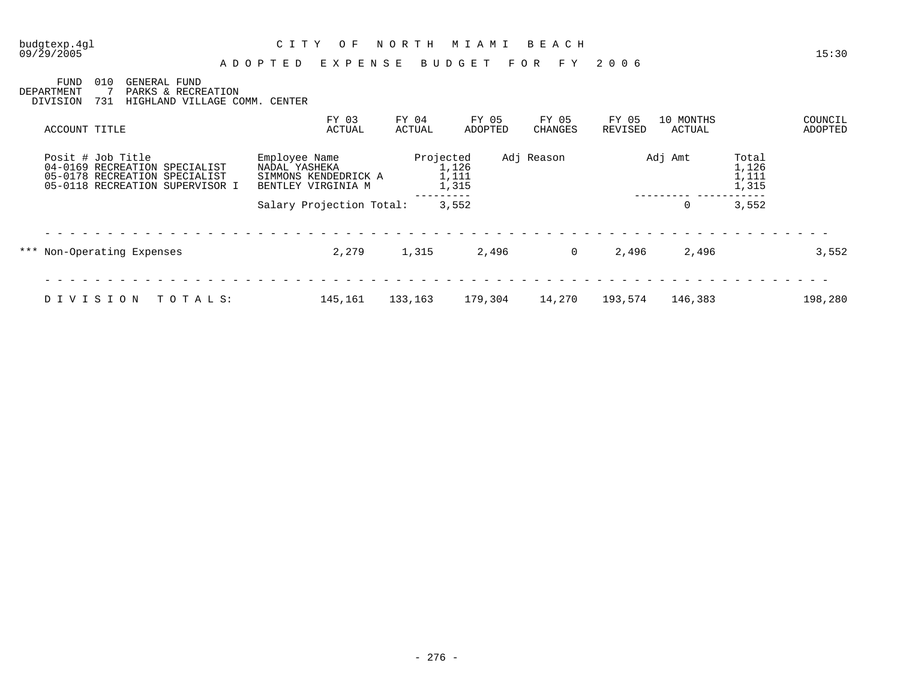#### 09/29/2005 15:30 A D O P T E D E X P E N S E B U D G E T F O R F Y 2 0 0 6

FUND 010 GENERAL FUND DEPARTMENT 7 PARKS & RECREATION DIVISION 731 HIGHLAND VILLAGE COMM. CENTER

| ACCOUNT TITLE                                                                                                          | FY 03<br>ACTUAL                                                              | FY 04<br>ACTUAL | FY 05<br>ADOPTED        | FY 05<br>CHANGES | FY 05<br>REVISED | 10 MONTHS<br>ACTUAL |                                  | COUNCIL<br>ADOPTED |
|------------------------------------------------------------------------------------------------------------------------|------------------------------------------------------------------------------|-----------------|-------------------------|------------------|------------------|---------------------|----------------------------------|--------------------|
| Posit # Job Title<br>04-0169 RECREATION SPECIALIST<br>05-0178 RECREATION SPECIALIST<br>05-0118 RECREATION SUPERVISOR I | Employee Name<br>NADAL YASHEKA<br>SIMMONS KENDEDRICK A<br>BENTLEY VIRGINIA M | Projected       | 1,126<br>1,111<br>1,315 | Adj Reason       |                  | Adj Amt             | Total<br>1,126<br>1,111<br>1,315 |                    |
|                                                                                                                        | Salary Projection Total:                                                     |                 | 3,552                   |                  |                  | 0                   | 3,552                            |                    |
| *** Non-Operating Expenses                                                                                             | 2,279                                                                        | 1,315           | 2,496                   | $\overline{0}$   | 2,496            | 2,496               |                                  | 3,552              |
|                                                                                                                        |                                                                              |                 |                         |                  |                  |                     |                                  |                    |
| TOTALS:<br>DIVISION                                                                                                    | 145,161                                                                      | 133,163         | 179,304                 | 14,270           | 193,574          | 146,383             |                                  | 198,280            |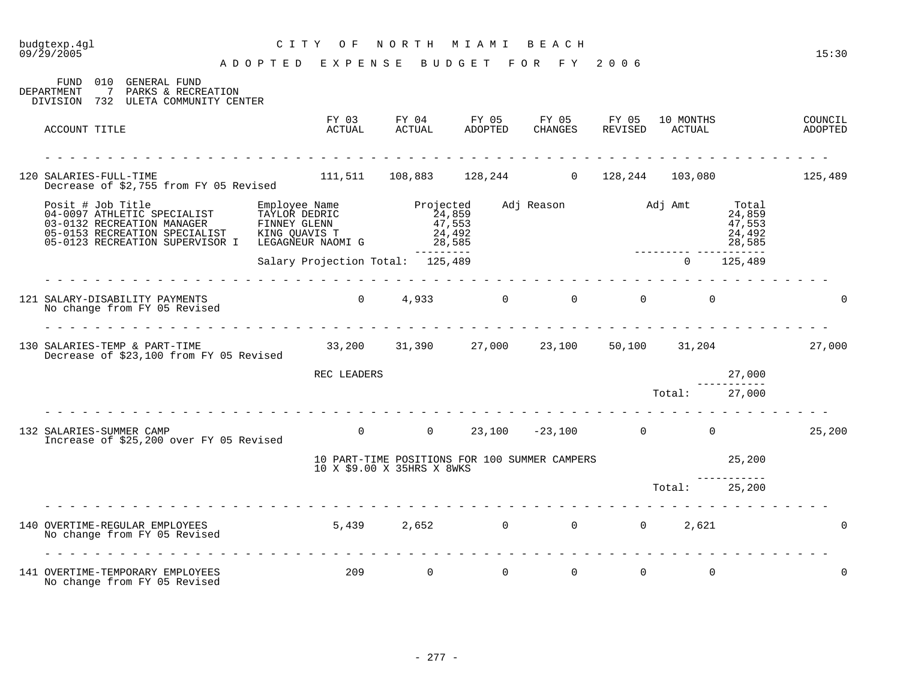| budgtexp.4gl<br>09/29/2005                                                                                               | C I T Y | O F<br>ADOPTED EXPENSE                                                               | NORTH                             | M I A M I<br>BUDGET | BEACH<br>FOR FY 2006                                                 |          |                     |                                               | 15:30              |
|--------------------------------------------------------------------------------------------------------------------------|---------|--------------------------------------------------------------------------------------|-----------------------------------|---------------------|----------------------------------------------------------------------|----------|---------------------|-----------------------------------------------|--------------------|
| 010<br>GENERAL FUND<br>FUND<br>DEPARTMENT<br>$\overline{7}$<br>PARKS & RECREATION<br>DIVISION 732 ULETA COMMUNITY CENTER |         |                                                                                      |                                   |                     |                                                                      |          |                     |                                               |                    |
| ACCOUNT TITLE                                                                                                            |         | FY 03<br>ACTUAL                                                                      | ACTUAL                            | ADOPTED             | FY 04 FY 05 FY 05 FY 05<br>ACTUAL ADOPTED CHANGES REVISED<br>CHANGES | REVISED  | 10 MONTHS<br>ACTUAL |                                               | COUNCIL<br>ADOPTED |
| <u> 2020 - 2020 - 2020 - 2020 - 2020 - 2020 - 20</u><br>120 SALARIES-FULL-TIME<br>Decrease of \$2,755 from FY 05 Revised |         | $111,511$ $108,883$ $128,244$ 0 $128,244$ 103,080 125,489                            |                                   |                     |                                                                      |          |                     |                                               |                    |
| US-0132 RECREATION MANAGER<br>05-0153 RECREATION SPECIALIST<br>05-0123 RECREATION SUPERVISOR                             |         | Employee Name<br>TAYLOR DEDRIC<br>FINNEY GLENN<br>KING QUAVIS T<br>LEGAGNEUR NAOMI G | Projected<br>$24,859$<br>$47,553$ | 24,492<br>28,585    | Adj Reason Madj Amt                                                  |          |                     | Total<br>24,859<br>47,553<br>24,492<br>28,585 |                    |
|                                                                                                                          |         | Salary Projection Total: 125,489                                                     |                                   | ---------           |                                                                      |          | $\Omega$            | 125,489                                       |                    |
| 121 SALARY-DISABILITY PAYMENTS<br>No change from FY 05 Revised                                                           |         | 0 $4,933$                                                                            |                                   | $0 \qquad \qquad$   | $\overline{0}$                                                       | $\Omega$ | $\Omega$            |                                               |                    |
| 130 SALARIES-TEMP & PART-TIME<br>Decrease of \$23,100 from FY 05 Revised                                                 |         | $33,200$ $31,390$ $27,000$ $23,100$ $50,100$ $31,204$ $27,000$                       |                                   |                     |                                                                      |          |                     |                                               |                    |
|                                                                                                                          |         | REC LEADERS                                                                          |                                   |                     |                                                                      |          |                     | 27,000                                        |                    |
| rendere die die die die die die                                                                                          |         |                                                                                      |                                   |                     | .                                                                    |          | Total:              | 27,000                                        |                    |
| 132 SALARIES-SUMMER CAMP<br>Increase of \$25,200 over FY 05 Revised                                                      |         | $\Omega$                                                                             | $\overline{0}$                    |                     | $23,100$ $-23,100$ 0 0                                               |          |                     |                                               | 25,200             |
|                                                                                                                          |         | 10 PART-TIME POSITIONS FOR 100 SUMMER CAMPERS<br>10 X \$9.00 X 35HRS X 8WKS          |                                   |                     |                                                                      |          |                     | 25,200                                        |                    |
|                                                                                                                          |         |                                                                                      |                                   |                     |                                                                      |          | Total: 25,200       |                                               |                    |
| 140 OVERTIME-REGULAR EMPLOYEES<br>No change from FY 05 Revised                                                           |         | 5,439 2,652 0 0<br>.                                                                 |                                   |                     |                                                                      | $\Omega$ | 2,621               |                                               |                    |
| 141 OVERTIME-TEMPORARY EMPLOYEES<br>No change from FY 05 Revised                                                         |         | 209                                                                                  | $\Omega$                          | $\Omega$            | $\Omega$                                                             | $\Omega$ | $\Omega$            |                                               | 0                  |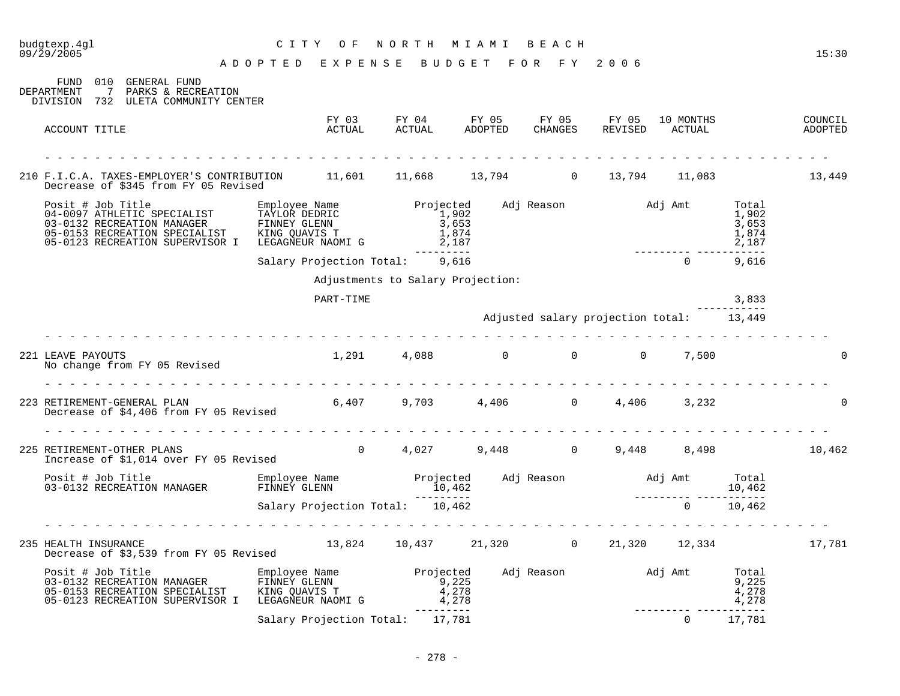| budgtexp.4ql<br>09/29/2005                                                                                                                                                                                                                                                           | CITY OF                            | NORTH MIAMI BEACH                           |                                          |                                         |                                  | 15:30 |
|--------------------------------------------------------------------------------------------------------------------------------------------------------------------------------------------------------------------------------------------------------------------------------------|------------------------------------|---------------------------------------------|------------------------------------------|-----------------------------------------|----------------------------------|-------|
|                                                                                                                                                                                                                                                                                      | ADOPTED EXPENSE BUDGET FOR FY 2006 |                                             |                                          |                                         |                                  |       |
| FUND 010 GENERAL FUND<br>DEPARTMENT<br>7 PARKS & RECREATION<br>DIVISION 732 ULETA COMMUNITY CENTER                                                                                                                                                                                   |                                    |                                             |                                          |                                         |                                  |       |
| ACCOUNT TITLE                                                                                                                                                                                                                                                                        |                                    |                                             |                                          |                                         |                                  |       |
| 210 F.I.C.A. TAXES-EMPLOYER'S CONTRIBUTION 11,601 11,668 13,794 0 13,794 11,083 13,449                                                                                                                                                                                               |                                    |                                             |                                          |                                         |                                  |       |
| Decrease of \$345 from FY 05 Revised                                                                                                                                                                                                                                                 |                                    |                                             |                                          |                                         |                                  |       |
| Posit # Job Title<br>04-0097 ATHLETIC SPECIALIST TAYLOR DEDRIC 1,902<br>03-0132 RECREATION MANAGER FINNEY GLENN 3,653<br>05-0153 RECREATION SPECIALIST KING QUAVIS T 1,874<br>05-0123 RECREATION SUPERVISOR I LEGAGNEUR NAOMI G 2,187                                                |                                    | Projected Adj Reason Madj Amt Total         |                                          | / 2 , 10<br>---------- ---------------- | 1,902<br>3,653<br>1,874<br>2,187 |       |
|                                                                                                                                                                                                                                                                                      | Salary Projection Total: 9,616     |                                             |                                          | $\Omega$                                | 9,616                            |       |
|                                                                                                                                                                                                                                                                                      |                                    | Adjustments to Salary Projection:           |                                          |                                         |                                  |       |
|                                                                                                                                                                                                                                                                                      | PART-TIME                          |                                             |                                          |                                         | 3,833                            |       |
|                                                                                                                                                                                                                                                                                      |                                    |                                             | Adjusted salary projection total: 13,449 |                                         |                                  |       |
|                                                                                                                                                                                                                                                                                      |                                    |                                             |                                          |                                         |                                  |       |
| 221 LEAVE PAYOUTS<br>No change from FY 05 Revised                                                                                                                                                                                                                                    |                                    | $1,291$ 4,088 0 0 0 7,500                   |                                          |                                         |                                  |       |
| 223 RETIREMENT-GENERAL PLAN<br>Decrease of \$4,406 from FY 05 Revised                                                                                                                                                                                                                |                                    | $6,407$ $9,703$ $4,406$ 0 $4,406$ 3,232     |                                          |                                         |                                  |       |
|                                                                                                                                                                                                                                                                                      |                                    |                                             |                                          |                                         |                                  |       |
| 225 RETIREMENT-OTHER PLANS<br>Increase of \$1,014 over FY 05 Revised                                                                                                                                                                                                                 |                                    | 0 $4,027$ 9,448 0 9,448 8,498 10,462        |                                          |                                         |                                  |       |
| Posit # Job Title Manager and Employee Name Projected Adj Reason and Adj Amt Total Projected Adj Reason and Adj Amt Total Colombia and Projected Adj Reason and Adj Amt Total 10,462<br>10,462 -------- -------------------------                                                    |                                    |                                             |                                          |                                         |                                  |       |
|                                                                                                                                                                                                                                                                                      | Salary Projection Total: 10,462    |                                             |                                          | $0 \t 10,462$                           |                                  |       |
|                                                                                                                                                                                                                                                                                      |                                    |                                             |                                          |                                         |                                  |       |
| 235 HEALTH INSURANCE<br>Decrease of \$3,539 from FY 05 Revised                                                                                                                                                                                                                       |                                    | 13,824 10,437 21,320 0 21,320 12,334 17,781 |                                          |                                         |                                  |       |
| Posit # Job Title Employee Name<br>03-0132 RECREATION MANAGER FINNEY GLENN<br>05-0153 RECREATION SPECIALIST KING QUAVIS T<br>05-0153 RECREATION MANAGER FINNEY GLENN<br>05-0153 RECREATION SPECIALIST KING QUAVIS T 4,278<br>05-0123 RECREATION SUPERVISOR I LEGAGNEUR NAOMI G 4,278 |                                    | Projected Adj Reason Madj Amt Total         |                                          |                                         | 9,225<br>4,278<br>4,278          |       |
|                                                                                                                                                                                                                                                                                      | Salary Projection Total: 17,781    |                                             |                                          | _________________________<br>$\Omega$   | 17,781                           |       |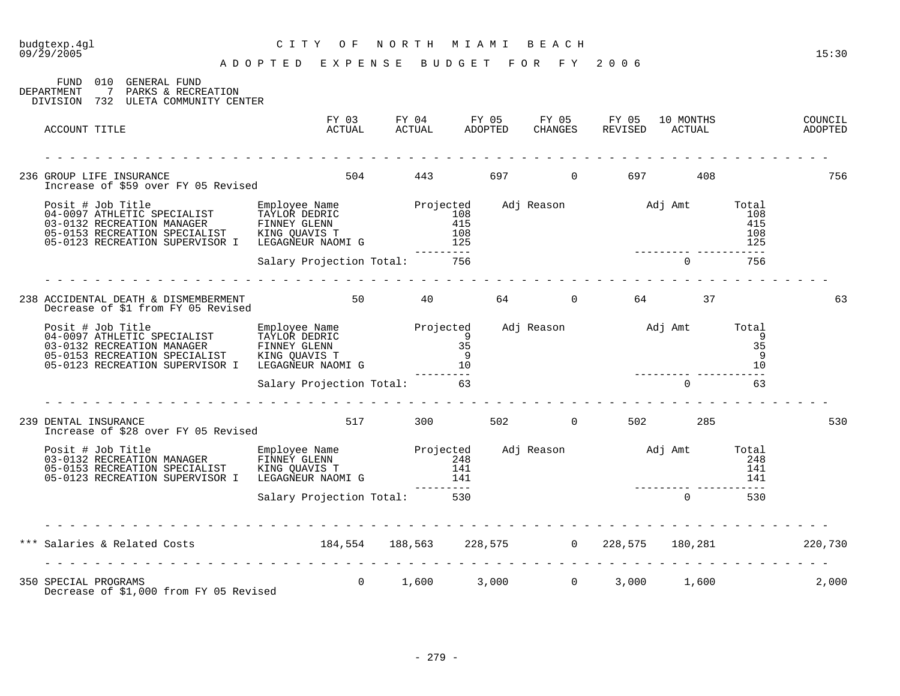| 09/29/2005                                                                                                                                                                                                                               | A D O P T E D E X P E N S E B U D G E T |                                                                                                                   | FOR FY 2006 |        | 15:30              |
|------------------------------------------------------------------------------------------------------------------------------------------------------------------------------------------------------------------------------------------|-----------------------------------------|-------------------------------------------------------------------------------------------------------------------|-------------|--------|--------------------|
| FUND 010 GENERAL FUND<br>DEPARTMENT<br>7 PARKS & RECREATION<br>DIVISION 732 ULETA COMMUNITY CENTER                                                                                                                                       |                                         |                                                                                                                   |             |        |                    |
| ACCOUNT TITLE                                                                                                                                                                                                                            |                                         | FY 03 FY 04 FY 05 FY 05 FY 05 10 MONTHS<br>ACTUAL       ACTUAL        ADOPTED     CHANGES     REVISED      ACTUAL |             |        | COUNCIL<br>ADOPTED |
| 236 GROUP LIFE INSURANCE<br>Increase of \$59 over FY 05 Revised                                                                                                                                                                          |                                         | 504 443 697 0 697 408                                                                                             |             |        | 756                |
|                                                                                                                                                                                                                                          |                                         |                                                                                                                   |             |        |                    |
|                                                                                                                                                                                                                                          | Salary Projection Total: 756            | ---------                                                                                                         |             | 0 756  |                    |
| 238 ACCIDENTAL DEATH & DISMEMBERMENT 60 50 40 64 64 0 64 64 57 9 64 57 238 ACCIDENTAL DEATH & DISMEMBERMENT                                                                                                                              |                                         |                                                                                                                   |             |        | 63                 |
| Posit # Job Title<br>04-0097 ATHLETIC SPECIALIST TAYLOR DEDRIC<br>03-0132 RECREATION MANAGER FINNEY GLENN 35<br>05-0153 RECREATION SPECIALIST KING QUAVIS T 9<br>05-0123 RECREATION SUPERVISOR I LEGAGNEUR NAOMIG 10<br>05-0123 RECREATI |                                         |                                                                                                                   |             |        |                    |
|                                                                                                                                                                                                                                          | Salary Projection Total: 63             |                                                                                                                   |             | $0$ 63 |                    |
| 239 DENTAL INSURANCE<br>Increase of \$28 over FY 05 Revised                                                                                                                                                                              | 517 300 502 0 502 285                   |                                                                                                                   |             |        | 530                |
| Posit # Job Title Employee Name Projected Adj Reason Adj Amt Total<br>03-0132 RECREATION MANAGER FINNEY GLENN 248<br>05-0153 RECREATION SPECIALIST KING QUAVIS T 141<br>05-0123 RECREATION SUPERVISOR I LEGAGNEUR NAOMI G 141<br>Salar   |                                         |                                                                                                                   |             |        |                    |
|                                                                                                                                                                                                                                          |                                         |                                                                                                                   |             |        |                    |
|                                                                                                                                                                                                                                          |                                         |                                                                                                                   |             |        |                    |
| *** Salaries & Related Costs 184,554 188,563 228,575 0 228,575 180,281 220,730                                                                                                                                                           |                                         |                                                                                                                   |             |        |                    |
| 350 SPECIAL PROGRAMS<br>Decrease of \$1,000 from FY 05 Revised                                                                                                                                                                           |                                         | $0 \qquad 1,600 \qquad 3,000 \qquad 0 \qquad 3,000 \qquad 1,600$                                                  |             |        | 2,000              |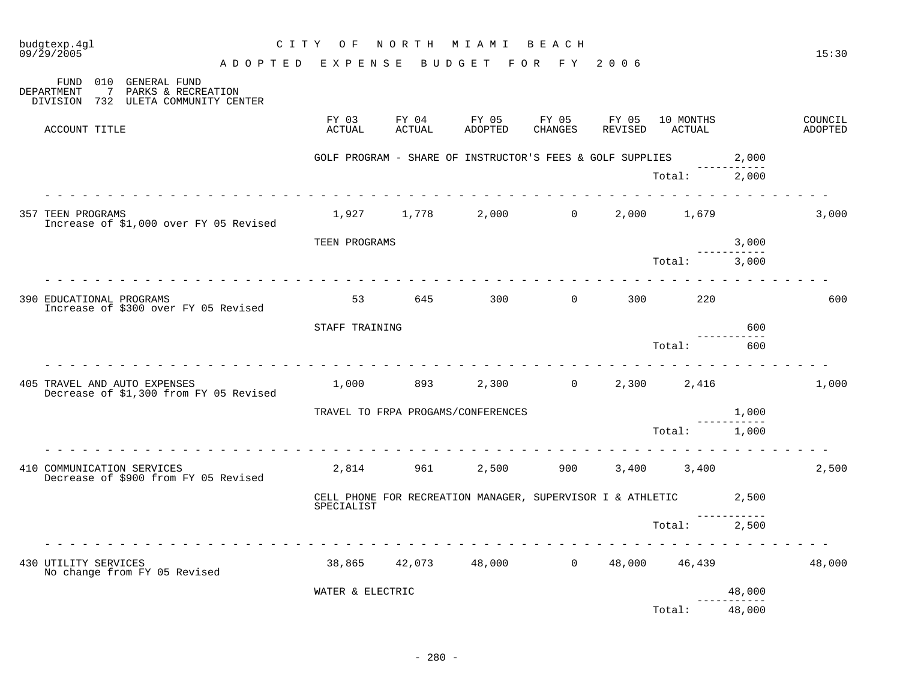| budgtexp.4gl<br>09/29/2005                                                                        | C I T Y         | O F              | NORTH                  | M I A M I                          | BEACH                                                            |                  |                     |        | 15:30              |
|---------------------------------------------------------------------------------------------------|-----------------|------------------|------------------------|------------------------------------|------------------------------------------------------------------|------------------|---------------------|--------|--------------------|
| 010 GENERAL FUND<br>FUND                                                                          | ADOPTED EXPENSE |                  |                        | BUDGET FOR FY                      |                                                                  | 2006             |                     |        |                    |
| $7\overline{ }$<br>PARKS & RECREATION<br><b>DEPARTMENT</b><br>DIVISION 732 ULETA COMMUNITY CENTER |                 |                  |                        |                                    |                                                                  |                  |                     |        |                    |
| ACCOUNT TITLE                                                                                     |                 | FY 03<br>ACTUAL  | FY 04<br><b>ACTUAL</b> | FY 05<br><b>ADOPTED</b>            | FY 05<br><b>CHANGES</b>                                          | FY 05<br>REVISED | 10 MONTHS<br>ACTUAL |        | COUNCIL<br>ADOPTED |
|                                                                                                   |                 |                  |                        |                                    | GOLF PROGRAM - SHARE OF INSTRUCTOR'S FEES & GOLF SUPPLIES        |                  |                     | 2,000  |                    |
|                                                                                                   |                 |                  |                        |                                    |                                                                  |                  | Total:              | 2,000  |                    |
| <b>357 TEEN PROGRAMS</b><br>Increase of \$1,000 over FY 05 Revised                                |                 |                  | 1,927 1,778            | 2,000                              | $\overline{0}$                                                   | 2,000            | 1,679               |        | 3,000              |
|                                                                                                   |                 | TEEN PROGRAMS    |                        |                                    |                                                                  |                  |                     | 3,000  |                    |
|                                                                                                   |                 |                  |                        |                                    |                                                                  |                  | Total:              | 3,000  |                    |
| 390 EDUCATIONAL PROGRAMS<br>Increase of \$300 over FY 05 Revised                                  |                 | 53               | 645                    | 300                                | $\overline{0}$                                                   | 300              | 220                 |        | 600                |
|                                                                                                   |                 | STAFF TRAINING   |                        |                                    |                                                                  |                  |                     | 600    |                    |
|                                                                                                   |                 |                  |                        |                                    |                                                                  |                  | Total:              | 600    |                    |
| 405 TRAVEL AND AUTO EXPENSES<br>Decrease of \$1,300 from FY 05 Revised                            |                 | 1,000            | 893                    | 2,300                              | $\overline{0}$                                                   | 2,300            | 2,416               |        | 1,000              |
|                                                                                                   |                 |                  |                        | TRAVEL TO FRPA PROGAMS/CONFERENCES |                                                                  |                  |                     | 1,000  |                    |
|                                                                                                   |                 |                  |                        |                                    |                                                                  |                  | Total:              | 1,000  |                    |
| 410 COMMUNICATION SERVICES<br>Decrease of \$900 from FY 05 Revised                                |                 | 2,814            | 961                    | 2,500                              | 900                                                              |                  | 3,400 3,400         |        | 2,500              |
|                                                                                                   |                 | SPECIALIST       |                        |                                    | CELL PHONE FOR RECREATION MANAGER, SUPERVISOR I & ATHLETIC 2,500 |                  |                     |        |                    |
|                                                                                                   |                 |                  |                        |                                    |                                                                  |                  | Total:              | 2,500  |                    |
| 430 UTILITY SERVICES<br>No change from FY 05 Revised                                              |                 | 38,865           | 42,073                 | 48,000                             | $\overline{0}$                                                   | 48,000           | 46,439              |        | 48,000             |
|                                                                                                   |                 | WATER & ELECTRIC |                        |                                    |                                                                  |                  |                     | 48,000 |                    |
|                                                                                                   |                 |                  |                        |                                    |                                                                  |                  | Total:              | 48,000 |                    |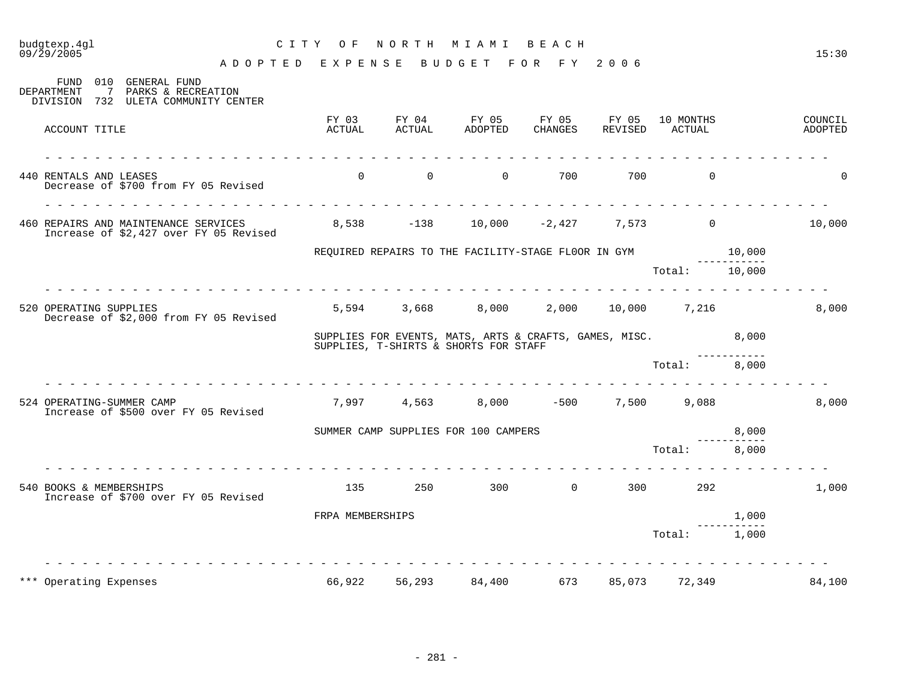# budgtexp.4gl C I T Y O F N O R T H M I A M I B E A C H

A D O P T E D E X P E N S E B U D G E T F O R F Y 2 0 0 6

| 010<br><b>GENERAL FUND</b><br>FUND<br><b>DEPARTMENT</b><br>7<br>PARKS & RECREATION<br>DIVISION<br>732 ULETA COMMUNITY CENTER |                  |                 |                                                                                                 |                         |                  |                     |        |                    |
|------------------------------------------------------------------------------------------------------------------------------|------------------|-----------------|-------------------------------------------------------------------------------------------------|-------------------------|------------------|---------------------|--------|--------------------|
| ACCOUNT TITLE                                                                                                                | FY 03<br>ACTUAL  | FY 04<br>ACTUAL | FY 05<br>ADOPTED                                                                                | FY 05<br><b>CHANGES</b> | FY 05<br>REVISED | 10 MONTHS<br>ACTUAL |        | COUNCIL<br>ADOPTED |
| 440 RENTALS AND LEASES<br>Decrease of \$700 from FY 05 Revised                                                               | $\Omega$         | $\mathbf 0$     | $\mathbf 0$                                                                                     | 700                     | 700              | $\mathbf 0$         |        | 0                  |
| 460 REPAIRS AND MAINTENANCE SERVICES<br>Increase of \$2,427 over FY 05 Revised                                               | 8,538            | $-138$          | 10,000                                                                                          | $-2,427$                | 7,573            | 0                   |        | 10,000             |
|                                                                                                                              |                  |                 | REQUIRED REPAIRS TO THE FACILITY-STAGE FLOOR IN GYM                                             |                         |                  |                     | 10,000 |                    |
|                                                                                                                              |                  |                 |                                                                                                 |                         |                  | Total:              | 10,000 |                    |
| 520 OPERATING SUPPLIES<br>Decrease of \$2,000 from FY 05 Revised                                                             | 5,594            | 3,668           | 8,000                                                                                           | 2,000                   | 10,000           | 7,216               |        | 8,000              |
|                                                                                                                              |                  |                 | SUPPLIES FOR EVENTS, MATS, ARTS & CRAFTS, GAMES, MISC.<br>SUPPLIES, T-SHIRTS & SHORTS FOR STAFF |                         |                  |                     | 8,000  |                    |
|                                                                                                                              |                  |                 |                                                                                                 |                         |                  | Total:              | 8,000  |                    |
| 524 OPERATING-SUMMER CAMP<br>Increase of \$500 over FY 05 Revised                                                            | 7,997            | 4,563           | 8,000                                                                                           | $-500$                  | 7,500            | 9,088               |        | 8,000              |
|                                                                                                                              |                  |                 | SUMMER CAMP SUPPLIES FOR 100 CAMPERS                                                            |                         |                  |                     | 8,000  |                    |
|                                                                                                                              |                  |                 |                                                                                                 |                         |                  | Total:              | 8,000  |                    |
| 540 BOOKS & MEMBERSHIPS<br>Increase of \$700 over FY 05 Revised                                                              | 135              | 250             | 300                                                                                             | $\mathbf 0$             | 300              | 292                 |        | 1,000              |
|                                                                                                                              | FRPA MEMBERSHIPS |                 |                                                                                                 |                         |                  |                     | 1,000  |                    |
|                                                                                                                              |                  |                 |                                                                                                 |                         |                  | Total:              | 1,000  |                    |
| *** Operating Expenses                                                                                                       | 66,922           | 56,293          | 84,400                                                                                          | 673                     | 85,073           | 72,349              |        | 84,100             |
|                                                                                                                              |                  |                 |                                                                                                 |                         |                  |                     |        |                    |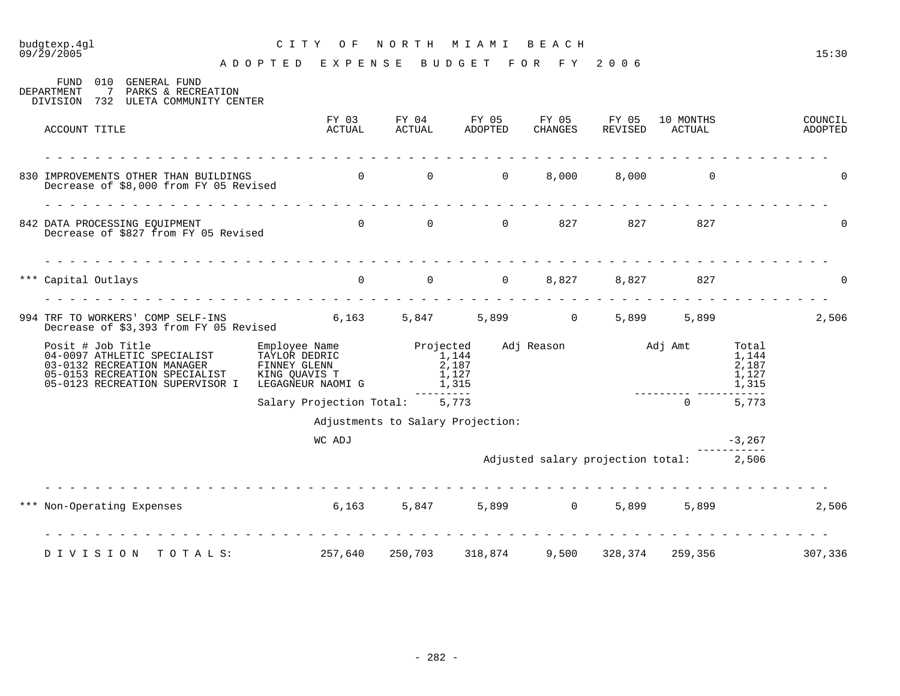09/29/2005 15:30 A D O P T E D E X P E N S E B U D G E T F O R F Y 2 0 0 6

| 010<br>FUND<br>GENERAL FUND<br>DEPARTMENT<br>7<br>PARKS & RECREATION<br>732 ULETA COMMUNITY CENTER<br>DIVISION                                     |                                                                                                      |                 |                                         |       |                                      |         |                                         |                                           |                    |
|----------------------------------------------------------------------------------------------------------------------------------------------------|------------------------------------------------------------------------------------------------------|-----------------|-----------------------------------------|-------|--------------------------------------|---------|-----------------------------------------|-------------------------------------------|--------------------|
| ACCOUNT TITLE                                                                                                                                      |                                                                                                      | FY 03<br>ACTUAL | FY 04<br><b>ACTUAL</b>                  |       | FY 05 FY 05 FY 05<br>ADOPTED CHANGES | REVISED | 10 MONTHS<br>ACTUAL                     |                                           | COUNCIL<br>ADOPTED |
| 830 IMPROVEMENTS OTHER THAN BUILDINGS<br>Decrease of \$8,000 from FY 05 Revised                                                                    |                                                                                                      |                 | $\begin{matrix} 0 & 0 & 0 \end{matrix}$ |       | 8,000                                |         | 8,000 0                                 |                                           | $\mathbf 0$        |
| 842 DATA PROCESSING EQUIPMENT<br>Decrease of \$827 from FY 05 Revised                                                                              |                                                                                                      |                 | 0 0 0 0 827 827 827                     |       |                                      |         |                                         |                                           | $\Omega$           |
| *** Capital Outlays                                                                                                                                |                                                                                                      | $\overline{0}$  | 0 0 0 8,827 8,827                       |       |                                      |         | 827                                     |                                           | 0                  |
| 994 TRF TO WORKERS' COMP SELF-INS<br>Decrease of \$3,393 from FY 05 Revised                                                                        | $6,163$ $5,847$ $5,899$ 0 $5,899$                                                                    |                 |                                         |       |                                      |         |                                         | 5,899                                     | 2,506              |
| Posit # Job Title<br>04-0097 ATHLETIC SPECIALIST<br>03-0132 RECREATION MANAGER<br>05-0153 RECREATION SPECIALIST<br>05-0123 RECREATION SUPERVISOR I | Employee Name<br>TAYLOR DEDRIC<br>FINNEY GLENN<br>FINNEY GLENN<br>KING QUAVIS T<br>LEGAGNEUR NAOMI G |                 | Projected<br>1,144<br>2,187<br>1,315    | 1,127 | Adj Reason Madj Amt                  |         |                                         | Total<br>1,144<br>2,187<br>1,127<br>1,315 |                    |
|                                                                                                                                                    |                                                                                                      |                 | Salary Projection Total: 5,773          |       |                                      |         | $\Omega$                                | 5,773                                     |                    |
|                                                                                                                                                    |                                                                                                      |                 | Adjustments to Salary Projection:       |       |                                      |         |                                         |                                           |                    |
|                                                                                                                                                    |                                                                                                      | WC ADJ          |                                         |       |                                      |         |                                         | $-3,267$                                  |                    |
|                                                                                                                                                    |                                                                                                      |                 |                                         |       |                                      |         | Adjusted salary projection total: 2,506 |                                           |                    |
| *** Non-Operating Expenses 6,163 5,847 5,899 0                                                                                                     |                                                                                                      |                 |                                         |       |                                      | 5,899   | 5,899                                   |                                           | 2,506              |
| DIVISION TOTALS: 257,640 250,703 318,874                                                                                                           |                                                                                                      |                 |                                         |       |                                      |         | 9,500 328,374 259,356                   |                                           | 307,336            |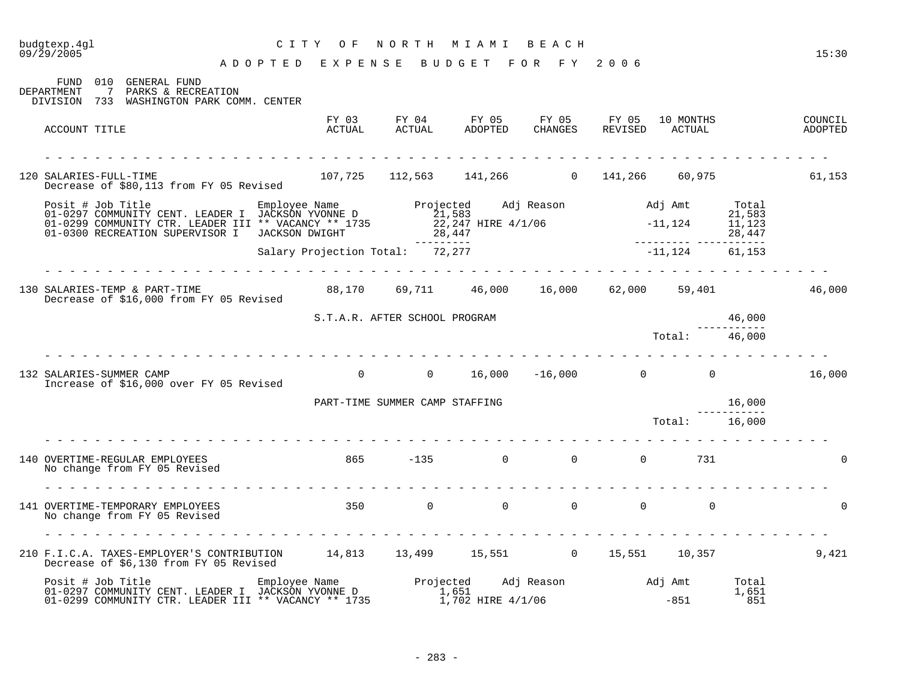### A D O P T E D E X P E N S E B U D G E T F O R F Y 2 0 0 6 FUND 010 GENERAL FUND DEPARTMENT 7 PARKS & RECREATION DIVISION 733 WASHINGTON PARK COMM. CENTER FY 03 FY 04 FY 05 FY 05 FY 05 10 MONTHS COUNCIL ACCOUNT TITLE ACTUAL ACTUAL ADOPTED CHANGES REVISED ACTUAL ADOPTED - - - - - - - - - - - - - - - - - - - - - - - - - - - - - - - - - - - - - - - - - - - - - - - - - - - - - - - - - - - - - - - 120 SALARIES-FULL-TIME 107,725 112,563 141,266 0 141,266 60,975 61,153 Decrease of \$80,113 from FY 05 Revised Posit # Job Title Employee Name Projected Adj Reason Adj Amt Total 01-0297 COMMUNITY CENT. LEADER I JACKSON YVONNE D 21,583 21,583 01-0299 COMMUNITY CTR. LEADER III \*\* VACANCY \*\* 1735 22,247 HIRE 4/1/06 - 11,124 11,123 01-0300 RECREATION SUPERVISOR I JACKSON DWIGHT 28,447 28,447 --------- --------- ----------- Salary Projection Total: 72,277 - - - - - - - - - - - - - - - - - - - - - - - - - - - - - - - - - - - - - - - - - - - - - - - - - - - - - - - - - - - - - - - 130 SALARIES-TEMP & PART-TIME 88,170 69,711 46,000 16,000 62,000 59,401 46,000 Decrease of \$16,000 from FY 05 Revised S.T.A.R. AFTER SCHOOL PROGRAM 46,000 ----------- Total: 46,000 - - - - - - - - - - - - - - - - - - - - - - - - - - - - - - - - - - - - - - - - - - - - - - - - - - - - - - - - - - - - - - - 132 SALARIES-SUMMER CAMP 0 0 0 16,000 -16,000 0 0 0 16,000 0 0 16,000 Increase of \$16,000 over FY 05 Revised PART-TIME SUMMER CAMP STAFFING 16,000 ----------- Total: 16,000 - - - - - - - - - - - - - - - - - - - - - - - - - - - - - - - - - - - - - - - - - - - - - - - - - - - - - - - - - - - - - - - 140 OVERTIME-REGULAR EMPLOYEES 865 -135 0 0 0 731 0 No change from FY 05 Revised - - - - - - - - - - - - - - - - - - - - - - - - - - - - - - - - - - - - - - - - - - - - - - - - - - - - - - - - - - - - - - -  $\begin{matrix} 141 & \text{OWERTIME-TEMPORARY EMPLOYEES} \end{matrix} \qquad \qquad \begin{matrix} 350 & \text{O} & \text{O} & \text{O} & \text{O} & \text{O} \end{matrix} \qquad \qquad \begin{matrix} 0 & \text{O} & \text{O} & \text{O} & \text{O} \end{matrix}$ No change from FY 05 Revised - - - - - - - - - - - - - - - - - - - - - - - - - - - - - - - - - - - - - - - - - - - - - - - - - - - - - - - - - - - - - - - 210 F.I.C.A. TAXES-EMPLOYER'S CONTRIBUTION 14,813 13,499 15,551 0 15,551 10,357 9,421 Decrease of \$6,130 from FY 05 Revised Posit # Job Title Employee Name Projected Adj Reason Adj Amt Total 01-0297 COMMUNITY CENT. LEADER I JACKSON YVONNE D 1,651 1,651 1,651 1,651 01-0299 COMMUNITY CTR. LEADER III \*\* VACANCY \*\* 1735 1,702 HIRE 4/1/06 -851 -851 351

09/29/2005 15:30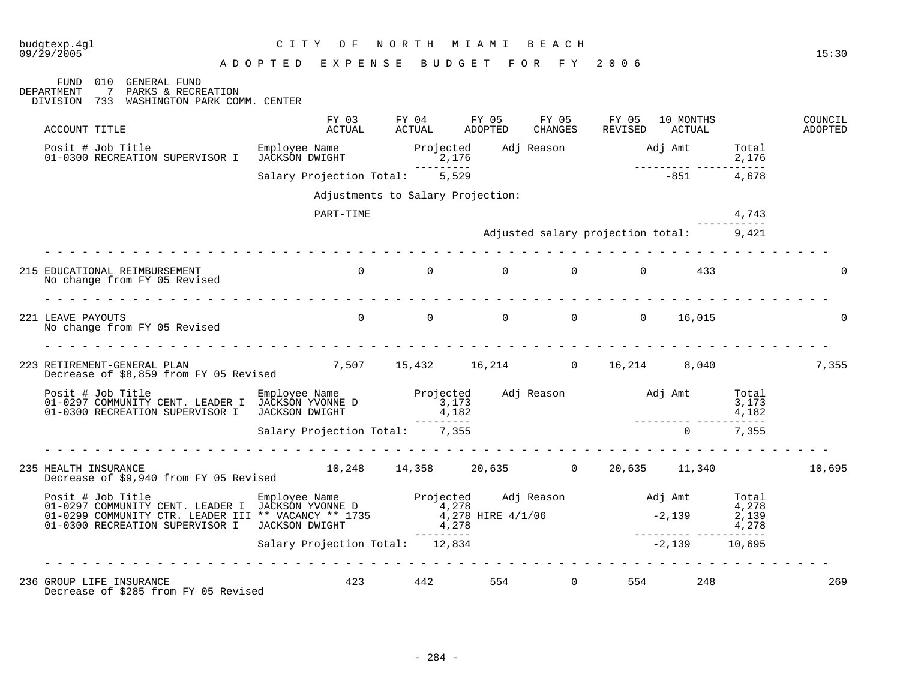FUND 010 GENERAL FUND

A D O P T E D E X P E N S E B U D G E T F O R F Y 2 0 0 6

DEPARTMENT 7 PARKS & RECREATION DIVISION 733 WASHINGTON PARK COMM. CENTER FY 03 FY 04 FY 05 FY 05 FY 05 10 MONTHS COUNCIL ACCOUNT TITLE ACTUAL ACTUAL ADOPTED CHANGES REVISED ACTUAL ADOPTED Posit # Job Title Employee Name Projected Adj Reason Adj Amt Total 01-0300 RECREATION SUPERVISOR I JACKSON DWIGHT 2,176 2,176  $2,176$ <br>  $-1,176$ <br>  $-1,176$ <br>  $-1,176$ <br>  $-1,176$ <br>  $-1,176$ <br>  $-1,176$ <br>  $-1,176$ <br>  $-1,176$ <br>  $-1,176$ <br>  $-1,176$ <br>  $-1,176$ <br>  $-1,176$ Salary Projection Total: 5,529 Adjustments to Salary Projection: PART-TIME 4,743 ----------- Adjusted salary projection total: 9,421 - - - - - - - - - - - - - - - - - - - - - - - - - - - - - - - - - - - - - - - - - - - - - - - - - - - - - - - - - - - - - - - 215 EDUCATIONAL REIMBURSEMENT  $\begin{matrix} 0 & 0 & 0 & 0 & 0 & 0 & 433 \end{matrix}$ No change from FY 05 Revised - - - - - - - - - - - - - - - - - - - - - - - - - - - - - - - - - - - - - - - - - - - - - - - - - - - - - - - - - - - - - - - 221 LEAVE PAYOUTS 0 0 0 0 0 16,015 0 No change from FY 05 Revised - - - - - - - - - - - - - - - - - - - - - - - - - - - - - - - - - - - - - - - - - - - - - - - - - - - - - - - - - - - - - - - 223 RETIREMENT-GENERAL PLAN 7,507 15,432 16,214 0 16,214 8,040 7,355 Decrease of \$8,859 from FY 05 Revised Posit # Job Title Employee Name Projected Adj Reason Adj Amt Total 01-0297 COMMUNITY CENT. LEADER I JACKSON YVONNE D 3,173 3,173 3,173 3,173 3,173 01-0300 RECREATION SUPERVISOR I JACKSON DWIGHT  $4,182$  4,182 4,182 --------- --------- ----------- Salary Projection Total: 7,355 0 7,355 - - - - - - - - - - - - - - - - - - - - - - - - - - - - - - - - - - - - - - - - - - - - - - - - - - - - - - - - - - - - - - - 235 HEALTH INSURANCE 10,248 14,358 20,635 0 20,635 11,340 10,695 Decrease of \$9,940 from FY 05 Revised Posit # Job Title Employee Name Projected Adj Reason Adj Amt Total 01-0297 COMMUNITY CENT. LEADER I JACKSON YVONNE D 01-0299 COMMUNITY CTR. LEADER III \*\* VACANCY \*\* 1735 01-0300 RECREATION SUPERVISOR I JACKSON DWIGHT --------- --------- ----------- Salary Projection Total: 12,834 - - - - - - - - - - - - - - - - - - - - - - - - - - - - - - - - - - - - - - - - - - - - - - - - - - - - - - - - - - - - - - - 236 GROUP LIFE INSURANCE 423 442 554 0 554 248 269 Decrease of \$285 from FY 05 Revised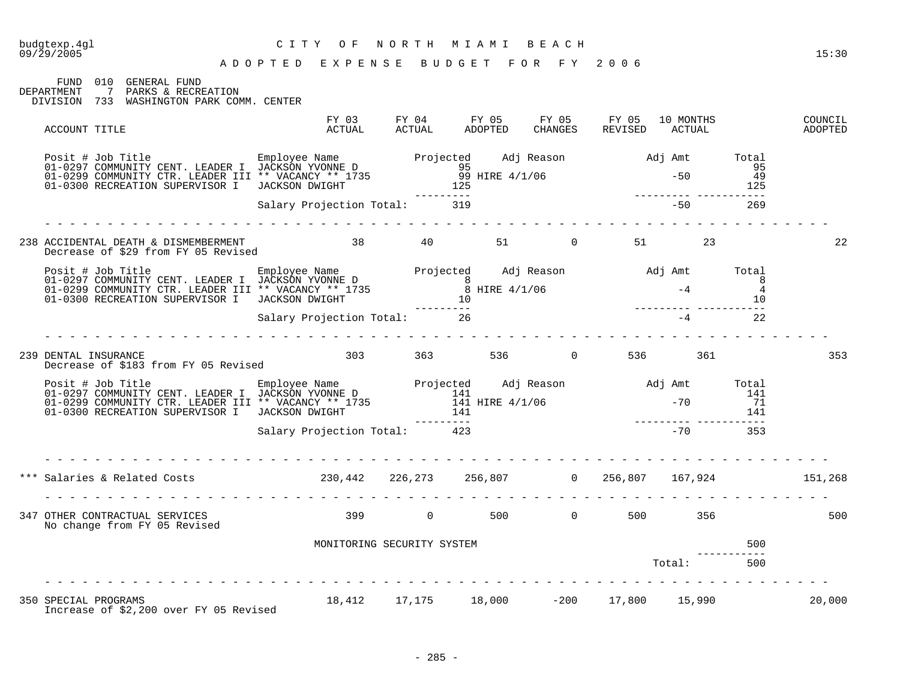| 09/29/2005                                                                                                                                                                                                                           | ADOPTED EXPENSE BUDGET FOR FY 2006      |                            |                                              |  |  |            |  | 15:30              |
|--------------------------------------------------------------------------------------------------------------------------------------------------------------------------------------------------------------------------------------|-----------------------------------------|----------------------------|----------------------------------------------|--|--|------------|--|--------------------|
| FUND 010 GENERAL FUND<br>DEPARTMENT 7 PARKS & RECREATION<br>DIVISION 733 WASHINGTON PARK COMM. CENTER                                                                                                                                |                                         |                            |                                              |  |  |            |  |                    |
| ACCOUNT TITLE                                                                                                                                                                                                                        |                                         |                            |                                              |  |  |            |  | COUNCIL<br>ADOPTED |
| Posit # Job Title Employee Name D1-0297 COMMUNITY CENT. LEADER I JACKSON YVONNE D<br>01-0297 COMMUNITY CENT. LEADER III ** VACANCY ** 1735 99 HIRE 4/1/06 -50 95<br>01-0300 RECREATION SUPERVISOR I JACKSON DWIGHT 125 ------------- |                                         |                            |                                              |  |  |            |  |                    |
|                                                                                                                                                                                                                                      |                                         |                            |                                              |  |  |            |  |                    |
| 238 ACCIDENTAL DEATH & DISMEMBERMENT<br>Decrease of \$29 from FY 05 Revised 6. 23 AM 23 AM 23 AM 23 AM 23 AM 23 AM 23 AM 24 AM 24 AM 24 AM 24 AM 24 AM 2                                                                             |                                         |                            |                                              |  |  |            |  | 22                 |
| Posit # Job Title Engloyee Name Projected Adj Reason and Jamt Total COMMUNITY CENT. LEADER I JACKSON YVONNE D<br>101-0299 COMMUNITY CTR. LEADER III ** VACANCY ** 1735 8<br>10209 COMMUNITY CTR. LEADER III ** VACANCY ** 1735 8 HIR |                                         |                            |                                              |  |  |            |  |                    |
|                                                                                                                                                                                                                                      | --------<br>Salary Projection Total: 26 |                            |                                              |  |  | $-4$ 22    |  |                    |
| 239 DENTAL INSURANCE                                                                                                                                                                                                                 |                                         |                            |                                              |  |  |            |  | 353                |
| Posit # Job Title Employee Name Projected Adj Reason Adj Amt Total COMMUNITY CENT. LEADER I JACKSON YVONNE D<br>01-0299 COMMUNITY CTR. LEADER III ** VACANCY ** 1735 141 HIRE 4/1/06 -70 71<br>01-0300 RECREATION SUPERVISOR I JAC   |                                         |                            |                                              |  |  |            |  |                    |
|                                                                                                                                                                                                                                      |                                         |                            |                                              |  |  |            |  |                    |
| *** Salaries & Related Costs (230,442 226,273 256,807 0 256,807 167,924 151,268                                                                                                                                                      |                                         |                            |                                              |  |  |            |  |                    |
| 347 OTHER CONTRACTUAL SERVICES<br>No change from FY 05 Revised                                                                                                                                                                       | 399 0 500 0 500 356                     |                            |                                              |  |  |            |  | 500                |
|                                                                                                                                                                                                                                      |                                         | MONITORING SECURITY SYSTEM |                                              |  |  |            |  |                    |
|                                                                                                                                                                                                                                      |                                         |                            |                                              |  |  | Total: 500 |  |                    |
| 350 SPECIAL PROGRAMS                                                                                                                                                                                                                 |                                         |                            | 18,412  17,175  18,000  -200  17,800  15,990 |  |  |            |  | 20,000             |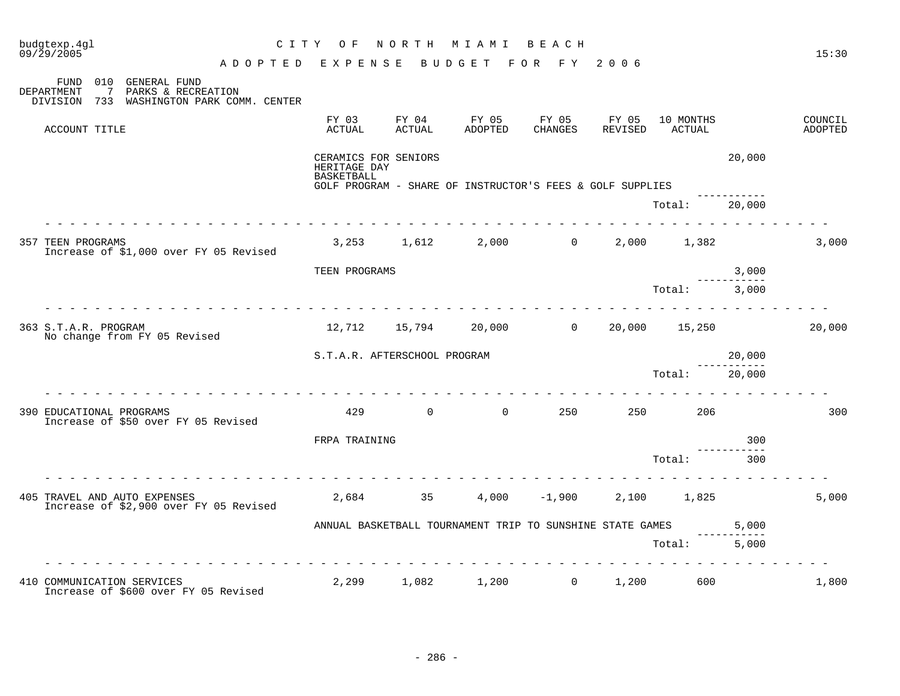| budgtexp.4gl<br>09/29/2005                                                                                                  | C I T Y         | O F                                                                                                                    | NORTH           | M I A M I                                                                                                                                                                                                                                                                                                                                               | BEACH                     |                  |                       |        | 15:30              |
|-----------------------------------------------------------------------------------------------------------------------------|-----------------|------------------------------------------------------------------------------------------------------------------------|-----------------|---------------------------------------------------------------------------------------------------------------------------------------------------------------------------------------------------------------------------------------------------------------------------------------------------------------------------------------------------------|---------------------------|------------------|-----------------------|--------|--------------------|
|                                                                                                                             | ADOPTED EXPENSE |                                                                                                                        |                 |                                                                                                                                                                                                                                                                                                                                                         | BUDGET FOR FY 2006        |                  |                       |        |                    |
| 010 GENERAL FUND<br>FUND<br>$\overline{7}$<br>PARKS & RECREATION<br>DEPARTMENT<br>DIVISION 733 WASHINGTON PARK COMM. CENTER |                 |                                                                                                                        |                 |                                                                                                                                                                                                                                                                                                                                                         |                           |                  |                       |        |                    |
| ACCOUNT TITLE                                                                                                               |                 | FY 03<br>ACTUAL                                                                                                        | FY 04<br>ACTUAL | FY 05<br>ADOPTED                                                                                                                                                                                                                                                                                                                                        | FY 05<br>CHANGES          | FY 05<br>REVISED | 10 MONTHS<br>ACTUAL   |        | COUNCIL<br>ADOPTED |
|                                                                                                                             |                 | CERAMICS FOR SENIORS<br>HERITAGE DAY<br><b>BASKETBALL</b><br>GOLF PROGRAM - SHARE OF INSTRUCTOR'S FEES & GOLF SUPPLIES |                 |                                                                                                                                                                                                                                                                                                                                                         |                           |                  |                       | 20,000 |                    |
|                                                                                                                             |                 |                                                                                                                        |                 |                                                                                                                                                                                                                                                                                                                                                         |                           |                  | Total:                | 20,000 |                    |
| <b>357 TEEN PROGRAMS</b><br>Increase of \$1,000 over FY 05 Revised                                                          |                 |                                                                                                                        |                 |                                                                                                                                                                                                                                                                                                                                                         | $3,253$ $1,612$ $2,000$ 0 |                  | 2,000 1,382           |        | 3,000              |
|                                                                                                                             |                 | TEEN PROGRAMS                                                                                                          |                 |                                                                                                                                                                                                                                                                                                                                                         |                           |                  |                       | 3,000  |                    |
|                                                                                                                             |                 |                                                                                                                        |                 |                                                                                                                                                                                                                                                                                                                                                         |                           |                  | Total: 3,000          |        |                    |
| 363 S.T.A.R. PROGRAM<br>No change from FY 05 Revised                                                                        |                 |                                                                                                                        |                 |                                                                                                                                                                                                                                                                                                                                                         | 12,712 15,794 20,000 0    |                  | 20,000 15,250         |        | 20,000             |
|                                                                                                                             |                 | S.T.A.R. AFTERSCHOOL PROGRAM                                                                                           |                 |                                                                                                                                                                                                                                                                                                                                                         |                           |                  |                       | 20,000 |                    |
|                                                                                                                             |                 |                                                                                                                        |                 |                                                                                                                                                                                                                                                                                                                                                         |                           |                  | Total:                | 20,000 |                    |
| 390 EDUCATIONAL PROGRAMS<br>Increase of \$50 over FY 05 Revised                                                             |                 | 429                                                                                                                    |                 | $\overline{0}$ and $\overline{0}$ and $\overline{0}$ and $\overline{0}$ and $\overline{0}$ and $\overline{0}$ and $\overline{0}$ and $\overline{0}$ and $\overline{0}$ and $\overline{0}$ and $\overline{0}$ and $\overline{0}$ and $\overline{0}$ and $\overline{0}$ and $\overline{0}$ and $\overline{0}$ and $\overline{0}$ and<br>$0 \qquad \qquad$ | 250                       |                  | 250 and $\sim$<br>206 |        | 300                |
|                                                                                                                             |                 | FRPA TRAINING                                                                                                          |                 |                                                                                                                                                                                                                                                                                                                                                         |                           |                  |                       |        |                    |
|                                                                                                                             |                 |                                                                                                                        |                 |                                                                                                                                                                                                                                                                                                                                                         |                           |                  | Total:                | 300    |                    |
| 405 TRAVEL AND AUTO EXPENSES<br>Increase of \$2,900 over FY 05 Revised                                                      |                 |                                                                                                                        | 2,684 35        |                                                                                                                                                                                                                                                                                                                                                         | $4,000 -1,900$            |                  | 2,100 1,825           |        | 5,000              |
|                                                                                                                             |                 | ANNUAL BASKETBALL TOURNAMENT TRIP TO SUNSHINE STATE GAMES<br>5,000                                                     |                 |                                                                                                                                                                                                                                                                                                                                                         |                           |                  |                       |        |                    |
|                                                                                                                             |                 |                                                                                                                        |                 |                                                                                                                                                                                                                                                                                                                                                         |                           |                  | Total:                | 5,000  |                    |
| 410 COMMUNICATION SERVICES<br>Increase of \$600 over FY 05 Revised                                                          |                 | 2,299                                                                                                                  | 1,082           | 1,200                                                                                                                                                                                                                                                                                                                                                   | $\overline{0}$            | 1,200            | 600                   |        | 1,800              |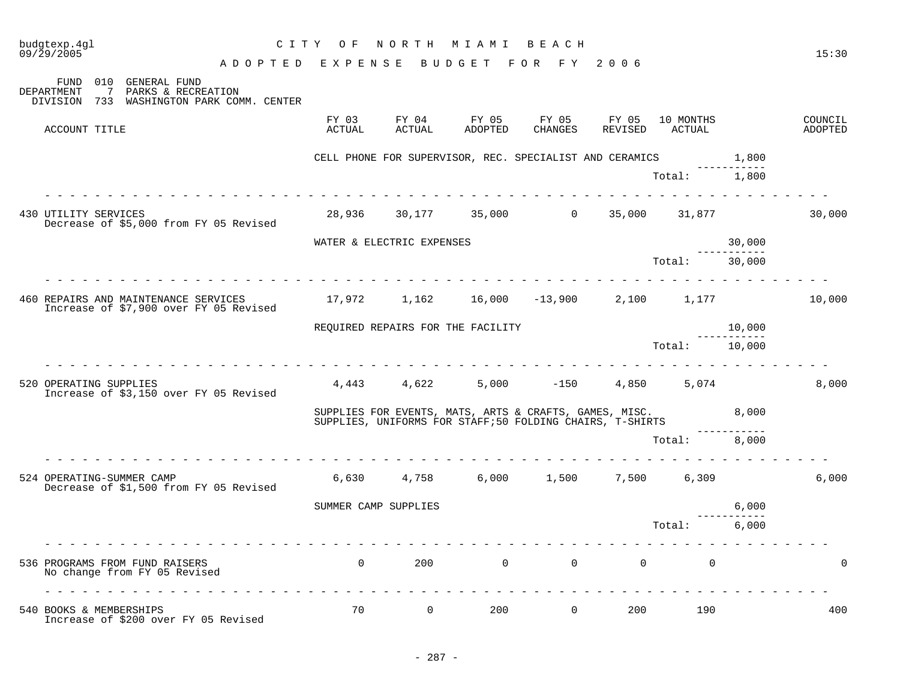| budgtexp.4gl<br>09/29/2005                                                                                                  | CITY OF                            |                      | N O R T H                 | M I A M I                         | BEACH                                                                                                              |        |                             |                       | 15:30                     |
|-----------------------------------------------------------------------------------------------------------------------------|------------------------------------|----------------------|---------------------------|-----------------------------------|--------------------------------------------------------------------------------------------------------------------|--------|-----------------------------|-----------------------|---------------------------|
| 010 GENERAL FUND<br>FUND<br>$\overline{7}$<br>PARKS & RECREATION<br>DEPARTMENT<br>DIVISION 733 WASHINGTON PARK COMM. CENTER | ADOPTED EXPENSE BUDGET FOR FY 2006 |                      |                           |                                   |                                                                                                                    |        |                             |                       |                           |
| ACCOUNT TITLE                                                                                                               |                                    | FY 03<br>ACTUAL      | FY 04<br>ACTUAL           | FY 05<br>ADOPTED                  | FY 05<br>CHANGES                                                                                                   | FY 05  | 10 MONTHS<br>REVISED ACTUAL |                       | COUNCIL<br><b>ADOPTED</b> |
|                                                                                                                             |                                    |                      |                           |                                   | CELL PHONE FOR SUPERVISOR, REC. SPECIALIST AND CERAMICS                                                            |        |                             | 1,800                 |                           |
|                                                                                                                             |                                    |                      |                           |                                   |                                                                                                                    |        | Total: 1,800                |                       |                           |
| 430 UTILITY SERVICES<br>Decrease of \$5,000 from FY 05 Revised                                                              |                                    |                      |                           |                                   | 28,936 30,177 35,000 0                                                                                             | 35,000 | 31,877                      |                       | 30,000                    |
|                                                                                                                             |                                    |                      | WATER & ELECTRIC EXPENSES |                                   |                                                                                                                    |        |                             | 30,000<br>----------- |                           |
|                                                                                                                             |                                    |                      |                           |                                   |                                                                                                                    |        | Total:                      | 30,000                |                           |
| 460 REPAIRS AND MAINTENANCE SERVICES<br>Increase of \$7,900 over FY 05 Revised                                              |                                    |                      |                           |                                   | $17,972$ $1,162$ $16,000$ $-13,900$ $2,100$ $1,177$                                                                |        |                             |                       | 10,000                    |
|                                                                                                                             |                                    |                      |                           | REQUIRED REPAIRS FOR THE FACILITY |                                                                                                                    |        |                             | 10,000                |                           |
|                                                                                                                             |                                    |                      |                           |                                   |                                                                                                                    |        | Total: 10,000               |                       |                           |
| 520 OPERATING SUPPLIES<br>Increase of \$3,150 over FY 05 Revised                                                            |                                    |                      |                           |                                   | $4,443$ $4,622$ $5,000$ $-150$ $4,850$ $5,074$                                                                     |        |                             |                       | 8,000                     |
|                                                                                                                             |                                    |                      |                           |                                   | SUPPLIES FOR EVENTS, MATS, ARTS & CRAFTS, GAMES, MISC.<br>SUPPLIES, UNIFORMS FOR STAFF;50 FOLDING CHAIRS, T-SHIRTS |        |                             | 8,000                 |                           |
|                                                                                                                             |                                    |                      |                           |                                   |                                                                                                                    |        | Total: 8,000                |                       |                           |
| 524 OPERATING-SUMMER CAMP<br>Decrease of \$1,500 from FY 05 Revised                                                         |                                    |                      |                           |                                   | $6,630$ $4,758$ $6,000$ $1,500$ $7,500$ $6,309$                                                                    |        |                             |                       | 6,000                     |
|                                                                                                                             |                                    | SUMMER CAMP SUPPLIES |                           |                                   |                                                                                                                    |        |                             | 6,000                 |                           |
|                                                                                                                             |                                    |                      |                           |                                   |                                                                                                                    |        | Total: 6,000                |                       |                           |
| 536 PROGRAMS FROM FUND RAISERS<br>No change from FY 05 Revised                                                              |                                    | $\Omega$             |                           | $200$ 0                           | $\Omega$                                                                                                           |        | $\Omega$<br>$\Omega$        |                       | $\Omega$                  |
| 540 BOOKS & MEMBERSHIPS<br>Increase of \$200 over FY 05 Revised                                                             | .                                  | 70                   | $\overline{0}$            | 200                               | $\overline{0}$                                                                                                     | 200    | 190                         |                       | 400                       |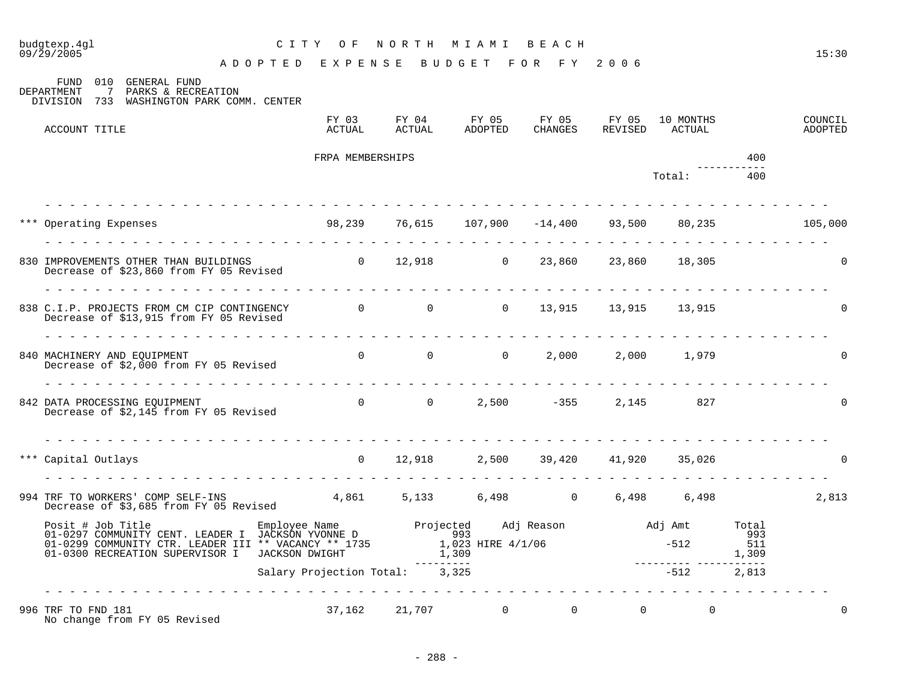|                                                                                                                                                                                                                                    | budgtexp.4gl<br>09/29/2005                                                                                                                                   | CITY OF NORTH MIAMI BEACH                                         |                  |  |                                                                                         |  |  |              |     | 15:30              |  |
|------------------------------------------------------------------------------------------------------------------------------------------------------------------------------------------------------------------------------------|--------------------------------------------------------------------------------------------------------------------------------------------------------------|-------------------------------------------------------------------|------------------|--|-----------------------------------------------------------------------------------------|--|--|--------------|-----|--------------------|--|
|                                                                                                                                                                                                                                    | ADOPTED EXPENSE BUDGET FOR FY 2006                                                                                                                           |                                                                   |                  |  |                                                                                         |  |  |              |     |                    |  |
|                                                                                                                                                                                                                                    | FUND 010 GENERAL FUND<br>DEPARTMENT<br>7 PARKS & RECREATION<br>DIVISION 733 WASHINGTON PARK COMM. CENTER                                                     |                                                                   |                  |  |                                                                                         |  |  |              |     |                    |  |
|                                                                                                                                                                                                                                    | ACCOUNT TITLE                                                                                                                                                |                                                                   |                  |  | FY 03 FY 04 FY 05 FY 05 FY 05 10 MONTHS<br>ACTUAL ACTUAL ADOPTED CHANGES REVISED ACTUAL |  |  |              |     | COUNCIL<br>ADOPTED |  |
|                                                                                                                                                                                                                                    |                                                                                                                                                              |                                                                   | FRPA MEMBERSHIPS |  |                                                                                         |  |  |              | 400 |                    |  |
|                                                                                                                                                                                                                                    |                                                                                                                                                              |                                                                   |                  |  |                                                                                         |  |  | Total:       | 400 |                    |  |
|                                                                                                                                                                                                                                    | *** Operating Expenses                                                                                                                                       | $98,239$ $76,615$ $107,900$ $-14,400$ $93,500$ $80,235$ $105,000$ |                  |  |                                                                                         |  |  |              |     |                    |  |
|                                                                                                                                                                                                                                    | 830 IMPROVEMENTS OTHER THAN BUILDINGS $\begin{array}{cccc} 0 & 12,918 & 0 & 23,860 & 23,860 & 18,305 \end{array}$<br>Decrease of \$23,860 from FY 05 Revised |                                                                   |                  |  |                                                                                         |  |  |              |     |                    |  |
|                                                                                                                                                                                                                                    | 838 C.I.P. PROJECTS FROM CM CIP CONTINGENCY 0 0 0 0 13,915 13,915 13,915<br>Decrease of \$13,915 from FY 05 Revised                                          |                                                                   |                  |  |                                                                                         |  |  |              |     |                    |  |
|                                                                                                                                                                                                                                    | 840 MACHINERY AND EQUIPMENT<br>Decrease of \$2,000 from FY 05 Revised                                                                                        |                                                                   |                  |  | 0 0 0 $(2,000)$ $(2,000)$ $(1,979)$                                                     |  |  |              |     |                    |  |
|                                                                                                                                                                                                                                    | 842 DATA PROCESSING EQUIPMENT<br>Decrease of \$2,145 from FY 05 Revised                                                                                      |                                                                   |                  |  | 0 0 2,500 -355 2,145 827                                                                |  |  |              |     |                    |  |
|                                                                                                                                                                                                                                    | *** Capital Outlays                                                                                                                                          |                                                                   |                  |  | 0 12,918 2,500 39,420 41,920 35,026                                                     |  |  |              |     | $\Omega$           |  |
|                                                                                                                                                                                                                                    | 994 TRF TO WORKERS' COMP SELF-INS 4,861 5,133 6,498 0 6,498 6,498<br>Decrease of \$3,685 from FY 05 Revised                                                  |                                                                   |                  |  |                                                                                         |  |  |              |     | 2,813              |  |
| Posit # Job Title Employee Name Projected Adj Reason adj Amt Total COMMUNITY CENT. LEADER I JACKSON YVONNE D<br>01-0299 COMMUNITY CTR. LEADER III ** VACANCY ** 1735 1,023 HIRE 4/1/06 -512 511<br>01-0300 RECREATION SUPERVISOR I |                                                                                                                                                              |                                                                   |                  |  |                                                                                         |  |  |              |     |                    |  |
|                                                                                                                                                                                                                                    |                                                                                                                                                              | Salary Projection Total: 3,325                                    |                  |  |                                                                                         |  |  | $-512$ 2,813 |     |                    |  |
|                                                                                                                                                                                                                                    | 996 TRF TO FND 181<br>No change from FY 05 Revised                                                                                                           |                                                                   |                  |  | $37,162$ $21,707$ 0 0 0                                                                 |  |  | $\mathbf 0$  |     | $\mathbf 0$        |  |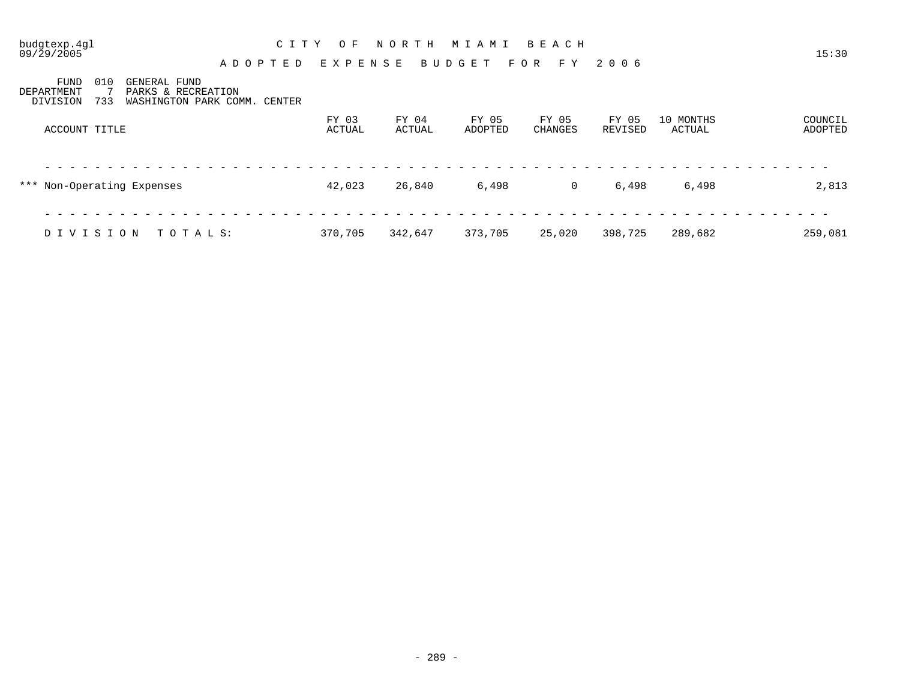| budgtexp.4gl<br>09/29/2005                                                         | C I T Y                                 | O F             | NORTH           | MIAMI            | BEACH            |                  |                     | 15:30              |
|------------------------------------------------------------------------------------|-----------------------------------------|-----------------|-----------------|------------------|------------------|------------------|---------------------|--------------------|
| 010<br>FUND<br>GENERAL FUND<br>PARKS & RECREATION<br>DEPARTMENT<br>DIVISION<br>733 | ADOPTED<br>WASHINGTON PARK COMM. CENTER | E X P E N S E   |                 | BUDGET FOR FY    |                  | 2006             |                     |                    |
| ACCOUNT TITLE                                                                      |                                         | FY 03<br>ACTUAL | FY 04<br>ACTUAL | FY 05<br>ADOPTED | FY 05<br>CHANGES | FY 05<br>REVISED | 10 MONTHS<br>ACTUAL | COUNCIL<br>ADOPTED |
| *** Non-Operating Expenses                                                         |                                         | 42,023          | 26,840          | 6,498            | 0                | 6,498            | 6,498               | 2,813              |

| DIVISION TOTALS: |  | 370,705 342,647 373,705 25,020 398,725 289,682 |  | 259,081 |
|------------------|--|------------------------------------------------|--|---------|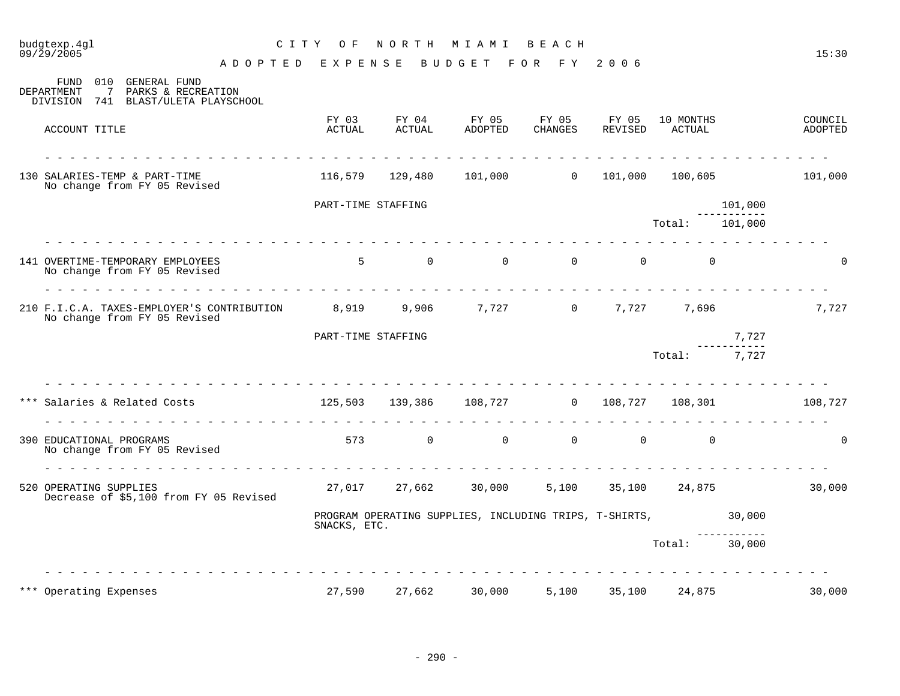| budgtexp.4gl<br>09/29/2005                     |                                                                                                                                                                  | C I T Y<br>O F     | NORTH                         | M I A M I                                              | BEACH                   |                  |                     |         | 15:30              |
|------------------------------------------------|------------------------------------------------------------------------------------------------------------------------------------------------------------------|--------------------|-------------------------------|--------------------------------------------------------|-------------------------|------------------|---------------------|---------|--------------------|
|                                                | A D O P T E D                                                                                                                                                    | E X P E N S E      |                               | BUDGET                                                 | FOR FY                  | 2006             |                     |         |                    |
| 010<br>FUND<br>DEPARTMENT<br>7<br>DIVISION 741 | GENERAL FUND<br>PARKS & RECREATION<br>BLAST/ULETA PLAYSCHOOL                                                                                                     |                    |                               |                                                        |                         |                  |                     |         |                    |
| ACCOUNT TITLE                                  |                                                                                                                                                                  | FY 03<br>ACTUAL    | FY 04<br>ACTUAL               | FY 05<br>ADOPTED                                       | FY 05<br>CHANGES        | FY 05<br>REVISED | 10 MONTHS<br>ACTUAL |         | COUNCIL<br>ADOPTED |
| 130 SALARIES-TEMP & PART-TIME                  | dia ara-dia ara-dia ara-dia ara-<br>No change from FY 05 Revised                                                                                                 | 116,579            | 129,480                       | 101,000                                                | $0 \qquad \qquad$       | 101,000          | 100,605             |         | 101,000            |
|                                                |                                                                                                                                                                  | PART-TIME STAFFING |                               |                                                        |                         |                  |                     | 101,000 |                    |
|                                                |                                                                                                                                                                  |                    |                               |                                                        |                         |                  | Total:              | 101,000 |                    |
|                                                | 141 OVERTIME-TEMPORARY EMPLOYEES<br>No change from FY 05 Revised                                                                                                 | 5 <sup>5</sup>     | $\overline{0}$                | $\overline{0}$                                         | $\overline{0}$          | $\overline{0}$   | $\Omega$            |         | $\Omega$           |
|                                                | 210 F.I.C.A. TAXES-EMPLOYER'S CONTRIBUTION 8,919<br>No change from FY 05 Revised                                                                                 |                    | 9,906                         |                                                        | $\overline{0}$<br>7,727 | 7,727            | 7,696               |         | 7,727              |
|                                                |                                                                                                                                                                  | PART-TIME STAFFING |                               |                                                        |                         |                  |                     | 7,727   |                    |
|                                                |                                                                                                                                                                  |                    |                               |                                                        |                         |                  | Total:              | 7,727   |                    |
|                                                | *** Salaries & Related Costs                               125,503     139,386     108,727           0     108,727<br><u>a dia a dia a dia a dia a dia a dia</u> |                    |                               |                                                        |                         |                  | 108,301             |         | 108,727            |
| 390 EDUCATIONAL PROGRAMS                       | No change from FY 05 Revised                                                                                                                                     |                    | 0<br>573 and $\overline{573}$ | $\overline{0}$                                         | $\overline{0}$          | $\overline{0}$   | $\mathbf 0$         |         | $\mathbf 0$        |
| 520 OPERATING SUPPLIES                         | Decrease of \$5,100 from FY 05 Revised                                                                                                                           | 27,017             | 27,662                        | 30,000                                                 | 5,100                   | 35,100           | 24,875              |         | 30,000             |
|                                                |                                                                                                                                                                  | SNACKS, ETC.       |                               | PROGRAM OPERATING SUPPLIES, INCLUDING TRIPS, T-SHIRTS, |                         |                  |                     | 30,000  |                    |
|                                                |                                                                                                                                                                  |                    |                               |                                                        |                         |                  | Total:              | 30,000  |                    |
| *** Operating Expenses                         |                                                                                                                                                                  | 27,590             | 27,662                        | 30,000                                                 | 5,100                   | 35,100           | 24,875              |         | 30,000             |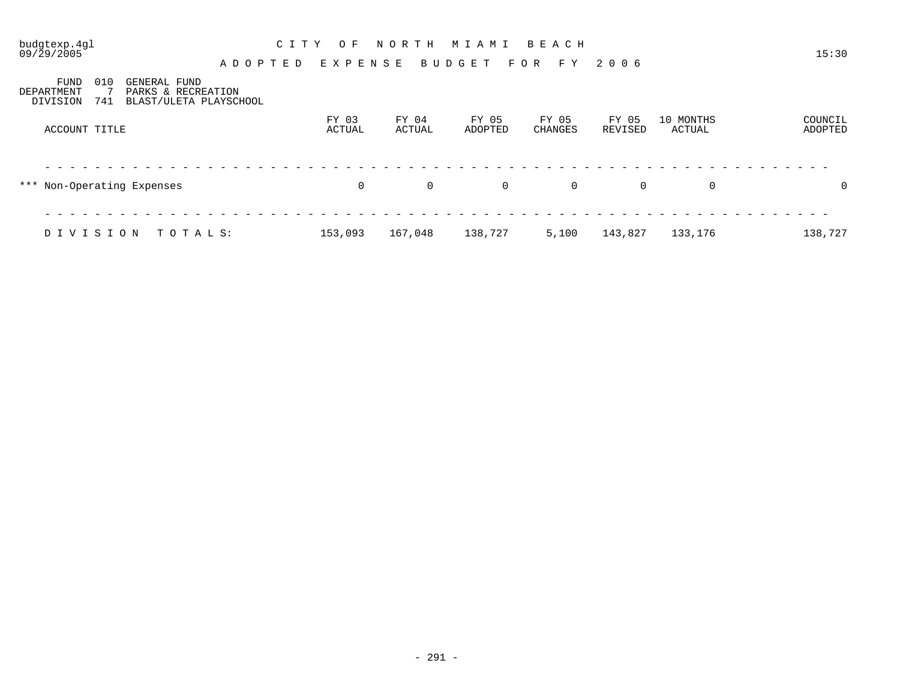| $09/\bar{2}9/2005$             |                                                                            |  | A D O P T E D E X P E N S E |                 | <b>BUDGET</b>    | FOR FY           | 2006             |                     | 15:30              |
|--------------------------------|----------------------------------------------------------------------------|--|-----------------------------|-----------------|------------------|------------------|------------------|---------------------|--------------------|
| FUND<br>DEPARTMENT<br>DIVISION | 010<br>GENERAL FUND<br>PARKS & RECREATION<br>741<br>BLAST/ULETA PLAYSCHOOL |  |                             |                 |                  |                  |                  |                     |                    |
| ACCOUNT TITLE                  |                                                                            |  | FY 03<br>ACTUAL             | FY 04<br>ACTUAL | FY 05<br>ADOPTED | FY 05<br>CHANGES | FY 05<br>REVISED | 10 MONTHS<br>ACTUAL | COUNCIL<br>ADOPTED |
|                                | *** Non-Operating Expenses                                                 |  | 0                           | $\overline{0}$  | $\Omega$         | 0                | $\overline{0}$   | $\overline{0}$      | $\overline{0}$     |
| DIVISION                       | TOTALS:                                                                    |  | 153,093                     | 167,048         | 138,727          | 5,100            | 143,827          | 133,176             | 138,727            |

budgtexp.4gl C I T Y O F N O R T H M I A M I B E A C H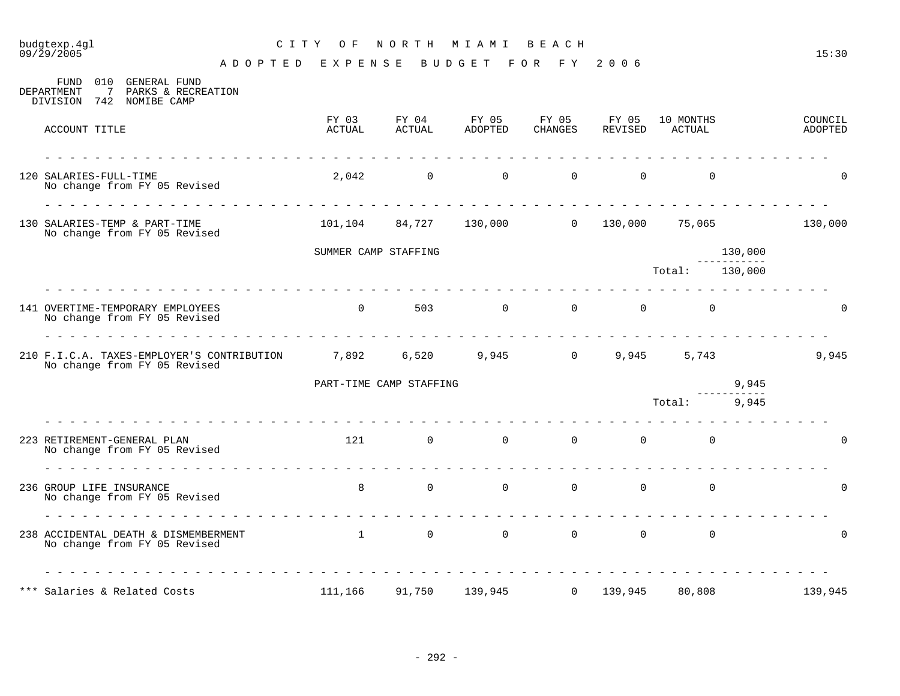# budgtexp.4gl C I T Y O F N O R T H M I A M I B E A C H

| 010<br>GENERAL FUND<br>FUND<br>7<br>DEPARTMENT<br>PARKS & RECREATION<br>742 NOMIBE CAMP<br>DIVISION                                                                                                                                                                                                                                                                                                                                                                                                                                                |                                                                        |                             |                                                    |                  |                                  |                                  |                        |                    |
|----------------------------------------------------------------------------------------------------------------------------------------------------------------------------------------------------------------------------------------------------------------------------------------------------------------------------------------------------------------------------------------------------------------------------------------------------------------------------------------------------------------------------------------------------|------------------------------------------------------------------------|-----------------------------|----------------------------------------------------|------------------|----------------------------------|----------------------------------|------------------------|--------------------|
| ACCOUNT TITLE                                                                                                                                                                                                                                                                                                                                                                                                                                                                                                                                      | FY 03<br>ACTUAL                                                        | FY 04<br>ACTUAL             | FY 05<br>ADOPTED                                   | FY 05<br>CHANGES | FY 05<br>REVISED                 | 10 MONTHS<br>ACTUAL              |                        | COUNCIL<br>ADOPTED |
| 120 SALARIES-FULL-TIME<br>No change from FY 05 Revised                                                                                                                                                                                                                                                                                                                                                                                                                                                                                             |                                                                        |                             | $2,042$ 0 0                                        |                  | $\overline{0}$<br>$\overline{0}$ | $\overline{0}$                   |                        | $\Omega$           |
| 130 SALARIES-TEMP & PART-TIME<br>No change from FY 05 Revised                                                                                                                                                                                                                                                                                                                                                                                                                                                                                      |                                                                        |                             | $101, 104$ 84,727 130,000 0 130,000 75,065 130,000 |                  |                                  |                                  |                        |                    |
|                                                                                                                                                                                                                                                                                                                                                                                                                                                                                                                                                    | SUMMER CAMP STAFFING                                                   |                             |                                                    |                  |                                  |                                  | 130,000<br>___________ |                    |
|                                                                                                                                                                                                                                                                                                                                                                                                                                                                                                                                                    |                                                                        |                             |                                                    |                  |                                  | Total: 130,000                   |                        |                    |
| 141 OVERTIME-TEMPORARY EMPLOYEES<br>No change from FY 05 Revised                                                                                                                                                                                                                                                                                                                                                                                                                                                                                   | $\overline{0}$                                                         | 503                         | $\overline{0}$                                     | $\overline{0}$   | $\Omega$                         | $\overline{0}$                   |                        |                    |
| 210 F.I.C.A. TAXES-EMPLOYER'S CONTRIBUTION 7,892 6,520 9,945 0 9,945<br>No change from FY 05 Revised                                                                                                                                                                                                                                                                                                                                                                                                                                               |                                                                        |                             |                                                    |                  |                                  | 5,743                            |                        | 9,945              |
|                                                                                                                                                                                                                                                                                                                                                                                                                                                                                                                                                    |                                                                        | PART-TIME CAMP STAFFING     |                                                    |                  |                                  |                                  | 9,945                  |                    |
|                                                                                                                                                                                                                                                                                                                                                                                                                                                                                                                                                    |                                                                        |                             |                                                    |                  |                                  | Total: 9,945                     |                        |                    |
| 223 RETIREMENT-GENERAL PLAN<br>No change from FY 05 Revised                                                                                                                                                                                                                                                                                                                                                                                                                                                                                        |                                                                        | 121 / 121<br>$\overline{0}$ | $\overline{0}$                                     | $\overline{0}$   |                                  | $0 \qquad \qquad$<br>$\mathbf 0$ |                        | 0                  |
| $\begin{array}{cccccccccccccc} \multicolumn{2}{c}{} & \multicolumn{2}{c}{} & \multicolumn{2}{c}{} & \multicolumn{2}{c}{} & \multicolumn{2}{c}{} & \multicolumn{2}{c}{} & \multicolumn{2}{c}{} & \multicolumn{2}{c}{} & \multicolumn{2}{c}{} & \multicolumn{2}{c}{} & \multicolumn{2}{c}{} & \multicolumn{2}{c}{} & \multicolumn{2}{c}{} & \multicolumn{2}{c}{} & \multicolumn{2}{c}{} & \multicolumn{2}{c}{} & \multicolumn{2}{c}{} & \multicolumn{2}{c}{} & \multicolumn{2}{c}{} & \$<br>236 GROUP LIFE INSURANCE<br>No change from FY 05 Revised | 8                                                                      | $\overline{0}$              | $\overline{0}$                                     | $\overline{0}$   | $\overline{0}$                   | $\overline{0}$                   |                        | $\mathbf 0$        |
| 238 ACCIDENTAL DEATH & DISMEMBERMENT<br>No change from FY 05 Revised                                                                                                                                                                                                                                                                                                                                                                                                                                                                               | $\begin{array}{ccccccc} & & & & 1 & & & 0 & & & 0 & & & 0 \end{array}$ |                             |                                                    |                  | $\Omega$                         | $\mathbf 0$                      |                        | $\Omega$           |
| *** Salaries & Related Costs                                                                                                                                                                                                                                                                                                                                                                                                                                                                                                                       | <u> Lieu Lieu Lieu Lieu Lieu Lieu Lieu Lie</u><br>111,166              | 91,750                      | 139,945                                            | $\Omega$         | 139,945                          | 80,808                           |                        | 139,945            |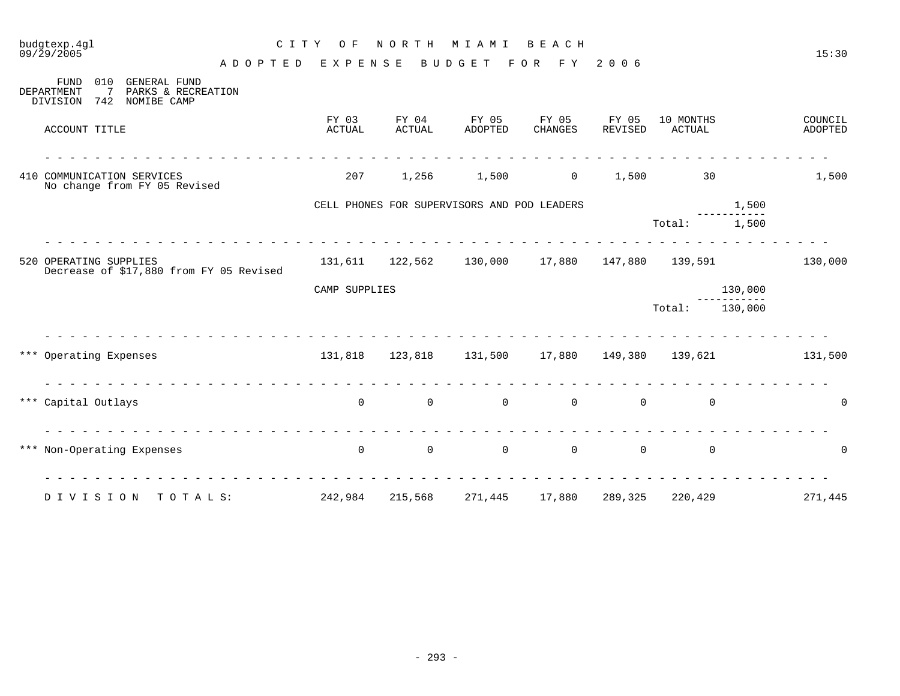| budgtexp.4gl<br>09/29/2005                                                                             | NORTH<br>C I T Y<br>O F<br>M I A M I<br>BEACH |                 |                                             |                  |                  |                     |                    |  |  |  |
|--------------------------------------------------------------------------------------------------------|-----------------------------------------------|-----------------|---------------------------------------------|------------------|------------------|---------------------|--------------------|--|--|--|
|                                                                                                        | EXPENSE<br>A D O P T E D                      |                 | BUDGET                                      | F O R<br>F Y     | 2006             |                     | 15:30              |  |  |  |
| 010<br>GENERAL FUND<br>FUND<br>DEPARTMENT<br>7<br>PARKS & RECREATION<br>DIVISION<br>742<br>NOMIBE CAMP |                                               |                 |                                             |                  |                  |                     |                    |  |  |  |
| ACCOUNT TITLE                                                                                          | FY 03<br>ACTUAL                               | FY 04<br>ACTUAL | FY 05<br>ADOPTED                            | FY 05<br>CHANGES | FY 05<br>REVISED | 10 MONTHS<br>ACTUAL | COUNCIL<br>ADOPTED |  |  |  |
| 410 COMMUNICATION SERVICES<br>No change from FY 05 Revised                                             | 207                                           | 1,256           | 1,500                                       | $\overline{0}$   | 1,500            | 30                  | 1,500              |  |  |  |
|                                                                                                        |                                               |                 | CELL PHONES FOR SUPERVISORS AND POD LEADERS |                  |                  |                     | 1,500              |  |  |  |
|                                                                                                        |                                               |                 |                                             |                  |                  | Total:              | 1,500              |  |  |  |
| 520 OPERATING SUPPLIES<br>Decrease of \$17,880 from FY 05 Revised                                      |                                               |                 | 131,611 122,562 130,000 17,880              |                  |                  | 147,880 139,591     | 130,000            |  |  |  |
|                                                                                                        | CAMP SUPPLIES                                 |                 |                                             |                  |                  |                     | 130,000            |  |  |  |
|                                                                                                        |                                               |                 |                                             |                  |                  | Total:              | 130,000            |  |  |  |
| *** Operating Expenses                                                                                 |                                               | 131,818 123,818 | 131,500 17,880                              |                  |                  | 149,380 139,621     | 131,500            |  |  |  |
| *** Capital Outlays                                                                                    | $\mathbf 0$                                   | $\overline{0}$  | $\mathbf 0$                                 | $\overline{0}$   | $\mathbf 0$      | $\mathbf 0$         | $\Omega$           |  |  |  |
| *** Non-Operating Expenses                                                                             | .<br>$\mathbf 0$                              | $\mathsf{O}$    | $\overline{0}$                              | $\overline{0}$   | $\overline{0}$   | $\mathbf 0$         | $\Omega$           |  |  |  |
| DIVISION<br>TOTALS:                                                                                    | 242,984                                       | 215,568         | 271,445                                     | 17,880           | 289,325          | 220,429             | 271,445            |  |  |  |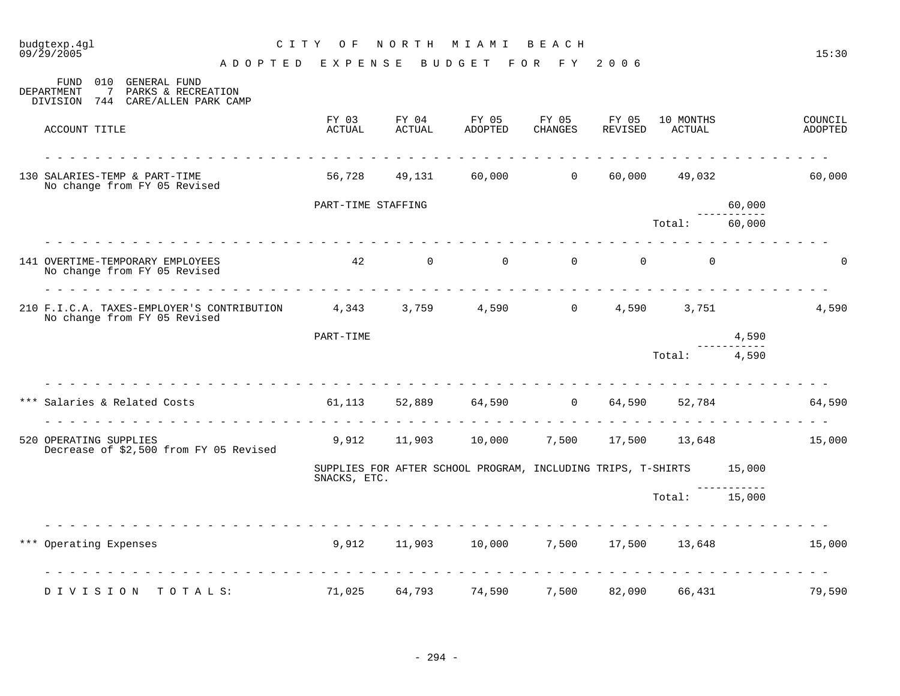| budgtexp.4gl<br>$09/\bar{2}9/2005$                                                                           | C I T Y<br>O F     | NORTH           | MIAMI                                                               | BEACH            |                  |                     |        | 15:30              |
|--------------------------------------------------------------------------------------------------------------|--------------------|-----------------|---------------------------------------------------------------------|------------------|------------------|---------------------|--------|--------------------|
|                                                                                                              | ADOPTED EXPENSE    |                 | BUDGET                                                              | FOR FY           | 2006             |                     |        |                    |
| FUND<br>010<br>GENERAL FUND<br>PARKS & RECREATION<br>DEPARTMENT<br>7<br>744 CARE/ALLEN PARK CAMP<br>DIVISION |                    |                 |                                                                     |                  |                  |                     |        |                    |
| ACCOUNT TITLE                                                                                                | FY 03<br>ACTUAL    | FY 04<br>ACTUAL | FY 05<br>ADOPTED                                                    | FY 05<br>CHANGES | FY 05<br>REVISED | 10 MONTHS<br>ACTUAL |        | COUNCIL<br>ADOPTED |
| 130 SALARIES-TEMP & PART-TIME<br>No change from FY 05 Revised                                                | 56,728             | 49,131          | 60,000 000                                                          | $\overline{0}$   | 60,000           | 49,032              |        | 60,000             |
|                                                                                                              | PART-TIME STAFFING |                 |                                                                     |                  |                  |                     | 60,000 |                    |
|                                                                                                              |                    |                 |                                                                     |                  |                  | Total:              | 60,000 |                    |
| 141 OVERTIME-TEMPORARY EMPLOYEES<br>No change from FY 05 Revised                                             | 42                 | $\overline{0}$  | $\Omega$                                                            | $\overline{0}$   | $\Omega$         | $\Omega$            |        | $\Omega$           |
| 210 F.I.C.A. TAXES-EMPLOYER'S CONTRIBUTION 4,343 3,759<br>No change from FY 05 Revised                       |                    |                 | 4,590                                                               | $\overline{0}$   | 4,590            | 3,751               |        | 4,590              |
|                                                                                                              | PART-TIME          |                 |                                                                     |                  |                  |                     | 4,590  |                    |
|                                                                                                              |                    |                 |                                                                     |                  |                  | Total:              | 4,590  |                    |
| *** Salaries & Related Costs<br>dia dia dia dia dia dia d                                                    |                    |                 | 61,113 52,889 64,590 0                                              |                  | 64,590           | 52,784              |        | 64,590             |
| 520 OPERATING SUPPLIES<br>Decrease of \$2,500 from FY 05 Revised                                             | 9,912              | 11,903          | 10,000                                                              | 7,500            |                  | 17,500 13,648       |        | 15,000             |
|                                                                                                              | SNACKS, ETC.       |                 | SUPPLIES FOR AFTER SCHOOL PROGRAM, INCLUDING TRIPS, T-SHIRTS 15,000 |                  |                  |                     |        |                    |
|                                                                                                              |                    |                 |                                                                     |                  |                  | Total: 15,000       |        |                    |
| *** Operating Expenses                                                                                       |                    |                 | 9,912 11,903 10,000                                                 |                  |                  | 7,500 17,500 13,648 |        | 15,000             |
| DIVISION<br>TOTALS:                                                                                          | 71,025             | 64,793          | 74,590                                                              | 7,500            | 82,090           | 66,431              |        | 79,590             |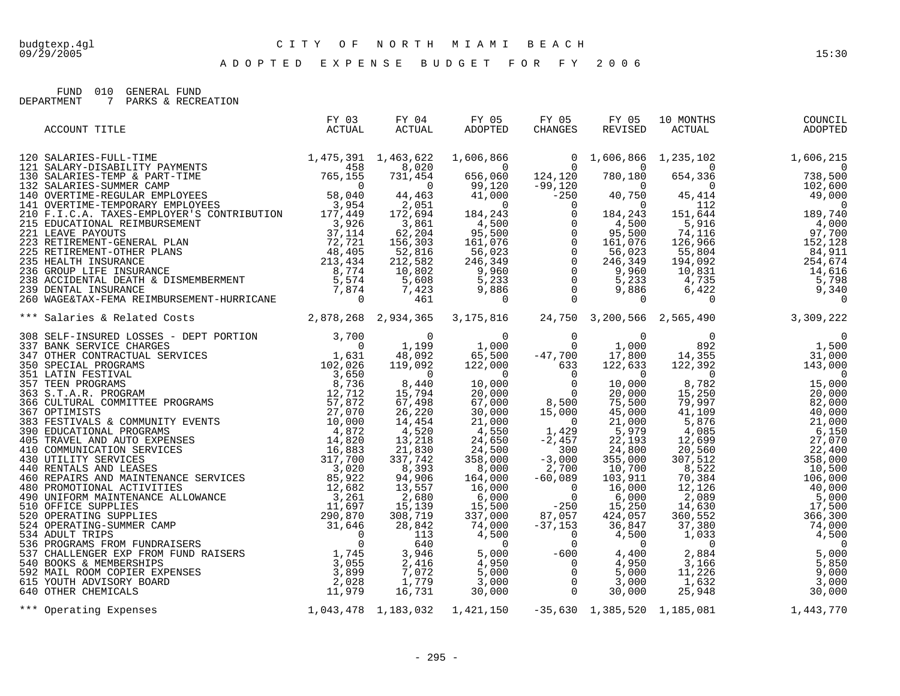FUND 010 GENERAL FUND

DEPARTMENT 7 PARKS & RECREATION

| ACCOUNT TITLE                                                                                                                                                                                                                   | FY 03<br>ACTUAL | FY 04<br>ACTUAL | FY 05<br>$\begin{array}{ccccc}\n & & & \text{r} & \cup \\  & & & \text{ADOPTED}\n\end{array}$ | FY 05<br>CHANGES |  | FY 05 10 MONTHS<br>REVISED ACTUAL<br>COUNCIL<br>ADOPTED |
|---------------------------------------------------------------------------------------------------------------------------------------------------------------------------------------------------------------------------------|-----------------|-----------------|-----------------------------------------------------------------------------------------------|------------------|--|---------------------------------------------------------|
|                                                                                                                                                                                                                                 |                 |                 |                                                                                               |                  |  |                                                         |
|                                                                                                                                                                                                                                 |                 |                 |                                                                                               |                  |  |                                                         |
|                                                                                                                                                                                                                                 |                 |                 |                                                                                               |                  |  |                                                         |
|                                                                                                                                                                                                                                 |                 |                 |                                                                                               |                  |  |                                                         |
|                                                                                                                                                                                                                                 |                 |                 |                                                                                               |                  |  |                                                         |
|                                                                                                                                                                                                                                 |                 |                 |                                                                                               |                  |  |                                                         |
|                                                                                                                                                                                                                                 |                 |                 |                                                                                               |                  |  |                                                         |
|                                                                                                                                                                                                                                 |                 |                 |                                                                                               |                  |  |                                                         |
|                                                                                                                                                                                                                                 |                 |                 |                                                                                               |                  |  |                                                         |
|                                                                                                                                                                                                                                 |                 |                 |                                                                                               |                  |  |                                                         |
|                                                                                                                                                                                                                                 |                 |                 |                                                                                               |                  |  |                                                         |
| *** Salaries & Related Constructions (1993)<br>1998 SELE-THOTENE (1996 SELECTION 1, 1998 1, 1999 1, 1999 1, 1999 1, 1999 1, 1999 1, 1999 1, 1999 1, 1999 1, 1999 1, 1999 1, 1999 1, 1999 1, 1999 1, 1999 1, 1999 1, 1999 1, 199 |                 |                 |                                                                                               |                  |  |                                                         |
|                                                                                                                                                                                                                                 |                 |                 |                                                                                               |                  |  |                                                         |
|                                                                                                                                                                                                                                 |                 |                 |                                                                                               |                  |  |                                                         |
|                                                                                                                                                                                                                                 |                 |                 |                                                                                               |                  |  |                                                         |
|                                                                                                                                                                                                                                 |                 |                 |                                                                                               |                  |  |                                                         |
|                                                                                                                                                                                                                                 |                 |                 |                                                                                               |                  |  |                                                         |
|                                                                                                                                                                                                                                 |                 |                 |                                                                                               |                  |  |                                                         |
|                                                                                                                                                                                                                                 |                 |                 |                                                                                               |                  |  |                                                         |
|                                                                                                                                                                                                                                 |                 |                 |                                                                                               |                  |  |                                                         |
|                                                                                                                                                                                                                                 |                 |                 |                                                                                               |                  |  |                                                         |
|                                                                                                                                                                                                                                 |                 |                 |                                                                                               |                  |  |                                                         |
|                                                                                                                                                                                                                                 |                 |                 |                                                                                               |                  |  |                                                         |
|                                                                                                                                                                                                                                 |                 |                 |                                                                                               |                  |  |                                                         |
|                                                                                                                                                                                                                                 |                 |                 |                                                                                               |                  |  |                                                         |
|                                                                                                                                                                                                                                 |                 |                 |                                                                                               |                  |  |                                                         |
|                                                                                                                                                                                                                                 |                 |                 |                                                                                               |                  |  |                                                         |
|                                                                                                                                                                                                                                 |                 |                 |                                                                                               |                  |  |                                                         |
|                                                                                                                                                                                                                                 |                 |                 |                                                                                               |                  |  |                                                         |
|                                                                                                                                                                                                                                 |                 |                 |                                                                                               |                  |  |                                                         |
|                                                                                                                                                                                                                                 |                 |                 |                                                                                               |                  |  |                                                         |
|                                                                                                                                                                                                                                 |                 |                 |                                                                                               |                  |  |                                                         |
|                                                                                                                                                                                                                                 |                 |                 |                                                                                               |                  |  |                                                         |
|                                                                                                                                                                                                                                 |                 |                 |                                                                                               |                  |  |                                                         |
|                                                                                                                                                                                                                                 |                 |                 |                                                                                               |                  |  |                                                         |
| *** Operating Expenses 1,043,478 1,183,032 1,421,150 -35,630 1,385,520 1,185,081 1,443,770                                                                                                                                      |                 |                 |                                                                                               |                  |  |                                                         |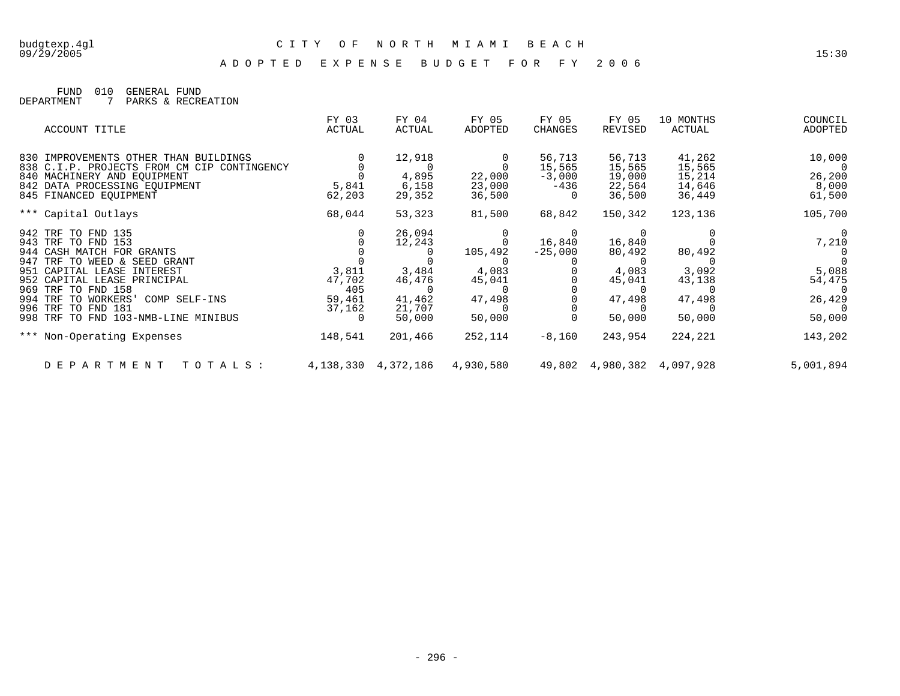A D O P T E D E X P E N S E B U D G E T F O R F Y 2 0 0 6

FUND 010 GENERAL FUND DEPARTMENT 7 PARKS & RECREATION

| ACCOUNT TITLE                                                              | FY 03<br>ACTUAL | FY 04<br>ACTUAL         | FY 05<br>ADOPTED | FY 05<br>CHANGES   | FY 05<br>REVISED           | 10 MONTHS<br>ACTUAL | COUNCIL<br>ADOPTED |
|----------------------------------------------------------------------------|-----------------|-------------------------|------------------|--------------------|----------------------------|---------------------|--------------------|
| 830 IMPROVEMENTS OTHER THAN BUILDINGS                                      |                 | 12,918                  |                  | 56,713             | 56,713                     | 41,262              | 10,000             |
| 838 C.I.P. PROJECTS FROM CM CIP CONTINGENCY<br>840 MACHINERY AND EOUIPMENT |                 | $\bigcap$<br>4,895      | 22,000           | 15,565<br>$-3,000$ | 15,565<br>19,000           | 15,565<br>15,214    | $\Omega$<br>26,200 |
| 842 DATA PROCESSING EQUIPMENT                                              | 5,841           | 6,158                   | 23,000           | $-436$             | 22,564                     | 14,646              | 8,000              |
| 845 FINANCED EOUIPMENT                                                     | 62,203          | 29,352                  | 36,500           |                    | 36,500                     | 36,449              | 61,500             |
| *** Capital Outlays                                                        | 68,044          | 53,323                  | 81,500           | 68,842             | 150,342                    | 123,136             | 105,700            |
| 942 TRF TO FND 135                                                         |                 | 26,094                  |                  | $\Omega$           | $\Omega$                   |                     | $\overline{0}$     |
| 943 TRF TO FND 153                                                         |                 | 12,243                  |                  | 16,840             | 16,840                     |                     | 7,210              |
| 944 CASH MATCH FOR GRANTS                                                  |                 | 0                       | 105,492          | $-25,000$          | 80,492                     | 80,492              |                    |
| 947 TRF TO WEED & SEED GRANT                                               |                 |                         |                  |                    |                            |                     |                    |
| 951 CAPITAL LEASE INTEREST                                                 | 3,811           | 3,484                   | 4,083            |                    | 4,083                      | 3,092               | 5,088              |
| 952 CAPITAL LEASE PRINCIPAL                                                | 47,702          | 46,476                  | 45,041           |                    | 45,041                     | 43,138              | 54,475             |
| 969 TRF TO FND 158<br>994 TRF TO WORKERS' COMP SELF-INS                    | 405<br>59,461   | $\Omega$<br>41,462      | 47,498           |                    | 47,498                     |                     | $\Omega$<br>26,429 |
| 996 TRF TO FND 181                                                         | 37,162          | 21,707                  |                  |                    |                            | 47,498              |                    |
| 998 TRF TO FND 103-NMB-LINE MINIBUS                                        | 0               | 50,000                  | 50,000           |                    | 50,000                     | 50,000              | 50,000             |
| *** Non-Operating Expenses                                                 | 148,541         | 201,466                 | 252,114          | $-8,160$           | 243,954                    | 224,221             | 143,202            |
| TOTALS:<br>DEPARTMENT                                                      |                 | 4, 138, 330 4, 372, 186 | 4,930,580        |                    | 49,802 4,980,382 4,097,928 |                     | 5,001,894          |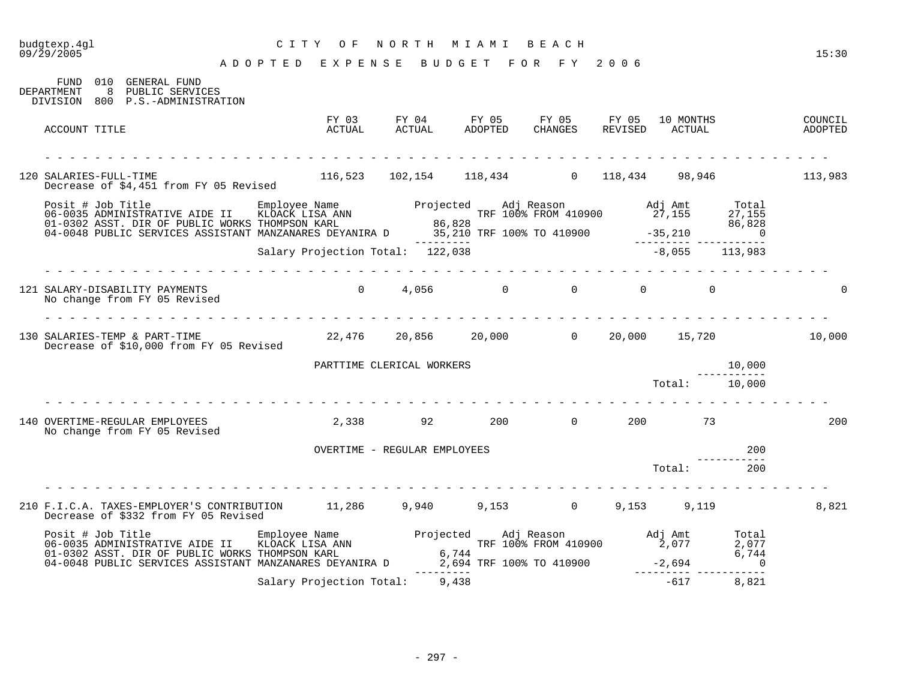## budgtexp.4gl C I T Y O F N O R T H M I A M I B E A C H

| FUND 010<br>GENERAL FUND<br>8<br>DEPARTMENT<br>PUBLIC SERVICES<br>DIVISION 800 P.S.-ADMINISTRATION                                                                                                                                      |                                  |                                                          |         |                                    |                |                  |                |                    |
|-----------------------------------------------------------------------------------------------------------------------------------------------------------------------------------------------------------------------------------------|----------------------------------|----------------------------------------------------------|---------|------------------------------------|----------------|------------------|----------------|--------------------|
| ACCOUNT TITLE                                                                                                                                                                                                                           | FY 03<br>ACTUAL                  | ACTUAL                                                   | ADOPTED | FY 04 FY 05 FY 05 FY 05<br>CHANGES | REVISED ACTUAL | 10 MONTHS        |                | COUNCIL<br>ADOPTED |
|                                                                                                                                                                                                                                         |                                  |                                                          |         |                                    |                |                  |                |                    |
| 120 SALARIES-FULL-TIME<br>Decrease of \$4,451 from FY 05 Revised                                                                                                                                                                        |                                  | $116,523$ $102,154$ $118,434$ 0 $118,434$ 98,946 113,983 |         |                                    |                |                  |                |                    |
| Posit # Job Title Employee Name Projected Adj Reason Adj Amt Total<br>16-0035 ADMINISTRATIVE AIDE II KLOACK LISA ANN TRE 100% FROM 410900 27,155 27,155<br>17,155 27,155 0.01-0302 ASST. DIR OF PUBLIC WORKS THOMPSON KARL 86,828<br>19 |                                  |                                                          |         |                                    |                |                  |                |                    |
|                                                                                                                                                                                                                                         | Salary Projection Total: 122,038 |                                                          |         |                                    |                | $-8,055$ 113,983 |                |                    |
|                                                                                                                                                                                                                                         |                                  |                                                          |         |                                    |                |                  |                |                    |
| 121 SALARY-DISABILITY PAYMENTS<br>No change from FY 05 Revised                                                                                                                                                                          |                                  | $0 \t 4,056 \t 0 \t 0$                                   |         |                                    | $\Omega$       | $\Omega$         |                |                    |
|                                                                                                                                                                                                                                         |                                  |                                                          |         |                                    |                |                  |                |                    |
| 130 SALARIES-TEMP & PART-TIME<br>Decrease of \$10,000 from FY 05 Revised                                                                                                                                                                |                                  | $22,476$ $20,856$ $20,000$ 00 $20,000$ $15,720$ 10,000   |         |                                    |                |                  |                |                    |
|                                                                                                                                                                                                                                         |                                  | PARTTIME CLERICAL WORKERS                                |         |                                    |                |                  | 10,000         |                    |
|                                                                                                                                                                                                                                         |                                  |                                                          |         |                                    |                | Total: 10,000    |                |                    |
| 140 OVERTIME-REGULAR EMPLOYEES<br>No change from FY 05 Revised                                                                                                                                                                          | 2,338                            | 92                                                       | 200     | $\overline{0}$                     | 200            | 73               |                | 200                |
|                                                                                                                                                                                                                                         |                                  | OVERTIME - REGULAR EMPLOYEES                             |         |                                    |                |                  | 200            |                    |
|                                                                                                                                                                                                                                         |                                  |                                                          |         |                                    |                | Total:           | 200            |                    |
| 210 F.I.C.A. TAXES-EMPLOYER'S CONTRIBUTION 11,286 9,940 9,153 0 9,153 9,119                                                                                                                                                             |                                  |                                                          |         |                                    |                |                  |                | 8,821              |
| Decrease of \$332 from FY 05 Revised                                                                                                                                                                                                    |                                  |                                                          |         |                                    |                |                  |                |                    |
| Posit # Job Title Employee Name Projected Adj Reason adj Amt Total 3.077<br>06-0035 ADMINISTRATIVE AIDE II KLOACK LISA ANN TRE 100% FROM 410900 2,077 2,077<br>01-0302 ASST. DIR OF PUBLIC WORKS THOMES ON E------- 6,744 6,744 6.74    |                                  |                                                          |         |                                    |                |                  |                |                    |
| 04-0048 PUBLIC SERVICES ASSISTANT MANZANARES DEYANIRA D                                                                                                                                                                                 |                                  |                                                          |         | 2,694 TRF 100% TO 410900           | $-2,694$       |                  | $\overline{0}$ |                    |
|                                                                                                                                                                                                                                         | Salary Projection Total: 9,438   |                                                          |         |                                    |                | $-617$           | 8,821          |                    |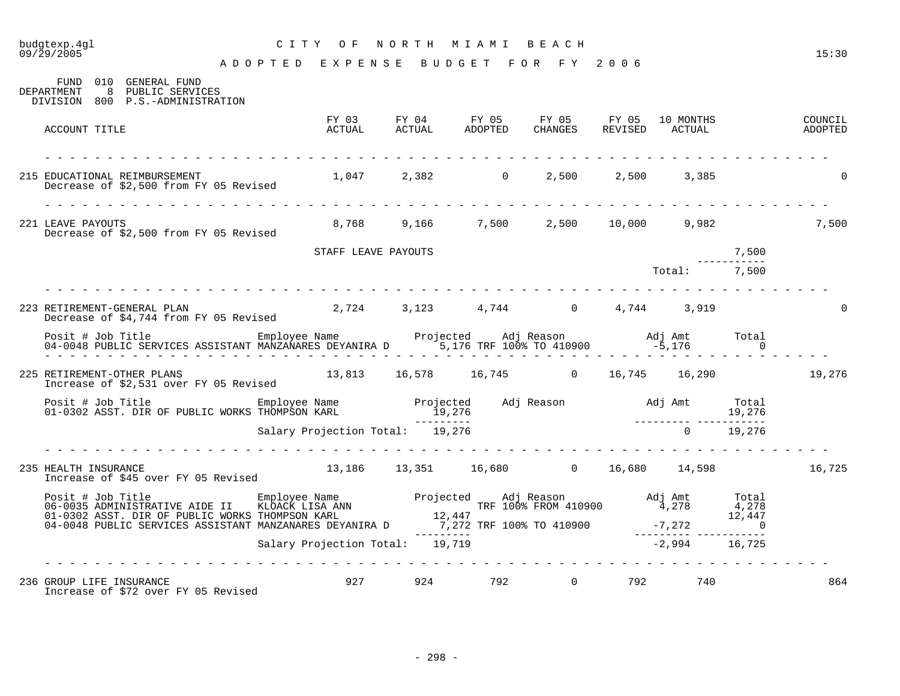# budgtexp.4gl C I T Y O F N O R T H M I A M I B E A C H

| FUND 010<br>GENERAL FUND<br>8 PUBLIC SERVICES<br>DEPARTMENT<br>DIVISION 800 P.S.-ADMINISTRATION |                                 |                     |            |     |                                                                                                      |     |                           |                            |        |
|-------------------------------------------------------------------------------------------------|---------------------------------|---------------------|------------|-----|------------------------------------------------------------------------------------------------------|-----|---------------------------|----------------------------|--------|
| ACCOUNT TITLE                                                                                   |                                 |                     |            |     | FY 03 FY 04 FY 05 FY 05 FY 05 10 MONTHS COUNCIL ACTUAL ACTUAL ADOPTED CHANGES REVISED ACTUAL ADOPTED |     |                           |                            |        |
| 215 EDUCATIONAL REIMBURSEMENT<br>Decrease of \$2,500 from FY 05 Revised                         |                                 |                     |            |     | $1,047$ $2,382$ 0 $2,500$ $2,500$                                                                    |     | 3,385                     |                            |        |
| 221 LEAVE PAYOUTS<br>Decrease of \$2,500 from FY 05 Revised                                     |                                 |                     |            |     | 8,768 9,166 7,500 2,500 10,000 9,982                                                                 |     |                           |                            | 7,500  |
|                                                                                                 |                                 | STAFF LEAVE PAYOUTS |            |     |                                                                                                      |     |                           | 7,500                      |        |
|                                                                                                 |                                 |                     |            |     |                                                                                                      |     | Total: 7,500              |                            |        |
| 223 RETIREMENT-GENERAL PLAN<br>Decrease of \$4,744 from FY 05 Revised                           |                                 |                     |            |     | $2,724$ $3,123$ $4,744$ $0$ $4,744$ $3,919$                                                          |     |                           |                            |        |
|                                                                                                 |                                 |                     |            |     |                                                                                                      |     |                           | Total<br>$\sim$ 0          |        |
| 225 RETIREMENT-OTHER PLANS<br>Increase of \$2,531 over FY 05 Revised                            |                                 |                     |            |     | $13,813$ $16,578$ $16,745$ 0 $16,745$ $16,290$                                                       |     |                           |                            | 19,276 |
|                                                                                                 |                                 |                     |            |     | $\frac{19,276}{2}$                                                                                   |     | _________________________ |                            |        |
|                                                                                                 | Salary Projection Total: 19,276 |                     |            |     |                                                                                                      |     |                           | $0 \t 19,276$              |        |
| 235 HEALTH INSURANCE<br>Increase of \$45 over FY 05 Revised                                     |                                 |                     |            |     | 13,186 13,351 16,680 0 16,680 14,598 16,725                                                          |     |                           |                            |        |
|                                                                                                 |                                 |                     |            |     |                                                                                                      |     |                           |                            |        |
|                                                                                                 |                                 |                     | ---------- |     |                                                                                                      |     |                           | $\overline{\phantom{0}}$ 0 |        |
|                                                                                                 | Salary Projection Total: 19,719 |                     |            |     |                                                                                                      |     | $-2,994$ 16,725           |                            |        |
|                                                                                                 |                                 |                     |            |     |                                                                                                      |     |                           |                            |        |
| 236 GROUP LIFE INSURANCE<br>Increase of \$72 over FY 05 Revised                                 |                                 | 927 924             |            | 792 | $\Omega$                                                                                             | 792 | 740                       |                            | 864    |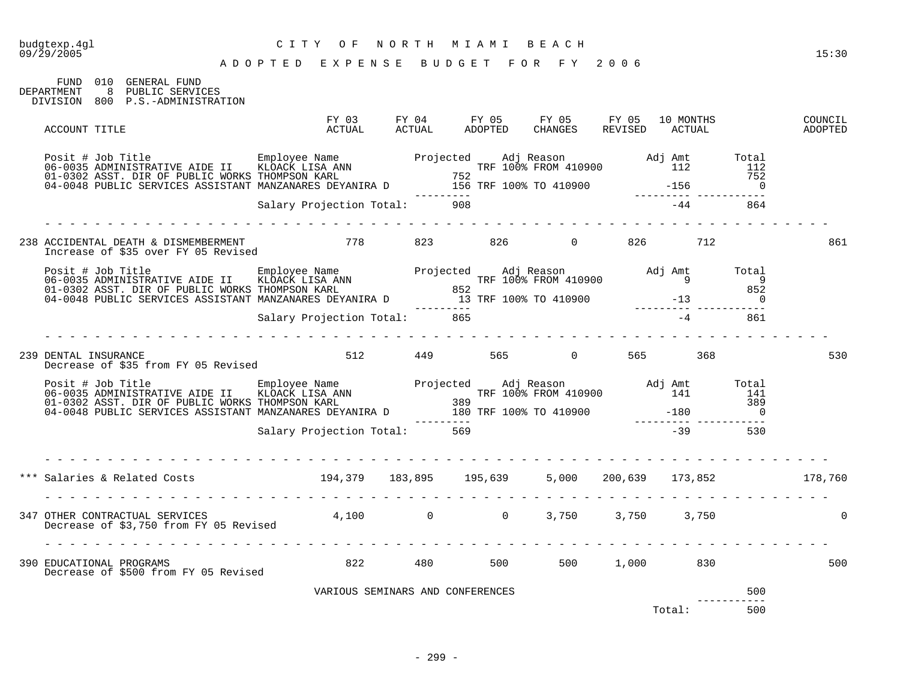| budgtexp.4gl<br>09/29/2005                                                                                                                                                                                                             |                                    | CITY OF NORTH MIAMI BEACH        |  | ADOPTED EXPENSE BUDGET FOR FY 2006 |       |          | 15:30              |
|----------------------------------------------------------------------------------------------------------------------------------------------------------------------------------------------------------------------------------------|------------------------------------|----------------------------------|--|------------------------------------|-------|----------|--------------------|
| FUND 010 GENERAL FUND<br>DEPARTMENT 8 PUBLIC SERVICES<br>DIVISION 800 P.S.-ADMINISTRATION                                                                                                                                              |                                    |                                  |  |                                    |       |          |                    |
| ACCOUNT TITLE                                                                                                                                                                                                                          |                                    |                                  |  |                                    |       |          | COUNCIL<br>ADOPTED |
| Posit # Job Title Employee Name Projected Adj Reason Adj Amt Total<br>112 II2 112 112 II2 152<br>01-0302 ASST. DIR OF PUBLIC WORKS THOMPSON KARL 752<br>04-0048 PUBLIC SERVICES ASSISTANT MANZANARES DEYANIRA D 156 TRF 100% TO 410900 |                                    |                                  |  |                                    |       |          |                    |
|                                                                                                                                                                                                                                        |                                    | Salary Projection Total: 908     |  |                                    | $-44$ | 864      |                    |
| 238 ACCIDENTAL DEATH & DISMEMBERMENT 6 778 778 823 826 0 826 712<br>Increase of \$35 over FY 05 Revised                                                                                                                                |                                    |                                  |  |                                    |       |          | 861                |
|                                                                                                                                                                                                                                        |                                    |                                  |  |                                    |       |          |                    |
|                                                                                                                                                                                                                                        | <u>a la la la la la la la la l</u> | Salary Projection Total: 865     |  |                                    |       | $-4$ 861 |                    |
| 239 DENTAL INSURANCE<br>Decrease of \$35 from FY 05 Revised                                                                                                                                                                            |                                    |                                  |  | 512 449 565 0 565 368              |       |          | 530                |
| Posit # Job Title Employee Name Projected Adj Reason Adj Amt Total<br>06-0035 ADMINISTRATIVE AIDE II KLOACK LISA ANN TRE 100% FROM 410900 141 141<br>01-0302 ASST. DIR OF PUBLIC WORKS THOMPSON KARL 389<br>04-0048 PUBLIC SERVICES    |                                    |                                  |  |                                    |       |          |                    |
|                                                                                                                                                                                                                                        |                                    | Salary Projection Total: 569     |  |                                    | $-39$ | 530      |                    |
| *** Salaries & Related Costs                           194,379     183,895     195,639     5,000   200,639     173,852               178,760                                                                                           |                                    |                                  |  |                                    |       |          |                    |
| 347 OTHER CONTRACTUAL SERVICES<br>Decrease of \$3,750 from FY 05 Revised                                                                                                                                                               |                                    |                                  |  | $4,100$ 0 0 3,750 3,750 3,750      |       |          |                    |
| 390 EDUCATIONAL PROGRAMS<br>Decrease of \$500 from FY 05 Revised                                                                                                                                                                       |                                    |                                  |  | 822 480 500 500 1,000 830          |       |          | 500                |
|                                                                                                                                                                                                                                        |                                    | VARIOUS SEMINARS AND CONFERENCES |  |                                    |       | 500      |                    |

Total: 500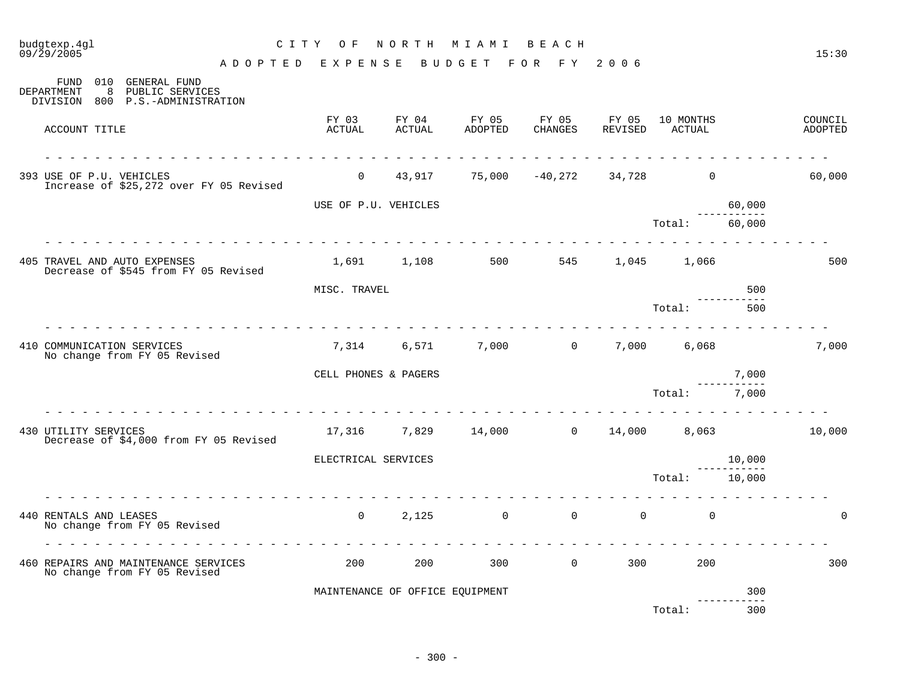| budgtexp.4gl<br>09/29/2005                                                                            | C I T Y<br>O F       | NORTH                           | M I A M I           | BEACH            |                  |                     |                        | 15:30              |
|-------------------------------------------------------------------------------------------------------|----------------------|---------------------------------|---------------------|------------------|------------------|---------------------|------------------------|--------------------|
| A D O P T E D                                                                                         | EXPENSE              |                                 | BUDGET              | F Y<br>F O R     | 2006             |                     |                        |                    |
| 010 GENERAL FUND<br>FUND<br>8<br>PUBLIC SERVICES<br>DEPARTMENT<br>DIVISION<br>800 P.S.-ADMINISTRATION |                      |                                 |                     |                  |                  |                     |                        |                    |
| ACCOUNT TITLE                                                                                         | FY 03<br>ACTUAL      | FY 04<br><b>ACTUAL</b>          | FY 05<br>ADOPTED    | FY 05<br>CHANGES | FY 05<br>REVISED | 10 MONTHS<br>ACTUAL |                        | COUNCIL<br>ADOPTED |
| 393 USE OF P.U. VEHICLES<br>Increase of \$25,272 over FY 05 Revised                                   | $\overline{0}$       | 43,917                          |                     | 75,000 -40,272   | 34,728           | $\overline{0}$      |                        | 60,000             |
|                                                                                                       | USE OF P.U. VEHICLES |                                 |                     |                  |                  |                     | 60,000                 |                    |
|                                                                                                       |                      |                                 |                     |                  |                  | Total:              | 60,000                 |                    |
| 405 TRAVEL AND AUTO EXPENSES<br>Decrease of \$545 from FY 05 Revised                                  |                      | 1,691 1,108                     | 500                 | 545              | 1,045            | 1,066               |                        | 500                |
|                                                                                                       | MISC. TRAVEL         |                                 |                     |                  |                  |                     | 500                    |                    |
|                                                                                                       |                      |                                 |                     |                  |                  | Total:              | 500                    |                    |
| 410 COMMUNICATION SERVICES<br>No change from FY 05 Revised                                            | 7,314                | 6,571                           | 7,000               | $\overline{0}$   | 7,000            | 6,068               |                        | 7,000              |
|                                                                                                       | CELL PHONES & PAGERS |                                 |                     |                  |                  |                     | 7,000                  |                    |
|                                                                                                       |                      |                                 |                     |                  |                  | Total:              | $\frac{1}{2}$<br>7,000 |                    |
| 430 UTILITY SERVICES<br>Decrease of \$4,000 from FY 05 Revised                                        |                      |                                 | 17,316 7,829 14,000 | $\Omega$         |                  | 14,000 8,063        |                        | 10,000             |
|                                                                                                       | ELECTRICAL SERVICES  |                                 |                     |                  |                  |                     | 10,000<br>----------   |                    |
|                                                                                                       |                      |                                 |                     |                  |                  | Total:              | 10,000                 |                    |
| 440 RENTALS AND LEASES<br>No change from FY 05 Revised                                                | $\overline{0}$       | 2,125                           | $\overline{0}$      | $\overline{0}$   | $\mathbf 0$      | $\mathbf 0$         |                        | $\cap$             |
| 460 REPAIRS AND MAINTENANCE SERVICES<br>No change from FY 05 Revised                                  | 200                  | 200                             | 300                 | $\mathsf{O}$     | 300              | 200                 |                        | 300                |
|                                                                                                       |                      | MAINTENANCE OF OFFICE EQUIPMENT |                     |                  |                  |                     | 300                    |                    |
|                                                                                                       |                      |                                 |                     |                  |                  | Total:              | 300                    |                    |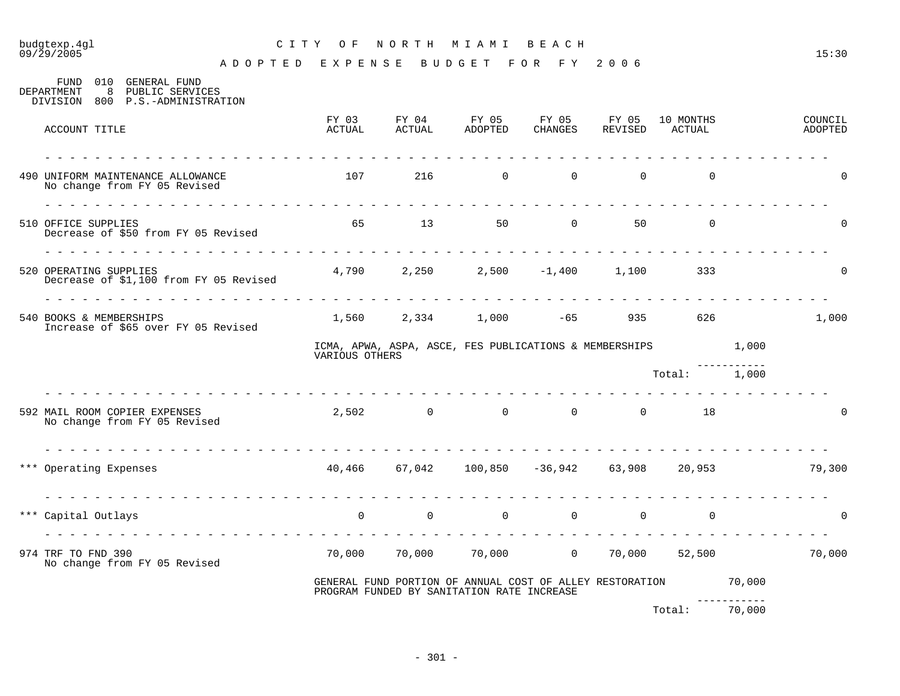# budgtexp.4gl C I T Y O F N O R T H M I A M I B E A C H

| 010<br>GENERAL FUND<br>FUND<br>8<br>PUBLIC SERVICES<br>DEPARTMENT<br>DIVISION 800 P.S.-ADMINISTRATION |                   |       |                                                                                                               |                |    |                             |        |                    |
|-------------------------------------------------------------------------------------------------------|-------------------|-------|---------------------------------------------------------------------------------------------------------------|----------------|----|-----------------------------|--------|--------------------|
| ACCOUNT TITLE                                                                                         | FY 03<br>ACTUAL   |       | FY 04 FY 05 FY 05 FY 05<br>ACTUAL ADOPTED CHANGES REVISED                                                     | <b>CHANGES</b> |    | 10 MONTHS<br>REVISED ACTUAL |        | COUNCIL<br>ADOPTED |
| 490 UNIFORM MAINTENANCE ALLOWANCE<br>No change from FY 05 Revised                                     | 107               |       | $216$ 0 0                                                                                                     |                |    | $\overline{0}$<br>$\Omega$  |        | $\Omega$           |
| 510 OFFICE SUPPLIES<br>Decrease of \$50 from FY 05 Revised                                            |                   | 65 13 | $50$ 0                                                                                                        |                | 50 | $\Omega$                    |        | $\Omega$           |
| 520 OPERATING SUPPLIES<br>Decrease of \$1,100 from FY 05 Revised                                      |                   |       | $4,790$ $2,250$ $2,500$ $-1,400$ $1,100$ $333$                                                                |                |    |                             |        | $\Omega$           |
| 540 BOOKS & MEMBERSHIPS<br>Increase of \$65 over FY 05 Revised                                        |                   |       | $1,560$ $2,334$ $1,000$ $-65$ $935$ $626$                                                                     |                |    |                             |        | 1,000              |
|                                                                                                       | VARIOUS OTHERS    |       | ICMA, APWA, ASPA, ASCE, FES PUBLICATIONS & MEMBERSHIPS 1,000                                                  |                |    |                             |        |                    |
|                                                                                                       |                   |       |                                                                                                               |                |    | Total: 1,000                |        |                    |
| 592 MAIL ROOM COPIER EXPENSES<br>No change from FY 05 Revised                                         | $2,502$ 0 0 0 0 0 |       |                                                                                                               |                |    | 18                          |        | 0                  |
| *** Operating Expenses                                                                                |                   |       | 40,466 67,042 100,850 -36,942 63,908 20,953 79,300                                                            |                |    |                             |        |                    |
| *** Capital Outlays                                                                                   |                   |       | $\begin{matrix} 0 & 0 & 0 & 0 \end{matrix}$                                                                   |                |    | $\Omega$<br>$\Omega$        |        | $\Omega$           |
| 974 TRF TO FND 390<br>No change from FY 05 Revised                                                    |                   |       | 70,000 70,000 70,000 0 70,000 52,500 70,000                                                                   |                |    |                             |        |                    |
|                                                                                                       |                   |       | GENERAL FUND PORTION OF ANNUAL COST OF ALLEY RESTORATION 70,000<br>PROGRAM FUNDED BY SANITATION RATE INCREASE |                |    |                             |        |                    |
|                                                                                                       |                   |       |                                                                                                               |                |    | Total:                      | 70,000 |                    |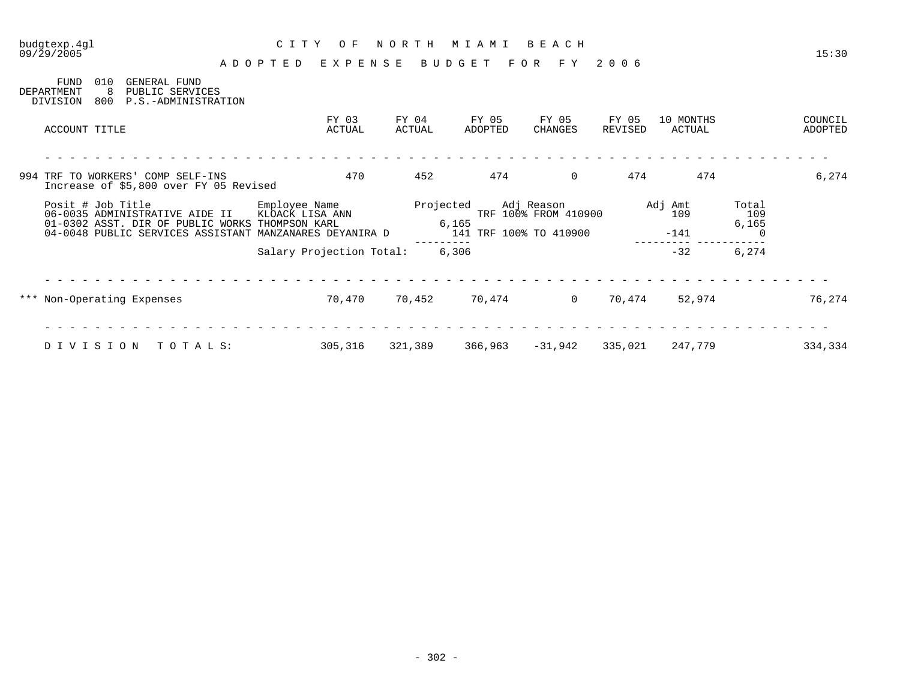|                                                          |                                                                                                            | EXPENSE<br>ADOPTED               |                 | BUDGET                          | F O R<br>F Y                       | 2006             |                     |              |                    |
|----------------------------------------------------------|------------------------------------------------------------------------------------------------------------|----------------------------------|-----------------|---------------------------------|------------------------------------|------------------|---------------------|--------------|--------------------|
| <b>FUND</b><br>010<br>8<br>DEPARTMENT<br>800<br>DIVISION | GENERAL FUND<br>PUBLIC SERVICES<br>P.S.-ADMINISTRATION                                                     |                                  |                 |                                 |                                    |                  |                     |              |                    |
| ACCOUNT TITLE                                            |                                                                                                            | FY 03<br>ACTUAL                  | FY 04<br>ACTUAL | FY 05<br>ADOPTED                | FY 05<br>CHANGES                   | FY 05<br>REVISED | 10 MONTHS<br>ACTUAL |              | COUNCIL<br>ADOPTED |
|                                                          |                                                                                                            |                                  |                 |                                 |                                    |                  |                     |              |                    |
|                                                          | 994 TRF TO WORKERS' COMP SELF-INS<br>Increase of \$5,800 over FY 05 Revised                                | 470                              | 452             | 474                             | $\mathbf 0$                        | 474              | 474                 |              | 6,274              |
| Posit # Job Title                                        | 06-0035 ADMINISTRATIVE AIDE II                                                                             | Employee Name<br>KLOACK LISA ANN |                 | Projected                       | Adj Reason<br>TRF 100% FROM 410900 |                  | Adj Amt<br>109      | Total<br>109 |                    |
|                                                          | 01-0302 ASST. DIR OF PUBLIC WORKS THOMPSON KARL<br>04-0048 PUBLIC SERVICES ASSISTANT MANZANARES DEYANIRA D |                                  |                 | 6,165<br>141 TRF 100% TO 410900 |                                    |                  | $-141$              | 6,165        |                    |
|                                                          |                                                                                                            | Salary Projection Total:         |                 | 6,306                           |                                    |                  | $-32$               | 6,274        |                    |
|                                                          |                                                                                                            |                                  |                 |                                 |                                    |                  |                     |              |                    |
| *** Non-Operating Expenses                               |                                                                                                            | 70,470                           | 70,452          | 70,474                          | $\Omega$                           | 70,474           | 52,974              |              | 76,274             |
|                                                          |                                                                                                            |                                  |                 |                                 |                                    |                  |                     |              |                    |
| DIVISION                                                 | TOTALS:                                                                                                    | 305,316                          | 321,389         | 366,963                         | -31,942                            | 335,021          | 247,779             |              | 334,334            |

budgtexp.4gl C I T Y O F N O R T H M I A M I B E A C H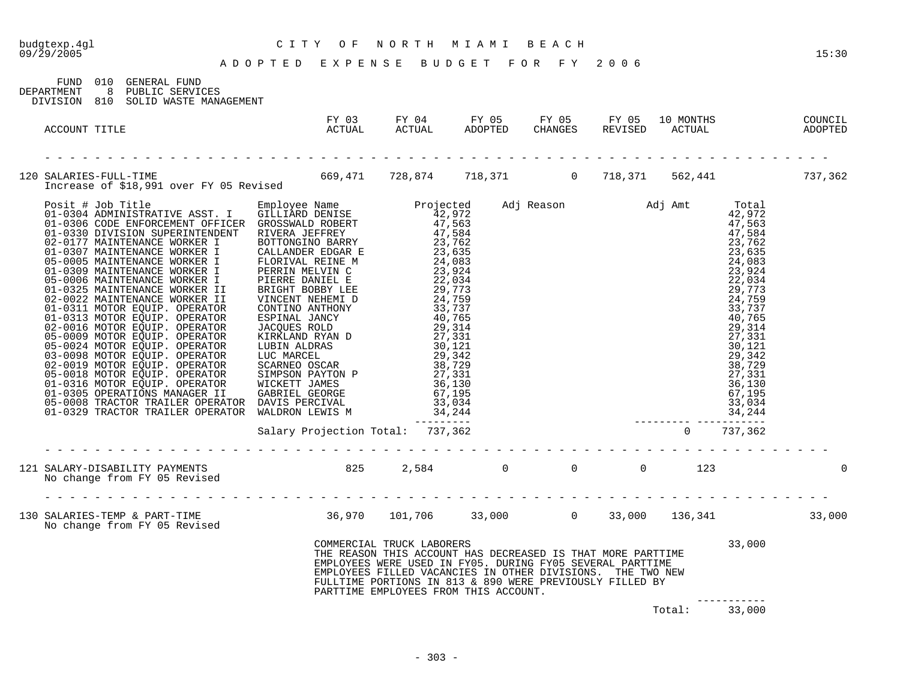| budgtexp.4gl<br>09/29/2005 |                                                                                   | CITY OF NORTH MIAMI BEACH<br>ADOPTED EXPENSE BUDGET FOR FY 2006                                                     |                           |                                                                                                                                                                                                                                                                                             |  |        |                        | 15:30 |
|----------------------------|-----------------------------------------------------------------------------------|---------------------------------------------------------------------------------------------------------------------|---------------------------|---------------------------------------------------------------------------------------------------------------------------------------------------------------------------------------------------------------------------------------------------------------------------------------------|--|--------|------------------------|-------|
| DEPARTMENT                 | FUND 010 GENERAL FUND<br>8 PUBLIC SERVICES<br>DIVISION 810 SOLID WASTE MANAGEMENT |                                                                                                                     |                           |                                                                                                                                                                                                                                                                                             |  |        |                        |       |
| ACCOUNT TITLE              |                                                                                   |                                                                                                                     |                           |                                                                                                                                                                                                                                                                                             |  |        |                        |       |
|                            |                                                                                   | 120 SALARIES-FULL-TIME 669,471 728,874 718,371 0 718,371 562,441 737,362<br>Increase of \$18,991 over FY 05 Revised |                           |                                                                                                                                                                                                                                                                                             |  |        |                        |       |
|                            |                                                                                   |                                                                                                                     |                           |                                                                                                                                                                                                                                                                                             |  |        |                        |       |
|                            |                                                                                   | 121 SALARY-DISABILITY PAYMENTS<br>No change from FY 05 Revised                                                      |                           |                                                                                                                                                                                                                                                                                             |  |        |                        |       |
|                            |                                                                                   |                                                                                                                     |                           |                                                                                                                                                                                                                                                                                             |  |        |                        |       |
|                            |                                                                                   |                                                                                                                     | COMMERCIAL TRUCK LABORERS | THE REASON THIS ACCOUNT HAS DECREASED IS THAT MORE PARTTIME<br>EMPLOYEES WERE USED IN FY05. DURING FY05 SEVERAL PARTTIME<br>EMPLOYEES FILLED VACANCIES IN OTHER DIVISIONS. THE TWO NEW<br>FULLTIME PORTIONS IN 813 & 890 WERE PREVIOUSLY FILLED BY<br>PARTTIME EMPLOYEES FROM THIS ACCOUNT. |  |        | 33,000                 |       |
|                            |                                                                                   |                                                                                                                     |                           |                                                                                                                                                                                                                                                                                             |  | Total: | ------------<br>33,000 |       |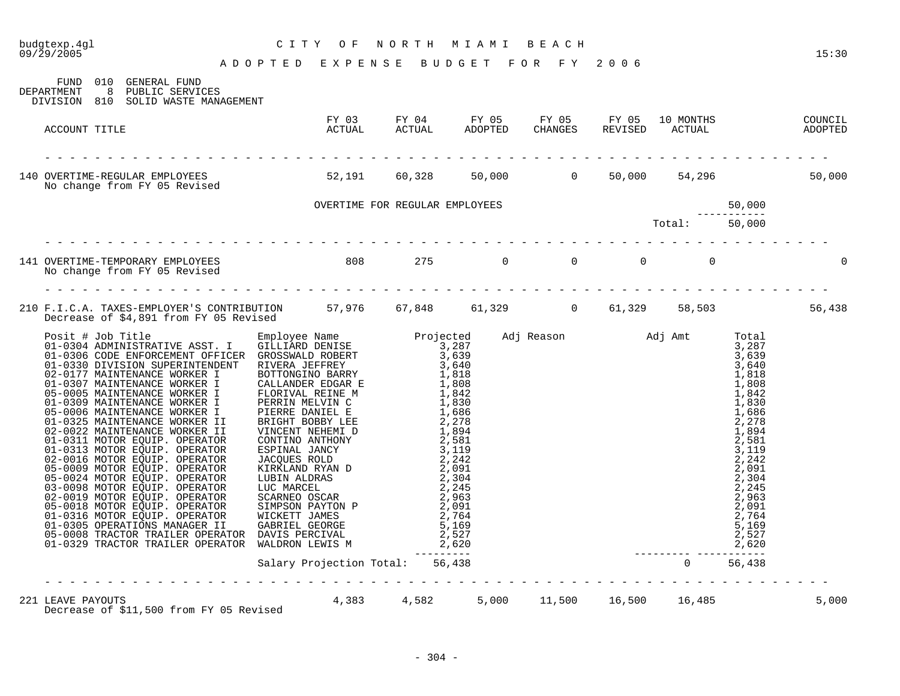# budgtexp.4gl C I T Y O F N O R T H M I A M I B E A C H

| FUND 010<br>GENERAL FUND<br>8 PUBLIC SERVICES<br>DEPARTMENT<br>DIVISION 810 SOLID WASTE MANAGEMENT                                      |                                                                                                         |  |  |  |       |
|-----------------------------------------------------------------------------------------------------------------------------------------|---------------------------------------------------------------------------------------------------------|--|--|--|-------|
| ACCOUNT TITLE                                                                                                                           | FY 03 FY 04 FY 05 FY 05 FY 05 10 MONTHS COUNCIL<br>ACTUAL ACTUAL ADOPTED CHANGES REVISED ACTUAL ADOPTED |  |  |  |       |
| 140 OVERTIME-REGULAR EMPLOYEES 62,191 60,328 50,000 0 50,000 54,296 54,296 50,000<br>No change from FY 05 Revised                       |                                                                                                         |  |  |  |       |
|                                                                                                                                         |                                                                                                         |  |  |  |       |
|                                                                                                                                         |                                                                                                         |  |  |  |       |
|                                                                                                                                         |                                                                                                         |  |  |  |       |
| 210 F.I.C.A. TAXES-EMPLOYER'S CONTRIBUTION 57,976 67,848 61,329 0 61,329 58,503 58,503 56,438<br>Decrease of \$4,891 from FY 05 Revised |                                                                                                         |  |  |  |       |
|                                                                                                                                         |                                                                                                         |  |  |  |       |
|                                                                                                                                         |                                                                                                         |  |  |  |       |
| 221 LEAVE PAYOUTS<br>Decrease of \$11,500 from FY 05 Revised 4,383 4,582 5,000 11,500 16,500 16,485                                     |                                                                                                         |  |  |  | 5,000 |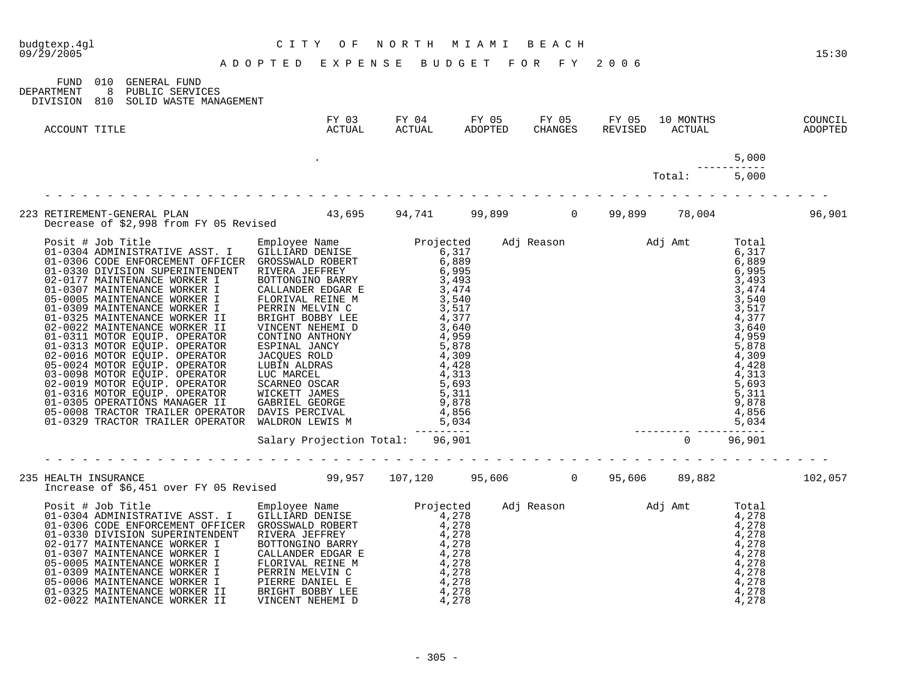| budgtexp.4gl<br>09/29/2005 | CITY OF NORTH MIAMI BEACH<br>ADOPTED EXPENSE BUDGET FOR FY 2006                   |  |  |              |                      | 15:30 |
|----------------------------|-----------------------------------------------------------------------------------|--|--|--------------|----------------------|-------|
| DEPARTMENT                 | FUND 010 GENERAL FUND<br>8 PUBLIC SERVICES<br>DIVISION 810 SOLID WASTE MANAGEMENT |  |  |              |                      |       |
| ACCOUNT TITLE              |                                                                                   |  |  |              |                      |       |
|                            |                                                                                   |  |  |              | 5,000<br>----------- |       |
|                            |                                                                                   |  |  | Total: 5,000 |                      |       |
|                            |                                                                                   |  |  |              |                      |       |
|                            |                                                                                   |  |  |              |                      |       |
|                            |                                                                                   |  |  |              |                      |       |
|                            |                                                                                   |  |  |              |                      |       |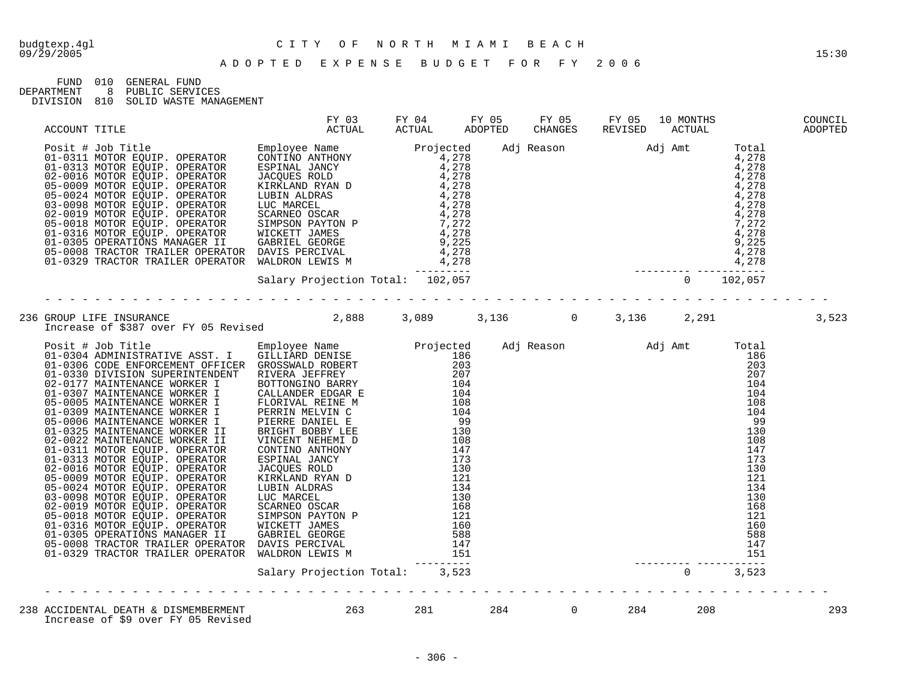## budgtexp.4gl C I T Y O F N O R T H M I A M I B E A C H

FUND 010 GENERAL FUND<br>DEPARTMENT 8 PUBLIC SERVIO

DEPARTMENT 8 PUBLIC SERVICES

DIVISION 810 SOLID WASTE MANAGEMENT

| ACCOUNT TITLE                                                                                                                                                                                                                                                                                                                                                                                                                                                                                                 |  |  |  |     |
|---------------------------------------------------------------------------------------------------------------------------------------------------------------------------------------------------------------------------------------------------------------------------------------------------------------------------------------------------------------------------------------------------------------------------------------------------------------------------------------------------------------|--|--|--|-----|
| $\begin{tabular}{l c c c c c} \multicolumn{1}{c}{ACCOUT TITLE} & $\mathtt{ACTUAL}$ & $\mathtt{ACTUAL}$ & $\mathtt{ACTUAL}$ & $\mathtt{ACTUAL}$ & $\mathtt{ACTUAL}$ & $\mathtt{ACTUAL}$ & $\mathtt{ACTUAL}$ & $\mathtt{ACTUAL}$ & $\mathtt{ADOFTED}$ & $\mathtt{CKTUAL}$ & $\mathtt{ADOFTED}$ & $\mathtt{CHA},\mathtt{A0} \text{ } \mathtt{1}$ & $\mathtt{Total}$ & $\mathtt{Total}$ & $\mathtt{Total}$ & $\mathtt{Total} \text{ } \mathtt{1}$ & $\mathtt{Total} \text{ } \mathtt{1}$ & $\mathtt{Total} \text$ |  |  |  |     |
|                                                                                                                                                                                                                                                                                                                                                                                                                                                                                                               |  |  |  |     |
|                                                                                                                                                                                                                                                                                                                                                                                                                                                                                                               |  |  |  |     |
|                                                                                                                                                                                                                                                                                                                                                                                                                                                                                                               |  |  |  |     |
|                                                                                                                                                                                                                                                                                                                                                                                                                                                                                                               |  |  |  | 293 |
|                                                                                                                                                                                                                                                                                                                                                                                                                                                                                                               |  |  |  |     |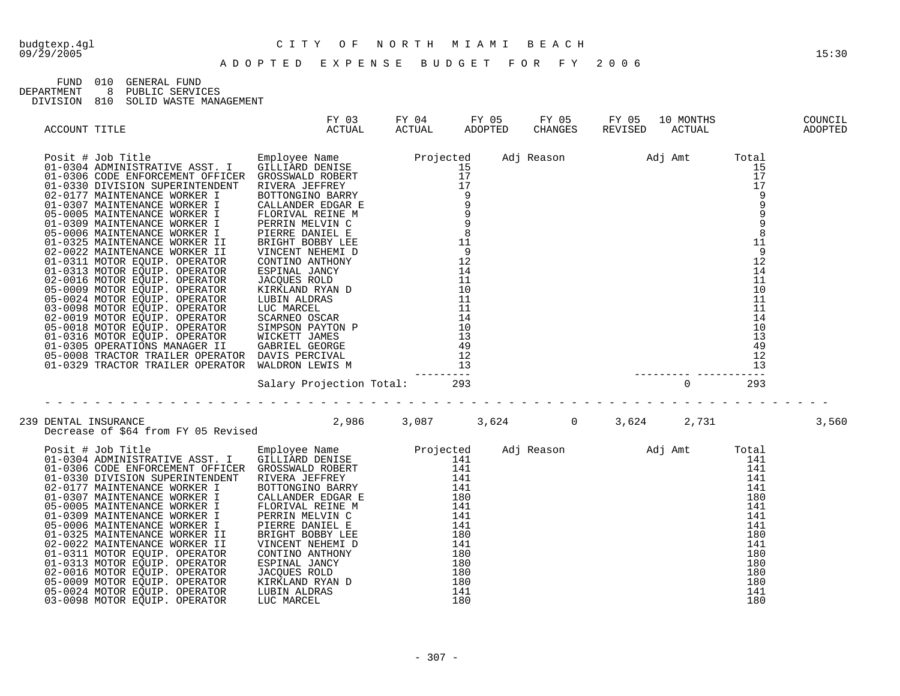## budgtexp.4gl C I T Y O F N O R T H M I A M I B E A C H

FUND 010 GENERAL FUND<br>DEPARTMENT 8 PUBLIC SERVIC

8 PUBLIC SERVICES DIVISION 810 SOLID WASTE MANAGEMENT

| ACCOUNT TITLE |                                                                                                                                                                                                                                                  | FY 03 FY 04 FY 05 FY 05 FY 05 10 MONTHS COUNCIL<br>ACTUAL ACTUAL ADOPTED CHANGES REVISED ACTUAL ADOPTED |  |  |  |       |
|---------------|--------------------------------------------------------------------------------------------------------------------------------------------------------------------------------------------------------------------------------------------------|---------------------------------------------------------------------------------------------------------|--|--|--|-------|
|               |                                                                                                                                                                                                                                                  |                                                                                                         |  |  |  |       |
|               |                                                                                                                                                                                                                                                  |                                                                                                         |  |  |  |       |
|               | Salary Projection Iodal.<br>239 DENTAL INSURANCE<br>239 DENTAL INSURANCE<br>239 DENTAL INSURANCE<br>239 DENTAL INSURANCE<br>239 DENTAL INSURANCE<br>239 DENTAL INSURANCE<br>239 DENTAL INSURANCE<br>239 DENTAL INSURANCE<br>239 DENTAL INSURANCE |                                                                                                         |  |  |  | 3,560 |
|               |                                                                                                                                                                                                                                                  |                                                                                                         |  |  |  |       |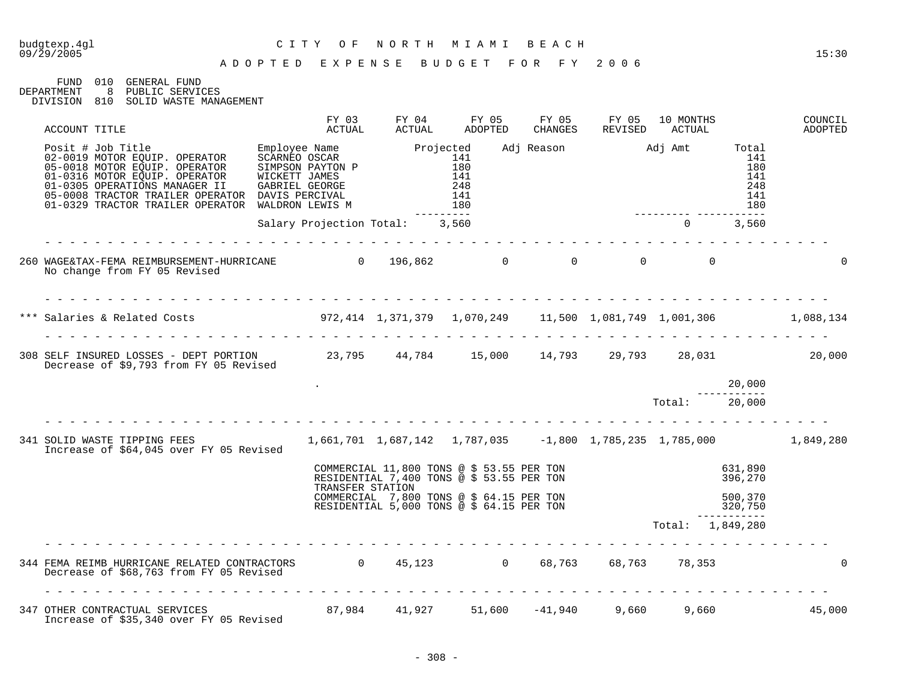## budgtexp.4gl C I T Y O F N O R T H M I A M I B E A C H

#### A D O P T E D E X P E N S E B U D G E T F O R F Y 2 0 0 6

FUND 010 GENERAL FUND<br>DEPARTMENT 8 PUBLIC SERVIC

8 PUBLIC SERVICES

DIVISION 810 SOLID WASTE MANAGEMENT

| ACCOUNT TITLE                                                                                                                                                                                                                                                                                                                                                                                               |                                | FY 03<br>ACTUAL | FY 04<br>ACTUAL | FY 05<br>ADOPTED                                                                                                                    | FY 05<br>CHANGES | FY 05<br>REVISED | 10 MONTHS<br>ACTUAL                                    |                                        | COUNCIL<br>ADOPTED |
|-------------------------------------------------------------------------------------------------------------------------------------------------------------------------------------------------------------------------------------------------------------------------------------------------------------------------------------------------------------------------------------------------------------|--------------------------------|-----------------|-----------------|-------------------------------------------------------------------------------------------------------------------------------------|------------------|------------------|--------------------------------------------------------|----------------------------------------|--------------------|
| $\begin{tabular}{lllllllllllllllllllll} \multicolumn{3}{l}{{\small \begin{tabular}{l}p{0.85\textwidth}p{0.85\textwidth}p{0.85\textwidth}p{0.85\textwidth}p{0.85\textwidth}p{0.85\textwidth}p{0.85\textwidth}p{0.85\textwidth}p{0.85\textwidth}p{0.85\textwidth}p{0.85\textwidth}p{0.85\textwidth}p{0.85\textwidth}p{0.85\textwidth}p{0.85\textwidth}p{0.85\textwidth}p{0.85\textwidth}p{0.85\textwidth}p{0$ |                                |                 |                 | _________                                                                                                                           |                  |                  | Adj Reason Madj Amt Total<br>_________________________ | 141<br>180<br>141<br>248<br>141<br>180 |                    |
|                                                                                                                                                                                                                                                                                                                                                                                                             | Salary Projection Total: 3,560 |                 |                 |                                                                                                                                     |                  |                  | $0 \t 3,560$                                           |                                        |                    |
| 260 WAGE&TAX-FEMA REIMBURSEMENT-HURRICANE                    0     196,862                0                  0<br>No change from FY 05 Revised                                                                                                                                                                                                                                                              |                                |                 |                 |                                                                                                                                     |                  |                  |                                                        |                                        | $\Omega$           |
| *** Salaries & Related Costs (1,088,134) 972,414 1,371,379 1,070,249 11,500 1,081,749 1,001,306 1,088,134                                                                                                                                                                                                                                                                                                   |                                |                 |                 |                                                                                                                                     |                  |                  |                                                        |                                        |                    |
| 308 SELF INSURED LOSSES - DEPT PORTION 23,795 44,784 15,000 14,793 29,793 28,031 28,031 20,000<br>Decrease of \$9,793 from FY 05 Revised                                                                                                                                                                                                                                                                    |                                |                 |                 |                                                                                                                                     |                  |                  |                                                        |                                        |                    |
|                                                                                                                                                                                                                                                                                                                                                                                                             |                                |                 |                 |                                                                                                                                     |                  |                  |                                                        | 20,000                                 |                    |
|                                                                                                                                                                                                                                                                                                                                                                                                             |                                |                 |                 |                                                                                                                                     |                  |                  | Total: 20,000                                          |                                        |                    |
| 341 SOLID WASTE TIPPING FEES 1,661,701 1,687,142 1,787,035 -1,800 1,785,235 1,785,000 1,849,280<br>Increase of \$64,045 over FY 05 Revised                                                                                                                                                                                                                                                                  |                                |                 |                 |                                                                                                                                     |                  |                  |                                                        |                                        |                    |
|                                                                                                                                                                                                                                                                                                                                                                                                             |                                |                 |                 | COMMERCIAL 11,800 TONS @ \$ 53.55 PER TON<br>RESIDENTIAL 7,400 TONS @ \$ 53.55 PER TON<br>RESIDENTIAL 7,400 TONS @ \$ 53.55 PER TON |                  |                  |                                                        | 631,890<br>396,270                     |                    |
|                                                                                                                                                                                                                                                                                                                                                                                                             |                                |                 |                 | TRANSFER STATION<br>COMMERCIAL 7,800 TONS @ \$ 64.15 PER TON<br>COMMERCIAL 7,800 TONS @ \$ 64.15 PER TON                            |                  |                  |                                                        | $500, 370$<br>320,750                  |                    |
|                                                                                                                                                                                                                                                                                                                                                                                                             |                                |                 |                 |                                                                                                                                     |                  |                  | Total: 1,849,280                                       |                                        |                    |
| 344 FEMA REIMB HURRICANE RELATED CONTRACTORS 0 45,123 0 68,763 68,763 78,353<br>Decrease of \$68,763 from FY 05 Revised                                                                                                                                                                                                                                                                                     |                                |                 |                 |                                                                                                                                     |                  |                  |                                                        |                                        | $\mathbf 0$        |
| 347 OTHER CONTRACTUAL SERVICES 67,984 41,927 51,600 -41,940 9,660 9,660 9,660 45,000<br>Increase of \$35,340 over FY 05 Revised                                                                                                                                                                                                                                                                             |                                |                 |                 |                                                                                                                                     |                  |                  |                                                        |                                        |                    |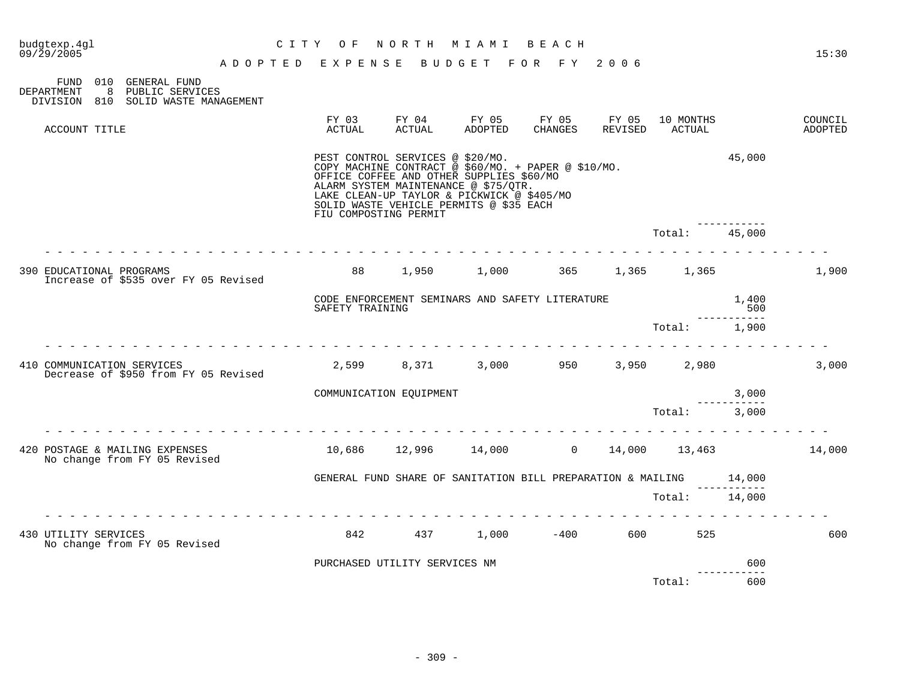| budgtexp.4ql<br>09/29/2005                        |                                                           | O F<br>C I T Y              | NORTH                                                     | M I A M I                                                                                                                                                                                                                        | BEACH            |                  |                     |                 | 15:30              |
|---------------------------------------------------|-----------------------------------------------------------|-----------------------------|-----------------------------------------------------------|----------------------------------------------------------------------------------------------------------------------------------------------------------------------------------------------------------------------------------|------------------|------------------|---------------------|-----------------|--------------------|
|                                                   |                                                           | A D O P T E D E X P E N S E |                                                           | BUDGET FOR FY 2006                                                                                                                                                                                                               |                  |                  |                     |                 |                    |
| 010<br>FUND<br>8<br>DEPARTMENT<br>DIVISION<br>810 | GENERAL FUND<br>PUBLIC SERVICES<br>SOLID WASTE MANAGEMENT |                             |                                                           |                                                                                                                                                                                                                                  |                  |                  |                     |                 |                    |
| ACCOUNT TITLE                                     |                                                           | FY 03<br>ACTUAL             | FY 04<br>ACTUAL                                           | FY 05<br>ADOPTED                                                                                                                                                                                                                 | FY 05<br>CHANGES | FY 05<br>REVISED | 10 MONTHS<br>ACTUAL |                 | COUNCIL<br>ADOPTED |
|                                                   |                                                           |                             | PEST CONTROL SERVICES @ \$20/MO.<br>FIU COMPOSTING PERMIT | COPY MACHINE CONTRACT @ \$60/MO. + PAPER @ \$10/MO.<br>OFFICE COFFEE AND OTHER SUPPLIES \$60/MO<br>ALARM SYSTEM MAINTENANCE @ \$75/QTR.<br>LAKE CLEAN-UP TAYLOR & PICKWICK @ \$405/MO<br>SOLID WASTE VEHICLE PERMITS @ \$35 EACH |                  |                  |                     | 45,000          |                    |
|                                                   |                                                           |                             |                                                           |                                                                                                                                                                                                                                  |                  |                  | Total:              | 45,000          |                    |
| 390 EDUCATIONAL PROGRAMS                          | Increase of \$535 over FY 05 Revised                      | 88                          | 1,950                                                     | 1,000                                                                                                                                                                                                                            | 365 30           | 1,365            | 1,365               |                 | 1,900              |
|                                                   |                                                           | SAFETY TRAINING             |                                                           | CODE ENFORCEMENT SEMINARS AND SAFETY LITERATURE                                                                                                                                                                                  |                  |                  |                     | 1,400<br>500    |                    |
|                                                   |                                                           |                             |                                                           |                                                                                                                                                                                                                                  |                  |                  | Total:              | 1,900           |                    |
| 410 COMMUNICATION SERVICES                        | Decrease of \$950 from FY 05 Revised                      | 2,599                       | 8,371                                                     | 3,000                                                                                                                                                                                                                            | 950              | 3,950            | 2,980               |                 | 3,000              |
|                                                   |                                                           |                             | COMMUNICATION EQUIPMENT                                   |                                                                                                                                                                                                                                  |                  |                  |                     | 3,000           |                    |
|                                                   |                                                           |                             |                                                           |                                                                                                                                                                                                                                  |                  |                  | Total:              | 3,000           |                    |
| 420 POSTAGE & MAILING EXPENSES                    | No change from FY 05 Revised                              | 10,686                      |                                                           | 12,996 14,000 0                                                                                                                                                                                                                  |                  | 14,000           | 13,463              |                 | 14,000             |
|                                                   |                                                           |                             |                                                           | GENERAL FUND SHARE OF SANITATION BILL PREPARATION & MAILING                                                                                                                                                                      |                  |                  |                     | 14,000          |                    |
|                                                   |                                                           |                             |                                                           |                                                                                                                                                                                                                                  |                  |                  | Total:              | 14,000          |                    |
| 430 UTILITY SERVICES                              | No change from FY 05 Revised                              | 842                         | 437                                                       |                                                                                                                                                                                                                                  | $1,000$ $-400$   |                  | 600 000<br>525      |                 | 600                |
|                                                   |                                                           |                             | PURCHASED UTILITY SERVICES NM                             |                                                                                                                                                                                                                                  |                  |                  |                     | 600<br>-------- |                    |
|                                                   |                                                           |                             |                                                           |                                                                                                                                                                                                                                  |                  |                  | Total:              | 600             |                    |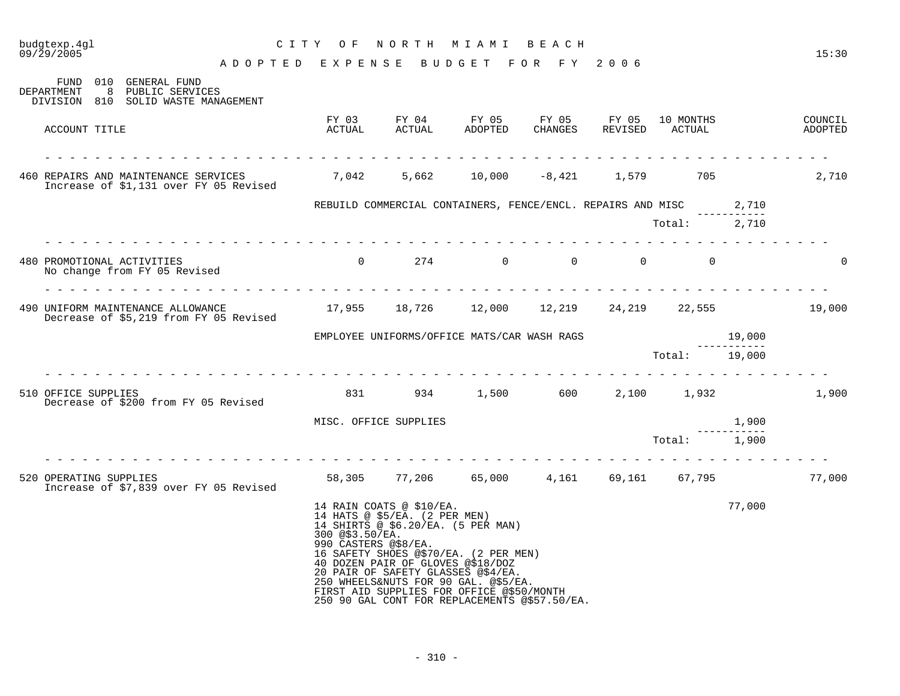| NORTH<br>budgtexp.4gl<br>CITY OF<br>M I A M I<br>BEACH<br>09/29/2005                                                         |                                    |                                                                                   |                                                                                                |                                                                                                                                                                                                                                                         |                  |                  |               | 15:30  |          |
|------------------------------------------------------------------------------------------------------------------------------|------------------------------------|-----------------------------------------------------------------------------------|------------------------------------------------------------------------------------------------|---------------------------------------------------------------------------------------------------------------------------------------------------------------------------------------------------------------------------------------------------------|------------------|------------------|---------------|--------|----------|
| FUND 010 GENERAL FUND                                                                                                        | ADOPTED EXPENSE BUDGET FOR FY 2006 |                                                                                   |                                                                                                |                                                                                                                                                                                                                                                         |                  |                  |               |        |          |
| DEPARTMENT<br>8<br>PUBLIC SERVICES<br>DIVISION 810 SOLID WASTE MANAGEMENT                                                    |                                    |                                                                                   |                                                                                                |                                                                                                                                                                                                                                                         |                  |                  |               |        |          |
| ACCOUNT TITLE                                                                                                                |                                    | FY 03<br>ACTUAL                                                                   | ACTUAL                                                                                         | FY 04 FY 05<br><b>ADOPTED</b>                                                                                                                                                                                                                           | FY 05<br>CHANGES | FY 05<br>REVISED |               |        |          |
|                                                                                                                              |                                    |                                                                                   |                                                                                                |                                                                                                                                                                                                                                                         |                  |                  |               |        | 2,710    |
|                                                                                                                              |                                    |                                                                                   |                                                                                                | REBUILD COMMERCIAL CONTAINERS, FENCE/ENCL. REPAIRS AND MISC 2,710                                                                                                                                                                                       |                  |                  |               |        |          |
|                                                                                                                              |                                    |                                                                                   |                                                                                                |                                                                                                                                                                                                                                                         |                  |                  | Total: 2,710  |        |          |
| 480 PROMOTIONAL ACTIVITIES<br>No change from FY 05 Revised                                                                   |                                    | $0\qquad \qquad 274 \qquad \qquad 0\qquad \qquad 0\qquad \qquad 0\qquad \qquad 0$ |                                                                                                |                                                                                                                                                                                                                                                         |                  |                  |               |        | $\Omega$ |
| 490 UNIFORM MAINTENANCE ALLOWANCE 17,955 18,726 12,000 12,219 24,219 22,555 19,000<br>Decrease of \$5,219 from FY 05 Revised |                                    |                                                                                   |                                                                                                |                                                                                                                                                                                                                                                         |                  |                  |               |        |          |
|                                                                                                                              |                                    |                                                                                   |                                                                                                | ${\tt EMPLOYEE}$ UNIFORMS/OFFICE MATS/CAR WASH RAGS $${\tt Tot}~$                                                                                                                                                                                       |                  |                  |               | 19,000 |          |
|                                                                                                                              | .                                  |                                                                                   |                                                                                                |                                                                                                                                                                                                                                                         |                  |                  | Total: 19,000 |        |          |
| 510 OFFICE SUPPLIES<br>Decrease of \$200 from FY 05 Revised                                                                  |                                    |                                                                                   |                                                                                                | 831 934 1,500 600 2,100 1,932                                                                                                                                                                                                                           |                  |                  |               |        | 1,900    |
|                                                                                                                              |                                    | MISC. OFFICE SUPPLIES                                                             |                                                                                                |                                                                                                                                                                                                                                                         |                  |                  |               | 1,900  |          |
|                                                                                                                              |                                    |                                                                                   |                                                                                                |                                                                                                                                                                                                                                                         |                  |                  | Total: 1,900  |        |          |
| 520 OPERATING SUPPLIES<br>Increase of \$7,839 over FY 05 Revised                                                             |                                    |                                                                                   |                                                                                                | 58,305 77,206 65,000 4,161 69,161 67,795                                                                                                                                                                                                                |                  |                  |               |        | 77,000   |
|                                                                                                                              |                                    | 300 @\$3.50/EA.<br>990 CASTERS @\$8/EA.                                           | 14 RAIN COATS @ \$10/EA.<br>14 HATS @ \$5/EA. (2 PER MEN)<br>40 DOZEN PAIR OF GLOVES @\$18/DOZ | 14 SHIRTS @ \$6.20/EA. (5 PER MAN)<br>16 SAFETY SHOES @\$70/EA. (2 PER MEN)<br>20 PAIR OF SAFETY GLASSES @\$4/EA.<br>250 WHEELS&NUTS FOR 90 GAL. @\$5/EA.<br>FIRST AID SUPPLIES FOR OFFICE @\$50/MONTH<br>250 90 GAL CONT FOR REPLACEMENTS @\$57.50/EA. |                  |                  |               | 77,000 |          |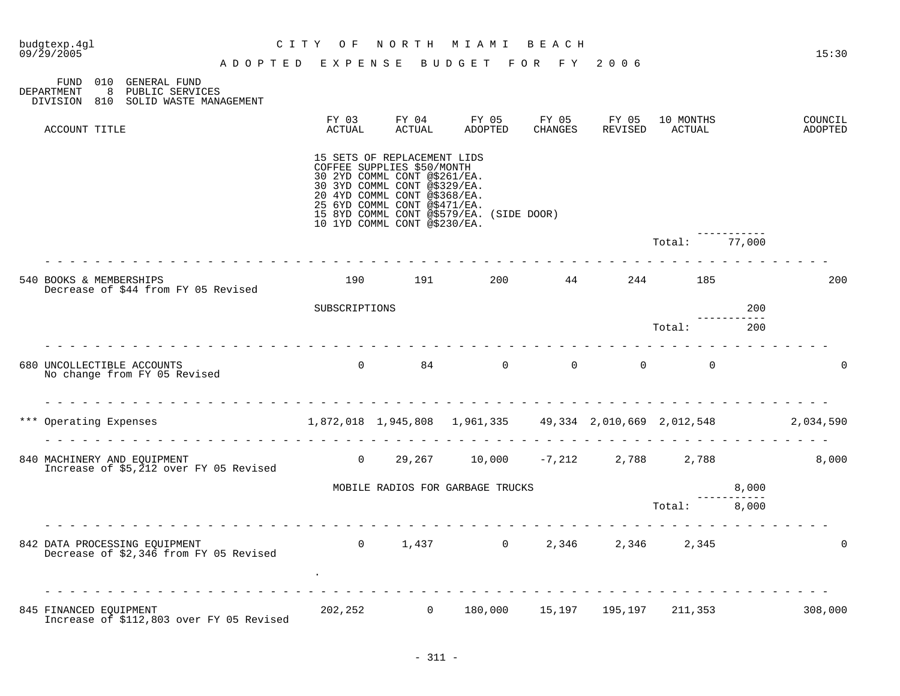| budgtexp.4gl<br>$09/\bar{2}9/2005$                                                                                 | C I T Y<br>O F  |                                                                                                                                                                                                                           | NORTH MIAMI BEACH                        |         |                        |                     |                  | 15:30              |
|--------------------------------------------------------------------------------------------------------------------|-----------------|---------------------------------------------------------------------------------------------------------------------------------------------------------------------------------------------------------------------------|------------------------------------------|---------|------------------------|---------------------|------------------|--------------------|
| ADOPTED EXPENSE<br>FUND 010 GENERAL FUND<br>8 PUBLIC SERVICES<br>DEPARTMENT<br>DIVISION 810 SOLID WASTE MANAGEMENT |                 |                                                                                                                                                                                                                           | BUDGET FOR FY 2006                       |         |                        |                     |                  |                    |
| ACCOUNT TITLE                                                                                                      | FY 03<br>ACTUAL | FY 04<br>ACTUAL                                                                                                                                                                                                           | FY 05<br>ADOPTED                         | CHANGES | FY 05 FY 05<br>REVISED | 10 MONTHS<br>ACTUAL |                  | COUNCIL<br>ADOPTED |
|                                                                                                                    |                 | 15 SETS OF REPLACEMENT LIDS<br>COFFEE SUPPLIES \$50/MONTH<br>30 2YD COMML CONT @\$261/EA.<br>30 3YD COMML CONT @\$329/EA.<br>20 4YD COMML CONT @\$368/EA.<br>25 6YD COMML CONT @\$471/EA.<br>10 1YD COMML CONT @\$230/EA. | 15 8YD COMML CONT @\$579/EA. (SIDE DOOR) |         |                        |                     |                  |                    |
|                                                                                                                    |                 |                                                                                                                                                                                                                           |                                          |         |                        | Total:              | 77,000           |                    |
| 540 BOOKS & MEMBERSHIPS<br>Decrease of \$44 from FY 05 Revised                                                     |                 |                                                                                                                                                                                                                           | $190$ $191$ $200$ $44$ $244$ $185$       |         |                        |                     |                  | 200                |
|                                                                                                                    | SUBSCRIPTIONS   |                                                                                                                                                                                                                           |                                          |         |                        |                     | 200              |                    |
|                                                                                                                    |                 |                                                                                                                                                                                                                           |                                          |         |                        | Total:              | ---------<br>200 |                    |
| .<br>680 UNCOLLECTIBLE ACCOUNTS<br>No change from FY 05 Revised                                                    |                 |                                                                                                                                                                                                                           |                                          |         |                        |                     |                  | $\Omega$           |
| $1,872,018$ $1,945,808$ $1,961,335$ $49,334$ $2,010,669$ $2,012,548$ $2,034,590$<br>*** Operating Expenses         |                 |                                                                                                                                                                                                                           |                                          |         |                        |                     |                  |                    |
| 840 MACHINERY AND EQUIPMENT<br>Increase of \$5,212 over FY 05 Revised                                              |                 |                                                                                                                                                                                                                           | 0 29,267 10,000 -7,212 2,788 2,788       |         |                        |                     |                  | 8,000              |
|                                                                                                                    |                 |                                                                                                                                                                                                                           | MOBILE RADIOS FOR GARBAGE TRUCKS         |         |                        |                     | 8,000            |                    |
|                                                                                                                    |                 |                                                                                                                                                                                                                           |                                          |         |                        | Total: 8,000        |                  |                    |
| .<br>842 DATA PROCESSING EQUIPMENT<br>Decrease of \$2,346 from FY 05 Revised                                       |                 |                                                                                                                                                                                                                           | 0 $1,437$ 0 $2,346$ 2,346 2,345          |         |                        |                     |                  | $\mathbf 0$        |
| 845 FINANCED EOUIPMENT<br>Increase of \$112,803 over FY 05 Revised                                                 |                 |                                                                                                                                                                                                                           | 202,252 0 180,000 15,197 195,197 211,353 |         |                        |                     |                  | 308,000            |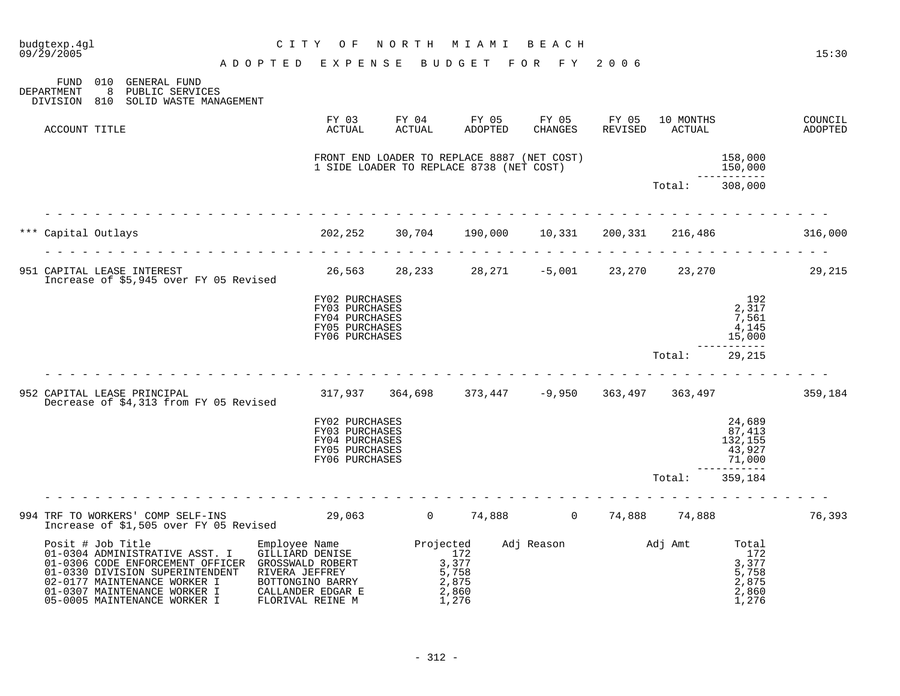| budgtexp.4gl<br>09/29/2005                                                                                                                                                                                                                                 |                                                                                                                                                                                                                                                                                                                                                                                                                                                                            | C I T Y<br>O F                                                                                                                                                                                                                                                                                                                         | NORTH MIAMI BEACH                                                                       |                         |                                                                                                                           |         |                |                                                             | 15:30              |
|------------------------------------------------------------------------------------------------------------------------------------------------------------------------------------------------------------------------------------------------------------|----------------------------------------------------------------------------------------------------------------------------------------------------------------------------------------------------------------------------------------------------------------------------------------------------------------------------------------------------------------------------------------------------------------------------------------------------------------------------|----------------------------------------------------------------------------------------------------------------------------------------------------------------------------------------------------------------------------------------------------------------------------------------------------------------------------------------|-----------------------------------------------------------------------------------------|-------------------------|---------------------------------------------------------------------------------------------------------------------------|---------|----------------|-------------------------------------------------------------|--------------------|
|                                                                                                                                                                                                                                                            | ADOPTED EXPENSE                                                                                                                                                                                                                                                                                                                                                                                                                                                            |                                                                                                                                                                                                                                                                                                                                        |                                                                                         | BUDGET FOR FY 2006      |                                                                                                                           |         |                |                                                             |                    |
| FUND 010 GENERAL FUND<br>8<br>DEPARTMENT<br>PUBLIC SERVICES<br>DIVISION 810<br>SOLID WASTE MANAGEMENT                                                                                                                                                      |                                                                                                                                                                                                                                                                                                                                                                                                                                                                            |                                                                                                                                                                                                                                                                                                                                        |                                                                                         |                         |                                                                                                                           |         |                |                                                             |                    |
| ACCOUNT TITLE                                                                                                                                                                                                                                              |                                                                                                                                                                                                                                                                                                                                                                                                                                                                            | ACTUAL                                                                                                                                                                                                                                                                                                                                 | FY 03 FY 04 FY 05 FY 05 FY 05 10 MONTHS<br>ACTUAL                                       | ADOPTED                 | CHANGES                                                                                                                   | REVISED | ACTUAL         |                                                             | COUNCIL<br>ADOPTED |
|                                                                                                                                                                                                                                                            |                                                                                                                                                                                                                                                                                                                                                                                                                                                                            |                                                                                                                                                                                                                                                                                                                                        | FRONT END LOADER TO REPLACE 8887 (NET COST)<br>1 SIDE LOADER TO REPLACE 8738 (NET COST) |                         |                                                                                                                           |         |                | $\begin{array}{r} 158,000 \\ 150,000 \\ \hline \end{array}$ |                    |
|                                                                                                                                                                                                                                                            |                                                                                                                                                                                                                                                                                                                                                                                                                                                                            |                                                                                                                                                                                                                                                                                                                                        |                                                                                         |                         |                                                                                                                           |         | Total: 308,000 |                                                             |                    |
| Capital Outlays                                                                                                                                                                                                                                            |                                                                                                                                                                                                                                                                                                                                                                                                                                                                            | $202, 252$ $30, 704$ $190, 000$ $10, 331$ $200, 331$ $216, 486$ 316,000                                                                                                                                                                                                                                                                |                                                                                         |                         |                                                                                                                           |         |                |                                                             |                    |
| 951 CAPITAL LEASE INTEREST 29,215<br>Increase of \$5,945 over FY 05 Revised                                                                                                                                                                                | $\frac{1}{2} \left( \frac{1}{2} \right) \left( \frac{1}{2} \right) \left( \frac{1}{2} \right) \left( \frac{1}{2} \right) \left( \frac{1}{2} \right) \left( \frac{1}{2} \right) \left( \frac{1}{2} \right) \left( \frac{1}{2} \right) \left( \frac{1}{2} \right) \left( \frac{1}{2} \right) \left( \frac{1}{2} \right) \left( \frac{1}{2} \right) \left( \frac{1}{2} \right) \left( \frac{1}{2} \right) \left( \frac{1}{2} \right) \left( \frac{1}{2} \right) \left( \frac$ |                                                                                                                                                                                                                                                                                                                                        |                                                                                         |                         | $\frac{1}{2} \left( \frac{1}{2} \right) \left( \frac{1}{2} \right) \left( \frac{1}{2} \right) \left( \frac{1}{2} \right)$ |         |                |                                                             |                    |
|                                                                                                                                                                                                                                                            |                                                                                                                                                                                                                                                                                                                                                                                                                                                                            | FY02 PURCHASES<br>FY03 PURCHASES<br>FY04 PURCHASES<br>FY05 PURCHASES<br>FY06 PURCHASES                                                                                                                                                                                                                                                 |                                                                                         |                         |                                                                                                                           |         |                | 192<br>2,317<br>7,561<br>4,145<br>15,000                    |                    |
|                                                                                                                                                                                                                                                            |                                                                                                                                                                                                                                                                                                                                                                                                                                                                            |                                                                                                                                                                                                                                                                                                                                        |                                                                                         |                         |                                                                                                                           |         | Total:         | . <u>.</u> .<br>29,215                                      |                    |
| 952 CAPITAL LEASE PRINCIPAL<br>Decrease of \$4,313 from FY 05 Revised                                                                                                                                                                                      |                                                                                                                                                                                                                                                                                                                                                                                                                                                                            | 317,937 364,698 373,447 -9,950 363,497 363,497 379,184                                                                                                                                                                                                                                                                                 |                                                                                         |                         |                                                                                                                           |         |                |                                                             |                    |
|                                                                                                                                                                                                                                                            |                                                                                                                                                                                                                                                                                                                                                                                                                                                                            | FY02 PURCHASES<br>FY03 PURCHASES<br>FY04 PURCHASES<br>FY05 PURCHASES<br>FY06 PURCHASES                                                                                                                                                                                                                                                 |                                                                                         |                         |                                                                                                                           |         |                | 24,689<br>87,413<br>132,155<br>$43,927$<br>71,000           |                    |
|                                                                                                                                                                                                                                                            |                                                                                                                                                                                                                                                                                                                                                                                                                                                                            |                                                                                                                                                                                                                                                                                                                                        |                                                                                         |                         |                                                                                                                           |         | Total:         | 359,184                                                     |                    |
| 994 TRF TO WORKERS' COMP SELF-INS 29,063 0 74,888 0 74,888 14,888 74,888                                                                                                                                                                                   |                                                                                                                                                                                                                                                                                                                                                                                                                                                                            |                                                                                                                                                                                                                                                                                                                                        |                                                                                         |                         |                                                                                                                           |         |                |                                                             | 76,393             |
| Posit # Job Title<br>01-0304 ADMINISTRATIVE ASST. I<br>01-0306 CODE ENFORCEMENT OFFICER GROSSWALD ROBERT<br>01-0330 DIVISION SUPERINTENDENT RIVERA JEFFREY<br>02-0177 MAINTENANCE WORKER I<br>01-0307 MAINTENANCE WORKER I<br>05-0005 MAINTENANCE WORKER I |                                                                                                                                                                                                                                                                                                                                                                                                                                                                            | Employee Name $\begin{array}{ll}\n\text{Employee Name} & \text{Projected} \\ \text{GILLIARD DENISE} & 172 & \text{Adj Reason} \\ \text{GROSSWALD ROBERT} & 3,377 & 3,377 \\ \text{RIVER JEFFREV} & 5,758 & 5,758 \\ \text{BOTTONGINO BARRY} & 2.875 & 2.875\n\end{array}$<br>BOTTONGINO BARRY<br>CALLANDER EDGAR E<br>FLORIVAL REINE M |                                                                                         | 2,875<br>2,860<br>1,276 |                                                                                                                           |         |                | $\frac{5}{7}$ , 758<br>2, 875<br>2,860<br>1,276             |                    |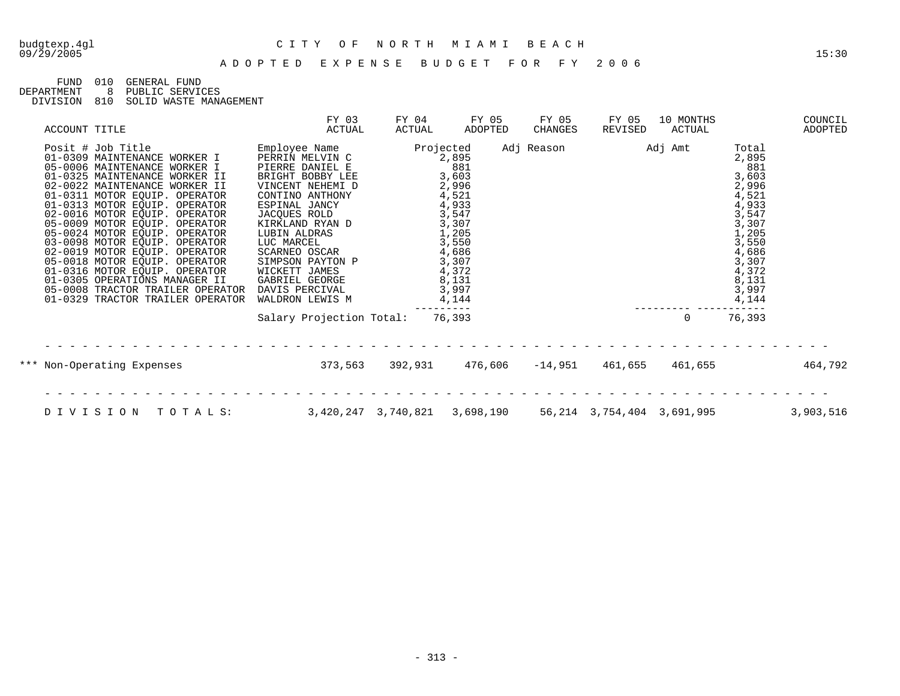## budgtexp.4gl C I T Y O F N O R T H M I A M I B E A C H

FUND 010 GENERAL FUND<br>DEPARTMENT 8 PUBLIC SERVIO

DEPARTMENT 8 PUBLIC SERVICES

DIVISION 810 SOLID WASTE MANAGEMENT

| ACCOUNT TITLE                                                                                                                                                                                                                                                                                                                                                                                                                                                                                                                                                         | FY 03<br>ACTUAL                                                                                                                                                                                                                                                                                               | FY 04<br>ACTUAL | FY 05<br>ADOPTED                                                                                                                                                  | FY 05<br>CHANGES | FY 05<br>REVISED | 10 MONTHS<br>ACTUAL |                                                                                                                                                     | COUNCIL<br>ADOPTED |
|-----------------------------------------------------------------------------------------------------------------------------------------------------------------------------------------------------------------------------------------------------------------------------------------------------------------------------------------------------------------------------------------------------------------------------------------------------------------------------------------------------------------------------------------------------------------------|---------------------------------------------------------------------------------------------------------------------------------------------------------------------------------------------------------------------------------------------------------------------------------------------------------------|-----------------|-------------------------------------------------------------------------------------------------------------------------------------------------------------------|------------------|------------------|---------------------|-----------------------------------------------------------------------------------------------------------------------------------------------------|--------------------|
| Posit # Job Title<br>01-0309 MAINTENANCE WORKER I<br>05-0006 MAINTENANCE WORKER I<br>01-0325 MAINTENANCE WORKER II<br>02-0022 MAINTENANCE WORKER II<br>01-0311 MOTOR EQUIP. OPERATOR<br>01-0313 MOTOR EQUIP. OPERATOR<br>02-0016 MOTOR EQUIP. OPERATOR<br>05-0009 MOTOR EQUIP. OPERATOR<br>05-0024 MOTOR EQUIP. OPERATOR<br>03-0098 MOTOR EQUIP. OPERATOR<br>02-0019 MOTOR EQUIP. OPERATOR<br>05-0018 MOTOR EQUIP. OPERATOR<br>01-0316 MOTOR EQUIP. OPERATOR<br>01-0305 OPERATIONS MANAGER II<br>05-0008 TRACTOR TRAILER OPERATOR<br>01-0329 TRACTOR TRAILER OPERATOR | Employee Name<br>PERRIN MELVIN C<br>PIERRE DANIEL E<br>BRIGHT BOBBY LEE<br>VINCENT NEHEMI D<br>CONTINO ANTHONY<br>ESPINAL JANCY<br>JACQUES ROLD<br>KIRKLAND RYAN D<br>LUBIN ALDRAS<br>LUC MARCEL<br>SCARNEO OSCAR<br>SIMPSON PAYTON P<br>WICKETT JAMES<br>GABRIEL GEORGE<br>DAVIS PERCIVAL<br>WALDRON LEWIS M |                 | Projected<br>2,895<br>881<br>3,603<br>2,996<br>4,521<br>4,933<br>3,547<br>3,307<br>1,205<br>3,550<br>4,686<br>3,307<br>4,372<br>8,131<br>3,997<br>4,144<br>------ | Adj Reason       | Adj Amt          |                     | Total<br>2,895<br>881<br>3,603<br>2,996<br>4,521<br>4,933<br>3,547<br>3,307<br>1,205<br>3,550<br>4,686<br>3,307<br>4,372<br>8,131<br>3,997<br>4,144 |                    |
|                                                                                                                                                                                                                                                                                                                                                                                                                                                                                                                                                                       | Salary Projection Total:                                                                                                                                                                                                                                                                                      |                 | 76,393                                                                                                                                                            |                  |                  | $\mathbf 0$         | 76,393                                                                                                                                              |                    |
| *** Non-Operating Expenses                                                                                                                                                                                                                                                                                                                                                                                                                                                                                                                                            | 373,563                                                                                                                                                                                                                                                                                                       | 392,931         | 476,606                                                                                                                                                           | $-14,951$        | 461,655          | 461,655             |                                                                                                                                                     | 464,792            |
| DIVISION<br>TOTALS:                                                                                                                                                                                                                                                                                                                                                                                                                                                                                                                                                   |                                                                                                                                                                                                                                                                                                               |                 | 3,420,247 3,740,821 3,698,190 56,214 3,754,404 3,691,995                                                                                                          |                  |                  |                     |                                                                                                                                                     | 3,903,516          |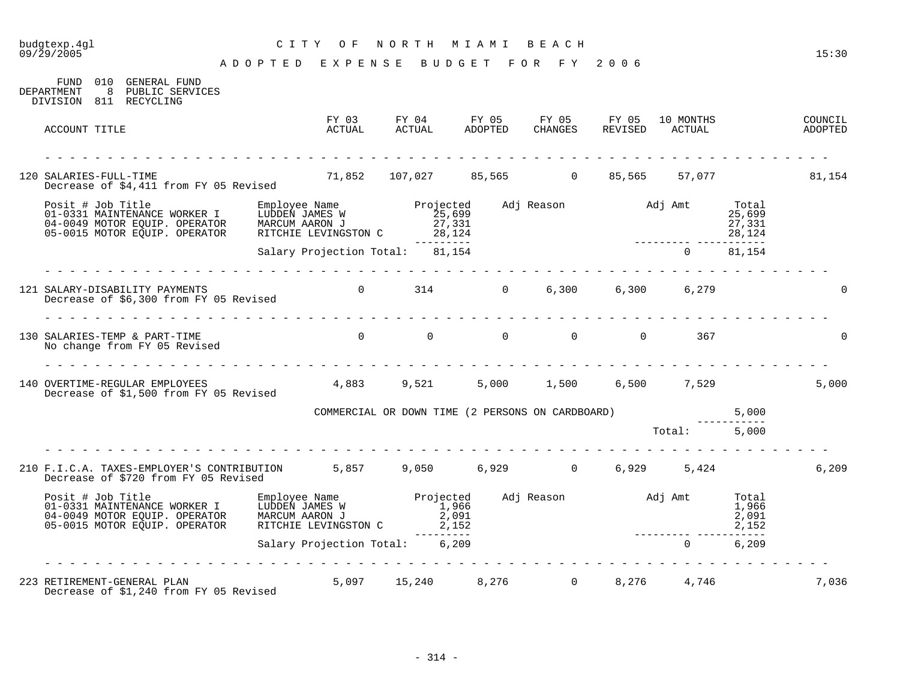# budgtexp.4gl C I T Y O F N O R T H M I A M I B E A C H

| 010<br>GENERAL FUND<br>FUND<br>8<br>PUBLIC SERVICES<br>DEPARTMENT<br>DIVISION 811 RECYCLING                                                                                                                                  |                                                                                                 |                                                  |                              |                     |                             |                                     |                    |
|------------------------------------------------------------------------------------------------------------------------------------------------------------------------------------------------------------------------------|-------------------------------------------------------------------------------------------------|--------------------------------------------------|------------------------------|---------------------|-----------------------------|-------------------------------------|--------------------|
| ACCOUNT TITLE                                                                                                                                                                                                                | FY 03<br>ACTUAL                                                                                 | FY 04<br>¤Ctimal                                 | FY 05 FY 05 FY 05<br>ADOPTED | CHANGES             | 10 MONTHS<br>REVISED ACTUAL |                                     | COUNCIL<br>ADOPTED |
| 120 SALARIES-FULL-TIME<br>Decrease of \$4,411 from FY 05 Revised                                                                                                                                                             | 71,852 107,027 85,565 0 85,565                                                                  |                                                  |                              |                     |                             | 57,077                              | 81,154             |
| Posit # Job Title MoRKER I Employee Name Projected<br>01-0331 MAINTENANCE WORKER I LUDDEN JAMES W 25,699<br>04-0049 MOTOR EQUIP. OPERATOR MARCUM AARON J 27,331<br>05-0015 MOTOR EQUIP. OPERATOR RITCHIE LEVINGSTON C 28,124 |                                                                                                 |                                                  |                              | Adj Reason Madj Amt |                             | Total<br>25,699<br>27,331<br>28,124 |                    |
|                                                                                                                                                                                                                              | Salary Projection Total: 81,154                                                                 | ----------                                       |                              |                     | $\overline{0}$              | 81,154                              |                    |
| 121 SALARY-DISABILITY PAYMENTS<br>Decrease of \$6,300 from FY 05 Revised                                                                                                                                                     |                                                                                                 | $0$ $314$ $0$ $6,300$ $6,300$ $6,279$            |                              |                     |                             |                                     |                    |
| 130 SALARIES-TEMP & PART-TIME<br>No change from FY 05 Revised                                                                                                                                                                |                                                                                                 |                                                  |                              |                     | 367                         |                                     |                    |
| 140 OVERTIME-REGULAR EMPLOYEES<br>Decrease of \$1,500 from FY 05 Revised                                                                                                                                                     |                                                                                                 | $4,883$ $9,521$ $5,000$ $1,500$ $6,500$ $7,529$  |                              |                     |                             |                                     | 5,000              |
|                                                                                                                                                                                                                              |                                                                                                 | COMMERCIAL OR DOWN TIME (2 PERSONS ON CARDBOARD) |                              |                     |                             | 5,000                               |                    |
|                                                                                                                                                                                                                              |                                                                                                 |                                                  |                              |                     | Total: 5,000                |                                     |                    |
| 210 F.I.C.A. TAXES-EMPLOYER'S CONTRIBUTION 5,857 9,050 6,929 0 6,929 5,424<br>Decrease of \$720 from FY 05 Revised                                                                                                           |                                                                                                 |                                                  |                              |                     |                             |                                     | 6, 209             |
| Posit # Job Title<br>01-0331 MAINTENANCE WORKER I<br>01-0310 MOTOR FOUIP, OPERATOR<br>05-0015 MOTOR EQUIP. OPERATOR                                                                                                          | Employee Name Projected<br>LUDDEN JAMES W 1,966<br>MARCUM AARON J 2,091<br>RITCHIE LEVINGSTON C |                                                  | 2,152                        | Adj Reason Madj Amt |                             | Total<br>1,966<br>2,091<br>2,152    |                    |
|                                                                                                                                                                                                                              | Salary Projection Total: 6,209                                                                  | ---------                                        |                              |                     | $\overline{0}$              | --------<br>6,209                   |                    |
| 223 RETIREMENT-GENERAL PLAN<br>Decrease of \$1,240 from FY 05 Revised                                                                                                                                                        |                                                                                                 | 5,097 15,240 8,276 0                             |                              |                     | 8,276 4,746                 |                                     | 7,036              |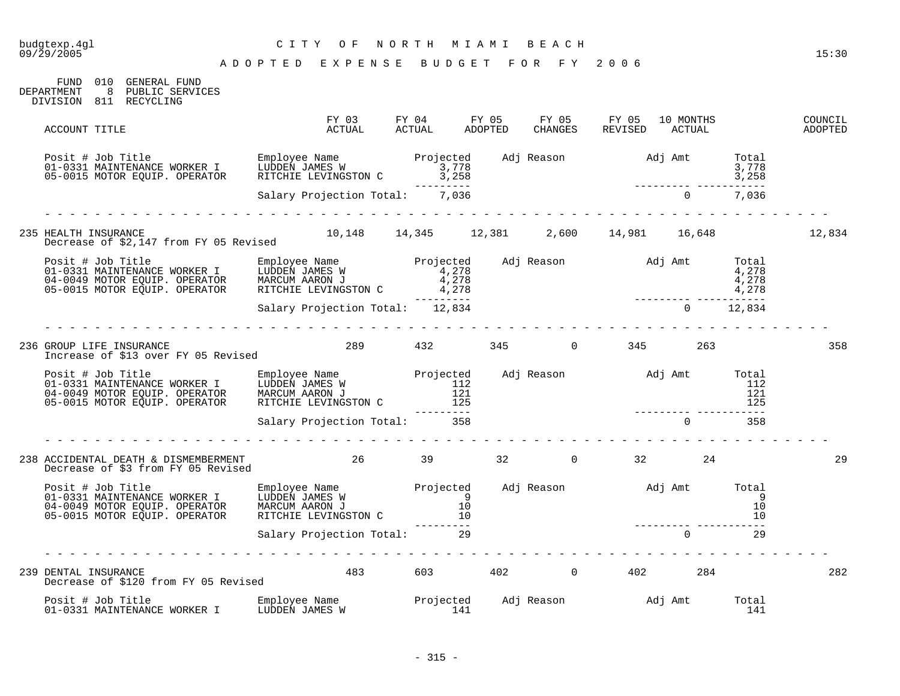| budgtexp.4gl<br>09/29/2005                                                                                                                                                                                                                    | CITY OF<br>ADOPTED EXPENSE BUDGET FOR FY 2006                                                                                                                                                                                               | NORTH MIAMI BEACH |  |                        |               |              | 15:30              |
|-----------------------------------------------------------------------------------------------------------------------------------------------------------------------------------------------------------------------------------------------|---------------------------------------------------------------------------------------------------------------------------------------------------------------------------------------------------------------------------------------------|-------------------|--|------------------------|---------------|--------------|--------------------|
| FUND 010 GENERAL FUND<br>DEPARTMENT<br>8 PUBLIC SERVICES<br>DIVISION 811 RECYCLING                                                                                                                                                            |                                                                                                                                                                                                                                             |                   |  |                        |               |              |                    |
| ACCOUNT TITLE                                                                                                                                                                                                                                 | $\begin{array}{lllllll} \text{FY} & 03 & \text{FY} & 04 & \text{FY} & 05 & \text{FY} & 05 & \text{FY} & 05 & 10 & \text{MONTHS} \ \text{ACTIIAL} & \text{ACTIIAL} & \text{AOPTIAL} & \text{ACTIIAL} & \end{array}$<br>ACTUAL ACTUAL ADOPTED |                   |  | CHANGES REVISED ACTUAL |               |              | COUNCIL<br>ADOPTED |
| Posit # Job Title Employee Name Projected Adj Reason Maj Amt Total<br>1-0331 MAINTENANCE WORKER I LUDDEN JAMES W 3,778<br>1,778 3,778 3,778 3,258<br>1,258 3,258 3,258 3,258 3,258<br>Salary Projection Total: 7,036 3,258<br>Salary Projecti |                                                                                                                                                                                                                                             |                   |  |                        |               |              |                    |
|                                                                                                                                                                                                                                               |                                                                                                                                                                                                                                             |                   |  |                        |               |              |                    |
| HEALTH INSURANCE<br>Decrease of \$2,147 from FY 05 Revised 10,148 14,345 12,381 2,600 14,981 16,648<br>235 HEALTH INSURANCE                                                                                                                   |                                                                                                                                                                                                                                             |                   |  |                        |               |              | 12,834             |
| Posit # Job Title Employee Name Projected Adj Reason and Jamt Total Companishes and Employee Name Projected Adj Reason and Adj Amt Total Companishes and the Companishes of the Companishes of the Companishes of the Companis                |                                                                                                                                                                                                                                             |                   |  |                        |               |              |                    |
|                                                                                                                                                                                                                                               | Salary Projection Total: 12,834                                                                                                                                                                                                             |                   |  |                        | $0 \t 12,834$ |              |                    |
|                                                                                                                                                                                                                                               |                                                                                                                                                                                                                                             |                   |  |                        |               |              |                    |
| 236 GROUP LIFE INSURANCE<br>Increase of \$13 over FY 05 Revised                                                                                                                                                                               |                                                                                                                                                                                                                                             |                   |  | 289 432 345 0 345 263  |               |              | 358                |
|                                                                                                                                                                                                                                               |                                                                                                                                                                                                                                             |                   |  |                        |               |              |                    |
|                                                                                                                                                                                                                                               | Salary Projection Total: 358                                                                                                                                                                                                                |                   |  |                        | $0$ 358       |              |                    |
| 238 ACCIDENTAL DEATH & DISMEMBERMENT<br>Decrease of \$3 from FY 05 Revised                                                                                                                                                                    | 26 39 32 0 32 24                                                                                                                                                                                                                            |                   |  |                        |               |              | 29                 |
| Posit # Job Title<br>01-0331 MAINTENANCE WORKER I LUDDEN JAMES W 9<br>04-0049 MOTOR EQUIP. OPERATOR MARCUM AARON J 10<br>05-0015 MOTOR EQUIP. OPERATOR RITCHIE LEVINGSTON C 10<br>05-0015 MOTOR EQUIP. OPERATOR RITCHIE LEVINGSTON C 1        |                                                                                                                                                                                                                                             |                   |  |                        |               |              |                    |
|                                                                                                                                                                                                                                               | Salary Projection Total:                                                                                                                                                                                                                    | 29                |  |                        | $\cap$        | 29           |                    |
| 239 DENTAL INSURANCE<br>Decrease of \$120 from FY 05 Revised                                                                                                                                                                                  |                                                                                                                                                                                                                                             |                   |  | 483 603 402 0 402 284  |               |              | 282                |
|                                                                                                                                                                                                                                               |                                                                                                                                                                                                                                             |                   |  |                        |               | Total<br>141 |                    |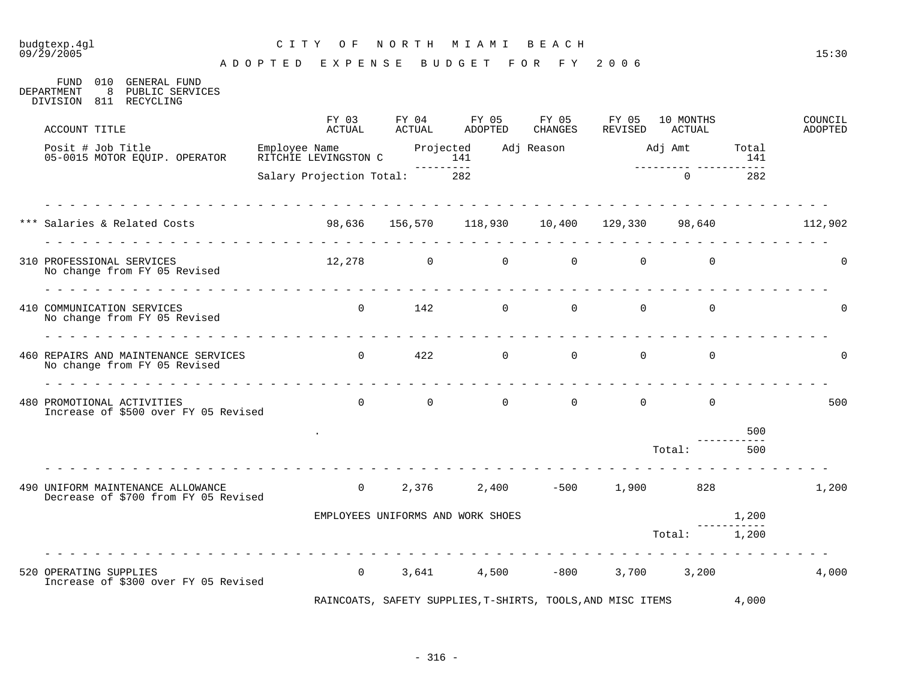## budgtexp.4gl C I T Y O F N O R T H M I A M I B E A C H

A D O P T E D E X P E N S E B U D G E T F O R F Y 2 0 0 6

FUND 010 GENERAL FUND DEPARTMENT 8 PUBLIC SERVICES DIVISION 811 RECYCLING

| ACCOUNT TITLE                                                                        | FY 03<br>ACTUAL              | FY 04<br>ACTUAL   | FY 05<br><b>ADOPTED</b>                                     | FY 05<br><b>CHANGES</b>          | FY 05<br>REVISED                 | 10 MONTHS<br>ACTUAL |              | COUNCIL<br><b>ADOPTED</b> |
|--------------------------------------------------------------------------------------|------------------------------|-------------------|-------------------------------------------------------------|----------------------------------|----------------------------------|---------------------|--------------|---------------------------|
| Posit # Job Title<br>05-0015 MOTOR EQUIP. OPERATOR                                   |                              |                   |                                                             | Adj Reason Madj Amt              |                                  |                     | Total<br>141 |                           |
|                                                                                      | Salary Projection Total: 282 |                   |                                                             |                                  |                                  | $\Omega$            | 282          |                           |
| *** Salaries & Related Costs 6 198,636 156,570 118,930 10,400 129,330 98,640 112,902 |                              |                   |                                                             |                                  |                                  |                     |              |                           |
| 310 PROFESSIONAL SERVICES<br>No change from FY 05 Revised                            |                              |                   | $12,278$ 0 0                                                |                                  | $\overline{0}$<br>$\overline{0}$ | $\Omega$            |              | $\Omega$                  |
| 410 COMMUNICATION SERVICES<br>No change from FY 05 Revised                           |                              | $0 \qquad \qquad$ | 142                                                         | $\overline{0}$<br>$\overline{0}$ | $\overline{0}$                   | $\overline{0}$      |              | $\Omega$                  |
| 460 REPAIRS AND MAINTENANCE SERVICES<br>No change from FY 05 Revised                 | $\overline{0}$               | 422               | $\overline{0}$                                              | $\overline{0}$                   | $\overline{0}$                   | $\mathbf 0$         |              | $\mathbf 0$               |
| 480 PROMOTIONAL ACTIVITIES<br>Increase of \$500 over FY 05 Revised                   |                              |                   | $\begin{matrix} 0 & 0 & 0 \end{matrix}$                     |                                  | $0 \qquad \qquad 0$              | $\overline{0}$      |              | 500                       |
|                                                                                      |                              |                   |                                                             |                                  |                                  |                     | 500          |                           |
|                                                                                      |                              |                   |                                                             |                                  |                                  | Total:              | 500          |                           |
| 490 UNIFORM MAINTENANCE ALLOWANCE<br>Decrease of \$700 from FY 05 Revised            |                              |                   | 0 $2,376$ $2,400$ $-500$                                    |                                  |                                  | 1,900 828           |              | 1,200                     |
|                                                                                      |                              |                   | EMPLOYEES UNIFORMS AND WORK SHOES                           |                                  |                                  |                     | 1,200        |                           |
|                                                                                      |                              |                   |                                                             |                                  |                                  | Total:              | 1,200        |                           |
| 520 OPERATING SUPPLIES<br>Increase of \$300 over FY 05 Revised                       | $\overline{0}$               |                   | $3,641$ $4,500$ $-800$                                      |                                  |                                  | 3,700 3,200         |              | 4,000                     |
|                                                                                      |                              |                   | RAINCOATS, SAFETY SUPPLIES, T-SHIRTS, TOOLS, AND MISC ITEMS |                                  |                                  |                     | 4,000        |                           |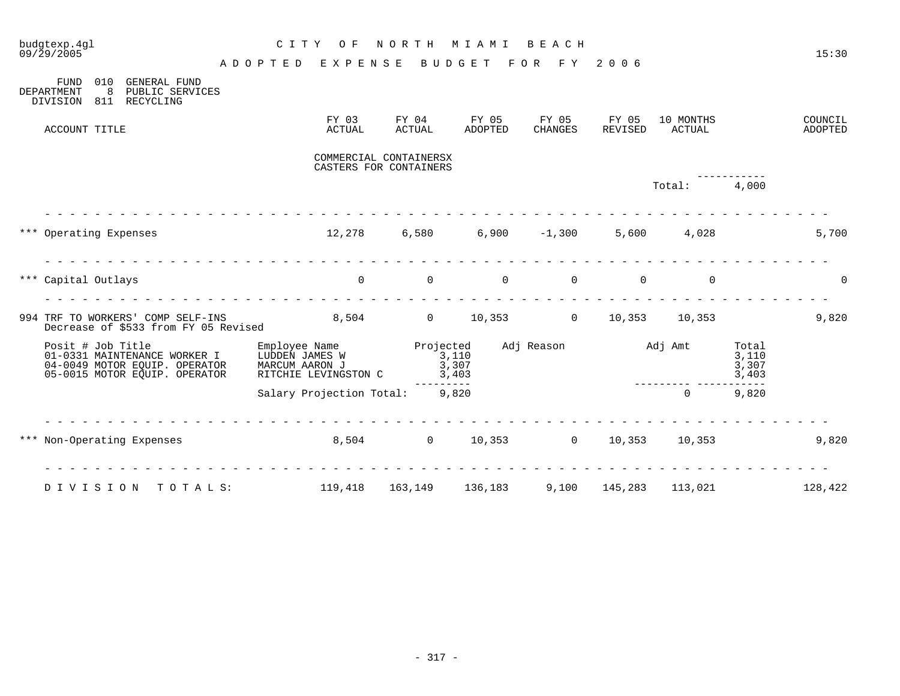| budgtexp.4ql<br>09/29/2005                                                                                          | C I T Y<br>O F                                                                      | NORTH                                            | M I A M I                               | BEACH              |                  |                     |                                  | 15:30              |
|---------------------------------------------------------------------------------------------------------------------|-------------------------------------------------------------------------------------|--------------------------------------------------|-----------------------------------------|--------------------|------------------|---------------------|----------------------------------|--------------------|
| 010<br><b>GENERAL FUND</b><br>FUND                                                                                  | ADOPTED EXPENSE                                                                     |                                                  | BUDGET FOR FY 2006                      |                    |                  |                     |                                  |                    |
| 8<br>DEPARTMENT<br>PUBLIC SERVICES<br>DIVISION 811 RECYCLING                                                        |                                                                                     |                                                  |                                         |                    |                  |                     |                                  |                    |
| ACCOUNT TITLE                                                                                                       | FY 03<br>ACTUAL                                                                     | FY 04<br>ACTUAL                                  | FY 05<br>ADOPTED                        | FY 05<br>CHANGES   | FY 05<br>REVISED | 10 MONTHS<br>ACTUAL |                                  | COUNCIL<br>ADOPTED |
|                                                                                                                     |                                                                                     | COMMERCIAL CONTAINERSX<br>CASTERS FOR CONTAINERS |                                         |                    |                  |                     |                                  |                    |
|                                                                                                                     |                                                                                     |                                                  |                                         |                    |                  | Total: 4,000        |                                  |                    |
| *** Operating Expenses                                                                                              | $12,278$ 6,580 6,900 -1,300 5,600 4,028                                             |                                                  |                                         |                    |                  |                     |                                  | 5,700              |
| *** Capital Outlays                                                                                                 |                                                                                     |                                                  | $\begin{matrix} 0 & 0 & 0 \end{matrix}$ | $\Omega$           | $\overline{0}$   | $\Omega$            |                                  | $\Omega$           |
| 994 TRF TO WORKERS' COMP SELF-INS<br>Decrease of \$533 from FY 05 Revised                                           | 8,504 0 10,353 0 10,353 10,353                                                      |                                                  |                                         |                    |                  |                     |                                  | 9,820              |
| Posit # Job Title<br>01-0331 MAINTENANCE WORKER I<br>04-0049 MOTOR EQUIP. OPERATOR<br>05-0015 MOTOR EOUIP. OPERATOR | Employee Name Projected<br>LUDDEN JAMES W<br>MARCUM AARON J<br>RITCHIE LEVINGSTON C | 3,110<br>3,403                                   | 3,307                                   | Adj Reason Maj Amt |                  |                     | Total<br>3,110<br>3,307<br>3,403 |                    |
|                                                                                                                     | Salary Projection Total: 9,820                                                      | ---------                                        |                                         |                    |                  | $\Omega$            | 9,820                            |                    |
| *** Non-Operating Expenses 6,504 0 10,353 0 10,353 10,353                                                           |                                                                                     |                                                  |                                         |                    |                  |                     |                                  | 9,820              |
| DIVISION TOTALS: 119,418 163,149 136,183 9,100 145,283 113,021 128,422                                              |                                                                                     |                                                  |                                         |                    |                  |                     |                                  |                    |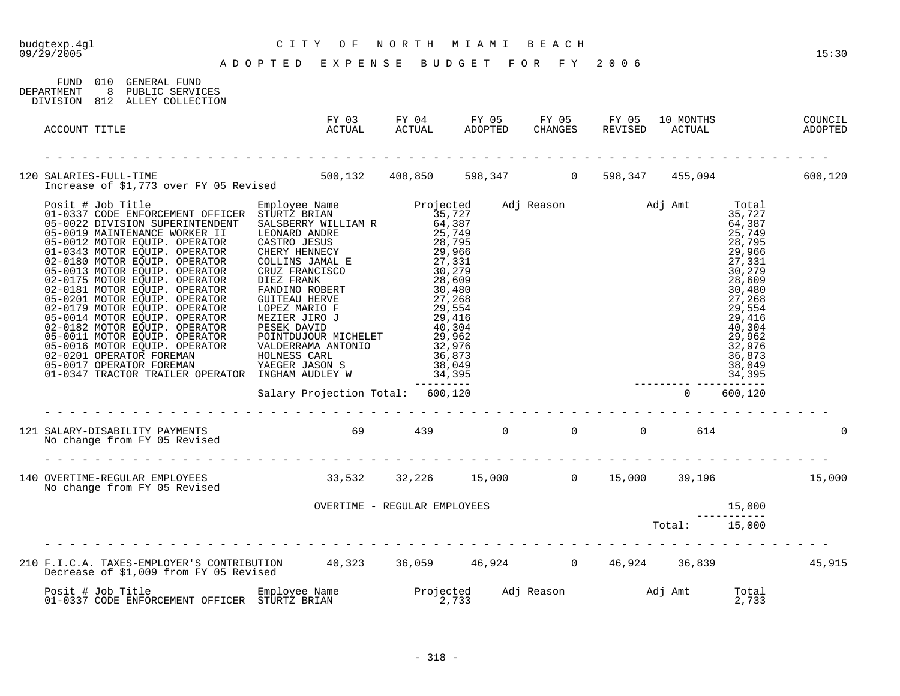## budgtexp.4gl C I T Y O F N O R T H M I A M I B E A C H

| FUND 010 GENERAL FUND<br>8 PUBLIC SERVICES<br>DEPARTMENT<br>DIVISION 812 ALLEY COLLECTION                                                                    |                                                                                                                                                                                                                                                                                                                                                                                                                              |  |  |                |  |
|--------------------------------------------------------------------------------------------------------------------------------------------------------------|------------------------------------------------------------------------------------------------------------------------------------------------------------------------------------------------------------------------------------------------------------------------------------------------------------------------------------------------------------------------------------------------------------------------------|--|--|----------------|--|
| ACCOUNT TITLE                                                                                                                                                | FY 03 FY 04 FY 05 FY 05 FY 05 10 MONTHS COUNCIL<br>ACTUAL ACTUAL ADOPTED CHANGES REVISED ACTUAL ADOPTED                                                                                                                                                                                                                                                                                                                      |  |  |                |  |
|                                                                                                                                                              |                                                                                                                                                                                                                                                                                                                                                                                                                              |  |  |                |  |
| 120 SALARIES-FULL-TIME 500,132 408,850 598,347 0 598,347 455,094 600,120<br>Increase of \$1,773 over FY 05 Revised 500,132 408,850 598,347 0 598,347 455,094 |                                                                                                                                                                                                                                                                                                                                                                                                                              |  |  |                |  |
|                                                                                                                                                              | $\begin{tabular}{l c c c c} \hline \texttt{Empoly} & \texttt{Ren} & \texttt{Projected} & \texttt{Adj Reason} & \texttt{Adj Rma} & \texttt{Total} & \texttt{Total} & \texttt{Total} \\ \hline \texttt{STURZ} & \texttt{BRAN} & 35,727 & \texttt{Adj Reason} & \texttt{Adj Amt} & 35,727 \\ \texttt{SALSBERN} & \texttt{MLLINK} & 36,799 & 25,749 \\ \texttt{CASTRO JESUS} & 23,799 & 25,749 \\ \texttt{CASTRO JESUS} & 23,96$ |  |  |                |  |
|                                                                                                                                                              |                                                                                                                                                                                                                                                                                                                                                                                                                              |  |  |                |  |
| 121 SALARY-DISABILITY PAYMENTS 69 439 0 0 0 0 614<br>No change from FY 05 Revised                                                                            |                                                                                                                                                                                                                                                                                                                                                                                                                              |  |  |                |  |
| No change from FY 05 Revised                                                                                                                                 |                                                                                                                                                                                                                                                                                                                                                                                                                              |  |  |                |  |
|                                                                                                                                                              | OVERTIME - REGULAR EMPLOYEES                                                                                                                                                                                                                                                                                                                                                                                                 |  |  |                |  |
|                                                                                                                                                              |                                                                                                                                                                                                                                                                                                                                                                                                                              |  |  |                |  |
| 210 F.I.C.A. TAXES-EMPLOYER'S CONTRIBUTION 40,323 36,059 46,924 0 46,924 36,839 45,915<br>Decrease of \$1,009 from FY 05 Revised                             |                                                                                                                                                                                                                                                                                                                                                                                                                              |  |  |                |  |
|                                                                                                                                                              |                                                                                                                                                                                                                                                                                                                                                                                                                              |  |  | Total<br>2,733 |  |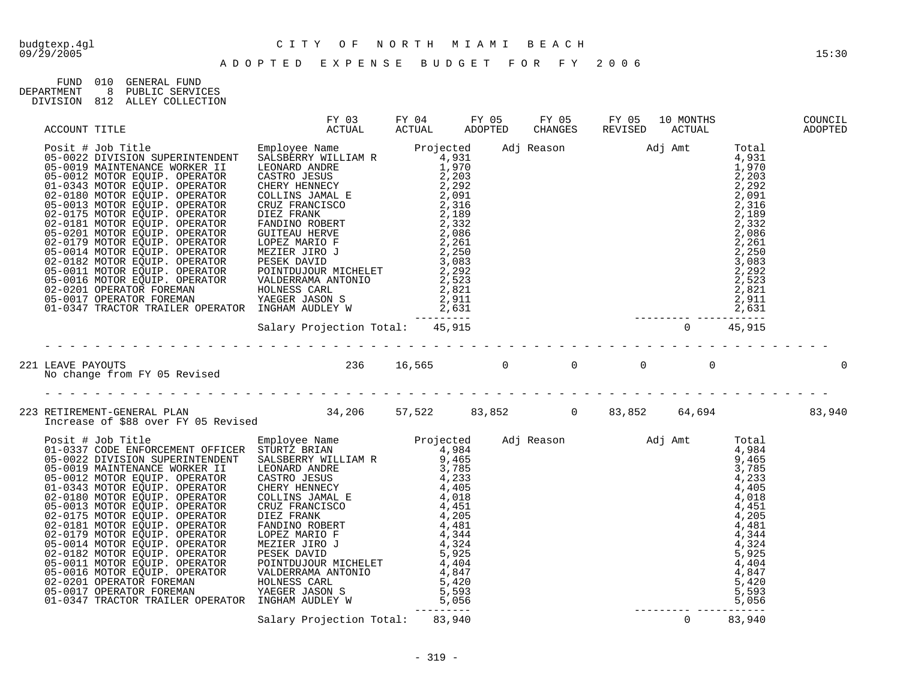# budgtexp.4gl C I T Y O F N O R T H M I A M I B E A C H

| FIJND.     | 01 O | GENERAL FIJND    |
|------------|------|------------------|
| DEPARTMENT |      | PUBLIC SERVICES  |
| DIVISION   | 812  | ALLEY COLLECTION |

|  |  |  |  | COUNCIL<br>ADOPTED |
|--|--|--|--|--------------------|
|  |  |  |  |                    |
|  |  |  |  |                    |
|  |  |  |  |                    |
|  |  |  |  |                    |
|  |  |  |  |                    |
|  |  |  |  |                    |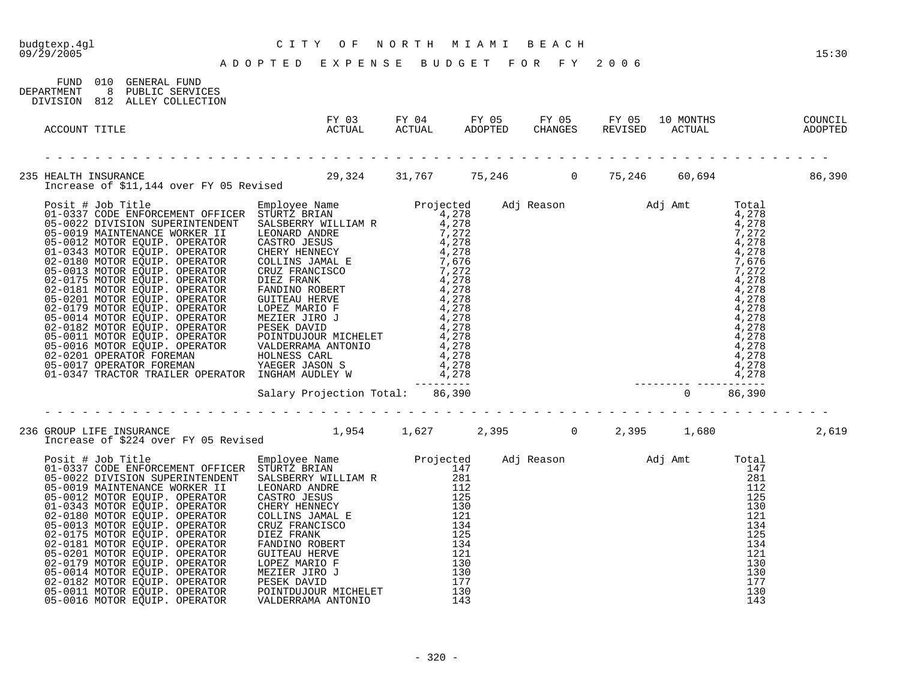## budgtexp.4gl C I T Y O F N O R T H M I A M I B E A C H

A D O P T E D E X P E N S E B U D G E T F O R F Y 2 0 0 6

| FUND 010 GENERAL FUND<br>DEPARTMENT<br>DIVISION 812 ALLEY COLLECTION | 8 PUBLIC SERVICES |                                                                                                                                                                                                                                 |  |  |  |       |
|----------------------------------------------------------------------|-------------------|---------------------------------------------------------------------------------------------------------------------------------------------------------------------------------------------------------------------------------|--|--|--|-------|
| ACCOUNT TITLE                                                        |                   | FY 03 FY 04 FY 05 FY 05 FY 05 10 MONTHS COUNCIL<br>ACTUAL ACTUAL ADOPTED CHANGES REVISED ACTUAL ADOPTED                                                                                                                         |  |  |  |       |
|                                                                      |                   | 235 HEALTH INSURANCE<br>Increase of \$11,144 over FY 05 Revised 29,324 31,767 75,246 0 75,246 60,694 60,694                                                                                                                     |  |  |  |       |
|                                                                      |                   | Increase of 311.144 over FY 05 Revised Mann Projected Adj Reason Adj Amt Total (1998)<br>Philosof Revised Communication of the Communication of the Case of the Communication of the Case of the Case of the Communication of t |  |  |  |       |
|                                                                      |                   |                                                                                                                                                                                                                                 |  |  |  |       |
|                                                                      |                   | 236 GROUP LIFE INSURANCE<br>1,954 1,627 2,395 0 2,395 1,680<br>Increase of \$224 over FY 05 Revised                                                                                                                             |  |  |  | 2,619 |
|                                                                      |                   |                                                                                                                                                                                                                                 |  |  |  |       |

05-0016 MOTOR EQUIP. OPERATOR VALDERRAMA ANTONIO 143 143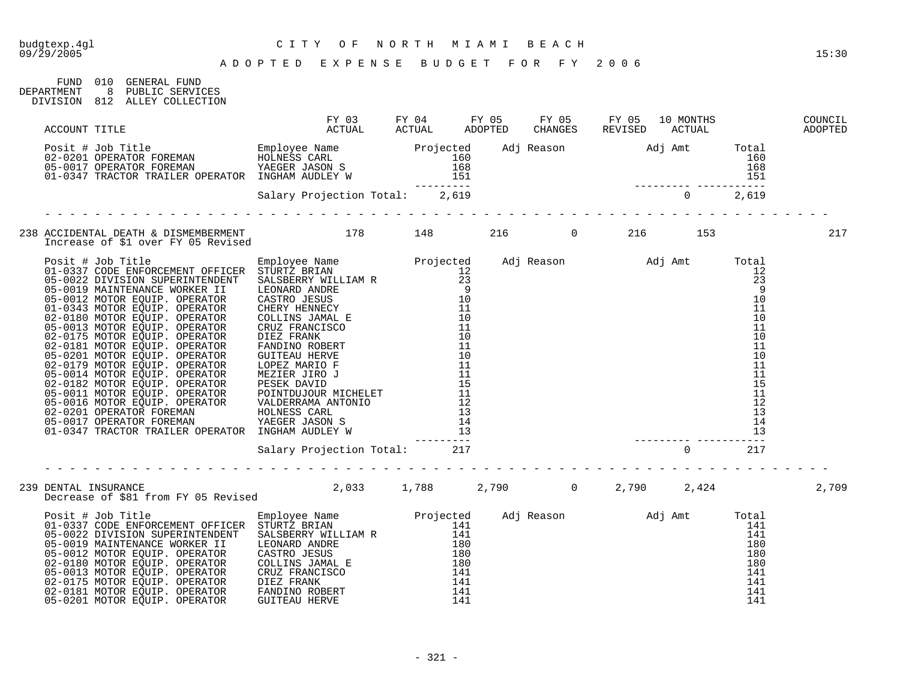FUND 010 GENERAL FUND

## budgtexp.4gl C I T Y O F N O R T H M I A M I B E A C H

| DEPARTMENT | 8 PUBLIC SERVICES<br>DIVISION 812 ALLEY COLLECTION                                          |  |  |  |       |
|------------|---------------------------------------------------------------------------------------------|--|--|--|-------|
|            |                                                                                             |  |  |  |       |
|            |                                                                                             |  |  |  |       |
|            |                                                                                             |  |  |  |       |
|            |                                                                                             |  |  |  | 217   |
|            |                                                                                             |  |  |  |       |
|            | 239 DENTAL INSURANCE<br>Decrease of \$81 from FY 05 Revised 2,033 1,788 2,790 0 2,790 2,424 |  |  |  |       |
|            |                                                                                             |  |  |  | 2,709 |
|            |                                                                                             |  |  |  |       |

05-0201 MOTOR EQUIP. OPERATOR GUITEAU HERVE 141 141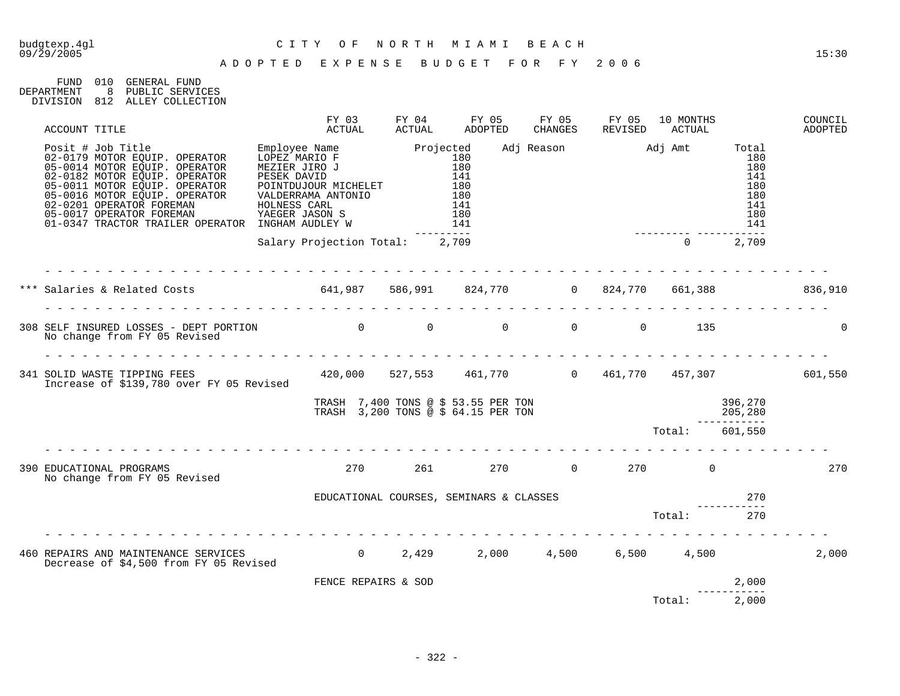# budgtexp.4gl C I T Y O F N O R T H M I A M I B E A C H

| FIJND.     | 01 O | GENERAL FIJND    |
|------------|------|------------------|
| DEPARTMENT |      | PUBLIC SERVICES  |
| DIVISION   | 812  | ALLEY COLLECTION |

|  | ACCOUNT TITLE                                                                                                                                                                                                                                                                                       |                                                                                                                                                                                                           | FY 03<br>ACTUAL | FY 04<br>ACTUAL                                                                                          | FY 05<br>ADOPTED                                                             | FY 05<br>CHANGES | FY 05<br>REVISED          | 10 MONTHS<br>ACTUAL   |                                                                | COUNCIL<br>ADOPTED |
|--|-----------------------------------------------------------------------------------------------------------------------------------------------------------------------------------------------------------------------------------------------------------------------------------------------------|-----------------------------------------------------------------------------------------------------------------------------------------------------------------------------------------------------------|-----------------|----------------------------------------------------------------------------------------------------------|------------------------------------------------------------------------------|------------------|---------------------------|-----------------------|----------------------------------------------------------------|--------------------|
|  | Posit # Job Title<br>02-0179 MOTOR EQUIP. OPERATOR<br>05-0014 MOTOR EQUIP. OPERATOR<br>02-0182 MOTOR EQUIP. OPERATOR<br>05-0011 MOTOR EQUIP. OPERATOR<br>05-0016 MOTOR EQUIP. OPERATOR<br>02-0201 OPERATOR FOREMAN<br>05-0017 OPERATOR FOREMAN<br>05-001/ OFERATOR TRAILER OPERATOR INGHAM AUDLEY W | Employee Name Projected<br>OPERATOR LOPEZ MARIO F 180<br>OPERATOR MEZIER JIRO J 180<br>OPERATOR PESEK DAVID 141<br>- DOINTDUJOUR MICHELET 180<br>VALDERRAMA ANTONIO 180<br>HOLNESS CARL<br>YAEGER JASON S |                 | $\begin{array}{c} 1 \overline{1} \\ 1 \overline{8} \\ 1 \overline{4} \\ 1 \overline{4} \\ 1 \end{array}$ | 141<br>$- - - -$                                                             |                  | Adj Reason Madj Amt Total |                       | 180<br>180<br>141<br>180<br>180<br>141<br>180<br>141<br>$   -$ |                    |
|  |                                                                                                                                                                                                                                                                                                     | Salary Projection Total: 2,709                                                                                                                                                                            |                 |                                                                                                          |                                                                              |                  |                           |                       | $0 \t 2,709$                                                   |                    |
|  |                                                                                                                                                                                                                                                                                                     |                                                                                                                                                                                                           |                 |                                                                                                          |                                                                              |                  |                           |                       |                                                                |                    |
|  | No change from FY 05 Revised                                                                                                                                                                                                                                                                        |                                                                                                                                                                                                           |                 |                                                                                                          |                                                                              |                  |                           | $\overline{0}$<br>135 |                                                                | $\Omega$           |
|  | 341 SOLID WASTE TIPPING FEES 420,000 527,553 461,770 0 461,770 457,307 601,550<br>Therease of \$139.780 over FY 05 Revised 420,000 527,553 461,770 0 461,770 457,307<br>Increase of \$139,780 over FY 05 Revised                                                                                    |                                                                                                                                                                                                           |                 |                                                                                                          |                                                                              |                  |                           |                       |                                                                |                    |
|  |                                                                                                                                                                                                                                                                                                     |                                                                                                                                                                                                           |                 |                                                                                                          | TRASH $7,400$ TONS @ \$ 53.55 PER TON<br>TRASH 3,200 TONS @ \$ 64.15 PER TON |                  |                           |                       | 396,270<br>205,280<br>----------                               |                    |
|  |                                                                                                                                                                                                                                                                                                     |                                                                                                                                                                                                           |                 |                                                                                                          |                                                                              |                  |                           | Total:                | 601,550                                                        |                    |
|  | 390 EDUCATIONAL PROGRAMS<br>No change from FY 05 Revised                                                                                                                                                                                                                                            |                                                                                                                                                                                                           | 270             |                                                                                                          | 261                                                                          |                  | 270 0 270 0               |                       |                                                                | 270                |
|  |                                                                                                                                                                                                                                                                                                     |                                                                                                                                                                                                           |                 |                                                                                                          | EDUCATIONAL COURSES, SEMINARS & CLASSES                                      |                  |                           |                       | 270                                                            |                    |
|  |                                                                                                                                                                                                                                                                                                     |                                                                                                                                                                                                           |                 |                                                                                                          |                                                                              |                  |                           | Total:                | 270                                                            |                    |
|  | 460 REPAIRS AND MAINTENANCE SERVICES 6 0 2,429 2,000 4,500<br>Decrease of \$4,500 from FY 05 Revised                                                                                                                                                                                                |                                                                                                                                                                                                           |                 |                                                                                                          |                                                                              |                  |                           | $6,500$ $4,500$       |                                                                | 2,000              |
|  |                                                                                                                                                                                                                                                                                                     |                                                                                                                                                                                                           |                 | FENCE REPAIRS & SOD                                                                                      |                                                                              |                  |                           |                       | 2,000                                                          |                    |
|  |                                                                                                                                                                                                                                                                                                     |                                                                                                                                                                                                           |                 |                                                                                                          |                                                                              |                  |                           | Total:                | 2,000                                                          |                    |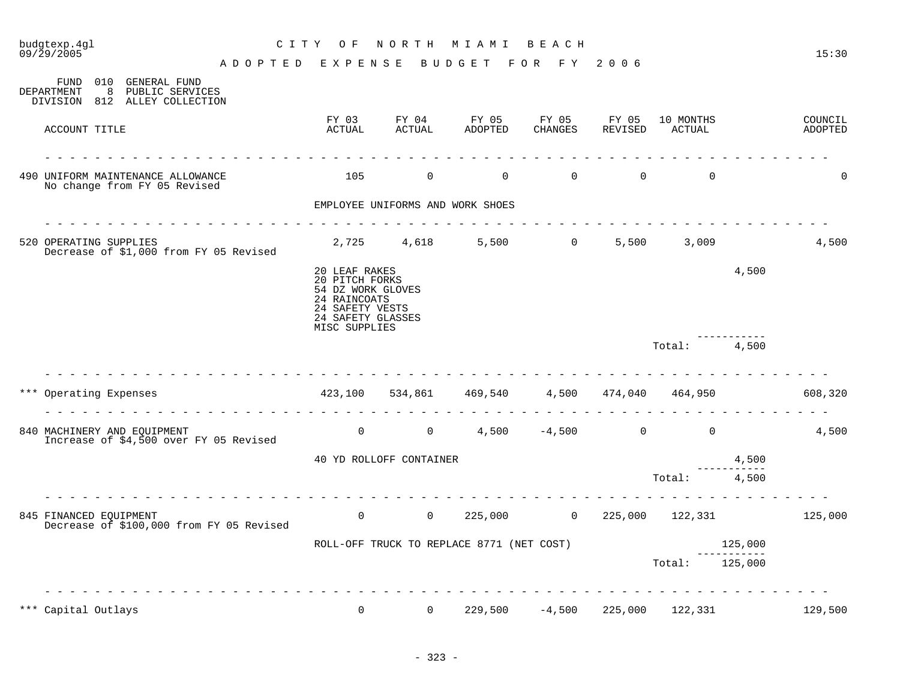| budgtexp.4gl<br>C I T Y<br>09/29/2005<br>ADOPTED EXPENSE                                        | O F                                                                                                                           | NORTH                            | M I A M I<br><b>BUDGET</b>                | BEACH<br>FOR FY 2006 |                  |                     |       | 15:30              |
|-------------------------------------------------------------------------------------------------|-------------------------------------------------------------------------------------------------------------------------------|----------------------------------|-------------------------------------------|----------------------|------------------|---------------------|-------|--------------------|
| 010 GENERAL FUND<br>FUND<br>DEPARTMENT<br>8<br>PUBLIC SERVICES<br>DIVISION 812 ALLEY COLLECTION |                                                                                                                               |                                  |                                           |                      |                  |                     |       |                    |
| ACCOUNT TITLE                                                                                   | FY 03<br>ACTUAL                                                                                                               | FY 04<br>ACTUAL                  | FY 05<br>ADOPTED                          | FY 05<br>CHANGES     | FY 05<br>REVISED | 10 MONTHS<br>ACTUAL |       | COUNCIL<br>ADOPTED |
| 490 UNIFORM MAINTENANCE ALLOWANCE<br>No change from FY 05 Revised                               | 105                                                                                                                           | $\overline{0}$                   | $\overline{0}$                            | $\overline{0}$       | $\Omega$         | $\Omega$            |       | U                  |
|                                                                                                 |                                                                                                                               | EMPLOYEE UNIFORMS AND WORK SHOES |                                           |                      |                  |                     |       |                    |
| 520 OPERATING SUPPLIES<br>Decrease of \$1,000 from FY 05 Revised                                |                                                                                                                               |                                  | 2,725 4,618 5,500 0                       |                      |                  | 5,500 3,009         |       | 4,500              |
|                                                                                                 | 20 LEAF RAKES<br>20 PITCH FORKS<br>54 DZ WORK GLOVES<br>24 RAINCOATS<br>24 SAFETY VESTS<br>24 SAFETY GLASSES<br>MISC SUPPLIES |                                  |                                           |                      |                  |                     | 4,500 |                    |
|                                                                                                 |                                                                                                                               |                                  |                                           |                      |                  | Total:              | 4,500 |                    |
| *** Operating Expenses                                                                          | 423,100                                                                                                                       |                                  | 534,861 469,540 4,500 474,040 464,950     |                      |                  |                     |       | 608,320            |
| 840 MACHINERY AND EQUIPMENT<br>Increase of \$4,500 over FY 05 Revised                           |                                                                                                                               |                                  | 0 0 $4,500$ $-4,500$ 0                    |                      |                  | $\Omega$            |       | 4,500              |
|                                                                                                 | 40 YD ROLLOFF CONTAINER<br>4,500                                                                                              |                                  |                                           |                      |                  |                     |       |                    |
|                                                                                                 |                                                                                                                               |                                  |                                           |                      |                  | Total: 4,500        |       |                    |
| 845 FINANCED EOUIPMENT<br>Decrease of \$100,000 from FY 05 Revised                              | $\overline{0}$                                                                                                                |                                  | $0$ 225,000 $0$ 225,000 122,331 125,000   |                      |                  |                     |       |                    |
|                                                                                                 |                                                                                                                               |                                  | ROLL-OFF TRUCK TO REPLACE 8771 (NET COST) |                      |                  | 125,000             |       |                    |
|                                                                                                 |                                                                                                                               |                                  |                                           |                      |                  | Total: 125,000      |       |                    |
| *** Capital Outlays                                                                             | $\mathbf 0$                                                                                                                   | $\mathbf 0$                      | 229,500                                   | $-4,500$             | 225,000          | 122,331             |       | 129,500            |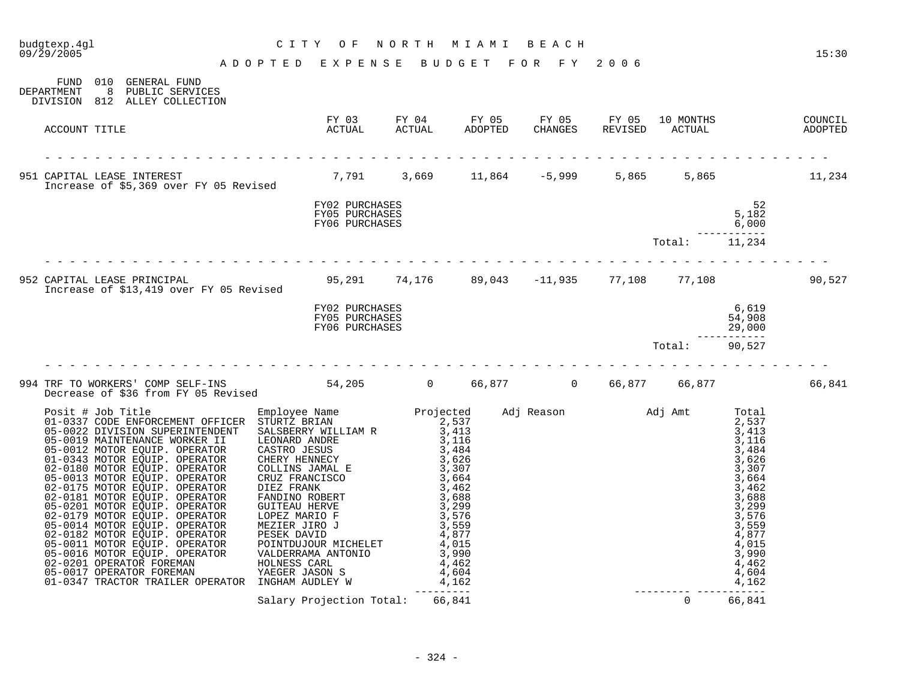| budgtexp.4gl<br>09/29/2005                                           |                                     | CITY OF NORTH MIAMI BEACH<br>ADOPTED EXPENSE BUDGET FOR FY 2006        |            |       |                |                                                                                                                                                                                                  | 15:30  |
|----------------------------------------------------------------------|-------------------------------------|------------------------------------------------------------------------|------------|-------|----------------|--------------------------------------------------------------------------------------------------------------------------------------------------------------------------------------------------|--------|
|                                                                      |                                     |                                                                        |            |       |                |                                                                                                                                                                                                  |        |
| FUND 010 GENERAL FUND<br>DEPARTMENT<br>DIVISION 812 ALLEY COLLECTION | 8 PUBLIC SERVICES                   |                                                                        |            |       |                |                                                                                                                                                                                                  |        |
| ACCOUNT TITLE                                                        |                                     |                                                                        |            |       |                |                                                                                                                                                                                                  |        |
|                                                                      |                                     |                                                                        |            |       |                |                                                                                                                                                                                                  |        |
|                                                                      |                                     |                                                                        |            | 5,865 |                | 5,865                                                                                                                                                                                            | 11,234 |
|                                                                      |                                     | FY02 PURCHASES<br>FY05 PURCHASES<br>FY06 PURCHASES                     |            |       |                | 52<br>5,182<br>6,000                                                                                                                                                                             |        |
|                                                                      |                                     |                                                                        |            |       | Total:         | ---------<br>11,234                                                                                                                                                                              |        |
|                                                                      |                                     |                                                                        |            |       |                |                                                                                                                                                                                                  | 90,527 |
|                                                                      |                                     | FY02 PURCHASES<br>FY05 PURCHASES<br>FY06 PURCHASES                     |            |       |                | 6,619<br>54,908<br>29,000                                                                                                                                                                        |        |
|                                                                      |                                     |                                                                        |            |       | Total:         | . <u>.</u><br>90,527                                                                                                                                                                             |        |
|                                                                      | Decrease of \$36 from FY 05 Revised | 994 TRF TO WORKERS' COMP SELF-INS 6 1994 TRF TO WORKERS' COMP SELF-INS |            |       |                |                                                                                                                                                                                                  | 66,841 |
|                                                                      |                                     |                                                                        | ---------- |       |                | Total<br>2,537<br>3,413<br>3,116<br>3,484<br>$\frac{3}{3}, \frac{626}{3}$<br>3,664<br>3,462<br>3,688<br>3,299<br>3,576<br>3,559<br>4,877<br>4,015<br>3,990<br>4,462<br>4,604<br>4,162<br>------- |        |
|                                                                      |                                     | Salary Projection Total:                                               | 66,841     |       | $\overline{0}$ | 66,841                                                                                                                                                                                           |        |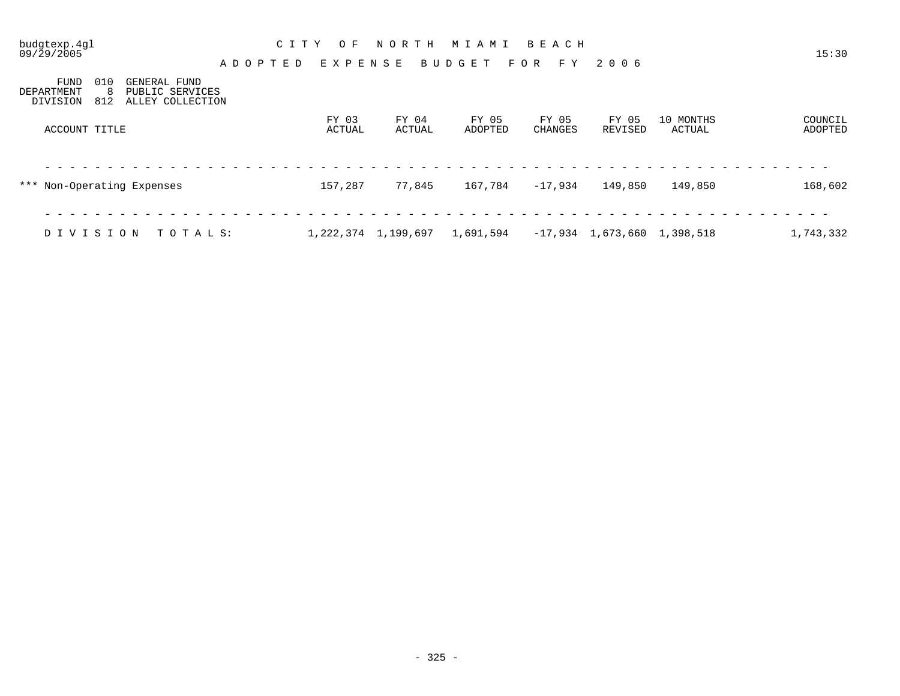| budgtexp.4gl<br>09/29/2005                                                                                | C I T Y<br>O F<br>EXPENSE<br>ADOPTED | N O R T H<br>BUDGET     | BEACH<br>MIAMI<br>F O R<br>F Y       | 2006                          |                     | 15:30              |
|-----------------------------------------------------------------------------------------------------------|--------------------------------------|-------------------------|--------------------------------------|-------------------------------|---------------------|--------------------|
| 010<br>FUND<br>GENERAL FUND<br>-8<br>PUBLIC SERVICES<br>DEPARTMENT<br>812<br>ALLEY COLLECTION<br>DIVISION |                                      |                         |                                      |                               |                     |                    |
| ACCOUNT TITLE                                                                                             | FY 03<br>ACTUAL                      | FY 04<br>ACTUAL         | FY 05<br>FY 05<br>ADOPTED<br>CHANGES | FY 05<br>REVISED              | 10 MONTHS<br>ACTUAL | COUNCIL<br>ADOPTED |
| *** Non-Operating Expenses                                                                                | 157,287                              | 77,845                  | 167,784<br>$-17,934$                 | 149,850                       | 149,850             | 168,602            |
| DIVISION<br>TOTALS:                                                                                       |                                      | 1, 222, 374 1, 199, 697 | 1,691,594                            | $-17,934$ 1,673,660 1,398,518 |                     | 1,743,332          |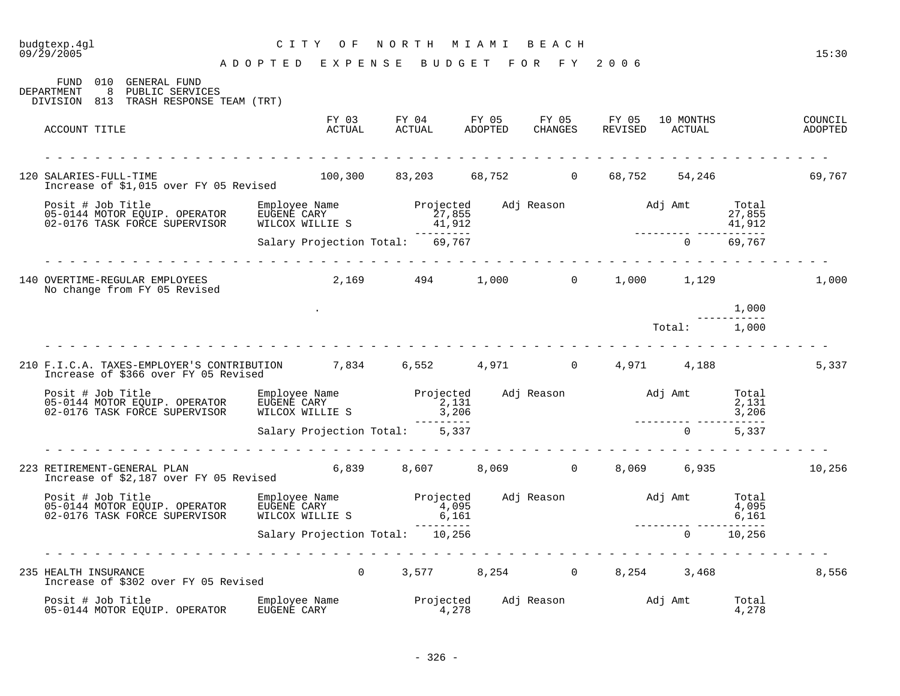## budgtexp.4gl C I T Y O F N O R T H M I A M I B E A C H

A D O P T E D E X P E N S E B U D G E T F O R F Y 2 0 0 6

| 010<br>GENERAL FUND<br>FUND<br>8 <sup>8</sup><br>DEPARTMENT<br>PUBLIC SERVICES<br>DIVISION 813 TRASH RESPONSE TEAM (TRT)                                         |                                 |                                                      |  |               |                |                                   |
|------------------------------------------------------------------------------------------------------------------------------------------------------------------|---------------------------------|------------------------------------------------------|--|---------------|----------------|-----------------------------------|
| ACCOUNT TITLE                                                                                                                                                    | FY 03<br>ACTUAL                 |                                                      |  |               |                | COUNCIL<br>REVISED ACTUAL ADOPTED |
| 120 SALARIES-FULL-TIME<br>Increase of \$1,015 over FY 05 Revised                                                                                                 |                                 | $100,300$ 83,203 68,752 0 68,752 54,246 69,767       |  |               |                |                                   |
| Posit # Job Title<br>Posit # Job Title<br>05-0144 MOTOR EQUIP. OPERATOR<br>02-0176 TASK FORCE SUPERVISOR                                                         |                                 |                                                      |  | 41,912        |                |                                   |
|                                                                                                                                                                  | Salary Projection Total: 69,767 | ----------                                           |  | 0 69,767      |                |                                   |
| 140 OVERTIME-REGULAR EMPLOYEES<br>No change from FY 05 Revised                                                                                                   |                                 | $2,169$ $494$ $1,000$ 0 $1,000$ $1,129$              |  |               |                | 1,000                             |
|                                                                                                                                                                  |                                 |                                                      |  |               | 1,000          |                                   |
|                                                                                                                                                                  |                                 |                                                      |  | Total: 1,000  |                |                                   |
| 210 F.I.C.A. TAXES-EMPLOYER'S CONTRIBUTION 7,834 6,552 4,971 0 4,971 4,188<br>Increase of \$366 over FY 05 Revised                                               |                                 |                                                      |  |               |                | 5,337                             |
|                                                                                                                                                                  |                                 |                                                      |  |               |                |                                   |
|                                                                                                                                                                  | Salary Projection Total: 5,337  |                                                      |  | $0 \t 5,337$  |                |                                   |
| 223 RETIREMENT-GENERAL PLAN<br>Increase of \$2,187 over FY 05 Revised                                                                                            |                                 | $6,839$ $8,607$ $8,069$ $0$ $8,069$ $6,935$ $10,256$ |  |               |                |                                   |
| Posit # Job Title Employee Name Projected Adj Reason Maj Amt Total (1995)<br>1,095 161,095 161 16.095 16.161 16.161<br>16,161 16.161 16.161 16.161 16.161 16.161 |                                 |                                                      |  |               |                |                                   |
|                                                                                                                                                                  | Salary Projection Total: 10,256 | _________                                            |  | $0 \t 10,256$ | .              |                                   |
| .<br>235 HEALTH INSURANCE<br>Increase of \$302 over FY 05 Revised                                                                                                |                                 | 0 $3,577$ $8,254$ 0 $8,254$ $3,468$                  |  |               |                | 8,556                             |
|                                                                                                                                                                  |                                 |                                                      |  |               | Total<br>4,278 |                                   |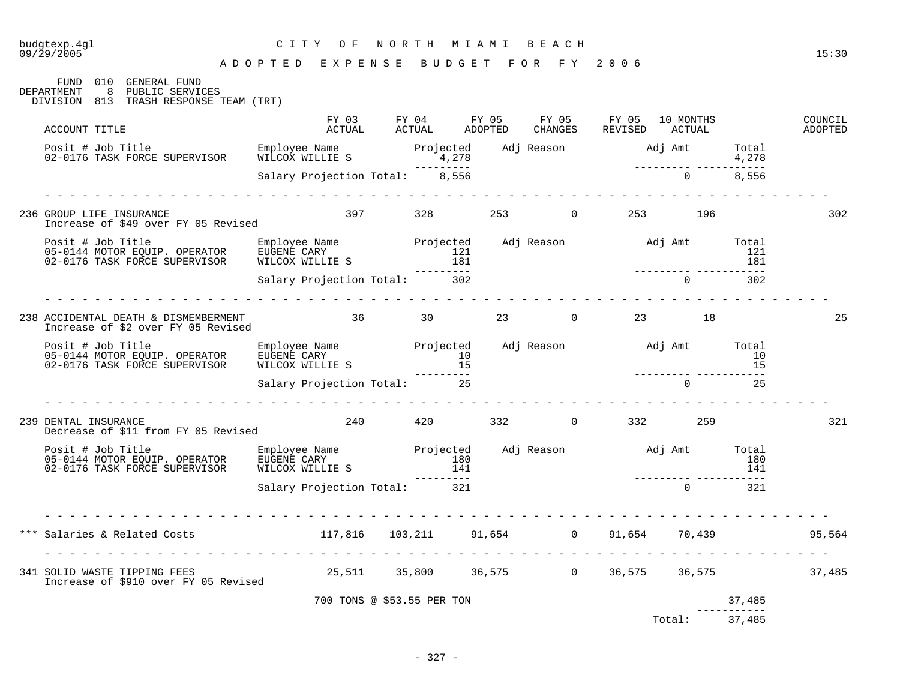09/29/2005 15:30

| 010 GENERAL FUND<br>FUND<br>DEPARTMENT<br>8<br>PUBLIC SERVICES<br>DIVISION 813 TRASH RESPONSE TEAM (TRT) |                                    |                            |                                                                                         |         |                          |                         |                    |
|----------------------------------------------------------------------------------------------------------|------------------------------------|----------------------------|-----------------------------------------------------------------------------------------|---------|--------------------------|-------------------------|--------------------|
| ACCOUNT TITLE                                                                                            |                                    |                            | FY 03 FY 04 FY 05 FY 05 FY 05 10 MONTHS<br>ACTUAL ACTUAL ADOPTED CHANGES REVISED ACTUAL |         |                          |                         | COUNCIL<br>ADOPTED |
| Posit # Job Title<br>02-0176 TASK FORCE SUPERVISOR                                                       |                                    |                            |                                                                                         |         |                          |                         |                    |
|                                                                                                          | Salary Projection Total: 8,556     |                            |                                                                                         |         |                          |                         |                    |
| 236 GROUP LIFE INSURANCE<br>Increase of \$49 over FY 05 Revised                                          |                                    | 397                        | 328                                                                                     | $253$ 0 | 253 196                  |                         | 302                |
| 02-0176 TASK FORCE SUPERVISOR                                                                            | MILCOX MILLIE S<br>WILCOX WILLIE S |                            | Projected<br>121<br>181<br>----------<br>302                                            |         | ________________________ | $1\overline{21}$<br>181 |                    |
|                                                                                                          | Salary Projection Total: 302       |                            |                                                                                         |         | $\Omega$                 | 302                     |                    |
| 238 ACCIDENTAL DEATH & DISMEMBERMENT<br>Increase of \$2 over FY 05 Revised                               | 36 30 23 0 23 18                   |                            |                                                                                         |         |                          |                         | 25                 |
|                                                                                                          | WILCOX WILLIE S                    |                            |                                                                                         |         |                          |                         |                    |
|                                                                                                          | Salary Projection Total: 25        |                            |                                                                                         |         | $\Omega$                 | 25                      |                    |
| 239 DENTAL INSURANCE<br>Decrease of \$11 from FY 05 Revised                                              |                                    |                            | 240 420 332 0 332 259                                                                   |         |                          |                         | 321                |
|                                                                                                          |                                    |                            | --------                                                                                |         |                          |                         |                    |
|                                                                                                          | Salary Projection Total: 321       |                            |                                                                                         |         | $\overline{0}$           | 321                     |                    |
|                                                                                                          |                                    |                            |                                                                                         |         |                          |                         | 95,564             |
| 341 SOLID WASTE TIPPING FEES<br>Increase of \$910 over FY 05 Revised                                     |                                    |                            | 25,511 35,800 36,575 0 36,575 36,575 37,485                                             |         |                          |                         |                    |
|                                                                                                          |                                    | 700 TONS @ \$53.55 PER TON |                                                                                         |         |                          | 37,485                  |                    |

37,485 Total: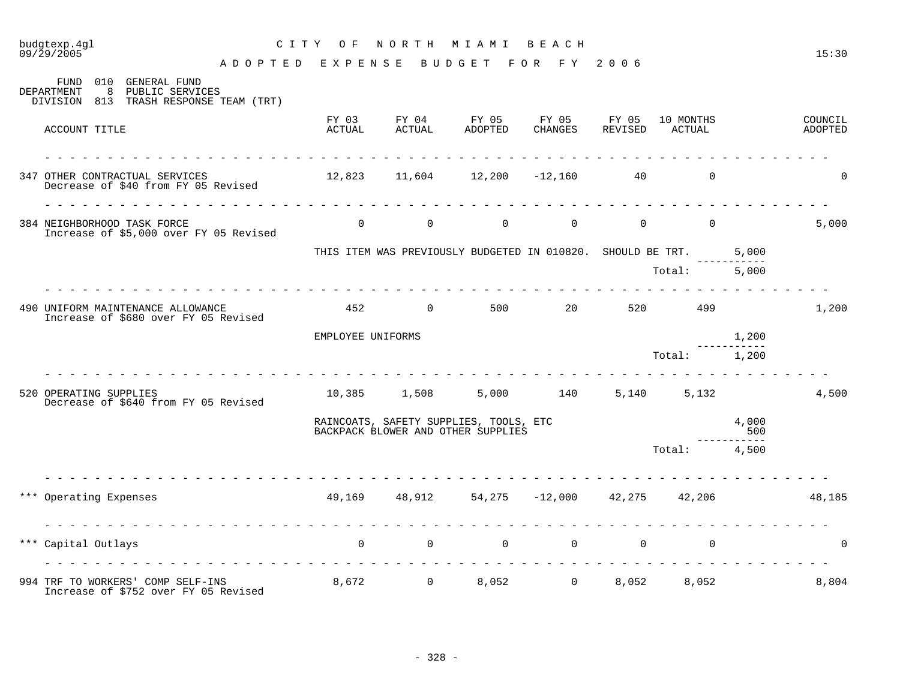09/29/2005 15:30 A D O P T E D E X P E N S E B U D G E T F O R F Y 2 0 0 6

| 010<br>GENERAL FUND<br>FUND<br>8<br>PUBLIC SERVICES<br>DEPARTMENT<br>DIVISION 813 TRASH RESPONSE TEAM (TRT) |                                                                 |                                                                                       |         |                |                |              |                    |
|-------------------------------------------------------------------------------------------------------------|-----------------------------------------------------------------|---------------------------------------------------------------------------------------|---------|----------------|----------------|--------------|--------------------|
| ACCOUNT TITLE                                                                                               | FY 03<br>ACTUAL                                                 | FY 04 FY 05 FY 05 FY 05 10 MONTHS<br>ACTUAL ADOPTED CHANGES REVISED ACTUAL<br>ADOPTED | CHANGES |                | REVISED ACTUAL |              | COUNCIL<br>ADOPTED |
| 347 OTHER CONTRACTUAL SERVICES<br>Decrease of \$40 from FY 05 Revised                                       |                                                                 | $12,823$ $11,604$ $12,200$ $-12,160$ 40                                               |         |                | $\overline{0}$ |              | $\Omega$           |
| rendere de la parte de<br>384 NEIGHBORHOOD TASK FORCE<br>Increase of \$5,000 over FY 05 Revised             |                                                                 | $\begin{matrix} 0 & 0 & 0 & 0 \end{matrix}$                                           |         | $\Omega$       | $\overline{0}$ |              | 5,000              |
|                                                                                                             |                                                                 | THIS ITEM WAS PREVIOUSLY BUDGETED IN 010820. SHOULD BE TRT.                           |         |                |                | 5,000        |                    |
|                                                                                                             |                                                                 |                                                                                       |         |                | Total: 5,000   |              |                    |
| 490 UNIFORM MAINTENANCE ALLOWANCE<br>Increase of \$680 over FY 05 Revised                                   |                                                                 | 452 0 500 20 520 499                                                                  |         |                |                |              | 1,200              |
|                                                                                                             | EMPLOYEE UNIFORMS                                               |                                                                                       |         |                |                | 1,200        |                    |
|                                                                                                             |                                                                 |                                                                                       |         |                | Total: 1,200   |              |                    |
| 520 OPERATING SUPPLIES<br>Decrease of \$640 from FY 05 Revised                                              |                                                                 | 10,385 1,508 5,000 140                                                                |         | 5,140          |                | 5,132        | 4,500              |
|                                                                                                             |                                                                 | RAINCOATS, SAFETY SUPPLIES, TOOLS, ETC<br>BACKPACK BLOWER AND OTHER SUPPLIES          |         |                |                | 4,000<br>500 |                    |
|                                                                                                             |                                                                 |                                                                                       |         |                | Total: 4,500   | $   -$       |                    |
| *** Operating Expenses                                                                                      | $49,169$ $48,912$ $54,275$ $-12,000$ $42,275$ $42,206$ $48,185$ |                                                                                       |         |                |                |              |                    |
| *** Capital Outlays                                                                                         | $\overline{0}$                                                  | $\begin{array}{ccccccc}\n0 & & & 0 & & & 0\n\end{array}$                              |         | $\overline{0}$ | $\overline{0}$ |              | $\Omega$           |
| 994 TRF TO WORKERS' COMP SELF-INS<br>Increase of \$752 over FY 05 Revised                                   |                                                                 | 8,672 0 8,052 0                                                                       |         | 8,052          | 8,052          |              | 8,804              |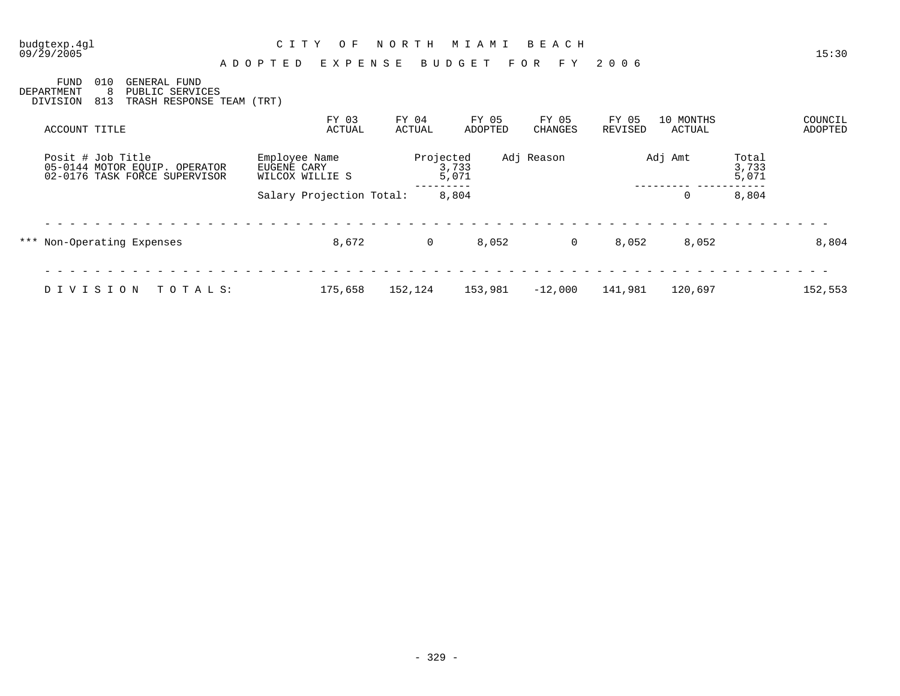| budgtexp.4ql<br>09/29/2005            |                                                                                  | C I T Y<br>O F<br>ADOPTED<br>EXPENSE            | NORTH           | M I A M I<br>BUDGET | BEACH<br>F O R<br>F Y | 2006             |                     |                         | 15:30              |
|---------------------------------------|----------------------------------------------------------------------------------|-------------------------------------------------|-----------------|---------------------|-----------------------|------------------|---------------------|-------------------------|--------------------|
| <b>FUND</b><br>DEPARTMENT<br>DIVISION | 010<br>GENERAL FUND<br>-8<br>PUBLIC SERVICES<br>813<br>TRASH RESPONSE TEAM (TRT) |                                                 |                 |                     |                       |                  |                     |                         |                    |
| ACCOUNT TITLE                         |                                                                                  | FY 03<br>ACTUAL                                 | FY 04<br>ACTUAL | FY 05<br>ADOPTED    | FY 05<br>CHANGES      | FY 05<br>REVISED | 10 MONTHS<br>ACTUAL |                         | COUNCIL<br>ADOPTED |
| Posit # Job Title                     | 05-0144 MOTOR EQUIP. OPERATOR<br>02-0176 TASK FORCE SUPERVISOR                   | Employee Name<br>EUGENE CARY<br>WILCOX WILLIE S | Projected       | 3,733<br>5,071      | Adj Reason            |                  | Adj Amt             | Total<br>3,733<br>5,071 |                    |
|                                       |                                                                                  | Salary Projection Total:                        |                 | 8,804               |                       |                  | 0                   | 8,804                   |                    |
|                                       | *** Non-Operating Expenses                                                       | 8,672                                           | 0               | 8,052               | $\mathbf 0$           | 8,052            | 8,052               |                         | 8,804              |
| DIVISION                              | TOTALS:                                                                          | 175,658                                         | 152,124         | 153,981             | $-12,000$             | 141,981          | 120,697             |                         | 152,553            |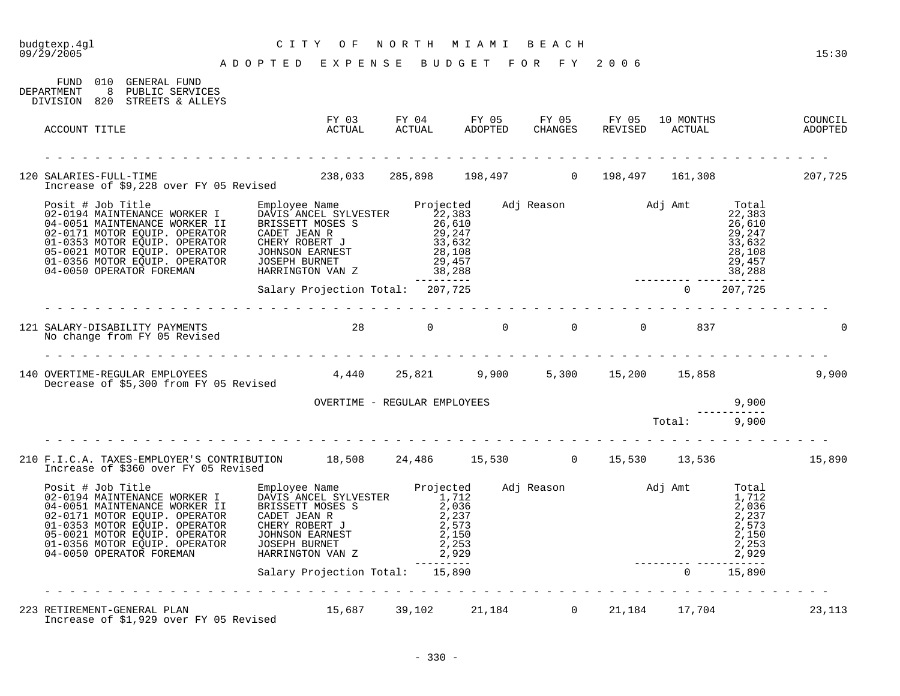| budgtexp.4gl<br>09/29/2005                                                                                                            | CITY OF<br>A D O P T E D E X P E N S E B U D G E T F O R F Y 2006 |            | NORTH MIAMI BEACH                           |   |                                                |               | 15:30  |
|---------------------------------------------------------------------------------------------------------------------------------------|-------------------------------------------------------------------|------------|---------------------------------------------|---|------------------------------------------------|---------------|--------|
| FUND 010 GENERAL FUND<br>DEPARTMENT 8 PUBLIC SERVICES<br>DIVISION 820 STREETS & ALLEYS                                                |                                                                   |            |                                             |   |                                                |               |        |
| ACCOUNT TITLE                                                                                                                         |                                                                   |            |                                             |   |                                                |               |        |
| 120 SALARIES-FULL-TIME<br>Increase of \$9,228 over FY 05 Revised                                                                      | $238,033$ $285,898$ $198,497$ 0 $198,497$ 161,308 207,725         |            |                                             |   |                                                |               |        |
|                                                                                                                                       |                                                                   |            |                                             |   |                                                |               |        |
|                                                                                                                                       | Salary Projection Total: 207,725                                  | ---------- |                                             |   | _________________________<br>$0\qquad 207,725$ |               |        |
| 121 SALARY-DISABILITY PAYMENTS<br>No change from FY 05 Revised                                                                        | 28 0 0 0 0 0 837                                                  |            |                                             |   |                                                |               |        |
| 140 OVERTIME-REGULAR EMPLOYEES<br>Decrease of \$5,300 from FY 05 Revised                                                              |                                                                   |            | 4,440  25,821  9,900  5,300  15,200  15,858 |   |                                                |               | 9,900  |
|                                                                                                                                       | OVERTIME - REGULAR EMPLOYEES                                      |            |                                             |   |                                                | 9,900         |        |
|                                                                                                                                       |                                                                   |            |                                             |   | Total: 9,900                                   |               |        |
| 210 F.I.C.A. TAXES-EMPLOYER'S CONTRIBUTION 18,508 24,486 15,530 0 15,530 13,536 13,536 15,890<br>Increase of \$360 over FY 05 Revised |                                                                   |            |                                             | . |                                                |               |        |
|                                                                                                                                       |                                                                   |            | $2,929$<br>---------<br>15.890              |   |                                                |               |        |
|                                                                                                                                       | Salary Projection Total: 15,890                                   |            |                                             |   |                                                | $0 \t 15,890$ |        |
| 223 RETIREMENT-GENERAL PLAN 15,687 39,102 21,184 0 21,184 17,704<br>Increase of \$1,929 over FY 05 Revised                            |                                                                   |            |                                             |   |                                                |               | 23,113 |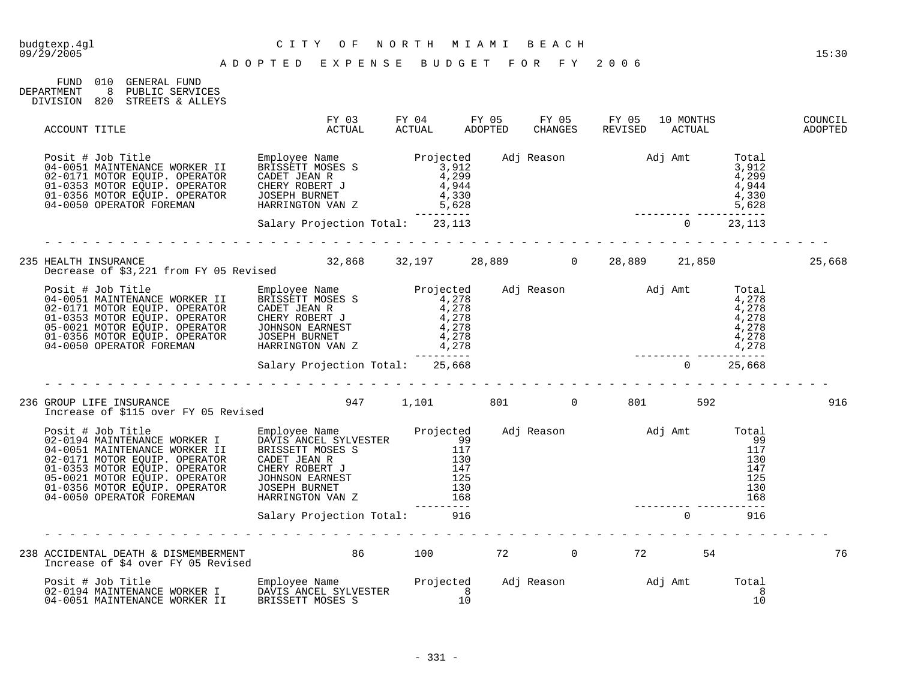| FIJND      | 01 O | GENERAL FIJND    |
|------------|------|------------------|
| DEPARTMENT |      | PUBLIC SERVICES  |
| DIVISION   | 820  | STREETS & ALLEYS |

| ACCOUNT TITLE                                                                                                                                                                                                                           | FY 03<br>ACTUAL                 | FY 04 FY 05 FY 05 FY 05 10 MONTHS<br>ACTUAL ADOPTED CHANGES REVISED ACTUAL |  |                                                                    |          |     | COUNCIL<br>ADOPTED |
|-----------------------------------------------------------------------------------------------------------------------------------------------------------------------------------------------------------------------------------------|---------------------------------|----------------------------------------------------------------------------|--|--------------------------------------------------------------------|----------|-----|--------------------|
| Posit # Job Title<br>04-0051 MAINTENANCE WORKER II BRISSETT MOSES S<br>02-0171 MOTOR EQUIP. OPERATOR CADET JEAN R<br>01-0353 MOTOR EQUIP. OPERATOR CHERY ROBERT J<br>01-0356 MOTOR EQUIP. OPERATOR JOSEPH BURNET 4,944<br>04-0050 OPERA |                                 |                                                                            |  | $\begin{array}{r}3,912\\4,299\\4,944\\4,330\\5,628\\- \end{array}$ |          |     |                    |
|                                                                                                                                                                                                                                         | Salary Projection Total: 23,113 |                                                                            |  |                                                                    |          |     |                    |
|                                                                                                                                                                                                                                         |                                 |                                                                            |  |                                                                    |          |     | 25,668             |
| 9<br>Posit # Job Title Employee Name Projected Adj Reason Adj Amt Total Cal-0051 MAINTENANCE WORKER II BRISSETT MOSES<br>9 4,278 4,278 9 4,278 9 4,278 9 4 4 51 MOTOR EQUIP. OPE                                                        |                                 |                                                                            |  |                                                                    |          |     |                    |
|                                                                                                                                                                                                                                         | Salary Projection Total: 25,668 |                                                                            |  |                                                                    |          |     |                    |
|                                                                                                                                                                                                                                         |                                 |                                                                            |  |                                                                    |          |     | 916                |
|                                                                                                                                                                                                                                         |                                 |                                                                            |  |                                                                    |          |     |                    |
|                                                                                                                                                                                                                                         | Salary Projection Total: 916    |                                                                            |  |                                                                    | $\Omega$ | 916 |                    |
|                                                                                                                                                                                                                                         |                                 |                                                                            |  |                                                                    |          |     | 76                 |
| 04-0051 MAINTENANCE WORKER II                                                                                                                                                                                                           | BRISSETT MOSES S                |                                                                            |  |                                                                    |          |     |                    |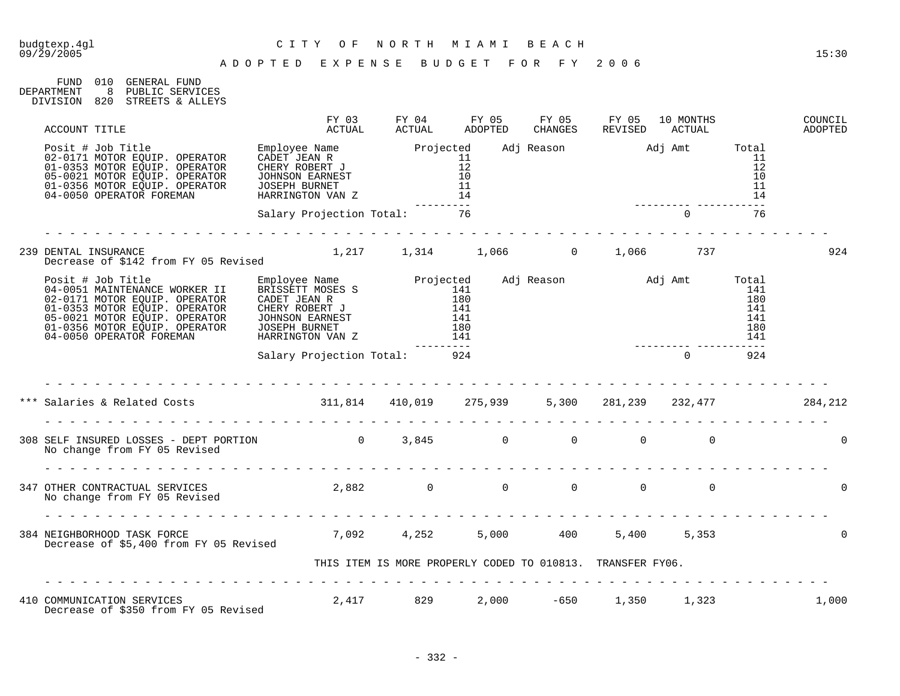| FUND 010   |     | GENERAL FUND     |
|------------|-----|------------------|
| DEPARTMENT | 8   | PUBLIC SERVICES  |
| DIVISION   | 820 | STREETS & ALLEYS |

| ACCOUNT TITLE                                                                                                                          | FY 03<br>ACTUAL                                            | FY 04<br>ACTUAL | FY 05<br>ADOPTED | FY 05<br>CHANGES | FY 05<br>REVISED       | 10 MONTHS<br>ACTUAL |     | COUNCIL<br>ADOPTED |
|----------------------------------------------------------------------------------------------------------------------------------------|------------------------------------------------------------|-----------------|------------------|------------------|------------------------|---------------------|-----|--------------------|
|                                                                                                                                        |                                                            |                 |                  |                  |                        |                     |     |                    |
|                                                                                                                                        | Salary Projection Total: 76                                |                 |                  |                  |                        | $\overline{0}$      | 76  |                    |
| 239 DENTAL INSURANCE<br>Decrease of \$142 from FY 05 Revised                                                                           | $1,217$ $1,314$ $1,066$ 0 $1,066$ 737                      |                 |                  |                  |                        |                     |     | 924                |
|                                                                                                                                        |                                                            |                 | .                |                  |                        |                     |     |                    |
|                                                                                                                                        | Salary Projection Total: 924                               |                 |                  |                  |                        | $\Omega$            | 924 |                    |
| *** Salaries & Related Costs (284,212) 311,814 410,019 275,939 5,300 281,239 232,477                                                   |                                                            |                 |                  |                  |                        |                     |     |                    |
| 308 SELF INSURED LOSSES - DEPT PORTION $0$ 3,845 $0$ 0 0 0 0<br>No change from FY 05 Revised                                           |                                                            |                 |                  |                  |                        |                     |     | $\Omega$           |
|                                                                                                                                        |                                                            |                 |                  |                  |                        |                     |     | $\Omega$           |
| -<br>384 NEIGHBORHOOD TASK FORCE 6 1990 1991 1992 1993 1994, 252 1994 100 1994 100 1996 1993<br>Decrease of \$5,400 from FY 05 Revised |                                                            |                 |                  |                  |                        |                     |     | $\Omega$           |
|                                                                                                                                        | THIS ITEM IS MORE PROPERLY CODED TO 010813. TRANSFER FY06. |                 |                  |                  |                        |                     |     |                    |
| 410 COMMUNICATION SERVICES 2,417 829<br>Decrease of \$350 from FY 05 Revised                                                           |                                                            |                 |                  |                  | 2,000 -650 1,350 1,323 |                     |     | 1,000              |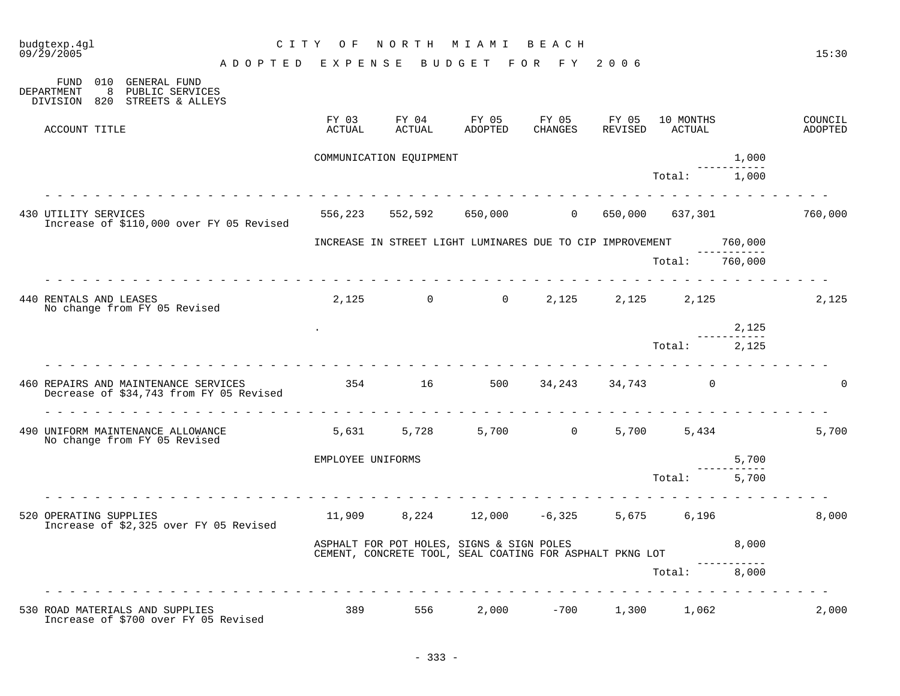| budgtexp.4gl<br>C I T Y<br>09/29/2005                                                                                                 | O F               | N O R T H               | M I A M I                                                                                             | BEACH               |         |                             |                        | 15:30                     |
|---------------------------------------------------------------------------------------------------------------------------------------|-------------------|-------------------------|-------------------------------------------------------------------------------------------------------|---------------------|---------|-----------------------------|------------------------|---------------------------|
| ADOPTED EXPENSE BUDGET FOR FY 2006<br>010 GENERAL FUND<br>FUND<br>8<br>PUBLIC SERVICES<br>DEPARTMENT<br>DIVISION 820 STREETS & ALLEYS |                   |                         |                                                                                                       |                     |         |                             |                        |                           |
| ACCOUNT TITLE                                                                                                                         | FY 03<br>ACTUAL   | FY 04<br>ACTUAL         | FY 05<br>ADOPTED                                                                                      | FY 05<br>CHANGES    | FY 05   | 10 MONTHS<br>REVISED ACTUAL |                        | COUNCIL<br><b>ADOPTED</b> |
|                                                                                                                                       |                   | COMMUNICATION EQUIPMENT |                                                                                                       |                     |         |                             | 1,000                  |                           |
|                                                                                                                                       |                   |                         |                                                                                                       |                     |         | Total:                      | 1,000                  |                           |
| 430 UTILITY SERVICES<br>Increase of \$110,000 over FY 05 Revised                                                                      | 556,223           | 552,592                 | 650,000                                                                                               | $\overline{0}$      | 650,000 | 637,301                     |                        | 760,000                   |
|                                                                                                                                       |                   |                         | INCREASE IN STREET LIGHT LUMINARES DUE TO CIP IMPROVEMENT                                             |                     |         |                             | 760,000<br>----------- |                           |
|                                                                                                                                       |                   |                         |                                                                                                       |                     |         | Total:                      | 760,000                |                           |
| 440 RENTALS AND LEASES<br>No change from FY 05 Revised                                                                                |                   |                         | $2,125$ 0 0 2,125 2,125 2,125                                                                         |                     |         |                             |                        | 2,125                     |
|                                                                                                                                       |                   |                         |                                                                                                       |                     |         |                             | 2,125<br>-----------   |                           |
|                                                                                                                                       |                   |                         |                                                                                                       |                     |         | Total: 2,125                |                        |                           |
| 460 REPAIRS AND MAINTENANCE SERVICES 6 154 16 500 34, 243 34, 743 0<br>Decrease of \$34,743 from FY 05 Revised                        |                   |                         |                                                                                                       |                     |         |                             |                        | $\Omega$                  |
| 490 UNIFORM MAINTENANCE ALLOWANCE<br>No change from FY 05 Revised                                                                     | 5,631             | 5,728                   |                                                                                                       | 5,700 0 5,700 5,434 |         |                             |                        | 5,700                     |
|                                                                                                                                       | EMPLOYEE UNIFORMS |                         |                                                                                                       |                     |         |                             | 5,700<br>-----------   |                           |
|                                                                                                                                       |                   |                         |                                                                                                       |                     |         | Total:                      | 5,700                  |                           |
| 520 OPERATING SUPPLIES<br>Increase of \$2,325 over FY 05 Revised                                                                      |                   |                         | $11,909$ 8,224 12,000 -6,325 5,675 6,196                                                              |                     |         |                             |                        | 8,000                     |
|                                                                                                                                       |                   |                         | ASPHALT FOR POT HOLES, SIGNS & SIGN POLES<br>CEMENT, CONCRETE TOOL, SEAL COATING FOR ASPHALT PKNG LOT |                     |         |                             | 8,000                  |                           |
|                                                                                                                                       |                   |                         |                                                                                                       |                     |         | Total:                      | 8,000                  |                           |
| 530 ROAD MATERIALS AND SUPPLIES<br>Increase of \$700 over FY 05 Revised                                                               | 389               | 556 700                 | 2,000                                                                                                 | $-700$              |         | 1,300 1,062                 |                        | 2,000                     |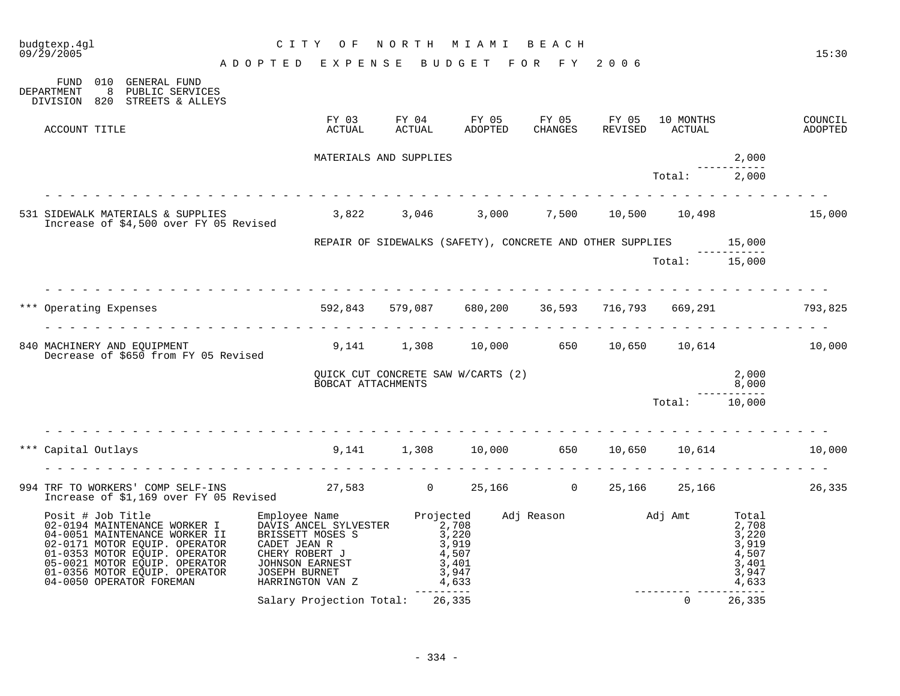| budgtexp.4ql<br>09/29/2005                                                                                                                                                                                                                         |                                                        | CITY OF                                                                                                                                                                                                                                        |            | NORTH MIAMI BEACH |  |                        |                                               | 15:30 |
|----------------------------------------------------------------------------------------------------------------------------------------------------------------------------------------------------------------------------------------------------|--------------------------------------------------------|------------------------------------------------------------------------------------------------------------------------------------------------------------------------------------------------------------------------------------------------|------------|-------------------|--|------------------------|-----------------------------------------------|-------|
|                                                                                                                                                                                                                                                    | A D O P T E D E X P E N S E B U D G E T F O R F Y 2006 |                                                                                                                                                                                                                                                |            |                   |  |                        |                                               |       |
| FUND 010 GENERAL FUND<br>DEPARTMENT<br>8 PUBLIC SERVICES<br>DIVISION 820 STREETS & ALLEYS                                                                                                                                                          |                                                        |                                                                                                                                                                                                                                                |            |                   |  |                        |                                               |       |
| ACCOUNT TITLE                                                                                                                                                                                                                                      |                                                        |                                                                                                                                                                                                                                                |            |                   |  |                        |                                               |       |
|                                                                                                                                                                                                                                                    |                                                        | MATERIALS AND SUPPLIES                                                                                                                                                                                                                         |            |                   |  |                        | 2,000                                         |       |
|                                                                                                                                                                                                                                                    |                                                        |                                                                                                                                                                                                                                                |            |                   |  | Total:                 | 2,000                                         |       |
| 531 SIDEWALK MATERIALS & SUPPLIES 3,822 3,046 3,000 7,500 10,500 10,498 15,000<br>Increase of \$4,500 over FY 05 Revised 3,822 3,046 3,000 7,500 10,500 10,498                                                                                     |                                                        |                                                                                                                                                                                                                                                |            |                   |  |                        |                                               |       |
|                                                                                                                                                                                                                                                    |                                                        | REPAIR OF SIDEWALKS (SAFETY), CONCRETE AND OTHER SUPPLIES 15,000                                                                                                                                                                               |            |                   |  |                        |                                               |       |
|                                                                                                                                                                                                                                                    |                                                        |                                                                                                                                                                                                                                                |            |                   |  | Total: 15,000          |                                               |       |
| *** Operating Expenses 69.293 592,843 579,087 680,200 36,593 716,793 669,291 793,825                                                                                                                                                               |                                                        |                                                                                                                                                                                                                                                |            |                   |  |                        |                                               |       |
| 840 MACHINERY AND EQUIPMENT (1,308 10,000 650 10,650 10,614 10,000<br>Decrease of \$650 from FY 05 Revised                                                                                                                                         |                                                        |                                                                                                                                                                                                                                                |            |                   |  |                        |                                               |       |
|                                                                                                                                                                                                                                                    |                                                        | QUICK CUT CONCRETE SAW W/CARTS (2)<br>BOBCAT ATTACHMENTS                                                                                                                                                                                       |            |                   |  |                        | $\begin{array}{r} 2,000 \\ 8,000 \end{array}$ |       |
|                                                                                                                                                                                                                                                    |                                                        |                                                                                                                                                                                                                                                |            |                   |  | Total: 10,000          |                                               |       |
| Capital Outlays 60 10,000 550 10,650 10,614 10,000 650 10,650 10,614                                                                                                                                                                               |                                                        |                                                                                                                                                                                                                                                |            |                   |  |                        |                                               |       |
|                                                                                                                                                                                                                                                    |                                                        |                                                                                                                                                                                                                                                |            |                   |  |                        |                                               |       |
| 994 TRF TO WORKERS' COMP SELF-INS 27,583 0 25,166 0 25,166 25,166 25,166 25,166 25,166 25,166 26,335                                                                                                                                               |                                                        |                                                                                                                                                                                                                                                |            |                   |  |                        |                                               |       |
| Posit # Job Title<br>02-0194 MAINTENANCE WORKER I<br>04-0051 MAINTENANCE WORKER II<br>02-0171 MOTOR EQUIP. OPERATOR<br>01-0353 MOTOR EQUIP. OPERATOR<br>05-0021 MOTOR EQUIP. OPERATOR<br>01-0356 MOTOR EQUIP. OPERATOR<br>04-0050 OPERATOR FOREMAN |                                                        | Employee Name Projected Adj Reason Adj Amt Total<br>DAVIS ANCEL SYLVESTER 2,708<br>BRISSETT MOSES S 3,220<br>CADET JEAN R 3,919<br>CHERY ROBERT J 4,507<br>JOHNSON EARNEST 3,401<br>JOSEPH BURNET 3,947<br>HARRINGTON VAN Z 4,633<br>--------- | ---------- |                   |  | ---------- ----------- |                                               |       |
|                                                                                                                                                                                                                                                    |                                                        | Salary Projection Total: 26,335                                                                                                                                                                                                                |            |                   |  | $\overline{0}$         | 26,335                                        |       |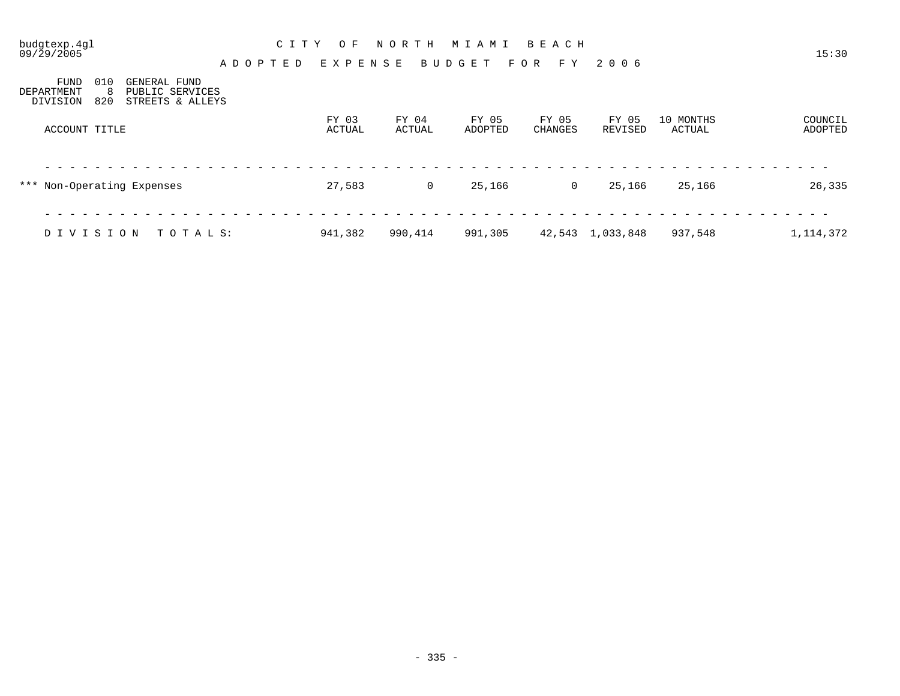| budgtexp.4gl<br>09/29/2005<br>A D O P T E D                                                               | C I T Y<br>O F<br>EXPENSE | NORTH           | M I A M I<br><b>BUDGET</b> | BEACH<br>FOR<br>F Y | 2006             |                            | 15:30              |
|-----------------------------------------------------------------------------------------------------------|---------------------------|-----------------|----------------------------|---------------------|------------------|----------------------------|--------------------|
| 010<br>FUND<br>GENERAL FUND<br>-8<br>PUBLIC SERVICES<br>DEPARTMENT<br>820<br>DIVISION<br>STREETS & ALLEYS |                           |                 |                            |                     |                  |                            |                    |
| ACCOUNT TITLE                                                                                             | FY 03<br>ACTUAL           | FY 04<br>ACTUAL | FY 05<br>ADOPTED           | FY 05<br>CHANGES    | FY 05<br>REVISED | 10 MONTHS<br><b>ACTUAL</b> | COUNCIL<br>ADOPTED |
| *** Non-Operating Expenses                                                                                | 27,583                    | 0               | 25,166                     | $\overline{0}$      | 25,166           | 25,166                     | 26,335             |
| DIVISION<br>TOTALS:                                                                                       | 941,382                   | 990,414         | 991,305                    |                     | 42,543 1,033,848 | 937,548                    | 1, 114, 372        |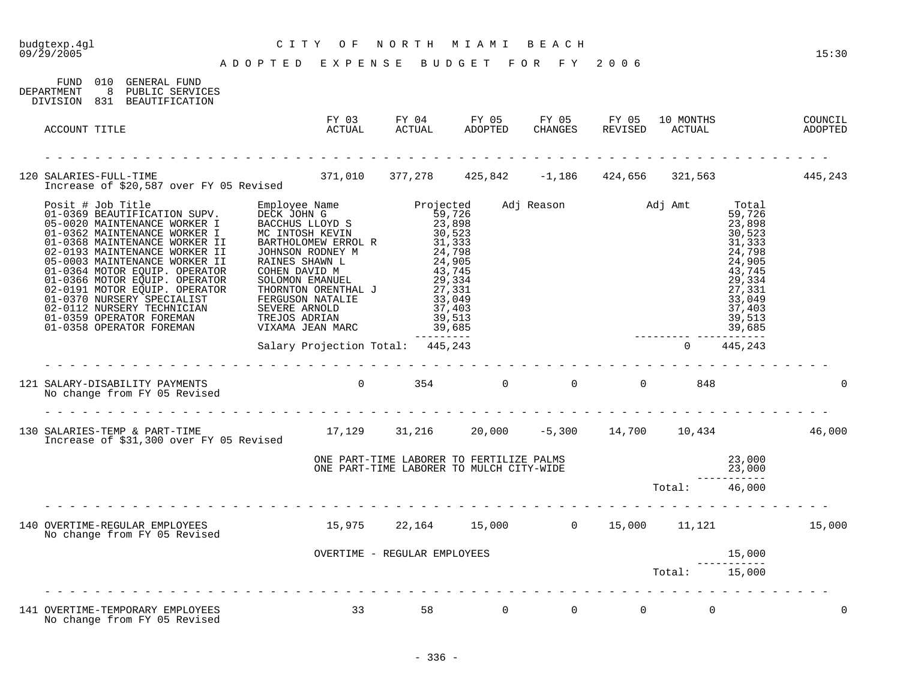| budgtexp.4gl<br>09/29/2005                                                                                                                        | CITY OF NORTH MIAMI BEACH<br>A D O P T E D E X P E N S E B U D G E T F O R F Y 2006 |                                                                                      |                                            |               |               |                                                                                                                                                         | 15:30    |
|---------------------------------------------------------------------------------------------------------------------------------------------------|-------------------------------------------------------------------------------------|--------------------------------------------------------------------------------------|--------------------------------------------|---------------|---------------|---------------------------------------------------------------------------------------------------------------------------------------------------------|----------|
| FUND 010 GENERAL FUND<br>DEPARTMENT 8 PUBLIC SERVICES<br>DIVISION 831 BEAUTIFICATION                                                              |                                                                                     |                                                                                      |                                            |               |               |                                                                                                                                                         |          |
| ACCOUNT TITLE                                                                                                                                     |                                                                                     |                                                                                      |                                            |               |               |                                                                                                                                                         |          |
|                                                                                                                                                   |                                                                                     |                                                                                      |                                            |               |               |                                                                                                                                                         |          |
| 120 SALARIES-FULL-TIME 105 Revised 371,010 377,278 425,842 -1,186 424,656 321,563 445,243                                                         |                                                                                     |                                                                                      |                                            |               |               |                                                                                                                                                         |          |
|                                                                                                                                                   |                                                                                     |                                                                                      | $39,513$<br>39,685<br>---------<br>445 242 |               |               | Total<br>59,726<br>23,898<br>30,523<br>31,333<br>24,798<br>24,905<br>43,745<br>29,334<br>27,331<br>33,049<br>37,403<br>39,513<br>39,685<br>------------ |          |
|                                                                                                                                                   | Salary Projection Total: 445,243                                                    |                                                                                      |                                            |               |               | $0\qquad 445,243$                                                                                                                                       |          |
| 121 SALARY-DISABILITY PAYMENTS<br>No change from FY 05 Revised<br>No change from FY 05 Revised                                                    |                                                                                     |                                                                                      |                                            |               |               |                                                                                                                                                         |          |
| 130 SALARIES-TEMP & PART-TIME 17,129 31,216 20,000 -5,300 14,700 10,434 46,000<br>Increase of \$31,300 over FY 05 Revised                         |                                                                                     |                                                                                      |                                            |               |               |                                                                                                                                                         |          |
|                                                                                                                                                   |                                                                                     | ONE PART-TIME LABORER TO FERTILIZE PALMS<br>ONE PART-TIME LABORER TO MULCH CITY-WIDE |                                            |               |               |                                                                                                                                                         |          |
|                                                                                                                                                   |                                                                                     |                                                                                      |                                            | Total: 46,000 |               |                                                                                                                                                         |          |
| 140 OVERTIME-REGULAR EMPLOYEES 15,975 22,164 15,000 0 15,000 11,121 15,000 15,000<br>No change from FY 05 Revised<br>No change from FY 05 Revised |                                                                                     |                                                                                      |                                            |               |               |                                                                                                                                                         |          |
|                                                                                                                                                   |                                                                                     | OVERTIME - REGULAR EMPLOYEES                                                         |                                            |               |               | 15,000                                                                                                                                                  |          |
|                                                                                                                                                   |                                                                                     |                                                                                      |                                            |               | Total: 15,000 |                                                                                                                                                         |          |
| 141 OVERTIME-TEMPORARY EMPLOYEES<br>No change from FY 05 Revised                                                                                  | $33 \t 58 \t 0 \t 0 \t 0 \t 0$                                                      |                                                                                      |                                            |               |               |                                                                                                                                                         | $\Omega$ |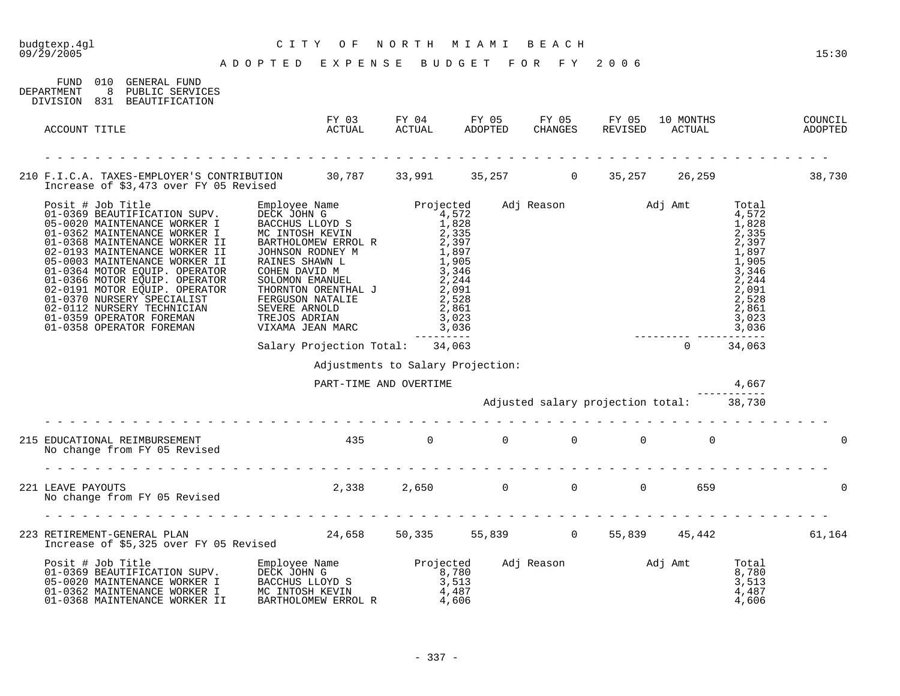| budgtexp.4gl<br>$09/\bar{2}9/2005$                                                                                                                                                                                                   | CITY OF<br>ADOPTED EXPENSE BUDGET FOR FY 2006 | NORTH MIAMI BEACH |  |                                          |              |       | 15:30    |
|--------------------------------------------------------------------------------------------------------------------------------------------------------------------------------------------------------------------------------------|-----------------------------------------------|-------------------|--|------------------------------------------|--------------|-------|----------|
| FUND 010 GENERAL FUND<br>DEPARTMENT<br>8 PUBLIC SERVICES<br>DIVISION 831 BEAUTIFICATION                                                                                                                                              |                                               |                   |  |                                          |              |       |          |
| ACCOUNT TITLE                                                                                                                                                                                                                        |                                               |                   |  |                                          |              |       |          |
|                                                                                                                                                                                                                                      |                                               |                   |  |                                          |              |       |          |
| 210 F.I.C.A. TAXES-EMPLOYER'S CONTRIBUTION 30,787 33,991 35,257 0 35,257 26,259 38,730<br>Increase of \$3,473 over FY 05 Revised                                                                                                     |                                               |                   |  |                                          |              |       |          |
| Posit # Job Title<br>01-0369 BEAUTIFICATION SUPV.<br>05-0020 MAINTENANCE WORKER I<br>01-0362 MAINTENANCE WORKER I<br>01-0368 MAINTENANCE WORKER II                                                                                   |                                               | --------          |  |                                          |              |       |          |
|                                                                                                                                                                                                                                      | Salary Projection Total: 34,063               |                   |  |                                          | $0 \t34,063$ |       |          |
|                                                                                                                                                                                                                                      | Adjustments to Salary Projection:             |                   |  |                                          |              |       |          |
|                                                                                                                                                                                                                                      | PART-TIME AND OVERTIME                        |                   |  |                                          |              | 4,667 |          |
|                                                                                                                                                                                                                                      |                                               |                   |  | Adjusted salary projection total: 38,730 |              |       |          |
| 215 EDUCATIONAL REIMBURSEMENT<br>No change from FY 05 Revised                                                                                                                                                                        | $435$ 0 0 0 0 0 0                             |                   |  |                                          |              |       | $\Omega$ |
|                                                                                                                                                                                                                                      |                                               |                   |  |                                          |              |       |          |
| 221 LEAVE PAYOUTS<br>No change from FY 05 Revised                                                                                                                                                                                    | 2,338 2,650 0 0 0 659                         |                   |  |                                          |              |       | $\Omega$ |
|                                                                                                                                                                                                                                      |                                               |                   |  |                                          |              |       |          |
| 223 RETIREMENT-GENERAL PLAN 24,658 50,335 55,839 0 55,839 45,442 61,164<br>Increase of \$5,325 over FY 05 Revised 24,658 50,335 55,839 0 55,839 45,442                                                                               |                                               |                   |  |                                          |              |       |          |
| Posit # Job Title Employee Name Projected Adj Reason and J Amt Total Continues and Di-0369 BEAUTIFICATION SUPV.<br>05-0020 MAINTENANCE WORKER I BACCHUS LLOYD S 3,513<br>01-0362 MAINTENANCE WORKER I MC INTOSH KEVIN 4,487<br>01-03 |                                               |                   |  |                                          |              |       |          |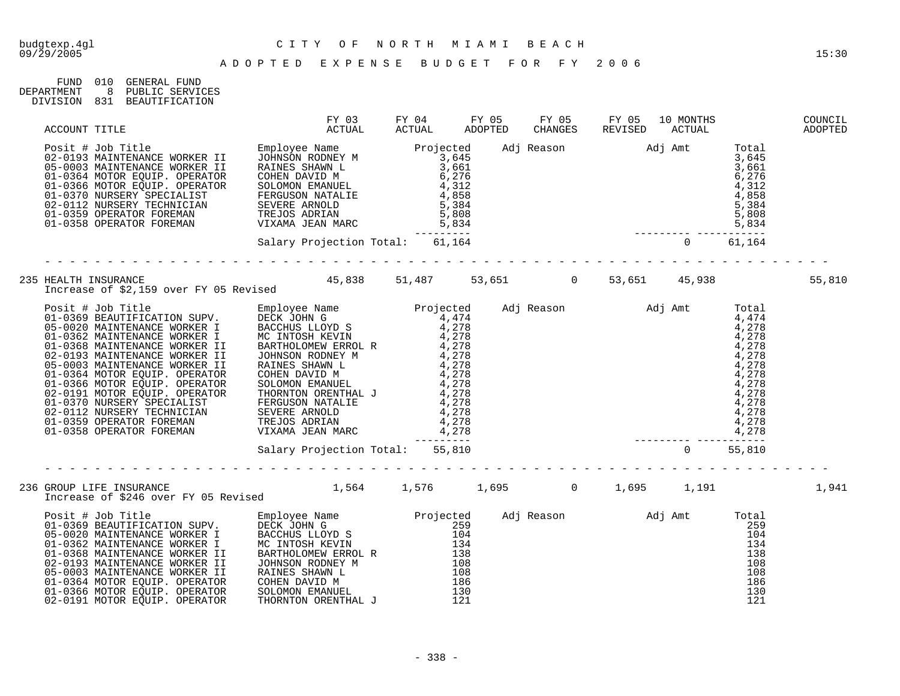| FIND.      | 01 O | GENERAL FUND    |
|------------|------|-----------------|
| DEPARTMENT |      | PUBLIC SERVICES |
| DIVISION   | 831  | BEAUTIFICATION  |

| ACCOUNT TITLE                                                                                                                                                                                                                          |  |  |  | FY 03 FY 04 FY 05 FY 05 FY 05 10 MONTHS<br>ACTUAL ACTUAL ADOPTED CHANGES REVISED ACTUAL | COUNCIL<br>ADOPTED |
|----------------------------------------------------------------------------------------------------------------------------------------------------------------------------------------------------------------------------------------|--|--|--|-----------------------------------------------------------------------------------------|--------------------|
| Posit # Job Title Employee Name Projected Adj Reason Adj Amt Total<br>02-0193 MAINTENANCE WORKER II JOHNSON RODNEY M<br>01-0356 MOTOR EQUIP. OPERATOR COHEN DAVID M<br>01-0356 MOTOR DOUIP. OPERATOR COHEN DAVID M<br>01-0356 MOTOR DO |  |  |  |                                                                                         |                    |
|                                                                                                                                                                                                                                        |  |  |  |                                                                                         |                    |
| 235 HEALTH INSURANCE<br>15,810 Therease of \$2,159 over FY 05 Revised 45,838 51,487 53,651 10 53,651 45,938                                                                                                                            |  |  |  |                                                                                         |                    |
| Example of $\neq 0.12$ and the stationary over the stationary over the stationary over the stationary over the stationary over the stationary over the stationary over the stationary over the stationary over the stationary o        |  |  |  |                                                                                         |                    |
|                                                                                                                                                                                                                                        |  |  |  |                                                                                         |                    |
|                                                                                                                                                                                                                                        |  |  |  |                                                                                         | 1,941              |
|                                                                                                                                                                                                                                        |  |  |  |                                                                                         |                    |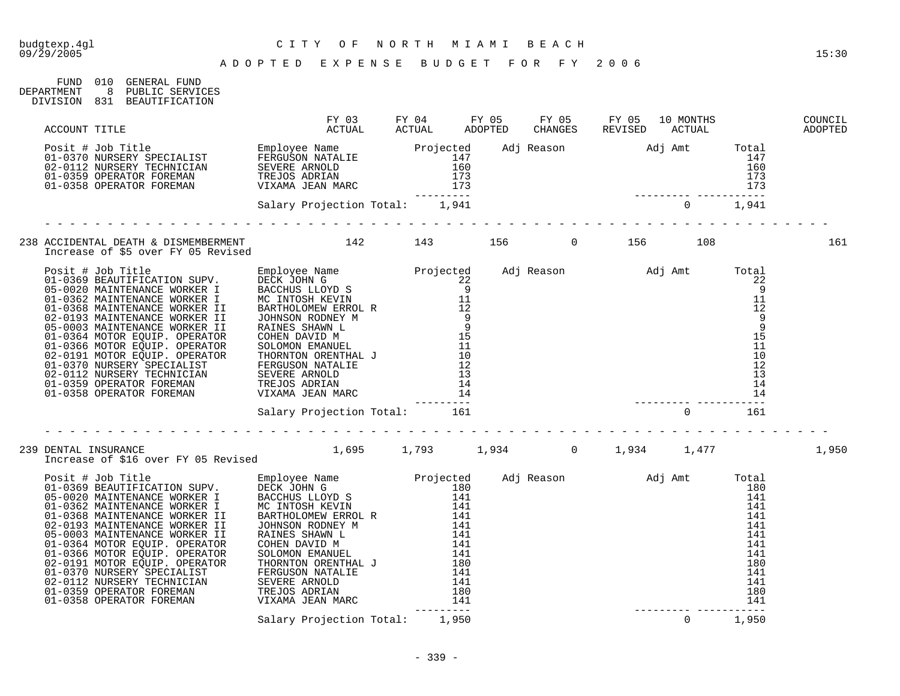FUND 010 GENERAL FUND

## budgtexp.4gl C I T Y O F N O R T H M I A M I B E A C H

| DEPARTMENT | 8 PUBLIC SERVICES<br>DIVISION 831 BEAUTIFICATION                                                                                                                                                                                                                                                                                                                                                                                                            |  |  |  |  |       |
|------------|-------------------------------------------------------------------------------------------------------------------------------------------------------------------------------------------------------------------------------------------------------------------------------------------------------------------------------------------------------------------------------------------------------------------------------------------------------------|--|--|--|--|-------|
|            |                                                                                                                                                                                                                                                                                                                                                                                                                                                             |  |  |  |  |       |
|            | $\begin{tabular}{lcccc} \texttt{ACCOUNT} & \texttt{FTLE} & \texttt{FY 03} & \texttt{FY 04} & \texttt{FY 05} & \texttt{FY 05} & \texttt{FY 05} & \texttt{DY ONNTRS} & \texttt{COUNCIL} \\ \texttt{Posit # Job Title} & \texttt{Employee Name} & \texttt{Enc} \texttt{TOfected} & \texttt{Adj Reason} & \texttt{REUSED} & \texttt{CEINISED} & \texttt{ACTUAL} & \texttt{ADOPTED} \\ 01-0370 NURSERY SECHNICIAN & \texttt{SEVERE BENDON NATALIE} & \texttt{14$ |  |  |  |  |       |
|            |                                                                                                                                                                                                                                                                                                                                                                                                                                                             |  |  |  |  |       |
|            |                                                                                                                                                                                                                                                                                                                                                                                                                                                             |  |  |  |  | 161   |
|            |                                                                                                                                                                                                                                                                                                                                                                                                                                                             |  |  |  |  |       |
|            |                                                                                                                                                                                                                                                                                                                                                                                                                                                             |  |  |  |  |       |
|            |                                                                                                                                                                                                                                                                                                                                                                                                                                                             |  |  |  |  |       |
|            | DENTAL INSURANCE<br>Increase of \$16 over FY 05 Revised 1,695 1,793 1,934 1,934 1,934 1,477<br>239 DENTAL INSURANCE                                                                                                                                                                                                                                                                                                                                         |  |  |  |  | 1,950 |
|            |                                                                                                                                                                                                                                                                                                                                                                                                                                                             |  |  |  |  |       |
|            |                                                                                                                                                                                                                                                                                                                                                                                                                                                             |  |  |  |  |       |

Salary Projection Total: 1,950 0 1,950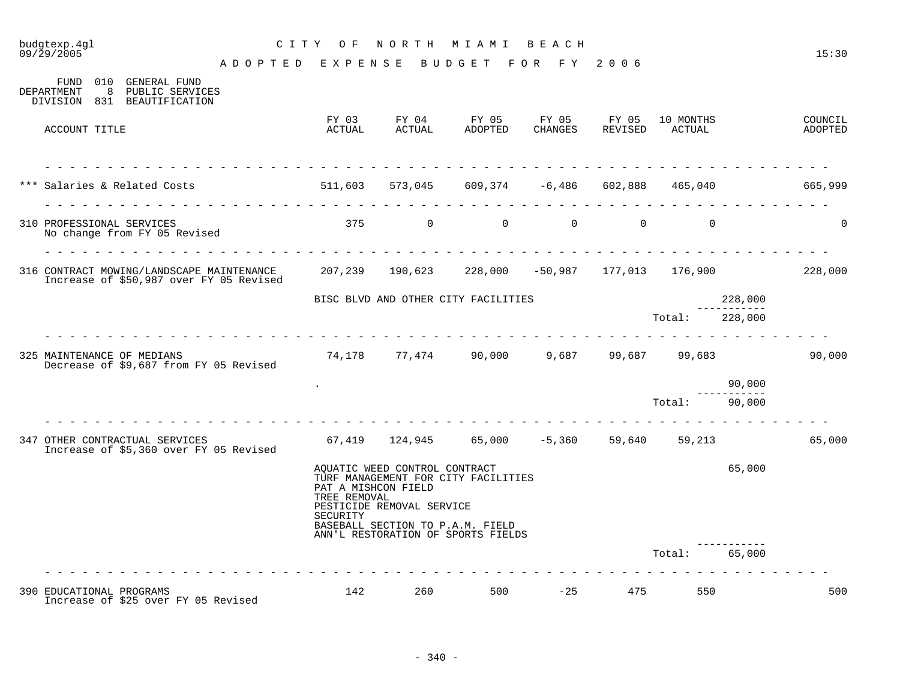| budgtexp.4gl<br>09/29/2005 |                                                                                                                                              | C I T Y<br>O F              |                                                                                   | NORTH MIAMI                                                                                                   | ВЕАСН            |                  |                     |         | 15:30              |
|----------------------------|----------------------------------------------------------------------------------------------------------------------------------------------|-----------------------------|-----------------------------------------------------------------------------------|---------------------------------------------------------------------------------------------------------------|------------------|------------------|---------------------|---------|--------------------|
|                            |                                                                                                                                              | A D O P T E D E X P E N S E |                                                                                   | BUDGET FOR FY 2006                                                                                            |                  |                  |                     |         |                    |
| DEPARTMENT                 | FUND 010 GENERAL FUND<br>8 PUBLIC SERVICES<br>DIVISION 831 BEAUTIFICATION                                                                    |                             |                                                                                   |                                                                                                               |                  |                  |                     |         |                    |
| ACCOUNT TITLE              |                                                                                                                                              | FY 03<br>ACTUAL             | FY 04<br>ACTUAL                                                                   | FY 05<br>ADOPTED                                                                                              | FY 05<br>CHANGES | FY 05<br>REVISED | 10 MONTHS<br>ACTUAL |         | COUNCIL<br>ADOPTED |
|                            | *** Salaries & Related Costs 65,040 511,603 573,045 609,374 -6,486 602,888 465,040                                                           |                             |                                                                                   |                                                                                                               |                  |                  |                     |         | 665,999            |
| 310 PROFESSIONAL SERVICES  | No change from FY 05 Revised                                                                                                                 | .                           |                                                                                   | 375 0 0 0 0                                                                                                   |                  |                  | $\Omega$            |         | $\Omega$           |
|                            | 316 CONTRACT MOWING/LANDSCAPE MAINTENANCE 207,239 190,623 228,000 -50,987 177,013 176,900 228,000<br>Increase of \$50,987 over FY 05 Revised |                             |                                                                                   |                                                                                                               |                  |                  |                     |         |                    |
|                            |                                                                                                                                              |                             |                                                                                   | BISC BLVD AND OTHER CITY FACILITIES                                                                           |                  |                  |                     | 228,000 |                    |
|                            |                                                                                                                                              |                             |                                                                                   |                                                                                                               |                  |                  | Total:              | 228,000 |                    |
| 325 MAINTENANCE OF MEDIANS | Decrease of \$9,687 from FY 05 Revised                                                                                                       |                             |                                                                                   | 74,178 77,474 90,000                                                                                          |                  |                  | 9,687 99,687 99,683 |         | 90,000             |
|                            |                                                                                                                                              |                             |                                                                                   |                                                                                                               |                  |                  |                     | 90,000  |                    |
|                            |                                                                                                                                              |                             |                                                                                   |                                                                                                               |                  |                  | Total:              | 90,000  |                    |
|                            | 347 OTHER CONTRACTUAL SERVICES<br>Increase of \$5,360 over FY 05 Revised                                                                     |                             |                                                                                   | $67,419$ $124,945$ $65,000$ $-5,360$ $59,640$ $59,213$                                                        |                  |                  |                     |         | 65,000             |
|                            |                                                                                                                                              | TREE REMOVAL<br>SECURITY    | AQUATIC WEED CONTROL CONTRACT<br>PAT A MISHCON FIELD<br>PESTICIDE REMOVAL SERVICE | TURF MANAGEMENT FOR CITY FACILITIES<br>BASEBALL SECTION TO P.A.M. FIELD<br>ANN'L RESTORATION OF SPORTS FIELDS |                  |                  |                     | 65,000  |                    |
|                            |                                                                                                                                              |                             |                                                                                   |                                                                                                               |                  |                  | Total:              | 65,000  |                    |
| 390 EDUCATIONAL PROGRAMS   |                                                                                                                                              | 142                         | 260                                                                               | 500                                                                                                           | $-25$            | 475              | 550                 |         | 500                |

Increase of \$25 over FY 05 Revised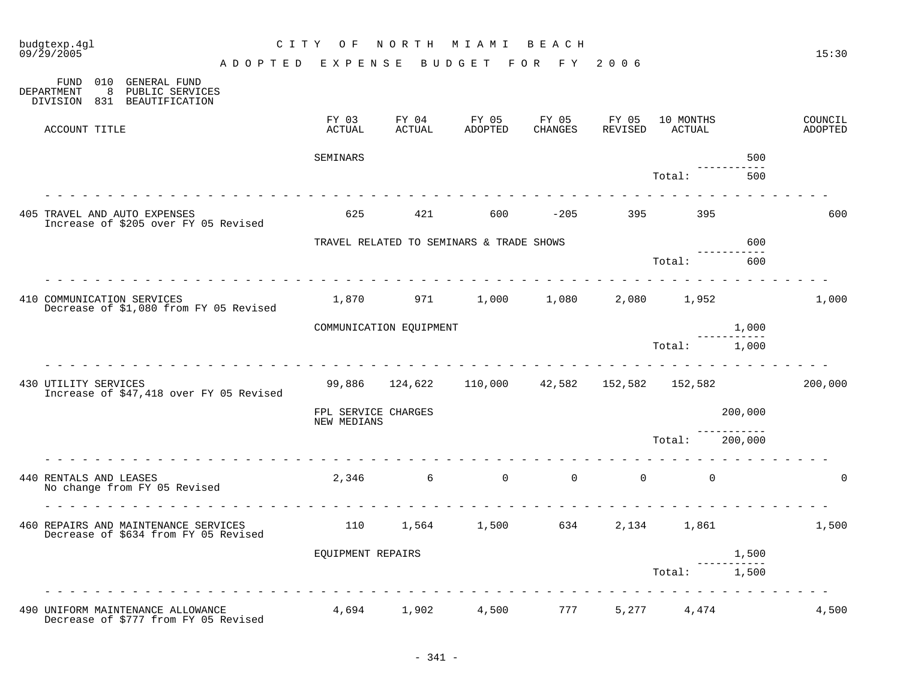| budgtexp.4gl<br>09/29/2005                                                   |                                         | C I T Y<br>O F                     | NORTH                   | MIAMI                                         | BEACH            |                  |                     |         | 15:30              |
|------------------------------------------------------------------------------|-----------------------------------------|------------------------------------|-------------------------|-----------------------------------------------|------------------|------------------|---------------------|---------|--------------------|
|                                                                              |                                         | ADOPTED EXPENSE                    |                         | BUDGET FOR FY 2006                            |                  |                  |                     |         |                    |
| 010 GENERAL FUND<br>FUND<br>DEPARTMENT<br>8<br>DIVISION 831 BEAUTIFICATION   | PUBLIC SERVICES                         |                                    |                         |                                               |                  |                  |                     |         |                    |
| ACCOUNT TITLE                                                                |                                         | FY 03<br>ACTUAL                    | FY 04<br>ACTUAL         | FY 05<br>ADOPTED                              | FY 05<br>CHANGES | FY 05<br>REVISED | 10 MONTHS<br>ACTUAL |         | COUNCIL<br>ADOPTED |
|                                                                              |                                         | SEMINARS                           |                         |                                               |                  |                  |                     | 500     |                    |
|                                                                              |                                         |                                    |                         |                                               |                  |                  | Total:              | 500     |                    |
|                                                                              |                                         |                                    |                         |                                               |                  |                  |                     |         |                    |
| 405 TRAVEL AND AUTO EXPENSES<br>Increase of \$205 over FY 05 Revised         |                                         | 625                                | 421                     | 600                                           | $-205$           |                  | 395                 |         | 600                |
|                                                                              |                                         |                                    |                         | TRAVEL RELATED TO SEMINARS & TRADE SHOWS      |                  |                  |                     | 600     |                    |
|                                                                              |                                         |                                    |                         |                                               |                  |                  | Total:              | 600     |                    |
| 410 COMMUNICATION SERVICES                                                   | Decrease of \$1,080 from FY 05 Revised  | 1,870                              | 971                     | 1,000                                         | 1,080            |                  | 2,080 1,952         |         | 1,000              |
|                                                                              |                                         |                                    | COMMUNICATION EQUIPMENT |                                               |                  |                  |                     | 1,000   |                    |
|                                                                              |                                         |                                    |                         |                                               |                  |                  | Total:              | 1,000   |                    |
| 430 UTILITY SERVICES                                                         | Increase of \$47,418 over FY 05 Revised |                                    |                         | 99,886 124,622 110,000 42,582 152,582 152,582 |                  |                  |                     |         | 200,000            |
|                                                                              |                                         | FPL SERVICE CHARGES<br>NEW MEDIANS |                         |                                               |                  |                  |                     | 200,000 |                    |
|                                                                              |                                         |                                    |                         |                                               |                  |                  | Total:              | 200,000 |                    |
| 440 RENTALS AND LEASES<br>No change from FY 05 Revised                       |                                         | 2,346                              |                         | $\overline{0}$<br>$6\overline{6}$             | $\overline{0}$   | $\overline{0}$   | $\mathbf 0$         |         | ∩                  |
| 460 REPAIRS AND MAINTENANCE SERVICES<br>Decrease of \$634 from FY 05 Revised |                                         | 110                                | 1,564                   | 1,500                                         | 634              | 2,134            | 1,861               |         | 1,500              |
|                                                                              |                                         | EQUIPMENT REPAIRS                  |                         |                                               |                  |                  |                     | 1,500   |                    |
|                                                                              |                                         |                                    |                         |                                               |                  |                  | Total:              | 1,500   |                    |
| 490 UNIFORM MAINTENANCE ALLOWANCE<br>Decrease of \$777 from FY 05 Revised    |                                         |                                    | 4,694 1,902             | 4,500                                         | 777              |                  | 5,277 4,474         |         | 4,500              |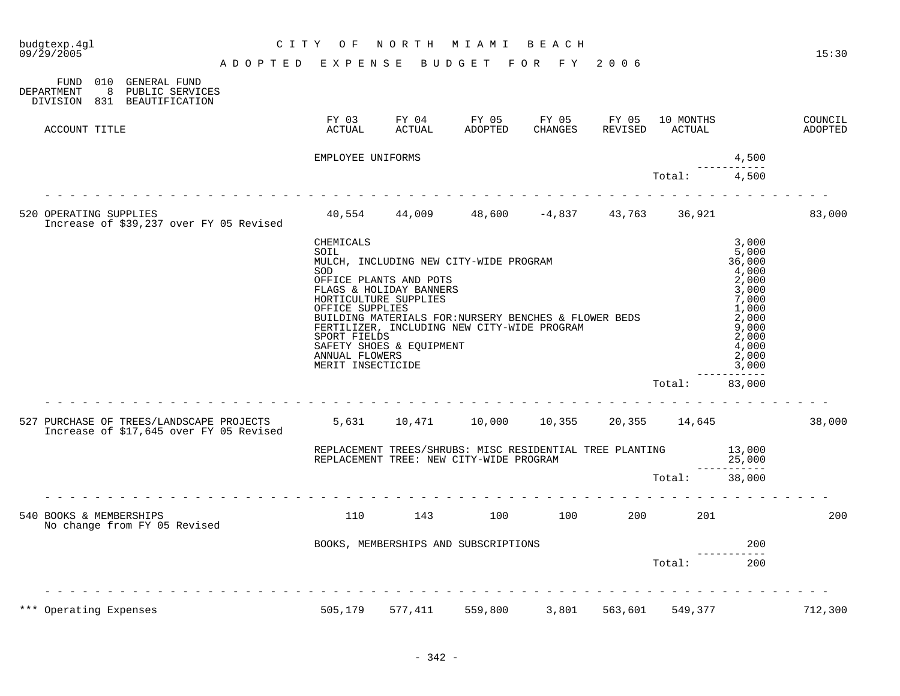| budgtexp.4gl<br>09/29/2005                                                                                           | C I T Y<br>NORTH<br>BEACH<br>O F<br>M I A M I                                                      |                                                                                                        |                                                                                                                                                |                  |                         |                     |                                                                                                                             |                    |  |
|----------------------------------------------------------------------------------------------------------------------|----------------------------------------------------------------------------------------------------|--------------------------------------------------------------------------------------------------------|------------------------------------------------------------------------------------------------------------------------------------------------|------------------|-------------------------|---------------------|-----------------------------------------------------------------------------------------------------------------------------|--------------------|--|
| ADOPTED                                                                                                              | EXPENSE                                                                                            |                                                                                                        | BUDGET                                                                                                                                         | FOR FY           | 2006                    |                     |                                                                                                                             | 15:30              |  |
| 010<br><b>GENERAL FUND</b><br>FUND<br>DEPARTMENT<br>8<br>PUBLIC SERVICES<br><b>BEAUTIFICATION</b><br>DIVISION<br>831 |                                                                                                    |                                                                                                        |                                                                                                                                                |                  |                         |                     |                                                                                                                             |                    |  |
| ACCOUNT TITLE                                                                                                        | FY 03<br>ACTUAL                                                                                    | FY 04<br>ACTUAL                                                                                        | FY 05<br>ADOPTED                                                                                                                               | FY 05<br>CHANGES | FY 05<br><b>REVISED</b> | 10 MONTHS<br>ACTUAL |                                                                                                                             | COUNCIL<br>ADOPTED |  |
|                                                                                                                      | EMPLOYEE UNIFORMS                                                                                  |                                                                                                        |                                                                                                                                                |                  |                         |                     | 4,500                                                                                                                       |                    |  |
|                                                                                                                      |                                                                                                    |                                                                                                        |                                                                                                                                                |                  |                         | Total:              | 4,500                                                                                                                       |                    |  |
| 520 OPERATING SUPPLIES<br>Increase of \$39,237 over FY 05 Revised                                                    |                                                                                                    |                                                                                                        | $40,554$ $44,009$ $48,600$ $-4,837$                                                                                                            |                  |                         | 43,763 36,921       |                                                                                                                             | 83,000             |  |
|                                                                                                                      | CHEMICALS<br>SOIL<br>SOD<br>OFFICE SUPPLIES<br>SPORT FIELDS<br>ANNUAL FLOWERS<br>MERIT INSECTICIDE | OFFICE PLANTS AND POTS<br>FLAGS & HOLIDAY BANNERS<br>HORTICULTURE SUPPLIES<br>SAFETY SHOES & EQUIPMENT | MULCH, INCLUDING NEW CITY-WIDE PROGRAM<br>BUILDING MATERIALS FOR: NURSERY BENCHES & FLOWER BEDS<br>FERTILIZER, INCLUDING NEW CITY-WIDE PROGRAM |                  |                         |                     | 3.000<br>5,000<br>36,000<br>4,000<br>2,000<br>3,000<br>7,000<br>1,000<br>2,000<br>9,000<br>2,000<br>4,000<br>2,000<br>3,000 |                    |  |
|                                                                                                                      |                                                                                                    |                                                                                                        |                                                                                                                                                |                  |                         | Total:              | -----<br>83,000                                                                                                             |                    |  |
| 527 PURCHASE OF TREES/LANDSCAPE PROJECTS<br>Increase of \$17,645 over FY 05 Revised                                  | 5,631                                                                                              | 10,471                                                                                                 | 10,000                                                                                                                                         | 10,355           |                         | 20,355 14,645       |                                                                                                                             | 38,000             |  |
|                                                                                                                      |                                                                                                    |                                                                                                        | REPLACEMENT TREES/SHRUBS: MISC RESIDENTIAL TREE PLANTING<br>REPLACEMENT TREE: NEW CITY-WIDE PROGRAM                                            |                  |                         |                     | 13,000<br>25,000                                                                                                            |                    |  |
|                                                                                                                      |                                                                                                    |                                                                                                        |                                                                                                                                                |                  |                         | Total:              | 38,000                                                                                                                      |                    |  |
| 540 BOOKS & MEMBERSHIPS<br>No change from FY 05 Revised                                                              | 110                                                                                                | 143                                                                                                    | 100                                                                                                                                            | 100              | 200                     | 201                 |                                                                                                                             | 200                |  |
|                                                                                                                      |                                                                                                    |                                                                                                        | BOOKS, MEMBERSHIPS AND SUBSCRIPTIONS                                                                                                           |                  |                         |                     | 200                                                                                                                         |                    |  |
|                                                                                                                      |                                                                                                    |                                                                                                        |                                                                                                                                                |                  |                         | Total:              | 200                                                                                                                         |                    |  |
|                                                                                                                      |                                                                                                    |                                                                                                        |                                                                                                                                                |                  |                         |                     |                                                                                                                             |                    |  |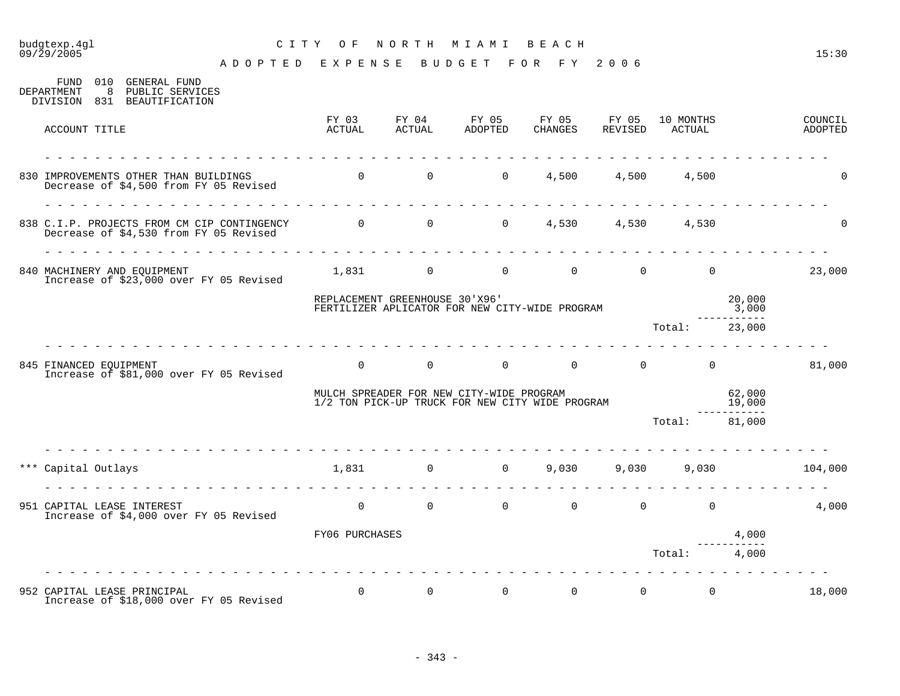## budgtexp.4gl C I T Y O F N O R T H M I A M I B E A C H

A D O P T E D E X P E N S E B U D G E T F O R F Y 2 0 0 6

|     | 010<br><b>GENERAL FUND</b><br>FUND<br>-8<br>PUBLIC SERVICES<br>DEPARTMENT<br>DIVISION 831 BEAUTIFICATION              |                                                                                             |                                     |                                                                                  |                       |       |                                     |                 |                    |
|-----|-----------------------------------------------------------------------------------------------------------------------|---------------------------------------------------------------------------------------------|-------------------------------------|----------------------------------------------------------------------------------|-----------------------|-------|-------------------------------------|-----------------|--------------------|
|     | ACCOUNT TITLE                                                                                                         | FY 03<br>ACTUAL                                                                             | ACTUAL                              | FY 04 FY 05 FY 05 FY 05<br>ADOPTED                                               | CHANGES               |       | 10 MONTHS<br>REVISED ACTUAL         |                 | COUNCIL<br>ADOPTED |
|     | 830 IMPROVEMENTS OTHER THAN BUILDINGS<br>Decrease of \$4,500 from FY 05 Revised                                       |                                                                                             | $\begin{matrix} 0 & 0 \end{matrix}$ | $\Omega$                                                                         | 4,500                 | 4,500 | 4,500                               |                 |                    |
|     | 838 C.I.P. PROJECTS FROM CM CIP CONTINGENCY 0 0 0 0 4,530 4,530 4,530 4,530<br>Decrease of \$4,530 from FY 05 Revised |                                                                                             |                                     |                                                                                  |                       |       |                                     |                 | $\Omega$           |
|     | 840 MACHINERY AND EQUIPMENT<br>Increase of \$23,000 over FY 05 Revised                                                |                                                                                             |                                     | $1,831$ 0 0 0 0 0 0                                                              |                       |       |                                     |                 | 23,000             |
|     |                                                                                                                       | REPLACEMENT GREENHOUSE 30'X96'                                                              |                                     | REPLACEMENT GREENBOODS OU ALLY<br>FERTILIZER APLICATOR FOR NEW CITY-WIDE PROGRAM |                       |       |                                     | 20,000<br>3,000 |                    |
|     |                                                                                                                       |                                                                                             |                                     |                                                                                  |                       |       | Total: 23,000                       |                 |                    |
|     | 845 FINANCED EOUIPMENT<br>Increase of \$81,000 over FY 05 Revised                                                     | $\Omega$                                                                                    |                                     | $\begin{matrix}0&0&0\end{matrix}$                                                |                       |       | $0 \qquad \qquad 0$                 |                 | 81,000             |
|     |                                                                                                                       | MULCH SPREADER FOR NEW CITY-WIDE PROGRAM<br>1/2 TON PICK-UP TRUCK FOR NEW CITY WIDE PROGRAM |                                     |                                                                                  | 62,000<br>19,000      |       |                                     |                 |                    |
|     |                                                                                                                       |                                                                                             |                                     |                                                                                  |                       |       | Total: 81,000                       |                 |                    |
| *** | Capital Outlays<br>.                                                                                                  |                                                                                             | 1,831 0                             |                                                                                  | $0 \t 9,030 \t 9,030$ |       | 9,030                               |                 | 104,000            |
|     | 951 CAPITAL LEASE INTEREST<br>Increase of \$4,000 over FY 05 Revised                                                  |                                                                                             |                                     | $\begin{matrix} 0 & 0 & 0 & 0 \end{matrix}$                                      |                       |       | $\overline{0}$                      | $\Omega$        | 4,000              |
|     |                                                                                                                       | FY06 PURCHASES                                                                              |                                     |                                                                                  |                       |       |                                     | 4,000           |                    |
|     |                                                                                                                       |                                                                                             |                                     |                                                                                  |                       |       | Total:                              | 4,000           |                    |
|     | 952 CAPITAL LEASE PRINCIPAL<br>Increase of \$18,000 over FY 05 Revised                                                | $\Omega$                                                                                    | $\overline{0}$                      | $\overline{0}$                                                                   | $\overline{0}$        |       | $0 \qquad \qquad$<br>$\overline{0}$ |                 | 18,000             |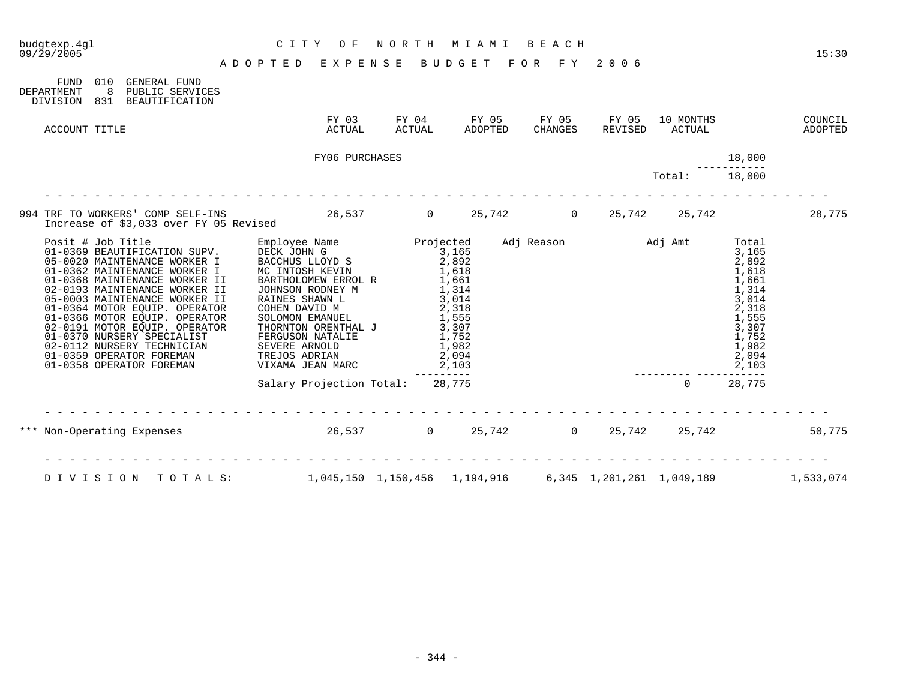| budgtexp.4ql<br>09/29/2005 |                                                                                                                                                                                                                                                                                                                                                                                                                                             | C I T Y<br>O F<br>ADOPTED EXPENSE BUDGET FOR FY 2006                                                                                                                                                                                                                                               | NORTH                                                                                                         | M I A M I                                 | BEACH                        |                           |                     |                                                                                                                            | 15:30              |
|----------------------------|---------------------------------------------------------------------------------------------------------------------------------------------------------------------------------------------------------------------------------------------------------------------------------------------------------------------------------------------------------------------------------------------------------------------------------------------|----------------------------------------------------------------------------------------------------------------------------------------------------------------------------------------------------------------------------------------------------------------------------------------------------|---------------------------------------------------------------------------------------------------------------|-------------------------------------------|------------------------------|---------------------------|---------------------|----------------------------------------------------------------------------------------------------------------------------|--------------------|
| FUND<br>DEPARTMENT         | 010<br>GENERAL FUND<br>8<br>PUBLIC SERVICES<br>DIVISION 831 BEAUTIFICATION                                                                                                                                                                                                                                                                                                                                                                  |                                                                                                                                                                                                                                                                                                    |                                                                                                               |                                           |                              |                           |                     |                                                                                                                            |                    |
| ACCOUNT TITLE              |                                                                                                                                                                                                                                                                                                                                                                                                                                             | FY 03<br>ACTUAL                                                                                                                                                                                                                                                                                    | FY 04                                                                                                         | ACTUAL ADOPTED                            | FY 05 FY 05 FY 05<br>CHANGES | REVISED                   | 10 MONTHS<br>ACTUAL |                                                                                                                            | COUNCIL<br>ADOPTED |
|                            |                                                                                                                                                                                                                                                                                                                                                                                                                                             | FY06 PURCHASES                                                                                                                                                                                                                                                                                     |                                                                                                               |                                           |                              |                           |                     | 18,000                                                                                                                     |                    |
|                            |                                                                                                                                                                                                                                                                                                                                                                                                                                             |                                                                                                                                                                                                                                                                                                    |                                                                                                               |                                           |                              |                           | Total:              | 18,000                                                                                                                     |                    |
|                            | Increase of \$3,033 over FY 05 Revised                                                                                                                                                                                                                                                                                                                                                                                                      | 994 TRF TO WORKERS' COMP SELF-INS 26,537 0 25,742 0 25,742 25,742                                                                                                                                                                                                                                  |                                                                                                               |                                           |                              |                           |                     |                                                                                                                            | 28,775             |
|                            | Posit # Job Title<br>01-0369 BEAUTIFICATION SUPV.<br>05-0020 MAINTENANCE WORKER I<br>01-0362 MAINTENANCE WORKER I<br>01-0368 MAINTENANCE WORKER II<br>02-0193 MAINTENANCE WORKER II<br>05-0003 MAINTENANCE WORKER II<br>01-0364 MOTOR EQUIP. OPERATOR<br>01-0366 MOTOR EQUIP. OPERATOR<br>02-0191 MOTOR EQUIP. OPERATOR<br>01-0370 NURSERY SPECIALIST<br>02-0112 NURSERY TECHNICIAN<br>01-0359 OPERATOR FOREMAN<br>01-0358 OPERATOR FOREMAN | Employee Name Projected<br>DECK JOHN G<br>BACCHUS LLOYD S<br>MC INTOSH KEVIN<br>BARTHOLOMEW ERROL R<br>JOHNSON RODNEY M<br>RAINES SHAWN L<br>COHEN DAVID M<br>SOLOMON EMANUEL<br>THORNTON ORENTHAL J<br>FERGUSON NATALIE<br>FERGUSON NATALIE<br>SEVERE ARNOLD<br>TREJOS ADRIAN<br>VIXAMA JEAN MARC | $\frac{3}{2}, \frac{165}{892}$<br>$1,618$<br>1,618<br>1,314<br>2,318<br>1,555<br>$\frac{1}{3}, \frac{3}{307}$ | 3,014<br>1,752<br>1,982<br>2,094<br>2,103 |                              | Adj Reason Madj Amt       |                     | Total<br>3,165<br>2,892<br>1,618<br>1,661<br>1,314<br>3,014<br>2,318<br>1,555<br>3,307<br>1,752<br>1,982<br>2,094<br>2,103 |                    |
|                            |                                                                                                                                                                                                                                                                                                                                                                                                                                             | Salary Projection Total: 28,775                                                                                                                                                                                                                                                                    | --------                                                                                                      |                                           |                              |                           | $\Omega$            | 28,775                                                                                                                     |                    |
| ***                        |                                                                                                                                                                                                                                                                                                                                                                                                                                             | Non-Operating Expenses 26,537 0 25,742 0 25,742 25,742                                                                                                                                                                                                                                             |                                                                                                               |                                           |                              |                           |                     |                                                                                                                            | 50,775             |
| DIVISION                   | TOTALS:                                                                                                                                                                                                                                                                                                                                                                                                                                     | 1,045,150 1,150,456 1,194,916                                                                                                                                                                                                                                                                      |                                                                                                               |                                           |                              | 6,345 1,201,261 1,049,189 |                     |                                                                                                                            | 1,533,074          |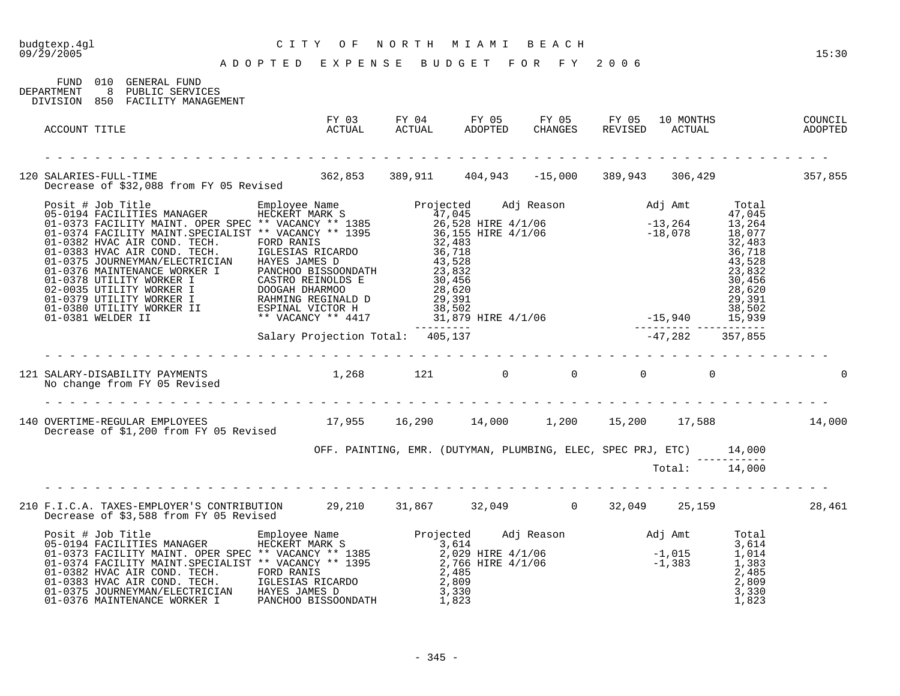| CITY OF NORTH MIAMI BEACH<br>ADOPTED EXPENSE BUDGET FOR FY 2006<br>budgtexp.4gl<br>09/29/2005                                                                                                                                            |                                                                     |  |  |                                    | 15:30 |
|------------------------------------------------------------------------------------------------------------------------------------------------------------------------------------------------------------------------------------------|---------------------------------------------------------------------|--|--|------------------------------------|-------|
| FUND 010 GENERAL FUND<br>DEPARTMENT 8 PUBLIC SERVICES<br>DIVISION 850 FACILITY MANAGEMENT                                                                                                                                                |                                                                     |  |  |                                    |       |
| ACCOUNT TITLE                                                                                                                                                                                                                            |                                                                     |  |  |                                    |       |
| 120 SALARIES-FULL-TIME<br>Decrease of \$32,088 from FY 05 Revised 362,853 389,911 404,943 -15,000 389,943 306,429 257,855                                                                                                                |                                                                     |  |  |                                    |       |
| Posit # Job Title<br>Posit # Job Title<br>05-0194 FACILITIES MANAGER<br>01-0374 FACILITY MAINT.SPECIALIST * VACANCY ** 1385<br>01-0374 FACILITY MAINT.SPECIALIST * VACANCY ** 1385<br>01-0381 HVAC AIR COND. TECH.<br>CIRCLE TO THE 1995 |                                                                     |  |  |                                    |       |
|                                                                                                                                                                                                                                          |                                                                     |  |  |                                    |       |
| No change from FY 05 Revised                                                                                                                                                                                                             |                                                                     |  |  |                                    |       |
| 140 OVERTIME-REGULAR EMPLOYEES 17,955 16,290 14,000 1,200 15,200 17,588 14,000<br>Decrease of \$1,200 from FY 05 Revised                                                                                                                 |                                                                     |  |  |                                    |       |
|                                                                                                                                                                                                                                          | OFF. PAINTING, EMR. (DUTYMAN, PLUMBING, ELEC, SPEC PRJ, ETC) 14,000 |  |  | _________________<br>Total: 14,000 |       |
| 210 F.I.C.A. TAXES-EMPLOYER'S CONTRIBUTION 29,210 31,867 32,049 0 32,049 25,159 28,461<br>Decrease of \$3,588 from FY 05 Revised                                                                                                         |                                                                     |  |  |                                    |       |
| 9001 100373 FACILITIES MANAGER (MANAGER HECKERT MARK S)<br>01-0373 FACILITY MAINT. OPER SPEC ** VACANCY ** 1385<br>01-0374 FACILITY MAINT. SPECIALIST ** VACANCY ** 1385<br>01-0382 HVAC AIR COND. TECH. FORD RANIS<br>01-0383 HVAC A    |                                                                     |  |  |                                    |       |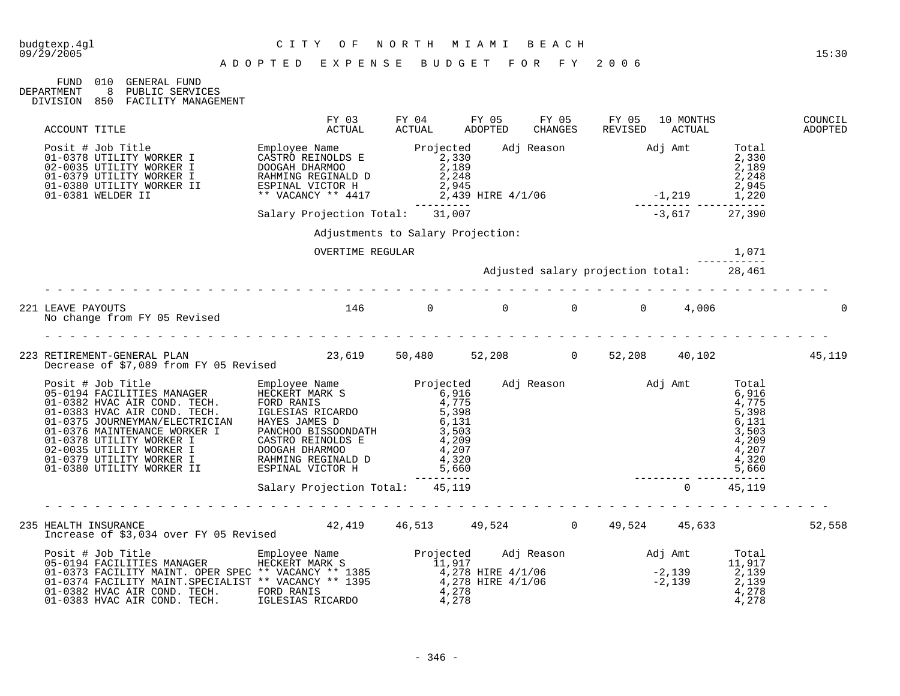| 09/29/2005 |                                     |  |       | 15:30 |
|------------|-------------------------------------|--|-------|-------|
|            | ישים כמה היהמוחים שמאים משימים מתוג |  | 200 G |       |

| FIJND.     | 01 O | GENERAL FUND        |
|------------|------|---------------------|
| DEPARTMENT | - 8  | PUBLIC SERVICES     |
| DIVISION   | 850  | FACILITY MANAGEMENT |

| ACCOUNT TITLE                                                                                                                                                                                                                             | FY 03<br>ACTUAL       | FY 04<br>ACTUAL                   | FY 05<br>FY 05<br>CHANGES<br>ADOPTED                                    | FY 05<br>REVISED | 10 MONTHS<br>ACTUAL | COUNCIL<br>ADOPTED |
|-------------------------------------------------------------------------------------------------------------------------------------------------------------------------------------------------------------------------------------------|-----------------------|-----------------------------------|-------------------------------------------------------------------------|------------------|---------------------|--------------------|
| ACCOUNT TITLE<br>Posit # Job Title<br>01-0378 UTILITY WORKER I CASTRO REINOLDS E<br>02-0035 UTILITY WORKER I DOOGAH DHARMOO<br>01-0379 UTILITY WORKER I RAHMING REGINALD D<br>01-0380 UTILITY WORKER I ESPINAL UCTOR H<br>01-0380 UTILITY |                       |                                   |                                                                         |                  |                     |                    |
|                                                                                                                                                                                                                                           |                       |                                   |                                                                         |                  |                     |                    |
|                                                                                                                                                                                                                                           |                       |                                   |                                                                         |                  |                     |                    |
|                                                                                                                                                                                                                                           |                       | Adjustments to Salary Projection: |                                                                         |                  |                     |                    |
|                                                                                                                                                                                                                                           | OVERTIME REGULAR      |                                   | 1,071<br>-----------<br>28,461 Adjusted salary projection total: 28,461 |                  |                     |                    |
|                                                                                                                                                                                                                                           |                       |                                   |                                                                         |                  |                     |                    |
| 221 LEAVE PAYOUTS<br>No change from FY 05 Revised                                                                                                                                                                                         | $146$ 0 0 0 0 0 4,006 |                                   |                                                                         |                  |                     |                    |
|                                                                                                                                                                                                                                           |                       |                                   |                                                                         |                  |                     |                    |
|                                                                                                                                                                                                                                           |                       |                                   |                                                                         |                  |                     |                    |
|                                                                                                                                                                                                                                           |                       |                                   |                                                                         |                  |                     |                    |
|                                                                                                                                                                                                                                           |                       |                                   |                                                                         |                  |                     |                    |
| .                                                                                                                                                                                                                                         |                       |                                   |                                                                         |                  |                     |                    |
| HEALTH INSURANCE<br>Increase of \$3,034 over FY 05 Revised 42,419 46,513 49,524 19 49,524 49,524 45,633<br>235 HEALTH INSURANCE                                                                                                           |                       |                                   |                                                                         |                  |                     | 52,558             |
|                                                                                                                                                                                                                                           |                       |                                   |                                                                         |                  |                     |                    |
| Posit # Job Title Employee Name Projected Adj Reason Adj Amt Total<br>05-0194 FACILITIES MANAGER HECKERT MARK S 11,917<br>01-0373 FACILITY MAINT.OPER SPEC ** VACANCY ** 1385 4,278 HIRE 4/1/06 -2,139 2,139<br>01-0382 HVAC AIR CO       |                       |                                   |                                                                         |                  |                     |                    |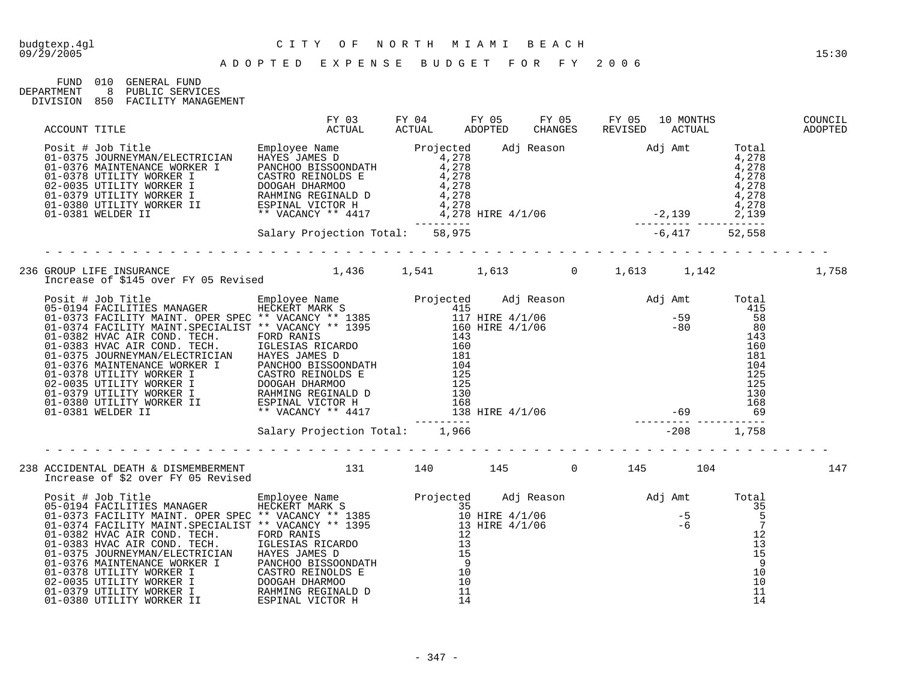| FIJND      | 01 O  | GENERAL FIJND       |
|------------|-------|---------------------|
| DEPARTMENT | - 8 - | PUBLIC SERVICES     |
| DIVISION   | 850   | FACILITY MANAGEMENT |

| 236 GROUP LIFE INSURANCE 1,436 1,541 1,613 0 1,613 1,142<br>Increase of \$145 over FY 05 Revised 1,436 1,541 1,613 0 1,613 1,142                                                                                               |  |  |  | 1,758 |
|--------------------------------------------------------------------------------------------------------------------------------------------------------------------------------------------------------------------------------|--|--|--|-------|
| 1000 THE SUBARUCE PRODUCT CONTROLL IN THE SUBARUCE OF A SUBARUCE IN THE SUBARUCE OF A 1990 THE SUBARUCE STRENGT WANT (1990) THE SUBARUCE OF A 1990 THE SUBARUCE OF A 1990 THE SUBARUCE OF A 1990 THE SUBARUCE OF A 1990 THE SU |  |  |  |       |
|                                                                                                                                                                                                                                |  |  |  |       |
|                                                                                                                                                                                                                                |  |  |  |       |
|                                                                                                                                                                                                                                |  |  |  |       |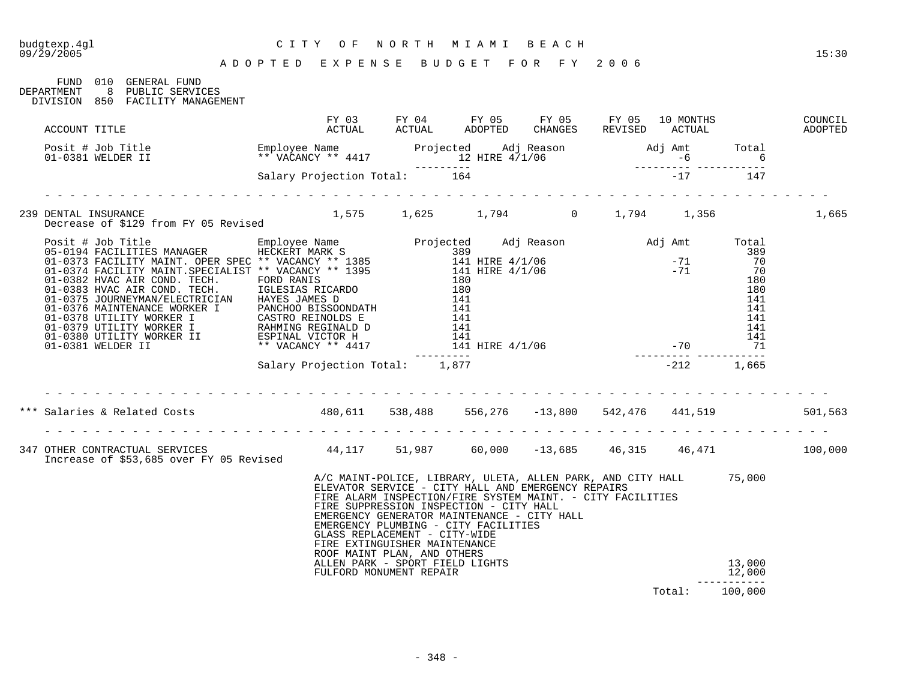| budgtexp.4gl<br>$09/\bar{2}9/2005$ |               | A D O P T E D E X P E N S E B U D G E T F O R F Y 2006                                                                                                                                                                                |                                |                                                                                                                                  | CITY OF NORTH MIAMI BEACH                                                                                                                                                                                                                                                                                                |  |              |        | 15:30   |
|------------------------------------|---------------|---------------------------------------------------------------------------------------------------------------------------------------------------------------------------------------------------------------------------------------|--------------------------------|----------------------------------------------------------------------------------------------------------------------------------|--------------------------------------------------------------------------------------------------------------------------------------------------------------------------------------------------------------------------------------------------------------------------------------------------------------------------|--|--------------|--------|---------|
| DEPARTMENT                         |               | FUND 010 GENERAL FUND<br>8 PUBLIC SERVICES<br>DIVISION 850 FACILITY MANAGEMENT                                                                                                                                                        |                                |                                                                                                                                  |                                                                                                                                                                                                                                                                                                                          |  |              |        |         |
|                                    | ACCOUNT TITLE |                                                                                                                                                                                                                                       |                                |                                                                                                                                  |                                                                                                                                                                                                                                                                                                                          |  |              |        |         |
|                                    |               | Posit # Job Title Employee Name Projected Adj Reason Adj Amt Total<br>01-0381 WELDER II ** VACANCY ** 4417 12 HIRE 4/1/06 -6 6<br>531ary Projection Total: 164 -------- 17 147                                                        |                                |                                                                                                                                  |                                                                                                                                                                                                                                                                                                                          |  |              |        |         |
|                                    |               |                                                                                                                                                                                                                                       |                                |                                                                                                                                  |                                                                                                                                                                                                                                                                                                                          |  |              |        |         |
|                                    |               | 239 DENTAL INSURANCE<br>Decrease of \$129 from FY 05 Revised 1,575 1,625 1,794 0 1,794 1,356                                                                                                                                          |                                |                                                                                                                                  |                                                                                                                                                                                                                                                                                                                          |  |              |        | 1,665   |
|                                    |               |                                                                                                                                                                                                                                       |                                |                                                                                                                                  |                                                                                                                                                                                                                                                                                                                          |  |              |        |         |
|                                    |               | Posit # Job Title MANAGER ENGINEERY MARK Projected Adj Reason<br>05-0194 FACILITIES MANAGER HECKERT MARK S<br>01-0373 FACILITY MAINT. OPER SPEC* * VACANCY ** 1395<br>01-0375 FACILITY MAINT. OPER SPEC* * VACANCY ** 1395<br>01-0382 |                                |                                                                                                                                  |                                                                                                                                                                                                                                                                                                                          |  |              |        |         |
|                                    |               |                                                                                                                                                                                                                                       | Salary Projection Total: 1,877 |                                                                                                                                  |                                                                                                                                                                                                                                                                                                                          |  | $-212$ 1,665 |        |         |
|                                    |               |                                                                                                                                                                                                                                       |                                |                                                                                                                                  |                                                                                                                                                                                                                                                                                                                          |  |              |        |         |
|                                    |               | *** Salaries & Related Costs (1890,611 538,488 556,276 -13,800 542,476 441,519                                                                                                                                                        |                                |                                                                                                                                  |                                                                                                                                                                                                                                                                                                                          |  |              |        | 501,563 |
|                                    |               | 347 OTHER CONTRACTUAL SERVICES (100,000 44,117 51,987 60,000 -13,685 46,315 46,471 100,000<br>Increase of \$53,685 over FY 05 Revised                                                                                                 |                                |                                                                                                                                  |                                                                                                                                                                                                                                                                                                                          |  |              |        |         |
|                                    |               |                                                                                                                                                                                                                                       |                                | GLASS REPLACEMENT - CITY-WIDE<br>FIRE EXTINGUISHER MAINTENANCE<br>ROOF MAINT PLAN, AND OTHERS<br>ALLEN PARK - SPORT FIELD LIGHTS | A/C MAINT-POLICE, LIBRARY, ULETA, ALLEN PARK, AND CITY HALL 75,000<br>ELEVATOR SERVICE - CITY HALL AND EMERGENCY REPAIRS<br>FIRE ALARM INSPECTION/FIRE SYSTEM MAINT. - CITY FACILITIES<br>FIRE SUPPRESSION INSPECTION - CITY HALL<br>EMERGENCY GENERATOR MAINTENANCE - CITY HALL<br>EMERGENCY PLUMBING - CITY FACILITIES |  |              | 13,000 |         |
|                                    |               |                                                                                                                                                                                                                                       |                                | FULFORD MONUMENT REPAIR                                                                                                          |                                                                                                                                                                                                                                                                                                                          |  |              | 12,000 |         |

Total: 100,000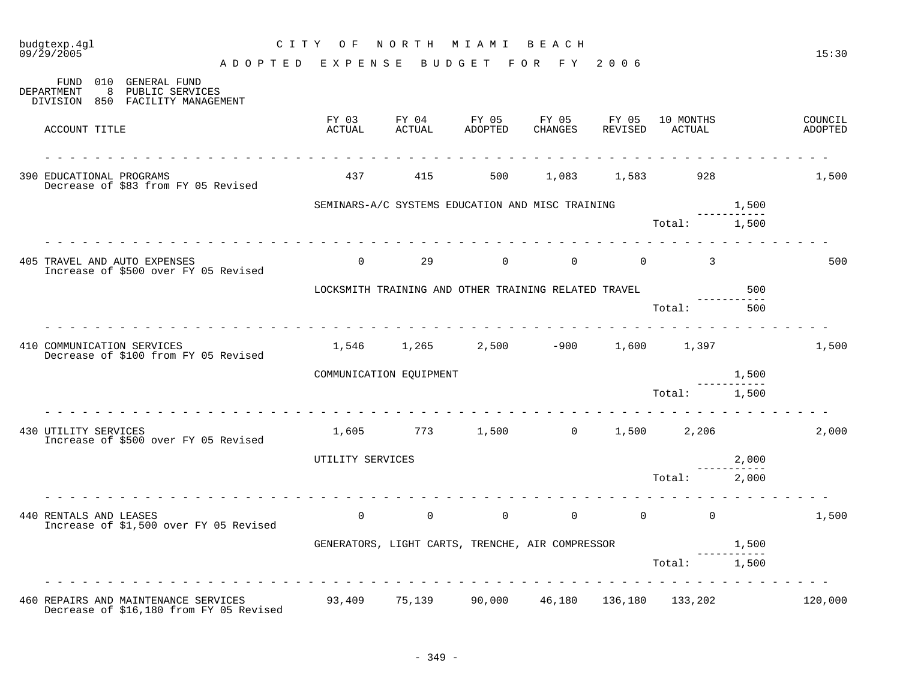| budgtexp.4gl<br>09/29/2005                                                                                                         | CITY OF NORTH MIAMI BEACH                               |                                                                                      |                  |                         |                |                                         |                      | 15:30              |
|------------------------------------------------------------------------------------------------------------------------------------|---------------------------------------------------------|--------------------------------------------------------------------------------------|------------------|-------------------------|----------------|-----------------------------------------|----------------------|--------------------|
|                                                                                                                                    | ADOPTED EXPENSE BUDGET FOR FY 2006                      |                                                                                      |                  |                         |                |                                         |                      |                    |
| FUND 010 GENERAL FUND<br>8 PUBLIC SERVICES<br>DEPARTMENT<br>DIVISION 850 FACILITY MANAGEMENT                                       |                                                         |                                                                                      |                  |                         |                |                                         |                      |                    |
| ACCOUNT TITLE                                                                                                                      | FY 03<br>ACTUAL                                         | FY 04<br>ACTUAL                                                                      | FY 05<br>ADOPTED | CHANGES                 |                | FY 05 FY 05 10 MONTHS<br>REVISED ACTUAL |                      | COUNCIL<br>ADOPTED |
| 390 EDUCATIONAL PROGRAMS<br>Decrease of \$83 from FY 05 Revised                                                                    | 437                                                     |                                                                                      |                  | 415 500 1,083 1,583 928 |                |                                         |                      | 1,500              |
|                                                                                                                                    |                                                         | SEMINARS-A/C SYSTEMS EDUCATION AND MISC TRAINING                                     |                  |                         |                |                                         | 1,500                |                    |
|                                                                                                                                    |                                                         |                                                                                      |                  |                         |                | Total: 1,500                            |                      |                    |
| 405 TRAVEL AND AUTO EXPENSES<br>Increase of \$500 over FY 05 Revised                                                               |                                                         | $0 \qquad \qquad 29 \qquad \qquad 0 \qquad \qquad 0 \qquad \qquad 0 \qquad \qquad 3$ |                  |                         |                |                                         |                      | 500                |
|                                                                                                                                    | LOCKSMITH TRAINING AND OTHER TRAINING RELATED TRAVEL    |                                                                                      |                  |                         |                |                                         | 500<br>. <u>.</u>    |                    |
|                                                                                                                                    |                                                         |                                                                                      |                  |                         |                | Total:                                  | 500                  |                    |
| 410 COMMUNICATION SERVICES<br>Decrease of \$100 from FY 05 Revised                                                                 |                                                         | $1,546$ $1,265$ $2,500$ $-900$ $1,600$ $1,397$                                       |                  |                         |                |                                         |                      | 1,500              |
|                                                                                                                                    | COMMUNICATION EQUIPMENT                                 |                                                                                      |                  |                         |                |                                         | 1,500                |                    |
|                                                                                                                                    |                                                         |                                                                                      |                  |                         |                | Total: 1,500                            |                      |                    |
| 430 UTILITY SERVICES<br>Increase of \$500 over FY 05 Revised                                                                       |                                                         | $1,605$ $773$ $1,500$ 0 $1,500$ 2,206                                                |                  |                         |                |                                         |                      | 2,000              |
|                                                                                                                                    | UTILITY SERVICES                                        |                                                                                      |                  |                         |                |                                         | 2,000<br>----------- |                    |
|                                                                                                                                    |                                                         |                                                                                      |                  |                         |                | Total: 2,000                            |                      |                    |
| 440 RENTALS AND LEASES<br>Increase of \$1,500 over FY 05 Revised                                                                   | $\overline{0}$                                          | $\overline{0}$                                                                       | $\overline{0}$   | $\overline{0}$          | $\overline{0}$ | $\overline{0}$                          |                      | 1,500              |
|                                                                                                                                    |                                                         | GENERATORS, LIGHT CARTS, TRENCHE, AIR COMPRESSOR 1,500                               |                  |                         |                |                                         |                      |                    |
|                                                                                                                                    |                                                         |                                                                                      |                  |                         |                | Total:                                  | 1,500                |                    |
| <u>in die die die die die die die die die d</u><br>460 REPAIRS AND MAINTENANCE SERVICES<br>Decrease of \$16,180 from FY 05 Revised | $93,409$ $75,139$ $90,000$ $46,180$ $136,180$ $133,202$ |                                                                                      |                  |                         |                |                                         |                      | 120,000            |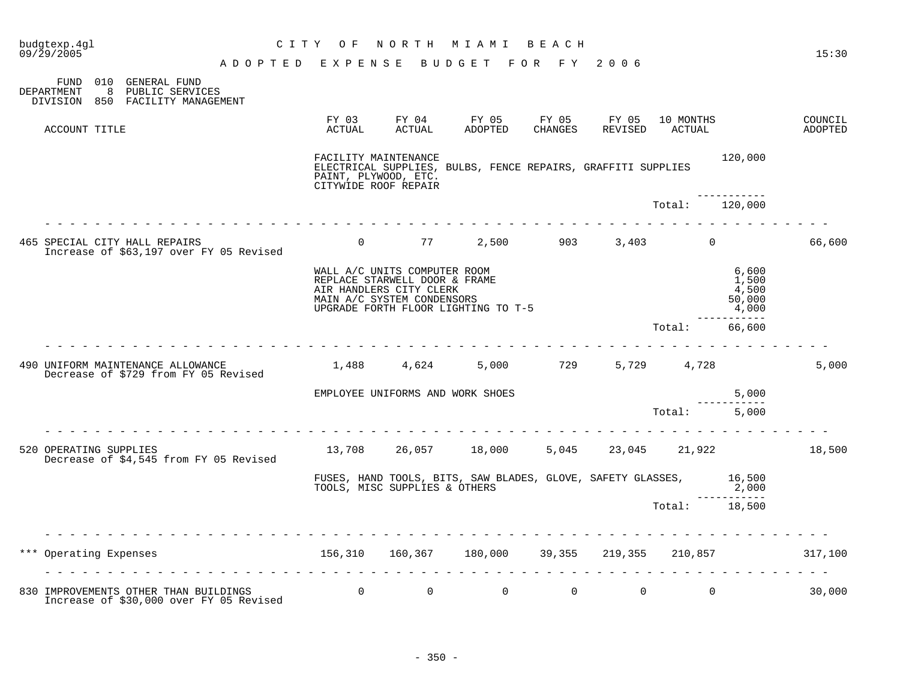|     | budgtexp.4gl<br>09/29/2005                                                                         |                                     | CITY OF              | NORTH                                                                                                                  | M I A M I                                                    | B E A C H              |                |                                            |                                                       | 15:30                |
|-----|----------------------------------------------------------------------------------------------------|-------------------------------------|----------------------|------------------------------------------------------------------------------------------------------------------------|--------------------------------------------------------------|------------------------|----------------|--------------------------------------------|-------------------------------------------------------|----------------------|
|     | 010 GENERAL FUND<br>FUND<br>DEPARTMENT<br>8 PUBLIC SERVICES<br>850 FACILITY MANAGEMENT<br>DIVISION | ADOPTED EXPENSE BUDGET FOR FY 2006  |                      |                                                                                                                        |                                                              |                        |                |                                            |                                                       |                      |
|     | ACCOUNT TITLE                                                                                      |                                     | FY 03<br>ACTUAL      | FY 04<br>ACTUAL                                                                                                        | FY 05<br>ADOPTED                                             | FY 05 FY 05<br>CHANGES | REVISED        | 10 MONTHS<br>ACTUAL                        |                                                       | COUNCIL<br>ADOPTED   |
|     |                                                                                                    |                                     | PAINT, PLYWOOD, ETC. | FACILITY MAINTENANCE<br>CITYWIDE ROOF REPAIR                                                                           | ELECTRICAL SUPPLIES, BULBS, FENCE REPAIRS, GRAFFITI SUPPLIES |                        |                |                                            | 120,000                                               |                      |
|     |                                                                                                    | <u>a la la la la la la la la la</u> |                      |                                                                                                                        |                                                              |                        |                | Total: 120,000                             |                                                       |                      |
|     | 465 SPECIAL CITY HALL REPAIRS<br>Increase of \$63,197 over FY 05 Revised                           |                                     |                      |                                                                                                                        | 0 $77$ 2,500 903 3,403 0                                     |                        |                |                                            |                                                       | 66,600               |
|     |                                                                                                    |                                     |                      | WALL A/C UNITS COMPUTER ROOM<br>REPLACE STARWELL DOOR & FRAME<br>AIR HANDLERS CITY CLERK<br>MAIN A/C SYSTEM CONDENSORS | UPGRADE FORTH FLOOR LIGHTING TO T-5                          |                        |                |                                            | 6,600<br>1,500<br>4,500<br>50,000<br>4,000<br>------- |                      |
|     |                                                                                                    |                                     |                      |                                                                                                                        |                                                              |                        |                | Total:                                     | 66,600                                                |                      |
|     | 490 UNIFORM MAINTENANCE ALLOWANCE<br>Decrease of \$729 from FY 05 Revised                          |                                     |                      | 1,488 4,624                                                                                                            |                                                              | 5,000 729              |                | 5,729 4,728                                |                                                       | 5,000                |
|     |                                                                                                    |                                     |                      | EMPLOYEE UNIFORMS AND WORK SHOES                                                                                       |                                                              |                        |                |                                            | 5,000                                                 |                      |
|     |                                                                                                    |                                     |                      |                                                                                                                        |                                                              |                        |                | Total: 5,000                               |                                                       |                      |
|     | 520 OPERATING SUPPLIES<br>Decrease of \$4,545 from FY 05 Revised                                   |                                     |                      |                                                                                                                        | 13,708 26,057 18,000                                         | 5,045                  |                |                                            |                                                       | 23,045 21,922 18,500 |
|     |                                                                                                    |                                     |                      | TOOLS, MISC SUPPLIES & OTHERS                                                                                          | FUSES, HAND TOOLS, BITS, SAW BLADES, GLOVE, SAFETY GLASSES,  |                        |                |                                            | 16,500<br>2,000                                       |                      |
|     |                                                                                                    |                                     |                      |                                                                                                                        |                                                              |                        |                | Total: 18,500                              | ------------                                          |                      |
| *** | Operating Expenses                                                                                 | .                                   |                      |                                                                                                                        | 156,310 160,367 180,000 39,355 219,355 210,857 317,100       |                        |                | <u>a a a a a a a a a a a a a a a a a</u> . |                                                       |                      |
|     | 830 IMPROVEMENTS OTHER THAN BUILDINGS<br>Increase of \$30,000 over FY 05 Revised                   |                                     | $\overline{0}$       | $\overline{0}$                                                                                                         | $\overline{0}$                                               | $\overline{0}$         | $\overline{0}$ | $\mathbf 0$                                |                                                       | 30,000               |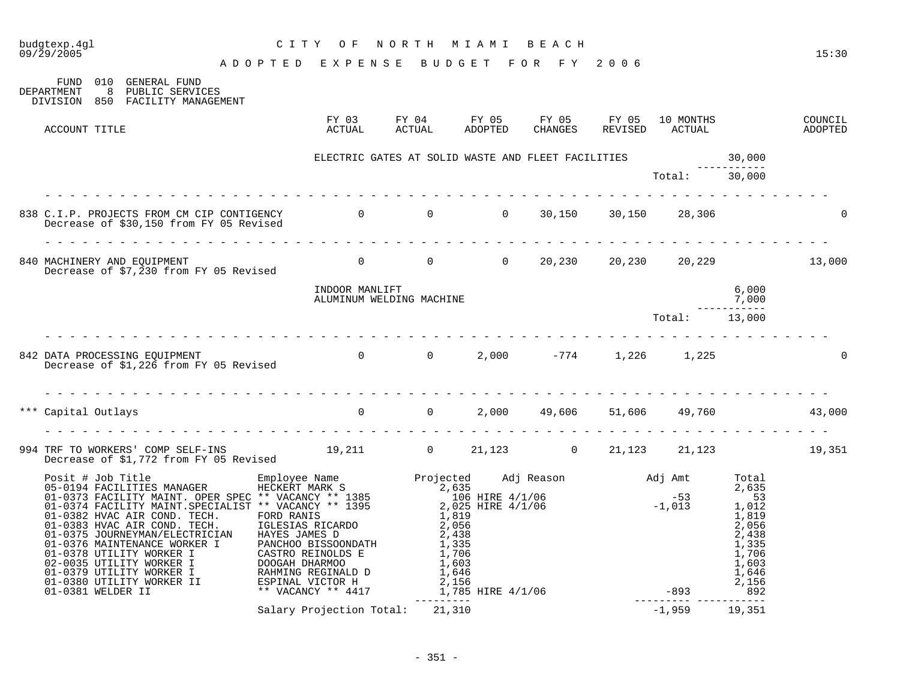| budgtexp.4ql<br>CITY OF NORTH MIAMI BEACH<br>ADOPTED EXPENSE BUDGET FOR FY 2006<br>09/29/2005                               | CITY OF NORTH MIAMI BEACH                                    |               |                     |        |                       | 15:30              |
|-----------------------------------------------------------------------------------------------------------------------------|--------------------------------------------------------------|---------------|---------------------|--------|-----------------------|--------------------|
| FUND 010 GENERAL FUND<br>DEPARTMENT<br>8 PUBLIC SERVICES<br>DIVISION 850 FACILITY MANAGEMENT                                |                                                              |               |                     |        |                       |                    |
| ACCOUNT TITLE                                                                                                               |                                                              | <b>ACTUAL</b> | CHANGES             |        |                       | COUNCIL<br>ADOPTED |
|                                                                                                                             | ELECTRIC GATES AT SOLID WASTE AND FLEET FACILITIES<br>Total: |               |                     |        | 30,000<br>----------- |                    |
|                                                                                                                             |                                                              |               |                     |        | 30,000                |                    |
| 838 C.I.P. PROJECTS FROM CM CIP CONTIGENCY 60 0 0 0 0 30,150 30,150 28,306<br>Decrease of \$30,150 from FY 05 Revised       |                                                              |               |                     |        |                       |                    |
| 840 MACHINERY AND EQUIPMENT 13,000<br>Decrease of $$7,\overline{2}30$ from FY 05 Revised                                    |                                                              |               |                     |        |                       |                    |
|                                                                                                                             | INDOOR MANLIFT<br>ALUMINUM WELDING MACHINE                   |               |                     |        | 6,000<br>7,000        |                    |
|                                                                                                                             |                                                              |               |                     | Total: | 13,000                |                    |
| 842 DATA PROCESSING EQUIPMENT<br>Decrease of \$1,226 from FY 05 Revised 6.0 0 0 0 0 0 0 0 0 0 0 1,226 1,225                 |                                                              |               |                     |        |                       |                    |
| *** Capital Outlays                                                                                                         | $\begin{array}{ccc} & & 0 & \quad & 0 \end{array}$           |               | 2,000 49,606 51,606 |        | 49,760 43,000         |                    |
| 994 TRF TO WORKERS' COMP SELF-INS<br>Decrease of \$1,772 from FY 05 Revised 19,211 10 21,123 10 21,123 21,123 21,123 19,351 |                                                              |               |                     |        |                       |                    |
|                                                                                                                             |                                                              |               |                     |        |                       |                    |
|                                                                                                                             |                                                              |               |                     |        |                       |                    |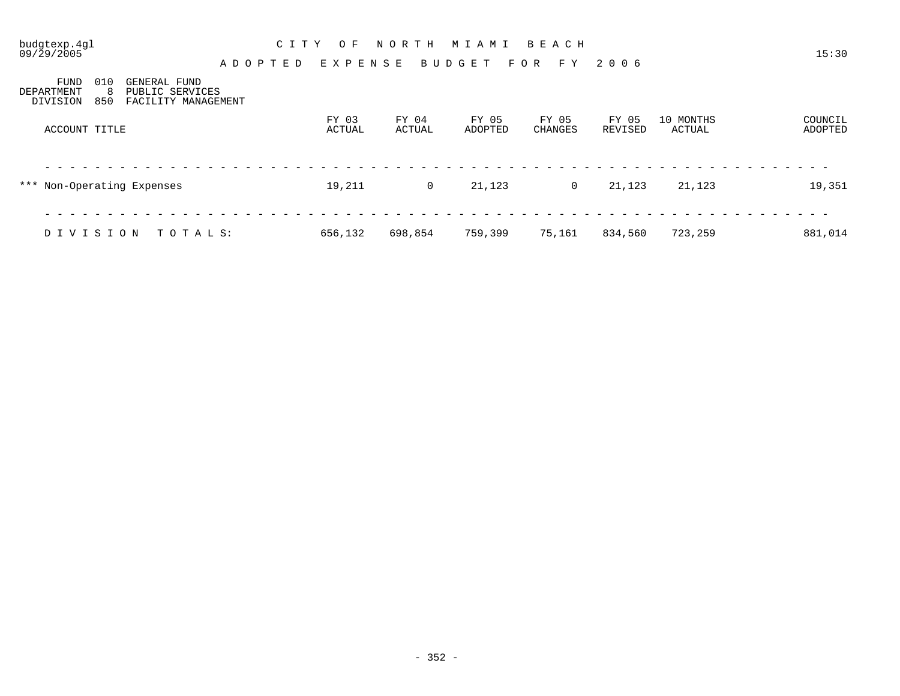| budgtexp.4gl<br>09/29/2005                                                                                          | C I T Y<br>O F<br>A D O P T E D | NORTH<br>EXPENSE | M I A M I<br>BUDGET | BEACH<br>FOR<br>F Y | 2006             |                     | 15:30              |
|---------------------------------------------------------------------------------------------------------------------|---------------------------------|------------------|---------------------|---------------------|------------------|---------------------|--------------------|
| 010<br><b>FUND</b><br>GENERAL FUND<br>PUBLIC SERVICES<br>DEPARTMENT<br>-8<br>850<br>FACILITY MANAGEMENT<br>DIVISION |                                 |                  |                     |                     |                  |                     |                    |
| ACCOUNT TITLE                                                                                                       | FY 03<br>ACTUAL                 | FY 04<br>ACTUAL  | FY 05<br>ADOPTED    | FY 05<br>CHANGES    | FY 05<br>REVISED | 10 MONTHS<br>ACTUAL | COUNCIL<br>ADOPTED |
| *** Non-Operating Expenses                                                                                          | 19,211                          | $\mathbf 0$      | 21,123              | 0                   | 21,123           | 21,123              | 19,351             |
| DIVISION<br>TOTALS:                                                                                                 | 656,132                         | 698,854          | 759,399             | 75,161              | 834,560          | 723,259             | 881,014            |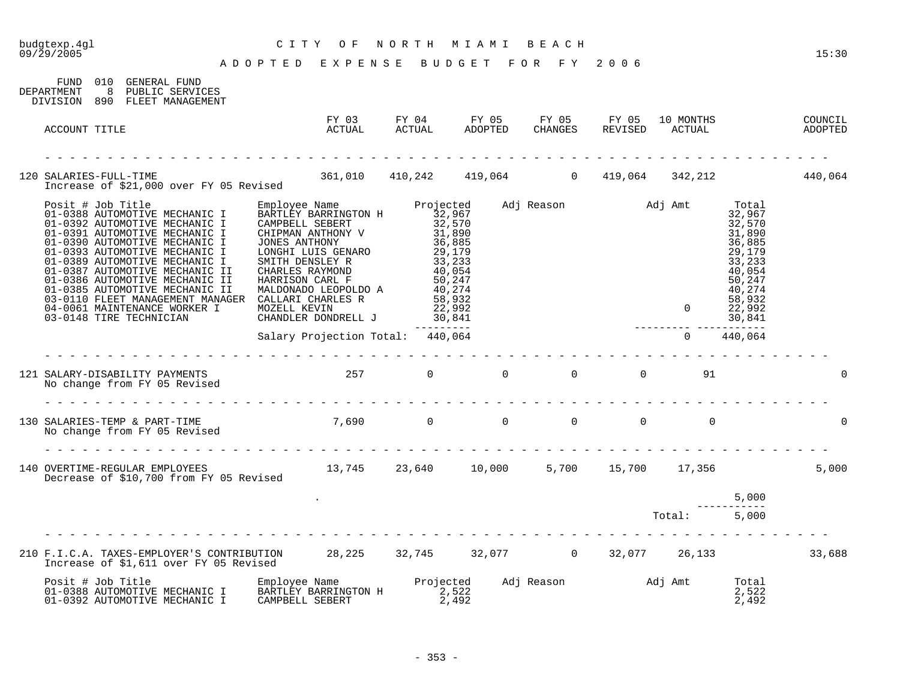# budgtexp.4gl C I T Y O F N O R T H M I A M I B E A C H

A D O P T E D E X P E N S E B U D G E T F O R F Y 2 0 0 6

| FUND<br>DEPARTMENT | 010<br>8 | GENERAL FUND<br>PUBLIC SERVICES<br>DIVISION 890 FLEET MANAGEMENT                                                                 |                                  |                                    |       |  |                    |                                                                                                                               |          |
|--------------------|----------|----------------------------------------------------------------------------------------------------------------------------------|----------------------------------|------------------------------------|-------|--|--------------------|-------------------------------------------------------------------------------------------------------------------------------|----------|
| ACCOUNT TITLE      |          |                                                                                                                                  |                                  |                                    |       |  |                    |                                                                                                                               |          |
|                    |          | 120 SALARIES-FULL-TIME 120 SALARIES-FULL-TIME 140,064 361,010 410,242 419,064 319,064 342,212 440,064                            |                                  |                                    |       |  |                    |                                                                                                                               |          |
|                    |          | 03-0148 TIRE TECHNICIAN                                                                                                          | CHANDLER DONDRELL J              | $22,992$<br>$30,841$<br>---------- |       |  | ------ ----------- | Total<br>32,967<br>32,570<br>31,890<br>36,885<br>29,179<br>33,233<br>40,054<br>50,247<br>40,274<br>58,932<br>22,992<br>30,841 |          |
|                    |          |                                                                                                                                  | Salary Projection Total: 440,064 |                                    |       |  |                    | 440,064                                                                                                                       |          |
|                    |          | 121 SALARY-DISABILITY PAYMENTS<br>No change from FY 05 Revised                                                                   | $257$ 0 0 0 0 0                  |                                    |       |  | 91                 |                                                                                                                               |          |
|                    |          | 130 SALARIES-TEMP & PART-TIME $7,690$ 0 0 0 0 0 0 0 0<br>No change from FY 05 Revised                                            |                                  |                                    |       |  |                    |                                                                                                                               | $\Omega$ |
|                    |          | 140 OVERTIME-REGULAR EMPLOYEES 13,745 23,640 10,000 5,700 15,700 17,356<br>Decrease of \$10,700 from FY 05 Revised               |                                  |                                    |       |  |                    |                                                                                                                               | 5,000    |
|                    |          |                                                                                                                                  |                                  |                                    |       |  | Total: 5,000       | 5,000                                                                                                                         |          |
|                    |          | 210 F.I.C.A. TAXES-EMPLOYER'S CONTRIBUTION 28,225 32,745 32,077 0 32,077 26,133 33,688<br>Increase of \$1,611 over FY 05 Revised |                                  |                                    |       |  |                    |                                                                                                                               |          |
| Posit # Job Title  |          | 01-0388 AUTOMOTIVE MECHANIC I<br>01-0392 AUTOMOTIVE MECHANIC I                                                                   | CAMPBELL SEBERT                  |                                    | 2,492 |  |                    | Total<br>2,522<br>2,492                                                                                                       |          |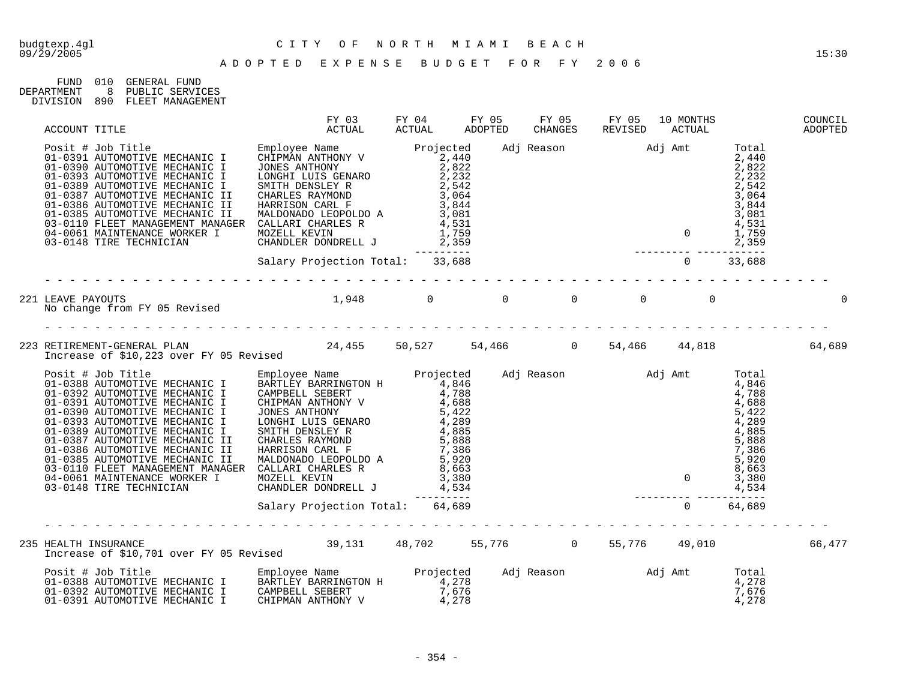| FIJND.     | 01 Q | GENERAL FUND     |
|------------|------|------------------|
| DEPARTMENT |      | PUBLIC SERVICES  |
| DIVISION   | 890  | FLEET MANAGEMENT |

| ACCOUNT TITLE                                                                                                                                                                                                                        |  | FY 03 FY 04 FY 05 FY 05 FY 05 10 MONTHS<br>ACTUAL ACTUAL ADOPTED CHANGES REVISED ACTUAL |  |  | COUNCIL<br>COUNCIL<br>ADOPTED |
|--------------------------------------------------------------------------------------------------------------------------------------------------------------------------------------------------------------------------------------|--|-----------------------------------------------------------------------------------------|--|--|-------------------------------|
|                                                                                                                                                                                                                                      |  |                                                                                         |  |  |                               |
|                                                                                                                                                                                                                                      |  |                                                                                         |  |  |                               |
| 221 LEAVE PAYOUTS<br>No change from FY 05 Revised to the control of the control of the control of the control of the control of the<br>Superior of the control of the control of the control of the control of the control of the co |  |                                                                                         |  |  |                               |
|                                                                                                                                                                                                                                      |  |                                                                                         |  |  |                               |
|                                                                                                                                                                                                                                      |  |                                                                                         |  |  |                               |
|                                                                                                                                                                                                                                      |  |                                                                                         |  |  |                               |
|                                                                                                                                                                                                                                      |  |                                                                                         |  |  |                               |
| Posit # Job Title [100] Employee Name [10] Projected Adj Reason [10] Adj Amt Total [10] Posit # Job Title [10<br>1-0388 AUTOMOTIVE MECHANIC I   BARTLEY BARRINGTON H   1,278   4,278   4,278   4,278<br>1-0392 AUTOMOTIVE MECHANIC I |  |                                                                                         |  |  |                               |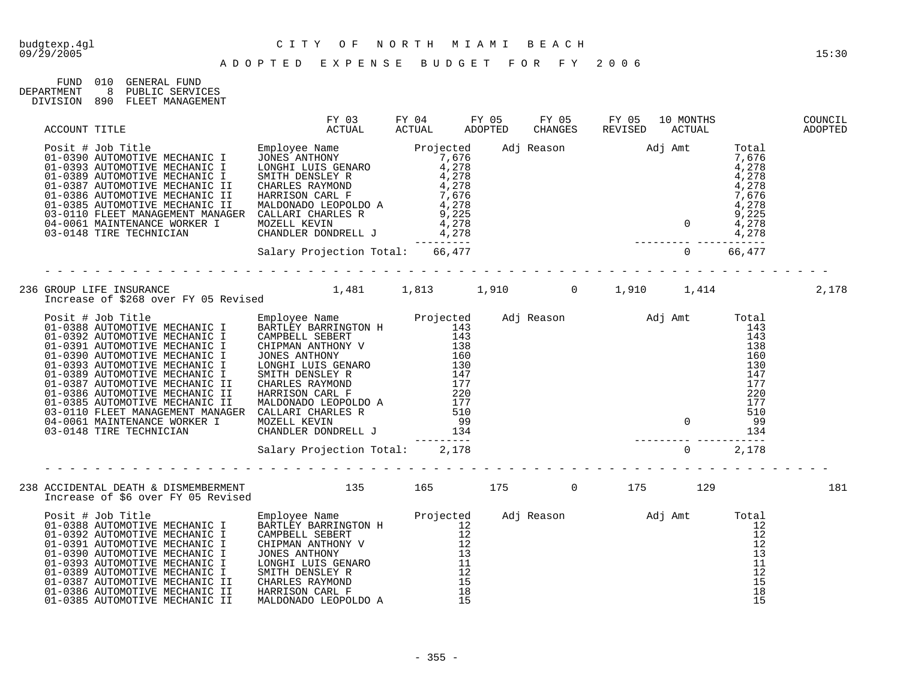| FIJND.     | 01 Q | GENERAL FIJND    |
|------------|------|------------------|
| DEPARTMENT |      | PUBLIC SERVICES  |
| DIVISION   | 890  | FLEET MANAGEMENT |

| ACCOUNT TITLE | FY 03 FY 04 FY 05 FY 05 FY 05 10 MONTHS<br>ACTUAL ACTUAL ADOPTED CHANGES REVISED ACTUAL |  |  |  | COUNCIL<br>COUNCIL<br>ADOPTED |
|---------------|-----------------------------------------------------------------------------------------|--|--|--|-------------------------------|
|               |                                                                                         |  |  |  |                               |
|               |                                                                                         |  |  |  |                               |
|               |                                                                                         |  |  |  | 2,178                         |
|               | Salary Projection Total: 2,178                                                          |  |  |  |                               |
|               |                                                                                         |  |  |  |                               |
|               |                                                                                         |  |  |  |                               |
|               |                                                                                         |  |  |  |                               |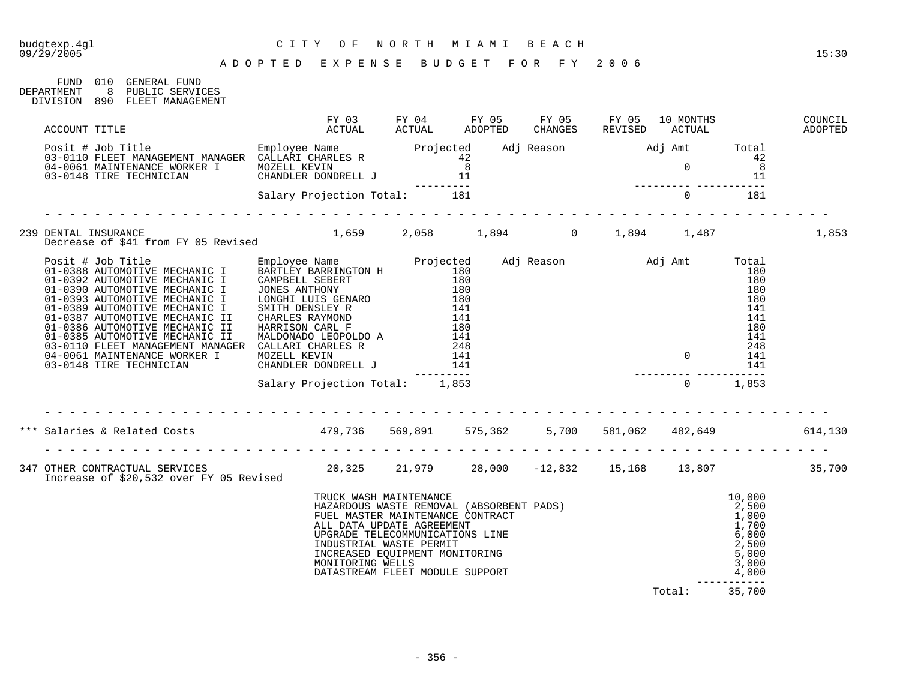FUND 010 GENERAL FUND

# budgtexp.4gl C I T Y O F N O R T H M I A M I B E A C H

| DEPARTMENT | 8 PUBLIC SERVICES<br>DIVISION 890 FLEET MANAGEMENT                                                                                                                                                                                                                                                                                                                                                                                               |                                                                                                                                                                                                                                              |  |  |                                                                                                        |         |
|------------|--------------------------------------------------------------------------------------------------------------------------------------------------------------------------------------------------------------------------------------------------------------------------------------------------------------------------------------------------------------------------------------------------------------------------------------------------|----------------------------------------------------------------------------------------------------------------------------------------------------------------------------------------------------------------------------------------------|--|--|--------------------------------------------------------------------------------------------------------|---------|
|            |                                                                                                                                                                                                                                                                                                                                                                                                                                                  |                                                                                                                                                                                                                                              |  |  |                                                                                                        |         |
|            | $\begin{tabular}{lcccccc} \texttt{ACCOUNT} & \texttt{ITILE} & \texttt{FY 03} & \texttt{FY 04} & \texttt{FY 05} & \texttt{FY 05} & \texttt{FY 05} & \texttt{FY 06} & \texttt{10 MONTIS} & \texttt{COUNTIL} \\ & & & & & & & & & \\ \texttt{DOSi1} & \texttt{HJDD} & \texttt{Title} & \texttt{MUNAGEMENT MANASER} & \texttt{CADDFED} & \texttt{CHANGES} & \texttt{REVISED} & \texttt{ACTUAL} & \texttt{ADOPTED} \\ & & & & & & & & & & \\ 04-0110$ |                                                                                                                                                                                                                                              |  |  |                                                                                                        |         |
|            |                                                                                                                                                                                                                                                                                                                                                                                                                                                  |                                                                                                                                                                                                                                              |  |  |                                                                                                        |         |
|            |                                                                                                                                                                                                                                                                                                                                                                                                                                                  |                                                                                                                                                                                                                                              |  |  |                                                                                                        | 1,853   |
|            |                                                                                                                                                                                                                                                                                                                                                                                                                                                  |                                                                                                                                                                                                                                              |  |  |                                                                                                        |         |
|            |                                                                                                                                                                                                                                                                                                                                                                                                                                                  |                                                                                                                                                                                                                                              |  |  | $\begin{array}{c} 180 \\ 141 \\ 248 \\ 0 \\ 141 \\ 141 \\ 141 \\ 141 \\ 141 \\ 0 \\ 1,853 \end{array}$ |         |
|            |                                                                                                                                                                                                                                                                                                                                                                                                                                                  | Salary Projection Total: 1,853                                                                                                                                                                                                               |  |  |                                                                                                        |         |
|            |                                                                                                                                                                                                                                                                                                                                                                                                                                                  |                                                                                                                                                                                                                                              |  |  |                                                                                                        |         |
|            | *** Salaries & Related Costs                               479,736     569,891     575,362       5,700     581,062     482,649                                                                                                                                                                                                                                                                                                                   |                                                                                                                                                                                                                                              |  |  |                                                                                                        | 614,130 |
|            |                                                                                                                                                                                                                                                                                                                                                                                                                                                  |                                                                                                                                                                                                                                              |  |  |                                                                                                        |         |
|            |                                                                                                                                                                                                                                                                                                                                                                                                                                                  | TRUCK WASH MAINTENANCE<br>HAZARDOUS WASTE REMOVAL (ABSORBENT PADS)<br>FUEL MASTER MAINTENANCE CONTRACT<br>ALL DATA UPDATE AGREEMENT<br>UPGRADE TELECOMMUNICATIONS LINE<br>UPGRADE TELECOMMUNICATIONS LINE<br>COLORENT MASTE PERMIT<br>COLORE |  |  |                                                                                                        |         |

Total: 35,700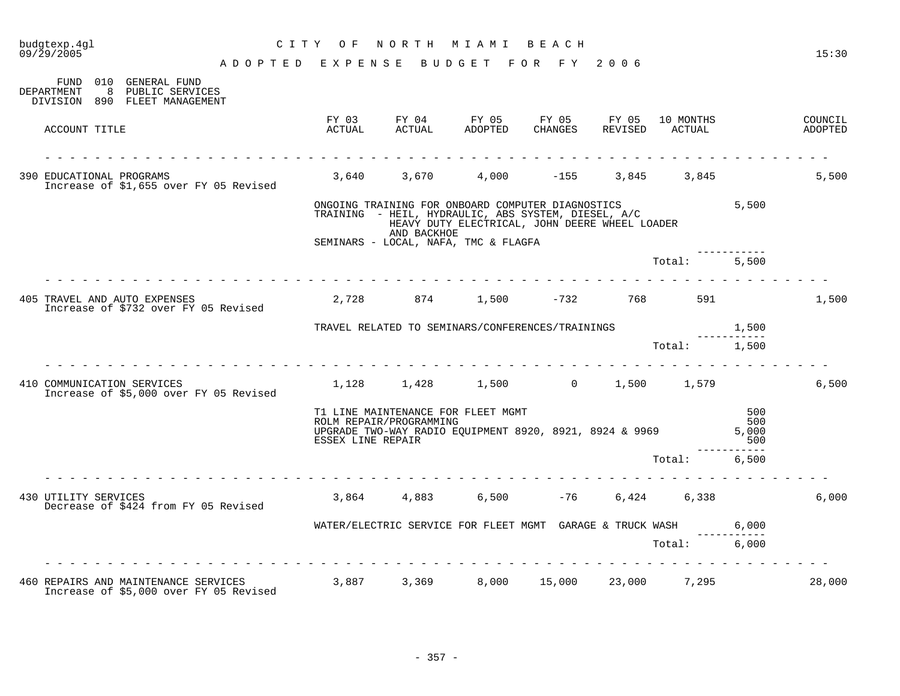| budgtexp.4gl<br>09/29/2005 |                                                                                                                      |                                    | CITY OF           | NORTH MIAMI BEACH                                                                                                              |                                                |                               |              |                   | 15:30              |
|----------------------------|----------------------------------------------------------------------------------------------------------------------|------------------------------------|-------------------|--------------------------------------------------------------------------------------------------------------------------------|------------------------------------------------|-------------------------------|--------------|-------------------|--------------------|
|                            |                                                                                                                      | ADOPTED EXPENSE BUDGET FOR FY 2006 |                   |                                                                                                                                |                                                |                               |              |                   |                    |
| DEPARTMENT                 | FUND 010 GENERAL FUND<br>8 PUBLIC SERVICES<br>DIVISION 890 FLEET MANAGEMENT                                          |                                    |                   |                                                                                                                                |                                                |                               |              |                   |                    |
|                            | ACCOUNT TITLE                                                                                                        |                                    |                   | FY 03 FY 04 FY 05 FY 05 FY 05 10 MONTHS<br>ACTUAL ACTUAL ADOPTED CHANGES REVISED ACTUAL                                        |                                                |                               |              |                   | COUNCIL<br>ADOPTED |
|                            | 390 EDUCATIONAL PROGRAMS<br>Increase of \$1,655 over FY 05 Revised                                                   |                                    |                   | 3,640 3,670                                                                                                                    |                                                | $4,000$ $-155$                | 3,845 3,845  |                   | 5,500              |
|                            |                                                                                                                      |                                    |                   | ONGOING TRAINING FOR ONBOARD COMPUTER DIAGNOSTICS<br>TRAINING - HEIL, HYDRAULIC, ABS SYSTEM, DIESEL, A/C<br>AND BACKHOE        | HEAVY DUTY ELECTRICAL, JOHN DEERE WHEEL LOADER |                               |              | 5,500             |                    |
|                            |                                                                                                                      |                                    |                   | SEMINARS - LOCAL, NAFA, TMC & FLAGFA                                                                                           |                                                |                               |              |                   |                    |
|                            |                                                                                                                      |                                    |                   |                                                                                                                                |                                                |                               | Total: 5,500 |                   |                    |
|                            | 405 TRAVEL AND AUTO EXPENSES<br>Increase of \$732 over FY 05 Revised                                                 |                                    |                   | $2,728$ $874$ $1,500$ $-732$ $768$ 591                                                                                         |                                                |                               |              |                   | 1,500              |
|                            |                                                                                                                      |                                    |                   | TRAVEL RELATED TO SEMINARS/CONFERENCES/TRAININGS $1,500$                                                                       |                                                |                               |              |                   |                    |
|                            |                                                                                                                      |                                    |                   |                                                                                                                                |                                                |                               | Total: 1,500 |                   |                    |
|                            | 410 COMMUNICATION SERVICES<br>Increase of \$5,000 over FY 05 Revised                                                 |                                    |                   | $1,128$ $1,428$ $1,500$ 0 $1,500$ $1,579$                                                                                      |                                                |                               |              |                   | 6,500              |
|                            |                                                                                                                      |                                    | ESSEX LINE REPAIR | T1 LINE MAINTENANCE FOR FLEET MGMT<br>ROLM REPAIR/PROGRAMMING<br>UPGRADE TWO-WAY RADIO EQUIPMENT 8920, 8921, 8924 & 9969 5,000 |                                                |                               |              | 500<br>500<br>500 |                    |
|                            |                                                                                                                      |                                    |                   |                                                                                                                                |                                                |                               | Total:       | 6.500             |                    |
| 430 UTILITY SERVICES       | Decrease of \$424 from FY 05 Revised                                                                                 |                                    |                   | 3,864 4,883                                                                                                                    |                                                | $6,500$ $-76$ $6,424$ $6,338$ |              |                   | 6,000              |
|                            |                                                                                                                      |                                    |                   | WATER/ELECTRIC SERVICE FOR FLEET MGMT GARAGE & TRUCK WASH 6,000                                                                |                                                |                               |              |                   |                    |
|                            |                                                                                                                      |                                    |                   |                                                                                                                                |                                                |                               | Total: 6,000 |                   |                    |
|                            | 460 REPAIRS AND MAINTENANCE SERVICES 3,887 3,369 8,000 15,000 23,000 7,295<br>Increase of \$5,000 over FY 05 Revised | . <u>.</u>                         |                   |                                                                                                                                |                                                |                               |              |                   | 28,000             |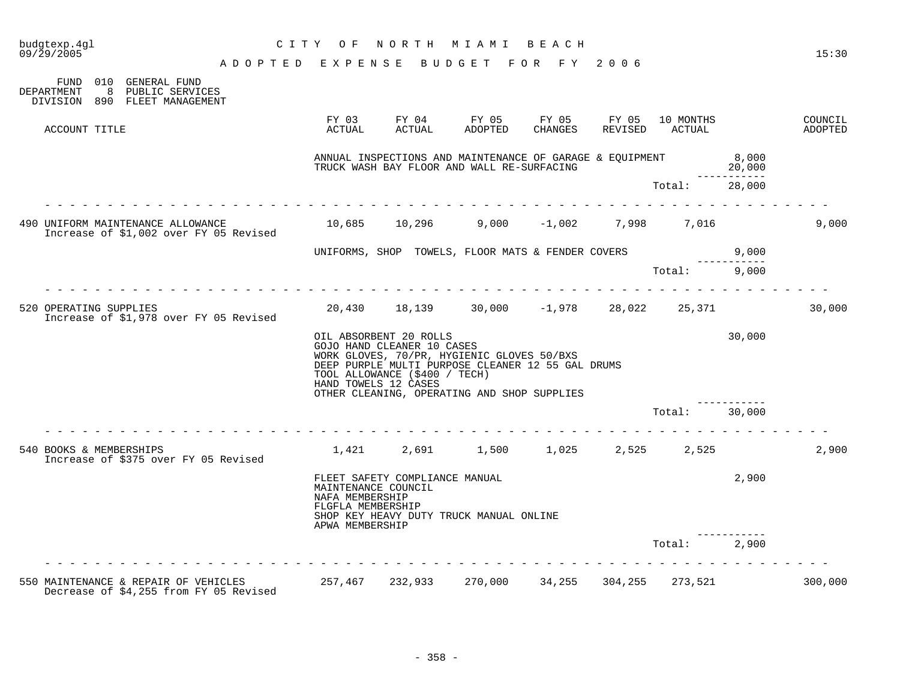| budgtexp.4gl<br>$09/\bar{2}9/2005$ |                                                                                                                    | ADOPTED EXPENSE BUDGET FOR FY 2006 | CITY OF                                                                        | NORTH MIAMI BEACH                                                                                                                                                                                                                       |  |               |                 | 15:30              |
|------------------------------------|--------------------------------------------------------------------------------------------------------------------|------------------------------------|--------------------------------------------------------------------------------|-----------------------------------------------------------------------------------------------------------------------------------------------------------------------------------------------------------------------------------------|--|---------------|-----------------|--------------------|
| FUND<br><b>DEPARTMENT</b>          | 010 GENERAL FUND<br>8 PUBLIC SERVICES<br>DIVISION 890 FLEET MANAGEMENT                                             |                                    |                                                                                |                                                                                                                                                                                                                                         |  |               |                 |                    |
| ACCOUNT TITLE                      |                                                                                                                    |                                    | FY 03<br>ACTUAL                                                                |                                                                                                                                                                                                                                         |  |               |                 | COUNCIL<br>ADOPTED |
|                                    |                                                                                                                    |                                    |                                                                                | ANNUAL INSPECTIONS AND MAINTENANCE OF GARAGE & EQUIPMENT<br>TRUCK WASH BAY FLOOR AND WALL RE-SURFACING                                                                                                                                  |  |               | 8,000<br>20,000 |                    |
|                                    |                                                                                                                    |                                    |                                                                                |                                                                                                                                                                                                                                         |  | Total: 28,000 |                 |                    |
|                                    | 490 UNIFORM MAINTENANCE ALLOWANCE 10,685 10,296 9,000 -1,002 7,998 7,016<br>Increase of \$1,002 over FY 05 Revised |                                    |                                                                                |                                                                                                                                                                                                                                         |  |               |                 | 9,000              |
|                                    |                                                                                                                    |                                    |                                                                                | 0,000 UNIFORMS, SHOP TOWELS, FLOOR MATS & FENDER COVERS 9,000                                                                                                                                                                           |  |               |                 |                    |
|                                    |                                                                                                                    |                                    |                                                                                |                                                                                                                                                                                                                                         |  | Total: 9,000  |                 |                    |
| 520 OPERATING SUPPLIES             | Increase of \$1,978 over FY 05 Revised                                                                             |                                    |                                                                                | $20,430$ $18,139$ $30,000$ $-1,978$ $28,022$ $25,371$                                                                                                                                                                                   |  |               |                 | 30,000             |
|                                    |                                                                                                                    |                                    | HAND TOWELS 12 CASES                                                           | OIL ABSORBENT 20 ROLLS<br>GOJO HAND CLEANER 10 CASES<br>WORK GLOVES, 70/PR, HYGIENIC GLOVES 50/BXS<br>DEEP PURPLE MULTI PURPOSE CLEANER 12 55 GAL DRUMS<br>TOOL ALLOWANCE (\$400 / TECH)<br>OTHER CLEANING, OPERATING AND SHOP SUPPLIES |  |               | 30,000          |                    |
|                                    |                                                                                                                    |                                    |                                                                                |                                                                                                                                                                                                                                         |  | Total:        | 30,000          |                    |
| 540 BOOKS & MEMBERSHIPS            | Increase of \$375 over FY 05 Revised                                                                               |                                    |                                                                                | $1,421$ $2,691$ $1,500$ $1,025$ $2,525$ $2,525$                                                                                                                                                                                         |  |               |                 | 2,900              |
|                                    |                                                                                                                    |                                    | MAINTENANCE COUNCIL<br>NAFA MEMBERSHIP<br>FLGFLA MEMBERSHIP<br>APWA MEMBERSHIP | FLEET SAFETY COMPLIANCE MANUAL<br>SHOP KEY HEAVY DUTY TRUCK MANUAL ONLINE                                                                                                                                                               |  |               | 2,900           |                    |
|                                    |                                                                                                                    |                                    |                                                                                |                                                                                                                                                                                                                                         |  | Total: 2,900  |                 |                    |
|                                    | 550 MAINTENANCE & REPAIR OF VEHICLES<br>Decrease of \$4,255 from FY 05 Revised                                     |                                    |                                                                                | 257,467 232,933 270,000 34,255 304,255 273,521                                                                                                                                                                                          |  |               |                 | 300,000            |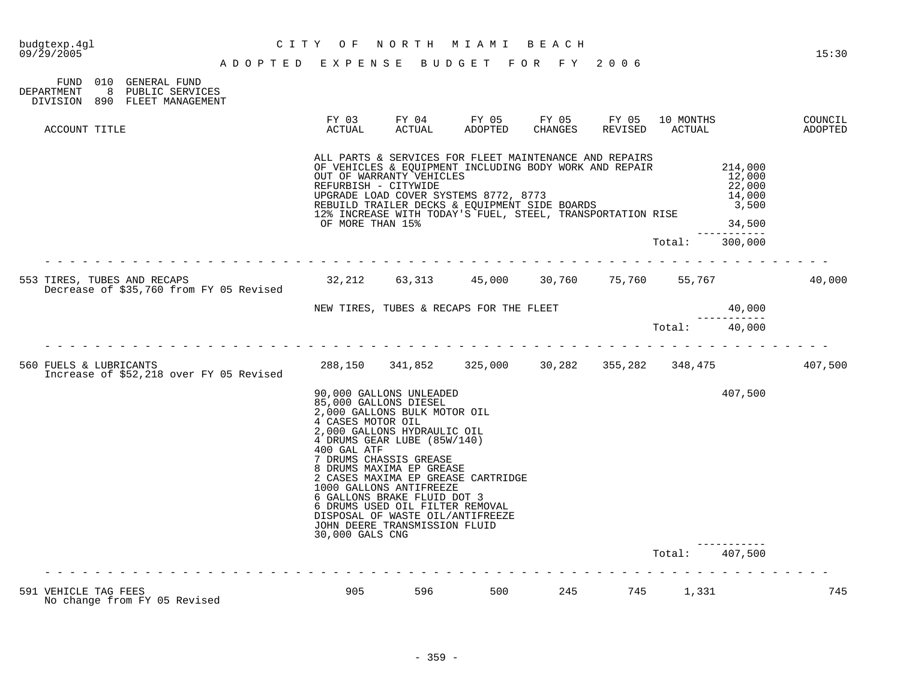|                                                                                                 |                                    | 30,000 GALS CNG                          | DISPOSAL OF WASTE OIL/ANTIFREEZE<br>JOHN DEERE TRANSMISSION FLUID                                                                                                                                                                                                                                 |                                                                                                                                                                                                                |         |                      |           |                                                          |         |
|-------------------------------------------------------------------------------------------------|------------------------------------|------------------------------------------|---------------------------------------------------------------------------------------------------------------------------------------------------------------------------------------------------------------------------------------------------------------------------------------------------|----------------------------------------------------------------------------------------------------------------------------------------------------------------------------------------------------------------|---------|----------------------|-----------|----------------------------------------------------------|---------|
|                                                                                                 |                                    | 4 CASES MOTOR OIL<br>400 GAL ATF         | 90,000 GALLONS UNLEADED<br>85,000 GALLONS DIESEL<br>2,000 GALLONS BULK MOTOR OIL<br>2,000 GALLONS HYDRAULIC OIL<br>4 DRUMS GEAR LUBE (85W/140)<br>7 DRUMS CHASSIS GREASE<br>8 DRUMS MAXIMA EP GREASE<br>1000 GALLONS ANTIFREEZE<br>6 GALLONS BRAKE FLUID DOT 3<br>6 DRUMS USED OIL FILTER REMOVAL | 2 CASES MAXIMA EP GREASE CARTRIDGE                                                                                                                                                                             |         |                      |           | 407,500                                                  |         |
| 560 FUELS & LUBRICANTS<br>Increase of \$52,218 over FY 05 Revised                               |                                    |                                          |                                                                                                                                                                                                                                                                                                   | 288,150 341,852 325,000 30,282 355,282 348,475                                                                                                                                                                 |         |                      |           |                                                          | 407,500 |
|                                                                                                 |                                    |                                          |                                                                                                                                                                                                                                                                                                   |                                                                                                                                                                                                                |         |                      | Total:    | ---------<br>40,000                                      |         |
|                                                                                                 |                                    |                                          |                                                                                                                                                                                                                                                                                                   | NEW TIRES, TUBES & RECAPS FOR THE FLEET                                                                                                                                                                        |         |                      |           | 40,000                                                   |         |
| 553 TIRES, TUBES AND RECAPS<br>Decrease of \$35,760 from FY 05 Revised                          |                                    | 32,212                                   | 63,313                                                                                                                                                                                                                                                                                            | 45,000                                                                                                                                                                                                         |         | 30,760 75,760 55,767 |           |                                                          | 40,000  |
|                                                                                                 |                                    |                                          |                                                                                                                                                                                                                                                                                                   |                                                                                                                                                                                                                |         |                      | Total:    | --------<br>300,000                                      |         |
|                                                                                                 |                                    | REFURBISH - CITYWIDE<br>OF MORE THAN 15% | OUT OF WARRANTY VEHICLES                                                                                                                                                                                                                                                                          | OF VEHICLES & EQUIPMENT INCLUDING BODY WORK AND REPAIR<br>UPGRADE LOAD COVER SYSTEMS 8772, 8773<br>REBUILD TRAILER DECKS & EQUIPMENT SIDE BOARDS<br>12% INCREASE WITH TODAY'S FUEL, STEEL, TRANSPORTATION RISE |         |                      |           | 214,000<br>12,000<br>22,000<br>14,000<br>3,500<br>34,500 |         |
| ACCOUNT TITLE                                                                                   |                                    | ACTUAL                                   | ACTUAL                                                                                                                                                                                                                                                                                            | ADOPTED<br>ALL PARTS & SERVICES FOR FLEET MAINTENANCE AND REPAIRS                                                                                                                                              | CHANGES | REVISED              | ACTUAL    |                                                          | ADOPTED |
| 010 GENERAL FUND<br>FUND<br>8 PUBLIC SERVICES<br>DEPARTMENT<br>890 FLEET MANAGEMENT<br>DIVISION |                                    | FY 03                                    | FY 04                                                                                                                                                                                                                                                                                             | FY 05                                                                                                                                                                                                          | FY 05   | FY 05                | 10 MONTHS |                                                          | COUNCIL |
|                                                                                                 | ADOPTED EXPENSE BUDGET FOR FY 2006 |                                          |                                                                                                                                                                                                                                                                                                   |                                                                                                                                                                                                                |         |                      |           |                                                          |         |
| 09/29/2005                                                                                      |                                    | C I T Y<br>O F                           | NORTH                                                                                                                                                                                                                                                                                             | M I A M I                                                                                                                                                                                                      | BEACH   |                      |           |                                                          | 15:30   |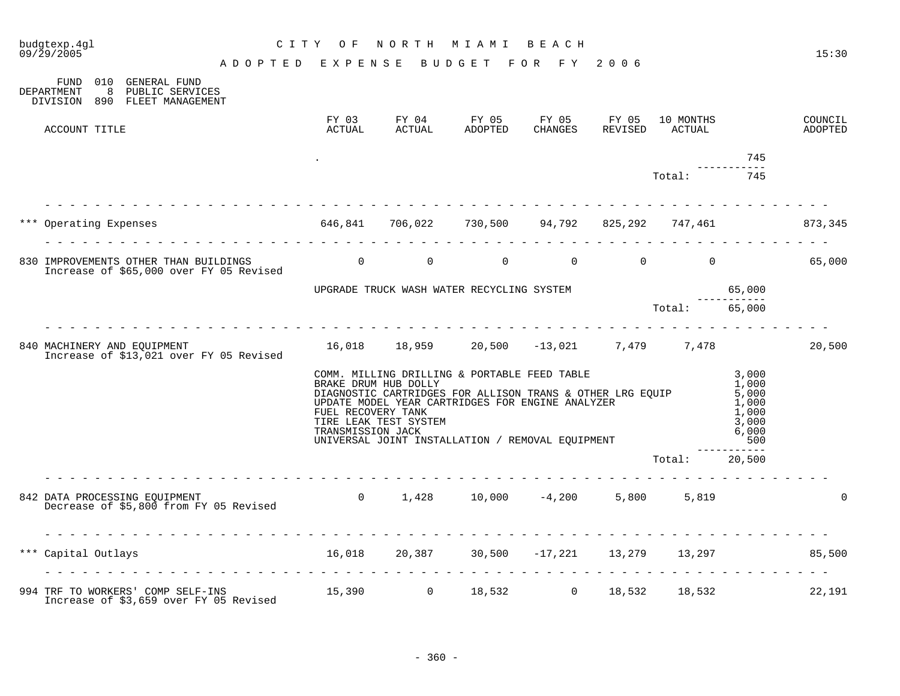| budgtexp.4ql<br>09/29/2005 |                                                                                                                 | CITY OF                                                         |                                               | NORTH MIAMI BEACH                                                                                                                                                                                                                            |                                   |                     |                                                           | 15:30              |
|----------------------------|-----------------------------------------------------------------------------------------------------------------|-----------------------------------------------------------------|-----------------------------------------------|----------------------------------------------------------------------------------------------------------------------------------------------------------------------------------------------------------------------------------------------|-----------------------------------|---------------------|-----------------------------------------------------------|--------------------|
|                            | A D O P T E D E X P E N S E B U D G E T F O R F Y 2006                                                          |                                                                 |                                               |                                                                                                                                                                                                                                              |                                   |                     |                                                           |                    |
| DEPARTMENT                 | FUND 010 GENERAL FUND<br>8 PUBLIC SERVICES<br>DIVISION 890 FLEET MANAGEMENT                                     |                                                                 |                                               |                                                                                                                                                                                                                                              |                                   |                     |                                                           |                    |
| ACCOUNT TITLE              |                                                                                                                 |                                                                 |                                               | FY 03 FY 04 FY 05 FY 05 FY 05<br>ACTUAL ACTUAL ADOPTED CHANGES REVISED                                                                                                                                                                       |                                   | 10 MONTHS<br>ACTUAL |                                                           | COUNCIL<br>ADOPTED |
|                            |                                                                                                                 |                                                                 |                                               |                                                                                                                                                                                                                                              |                                   |                     | 745                                                       |                    |
|                            |                                                                                                                 |                                                                 |                                               |                                                                                                                                                                                                                                              |                                   | Total:              | 745                                                       |                    |
|                            | *** Operating Expenses 646,841 706,022 730,500 94,792 825,292 747,461 873,345                                   |                                                                 |                                               |                                                                                                                                                                                                                                              |                                   |                     |                                                           |                    |
|                            | 830 IMPROVEMENTS OTHER THAN BUILDINGS 65 (1998) 11<br>Increase of \$65,000 over FY 05 Revised                   |                                                                 | $\Omega$                                      |                                                                                                                                                                                                                                              | $0 \t 0 \t 0 \t 0 \t 0 \t 65,000$ |                     |                                                           |                    |
|                            |                                                                                                                 |                                                                 |                                               |                                                                                                                                                                                                                                              |                                   |                     |                                                           |                    |
|                            |                                                                                                                 |                                                                 |                                               | UPGRADE TRUCK WASH WATER RECYCLING SYSTEM [1994] UPGRADE TRUCK WASH WATER RECYCLING SYSTEM [1994] UPGRADE TOTA                                                                                                                               |                                   |                     |                                                           |                    |
|                            | 840 MACHINERY AND EQUIPMENT 16,018 18,959 20,500 -13,021 7,479 7,478<br>Increase of \$13,021 over FY 05 Revised |                                                                 |                                               |                                                                                                                                                                                                                                              |                                   |                     |                                                           | 20,500             |
|                            |                                                                                                                 | FUEL RECOVERY TANK<br>TRANSMISSION JACK                         | BRAKE DRUM HUB DOLLY<br>TIRE LEAK TEST SYSTEM | COMM. MILLING DRILLING & PORTABLE FEED TABLE 3,000<br>DIAGNOSTIC CARTRIDGES FOR ALLISON TRANS & OTHER LRG EQUIP<br>UPDATE MODEL YEAR CARTRIDGES FOR ENGINE ANALYZER<br>TRANSMISSION JACK<br>UNIVERSAL JOINT INSTALLATION / REMOVAL EQUIPMENT |                                   |                     | 1,000<br>5,000<br>1,000<br>1,000<br>3,000<br>6,000<br>500 |                    |
|                            |                                                                                                                 |                                                                 |                                               |                                                                                                                                                                                                                                              |                                   | Total: 20,500       | ------                                                    |                    |
|                            | .<br>842 DATA PROCESSING EQUIPMENT<br>Decrease of \$5,800 from FY 05 Revised                                    |                                                                 |                                               | 0 $1,428$ 10,000 $-4,200$ 5,800 5,819                                                                                                                                                                                                        |                                   |                     |                                                           | $\Omega$           |
| *** Capital Outlays        |                                                                                                                 | $16,018$ $20,387$ $30,500$ $-17,221$ $13,279$ $13,297$ $85,500$ |                                               |                                                                                                                                                                                                                                              |                                   |                     |                                                           |                    |
|                            | 994 TRF TO WORKERS' COMP SELF-INS 15,390 0 18,532 0 18,532 18,532<br>Increase of \$3,659 over FY 05 Revised     |                                                                 |                                               |                                                                                                                                                                                                                                              |                                   |                     |                                                           | 22,191             |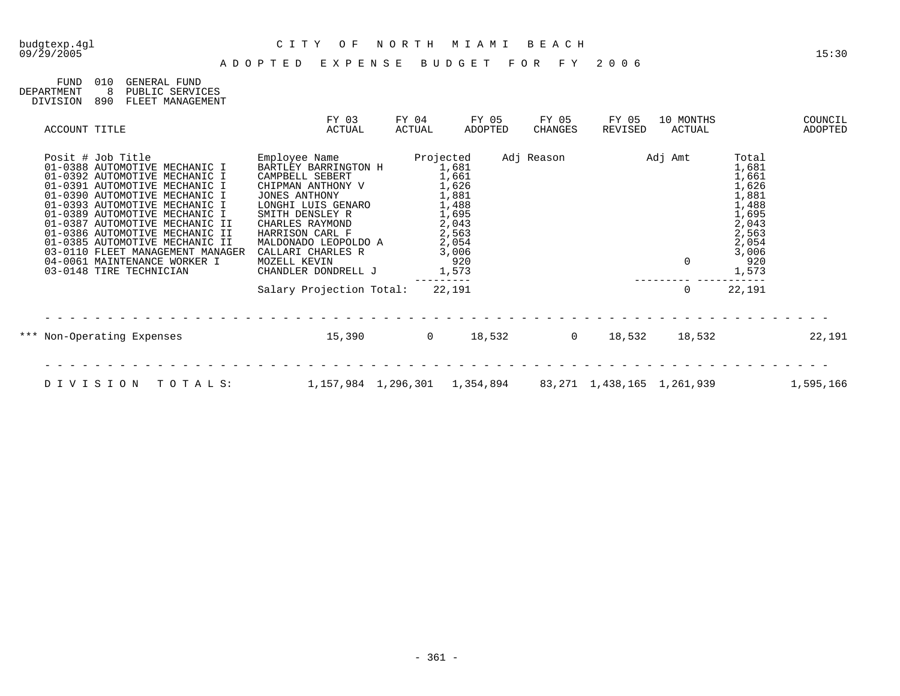## 09/29/2005 15:30

## budgtexp.4gl C I T Y O F N O R T H M I A M I B E A C H

| FIJND.     | 01 Q | GENERAL FUND     |
|------------|------|------------------|
| DEPARTMENT |      | PUBLIC SERVICES  |
| DIVISION   | 890  | FLEET MANAGEMENT |

| ACCOUNT TITLE                                                                                                                                                                                                                                                                                                                                                                                                                | FY 03<br>ACTUAL                                                                                                                                                                                                                                                   | FY 04<br>ACTUAL | FY 05<br>ADOPTED                                                                                                                                  | FY 05<br>CHANGES | FY 05<br>REVISED                | 10 MONTHS<br>ACTUAL    |                                                                                                                 | COUNCIL<br>ADOPTED |
|------------------------------------------------------------------------------------------------------------------------------------------------------------------------------------------------------------------------------------------------------------------------------------------------------------------------------------------------------------------------------------------------------------------------------|-------------------------------------------------------------------------------------------------------------------------------------------------------------------------------------------------------------------------------------------------------------------|-----------------|---------------------------------------------------------------------------------------------------------------------------------------------------|------------------|---------------------------------|------------------------|-----------------------------------------------------------------------------------------------------------------|--------------------|
| Posit # Job Title<br>01-0388 AUTOMOTIVE MECHANIC I<br>01-0392 AUTOMOTIVE MECHANIC I<br>01-0391 AUTOMOTIVE MECHANIC I<br>01-0390 AUTOMOTIVE MECHANIC I<br>01-0393 AUTOMOTIVE MECHANIC I<br>01-0389 AUTOMOTIVE MECHANIC I<br>01-0387 AUTOMOTIVE MECHANIC II<br>01-0386 AUTOMOTIVE MECHANIC II<br>01-0385 AUTOMOTIVE MECHANIC II<br>03-0110 FLEET MANAGEMENT MANAGER<br>04-0061 MAINTENANCE WORKER I<br>03-0148 TIRE TECHNICIAN | Employee Name<br>BARTLEY BARRINGTON H<br>CAMPBELL SEBERT<br>CHIPMAN ANTHONY V<br>JONES ANTHONY<br>LONGHI LUIS GENARO<br>SMITH DENSLEY R<br>CHARLES RAYMOND<br>HARRISON CARL F<br>MALDONADO LEOPOLDO A<br>CALLARI CHARLES R<br>MOZELL KEVIN<br>CHANDLER DONDRELL J |                 | Projected<br>1,681<br>1,661<br>1,626<br>1,881<br>$\frac{1}{1}$ , 488<br>1, 695<br>$\frac{2}{2}$ , 043<br>2, 563<br>2,054<br>3,006<br>920<br>1,573 | Adj Reason       |                                 | Adj Amt<br>$\mathbf 0$ | Total<br>1,681<br>1,661<br>1,626<br>1,881<br>1,488<br>1,695<br>2,043<br>2,563<br>2,054<br>3,006<br>920<br>1,573 |                    |
|                                                                                                                                                                                                                                                                                                                                                                                                                              | Salary Projection Total:                                                                                                                                                                                                                                          |                 | 22,191                                                                                                                                            |                  |                                 | 0                      | 22,191                                                                                                          |                    |
| *** Non-Operating Expenses                                                                                                                                                                                                                                                                                                                                                                                                   | 15,390                                                                                                                                                                                                                                                            | $\Omega$        | 18,532                                                                                                                                            | $\Omega$         | 18,532                          | 18,532                 |                                                                                                                 | 22,191             |
| DIVISION<br>TOTALS:                                                                                                                                                                                                                                                                                                                                                                                                          | 1, 157, 984 1, 296, 301 1, 354, 894                                                                                                                                                                                                                               |                 |                                                                                                                                                   |                  | 83, 271 1, 438, 165 1, 261, 939 |                        |                                                                                                                 | 1,595,166          |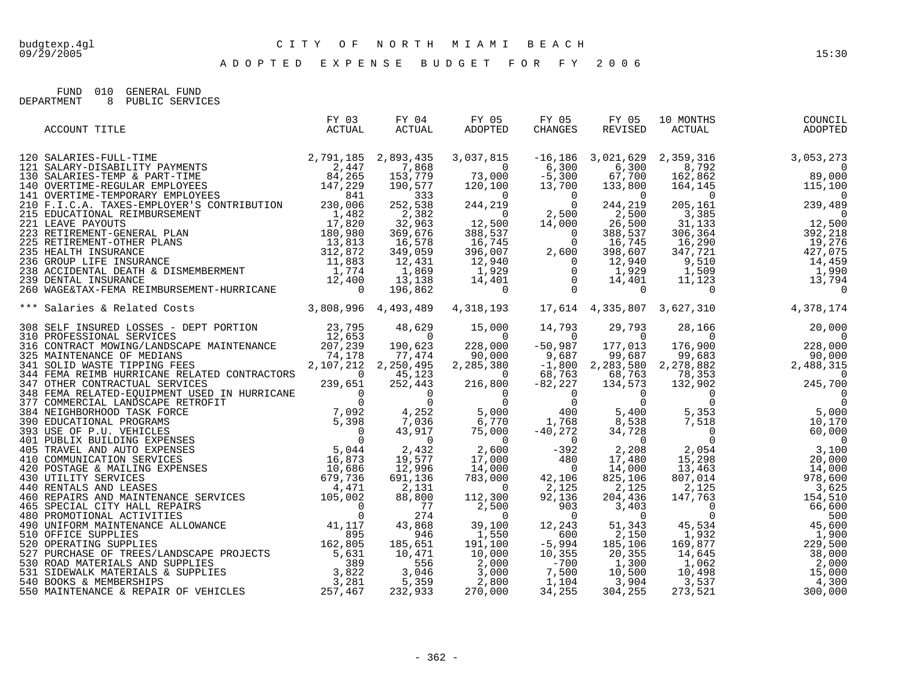FUND 010 GENERAL FUND<br>DEPARTMENT 8 PUBLIC SERVIO 8 PUBLIC SERVICES

| ACCOUNT TITLE                                                                                                                                                                                                                     | FY 03<br>ACTUAL | FY 04<br>ACTUAL | FY 05<br>ADOPTED | FY 05<br>CHANGES | FY 05<br>REVISED | 10 MONTHS |  |
|-----------------------------------------------------------------------------------------------------------------------------------------------------------------------------------------------------------------------------------|-----------------|-----------------|------------------|------------------|------------------|-----------|--|
|                                                                                                                                                                                                                                   |                 |                 |                  |                  |                  |           |  |
|                                                                                                                                                                                                                                   |                 |                 |                  |                  |                  |           |  |
|                                                                                                                                                                                                                                   |                 |                 |                  |                  |                  |           |  |
|                                                                                                                                                                                                                                   |                 |                 |                  |                  |                  |           |  |
|                                                                                                                                                                                                                                   |                 |                 |                  |                  |                  |           |  |
|                                                                                                                                                                                                                                   |                 |                 |                  |                  |                  |           |  |
|                                                                                                                                                                                                                                   |                 |                 |                  |                  |                  |           |  |
|                                                                                                                                                                                                                                   |                 |                 |                  |                  |                  |           |  |
|                                                                                                                                                                                                                                   |                 |                 |                  |                  |                  |           |  |
|                                                                                                                                                                                                                                   |                 |                 |                  |                  |                  |           |  |
|                                                                                                                                                                                                                                   |                 |                 |                  |                  |                  |           |  |
|                                                                                                                                                                                                                                   |                 |                 |                  |                  |                  |           |  |
|                                                                                                                                                                                                                                   |                 |                 |                  |                  |                  |           |  |
|                                                                                                                                                                                                                                   |                 |                 |                  |                  |                  |           |  |
|                                                                                                                                                                                                                                   |                 |                 |                  |                  |                  |           |  |
|                                                                                                                                                                                                                                   |                 |                 |                  |                  |                  |           |  |
| 3000 SELE 16 No.10000<br>3000 SELE INSURE S REPAIRS TO THE SELECT CONTINUES 1.0000 14.793 32.795 1.823, 201 14.793 2.9793 2.825, 201 16.924<br>3000 SELECTOM MOTION MATERIAL SERECT CONTINUES 2.12794 324, 0000 -50.0000 -50.0000 |                 |                 |                  |                  |                  |           |  |
|                                                                                                                                                                                                                                   |                 |                 |                  |                  |                  |           |  |
|                                                                                                                                                                                                                                   |                 |                 |                  |                  |                  |           |  |
|                                                                                                                                                                                                                                   |                 |                 |                  |                  |                  |           |  |
|                                                                                                                                                                                                                                   |                 |                 |                  |                  |                  |           |  |
|                                                                                                                                                                                                                                   |                 |                 |                  |                  |                  |           |  |
|                                                                                                                                                                                                                                   |                 |                 |                  |                  |                  |           |  |
|                                                                                                                                                                                                                                   |                 |                 |                  |                  |                  |           |  |
|                                                                                                                                                                                                                                   |                 |                 |                  |                  |                  |           |  |
|                                                                                                                                                                                                                                   |                 |                 |                  |                  |                  |           |  |
|                                                                                                                                                                                                                                   |                 |                 |                  |                  |                  |           |  |
|                                                                                                                                                                                                                                   |                 |                 |                  |                  |                  |           |  |
|                                                                                                                                                                                                                                   |                 |                 |                  |                  |                  |           |  |
|                                                                                                                                                                                                                                   |                 |                 |                  |                  |                  |           |  |
|                                                                                                                                                                                                                                   |                 |                 |                  |                  |                  |           |  |
|                                                                                                                                                                                                                                   |                 |                 |                  |                  |                  |           |  |
|                                                                                                                                                                                                                                   |                 |                 |                  |                  |                  |           |  |
|                                                                                                                                                                                                                                   |                 |                 |                  |                  |                  |           |  |
|                                                                                                                                                                                                                                   |                 |                 |                  |                  |                  |           |  |
|                                                                                                                                                                                                                                   |                 |                 |                  |                  |                  |           |  |
|                                                                                                                                                                                                                                   |                 |                 |                  |                  |                  |           |  |
|                                                                                                                                                                                                                                   |                 |                 |                  |                  |                  |           |  |
|                                                                                                                                                                                                                                   |                 |                 |                  |                  |                  |           |  |
|                                                                                                                                                                                                                                   |                 |                 |                  |                  |                  |           |  |
|                                                                                                                                                                                                                                   |                 |                 |                  |                  |                  |           |  |
|                                                                                                                                                                                                                                   |                 |                 |                  |                  |                  |           |  |
|                                                                                                                                                                                                                                   |                 |                 |                  |                  |                  |           |  |
|                                                                                                                                                                                                                                   |                 |                 |                  |                  |                  |           |  |
|                                                                                                                                                                                                                                   |                 |                 |                  |                  |                  |           |  |
|                                                                                                                                                                                                                                   |                 |                 |                  |                  |                  |           |  |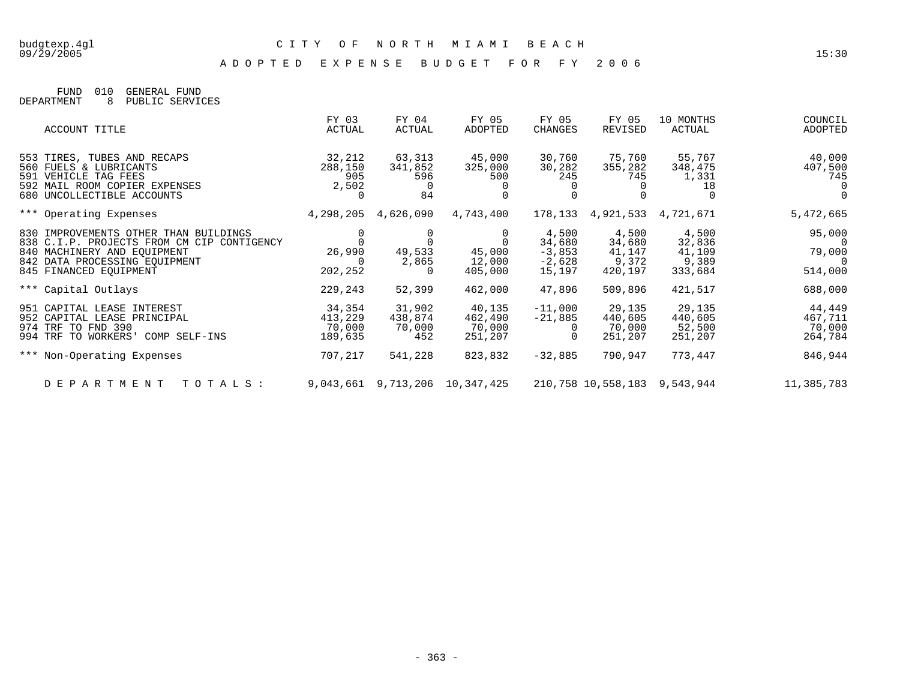FUND 010 GENERAL FUND DEPARTMENT 8 PUBLIC SERVICES

| ACCOUNT TITLE                                                                                                                                                                 | FY 03<br>ACTUAL                        | FY 04<br>ACTUAL                    | FY 05<br>ADOPTED                       | FY 05<br>CHANGES                                  | FY 05<br>REVISED                              | 10 MONTHS<br>ACTUAL                           | COUNCIL<br>ADOPTED                                              |
|-------------------------------------------------------------------------------------------------------------------------------------------------------------------------------|----------------------------------------|------------------------------------|----------------------------------------|---------------------------------------------------|-----------------------------------------------|-----------------------------------------------|-----------------------------------------------------------------|
| 553 TIRES, TUBES AND RECAPS<br>560 FUELS & LUBRICANTS<br>591 VEHICLE TAG FEES<br>592 MAIL ROOM COPIER EXPENSES<br>680 UNCOLLECTIBLE ACCOUNTS                                  | 32,212<br>288,150<br>905<br>2,502      | 63,313<br>341,852<br>596<br>84     | 45,000<br>325,000<br>500               | 30,760<br>30,282<br>245                           | 75,760<br>355,282<br>745                      | 55,767<br>348,475<br>1,331<br>18              | 40,000<br>407,500<br>745<br>$\Omega$<br>$\Omega$                |
| *** Operating Expenses                                                                                                                                                        | 4,298,205                              | 4,626,090                          | 4,743,400                              | 178,133                                           | 4,921,533                                     | 4,721,671                                     | 5,472,665                                                       |
| 830 IMPROVEMENTS OTHER THAN BUILDINGS<br>838 C.I.P. PROJECTS FROM CM CIP CONTIGENCY<br>840 MACHINERY AND EOUIPMENT<br>842 DATA PROCESSING EQUIPMENT<br>845 FINANCED EQUIPMENT | 26,990<br>202,252                      | 49,533<br>2,865<br>$\Omega$        | 45,000<br>12,000<br>405,000            | 4,500<br>34,680<br>$-3,853$<br>$-2,628$<br>15,197 | 4,500<br>34,680<br>41,147<br>9,372<br>420,197 | 4,500<br>32,836<br>41,109<br>9,389<br>333,684 | 95,000<br>$\overline{0}$<br>79,000<br>$\overline{0}$<br>514,000 |
| *** Capital Outlays                                                                                                                                                           | 229,243                                | 52,399                             | 462,000                                | 47,896                                            | 509,896                                       | 421,517                                       | 688,000                                                         |
| 951 CAPITAL LEASE INTEREST<br>952 CAPITAL LEASE PRINCIPAL<br>974 TRF TO FND 390<br>994 TRF TO WORKERS'<br>COMP SELF-INS                                                       | 34,354<br>413,229<br>70,000<br>189,635 | 31,902<br>438,874<br>70,000<br>452 | 40,135<br>462,490<br>70,000<br>251,207 | $-11,000$<br>$-21,885$                            | 29,135<br>440,605<br>70,000<br>251,207        | 29,135<br>440,605<br>52,500<br>251,207        | 44,449<br>467,711<br>70,000<br>264,784                          |
| *** Non-Operating Expenses                                                                                                                                                    | 707,217                                | 541,228                            | 823,832                                | $-32,885$                                         | 790,947                                       | 773,447                                       | 846,944                                                         |
| D E P A R T M E N T<br>TOTALS:                                                                                                                                                |                                        |                                    | 9,043,661 9,713,206 10,347,425         |                                                   | 210,758 10,558,183                            | 9,543,944                                     | 11,385,783                                                      |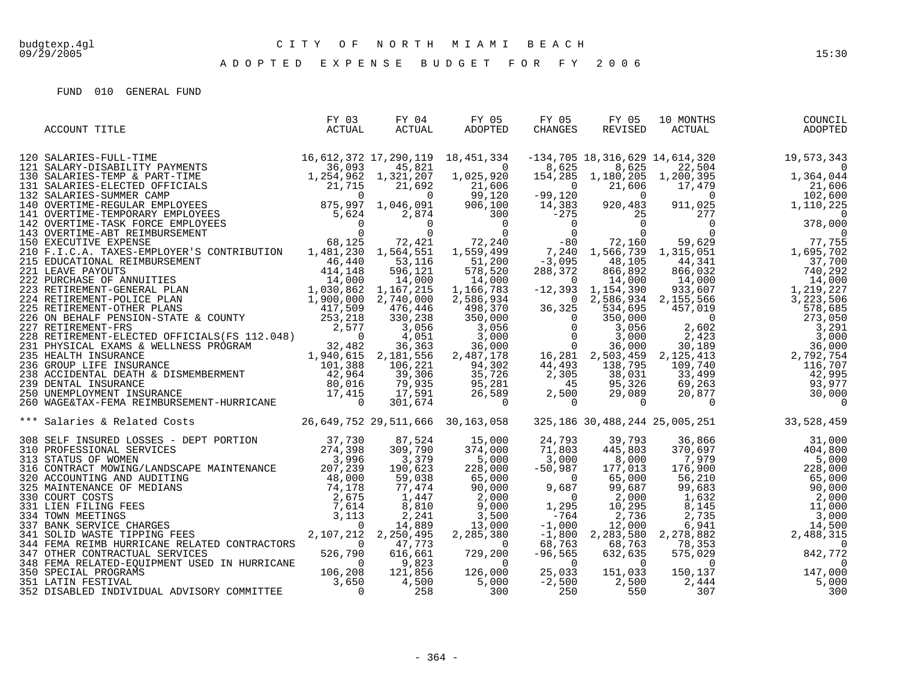| 325,186 30,488,244 25,005,251 33,528,459<br>*** Salaries & Related Costs 26,649,752 29,511,666 30,163,058 | ACCOUNT TITLE | FY 03<br>ACTUAL | FY 04<br>ACTUAL | FY 05<br>ADOPTED | FY 05<br>CHANGES | FY 05<br>REVISED | 10 MONTHS | ) MONTHS<br>ACTUAL<br>COUNCIL<br>ADOPTED |
|-----------------------------------------------------------------------------------------------------------|---------------|-----------------|-----------------|------------------|------------------|------------------|-----------|------------------------------------------|
|                                                                                                           |               |                 |                 |                  |                  |                  |           |                                          |
|                                                                                                           |               |                 |                 |                  |                  |                  |           |                                          |
|                                                                                                           |               |                 |                 |                  |                  |                  |           |                                          |
|                                                                                                           |               |                 |                 |                  |                  |                  |           |                                          |
|                                                                                                           |               |                 |                 |                  |                  |                  |           |                                          |
|                                                                                                           |               |                 |                 |                  |                  |                  |           |                                          |
|                                                                                                           |               |                 |                 |                  |                  |                  |           |                                          |
|                                                                                                           |               |                 |                 |                  |                  |                  |           |                                          |
|                                                                                                           |               |                 |                 |                  |                  |                  |           |                                          |
|                                                                                                           |               |                 |                 |                  |                  |                  |           |                                          |
|                                                                                                           |               |                 |                 |                  |                  |                  |           |                                          |
|                                                                                                           |               |                 |                 |                  |                  |                  |           |                                          |
|                                                                                                           |               |                 |                 |                  |                  |                  |           |                                          |
|                                                                                                           |               |                 |                 |                  |                  |                  |           |                                          |
|                                                                                                           |               |                 |                 |                  |                  |                  |           |                                          |
|                                                                                                           |               |                 |                 |                  |                  |                  |           |                                          |
|                                                                                                           |               |                 |                 |                  |                  |                  |           |                                          |
|                                                                                                           |               |                 |                 |                  |                  |                  |           |                                          |
|                                                                                                           |               |                 |                 |                  |                  |                  |           |                                          |
|                                                                                                           |               |                 |                 |                  |                  |                  |           |                                          |
|                                                                                                           |               |                 |                 |                  |                  |                  |           |                                          |
|                                                                                                           |               |                 |                 |                  |                  |                  |           |                                          |
|                                                                                                           |               |                 |                 |                  |                  |                  |           |                                          |
|                                                                                                           |               |                 |                 |                  |                  |                  |           |                                          |
|                                                                                                           |               |                 |                 |                  |                  |                  |           |                                          |
|                                                                                                           |               |                 |                 |                  |                  |                  |           |                                          |
|                                                                                                           |               |                 |                 |                  |                  |                  |           |                                          |
|                                                                                                           |               |                 |                 |                  |                  |                  |           |                                          |
|                                                                                                           |               |                 |                 |                  |                  |                  |           |                                          |
|                                                                                                           |               |                 |                 |                  |                  |                  |           |                                          |
|                                                                                                           |               |                 |                 |                  |                  |                  |           |                                          |
|                                                                                                           |               |                 |                 |                  |                  |                  |           |                                          |
|                                                                                                           |               |                 |                 |                  |                  |                  |           |                                          |
|                                                                                                           |               |                 |                 |                  |                  |                  |           |                                          |
|                                                                                                           |               |                 |                 |                  |                  |                  |           |                                          |
|                                                                                                           |               |                 |                 |                  |                  |                  |           |                                          |
|                                                                                                           |               |                 |                 |                  |                  |                  |           |                                          |
|                                                                                                           |               |                 |                 |                  |                  |                  |           |                                          |
|                                                                                                           |               |                 |                 |                  |                  |                  |           |                                          |
|                                                                                                           |               |                 |                 |                  |                  |                  |           |                                          |
|                                                                                                           |               |                 |                 |                  |                  |                  |           |                                          |
|                                                                                                           |               |                 |                 |                  |                  |                  |           |                                          |
|                                                                                                           |               |                 |                 |                  |                  |                  |           |                                          |
|                                                                                                           |               |                 |                 |                  |                  |                  |           |                                          |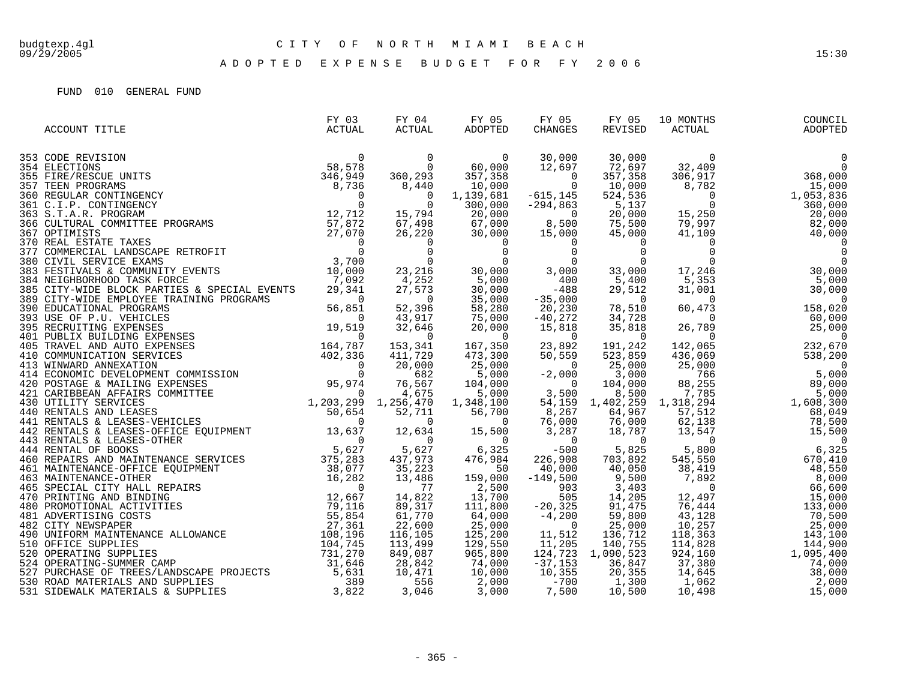| ACCOUNT TITLE | FY 03<br>ACTUAL | FY 04<br>ACTUAL | FY 05<br>ADOPTED | FY 05<br>CHANGES | FY 05<br>REVISED | 10 MONTHS<br>0 MONTHS<br>ACTUAL | COUNCIL<br>ADOPTED |
|---------------|-----------------|-----------------|------------------|------------------|------------------|---------------------------------|--------------------|
|               |                 |                 |                  |                  |                  |                                 |                    |
|               |                 |                 |                  |                  |                  |                                 | $\overline{0}$     |
|               |                 |                 |                  |                  |                  |                                 |                    |
|               |                 |                 |                  |                  |                  |                                 |                    |
|               |                 |                 |                  |                  |                  |                                 |                    |
|               |                 |                 |                  |                  |                  |                                 |                    |
|               |                 |                 |                  |                  |                  |                                 |                    |
|               |                 |                 |                  |                  |                  |                                 |                    |
|               |                 |                 |                  |                  |                  |                                 |                    |
|               |                 |                 |                  |                  |                  |                                 |                    |
|               |                 |                 |                  |                  |                  |                                 |                    |
|               |                 |                 |                  |                  |                  |                                 |                    |
|               |                 |                 |                  |                  |                  |                                 |                    |
|               |                 |                 |                  |                  |                  |                                 |                    |
|               |                 |                 |                  |                  |                  |                                 |                    |
|               |                 |                 |                  |                  |                  |                                 |                    |
|               |                 |                 |                  |                  |                  |                                 |                    |
|               |                 |                 |                  |                  |                  |                                 |                    |
|               |                 |                 |                  |                  |                  |                                 |                    |
|               |                 |                 |                  |                  |                  |                                 |                    |
|               |                 |                 |                  |                  |                  |                                 |                    |
|               |                 |                 |                  |                  |                  |                                 |                    |
|               |                 |                 |                  |                  |                  |                                 |                    |
|               |                 |                 |                  |                  |                  |                                 |                    |
|               |                 |                 |                  |                  |                  |                                 |                    |
|               |                 |                 |                  |                  |                  |                                 |                    |
|               |                 |                 |                  |                  |                  |                                 |                    |
|               |                 |                 |                  |                  |                  |                                 |                    |
|               |                 |                 |                  |                  |                  |                                 |                    |
|               |                 |                 |                  |                  |                  |                                 |                    |
|               |                 |                 |                  |                  |                  |                                 |                    |
|               |                 |                 |                  |                  |                  |                                 |                    |
|               |                 |                 |                  |                  |                  |                                 |                    |
|               |                 |                 |                  |                  |                  |                                 |                    |
|               |                 |                 |                  |                  |                  |                                 |                    |
|               |                 |                 |                  |                  |                  |                                 |                    |
|               |                 |                 |                  |                  |                  |                                 |                    |
|               |                 |                 |                  |                  |                  |                                 |                    |
|               |                 |                 |                  |                  |                  |                                 |                    |
|               |                 |                 |                  |                  |                  |                                 |                    |
|               |                 |                 |                  |                  |                  |                                 |                    |
|               |                 |                 |                  |                  |                  |                                 |                    |
|               |                 |                 |                  |                  |                  |                                 |                    |
|               |                 |                 |                  |                  |                  |                                 |                    |
|               |                 |                 |                  |                  |                  |                                 |                    |
|               |                 |                 |                  |                  |                  |                                 |                    |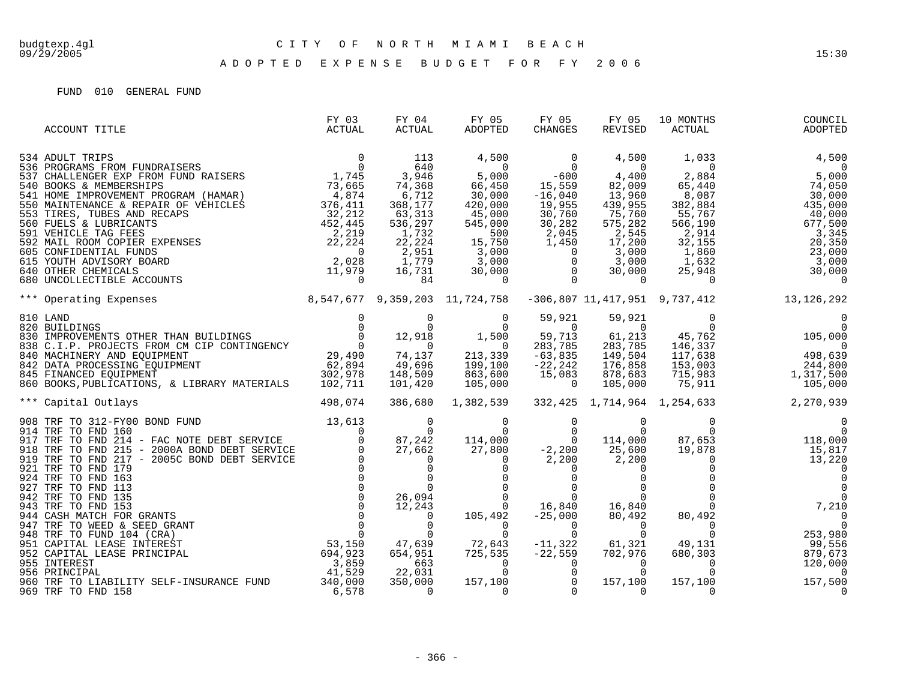| ACCOUNT TITLE                                                                                                                                                                                                                                                                                                                                                                                                                                           | FY 03<br>ACTUAL | FY 04<br>ACTUAL | FY 05<br>ADOPTED | FY 05<br>CHANGES    | FY 05<br>REVISED   | 10 MONTHS<br>ACTUAL               | COUNCIL<br>ADOPTED                                                                                                                                                                                                       |
|---------------------------------------------------------------------------------------------------------------------------------------------------------------------------------------------------------------------------------------------------------------------------------------------------------------------------------------------------------------------------------------------------------------------------------------------------------|-----------------|-----------------|------------------|---------------------|--------------------|-----------------------------------|--------------------------------------------------------------------------------------------------------------------------------------------------------------------------------------------------------------------------|
| $\begin{array}{cccccc} 534 & \text{ADULT TRIPS} & 0 & 113 & 4,500 & 0 & 4,500 & 1,033 & 4,500 \\ 537 & \text{CHALLENGER EXP FROM FUND RISERES} & 0 & 544 & 5,000 & -600 & 4,400 & 2,884 & 5,000 \\ 540 & \text{BOMS & \text{EMMERSHIPS}} & 73,466 & 5,000 & -600 & 4,400 & 2,884 & 5,000 \\ 541 & \text{HOMSE NEROVENENT PROGRAM (HAMAR)} & 73,665 &$                                                                                                   |                 |                 |                  |                     |                    |                                   |                                                                                                                                                                                                                          |
|                                                                                                                                                                                                                                                                                                                                                                                                                                                         |                 |                 |                  |                     |                    |                                   | $\begin{array}{cccc} 1,035 & 0 & 0 \\ 2,884 & 5,000 \\ 65,440 & 74,050 \\ 8,087 & 30,000 \\ 382,884 & 435,000 \\ 55,767 & 40,000 \\ 566,190 & 677,500 \\ 2,914 & 3,341 \\ 32,155 & 20,351 \\ 1,860 & 23,000 \end{array}$ |
|                                                                                                                                                                                                                                                                                                                                                                                                                                                         |                 |                 |                  |                     |                    |                                   |                                                                                                                                                                                                                          |
|                                                                                                                                                                                                                                                                                                                                                                                                                                                         |                 |                 |                  |                     |                    |                                   |                                                                                                                                                                                                                          |
|                                                                                                                                                                                                                                                                                                                                                                                                                                                         |                 |                 |                  |                     |                    |                                   |                                                                                                                                                                                                                          |
|                                                                                                                                                                                                                                                                                                                                                                                                                                                         |                 |                 |                  |                     |                    |                                   |                                                                                                                                                                                                                          |
|                                                                                                                                                                                                                                                                                                                                                                                                                                                         |                 |                 |                  |                     |                    |                                   |                                                                                                                                                                                                                          |
|                                                                                                                                                                                                                                                                                                                                                                                                                                                         |                 |                 |                  |                     |                    |                                   |                                                                                                                                                                                                                          |
|                                                                                                                                                                                                                                                                                                                                                                                                                                                         |                 |                 |                  |                     |                    |                                   |                                                                                                                                                                                                                          |
|                                                                                                                                                                                                                                                                                                                                                                                                                                                         |                 |                 |                  |                     |                    |                                   |                                                                                                                                                                                                                          |
|                                                                                                                                                                                                                                                                                                                                                                                                                                                         |                 |                 |                  |                     |                    |                                   |                                                                                                                                                                                                                          |
|                                                                                                                                                                                                                                                                                                                                                                                                                                                         |                 |                 |                  |                     |                    |                                   |                                                                                                                                                                                                                          |
|                                                                                                                                                                                                                                                                                                                                                                                                                                                         |                 |                 |                  |                     |                    |                                   |                                                                                                                                                                                                                          |
|                                                                                                                                                                                                                                                                                                                                                                                                                                                         |                 |                 |                  |                     |                    |                                   | $\begin{array}{c} 677,500 \\ 32,155 \\ 1,860 \\ 1,860 \\ 25,948 \\ 0 \\ 737,412 \end{array}$                                                                                                                             |
| $\begin{array}{cccc} \text{810 LAND} & \text{0} & \text{0} & \text{0} \\ \text{820 BULLDINGS} & \text{0} & \text{0} & \text{0} \\ \text{830 IMPROVEMENTS OTHER THAT} & \text{0} & \text{0} & \text{0} \\ \text{838 C.I.P. PROJECTS FROM CM CIP CONTINGENCY} & \text{0} & \text{0} & \text{0} \\ \text{840 MACHINERV} & \text{AND EQUIPMENT} & \text{29,490} & \text{74,137} & \text{213,339} \\ \text{842 DATA PROCESSING EQUIPMENT} & \text{29,490} &$ |                 |                 |                  | 59,921              | 59,921             |                                   | $\begin{array}{c} 0 \\ 0 \\ 105,000 \\ 146,337 \\ 117,638 \\ 153,003 \\ 715,983 \\ 75,911 \end{array} \qquad \begin{array}{c} 0 \\ 105,000 \\ 498,639 \\ 244,800 \\ 1,317,500 \\ 105,000 \end{array}$                    |
|                                                                                                                                                                                                                                                                                                                                                                                                                                                         |                 |                 |                  | $\sim$ 0            | $\sim$ 0           |                                   |                                                                                                                                                                                                                          |
|                                                                                                                                                                                                                                                                                                                                                                                                                                                         |                 |                 |                  | 59,713              | 61,213             |                                   |                                                                                                                                                                                                                          |
|                                                                                                                                                                                                                                                                                                                                                                                                                                                         |                 |                 |                  | 283,785             | 283,785            |                                   |                                                                                                                                                                                                                          |
|                                                                                                                                                                                                                                                                                                                                                                                                                                                         |                 |                 |                  | $-63,835$           | 149,504            |                                   |                                                                                                                                                                                                                          |
|                                                                                                                                                                                                                                                                                                                                                                                                                                                         |                 |                 |                  | $-22,242$<br>15,083 | 176,858<br>878,683 |                                   |                                                                                                                                                                                                                          |
|                                                                                                                                                                                                                                                                                                                                                                                                                                                         |                 |                 |                  | $\overline{0}$      | 105,000            |                                   |                                                                                                                                                                                                                          |
|                                                                                                                                                                                                                                                                                                                                                                                                                                                         |                 |                 |                  |                     |                    |                                   |                                                                                                                                                                                                                          |
| 498,074<br>*** Capital Outlays                                                                                                                                                                                                                                                                                                                                                                                                                          |                 | 386,680         | 1,382,539        |                     |                    | 332,425 1,714,964 1,254,633       | 2,270,939                                                                                                                                                                                                                |
|                                                                                                                                                                                                                                                                                                                                                                                                                                                         |                 |                 |                  |                     |                    |                                   |                                                                                                                                                                                                                          |
|                                                                                                                                                                                                                                                                                                                                                                                                                                                         |                 |                 |                  |                     |                    |                                   |                                                                                                                                                                                                                          |
|                                                                                                                                                                                                                                                                                                                                                                                                                                                         |                 |                 |                  |                     |                    |                                   |                                                                                                                                                                                                                          |
|                                                                                                                                                                                                                                                                                                                                                                                                                                                         |                 |                 |                  |                     |                    |                                   |                                                                                                                                                                                                                          |
|                                                                                                                                                                                                                                                                                                                                                                                                                                                         |                 |                 |                  |                     |                    |                                   |                                                                                                                                                                                                                          |
|                                                                                                                                                                                                                                                                                                                                                                                                                                                         |                 |                 |                  |                     |                    |                                   |                                                                                                                                                                                                                          |
|                                                                                                                                                                                                                                                                                                                                                                                                                                                         |                 |                 |                  |                     |                    |                                   |                                                                                                                                                                                                                          |
|                                                                                                                                                                                                                                                                                                                                                                                                                                                         |                 |                 |                  |                     |                    |                                   |                                                                                                                                                                                                                          |
|                                                                                                                                                                                                                                                                                                                                                                                                                                                         |                 |                 |                  |                     |                    |                                   |                                                                                                                                                                                                                          |
|                                                                                                                                                                                                                                                                                                                                                                                                                                                         |                 |                 |                  |                     |                    |                                   |                                                                                                                                                                                                                          |
|                                                                                                                                                                                                                                                                                                                                                                                                                                                         |                 |                 |                  |                     |                    |                                   |                                                                                                                                                                                                                          |
|                                                                                                                                                                                                                                                                                                                                                                                                                                                         |                 |                 |                  |                     |                    |                                   |                                                                                                                                                                                                                          |
|                                                                                                                                                                                                                                                                                                                                                                                                                                                         |                 |                 |                  |                     |                    |                                   | $253,980$<br>99,556<br>553,0556                                                                                                                                                                                          |
|                                                                                                                                                                                                                                                                                                                                                                                                                                                         |                 |                 |                  |                     |                    |                                   |                                                                                                                                                                                                                          |
|                                                                                                                                                                                                                                                                                                                                                                                                                                                         |                 |                 |                  |                     |                    |                                   |                                                                                                                                                                                                                          |
|                                                                                                                                                                                                                                                                                                                                                                                                                                                         |                 |                 |                  |                     |                    |                                   |                                                                                                                                                                                                                          |
| 969 TRF TO FND 158                                                                                                                                                                                                                                                                                                                                                                                                                                      | 6,578           | $\overline{0}$  |                  |                     |                    | $\frac{157}{0}$ , $\frac{100}{0}$ |                                                                                                                                                                                                                          |